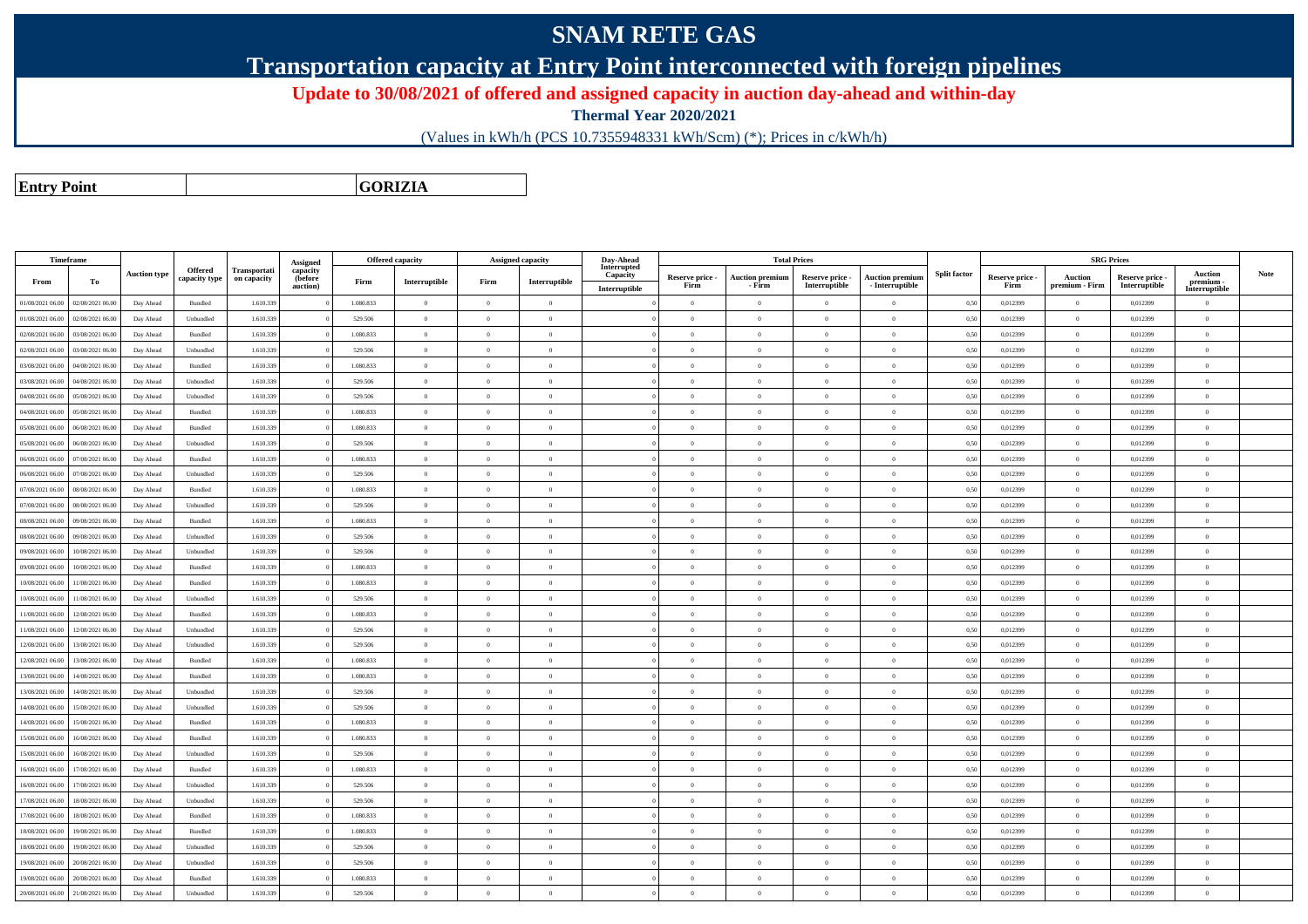## **SNAM RETE GAS**

**Transportation capacity at Entry Point interconnected with foreign pipelines**

**Update to 30/08/2021 of offered and assigned capacity in auction day-ahead and within-day**

**Thermal Year 2020/2021**

(Values in kWh/h (PCS 10.7355948331 kWh/Scm) (\*); Prices in c/kWh/h)

**Entry Point**

**GORIZIA**

| <b>Timeframe</b> |                  |                     |                    |              |                      |           | <b>Offered capacity</b> | Assigned capacity |                | Day-Ahead               |                 | <b>Total Prices</b>    |                 |                        |                     |                 | <b>SRG Prices</b> |                 |                            |             |
|------------------|------------------|---------------------|--------------------|--------------|----------------------|-----------|-------------------------|-------------------|----------------|-------------------------|-----------------|------------------------|-----------------|------------------------|---------------------|-----------------|-------------------|-----------------|----------------------------|-------------|
|                  |                  | <b>Auction type</b> | <b>Offered</b>     | Transportati | Assigned<br>capacity |           |                         |                   |                | Interrupted<br>Capacity | Reserve price - | <b>Auction premium</b> | Reserve price - | <b>Auction premium</b> | <b>Split factor</b> | Reserve price - | Auction           | Reserve price - | Auction                    | <b>Note</b> |
| From             | То               |                     | capacity type      | on capacity  | (before<br>auction)  | Firm      | Interruptible           | Firm              | Interruptible  | Interruptible           | Firm            | - Firm                 | Interruptible   | - Interruptible        |                     | Firm            | premium - Firm    | Interruptible   | premium -<br>Interruptible |             |
| 01/08/2021 06:00 | 02/08/2021 06.00 | Day Ahead           | Bundled            | 1.610.339    |                      | 1.080.833 | $\overline{0}$          | $\overline{0}$    | $\overline{0}$ |                         | $\overline{0}$  | $\bf{0}$               | $\overline{0}$  | $\overline{0}$         | 0,50                | 0,012399        | $\theta$          | 0,012399        | $\overline{0}$             |             |
| 01/08/2021 06:00 | 02/08/2021 06:00 | Day Ahead           | Unbundled          | 1.610.339    |                      | 529.506   | $\theta$                | $\Omega$          | $\theta$       |                         | $\Omega$        | $\theta$               | $\overline{0}$  | $\overline{0}$         | 0,50                | 0,012399        | $\overline{0}$    | 0,012399        | $\overline{0}$             |             |
| 02/08/2021 06:00 | 03/08/2021 06:00 | Day Ahead           | Bundled            | 1.610.339    |                      | 1.080.833 | $\theta$                | $\Omega$          | $\theta$       |                         | $\Omega$        |                        | $\overline{0}$  | $\theta$               | 0,50                | 0,012399        | $\overline{0}$    | 0,012399        | $\theta$                   |             |
| 02/08/2021 06:00 | 03/08/2021 06:00 | Day Ahead           | Unbundled          | 1.610.339    |                      | 529.506   | $\theta$                | $\Omega$          | $\theta$       |                         | $\theta$        | $\theta$               | $\overline{0}$  | $\theta$               | 0,50                | 0,012399        | $\overline{0}$    | 0,012399        | $\theta$                   |             |
| 03/08/2021 06:00 | 04/08/2021 06:00 | Day Ahead           | Bundled            | 1.610.339    |                      | 1.080.833 | $\theta$                | $\Omega$          | $\theta$       |                         | $\theta$        | $\theta$               | $\overline{0}$  | $\theta$               | 0,50                | 0,012399        | $\overline{0}$    | 0,012399        | $\mathbf{0}$               |             |
| 03/08/2021 06:00 | 04/08/2021 06:00 | Day Ahead           | Unbundled          | 1.610.339    |                      | 529.506   | $\theta$                | $\theta$          | $\Omega$       |                         | $\Omega$        | $\theta$               | $\Omega$        | $\bf{0}$               | 0,50                | 0,012399        | $\overline{0}$    | 0,012399        | $\theta$                   |             |
| 04/08/2021 06:00 | 05/08/2021 06:00 | Day Ahead           | Unbundled          | 1.610.339    |                      | 529.506   | $\overline{0}$          | $\overline{0}$    | $\overline{0}$ |                         | $\overline{0}$  | $\overline{0}$         | $\overline{0}$  | $\overline{0}$         | 0,50                | 0,012399        | $\overline{0}$    | 0,012399        | $\overline{0}$             |             |
| 04/08/2021 06:00 | 05/08/2021 06:00 | Day Ahead           | Bundled            | 1.610.339    |                      | 1.080.833 | $\overline{0}$          | $\overline{0}$    | $\overline{0}$ |                         | $\overline{0}$  | $\theta$               | $\overline{0}$  | $\bf{0}$               | 0,50                | 0,012399        | $\overline{0}$    | 0,012399        | $\overline{0}$             |             |
| 05/08/2021 06:00 | 06/08/2021 06:00 | Day Ahead           | <b>Bundled</b>     | 1.610.339    |                      | 1.080.833 | $\overline{0}$          | $\Omega$          | $\Omega$       |                         | $\Omega$        | $\theta$               | $\Omega$        | $\Omega$               | 0.50                | 0.012399        | $\overline{0}$    | 0.012399        | $\overline{0}$             |             |
| 05/08/2021 06:00 | 06/08/2021 06:00 | Day Ahead           | Unbundled          | 1.610.339    |                      | 529.506   | $\overline{0}$          | $\Omega$          | $\theta$       |                         | $\theta$        | $\theta$               | $\overline{0}$  | $\overline{0}$         | 0,50                | 0,012399        | $\overline{0}$    | 0,012399        | $\overline{0}$             |             |
| 06/08/2021 06:00 | 07/08/2021 06:00 | Day Ahead           | Bundled            | 1.610.339    |                      | 1.080.833 | $\overline{0}$          | $\Omega$          | $\overline{0}$ |                         | $\overline{0}$  | $\mathbf{0}$           | $\overline{0}$  | $\bf{0}$               | 0,50                | 0,012399        | $\overline{0}$    | 0,012399        | $\bf{0}$                   |             |
| 06/08/2021 06:00 | 07/08/2021 06:00 | Day Ahead           | Unbundled          | 1.610.339    |                      | 529.506   | $\,$ 0                  | $\overline{0}$    | $\theta$       |                         | $\theta$        | $\theta$               | $\overline{0}$  | $\theta$               | 0,50                | 0,012399        | $\overline{0}$    | 0,012399        | $\theta$                   |             |
| 07/08/2021 06:00 | 08/08/2021 06:00 | Day Ahead           | Bundled            | 1.610.339    |                      | 1.080.833 | $\overline{0}$          | $\Omega$          | $\theta$       |                         | $\overline{0}$  | $\theta$               | $\overline{0}$  | $\overline{0}$         | 0,50                | 0,012399        | $\overline{0}$    | 0,012399        | $\bf{0}$                   |             |
| 07/08/2021 06:00 | 08/08/2021 06:00 | Day Ahead           | Unbundled          | 1.610.339    |                      | 529.506   | $\overline{0}$          | $\overline{0}$    | $\theta$       |                         | $\theta$        | $\Omega$               | $\overline{0}$  | $\overline{0}$         | 0,50                | 0,012399        | $\overline{0}$    | 0,012399        | $\overline{0}$             |             |
| 08/08/2021 06:00 | 09/08/2021 06:00 | Day Ahead           | $\mathbf B$ undled | 1.610.339    |                      | 1.080.833 | $\theta$                | $\overline{0}$    | $\overline{0}$ |                         | $\overline{0}$  | $\overline{0}$         | $\overline{0}$  | $\overline{0}$         | 0,50                | 0,012399        | $\overline{0}$    | 0,012399        | $\overline{0}$             |             |
| 08/08/2021 06:00 | 09/08/2021 06.00 | Day Ahead           | Unbundled          | 1.610.339    |                      | 529.506   | $\theta$                | $\Omega$          | $\Omega$       |                         | $\Omega$        | $\theta$               | $\overline{0}$  | $\theta$               | 0,50                | 0,012399        | $\overline{0}$    | 0,012399        | $\Omega$                   |             |
| 09/08/2021 06:00 | 10/08/2021 06:00 | Day Ahead           | Unbundled          | 1.610.339    |                      | 529.506   | $\theta$                | $\overline{0}$    | $\theta$       |                         | $\overline{0}$  | $\overline{0}$         | $\overline{0}$  | $\theta$               | 0,50                | 0,012399        | $\overline{0}$    | 0,012399        | $\overline{0}$             |             |
| 09/08/2021 06:00 | 10/08/2021 06:00 | Day Ahead           | Bundled            | 1.610.339    |                      | 1.080.833 | $\theta$                | $\Omega$          | $\Omega$       |                         | $\Omega$        |                        | $\theta$        | $\Omega$               | 0,50                | 0,012399        | $\Omega$          | 0,012399        | $\Omega$                   |             |
| 10/08/2021 06:00 | 11/08/2021 06:00 | Day Ahead           | Bundled            | 1.610.339    |                      | 1.080.833 | $\theta$                | $\overline{0}$    | $\theta$       |                         | $\overline{0}$  | $\theta$               | $\overline{0}$  | $\overline{0}$         | 0,50                | 0,012399        | $\overline{0}$    | 0,012399        | $\overline{0}$             |             |
| 10/08/2021 06:00 | 1/08/2021 06.00  | Day Ahead           | Unbundled          | 1.610.339    |                      | 529.506   | $\theta$                | $\Omega$          | $\theta$       |                         | $\Omega$        | $\theta$               | $\overline{0}$  | $\overline{0}$         | 0,50                | 0,012399        | $\overline{0}$    | 0,012399        | $\Omega$                   |             |
| 11/08/2021 06:00 | 12/08/2021 06:00 | Day Ahead           | Bundled            | 1.610.339    |                      | 1.080.833 | $\theta$                | $\Omega$          | $\theta$       |                         | $\theta$        | $\theta$               | $\Omega$        | $\theta$               | 0.50                | 0.012399        | $\overline{0}$    | 0.012399        | $\theta$                   |             |
| 11/08/2021 06:00 | 12/08/2021 06:00 | Day Ahead           | Unbundled          | 1.610.339    |                      | 529.506   | $\theta$                | $\Omega$          | $\theta$       |                         | $\theta$        | $\theta$               | $\theta$        | $\theta$               | 0,50                | 0.012399        | $\Omega$          | 0,012399        | $\theta$                   |             |
| 12/08/2021 06:00 | 13/08/2021 06:00 | Day Ahead           | Unbundled          | 1.610.339    |                      | 529.506   | $\overline{0}$          | $\overline{0}$    | $\overline{0}$ |                         | $\Omega$        | $\overline{0}$         | $\theta$        | $\bf{0}$               | 0,50                | 0.012399        | $\overline{0}$    | 0,012399        | $\overline{0}$             |             |
| 12/08/2021 06:00 | 13/08/2021 06:00 | Day Ahead           | <b>Bundled</b>     | 1.610.339    |                      | 1.080.833 | $\overline{0}$          | $\theta$          | $\Omega$       |                         | $\overline{0}$  | $\overline{0}$         | $\overline{0}$  | $\overline{0}$         | 0,50                | 0,012399        | $\overline{0}$    | 0,012399        | $\overline{0}$             |             |
| 13/08/2021 06:00 | 14/08/2021 06.00 | Day Ahead           | Bundled            | 1.610.339    |                      | 1.080.833 | $\,$ 0                  | $\overline{0}$    | $\overline{0}$ |                         | $\overline{0}$  | $\theta$               | $\overline{0}$  | $\overline{0}$         | 0,50                | 0,012399        | $\overline{0}$    | 0,012399        | $\overline{0}$             |             |
| 13/08/2021 06:00 | 14/08/2021 06:00 | Day Ahead           | Unbundled          | 1.610.339    |                      | 529.506   | $\theta$                | $\Omega$          | $\Omega$       |                         | $\Omega$        | $\theta$               | $\overline{0}$  | $\theta$               | 0,50                | 0,012399        | $\overline{0}$    | 0,012399        | $\theta$                   |             |
| 14/08/2021 06:00 | 15/08/2021 06.00 | Day Ahead           | Unbundled          | 1.610.339    |                      | 529.506   | $\theta$                | $\Omega$          | $\Omega$       |                         | $\Omega$        | $\theta$               | $\overline{0}$  | $\overline{0}$         | 0,50                | 0,012399        | $\Omega$          | 0,012399        | $\overline{0}$             |             |
| 14/08/2021 06:00 | 15/08/2021 06:00 | Day Ahead           | Bundled            | 1.610.339    |                      | 1.080.833 | $\theta$                | $\theta$          | $\overline{0}$ |                         | $\overline{0}$  | $\overline{0}$         | $\overline{0}$  | $\bf{0}$               | 0,50                | 0,012399        | $\overline{0}$    | 0,012399        | $\bf{0}$                   |             |
| 15/08/2021 06:00 | 16/08/2021 06:00 | Day Ahead           | Bundled            | 1.610.339    |                      | 1.080.833 | $\,$ 0                  | $\theta$          | $\theta$       |                         | $\Omega$        | $\theta$               | $\overline{0}$  | $\overline{0}$         | 0,50                | 0,012399        | $\overline{0}$    | 0,012399        | $\theta$                   |             |
| 15/08/2021 06:00 | 16/08/2021 06:00 | Day Ahead           | Unbundled          | 1.610.339    |                      | 529.506   | $\overline{0}$          | $\Omega$          | $\Omega$       |                         | $\Omega$        | $\theta$               | $\overline{0}$  | $\Omega$               | 0,50                | 0,012399        | $\overline{0}$    | 0,012399        | $\theta$                   |             |
| 16/08/2021 06:00 | 17/08/2021 06.00 | Day Ahead           | $\mathbf B$ undled | 1.610.339    |                      | 1.080.833 | $\theta$                | $\overline{0}$    | $\theta$       |                         | $\theta$        | $\theta$               | $\overline{0}$  | $\theta$               | 0,50                | 0,012399        | $\overline{0}$    | 0,012399        | $\overline{0}$             |             |
| 16/08/2021 06:00 | 17/08/2021 06.00 | Day Ahead           | Unbundled          | 1.610.339    |                      | 529.506   | $\overline{0}$          | $\overline{0}$    | $\overline{0}$ |                         | $\overline{0}$  | $\overline{0}$         | $\overline{0}$  | $\bf{0}$               | 0,50                | 0,012399        | $\overline{0}$    | 0,012399        | $\bf{0}$                   |             |
| 17/08/2021 06:00 | 18/08/2021 06:00 | Day Ahead           | Unbundled          | 1.610.339    |                      | 529.506   | $\theta$                | $\overline{0}$    | $\theta$       |                         | $\theta$        | $\theta$               | $\overline{0}$  | $\overline{0}$         | 0,50                | 0,012399        | $\overline{0}$    | 0,012399        | $\theta$                   |             |
| 17/08/2021 06:00 | 18/08/2021 06:00 | Day Ahead           | Bundled            | 1.610.339    |                      | 1.080.833 | $\theta$                | $\Omega$          | $\theta$       |                         | $\Omega$        | $\theta$               | $\overline{0}$  | $\theta$               | 0,50                | 0,012399        | $\overline{0}$    | 0,012399        | $\theta$                   |             |
| 18/08/2021 06:00 | 19/08/2021 06:00 | Day Ahead           | Bundled            | 1.610.339    |                      | 1.080.833 | $\theta$                | $\Omega$          | $\theta$       |                         | $\Omega$        | $\theta$               | $\Omega$        | $\theta$               | 0,50                | 0,012399        | $\overline{0}$    | 0,012399        | $\theta$                   |             |
| 18/08/2021 06:00 | 19/08/2021 06:00 | Day Ahead           | Unbundled          | 1.610.339    |                      | 529.506   | $\overline{0}$          | $\overline{0}$    | $\theta$       |                         | $\overline{0}$  | $\theta$               | $\overline{0}$  | $\overline{0}$         | 0,50                | 0,012399        | $\overline{0}$    | 0,012399        | $\overline{0}$             |             |
| 19/08/2021 06:00 | 20/08/2021 06:00 | Day Ahead           | Unbundled          | 1.610.339    |                      | 529,506   | $\theta$                | $\Omega$          | $\theta$       |                         | $\Omega$        | $\theta$               | $\Omega$        | $\theta$               | 0.50                | 0.012399        | $\overline{0}$    | 0.012399        | $\theta$                   |             |
| 19/08/2021 06:00 | 20/08/2021 06:00 | Day Ahead           | Bundled            | 1.610.339    |                      | 1.080.833 | $\overline{0}$          | $\overline{0}$    | $\overline{0}$ |                         | $\overline{0}$  | $\theta$               | $\overline{0}$  | $\overline{0}$         | 0,50                | 0,012399        | $\overline{0}$    | 0,012399        | $\overline{0}$             |             |
| 20/08/2021 06:00 | 21/08/2021 06:00 | Day Ahead           | Unbundled          | 1.610.339    |                      | 529.506   | $\theta$                | $\Omega$          | $\Omega$       |                         | $\theta$        |                        | $\Omega$        | $\Omega$               | 0,50                | 0.012399        | $\overline{0}$    | 0.012399        | $\theta$                   |             |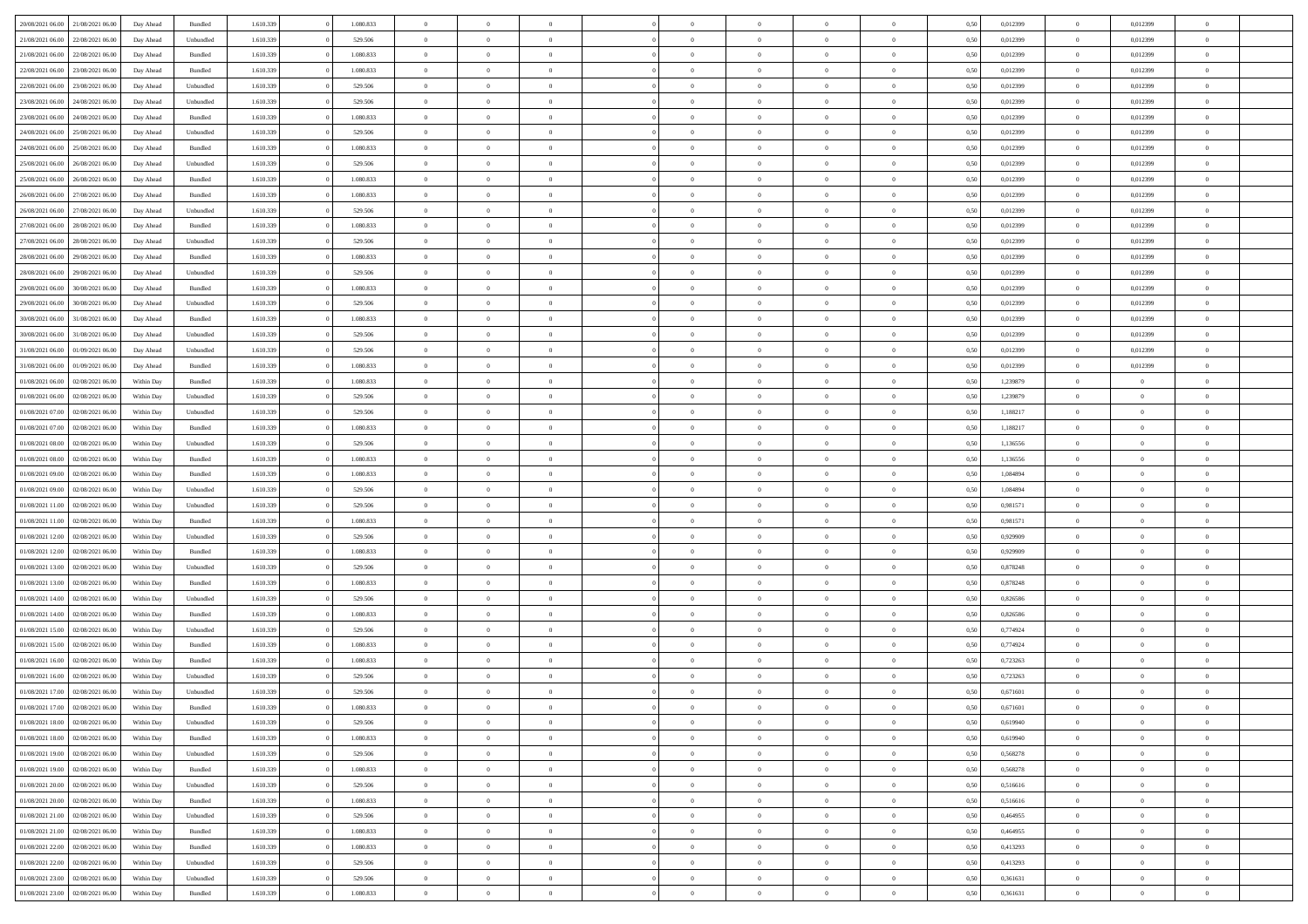| 20/08/2021 06:00 21/08/2021 06:00    | Day Ahead  | Bundled   | 1.610.339 | 1.080.833 | $\overline{0}$ | $\overline{0}$ | $\Omega$       | $\Omega$       | $\theta$       | $\Omega$       | $\overline{0}$ | 0,50 | 0,012399 | $\theta$       | 0,012399       | $\overline{0}$ |  |
|--------------------------------------|------------|-----------|-----------|-----------|----------------|----------------|----------------|----------------|----------------|----------------|----------------|------|----------|----------------|----------------|----------------|--|
| 21/08/2021 06:00<br>22/08/2021 06:00 | Day Ahead  | Unbundled | 1.610.339 | 529.506   | $\overline{0}$ | $\overline{0}$ | $\overline{0}$ | $\overline{0}$ | $\theta$       | $\overline{0}$ | $\bf{0}$       | 0,50 | 0,012399 | $\theta$       | 0,012399       | $\overline{0}$ |  |
| 21/08/2021 06:00<br>22/08/2021 06:00 | Day Ahead  | Bundled   | 1.610.339 | 1.080.833 | $\overline{0}$ | $\bf{0}$       | $\overline{0}$ | $\overline{0}$ | $\overline{0}$ | $\overline{0}$ | $\bf{0}$       | 0,50 | 0,012399 | $\overline{0}$ | 0,012399       | $\overline{0}$ |  |
| 22/08/2021 06:00<br>23/08/2021 06:00 | Day Ahead  | Bundled   | 1.610.339 | 1.080.833 | $\overline{0}$ | $\overline{0}$ | $\overline{0}$ | $\overline{0}$ | $\theta$       | $\overline{0}$ | $\overline{0}$ | 0.50 | 0.012399 | $\theta$       | 0.012399       | $\overline{0}$ |  |
| 22/08/2021 06:00<br>23/08/2021 06:00 | Day Ahead  | Unbundled | 1.610.339 | 529.506   | $\overline{0}$ | $\overline{0}$ | $\overline{0}$ | $\overline{0}$ | $\theta$       | $\overline{0}$ | $\bf{0}$       | 0,50 | 0,012399 | $\theta$       | 0,012399       | $\overline{0}$ |  |
| 23/08/2021 06:00<br>24/08/2021 06:00 | Day Ahead  | Unbundled | 1.610.339 | 529.506   | $\overline{0}$ | $\bf{0}$       | $\overline{0}$ | $\overline{0}$ | $\overline{0}$ | $\overline{0}$ | $\bf{0}$       | 0,50 | 0,012399 | $\overline{0}$ | 0,012399       | $\bf{0}$       |  |
| 23/08/2021 06:00<br>24/08/2021 06:00 | Day Ahead  | Bundled   | 1.610.339 | 1.080.833 | $\overline{0}$ | $\overline{0}$ | $\overline{0}$ | $\overline{0}$ | $\overline{0}$ | $\overline{0}$ | $\overline{0}$ | 0.5( | 0,012399 | $\overline{0}$ | 0.012399       | $\overline{0}$ |  |
| 24/08/2021 06:00<br>25/08/2021 06:00 | Day Ahead  | Unbundled | 1.610.339 | 529.506   | $\overline{0}$ | $\theta$       | $\overline{0}$ | $\overline{0}$ | $\theta$       | $\overline{0}$ | $\bf{0}$       | 0,50 | 0,012399 | $\theta$       | 0,012399       | $\overline{0}$ |  |
|                                      |            |           |           |           |                |                |                |                |                |                |                |      |          |                |                |                |  |
| 24/08/2021 06:00<br>25/08/2021 06:00 | Day Ahead  | Bundled   | 1.610.339 | 1.080.833 | $\overline{0}$ | $\bf{0}$       | $\overline{0}$ | $\overline{0}$ | $\overline{0}$ | $\overline{0}$ | $\bf{0}$       | 0,50 | 0,012399 | $\bf{0}$       | 0,012399       | $\overline{0}$ |  |
| 25/08/2021 06:00<br>26/08/2021 06:00 | Day Ahead  | Unbundled | 1.610.339 | 529.506   | $\overline{0}$ | $\overline{0}$ | $\overline{0}$ | $\overline{0}$ | $\overline{0}$ | $\overline{0}$ | $\overline{0}$ | 0.5( | 0,012399 | $\overline{0}$ | 0,012399       | $\overline{0}$ |  |
| 25/08/2021 06:00<br>26/08/2021 06:00 | Day Ahead  | Bundled   | 1.610.339 | 1.080.833 | $\overline{0}$ | $\overline{0}$ | $\overline{0}$ | $\overline{0}$ | $\theta$       | $\overline{0}$ | $\bf{0}$       | 0,50 | 0,012399 | $\theta$       | 0,012399       | $\overline{0}$ |  |
| 26/08/2021 06:00<br>27/08/2021 06:00 | Day Ahead  | Bundled   | 1.610.339 | 1.080.833 | $\overline{0}$ | $\bf{0}$       | $\overline{0}$ | $\overline{0}$ | $\bf{0}$       | $\overline{0}$ | $\bf{0}$       | 0,50 | 0,012399 | $\overline{0}$ | 0,012399       | $\overline{0}$ |  |
| 26/08/2021 06:00<br>27/08/2021 06:00 | Day Ahead  | Unbundled | 1.610.339 | 529,506   | $\overline{0}$ | $\overline{0}$ | $\overline{0}$ | $\overline{0}$ | $\overline{0}$ | $\overline{0}$ | $\overline{0}$ | 0.5( | 0.012399 | $\theta$       | 0.012399       | $\overline{0}$ |  |
| 27/08/2021 06:00<br>28/08/2021 06:00 | Day Ahead  | Bundled   | 1.610.339 | 1.080.833 | $\overline{0}$ | $\theta$       | $\overline{0}$ | $\overline{0}$ | $\theta$       | $\overline{0}$ | $\bf{0}$       | 0,50 | 0,012399 | $\theta$       | 0,012399       | $\overline{0}$ |  |
| 27/08/2021 06:00<br>28/08/2021 06:00 | Day Ahead  | Unbundled | 1.610.339 | 529.506   | $\overline{0}$ | $\bf{0}$       | $\overline{0}$ | $\overline{0}$ | $\overline{0}$ | $\overline{0}$ | $\bf{0}$       | 0,50 | 0,012399 | $\overline{0}$ | 0,012399       | $\bf{0}$       |  |
| 28/08/2021 06:00<br>29/08/2021 06:00 | Day Ahead  | Bundled   | 1.610.339 | 1.080.833 | $\overline{0}$ | $\overline{0}$ | $\overline{0}$ | $\overline{0}$ | $\overline{0}$ | $\overline{0}$ | $\overline{0}$ | 0.5( | 0,012399 | $\overline{0}$ | 0.012399       | $\overline{0}$ |  |
| 28/08/2021 06:00<br>29/08/2021 06:00 | Day Ahead  | Unbundled | 1.610.339 | 529.506   | $\overline{0}$ | $\overline{0}$ | $\overline{0}$ | $\overline{0}$ | $\theta$       | $\overline{0}$ | $\bf{0}$       | 0,50 | 0,012399 | $\theta$       | 0,012399       | $\overline{0}$ |  |
| 29/08/2021 06:00<br>30/08/2021 06:00 | Day Ahead  | Bundled   | 1.610.339 | 1.080.833 | $\overline{0}$ | $\bf{0}$       | $\overline{0}$ | $\overline{0}$ | $\overline{0}$ | $\bf{0}$       | $\bf{0}$       | 0,50 | 0,012399 | $\overline{0}$ | 0,012399       | $\overline{0}$ |  |
| 29/08/2021 06:00<br>30/08/2021 06:00 | Day Ahead  | Unbundled | 1.610.339 | 529.506   | $\overline{0}$ | $\overline{0}$ | $\overline{0}$ | $\overline{0}$ | $\overline{0}$ | $\overline{0}$ | $\overline{0}$ | 0.5( | 0,012399 | $\overline{0}$ | 0.012399       | $\overline{0}$ |  |
| 30/08/2021 06:00<br>31/08/2021 06:00 | Day Ahead  | Bundled   | 1.610.339 | 1.080.833 | $\bf{0}$       | $\overline{0}$ | $\overline{0}$ | $\overline{0}$ | $\theta$       | $\overline{0}$ | $\bf{0}$       | 0,50 | 0,012399 | $\,$ 0 $\,$    | 0,012399       | $\overline{0}$ |  |
| 30/08/2021 06:00<br>31/08/2021 06:00 | Day Ahead  | Unbundled | 1.610.339 | 529.506   | $\overline{0}$ | $\bf{0}$       | $\overline{0}$ | $\overline{0}$ | $\overline{0}$ | $\overline{0}$ | $\bf{0}$       | 0,50 | 0,012399 | $\overline{0}$ | 0,012399       | $\overline{0}$ |  |
| 31/08/2021 06:00<br>01/09/2021 06:00 | Day Ahead  | Unbundled | 1.610.339 | 529,506   | $\overline{0}$ | $\overline{0}$ | $\overline{0}$ | $\overline{0}$ | $\overline{0}$ | $\overline{0}$ | $\overline{0}$ | 0.5( | 0.012399 | $\overline{0}$ | 0.012399       | $\overline{0}$ |  |
| 31/08/2021 06:00<br>01/09/2021 06:00 | Day Ahead  | Bundled   | 1.610.339 | 1.080.833 | $\overline{0}$ | $\overline{0}$ | $\overline{0}$ | $\overline{0}$ | $\theta$       | $\overline{0}$ | $\bf{0}$       | 0,50 | 0,012399 | $\theta$       | 0,012399       | $\overline{0}$ |  |
| 01/08/2021 06:00<br>02/08/2021 06:00 | Within Day | Bundled   | 1.610.339 | 1.080.833 | $\overline{0}$ | $\bf{0}$       | $\overline{0}$ | $\overline{0}$ | $\overline{0}$ | $\overline{0}$ | $\bf{0}$       | 0,50 | 1,239879 | $\overline{0}$ | $\overline{0}$ | $\bf{0}$       |  |
| 01/08/2021 06:00<br>02/08/2021 06:00 | Within Day | Unbundled | 1.610.339 | 529,506   | $\overline{0}$ | $\overline{0}$ | $\overline{0}$ | $\overline{0}$ | $\overline{0}$ | $\overline{0}$ | $\overline{0}$ | 0.5( | 1,239879 | $\overline{0}$ | $\theta$       | $\overline{0}$ |  |
| 01/08/2021 07:00<br>02/08/2021 06:00 | Within Day | Unbundled | 1.610.339 | 529.506   | $\overline{0}$ | $\overline{0}$ | $\overline{0}$ | $\overline{0}$ | $\theta$       | $\overline{0}$ | $\bf{0}$       | 0,50 | 1,188217 | $\theta$       | $\theta$       | $\overline{0}$ |  |
| 01/08/2021 07:00<br>02/08/2021 06:00 | Within Day | Bundled   | 1.610.339 | 1.080.833 | $\overline{0}$ | $\bf{0}$       | $\overline{0}$ | $\overline{0}$ | $\overline{0}$ | $\bf{0}$       | $\bf{0}$       | 0,50 | 1,188217 | $\bf{0}$       | $\bf{0}$       | $\overline{0}$ |  |
| 01/08/2021 08:00<br>02/08/2021 06:00 | Within Day | Unbundled | 1.610.339 | 529.506   | $\overline{0}$ | $\overline{0}$ | $\overline{0}$ | $\overline{0}$ | $\overline{0}$ | $\overline{0}$ | $\overline{0}$ | 0.5( | 1,136556 | $\theta$       | $\theta$       | $\overline{0}$ |  |
| 01/08/2021 08:00<br>02/08/2021 06:00 | Within Day | Bundled   | 1.610.339 | 1.080.833 | $\bf{0}$       | $\overline{0}$ | $\overline{0}$ | $\overline{0}$ | $\theta$       | $\overline{0}$ | $\bf{0}$       | 0,50 | 1,136556 | $\theta$       | $\theta$       | $\overline{0}$ |  |
| 01/08/2021 09:00<br>02/08/2021 06:00 | Within Day | Bundled   | 1.610.339 | 1.080.833 | $\overline{0}$ | $\bf{0}$       | $\overline{0}$ | $\overline{0}$ | $\bf{0}$       | $\overline{0}$ | $\bf{0}$       | 0,50 | 1,084894 | $\bf{0}$       | $\overline{0}$ | $\overline{0}$ |  |
| 01/08/2021 09:00<br>02/08/2021 06:00 | Within Day | Unbundled | 1.610.339 | 529.506   | $\overline{0}$ | $\Omega$       | $\Omega$       | $\Omega$       | $\Omega$       | $\theta$       | $\overline{0}$ | 0.50 | 1.084894 | $\,$ 0 $\,$    | $\Omega$       | $\theta$       |  |
| 01/08/2021 11:00<br>02/08/2021 06:00 | Within Day | Unbundled | 1.610.339 | 529.506   | $\overline{0}$ | $\overline{0}$ | $\overline{0}$ | $\overline{0}$ | $\theta$       | $\overline{0}$ | $\bf{0}$       | 0,50 | 0,981571 | $\theta$       | $\theta$       | $\overline{0}$ |  |
| 01/08/2021 11:00<br>02/08/2021 06:00 | Within Day | Bundled   | 1.610.339 | 1.080.833 | $\overline{0}$ | $\bf{0}$       | $\overline{0}$ | $\overline{0}$ | $\bf{0}$       | $\overline{0}$ | $\bf{0}$       | 0,50 | 0,981571 | $\overline{0}$ | $\overline{0}$ | $\bf{0}$       |  |
|                                      |            | Unbundled | 1.610.339 |           | $\overline{0}$ | $\overline{0}$ | $\Omega$       | $\Omega$       | $\overline{0}$ | $\theta$       | $\overline{0}$ | 0.50 |          | $\theta$       | $\Omega$       | $\theta$       |  |
| 01/08/2021 12:00<br>02/08/2021 06:00 | Within Day |           |           | 529.506   |                |                |                |                |                |                |                |      | 0,929909 |                |                |                |  |
| 01/08/2021 12:00<br>02/08/2021 06:00 | Within Day | Bundled   | 1.610.339 | 1.080.833 | $\bf{0}$       | $\overline{0}$ | $\overline{0}$ | $\overline{0}$ | $\theta$       | $\overline{0}$ | $\bf{0}$       | 0,50 | 0,929909 | $\theta$       | $\theta$       | $\overline{0}$ |  |
| 01/08/2021 13:00<br>02/08/2021 06:00 | Within Day | Unbundled | 1.610.339 | 529.506   | $\overline{0}$ | $\bf{0}$       | $\overline{0}$ | $\overline{0}$ | $\overline{0}$ | $\bf{0}$       | $\bf{0}$       | 0,50 | 0,878248 | $\bf{0}$       | $\overline{0}$ | $\overline{0}$ |  |
| 01/08/2021 13:00<br>02/08/2021 06:00 | Within Day | Bundled   | 1.610.339 | 1.080.833 | $\overline{0}$ | $\theta$       | $\Omega$       | $\Omega$       | $\Omega$       | $\Omega$       | $\overline{0}$ | 0.50 | 0,878248 | $\theta$       | $\Omega$       | $\theta$       |  |
| 01/08/2021 14:00<br>02/08/2021 06:00 | Within Day | Unbundled | 1.610.339 | 529.506   | $\bf{0}$       | $\overline{0}$ | $\overline{0}$ | $\overline{0}$ | $\theta$       | $\overline{0}$ | $\bf{0}$       | 0,50 | 0,826586 | $\theta$       | $\theta$       | $\overline{0}$ |  |
| 01/08/2021 14:00<br>02/08/2021 06:00 | Within Day | Bundled   | 1.610.339 | 1.080.833 | $\overline{0}$ | $\bf{0}$       | $\overline{0}$ | $\overline{0}$ | $\overline{0}$ | $\overline{0}$ | $\bf{0}$       | 0,50 | 0,826586 | $\bf{0}$       | $\overline{0}$ | $\overline{0}$ |  |
| 01/08/2021 15:00<br>02/08/2021 06:00 | Within Day | Unbundled | 1.610.339 | 529.506   | $\overline{0}$ | $\overline{0}$ | $\Omega$       | $\Omega$       | $\Omega$       | $\theta$       | $\overline{0}$ | 0.50 | 0,774924 | $\,$ 0 $\,$    | $\Omega$       | $\theta$       |  |
| 01/08/2021 15:00<br>02/08/2021 06:00 | Within Day | Bundled   | 1.610.339 | 1.080.833 | $\bf{0}$       | $\overline{0}$ | $\overline{0}$ | $\overline{0}$ | $\theta$       | $\overline{0}$ | $\bf{0}$       | 0,50 | 0,774924 | $\theta$       | $\theta$       | $\overline{0}$ |  |
| 01/08/2021 16:00<br>02/08/2021 06:00 | Within Day | Bundled   | 1.610.339 | 1.080.833 | $\overline{0}$ | $\bf{0}$       | $\overline{0}$ | $\overline{0}$ | $\overline{0}$ | $\overline{0}$ | $\bf{0}$       | 0,50 | 0,723263 | $\overline{0}$ | $\overline{0}$ | $\bf{0}$       |  |
| 01/08/2021 16:00<br>02/08/2021 06:00 | Within Day | Unbundled | 1.610.339 | 529.506   | $\overline{0}$ | $\Omega$       | $\Omega$       | $\Omega$       | $\Omega$       | $\theta$       | $\overline{0}$ | 0.50 | 0,723263 | $\theta$       | $\Omega$       | $\theta$       |  |
| 01/08/2021 17:00 02/08/2021 06:00    | Within Day | Unbundled | 1.610.339 | 529.506   | $\bf{0}$       | $\bf{0}$       | $\overline{0}$ | $\overline{0}$ | $\bf{0}$       | $\overline{0}$ | $\bf{0}$       | 0,50 | 0,671601 | $\bf{0}$       | $\bf{0}$       | $\overline{0}$ |  |
| 01/08/2021 17:00 02/08/2021 06:00    | Within Day | Bundled   | 1.610.339 | 1.080.833 | $\bf{0}$       |                |                |                |                |                |                | 0,50 | 0,671601 | $\bf{0}$       | $\bf{0}$       |                |  |
| 01/08/2021 18:00 02/08/2021 06:00    | Within Day | Unbundled | 1.610.339 | 529.506   | $\Omega$       | $\overline{0}$ | $\Omega$       | $\theta$       | $\overline{0}$ | $\theta$       | $\overline{0}$ | 0.50 | 0.619940 | $\theta$       | $\theta$       | $\theta$       |  |
| 01/08/2021 18:00<br>02/08/2021 06:00 | Within Day | Bundled   | 1.610.339 | 1.080.833 | $\overline{0}$ | $\overline{0}$ | $\overline{0}$ | $\overline{0}$ | $\,$ 0 $\,$    | $\overline{0}$ | $\,$ 0 $\,$    | 0,50 | 0,619940 | $\,$ 0 $\,$    | $\,$ 0 $\,$    | $\,$ 0         |  |
| 01/08/2021 19:00 02/08/2021 06:00    | Within Day | Unbundled | 1.610.339 | 529.506   | $\overline{0}$ | $\overline{0}$ | $\overline{0}$ | $\overline{0}$ | $\overline{0}$ | $\overline{0}$ | $\bf{0}$       | 0,50 | 0,568278 | $\overline{0}$ | $\bf{0}$       | $\overline{0}$ |  |
| 02/08/2021 06:00<br>01/08/2021 19:00 | Within Day | Bundled   | 1.610.339 | 1.080.833 | $\overline{0}$ | $\bf{0}$       | $\overline{0}$ | $\overline{0}$ | $\overline{0}$ | $\overline{0}$ | $\bf{0}$       | 0,50 | 0,568278 | $\bf{0}$       | $\theta$       | $\overline{0}$ |  |
| 01/08/2021 20:00<br>02/08/2021 06:00 | Within Day | Unbundled | 1.610.339 | 529.506   | $\overline{0}$ | $\overline{0}$ | $\overline{0}$ | $\overline{0}$ | $\overline{0}$ | $\overline{0}$ | $\bf{0}$       | 0,50 | 0,516616 | $\,$ 0 $\,$    | $\,$ 0 $\,$    | $\overline{0}$ |  |
| 01/08/2021 20:00 02/08/2021 06:00    | Within Day | Bundled   | 1.610.339 | 1.080.833 | $\overline{0}$ | $\overline{0}$ | $\overline{0}$ | $\overline{0}$ | $\mathbf{0}$   | $\overline{0}$ | $\bf{0}$       | 0,50 | 0,516616 | $\overline{0}$ | $\overline{0}$ | $\overline{0}$ |  |
| 01/08/2021 21:00<br>02/08/2021 06:00 | Within Day | Unbundled | 1.610.339 | 529.506   | $\overline{0}$ | $\bf{0}$       | $\overline{0}$ | $\overline{0}$ | $\overline{0}$ | $\overline{0}$ | $\bf{0}$       | 0.50 | 0.464955 | $\overline{0}$ | $\theta$       | $\overline{0}$ |  |
| 01/08/2021 21:00<br>02/08/2021 06:00 | Within Day | Bundled   | 1.610.339 | 1.080.833 | $\overline{0}$ | $\overline{0}$ | $\overline{0}$ | $\overline{0}$ | $\overline{0}$ | $\overline{0}$ | $\bf{0}$       | 0,50 | 0,464955 | $\,$ 0 $\,$    | $\bf{0}$       | $\overline{0}$ |  |
| 02/08/2021 06:00<br>01/08/2021 22:00 | Within Day | Bundled   | 1.610.339 | 1.080.833 | $\overline{0}$ | $\bf{0}$       | $\overline{0}$ | $\overline{0}$ | $\overline{0}$ | $\overline{0}$ | $\bf{0}$       | 0,50 | 0,413293 | $\bf{0}$       | $\overline{0}$ | $\bf{0}$       |  |
| 01/08/2021 22:00<br>02/08/2021 06:00 | Within Day | Unbundled | 1.610.339 | 529.506   | $\overline{0}$ | $\overline{0}$ | $\overline{0}$ | $\overline{0}$ | $\overline{0}$ | $\overline{0}$ | $\bf{0}$       | 0.50 | 0,413293 | $\overline{0}$ | $\theta$       | $\overline{0}$ |  |
| 01/08/2021 23:00<br>02/08/2021 06:00 | Within Day | Unbundled | 1.610.339 | 529.506   | $\overline{0}$ | $\,$ 0         | $\overline{0}$ | $\overline{0}$ | $\bf{0}$       | $\bf{0}$       | $\bf{0}$       | 0,50 | 0,361631 | $\,$ 0 $\,$    | $\,$ 0 $\,$    | $\bf{0}$       |  |
| 01/08/2021 23:00 02/08/2021 06:00    | Within Day | Bundled   | 1.610.339 | 1.080.833 | $\overline{0}$ | $\bf{0}$       | $\overline{0}$ | $\overline{0}$ | $\overline{0}$ | $\overline{0}$ | $\bf{0}$       | 0,50 | 0,361631 | $\overline{0}$ | $\bf{0}$       | $\overline{0}$ |  |
|                                      |            |           |           |           |                |                |                |                |                |                |                |      |          |                |                |                |  |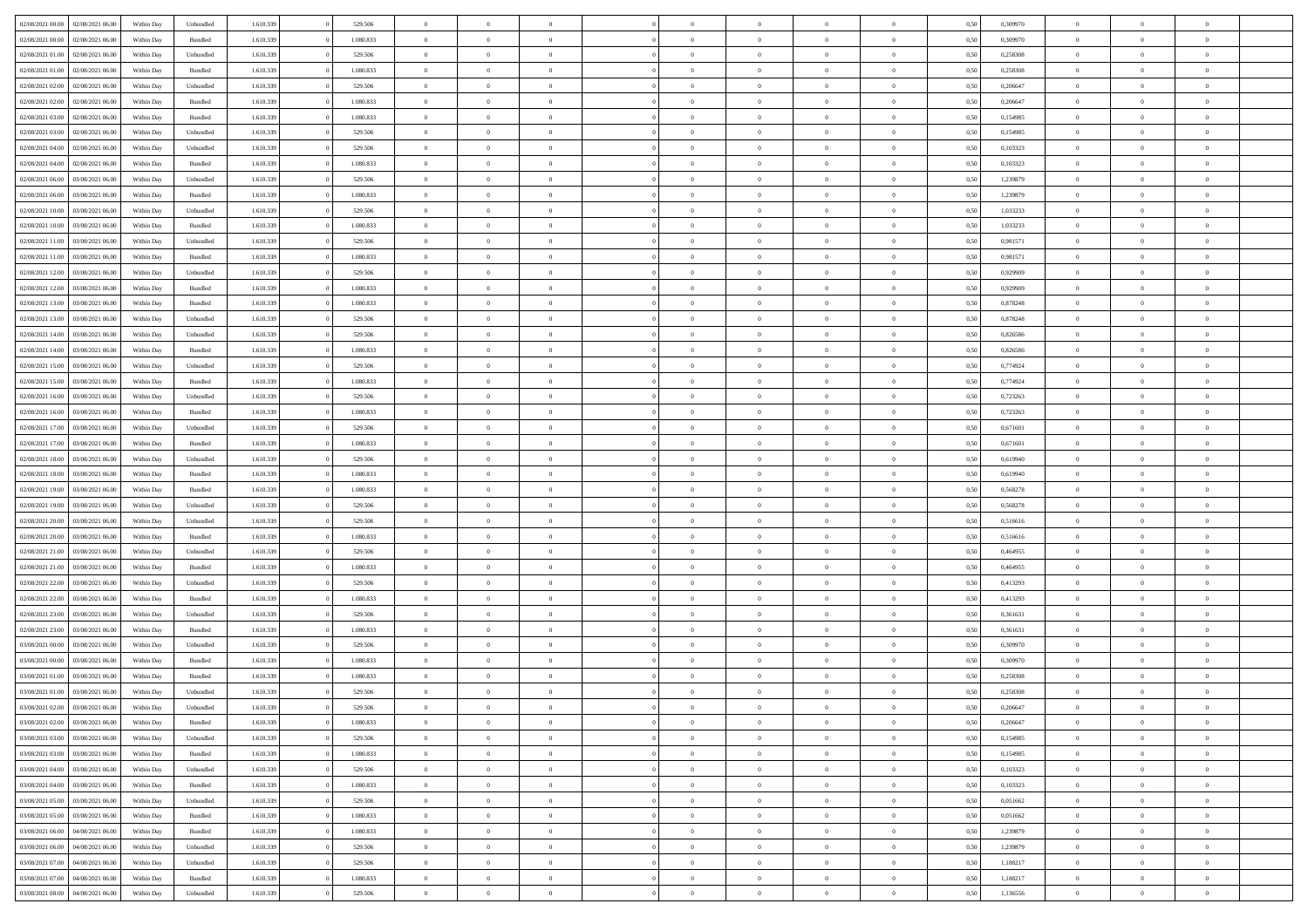| 02/08/2021 00:00                  | 02/08/2021 06:00 | Within Dav | Unbundled | 1.610.339 | 529.506   | $\overline{0}$ | $\Omega$       |                | $\Omega$       | $\Omega$       | $\theta$       | $\theta$       | 0,50 | 0,309970 | $\theta$       | $\theta$       | $\theta$       |  |
|-----------------------------------|------------------|------------|-----------|-----------|-----------|----------------|----------------|----------------|----------------|----------------|----------------|----------------|------|----------|----------------|----------------|----------------|--|
|                                   |                  |            |           |           |           |                |                |                |                |                |                |                |      |          |                |                |                |  |
| 02/08/2021 00:00                  | 02/08/2021 06:00 | Within Day | Bundled   | 1.610.339 | 1.080.833 | $\overline{0}$ | $\theta$       | $\overline{0}$ | $\overline{0}$ | $\bf{0}$       | $\overline{0}$ | $\bf{0}$       | 0,50 | 0,309970 | $\theta$       | $\theta$       | $\overline{0}$ |  |
| 02/08/2021 01:00                  | 02/08/2021 06:00 | Within Day | Unbundled | 1.610.339 | 529.506   | $\overline{0}$ | $\overline{0}$ | $\overline{0}$ | $\bf{0}$       | $\bf{0}$       | $\bf{0}$       | $\bf{0}$       | 0,50 | 0,258308 | $\bf{0}$       | $\overline{0}$ | $\overline{0}$ |  |
| 02/08/2021 01:00                  | 02/08/2021 06:00 | Within Dav | Bundled   | 1.610.339 | 1.080.833 | $\overline{0}$ | $\overline{0}$ | $\overline{0}$ | $\overline{0}$ | $\bf{0}$       | $\overline{0}$ | $\overline{0}$ | 0.50 | 0,258308 | $\theta$       | $\theta$       | $\overline{0}$ |  |
|                                   |                  |            |           |           |           |                |                |                |                |                |                |                |      |          |                |                |                |  |
| 02/08/2021 02:00                  | 02/08/2021 06:00 | Within Day | Unbundled | 1.610.339 | 529.506   | $\overline{0}$ | $\theta$       | $\overline{0}$ | $\overline{0}$ | $\bf{0}$       | $\overline{0}$ | $\bf{0}$       | 0,50 | 0,206647 | $\theta$       | $\theta$       | $\overline{0}$ |  |
| 02/08/2021 02:00                  | 02/08/2021 06:00 | Within Day | Bundled   | 1.610.339 | 1.080.833 | $\overline{0}$ | $\overline{0}$ | $\overline{0}$ | $\bf{0}$       | $\overline{0}$ | $\overline{0}$ | $\mathbf{0}$   | 0,50 | 0,206647 | $\overline{0}$ | $\overline{0}$ | $\bf{0}$       |  |
| 02/08/2021 03:00                  | 02/08/2021 06:00 | Within Dav | Bundled   | 1.610.339 | 1.080.833 | $\overline{0}$ | $\overline{0}$ | $\overline{0}$ | $\overline{0}$ | $\overline{0}$ | $\overline{0}$ | $\overline{0}$ | 0.50 | 0,154985 | $\theta$       | $\overline{0}$ | $\overline{0}$ |  |
| 02/08/2021 03:00                  | 02/08/2021 06:00 | Within Day | Unbundled | 1.610.339 | 529.506   | $\overline{0}$ | $\theta$       | $\overline{0}$ | $\overline{0}$ | $\bf{0}$       | $\overline{0}$ | $\bf{0}$       | 0,50 | 0,154985 | $\theta$       | $\theta$       | $\overline{0}$ |  |
|                                   |                  |            |           |           |           |                | $\overline{0}$ |                |                | $\bf{0}$       |                |                |      |          | $\,0\,$        | $\overline{0}$ | $\overline{0}$ |  |
| 02/08/2021 04:00                  | 02/08/2021 06:00 | Within Day | Unbundled | 1.610.339 | 529.506   | $\overline{0}$ |                | $\overline{0}$ | $\bf{0}$       |                | $\bf{0}$       | $\bf{0}$       | 0,50 | 0,103323 |                |                |                |  |
| 02/08/2021 04:00                  | 02/08/2021 06:00 | Within Dav | Bundled   | 1.610.339 | 1.080.833 | $\overline{0}$ | $\overline{0}$ | $\overline{0}$ | $\overline{0}$ | $\overline{0}$ | $\overline{0}$ | $\overline{0}$ | 0.50 | 0,103323 | $\theta$       | $\overline{0}$ | $\overline{0}$ |  |
| 02/08/2021 06:00                  | 03/08/2021 06:00 | Within Day | Unbundled | 1.610.339 | 529.506   | $\overline{0}$ | $\theta$       | $\overline{0}$ | $\overline{0}$ | $\bf{0}$       | $\overline{0}$ | $\bf{0}$       | 0,50 | 1,239879 | $\,$ 0 $\,$    | $\overline{0}$ | $\overline{0}$ |  |
| 02/08/2021 06:00                  | 03/08/2021 06:00 | Within Day | Bundled   | 1.610.339 | 1.080.833 | $\overline{0}$ | $\overline{0}$ | $\overline{0}$ | $\bf{0}$       | $\bf{0}$       | $\bf{0}$       | $\bf{0}$       | 0,50 | 1,239879 | $\overline{0}$ | $\overline{0}$ | $\overline{0}$ |  |
| 02/08/2021 10:00                  | 03/08/2021 06:00 | Within Day | Unbundled | 1.610.339 | 529.506   | $\overline{0}$ | $\overline{0}$ | $\overline{0}$ | $\overline{0}$ | $\bf{0}$       | $\overline{0}$ | $\overline{0}$ | 0.50 | 1,033233 | $\theta$       | $\theta$       | $\overline{0}$ |  |
|                                   |                  |            |           |           |           | $\overline{0}$ | $\theta$       |                |                |                |                |                |      |          | $\theta$       | $\overline{0}$ |                |  |
| 02/08/2021 10:00                  | 03/08/2021 06:00 | Within Day | Bundled   | 1.610.339 | 1.080.833 |                |                | $\overline{0}$ | $\overline{0}$ | $\bf{0}$       | $\overline{0}$ | $\bf{0}$       | 0,50 | 1,033233 |                |                | $\overline{0}$ |  |
| 02/08/2021 11:00                  | 03/08/2021 06:00 | Within Day | Unbundled | 1.610.339 | 529.506   | $\overline{0}$ | $\overline{0}$ | $\overline{0}$ | $\bf{0}$       | $\overline{0}$ | $\overline{0}$ | $\mathbf{0}$   | 0,50 | 0,981571 | $\overline{0}$ | $\overline{0}$ | $\bf{0}$       |  |
| 02/08/2021 11:00                  | 03/08/2021 06:00 | Within Dav | Bundled   | 1.610.339 | 1.080.833 | $\overline{0}$ | $\overline{0}$ | $\overline{0}$ | $\overline{0}$ | $\overline{0}$ | $\overline{0}$ | $\overline{0}$ | 0.50 | 0.981571 | $\theta$       | $\overline{0}$ | $\overline{0}$ |  |
| 02/08/2021 12:00                  | 03/08/2021 06:00 | Within Day | Unbundled | 1.610.339 | 529.506   | $\overline{0}$ | $\theta$       | $\overline{0}$ | $\overline{0}$ | $\bf{0}$       | $\overline{0}$ | $\bf{0}$       | 0,50 | 0,929909 | $\theta$       | $\theta$       | $\overline{0}$ |  |
| 02/08/2021 12:00                  | 03/08/2021 06:00 | Within Day | Bundled   | 1.610.339 | 1.080.833 | $\overline{0}$ | $\overline{0}$ | $\overline{0}$ | $\bf{0}$       | $\bf{0}$       | $\bf{0}$       | $\bf{0}$       | 0,50 | 0,929909 | $\,0\,$        | $\overline{0}$ | $\overline{0}$ |  |
|                                   |                  |            |           |           |           |                |                |                |                |                |                |                |      |          |                |                |                |  |
| 02/08/2021 13:00                  | 03/08/2021 06:00 | Within Day | Bundled   | 1.610.339 | 1.080.833 | $\overline{0}$ | $\overline{0}$ | $\overline{0}$ | $\overline{0}$ | $\overline{0}$ | $\overline{0}$ | $\overline{0}$ | 0.50 | 0,878248 | $\theta$       | $\overline{0}$ | $\overline{0}$ |  |
| 02/08/2021 13:00                  | 03/08/2021 06:00 | Within Day | Unbundled | 1.610.339 | 529.506   | $\overline{0}$ | $\theta$       | $\overline{0}$ | $\overline{0}$ | $\bf{0}$       | $\overline{0}$ | $\bf{0}$       | 0,50 | 0,878248 | $\,$ 0 $\,$    | $\theta$       | $\overline{0}$ |  |
| 02/08/2021 14:00                  | 03/08/2021 06:00 | Within Day | Unbundled | 1.610.339 | 529.506   | $\overline{0}$ | $\overline{0}$ | $\overline{0}$ | $\bf{0}$       | $\bf{0}$       | $\bf{0}$       | $\bf{0}$       | 0,50 | 0,826586 | $\bf{0}$       | $\overline{0}$ | $\overline{0}$ |  |
| 02/08/2021 14:00                  | 03/08/2021 06:00 | Within Day | Bundled   | 1.610.339 | 1.080.833 | $\overline{0}$ | $\overline{0}$ | $\overline{0}$ | $\overline{0}$ | $\bf{0}$       | $\overline{0}$ | $\overline{0}$ | 0.50 | 0.826586 | $\theta$       | $\overline{0}$ | $\overline{0}$ |  |
| 02/08/2021 15:00                  | 03/08/2021 06:00 |            |           | 1.610.339 | 529.506   | $\overline{0}$ | $\theta$       | $\overline{0}$ | $\overline{0}$ | $\bf{0}$       | $\overline{0}$ |                |      | 0,774924 | $\,$ 0 $\,$    | $\overline{0}$ | $\overline{0}$ |  |
|                                   |                  | Within Day | Unbundled |           |           |                |                |                |                |                |                | $\bf{0}$       | 0,50 |          |                |                |                |  |
| 02/08/2021 15:00                  | 03/08/2021 06:00 | Within Day | Bundled   | 1.610.339 | 1.080.833 | $\overline{0}$ | $\bf{0}$       | $\overline{0}$ | $\bf{0}$       | $\overline{0}$ | $\overline{0}$ | $\mathbf{0}$   | 0,50 | 0,774924 | $\overline{0}$ | $\overline{0}$ | $\bf{0}$       |  |
| 02/08/2021 16:00                  | 03/08/2021 06:00 | Within Dav | Unbundled | 1.610.339 | 529.506   | $\overline{0}$ | $\overline{0}$ | $\overline{0}$ | $\overline{0}$ | $\overline{0}$ | $\overline{0}$ | $\overline{0}$ | 0.50 | 0,723263 | $\theta$       | $\overline{0}$ | $\overline{0}$ |  |
| 02/08/2021 16:00                  | 03/08/2021 06:00 | Within Day | Bundled   | 1.610.339 | 1.080.833 | $\overline{0}$ | $\theta$       | $\overline{0}$ | $\overline{0}$ | $\bf{0}$       | $\overline{0}$ | $\bf{0}$       | 0,50 | 0,723263 | $\theta$       | $\theta$       | $\overline{0}$ |  |
| 02/08/2021 17:00                  | 03/08/2021 06:00 | Within Day | Unbundled | 1.610.339 | 529.506   | $\overline{0}$ | $\overline{0}$ | $\overline{0}$ | $\bf{0}$       | $\bf{0}$       | $\bf{0}$       | $\bf{0}$       | 0,50 | 0,671601 | $\,0\,$        | $\overline{0}$ | $\overline{0}$ |  |
|                                   | 03/08/2021 06:00 |            | Bundled   | 1.610.339 | 1.080.833 | $\overline{0}$ | $\overline{0}$ | $\overline{0}$ | $\overline{0}$ | $\overline{0}$ | $\overline{0}$ | $\overline{0}$ | 0.50 | 0,671601 | $\theta$       | $\overline{0}$ | $\overline{0}$ |  |
| 02/08/2021 17:00                  |                  | Within Day |           |           |           |                |                |                |                |                |                |                |      |          |                |                |                |  |
| 02/08/2021 18:00                  | 03/08/2021 06:00 | Within Day | Unbundled | 1.610.339 | 529.506   | $\overline{0}$ | $\theta$       | $\overline{0}$ | $\overline{0}$ | $\bf{0}$       | $\overline{0}$ | $\bf{0}$       | 0,50 | 0,619940 | $\,$ 0 $\,$    | $\overline{0}$ | $\overline{0}$ |  |
| 02/08/2021 18:00                  | 03/08/2021 06:00 | Within Day | Bundled   | 1.610.339 | 1.080.833 | $\overline{0}$ | $\overline{0}$ | $\overline{0}$ | $\bf{0}$       | $\bf{0}$       | $\bf{0}$       | $\bf{0}$       | 0,50 | 0,619940 | $\bf{0}$       | $\overline{0}$ | $\overline{0}$ |  |
| 02/08/2021 19:00                  | 03/08/2021 06:00 | Within Day | Bundled   | 1.610.339 | 1.080.833 | $\overline{0}$ | $\Omega$       | $\Omega$       | $\Omega$       | $\Omega$       | $\Omega$       | $\overline{0}$ | 0,50 | 0,568278 | $\,0\,$        | $\theta$       | $\theta$       |  |
| 02/08/2021 19:00                  | 03/08/2021 06:00 | Within Day | Unbundled | 1.610.339 | 529.506   | $\overline{0}$ | $\theta$       | $\overline{0}$ | $\overline{0}$ | $\bf{0}$       | $\overline{0}$ | $\bf{0}$       | 0,50 | 0,568278 | $\,$ 0 $\,$    | $\theta$       | $\overline{0}$ |  |
|                                   |                  |            |           |           |           |                |                |                |                |                |                |                |      |          |                |                |                |  |
| 02/08/2021 20:00                  | 03/08/2021 06:00 | Within Day | Unbundled | 1.610.339 | 529.506   | $\overline{0}$ | $\overline{0}$ | $\overline{0}$ | $\bf{0}$       | $\bf{0}$       | $\overline{0}$ | $\mathbf{0}$   | 0,50 | 0,516616 | $\bf{0}$       | $\overline{0}$ | $\bf{0}$       |  |
| 02/08/2021 20:00                  | 03/08/2021 06:00 | Within Day | Bundled   | 1.610.339 | 1.080.833 | $\overline{0}$ | $\Omega$       | $\Omega$       | $\Omega$       | $\bf{0}$       | $\overline{0}$ | $\overline{0}$ | 0.50 | 0,516616 | $\,0\,$        | $\theta$       | $\theta$       |  |
| 02/08/2021 21:00                  | 03/08/2021 06:00 | Within Day | Unbundled | 1.610.339 | 529.506   | $\overline{0}$ | $\theta$       | $\overline{0}$ | $\overline{0}$ | $\bf{0}$       | $\overline{0}$ | $\bf{0}$       | 0,50 | 0,464955 | $\,$ 0 $\,$    | $\theta$       | $\overline{0}$ |  |
| 02/08/2021 21.00                  | 03/08/2021 06:00 | Within Day | Bundled   | 1.610.339 | 1.080.833 | $\overline{0}$ | $\overline{0}$ | $\overline{0}$ | $\bf{0}$       | $\bf{0}$       | $\bf{0}$       | $\bf{0}$       | 0,50 | 0,464955 | $\bf{0}$       | $\overline{0}$ | $\overline{0}$ |  |
| 02/08/2021 22:00                  | 03/08/2021 06:00 | Within Day | Unbundled | 1.610.339 | 529.506   | $\overline{0}$ | $\Omega$       | $\Omega$       | $\Omega$       | $\theta$       | $\theta$       | $\overline{0}$ | 0.50 | 0,413293 | $\,$ 0 $\,$    | $\theta$       | $\theta$       |  |
|                                   |                  |            |           |           |           |                |                |                |                |                |                |                |      |          |                |                |                |  |
| 02/08/2021 22:00                  | 03/08/2021 06:00 | Within Day | Bundled   | 1.610.339 | 1.080.833 | $\overline{0}$ | $\theta$       | $\overline{0}$ | $\overline{0}$ | $\bf{0}$       | $\overline{0}$ | $\bf{0}$       | 0,50 | 0,413293 | $\,$ 0 $\,$    | $\overline{0}$ | $\overline{0}$ |  |
| 02/08/2021 23.00                  | 03/08/2021 06:00 | Within Day | Unbundled | 1.610.339 | 529.506   | $\overline{0}$ | $\overline{0}$ | $\overline{0}$ | $\bf{0}$       | $\bf{0}$       | $\bf{0}$       | $\bf{0}$       | 0,50 | 0,361631 | $\bf{0}$       | $\overline{0}$ | $\overline{0}$ |  |
| 02/08/2021 23:00                  | 03/08/2021 06:00 | Within Day | Bundled   | 1.610.339 | 1.080.833 | $\overline{0}$ | $\Omega$       | $\overline{0}$ | $\Omega$       | $\Omega$       | $\overline{0}$ | $\overline{0}$ | 0.50 | 0,361631 | $\,0\,$        | $\theta$       | $\theta$       |  |
| 03/08/2021 00:00                  | 03/08/2021 06:00 | Within Day | Unbundled | 1.610.339 | 529.506   | $\overline{0}$ | $\theta$       | $\overline{0}$ | $\overline{0}$ | $\bf{0}$       | $\overline{0}$ | $\bf{0}$       | 0,50 | 0,309970 | $\,$ 0 $\,$    | $\overline{0}$ | $\overline{0}$ |  |
| 03/08/2021 00:00                  | 03/08/2021 06:00 | Within Day | Bundled   | 1.610.339 | 1.080.833 | $\overline{0}$ | $\overline{0}$ | $\overline{0}$ | $\bf{0}$       | $\bf{0}$       | $\bf{0}$       | $\mathbf{0}$   | 0,50 | 0,309970 | $\overline{0}$ | $\overline{0}$ | $\bf{0}$       |  |
|                                   |                  |            |           |           |           |                |                |                |                |                |                |                |      |          |                |                |                |  |
| 03/08/2021 01:00                  | 03/08/2021 06:00 | Within Day | Bundled   | 1.610.339 | 1.080.833 | $\overline{0}$ | $\Omega$       | $\Omega$       | $\Omega$       | $\Omega$       | $\Omega$       | $\overline{0}$ | 0.50 | 0,258308 | $\theta$       | $\theta$       | $\theta$       |  |
| 03/08/2021 01:00                  | 03/08/2021 06:00 | Within Day | Unbundled | 1.610.339 | 529.506   | $\overline{0}$ | $\overline{0}$ | $\overline{0}$ | $\bf{0}$       | $\,$ 0         | $\bf{0}$       | $\bf{0}$       | 0,50 | 0,258308 | $\,0\,$        | $\overline{0}$ | $\overline{0}$ |  |
| 03/08/2021 02:00 03/08/2021 06:00 |                  | Within Day | Unbundled | 1.610.339 | 529.506   | $\bf{0}$       | $\bf{0}$       |                |                | $\bf{0}$       |                |                | 0,50 | 0,206647 | $\bf{0}$       | $\overline{0}$ |                |  |
| 03/08/2021 02:00                  | 03/08/2021 06:00 | Within Day | Bundled   | 1.610.339 | 1.080.833 | $\overline{0}$ | $\overline{0}$ | $\overline{0}$ | $\Omega$       | $\overline{0}$ | $\overline{0}$ | $\overline{0}$ | 0.50 | 0.206647 | $\theta$       | $\theta$       | $\Omega$       |  |
| 03/08/2021 03:00                  | 03/08/2021 06:00 | Within Day | Unbundled | 1.610.339 | 529.506   | $\overline{0}$ | $\bf{0}$       | $\overline{0}$ | $\bf{0}$       | $\,$ 0 $\,$    | $\overline{0}$ | $\,$ 0 $\,$    | 0,50 | 0,154985 | $\,$ 0 $\,$    | $\,$ 0 $\,$    | $\,$ 0         |  |
|                                   |                  |            |           |           |           |                |                |                |                |                |                |                |      |          |                |                |                |  |
| 03/08/2021 03:00                  | 03/08/2021 06:00 | Within Day | Bundled   | 1.610.339 | 1.080.833 | $\overline{0}$ | $\overline{0}$ | $\overline{0}$ | $\overline{0}$ | $\overline{0}$ | $\overline{0}$ | $\mathbf{0}$   | 0,50 | 0,154985 | $\overline{0}$ | $\bf{0}$       | $\overline{0}$ |  |
| 03/08/2021 04:00                  | 03/08/2021 06:00 | Within Day | Unbundled | 1.610.339 | 529.506   | $\overline{0}$ | $\overline{0}$ | $\overline{0}$ | $\Omega$       | $\overline{0}$ | $\overline{0}$ | $\overline{0}$ | 0,50 | 0,103323 | $\overline{0}$ | $\,0\,$        | $\overline{0}$ |  |
| 03/08/2021 04:00                  | 03/08/2021 06:00 | Within Day | Bundled   | 1.610.339 | 1.080.833 | $\overline{0}$ | $\,$ 0         | $\overline{0}$ | $\bf{0}$       | $\,$ 0 $\,$    | $\overline{0}$ | $\mathbf{0}$   | 0,50 | 0,103323 | $\,$ 0 $\,$    | $\overline{0}$ | $\overline{0}$ |  |
| 03/08/2021 05:00                  | 03/08/2021 06:00 | Within Day | Unbundled | 1.610.339 | 529.506   | $\overline{0}$ | $\overline{0}$ | $\overline{0}$ | $\overline{0}$ | $\overline{0}$ | $\overline{0}$ | $\mathbf{0}$   | 0,50 | 0,051662 | $\overline{0}$ | $\overline{0}$ | $\bf{0}$       |  |
| 03/08/2021 05:00                  | 03/08/2021 06:00 | Within Day | Bundled   | 1.610.339 | 1.080.833 | $\overline{0}$ | $\overline{0}$ | $\overline{0}$ | $\overline{0}$ | $\overline{0}$ | $\overline{0}$ | $\bf{0}$       | 0.50 | 0.051662 | $\overline{0}$ | $\theta$       | $\overline{0}$ |  |
|                                   |                  |            |           |           |           |                |                |                |                |                |                |                |      |          |                |                |                |  |
| 03/08/2021 06:00                  | 04/08/2021 06:00 | Within Day | Bundled   | 1.610.339 | 1.080.833 | $\overline{0}$ | $\,$ 0         | $\overline{0}$ | $\bf{0}$       | $\bf{0}$       | $\bf{0}$       | $\bf{0}$       | 0,50 | 1,239879 | $\,$ 0 $\,$    | $\overline{0}$ | $\overline{0}$ |  |
| 03/08/2021 06:00                  | 04/08/2021 06:00 | Within Day | Unbundled | 1.610.339 | 529.506   | $\overline{0}$ | $\bf{0}$       | $\overline{0}$ | $\overline{0}$ | $\overline{0}$ | $\overline{0}$ | $\mathbf{0}$   | 0,50 | 1,239879 | $\overline{0}$ | $\overline{0}$ | $\bf{0}$       |  |
| 03/08/2021 07:00                  | 04/08/2021 06:00 | Within Day | Unbundled | 1.610.339 | 529.506   | $\overline{0}$ | $\overline{0}$ | $\overline{0}$ | $\Omega$       | $\overline{0}$ | $\overline{0}$ | $\overline{0}$ | 0.50 | 1,188217 | $\overline{0}$ | $\overline{0}$ | $\overline{0}$ |  |
| 03/08/2021 07:00                  | 04/08/2021 06:00 | Within Day | Bundled   | 1.610.339 | 1.080.833 | $\overline{0}$ | $\bf{0}$       | $\overline{0}$ | $\bf{0}$       | $\bf{0}$       | $\bf{0}$       | $\mathbf{0}$   | 0,50 | 1,188217 | $\,$ 0 $\,$    | $\,$ 0 $\,$    | $\bf{0}$       |  |
|                                   |                  |            |           |           |           |                |                |                |                |                |                |                |      |          |                |                |                |  |
| 03/08/2021 08:00                  | 04/08/2021 06:00 | Within Day | Unbundled | 1.610.339 | 529.506   | $\overline{0}$ | $\overline{0}$ | $\overline{0}$ | $\overline{0}$ | $\overline{0}$ | $\bf{0}$       | $\mathbf{0}$   | 0,50 | 1,136556 | $\overline{0}$ | $\bf{0}$       | $\overline{0}$ |  |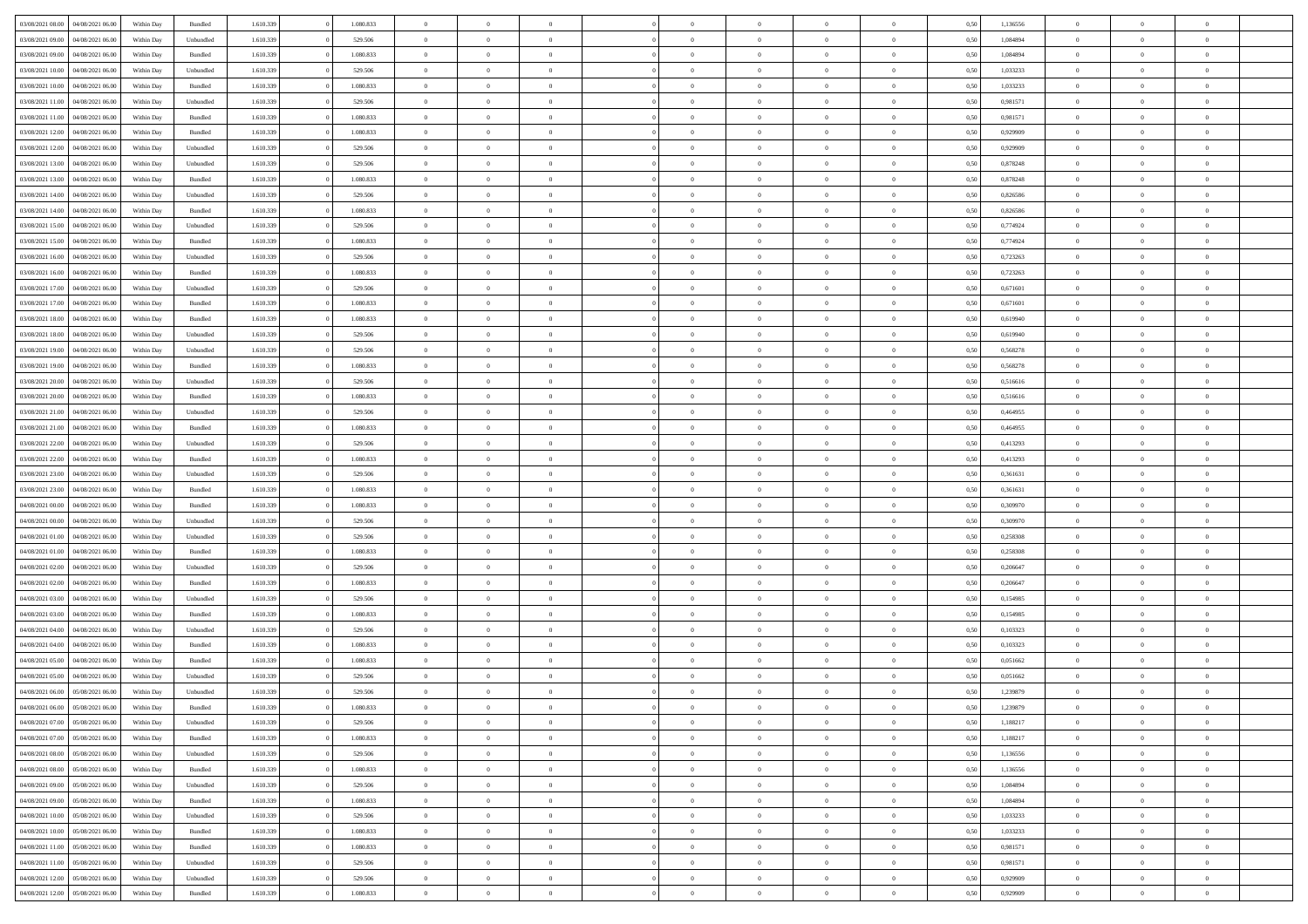| 03/08/2021 08:00                  | 04/08/2021 06:00 | Within Day | Bundled            | 1.610.339 | 1.080.833 | $\overline{0}$ | $\Omega$       |                | $\Omega$       | $\Omega$       | $\theta$       | $\theta$       | 0,50 | 1,136556 | $\theta$       | $\theta$       | $\theta$       |  |
|-----------------------------------|------------------|------------|--------------------|-----------|-----------|----------------|----------------|----------------|----------------|----------------|----------------|----------------|------|----------|----------------|----------------|----------------|--|
|                                   |                  |            |                    |           |           |                |                |                |                |                |                |                |      |          |                |                |                |  |
| 03/08/2021 09:00                  | 04/08/2021 06:00 | Within Day | Unbundled          | 1.610.339 | 529.506   | $\overline{0}$ | $\theta$       | $\overline{0}$ | $\overline{0}$ | $\bf{0}$       | $\overline{0}$ | $\bf{0}$       | 0,50 | 1,084894 | $\theta$       | $\theta$       | $\overline{0}$ |  |
| 03/08/2021 09:00                  | 04/08/2021 06:00 | Within Day | Bundled            | 1.610.339 | 1.080.833 | $\overline{0}$ | $\overline{0}$ | $\overline{0}$ | $\bf{0}$       | $\bf{0}$       | $\bf{0}$       | $\mathbf{0}$   | 0,50 | 1,084894 | $\bf{0}$       | $\overline{0}$ | $\overline{0}$ |  |
| 03/08/2021 10:00                  | 04/08/2021 06:00 | Within Dav | Unbundled          | 1.610.339 | 529.506   | $\overline{0}$ | $\overline{0}$ | $\overline{0}$ | $\overline{0}$ | $\bf{0}$       | $\overline{0}$ | $\overline{0}$ | 0.50 | 1,033233 | $\theta$       | $\theta$       | $\overline{0}$ |  |
| 03/08/2021 10:00                  | 04/08/2021 06:00 | Within Day | Bundled            | 1.610.339 | 1.080.833 | $\overline{0}$ | $\theta$       | $\overline{0}$ | $\overline{0}$ | $\bf{0}$       | $\overline{0}$ | $\bf{0}$       | 0,50 | 1,033233 | $\theta$       | $\theta$       | $\overline{0}$ |  |
| 03/08/2021 11:00                  | 04/08/2021 06:00 | Within Day | Unbundled          | 1.610.339 | 529.506   | $\overline{0}$ | $\bf{0}$       | $\overline{0}$ | $\bf{0}$       | $\overline{0}$ | $\overline{0}$ | $\mathbf{0}$   | 0,50 | 0,981571 | $\bf{0}$       | $\overline{0}$ | $\bf{0}$       |  |
|                                   |                  |            |                    |           |           |                |                |                |                | $\overline{0}$ |                |                |      |          | $\theta$       | $\overline{0}$ | $\overline{0}$ |  |
| 03/08/2021 11:00                  | 04/08/2021 06:00 | Within Dav | Bundled            | 1.610.339 | 1.080.833 | $\overline{0}$ | $\overline{0}$ | $\overline{0}$ | $\overline{0}$ |                | $\overline{0}$ | $\overline{0}$ | 0.50 | 0.981571 |                |                |                |  |
| 03/08/2021 12:00                  | 04/08/2021 06:00 | Within Day | Bundled            | 1.610.339 | 1.080.833 | $\overline{0}$ | $\theta$       | $\overline{0}$ | $\overline{0}$ | $\bf{0}$       | $\overline{0}$ | $\bf{0}$       | 0,50 | 0,929909 | $\theta$       | $\theta$       | $\overline{0}$ |  |
| 03/08/2021 12:00                  | 04/08/2021 06:00 | Within Day | Unbundled          | 1.610.339 | 529.506   | $\overline{0}$ | $\overline{0}$ | $\overline{0}$ | $\bf{0}$       | $\bf{0}$       | $\bf{0}$       | $\bf{0}$       | 0,50 | 0,929909 | $\,0\,$        | $\overline{0}$ | $\overline{0}$ |  |
| 03/08/2021 13:00                  | 04/08/2021 06:00 | Within Dav | Unbundled          | 1.610.339 | 529.506   | $\overline{0}$ | $\overline{0}$ | $\overline{0}$ | $\overline{0}$ | $\overline{0}$ | $\overline{0}$ | $\overline{0}$ | 0.50 | 0,878248 | $\theta$       | $\overline{0}$ | $\overline{0}$ |  |
| 03/08/2021 13:00                  | 04/08/2021 06:00 | Within Day | Bundled            | 1.610.339 | 1.080.833 | $\overline{0}$ | $\theta$       | $\overline{0}$ | $\overline{0}$ | $\bf{0}$       | $\overline{0}$ | $\bf{0}$       | 0,50 | 0,878248 | $\,$ 0 $\,$    | $\overline{0}$ | $\overline{0}$ |  |
| 03/08/2021 14:00                  | 04/08/2021 06:00 | Within Day | Unbundled          | 1.610.339 | 529.506   | $\overline{0}$ | $\overline{0}$ | $\overline{0}$ | $\bf{0}$       | $\bf{0}$       | $\bf{0}$       | $\bf{0}$       | 0,50 | 0,826586 | $\bf{0}$       | $\overline{0}$ | $\bf{0}$       |  |
| 03/08/2021 14:00                  | 04/08/2021 06:00 | Within Day | Bundled            | 1.610.339 | 1.080.833 | $\overline{0}$ | $\overline{0}$ | $\overline{0}$ | $\overline{0}$ | $\bf{0}$       | $\overline{0}$ | $\overline{0}$ | 0.50 | 0.826586 | $\theta$       | $\theta$       | $\overline{0}$ |  |
| 03/08/2021 15:00                  | 04/08/2021 06:00 |            |                    | 1.610.339 | 529.506   | $\overline{0}$ | $\theta$       | $\overline{0}$ | $\overline{0}$ | $\bf{0}$       | $\overline{0}$ |                |      | 0,774924 | $\theta$       | $\theta$       | $\overline{0}$ |  |
|                                   |                  | Within Day | Unbundled          |           |           |                |                |                |                |                |                | $\bf{0}$       | 0,50 |          |                |                |                |  |
| 03/08/2021 15:00                  | 04/08/2021 06:00 | Within Day | Bundled            | 1.610.339 | 1.080.833 | $\overline{0}$ | $\overline{0}$ | $\overline{0}$ | $\bf{0}$       | $\overline{0}$ | $\overline{0}$ | $\mathbf{0}$   | 0,50 | 0,774924 | $\bf{0}$       | $\overline{0}$ | $\bf{0}$       |  |
| 03/08/2021 16:00                  | 04/08/2021 06:00 | Within Dav | Unbundled          | 1.610.339 | 529.506   | $\overline{0}$ | $\overline{0}$ | $\overline{0}$ | $\overline{0}$ | $\overline{0}$ | $\overline{0}$ | $\overline{0}$ | 0.50 | 0,723263 | $\theta$       | $\overline{0}$ | $\overline{0}$ |  |
| 03/08/2021 16:00                  | 04/08/2021 06:00 | Within Day | Bundled            | 1.610.339 | 1.080.833 | $\overline{0}$ | $\theta$       | $\overline{0}$ | $\overline{0}$ | $\bf{0}$       | $\overline{0}$ | $\bf{0}$       | 0,50 | 0,723263 | $\,$ 0 $\,$    | $\theta$       | $\overline{0}$ |  |
| 03/08/2021 17:00                  | 04/08/2021 06:00 | Within Day | Unbundled          | 1.610.339 | 529.506   | $\overline{0}$ | $\overline{0}$ | $\overline{0}$ | $\bf{0}$       | $\bf{0}$       | $\bf{0}$       | $\bf{0}$       | 0,50 | 0,671601 | $\,0\,$        | $\overline{0}$ | $\overline{0}$ |  |
| 03/08/2021 17:00                  | 04/08/2021 06:00 | Within Dav | Bundled            | 1.610.339 | 1.080.833 | $\overline{0}$ | $\overline{0}$ | $\overline{0}$ | $\overline{0}$ | $\overline{0}$ | $\overline{0}$ | $\overline{0}$ | 0.50 | 0,671601 | $\theta$       | $\overline{0}$ | $\overline{0}$ |  |
| 03/08/2021 18:00                  | 04/08/2021 06:00 | Within Day | Bundled            | 1.610.339 | 1.080.833 | $\overline{0}$ | $\theta$       | $\overline{0}$ | $\overline{0}$ | $\bf{0}$       | $\overline{0}$ | $\bf{0}$       | 0,50 | 0,619940 | $\,$ 0 $\,$    | $\theta$       | $\overline{0}$ |  |
| 03/08/2021 18:00                  | 04/08/2021 06:00 | Within Day | Unbundled          | 1.610.339 | 529.506   | $\overline{0}$ | $\overline{0}$ | $\overline{0}$ | $\bf{0}$       | $\bf{0}$       | $\bf{0}$       | $\bf{0}$       | 0,50 | 0,619940 | $\bf{0}$       | $\overline{0}$ | $\overline{0}$ |  |
| 03/08/2021 19:00                  | 04/08/2021 06:00 | Within Day | Unbundled          | 1.610.339 | 529.506   | $\overline{0}$ | $\overline{0}$ | $\overline{0}$ | $\overline{0}$ | $\bf{0}$       | $\overline{0}$ | $\overline{0}$ | 0.50 | 0,568278 | $\theta$       | $\overline{0}$ | $\overline{0}$ |  |
|                                   |                  |            |                    |           |           |                |                |                |                |                |                |                |      |          |                |                |                |  |
| 03/08/2021 19:00                  | 04/08/2021 06:00 | Within Day | Bundled            | 1.610.339 | 1.080.833 | $\overline{0}$ | $\theta$       | $\overline{0}$ | $\overline{0}$ | $\bf{0}$       | $\overline{0}$ | $\bf{0}$       | 0,50 | 0,568278 | $\,$ 0 $\,$    | $\overline{0}$ | $\overline{0}$ |  |
| 03/08/2021 20:00                  | 04/08/2021 06:00 | Within Day | Unbundled          | 1.610.339 | 529.506   | $\overline{0}$ | $\bf{0}$       | $\overline{0}$ | $\overline{0}$ | $\overline{0}$ | $\overline{0}$ | $\mathbf{0}$   | 0,50 | 0,516616 | $\bf{0}$       | $\overline{0}$ | $\bf{0}$       |  |
| 03/08/2021 20:00                  | 04/08/2021 06:00 | Within Dav | Bundled            | 1.610.339 | 1.080.833 | $\overline{0}$ | $\overline{0}$ | $\overline{0}$ | $\overline{0}$ | $\overline{0}$ | $\overline{0}$ | $\overline{0}$ | 0.50 | 0,516616 | $\overline{0}$ | $\overline{0}$ | $\overline{0}$ |  |
| 03/08/2021 21:00                  | 04/08/2021 06:00 | Within Day | Unbundled          | 1.610.339 | 529.506   | $\overline{0}$ | $\theta$       | $\overline{0}$ | $\overline{0}$ | $\bf{0}$       | $\overline{0}$ | $\bf{0}$       | 0,50 | 0,464955 | $\theta$       | $\theta$       | $\overline{0}$ |  |
| 03/08/2021 21.00                  | 04/08/2021 06:00 | Within Day | Bundled            | 1.610.339 | 1.080.833 | $\overline{0}$ | $\overline{0}$ | $\overline{0}$ | $\overline{0}$ | $\bf{0}$       | $\overline{0}$ | $\bf{0}$       | 0,50 | 0,464955 | $\,0\,$        | $\overline{0}$ | $\overline{0}$ |  |
| 03/08/2021 22.00                  | 04/08/2021 06:00 | Within Day | Unbundled          | 1.610.339 | 529.506   | $\overline{0}$ | $\overline{0}$ | $\overline{0}$ | $\overline{0}$ | $\overline{0}$ | $\overline{0}$ | $\overline{0}$ | 0.50 | 0,413293 | $\theta$       | $\overline{0}$ | $\overline{0}$ |  |
| 03/08/2021 22:00                  | 04/08/2021 06:00 | Within Day | Bundled            | 1.610.339 | 1.080.833 | $\overline{0}$ | $\theta$       | $\overline{0}$ | $\overline{0}$ | $\bf{0}$       | $\overline{0}$ | $\bf{0}$       | 0,50 | 0,413293 | $\,$ 0 $\,$    | $\overline{0}$ | $\overline{0}$ |  |
|                                   |                  |            |                    |           |           |                |                |                |                |                |                |                |      |          |                |                |                |  |
| 03/08/2021 23.00                  | 04/08/2021 06:00 | Within Day | Unbundled          | 1.610.339 | 529.506   | $\overline{0}$ | $\overline{0}$ | $\overline{0}$ | $\overline{0}$ | $\bf{0}$       | $\overline{0}$ | $\bf{0}$       | 0,50 | 0,361631 | $\bf{0}$       | $\overline{0}$ | $\overline{0}$ |  |
| 03/08/2021 23:00                  | 04/08/2021 06:00 | Within Day | Bundled            | 1.610.339 | 1.080.833 | $\overline{0}$ | $\Omega$       | $\Omega$       | $\Omega$       | $\Omega$       | $\Omega$       | $\overline{0}$ | 0,50 | 0,361631 | $\,0\,$        | $\theta$       | $\theta$       |  |
| 04/08/2021 00:00                  | 04/08/2021 06:00 | Within Day | Bundled            | 1.610.339 | 1.080.833 | $\overline{0}$ | $\theta$       | $\overline{0}$ | $\overline{0}$ | $\bf{0}$       | $\overline{0}$ | $\bf{0}$       | 0,50 | 0,309970 | $\theta$       | $\theta$       | $\overline{0}$ |  |
| 04/08/2021 00:00                  | 04/08/2021 06:00 | Within Day | Unbundled          | 1.610.339 | 529.506   | $\overline{0}$ | $\overline{0}$ | $\overline{0}$ | $\bf{0}$       | $\bf{0}$       | $\overline{0}$ | $\mathbf{0}$   | 0,50 | 0,309970 | $\bf{0}$       | $\overline{0}$ | $\bf{0}$       |  |
| 04/08/2021 01:00                  | 04/08/2021 06:00 | Within Day | Unbundled          | 1.610.339 | 529.506   | $\overline{0}$ | $\Omega$       | $\Omega$       | $\Omega$       | $\bf{0}$       | $\overline{0}$ | $\overline{0}$ | 0.50 | 0,258308 | $\,0\,$        | $\theta$       | $\theta$       |  |
| 04/08/2021 01:00                  | 04/08/2021 06:00 | Within Day | Bundled            | 1.610.339 | 1.080.833 | $\overline{0}$ | $\theta$       | $\overline{0}$ | $\overline{0}$ | $\bf{0}$       | $\overline{0}$ | $\bf{0}$       | 0,50 | 0,258308 | $\,$ 0 $\,$    | $\theta$       | $\overline{0}$ |  |
| 04/08/2021 02.00                  | 04/08/2021 06:00 | Within Day | Unbundled          | 1.610.339 | 529.506   | $\overline{0}$ | $\overline{0}$ | $\overline{0}$ | $\bf{0}$       | $\bf{0}$       | $\bf{0}$       | $\bf{0}$       | 0,50 | 0,206647 | $\bf{0}$       | $\overline{0}$ | $\overline{0}$ |  |
| 04/08/2021 02:00                  | 04/08/2021 06:00 | Within Day | Bundled            | 1.610.339 | 1.080.833 | $\overline{0}$ | $\Omega$       | $\Omega$       | $\Omega$       | $\theta$       | $\theta$       | $\overline{0}$ | 0.50 | 0.206647 | $\theta$       | $\theta$       | $\theta$       |  |
| 04/08/2021 03:00                  | 04/08/2021 06:00 |            |                    | 1.610.339 | 529.506   | $\overline{0}$ | $\theta$       | $\overline{0}$ | $\overline{0}$ | $\bf{0}$       | $\overline{0}$ |                |      | 0,154985 | $\,$ 0 $\,$    | $\overline{0}$ | $\overline{0}$ |  |
|                                   |                  | Within Day | Unbundled          |           |           |                |                |                |                |                |                | $\bf{0}$       | 0,50 |          |                |                |                |  |
| 04/08/2021 03:00                  | 04/08/2021 06:00 | Within Day | Bundled            | 1.610.339 | 1.080.833 | $\overline{0}$ | $\overline{0}$ | $\overline{0}$ | $\bf{0}$       | $\bf{0}$       | $\bf{0}$       | $\bf{0}$       | 0,50 | 0,154985 | $\bf{0}$       | $\overline{0}$ | $\overline{0}$ |  |
| 04/08/2021 04:00                  | 04/08/2021 06:00 | Within Day | Unbundled          | 1.610.339 | 529.506   | $\overline{0}$ | $\Omega$       | $\overline{0}$ | $\Omega$       | $\Omega$       | $\overline{0}$ | $\overline{0}$ | 0.50 | 0,103323 | $\,0\,$        | $\theta$       | $\theta$       |  |
| 04/08/2021 04:00                  | 04/08/2021 06:00 | Within Day | Bundled            | 1.610.339 | 1.080.833 | $\overline{0}$ | $\theta$       | $\overline{0}$ | $\overline{0}$ | $\bf{0}$       | $\overline{0}$ | $\bf{0}$       | 0,50 | 0,103323 | $\,$ 0 $\,$    | $\overline{0}$ | $\overline{0}$ |  |
| 04/08/2021 05:00                  | 04/08/2021 06:00 | Within Day | Bundled            | 1.610.339 | 1.080.833 | $\overline{0}$ | $\overline{0}$ | $\overline{0}$ | $\bf{0}$       | $\bf{0}$       | $\bf{0}$       | $\mathbf{0}$   | 0,50 | 0,051662 | $\bf{0}$       | $\overline{0}$ | $\bf{0}$       |  |
| 04/08/2021 05:00                  | 04/08/2021 06:00 | Within Day | Unbundled          | 1.610.339 | 529.506   | $\overline{0}$ | $\Omega$       | $\Omega$       | $\Omega$       | $\Omega$       | $\Omega$       | $\overline{0}$ | 0.50 | 0.051662 | $\theta$       | $\theta$       | $\theta$       |  |
| 04/08/2021 06:00                  | 05/08/2021 06:00 | Within Day | Unbundled          | 1.610.339 | 529.506   | $\overline{0}$ | $\overline{0}$ | $\overline{0}$ | $\bf{0}$       | $\,$ 0         | $\bf{0}$       | $\bf{0}$       | 0,50 | 1,239879 | $\,0\,$        | $\overline{0}$ | $\overline{0}$ |  |
| 04/08/2021 06:00 05/08/2021 06:00 |                  | Within Day | $\mathbf B$ undled | 1.610.339 | 1.080.833 | $\bf{0}$       | $\bf{0}$       |                |                | $\bf{0}$       |                |                | 0,50 | 1,239879 | $\bf{0}$       | $\overline{0}$ |                |  |
| 04/08/2021 07:00                  | 05/08/2021 06:00 | Within Day | Unbundled          | 1.610.339 | 529.506   | $\overline{0}$ | $\overline{0}$ | $\overline{0}$ | $\Omega$       | $\overline{0}$ | $\overline{0}$ | $\overline{0}$ | 0,50 | 1,188217 | $\theta$       | $\theta$       | $\theta$       |  |
|                                   |                  |            |                    |           |           |                |                |                |                |                |                |                |      |          |                |                |                |  |
| 04/08/2021 07:00                  | 05/08/2021 06:00 | Within Day | Bundled            | 1.610.339 | 1.080.833 | $\overline{0}$ | $\bf{0}$       | $\overline{0}$ | $\bf{0}$       | $\,$ 0 $\,$    | $\overline{0}$ | $\,$ 0 $\,$    | 0,50 | 1,188217 | $\,$ 0 $\,$    | $\,$ 0 $\,$    | $\,$ 0         |  |
| 04/08/2021 08:00                  | 05/08/2021 06:00 | Within Day | Unbundled          | 1.610.339 | 529.506   | $\overline{0}$ | $\overline{0}$ | $\overline{0}$ | $\overline{0}$ | $\overline{0}$ | $\overline{0}$ | $\mathbf{0}$   | 0,50 | 1,136556 | $\overline{0}$ | $\bf{0}$       | $\overline{0}$ |  |
| 04/08/2021 08:00                  | 05/08/2021 06:00 | Within Day | $\mathbf B$ undled | 1.610.339 | 1.080.833 | $\overline{0}$ | $\overline{0}$ | $\overline{0}$ | $\Omega$       | $\overline{0}$ | $\overline{0}$ | $\overline{0}$ | 0,50 | 1,136556 | $\overline{0}$ | $\,$ 0 $\,$    | $\overline{0}$ |  |
| 04/08/2021 09:00                  | 05/08/2021 06:00 | Within Day | Unbundled          | 1.610.339 | 529.506   | $\overline{0}$ | $\,$ 0         | $\overline{0}$ | $\bf{0}$       | $\,$ 0 $\,$    | $\overline{0}$ | $\,$ 0 $\,$    | 0,50 | 1,084894 | $\,$ 0 $\,$    | $\overline{0}$ | $\,$ 0         |  |
| 04/08/2021 09:00                  | 05/08/2021 06:00 | Within Day | Bundled            | 1.610.339 | 1.080.833 | $\overline{0}$ | $\overline{0}$ | $\overline{0}$ | $\overline{0}$ | $\overline{0}$ | $\overline{0}$ | $\mathbf{0}$   | 0,50 | 1,084894 | $\overline{0}$ | $\overline{0}$ | $\overline{0}$ |  |
| 04/08/2021 10:00                  | 05/08/2021 06:00 | Within Day | Unbundled          | 1.610.339 | 529.506   | $\overline{0}$ | $\overline{0}$ | $\overline{0}$ | $\overline{0}$ | $\overline{0}$ | $\overline{0}$ | $\overline{0}$ | 0.50 | 1,033233 | $\overline{0}$ | $\theta$       | $\overline{0}$ |  |
| 04/08/2021 10:00                  | 05/08/2021 06:00 | Within Day | Bundled            | 1.610.339 | 1.080.833 | $\overline{0}$ | $\,$ 0         | $\overline{0}$ | $\bf{0}$       | $\bf{0}$       | $\bf{0}$       | $\bf{0}$       | 0,50 | 1,033233 | $\,$ 0 $\,$    | $\overline{0}$ | $\overline{0}$ |  |
| 04/08/2021 11:00                  | 05/08/2021 06:00 | Within Day | Bundled            | 1.610.339 | 1.080.833 | $\overline{0}$ | $\bf{0}$       | $\overline{0}$ | $\overline{0}$ | $\overline{0}$ | $\overline{0}$ | $\mathbf{0}$   | 0,50 | 0,981571 | $\overline{0}$ | $\overline{0}$ | $\bf{0}$       |  |
|                                   |                  |            |                    |           |           |                |                |                |                |                |                |                |      |          |                |                |                |  |
| 04/08/2021 11:00                  | 05/08/2021 06:00 | Within Day | Unbundled          | 1.610.339 | 529.506   | $\overline{0}$ | $\overline{0}$ | $\overline{0}$ | $\Omega$       | $\overline{0}$ | $\overline{0}$ | $\overline{0}$ | 0.50 | 0,981571 | $\overline{0}$ | $\overline{0}$ | $\overline{0}$ |  |
| 04/08/2021 12:00                  | 05/08/2021 06:00 | Within Day | Unbundled          | 1.610.339 | 529.506   | $\overline{0}$ | $\bf{0}$       | $\overline{0}$ | $\bf{0}$       | $\bf{0}$       | $\bf{0}$       | $\mathbf{0}$   | 0,50 | 0,929909 | $\,$ 0 $\,$    | $\,$ 0 $\,$    | $\bf{0}$       |  |
| 04/08/2021 12:00                  | 05/08/2021 06:00 | Within Day | Bundled            | 1.610.339 | 1.080.833 | $\overline{0}$ | $\overline{0}$ | $\overline{0}$ | $\overline{0}$ | $\overline{0}$ | $\bf{0}$       | $\mathbf{0}$   | 0,50 | 0,929909 | $\overline{0}$ | $\bf{0}$       | $\overline{0}$ |  |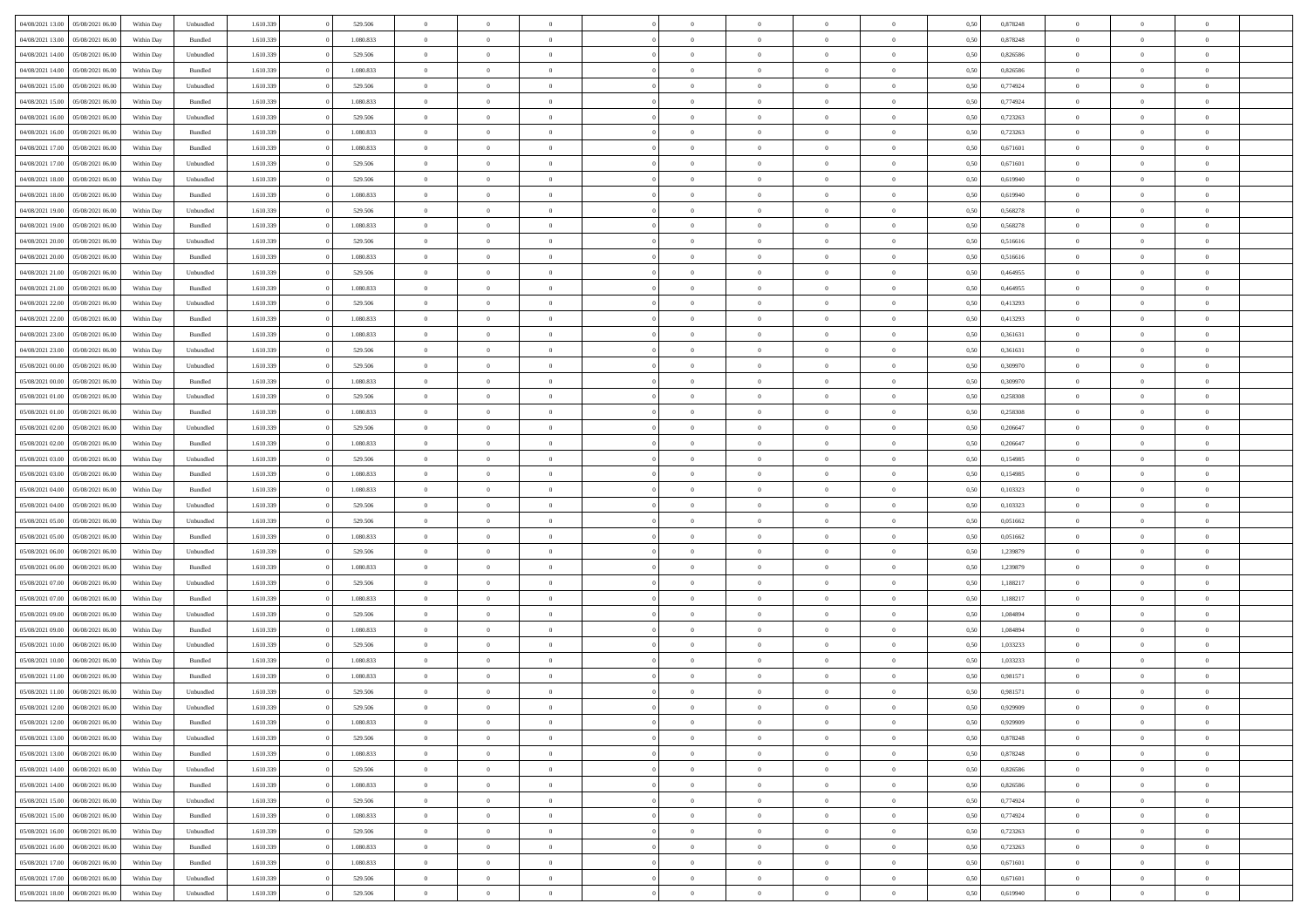|                                   |                  |            |           |           |           | $\overline{0}$ | $\Omega$       |                |                | $\Omega$       | $\Omega$       | $\theta$       |      |          | $\theta$       |                | $\theta$       |  |
|-----------------------------------|------------------|------------|-----------|-----------|-----------|----------------|----------------|----------------|----------------|----------------|----------------|----------------|------|----------|----------------|----------------|----------------|--|
| 04/08/2021 13:00                  | 05/08/2021 06:00 | Within Dav | Unbundled | 1.610.339 | 529.506   |                |                |                | $\Omega$       |                |                |                | 0.50 | 0,878248 |                | $\theta$       |                |  |
| 04/08/2021 13:00                  | 05/08/2021 06:00 | Within Day | Bundled   | 1.610.339 | 1.080.833 | $\overline{0}$ | $\theta$       | $\overline{0}$ | $\overline{0}$ | $\bf{0}$       | $\overline{0}$ | $\bf{0}$       | 0,50 | 0,878248 | $\theta$       | $\theta$       | $\overline{0}$ |  |
| 04/08/2021 14:00                  | 05/08/2021 06:00 | Within Day | Unbundled | 1.610.339 | 529.506   | $\overline{0}$ | $\overline{0}$ | $\overline{0}$ | $\bf{0}$       | $\bf{0}$       | $\bf{0}$       | $\bf{0}$       | 0,50 | 0,826586 | $\overline{0}$ | $\overline{0}$ | $\overline{0}$ |  |
| 04/08/2021 14:00                  | 05/08/2021 06:00 | Within Dav | Bundled   | 1.610.339 | 1.080.833 | $\overline{0}$ | $\overline{0}$ | $\overline{0}$ | $\overline{0}$ | $\bf{0}$       | $\overline{0}$ | $\overline{0}$ | 0.50 | 0.826586 | $\theta$       | $\theta$       | $\overline{0}$ |  |
|                                   |                  |            |           |           |           |                |                |                |                |                |                |                |      |          |                |                |                |  |
| 04/08/2021 15:00                  | 05/08/2021 06:00 | Within Day | Unbundled | 1.610.339 | 529.506   | $\overline{0}$ | $\theta$       | $\overline{0}$ | $\overline{0}$ | $\bf{0}$       | $\overline{0}$ | $\bf{0}$       | 0,50 | 0,774924 | $\theta$       | $\theta$       | $\overline{0}$ |  |
| 04/08/2021 15:00                  | 05/08/2021 06:00 | Within Day | Bundled   | 1.610.339 | 1.080.833 | $\overline{0}$ | $\overline{0}$ | $\overline{0}$ | $\bf{0}$       | $\overline{0}$ | $\overline{0}$ | $\mathbf{0}$   | 0,50 | 0,774924 | $\overline{0}$ | $\overline{0}$ | $\bf{0}$       |  |
| 04/08/2021 16:00                  | 05/08/2021 06:00 | Within Dav | Unbundled | 1.610.339 | 529.506   | $\overline{0}$ | $\overline{0}$ | $\overline{0}$ | $\overline{0}$ | $\overline{0}$ | $\overline{0}$ | $\overline{0}$ | 0.50 | 0,723263 | $\theta$       | $\overline{0}$ | $\overline{0}$ |  |
| 04/08/2021 16:00                  | 05/08/2021 06:00 | Within Day | Bundled   | 1.610.339 | 1.080.833 | $\overline{0}$ | $\theta$       | $\overline{0}$ | $\overline{0}$ | $\bf{0}$       | $\overline{0}$ | $\bf{0}$       | 0,50 | 0,723263 | $\theta$       | $\theta$       | $\overline{0}$ |  |
|                                   |                  |            |           |           |           |                | $\overline{0}$ |                |                | $\bf{0}$       |                |                |      |          | $\,0\,$        | $\overline{0}$ | $\overline{0}$ |  |
| 04/08/2021 17.00                  | 05/08/2021 06:00 | Within Day | Bundled   | 1.610.339 | 1.080.833 | $\overline{0}$ |                | $\overline{0}$ | $\bf{0}$       |                | $\bf{0}$       | $\bf{0}$       | 0,50 | 0,671601 |                |                |                |  |
| 04/08/2021 17:00                  | 05/08/2021 06:00 | Within Dav | Unbundled | 1.610.339 | 529.506   | $\overline{0}$ | $\overline{0}$ | $\overline{0}$ | $\overline{0}$ | $\overline{0}$ | $\overline{0}$ | $\overline{0}$ | 0.50 | 0,671601 | $\theta$       | $\overline{0}$ | $\overline{0}$ |  |
| 04/08/2021 18:00                  | 05/08/2021 06:00 | Within Day | Unbundled | 1.610.339 | 529.506   | $\overline{0}$ | $\theta$       | $\overline{0}$ | $\overline{0}$ | $\bf{0}$       | $\overline{0}$ | $\bf{0}$       | 0,50 | 0,619940 | $\,$ 0 $\,$    | $\overline{0}$ | $\overline{0}$ |  |
| 04/08/2021 18:00                  | 05/08/2021 06:00 | Within Day | Bundled   | 1.610.339 | 1.080.833 | $\overline{0}$ | $\overline{0}$ | $\overline{0}$ | $\bf{0}$       | $\bf{0}$       | $\bf{0}$       | $\mathbf{0}$   | 0,50 | 0,619940 | $\overline{0}$ | $\overline{0}$ | $\overline{0}$ |  |
| 04/08/2021 19:00                  | 05/08/2021 06:00 | Within Day | Unbundled | 1.610.339 | 529.506   | $\overline{0}$ | $\overline{0}$ | $\overline{0}$ | $\overline{0}$ | $\bf{0}$       | $\overline{0}$ | $\overline{0}$ | 0.50 | 0,568278 | $\theta$       | $\theta$       | $\overline{0}$ |  |
|                                   |                  |            |           |           |           | $\overline{0}$ | $\theta$       |                |                |                |                |                |      |          | $\theta$       |                |                |  |
| 04/08/2021 19:00                  | 05/08/2021 06:00 | Within Day | Bundled   | 1.610.339 | 1.080.833 |                |                | $\overline{0}$ | $\overline{0}$ | $\bf{0}$       | $\overline{0}$ | $\bf{0}$       | 0,50 | 0,568278 |                | $\theta$       | $\overline{0}$ |  |
| 04/08/2021 20.00                  | 05/08/2021 06:00 | Within Day | Unbundled | 1.610.339 | 529.506   | $\overline{0}$ | $\overline{0}$ | $\overline{0}$ | $\bf{0}$       | $\overline{0}$ | $\overline{0}$ | $\mathbf{0}$   | 0,50 | 0,516616 | $\overline{0}$ | $\overline{0}$ | $\bf{0}$       |  |
| 04/08/2021 20:00                  | 05/08/2021 06:00 | Within Dav | Bundled   | 1.610.339 | 1.080.833 | $\overline{0}$ | $\overline{0}$ | $\overline{0}$ | $\overline{0}$ | $\overline{0}$ | $\overline{0}$ | $\overline{0}$ | 0.50 | 0,516616 | $\theta$       | $\overline{0}$ | $\overline{0}$ |  |
| 04/08/2021 21.00                  | 05/08/2021 06:00 | Within Day | Unbundled | 1.610.339 | 529.506   | $\overline{0}$ | $\theta$       | $\overline{0}$ | $\overline{0}$ | $\bf{0}$       | $\overline{0}$ | $\bf{0}$       | 0,50 | 0,464955 | $\theta$       | $\theta$       | $\overline{0}$ |  |
| 04/08/2021 21.00                  | 05/08/2021 06:00 | Within Day | Bundled   | 1.610.339 | 1.080.833 | $\overline{0}$ | $\overline{0}$ | $\overline{0}$ | $\bf{0}$       | $\bf{0}$       | $\bf{0}$       | $\mathbf{0}$   | 0,50 | 0,464955 | $\,0\,$        | $\overline{0}$ | $\overline{0}$ |  |
|                                   |                  |            |           |           |           |                |                |                |                |                |                |                |      |          |                |                |                |  |
| 04/08/2021 22:00                  | 05/08/2021 06:00 | Within Day | Unbundled | 1.610.339 | 529.506   | $\overline{0}$ | $\overline{0}$ | $\overline{0}$ | $\overline{0}$ | $\overline{0}$ | $\overline{0}$ | $\overline{0}$ | 0.50 | 0,413293 | $\theta$       | $\overline{0}$ | $\overline{0}$ |  |
| 04/08/2021 22.00                  | 05/08/2021 06:00 | Within Day | Bundled   | 1.610.339 | 1.080.833 | $\overline{0}$ | $\theta$       | $\overline{0}$ | $\overline{0}$ | $\bf{0}$       | $\overline{0}$ | $\bf{0}$       | 0,50 | 0,413293 | $\,$ 0 $\,$    | $\overline{0}$ | $\overline{0}$ |  |
| 04/08/2021 23.00                  | 05/08/2021 06:00 | Within Day | Bundled   | 1.610.339 | 1.080.833 | $\overline{0}$ | $\overline{0}$ | $\overline{0}$ | $\bf{0}$       | $\bf{0}$       | $\bf{0}$       | $\bf{0}$       | 0,50 | 0,361631 | $\bf{0}$       | $\overline{0}$ | $\overline{0}$ |  |
| 04/08/2021 23:00                  | 05/08/2021 06:00 | Within Day | Unbundled | 1.610.339 | 529.506   | $\overline{0}$ | $\overline{0}$ | $\overline{0}$ | $\overline{0}$ | $\bf{0}$       | $\overline{0}$ | $\overline{0}$ | 0.50 | 0.361631 | $\theta$       | $\overline{0}$ | $\overline{0}$ |  |
| 05/08/2021 00:00                  | 05/08/2021 06:00 |            |           | 1.610.339 | 529.506   | $\overline{0}$ | $\theta$       | $\overline{0}$ | $\overline{0}$ | $\bf{0}$       | $\overline{0}$ |                |      | 0,309970 | $\theta$       | $\overline{0}$ | $\overline{0}$ |  |
|                                   |                  | Within Day | Unbundled |           |           |                |                |                |                |                |                | $\bf{0}$       | 0,50 |          |                |                |                |  |
| 05/08/2021 00:00                  | 05/08/2021 06:00 | Within Day | Bundled   | 1.610.339 | 1.080.833 | $\overline{0}$ | $\overline{0}$ | $\overline{0}$ | $\bf{0}$       | $\overline{0}$ | $\overline{0}$ | $\mathbf{0}$   | 0,50 | 0,309970 | $\overline{0}$ | $\overline{0}$ | $\bf{0}$       |  |
| 05/08/2021 01:00                  | 05/08/2021 06:00 | Within Dav | Unbundled | 1.610.339 | 529.506   | $\overline{0}$ | $\overline{0}$ | $\overline{0}$ | $\overline{0}$ | $\overline{0}$ | $\overline{0}$ | $\overline{0}$ | 0.50 | 0,258308 | $\overline{0}$ | $\overline{0}$ | $\overline{0}$ |  |
| 05/08/2021 01:00                  | 05/08/2021 06:00 | Within Day | Bundled   | 1.610.339 | 1.080.833 | $\overline{0}$ | $\theta$       | $\overline{0}$ | $\overline{0}$ | $\bf{0}$       | $\overline{0}$ | $\bf{0}$       | 0,50 | 0,258308 | $\theta$       | $\theta$       | $\overline{0}$ |  |
| 05/08/2021 02:00                  | 05/08/2021 06:00 | Within Day | Unbundled | 1.610.339 | 529.506   | $\overline{0}$ | $\overline{0}$ | $\overline{0}$ | $\bf{0}$       | $\bf{0}$       | $\bf{0}$       | $\bf{0}$       | 0,50 | 0,206647 | $\,0\,$        | $\overline{0}$ | $\overline{0}$ |  |
|                                   |                  |            |           |           |           |                | $\overline{0}$ |                |                | $\overline{0}$ |                |                |      |          | $\theta$       | $\overline{0}$ | $\overline{0}$ |  |
| 05/08/2021 02:00                  | 05/08/2021 06:00 | Within Day | Bundled   | 1.610.339 | 1.080.833 | $\overline{0}$ |                | $\overline{0}$ | $\overline{0}$ |                | $\overline{0}$ | $\overline{0}$ | 0.50 | 0.206647 |                |                |                |  |
| 05/08/2021 03:00                  | 05/08/2021 06:00 | Within Day | Unbundled | 1.610.339 | 529.506   | $\overline{0}$ | $\theta$       | $\overline{0}$ | $\overline{0}$ | $\bf{0}$       | $\overline{0}$ | $\bf{0}$       | 0,50 | 0,154985 | $\,$ 0 $\,$    | $\overline{0}$ | $\overline{0}$ |  |
| 05/08/2021 03:00                  | 05/08/2021 06:00 | Within Day | Bundled   | 1.610.339 | 1.080.833 | $\overline{0}$ | $\overline{0}$ | $\overline{0}$ | $\bf{0}$       | $\bf{0}$       | $\bf{0}$       | $\bf{0}$       | 0,50 | 0,154985 | $\overline{0}$ | $\overline{0}$ | $\overline{0}$ |  |
| 05/08/2021 04:00                  | 05/08/2021 06:00 | Within Day | Bundled   | 1.610.339 | 1.080.833 | $\overline{0}$ | $\Omega$       | $\Omega$       | $\Omega$       | $\Omega$       | $\overline{0}$ | $\overline{0}$ | 0.50 | 0,103323 | $\,0\,$        | $\theta$       | $\theta$       |  |
| 05/08/2021 04:00                  | 05/08/2021 06:00 | Within Day | Unbundled | 1.610.339 | 529.506   | $\overline{0}$ | $\theta$       | $\overline{0}$ | $\overline{0}$ | $\bf{0}$       | $\overline{0}$ | $\bf{0}$       | 0,50 | 0,103323 | $\theta$       | $\theta$       | $\overline{0}$ |  |
|                                   |                  |            |           |           |           |                |                |                |                |                |                |                |      |          |                |                |                |  |
| 05/08/2021 05:00                  | 05/08/2021 06:00 | Within Day | Unbundled | 1.610.339 | 529.506   | $\overline{0}$ | $\overline{0}$ | $\overline{0}$ | $\bf{0}$       | $\bf{0}$       | $\overline{0}$ | $\mathbf{0}$   | 0,50 | 0,051662 | $\overline{0}$ | $\overline{0}$ | $\bf{0}$       |  |
| 05/08/2021 05:00                  | 05/08/2021 06:00 | Within Day | Bundled   | 1.610.339 | 1.080.833 | $\overline{0}$ | $\Omega$       | $\Omega$       | $\Omega$       | $\bf{0}$       | $\overline{0}$ | $\overline{0}$ | 0.50 | 0.051662 | $\,0\,$        | $\theta$       | $\theta$       |  |
| 05/08/2021 06:00                  | 06/08/2021 06:00 | Within Day | Unbundled | 1.610.339 | 529.506   | $\overline{0}$ | $\theta$       | $\overline{0}$ | $\overline{0}$ | $\bf{0}$       | $\overline{0}$ | $\bf{0}$       | 0,50 | 1,239879 | $\,$ 0 $\,$    | $\theta$       | $\overline{0}$ |  |
| 05/08/2021 06:00                  | 06/08/2021 06:00 | Within Day | Bundled   | 1.610.339 | 1.080.833 | $\overline{0}$ | $\overline{0}$ | $\overline{0}$ | $\bf{0}$       | $\bf{0}$       | $\bf{0}$       | $\bf{0}$       | 0,50 | 1,239879 | $\bf{0}$       | $\overline{0}$ | $\overline{0}$ |  |
| 05/08/2021 07:00                  | 06/08/2021 06:00 |            | Unbundled | 1.610.339 | 529.506   | $\overline{0}$ | $\Omega$       | $\Omega$       | $\Omega$       | $\theta$       | $\overline{0}$ | $\overline{0}$ | 0.50 | 1,188217 | $\,0\,$        | $\theta$       | $\theta$       |  |
|                                   |                  | Within Day |           |           |           |                |                |                |                |                |                |                |      |          |                |                |                |  |
| 05/08/2021 07:00                  | 06/08/2021 06:00 | Within Day | Bundled   | 1.610.339 | 1.080.833 | $\overline{0}$ | $\theta$       | $\overline{0}$ | $\overline{0}$ | $\bf{0}$       | $\overline{0}$ | $\bf{0}$       | 0,50 | 1,188217 | $\,$ 0 $\,$    | $\overline{0}$ | $\overline{0}$ |  |
| 05/08/2021 09:00                  | 06/08/2021 06:00 | Within Day | Unbundled | 1.610.339 | 529.506   | $\overline{0}$ | $\overline{0}$ | $\overline{0}$ | $\bf{0}$       | $\bf{0}$       | $\bf{0}$       | $\bf{0}$       | 0,50 | 1,084894 | $\bf{0}$       | $\overline{0}$ | $\overline{0}$ |  |
| 05/08/2021 09:00                  | 06/08/2021 06:00 | Within Day | Bundled   | 1.610.339 | 1.080.833 | $\overline{0}$ | $\Omega$       | $\overline{0}$ | $\Omega$       | $\Omega$       | $\overline{0}$ | $\overline{0}$ | 0,50 | 1,084894 | $\,0\,$        | $\theta$       | $\theta$       |  |
| 05/08/2021 10:00                  | 06/08/2021 06:00 | Within Day | Unbundled | 1.610.339 | 529.506   | $\overline{0}$ | $\theta$       | $\overline{0}$ | $\overline{0}$ | $\bf{0}$       | $\overline{0}$ | $\bf{0}$       | 0,50 | 1,033233 | $\,$ 0 $\,$    | $\overline{0}$ | $\overline{0}$ |  |
| 05/08/2021 10:00                  | 06/08/2021 06:00 | Within Day | Bundled   | 1.610.339 | 1.080.833 | $\overline{0}$ | $\overline{0}$ | $\overline{0}$ | $\bf{0}$       | $\bf{0}$       | $\bf{0}$       | $\mathbf{0}$   | 0,50 | 1,033233 | $\bf{0}$       | $\overline{0}$ | $\bf{0}$       |  |
|                                   |                  |            |           |           |           |                |                |                |                |                |                |                |      |          |                |                |                |  |
| 05/08/2021 11:00                  | 06/08/2021 06:00 | Within Day | Bundled   | 1.610.339 | 1.080.833 | $\overline{0}$ | $\Omega$       | $\Omega$       | $\Omega$       | $\Omega$       | $\Omega$       | $\overline{0}$ | 0.50 | 0.981571 | $\theta$       | $\theta$       | $\theta$       |  |
| 05/08/2021 11:00                  | 06/08/2021 06:00 | Within Day | Unbundled | 1.610.339 | 529.506   | $\overline{0}$ | $\overline{0}$ | $\overline{0}$ | $\bf{0}$       | $\,$ 0         | $\bf{0}$       | $\bf{0}$       | 0,50 | 0,981571 | $\,0\,$        | $\,$ 0 $\,$    | $\overline{0}$ |  |
| 05/08/2021 12:00 06/08/2021 06:00 |                  | Within Day | Unbundled | 1.610.339 | 529.506   | $\bf{0}$       | $\bf{0}$       |                |                |                |                |                | 0,50 | 0,929909 | $\bf{0}$       | $\overline{0}$ |                |  |
| 05/08/2021 12:00                  | 06/08/2021 06:00 | Within Day | Bundled   | 1.610.339 | 1.080.833 | $\overline{0}$ | $\overline{0}$ | $\overline{0}$ | $\Omega$       | $\overline{0}$ | $\overline{0}$ | $\overline{0}$ | 0,50 | 0,929909 | $\theta$       | $\theta$       | $\theta$       |  |
| 05/08/2021 13:00                  | 06/08/2021 06:00 | Within Day | Unbundled | 1.610.339 | 529.506   | $\overline{0}$ | $\bf{0}$       | $\overline{0}$ | $\bf{0}$       | $\,$ 0 $\,$    | $\overline{0}$ | $\,$ 0 $\,$    | 0,50 | 0,878248 | $\,$ 0 $\,$    | $\,$ 0 $\,$    | $\,$ 0         |  |
|                                   |                  |            |           |           |           |                |                |                |                |                |                |                |      |          |                |                |                |  |
| 05/08/2021 13:00                  | 06/08/2021 06:00 | Within Day | Bundled   | 1.610.339 | 1.080.833 | $\overline{0}$ | $\overline{0}$ | $\overline{0}$ | $\overline{0}$ | $\overline{0}$ | $\overline{0}$ | $\mathbf{0}$   | 0,50 | 0,878248 | $\overline{0}$ | $\bf{0}$       | $\overline{0}$ |  |
| 05/08/2021 14:00                  | 06/08/2021 06:00 | Within Day | Unbundled | 1.610.339 | 529.506   | $\overline{0}$ | $\overline{0}$ | $\overline{0}$ | $\Omega$       | $\overline{0}$ | $\overline{0}$ | $\overline{0}$ | 0,50 | 0,826586 | $\overline{0}$ | $\overline{0}$ | $\overline{0}$ |  |
| 05/08/2021 14:00                  | 06/08/2021 06:00 | Within Day | Bundled   | 1.610.339 | 1.080.833 | $\overline{0}$ | $\,$ 0         | $\overline{0}$ | $\bf{0}$       | $\,$ 0 $\,$    | $\overline{0}$ | $\mathbf{0}$   | 0,50 | 0,826586 | $\,$ 0 $\,$    | $\overline{0}$ | $\overline{0}$ |  |
| 05/08/2021 15:00                  | 06/08/2021 06:00 | Within Day | Unbundled | 1.610.339 | 529.506   | $\overline{0}$ | $\overline{0}$ | $\overline{0}$ | $\overline{0}$ | $\overline{0}$ | $\overline{0}$ | $\mathbf{0}$   | 0,50 | 0,774924 | $\overline{0}$ | $\overline{0}$ | $\bf{0}$       |  |
|                                   | 06/08/2021 06:00 |            |           |           | 1.080.833 |                | $\overline{0}$ | $\overline{0}$ |                | $\overline{0}$ | $\overline{0}$ |                | 0.50 |          |                | $\theta$       | $\overline{0}$ |  |
| 05/08/2021 15:00                  |                  | Within Day | Bundled   | 1.610.339 |           | $\overline{0}$ |                |                | $\overline{0}$ |                |                | $\bf{0}$       |      | 0,774924 | $\overline{0}$ |                |                |  |
| 05/08/2021 16:00                  | 06/08/2021 06:00 | Within Day | Unbundled | 1.610.339 | 529.506   | $\overline{0}$ | $\,$ 0         | $\overline{0}$ | $\bf{0}$       | $\bf{0}$       | $\bf{0}$       | $\bf{0}$       | 0,50 | 0,723263 | $\,$ 0 $\,$    | $\overline{0}$ | $\overline{0}$ |  |
| 05/08/2021 16:00                  | 06/08/2021 06:00 | Within Day | Bundled   | 1.610.339 | 1.080.833 | $\overline{0}$ | $\bf{0}$       | $\overline{0}$ | $\overline{0}$ | $\overline{0}$ | $\overline{0}$ | $\mathbf{0}$   | 0,50 | 0,723263 | $\overline{0}$ | $\overline{0}$ | $\bf{0}$       |  |
| 05/08/2021 17:00                  | 06/08/2021 06:00 | Within Day | Bundled   | 1.610.339 | 1.080.833 | $\overline{0}$ | $\overline{0}$ | $\overline{0}$ | $\Omega$       | $\overline{0}$ | $\overline{0}$ | $\overline{0}$ | 0.50 | 0,671601 | $\overline{0}$ | $\overline{0}$ | $\overline{0}$ |  |
| 05/08/2021 17:00                  | 06/08/2021 06:00 | Within Day | Unbundled | 1.610.339 | 529.506   | $\overline{0}$ | $\bf{0}$       | $\overline{0}$ | $\bf{0}$       | $\bf{0}$       | $\bf{0}$       | $\mathbf{0}$   | 0,50 | 0,671601 | $\,$ 0 $\,$    | $\,$ 0 $\,$    | $\bf{0}$       |  |
|                                   |                  |            |           |           |           |                |                |                |                |                |                |                |      |          |                |                |                |  |
| 05/08/2021 18:00                  | 06/08/2021 06:00 | Within Day | Unbundled | 1.610.339 | 529.506   | $\overline{0}$ | $\overline{0}$ | $\overline{0}$ | $\overline{0}$ | $\overline{0}$ | $\bf{0}$       | $\mathbf{0}$   | 0,50 | 0,619940 | $\overline{0}$ | $\bf{0}$       | $\overline{0}$ |  |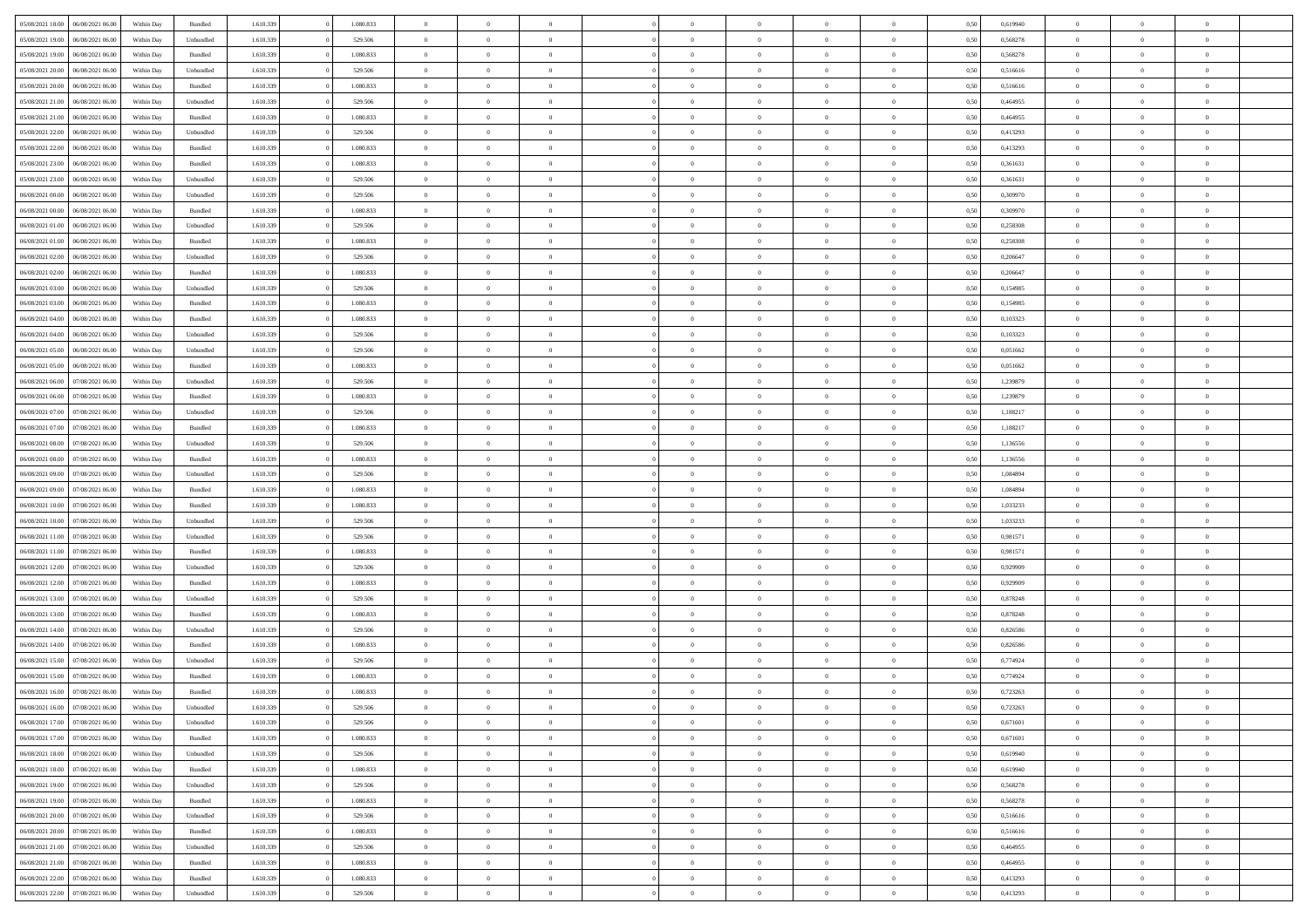| 05/08/2021 18:00   06/08/2021 06:00                      | Within Day | Bundled   | 1.610.339 | 1.080.833 | $\overline{0}$ | $\overline{0}$ | $\Omega$       | $\Omega$       | $\theta$       | $\theta$       | $\overline{0}$ | 0,50 | 0,619940 | $\theta$       | $\Omega$       | $\theta$       |  |
|----------------------------------------------------------|------------|-----------|-----------|-----------|----------------|----------------|----------------|----------------|----------------|----------------|----------------|------|----------|----------------|----------------|----------------|--|
| 05/08/2021 19:00<br>06/08/2021 06:00                     | Within Day | Unbundled | 1.610.339 | 529.506   | $\overline{0}$ | $\overline{0}$ | $\overline{0}$ | $\overline{0}$ | $\theta$       | $\overline{0}$ | $\bf{0}$       | 0,50 | 0,568278 | $\theta$       | $\theta$       | $\overline{0}$ |  |
| 05/08/2021 19:00<br>06/08/2021 06:00                     | Within Day | Bundled   | 1.610.339 | 1.080.833 | $\overline{0}$ | $\bf{0}$       | $\overline{0}$ | $\overline{0}$ | $\overline{0}$ | $\overline{0}$ | $\bf{0}$       | 0,50 | 0,568278 | $\bf{0}$       | $\overline{0}$ | $\overline{0}$ |  |
| 05/08/2021 20:00<br>06/08/2021 06:00                     | Within Day | Unbundled | 1.610.339 | 529,506   | $\overline{0}$ | $\overline{0}$ | $\overline{0}$ | $\overline{0}$ | $\theta$       | $\overline{0}$ | $\overline{0}$ | 0.50 | 0.516616 | $\theta$       | $\theta$       | $\overline{0}$ |  |
| 05/08/2021 20:00<br>06/08/2021 06:00                     | Within Day | Bundled   | 1.610.339 | 1.080.833 | $\overline{0}$ | $\overline{0}$ | $\overline{0}$ | $\overline{0}$ | $\theta$       | $\overline{0}$ | $\bf{0}$       | 0,50 | 0,516616 | $\theta$       | $\theta$       | $\overline{0}$ |  |
| 05/08/2021 21:00<br>06/08/2021 06:00                     | Within Day | Unbundled | 1.610.339 | 529.506   | $\overline{0}$ | $\bf{0}$       | $\overline{0}$ | $\overline{0}$ | $\overline{0}$ | $\overline{0}$ | $\bf{0}$       | 0,50 | 0,464955 | $\overline{0}$ | $\overline{0}$ | $\bf{0}$       |  |
| 05/08/2021 21:00<br>06/08/2021 06:00                     | Within Day | Bundled   | 1.610.339 | 1.080.833 | $\overline{0}$ | $\overline{0}$ | $\overline{0}$ | $\overline{0}$ | $\overline{0}$ | $\overline{0}$ | $\overline{0}$ | 0.5( | 0,464955 | $\theta$       | $\theta$       | $\overline{0}$ |  |
| 05/08/2021 22:00<br>06/08/2021 06:00                     | Within Day | Unbundled | 1.610.339 | 529.506   | $\overline{0}$ | $\theta$       | $\overline{0}$ | $\overline{0}$ | $\theta$       | $\overline{0}$ | $\bf{0}$       | 0,50 | 0,413293 | $\theta$       | $\theta$       | $\overline{0}$ |  |
| 05/08/2021 22.00<br>06/08/2021 06:00                     | Within Day | Bundled   | 1.610.339 | 1.080.833 | $\overline{0}$ | $\bf{0}$       | $\overline{0}$ | $\overline{0}$ | $\overline{0}$ | $\overline{0}$ | $\bf{0}$       | 0,50 | 0,413293 | $\bf{0}$       | $\bf{0}$       | $\overline{0}$ |  |
| 05/08/2021 23:00<br>06/08/2021 06:00                     | Within Day | Bundled   | 1.610.339 | 1.080.833 | $\overline{0}$ | $\overline{0}$ | $\overline{0}$ | $\overline{0}$ | $\overline{0}$ | $\overline{0}$ | $\overline{0}$ | 0.50 | 0,361631 | $\theta$       | $\theta$       | $\overline{0}$ |  |
| 05/08/2021 23:00<br>06/08/2021 06:00                     | Within Day | Unbundled | 1.610.339 | 529.506   | $\overline{0}$ | $\overline{0}$ | $\overline{0}$ | $\overline{0}$ | $\theta$       | $\overline{0}$ | $\bf{0}$       | 0,50 | 0,361631 | $\theta$       | $\theta$       | $\overline{0}$ |  |
|                                                          |            |           |           |           |                |                |                |                |                |                |                |      |          |                |                |                |  |
| 06/08/2021 00:00<br>06/08/2021 06:00<br>06/08/2021 00:00 | Within Day | Unbundled | 1.610.339 | 529.506   | $\overline{0}$ | $\bf{0}$       | $\overline{0}$ | $\overline{0}$ | $\bf{0}$       | $\overline{0}$ | $\bf{0}$       | 0,50 | 0,309970 | $\bf{0}$       | $\overline{0}$ | $\overline{0}$ |  |
| 06/08/2021 06:00                                         | Within Day | Bundled   | 1.610.339 | 1.080.833 | $\overline{0}$ | $\overline{0}$ | $\overline{0}$ | $\overline{0}$ | $\overline{0}$ | $\overline{0}$ | $\overline{0}$ | 0.5( | 0,309970 | $\theta$       | $\theta$       | $\overline{0}$ |  |
| 06/08/2021 01:00<br>06/08/2021 06:00                     | Within Day | Unbundled | 1.610.339 | 529.506   | $\overline{0}$ | $\overline{0}$ | $\overline{0}$ | $\overline{0}$ | $\theta$       | $\overline{0}$ | $\bf{0}$       | 0,50 | 0,258308 | $\theta$       | $\theta$       | $\overline{0}$ |  |
| 06/08/2021 01:00<br>06/08/2021 06:00                     | Within Day | Bundled   | 1.610.339 | 1.080.833 | $\overline{0}$ | $\bf{0}$       | $\overline{0}$ | $\overline{0}$ | $\overline{0}$ | $\overline{0}$ | $\bf{0}$       | 0,50 | 0,258308 | $\bf{0}$       | $\overline{0}$ | $\bf{0}$       |  |
| 06/08/2021 02:00<br>06/08/2021 06:00                     | Within Day | Unbundled | 1.610.339 | 529,506   | $\overline{0}$ | $\overline{0}$ | $\overline{0}$ | $\overline{0}$ | $\overline{0}$ | $\overline{0}$ | $\overline{0}$ | 0.5( | 0.206647 | $\overline{0}$ | $\theta$       | $\overline{0}$ |  |
| 06/08/2021 02:00<br>06/08/2021 06:00                     | Within Day | Bundled   | 1.610.339 | 1.080.833 | $\overline{0}$ | $\overline{0}$ | $\overline{0}$ | $\overline{0}$ | $\theta$       | $\overline{0}$ | $\bf{0}$       | 0,50 | 0,206647 | $\theta$       | $\theta$       | $\overline{0}$ |  |
| 06/08/2021 03:00<br>06/08/2021 06:00                     | Within Day | Unbundled | 1.610.339 | 529.506   | $\overline{0}$ | $\bf{0}$       | $\overline{0}$ | $\overline{0}$ | $\overline{0}$ | $\overline{0}$ | $\bf{0}$       | 0,50 | 0,154985 | $\bf{0}$       | $\overline{0}$ | $\overline{0}$ |  |
| 06/08/2021 03:00<br>06/08/2021 06:00                     | Within Day | Bundled   | 1.610.339 | 1.080.833 | $\overline{0}$ | $\overline{0}$ | $\overline{0}$ | $\overline{0}$ | $\overline{0}$ | $\overline{0}$ | $\overline{0}$ | 0.50 | 0,154985 | $\theta$       | $\theta$       | $\overline{0}$ |  |
| 06/08/2021 04:00<br>06/08/2021 06:00                     | Within Day | Bundled   | 1.610.339 | 1.080.833 | $\bf{0}$       | $\overline{0}$ | $\overline{0}$ | $\overline{0}$ | $\theta$       | $\overline{0}$ | $\bf{0}$       | 0,50 | 0,103323 | $\theta$       | $\theta$       | $\overline{0}$ |  |
| 06/08/2021 04:00<br>06/08/2021 06:00                     | Within Day | Unbundled | 1.610.339 | 529.506   | $\overline{0}$ | $\bf{0}$       | $\overline{0}$ | $\overline{0}$ | $\overline{0}$ | $\overline{0}$ | $\bf{0}$       | 0,50 | 0,103323 | $\bf{0}$       | $\overline{0}$ | $\overline{0}$ |  |
| 06/08/2021 05:00<br>06/08/2021 06:00                     | Within Day | Unbundled | 1.610.339 | 529,506   | $\overline{0}$ | $\overline{0}$ | $\overline{0}$ | $\overline{0}$ | $\overline{0}$ | $\overline{0}$ | $\overline{0}$ | 0.50 | 0.051662 | $\theta$       | $\theta$       | $\overline{0}$ |  |
| 06/08/2021 05:00<br>06/08/2021 06:00                     | Within Day | Bundled   | 1.610.339 | 1.080.833 | $\overline{0}$ | $\overline{0}$ | $\overline{0}$ | $\overline{0}$ | $\theta$       | $\overline{0}$ | $\bf{0}$       | 0,50 | 0,051662 | $\theta$       | $\theta$       | $\overline{0}$ |  |
| 06/08/2021 06:00<br>07/08/2021 06:00                     | Within Day | Unbundled | 1.610.339 | 529.506   | $\overline{0}$ | $\bf{0}$       | $\overline{0}$ | $\overline{0}$ | $\overline{0}$ | $\overline{0}$ | $\bf{0}$       | 0,50 | 1,239879 | $\overline{0}$ | $\overline{0}$ | $\bf{0}$       |  |
| 06/08/2021 06:00<br>07/08/2021 06:00                     | Within Day | Bundled   | 1.610.339 | 1.080.833 | $\overline{0}$ | $\overline{0}$ | $\overline{0}$ | $\overline{0}$ | $\overline{0}$ | $\overline{0}$ | $\overline{0}$ | 0.5( | 1,239879 | $\theta$       | $\theta$       | $\overline{0}$ |  |
| 06/08/2021 07:00<br>07/08/2021 06:00                     | Within Day | Unbundled | 1.610.339 | 529.506   | $\overline{0}$ | $\overline{0}$ | $\overline{0}$ | $\overline{0}$ | $\theta$       | $\overline{0}$ | $\bf{0}$       | 0,50 | 1,188217 | $\theta$       | $\theta$       | $\overline{0}$ |  |
| 06/08/2021 07:00<br>07/08/2021 06:00                     | Within Day | Bundled   | 1.610.339 | 1.080.833 | $\overline{0}$ | $\bf{0}$       | $\overline{0}$ | $\overline{0}$ | $\overline{0}$ | $\overline{0}$ | $\bf{0}$       | 0,50 | 1,188217 | $\bf{0}$       | $\bf{0}$       | $\overline{0}$ |  |
| 06/08/2021 08:00<br>07/08/2021 06:00                     | Within Day | Unbundled | 1.610.339 | 529.506   | $\overline{0}$ | $\overline{0}$ | $\overline{0}$ | $\overline{0}$ | $\overline{0}$ | $\overline{0}$ | $\overline{0}$ | 0.5( | 1,136556 | $\theta$       | $\theta$       | $\overline{0}$ |  |
| 06/08/2021 08:00<br>07/08/2021 06:00                     | Within Day | Bundled   | 1.610.339 | 1.080.833 | $\bf{0}$       | $\overline{0}$ | $\overline{0}$ | $\overline{0}$ | $\theta$       | $\overline{0}$ | $\bf{0}$       | 0,50 | 1,136556 | $\,$ 0 $\,$    | $\theta$       | $\overline{0}$ |  |
| 06/08/2021 09:00<br>07/08/2021 06:00                     | Within Day | Unbundled | 1.610.339 | 529.506   | $\overline{0}$ | $\bf{0}$       | $\overline{0}$ | $\overline{0}$ | $\bf{0}$       | $\overline{0}$ | $\bf{0}$       | 0,50 | 1,084894 | $\bf{0}$       | $\overline{0}$ | $\overline{0}$ |  |
| 06/08/2021 09:00<br>07/08/2021 06:00                     | Within Day | Bundled   | 1.610.339 | 1.080.833 | $\overline{0}$ | $\overline{0}$ | $\Omega$       | $\Omega$       | $\Omega$       | $\theta$       | $\overline{0}$ | 0.50 | 1.084894 | $\,$ 0 $\,$    | $\Omega$       | $\theta$       |  |
| 06/08/2021 10:00<br>07/08/2021 06:00                     | Within Day | Bundled   | 1.610.339 | 1.080.833 | $\overline{0}$ | $\overline{0}$ | $\overline{0}$ | $\overline{0}$ | $\theta$       | $\overline{0}$ | $\bf{0}$       | 0,50 | 1,033233 | $\theta$       | $\theta$       | $\overline{0}$ |  |
| 06/08/2021 10:00<br>07/08/2021 06:00                     | Within Day | Unbundled | 1.610.339 | 529.506   | $\overline{0}$ | $\bf{0}$       | $\overline{0}$ | $\overline{0}$ | $\overline{0}$ | $\overline{0}$ | $\bf{0}$       | 0,50 | 1,033233 | $\bf{0}$       | $\overline{0}$ | $\bf{0}$       |  |
| 06/08/2021 11:00<br>07/08/2021 06:00                     | Within Day | Unbundled | 1.610.339 | 529.506   | $\overline{0}$ | $\overline{0}$ | $\Omega$       | $\Omega$       | $\overline{0}$ | $\Omega$       | $\overline{0}$ | 0.50 | 0,981571 | $\overline{0}$ | $\Omega$       | $\theta$       |  |
| 06/08/2021 11:00<br>07/08/2021 06:00                     | Within Day | Bundled   | 1.610.339 | 1.080.833 | $\bf{0}$       | $\overline{0}$ | $\overline{0}$ | $\overline{0}$ | $\theta$       | $\overline{0}$ | $\bf{0}$       | 0,50 | 0,981571 | $\theta$       | $\theta$       | $\overline{0}$ |  |
| 06/08/2021 12:00<br>07/08/2021 06:00                     | Within Day | Unbundled | 1.610.339 | 529.506   | $\overline{0}$ | $\bf{0}$       | $\overline{0}$ | $\overline{0}$ | $\overline{0}$ | $\bf{0}$       | $\bf{0}$       | 0,50 | 0,929909 | $\bf{0}$       | $\overline{0}$ | $\overline{0}$ |  |
| 06/08/2021 12:00<br>07/08/2021 06:00                     | Within Day | Bundled   | 1.610.339 | 1.080.833 | $\overline{0}$ | $\theta$       | $\Omega$       | $\Omega$       | $\Omega$       | $\Omega$       | $\overline{0}$ | 0.50 | 0,929909 | $\theta$       | $\Omega$       | $\theta$       |  |
| 06/08/2021 13:00<br>07/08/2021 06:00                     | Within Day | Unbundled | 1.610.339 | 529.506   | $\bf{0}$       | $\overline{0}$ | $\overline{0}$ | $\overline{0}$ | $\theta$       | $\overline{0}$ | $\bf{0}$       | 0,50 | 0,878248 | $\,$ 0 $\,$    | $\theta$       | $\overline{0}$ |  |
| 06/08/2021 13:00<br>07/08/2021 06:00                     | Within Day | Bundled   | 1.610.339 | 1.080.833 | $\overline{0}$ | $\bf{0}$       | $\overline{0}$ | $\overline{0}$ | $\overline{0}$ | $\overline{0}$ | $\bf{0}$       | 0,50 | 0,878248 | $\bf{0}$       | $\overline{0}$ | $\overline{0}$ |  |
| 06/08/2021 14:00<br>07/08/2021 06:00                     | Within Day | Unbundled | 1.610.339 | 529.506   | $\overline{0}$ | $\overline{0}$ | $\Omega$       | $\Omega$       | $\theta$       | $\Omega$       | $\overline{0}$ | 0.50 | 0,826586 | $\,$ 0 $\,$    | $\Omega$       | $\theta$       |  |
| 06/08/2021 14:00<br>07/08/2021 06:00                     | Within Day | Bundled   | 1.610.339 | 1.080.833 | $\bf{0}$       | $\overline{0}$ | $\overline{0}$ | $\overline{0}$ | $\theta$       | $\overline{0}$ | $\bf{0}$       | 0,50 | 0,826586 | $\theta$       | $\theta$       | $\overline{0}$ |  |
| 06/08/2021 15:00<br>07/08/2021 06:00                     | Within Day | Unbundled | 1.610.339 | 529.506   | $\overline{0}$ | $\bf{0}$       | $\overline{0}$ | $\overline{0}$ | $\bf{0}$       | $\overline{0}$ | $\bf{0}$       | 0,50 | 0,774924 | $\overline{0}$ | $\overline{0}$ | $\bf{0}$       |  |
| 06/08/2021 15:00<br>07/08/2021 06:00                     | Within Day | Bundled   | 1.610.339 | 1.080.833 | $\overline{0}$ | $\Omega$       | $\Omega$       | $\Omega$       | $\Omega$       | $\theta$       | $\overline{0}$ | 0.50 | 0,774924 | $\theta$       | $\Omega$       | $\theta$       |  |
| 06/08/2021 16:00 07/08/2021 06:00                        | Within Day | Bundled   | 1.610.339 | 1.080.833 | $\bf{0}$       | $\bf{0}$       | $\overline{0}$ | $\overline{0}$ | $\bf{0}$       | $\bf{0}$       | $\bf{0}$       | 0,50 | 0,723263 | $\bf{0}$       | $\,$ 0 $\,$    | $\overline{0}$ |  |
| 06/08/2021 16:00 07/08/2021 06:00                        | Within Day | Unbundled | 1.610.339 | 529.506   |                |                |                |                |                |                |                | 0,50 | 0,723263 | $\bf{0}$       | $\bf{0}$       |                |  |
| 06/08/2021 17:00 07/08/2021 06:00                        | Within Day | Unbundled | 1.610.339 | 529.506   | $\theta$       | $\overline{0}$ | $\Omega$       | $\theta$       | $\overline{0}$ | $\theta$       | $\overline{0}$ | 0.50 | 0.671601 | $\theta$       | $\theta$       | $\theta$       |  |
| 06/08/2021 17:00 07/08/2021 06:00                        | Within Day | Bundled   | 1.610.339 | 1.080.833 | $\overline{0}$ | $\overline{0}$ | $\overline{0}$ | $\overline{0}$ | $\,$ 0 $\,$    | $\overline{0}$ | $\,$ 0 $\,$    | 0,50 | 0,671601 | $\,$ 0 $\,$    | $\,$ 0 $\,$    | $\,$ 0         |  |
| 06/08/2021 18:00 07/08/2021 06:00                        | Within Day | Unbundled | 1.610.339 | 529.506   | $\overline{0}$ | $\overline{0}$ | $\overline{0}$ | $\overline{0}$ | $\overline{0}$ | $\overline{0}$ | $\bf{0}$       | 0,50 | 0,619940 | $\overline{0}$ | $\bf{0}$       | $\overline{0}$ |  |
| 07/08/2021 06:00<br>06/08/2021 18:00                     | Within Day | Bundled   | 1.610.339 | 1.080.833 | $\overline{0}$ | $\bf{0}$       | $\overline{0}$ | $\overline{0}$ | $\overline{0}$ | $\overline{0}$ | $\bf{0}$       | 0,50 | 0,619940 | $\bf{0}$       | $\theta$       | $\overline{0}$ |  |
| 06/08/2021 19:00 07/08/2021 06:00                        | Within Day | Unbundled | 1.610.339 | 529.506   | $\overline{0}$ | $\overline{0}$ | $\overline{0}$ | $\overline{0}$ | $\overline{0}$ | $\overline{0}$ | $\bf{0}$       | 0,50 | 0,568278 | $\,$ 0 $\,$    | $\,$ 0 $\,$    | $\overline{0}$ |  |
| 06/08/2021 19:00 07/08/2021 06:00                        | Within Day | Bundled   | 1.610.339 | 1.080.833 | $\overline{0}$ | $\overline{0}$ | $\overline{0}$ | $\overline{0}$ | $\mathbf{0}$   | $\overline{0}$ | $\mathbf{0}$   | 0,50 | 0,568278 | $\overline{0}$ | $\overline{0}$ | $\overline{0}$ |  |
| 06/08/2021 20:00<br>07/08/2021 06:00                     | Within Day | Unbundled | 1.610.339 | 529.506   | $\overline{0}$ | $\bf{0}$       | $\overline{0}$ | $\overline{0}$ | $\overline{0}$ | $\overline{0}$ | $\bf{0}$       | 0.50 | 0,516616 | $\overline{0}$ | $\theta$       | $\overline{0}$ |  |
| 06/08/2021 20:00 07/08/2021 06:00                        | Within Day | Bundled   | 1.610.339 | 1.080.833 | $\overline{0}$ | $\overline{0}$ | $\overline{0}$ | $\overline{0}$ | $\overline{0}$ | $\overline{0}$ | $\bf{0}$       | 0,50 | 0,516616 | $\,$ 0 $\,$    | $\,$ 0 $\,$    | $\overline{0}$ |  |
| 06/08/2021 21:00 07/08/2021 06:00                        | Within Day | Unbundled | 1.610.339 | 529.506   | $\overline{0}$ | $\bf{0}$       | $\overline{0}$ | $\overline{0}$ | $\overline{0}$ | $\overline{0}$ | $\bf{0}$       | 0,50 | 0,464955 | $\bf{0}$       | $\overline{0}$ | $\bf{0}$       |  |
| 06/08/2021 21.00<br>07/08/2021 06:00                     | Within Day | Bundled   | 1.610.339 | 1.080.833 | $\overline{0}$ | $\overline{0}$ | $\overline{0}$ | $\overline{0}$ | $\overline{0}$ | $\overline{0}$ | $\bf{0}$       | 0.50 | 0.464955 | $\overline{0}$ | $\theta$       | $\overline{0}$ |  |
| 06/08/2021 22:00<br>07/08/2021 06:00                     | Within Day | Bundled   | 1.610.339 | 1.080.833 | $\overline{0}$ | $\,$ 0         | $\overline{0}$ | $\overline{0}$ | $\overline{0}$ | $\bf{0}$       | $\bf{0}$       | 0,50 | 0,413293 | $\,$ 0 $\,$    | $\,$ 0 $\,$    | $\bf{0}$       |  |
| 06/08/2021 22:00 07/08/2021 06:00                        | Within Day | Unbundled | 1.610.339 | 529.506   | $\overline{0}$ | $\bf{0}$       | $\overline{0}$ | $\overline{0}$ | $\overline{0}$ | $\overline{0}$ | $\bf{0}$       | 0,50 | 0,413293 | $\bf{0}$       | $\overline{0}$ | $\bf{0}$       |  |
|                                                          |            |           |           |           |                |                |                |                |                |                |                |      |          |                |                |                |  |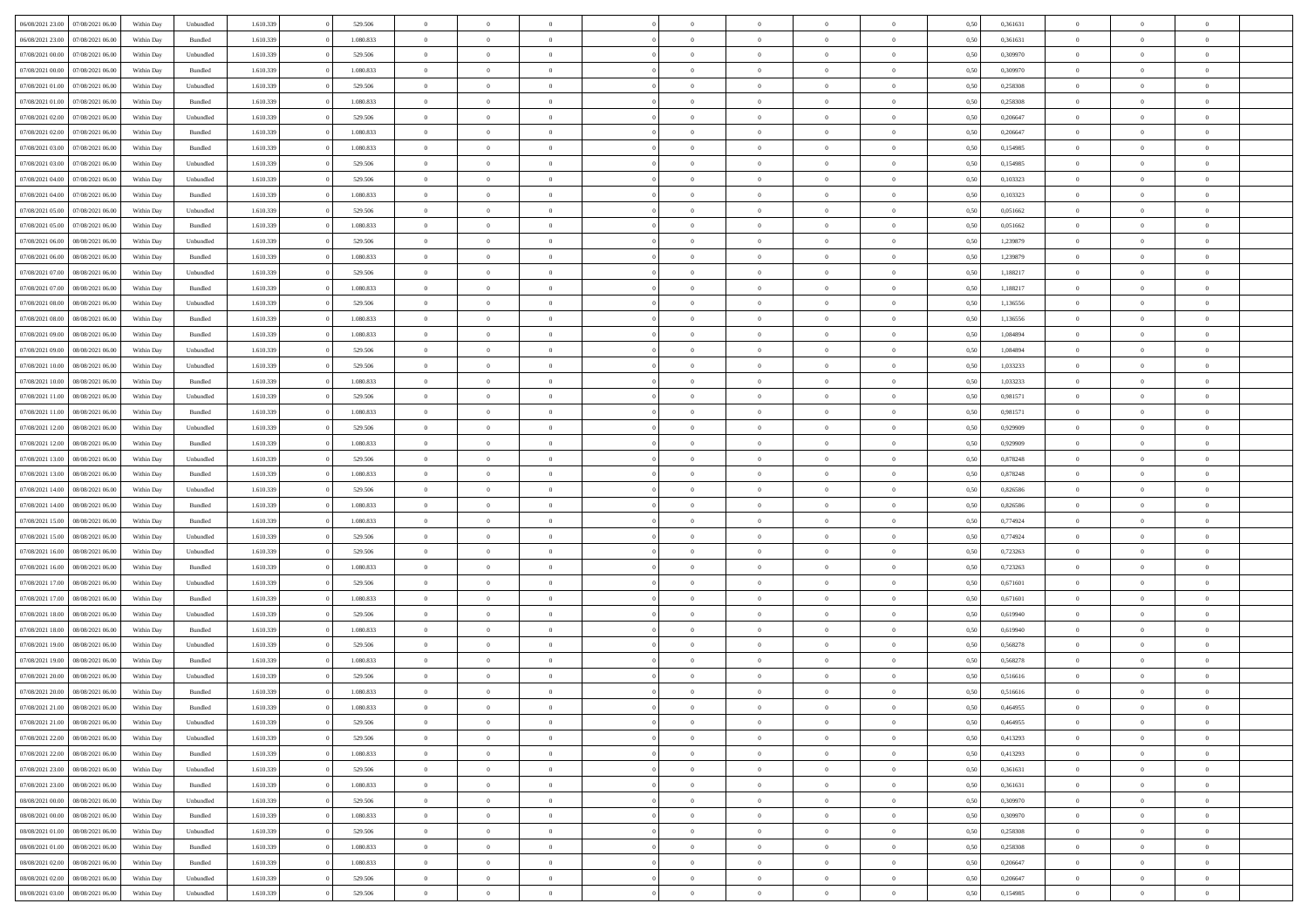| 06/08/2021 23:00 07/08/2021 06:00    | Within Day | Unbundled | 1.610.339 | 529.506   | $\overline{0}$ | $\overline{0}$ | $\Omega$       | $\Omega$       | $\Omega$       |                | $\overline{0}$ | 0,50 | 0,361631 | $\mathbf{0}$   | $\Omega$       | $\Omega$       |  |
|--------------------------------------|------------|-----------|-----------|-----------|----------------|----------------|----------------|----------------|----------------|----------------|----------------|------|----------|----------------|----------------|----------------|--|
| 06/08/2021 23:00<br>07/08/2021 06:00 | Within Day | Bundled   | 1.610.339 | 1.080.833 | $\bf{0}$       | $\overline{0}$ | $\theta$       | $\theta$       | $\overline{0}$ | $\overline{0}$ | $\,$ 0         | 0,50 | 0,361631 | $\theta$       | $\theta$       | $\bf{0}$       |  |
| 07/08/2021 00:00<br>07/08/2021 06:00 | Within Day | Unbundled | 1.610.339 | 529.506   | $\overline{0}$ | $\overline{0}$ | $\overline{0}$ | $\bf{0}$       | $\bf{0}$       | $\overline{0}$ | $\mathbf{0}$   | 0,50 | 0,309970 | $\bf{0}$       | $\bf{0}$       | $\bf{0}$       |  |
| 07/08/2021 00:00<br>07/08/2021 06:00 | Within Day | Bundled   | 1.610.339 | 1.080.833 | $\overline{0}$ | $\overline{0}$ | $\overline{0}$ | $\overline{0}$ | $\overline{0}$ | $\overline{0}$ | $\overline{0}$ | 0.50 | 0.309970 | $\mathbf{0}$   | $\overline{0}$ | $\bf{0}$       |  |
|                                      |            |           |           |           |                |                |                |                |                |                |                |      |          |                |                |                |  |
| 07/08/2021 01:00<br>07/08/2021 06:00 | Within Day | Unbundled | 1.610.339 | 529.506   | $\bf{0}$       | $\overline{0}$ | $\overline{0}$ | $\theta$       | $\overline{0}$ | $\overline{0}$ | $\bf{0}$       | 0,50 | 0,258308 | $\theta$       | $\theta$       | $\overline{0}$ |  |
| 07/08/2021 01:00<br>07/08/2021 06:00 | Within Day | Bundled   | 1.610.339 | 1.080.833 | $\overline{0}$ | $\overline{0}$ | $\overline{0}$ | $\bf{0}$       | $\overline{0}$ | $\overline{0}$ | $\overline{0}$ | 0,50 | 0,258308 | $\overline{0}$ | $\overline{0}$ | $\overline{0}$ |  |
| 07/08/2021 02:00<br>07/08/2021 06:00 | Within Day | Unbundled | 1.610.339 | 529.506   | $\overline{0}$ | $\overline{0}$ | $\overline{0}$ | $\overline{0}$ | $\overline{0}$ | $\overline{0}$ | $\mathbf{0}$   | 0.50 | 0.206647 | $\mathbf{0}$   | $\overline{0}$ | $\overline{0}$ |  |
| 07/08/2021 02:00<br>07/08/2021 06:00 | Within Day | Bundled   | 1.610.339 | 1.080.833 | $\bf{0}$       | $\overline{0}$ | $\overline{0}$ | $\theta$       | $\overline{0}$ | $\overline{0}$ | $\bf{0}$       | 0,50 | 0,206647 | $\theta$       | $\theta$       | $\bf{0}$       |  |
| 07/08/2021 03:00<br>07/08/2021 06:00 | Within Day | Bundled   | 1.610.339 | 1.080.833 | $\overline{0}$ | $\overline{0}$ | $\overline{0}$ | $\bf{0}$       | $\bf{0}$       | $\overline{0}$ | $\mathbf{0}$   | 0,50 | 0,154985 | $\bf{0}$       | $\bf{0}$       | $\bf{0}$       |  |
| 07/08/2021 06:00                     |            | Unbundled | 1.610.339 | 529.506   | $\overline{0}$ | $\overline{0}$ | $\overline{0}$ | $\overline{0}$ | $\overline{0}$ | $\overline{0}$ | $\overline{0}$ | 0.50 | 0,154985 | $\mathbf{0}$   | $\overline{0}$ | $\overline{0}$ |  |
| 07/08/2021 03:00                     | Within Day |           |           |           |                |                |                |                |                |                |                |      |          |                |                |                |  |
| 07/08/2021 04:00<br>07/08/2021 06:00 | Within Day | Unbundled | 1.610.339 | 529.506   | $\bf{0}$       | $\overline{0}$ | $\overline{0}$ | $\overline{0}$ | $\overline{0}$ | $\overline{0}$ | $\,$ 0         | 0,50 | 0,103323 | $\theta$       | $\theta$       | $\bf{0}$       |  |
| 07/08/2021 04:00<br>07/08/2021 06:00 | Within Day | Bundled   | 1.610.339 | 1.080.833 | $\overline{0}$ | $\overline{0}$ | $\overline{0}$ | $\bf{0}$       | $\bf{0}$       | $\overline{0}$ | $\mathbf{0}$   | 0,50 | 0,103323 | $\bf{0}$       | $\bf{0}$       | $\bf{0}$       |  |
| 07/08/2021 05:00<br>07/08/2021 06:00 | Within Day | Unbundled | 1.610.339 | 529,506   | $\overline{0}$ | $\overline{0}$ | $\overline{0}$ | $\overline{0}$ | $\overline{0}$ | $\overline{0}$ | $\overline{0}$ | 0.50 | 0.051662 | $\mathbf{0}$   | $\overline{0}$ | $\bf{0}$       |  |
| 07/08/2021 05:00<br>07/08/2021 06:00 | Within Day | Bundled   | 1.610.339 | 1.080.833 | $\bf{0}$       | $\overline{0}$ | $\overline{0}$ | $\theta$       | $\overline{0}$ | $\overline{0}$ | $\,$ 0         | 0,50 | 0,051662 | $\theta$       | $\theta$       | $\overline{0}$ |  |
|                                      |            |           |           |           |                |                |                |                |                |                |                |      |          |                |                |                |  |
| 07/08/2021 06:00<br>08/08/2021 06:00 | Within Day | Unbundled | 1.610.339 | 529.506   | $\overline{0}$ | $\overline{0}$ | $\overline{0}$ | $\bf{0}$       | $\overline{0}$ | $\overline{0}$ | $\overline{0}$ | 0,50 | 1,239879 | $\overline{0}$ | $\overline{0}$ | $\overline{0}$ |  |
| 07/08/2021 06:00<br>08/08/2021 06:00 | Within Day | Bundled   | 1.610.339 | 1.080.833 | $\overline{0}$ | $\overline{0}$ | $\overline{0}$ | $\overline{0}$ | $\overline{0}$ | $\overline{0}$ | $\mathbf{0}$   | 0.50 | 1,239879 | $\overline{0}$ | $\overline{0}$ | $\overline{0}$ |  |
| 07/08/2021 07:00<br>08/08/2021 06:00 | Within Day | Unbundled | 1.610.339 | 529.506   | $\bf{0}$       | $\overline{0}$ | $\overline{0}$ | $\overline{0}$ | $\overline{0}$ | $\overline{0}$ | $\bf{0}$       | 0,50 | 1,188217 | $\theta$       | $\theta$       | $\bf{0}$       |  |
| 07/08/2021 07:00<br>08/08/2021 06:00 | Within Day | Bundled   | 1.610.339 | 1.080.833 | $\overline{0}$ | $\overline{0}$ | $\bf{0}$       | $\bf{0}$       | $\bf{0}$       | $\overline{0}$ | $\mathbf{0}$   | 0,50 | 1,188217 | $\bf{0}$       | $\bf{0}$       | $\bf{0}$       |  |
| 07/08/2021 08:00<br>08/08/2021 06:00 | Within Day | Unbundled | 1.610.339 | 529.506   | $\overline{0}$ | $\overline{0}$ | $\overline{0}$ | $\overline{0}$ | $\overline{0}$ | $\overline{0}$ | $\overline{0}$ | 0.50 | 1,136556 | $\overline{0}$ | $\overline{0}$ | $\overline{0}$ |  |
| 07/08/2021 08:00<br>08/08/2021 06:00 | Within Day | Bundled   | 1.610.339 | 1.080.833 | $\bf{0}$       | $\overline{0}$ | $\overline{0}$ | $\overline{0}$ | $\overline{0}$ | $\overline{0}$ | $\,$ 0         | 0,50 | 1,136556 | $\theta$       | $\theta$       | $\bf{0}$       |  |
|                                      |            |           |           |           |                |                |                |                |                |                |                |      |          |                |                |                |  |
| 07/08/2021 09:00<br>08/08/2021 06:00 | Within Day | Bundled   | 1.610.339 | 1.080.833 | $\overline{0}$ | $\overline{0}$ | $\overline{0}$ | $\bf{0}$       | $\bf{0}$       | $\overline{0}$ | $\mathbf{0}$   | 0,50 | 1,084894 | $\bf{0}$       | $\bf{0}$       | $\bf{0}$       |  |
| 07/08/2021 09:00<br>08/08/2021 06:00 | Within Day | Unbundled | 1.610.339 | 529,506   | $\overline{0}$ | $\overline{0}$ | $\overline{0}$ | $\overline{0}$ | $\overline{0}$ | $\overline{0}$ | $\overline{0}$ | 0.50 | 1.084894 | $\mathbf{0}$   | $\overline{0}$ | $\bf{0}$       |  |
| 07/08/2021 10:00<br>08/08/2021 06:00 | Within Day | Unbundled | 1.610.339 | 529.506   | $\bf{0}$       | $\overline{0}$ | $\overline{0}$ | $\overline{0}$ | $\overline{0}$ | $\overline{0}$ | $\,$ 0         | 0,50 | 1,033233 | $\mathbf{0}$   | $\theta$       | $\bf{0}$       |  |
| 07/08/2021 10:00<br>08/08/2021 06:00 | Within Day | Bundled   | 1.610.339 | 1.080.833 | $\overline{0}$ | $\overline{0}$ | $\overline{0}$ | $\bf{0}$       | $\overline{0}$ | $\overline{0}$ | $\overline{0}$ | 0,50 | 1,033233 | $\overline{0}$ | $\overline{0}$ | $\overline{0}$ |  |
| 07/08/2021 11:00<br>08/08/2021 06:00 | Within Day | Unbundled | 1.610.339 | 529.506   | $\overline{0}$ | $\overline{0}$ | $\overline{0}$ | $\overline{0}$ | $\overline{0}$ | $\overline{0}$ | $\overline{0}$ | 0.50 | 0,981571 | $\overline{0}$ | $\overline{0}$ | $\overline{0}$ |  |
| 07/08/2021 11:00<br>08/08/2021 06:00 | Within Day | Bundled   | 1.610.339 | 1.080.833 | $\bf{0}$       | $\overline{0}$ | $\bf{0}$       | $\overline{0}$ | $\overline{0}$ | $\overline{0}$ | $\bf{0}$       | 0,50 | 0,981571 | $\theta$       | $\theta$       | $\bf{0}$       |  |
|                                      |            |           |           |           |                | $\overline{0}$ |                |                | $\bf{0}$       |                | $\bf{0}$       |      |          | $\bf{0}$       | $\bf{0}$       | $\bf{0}$       |  |
| 07/08/2021 12:00<br>08/08/2021 06:00 | Within Day | Unbundled | 1.610.339 | 529.506   | $\overline{0}$ |                | $\bf{0}$       | $\bf{0}$       |                | $\overline{0}$ |                | 0,50 | 0,929909 |                |                |                |  |
| 07/08/2021 12:00<br>08/08/2021 06:00 | Within Day | Bundled   | 1.610.339 | 1.080.833 | $\overline{0}$ | $\overline{0}$ | $\overline{0}$ | $\overline{0}$ | $\overline{0}$ | $\overline{0}$ | $\overline{0}$ | 0.50 | 0.929909 | $\overline{0}$ | $\overline{0}$ | $\bf{0}$       |  |
| 07/08/2021 13:00<br>08/08/2021 06:00 | Within Day | Unbundled | 1.610.339 | 529.506   | $\bf{0}$       | $\overline{0}$ | $\overline{0}$ | $\overline{0}$ | $\overline{0}$ | $\overline{0}$ | $\,$ 0         | 0,50 | 0,878248 | $\theta$       | $\theta$       | $\bf{0}$       |  |
| 07/08/2021 13:00<br>08/08/2021 06:00 | Within Day | Bundled   | 1.610.339 | 1.080.833 | $\overline{0}$ | $\overline{0}$ | $\overline{0}$ | $\bf{0}$       | $\bf{0}$       | $\overline{0}$ | $\mathbf{0}$   | 0,50 | 0,878248 | $\overline{0}$ | $\bf{0}$       | $\bf{0}$       |  |
| 07/08/2021 14:00<br>08/08/2021 06:00 | Within Day | Unbundled | 1.610.339 | 529.506   | $\overline{0}$ | $\overline{0}$ | $\overline{0}$ | $\overline{0}$ | $\overline{0}$ | $\Omega$       | $\overline{0}$ | 0.50 | 0,826586 | $\bf{0}$       | $\Omega$       | $\Omega$       |  |
| 07/08/2021 14:00<br>08/08/2021 06:00 | Within Day | Bundled   | 1.610.339 | 1.080.833 | $\bf{0}$       | $\overline{0}$ | $\overline{0}$ | $\theta$       | $\overline{0}$ | $\overline{0}$ | $\,$ 0         | 0,50 | 0,826586 | $\theta$       | $\theta$       | $\bf{0}$       |  |
| 07/08/2021 15:00<br>08/08/2021 06:00 | Within Day | Bundled   | 1.610.339 | 1.080.833 | $\overline{0}$ | $\overline{0}$ | $\overline{0}$ | $\bf{0}$       | $\overline{0}$ | $\overline{0}$ | $\overline{0}$ | 0,50 | 0,774924 | $\overline{0}$ | $\overline{0}$ | $\overline{0}$ |  |
|                                      |            |           |           |           |                |                |                |                |                |                |                |      |          |                |                |                |  |
| 07/08/2021 15:00<br>08/08/2021 06:00 | Within Day | Unbundled | 1.610.339 | 529.506   | $\overline{0}$ | $\overline{0}$ | $\Omega$       | $\overline{0}$ | $\overline{0}$ | $\Omega$       | $\overline{0}$ | 0.50 | 0.774924 | $\overline{0}$ | $\Omega$       | $\Omega$       |  |
| 07/08/2021 16:00<br>08/08/2021 06:00 | Within Day | Unbundled | 1.610.339 | 529.506   | $\bf{0}$       | $\overline{0}$ | $\overline{0}$ | $\overline{0}$ | $\overline{0}$ | $\overline{0}$ | $\bf{0}$       | 0,50 | 0,723263 | $\theta$       | $\theta$       | $\bf{0}$       |  |
| 07/08/2021 16:00<br>08/08/2021 06:00 | Within Day | Bundled   | 1.610.339 | 1.080.833 | $\overline{0}$ | $\overline{0}$ | $\overline{0}$ | $\bf{0}$       | $\bf{0}$       | $\overline{0}$ | $\bf{0}$       | 0,50 | 0,723263 | $\bf{0}$       | $\bf{0}$       | $\bf{0}$       |  |
| 07/08/2021 17:00<br>08/08/2021 06:00 | Within Day | Unbundled | 1.610.339 | 529.506   | $\overline{0}$ | $\overline{0}$ | $\Omega$       | $\overline{0}$ | $\overline{0}$ | $\Omega$       | $\theta$       | 0.50 | 0,671601 | $\overline{0}$ | $\Omega$       | $\Omega$       |  |
| 07/08/2021 17:00<br>08/08/2021 06:00 | Within Day | Bundled   | 1.610.339 | 1.080.833 | $\bf{0}$       | $\overline{0}$ | $\overline{0}$ | $\overline{0}$ | $\overline{0}$ | $\overline{0}$ | $\,$ 0         | 0,50 | 0,671601 | $\theta$       | $\theta$       | $\bf{0}$       |  |
| 07/08/2021 18:00<br>08/08/2021 06:00 | Within Day | Unbundled | 1.610.339 | 529.506   | $\overline{0}$ | $\overline{0}$ | $\overline{0}$ | $\bf{0}$       | $\bf{0}$       | $\overline{0}$ | $\mathbf{0}$   | 0,50 | 0,619940 | $\overline{0}$ | $\bf{0}$       | $\bf{0}$       |  |
|                                      |            |           |           |           |                |                |                |                |                |                |                |      |          |                |                |                |  |
| 07/08/2021 18:00<br>08/08/2021 06:00 | Within Day | Bundled   | 1.610.339 | 1.080.833 | $\overline{0}$ | $\overline{0}$ | $\overline{0}$ | $\overline{0}$ | $\bf{0}$       | $\Omega$       | $\overline{0}$ | 0.50 | 0,619940 | $\bf{0}$       | $\Omega$       | $\Omega$       |  |
| 07/08/2021 19:00<br>08/08/2021 06:00 | Within Day | Unbundled | 1.610.339 | 529.506   | $\bf{0}$       | $\overline{0}$ | $\overline{0}$ | $\overline{0}$ | $\overline{0}$ | $\overline{0}$ | $\,$ 0         | 0,50 | 0,568278 | $\bf{0}$       | $\theta$       | $\bf{0}$       |  |
| 07/08/2021 19:00<br>08/08/2021 06:00 | Within Day | Bundled   | 1.610.339 | 1.080.833 | $\overline{0}$ | $\overline{0}$ | $\overline{0}$ | $\bf{0}$       | $\overline{0}$ | $\overline{0}$ | $\overline{0}$ | 0,50 | 0,568278 | $\overline{0}$ | $\bf{0}$       | $\bf{0}$       |  |
| 07/08/2021 20:00<br>08/08/2021 06:00 | Within Day | Unbundled | 1.610.339 | 529.506   | $\overline{0}$ | $\Omega$       | $\Omega$       | $\Omega$       | $\overline{0}$ | $\Omega$       | $\overline{0}$ | 0.50 | 0,516616 | $\overline{0}$ | $\Omega$       | $\Omega$       |  |
| 07/08/2021 20:00   08/08/2021 06:00  | Within Day | Bundled   | 1.610.339 | 1.080.833 | $\bf{0}$       | $\overline{0}$ | $\overline{0}$ | $\bf{0}$       | $\bf{0}$       | $\overline{0}$ | $\,$ 0         | 0,50 | 0,516616 | $\bf{0}$       | $\,$ 0         | $\,$ 0         |  |
| 07/08/2021 21:00 08/08/2021 06:00    | Within Day | Bundled   | 1.610.339 | 1.080.833 | $\bf{0}$       | $\bf{0}$       |                | $\bf{0}$       |                |                |                | 0,50 | 0,464955 | $\bf{0}$       | $\bf{0}$       |                |  |
| 07/08/2021 21:00 08/08/2021 06:00    | Within Day | Unbundled | 1.610.339 | 529.506   | $\overline{0}$ | $\overline{0}$ | $\theta$       | $\overline{0}$ | $\overline{0}$ | $\overline{0}$ | $\mathbf{0}$   | 0.50 | 0.464955 | $\overline{0}$ | $\theta$       | $\overline{0}$ |  |
|                                      |            |           |           |           |                |                |                |                |                |                |                |      |          |                |                |                |  |
| 07/08/2021 22:00<br>08/08/2021 06:00 | Within Day | Unbundled | 1.610.339 | 529.506   | $\overline{0}$ | $\overline{0}$ | $\overline{0}$ | $\bf{0}$       | $\overline{0}$ | $\overline{0}$ | $\mathbf{0}$   | 0,50 | 0,413293 | $\,$ 0 $\,$    | $\overline{0}$ | $\,$ 0 $\,$    |  |
| 07/08/2021 22:00<br>08/08/2021 06:00 | Within Day | Bundled   | 1.610.339 | 1.080.833 | $\overline{0}$ | $\overline{0}$ | $\overline{0}$ | $\bf{0}$       | $\overline{0}$ | $\overline{0}$ | $\overline{0}$ | 0,50 | 0,413293 | $\overline{0}$ | $\overline{0}$ | $\overline{0}$ |  |
| 08/08/2021 06:00<br>07/08/2021 23:00 | Within Day | Unbundled | 1.610.339 | 529.506   | $\overline{0}$ | $\overline{0}$ | $\overline{0}$ | $\overline{0}$ | $\bf{0}$       | $\overline{0}$ | $\bf{0}$       | 0,50 | 0,361631 | $\overline{0}$ | $\overline{0}$ | $\overline{0}$ |  |
| 07/08/2021 23:00<br>08/08/2021 06:00 | Within Day | Bundled   | 1.610.339 | 1.080.833 | $\overline{0}$ | $\overline{0}$ | $\overline{0}$ | $\overline{0}$ | $\overline{0}$ | $\overline{0}$ | $\,$ 0 $\,$    | 0,50 | 0,361631 | $\,$ 0 $\,$    | $\theta$       | $\bf{0}$       |  |
| 08/08/2021 00:00<br>08/08/2021 06:00 | Within Day | Unbundled | 1.610.339 | 529.506   | $\overline{0}$ | $\overline{0}$ | $\overline{0}$ | $\bf{0}$       | $\overline{0}$ | $\overline{0}$ | $\overline{0}$ | 0,50 | 0,309970 | $\overline{0}$ | $\overline{0}$ | $\overline{0}$ |  |
| 08/08/2021 00:00<br>08/08/2021 06:00 | Within Day | Bundled   | 1.610.339 | 1.080.833 | $\overline{0}$ | $\overline{0}$ | $\overline{0}$ | $\overline{0}$ | $\overline{0}$ | $\overline{0}$ | $\overline{0}$ | 0.50 | 0,309970 | $\overline{0}$ | $\overline{0}$ | $\overline{0}$ |  |
|                                      |            |           |           |           |                | $\overline{0}$ |                |                |                | $\overline{0}$ | $\,$ 0 $\,$    |      |          | $\,$ 0 $\,$    | $\theta$       |                |  |
| 08/08/2021 01:00<br>08/08/2021 06:00 | Within Day | Unbundled | 1.610.339 | 529.506   | $\overline{0}$ |                | $\overline{0}$ | $\bf{0}$       | $\bf{0}$       |                |                | 0,50 | 0,258308 |                |                | $\,$ 0         |  |
| 08/08/2021 01:00<br>08/08/2021 06:00 | Within Day | Bundled   | 1.610.339 | 1.080.833 | $\overline{0}$ | $\overline{0}$ | $\overline{0}$ | $\bf{0}$       | $\overline{0}$ | $\overline{0}$ | $\overline{0}$ | 0,50 | 0,258308 | $\bf{0}$       | $\bf{0}$       | $\overline{0}$ |  |
| 08/08/2021 02:00<br>08/08/2021 06:00 | Within Day | Bundled   | 1.610.339 | 1.080.833 | $\overline{0}$ | $\overline{0}$ | $\overline{0}$ | $\overline{0}$ | $\overline{0}$ | $\overline{0}$ | $\overline{0}$ | 0.50 | 0,206647 | $\overline{0}$ | $\overline{0}$ | $\overline{0}$ |  |
| 08/08/2021 02:00<br>08/08/2021 06:00 | Within Day | Unbundled | 1.610.339 | 529.506   | $\overline{0}$ | $\overline{0}$ | $\overline{0}$ | $\bf{0}$       | $\bf{0}$       | $\bf{0}$       | $\,$ 0 $\,$    | 0,50 | 0,206647 | $\,$ 0 $\,$    | $\,0\,$        | $\,$ 0         |  |
| 08/08/2021 03:00  08/08/2021 06:00   | Within Day | Unbundled | 1.610.339 | 529.506   | $\overline{0}$ | $\overline{0}$ | $\overline{0}$ | $\bf{0}$       | $\bf{0}$       | $\overline{0}$ | $\bf{0}$       | 0,50 | 0,154985 | $\bf{0}$       | $\bf{0}$       | $\overline{0}$ |  |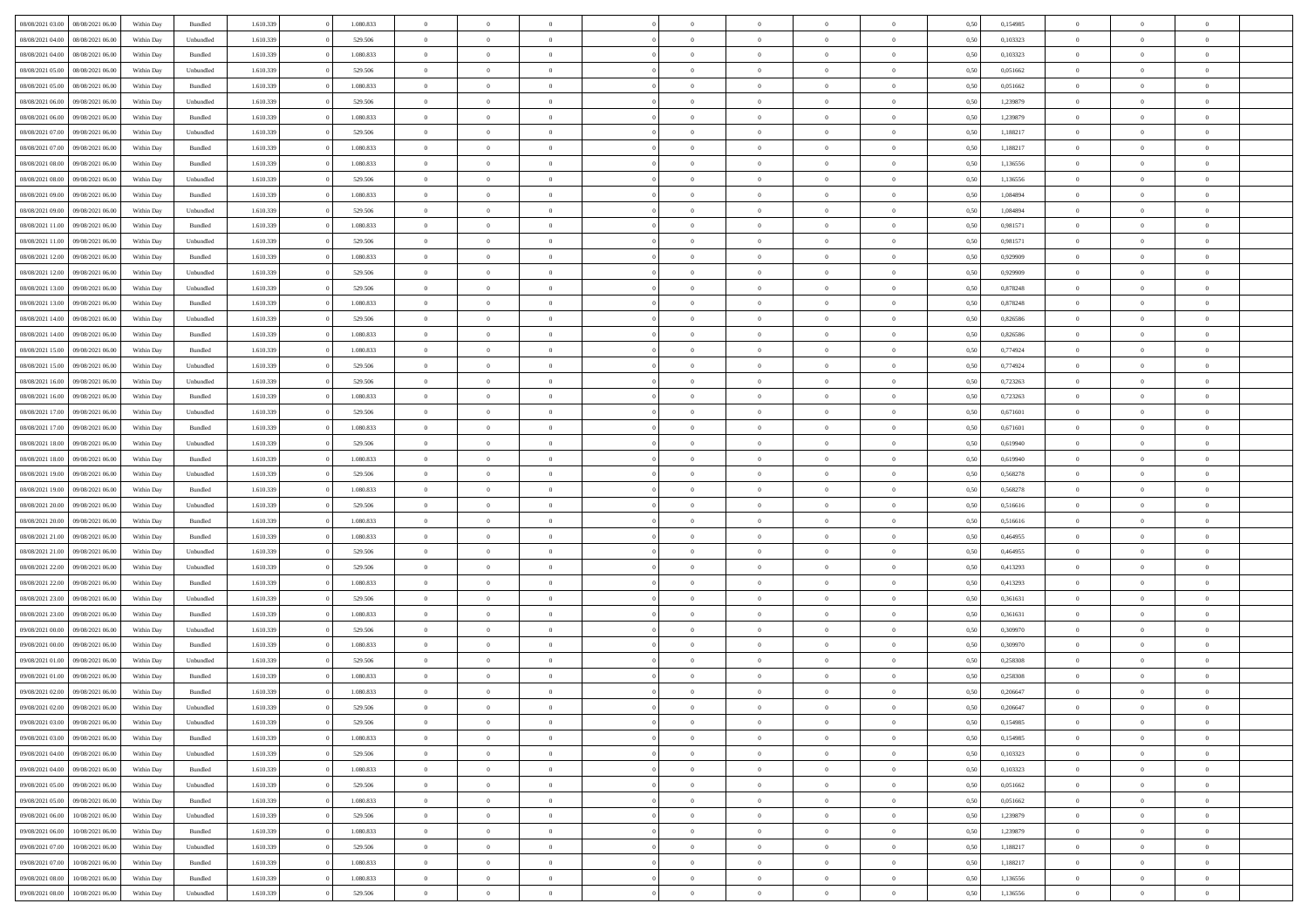|                                   |                  |            |           |           |           | $\overline{0}$ | $\Omega$       |                |                | $\Omega$       | $\theta$       | $\theta$       |      |          | $\theta$       |                | $\theta$       |  |
|-----------------------------------|------------------|------------|-----------|-----------|-----------|----------------|----------------|----------------|----------------|----------------|----------------|----------------|------|----------|----------------|----------------|----------------|--|
| 08/08/2021 03:00                  | 08/08/2021 06:00 | Within Day | Bundled   | 1.610.339 | 1.080.833 |                |                |                | $\Omega$       |                |                |                | 0,50 | 0,154985 |                | $\theta$       |                |  |
| 08/08/2021 04:00                  | 08/08/2021 06:00 | Within Day | Unbundled | 1.610.339 | 529.506   | $\overline{0}$ | $\theta$       | $\overline{0}$ | $\overline{0}$ | $\bf{0}$       | $\overline{0}$ | $\bf{0}$       | 0,50 | 0,103323 | $\theta$       | $\theta$       | $\overline{0}$ |  |
| 08/08/2021 04:00                  | 08/08/2021 06:00 | Within Day | Bundled   | 1.610.339 | 1.080.833 | $\overline{0}$ | $\overline{0}$ | $\overline{0}$ | $\bf{0}$       | $\bf{0}$       | $\bf{0}$       | $\bf{0}$       | 0,50 | 0,103323 | $\overline{0}$ | $\overline{0}$ | $\overline{0}$ |  |
| 08/08/2021 05:00                  | 08/08/2021 06:00 | Within Dav | Unbundled | 1.610.339 | 529.506   | $\overline{0}$ | $\overline{0}$ | $\overline{0}$ | $\overline{0}$ | $\bf{0}$       | $\overline{0}$ | $\overline{0}$ | 0.50 | 0.051662 | $\theta$       | $\theta$       | $\overline{0}$ |  |
|                                   |                  |            |           |           |           |                |                |                |                |                |                |                |      |          |                |                |                |  |
| 08/08/2021 05:00                  | 08/08/2021 06:00 | Within Day | Bundled   | 1.610.339 | 1.080.833 | $\overline{0}$ | $\theta$       | $\overline{0}$ | $\overline{0}$ | $\bf{0}$       | $\overline{0}$ | $\bf{0}$       | 0,50 | 0,051662 | $\theta$       | $\overline{0}$ | $\overline{0}$ |  |
| 08/08/2021 06:00                  | 09/08/2021 06:00 | Within Day | Unbundled | 1.610.339 | 529.506   | $\overline{0}$ | $\bf{0}$       | $\overline{0}$ | $\bf{0}$       | $\overline{0}$ | $\overline{0}$ | $\mathbf{0}$   | 0,50 | 1,239879 | $\overline{0}$ | $\overline{0}$ | $\bf{0}$       |  |
| 08/08/2021 06:00                  | 09/08/2021 06:00 | Within Dav | Bundled   | 1.610.339 | 1.080.833 | $\overline{0}$ | $\overline{0}$ | $\overline{0}$ | $\overline{0}$ | $\overline{0}$ | $\overline{0}$ | $\overline{0}$ | 0.50 | 1,239879 | $\theta$       | $\overline{0}$ | $\overline{0}$ |  |
| 08/08/2021 07:00                  | 09/08/2021 06:00 | Within Day | Unbundled | 1.610.339 | 529.506   | $\overline{0}$ | $\theta$       | $\overline{0}$ | $\overline{0}$ | $\bf{0}$       | $\overline{0}$ | $\bf{0}$       | 0,50 | 1,188217 | $\theta$       | $\theta$       | $\overline{0}$ |  |
|                                   |                  |            |           |           |           |                |                |                |                |                |                |                |      |          |                |                |                |  |
| 08/08/2021 07:00                  | 09/08/2021 06:00 | Within Day | Bundled   | 1.610.339 | 1.080.833 | $\overline{0}$ | $\overline{0}$ | $\overline{0}$ | $\bf{0}$       | $\bf{0}$       | $\bf{0}$       | $\bf{0}$       | 0,50 | 1,188217 | $\,0\,$        | $\overline{0}$ | $\overline{0}$ |  |
| 08/08/2021 08:00                  | 09/08/2021 06:00 | Within Dav | Bundled   | 1.610.339 | 1.080.833 | $\overline{0}$ | $\overline{0}$ | $\overline{0}$ | $\overline{0}$ | $\overline{0}$ | $\overline{0}$ | $\overline{0}$ | 0.50 | 1,136556 | $\theta$       | $\overline{0}$ | $\overline{0}$ |  |
| 08/08/2021 08:00                  | 09/08/2021 06:00 | Within Day | Unbundled | 1.610.339 | 529.506   | $\overline{0}$ | $\theta$       | $\overline{0}$ | $\overline{0}$ | $\bf{0}$       | $\overline{0}$ | $\bf{0}$       | 0,50 | 1,136556 | $\,$ 0 $\,$    | $\overline{0}$ | $\overline{0}$ |  |
| 08/08/2021 09:00                  | 09/08/2021 06:00 | Within Day | Bundled   | 1.610.339 | 1.080.833 | $\overline{0}$ | $\overline{0}$ | $\overline{0}$ | $\bf{0}$       | $\bf{0}$       | $\bf{0}$       | $\bf{0}$       | 0,50 | 1,084894 | $\overline{0}$ | $\overline{0}$ | $\overline{0}$ |  |
|                                   |                  |            |           |           |           |                |                |                |                |                |                |                |      |          |                |                |                |  |
| 08/08/2021 09:00                  | 09/08/2021 06:00 | Within Day | Unbundled | 1.610.339 | 529.506   | $\overline{0}$ | $\overline{0}$ | $\overline{0}$ | $\overline{0}$ | $\bf{0}$       | $\overline{0}$ | $\overline{0}$ | 0.50 | 1.084894 | $\theta$       | $\theta$       | $\overline{0}$ |  |
| 08/08/2021 11:00                  | 09/08/2021 06:00 | Within Day | Bundled   | 1.610.339 | 1.080.833 | $\overline{0}$ | $\theta$       | $\overline{0}$ | $\overline{0}$ | $\bf{0}$       | $\overline{0}$ | $\bf{0}$       | 0,50 | 0,981571 | $\theta$       | $\overline{0}$ | $\overline{0}$ |  |
| 08/08/2021 11:00                  | 09/08/2021 06:00 | Within Day | Unbundled | 1.610.339 | 529.506   | $\overline{0}$ | $\overline{0}$ | $\overline{0}$ | $\bf{0}$       | $\overline{0}$ | $\overline{0}$ | $\mathbf{0}$   | 0,50 | 0,981571 | $\overline{0}$ | $\overline{0}$ | $\bf{0}$       |  |
| 08/08/2021 12:00                  | 09/08/2021 06:00 | Within Dav | Bundled   | 1.610.339 | 1.080.833 | $\overline{0}$ | $\overline{0}$ | $\overline{0}$ | $\overline{0}$ | $\overline{0}$ | $\overline{0}$ | $\overline{0}$ | 0.50 | 0.929909 | $\theta$       | $\overline{0}$ | $\overline{0}$ |  |
|                                   |                  |            |           |           |           |                |                |                |                |                |                |                |      |          |                |                |                |  |
| 08/08/2021 12:00                  | 09/08/2021 06:00 | Within Day | Unbundled | 1.610.339 | 529.506   | $\overline{0}$ | $\theta$       | $\overline{0}$ | $\overline{0}$ | $\bf{0}$       | $\overline{0}$ | $\bf{0}$       | 0,50 | 0,929909 | $\theta$       | $\theta$       | $\overline{0}$ |  |
| 08/08/2021 13:00                  | 09/08/2021 06:00 | Within Day | Unbundled | 1.610.339 | 529.506   | $\overline{0}$ | $\overline{0}$ | $\overline{0}$ | $\overline{0}$ | $\bf{0}$       | $\overline{0}$ | $\bf{0}$       | 0,50 | 0,878248 | $\,0\,$        | $\overline{0}$ | $\overline{0}$ |  |
| 08/08/2021 13:00                  | 09/08/2021 06:00 | Within Day | Bundled   | 1.610.339 | 1.080.833 | $\overline{0}$ | $\overline{0}$ | $\overline{0}$ | $\overline{0}$ | $\overline{0}$ | $\overline{0}$ | $\overline{0}$ | 0.50 | 0,878248 | $\theta$       | $\overline{0}$ | $\overline{0}$ |  |
| 08/08/2021 14:00                  | 09/08/2021 06:00 | Within Day | Unbundled | 1.610.339 | 529.506   | $\overline{0}$ | $\theta$       | $\overline{0}$ | $\overline{0}$ | $\bf{0}$       | $\overline{0}$ | $\bf{0}$       | 0,50 | 0,826586 | $\,$ 0 $\,$    | $\theta$       | $\overline{0}$ |  |
|                                   |                  |            |           |           |           |                |                |                |                |                |                |                |      |          |                |                |                |  |
| 08/08/2021 14:00                  | 09/08/2021 06:00 | Within Day | Bundled   | 1.610.339 | 1.080.833 | $\overline{0}$ | $\overline{0}$ | $\overline{0}$ | $\overline{0}$ | $\bf{0}$       | $\overline{0}$ | $\bf{0}$       | 0,50 | 0,826586 | $\bf{0}$       | $\overline{0}$ | $\overline{0}$ |  |
| 08/08/2021 15:00                  | 09/08/2021 06:00 | Within Day | Bundled   | 1.610.339 | 1.080.833 | $\overline{0}$ | $\overline{0}$ | $\overline{0}$ | $\overline{0}$ | $\bf{0}$       | $\overline{0}$ | $\overline{0}$ | 0.50 | 0,774924 | $\theta$       | $\overline{0}$ | $\overline{0}$ |  |
| 08/08/2021 15:00                  | 09/08/2021 06:00 | Within Day | Unbundled | 1.610.339 | 529.506   | $\overline{0}$ | $\theta$       | $\overline{0}$ | $\overline{0}$ | $\bf{0}$       | $\overline{0}$ | $\bf{0}$       | 0,50 | 0,774924 | $\,$ 0 $\,$    | $\overline{0}$ | $\overline{0}$ |  |
|                                   |                  |            |           |           |           |                | $\bf{0}$       |                |                |                |                |                |      |          |                | $\overline{0}$ | $\bf{0}$       |  |
| 08/08/2021 16:00                  | 09/08/2021 06:00 | Within Day | Unbundled | 1.610.339 | 529.506   | $\overline{0}$ |                | $\overline{0}$ | $\overline{0}$ | $\overline{0}$ | $\overline{0}$ | $\mathbf{0}$   | 0,50 | 0,723263 | $\overline{0}$ |                |                |  |
| 08/08/2021 16:00                  | 09/08/2021 06:00 | Within Dav | Bundled   | 1.610.339 | 1.080.833 | $\overline{0}$ | $\overline{0}$ | $\overline{0}$ | $\overline{0}$ | $\overline{0}$ | $\overline{0}$ | $\overline{0}$ | 0.50 | 0,723263 | $\theta$       | $\overline{0}$ | $\overline{0}$ |  |
| 08/08/2021 17:00                  | 09/08/2021 06:00 | Within Day | Unbundled | 1.610.339 | 529.506   | $\overline{0}$ | $\theta$       | $\overline{0}$ | $\overline{0}$ | $\bf{0}$       | $\overline{0}$ | $\bf{0}$       | 0,50 | 0,671601 | $\theta$       | $\theta$       | $\overline{0}$ |  |
| 08/08/2021 17:00                  | 09/08/2021 06:00 | Within Day | Bundled   | 1.610.339 | 1.080.833 | $\overline{0}$ | $\overline{0}$ | $\overline{0}$ | $\bf{0}$       | $\bf{0}$       | $\bf{0}$       | $\bf{0}$       | 0,50 | 0,671601 | $\,0\,$        | $\overline{0}$ | $\overline{0}$ |  |
| 08/08/2021 18:00                  | 09/08/2021 06:00 | Within Day | Unbundled | 1.610.339 | 529.506   | $\overline{0}$ | $\overline{0}$ | $\overline{0}$ | $\overline{0}$ | $\overline{0}$ | $\overline{0}$ | $\overline{0}$ | 0.50 | 0.619940 | $\theta$       | $\overline{0}$ | $\overline{0}$ |  |
|                                   |                  |            |           |           |           |                |                |                |                |                |                |                |      |          |                |                |                |  |
| 08/08/2021 18:00                  | 09/08/2021 06:00 | Within Day | Bundled   | 1.610.339 | 1.080.833 | $\overline{0}$ | $\theta$       | $\overline{0}$ | $\overline{0}$ | $\bf{0}$       | $\overline{0}$ | $\bf{0}$       | 0,50 | 0,619940 | $\,$ 0 $\,$    | $\overline{0}$ | $\overline{0}$ |  |
| 08/08/2021 19:00                  | 09/08/2021 06:00 | Within Day | Unbundled | 1.610.339 | 529.506   | $\overline{0}$ | $\overline{0}$ | $\overline{0}$ | $\bf{0}$       | $\bf{0}$       | $\bf{0}$       | $\bf{0}$       | 0,50 | 0,568278 | $\overline{0}$ | $\overline{0}$ | $\overline{0}$ |  |
| 08/08/2021 19:00                  | 09/08/2021 06:00 | Within Day | Bundled   | 1.610.339 | 1.080.833 | $\overline{0}$ | $\Omega$       | $\Omega$       | $\Omega$       | $\Omega$       | $\Omega$       | $\overline{0}$ | 0,50 | 0,568278 | $\,0\,$        | $\theta$       | $\theta$       |  |
| 08/08/2021 20:00                  | 09/08/2021 06:00 | Within Day | Unbundled | 1.610.339 | 529.506   | $\overline{0}$ | $\theta$       | $\overline{0}$ | $\overline{0}$ | $\bf{0}$       | $\overline{0}$ | $\bf{0}$       | 0,50 | 0,516616 | $\,$ 0 $\,$    | $\overline{0}$ | $\overline{0}$ |  |
|                                   |                  |            |           |           |           |                |                |                |                |                |                |                |      |          |                |                |                |  |
| 08/08/2021 20:00                  | 09/08/2021 06:00 | Within Day | Bundled   | 1.610.339 | 1.080.833 | $\overline{0}$ | $\overline{0}$ | $\overline{0}$ | $\bf{0}$       | $\bf{0}$       | $\overline{0}$ | $\mathbf{0}$   | 0,50 | 0,516616 | $\overline{0}$ | $\overline{0}$ | $\bf{0}$       |  |
| 08/08/2021 21:00                  | 09/08/2021 06:00 | Within Day | Bundled   | 1.610.339 | 1.080.833 | $\overline{0}$ | $\Omega$       | $\Omega$       | $\Omega$       | $\bf{0}$       | $\overline{0}$ | $\overline{0}$ | 0.50 | 0.464955 | $\theta$       | $\theta$       | $\theta$       |  |
| 08/08/2021 21:00                  | 09/08/2021 06:00 | Within Day | Unbundled | 1.610.339 | 529.506   | $\overline{0}$ | $\theta$       | $\overline{0}$ | $\overline{0}$ | $\bf{0}$       | $\overline{0}$ | $\bf{0}$       | 0,50 | 0,464955 | $\,$ 0 $\,$    | $\theta$       | $\overline{0}$ |  |
| 08/08/2021 22.00                  | 09/08/2021 06:00 | Within Day | Unbundled | 1.610.339 | 529.506   | $\overline{0}$ | $\overline{0}$ | $\overline{0}$ | $\bf{0}$       | $\bf{0}$       | $\bf{0}$       | $\bf{0}$       | 0,50 | 0,413293 | $\bf{0}$       | $\overline{0}$ | $\overline{0}$ |  |
|                                   |                  |            |           |           |           |                |                |                |                |                |                |                |      |          |                |                |                |  |
| 08/08/2021 22:00                  | 09/08/2021 06:00 | Within Day | Bundled   | 1.610.339 | 1.080.833 | $\overline{0}$ | $\Omega$       | $\Omega$       | $\Omega$       | $\theta$       | $\theta$       | $\overline{0}$ | 0.50 | 0,413293 | $\theta$       | $\theta$       | $\theta$       |  |
| 08/08/2021 23:00                  | 09/08/2021 06:00 | Within Day | Unbundled | 1.610.339 | 529.506   | $\overline{0}$ | $\theta$       | $\overline{0}$ | $\overline{0}$ | $\bf{0}$       | $\overline{0}$ | $\bf{0}$       | 0,50 | 0,361631 | $\,$ 0 $\,$    | $\overline{0}$ | $\overline{0}$ |  |
| 08/08/2021 23.00                  | 09/08/2021 06:00 | Within Day | Bundled   | 1.610.339 | 1.080.833 | $\overline{0}$ | $\overline{0}$ | $\overline{0}$ | $\bf{0}$       | $\bf{0}$       | $\bf{0}$       | $\bf{0}$       | 0,50 | 0,361631 | $\overline{0}$ | $\overline{0}$ | $\overline{0}$ |  |
| 09/08/2021 00:00                  | 09/08/2021 06:00 | Within Day | Unbundled | 1.610.339 | 529.506   | $\overline{0}$ | $\Omega$       | $\overline{0}$ | $\Omega$       | $\Omega$       | $\overline{0}$ | $\overline{0}$ | 0.50 | 0,309970 | $\,0\,$        | $\theta$       | $\theta$       |  |
|                                   |                  |            |           |           |           |                |                |                |                |                |                |                |      |          |                |                |                |  |
| 09/08/2021 00:00                  | 09/08/2021 06:00 | Within Day | Bundled   | 1.610.339 | 1.080.833 | $\overline{0}$ | $\theta$       | $\overline{0}$ | $\overline{0}$ | $\bf{0}$       | $\overline{0}$ | $\bf{0}$       | 0,50 | 0,309970 | $\,$ 0 $\,$    | $\overline{0}$ | $\overline{0}$ |  |
| 09/08/2021 01:00                  | 09/08/2021 06:00 | Within Day | Unbundled | 1.610.339 | 529.506   | $\overline{0}$ | $\overline{0}$ | $\overline{0}$ | $\bf{0}$       | $\bf{0}$       | $\bf{0}$       | $\mathbf{0}$   | 0,50 | 0,258308 | $\overline{0}$ | $\overline{0}$ | $\bf{0}$       |  |
| 09/08/2021 01:00                  | 09/08/2021 06:00 | Within Day | Bundled   | 1.610.339 | 1.080.833 | $\overline{0}$ | $\Omega$       | $\Omega$       | $\Omega$       | $\Omega$       | $\Omega$       | $\overline{0}$ | 0.50 | 0.258308 | $\theta$       | $\theta$       | $\theta$       |  |
| 09/08/2021 02:00                  | 09/08/2021 06:00 | Within Day | Bundled   | 1.610.339 | 1.080.833 | $\overline{0}$ | $\overline{0}$ | $\overline{0}$ | $\bf{0}$       | $\,$ 0         | $\bf{0}$       | $\bf{0}$       | 0,50 | 0,206647 | $\,0\,$        | $\,$ 0 $\,$    | $\overline{0}$ |  |
|                                   |                  |            |           |           |           |                |                |                |                |                |                |                |      |          |                |                |                |  |
| 09/08/2021 02:00 09/08/2021 06:00 |                  | Within Day | Unbundled | 1.610.339 | 529.506   | $\bf{0}$       | $\bf{0}$       |                |                | $\bf{0}$       |                |                | 0,50 | 0,206647 | $\bf{0}$       | $\overline{0}$ |                |  |
| 09/08/2021 03:00                  | 09/08/2021 06:00 | Within Day | Unbundled | 1.610.339 | 529.506   | $\overline{0}$ | $\overline{0}$ | $\overline{0}$ | $\Omega$       | $\overline{0}$ | $\overline{0}$ | $\overline{0}$ | 0.50 | 0,154985 | $\theta$       | $\theta$       | $\theta$       |  |
| 09/08/2021 03:00                  | 09/08/2021 06:00 | Within Day | Bundled   | 1.610.339 | 1.080.833 | $\overline{0}$ | $\,$ 0         | $\overline{0}$ | $\bf{0}$       | $\,$ 0 $\,$    | $\overline{0}$ | $\,$ 0 $\,$    | 0,50 | 0,154985 | $\,$ 0 $\,$    | $\,$ 0 $\,$    | $\,$ 0         |  |
| 09/08/2021 04:00                  | 09/08/2021 06:00 | Within Day | Unbundled | 1.610.339 | 529.506   | $\overline{0}$ | $\overline{0}$ | $\overline{0}$ | $\overline{0}$ | $\overline{0}$ | $\overline{0}$ | $\mathbf{0}$   | 0,50 | 0,103323 | $\overline{0}$ | $\bf{0}$       | $\bf{0}$       |  |
|                                   |                  |            |           |           |           |                |                |                |                |                |                |                |      |          |                |                |                |  |
| 09/08/2021 04:00                  | 09/08/2021 06:00 | Within Day | Bundled   | 1.610.339 | 1.080.833 | $\overline{0}$ | $\overline{0}$ | $\overline{0}$ | $\Omega$       | $\overline{0}$ | $\overline{0}$ | $\overline{0}$ | 0,50 | 0,103323 | $\overline{0}$ | $\theta$       | $\overline{0}$ |  |
| 09/08/2021 05:00                  | 09/08/2021 06:00 | Within Day | Unbundled | 1.610.339 | 529.506   | $\overline{0}$ | $\,$ 0         | $\overline{0}$ | $\bf{0}$       | $\,$ 0 $\,$    | $\overline{0}$ | $\mathbf{0}$   | 0,50 | 0,051662 | $\,$ 0 $\,$    | $\overline{0}$ | $\overline{0}$ |  |
| 09/08/2021 05:00                  | 09/08/2021 06:00 | Within Day | Bundled   | 1.610.339 | 1.080.833 | $\overline{0}$ | $\overline{0}$ | $\overline{0}$ | $\overline{0}$ | $\overline{0}$ | $\overline{0}$ | $\mathbf{0}$   | 0,50 | 0,051662 | $\overline{0}$ | $\overline{0}$ | $\bf{0}$       |  |
| 09/08/2021 06:00                  | 10/08/2021 06:00 | Within Day | Unbundled | 1.610.339 | 529.506   | $\overline{0}$ | $\overline{0}$ | $\overline{0}$ | $\overline{0}$ | $\overline{0}$ | $\overline{0}$ | $\bf{0}$       | 0.50 | 1,239879 | $\overline{0}$ | $\theta$       | $\overline{0}$ |  |
|                                   |                  |            |           |           |           |                |                |                |                |                |                |                |      |          |                |                |                |  |
| 09/08/2021 06:00                  | 10/08/2021 06:00 | Within Day | Bundled   | 1.610.339 | 1.080.833 | $\overline{0}$ | $\,$ 0         | $\overline{0}$ | $\bf{0}$       | $\bf{0}$       | $\bf{0}$       | $\bf{0}$       | 0,50 | 1,239879 | $\,$ 0 $\,$    | $\overline{0}$ | $\overline{0}$ |  |
| 09/08/2021 07:00                  | 10/08/2021 06:00 | Within Day | Unbundled | 1.610.339 | 529.506   | $\overline{0}$ | $\bf{0}$       | $\overline{0}$ | $\overline{0}$ | $\overline{0}$ | $\overline{0}$ | $\mathbf{0}$   | 0,50 | 1,188217 | $\overline{0}$ | $\overline{0}$ | $\bf{0}$       |  |
| 09/08/2021 07:00                  | 10/08/2021 06:00 | Within Day | Bundled   | 1.610.339 | 1.080.833 | $\overline{0}$ | $\overline{0}$ | $\overline{0}$ | $\Omega$       | $\overline{0}$ | $\overline{0}$ | $\overline{0}$ | 0.50 | 1,188217 | $\overline{0}$ | $\overline{0}$ | $\overline{0}$ |  |
| 09/08/2021 08:00                  | 10/08/2021 06:00 | Within Day | Bundled   | 1.610.339 | 1.080.833 | $\overline{0}$ | $\bf{0}$       | $\overline{0}$ | $\overline{0}$ | $\bf{0}$       | $\bf{0}$       | $\mathbf{0}$   | 0,50 | 1,136556 | $\,$ 0 $\,$    | $\,$ 0 $\,$    | $\bf{0}$       |  |
|                                   |                  |            |           |           |           |                |                |                |                |                |                |                |      |          |                |                |                |  |
| 09/08/2021 08:00                  | 10/08/2021 06:00 | Within Day | Unbundled | 1.610.339 | 529.506   | $\overline{0}$ | $\bf{0}$       | $\overline{0}$ | $\bf{0}$       | $\bf{0}$       | $\bf{0}$       | $\bf{0}$       | 0,50 | 1,136556 | $\overline{0}$ | $\overline{0}$ | $\bf{0}$       |  |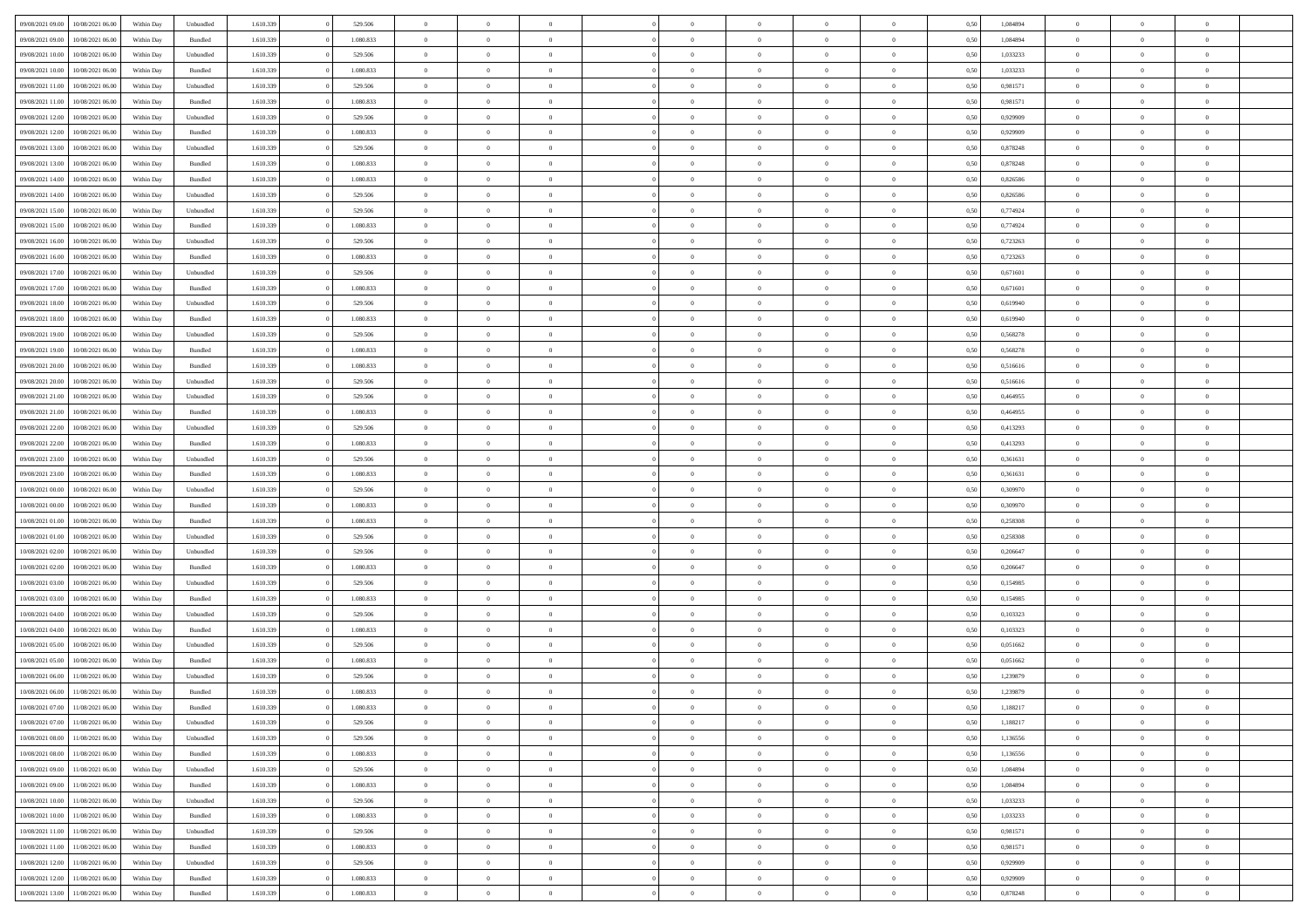| 09/08/2021 09:00 | 10/08/2021 06:00 | Within Dav | Unbundled          | 1.610.339 | 529.506   | $\overline{0}$ | $\Omega$       |                | $\Omega$       | $\Omega$       | $\theta$       | $\theta$       | 0,50 | 1,084894 | $\theta$       | $\theta$       | $\theta$       |  |
|------------------|------------------|------------|--------------------|-----------|-----------|----------------|----------------|----------------|----------------|----------------|----------------|----------------|------|----------|----------------|----------------|----------------|--|
|                  |                  |            |                    |           |           |                |                |                |                |                |                |                |      |          |                |                |                |  |
| 09/08/2021 09:00 | 10/08/2021 06:00 | Within Day | Bundled            | 1.610.339 | 1.080.833 | $\overline{0}$ | $\theta$       | $\overline{0}$ | $\overline{0}$ | $\bf{0}$       | $\overline{0}$ | $\bf{0}$       | 0,50 | 1,084894 | $\theta$       | $\theta$       | $\overline{0}$ |  |
| 09/08/2021 10:00 | 10/08/2021 06:00 | Within Day | Unbundled          | 1.610.339 | 529.506   | $\overline{0}$ | $\overline{0}$ | $\overline{0}$ | $\bf{0}$       | $\bf{0}$       | $\bf{0}$       | $\bf{0}$       | 0,50 | 1,033233 | $\bf{0}$       | $\overline{0}$ | $\overline{0}$ |  |
| 09/08/2021 10:00 | 10/08/2021 06:00 | Within Dav | Bundled            | 1.610.339 | 1.080.833 | $\overline{0}$ | $\overline{0}$ | $\overline{0}$ | $\overline{0}$ | $\bf{0}$       | $\overline{0}$ | $\overline{0}$ | 0.50 | 1,033233 | $\theta$       | $\theta$       | $\overline{0}$ |  |
| 09/08/2021 11:00 | 10/08/2021 06:00 | Within Day | Unbundled          | 1.610.339 | 529.506   | $\overline{0}$ | $\theta$       | $\overline{0}$ | $\overline{0}$ | $\bf{0}$       | $\overline{0}$ | $\bf{0}$       | 0,50 | 0,981571 | $\theta$       | $\overline{0}$ | $\overline{0}$ |  |
| 09/08/2021 11:00 | 10/08/2021 06:00 | Within Day | Bundled            | 1.610.339 | 1.080.833 | $\overline{0}$ | $\overline{0}$ | $\overline{0}$ | $\bf{0}$       | $\overline{0}$ | $\overline{0}$ | $\mathbf{0}$   | 0,50 | 0,981571 | $\bf{0}$       | $\overline{0}$ | $\bf{0}$       |  |
|                  |                  |            |                    |           |           |                |                |                |                | $\overline{0}$ |                |                |      |          | $\theta$       | $\overline{0}$ | $\overline{0}$ |  |
| 09/08/2021 12:00 | 10/08/2021 06:00 | Within Dav | Unbundled          | 1.610.339 | 529.506   | $\overline{0}$ | $\overline{0}$ | $\overline{0}$ | $\overline{0}$ |                | $\overline{0}$ | $\overline{0}$ | 0.50 | 0.929909 |                |                |                |  |
| 09/08/2021 12:00 | 10/08/2021 06:00 | Within Day | Bundled            | 1.610.339 | 1.080.833 | $\overline{0}$ | $\theta$       | $\overline{0}$ | $\overline{0}$ | $\bf{0}$       | $\overline{0}$ | $\bf{0}$       | 0,50 | 0,929909 | $\theta$       | $\theta$       | $\overline{0}$ |  |
| 09/08/2021 13:00 | 10/08/2021 06:00 | Within Day | Unbundled          | 1.610.339 | 529.506   | $\overline{0}$ | $\overline{0}$ | $\overline{0}$ | $\bf{0}$       | $\bf{0}$       | $\bf{0}$       | $\bf{0}$       | 0,50 | 0,878248 | $\,0\,$        | $\overline{0}$ | $\overline{0}$ |  |
| 09/08/2021 13:00 | 10/08/2021 06:00 | Within Dav | Bundled            | 1.610.339 | 1.080.833 | $\overline{0}$ | $\overline{0}$ | $\overline{0}$ | $\overline{0}$ | $\overline{0}$ | $\overline{0}$ | $\overline{0}$ | 0.50 | 0,878248 | $\theta$       | $\overline{0}$ | $\overline{0}$ |  |
| 09/08/2021 14:00 | 10/08/2021 06:00 | Within Day | Bundled            | 1.610.339 | 1.080.833 | $\overline{0}$ | $\theta$       | $\overline{0}$ | $\overline{0}$ | $\bf{0}$       | $\overline{0}$ | $\bf{0}$       | 0,50 | 0,826586 | $\,$ 0 $\,$    | $\overline{0}$ | $\overline{0}$ |  |
| 09/08/2021 14:00 | 10/08/2021 06:00 | Within Day | Unbundled          | 1.610.339 | 529.506   | $\overline{0}$ | $\overline{0}$ | $\overline{0}$ | $\bf{0}$       | $\bf{0}$       | $\bf{0}$       | $\bf{0}$       | 0,50 | 0,826586 | $\overline{0}$ | $\overline{0}$ | $\overline{0}$ |  |
| 09/08/2021 15:00 | 10/08/2021 06:00 | Within Dav | Unbundled          | 1.610.339 | 529.506   | $\overline{0}$ | $\overline{0}$ | $\overline{0}$ | $\overline{0}$ | $\bf{0}$       | $\overline{0}$ | $\overline{0}$ | 0.50 | 0.774924 | $\theta$       | $\theta$       | $\overline{0}$ |  |
| 09/08/2021 15:00 | 10/08/2021 06:00 |            |                    | 1.610.339 | 1.080.833 | $\overline{0}$ | $\theta$       | $\overline{0}$ | $\overline{0}$ | $\bf{0}$       | $\overline{0}$ |                |      | 0,774924 | $\theta$       | $\theta$       | $\overline{0}$ |  |
|                  |                  | Within Day | Bundled            |           |           |                |                |                |                |                |                | $\bf{0}$       | 0,50 |          |                |                |                |  |
| 09/08/2021 16:00 | 10/08/2021 06:00 | Within Day | Unbundled          | 1.610.339 | 529.506   | $\overline{0}$ | $\overline{0}$ | $\overline{0}$ | $\bf{0}$       | $\overline{0}$ | $\overline{0}$ | $\mathbf{0}$   | 0,50 | 0,723263 | $\overline{0}$ | $\overline{0}$ | $\bf{0}$       |  |
| 09/08/2021 16:00 | 10/08/2021 06:00 | Within Dav | Bundled            | 1.610.339 | 1.080.833 | $\overline{0}$ | $\overline{0}$ | $\overline{0}$ | $\overline{0}$ | $\overline{0}$ | $\overline{0}$ | $\overline{0}$ | 0.50 | 0,723263 | $\theta$       | $\overline{0}$ | $\overline{0}$ |  |
| 09/08/2021 17:00 | 10/08/2021 06:00 | Within Day | Unbundled          | 1.610.339 | 529.506   | $\overline{0}$ | $\theta$       | $\overline{0}$ | $\overline{0}$ | $\bf{0}$       | $\overline{0}$ | $\bf{0}$       | 0,50 | 0,671601 | $\,$ 0 $\,$    | $\theta$       | $\overline{0}$ |  |
| 09/08/2021 17:00 | 10/08/2021 06:00 | Within Day | Bundled            | 1.610.339 | 1.080.833 | $\overline{0}$ | $\overline{0}$ | $\overline{0}$ | $\bf{0}$       | $\bf{0}$       | $\bf{0}$       | $\bf{0}$       | 0,50 | 0,671601 | $\,0\,$        | $\overline{0}$ | $\overline{0}$ |  |
| 09/08/2021 18:00 | 10/08/2021 06:00 | Within Dav | Unbundled          | 1.610.339 | 529.506   | $\overline{0}$ | $\overline{0}$ | $\overline{0}$ | $\overline{0}$ | $\overline{0}$ | $\overline{0}$ | $\overline{0}$ | 0.50 | 0,619940 | $\theta$       | $\overline{0}$ | $\overline{0}$ |  |
| 09/08/2021 18:00 | 10/08/2021 06:00 | Within Day | Bundled            | 1.610.339 | 1.080.833 | $\overline{0}$ | $\theta$       | $\overline{0}$ | $\overline{0}$ | $\bf{0}$       | $\overline{0}$ | $\bf{0}$       | 0,50 | 0,619940 | $\,$ 0 $\,$    | $\theta$       | $\overline{0}$ |  |
| 09/08/2021 19:00 | 10/08/2021 06:00 | Within Day | Unbundled          | 1.610.339 | 529.506   | $\overline{0}$ | $\overline{0}$ | $\overline{0}$ | $\bf{0}$       | $\bf{0}$       | $\bf{0}$       | $\bf{0}$       | 0,50 | 0,568278 | $\bf{0}$       | $\overline{0}$ | $\overline{0}$ |  |
| 09/08/2021 19:00 | 10/08/2021 06:00 | Within Day | Bundled            | 1.610.339 | 1.080.833 | $\overline{0}$ | $\overline{0}$ | $\overline{0}$ | $\overline{0}$ | $\bf{0}$       | $\overline{0}$ | $\overline{0}$ | 0.50 | 0,568278 | $\theta$       | $\overline{0}$ | $\overline{0}$ |  |
|                  |                  |            |                    |           |           |                |                |                |                |                |                |                |      |          |                |                |                |  |
| 09/08/2021 20:00 | 10/08/2021 06:00 | Within Day | Bundled            | 1.610.339 | 1.080.833 | $\overline{0}$ | $\theta$       | $\overline{0}$ | $\overline{0}$ | $\bf{0}$       | $\overline{0}$ | $\bf{0}$       | 0,50 | 0,516616 | $\,$ 0 $\,$    | $\overline{0}$ | $\overline{0}$ |  |
| 09/08/2021 20:00 | 10/08/2021 06:00 | Within Day | Unbundled          | 1.610.339 | 529.506   | $\overline{0}$ | $\bf{0}$       | $\overline{0}$ | $\overline{0}$ | $\overline{0}$ | $\overline{0}$ | $\mathbf{0}$   | 0,50 | 0,516616 | $\bf{0}$       | $\overline{0}$ | $\bf{0}$       |  |
| 09/08/2021 21:00 | 10/08/2021 06:00 | Within Dav | Unbundled          | 1.610.339 | 529.506   | $\overline{0}$ | $\overline{0}$ | $\overline{0}$ | $\overline{0}$ | $\overline{0}$ | $\overline{0}$ | $\overline{0}$ | 0.50 | 0,464955 | $\overline{0}$ | $\overline{0}$ | $\overline{0}$ |  |
| 09/08/2021 21:00 | 10/08/2021 06:00 | Within Day | Bundled            | 1.610.339 | 1.080.833 | $\overline{0}$ | $\theta$       | $\overline{0}$ | $\overline{0}$ | $\bf{0}$       | $\overline{0}$ | $\bf{0}$       | 0,50 | 0,464955 | $\theta$       | $\theta$       | $\overline{0}$ |  |
| 09/08/2021 22.00 | 10/08/2021 06:00 | Within Day | Unbundled          | 1.610.339 | 529.506   | $\overline{0}$ | $\overline{0}$ | $\overline{0}$ | $\overline{0}$ | $\bf{0}$       | $\overline{0}$ | $\bf{0}$       | 0,50 | 0,413293 | $\,0\,$        | $\overline{0}$ | $\overline{0}$ |  |
| 09/08/2021 22.00 | 10/08/2021 06:00 | Within Day | Bundled            | 1.610.339 | 1.080.833 | $\overline{0}$ | $\overline{0}$ | $\overline{0}$ | $\overline{0}$ | $\overline{0}$ | $\overline{0}$ | $\overline{0}$ | 0.50 | 0,413293 | $\theta$       | $\overline{0}$ | $\overline{0}$ |  |
| 09/08/2021 23:00 | 10/08/2021 06:00 |            |                    | 1.610.339 | 529.506   | $\overline{0}$ | $\theta$       | $\overline{0}$ | $\overline{0}$ | $\bf{0}$       | $\overline{0}$ |                |      | 0,361631 | $\,$ 0 $\,$    | $\overline{0}$ | $\overline{0}$ |  |
|                  |                  | Within Day | Unbundled          |           |           |                |                |                |                |                |                | $\bf{0}$       | 0,50 |          |                |                |                |  |
| 09/08/2021 23.00 | 10/08/2021 06:00 | Within Day | Bundled            | 1.610.339 | 1.080.833 | $\overline{0}$ | $\overline{0}$ | $\overline{0}$ | $\overline{0}$ | $\bf{0}$       | $\overline{0}$ | $\bf{0}$       | 0,50 | 0,361631 | $\overline{0}$ | $\overline{0}$ | $\overline{0}$ |  |
| 10/08/2021 00:00 | 10/08/2021 06:00 | Within Day | Unbundled          | 1.610.339 | 529.506   | $\overline{0}$ | $\Omega$       | $\Omega$       | $\Omega$       | $\Omega$       | $\Omega$       | $\overline{0}$ | 0.50 | 0,309970 | $\,0\,$        | $\theta$       | $\theta$       |  |
| 10/08/2021 00:00 | 10/08/2021 06:00 | Within Day | Bundled            | 1.610.339 | 1.080.833 | $\overline{0}$ | $\theta$       | $\overline{0}$ | $\overline{0}$ | $\bf{0}$       | $\overline{0}$ | $\bf{0}$       | 0,50 | 0,309970 | $\,$ 0 $\,$    | $\theta$       | $\overline{0}$ |  |
| 10/08/2021 01:00 | 10/08/2021 06:00 | Within Day | Bundled            | 1.610.339 | 1.080.833 | $\overline{0}$ | $\overline{0}$ | $\overline{0}$ | $\overline{0}$ | $\bf{0}$       | $\overline{0}$ | $\mathbf{0}$   | 0,50 | 0,258308 | $\overline{0}$ | $\overline{0}$ | $\bf{0}$       |  |
| 10/08/2021 01:00 | 10/08/2021 06:00 | Within Day | Unbundled          | 1.610.339 | 529.506   | $\overline{0}$ | $\Omega$       | $\Omega$       | $\Omega$       | $\bf{0}$       | $\overline{0}$ | $\overline{0}$ | 0.50 | 0,258308 | $\,0\,$        | $\theta$       | $\theta$       |  |
| 10/08/2021 02:00 | 10/08/2021 06:00 | Within Day | Unbundled          | 1.610.339 | 529.506   | $\overline{0}$ | $\theta$       | $\overline{0}$ | $\overline{0}$ | $\bf{0}$       | $\overline{0}$ | $\bf{0}$       | 0,50 | 0,206647 | $\,$ 0 $\,$    | $\theta$       | $\overline{0}$ |  |
| 10/08/2021 02:00 | 10/08/2021 06:00 | Within Day | Bundled            | 1.610.339 | 1.080.833 | $\overline{0}$ | $\overline{0}$ | $\overline{0}$ | $\overline{0}$ | $\bf{0}$       | $\overline{0}$ | $\bf{0}$       | 0,50 | 0,206647 | $\bf{0}$       | $\overline{0}$ | $\overline{0}$ |  |
| 10/08/2021 03:00 | 10/08/2021 06:00 | Within Day | Unbundled          | 1.610.339 | 529.506   | $\overline{0}$ | $\Omega$       | $\Omega$       | $\Omega$       | $\theta$       | $\theta$       | $\overline{0}$ | 0.50 | 0,154985 | $\theta$       | $\theta$       | $\theta$       |  |
|                  |                  |            |                    |           |           |                |                |                |                |                |                |                |      |          |                |                |                |  |
| 10/08/2021 03:00 | 10/08/2021 06:00 | Within Day | Bundled            | 1.610.339 | 1.080.833 | $\overline{0}$ | $\theta$       | $\overline{0}$ | $\overline{0}$ | $\bf{0}$       | $\overline{0}$ | $\bf{0}$       | 0,50 | 0,154985 | $\,$ 0 $\,$    | $\overline{0}$ | $\overline{0}$ |  |
| 10/08/2021 04:00 | 10/08/2021 06:00 | Within Day | Unbundled          | 1.610.339 | 529.506   | $\overline{0}$ | $\overline{0}$ | $\overline{0}$ | $\overline{0}$ | $\bf{0}$       | $\overline{0}$ | $\bf{0}$       | 0,50 | 0,103323 | $\overline{0}$ | $\overline{0}$ | $\overline{0}$ |  |
| 10/08/2021 04:00 | 10/08/2021 06:00 | Within Day | Bundled            | 1.610.339 | 1.080.833 | $\overline{0}$ | $\Omega$       | $\overline{0}$ | $\Omega$       | $\Omega$       | $\overline{0}$ | $\overline{0}$ | 0.50 | 0,103323 | $\,0\,$        | $\theta$       | $\theta$       |  |
| 10/08/2021 05:00 | 10/08/2021 06:00 | Within Day | Unbundled          | 1.610.339 | 529.506   | $\overline{0}$ | $\theta$       | $\overline{0}$ | $\overline{0}$ | $\bf{0}$       | $\overline{0}$ | $\bf{0}$       | 0,50 | 0,051662 | $\,$ 0 $\,$    | $\overline{0}$ | $\overline{0}$ |  |
| 10/08/2021 05:00 | 10/08/2021 06:00 | Within Day | Bundled            | 1.610.339 | 1.080.833 | $\overline{0}$ | $\overline{0}$ | $\overline{0}$ | $\overline{0}$ | $\bf{0}$       | $\overline{0}$ | $\mathbf{0}$   | 0,50 | 0,051662 | $\overline{0}$ | $\overline{0}$ | $\bf{0}$       |  |
| 10/08/2021 06:00 | 11/08/2021 06:00 | Within Day | Unbundled          | 1.610.339 | 529.506   | $\overline{0}$ | $\Omega$       | $\Omega$       | $\Omega$       | $\Omega$       | $\Omega$       | $\overline{0}$ | 0.50 | 1,239879 | $\theta$       | $\theta$       | $\theta$       |  |
| 10/08/2021 06:00 | 11/08/2021 06:00 | Within Day | Bundled            | 1.610.339 | 1.080.833 | $\overline{0}$ | $\overline{0}$ | $\overline{0}$ | $\bf{0}$       | $\,$ 0         | $\overline{0}$ | $\bf{0}$       | 0,50 | 1,239879 | $\,0\,$        | $\,$ 0 $\,$    | $\overline{0}$ |  |
| 10/08/2021 07:00 | 11/08/2021 06:00 | Within Day | $\mathbf B$ undled | 1.610.339 | 1.080.833 | $\bf{0}$       | $\bf{0}$       |                |                |                |                |                | 0,50 | 1,188217 | $\bf{0}$       | $\overline{0}$ |                |  |
|                  |                  |            |                    |           |           |                |                |                |                |                |                |                |      |          |                |                | $\theta$       |  |
| 10/08/2021 07:00 | 11/08/2021 06:00 | Within Day | Unbundled          | 1.610.339 | 529.506   | $\overline{0}$ | $\overline{0}$ | $\overline{0}$ | $\Omega$       | $\overline{0}$ | $\overline{0}$ | $\overline{0}$ | 0,50 | 1,188217 | $\theta$       | $\theta$       |                |  |
| 10/08/2021 08:00 | 11/08/2021 06:00 | Within Day | Unbundled          | 1.610.339 | 529.506   | $\overline{0}$ | $\bf{0}$       | $\overline{0}$ | $\bf{0}$       | $\,$ 0 $\,$    | $\overline{0}$ | $\,$ 0 $\,$    | 0,50 | 1,136556 | $\,$ 0 $\,$    | $\,$ 0 $\,$    | $\,$ 0         |  |
| 10/08/2021 08:00 | 11/08/2021 06:00 | Within Day | Bundled            | 1.610.339 | 1.080.833 | $\overline{0}$ | $\overline{0}$ | $\overline{0}$ | $\overline{0}$ | $\overline{0}$ | $\overline{0}$ | $\mathbf{0}$   | 0,50 | 1,136556 | $\overline{0}$ | $\bf{0}$       | $\overline{0}$ |  |
| 10/08/2021 09:00 | 11/08/2021 06:00 | Within Day | Unbundled          | 1.610.339 | 529.506   | $\overline{0}$ | $\overline{0}$ | $\overline{0}$ | $\Omega$       | $\overline{0}$ | $\overline{0}$ | $\overline{0}$ | 0,50 | 1,084894 | $\overline{0}$ | $\overline{0}$ | $\overline{0}$ |  |
| 10/08/2021 09:00 | 11/08/2021 06:00 | Within Day | Bundled            | 1.610.339 | 1.080.833 | $\overline{0}$ | $\,$ 0         | $\overline{0}$ | $\bf{0}$       | $\,$ 0 $\,$    | $\overline{0}$ | $\mathbf{0}$   | 0,50 | 1,084894 | $\,$ 0 $\,$    | $\overline{0}$ | $\overline{0}$ |  |
| 10/08/2021 10:00 | 11/08/2021 06:00 | Within Day | Unbundled          | 1.610.339 | 529.506   | $\overline{0}$ | $\overline{0}$ | $\overline{0}$ | $\overline{0}$ | $\overline{0}$ | $\overline{0}$ | $\mathbf{0}$   | 0,50 | 1,033233 | $\overline{0}$ | $\overline{0}$ | $\bf{0}$       |  |
| 10/08/2021 10:00 | 11/08/2021 06:00 | Within Day | Bundled            | 1.610.339 | 1.080.833 | $\overline{0}$ | $\overline{0}$ | $\overline{0}$ | $\overline{0}$ | $\overline{0}$ | $\overline{0}$ | $\bf{0}$       | 0.50 | 1,033233 | $\overline{0}$ | $\theta$       | $\overline{0}$ |  |
| 10/08/2021 11:00 | 11/08/2021 06:00 | Within Day | Unbundled          | 1.610.339 | 529.506   | $\overline{0}$ | $\,$ 0         | $\overline{0}$ | $\bf{0}$       | $\bf{0}$       | $\bf{0}$       | $\bf{0}$       | 0,50 | 0,981571 | $\,$ 0 $\,$    | $\overline{0}$ | $\overline{0}$ |  |
|                  |                  |            |                    |           |           |                |                |                |                |                |                |                |      |          |                |                |                |  |
| 10/08/2021 11:00 | 11/08/2021 06:00 | Within Day | Bundled            | 1.610.339 | 1.080.833 | $\overline{0}$ | $\bf{0}$       | $\overline{0}$ | $\overline{0}$ | $\overline{0}$ | $\overline{0}$ | $\mathbf{0}$   | 0,50 | 0,981571 | $\overline{0}$ | $\overline{0}$ | $\bf{0}$       |  |
| 10/08/2021 12:00 | 11/08/2021 06:00 | Within Day | Unbundled          | 1.610.339 | 529.506   | $\overline{0}$ | $\overline{0}$ | $\overline{0}$ | $\Omega$       | $\overline{0}$ | $\overline{0}$ | $\overline{0}$ | 0,50 | 0,929909 | $\overline{0}$ | $\overline{0}$ | $\overline{0}$ |  |
| 10/08/2021 12:00 | 11/08/2021 06:00 | Within Day | Bundled            | 1.610.339 | 1.080.833 | $\overline{0}$ | $\bf{0}$       | $\overline{0}$ | $\bf{0}$       | $\bf{0}$       | $\bf{0}$       | $\mathbf{0}$   | 0,50 | 0,929909 | $\,$ 0 $\,$    | $\,$ 0 $\,$    | $\bf{0}$       |  |
| 10/08/2021 13:00 | 11/08/2021 06:00 | Within Day | Bundled            | 1.610.339 | 1.080.833 | $\overline{0}$ | $\overline{0}$ | $\overline{0}$ | $\overline{0}$ | $\overline{0}$ | $\bf{0}$       | $\mathbf{0}$   | 0,50 | 0,878248 | $\overline{0}$ | $\bf{0}$       | $\overline{0}$ |  |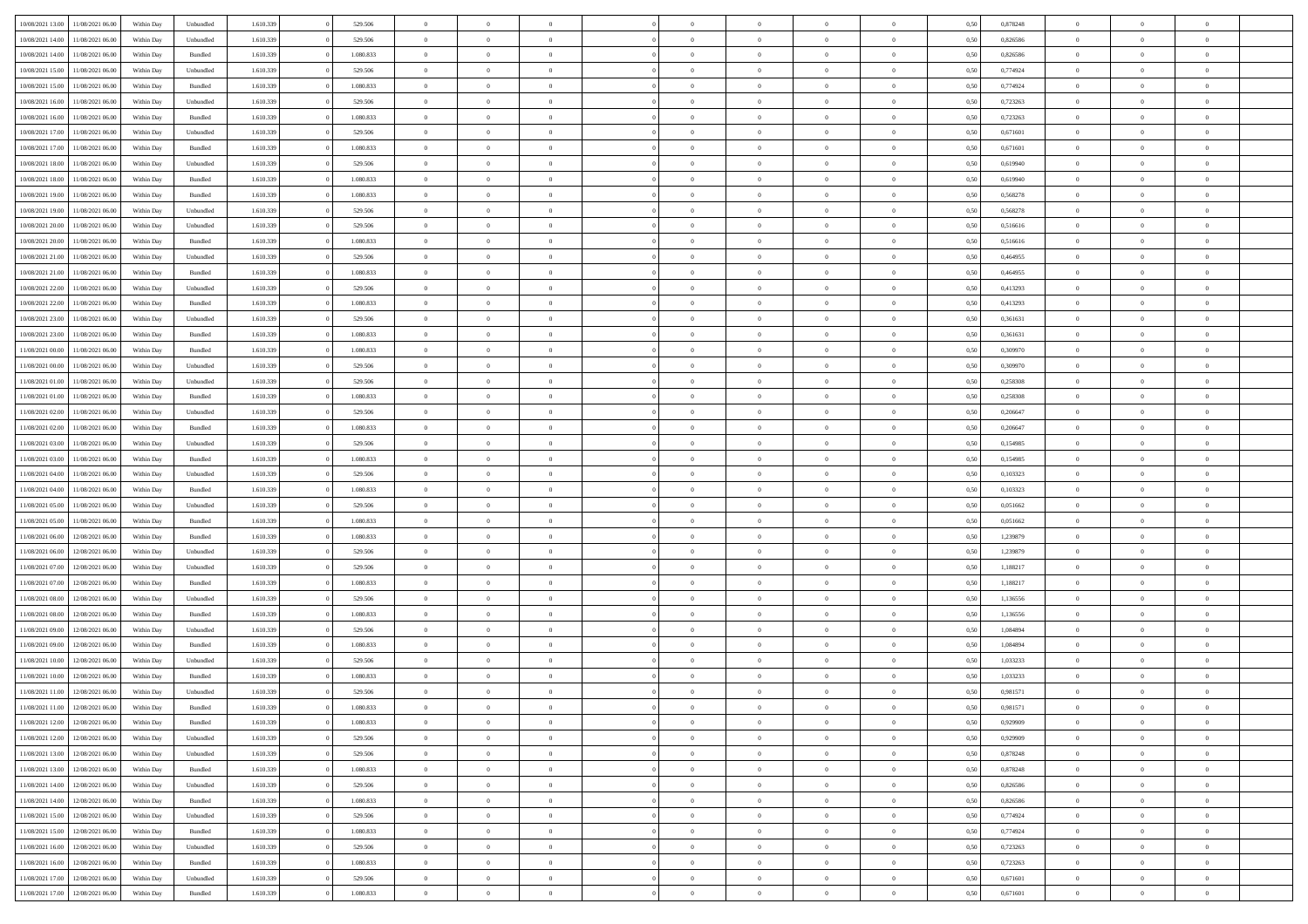| 10/08/2021 13:00                  | 11/08/2021 06:00 | Within Day | Unbundled          | 1.610.339 | 529.506   | $\overline{0}$ | $\Omega$       |                | $\Omega$       | $\Omega$       | $\Omega$       | $\theta$       | 0,50 | 0,878248 | $\theta$       | $\theta$       | $\theta$       |  |
|-----------------------------------|------------------|------------|--------------------|-----------|-----------|----------------|----------------|----------------|----------------|----------------|----------------|----------------|------|----------|----------------|----------------|----------------|--|
| 10/08/2021 14:00                  | 11/08/2021 06:00 | Within Day | Unbundled          | 1.610.339 | 529.506   | $\overline{0}$ | $\theta$       | $\overline{0}$ | $\overline{0}$ | $\bf{0}$       | $\overline{0}$ | $\bf{0}$       | 0,50 | 0,826586 | $\theta$       | $\theta$       | $\overline{0}$ |  |
| 10/08/2021 14:00                  | 11/08/2021 06:00 | Within Day | Bundled            | 1.610.339 | 1.080.833 | $\overline{0}$ | $\overline{0}$ | $\overline{0}$ | $\bf{0}$       | $\bf{0}$       | $\bf{0}$       | $\mathbf{0}$   | 0,50 | 0,826586 | $\overline{0}$ | $\overline{0}$ | $\overline{0}$ |  |
|                                   |                  |            |                    |           |           |                |                |                |                |                |                |                |      |          | $\theta$       |                |                |  |
| 10/08/2021 15:00                  | 11/08/2021 06:00 | Within Dav | Unbundled          | 1.610.339 | 529.506   | $\overline{0}$ | $\overline{0}$ | $\overline{0}$ | $\overline{0}$ | $\bf{0}$       | $\overline{0}$ | $\overline{0}$ | 0.50 | 0.774924 |                | $\theta$       | $\overline{0}$ |  |
| 10/08/2021 15:00                  | 11/08/2021 06:00 | Within Day | Bundled            | 1.610.339 | 1.080.833 | $\overline{0}$ | $\theta$       | $\overline{0}$ | $\overline{0}$ | $\bf{0}$       | $\overline{0}$ | $\bf{0}$       | 0,50 | 0,774924 | $\theta$       | $\overline{0}$ | $\overline{0}$ |  |
| 10/08/2021 16:00                  | 11/08/2021 06:00 | Within Day | Unbundled          | 1.610.339 | 529.506   | $\overline{0}$ | $\bf{0}$       | $\overline{0}$ | $\bf{0}$       | $\overline{0}$ | $\overline{0}$ | $\mathbf{0}$   | 0,50 | 0,723263 | $\overline{0}$ | $\overline{0}$ | $\bf{0}$       |  |
| 10/08/2021 16:00                  | 11/08/2021 06:00 | Within Dav | Bundled            | 1.610.339 | 1.080.833 | $\overline{0}$ | $\overline{0}$ | $\overline{0}$ | $\overline{0}$ | $\overline{0}$ | $\overline{0}$ | $\overline{0}$ | 0.50 | 0,723263 | $\theta$       | $\overline{0}$ | $\overline{0}$ |  |
|                                   |                  |            |                    |           |           |                |                |                |                |                |                |                |      |          |                |                |                |  |
| 10/08/2021 17:00                  | 11/08/2021 06:00 | Within Day | Unbundled          | 1.610.339 | 529.506   | $\overline{0}$ | $\theta$       | $\overline{0}$ | $\overline{0}$ | $\bf{0}$       | $\overline{0}$ | $\bf{0}$       | 0,50 | 0,671601 | $\theta$       | $\theta$       | $\overline{0}$ |  |
| 10/08/2021 17:00                  | 11/08/2021 06:00 | Within Day | Bundled            | 1.610.339 | 1.080.833 | $\overline{0}$ | $\overline{0}$ | $\overline{0}$ | $\bf{0}$       | $\bf{0}$       | $\bf{0}$       | $\bf{0}$       | 0,50 | 0,671601 | $\,0\,$        | $\overline{0}$ | $\overline{0}$ |  |
| 10/08/2021 18:00                  | 11/08/2021 06:00 | Within Dav | Unbundled          | 1.610.339 | 529.506   | $\overline{0}$ | $\overline{0}$ | $\overline{0}$ | $\overline{0}$ | $\overline{0}$ | $\overline{0}$ | $\overline{0}$ | 0.50 | 0,619940 | $\theta$       | $\overline{0}$ | $\overline{0}$ |  |
| 10/08/2021 18:00                  | 11/08/2021 06:00 |            | Bundled            | 1.610.339 | 1.080.833 | $\overline{0}$ | $\theta$       | $\overline{0}$ | $\overline{0}$ | $\bf{0}$       | $\overline{0}$ |                |      | 0,619940 | $\,$ 0 $\,$    | $\overline{0}$ | $\overline{0}$ |  |
|                                   |                  | Within Day |                    |           |           |                |                |                |                |                |                | $\bf{0}$       | 0,50 |          |                |                |                |  |
| 10/08/2021 19:00                  | 11/08/2021 06:00 | Within Day | Bundled            | 1.610.339 | 1.080.833 | $\overline{0}$ | $\overline{0}$ | $\overline{0}$ | $\bf{0}$       | $\bf{0}$       | $\bf{0}$       | $\mathbf{0}$   | 0,50 | 0,568278 | $\overline{0}$ | $\overline{0}$ | $\overline{0}$ |  |
| 10/08/2021 19:00                  | 11/08/2021 06:00 | Within Day | Unbundled          | 1.610.339 | 529.506   | $\overline{0}$ | $\overline{0}$ | $\overline{0}$ | $\overline{0}$ | $\bf{0}$       | $\overline{0}$ | $\overline{0}$ | 0.50 | 0,568278 | $\theta$       | $\theta$       | $\overline{0}$ |  |
| 10/08/2021 20:00                  | 11/08/2021 06:00 | Within Day | Unbundled          | 1.610.339 | 529.506   | $\overline{0}$ | $\theta$       | $\overline{0}$ | $\overline{0}$ | $\bf{0}$       | $\overline{0}$ | $\bf{0}$       | 0,50 | 0,516616 | $\theta$       | $\theta$       | $\overline{0}$ |  |
|                                   |                  |            |                    |           |           |                |                |                |                |                |                |                |      |          |                |                |                |  |
| 10/08/2021 20:00                  | 11/08/2021 06:00 | Within Day | Bundled            | 1.610.339 | 1.080.833 | $\overline{0}$ | $\overline{0}$ | $\overline{0}$ | $\overline{0}$ | $\overline{0}$ | $\overline{0}$ | $\mathbf{0}$   | 0,50 | 0,516616 | $\overline{0}$ | $\overline{0}$ | $\bf{0}$       |  |
| 10/08/2021 21:00                  | 11/08/2021 06:00 | Within Dav | Unbundled          | 1.610.339 | 529.506   | $\overline{0}$ | $\overline{0}$ | $\overline{0}$ | $\overline{0}$ | $\overline{0}$ | $\overline{0}$ | $\overline{0}$ | 0.50 | 0,464955 | $\theta$       | $\overline{0}$ | $\overline{0}$ |  |
| 10/08/2021 21:00                  | 11/08/2021 06:00 | Within Day | Bundled            | 1.610.339 | 1.080.833 | $\overline{0}$ | $\theta$       | $\overline{0}$ | $\overline{0}$ | $\bf{0}$       | $\overline{0}$ | $\bf{0}$       | 0,50 | 0,464955 | $\theta$       | $\theta$       | $\overline{0}$ |  |
| 10/08/2021 22:00                  | 11/08/2021 06:00 | Within Day | Unbundled          | 1.610.339 | 529.506   | $\overline{0}$ | $\overline{0}$ | $\overline{0}$ | $\overline{0}$ | $\bf{0}$       | $\overline{0}$ | $\mathbf{0}$   | 0,50 | 0,413293 | $\bf{0}$       | $\overline{0}$ | $\overline{0}$ |  |
|                                   |                  |            |                    |           |           |                |                |                |                |                |                |                |      |          |                |                |                |  |
| 10/08/2021 22:00                  | 11/08/2021 06:00 | Within Day | Bundled            | 1.610.339 | 1.080.833 | $\overline{0}$ | $\overline{0}$ | $\overline{0}$ | $\overline{0}$ | $\overline{0}$ | $\overline{0}$ | $\overline{0}$ | 0.50 | 0,413293 | $\theta$       | $\overline{0}$ | $\overline{0}$ |  |
| 10/08/2021 23:00                  | 11/08/2021 06:00 | Within Day | Unbundled          | 1.610.339 | 529.506   | $\overline{0}$ | $\theta$       | $\overline{0}$ | $\overline{0}$ | $\bf{0}$       | $\overline{0}$ | $\bf{0}$       | 0,50 | 0,361631 | $\,$ 0 $\,$    | $\overline{0}$ | $\overline{0}$ |  |
| 10/08/2021 23:00                  | 11/08/2021 06:00 | Within Day | Bundled            | 1.610.339 | 1.080.833 | $\overline{0}$ | $\overline{0}$ | $\overline{0}$ | $\overline{0}$ | $\bf{0}$       | $\overline{0}$ | $\bf{0}$       | 0,50 | 0,361631 | $\bf{0}$       | $\overline{0}$ | $\overline{0}$ |  |
| 11/08/2021 00:00                  | 11/08/2021 06:00 | Within Day | Bundled            | 1.610.339 | 1.080.833 | $\overline{0}$ | $\overline{0}$ | $\overline{0}$ | $\overline{0}$ | $\bf{0}$       | $\overline{0}$ | $\overline{0}$ | 0.50 | 0.309970 | $\theta$       | $\overline{0}$ | $\overline{0}$ |  |
|                                   |                  |            |                    |           |           |                | $\theta$       |                |                |                |                |                |      |          |                | $\overline{0}$ |                |  |
| 11/08/2021 00:00                  | 11/08/2021 06:00 | Within Day | Unbundled          | 1.610.339 | 529.506   | $\overline{0}$ |                | $\overline{0}$ | $\overline{0}$ | $\bf{0}$       | $\overline{0}$ | $\bf{0}$       | 0,50 | 0,309970 | $\,$ 0 $\,$    |                | $\overline{0}$ |  |
| 11/08/2021 01:00                  | 11/08/2021 06:00 | Within Day | Unbundled          | 1.610.339 | 529.506   | $\overline{0}$ | $\bf{0}$       | $\overline{0}$ | $\overline{0}$ | $\overline{0}$ | $\overline{0}$ | $\mathbf{0}$   | 0,50 | 0,258308 | $\overline{0}$ | $\overline{0}$ | $\bf{0}$       |  |
| 11/08/2021 01:00                  | 11/08/2021 06:00 | Within Dav | Bundled            | 1.610.339 | 1.080.833 | $\overline{0}$ | $\overline{0}$ | $\overline{0}$ | $\overline{0}$ | $\overline{0}$ | $\overline{0}$ | $\overline{0}$ | 0.50 | 0,258308 | $\theta$       | $\overline{0}$ | $\overline{0}$ |  |
| 11/08/2021 02:00                  | 11/08/2021 06:00 | Within Day | Unbundled          | 1.610.339 | 529.506   | $\overline{0}$ | $\theta$       | $\overline{0}$ | $\overline{0}$ | $\bf{0}$       | $\overline{0}$ | $\bf{0}$       | 0,50 | 0,206647 | $\theta$       | $\theta$       | $\overline{0}$ |  |
|                                   |                  |            |                    |           |           |                |                |                |                |                |                |                |      |          |                |                |                |  |
| 11/08/2021 02:00                  | 11/08/2021 06:00 | Within Day | Bundled            | 1.610.339 | 1.080.833 | $\overline{0}$ | $\overline{0}$ | $\overline{0}$ | $\overline{0}$ | $\bf{0}$       | $\overline{0}$ | $\bf{0}$       | 0,50 | 0,206647 | $\,0\,$        | $\overline{0}$ | $\overline{0}$ |  |
| 11/08/2021 03:00                  | 11/08/2021 06:00 | Within Day | Unbundled          | 1.610.339 | 529.506   | $\overline{0}$ | $\overline{0}$ | $\overline{0}$ | $\overline{0}$ | $\overline{0}$ | $\overline{0}$ | $\overline{0}$ | 0.50 | 0,154985 | $\theta$       | $\overline{0}$ | $\overline{0}$ |  |
| 11/08/2021 03:00                  | 11/08/2021 06:00 | Within Day | Bundled            | 1.610.339 | 1.080.833 | $\overline{0}$ | $\theta$       | $\overline{0}$ | $\overline{0}$ | $\bf{0}$       | $\overline{0}$ | $\bf{0}$       | 0,50 | 0,154985 | $\,$ 0 $\,$    | $\overline{0}$ | $\overline{0}$ |  |
| 11/08/2021 04:00                  | 11/08/2021 06:00 | Within Day | Unbundled          | 1.610.339 | 529.506   | $\overline{0}$ | $\overline{0}$ | $\overline{0}$ | $\overline{0}$ | $\bf{0}$       | $\overline{0}$ | $\bf{0}$       | 0,50 | 0,103323 | $\overline{0}$ | $\overline{0}$ | $\overline{0}$ |  |
|                                   |                  |            |                    |           |           |                |                |                |                |                |                |                |      |          |                |                | $\theta$       |  |
| 11/08/2021 04:00                  | 11/08/2021 06:00 | Within Day | Bundled            | 1.610.339 | 1.080.833 | $\overline{0}$ | $\Omega$       | $\Omega$       | $\Omega$       | $\Omega$       | $\overline{0}$ | $\overline{0}$ | 0,50 | 0,103323 | $\,0\,$        | $\theta$       |                |  |
| 11/08/2021 05:00                  | 11/08/2021 06:00 | Within Day | Unbundled          | 1.610.339 | 529.506   | $\overline{0}$ | $\theta$       | $\overline{0}$ | $\overline{0}$ | $\bf{0}$       | $\overline{0}$ | $\bf{0}$       | 0,50 | 0,051662 | $\theta$       | $\theta$       | $\overline{0}$ |  |
| 11/08/2021 05:00                  | 11/08/2021 06:00 | Within Day | Bundled            | 1.610.339 | 1.080.833 | $\overline{0}$ | $\overline{0}$ | $\overline{0}$ | $\bf{0}$       | $\bf{0}$       | $\overline{0}$ | $\mathbf{0}$   | 0,50 | 0,051662 | $\overline{0}$ | $\overline{0}$ | $\bf{0}$       |  |
| 11/08/2021 06:00                  | 12/08/2021 06:00 | Within Day | Bundled            | 1.610.339 | 1.080.833 | $\overline{0}$ | $\Omega$       | $\Omega$       | $\Omega$       | $\bf{0}$       | $\overline{0}$ | $\overline{0}$ | 0.50 | 1,239879 | $\,0\,$        | $\theta$       | $\theta$       |  |
|                                   |                  |            |                    |           |           | $\overline{0}$ | $\theta$       | $\overline{0}$ |                | $\bf{0}$       | $\overline{0}$ |                |      |          |                | $\theta$       | $\overline{0}$ |  |
| 11/08/2021 06:00                  | 12/08/2021 06:00 | Within Day | Unbundled          | 1.610.339 | 529.506   |                |                |                | $\overline{0}$ |                |                | $\bf{0}$       | 0,50 | 1,239879 | $\,$ 0 $\,$    |                |                |  |
| 11/08/2021 07:00                  | 12/08/2021 06:00 | Within Day | Unbundled          | 1.610.339 | 529.506   | $\overline{0}$ | $\overline{0}$ | $\overline{0}$ | $\bf{0}$       | $\bf{0}$       | $\bf{0}$       | $\bf{0}$       | 0,50 | 1,188217 | $\bf{0}$       | $\overline{0}$ | $\overline{0}$ |  |
| 11/08/2021 07:00                  | 12/08/2021 06:00 | Within Day | Bundled            | 1.610.339 | 1.080.833 | $\overline{0}$ | $\Omega$       | $\Omega$       | $\Omega$       | $\theta$       | $\overline{0}$ | $\overline{0}$ | 0.50 | 1,188217 | $\,$ 0 $\,$    | $\theta$       | $\theta$       |  |
| 11/08/2021 08:00                  | 12/08/2021 06:00 | Within Day | Unbundled          | 1.610.339 | 529.506   | $\overline{0}$ | $\theta$       | $\overline{0}$ | $\overline{0}$ | $\bf{0}$       | $\overline{0}$ | $\bf{0}$       | 0,50 | 1,136556 | $\,$ 0 $\,$    | $\overline{0}$ | $\overline{0}$ |  |
|                                   |                  |            |                    |           |           |                |                |                |                |                |                |                |      |          |                |                |                |  |
| 11/08/2021 08:00                  | 12/08/2021 06:00 | Within Day | Bundled            | 1.610.339 | 1.080.833 | $\overline{0}$ | $\overline{0}$ | $\overline{0}$ | $\bf{0}$       | $\bf{0}$       | $\bf{0}$       | $\bf{0}$       | 0,50 | 1,136556 | $\overline{0}$ | $\overline{0}$ | $\overline{0}$ |  |
| 11/08/2021 09:00                  | 12/08/2021 06:00 | Within Day | Unbundled          | 1.610.339 | 529.506   | $\overline{0}$ | $\Omega$       | $\overline{0}$ | $\Omega$       | $\Omega$       | $\overline{0}$ | $\overline{0}$ | 0,50 | 1,084894 | $\,0\,$        | $\theta$       | $\theta$       |  |
| 11/08/2021 09:00                  | 12/08/2021 06:00 | Within Day | Bundled            | 1.610.339 | 1.080.833 | $\overline{0}$ | $\theta$       | $\overline{0}$ | $\overline{0}$ | $\,$ 0         | $\overline{0}$ | $\bf{0}$       | 0,50 | 1,084894 | $\,$ 0 $\,$    | $\overline{0}$ | $\overline{0}$ |  |
| 11/08/2021 10:00                  | 12/08/2021 06:00 | Within Day | Unbundled          | 1.610.339 | 529.506   | $\overline{0}$ | $\overline{0}$ | $\overline{0}$ | $\bf{0}$       | $\bf{0}$       | $\bf{0}$       | $\mathbf{0}$   | 0,50 | 1,033233 | $\bf{0}$       | $\overline{0}$ | $\bf{0}$       |  |
| 11/08/2021 10:00                  | 12/08/2021 06:00 |            | Bundled            | 1.610.339 | 1.080.833 | $\overline{0}$ | $\Omega$       | $\Omega$       | $\Omega$       | $\Omega$       | $\Omega$       | $\overline{0}$ | 0.50 | 1.033233 | $\theta$       | $\theta$       | $\theta$       |  |
|                                   |                  | Within Day |                    |           |           |                |                |                |                |                |                |                |      |          |                |                |                |  |
| 11/08/2021 11:00                  | 12/08/2021 06:00 | Within Day | Unbundled          | 1.610.339 | 529.506   | $\overline{0}$ | $\overline{0}$ | $\overline{0}$ | $\bf{0}$       | $\,$ 0         | $\bf{0}$       | $\bf{0}$       | 0,50 | 0,981571 | $\,0\,$        | $\overline{0}$ | $\overline{0}$ |  |
| 11/08/2021 11:00                  | 12/08/2021 06:00 | Within Day | $\mathbf B$ undled | 1.610.339 | 1.080.833 | $\bf{0}$       | $\bf{0}$       |                |                |                |                |                | 0,50 | 0,981571 | $\bf{0}$       | $\overline{0}$ |                |  |
| 11/08/2021 12:00                  | 12/08/2021 06:00 | Within Day | Bundled            | 1.610.339 | 1.080.833 | $\overline{0}$ | $\overline{0}$ | $\overline{0}$ | $\Omega$       | $\overline{0}$ | $\overline{0}$ | $\overline{0}$ | 0.50 | 0,929909 | $\theta$       | $\theta$       | $\theta$       |  |
| 11/08/2021 12:00                  | 12/08/2021 06:00 | Within Day | Unbundled          | 1.610.339 | 529.506   | $\overline{0}$ | $\,$ 0         | $\overline{0}$ | $\bf{0}$       | $\,$ 0 $\,$    | $\overline{0}$ | $\,$ 0 $\,$    | 0,50 | 0,929909 | $\,$ 0 $\,$    | $\,$ 0 $\,$    | $\,$ 0         |  |
|                                   |                  |            |                    |           |           |                |                |                |                |                |                |                |      |          |                |                |                |  |
| 11/08/2021 13:00                  | 12/08/2021 06:00 | Within Day | Unbundled          | 1.610.339 | 529.506   | $\overline{0}$ | $\overline{0}$ | $\overline{0}$ | $\overline{0}$ | $\overline{0}$ | $\overline{0}$ | $\mathbf{0}$   | 0,50 | 0,878248 | $\overline{0}$ | $\bf{0}$       | $\overline{0}$ |  |
| 11/08/2021 13:00                  | 12/08/2021 06:00 | Within Day | $\mathbf B$ undled | 1.610.339 | 1.080.833 | $\overline{0}$ | $\overline{0}$ | $\overline{0}$ | $\Omega$       | $\overline{0}$ | $\overline{0}$ | $\overline{0}$ | 0,50 | 0,878248 | $\overline{0}$ | $\theta$       | $\overline{0}$ |  |
| 11/08/2021 14:00                  | 12/08/2021 06:00 | Within Day | Unbundled          | 1.610.339 | 529.506   | $\overline{0}$ | $\,$ 0         | $\overline{0}$ | $\overline{0}$ | $\,$ 0 $\,$    | $\overline{0}$ | $\mathbf{0}$   | 0,50 | 0,826586 | $\,$ 0 $\,$    | $\overline{0}$ | $\overline{0}$ |  |
| 11/08/2021 14:00                  | 12/08/2021 06:00 | Within Day | Bundled            | 1.610.339 | 1.080.833 | $\overline{0}$ | $\overline{0}$ | $\overline{0}$ | $\overline{0}$ | $\overline{0}$ | $\overline{0}$ | $\mathbf{0}$   | 0,50 | 0,826586 | $\overline{0}$ | $\overline{0}$ | $\bf{0}$       |  |
|                                   |                  |            |                    |           |           |                |                |                |                |                |                |                |      |          |                |                |                |  |
| 11/08/2021 15:00                  | 12/08/2021 06:00 | Within Day | Unbundled          | 1.610.339 | 529.506   | $\overline{0}$ | $\overline{0}$ | $\overline{0}$ | $\overline{0}$ | $\overline{0}$ | $\overline{0}$ | $\bf{0}$       | 0.50 | 0,774924 | $\overline{0}$ | $\theta$       | $\overline{0}$ |  |
| 11/08/2021 15:00                  | 12/08/2021 06:00 | Within Day | Bundled            | 1.610.339 | 1.080.833 | $\overline{0}$ | $\,$ 0         | $\overline{0}$ | $\bf{0}$       | $\bf{0}$       | $\bf{0}$       | $\bf{0}$       | 0,50 | 0,774924 | $\,$ 0 $\,$    | $\overline{0}$ | $\overline{0}$ |  |
| 11/08/2021 16:00                  | 12/08/2021 06:00 | Within Day | Unbundled          | 1.610.339 | 529.506   | $\overline{0}$ | $\bf{0}$       | $\overline{0}$ | $\overline{0}$ | $\overline{0}$ | $\overline{0}$ | $\mathbf{0}$   | 0,50 | 0,723263 | $\overline{0}$ | $\overline{0}$ | $\bf{0}$       |  |
| 11/08/2021 16:00                  | 12/08/2021 06:00 | Within Day | Bundled            | 1.610.339 | 1.080.833 | $\overline{0}$ | $\overline{0}$ | $\overline{0}$ | $\Omega$       | $\overline{0}$ | $\overline{0}$ | $\overline{0}$ | 0.50 | 0,723263 | $\overline{0}$ | $\overline{0}$ | $\overline{0}$ |  |
|                                   |                  |            |                    |           |           |                |                |                |                |                |                |                |      |          |                |                |                |  |
| 11/08/2021 17:00                  | 12/08/2021 06:00 | Within Day | Unbundled          | 1.610.339 | 529.506   | $\overline{0}$ | $\bf{0}$       | $\overline{0}$ | $\overline{0}$ | $\bf{0}$       | $\bf{0}$       | $\bf{0}$       | 0,50 | 0,671601 | $\,$ 0 $\,$    | $\,$ 0 $\,$    | $\bf{0}$       |  |
| 11/08/2021 17:00 12/08/2021 06:00 |                  | Within Day | Bundled            | 1.610.339 | 1.080.833 | $\overline{0}$ | $\bf{0}$       | $\overline{0}$ | $\bf{0}$       | $\bf{0}$       | $\bf{0}$       | $\bf{0}$       | 0,50 | 0,671601 | $\overline{0}$ | $\overline{0}$ | $\bf{0}$       |  |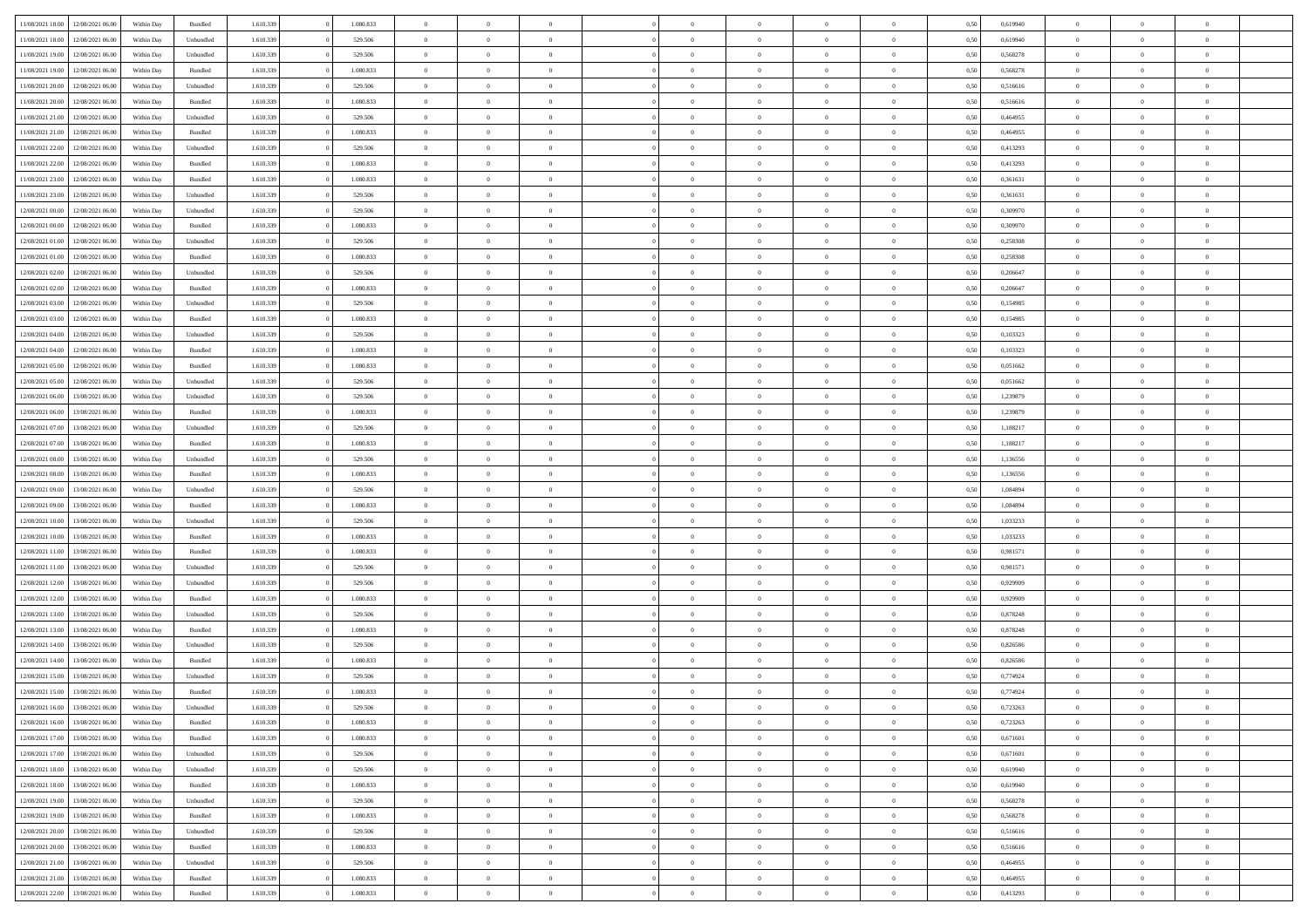| 11/08/2021 18:00                  | 12/08/2021 06:00 | Within Day | Bundled   | 1.610.339 | 1.080.833 | $\overline{0}$ | $\Omega$       |                | $\Omega$       | $\Omega$       | $\theta$       | $\theta$       | 0,50 | 0,619940 | $\theta$                   | $\theta$       | $\theta$       |  |
|-----------------------------------|------------------|------------|-----------|-----------|-----------|----------------|----------------|----------------|----------------|----------------|----------------|----------------|------|----------|----------------------------|----------------|----------------|--|
|                                   |                  |            |           |           |           |                |                |                |                |                |                |                |      |          |                            |                |                |  |
| 11/08/2021 18:00                  | 12/08/2021 06:00 | Within Day | Unbundled | 1.610.339 | 529.506   | $\overline{0}$ | $\theta$       | $\overline{0}$ | $\overline{0}$ | $\bf{0}$       | $\overline{0}$ | $\bf{0}$       | 0,50 | 0,619940 | $\theta$                   | $\overline{0}$ | $\overline{0}$ |  |
| 11/08/2021 19:00                  | 12/08/2021 06:00 | Within Day | Unbundled | 1.610.339 | 529.506   | $\overline{0}$ | $\overline{0}$ | $\overline{0}$ | $\bf{0}$       | $\bf{0}$       | $\bf{0}$       | $\mathbf{0}$   | 0,50 | 0,568278 | $\overline{0}$             | $\overline{0}$ | $\overline{0}$ |  |
| 11/08/2021 19:00                  | 12/08/2021 06:00 | Within Dav | Bundled   | 1.610.339 | 1.080.833 | $\overline{0}$ | $\overline{0}$ | $\overline{0}$ | $\overline{0}$ | $\bf{0}$       | $\overline{0}$ | $\overline{0}$ | 0.50 | 0,568278 | $\theta$                   | $\theta$       | $\overline{0}$ |  |
| 11/08/2021 20:00                  | 12/08/2021 06:00 | Within Day | Unbundled | 1.610.339 | 529.506   | $\overline{0}$ | $\theta$       | $\overline{0}$ | $\overline{0}$ | $\bf{0}$       | $\overline{0}$ | $\bf{0}$       | 0,50 | 0,516616 | $\,$ 0 $\,$                | $\overline{0}$ | $\overline{0}$ |  |
| 11/08/2021 20:00                  | 12/08/2021 06:00 | Within Day | Bundled   | 1.610.339 | 1.080.833 | $\overline{0}$ | $\overline{0}$ | $\overline{0}$ | $\bf{0}$       | $\overline{0}$ | $\overline{0}$ | $\mathbf{0}$   | 0,50 | 0,516616 | $\overline{0}$             | $\overline{0}$ | $\bf{0}$       |  |
|                                   |                  |            |           |           |           |                | $\overline{0}$ |                |                | $\overline{0}$ |                |                |      |          | $\theta$                   | $\overline{0}$ | $\overline{0}$ |  |
| 11/08/2021 21:00                  | 12/08/2021 06:00 | Within Dav | Unbundled | 1.610.339 | 529.506   | $\overline{0}$ |                | $\overline{0}$ | $\overline{0}$ |                | $\overline{0}$ | $\overline{0}$ | 0.50 | 0,464955 |                            |                |                |  |
| 11/08/2021 21:00                  | 12/08/2021 06:00 | Within Day | Bundled   | 1.610.339 | 1.080.833 | $\overline{0}$ | $\theta$       | $\overline{0}$ | $\overline{0}$ | $\bf{0}$       | $\overline{0}$ | $\bf{0}$       | 0,50 | 0,464955 | $\theta$                   | $\theta$       | $\overline{0}$ |  |
| 11/08/2021 22:00                  | 12/08/2021 06:00 | Within Day | Unbundled | 1.610.339 | 529.506   | $\overline{0}$ | $\overline{0}$ | $\overline{0}$ | $\bf{0}$       | $\bf{0}$       | $\bf{0}$       | $\mathbf{0}$   | 0,50 | 0,413293 | $\,0\,$                    | $\overline{0}$ | $\overline{0}$ |  |
| 11/08/2021 22:00                  | 12/08/2021 06:00 | Within Dav | Bundled   | 1.610.339 | 1.080.833 | $\overline{0}$ | $\overline{0}$ | $\overline{0}$ | $\overline{0}$ | $\overline{0}$ | $\overline{0}$ | $\overline{0}$ | 0.50 | 0,413293 | $\theta$                   | $\overline{0}$ | $\overline{0}$ |  |
| 11/08/2021 23:00                  | 12/08/2021 06:00 | Within Day | Bundled   | 1.610.339 | 1.080.833 | $\overline{0}$ | $\theta$       | $\overline{0}$ | $\overline{0}$ | $\bf{0}$       | $\overline{0}$ | $\bf{0}$       | 0,50 | 0,361631 | $\,$ 0 $\,$                | $\overline{0}$ | $\overline{0}$ |  |
| 11/08/2021 23:00                  | 12/08/2021 06:00 | Within Day | Unbundled | 1.610.339 | 529.506   | $\overline{0}$ | $\overline{0}$ | $\overline{0}$ | $\bf{0}$       | $\bf{0}$       | $\bf{0}$       | $\mathbf{0}$   | 0,50 | 0,361631 | $\overline{0}$             | $\overline{0}$ | $\bf{0}$       |  |
| 12/08/2021 00:00                  | 12/08/2021 06:00 | Within Day | Unbundled | 1.610.339 | 529.506   | $\overline{0}$ | $\overline{0}$ | $\overline{0}$ | $\overline{0}$ | $\bf{0}$       | $\overline{0}$ | $\overline{0}$ | 0.50 | 0,309970 | $\theta$                   | $\theta$       | $\overline{0}$ |  |
| 12/08/2021 00:00                  | 12/08/2021 06:00 |            |           | 1.610.339 | 1.080.833 | $\overline{0}$ | $\theta$       | $\overline{0}$ | $\overline{0}$ | $\bf{0}$       | $\overline{0}$ |                |      | 0,309970 | $\theta$                   | $\overline{0}$ | $\overline{0}$ |  |
|                                   |                  | Within Day | Bundled   |           |           |                |                |                |                |                |                | $\bf{0}$       | 0,50 |          |                            |                |                |  |
| 12/08/2021 01:00                  | 12/08/2021 06:00 | Within Day | Unbundled | 1.610.339 | 529.506   | $\overline{0}$ | $\overline{0}$ | $\overline{0}$ | $\bf{0}$       | $\overline{0}$ | $\overline{0}$ | $\mathbf{0}$   | 0,50 | 0,258308 | $\overline{0}$             | $\overline{0}$ | $\bf{0}$       |  |
| 12/08/2021 01:00                  | 12/08/2021 06:00 | Within Dav | Bundled   | 1.610.339 | 1.080.833 | $\overline{0}$ | $\overline{0}$ | $\overline{0}$ | $\overline{0}$ | $\overline{0}$ | $\overline{0}$ | $\overline{0}$ | 0.50 | 0,258308 | $\overline{0}$             | $\overline{0}$ | $\overline{0}$ |  |
| 12/08/2021 02:00                  | 12/08/2021 06:00 | Within Day | Unbundled | 1.610.339 | 529.506   | $\overline{0}$ | $\theta$       | $\overline{0}$ | $\overline{0}$ | $\bf{0}$       | $\overline{0}$ | $\bf{0}$       | 0,50 | 0,206647 | $\theta$                   | $\overline{0}$ | $\overline{0}$ |  |
| 12/08/2021 02:00                  | 12/08/2021 06:00 | Within Day | Bundled   | 1.610.339 | 1.080.833 | $\overline{0}$ | $\overline{0}$ | $\overline{0}$ | $\bf{0}$       | $\bf{0}$       | $\bf{0}$       | $\mathbf{0}$   | 0,50 | 0,206647 | $\bf{0}$                   | $\overline{0}$ | $\bf{0}$       |  |
| 12/08/2021 03:00                  | 12/08/2021 06:00 | Within Day | Unbundled | 1.610.339 | 529.506   | $\overline{0}$ | $\overline{0}$ | $\overline{0}$ | $\overline{0}$ | $\overline{0}$ | $\overline{0}$ | $\overline{0}$ | 0.50 | 0,154985 | $\theta$                   | $\overline{0}$ | $\overline{0}$ |  |
| 12/08/2021 03:00                  | 12/08/2021 06:00 | Within Day | Bundled   | 1.610.339 | 1.080.833 | $\overline{0}$ | $\theta$       | $\overline{0}$ | $\overline{0}$ | $\bf{0}$       | $\overline{0}$ | $\bf{0}$       | 0,50 | 0,154985 | $\,$ 0 $\,$                | $\overline{0}$ | $\overline{0}$ |  |
|                                   |                  |            |           |           |           |                | $\overline{0}$ |                |                | $\bf{0}$       |                |                |      |          |                            | $\overline{0}$ | $\bf{0}$       |  |
| 12/08/2021 04:00                  | 12/08/2021 06:00 | Within Day | Unbundled | 1.610.339 | 529.506   | $\overline{0}$ |                | $\overline{0}$ | $\bf{0}$       |                | $\bf{0}$       | $\mathbf{0}$   | 0,50 | 0,103323 | $\overline{0}$<br>$\theta$ |                |                |  |
| 12/08/2021 04:00                  | 12/08/2021 06:00 | Within Day | Bundled   | 1.610.339 | 1.080.833 | $\overline{0}$ | $\overline{0}$ | $\overline{0}$ | $\overline{0}$ | $\overline{0}$ | $\overline{0}$ | $\overline{0}$ | 0.50 | 0,103323 |                            | $\overline{0}$ | $\overline{0}$ |  |
| 12/08/2021 05:00                  | 12/08/2021 06:00 | Within Day | Bundled   | 1.610.339 | 1.080.833 | $\overline{0}$ | $\theta$       | $\overline{0}$ | $\overline{0}$ | $\bf{0}$       | $\overline{0}$ | $\bf{0}$       | 0,50 | 0,051662 | $\,$ 0 $\,$                | $\overline{0}$ | $\overline{0}$ |  |
| 12/08/2021 05:00                  | 12/08/2021 06:00 | Within Day | Unbundled | 1.610.339 | 529.506   | $\overline{0}$ | $\overline{0}$ | $\overline{0}$ | $\bf{0}$       | $\overline{0}$ | $\overline{0}$ | $\mathbf{0}$   | 0,50 | 0,051662 | $\bf{0}$                   | $\overline{0}$ | $\bf{0}$       |  |
| 12/08/2021 06:00                  | 13/08/2021 06:00 | Within Dav | Unbundled | 1.610.339 | 529.506   | $\overline{0}$ | $\overline{0}$ | $\overline{0}$ | $\overline{0}$ | $\overline{0}$ | $\overline{0}$ | $\overline{0}$ | 0.50 | 1,239879 | $\overline{0}$             | $\overline{0}$ | $\overline{0}$ |  |
| 12/08/2021 06:00                  | 13/08/2021 06:00 | Within Day | Bundled   | 1.610.339 | 1.080.833 | $\overline{0}$ | $\theta$       | $\overline{0}$ | $\overline{0}$ | $\bf{0}$       | $\overline{0}$ | $\bf{0}$       | 0,50 | 1,239879 | $\,$ 0 $\,$                | $\theta$       | $\overline{0}$ |  |
| 12/08/2021 07:00                  | 13/08/2021 06:00 | Within Day | Unbundled | 1.610.339 | 529.506   | $\overline{0}$ | $\overline{0}$ | $\overline{0}$ | $\bf{0}$       | $\bf{0}$       | $\bf{0}$       | $\mathbf{0}$   | 0,50 | 1,188217 | $\,0\,$                    | $\overline{0}$ | $\overline{0}$ |  |
| 12/08/2021 07:00                  | 13/08/2021 06:00 | Within Day | Bundled   | 1.610.339 | 1.080.833 | $\overline{0}$ | $\overline{0}$ | $\overline{0}$ | $\overline{0}$ | $\overline{0}$ | $\overline{0}$ | $\overline{0}$ | 0.50 | 1,188217 | $\theta$                   | $\overline{0}$ | $\overline{0}$ |  |
|                                   |                  |            |           |           |           |                |                |                |                |                |                |                |      |          |                            |                |                |  |
| 12/08/2021 08:00                  | 13/08/2021 06:00 | Within Day | Unbundled | 1.610.339 | 529.506   | $\overline{0}$ | $\theta$       | $\overline{0}$ | $\overline{0}$ | $\bf{0}$       | $\overline{0}$ | $\bf{0}$       | 0,50 | 1,136556 | $\,$ 0 $\,$                | $\overline{0}$ | $\overline{0}$ |  |
| 12/08/2021 08:00                  | 13/08/2021 06:00 | Within Day | Bundled   | 1.610.339 | 1.080.833 | $\overline{0}$ | $\overline{0}$ | $\overline{0}$ | $\bf{0}$       | $\bf{0}$       | $\bf{0}$       | $\bf{0}$       | 0,50 | 1,136556 | $\bf{0}$                   | $\overline{0}$ | $\bf{0}$       |  |
| 12/08/2021 09:00                  | 13/08/2021 06:00 | Within Day | Unbundled | 1.610.339 | 529.506   | $\overline{0}$ | $\Omega$       | $\overline{0}$ | $\Omega$       | $\Omega$       | $\overline{0}$ | $\overline{0}$ | 0,50 | 1,084894 | $\,0\,$                    | $\theta$       | $\theta$       |  |
| 12/08/2021 09:00                  | 13/08/2021 06:00 | Within Day | Bundled   | 1.610.339 | 1.080.833 | $\overline{0}$ | $\theta$       | $\overline{0}$ | $\overline{0}$ | $\bf{0}$       | $\overline{0}$ | $\bf{0}$       | 0,50 | 1,084894 | $\,$ 0 $\,$                | $\overline{0}$ | $\overline{0}$ |  |
| 12/08/2021 10:00                  | 13/08/2021 06:00 | Within Day | Unbundled | 1.610.339 | 529.506   | $\overline{0}$ | $\overline{0}$ | $\overline{0}$ | $\bf{0}$       | $\overline{0}$ | $\overline{0}$ | $\mathbf{0}$   | 0,50 | 1,033233 | $\bf{0}$                   | $\overline{0}$ | $\bf{0}$       |  |
| 12/08/2021 10:00                  | 13/08/2021 06:00 | Within Day | Bundled   | 1.610.339 | 1.080.833 | $\overline{0}$ | $\Omega$       | $\Omega$       | $\Omega$       | $\overline{0}$ | $\overline{0}$ | $\overline{0}$ | 0.50 | 1,033233 | $\,0\,$                    | $\theta$       | $\theta$       |  |
| 12/08/2021 11:00                  | 13/08/2021 06:00 | Within Day | Bundled   | 1.610.339 | 1.080.833 | $\overline{0}$ | $\theta$       | $\overline{0}$ | $\overline{0}$ | $\bf{0}$       | $\overline{0}$ | $\bf{0}$       | 0,50 | 0,981571 | $\,$ 0 $\,$                | $\overline{0}$ | $\overline{0}$ |  |
| 12/08/2021 11:00                  | 13/08/2021 06:00 | Within Day | Unbundled | 1.610.339 | 529.506   | $\overline{0}$ | $\overline{0}$ | $\overline{0}$ | $\bf{0}$       | $\bf{0}$       | $\bf{0}$       | $\mathbf{0}$   | 0,50 | 0,981571 | $\bf{0}$                   | $\overline{0}$ | $\bf{0}$       |  |
|                                   | 13/08/2021 06:00 |            |           |           |           | $\overline{0}$ | $\Omega$       |                | $\Omega$       | $\overline{0}$ | $\overline{0}$ |                |      |          | $\,$ 0 $\,$                | $\theta$       | $\theta$       |  |
| 12/08/2021 12:00                  |                  | Within Day | Unbundled | 1.610.339 | 529.506   |                |                | $\overline{0}$ |                |                |                | $\overline{0}$ | 0.50 | 0,929909 |                            |                |                |  |
| 12/08/2021 12:00                  | 13/08/2021 06:00 | Within Day | Bundled   | 1.610.339 | 1.080.833 | $\overline{0}$ | $\overline{0}$ | $\overline{0}$ | $\overline{0}$ | $\,$ 0         | $\overline{0}$ | $\bf{0}$       | 0,50 | 0,929909 | $\,$ 0 $\,$                | $\overline{0}$ | $\overline{0}$ |  |
| 12/08/2021 13:00                  | 13/08/2021 06:00 | Within Day | Unbundled | 1.610.339 | 529.506   | $\overline{0}$ | $\overline{0}$ | $\overline{0}$ | $\bf{0}$       | $\bf{0}$       | $\bf{0}$       | $\mathbf{0}$   | 0,50 | 0,878248 | $\bf{0}$                   | $\overline{0}$ | $\bf{0}$       |  |
| 12/08/2021 13:00                  | 13/08/2021 06:00 | Within Day | Bundled   | 1.610.339 | 1.080.833 | $\overline{0}$ | $\Omega$       | $\overline{0}$ | $\Omega$       | $\overline{0}$ | $\overline{0}$ | $\overline{0}$ | 0.50 | 0,878248 | $\,0\,$                    | $\theta$       | $\theta$       |  |
| 12/08/2021 14:00                  | 13/08/2021 06:00 | Within Day | Unbundled | 1.610.339 | 529.506   | $\overline{0}$ | $\overline{0}$ | $\overline{0}$ | $\overline{0}$ | $\,$ 0         | $\overline{0}$ | $\bf{0}$       | 0,50 | 0,826586 | $\,$ 0 $\,$                | $\overline{0}$ | $\overline{0}$ |  |
| 12/08/2021 14:00                  | 13/08/2021 06:00 | Within Day | Bundled   | 1.610.339 | 1.080.833 | $\overline{0}$ | $\overline{0}$ | $\overline{0}$ | $\bf{0}$       | $\bf{0}$       | $\overline{0}$ | $\mathbf{0}$   | 0,50 | 0,826586 | $\bf{0}$                   | $\overline{0}$ | $\bf{0}$       |  |
| 12/08/2021 15:00                  | 13/08/2021 06:00 | Within Day | Unbundled | 1.610.339 | 529.506   | $\overline{0}$ | $\Omega$       | $\Omega$       | $\Omega$       | $\Omega$       | $\Omega$       | $\overline{0}$ | 0.50 | 0,774924 | $\theta$                   | $\theta$       | $\theta$       |  |
| 12/08/2021 15:00                  | 13/08/2021 06:00 | Within Day | Bundled   | 1.610.339 | 1.080.833 | $\overline{0}$ | $\overline{0}$ | $\overline{0}$ | $\bf{0}$       | $\,$ 0         | $\bf{0}$       | $\bf{0}$       | 0,50 | 0,774924 | $\,0\,$                    | $\,$ 0 $\,$    | $\overline{0}$ |  |
| 12/08/2021 16:00                  | 13/08/2021 06:00 | Within Day | Unbundled | 1.610.339 | 529.506   | $\bf{0}$       | $\bf{0}$       |                |                | $\bf{0}$       |                |                | 0,50 | 0,723263 | $\bf{0}$                   | $\overline{0}$ |                |  |
|                                   |                  |            |           |           |           |                |                |                |                |                |                |                |      |          |                            |                |                |  |
| 12/08/2021 16:00                  | 13/08/2021 06:00 | Within Day | Bundled   | 1.610.339 | 1.080.833 | $\overline{0}$ | $\overline{0}$ | $\overline{0}$ | $\Omega$       | $\overline{0}$ | $\overline{0}$ | $\overline{0}$ | 0,50 | 0,723263 | $\theta$                   | $\theta$       | $\theta$       |  |
| 12/08/2021 17:00                  | 13/08/2021 06:00 | Within Day | Bundled   | 1.610.339 | 1.080.833 | $\overline{0}$ | $\,$ 0         | $\overline{0}$ | $\bf{0}$       | $\,$ 0 $\,$    | $\overline{0}$ | $\,$ 0 $\,$    | 0,50 | 0,671601 | $\,$ 0 $\,$                | $\,$ 0 $\,$    | $\,$ 0         |  |
| 12/08/2021 17:00                  | 13/08/2021 06:00 | Within Day | Unbundled | 1.610.339 | 529.506   | $\overline{0}$ | $\overline{0}$ | $\overline{0}$ | $\overline{0}$ | $\overline{0}$ | $\overline{0}$ | $\mathbf{0}$   | 0,50 | 0,671601 | $\overline{0}$             | $\bf{0}$       | $\bf{0}$       |  |
| 12/08/2021 18:00                  | 13/08/2021 06:00 | Within Day | Unbundled | 1.610.339 | 529.506   | $\overline{0}$ | $\overline{0}$ | $\overline{0}$ | $\Omega$       | $\overline{0}$ | $\overline{0}$ | $\overline{0}$ | 0,50 | 0,619940 | $\overline{0}$             | $\overline{0}$ | $\overline{0}$ |  |
| 12/08/2021 18:00                  | 13/08/2021 06:00 | Within Day | Bundled   | 1.610.339 | 1.080.833 | $\overline{0}$ | $\,$ 0         | $\overline{0}$ | $\bf{0}$       | $\,$ 0 $\,$    | $\overline{0}$ | $\mathbf{0}$   | 0,50 | 0,619940 | $\,$ 0 $\,$                | $\overline{0}$ | $\overline{0}$ |  |
| 12/08/2021 19:00                  | 13/08/2021 06:00 | Within Day | Unbundled | 1.610.339 | 529.506   | $\overline{0}$ | $\overline{0}$ | $\overline{0}$ | $\overline{0}$ | $\overline{0}$ | $\overline{0}$ | $\mathbf{0}$   | 0,50 | 0,568278 | $\overline{0}$             | $\overline{0}$ | $\bf{0}$       |  |
| 12/08/2021 19:00                  | 13/08/2021 06:00 | Within Day | Bundled   | 1.610.339 | 1.080.833 | $\overline{0}$ | $\overline{0}$ | $\overline{0}$ | $\overline{0}$ | $\overline{0}$ | $\overline{0}$ | $\bf{0}$       | 0.50 | 0,568278 | $\overline{0}$             | $\theta$       | $\overline{0}$ |  |
| 12/08/2021 20:00                  | 13/08/2021 06:00 | Within Day | Unbundled | 1.610.339 | 529.506   | $\overline{0}$ | $\,$ 0         | $\overline{0}$ | $\bf{0}$       | $\bf{0}$       | $\bf{0}$       | $\bf{0}$       | 0,50 | 0,516616 | $\,$ 0 $\,$                | $\overline{0}$ | $\overline{0}$ |  |
|                                   |                  |            |           |           |           |                |                |                |                |                |                |                |      |          |                            |                |                |  |
| 12/08/2021 20:00                  | 13/08/2021 06:00 | Within Day | Bundled   | 1.610.339 | 1.080.833 | $\overline{0}$ | $\bf{0}$       | $\overline{0}$ | $\overline{0}$ | $\overline{0}$ | $\overline{0}$ | $\mathbf{0}$   | 0,50 | 0,516616 | $\overline{0}$             | $\overline{0}$ | $\bf{0}$       |  |
| 12/08/2021 21:00                  | 13/08/2021 06:00 | Within Day | Unbundled | 1.610.339 | 529.506   | $\overline{0}$ | $\overline{0}$ | $\overline{0}$ | $\Omega$       | $\overline{0}$ | $\overline{0}$ | $\overline{0}$ | 0.50 | 0.464955 | $\overline{0}$             | $\overline{0}$ | $\overline{0}$ |  |
| 12/08/2021 21:00                  | 13/08/2021 06:00 | Within Day | Bundled   | 1.610.339 | 1.080.833 | $\overline{0}$ | $\bf{0}$       | $\overline{0}$ | $\bf{0}$       | $\bf{0}$       | $\bf{0}$       | $\mathbf{0}$   | 0,50 | 0,464955 | $\,$ 0 $\,$                | $\,$ 0 $\,$    | $\bf{0}$       |  |
| 12/08/2021 22:00 13/08/2021 06:00 |                  | Within Day | Bundled   | 1.610.339 | 1.080.833 | $\overline{0}$ | $\overline{0}$ | $\overline{0}$ | $\overline{0}$ | $\overline{0}$ | $\bf{0}$       | $\mathbf{0}$   | 0,50 | 0,413293 | $\overline{0}$             | $\bf{0}$       | $\overline{0}$ |  |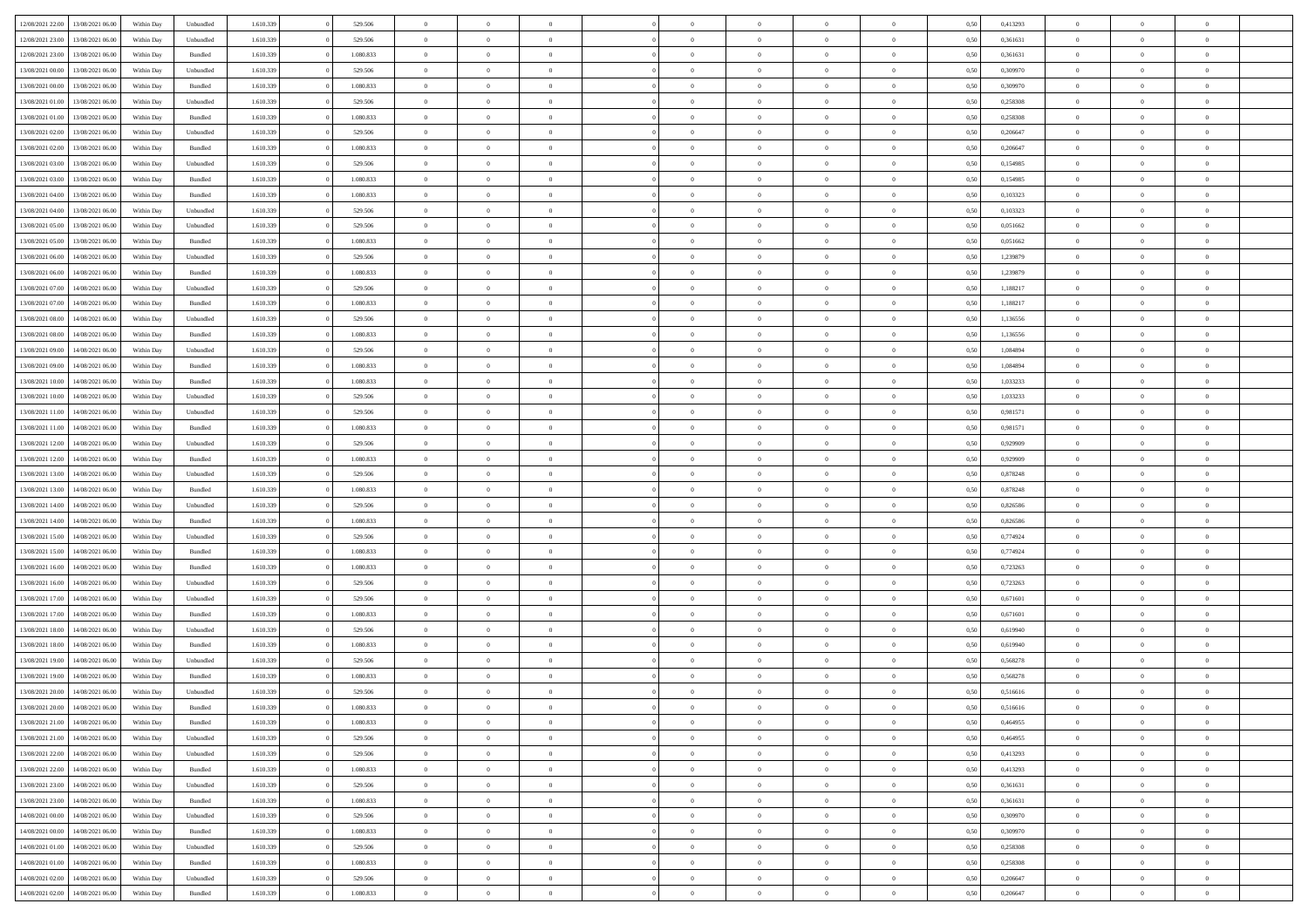| 12/08/2021 22:00 | 13/08/2021 06:00 | Within Dav | Unbundled          | 1.610.339 | 529.506   | $\overline{0}$ | $\Omega$       |                | $\Omega$       | $\Omega$       | $\Omega$       | $\theta$       | 0.50 | 0,413293 | $\theta$       | $\theta$       | $\theta$       |  |
|------------------|------------------|------------|--------------------|-----------|-----------|----------------|----------------|----------------|----------------|----------------|----------------|----------------|------|----------|----------------|----------------|----------------|--|
|                  |                  |            |                    |           |           |                |                |                |                |                |                |                |      |          |                |                |                |  |
| 12/08/2021 23:00 | 13/08/2021 06:00 | Within Day | Unbundled          | 1.610.339 | 529.506   | $\overline{0}$ | $\theta$       | $\overline{0}$ | $\overline{0}$ | $\bf{0}$       | $\overline{0}$ | $\bf{0}$       | 0,50 | 0,361631 | $\theta$       | $\theta$       | $\overline{0}$ |  |
| 12/08/2021 23:00 | 13/08/2021 06:00 | Within Day | Bundled            | 1.610.339 | 1.080.833 | $\overline{0}$ | $\overline{0}$ | $\overline{0}$ | $\bf{0}$       | $\bf{0}$       | $\bf{0}$       | $\bf{0}$       | 0,50 | 0,361631 | $\overline{0}$ | $\overline{0}$ | $\overline{0}$ |  |
| 13/08/2021 00:00 | 13/08/2021 06:00 | Within Day | Unbundled          | 1.610.339 | 529.506   | $\overline{0}$ | $\overline{0}$ | $\overline{0}$ | $\overline{0}$ | $\bf{0}$       | $\overline{0}$ | $\overline{0}$ | 0.50 | 0,309970 | $\theta$       | $\theta$       | $\overline{0}$ |  |
| 13/08/2021 00:00 | 13/08/2021 06:00 | Within Day | Bundled            | 1.610.339 | 1.080.833 | $\overline{0}$ | $\theta$       | $\overline{0}$ | $\overline{0}$ | $\bf{0}$       | $\overline{0}$ | $\bf{0}$       | 0,50 | 0,309970 | $\theta$       | $\theta$       | $\overline{0}$ |  |
| 13/08/2021 01:00 | 13/08/2021 06:00 | Within Day | Unbundled          | 1.610.339 | 529.506   | $\overline{0}$ | $\bf{0}$       | $\overline{0}$ | $\bf{0}$       | $\overline{0}$ | $\overline{0}$ | $\mathbf{0}$   | 0,50 | 0,258308 | $\overline{0}$ | $\overline{0}$ | $\bf{0}$       |  |
|                  |                  |            |                    |           |           |                |                |                |                | $\overline{0}$ |                |                |      |          | $\theta$       | $\overline{0}$ | $\overline{0}$ |  |
| 13/08/2021 01:00 | 13/08/2021 06:00 | Within Dav | Bundled            | 1.610.339 | 1.080.833 | $\overline{0}$ | $\overline{0}$ | $\overline{0}$ | $\overline{0}$ |                | $\overline{0}$ | $\overline{0}$ | 0.50 | 0,258308 |                |                |                |  |
| 13/08/2021 02:00 | 13/08/2021 06:00 | Within Day | Unbundled          | 1.610.339 | 529.506   | $\overline{0}$ | $\theta$       | $\overline{0}$ | $\overline{0}$ | $\bf{0}$       | $\overline{0}$ | $\bf{0}$       | 0,50 | 0,206647 | $\theta$       | $\theta$       | $\overline{0}$ |  |
| 13/08/2021 02:00 | 13/08/2021 06:00 | Within Day | Bundled            | 1.610.339 | 1.080.833 | $\overline{0}$ | $\overline{0}$ | $\overline{0}$ | $\bf{0}$       | $\bf{0}$       | $\bf{0}$       | $\bf{0}$       | 0,50 | 0,206647 | $\,0\,$        | $\overline{0}$ | $\overline{0}$ |  |
| 13/08/2021 03:00 | 13/08/2021 06:00 | Within Dav | Unbundled          | 1.610.339 | 529.506   | $\overline{0}$ | $\overline{0}$ | $\overline{0}$ | $\overline{0}$ | $\overline{0}$ | $\overline{0}$ | $\overline{0}$ | 0.50 | 0,154985 | $\theta$       | $\overline{0}$ | $\overline{0}$ |  |
| 13/08/2021 03:00 | 13/08/2021 06:00 | Within Day | Bundled            | 1.610.339 | 1.080.833 | $\overline{0}$ | $\theta$       | $\overline{0}$ | $\overline{0}$ | $\bf{0}$       | $\overline{0}$ | $\bf{0}$       | 0,50 | 0,154985 | $\,$ 0 $\,$    | $\overline{0}$ | $\overline{0}$ |  |
| 13/08/2021 04:00 | 13/08/2021 06:00 | Within Day | Bundled            | 1.610.339 | 1.080.833 | $\overline{0}$ | $\overline{0}$ | $\overline{0}$ | $\bf{0}$       | $\bf{0}$       | $\bf{0}$       | $\mathbf{0}$   | 0,50 | 0,103323 | $\bf{0}$       | $\overline{0}$ | $\overline{0}$ |  |
| 13/08/2021 04:00 | 13/08/2021 06:00 | Within Day | Unbundled          | 1.610.339 | 529.506   | $\overline{0}$ | $\overline{0}$ | $\overline{0}$ | $\overline{0}$ | $\bf{0}$       | $\overline{0}$ | $\overline{0}$ | 0.50 | 0,103323 | $\theta$       | $\theta$       | $\overline{0}$ |  |
|                  |                  |            |                    |           |           | $\overline{0}$ | $\theta$       | $\overline{0}$ | $\overline{0}$ | $\bf{0}$       | $\overline{0}$ |                |      |          | $\theta$       | $\overline{0}$ | $\overline{0}$ |  |
| 13/08/2021 05:00 | 13/08/2021 06:00 | Within Day | Unbundled          | 1.610.339 | 529.506   |                |                |                |                |                |                | $\bf{0}$       | 0,50 | 0,051662 |                |                |                |  |
| 13/08/2021 05:00 | 13/08/2021 06:00 | Within Day | Bundled            | 1.610.339 | 1.080.833 | $\overline{0}$ | $\overline{0}$ | $\overline{0}$ | $\bf{0}$       | $\overline{0}$ | $\overline{0}$ | $\mathbf{0}$   | 0,50 | 0,051662 | $\bf{0}$       | $\overline{0}$ | $\bf{0}$       |  |
| 13/08/2021 06:00 | 14/08/2021 06:00 | Within Dav | Unbundled          | 1.610.339 | 529.506   | $\overline{0}$ | $\overline{0}$ | $\overline{0}$ | $\overline{0}$ | $\overline{0}$ | $\overline{0}$ | $\overline{0}$ | 0.50 | 1,239879 | $\theta$       | $\overline{0}$ | $\overline{0}$ |  |
| 13/08/2021 06:00 | 14/08/2021 06:00 | Within Day | Bundled            | 1.610.339 | 1.080.833 | $\overline{0}$ | $\theta$       | $\overline{0}$ | $\overline{0}$ | $\bf{0}$       | $\overline{0}$ | $\bf{0}$       | 0,50 | 1,239879 | $\,$ 0 $\,$    | $\theta$       | $\overline{0}$ |  |
| 13/08/2021 07:00 | 14/08/2021 06:00 | Within Day | Unbundled          | 1.610.339 | 529.506   | $\overline{0}$ | $\overline{0}$ | $\overline{0}$ | $\bf{0}$       | $\bf{0}$       | $\bf{0}$       | $\mathbf{0}$   | 0,50 | 1,188217 | $\,0\,$        | $\overline{0}$ | $\overline{0}$ |  |
| 13/08/2021 07:00 | 14/08/2021 06:00 | Within Day | Bundled            | 1.610.339 | 1.080.833 | $\overline{0}$ | $\overline{0}$ | $\overline{0}$ | $\overline{0}$ | $\overline{0}$ | $\overline{0}$ | $\overline{0}$ | 0.50 | 1,188217 | $\theta$       | $\overline{0}$ | $\overline{0}$ |  |
| 13/08/2021 08:00 | 14/08/2021 06:00 | Within Day | Unbundled          | 1.610.339 | 529.506   | $\overline{0}$ | $\theta$       | $\overline{0}$ | $\overline{0}$ | $\bf{0}$       | $\overline{0}$ | $\bf{0}$       | 0,50 | 1,136556 | $\,$ 0 $\,$    | $\theta$       | $\overline{0}$ |  |
|                  |                  |            |                    |           |           |                |                |                |                |                |                |                |      |          |                |                |                |  |
| 13/08/2021 08:00 | 14/08/2021 06:00 | Within Day | Bundled            | 1.610.339 | 1.080.833 | $\overline{0}$ | $\overline{0}$ | $\overline{0}$ | $\bf{0}$       | $\bf{0}$       | $\bf{0}$       | $\bf{0}$       | 0,50 | 1,136556 | $\bf{0}$       | $\overline{0}$ | $\overline{0}$ |  |
| 13/08/2021 09:00 | 14/08/2021 06:00 | Within Day | Unbundled          | 1.610.339 | 529.506   | $\overline{0}$ | $\overline{0}$ | $\overline{0}$ | $\overline{0}$ | $\bf{0}$       | $\overline{0}$ | $\overline{0}$ | 0.50 | 1.084894 | $\theta$       | $\theta$       | $\overline{0}$ |  |
| 13/08/2021 09:00 | 14/08/2021 06:00 | Within Day | Bundled            | 1.610.339 | 1.080.833 | $\overline{0}$ | $\theta$       | $\overline{0}$ | $\overline{0}$ | $\bf{0}$       | $\overline{0}$ | $\bf{0}$       | 0,50 | 1,084894 | $\,$ 0 $\,$    | $\overline{0}$ | $\overline{0}$ |  |
| 13/08/2021 10:00 | 14/08/2021 06:00 | Within Day | Bundled            | 1.610.339 | 1.080.833 | $\overline{0}$ | $\overline{0}$ | $\overline{0}$ | $\bf{0}$       | $\overline{0}$ | $\overline{0}$ | $\mathbf{0}$   | 0,50 | 1,033233 | $\bf{0}$       | $\overline{0}$ | $\bf{0}$       |  |
| 13/08/2021 10:00 | 14/08/2021 06:00 | Within Dav | Unbundled          | 1.610.339 | 529.506   | $\overline{0}$ | $\overline{0}$ | $\overline{0}$ | $\overline{0}$ | $\overline{0}$ | $\overline{0}$ | $\overline{0}$ | 0.50 | 1,033233 | $\theta$       | $\overline{0}$ | $\overline{0}$ |  |
| 13/08/2021 11:00 | 14/08/2021 06:00 | Within Day | Unbundled          | 1.610.339 | 529.506   | $\overline{0}$ | $\theta$       | $\overline{0}$ | $\overline{0}$ | $\bf{0}$       | $\overline{0}$ | $\bf{0}$       | 0,50 | 0,981571 | $\theta$       | $\theta$       | $\overline{0}$ |  |
| 13/08/2021 11:00 | 14/08/2021 06:00 | Within Day | Bundled            | 1.610.339 | 1.080.833 | $\overline{0}$ | $\overline{0}$ | $\overline{0}$ | $\bf{0}$       | $\bf{0}$       | $\bf{0}$       | $\bf{0}$       | 0,50 | 0,981571 | $\,0\,$        | $\overline{0}$ | $\overline{0}$ |  |
| 13/08/2021 12:00 | 14/08/2021 06:00 |            | Unbundled          | 1.610.339 | 529.506   | $\overline{0}$ | $\overline{0}$ | $\overline{0}$ | $\overline{0}$ | $\overline{0}$ | $\overline{0}$ | $\overline{0}$ | 0.50 | 0.929909 | $\theta$       | $\overline{0}$ | $\overline{0}$ |  |
|                  |                  | Within Day |                    |           |           |                |                |                |                |                |                |                |      |          |                |                |                |  |
| 13/08/2021 12:00 | 14/08/2021 06:00 | Within Day | Bundled            | 1.610.339 | 1.080.833 | $\overline{0}$ | $\theta$       | $\overline{0}$ | $\overline{0}$ | $\bf{0}$       | $\overline{0}$ | $\bf{0}$       | 0,50 | 0,929909 | $\,$ 0 $\,$    | $\overline{0}$ | $\overline{0}$ |  |
| 13/08/2021 13:00 | 14/08/2021 06:00 | Within Day | Unbundled          | 1.610.339 | 529.506   | $\overline{0}$ | $\overline{0}$ | $\overline{0}$ | $\bf{0}$       | $\bf{0}$       | $\bf{0}$       | $\bf{0}$       | 0,50 | 0,878248 | $\bf{0}$       | $\overline{0}$ | $\overline{0}$ |  |
| 13/08/2021 13:00 | 14/08/2021 06:00 | Within Day | Bundled            | 1.610.339 | 1.080.833 | $\overline{0}$ | $\Omega$       | $\overline{0}$ | $\Omega$       | $\Omega$       | $\overline{0}$ | $\overline{0}$ | 0,50 | 0,878248 | $\,0\,$        | $\theta$       | $\theta$       |  |
| 13/08/2021 14:00 | 14/08/2021 06:00 | Within Day | Unbundled          | 1.610.339 | 529.506   | $\overline{0}$ | $\theta$       | $\overline{0}$ | $\overline{0}$ | $\bf{0}$       | $\overline{0}$ | $\bf{0}$       | 0,50 | 0,826586 | $\,$ 0 $\,$    | $\theta$       | $\overline{0}$ |  |
| 13/08/2021 14:00 | 14/08/2021 06:00 | Within Day | Bundled            | 1.610.339 | 1.080.833 | $\overline{0}$ | $\overline{0}$ | $\overline{0}$ | $\bf{0}$       | $\bf{0}$       | $\overline{0}$ | $\mathbf{0}$   | 0,50 | 0,826586 | $\bf{0}$       | $\overline{0}$ | $\bf{0}$       |  |
| 13/08/2021 15:00 | 14/08/2021 06:00 | Within Day | Unbundled          | 1.610.339 | 529.506   | $\overline{0}$ | $\Omega$       | $\Omega$       | $\Omega$       | $\bf{0}$       | $\overline{0}$ | $\overline{0}$ | 0.50 | 0,774924 | $\,0\,$        | $\theta$       | $\theta$       |  |
| 13/08/2021 15:00 | 14/08/2021 06:00 | Within Day | Bundled            | 1.610.339 | 1.080.833 | $\overline{0}$ | $\theta$       | $\overline{0}$ | $\overline{0}$ | $\bf{0}$       | $\overline{0}$ | $\bf{0}$       | 0,50 | 0,774924 | $\,$ 0 $\,$    | $\theta$       | $\overline{0}$ |  |
|                  |                  |            |                    |           |           |                |                |                |                |                |                |                |      |          |                |                |                |  |
| 13/08/2021 16:00 | 14/08/2021 06:00 | Within Day | Bundled            | 1.610.339 | 1.080.833 | $\overline{0}$ | $\overline{0}$ | $\overline{0}$ | $\bf{0}$       | $\bf{0}$       | $\bf{0}$       | $\bf{0}$       | 0,50 | 0,723263 | $\,0\,$        | $\overline{0}$ | $\overline{0}$ |  |
| 13/08/2021 16:00 | 14/08/2021 06:00 | Within Day | Unbundled          | 1.610.339 | 529.506   | $\overline{0}$ | $\Omega$       | $\Omega$       | $\Omega$       | $\theta$       | $\overline{0}$ | $\overline{0}$ | 0.50 | 0,723263 | $\theta$       | $\theta$       | $\theta$       |  |
| 13/08/2021 17:00 | 14/08/2021 06:00 | Within Day | Unbundled          | 1.610.339 | 529.506   | $\overline{0}$ | $\theta$       | $\overline{0}$ | $\overline{0}$ | $\,$ 0         | $\overline{0}$ | $\bf{0}$       | 0,50 | 0,671601 | $\,$ 0 $\,$    | $\overline{0}$ | $\overline{0}$ |  |
| 13/08/2021 17:00 | 14/08/2021 06:00 | Within Day | Bundled            | 1.610.339 | 1.080.833 | $\overline{0}$ | $\overline{0}$ | $\overline{0}$ | $\bf{0}$       | $\bf{0}$       | $\bf{0}$       | $\bf{0}$       | 0,50 | 0,671601 | $\bf{0}$       | $\overline{0}$ | $\overline{0}$ |  |
| 13/08/2021 18:00 | 14/08/2021 06:00 | Within Day | Unbundled          | 1.610.339 | 529.506   | $\overline{0}$ | $\Omega$       | $\overline{0}$ | $\Omega$       | $\overline{0}$ | $\overline{0}$ | $\overline{0}$ | 0,50 | 0,619940 | $\,0\,$        | $\theta$       | $\theta$       |  |
| 13/08/2021 18:00 | 14/08/2021 06:00 | Within Day | Bundled            | 1.610.339 | 1.080.833 | $\overline{0}$ | $\theta$       | $\overline{0}$ | $\overline{0}$ | $\,$ 0         | $\overline{0}$ | $\bf{0}$       | 0,50 | 0,619940 | $\,$ 0 $\,$    | $\overline{0}$ | $\overline{0}$ |  |
| 13/08/2021 19:00 | 14/08/2021 06:00 | Within Day | Unbundled          | 1.610.339 | 529.506   | $\overline{0}$ | $\overline{0}$ | $\overline{0}$ | $\bf{0}$       | $\bf{0}$       | $\bf{0}$       | $\mathbf{0}$   | 0,50 | 0,568278 | $\bf{0}$       | $\overline{0}$ | $\bf{0}$       |  |
| 13/08/2021 19:00 | 14/08/2021 06:00 |            | Bundled            | 1.610.339 | 1.080.833 | $\overline{0}$ | $\Omega$       | $\Omega$       | $\Omega$       | $\Omega$       | $\Omega$       | $\overline{0}$ | 0.50 | 0.568278 | $\theta$       | $\theta$       | $\theta$       |  |
|                  |                  | Within Day |                    |           |           |                |                |                |                |                |                |                |      |          |                |                |                |  |
| 13/08/2021 20:00 | 14/08/2021 06:00 | Within Day | Unbundled          | 1.610.339 | 529.506   | $\overline{0}$ | $\overline{0}$ | $\overline{0}$ | $\bf{0}$       | $\,$ 0         | $\bf{0}$       | $\bf{0}$       | 0,50 | 0,516616 | $\,0\,$        | $\overline{0}$ | $\overline{0}$ |  |
| 13/08/2021 20:00 | 14/08/2021 06:00 | Within Day | $\mathbf B$ undled | 1.610.339 | 1.080.833 | $\overline{0}$ | $\bf{0}$       |                |                |                |                |                | 0,50 | 0,516616 | $\bf{0}$       | $\overline{0}$ |                |  |
| 13/08/2021 21:00 | 14/08/2021 06:00 | Within Day | Bundled            | 1.610.339 | 1.080.833 | $\overline{0}$ | $\overline{0}$ | $\overline{0}$ | $\Omega$       | $\overline{0}$ | $\overline{0}$ | $\overline{0}$ | 0.50 | 0.464955 | $\theta$       | $\theta$       | $\theta$       |  |
| 13/08/2021 21:00 | 14/08/2021 06:00 | Within Day | Unbundled          | 1.610.339 | 529.506   | $\overline{0}$ | $\,$ 0         | $\overline{0}$ | $\bf{0}$       | $\,$ 0 $\,$    | $\overline{0}$ | $\,$ 0 $\,$    | 0,50 | 0,464955 | $\,$ 0 $\,$    | $\,$ 0 $\,$    | $\,$ 0         |  |
| 13/08/2021 22:00 | 14/08/2021 06:00 | Within Day | Unbundled          | 1.610.339 | 529.506   | $\overline{0}$ | $\overline{0}$ | $\overline{0}$ | $\overline{0}$ | $\overline{0}$ | $\overline{0}$ | $\mathbf{0}$   | 0,50 | 0,413293 | $\overline{0}$ | $\bf{0}$       | $\bf{0}$       |  |
| 13/08/2021 22:00 | 14/08/2021 06:00 | Within Day | $\mathbf B$ undled | 1.610.339 | 1.080.833 | $\overline{0}$ | $\overline{0}$ | $\overline{0}$ | $\Omega$       | $\overline{0}$ | $\overline{0}$ | $\overline{0}$ | 0,50 | 0,413293 | $\overline{0}$ | $\theta$       | $\overline{0}$ |  |
| 13/08/2021 23:00 | 14/08/2021 06:00 | Within Day | Unbundled          | 1.610.339 | 529.506   | $\overline{0}$ | $\,$ 0         | $\overline{0}$ | $\overline{0}$ | $\,$ 0 $\,$    | $\overline{0}$ | $\mathbf{0}$   | 0,50 | 0,361631 | $\,$ 0 $\,$    | $\overline{0}$ | $\overline{0}$ |  |
|                  |                  |            |                    |           |           |                |                |                |                |                |                |                |      |          |                |                |                |  |
| 13/08/2021 23:00 | 14/08/2021 06:00 | Within Day | Bundled            | 1.610.339 | 1.080.833 | $\overline{0}$ | $\overline{0}$ | $\overline{0}$ | $\overline{0}$ | $\overline{0}$ | $\overline{0}$ | $\mathbf{0}$   | 0,50 | 0,361631 | $\overline{0}$ | $\overline{0}$ | $\bf{0}$       |  |
| 14/08/2021 00:00 | 14/08/2021 06:00 | Within Day | Unbundled          | 1.610.339 | 529.506   | $\overline{0}$ | $\overline{0}$ | $\overline{0}$ | $\overline{0}$ | $\overline{0}$ | $\overline{0}$ | $\bf{0}$       | 0.50 | 0,309970 | $\overline{0}$ | $\theta$       | $\overline{0}$ |  |
| 14/08/2021 00:00 | 14/08/2021 06:00 | Within Day | Bundled            | 1.610.339 | 1.080.833 | $\overline{0}$ | $\,$ 0         | $\overline{0}$ | $\bf{0}$       | $\bf{0}$       | $\bf{0}$       | $\bf{0}$       | 0,50 | 0,309970 | $\,$ 0 $\,$    | $\overline{0}$ | $\overline{0}$ |  |
| 14/08/2021 01:00 | 14/08/2021 06:00 | Within Day | Unbundled          | 1.610.339 | 529.506   | $\overline{0}$ | $\bf{0}$       | $\overline{0}$ | $\overline{0}$ | $\overline{0}$ | $\overline{0}$ | $\mathbf{0}$   | 0,50 | 0,258308 | $\overline{0}$ | $\overline{0}$ | $\bf{0}$       |  |
| 14/08/2021 01:00 | 14/08/2021 06:00 | Within Day | Bundled            | 1.610.339 | 1.080.833 | $\overline{0}$ | $\overline{0}$ | $\overline{0}$ | $\Omega$       | $\overline{0}$ | $\overline{0}$ | $\overline{0}$ | 0,50 | 0,258308 | $\overline{0}$ | $\overline{0}$ | $\overline{0}$ |  |
| 14/08/2021 02:00 | 14/08/2021 06:00 | Within Day | Unbundled          | 1.610.339 | 529.506   | $\overline{0}$ | $\bf{0}$       | $\overline{0}$ | $\bf{0}$       | $\bf{0}$       | $\bf{0}$       | $\mathbf{0}$   | 0,50 | 0,206647 | $\,$ 0 $\,$    | $\,$ 0 $\,$    | $\bf{0}$       |  |
| 14/08/2021 02:00 | 14/08/2021 06:00 | Within Day | Bundled            | 1.610.339 | 1.080.833 | $\overline{0}$ | $\overline{0}$ | $\overline{0}$ | $\overline{0}$ | $\overline{0}$ | $\bf{0}$       | $\mathbf{0}$   | 0,50 | 0,206647 | $\overline{0}$ | $\bf{0}$       | $\bf{0}$       |  |
|                  |                  |            |                    |           |           |                |                |                |                |                |                |                |      |          |                |                |                |  |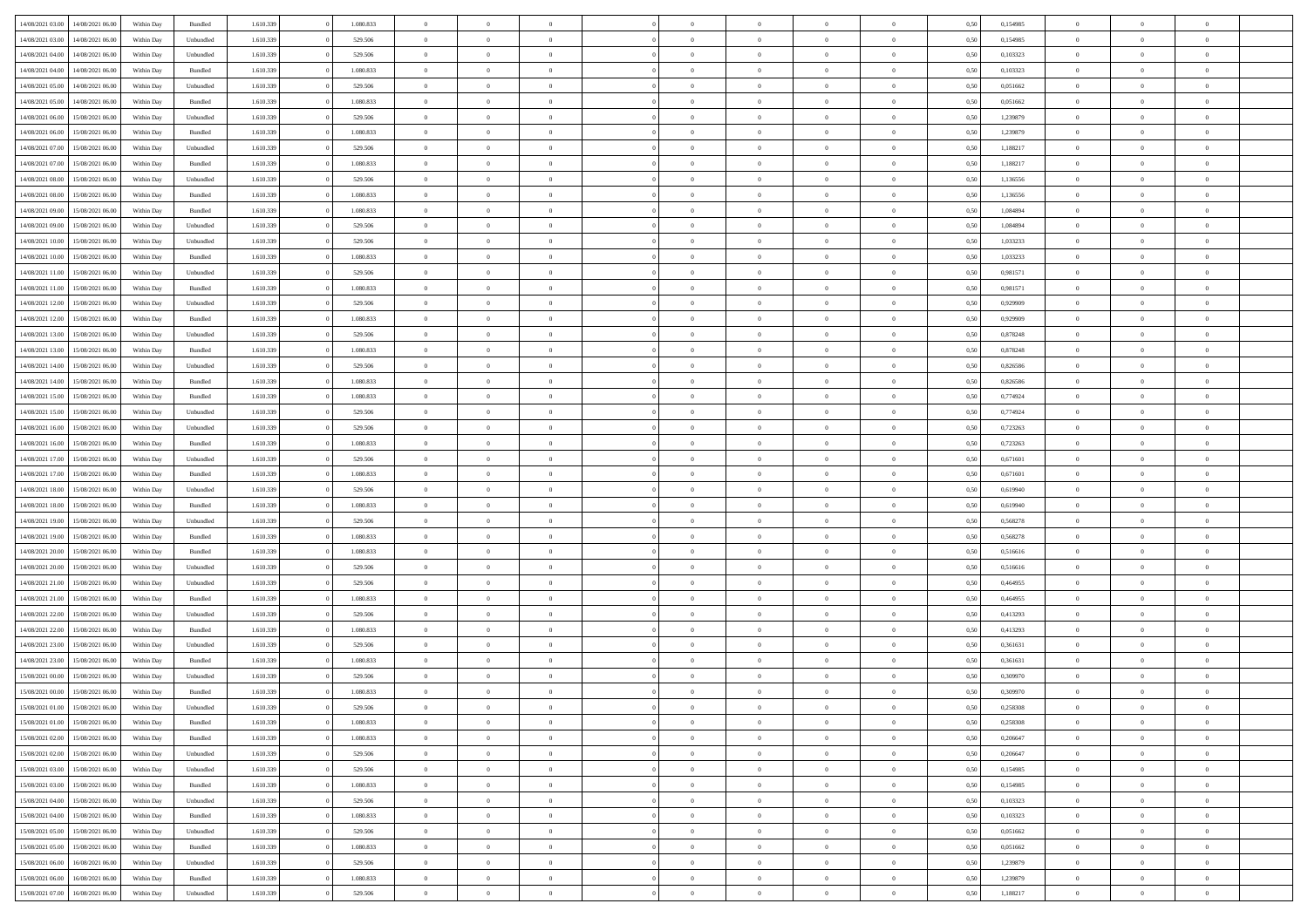| 14/08/2021 03:00 | 14/08/2021 06:00 | Within Day | Bundled   | 1.610.339 | 1.080.833 | $\overline{0}$ | $\Omega$       |                | $\Omega$       | $\Omega$       | $\Omega$       | $\theta$       | 0,50 | 0,154985 | $\theta$       | $\theta$       | $\theta$       |  |
|------------------|------------------|------------|-----------|-----------|-----------|----------------|----------------|----------------|----------------|----------------|----------------|----------------|------|----------|----------------|----------------|----------------|--|
|                  |                  |            |           |           |           |                |                |                |                |                |                |                |      |          |                |                |                |  |
| 14/08/2021 03:00 | 14/08/2021 06:00 | Within Day | Unbundled | 1.610.339 | 529.506   | $\overline{0}$ | $\theta$       | $\overline{0}$ | $\overline{0}$ | $\bf{0}$       | $\overline{0}$ | $\bf{0}$       | 0,50 | 0,154985 | $\theta$       | $\theta$       | $\overline{0}$ |  |
| 14/08/2021 04:00 | 14/08/2021 06:00 | Within Day | Unbundled | 1.610.339 | 529.506   | $\overline{0}$ | $\bf{0}$       | $\overline{0}$ | $\bf{0}$       | $\bf{0}$       | $\bf{0}$       | $\bf{0}$       | 0,50 | 0,103323 | $\bf{0}$       | $\overline{0}$ | $\overline{0}$ |  |
| 14/08/2021 04:00 | 14/08/2021 06:00 | Within Dav | Bundled   | 1.610.339 | 1.080.833 | $\overline{0}$ | $\overline{0}$ | $\overline{0}$ | $\overline{0}$ | $\bf{0}$       | $\overline{0}$ | $\overline{0}$ | 0.50 | 0,103323 | $\theta$       | $\theta$       | $\overline{0}$ |  |
|                  |                  |            |           |           |           |                |                |                |                |                |                |                |      |          |                |                |                |  |
| 14/08/2021 05:00 | 14/08/2021 06:00 | Within Day | Unbundled | 1.610.339 | 529.506   | $\overline{0}$ | $\theta$       | $\overline{0}$ | $\overline{0}$ | $\bf{0}$       | $\overline{0}$ | $\bf{0}$       | 0,50 | 0,051662 | $\theta$       | $\overline{0}$ | $\overline{0}$ |  |
| 14/08/2021 05:00 | 14/08/2021 06:00 | Within Day | Bundled   | 1.610.339 | 1.080.833 | $\overline{0}$ | $\overline{0}$ | $\overline{0}$ | $\bf{0}$       | $\overline{0}$ | $\overline{0}$ | $\mathbf{0}$   | 0,50 | 0,051662 | $\bf{0}$       | $\overline{0}$ | $\bf{0}$       |  |
| 14/08/2021 06:00 | 15/08/2021 06:00 | Within Dav | Unbundled | 1.610.339 | 529.506   | $\overline{0}$ | $\overline{0}$ | $\overline{0}$ | $\overline{0}$ | $\overline{0}$ | $\overline{0}$ | $\overline{0}$ | 0.50 | 1,239879 | $\theta$       | $\overline{0}$ | $\overline{0}$ |  |
| 14/08/2021 06:00 | 15/08/2021 06:00 | Within Day | Bundled   | 1.610.339 | 1.080.833 | $\overline{0}$ | $\theta$       | $\overline{0}$ | $\overline{0}$ | $\bf{0}$       | $\overline{0}$ | $\bf{0}$       | 0,50 | 1,239879 | $\theta$       | $\theta$       | $\overline{0}$ |  |
| 14/08/2021 07:00 | 15/08/2021 06:00 | Within Day | Unbundled | 1.610.339 | 529.506   | $\overline{0}$ | $\overline{0}$ | $\overline{0}$ | $\bf{0}$       | $\bf{0}$       | $\bf{0}$       | $\bf{0}$       | 0,50 | 1,188217 | $\,0\,$        | $\overline{0}$ | $\overline{0}$ |  |
|                  |                  |            |           |           |           |                |                |                |                |                |                |                |      |          |                |                |                |  |
| 14/08/2021 07:00 | 15/08/2021 06:00 | Within Dav | Bundled   | 1.610.339 | 1.080.833 | $\overline{0}$ | $\overline{0}$ | $\overline{0}$ | $\overline{0}$ | $\overline{0}$ | $\overline{0}$ | $\overline{0}$ | 0.50 | 1,188217 | $\theta$       | $\overline{0}$ | $\overline{0}$ |  |
| 14/08/2021 08:00 | 15/08/2021 06:00 | Within Day | Unbundled | 1.610.339 | 529.506   | $\overline{0}$ | $\theta$       | $\overline{0}$ | $\overline{0}$ | $\bf{0}$       | $\overline{0}$ | $\bf{0}$       | 0,50 | 1,136556 | $\,$ 0 $\,$    | $\overline{0}$ | $\overline{0}$ |  |
| 14/08/2021 08:00 | 15/08/2021 06:00 | Within Day | Bundled   | 1.610.339 | 1.080.833 | $\overline{0}$ | $\overline{0}$ | $\overline{0}$ | $\bf{0}$       | $\bf{0}$       | $\bf{0}$       | $\mathbf{0}$   | 0,50 | 1,136556 | $\overline{0}$ | $\overline{0}$ | $\overline{0}$ |  |
| 14/08/2021 09:00 | 15/08/2021 06:00 | Within Day | Bundled   | 1.610.339 | 1.080.833 | $\overline{0}$ | $\overline{0}$ | $\overline{0}$ | $\overline{0}$ | $\bf{0}$       | $\overline{0}$ | $\overline{0}$ | 0.50 | 1.084894 | $\theta$       | $\theta$       | $\overline{0}$ |  |
| 14/08/2021 09:00 | 15/08/2021 06:00 | Within Day | Unbundled | 1.610.339 | 529.506   | $\overline{0}$ | $\theta$       | $\overline{0}$ | $\overline{0}$ | $\bf{0}$       | $\overline{0}$ | $\bf{0}$       | 0,50 | 1,084894 | $\theta$       | $\overline{0}$ | $\overline{0}$ |  |
|                  |                  |            |           |           |           |                |                |                |                |                |                |                |      |          |                |                |                |  |
| 14/08/2021 10:00 | 15/08/2021 06:00 | Within Day | Unbundled | 1.610.339 | 529.506   | $\overline{0}$ | $\overline{0}$ | $\overline{0}$ | $\bf{0}$       | $\overline{0}$ | $\overline{0}$ | $\mathbf{0}$   | 0,50 | 1,033233 | $\overline{0}$ | $\overline{0}$ | $\bf{0}$       |  |
| 14/08/2021 10:00 | 15/08/2021 06:00 | Within Dav | Bundled   | 1.610.339 | 1.080.833 | $\overline{0}$ | $\overline{0}$ | $\overline{0}$ | $\overline{0}$ | $\overline{0}$ | $\overline{0}$ | $\overline{0}$ | 0.50 | 1,033233 | $\theta$       | $\overline{0}$ | $\overline{0}$ |  |
| 14/08/2021 11:00 | 15/08/2021 06:00 | Within Day | Unbundled | 1.610.339 | 529.506   | $\overline{0}$ | $\theta$       | $\overline{0}$ | $\overline{0}$ | $\bf{0}$       | $\overline{0}$ | $\bf{0}$       | 0,50 | 0,981571 | $\theta$       | $\theta$       | $\overline{0}$ |  |
| 14/08/2021 11:00 | 15/08/2021 06:00 | Within Day | Bundled   | 1.610.339 | 1.080.833 | $\overline{0}$ | $\overline{0}$ | $\overline{0}$ | $\bf{0}$       | $\bf{0}$       | $\bf{0}$       | $\mathbf{0}$   | 0,50 | 0,981571 | $\,0\,$        | $\overline{0}$ | $\overline{0}$ |  |
| 14/08/2021 12:00 | 15/08/2021 06:00 | Within Day | Unbundled | 1.610.339 | 529.506   | $\overline{0}$ | $\overline{0}$ | $\overline{0}$ | $\overline{0}$ | $\overline{0}$ | $\overline{0}$ | $\overline{0}$ | 0.50 | 0.929909 | $\theta$       | $\overline{0}$ | $\overline{0}$ |  |
|                  |                  |            |           |           |           |                |                |                |                |                |                |                |      |          |                |                |                |  |
| 14/08/2021 12:00 | 15/08/2021 06:00 | Within Day | Bundled   | 1.610.339 | 1.080.833 | $\overline{0}$ | $\theta$       | $\overline{0}$ | $\overline{0}$ | $\bf{0}$       | $\overline{0}$ | $\bf{0}$       | 0,50 | 0,929909 | $\,$ 0 $\,$    | $\theta$       | $\overline{0}$ |  |
| 14/08/2021 13:00 | 15/08/2021 06:00 | Within Day | Unbundled | 1.610.339 | 529.506   | $\overline{0}$ | $\overline{0}$ | $\overline{0}$ | $\bf{0}$       | $\bf{0}$       | $\bf{0}$       | $\bf{0}$       | 0,50 | 0,878248 | $\bf{0}$       | $\overline{0}$ | $\overline{0}$ |  |
| 14/08/2021 13:00 | 15/08/2021 06:00 | Within Day | Bundled   | 1.610.339 | 1.080.833 | $\overline{0}$ | $\overline{0}$ | $\overline{0}$ | $\overline{0}$ | $\bf{0}$       | $\overline{0}$ | $\overline{0}$ | 0.50 | 0.878248 | $\theta$       | $\theta$       | $\overline{0}$ |  |
| 14/08/2021 14:00 | 15/08/2021 06:00 | Within Day | Unbundled | 1.610.339 | 529.506   | $\overline{0}$ | $\theta$       | $\overline{0}$ | $\overline{0}$ | $\bf{0}$       | $\overline{0}$ | $\bf{0}$       | 0,50 | 0,826586 | $\theta$       | $\overline{0}$ | $\overline{0}$ |  |
| 14/08/2021 14:00 | 15/08/2021 06:00 | Within Day | Bundled   | 1.610.339 | 1.080.833 | $\overline{0}$ | $\overline{0}$ | $\overline{0}$ | $\bf{0}$       | $\overline{0}$ | $\overline{0}$ | $\mathbf{0}$   | 0,50 | 0,826586 | $\overline{0}$ | $\overline{0}$ | $\bf{0}$       |  |
|                  |                  |            |           |           |           |                |                |                |                |                |                |                |      |          |                |                |                |  |
| 14/08/2021 15:00 | 15/08/2021 06:00 | Within Dav | Bundled   | 1.610.339 | 1.080.833 | $\overline{0}$ | $\overline{0}$ | $\overline{0}$ | $\overline{0}$ | $\overline{0}$ | $\overline{0}$ | $\overline{0}$ | 0.50 | 0,774924 | $\theta$       | $\overline{0}$ | $\overline{0}$ |  |
| 14/08/2021 15:00 | 15/08/2021 06:00 | Within Day | Unbundled | 1.610.339 | 529.506   | $\overline{0}$ | $\theta$       | $\overline{0}$ | $\overline{0}$ | $\bf{0}$       | $\overline{0}$ | $\bf{0}$       | 0,50 | 0,774924 | $\theta$       | $\theta$       | $\overline{0}$ |  |
| 14/08/2021 16:00 | 15/08/2021 06:00 | Within Day | Unbundled | 1.610.339 | 529.506   | $\overline{0}$ | $\overline{0}$ | $\overline{0}$ | $\bf{0}$       | $\bf{0}$       | $\bf{0}$       | $\bf{0}$       | 0,50 | 0,723263 | $\,0\,$        | $\overline{0}$ | $\overline{0}$ |  |
| 14/08/2021 16:00 | 15/08/2021 06:00 | Within Day | Bundled   | 1.610.339 | 1.080.833 | $\overline{0}$ | $\overline{0}$ | $\overline{0}$ | $\overline{0}$ | $\overline{0}$ | $\overline{0}$ | $\overline{0}$ | 0.50 | 0,723263 | $\theta$       | $\overline{0}$ | $\overline{0}$ |  |
| 14/08/2021 17:00 | 15/08/2021 06:00 | Within Day | Unbundled | 1.610.339 | 529.506   | $\overline{0}$ | $\theta$       | $\overline{0}$ | $\overline{0}$ | $\bf{0}$       | $\overline{0}$ | $\bf{0}$       | 0,50 | 0,671601 | $\,$ 0 $\,$    | $\overline{0}$ | $\overline{0}$ |  |
| 14/08/2021 17:00 | 15/08/2021 06:00 | Within Day | Bundled   | 1.610.339 | 1.080.833 | $\overline{0}$ | $\overline{0}$ | $\overline{0}$ | $\bf{0}$       | $\bf{0}$       | $\bf{0}$       | $\bf{0}$       | 0,50 | 0,671601 | $\overline{0}$ | $\overline{0}$ | $\overline{0}$ |  |
|                  |                  |            |           |           |           |                |                |                |                |                |                |                |      |          |                |                | $\theta$       |  |
| 14/08/2021 18:00 | 15/08/2021 06:00 | Within Day | Unbundled | 1.610.339 | 529.506   | $\overline{0}$ | $\Omega$       | $\Omega$       | $\Omega$       | $\Omega$       | $\overline{0}$ | $\overline{0}$ | 0.50 | 0,619940 | $\,0\,$        | $\theta$       |                |  |
| 14/08/2021 18:00 | 15/08/2021 06:00 | Within Day | Bundled   | 1.610.339 | 1.080.833 | $\overline{0}$ | $\theta$       | $\overline{0}$ | $\overline{0}$ | $\bf{0}$       | $\overline{0}$ | $\bf{0}$       | 0,50 | 0,619940 | $\theta$       | $\theta$       | $\overline{0}$ |  |
| 14/08/2021 19:00 | 15/08/2021 06:00 | Within Day | Unbundled | 1.610.339 | 529.506   | $\overline{0}$ | $\overline{0}$ | $\overline{0}$ | $\bf{0}$       | $\bf{0}$       | $\overline{0}$ | $\mathbf{0}$   | 0,50 | 0,568278 | $\overline{0}$ | $\overline{0}$ | $\bf{0}$       |  |
| 14/08/2021 19:00 | 15/08/2021 06:00 | Within Day | Bundled   | 1.610.339 | 1.080.833 | $\overline{0}$ | $\Omega$       | $\Omega$       | $\Omega$       | $\bf{0}$       | $\overline{0}$ | $\overline{0}$ | 0.50 | 0.568278 | $\,0\,$        | $\theta$       | $\theta$       |  |
| 14/08/2021 20:00 | 15/08/2021 06:00 | Within Day | Bundled   | 1.610.339 | 1.080.833 | $\overline{0}$ | $\theta$       | $\overline{0}$ | $\overline{0}$ | $\bf{0}$       | $\overline{0}$ | $\bf{0}$       | 0,50 | 0,516616 | $\,$ 0 $\,$    | $\theta$       | $\overline{0}$ |  |
| 14/08/2021 20:00 | 15/08/2021 06:00 | Within Day | Unbundled | 1.610.339 | 529.506   | $\overline{0}$ | $\overline{0}$ | $\overline{0}$ | $\bf{0}$       | $\bf{0}$       | $\bf{0}$       | $\bf{0}$       | 0,50 | 0,516616 | $\bf{0}$       | $\overline{0}$ | $\overline{0}$ |  |
|                  |                  |            |           |           |           |                | $\Omega$       |                |                | $\theta$       |                |                |      |          |                |                | $\theta$       |  |
| 14/08/2021 21:00 | 15/08/2021 06:00 | Within Day | Unbundled | 1.610.339 | 529.506   | $\overline{0}$ |                | $\Omega$       | $\Omega$       |                | $\overline{0}$ | $\overline{0}$ | 0.50 | 0.464955 | $\theta$       | $\theta$       |                |  |
| 14/08/2021 21:00 | 15/08/2021 06:00 | Within Day | Bundled   | 1.610.339 | 1.080.833 | $\overline{0}$ | $\theta$       | $\overline{0}$ | $\overline{0}$ | $\bf{0}$       | $\overline{0}$ | $\bf{0}$       | 0,50 | 0,464955 | $\,$ 0 $\,$    | $\overline{0}$ | $\overline{0}$ |  |
| 14/08/2021 22.00 | 15/08/2021 06:00 | Within Day | Unbundled | 1.610.339 | 529.506   | $\overline{0}$ | $\overline{0}$ | $\overline{0}$ | $\bf{0}$       | $\bf{0}$       | $\bf{0}$       | $\bf{0}$       | 0,50 | 0,413293 | $\overline{0}$ | $\overline{0}$ | $\overline{0}$ |  |
| 14/08/2021 22.00 | 15/08/2021 06:00 | Within Day | Bundled   | 1.610.339 | 1.080.833 | $\overline{0}$ | $\Omega$       | $\overline{0}$ | $\Omega$       | $\Omega$       | $\overline{0}$ | $\overline{0}$ | 0.50 | 0,413293 | $\,0\,$        | $\theta$       | $\theta$       |  |
| 14/08/2021 23:00 | 15/08/2021 06:00 | Within Day | Unbundled | 1.610.339 | 529.506   | $\overline{0}$ | $\theta$       | $\overline{0}$ | $\overline{0}$ | $\,$ 0         | $\overline{0}$ | $\bf{0}$       | 0,50 | 0,361631 | $\,$ 0 $\,$    | $\overline{0}$ | $\overline{0}$ |  |
| 14/08/2021 23.00 | 15/08/2021 06:00 | Within Day | Bundled   | 1.610.339 | 1.080.833 | $\overline{0}$ | $\overline{0}$ | $\overline{0}$ | $\bf{0}$       | $\bf{0}$       | $\bf{0}$       | $\mathbf{0}$   | 0,50 | 0,361631 | $\bf{0}$       | $\overline{0}$ | $\bf{0}$       |  |
|                  |                  |            |           |           |           |                |                |                |                |                |                |                |      |          |                |                |                |  |
| 15/08/2021 00:00 | 15/08/2021 06:00 | Within Day | Unbundled | 1.610.339 | 529.506   | $\overline{0}$ | $\Omega$       | $\Omega$       | $\Omega$       | $\Omega$       | $\Omega$       | $\overline{0}$ | 0.50 | 0.309970 | $\theta$       | $\theta$       | $\theta$       |  |
| 15/08/2021 00:00 | 15/08/2021 06:00 | Within Day | Bundled   | 1.610.339 | 1.080.833 | $\overline{0}$ | $\overline{0}$ | $\overline{0}$ | $\bf{0}$       | $\,$ 0         | $\bf{0}$       | $\bf{0}$       | 0,50 | 0,309970 | $\,0\,$        | $\overline{0}$ | $\overline{0}$ |  |
| 15/08/2021 01:00 | 15/08/2021 06:00 | Within Day | Unbundled | 1.610.339 | 529.506   | $\bf{0}$       | $\bf{0}$       |                |                | $\bf{0}$       |                |                | 0,50 | 0,258308 | $\bf{0}$       | $\overline{0}$ |                |  |
| 15/08/2021 01:00 | 15/08/2021 06:00 | Within Day | Bundled   | 1.610.339 | 1.080.833 | $\overline{0}$ | $\overline{0}$ | $\overline{0}$ | $\Omega$       | $\overline{0}$ | $\overline{0}$ | $\overline{0}$ | 0,50 | 0,258308 | $\theta$       | $\theta$       | $\theta$       |  |
| 15/08/2021 02:00 | 15/08/2021 06:00 | Within Day | Bundled   | 1.610.339 | 1.080.833 | $\overline{0}$ | $\,$ 0         | $\overline{0}$ | $\bf{0}$       | $\,$ 0 $\,$    | $\overline{0}$ | $\,$ 0 $\,$    | 0,50 | 0,206647 | $\,$ 0 $\,$    | $\,$ 0 $\,$    | $\,$ 0         |  |
| 15/08/2021 02:00 | 15/08/2021 06:00 | Within Day | Unbundled | 1.610.339 | 529.506   | $\overline{0}$ | $\overline{0}$ | $\overline{0}$ | $\overline{0}$ | $\overline{0}$ | $\overline{0}$ | $\mathbf{0}$   | 0,50 | 0,206647 | $\overline{0}$ | $\bf{0}$       | $\overline{0}$ |  |
|                  |                  |            |           |           |           |                |                |                |                |                |                |                |      |          |                |                |                |  |
| 15/08/2021 03:00 | 15/08/2021 06:00 | Within Day | Unbundled | 1.610.339 | 529.506   | $\overline{0}$ | $\overline{0}$ | $\overline{0}$ | $\Omega$       | $\overline{0}$ | $\overline{0}$ | $\overline{0}$ | 0,50 | 0,154985 | $\overline{0}$ | $\,$ 0 $\,$    | $\overline{0}$ |  |
| 15/08/2021 03:00 | 15/08/2021 06:00 | Within Day | Bundled   | 1.610.339 | 1.080.833 | $\overline{0}$ | $\,$ 0         | $\overline{0}$ | $\bf{0}$       | $\,$ 0 $\,$    | $\overline{0}$ | $\mathbf{0}$   | 0,50 | 0,154985 | $\,$ 0 $\,$    | $\overline{0}$ | $\overline{0}$ |  |
| 15/08/2021 04:00 | 15/08/2021 06:00 | Within Day | Unbundled | 1.610.339 | 529.506   | $\overline{0}$ | $\overline{0}$ | $\overline{0}$ | $\overline{0}$ | $\overline{0}$ | $\overline{0}$ | $\mathbf{0}$   | 0,50 | 0,103323 | $\overline{0}$ | $\overline{0}$ | $\bf{0}$       |  |
| 15/08/2021 04:00 | 15/08/2021 06:00 | Within Day | Bundled   | 1.610.339 | 1.080.833 | $\overline{0}$ | $\overline{0}$ | $\overline{0}$ | $\overline{0}$ | $\overline{0}$ | $\overline{0}$ | $\bf{0}$       | 0.50 | 0,103323 | $\overline{0}$ | $\theta$       | $\overline{0}$ |  |
| 15/08/2021 05:00 | 15/08/2021 06:00 | Within Day | Unbundled | 1.610.339 | 529.506   | $\overline{0}$ | $\,$ 0         | $\overline{0}$ | $\bf{0}$       | $\bf{0}$       | $\bf{0}$       | $\bf{0}$       | 0,50 | 0,051662 | $\,$ 0 $\,$    | $\overline{0}$ | $\overline{0}$ |  |
|                  |                  |            |           |           |           |                |                |                |                |                |                |                |      |          |                |                |                |  |
| 15/08/2021 05:00 | 15/08/2021 06:00 | Within Day | Bundled   | 1.610.339 | 1.080.833 | $\overline{0}$ | $\bf{0}$       | $\overline{0}$ | $\overline{0}$ | $\overline{0}$ | $\overline{0}$ | $\mathbf{0}$   | 0,50 | 0,051662 | $\overline{0}$ | $\overline{0}$ | $\bf{0}$       |  |
| 15/08/2021 06:00 | 16/08/2021 06:00 | Within Day | Unbundled | 1.610.339 | 529.506   | $\overline{0}$ | $\overline{0}$ | $\overline{0}$ | $\Omega$       | $\overline{0}$ | $\overline{0}$ | $\overline{0}$ | 0.50 | 1,239879 | $\overline{0}$ | $\overline{0}$ | $\overline{0}$ |  |
| 15/08/2021 06:00 | 16/08/2021 06:00 | Within Day | Bundled   | 1.610.339 | 1.080.833 | $\overline{0}$ | $\bf{0}$       | $\overline{0}$ | $\bf{0}$       | $\bf{0}$       | $\bf{0}$       | $\mathbf{0}$   | 0,50 | 1,239879 | $\,$ 0 $\,$    | $\,$ 0 $\,$    | $\bf{0}$       |  |
| 15/08/2021 07:00 | 16/08/2021 06:00 | Within Day | Unbundled | 1.610.339 | 529.506   | $\overline{0}$ | $\overline{0}$ | $\overline{0}$ | $\overline{0}$ | $\overline{0}$ | $\bf{0}$       | $\mathbf{0}$   | 0,50 | 1,188217 | $\overline{0}$ | $\bf{0}$       | $\overline{0}$ |  |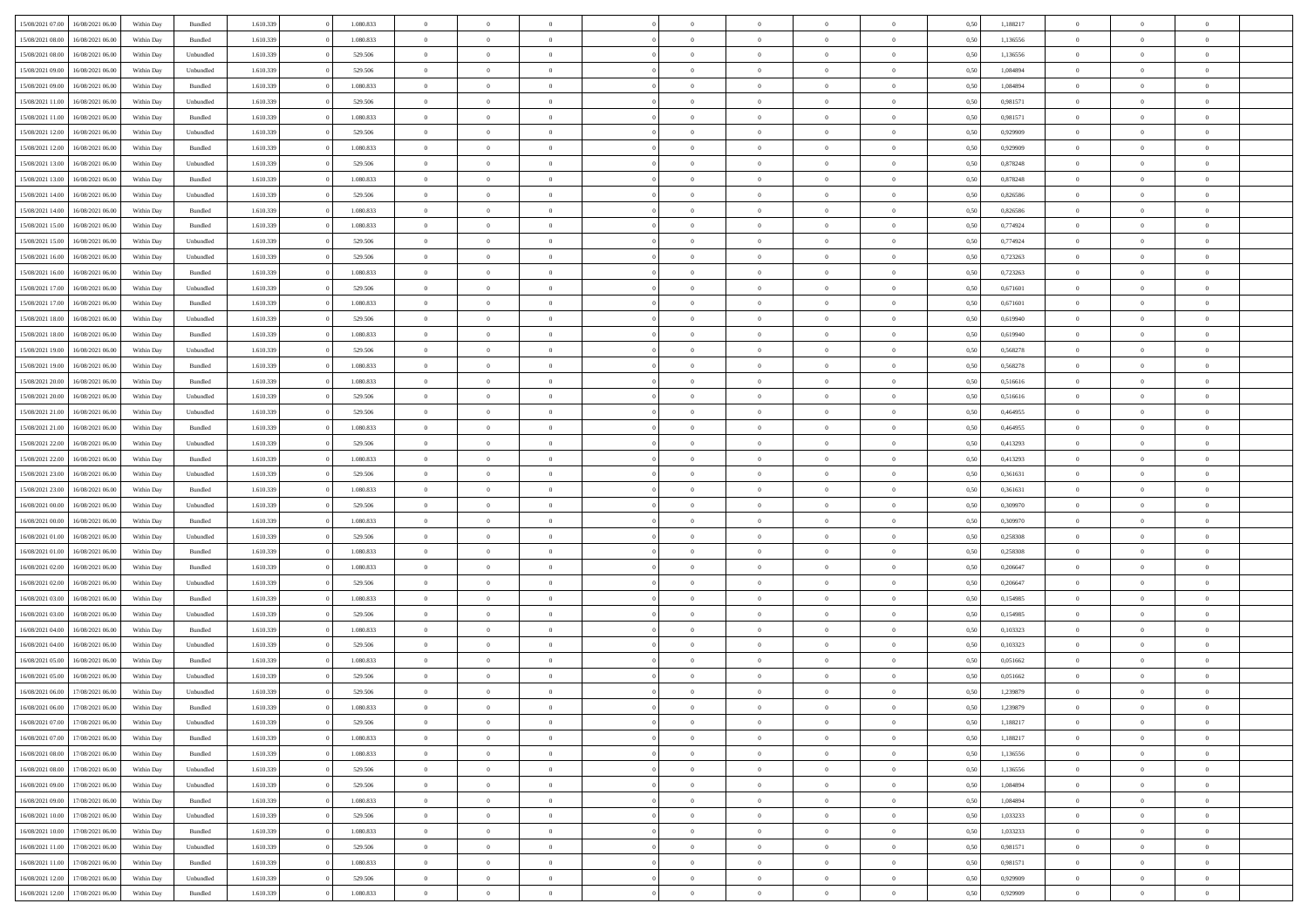| 15/08/2021 07:00                  | 16/08/2021 06:00 | Within Day | Bundled            | 1.610.339 | 1.080.833 | $\overline{0}$ | $\theta$       |                | $\Omega$       | $\Omega$       | $\theta$       | $\theta$       | 0,50 | 1,188217 | $\theta$       | $\theta$       | $\theta$       |  |
|-----------------------------------|------------------|------------|--------------------|-----------|-----------|----------------|----------------|----------------|----------------|----------------|----------------|----------------|------|----------|----------------|----------------|----------------|--|
|                                   |                  |            |                    |           |           |                |                |                |                |                |                |                |      |          |                |                |                |  |
| 15/08/2021 08:00                  | 16/08/2021 06:00 | Within Day | Bundled            | 1.610.339 | 1.080.833 | $\overline{0}$ | $\theta$       | $\overline{0}$ | $\overline{0}$ | $\bf{0}$       | $\overline{0}$ | $\bf{0}$       | 0,50 | 1,136556 | $\theta$       | $\overline{0}$ | $\overline{0}$ |  |
| 15/08/2021 08:00                  | 16/08/2021 06:00 | Within Day | Unbundled          | 1.610.339 | 529.506   | $\overline{0}$ | $\overline{0}$ | $\overline{0}$ | $\bf{0}$       | $\bf{0}$       | $\bf{0}$       | $\mathbf{0}$   | 0,50 | 1,136556 | $\overline{0}$ | $\overline{0}$ | $\overline{0}$ |  |
| 15/08/2021 09:00                  | 16/08/2021 06:00 | Within Dav | Unbundled          | 1.610.339 | 529.506   | $\overline{0}$ | $\overline{0}$ | $\overline{0}$ | $\overline{0}$ | $\bf{0}$       | $\overline{0}$ | $\overline{0}$ | 0.50 | 1.084894 | $\theta$       | $\theta$       | $\overline{0}$ |  |
| 15/08/2021 09:00                  | 16/08/2021 06:00 | Within Day | Bundled            | 1.610.339 | 1.080.833 | $\overline{0}$ | $\theta$       | $\overline{0}$ | $\overline{0}$ | $\bf{0}$       | $\overline{0}$ | $\bf{0}$       | 0,50 | 1,084894 | $\theta$       | $\overline{0}$ | $\overline{0}$ |  |
| 15/08/2021 11:00                  | 16/08/2021 06:00 | Within Day | Unbundled          | 1.610.339 | 529.506   | $\overline{0}$ | $\bf{0}$       | $\overline{0}$ | $\bf{0}$       | $\overline{0}$ | $\overline{0}$ | $\mathbf{0}$   | 0,50 | 0,981571 | $\overline{0}$ | $\overline{0}$ | $\bf{0}$       |  |
|                                   |                  |            |                    |           |           |                |                |                |                | $\overline{0}$ |                |                |      |          | $\theta$       | $\overline{0}$ | $\overline{0}$ |  |
| 15/08/2021 11:00                  | 16/08/2021 06:00 | Within Dav | Bundled            | 1.610.339 | 1.080.833 | $\overline{0}$ | $\overline{0}$ | $\overline{0}$ | $\overline{0}$ |                | $\overline{0}$ | $\overline{0}$ | 0.50 | 0.981571 |                |                |                |  |
| 15/08/2021 12:00                  | 16/08/2021 06:00 | Within Day | Unbundled          | 1.610.339 | 529.506   | $\overline{0}$ | $\theta$       | $\overline{0}$ | $\overline{0}$ | $\bf{0}$       | $\overline{0}$ | $\bf{0}$       | 0,50 | 0,929909 | $\theta$       | $\theta$       | $\overline{0}$ |  |
| 15/08/2021 12:00                  | 16/08/2021 06:00 | Within Day | Bundled            | 1.610.339 | 1.080.833 | $\overline{0}$ | $\overline{0}$ | $\overline{0}$ | $\bf{0}$       | $\bf{0}$       | $\bf{0}$       | $\bf{0}$       | 0,50 | 0,929909 | $\,0\,$        | $\overline{0}$ | $\overline{0}$ |  |
| 15/08/2021 13:00                  | 16/08/2021 06:00 | Within Dav | Unbundled          | 1.610.339 | 529.506   | $\overline{0}$ | $\overline{0}$ | $\overline{0}$ | $\overline{0}$ | $\overline{0}$ | $\overline{0}$ | $\overline{0}$ | 0.50 | 0,878248 | $\theta$       | $\overline{0}$ | $\overline{0}$ |  |
| 15/08/2021 13:00                  | 16/08/2021 06:00 | Within Day | Bundled            | 1.610.339 | 1.080.833 | $\overline{0}$ | $\theta$       | $\overline{0}$ | $\overline{0}$ | $\bf{0}$       | $\overline{0}$ | $\bf{0}$       | 0,50 | 0,878248 | $\,$ 0 $\,$    | $\overline{0}$ | $\overline{0}$ |  |
| 15/08/2021 14:00                  | 16/08/2021 06:00 | Within Day | Unbundled          | 1.610.339 | 529.506   | $\overline{0}$ | $\overline{0}$ | $\overline{0}$ | $\bf{0}$       | $\bf{0}$       | $\bf{0}$       | $\mathbf{0}$   | 0,50 | 0,826586 | $\overline{0}$ | $\overline{0}$ | $\bf{0}$       |  |
| 15/08/2021 14:00                  | 16/08/2021 06:00 | Within Dav | Bundled            | 1.610.339 | 1.080.833 | $\overline{0}$ | $\overline{0}$ | $\overline{0}$ | $\overline{0}$ | $\bf{0}$       | $\overline{0}$ | $\overline{0}$ | 0.50 | 0.826586 | $\theta$       | $\theta$       | $\overline{0}$ |  |
|                                   |                  |            |                    |           |           | $\overline{0}$ | $\theta$       | $\overline{0}$ | $\overline{0}$ | $\bf{0}$       | $\overline{0}$ |                |      |          | $\theta$       | $\overline{0}$ | $\overline{0}$ |  |
| 15/08/2021 15:00                  | 16/08/2021 06:00 | Within Day | Bundled            | 1.610.339 | 1.080.833 |                |                |                |                |                |                | $\bf{0}$       | 0,50 | 0,774924 |                |                |                |  |
| 15/08/2021 15:00                  | 16/08/2021 06:00 | Within Day | Unbundled          | 1.610.339 | 529.506   | $\overline{0}$ | $\overline{0}$ | $\overline{0}$ | $\bf{0}$       | $\overline{0}$ | $\overline{0}$ | $\mathbf{0}$   | 0,50 | 0,774924 | $\overline{0}$ | $\overline{0}$ | $\bf{0}$       |  |
| 15/08/2021 16:00                  | 16/08/2021 06:00 | Within Dav | Unbundled          | 1.610.339 | 529.506   | $\overline{0}$ | $\overline{0}$ | $\overline{0}$ | $\overline{0}$ | $\overline{0}$ | $\overline{0}$ | $\overline{0}$ | 0.50 | 0,723263 | $\theta$       | $\overline{0}$ | $\overline{0}$ |  |
| 15/08/2021 16:00                  | 16/08/2021 06:00 | Within Day | Bundled            | 1.610.339 | 1.080.833 | $\overline{0}$ | $\theta$       | $\overline{0}$ | $\overline{0}$ | $\bf{0}$       | $\overline{0}$ | $\bf{0}$       | 0,50 | 0,723263 | $\,$ 0 $\,$    | $\theta$       | $\overline{0}$ |  |
| 15/08/2021 17:00                  | 16/08/2021 06:00 | Within Day | Unbundled          | 1.610.339 | 529.506   | $\overline{0}$ | $\overline{0}$ | $\overline{0}$ | $\bf{0}$       | $\bf{0}$       | $\bf{0}$       | $\mathbf{0}$   | 0,50 | 0,671601 | $\,0\,$        | $\overline{0}$ | $\overline{0}$ |  |
| 15/08/2021 17:00                  | 16/08/2021 06:00 | Within Day | Bundled            | 1.610.339 | 1.080.833 | $\overline{0}$ | $\overline{0}$ | $\overline{0}$ | $\overline{0}$ | $\overline{0}$ | $\overline{0}$ | $\overline{0}$ | 0.50 | 0,671601 | $\theta$       | $\overline{0}$ | $\overline{0}$ |  |
| 15/08/2021 18:00                  | 16/08/2021 06:00 | Within Day | Unbundled          | 1.610.339 | 529.506   | $\overline{0}$ | $\theta$       | $\overline{0}$ | $\overline{0}$ | $\bf{0}$       | $\overline{0}$ | $\bf{0}$       | 0,50 | 0,619940 | $\,$ 0 $\,$    | $\theta$       | $\overline{0}$ |  |
|                                   |                  |            |                    |           |           |                |                |                |                |                |                |                |      |          |                |                |                |  |
| 15/08/2021 18:00                  | 16/08/2021 06:00 | Within Day | Bundled            | 1.610.339 | 1.080.833 | $\overline{0}$ | $\overline{0}$ | $\overline{0}$ | $\bf{0}$       | $\bf{0}$       | $\bf{0}$       | $\bf{0}$       | 0,50 | 0,619940 | $\bf{0}$       | $\overline{0}$ | $\overline{0}$ |  |
| 15/08/2021 19:00                  | 16/08/2021 06:00 | Within Day | Unbundled          | 1.610.339 | 529.506   | $\overline{0}$ | $\overline{0}$ | $\overline{0}$ | $\overline{0}$ | $\bf{0}$       | $\overline{0}$ | $\overline{0}$ | 0.50 | 0,568278 | $\theta$       | $\overline{0}$ | $\overline{0}$ |  |
| 15/08/2021 19:00                  | 16/08/2021 06:00 | Within Day | Bundled            | 1.610.339 | 1.080.833 | $\overline{0}$ | $\theta$       | $\overline{0}$ | $\overline{0}$ | $\bf{0}$       | $\overline{0}$ | $\bf{0}$       | 0,50 | 0,568278 | $\,$ 0 $\,$    | $\overline{0}$ | $\overline{0}$ |  |
| 15/08/2021 20:00                  | 16/08/2021 06:00 | Within Day | Bundled            | 1.610.339 | 1.080.833 | $\overline{0}$ | $\overline{0}$ | $\overline{0}$ | $\bf{0}$       | $\overline{0}$ | $\overline{0}$ | $\mathbf{0}$   | 0,50 | 0,516616 | $\overline{0}$ | $\overline{0}$ | $\bf{0}$       |  |
| 15/08/2021 20:00                  | 16/08/2021 06:00 | Within Dav | Unbundled          | 1.610.339 | 529.506   | $\overline{0}$ | $\overline{0}$ | $\overline{0}$ | $\overline{0}$ | $\overline{0}$ | $\overline{0}$ | $\overline{0}$ | 0.50 | 0,516616 | $\overline{0}$ | $\overline{0}$ | $\overline{0}$ |  |
| 15/08/2021 21:00                  | 16/08/2021 06:00 | Within Day | Unbundled          | 1.610.339 | 529.506   | $\overline{0}$ | $\theta$       | $\overline{0}$ | $\overline{0}$ | $\bf{0}$       | $\overline{0}$ | $\bf{0}$       | 0,50 | 0,464955 | $\theta$       | $\theta$       | $\overline{0}$ |  |
| 15/08/2021 21:00                  | 16/08/2021 06:00 | Within Day | Bundled            | 1.610.339 | 1.080.833 | $\overline{0}$ | $\overline{0}$ | $\overline{0}$ | $\bf{0}$       | $\bf{0}$       | $\bf{0}$       | $\bf{0}$       | 0,50 | 0,464955 | $\,0\,$        | $\overline{0}$ | $\overline{0}$ |  |
| 15/08/2021 22:00                  | 16/08/2021 06:00 |            | Unbundled          | 1.610.339 | 529.506   | $\overline{0}$ | $\overline{0}$ | $\overline{0}$ | $\overline{0}$ | $\overline{0}$ | $\overline{0}$ | $\overline{0}$ | 0.50 | 0,413293 | $\theta$       | $\overline{0}$ | $\overline{0}$ |  |
|                                   |                  | Within Day |                    |           |           |                |                |                |                |                |                |                |      |          |                |                |                |  |
| 15/08/2021 22:00                  | 16/08/2021 06:00 | Within Day | Bundled            | 1.610.339 | 1.080.833 | $\overline{0}$ | $\theta$       | $\overline{0}$ | $\overline{0}$ | $\bf{0}$       | $\overline{0}$ | $\bf{0}$       | 0,50 | 0,413293 | $\,$ 0 $\,$    | $\overline{0}$ | $\overline{0}$ |  |
| 15/08/2021 23:00                  | 16/08/2021 06:00 | Within Day | Unbundled          | 1.610.339 | 529.506   | $\overline{0}$ | $\overline{0}$ | $\overline{0}$ | $\bf{0}$       | $\bf{0}$       | $\bf{0}$       | $\bf{0}$       | 0,50 | 0,361631 | $\overline{0}$ | $\overline{0}$ | $\overline{0}$ |  |
| 15/08/2021 23:00                  | 16/08/2021 06:00 | Within Day | Bundled            | 1.610.339 | 1.080.833 | $\overline{0}$ | $\Omega$       | $\overline{0}$ | $\Omega$       | $\Omega$       | $\Omega$       | $\overline{0}$ | 0,50 | 0,361631 | $\,0\,$        | $\theta$       | $\theta$       |  |
| 16/08/2021 00:00                  | 16/08/2021 06:00 | Within Day | Unbundled          | 1.610.339 | 529.506   | $\overline{0}$ | $\theta$       | $\overline{0}$ | $\overline{0}$ | $\bf{0}$       | $\overline{0}$ | $\bf{0}$       | 0,50 | 0,309970 | $\theta$       | $\overline{0}$ | $\overline{0}$ |  |
| 16/08/2021 00:00                  | 16/08/2021 06:00 | Within Day | Bundled            | 1.610.339 | 1.080.833 | $\overline{0}$ | $\overline{0}$ | $\overline{0}$ | $\bf{0}$       | $\bf{0}$       | $\overline{0}$ | $\mathbf{0}$   | 0,50 | 0,309970 | $\overline{0}$ | $\overline{0}$ | $\bf{0}$       |  |
| 16/08/2021 01:00                  | 16/08/2021 06:00 | Within Day | Unbundled          | 1.610.339 | 529.506   | $\overline{0}$ | $\Omega$       | $\Omega$       | $\Omega$       | $\bf{0}$       | $\overline{0}$ | $\overline{0}$ | 0.50 | 0,258308 | $\,0\,$        | $\theta$       | $\theta$       |  |
| 16/08/2021 01:00                  | 16/08/2021 06:00 | Within Day | Bundled            | 1.610.339 | 1.080.833 | $\overline{0}$ | $\theta$       | $\overline{0}$ | $\overline{0}$ | $\bf{0}$       | $\overline{0}$ | $\bf{0}$       | 0,50 | 0,258308 | $\,$ 0 $\,$    | $\theta$       | $\overline{0}$ |  |
|                                   |                  |            |                    |           |           |                |                |                |                |                |                |                |      |          |                |                |                |  |
| 16/08/2021 02:00                  | 16/08/2021 06:00 | Within Day | Bundled            | 1.610.339 | 1.080.833 | $\overline{0}$ | $\overline{0}$ | $\overline{0}$ | $\bf{0}$       | $\bf{0}$       | $\bf{0}$       | $\bf{0}$       | 0,50 | 0,206647 | $\bf{0}$       | $\overline{0}$ | $\overline{0}$ |  |
| 16/08/2021 02:00                  | 16/08/2021 06:00 | Within Day | Unbundled          | 1.610.339 | 529.506   | $\overline{0}$ | $\Omega$       | $\Omega$       | $\Omega$       | $\theta$       | $\theta$       | $\overline{0}$ | 0.50 | 0.206647 | $\theta$       | $\theta$       | $\theta$       |  |
| 16/08/2021 03:00                  | 16/08/2021 06:00 | Within Day | Bundled            | 1.610.339 | 1.080.833 | $\overline{0}$ | $\theta$       | $\overline{0}$ | $\overline{0}$ | $\bf{0}$       | $\overline{0}$ | $\bf{0}$       | 0,50 | 0,154985 | $\,$ 0 $\,$    | $\overline{0}$ | $\overline{0}$ |  |
| 16/08/2021 03:00                  | 16/08/2021 06:00 | Within Day | Unbundled          | 1.610.339 | 529.506   | $\overline{0}$ | $\overline{0}$ | $\overline{0}$ | $\bf{0}$       | $\bf{0}$       | $\bf{0}$       | $\bf{0}$       | 0,50 | 0,154985 | $\bf{0}$       | $\overline{0}$ | $\overline{0}$ |  |
| 16/08/2021 04:00                  | 16/08/2021 06:00 | Within Day | Bundled            | 1.610.339 | 1.080.833 | $\overline{0}$ | $\Omega$       | $\overline{0}$ | $\Omega$       | $\Omega$       | $\overline{0}$ | $\overline{0}$ | 0.50 | 0,103323 | $\,0\,$        | $\theta$       | $\theta$       |  |
| 16/08/2021 04:00                  | 16/08/2021 06:00 | Within Day | Unbundled          | 1.610.339 | 529.506   | $\overline{0}$ | $\theta$       | $\overline{0}$ | $\overline{0}$ | $\,$ 0         | $\overline{0}$ | $\bf{0}$       | 0,50 | 0,103323 | $\,$ 0 $\,$    | $\overline{0}$ | $\overline{0}$ |  |
| 16/08/2021 05:00                  | 16/08/2021 06:00 | Within Day | Bundled            | 1.610.339 | 1.080.833 | $\overline{0}$ | $\overline{0}$ | $\overline{0}$ | $\bf{0}$       | $\bf{0}$       | $\bf{0}$       | $\mathbf{0}$   | 0,50 | 0,051662 | $\bf{0}$       | $\overline{0}$ | $\bf{0}$       |  |
| 16/08/2021 05:00                  | 16/08/2021 06:00 | Within Day | Unbundled          | 1.610.339 | 529.506   | $\overline{0}$ | $\Omega$       | $\Omega$       | $\Omega$       | $\Omega$       | $\Omega$       | $\overline{0}$ | 0.50 | 0.051662 | $\theta$       | $\theta$       | $\theta$       |  |
| 16/08/2021 06:00                  | 17/08/2021 06:00 | Within Day | Unbundled          | 1.610.339 | 529.506   | $\overline{0}$ | $\overline{0}$ | $\overline{0}$ | $\bf{0}$       | $\,$ 0         | $\bf{0}$       | $\bf{0}$       | 0,50 | 1,239879 | $\,0\,$        | $\overline{0}$ | $\overline{0}$ |  |
|                                   |                  |            |                    |           |           |                |                |                |                |                |                |                |      |          |                |                |                |  |
| 16/08/2021 06:00                  | 17/08/2021 06:00 | Within Day | $\mathbf B$ undled | 1.610.339 | 1.080.833 | $\bf{0}$       | $\bf{0}$       |                |                | $\bf{0}$       |                |                | 0,50 | 1,239879 | $\bf{0}$       | $\overline{0}$ |                |  |
| 16/08/2021 07:00                  | 17/08/2021 06:00 | Within Day | Unbundled          | 1.610.339 | 529.506   | $\overline{0}$ | $\overline{0}$ | $\overline{0}$ | $\Omega$       | $\overline{0}$ | $\overline{0}$ | $\overline{0}$ | 0,50 | 1,188217 | $\theta$       | $\theta$       | $\Omega$       |  |
| 16/08/2021 07:00                  | 17/08/2021 06:00 | Within Day | Bundled            | 1.610.339 | 1.080.833 | $\overline{0}$ | $\bf{0}$       | $\overline{0}$ | $\bf{0}$       | $\,$ 0 $\,$    | $\overline{0}$ | $\,$ 0 $\,$    | 0,50 | 1,188217 | $\,$ 0 $\,$    | $\,$ 0 $\,$    | $\,$ 0         |  |
| 16/08/2021 08:00                  | 17/08/2021 06:00 | Within Day | Bundled            | 1.610.339 | 1.080.833 | $\overline{0}$ | $\overline{0}$ | $\overline{0}$ | $\overline{0}$ | $\overline{0}$ | $\overline{0}$ | $\mathbf{0}$   | 0,50 | 1,136556 | $\overline{0}$ | $\bf{0}$       | $\overline{0}$ |  |
| 16/08/2021 08:00                  | 17/08/2021 06:00 | Within Day | Unbundled          | 1.610.339 | 529.506   | $\overline{0}$ | $\overline{0}$ | $\overline{0}$ | $\Omega$       | $\overline{0}$ | $\overline{0}$ | $\overline{0}$ | 0,50 | 1,136556 | $\overline{0}$ | $\overline{0}$ | $\overline{0}$ |  |
| 16/08/2021 09:00                  | 17/08/2021 06:00 | Within Day | Unbundled          | 1.610.339 | 529.506   | $\overline{0}$ | $\,$ 0         | $\overline{0}$ | $\bf{0}$       | $\,$ 0 $\,$    | $\overline{0}$ | $\,$ 0 $\,$    | 0,50 | 1,084894 | $\,$ 0 $\,$    | $\overline{0}$ | $\overline{0}$ |  |
| 16/08/2021 09:00                  | 17/08/2021 06:00 | Within Day | Bundled            | 1.610.339 | 1.080.833 | $\overline{0}$ | $\overline{0}$ | $\overline{0}$ | $\overline{0}$ | $\overline{0}$ | $\overline{0}$ | $\mathbf{0}$   | 0,50 | 1,084894 | $\overline{0}$ | $\overline{0}$ | $\bf{0}$       |  |
|                                   |                  |            |                    |           |           |                |                |                |                |                |                |                |      |          |                |                |                |  |
| 16/08/2021 10:00                  | 17/08/2021 06:00 | Within Day | Unbundled          | 1.610.339 | 529.506   | $\overline{0}$ | $\overline{0}$ | $\overline{0}$ | $\overline{0}$ | $\overline{0}$ | $\overline{0}$ | $\bf{0}$       | 0.50 | 1,033233 | $\overline{0}$ | $\theta$       | $\overline{0}$ |  |
| 16/08/2021 10:00                  | 17/08/2021 06:00 | Within Day | Bundled            | 1.610.339 | 1.080.833 | $\overline{0}$ | $\,$ 0         | $\overline{0}$ | $\bf{0}$       | $\bf{0}$       | $\bf{0}$       | $\bf{0}$       | 0,50 | 1,033233 | $\,$ 0 $\,$    | $\overline{0}$ | $\overline{0}$ |  |
| 16/08/2021 11:00                  | 17/08/2021 06:00 | Within Day | Unbundled          | 1.610.339 | 529.506   | $\overline{0}$ | $\bf{0}$       | $\overline{0}$ | $\overline{0}$ | $\overline{0}$ | $\overline{0}$ | $\mathbf{0}$   | 0,50 | 0,981571 | $\overline{0}$ | $\overline{0}$ | $\bf{0}$       |  |
| 16/08/2021 11:00                  | 17/08/2021 06:00 | Within Day | Bundled            | 1.610.339 | 1.080.833 | $\overline{0}$ | $\overline{0}$ | $\overline{0}$ | $\Omega$       | $\overline{0}$ | $\overline{0}$ | $\overline{0}$ | 0.50 | 0,981571 | $\overline{0}$ | $\overline{0}$ | $\overline{0}$ |  |
| 16/08/2021 12:00                  | 17/08/2021 06:00 | Within Day | Unbundled          | 1.610.339 | 529.506   | $\overline{0}$ | $\bf{0}$       | $\overline{0}$ | $\bf{0}$       | $\bf{0}$       | $\bf{0}$       | $\mathbf{0}$   | 0,50 | 0,929909 | $\,$ 0 $\,$    | $\,$ 0 $\,$    | $\bf{0}$       |  |
| 16/08/2021 12:00 17/08/2021 06:00 |                  | Within Day | Bundled            | 1.610.339 | 1.080.833 | $\overline{0}$ | $\overline{0}$ | $\overline{0}$ | $\overline{0}$ | $\overline{0}$ | $\bf{0}$       | $\mathbf{0}$   | 0,50 | 0,929909 | $\overline{0}$ | $\bf{0}$       | $\overline{0}$ |  |
|                                   |                  |            |                    |           |           |                |                |                |                |                |                |                |      |          |                |                |                |  |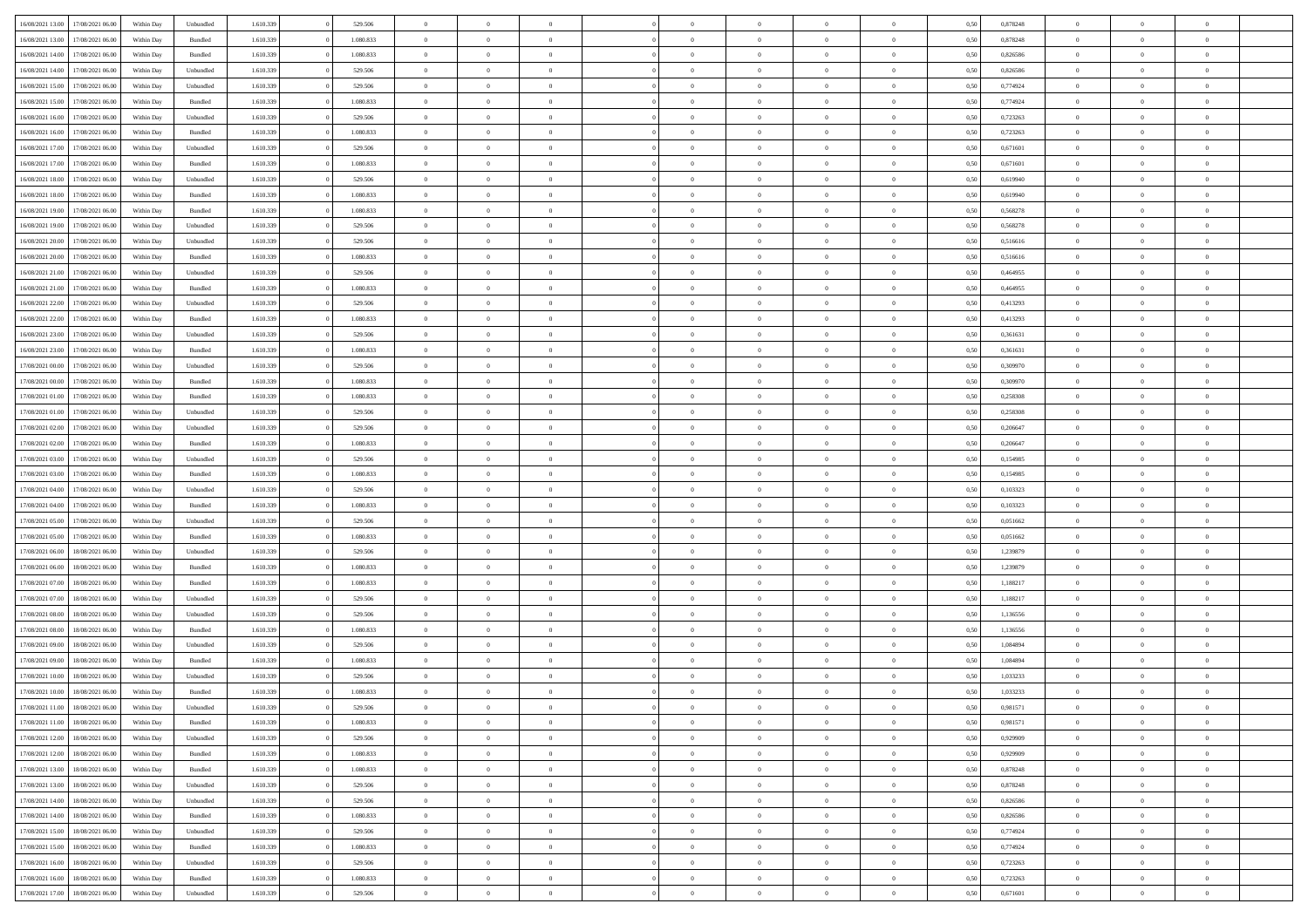| 16/08/2021 13:00 | 17/08/2021 06:00 | Within Dav | Unbundled          | 1.610.339 | 529.506   | $\overline{0}$ | $\Omega$       |                | $\Omega$       | $\Omega$       | $\Omega$       | $\theta$       | 0.50 | 0,878248 | $\theta$       | $\theta$       | $\theta$       |  |
|------------------|------------------|------------|--------------------|-----------|-----------|----------------|----------------|----------------|----------------|----------------|----------------|----------------|------|----------|----------------|----------------|----------------|--|
|                  |                  |            |                    |           |           |                |                |                |                |                |                |                |      |          |                |                |                |  |
| 16/08/2021 13:00 | 17/08/2021 06:00 | Within Day | Bundled            | 1.610.339 | 1.080.833 | $\overline{0}$ | $\theta$       | $\overline{0}$ | $\overline{0}$ | $\bf{0}$       | $\overline{0}$ | $\bf{0}$       | 0,50 | 0,878248 | $\theta$       | $\theta$       | $\overline{0}$ |  |
| 16/08/2021 14:00 | 17/08/2021 06:00 | Within Day | Bundled            | 1.610.339 | 1.080.833 | $\overline{0}$ | $\overline{0}$ | $\overline{0}$ | $\bf{0}$       | $\bf{0}$       | $\bf{0}$       | $\bf{0}$       | 0,50 | 0,826586 | $\overline{0}$ | $\overline{0}$ | $\overline{0}$ |  |
| 16/08/2021 14:00 | 17/08/2021 06:00 | Within Day | Unbundled          | 1.610.339 | 529.506   | $\overline{0}$ | $\overline{0}$ | $\overline{0}$ | $\overline{0}$ | $\bf{0}$       | $\overline{0}$ | $\overline{0}$ | 0.50 | 0.826586 | $\theta$       | $\theta$       | $\overline{0}$ |  |
|                  |                  |            |                    |           |           |                |                |                |                |                |                |                |      |          |                |                |                |  |
| 16/08/2021 15:00 | 17/08/2021 06:00 | Within Day | Unbundled          | 1.610.339 | 529.506   | $\overline{0}$ | $\theta$       | $\overline{0}$ | $\overline{0}$ | $\bf{0}$       | $\overline{0}$ | $\bf{0}$       | 0,50 | 0,774924 | $\theta$       | $\theta$       | $\overline{0}$ |  |
| 16/08/2021 15:00 | 17/08/2021 06:00 | Within Day | Bundled            | 1.610.339 | 1.080.833 | $\overline{0}$ | $\overline{0}$ | $\overline{0}$ | $\bf{0}$       | $\overline{0}$ | $\overline{0}$ | $\mathbf{0}$   | 0,50 | 0,774924 | $\overline{0}$ | $\overline{0}$ | $\bf{0}$       |  |
| 16/08/2021 16:00 | 17/08/2021 06:00 | Within Dav | Unbundled          | 1.610.339 | 529.506   | $\overline{0}$ | $\overline{0}$ | $\overline{0}$ | $\overline{0}$ | $\overline{0}$ | $\overline{0}$ | $\overline{0}$ | 0.50 | 0,723263 | $\theta$       | $\overline{0}$ | $\overline{0}$ |  |
| 16/08/2021 16:00 | 17/08/2021 06:00 | Within Day | Bundled            | 1.610.339 | 1.080.833 | $\overline{0}$ | $\theta$       | $\overline{0}$ | $\overline{0}$ | $\bf{0}$       | $\overline{0}$ | $\bf{0}$       | 0,50 | 0,723263 | $\theta$       | $\theta$       | $\overline{0}$ |  |
|                  |                  |            |                    |           |           |                | $\overline{0}$ |                |                | $\bf{0}$       |                |                |      |          | $\,0\,$        | $\overline{0}$ | $\overline{0}$ |  |
| 16/08/2021 17:00 | 17/08/2021 06:00 | Within Day | Unbundled          | 1.610.339 | 529.506   | $\overline{0}$ |                | $\overline{0}$ | $\bf{0}$       |                | $\bf{0}$       | $\bf{0}$       | 0,50 | 0,671601 |                |                |                |  |
| 16/08/2021 17:00 | 17/08/2021 06:00 | Within Dav | Bundled            | 1.610.339 | 1.080.833 | $\overline{0}$ | $\overline{0}$ | $\overline{0}$ | $\overline{0}$ | $\overline{0}$ | $\overline{0}$ | $\overline{0}$ | 0.50 | 0,671601 | $\theta$       | $\overline{0}$ | $\overline{0}$ |  |
| 16/08/2021 18:00 | 17/08/2021 06:00 | Within Day | Unbundled          | 1.610.339 | 529.506   | $\overline{0}$ | $\theta$       | $\overline{0}$ | $\overline{0}$ | $\bf{0}$       | $\overline{0}$ | $\bf{0}$       | 0,50 | 0,619940 | $\,$ 0 $\,$    | $\overline{0}$ | $\overline{0}$ |  |
| 16/08/2021 18:00 | 17/08/2021 06:00 | Within Day | Bundled            | 1.610.339 | 1.080.833 | $\overline{0}$ | $\overline{0}$ | $\overline{0}$ | $\bf{0}$       | $\bf{0}$       | $\bf{0}$       | $\mathbf{0}$   | 0,50 | 0,619940 | $\bf{0}$       | $\overline{0}$ | $\overline{0}$ |  |
| 16/08/2021 19:00 | 17/08/2021 06:00 | Within Day | Bundled            | 1.610.339 | 1.080.833 | $\overline{0}$ | $\overline{0}$ | $\overline{0}$ | $\overline{0}$ | $\bf{0}$       | $\overline{0}$ | $\overline{0}$ | 0.50 | 0,568278 | $\theta$       | $\theta$       | $\overline{0}$ |  |
|                  |                  |            |                    |           |           | $\overline{0}$ | $\theta$       | $\overline{0}$ | $\overline{0}$ | $\bf{0}$       | $\overline{0}$ |                |      |          | $\theta$       | $\theta$       | $\overline{0}$ |  |
| 16/08/2021 19:00 | 17/08/2021 06:00 | Within Day | Unbundled          | 1.610.339 | 529.506   |                |                |                |                |                |                | $\bf{0}$       | 0,50 | 0,568278 |                |                |                |  |
| 16/08/2021 20:00 | 17/08/2021 06:00 | Within Day | Unbundled          | 1.610.339 | 529.506   | $\overline{0}$ | $\overline{0}$ | $\overline{0}$ | $\bf{0}$       | $\overline{0}$ | $\overline{0}$ | $\mathbf{0}$   | 0,50 | 0,516616 | $\bf{0}$       | $\overline{0}$ | $\bf{0}$       |  |
| 16/08/2021 20:00 | 17/08/2021 06:00 | Within Dav | Bundled            | 1.610.339 | 1.080.833 | $\overline{0}$ | $\overline{0}$ | $\overline{0}$ | $\overline{0}$ | $\overline{0}$ | $\overline{0}$ | $\overline{0}$ | 0.50 | 0,516616 | $\theta$       | $\overline{0}$ | $\overline{0}$ |  |
| 16/08/2021 21:00 | 17/08/2021 06:00 | Within Day | Unbundled          | 1.610.339 | 529.506   | $\overline{0}$ | $\theta$       | $\overline{0}$ | $\overline{0}$ | $\bf{0}$       | $\overline{0}$ | $\bf{0}$       | 0,50 | 0,464955 | $\theta$       | $\theta$       | $\overline{0}$ |  |
| 16/08/2021 21:00 | 17/08/2021 06:00 | Within Day | Bundled            | 1.610.339 | 1.080.833 | $\overline{0}$ | $\overline{0}$ | $\overline{0}$ | $\bf{0}$       | $\bf{0}$       | $\bf{0}$       | $\mathbf{0}$   | 0,50 | 0,464955 | $\,0\,$        | $\overline{0}$ | $\overline{0}$ |  |
|                  |                  |            |                    |           |           |                |                |                |                |                |                |                |      |          |                |                |                |  |
| 16/08/2021 22:00 | 17/08/2021 06:00 | Within Day | Unbundled          | 1.610.339 | 529.506   | $\overline{0}$ | $\overline{0}$ | $\overline{0}$ | $\overline{0}$ | $\overline{0}$ | $\overline{0}$ | $\overline{0}$ | 0.50 | 0,413293 | $\theta$       | $\overline{0}$ | $\overline{0}$ |  |
| 16/08/2021 22:00 | 17/08/2021 06:00 | Within Day | Bundled            | 1.610.339 | 1.080.833 | $\overline{0}$ | $\theta$       | $\overline{0}$ | $\overline{0}$ | $\bf{0}$       | $\overline{0}$ | $\bf{0}$       | 0,50 | 0,413293 | $\,$ 0 $\,$    | $\overline{0}$ | $\overline{0}$ |  |
| 16/08/2021 23:00 | 17/08/2021 06:00 | Within Day | Unbundled          | 1.610.339 | 529.506   | $\overline{0}$ | $\overline{0}$ | $\overline{0}$ | $\bf{0}$       | $\bf{0}$       | $\bf{0}$       | $\bf{0}$       | 0,50 | 0,361631 | $\bf{0}$       | $\overline{0}$ | $\overline{0}$ |  |
| 16/08/2021 23:00 | 17/08/2021 06:00 | Within Day | Bundled            | 1.610.339 | 1.080.833 | $\overline{0}$ | $\overline{0}$ | $\overline{0}$ | $\overline{0}$ | $\bf{0}$       | $\overline{0}$ | $\overline{0}$ | 0.50 | 0.361631 | $\theta$       | $\overline{0}$ | $\overline{0}$ |  |
| 17/08/2021 00:00 | 17/08/2021 06:00 | Within Day | Unbundled          | 1.610.339 | 529.506   | $\overline{0}$ | $\theta$       | $\overline{0}$ | $\overline{0}$ | $\bf{0}$       | $\overline{0}$ | $\bf{0}$       | 0,50 | 0,309970 | $\,$ 0 $\,$    | $\overline{0}$ | $\overline{0}$ |  |
|                  |                  |            |                    |           |           |                |                |                |                |                |                |                |      |          |                |                |                |  |
| 17/08/2021 00:00 | 17/08/2021 06:00 | Within Day | Bundled            | 1.610.339 | 1.080.833 | $\overline{0}$ | $\overline{0}$ | $\overline{0}$ | $\bf{0}$       | $\overline{0}$ | $\overline{0}$ | $\mathbf{0}$   | 0,50 | 0,309970 | $\bf{0}$       | $\overline{0}$ | $\bf{0}$       |  |
| 17/08/2021 01:00 | 17/08/2021 06:00 | Within Dav | Bundled            | 1.610.339 | 1.080.833 | $\overline{0}$ | $\overline{0}$ | $\overline{0}$ | $\overline{0}$ | $\overline{0}$ | $\overline{0}$ | $\overline{0}$ | 0.50 | 0,258308 | $\overline{0}$ | $\overline{0}$ | $\overline{0}$ |  |
| 17/08/2021 01:00 | 17/08/2021 06:00 | Within Day | Unbundled          | 1.610.339 | 529.506   | $\overline{0}$ | $\theta$       | $\overline{0}$ | $\overline{0}$ | $\bf{0}$       | $\overline{0}$ | $\bf{0}$       | 0,50 | 0,258308 | $\theta$       | $\theta$       | $\overline{0}$ |  |
| 17/08/2021 02:00 | 17/08/2021 06:00 | Within Day | Unbundled          | 1.610.339 | 529.506   | $\overline{0}$ | $\overline{0}$ | $\overline{0}$ | $\bf{0}$       | $\bf{0}$       | $\bf{0}$       | $\bf{0}$       | 0,50 | 0,206647 | $\,0\,$        | $\overline{0}$ | $\overline{0}$ |  |
|                  | 17/08/2021 06:00 |            | Bundled            | 1.610.339 | 1.080.833 | $\overline{0}$ | $\overline{0}$ | $\overline{0}$ | $\overline{0}$ | $\overline{0}$ | $\overline{0}$ | $\overline{0}$ | 0.50 | 0.206647 | $\theta$       | $\overline{0}$ | $\overline{0}$ |  |
| 17/08/2021 02:00 |                  | Within Day |                    |           |           |                |                |                |                |                |                |                |      |          |                |                |                |  |
| 17/08/2021 03:00 | 17/08/2021 06:00 | Within Day | Unbundled          | 1.610.339 | 529.506   | $\overline{0}$ | $\theta$       | $\overline{0}$ | $\overline{0}$ | $\bf{0}$       | $\overline{0}$ | $\bf{0}$       | 0,50 | 0,154985 | $\,$ 0 $\,$    | $\overline{0}$ | $\overline{0}$ |  |
| 17/08/2021 03:00 | 17/08/2021 06:00 | Within Day | Bundled            | 1.610.339 | 1.080.833 | $\overline{0}$ | $\overline{0}$ | $\overline{0}$ | $\bf{0}$       | $\bf{0}$       | $\bf{0}$       | $\bf{0}$       | 0,50 | 0,154985 | $\bf{0}$       | $\overline{0}$ | $\overline{0}$ |  |
| 17/08/2021 04:00 | 17/08/2021 06:00 | Within Day | Unbundled          | 1.610.339 | 529.506   | $\overline{0}$ | $\Omega$       | $\overline{0}$ | $\Omega$       | $\Omega$       | $\overline{0}$ | $\overline{0}$ | 0.50 | 0,103323 | $\,0\,$        | $\theta$       | $\theta$       |  |
| 17/08/2021 04:00 | 17/08/2021 06:00 | Within Day | Bundled            | 1.610.339 | 1.080.833 | $\overline{0}$ | $\theta$       | $\overline{0}$ | $\overline{0}$ | $\bf{0}$       | $\overline{0}$ | $\bf{0}$       | 0,50 | 0,103323 | $\theta$       | $\theta$       | $\overline{0}$ |  |
|                  |                  |            |                    |           |           |                |                |                |                |                |                |                |      |          |                |                |                |  |
| 17/08/2021 05:00 | 17/08/2021 06:00 | Within Day | Unbundled          | 1.610.339 | 529.506   | $\overline{0}$ | $\overline{0}$ | $\overline{0}$ | $\bf{0}$       | $\bf{0}$       | $\overline{0}$ | $\mathbf{0}$   | 0,50 | 0,051662 | $\bf{0}$       | $\overline{0}$ | $\bf{0}$       |  |
| 17/08/2021 05:00 | 17/08/2021 06:00 | Within Day | Bundled            | 1.610.339 | 1.080.833 | $\overline{0}$ | $\Omega$       | $\Omega$       | $\Omega$       | $\bf{0}$       | $\overline{0}$ | $\overline{0}$ | 0.50 | 0.051662 | $\,0\,$        | $\theta$       | $\theta$       |  |
| 17/08/2021 06:00 | 18/08/2021 06:00 | Within Day | Unbundled          | 1.610.339 | 529.506   | $\overline{0}$ | $\theta$       | $\overline{0}$ | $\overline{0}$ | $\bf{0}$       | $\overline{0}$ | $\bf{0}$       | 0,50 | 1,239879 | $\,$ 0 $\,$    | $\theta$       | $\overline{0}$ |  |
| 17/08/2021 06:00 | 18/08/2021 06:00 | Within Day | Bundled            | 1.610.339 | 1.080.833 | $\overline{0}$ | $\overline{0}$ | $\overline{0}$ | $\bf{0}$       | $\bf{0}$       | $\bf{0}$       | $\bf{0}$       | 0,50 | 1,239879 | $\bf{0}$       | $\overline{0}$ | $\overline{0}$ |  |
| 17/08/2021 07:00 | 18/08/2021 06:00 | Within Day | Bundled            | 1.610.339 | 1.080.833 | $\overline{0}$ | $\Omega$       | $\Omega$       | $\Omega$       | $\theta$       | $\overline{0}$ | $\overline{0}$ | 0.50 | 1,188217 | $\,0\,$        | $\theta$       | $\theta$       |  |
|                  |                  |            |                    |           |           |                |                |                |                |                |                |                |      |          |                |                |                |  |
| 17/08/2021 07:00 | 18/08/2021 06:00 | Within Day | Unbundled          | 1.610.339 | 529.506   | $\overline{0}$ | $\theta$       | $\overline{0}$ | $\overline{0}$ | $\bf{0}$       | $\overline{0}$ | $\bf{0}$       | 0,50 | 1,188217 | $\,$ 0 $\,$    | $\overline{0}$ | $\overline{0}$ |  |
| 17/08/2021 08:00 | 18/08/2021 06:00 | Within Day | Unbundled          | 1.610.339 | 529.506   | $\overline{0}$ | $\overline{0}$ | $\overline{0}$ | $\bf{0}$       | $\bf{0}$       | $\bf{0}$       | $\mathbf{0}$   | 0,50 | 1,136556 | $\overline{0}$ | $\overline{0}$ | $\overline{0}$ |  |
| 17/08/2021 08:00 | 18/08/2021 06:00 | Within Day | Bundled            | 1.610.339 | 1.080.833 | $\overline{0}$ | $\Omega$       | $\overline{0}$ | $\Omega$       | $\overline{0}$ | $\overline{0}$ | $\overline{0}$ | 0.50 | 1,136556 | $\,0\,$        | $\theta$       | $\theta$       |  |
| 17/08/2021 09:00 | 18/08/2021 06:00 | Within Day | Unbundled          | 1.610.339 | 529.506   | $\overline{0}$ | $\theta$       | $\overline{0}$ | $\overline{0}$ | $\,$ 0         | $\overline{0}$ | $\bf{0}$       | 0,50 | 1,084894 | $\,$ 0 $\,$    | $\overline{0}$ | $\overline{0}$ |  |
| 17/08/2021 09:00 | 18/08/2021 06:00 | Within Day | Bundled            | 1.610.339 | 1.080.833 | $\overline{0}$ | $\overline{0}$ | $\overline{0}$ | $\bf{0}$       | $\bf{0}$       | $\bf{0}$       | $\mathbf{0}$   | 0,50 | 1,084894 | $\overline{0}$ | $\overline{0}$ | $\bf{0}$       |  |
|                  |                  |            |                    |           |           |                |                |                |                |                |                |                |      |          |                |                |                |  |
| 17/08/2021 10:00 | 18/08/2021 06:00 | Within Day | Unbundled          | 1.610.339 | 529.506   | $\overline{0}$ | $\Omega$       | $\Omega$       | $\Omega$       | $\Omega$       | $\Omega$       | $\overline{0}$ | 0.50 | 1.033233 | $\theta$       | $\theta$       | $\theta$       |  |
| 17/08/2021 10:00 | 18/08/2021 06:00 | Within Day | Bundled            | 1.610.339 | 1.080.833 | $\overline{0}$ | $\overline{0}$ | $\overline{0}$ | $\bf{0}$       | $\,$ 0         | $\bf{0}$       | $\bf{0}$       | 0,50 | 1,033233 | $\,0\,$        | $\overline{0}$ | $\overline{0}$ |  |
| 17/08/2021 11:00 | 18/08/2021 06:00 | Within Day | Unbundled          | 1.610.339 | 529.506   | $\bf{0}$       | $\bf{0}$       |                |                |                |                |                | 0,50 | 0,981571 | $\bf{0}$       | $\overline{0}$ |                |  |
| 17/08/2021 11:00 | 18/08/2021 06:00 | Within Day | Bundled            | 1.610.339 | 1.080.833 | $\overline{0}$ | $\overline{0}$ | $\overline{0}$ | $\Omega$       | $\overline{0}$ | $\overline{0}$ | $\overline{0}$ | 0,50 | 0.981571 | $\theta$       | $\theta$       | $\Omega$       |  |
| 17/08/2021 12:00 | 18/08/2021 06:00 | Within Day | Unbundled          | 1.610.339 | 529.506   | $\overline{0}$ | $\,$ 0         | $\overline{0}$ | $\bf{0}$       | $\,$ 0 $\,$    | $\overline{0}$ | $\,$ 0 $\,$    | 0,50 | 0,929909 | $\,$ 0 $\,$    | $\,$ 0 $\,$    | $\,$ 0         |  |
|                  |                  |            |                    |           |           |                |                |                |                |                |                |                |      |          |                |                |                |  |
| 17/08/2021 12:00 | 18/08/2021 06:00 | Within Day | Bundled            | 1.610.339 | 1.080.833 | $\overline{0}$ | $\overline{0}$ | $\overline{0}$ | $\overline{0}$ | $\overline{0}$ | $\overline{0}$ | $\mathbf{0}$   | 0,50 | 0,929909 | $\overline{0}$ | $\bf{0}$       | $\overline{0}$ |  |
| 17/08/2021 13:00 | 18/08/2021 06:00 | Within Day | $\mathbf B$ undled | 1.610.339 | 1.080.833 | $\overline{0}$ | $\overline{0}$ | $\overline{0}$ | $\Omega$       | $\overline{0}$ | $\overline{0}$ | $\overline{0}$ | 0,50 | 0,878248 | $\overline{0}$ | $\theta$       | $\overline{0}$ |  |
| 17/08/2021 13:00 | 18/08/2021 06:00 | Within Day | Unbundled          | 1.610.339 | 529.506   | $\overline{0}$ | $\,$ 0         | $\overline{0}$ | $\bf{0}$       | $\,$ 0 $\,$    | $\overline{0}$ | $\mathbf{0}$   | 0,50 | 0,878248 | $\,$ 0 $\,$    | $\overline{0}$ | $\overline{0}$ |  |
| 17/08/2021 14:00 | 18/08/2021 06:00 | Within Day | Unbundled          | 1.610.339 | 529.506   | $\overline{0}$ | $\overline{0}$ | $\overline{0}$ | $\overline{0}$ | $\overline{0}$ | $\overline{0}$ | $\mathbf{0}$   | 0,50 | 0,826586 | $\overline{0}$ | $\overline{0}$ | $\bf{0}$       |  |
|                  | 18/08/2021 06:00 |            |                    |           | 1.080.833 |                | $\overline{0}$ | $\overline{0}$ |                | $\overline{0}$ | $\overline{0}$ |                | 0.50 |          |                | $\theta$       | $\overline{0}$ |  |
| 17/08/2021 14:00 |                  | Within Day | Bundled            | 1.610.339 |           | $\overline{0}$ |                |                | $\overline{0}$ |                |                | $\bf{0}$       |      | 0,826586 | $\overline{0}$ |                |                |  |
| 17/08/2021 15:00 | 18/08/2021 06:00 | Within Day | Unbundled          | 1.610.339 | 529.506   | $\overline{0}$ | $\,$ 0         | $\overline{0}$ | $\bf{0}$       | $\bf{0}$       | $\bf{0}$       | $\bf{0}$       | 0,50 | 0,774924 | $\,$ 0 $\,$    | $\overline{0}$ | $\overline{0}$ |  |
| 17/08/2021 15:00 | 18/08/2021 06:00 | Within Day | Bundled            | 1.610.339 | 1.080.833 | $\overline{0}$ | $\bf{0}$       | $\overline{0}$ | $\overline{0}$ | $\overline{0}$ | $\overline{0}$ | $\mathbf{0}$   | 0,50 | 0,774924 | $\overline{0}$ | $\overline{0}$ | $\bf{0}$       |  |
| 17/08/2021 16:00 | 18/08/2021 06:00 | Within Day | Unbundled          | 1.610.339 | 529.506   | $\overline{0}$ | $\overline{0}$ | $\overline{0}$ | $\Omega$       | $\overline{0}$ | $\overline{0}$ | $\overline{0}$ | 0.50 | 0,723263 | $\overline{0}$ | $\overline{0}$ | $\overline{0}$ |  |
| 17/08/2021 16:00 | 18/08/2021 06:00 | Within Day | Bundled            | 1.610.339 | 1.080.833 | $\overline{0}$ | $\bf{0}$       | $\overline{0}$ | $\bf{0}$       | $\bf{0}$       | $\bf{0}$       | $\mathbf{0}$   | 0,50 | 0,723263 | $\,$ 0 $\,$    | $\,$ 0 $\,$    | $\bf{0}$       |  |
|                  |                  |            |                    |           |           |                |                |                |                |                |                |                |      |          |                |                |                |  |
| 17/08/2021 17:00 | 18/08/2021 06:00 | Within Day | Unbundled          | 1.610.339 | 529.506   | $\overline{0}$ | $\overline{0}$ | $\overline{0}$ | $\overline{0}$ | $\overline{0}$ | $\bf{0}$       | $\mathbf{0}$   | 0,50 | 0,671601 | $\overline{0}$ | $\bf{0}$       | $\overline{0}$ |  |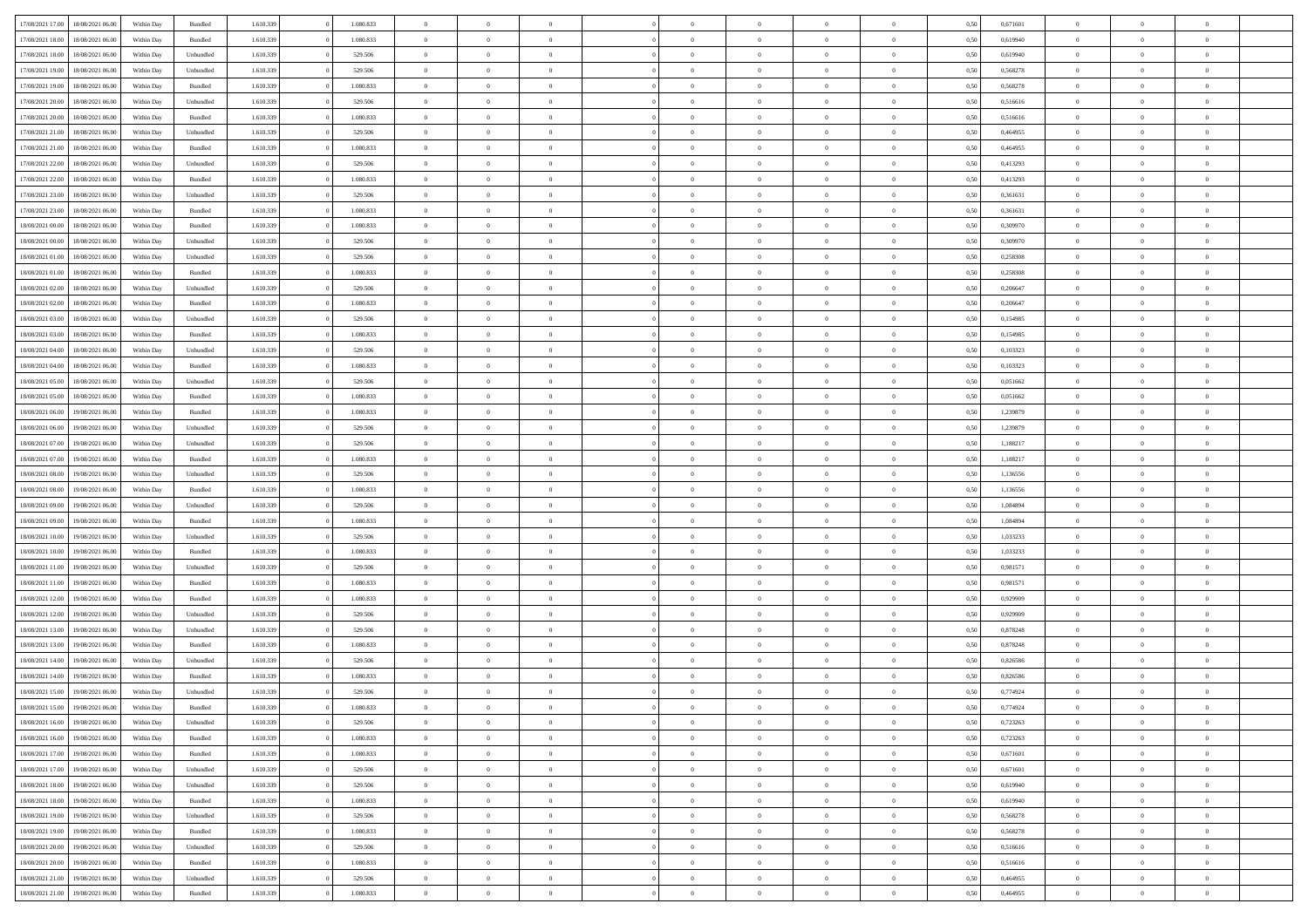| 17/08/2021 17:00 | 18/08/2021 06:00 | Within Day | Bundled            | 1.610.339 | 1.080.833 | $\overline{0}$ | $\theta$       |                | $\Omega$       | $\Omega$       | $\theta$       | $\theta$       | 0,50 | 0,671601 | $\theta$       | $\overline{0}$ | $\theta$       |  |
|------------------|------------------|------------|--------------------|-----------|-----------|----------------|----------------|----------------|----------------|----------------|----------------|----------------|------|----------|----------------|----------------|----------------|--|
|                  |                  |            |                    |           |           |                |                |                |                |                |                |                |      |          |                |                |                |  |
| 17/08/2021 18:00 | 18/08/2021 06:00 | Within Day | Bundled            | 1.610.339 | 1.080.833 | $\overline{0}$ | $\overline{0}$ | $\overline{0}$ | $\overline{0}$ | $\bf{0}$       | $\overline{0}$ | $\bf{0}$       | 0,50 | 0,619940 | $\theta$       | $\overline{0}$ | $\overline{0}$ |  |
| 17/08/2021 18:00 | 18/08/2021 06:00 | Within Day | Unbundled          | 1.610.339 | 529.506   | $\overline{0}$ | $\overline{0}$ | $\overline{0}$ | $\bf{0}$       | $\bf{0}$       | $\bf{0}$       | $\mathbf{0}$   | 0,50 | 0,619940 | $\bf{0}$       | $\overline{0}$ | $\bf{0}$       |  |
| 17/08/2021 19:00 | 18/08/2021 06:00 | Within Day | Unbundled          | 1.610.339 | 529.506   | $\overline{0}$ | $\overline{0}$ | $\overline{0}$ | $\overline{0}$ | $\bf{0}$       | $\overline{0}$ | $\overline{0}$ | 0.50 | 0,568278 | $\theta$       | $\overline{0}$ | $\overline{0}$ |  |
|                  |                  |            |                    |           |           |                |                |                |                |                |                |                |      |          |                |                |                |  |
| 17/08/2021 19:00 | 18/08/2021 06:00 | Within Day | Bundled            | 1.610.339 | 1.080.833 | $\overline{0}$ | $\theta$       | $\overline{0}$ | $\overline{0}$ | $\bf{0}$       | $\overline{0}$ | $\bf{0}$       | 0,50 | 0,568278 | $\,$ 0 $\,$    | $\overline{0}$ | $\overline{0}$ |  |
| 17/08/2021 20:00 | 18/08/2021 06:00 | Within Day | Unbundled          | 1.610.339 | 529.506   | $\overline{0}$ | $\overline{0}$ | $\overline{0}$ | $\bf{0}$       | $\overline{0}$ | $\overline{0}$ | $\mathbf{0}$   | 0,50 | 0,516616 | $\overline{0}$ | $\overline{0}$ | $\bf{0}$       |  |
| 17/08/2021 20:00 | 18/08/2021 06:00 | Within Dav | Bundled            | 1.610.339 | 1.080.833 | $\overline{0}$ | $\overline{0}$ | $\overline{0}$ | $\overline{0}$ | $\overline{0}$ | $\overline{0}$ | $\overline{0}$ | 0.50 | 0.516616 | $\theta$       | $\overline{0}$ | $\overline{0}$ |  |
| 17/08/2021 21:00 | 18/08/2021 06:00 | Within Day | Unbundled          | 1.610.339 | 529.506   | $\overline{0}$ | $\theta$       | $\overline{0}$ | $\overline{0}$ | $\bf{0}$       | $\overline{0}$ | $\bf{0}$       | 0,50 | 0,464955 | $\theta$       | $\theta$       | $\overline{0}$ |  |
| 17/08/2021 21:00 | 18/08/2021 06:00 | Within Day | Bundled            | 1.610.339 | 1.080.833 | $\overline{0}$ | $\overline{0}$ | $\overline{0}$ | $\bf{0}$       | $\bf{0}$       | $\bf{0}$       | $\mathbf{0}$   | 0,50 | 0,464955 | $\,0\,$        | $\overline{0}$ | $\overline{0}$ |  |
|                  |                  |            |                    |           |           |                |                |                |                |                |                |                |      |          |                |                |                |  |
| 17/08/2021 22:00 | 18/08/2021 06:00 | Within Dav | Unbundled          | 1.610.339 | 529.506   | $\overline{0}$ | $\overline{0}$ | $\overline{0}$ | $\overline{0}$ | $\overline{0}$ | $\overline{0}$ | $\overline{0}$ | 0.50 | 0,413293 | $\theta$       | $\overline{0}$ | $\overline{0}$ |  |
| 17/08/2021 22:00 | 18/08/2021 06:00 | Within Day | Bundled            | 1.610.339 | 1.080.833 | $\overline{0}$ | $\theta$       | $\overline{0}$ | $\overline{0}$ | $\bf{0}$       | $\overline{0}$ | $\bf{0}$       | 0,50 | 0,413293 | $\,$ 0 $\,$    | $\overline{0}$ | $\overline{0}$ |  |
| 17/08/2021 23:00 | 18/08/2021 06:00 | Within Day | Unbundled          | 1.610.339 | 529.506   | $\overline{0}$ | $\overline{0}$ | $\overline{0}$ | $\bf{0}$       | $\bf{0}$       | $\bf{0}$       | $\mathbf{0}$   | 0,50 | 0,361631 | $\overline{0}$ | $\overline{0}$ | $\bf{0}$       |  |
| 17/08/2021 23:00 | 18/08/2021 06:00 | Within Dav | Bundled            | 1.610.339 | 1.080.833 | $\overline{0}$ | $\overline{0}$ | $\overline{0}$ | $\overline{0}$ | $\bf{0}$       | $\overline{0}$ | $\overline{0}$ | 0.50 | 0.361631 | $\theta$       | $\theta$       | $\overline{0}$ |  |
| 18/08/2021 00:00 | 18/08/2021 06:00 | Within Day | Bundled            | 1.610.339 | 1.080.833 | $\overline{0}$ | $\theta$       | $\overline{0}$ | $\overline{0}$ | $\bf{0}$       | $\overline{0}$ | $\bf{0}$       | 0,50 | 0,309970 | $\theta$       | $\overline{0}$ | $\overline{0}$ |  |
|                  |                  |            |                    |           |           |                |                |                |                |                |                |                |      |          |                |                |                |  |
| 18/08/2021 00:00 | 18/08/2021 06:00 | Within Day | Unbundled          | 1.610.339 | 529.506   | $\overline{0}$ | $\overline{0}$ | $\overline{0}$ | $\bf{0}$       | $\overline{0}$ | $\overline{0}$ | $\mathbf{0}$   | 0,50 | 0,309970 | $\overline{0}$ | $\overline{0}$ | $\bf{0}$       |  |
| 18/08/2021 01:00 | 18/08/2021 06:00 | Within Dav | Unbundled          | 1.610.339 | 529.506   | $\overline{0}$ | $\overline{0}$ | $\overline{0}$ | $\overline{0}$ | $\overline{0}$ | $\overline{0}$ | $\overline{0}$ | 0.50 | 0,258308 | $\theta$       | $\overline{0}$ | $\overline{0}$ |  |
| 18/08/2021 01:00 | 18/08/2021 06:00 | Within Day | Bundled            | 1.610.339 | 1.080.833 | $\overline{0}$ | $\theta$       | $\overline{0}$ | $\overline{0}$ | $\bf{0}$       | $\overline{0}$ | $\bf{0}$       | 0,50 | 0,258308 | $\,$ 0 $\,$    | $\overline{0}$ | $\overline{0}$ |  |
| 18/08/2021 02:00 | 18/08/2021 06:00 | Within Day | Unbundled          | 1.610.339 | 529.506   | $\overline{0}$ | $\overline{0}$ | $\overline{0}$ | $\bf{0}$       | $\bf{0}$       | $\bf{0}$       | $\mathbf{0}$   | 0,50 | 0,206647 | $\bf{0}$       | $\overline{0}$ | $\bf{0}$       |  |
| 18/08/2021 02:00 | 18/08/2021 06:00 | Within Dav | Bundled            | 1.610.339 | 1.080.833 | $\overline{0}$ | $\overline{0}$ | $\overline{0}$ | $\overline{0}$ | $\overline{0}$ | $\overline{0}$ | $\overline{0}$ | 0.50 | 0.206647 | $\theta$       | $\overline{0}$ | $\overline{0}$ |  |
|                  |                  |            |                    |           |           |                |                |                |                |                |                |                |      |          |                |                |                |  |
| 18/08/2021 03:00 | 18/08/2021 06:00 | Within Day | Unbundled          | 1.610.339 | 529.506   | $\overline{0}$ | $\theta$       | $\overline{0}$ | $\overline{0}$ | $\bf{0}$       | $\overline{0}$ | $\bf{0}$       | 0,50 | 0,154985 | $\,$ 0 $\,$    | $\overline{0}$ | $\overline{0}$ |  |
| 18/08/2021 03:00 | 18/08/2021 06:00 | Within Day | Bundled            | 1.610.339 | 1.080.833 | $\overline{0}$ | $\overline{0}$ | $\overline{0}$ | $\bf{0}$       | $\bf{0}$       | $\bf{0}$       | $\mathbf{0}$   | 0,50 | 0,154985 | $\overline{0}$ | $\overline{0}$ | $\bf{0}$       |  |
| 18/08/2021 04:00 | 18/08/2021 06:00 | Within Day | Unbundled          | 1.610.339 | 529.506   | $\overline{0}$ | $\overline{0}$ | $\overline{0}$ | $\overline{0}$ | $\overline{0}$ | $\overline{0}$ | $\overline{0}$ | 0.50 | 0,103323 | $\theta$       | $\overline{0}$ | $\overline{0}$ |  |
| 18/08/2021 04:00 | 18/08/2021 06:00 | Within Day | Bundled            | 1.610.339 | 1.080.833 | $\overline{0}$ | $\theta$       | $\overline{0}$ | $\overline{0}$ | $\bf{0}$       | $\overline{0}$ | $\bf{0}$       | 0,50 | 0,103323 | $\,$ 0 $\,$    | $\overline{0}$ | $\overline{0}$ |  |
| 18/08/2021 05:00 | 18/08/2021 06:00 | Within Day | Unbundled          | 1.610.339 | 529.506   | $\overline{0}$ | $\overline{0}$ | $\overline{0}$ | $\bf{0}$       | $\overline{0}$ | $\overline{0}$ | $\mathbf{0}$   | 0,50 | 0,051662 | $\overline{0}$ | $\overline{0}$ | $\bf{0}$       |  |
|                  |                  |            |                    |           |           |                |                |                |                |                |                |                |      |          |                |                |                |  |
| 18/08/2021 05:00 | 18/08/2021 06:00 | Within Dav | Bundled            | 1.610.339 | 1.080.833 | $\overline{0}$ | $\overline{0}$ | $\overline{0}$ | $\overline{0}$ | $\overline{0}$ | $\overline{0}$ | $\overline{0}$ | 0.50 | 0,051662 | $\overline{0}$ | $\overline{0}$ | $\overline{0}$ |  |
| 18/08/2021 06:00 | 19/08/2021 06:00 | Within Day | Bundled            | 1.610.339 | 1.080.833 | $\overline{0}$ | $\theta$       | $\overline{0}$ | $\overline{0}$ | $\bf{0}$       | $\overline{0}$ | $\bf{0}$       | 0,50 | 1,239879 | $\,$ 0 $\,$    | $\overline{0}$ | $\overline{0}$ |  |
| 18/08/2021 06:00 | 19/08/2021 06:00 | Within Day | Unbundled          | 1.610.339 | 529.506   | $\overline{0}$ | $\overline{0}$ | $\overline{0}$ | $\bf{0}$       | $\bf{0}$       | $\bf{0}$       | $\bf{0}$       | 0,50 | 1,239879 | $\,0\,$        | $\overline{0}$ | $\bf{0}$       |  |
| 18/08/2021 07:00 | 19/08/2021 06:00 | Within Day | Unbundled          | 1.610.339 | 529.506   | $\overline{0}$ | $\overline{0}$ | $\overline{0}$ | $\overline{0}$ | $\overline{0}$ | $\overline{0}$ | $\overline{0}$ | 0.50 | 1,188217 | $\theta$       | $\overline{0}$ | $\overline{0}$ |  |
| 18/08/2021 07:00 | 19/08/2021 06:00 | Within Day | Bundled            | 1.610.339 | 1.080.833 | $\overline{0}$ | $\overline{0}$ | $\overline{0}$ | $\overline{0}$ | $\bf{0}$       | $\overline{0}$ | $\bf{0}$       | 0,50 | 1,188217 | $\,$ 0 $\,$    | $\overline{0}$ | $\overline{0}$ |  |
| 18/08/2021 08:00 | 19/08/2021 06:00 | Within Day | Unbundled          | 1.610.339 | 529.506   | $\overline{0}$ | $\overline{0}$ | $\overline{0}$ | $\bf{0}$       | $\bf{0}$       | $\bf{0}$       | $\bf{0}$       | 0,50 | 1,136556 | $\overline{0}$ | $\overline{0}$ | $\bf{0}$       |  |
|                  |                  |            |                    |           |           |                | $\Omega$       | $\overline{0}$ | $\Omega$       | $\Omega$       | $\overline{0}$ | $\overline{0}$ |      |          | $\,0\,$        | $\theta$       | $\theta$       |  |
| 18/08/2021 08:00 | 19/08/2021 06:00 | Within Day | Bundled            | 1.610.339 | 1.080.833 | $\overline{0}$ |                |                |                |                |                |                | 0,50 | 1,136556 |                |                |                |  |
| 18/08/2021 09:00 | 19/08/2021 06:00 | Within Day | Unbundled          | 1.610.339 | 529.506   | $\overline{0}$ | $\overline{0}$ | $\overline{0}$ | $\overline{0}$ | $\bf{0}$       | $\overline{0}$ | $\bf{0}$       | 0,50 | 1,084894 | $\,$ 0 $\,$    | $\overline{0}$ | $\overline{0}$ |  |
| 18/08/2021 09:00 | 19/08/2021 06:00 | Within Day | Bundled            | 1.610.339 | 1.080.833 | $\overline{0}$ | $\overline{0}$ | $\overline{0}$ | $\bf{0}$       | $\overline{0}$ | $\overline{0}$ | $\mathbf{0}$   | 0,50 | 1,084894 | $\overline{0}$ | $\overline{0}$ | $\bf{0}$       |  |
| 18/08/2021 10:00 | 19/08/2021 06:00 | Within Day | Unbundled          | 1.610.339 | 529.506   | $\overline{0}$ | $\Omega$       | $\Omega$       | $\Omega$       | $\overline{0}$ | $\overline{0}$ | $\overline{0}$ | 0.50 | 1,033233 | $\,0\,$        | $\theta$       | $\theta$       |  |
| 18/08/2021 10:00 | 19/08/2021 06:00 | Within Day | Bundled            | 1.610.339 | 1.080.833 | $\overline{0}$ | $\theta$       | $\overline{0}$ | $\overline{0}$ | $\bf{0}$       | $\overline{0}$ | $\bf{0}$       | 0,50 | 1,033233 | $\,$ 0 $\,$    | $\overline{0}$ | $\overline{0}$ |  |
| 18/08/2021 11:00 | 19/08/2021 06:00 | Within Day | Unbundled          | 1.610.339 | 529.506   | $\overline{0}$ | $\overline{0}$ | $\overline{0}$ | $\bf{0}$       | $\bf{0}$       | $\bf{0}$       | $\mathbf{0}$   | 0,50 | 0,981571 | $\bf{0}$       | $\overline{0}$ | $\bf{0}$       |  |
|                  |                  |            |                    |           |           |                |                |                |                |                |                |                |      |          |                |                |                |  |
| 18/08/2021 11:00 | 19/08/2021 06:00 | Within Day | Bundled            | 1.610.339 | 1.080.833 | $\overline{0}$ | $\Omega$       | $\overline{0}$ | $\Omega$       | $\overline{0}$ | $\overline{0}$ | $\overline{0}$ | 0.50 | 0.981571 | $\,$ 0 $\,$    | $\theta$       | $\theta$       |  |
| 18/08/2021 12:00 | 19/08/2021 06:00 | Within Day | Bundled            | 1.610.339 | 1.080.833 | $\overline{0}$ | $\overline{0}$ | $\overline{0}$ | $\overline{0}$ | $\,$ 0         | $\overline{0}$ | $\bf{0}$       | 0,50 | 0,929909 | $\,$ 0 $\,$    | $\overline{0}$ | $\overline{0}$ |  |
| 18/08/2021 12:00 | 19/08/2021 06:00 | Within Day | Unbundled          | 1.610.339 | 529.506   | $\overline{0}$ | $\overline{0}$ | $\overline{0}$ | $\bf{0}$       | $\bf{0}$       | $\bf{0}$       | $\mathbf{0}$   | 0,50 | 0,929909 | $\overline{0}$ | $\overline{0}$ | $\bf{0}$       |  |
| 18/08/2021 13:00 | 19/08/2021 06:00 | Within Day | Unbundled          | 1.610.339 | 529.506   | $\overline{0}$ | $\Omega$       | $\overline{0}$ | $\Omega$       | $\overline{0}$ | $\overline{0}$ | $\overline{0}$ | 0,50 | 0,878248 | $\,0\,$        | $\theta$       | $\theta$       |  |
| 18/08/2021 13:00 | 19/08/2021 06:00 | Within Day | Bundled            | 1.610.339 | 1.080.833 | $\overline{0}$ | $\overline{0}$ | $\overline{0}$ | $\overline{0}$ | $\,$ 0         | $\overline{0}$ | $\bf{0}$       | 0,50 | 0,878248 | $\,$ 0 $\,$    | $\overline{0}$ | $\overline{0}$ |  |
| 18/08/2021 14:00 | 19/08/2021 06:00 | Within Day | Unbundled          | 1.610.339 | 529.506   | $\overline{0}$ | $\overline{0}$ | $\overline{0}$ | $\bf{0}$       | $\bf{0}$       | $\overline{0}$ | $\mathbf{0}$   | 0,50 | 0,826586 | $\overline{0}$ | $\overline{0}$ | $\bf{0}$       |  |
|                  |                  |            |                    |           |           |                |                |                |                |                |                |                |      |          |                |                |                |  |
| 18/08/2021 14:00 | 19/08/2021 06:00 | Within Day | Bundled            | 1.610.339 | 1.080.833 | $\overline{0}$ | $\Omega$       | $\Omega$       | $\Omega$       | $\Omega$       | $\Omega$       | $\overline{0}$ | 0.50 | 0.826586 | $\theta$       | $\theta$       | $\theta$       |  |
| 18/08/2021 15:00 | 19/08/2021 06:00 | Within Day | Unbundled          | 1.610.339 | 529.506   | $\overline{0}$ | $\overline{0}$ | $\bf{0}$       | $\bf{0}$       | $\,$ 0         | $\bf{0}$       | $\bf{0}$       | 0,50 | 0,774924 | $\,0\,$        | $\,$ 0 $\,$    | $\overline{0}$ |  |
| 18/08/2021 15:00 | 19/08/2021 06:00 | Within Day | $\mathbf B$ undled | 1.610.339 | 1.080.833 | $\overline{0}$ | $\bf{0}$       |                |                | $\bf{0}$       |                |                | 0,50 | 0,774924 | $\bf{0}$       | $\overline{0}$ |                |  |
| 18/08/2021 16:00 | 19/08/2021 06:00 | Within Day | Unbundled          | 1.610.339 | 529.506   | $\overline{0}$ | $\overline{0}$ | $\overline{0}$ | $\Omega$       | $\overline{0}$ | $\overline{0}$ | $\overline{0}$ | 0,50 | 0,723263 | $\theta$       | $\theta$       | $\theta$       |  |
| 18/08/2021 16:00 | 19/08/2021 06:00 | Within Day | Bundled            | 1.610.339 | 1.080.833 | $\overline{0}$ | $\bf{0}$       | $\overline{0}$ | $\bf{0}$       | $\,$ 0 $\,$    | $\overline{0}$ | $\,$ 0 $\,$    | 0,50 | 0,723263 | $\,$ 0 $\,$    | $\,$ 0 $\,$    | $\,$ 0         |  |
| 18/08/2021 17:00 | 19/08/2021 06:00 | Within Day | Bundled            | 1.610.339 | 1.080.833 | $\overline{0}$ | $\overline{0}$ | $\overline{0}$ | $\overline{0}$ | $\overline{0}$ | $\overline{0}$ | $\mathbf{0}$   | 0,50 | 0,671601 | $\overline{0}$ | $\bf{0}$       | $\bf{0}$       |  |
|                  |                  |            |                    |           |           |                |                |                |                |                |                |                |      |          |                |                |                |  |
| 18/08/2021 17:00 | 19/08/2021 06:00 | Within Day | Unbundled          | 1.610.339 | 529.506   | $\overline{0}$ | $\overline{0}$ | $\overline{0}$ | $\Omega$       | $\overline{0}$ | $\overline{0}$ | $\overline{0}$ | 0,50 | 0,671601 | $\overline{0}$ | $\theta$       | $\overline{0}$ |  |
| 18/08/2021 18:00 | 19/08/2021 06:00 | Within Day | Unbundled          | 1.610.339 | 529.506   | $\overline{0}$ | $\,$ 0         | $\overline{0}$ | $\bf{0}$       | $\,$ 0 $\,$    | $\overline{0}$ | $\mathbf{0}$   | 0,50 | 0,619940 | $\,$ 0 $\,$    | $\overline{0}$ | $\overline{0}$ |  |
| 18/08/2021 18:00 | 19/08/2021 06:00 | Within Day | Bundled            | 1.610.339 | 1.080.833 | $\overline{0}$ | $\overline{0}$ | $\overline{0}$ | $\overline{0}$ | $\overline{0}$ | $\overline{0}$ | $\mathbf{0}$   | 0,50 | 0,619940 | $\overline{0}$ | $\overline{0}$ | $\bf{0}$       |  |
| 18/08/2021 19:00 | 19/08/2021 06:00 | Within Day | Unbundled          | 1.610.339 | 529.506   | $\overline{0}$ | $\overline{0}$ | $\overline{0}$ | $\overline{0}$ | $\overline{0}$ | $\overline{0}$ | $\bf{0}$       | 0.50 | 0,568278 | $\overline{0}$ | $\theta$       | $\overline{0}$ |  |
| 18/08/2021 19:00 | 19/08/2021 06:00 | Within Day | Bundled            | 1.610.339 | 1.080.833 | $\overline{0}$ | $\,$ 0         | $\overline{0}$ | $\bf{0}$       | $\bf{0}$       | $\bf{0}$       | $\bf{0}$       | 0,50 | 0,568278 | $\,$ 0 $\,$    | $\overline{0}$ | $\overline{0}$ |  |
|                  |                  |            |                    |           |           |                |                |                |                |                |                |                |      |          |                |                |                |  |
| 18/08/2021 20:00 | 19/08/2021 06:00 | Within Day | Unbundled          | 1.610.339 | 529.506   | $\overline{0}$ | $\bf{0}$       | $\overline{0}$ | $\overline{0}$ | $\overline{0}$ | $\overline{0}$ | $\mathbf{0}$   | 0,50 | 0,516616 | $\overline{0}$ | $\overline{0}$ | $\bf{0}$       |  |
| 18/08/2021 20:00 | 19/08/2021 06:00 | Within Day | Bundled            | 1.610.339 | 1.080.833 | $\overline{0}$ | $\overline{0}$ | $\overline{0}$ | $\Omega$       | $\overline{0}$ | $\overline{0}$ | $\overline{0}$ | 0.50 | 0,516616 | $\overline{0}$ | $\overline{0}$ | $\overline{0}$ |  |
| 18/08/2021 21:00 | 19/08/2021 06:00 | Within Day | Unbundled          | 1.610.339 | 529.506   | $\overline{0}$ | $\bf{0}$       | $\overline{0}$ | $\bf{0}$       | $\bf{0}$       | $\bf{0}$       | $\mathbf{0}$   | 0,50 | 0,464955 | $\,$ 0 $\,$    | $\,$ 0 $\,$    | $\bf{0}$       |  |
| 18/08/2021 21:00 | 19/08/2021 06:00 | Within Day | Bundled            | 1.610.339 | 1.080.833 | $\overline{0}$ | $\overline{0}$ | $\overline{0}$ | $\overline{0}$ | $\overline{0}$ | $\bf{0}$       | $\mathbf{0}$   | 0,50 | 0,464955 | $\overline{0}$ | $\bf{0}$       | $\overline{0}$ |  |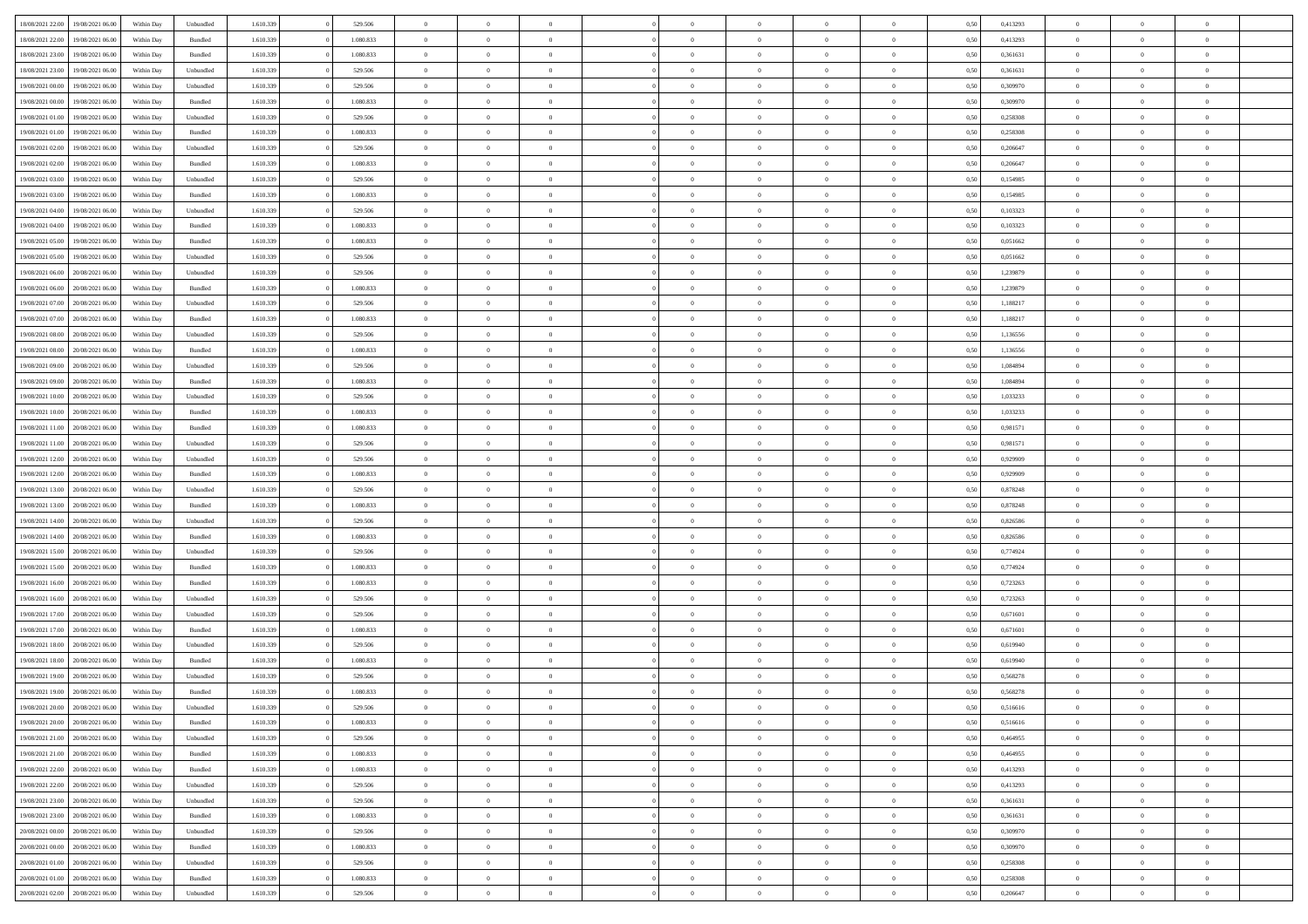| 18/08/2021 22:00<br>19/08/2021 06:00 | Within Day | Unbundled          | 1.610.339 | 529.506   | $\overline{0}$ | $\overline{0}$ | $\Omega$       | $\Omega$       | $\Omega$       |                | $\overline{0}$ | 0,50 | 0,413293 | $\mathbf{0}$   | $\Omega$       | $\Omega$       |  |
|--------------------------------------|------------|--------------------|-----------|-----------|----------------|----------------|----------------|----------------|----------------|----------------|----------------|------|----------|----------------|----------------|----------------|--|
| 18/08/2021 22:00<br>19/08/2021 06:00 | Within Day | $\mathbf B$ undled | 1.610.339 | 1.080.833 | $\bf{0}$       | $\overline{0}$ | $\overline{0}$ | $\theta$       | $\overline{0}$ | $\overline{0}$ | $\,$ 0         | 0,50 | 0,413293 | $\theta$       | $\theta$       | $\bf{0}$       |  |
| 18/08/2021 23:00<br>19/08/2021 06:00 | Within Day | Bundled            | 1.610.339 | 1.080.833 | $\overline{0}$ | $\overline{0}$ | $\overline{0}$ | $\bf{0}$       | $\bf{0}$       | $\overline{0}$ | $\mathbf{0}$   | 0,50 | 0,361631 | $\bf{0}$       | $\bf{0}$       | $\overline{0}$ |  |
| 18/08/2021 23:00<br>19/08/2021 06:00 | Within Day | Unbundled          | 1.610.339 | 529,506   | $\overline{0}$ | $\overline{0}$ | $\overline{0}$ | $\overline{0}$ | $\overline{0}$ | $\overline{0}$ | $\overline{0}$ | 0.50 | 0.361631 | $\mathbf{0}$   | $\overline{0}$ | $\bf{0}$       |  |
|                                      |            |                    |           |           |                |                |                |                |                |                |                |      |          |                |                |                |  |
| 19/08/2021 00:00<br>19/08/2021 06:00 | Within Day | Unbundled          | 1.610.339 | 529.506   | $\bf{0}$       | $\overline{0}$ | $\overline{0}$ | $\theta$       | $\overline{0}$ | $\overline{0}$ | $\bf{0}$       | 0,50 | 0,309970 | $\theta$       | $\theta$       | $\bf{0}$       |  |
| 19/08/2021 00:00<br>19/08/2021 06:00 | Within Day | Bundled            | 1.610.339 | 1.080.833 | $\overline{0}$ | $\overline{0}$ | $\overline{0}$ | $\bf{0}$       | $\overline{0}$ | $\overline{0}$ | $\overline{0}$ | 0,50 | 0,309970 | $\overline{0}$ | $\overline{0}$ | $\overline{0}$ |  |
| 19/08/2021 01:00<br>19/08/2021 06:00 | Within Day | Unbundled          | 1.610.339 | 529,506   | $\overline{0}$ | $\overline{0}$ | $\overline{0}$ | $\overline{0}$ | $\overline{0}$ | $\overline{0}$ | $\overline{0}$ | 0.50 | 0.258308 | $\mathbf{0}$   | $\overline{0}$ | $\overline{0}$ |  |
| 19/08/2021 01:00<br>19/08/2021 06:00 | Within Day | Bundled            | 1.610.339 | 1.080.833 | $\bf{0}$       | $\overline{0}$ | $\overline{0}$ | $\overline{0}$ | $\overline{0}$ | $\overline{0}$ | $\bf{0}$       | 0,50 | 0,258308 | $\theta$       | $\theta$       | $\bf{0}$       |  |
|                                      |            |                    |           |           |                |                |                |                |                |                |                |      |          |                |                |                |  |
| 19/08/2021 02:00<br>19/08/2021 06:00 | Within Day | Unbundled          | 1.610.339 | 529.506   | $\overline{0}$ | $\overline{0}$ | $\overline{0}$ | $\bf{0}$       | $\bf{0}$       | $\overline{0}$ | $\mathbf{0}$   | 0,50 | 0,206647 | $\bf{0}$       | $\bf{0}$       | $\bf{0}$       |  |
| 19/08/2021 02:00<br>19/08/2021 06:00 | Within Day | Bundled            | 1.610.339 | 1.080.833 | $\overline{0}$ | $\overline{0}$ | $\overline{0}$ | $\overline{0}$ | $\overline{0}$ | $\overline{0}$ | $\overline{0}$ | 0.50 | 0.206647 | $\overline{0}$ | $\overline{0}$ | $\overline{0}$ |  |
| 19/08/2021 03:00<br>19/08/2021 06:00 | Within Day | Unbundled          | 1.610.339 | 529.506   | $\bf{0}$       | $\overline{0}$ | $\overline{0}$ | $\overline{0}$ | $\overline{0}$ | $\overline{0}$ | $\,$ 0         | 0,50 | 0,154985 | $\theta$       | $\theta$       | $\bf{0}$       |  |
| 19/08/2021 03:00<br>19/08/2021 06:00 | Within Day | Bundled            | 1.610.339 | 1.080.833 | $\overline{0}$ | $\overline{0}$ | $\overline{0}$ | $\bf{0}$       | $\bf{0}$       | $\overline{0}$ | $\mathbf{0}$   | 0,50 | 0,154985 | $\bf{0}$       | $\bf{0}$       | $\bf{0}$       |  |
| 19/08/2021 06:00                     |            | Unbundled          | 1.610.339 | 529,506   | $\overline{0}$ | $\overline{0}$ |                | $\overline{0}$ | $\overline{0}$ |                | $\overline{0}$ | 0.50 | 0.103323 | $\overline{0}$ | $\overline{0}$ | $\bf{0}$       |  |
| 19/08/2021 04:00                     | Within Day |                    |           |           |                |                | $\overline{0}$ |                |                | $\overline{0}$ |                |      |          |                |                |                |  |
| 19/08/2021 04:00<br>19/08/2021 06:00 | Within Day | Bundled            | 1.610.339 | 1.080.833 | $\bf{0}$       | $\overline{0}$ | $\overline{0}$ | $\theta$       | $\overline{0}$ | $\overline{0}$ | $\,$ 0         | 0,50 | 0,103323 | $\theta$       | $\theta$       | $\bf{0}$       |  |
| 19/08/2021 05:00<br>19/08/2021 06:00 | Within Day | Bundled            | 1.610.339 | 1.080.833 | $\overline{0}$ | $\overline{0}$ | $\overline{0}$ | $\bf{0}$       | $\overline{0}$ | $\overline{0}$ | $\overline{0}$ | 0,50 | 0,051662 | $\overline{0}$ | $\overline{0}$ | $\overline{0}$ |  |
| 19/08/2021 05:00<br>19/08/2021 06:00 | Within Day | Unbundled          | 1.610.339 | 529,506   | $\overline{0}$ | $\overline{0}$ | $\overline{0}$ | $\overline{0}$ | $\overline{0}$ | $\overline{0}$ | $\overline{0}$ | 0.50 | 0.051662 | $\overline{0}$ | $\overline{0}$ | $\overline{0}$ |  |
| 19/08/2021 06:00<br>20/08/2021 06:00 | Within Day | Unbundled          | 1.610.339 | 529.506   | $\bf{0}$       | $\overline{0}$ | $\overline{0}$ | $\overline{0}$ | $\overline{0}$ | $\overline{0}$ | $\bf{0}$       | 0,50 | 1,239879 | $\theta$       | $\theta$       | $\bf{0}$       |  |
|                                      |            |                    |           |           |                |                |                |                |                |                |                |      |          |                |                |                |  |
| 19/08/2021 06:00<br>20/08/2021 06:00 | Within Day | Bundled            | 1.610.339 | 1.080.833 | $\overline{0}$ | $\overline{0}$ | $\bf{0}$       | $\bf{0}$       | $\bf{0}$       | $\overline{0}$ | $\mathbf{0}$   | 0,50 | 1,239879 | $\bf{0}$       | $\bf{0}$       | $\bf{0}$       |  |
| 19/08/2021 07:00<br>20/08/2021 06:00 | Within Day | Unbundled          | 1.610.339 | 529.506   | $\overline{0}$ | $\overline{0}$ | $\overline{0}$ | $\overline{0}$ | $\overline{0}$ | $\overline{0}$ | $\overline{0}$ | 0.50 | 1,188217 | $\overline{0}$ | $\overline{0}$ | $\overline{0}$ |  |
| 19/08/2021 07:00<br>20/08/2021 06:00 | Within Day | Bundled            | 1.610.339 | 1.080.833 | $\bf{0}$       | $\overline{0}$ | $\overline{0}$ | $\overline{0}$ | $\overline{0}$ | $\overline{0}$ | $\,$ 0         | 0,50 | 1,188217 | $\theta$       | $\theta$       | $\bf{0}$       |  |
| 19/08/2021 08:00<br>20/08/2021 06:00 | Within Day | Unbundled          | 1.610.339 | 529.506   | $\overline{0}$ | $\overline{0}$ | $\overline{0}$ | $\bf{0}$       | $\bf{0}$       | $\overline{0}$ | $\mathbf{0}$   | 0,50 | 1,136556 | $\bf{0}$       | $\bf{0}$       | $\bf{0}$       |  |
| 19/08/2021 08:00<br>20/08/2021 06:00 | Within Day | Bundled            | 1.610.339 | 1.080.833 | $\overline{0}$ | $\overline{0}$ | $\overline{0}$ | $\overline{0}$ | $\overline{0}$ | $\overline{0}$ | $\overline{0}$ | 0.50 | 1.136556 | $\overline{0}$ | $\overline{0}$ | $\bf{0}$       |  |
|                                      |            |                    |           |           |                |                |                |                |                |                |                |      |          |                |                |                |  |
| 19/08/2021 09:00<br>20/08/2021 06:00 | Within Day | Unbundled          | 1.610.339 | 529.506   | $\bf{0}$       | $\overline{0}$ | $\overline{0}$ | $\overline{0}$ | $\overline{0}$ | $\overline{0}$ | $\,$ 0         | 0,50 | 1,084894 | $\mathbf{0}$   | $\theta$       | $\bf{0}$       |  |
| 19/08/2021 09:00<br>20/08/2021 06:00 | Within Day | Bundled            | 1.610.339 | 1.080.833 | $\overline{0}$ | $\overline{0}$ | $\overline{0}$ | $\bf{0}$       | $\overline{0}$ | $\overline{0}$ | $\overline{0}$ | 0,50 | 1,084894 | $\overline{0}$ | $\overline{0}$ | $\overline{0}$ |  |
| 19/08/2021 10:00<br>20/08/2021 06:00 | Within Day | Unbundled          | 1.610.339 | 529,506   | $\overline{0}$ | $\overline{0}$ | $\overline{0}$ | $\overline{0}$ | $\overline{0}$ | $\overline{0}$ | $\overline{0}$ | 0.50 | 1,033233 | $\overline{0}$ | $\overline{0}$ | $\overline{0}$ |  |
| 19/08/2021 10:00<br>20/08/2021 06:00 | Within Day | Bundled            | 1.610.339 | 1.080.833 | $\bf{0}$       | $\overline{0}$ | $\bf{0}$       | $\overline{0}$ | $\overline{0}$ | $\overline{0}$ | $\bf{0}$       | 0,50 | 1,033233 | $\theta$       | $\theta$       | $\bf{0}$       |  |
| 20/08/2021 06:00                     | Within Day | Bundled            | 1.610.339 | 1.080.833 | $\overline{0}$ | $\overline{0}$ | $\overline{0}$ | $\bf{0}$       | $\bf{0}$       | $\overline{0}$ | $\mathbf{0}$   | 0,50 | 0,981571 | $\bf{0}$       | $\bf{0}$       | $\bf{0}$       |  |
| 19/08/2021 11:00                     |            |                    |           |           |                |                |                |                |                |                |                |      |          |                |                |                |  |
| 19/08/2021 11:00<br>20/08/2021 06:00 | Within Day | Unbundled          | 1.610.339 | 529,506   | $\overline{0}$ | $\overline{0}$ | $\overline{0}$ | $\overline{0}$ | $\overline{0}$ | $\overline{0}$ | $\overline{0}$ | 0.50 | 0,981571 | $\overline{0}$ | $\overline{0}$ | $\overline{0}$ |  |
| 19/08/2021 12:00<br>20/08/2021 06:00 | Within Day | Unbundled          | 1.610.339 | 529.506   | $\bf{0}$       | $\overline{0}$ | $\overline{0}$ | $\overline{0}$ | $\overline{0}$ | $\overline{0}$ | $\,$ 0         | 0,50 | 0,929909 | $\theta$       | $\theta$       | $\bf{0}$       |  |
| 19/08/2021 12:00<br>20/08/2021 06:00 | Within Day | Bundled            | 1.610.339 | 1.080.833 | $\overline{0}$ | $\overline{0}$ | $\overline{0}$ | $\bf{0}$       | $\bf{0}$       | $\overline{0}$ | $\mathbf{0}$   | 0,50 | 0,929909 | $\overline{0}$ | $\bf{0}$       | $\bf{0}$       |  |
| 19/08/2021 13:00<br>20/08/2021 06:00 | Within Day | Unbundled          | 1.610.339 | 529.506   | $\overline{0}$ | $\overline{0}$ | $\overline{0}$ | $\overline{0}$ | $\overline{0}$ | $\Omega$       | $\overline{0}$ | 0,50 | 0,878248 | $\bf{0}$       | $\Omega$       | $\Omega$       |  |
| 19/08/2021 13:00<br>20/08/2021 06:00 | Within Day | Bundled            | 1.610.339 | 1.080.833 | $\bf{0}$       | $\overline{0}$ | $\overline{0}$ | $\overline{0}$ | $\overline{0}$ | $\overline{0}$ | $\,$ 0         | 0,50 | 0,878248 | $\theta$       | $\theta$       | $\bf{0}$       |  |
|                                      |            |                    |           |           |                |                |                |                |                |                |                |      |          |                |                |                |  |
| 19/08/2021 14:00<br>20/08/2021 06:00 | Within Day | Unbundled          | 1.610.339 | 529.506   | $\overline{0}$ | $\overline{0}$ | $\overline{0}$ | $\bf{0}$       | $\overline{0}$ | $\overline{0}$ | $\overline{0}$ | 0,50 | 0,826586 | $\overline{0}$ | $\overline{0}$ | $\overline{0}$ |  |
| 19/08/2021 14:00<br>20/08/2021 06:00 | Within Day | Bundled            | 1.610.339 | 1.080.833 | $\overline{0}$ | $\overline{0}$ | $\overline{0}$ | $\overline{0}$ | $\overline{0}$ | $\Omega$       | $\overline{0}$ | 0.50 | 0,826586 | $\overline{0}$ | $\Omega$       | $\Omega$       |  |
| 19/08/2021 15:00<br>20/08/2021 06:00 | Within Day | Unbundled          | 1.610.339 | 529.506   | $\bf{0}$       | $\overline{0}$ | $\bf{0}$       | $\overline{0}$ | $\overline{0}$ | $\overline{0}$ | $\bf{0}$       | 0,50 | 0,774924 | $\theta$       | $\theta$       | $\bf{0}$       |  |
| 19/08/2021 15:00<br>20/08/2021 06:00 | Within Day | Bundled            | 1.610.339 | 1.080.833 | $\overline{0}$ | $\overline{0}$ | $\bf{0}$       | $\bf{0}$       | $\bf{0}$       | $\overline{0}$ | $\mathbf{0}$   | 0,50 | 0,774924 | $\bf{0}$       | $\bf{0}$       | $\bf{0}$       |  |
|                                      |            |                    |           |           | $\overline{0}$ | $\overline{0}$ | $\overline{0}$ | $\overline{0}$ | $\overline{0}$ | $\Omega$       | $\theta$       | 0.50 |          | $\overline{0}$ | $\Omega$       | $\theta$       |  |
| 19/08/2021 16:00<br>20/08/2021 06:00 | Within Day | Bundled            | 1.610.339 | 1.080.833 |                |                |                |                |                |                |                |      | 0,723263 |                |                |                |  |
| 19/08/2021 16:00<br>20/08/2021 06:00 | Within Day | Unbundled          | 1.610.339 | 529.506   | $\bf{0}$       | $\overline{0}$ | $\bf{0}$       | $\overline{0}$ | $\overline{0}$ | $\overline{0}$ | $\,$ 0         | 0,50 | 0,723263 | $\,$ 0 $\,$    | $\theta$       | $\bf{0}$       |  |
| 19/08/2021 17:00<br>20/08/2021 06:00 | Within Day | Unbundled          | 1.610.339 | 529.506   | $\overline{0}$ | $\overline{0}$ | $\overline{0}$ | $\bf{0}$       | $\bf{0}$       | $\overline{0}$ | $\mathbf{0}$   | 0,50 | 0,671601 | $\overline{0}$ | $\bf{0}$       | $\bf{0}$       |  |
| 19/08/2021 17:00<br>20/08/2021 06:00 | Within Day | Bundled            | 1.610.339 | 1.080.833 | $\overline{0}$ | $\overline{0}$ | $\overline{0}$ | $\overline{0}$ | $\bf{0}$       | $\Omega$       | $\overline{0}$ | 0,50 | 0,671601 | $\overline{0}$ | $\Omega$       | $\Omega$       |  |
| 19/08/2021 18:00<br>20/08/2021 06:00 | Within Day | Unbundled          | 1.610.339 | 529.506   | $\bf{0}$       | $\overline{0}$ | $\bf{0}$       | $\overline{0}$ | $\overline{0}$ | $\overline{0}$ | $\,$ 0         | 0,50 | 0,619940 | $\bf{0}$       | $\theta$       | $\bf{0}$       |  |
| 19/08/2021 18:00<br>20/08/2021 06:00 | Within Day | Bundled            | 1.610.339 | 1.080.833 | $\overline{0}$ | $\overline{0}$ | $\overline{0}$ | $\bf{0}$       | $\overline{0}$ | $\overline{0}$ | $\overline{0}$ | 0,50 | 0,619940 | $\bf{0}$       | $\overline{0}$ | $\overline{0}$ |  |
|                                      |            |                    |           |           |                |                |                |                |                |                |                |      |          |                |                |                |  |
| 19/08/2021 19:00<br>20/08/2021 06:00 | Within Day | Unbundled          | 1.610.339 | 529.506   | $\overline{0}$ | $\overline{0}$ | $\Omega$       | $\overline{0}$ | $\bf{0}$       | $\Omega$       | $\overline{0}$ | 0.50 | 0.568278 | $\overline{0}$ | $\Omega$       | $\Omega$       |  |
| 19/08/2021 19:00 20/08/2021 06:00    | Within Day | Bundled            | 1.610.339 | 1.080.833 | $\bf{0}$       | $\overline{0}$ | $\bf{0}$       | $\bf{0}$       | $\bf{0}$       | $\overline{0}$ | $\bf{0}$       | 0,50 | 0,568278 | $\bf{0}$       | $\,$ 0         | $\bf{0}$       |  |
| 19/08/2021 20:00 20/08/2021 06:00    | Within Day | Unbundled          | 1.610.339 | 529.506   | $\bf{0}$       | $\bf{0}$       |                |                |                |                |                | 0,50 | 0,516616 | $\bf{0}$       | $\bf{0}$       |                |  |
| 19/08/2021 20:00 20/08/2021 06:00    | Within Day | Bundled            | 1.610.339 | 1.080.833 | $\overline{0}$ | $\overline{0}$ | $\theta$       | $\overline{0}$ | $\overline{0}$ | $\overline{0}$ | $\mathbf{0}$   | 0,50 | 0.516616 | $\overline{0}$ | $\overline{0}$ | $\theta$       |  |
| 19/08/2021 21:00<br>20/08/2021 06:00 | Within Day | Unbundled          | 1.610.339 | 529.506   | $\overline{0}$ | $\overline{0}$ | $\overline{0}$ | $\bf{0}$       | $\overline{0}$ | $\overline{0}$ | $\mathbf{0}$   | 0,50 | 0,464955 | $\,$ 0 $\,$    | $\overline{0}$ | $\,$ 0 $\,$    |  |
|                                      |            |                    |           |           |                |                |                |                |                |                |                |      |          |                |                |                |  |
| 19/08/2021 21:00 20/08/2021 06:00    | Within Day | Bundled            | 1.610.339 | 1.080.833 | $\overline{0}$ | $\overline{0}$ | $\overline{0}$ | $\bf{0}$       | $\overline{0}$ | $\overline{0}$ | $\overline{0}$ | 0,50 | 0,464955 | $\overline{0}$ | $\overline{0}$ | $\overline{0}$ |  |
| 19/08/2021 22:00<br>20/08/2021 06:00 | Within Day | Bundled            | 1.610.339 | 1.080.833 | $\overline{0}$ | $\overline{0}$ | $\overline{0}$ | $\overline{0}$ | $\bf{0}$       | $\overline{0}$ | $\overline{0}$ | 0,50 | 0,413293 | $\overline{0}$ | $\overline{0}$ | $\overline{0}$ |  |
| 19/08/2021 22:00<br>20/08/2021 06:00 | Within Day | Unbundled          | 1.610.339 | 529.506   | $\overline{0}$ | $\overline{0}$ | $\overline{0}$ | $\overline{0}$ | $\overline{0}$ | $\overline{0}$ | $\,$ 0 $\,$    | 0,50 | 0,413293 | $\,$ 0 $\,$    | $\theta$       | $\bf{0}$       |  |
| 19/08/2021 23:00<br>20/08/2021 06:00 | Within Day | Unbundled          | 1.610.339 | 529.506   | $\overline{0}$ | $\overline{0}$ | $\overline{0}$ | $\bf{0}$       | $\overline{0}$ | $\overline{0}$ | $\overline{0}$ | 0,50 | 0,361631 | $\overline{0}$ | $\overline{0}$ | $\overline{0}$ |  |
|                                      |            |                    |           |           | $\overline{0}$ |                | $\overline{0}$ | $\overline{0}$ | $\overline{0}$ |                |                | 0.50 | 0.361631 | $\overline{0}$ | $\overline{0}$ | $\overline{0}$ |  |
| 19/08/2021 23:00<br>20/08/2021 06:00 | Within Day | Bundled            | 1.610.339 | 1.080.833 |                | $\overline{0}$ |                |                |                | $\overline{0}$ | $\overline{0}$ |      |          |                |                |                |  |
| 20/08/2021 00:00<br>20/08/2021 06:00 | Within Day | Unbundled          | 1.610.339 | 529.506   | $\overline{0}$ | $\overline{0}$ | $\overline{0}$ | $\bf{0}$       | $\bf{0}$       | $\overline{0}$ | $\,$ 0 $\,$    | 0,50 | 0,309970 | $\,$ 0 $\,$    | $\theta$       | $\,$ 0         |  |
| 20/08/2021 00:00<br>20/08/2021 06:00 | Within Day | Bundled            | 1.610.339 | 1.080.833 | $\overline{0}$ | $\overline{0}$ | $\overline{0}$ | $\bf{0}$       | $\overline{0}$ | $\overline{0}$ | $\overline{0}$ | 0,50 | 0,309970 | $\bf{0}$       | $\bf{0}$       | $\overline{0}$ |  |
| 20/08/2021 01:00<br>20/08/2021 06:00 | Within Day | Unbundled          | 1.610.339 | 529.506   | $\overline{0}$ | $\overline{0}$ | $\overline{0}$ | $\overline{0}$ | $\overline{0}$ | $\overline{0}$ | $\overline{0}$ | 0.50 | 0,258308 | $\overline{0}$ | $\overline{0}$ | $\overline{0}$ |  |
| 20/08/2021 01:00<br>20/08/2021 06:00 | Within Day | Bundled            | 1.610.339 | 1.080.833 | $\overline{0}$ | $\overline{0}$ | $\overline{0}$ | $\bf{0}$       | $\bf{0}$       | $\bf{0}$       | $\,$ 0 $\,$    | 0,50 | 0,258308 | $\,$ 0 $\,$    | $\,0\,$        | $\,$ 0         |  |
|                                      |            |                    |           |           |                |                |                |                |                |                |                |      |          |                |                |                |  |
| 20/08/2021 02:00 20/08/2021 06:00    | Within Day | Unbundled          | 1.610.339 | 529.506   | $\overline{0}$ | $\overline{0}$ | $\overline{0}$ | $\bf{0}$       | $\overline{0}$ | $\overline{0}$ | $\overline{0}$ | 0,50 | 0,206647 | $\bf{0}$       | $\bf{0}$       | $\overline{0}$ |  |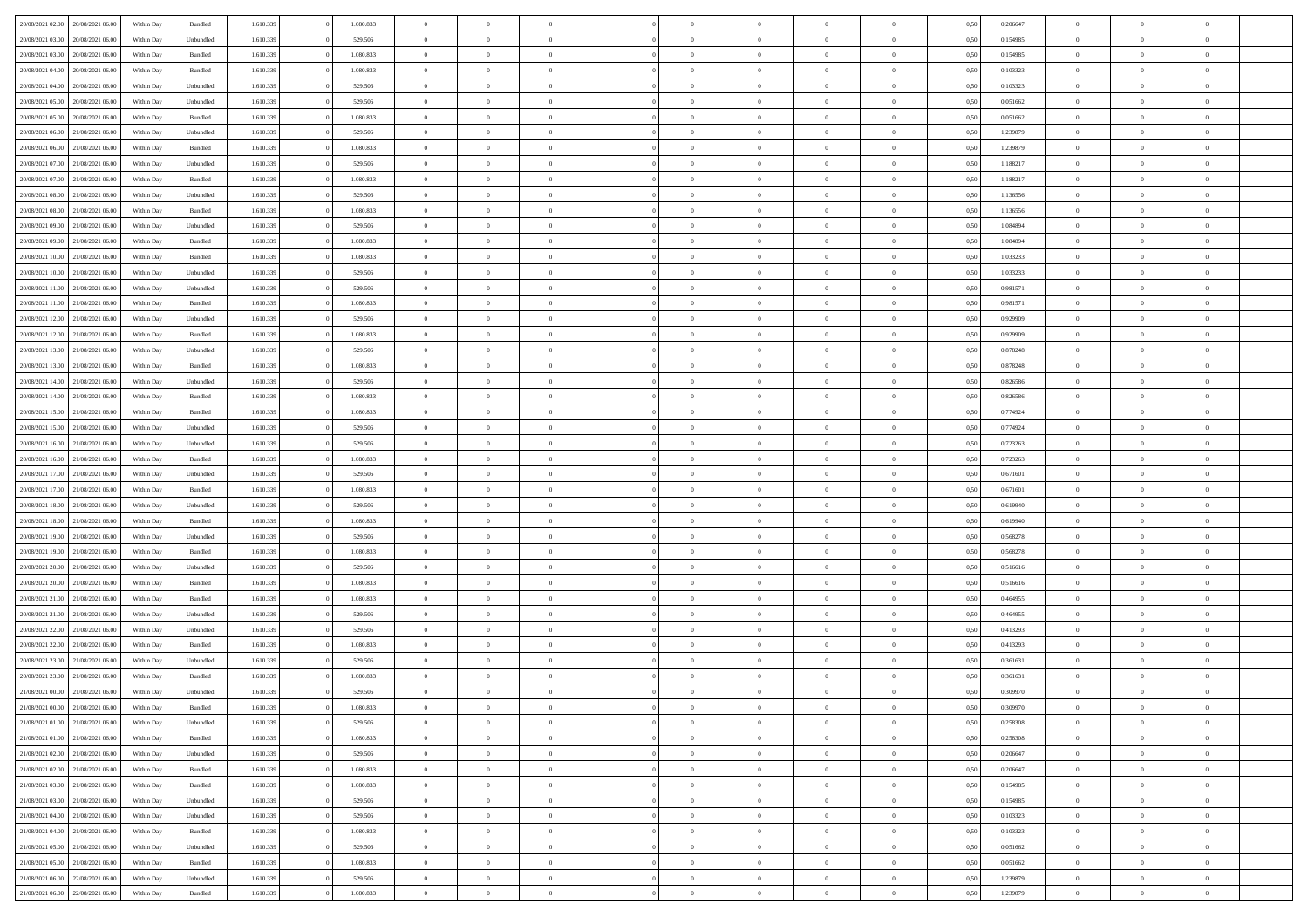| 20/08/2021 02:00                  | 20/08/2021 06:00 | Within Day | Bundled            | 1.610.339 | 1.080.833 | $\overline{0}$ | $\Omega$       |                | $\Omega$       | $\Omega$       | $\Omega$       | $\theta$       | 0,50 | 0,206647 | $\theta$       | $\theta$       | $\theta$       |  |
|-----------------------------------|------------------|------------|--------------------|-----------|-----------|----------------|----------------|----------------|----------------|----------------|----------------|----------------|------|----------|----------------|----------------|----------------|--|
|                                   |                  |            |                    |           |           |                |                |                |                |                |                |                |      |          |                |                |                |  |
| 20/08/2021 03:00                  | 20/08/2021 06:00 | Within Day | Unbundled          | 1.610.339 | 529.506   | $\overline{0}$ | $\theta$       | $\overline{0}$ | $\overline{0}$ | $\bf{0}$       | $\overline{0}$ | $\bf{0}$       | 0,50 | 0,154985 | $\theta$       | $\theta$       | $\overline{0}$ |  |
| 20/08/2021 03:00                  | 20/08/2021 06:00 | Within Day | Bundled            | 1.610.339 | 1.080.833 | $\overline{0}$ | $\overline{0}$ | $\overline{0}$ | $\bf{0}$       | $\bf{0}$       | $\bf{0}$       | $\mathbf{0}$   | 0,50 | 0,154985 | $\overline{0}$ | $\overline{0}$ | $\overline{0}$ |  |
| 20/08/2021 04:00                  | 20/08/2021 06:00 | Within Dav | Bundled            | 1.610.339 | 1.080.833 | $\overline{0}$ | $\overline{0}$ | $\overline{0}$ | $\overline{0}$ | $\bf{0}$       | $\overline{0}$ | $\overline{0}$ | 0.50 | 0,103323 | $\theta$       | $\theta$       | $\overline{0}$ |  |
| 20/08/2021 04:00                  | 20/08/2021 06:00 | Within Day | Unbundled          | 1.610.339 | 529.506   | $\overline{0}$ | $\theta$       | $\overline{0}$ | $\overline{0}$ | $\bf{0}$       | $\overline{0}$ | $\bf{0}$       | 0,50 | 0,103323 | $\theta$       | $\theta$       | $\overline{0}$ |  |
| 20/08/2021 05:00                  | 20/08/2021 06:00 | Within Day | Unbundled          | 1.610.339 | 529.506   | $\overline{0}$ | $\bf{0}$       | $\overline{0}$ | $\bf{0}$       | $\overline{0}$ | $\overline{0}$ | $\mathbf{0}$   | 0,50 | 0,051662 | $\overline{0}$ | $\overline{0}$ | $\bf{0}$       |  |
|                                   |                  |            |                    |           |           |                |                |                |                | $\overline{0}$ |                |                |      |          | $\theta$       | $\overline{0}$ | $\overline{0}$ |  |
| 20/08/2021 05:00                  | 20/08/2021 06:00 | Within Dav | Bundled            | 1.610.339 | 1.080.833 | $\overline{0}$ | $\overline{0}$ | $\overline{0}$ | $\overline{0}$ |                | $\overline{0}$ | $\overline{0}$ | 0.50 | 0,051662 |                |                |                |  |
| 20/08/2021 06:00                  | 21/08/2021 06:00 | Within Day | Unbundled          | 1.610.339 | 529.506   | $\overline{0}$ | $\theta$       | $\overline{0}$ | $\overline{0}$ | $\bf{0}$       | $\overline{0}$ | $\bf{0}$       | 0,50 | 1,239879 | $\theta$       | $\theta$       | $\overline{0}$ |  |
| 20/08/2021 06:00                  | 21/08/2021 06:00 | Within Day | Bundled            | 1.610.339 | 1.080.833 | $\overline{0}$ | $\overline{0}$ | $\overline{0}$ | $\bf{0}$       | $\bf{0}$       | $\bf{0}$       | $\bf{0}$       | 0,50 | 1,239879 | $\,0\,$        | $\overline{0}$ | $\overline{0}$ |  |
| 20/08/2021 07:00                  | 21/08/2021 06:00 | Within Dav | Unbundled          | 1.610.339 | 529.506   | $\overline{0}$ | $\overline{0}$ | $\overline{0}$ | $\overline{0}$ | $\overline{0}$ | $\overline{0}$ | $\overline{0}$ | 0.50 | 1,188217 | $\theta$       | $\overline{0}$ | $\overline{0}$ |  |
| 20/08/2021 07:00                  | 21/08/2021 06:00 | Within Day | Bundled            | 1.610.339 | 1.080.833 | $\overline{0}$ | $\theta$       | $\overline{0}$ | $\overline{0}$ | $\bf{0}$       | $\overline{0}$ | $\bf{0}$       | 0,50 | 1,188217 | $\,$ 0 $\,$    | $\overline{0}$ | $\overline{0}$ |  |
| 20/08/2021 08:00                  | 21/08/2021 06:00 | Within Day | Unbundled          | 1.610.339 | 529.506   | $\overline{0}$ | $\overline{0}$ | $\overline{0}$ | $\bf{0}$       | $\bf{0}$       | $\bf{0}$       | $\mathbf{0}$   | 0,50 | 1,136556 | $\overline{0}$ | $\overline{0}$ | $\overline{0}$ |  |
| 20/08/2021 08:00                  | 21/08/2021 06:00 | Within Day | Bundled            | 1.610.339 | 1.080.833 | $\overline{0}$ | $\overline{0}$ | $\overline{0}$ | $\overline{0}$ | $\bf{0}$       | $\overline{0}$ | $\overline{0}$ | 0.50 | 1,136556 | $\theta$       | $\theta$       | $\overline{0}$ |  |
|                                   |                  |            |                    |           |           | $\overline{0}$ | $\theta$       |                |                |                |                |                |      |          | $\theta$       |                |                |  |
| 20/08/2021 09:00                  | 21/08/2021 06:00 | Within Day | Unbundled          | 1.610.339 | 529.506   |                |                | $\overline{0}$ | $\overline{0}$ | $\bf{0}$       | $\overline{0}$ | $\bf{0}$       | 0,50 | 1,084894 |                | $\theta$       | $\overline{0}$ |  |
| 20/08/2021 09:00                  | 21/08/2021 06:00 | Within Day | Bundled            | 1.610.339 | 1.080.833 | $\overline{0}$ | $\overline{0}$ | $\overline{0}$ | $\bf{0}$       | $\overline{0}$ | $\overline{0}$ | $\mathbf{0}$   | 0,50 | 1,084894 | $\overline{0}$ | $\overline{0}$ | $\bf{0}$       |  |
| 20/08/2021 10:00                  | 21/08/2021 06:00 | Within Dav | Bundled            | 1.610.339 | 1.080.833 | $\overline{0}$ | $\overline{0}$ | $\overline{0}$ | $\overline{0}$ | $\overline{0}$ | $\overline{0}$ | $\overline{0}$ | 0.50 | 1,033233 | $\theta$       | $\overline{0}$ | $\overline{0}$ |  |
| 20/08/2021 10:00                  | 21/08/2021 06:00 | Within Day | Unbundled          | 1.610.339 | 529.506   | $\overline{0}$ | $\theta$       | $\overline{0}$ | $\overline{0}$ | $\bf{0}$       | $\overline{0}$ | $\bf{0}$       | 0,50 | 1,033233 | $\theta$       | $\theta$       | $\overline{0}$ |  |
| 20/08/2021 11:00                  | 21/08/2021 06:00 | Within Day | Unbundled          | 1.610.339 | 529.506   | $\overline{0}$ | $\overline{0}$ | $\overline{0}$ | $\bf{0}$       | $\bf{0}$       | $\bf{0}$       | $\mathbf{0}$   | 0,50 | 0,981571 | $\,0\,$        | $\overline{0}$ | $\overline{0}$ |  |
| 20/08/2021 11:00                  | 21/08/2021 06:00 | Within Day | Bundled            | 1.610.339 | 1.080.833 | $\overline{0}$ | $\overline{0}$ | $\overline{0}$ | $\overline{0}$ | $\overline{0}$ | $\overline{0}$ | $\overline{0}$ | 0.50 | 0,981571 | $\theta$       | $\overline{0}$ | $\overline{0}$ |  |
| 20/08/2021 12:00                  | 21/08/2021 06:00 | Within Day | Unbundled          | 1.610.339 | 529.506   | $\overline{0}$ | $\theta$       | $\overline{0}$ | $\overline{0}$ | $\bf{0}$       | $\overline{0}$ | $\bf{0}$       | 0,50 | 0,929909 | $\,$ 0 $\,$    | $\theta$       | $\overline{0}$ |  |
|                                   |                  |            |                    |           |           |                |                |                |                |                |                |                |      |          |                |                |                |  |
| 20/08/2021 12:00                  | 21/08/2021 06:00 | Within Day | Bundled            | 1.610.339 | 1.080.833 | $\overline{0}$ | $\overline{0}$ | $\overline{0}$ | $\bf{0}$       | $\bf{0}$       | $\bf{0}$       | $\bf{0}$       | 0,50 | 0,929909 | $\bf{0}$       | $\overline{0}$ | $\overline{0}$ |  |
| 20/08/2021 13:00                  | 21/08/2021 06:00 | Within Day | Unbundled          | 1.610.339 | 529.506   | $\overline{0}$ | $\overline{0}$ | $\overline{0}$ | $\overline{0}$ | $\bf{0}$       | $\overline{0}$ | $\overline{0}$ | 0.50 | 0.878248 | $\theta$       | $\theta$       | $\overline{0}$ |  |
| 20/08/2021 13:00                  | 21/08/2021 06:00 | Within Day | Bundled            | 1.610.339 | 1.080.833 | $\overline{0}$ | $\theta$       | $\overline{0}$ | $\overline{0}$ | $\bf{0}$       | $\overline{0}$ | $\bf{0}$       | 0,50 | 0,878248 | $\theta$       | $\overline{0}$ | $\overline{0}$ |  |
| 20/08/2021 14:00                  | 21/08/2021 06:00 | Within Day | Unbundled          | 1.610.339 | 529.506   | $\overline{0}$ | $\bf{0}$       | $\overline{0}$ | $\bf{0}$       | $\overline{0}$ | $\overline{0}$ | $\mathbf{0}$   | 0,50 | 0,826586 | $\overline{0}$ | $\overline{0}$ | $\bf{0}$       |  |
| 20/08/2021 14:00                  | 21/08/2021 06:00 | Within Dav | Bundled            | 1.610.339 | 1.080.833 | $\overline{0}$ | $\overline{0}$ | $\overline{0}$ | $\overline{0}$ | $\overline{0}$ | $\overline{0}$ | $\overline{0}$ | 0.50 | 0,826586 | $\theta$       | $\theta$       | $\overline{0}$ |  |
| 20/08/2021 15:00                  | 21/08/2021 06:00 | Within Day | Bundled            | 1.610.339 | 1.080.833 | $\overline{0}$ | $\theta$       | $\overline{0}$ | $\overline{0}$ | $\bf{0}$       | $\overline{0}$ | $\bf{0}$       | 0,50 | 0,774924 | $\theta$       | $\theta$       | $\overline{0}$ |  |
| 20/08/2021 15:00                  | 21/08/2021 06:00 | Within Day | Unbundled          | 1.610.339 | 529.506   | $\overline{0}$ | $\overline{0}$ | $\overline{0}$ | $\bf{0}$       | $\bf{0}$       | $\bf{0}$       | $\bf{0}$       | 0,50 | 0,774924 | $\,0\,$        | $\overline{0}$ | $\overline{0}$ |  |
|                                   | 21/08/2021 06:00 |            | Unbundled          | 1.610.339 | 529.506   | $\overline{0}$ | $\overline{0}$ | $\overline{0}$ | $\overline{0}$ | $\overline{0}$ | $\overline{0}$ | $\overline{0}$ | 0.50 | 0,723263 | $\theta$       | $\overline{0}$ | $\overline{0}$ |  |
| 20/08/2021 16:00                  |                  | Within Day |                    |           |           |                |                |                |                |                |                |                |      |          |                |                |                |  |
| 20/08/2021 16:00                  | 21/08/2021 06:00 | Within Day | Bundled            | 1.610.339 | 1.080.833 | $\overline{0}$ | $\theta$       | $\overline{0}$ | $\overline{0}$ | $\bf{0}$       | $\overline{0}$ | $\bf{0}$       | 0,50 | 0,723263 | $\,$ 0 $\,$    | $\overline{0}$ | $\overline{0}$ |  |
| 20/08/2021 17:00                  | 21/08/2021 06:00 | Within Day | Unbundled          | 1.610.339 | 529.506   | $\overline{0}$ | $\overline{0}$ | $\overline{0}$ | $\bf{0}$       | $\bf{0}$       | $\bf{0}$       | $\bf{0}$       | 0,50 | 0,671601 | $\overline{0}$ | $\overline{0}$ | $\overline{0}$ |  |
| 20/08/2021 17:00                  | 21/08/2021 06:00 | Within Day | Bundled            | 1.610.339 | 1.080.833 | $\overline{0}$ | $\Omega$       | $\Omega$       | $\Omega$       | $\Omega$       | $\Omega$       | $\overline{0}$ | 0.50 | 0,671601 | $\,0\,$        | $\theta$       | $\theta$       |  |
| 20/08/2021 18:00                  | 21/08/2021 06:00 | Within Day | Unbundled          | 1.610.339 | 529.506   | $\overline{0}$ | $\theta$       | $\overline{0}$ | $\overline{0}$ | $\bf{0}$       | $\overline{0}$ | $\bf{0}$       | 0,50 | 0,619940 | $\theta$       | $\theta$       | $\overline{0}$ |  |
| 20/08/2021 18:00                  | 21/08/2021 06:00 | Within Day | Bundled            | 1.610.339 | 1.080.833 | $\overline{0}$ | $\overline{0}$ | $\overline{0}$ | $\bf{0}$       | $\bf{0}$       | $\overline{0}$ | $\mathbf{0}$   | 0,50 | 0,619940 | $\overline{0}$ | $\overline{0}$ | $\bf{0}$       |  |
| 20/08/2021 19:00                  | 21/08/2021 06:00 | Within Day | Unbundled          | 1.610.339 | 529.506   | $\overline{0}$ | $\Omega$       | $\Omega$       | $\Omega$       | $\bf{0}$       | $\overline{0}$ | $\overline{0}$ | 0.50 | 0.568278 | $\,0\,$        | $\theta$       | $\theta$       |  |
| 20/08/2021 19:00                  | 21/08/2021 06:00 | Within Day | Bundled            | 1.610.339 | 1.080.833 | $\overline{0}$ | $\theta$       | $\overline{0}$ | $\overline{0}$ | $\bf{0}$       | $\overline{0}$ | $\bf{0}$       | 0,50 | 0,568278 | $\,$ 0 $\,$    | $\theta$       | $\overline{0}$ |  |
|                                   |                  |            |                    |           |           |                |                |                |                |                |                |                |      |          |                |                |                |  |
| 20/08/2021 20:00                  | 21/08/2021 06:00 | Within Day | Unbundled          | 1.610.339 | 529.506   | $\overline{0}$ | $\overline{0}$ | $\overline{0}$ | $\bf{0}$       | $\bf{0}$       | $\bf{0}$       | $\bf{0}$       | 0,50 | 0,516616 | $\bf{0}$       | $\overline{0}$ | $\overline{0}$ |  |
| 20/08/2021 20:00                  | 21/08/2021 06:00 | Within Day | Bundled            | 1.610.339 | 1.080.833 | $\overline{0}$ | $\Omega$       | $\Omega$       | $\Omega$       | $\theta$       | $\theta$       | $\overline{0}$ | 0.50 | 0,516616 | $\theta$       | $\theta$       | $\theta$       |  |
| 20/08/2021 21:00                  | 21/08/2021 06:00 | Within Day | Bundled            | 1.610.339 | 1.080.833 | $\overline{0}$ | $\theta$       | $\overline{0}$ | $\overline{0}$ | $\bf{0}$       | $\overline{0}$ | $\bf{0}$       | 0,50 | 0,464955 | $\,$ 0 $\,$    | $\overline{0}$ | $\overline{0}$ |  |
| 20/08/2021 21:00                  | 21/08/2021 06:00 | Within Day | Unbundled          | 1.610.339 | 529.506   | $\overline{0}$ | $\overline{0}$ | $\overline{0}$ | $\bf{0}$       | $\bf{0}$       | $\bf{0}$       | $\bf{0}$       | 0,50 | 0,464955 | $\overline{0}$ | $\overline{0}$ | $\overline{0}$ |  |
| 20/08/2021 22:00                  | 21/08/2021 06:00 | Within Day | Unbundled          | 1.610.339 | 529.506   | $\overline{0}$ | $\Omega$       | $\overline{0}$ | $\Omega$       | $\Omega$       | $\overline{0}$ | $\overline{0}$ | 0.50 | 0,413293 | $\,0\,$        | $\theta$       | $\theta$       |  |
| 20/08/2021 22:00                  | 21/08/2021 06:00 | Within Day | Bundled            | 1.610.339 | 1.080.833 | $\overline{0}$ | $\theta$       | $\overline{0}$ | $\overline{0}$ | $\bf{0}$       | $\overline{0}$ | $\bf{0}$       | 0,50 | 0,413293 | $\,$ 0 $\,$    | $\overline{0}$ | $\overline{0}$ |  |
| 20/08/2021 23:00                  | 21/08/2021 06:00 | Within Day | Unbundled          | 1.610.339 | 529.506   | $\overline{0}$ | $\overline{0}$ | $\overline{0}$ | $\bf{0}$       | $\bf{0}$       | $\bf{0}$       | $\mathbf{0}$   | 0,50 | 0,361631 | $\bf{0}$       | $\overline{0}$ | $\bf{0}$       |  |
|                                   | 21/08/2021 06:00 |            | Bundled            | 1.610.339 | 1.080.833 | $\overline{0}$ | $\Omega$       | $\Omega$       | $\Omega$       | $\Omega$       | $\Omega$       | $\overline{0}$ | 0.50 | 0.361631 | $\theta$       | $\Omega$       | $\theta$       |  |
| 20/08/2021 23:00                  |                  | Within Day |                    |           |           |                |                |                |                |                |                |                |      |          |                |                |                |  |
| 21/08/2021 00:00                  | 21/08/2021 06:00 | Within Day | Unbundled          | 1.610.339 | 529.506   | $\overline{0}$ | $\,$ 0 $\,$    | $\overline{0}$ | $\bf{0}$       | $\,$ 0         | $\bf{0}$       | $\bf{0}$       | 0,50 | 0,309970 | $\,0\,$        | $\overline{0}$ | $\overline{0}$ |  |
| 21/08/2021 00:00 21/08/2021 06:00 |                  | Within Day | $\mathbf B$ undled | 1.610.339 | 1.080.833 | $\bf{0}$       | $\bf{0}$       |                |                |                |                |                | 0,50 | 0,309970 | $\bf{0}$       | $\overline{0}$ |                |  |
| 21/08/2021 01:00                  | 21/08/2021 06:00 | Within Day | Unbundled          | 1.610.339 | 529.506   | $\overline{0}$ | $\overline{0}$ | $\overline{0}$ | $\Omega$       | $\overline{0}$ | $\overline{0}$ | $\overline{0}$ | 0,50 | 0,258308 | $\theta$       | $\theta$       | $\theta$       |  |
| 21/08/2021 01:00                  | 21/08/2021 06:00 | Within Day | Bundled            | 1.610.339 | 1.080.833 | $\overline{0}$ | $\,$ 0         | $\overline{0}$ | $\bf{0}$       | $\,$ 0 $\,$    | $\overline{0}$ | $\,$ 0 $\,$    | 0,50 | 0,258308 | $\,$ 0 $\,$    | $\,$ 0 $\,$    | $\,$ 0         |  |
| 21/08/2021 02:00                  | 21/08/2021 06:00 | Within Day | Unbundled          | 1.610.339 | 529.506   | $\overline{0}$ | $\overline{0}$ | $\overline{0}$ | $\overline{0}$ | $\overline{0}$ | $\overline{0}$ | $\mathbf{0}$   | 0,50 | 0,206647 | $\overline{0}$ | $\bf{0}$       | $\bf{0}$       |  |
| 21/08/2021 02:00                  | 21/08/2021 06:00 | Within Day | $\mathbf B$ undled | 1.610.339 | 1.080.833 | $\overline{0}$ | $\overline{0}$ | $\overline{0}$ | $\Omega$       | $\overline{0}$ | $\overline{0}$ | $\overline{0}$ | 0,50 | 0,206647 | $\overline{0}$ | $\theta$       | $\overline{0}$ |  |
| 21/08/2021 03:00                  | 21/08/2021 06:00 | Within Day | Bundled            | 1.610.339 | 1.080.833 | $\overline{0}$ | $\,$ 0         | $\overline{0}$ | $\bf{0}$       | $\,$ 0 $\,$    | $\overline{0}$ | $\mathbf{0}$   | 0,50 | 0,154985 | $\,$ 0 $\,$    | $\overline{0}$ | $\overline{0}$ |  |
|                                   |                  |            |                    |           |           |                |                |                |                |                |                |                |      |          |                |                |                |  |
| 21/08/2021 03:00                  | 21/08/2021 06:00 | Within Day | Unbundled          | 1.610.339 | 529.506   | $\overline{0}$ | $\overline{0}$ | $\overline{0}$ | $\overline{0}$ | $\overline{0}$ | $\overline{0}$ | $\mathbf{0}$   | 0,50 | 0,154985 | $\overline{0}$ | $\overline{0}$ | $\bf{0}$       |  |
| 21/08/2021 04:00                  | 21/08/2021 06:00 | Within Day | Unbundled          | 1.610.339 | 529.506   | $\overline{0}$ | $\overline{0}$ | $\overline{0}$ | $\overline{0}$ | $\overline{0}$ | $\overline{0}$ | $\bf{0}$       | 0.50 | 0,103323 | $\overline{0}$ | $\theta$       | $\overline{0}$ |  |
| 21/08/2021 04:00                  | 21/08/2021 06:00 | Within Day | Bundled            | 1.610.339 | 1.080.833 | $\overline{0}$ | $\,$ 0         | $\overline{0}$ | $\bf{0}$       | $\bf{0}$       | $\bf{0}$       | $\bf{0}$       | 0,50 | 0,103323 | $\,$ 0 $\,$    | $\overline{0}$ | $\overline{0}$ |  |
| 21/08/2021 05:00                  | 21/08/2021 06:00 | Within Day | Unbundled          | 1.610.339 | 529.506   | $\overline{0}$ | $\bf{0}$       | $\overline{0}$ | $\overline{0}$ | $\overline{0}$ | $\overline{0}$ | $\mathbf{0}$   | 0,50 | 0,051662 | $\overline{0}$ | $\overline{0}$ | $\bf{0}$       |  |
| 21/08/2021 05:00                  | 21/08/2021 06:00 | Within Day | Bundled            | 1.610.339 | 1.080.833 | $\overline{0}$ | $\overline{0}$ | $\overline{0}$ | $\Omega$       | $\overline{0}$ | $\overline{0}$ | $\overline{0}$ | 0.50 | 0.051662 | $\overline{0}$ | $\overline{0}$ | $\overline{0}$ |  |
| 21/08/2021 06:00                  | 22/08/2021 06:00 | Within Day | Unbundled          | 1.610.339 | 529.506   | $\overline{0}$ | $\bf{0}$       | $\overline{0}$ | $\bf{0}$       | $\bf{0}$       | $\bf{0}$       | $\mathbf{0}$   | 0,50 | 1,239879 | $\,$ 0 $\,$    | $\,$ 0 $\,$    | $\bf{0}$       |  |
| 21/08/2021 06:00 22/08/2021 06:00 |                  | Within Day | Bundled            | 1.610.339 | 1.080.833 | $\overline{0}$ | $\overline{0}$ | $\overline{0}$ | $\overline{0}$ | $\overline{0}$ | $\bf{0}$       | $\mathbf{0}$   | 0,50 | 1,239879 | $\overline{0}$ | $\bf{0}$       | $\overline{0}$ |  |
|                                   |                  |            |                    |           |           |                |                |                |                |                |                |                |      |          |                |                |                |  |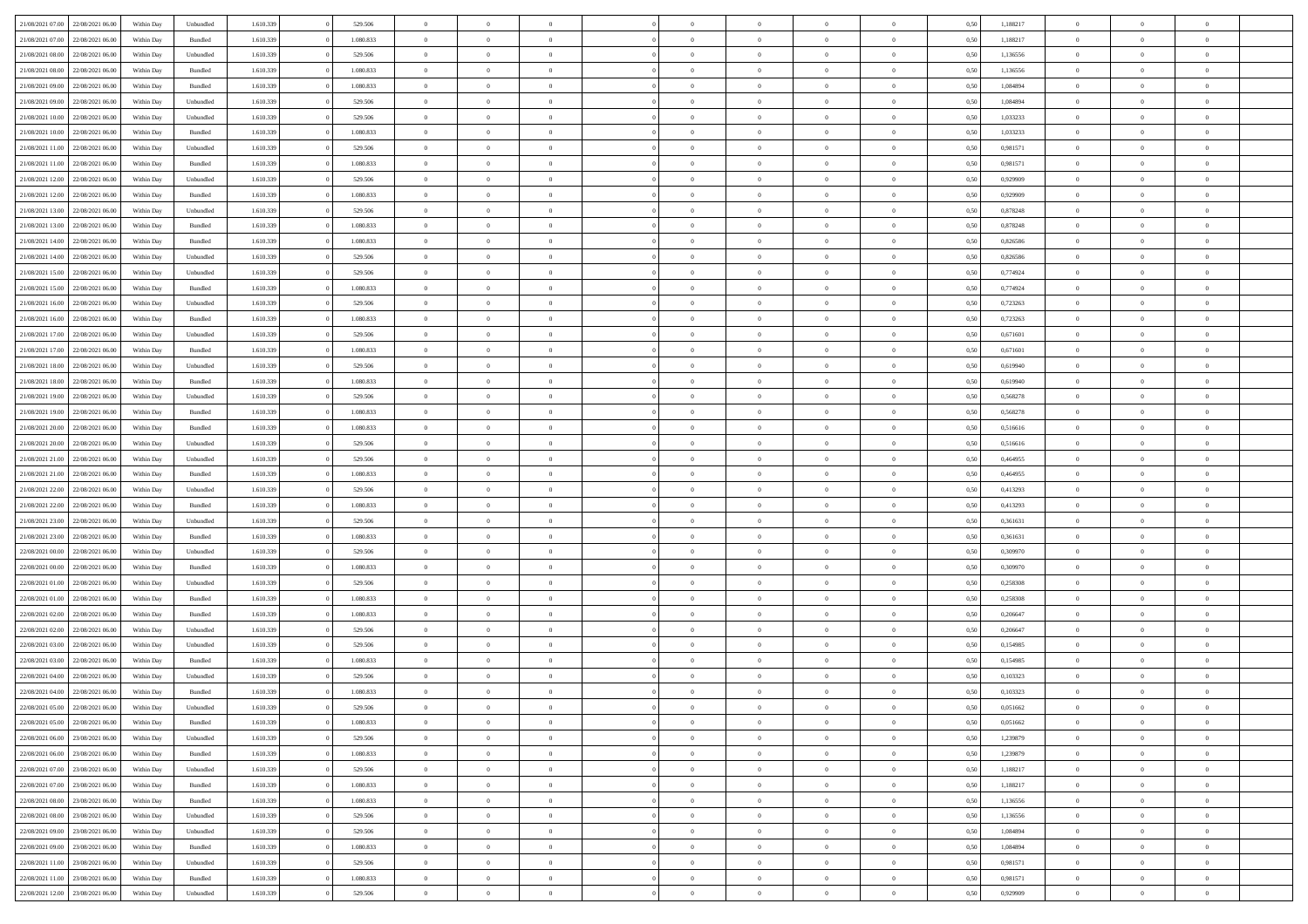| 21/08/2021 07:00 22/08/2021 06:00    | Within Day | Unbundled | 1.610.339 | 529.506   | $\overline{0}$ | $\overline{0}$ | $\Omega$       | $\Omega$       | $\theta$       | $\Omega$       | $\overline{0}$ | 0,50 | 1,188217 | $\theta$       | $\theta$       | $\theta$       |  |
|--------------------------------------|------------|-----------|-----------|-----------|----------------|----------------|----------------|----------------|----------------|----------------|----------------|------|----------|----------------|----------------|----------------|--|
| 21/08/2021 07:00<br>22/08/2021 06:00 | Within Day | Bundled   | 1.610.339 | 1.080.833 | $\overline{0}$ | $\overline{0}$ | $\overline{0}$ | $\overline{0}$ | $\theta$       | $\overline{0}$ | $\bf{0}$       | 0,50 | 1,188217 | $\theta$       | $\theta$       | $\overline{0}$ |  |
| 21/08/2021 08:00<br>22/08/2021 06:00 | Within Day | Unbundled | 1.610.339 | 529.506   | $\overline{0}$ | $\bf{0}$       | $\overline{0}$ | $\overline{0}$ | $\bf{0}$       | $\overline{0}$ | $\bf{0}$       | 0,50 | 1,136556 | $\bf{0}$       | $\overline{0}$ | $\overline{0}$ |  |
| 21/08/2021 08:00<br>22/08/2021 06:00 | Within Day | Bundled   | 1.610.339 | 1.080.833 | $\overline{0}$ | $\overline{0}$ | $\overline{0}$ | $\overline{0}$ | $\theta$       | $\overline{0}$ | $\overline{0}$ | 0.50 | 1,136556 | $\theta$       | $\theta$       | $\overline{0}$ |  |
| 21/08/2021 09:00<br>22/08/2021 06:00 | Within Day | Bundled   | 1.610.339 | 1.080.833 | $\overline{0}$ | $\overline{0}$ | $\overline{0}$ | $\overline{0}$ | $\theta$       | $\overline{0}$ | $\bf{0}$       | 0,50 | 1,084894 | $\theta$       | $\theta$       | $\overline{0}$ |  |
|                                      |            |           |           |           |                | $\bf{0}$       |                |                |                |                |                |      |          |                | $\overline{0}$ | $\bf{0}$       |  |
| 21/08/2021 09:00<br>22/08/2021 06:00 | Within Day | Unbundled | 1.610.339 | 529.506   | $\overline{0}$ |                | $\overline{0}$ | $\overline{0}$ | $\overline{0}$ | $\overline{0}$ | $\bf{0}$       | 0,50 | 1,084894 | $\overline{0}$ |                |                |  |
| 21/08/2021 10:00<br>22/08/2021 06:00 | Within Day | Unbundled | 1.610.339 | 529.506   | $\overline{0}$ | $\overline{0}$ | $\overline{0}$ | $\overline{0}$ | $\overline{0}$ | $\overline{0}$ | $\overline{0}$ | 0.5( | 1,033233 | $\theta$       | $\theta$       | $\overline{0}$ |  |
| 21/08/2021 10:00<br>22/08/2021 06:00 | Within Day | Bundled   | 1.610.339 | 1.080.833 | $\overline{0}$ | $\theta$       | $\overline{0}$ | $\overline{0}$ | $\theta$       | $\overline{0}$ | $\bf{0}$       | 0,50 | 1,033233 | $\theta$       | $\theta$       | $\overline{0}$ |  |
| 21/08/2021 11:00<br>22/08/2021 06:00 | Within Day | Unbundled | 1.610.339 | 529.506   | $\overline{0}$ | $\bf{0}$       | $\overline{0}$ | $\overline{0}$ | $\overline{0}$ | $\overline{0}$ | $\bf{0}$       | 0,50 | 0,981571 | $\bf{0}$       | $\bf{0}$       | $\overline{0}$ |  |
| 21/08/2021 11:00<br>22/08/2021 06:00 | Within Day | Bundled   | 1.610.339 | 1.080.833 | $\overline{0}$ | $\overline{0}$ | $\overline{0}$ | $\overline{0}$ | $\overline{0}$ | $\overline{0}$ | $\bf{0}$       | 0.5( | 0,981571 | $\theta$       | $\theta$       | $\overline{0}$ |  |
| 21/08/2021 12:00<br>22/08/2021 06:00 | Within Day | Unbundled | 1.610.339 | 529.506   | $\bf{0}$       | $\overline{0}$ | $\overline{0}$ | $\overline{0}$ | $\theta$       | $\overline{0}$ | $\bf{0}$       | 0,50 | 0,929909 | $\theta$       | $\theta$       | $\overline{0}$ |  |
| 21/08/2021 12:00<br>22/08/2021 06:00 | Within Day | Bundled   | 1.610.339 | 1.080.833 | $\overline{0}$ | $\bf{0}$       | $\overline{0}$ | $\overline{0}$ | $\bf{0}$       | $\overline{0}$ | $\bf{0}$       | 0,50 | 0,929909 | $\bf{0}$       | $\overline{0}$ | $\overline{0}$ |  |
| 21/08/2021 13:00<br>22/08/2021 06:00 | Within Day | Unbundled | 1.610.339 | 529,506   | $\overline{0}$ | $\overline{0}$ | $\overline{0}$ | $\overline{0}$ | $\overline{0}$ | $\overline{0}$ | $\overline{0}$ | 0.5( | 0.878248 | $\theta$       | $\theta$       | $\overline{0}$ |  |
| 21/08/2021 13:00<br>22/08/2021 06:00 | Within Day | Bundled   | 1.610.339 | 1.080.833 | $\overline{0}$ | $\overline{0}$ | $\overline{0}$ | $\overline{0}$ | $\theta$       | $\overline{0}$ | $\bf{0}$       | 0,50 | 0,878248 | $\theta$       | $\theta$       | $\overline{0}$ |  |
| 21/08/2021 14:00<br>22/08/2021 06:00 | Within Day | Bundled   | 1.610.339 | 1.080.833 | $\overline{0}$ | $\bf{0}$       | $\overline{0}$ | $\overline{0}$ | $\overline{0}$ | $\overline{0}$ | $\bf{0}$       | 0,50 | 0,826586 | $\overline{0}$ | $\overline{0}$ | $\bf{0}$       |  |
| 21/08/2021 14:00<br>22/08/2021 06:00 | Within Day | Unbundled | 1.610.339 | 529,506   | $\overline{0}$ | $\overline{0}$ | $\overline{0}$ | $\overline{0}$ | $\overline{0}$ | $\overline{0}$ | $\overline{0}$ | 0.50 | 0.826586 | $\theta$       | $\theta$       | $\overline{0}$ |  |
| 21/08/2021 15:00<br>22/08/2021 06:00 | Within Day | Unbundled | 1.610.339 | 529.506   | $\bf{0}$       | $\overline{0}$ | $\overline{0}$ | $\overline{0}$ | $\theta$       | $\overline{0}$ | $\bf{0}$       | 0,50 | 0,774924 | $\theta$       | $\theta$       | $\overline{0}$ |  |
| 21/08/2021 15:00<br>22/08/2021 06:00 | Within Day | Bundled   | 1.610.339 | 1.080.833 | $\overline{0}$ | $\bf{0}$       | $\overline{0}$ | $\overline{0}$ | $\overline{0}$ | $\overline{0}$ | $\bf{0}$       | 0,50 | 0,774924 | $\bf{0}$       | $\overline{0}$ | $\overline{0}$ |  |
| 22/08/2021 06:00                     |            | Unbundled | 1.610.339 | 529.506   | $\overline{0}$ | $\overline{0}$ | $\overline{0}$ | $\overline{0}$ | $\overline{0}$ | $\overline{0}$ | $\overline{0}$ | 0.50 | 0,723263 | $\theta$       | $\theta$       | $\overline{0}$ |  |
| 21/08/2021 16:00                     | Within Day |           |           |           |                |                |                |                |                |                |                |      |          |                |                |                |  |
| 21/08/2021 16:00<br>22/08/2021 06:00 | Within Day | Bundled   | 1.610.339 | 1.080.833 | $\bf{0}$       | $\overline{0}$ | $\overline{0}$ | $\overline{0}$ | $\theta$       | $\overline{0}$ | $\bf{0}$       | 0,50 | 0,723263 | $\theta$       | $\theta$       | $\overline{0}$ |  |
| 21/08/2021 17:00<br>22/08/2021 06:00 | Within Day | Unbundled | 1.610.339 | 529.506   | $\overline{0}$ | $\bf{0}$       | $\overline{0}$ | $\overline{0}$ | $\overline{0}$ | $\overline{0}$ | $\bf{0}$       | 0,50 | 0,671601 | $\bf{0}$       | $\overline{0}$ | $\overline{0}$ |  |
| 21/08/2021 17:00<br>22/08/2021 06:00 | Within Day | Bundled   | 1.610.339 | 1.080.833 | $\overline{0}$ | $\overline{0}$ | $\overline{0}$ | $\overline{0}$ | $\overline{0}$ | $\overline{0}$ | $\overline{0}$ | 0.50 | 0.671601 | $\theta$       | $\theta$       | $\overline{0}$ |  |
| 21/08/2021 18:00<br>22/08/2021 06:00 | Within Day | Unbundled | 1.610.339 | 529.506   | $\bf{0}$       | $\overline{0}$ | $\overline{0}$ | $\overline{0}$ | $\theta$       | $\overline{0}$ | $\bf{0}$       | 0,50 | 0,619940 | $\theta$       | $\theta$       | $\overline{0}$ |  |
| 21/08/2021 18:00<br>22/08/2021 06:00 | Within Day | Bundled   | 1.610.339 | 1.080.833 | $\overline{0}$ | $\bf{0}$       | $\overline{0}$ | $\overline{0}$ | $\overline{0}$ | $\overline{0}$ | $\bf{0}$       | 0,50 | 0,619940 | $\overline{0}$ | $\overline{0}$ | $\bf{0}$       |  |
| 21/08/2021 19:00<br>22/08/2021 06:00 | Within Day | Unbundled | 1.610.339 | 529.506   | $\overline{0}$ | $\overline{0}$ | $\overline{0}$ | $\overline{0}$ | $\overline{0}$ | $\overline{0}$ | $\overline{0}$ | 0.5( | 0,568278 | $\overline{0}$ | $\theta$       | $\overline{0}$ |  |
| 21/08/2021 19:00<br>22/08/2021 06:00 | Within Day | Bundled   | 1.610.339 | 1.080.833 | $\bf{0}$       | $\overline{0}$ | $\overline{0}$ | $\overline{0}$ | $\theta$       | $\overline{0}$ | $\bf{0}$       | 0,50 | 0,568278 | $\theta$       | $\theta$       | $\overline{0}$ |  |
| 21/08/2021 20:00<br>22/08/2021 06:00 | Within Day | Bundled   | 1.610.339 | 1.080.833 | $\overline{0}$ | $\bf{0}$       | $\overline{0}$ | $\overline{0}$ | $\overline{0}$ | $\bf{0}$       | $\bf{0}$       | 0,50 | 0,516616 | $\bf{0}$       | $\bf{0}$       | $\overline{0}$ |  |
| 21/08/2021 20:00<br>22/08/2021 06:00 | Within Day | Unbundled | 1.610.339 | 529,506   | $\overline{0}$ | $\overline{0}$ | $\overline{0}$ | $\overline{0}$ | $\overline{0}$ | $\overline{0}$ | $\overline{0}$ | 0.50 | 0.516616 | $\theta$       | $\theta$       | $\overline{0}$ |  |
| 21/08/2021 21:00<br>22/08/2021 06:00 | Within Day | Unbundled | 1.610.339 | 529.506   | $\bf{0}$       | $\overline{0}$ | $\overline{0}$ | $\overline{0}$ | $\theta$       | $\overline{0}$ | $\bf{0}$       | 0,50 | 0,464955 | $\theta$       | $\theta$       | $\overline{0}$ |  |
| 21/08/2021 21:00<br>22/08/2021 06:00 | Within Day | Bundled   | 1.610.339 | 1.080.833 | $\overline{0}$ | $\bf{0}$       | $\overline{0}$ | $\overline{0}$ | $\bf{0}$       | $\overline{0}$ | $\bf{0}$       | 0,50 | 0,464955 | $\bf{0}$       | $\overline{0}$ | $\overline{0}$ |  |
| 21/08/2021 22:00<br>22/08/2021 06:00 |            | Unbundled | 1.610.339 | 529.506   | $\overline{0}$ | $\overline{0}$ | $\Omega$       | $\Omega$       | $\Omega$       | $\Omega$       | $\overline{0}$ | 0.50 | 0,413293 | $\,$ 0 $\,$    | $\Omega$       | $\theta$       |  |
| 21/08/2021 22:00<br>22/08/2021 06:00 | Within Day | Bundled   | 1.610.339 | 1.080.833 | $\overline{0}$ | $\overline{0}$ | $\overline{0}$ | $\overline{0}$ | $\theta$       | $\overline{0}$ | $\bf{0}$       |      |          | $\theta$       | $\theta$       | $\overline{0}$ |  |
|                                      | Within Day |           |           |           |                |                |                |                |                |                |                | 0,50 | 0,413293 |                |                |                |  |
| 21/08/2021 23:00<br>22/08/2021 06:00 | Within Day | Unbundled | 1.610.339 | 529.506   | $\overline{0}$ | $\bf{0}$       | $\overline{0}$ | $\overline{0}$ | $\overline{0}$ | $\overline{0}$ | $\bf{0}$       | 0,50 | 0,361631 | $\overline{0}$ | $\overline{0}$ | $\bf{0}$       |  |
| 21/08/2021 23:00<br>22/08/2021 06:00 | Within Day | Bundled   | 1.610.339 | 1.080.833 | $\overline{0}$ | $\overline{0}$ | $\Omega$       | $\Omega$       | $\overline{0}$ | $\Omega$       | $\overline{0}$ | 0.50 | 0.361631 | $\bf{0}$       | $\overline{0}$ | $\theta$       |  |
| 22/08/2021 00:00<br>22/08/2021 06:00 | Within Day | Unbundled | 1.610.339 | 529.506   | $\bf{0}$       | $\overline{0}$ | $\overline{0}$ | $\overline{0}$ | $\theta$       | $\overline{0}$ | $\bf{0}$       | 0,50 | 0,309970 | $\theta$       | $\theta$       | $\overline{0}$ |  |
| 22/08/2021 00:00<br>22/08/2021 06:00 | Within Day | Bundled   | 1.610.339 | 1.080.833 | $\overline{0}$ | $\bf{0}$       | $\overline{0}$ | $\overline{0}$ | $\overline{0}$ | $\overline{0}$ | $\bf{0}$       | 0,50 | 0,309970 | $\bf{0}$       | $\overline{0}$ | $\overline{0}$ |  |
| 22/08/2021 01:00<br>22/08/2021 06:00 | Within Day | Unbundled | 1.610.339 | 529.506   | $\overline{0}$ | $\overline{0}$ | $\Omega$       | $\Omega$       | $\Omega$       | $\Omega$       | $\overline{0}$ | 0.50 | 0,258308 | $\theta$       | $\Omega$       | $\theta$       |  |
| 22/08/2021 01:00<br>22/08/2021 06:00 | Within Day | Bundled   | 1.610.339 | 1.080.833 | $\bf{0}$       | $\overline{0}$ | $\overline{0}$ | $\overline{0}$ | $\theta$       | $\overline{0}$ | $\bf{0}$       | 0,50 | 0,258308 | $\theta$       | $\theta$       | $\overline{0}$ |  |
| 22/08/2021 02:00<br>22/08/2021 06:00 | Within Day | Bundled   | 1.610.339 | 1.080.833 | $\overline{0}$ | $\bf{0}$       | $\overline{0}$ | $\overline{0}$ | $\bf{0}$       | $\overline{0}$ | $\bf{0}$       | 0,50 | 0,206647 | $\bf{0}$       | $\overline{0}$ | $\overline{0}$ |  |
| 22/08/2021 02:00<br>22/08/2021 06:00 | Within Day | Unbundled | 1.610.339 | 529.506   | $\overline{0}$ | $\overline{0}$ | $\overline{0}$ | $\Omega$       | $\theta$       | $\Omega$       | $\overline{0}$ | 0.50 | 0,206647 | $\,$ 0 $\,$    | $\overline{0}$ | $\theta$       |  |
| 22/08/2021 03:00<br>22/08/2021 06:00 | Within Day | Unbundled | 1.610.339 | 529.506   | $\bf{0}$       | $\overline{0}$ | $\overline{0}$ | $\overline{0}$ | $\theta$       | $\overline{0}$ | $\bf{0}$       | 0,50 | 0,154985 | $\,$ 0 $\,$    | $\theta$       | $\overline{0}$ |  |
| 22/08/2021 03:00<br>22/08/2021 06:00 | Within Day | Bundled   | 1.610.339 | 1.080.833 | $\overline{0}$ | $\bf{0}$       | $\overline{0}$ | $\overline{0}$ | $\bf{0}$       | $\overline{0}$ | $\bf{0}$       | 0,50 | 0,154985 | $\overline{0}$ | $\overline{0}$ | $\bf{0}$       |  |
| 22/08/2021 04:00<br>22/08/2021 06:00 | Within Day | Unbundled | 1.610.339 | 529.506   | $\overline{0}$ | $\Omega$       | $\Omega$       | $\Omega$       | $\Omega$       | $\theta$       | $\overline{0}$ | 0.50 | 0.103323 | $\theta$       | $\overline{0}$ | $\theta$       |  |
| 22/08/2021 04:00<br>22/08/2021 06:00 | Within Day | Bundled   | 1.610.339 | 1.080.833 | $\bf{0}$       | $\bf{0}$       | $\overline{0}$ | $\overline{0}$ | $\overline{0}$ | $\bf{0}$       | $\bf{0}$       | 0,50 | 0,103323 | $\bf{0}$       | $\bf{0}$       | $\overline{0}$ |  |
| 22/08/2021 05:00 22/08/2021 06:00    | Within Day | Unbundled | 1.610.339 | 529.506   |                | $\bf{0}$       |                |                |                |                |                | 0,50 | 0,051662 | $\bf{0}$       | $\bf{0}$       |                |  |
|                                      |            |           | 1.610.339 | 1.080.833 | $\Omega$       | $\overline{0}$ | $\Omega$       | $\theta$       | $\overline{0}$ | $\theta$       | $\overline{0}$ | 0.50 | 0.051662 | $\theta$       | $\theta$       | $\theta$       |  |
| 22/08/2021 05:00 22/08/2021 06:00    | Within Day | Bundled   |           |           |                |                |                |                |                |                |                |      |          |                |                |                |  |
| 22/08/2021 06:00<br>23/08/2021 06:00 | Within Day | Unbundled | 1.610.339 | 529.506   | $\overline{0}$ | $\overline{0}$ | $\overline{0}$ | $\overline{0}$ | $\,$ 0 $\,$    | $\overline{0}$ | $\,$ 0 $\,$    | 0,50 | 1,239879 | $\,$ 0 $\,$    | $\,$ 0 $\,$    | $\,$ 0         |  |
| 22/08/2021 06:00 23/08/2021 06:00    | Within Day | Bundled   | 1.610.339 | 1.080.833 | $\overline{0}$ | $\overline{0}$ | $\overline{0}$ | $\overline{0}$ | $\overline{0}$ | $\overline{0}$ | $\bf{0}$       | 0,50 | 1,239879 | $\overline{0}$ | $\bf{0}$       | $\overline{0}$ |  |
| 22/08/2021 07:00 23/08/2021 06:00    | Within Day | Unbundled | 1.610.339 | 529.506   | $\overline{0}$ | $\bf{0}$       | $\overline{0}$ | $\overline{0}$ | $\overline{0}$ | $\overline{0}$ | $\bf{0}$       | 0,50 | 1,188217 | $\bf{0}$       | $\theta$       | $\overline{0}$ |  |
| 22/08/2021 07:00 23/08/2021 06:00    | Within Day | Bundled   | 1.610.339 | 1.080.833 | $\overline{0}$ | $\overline{0}$ | $\overline{0}$ | $\overline{0}$ | $\overline{0}$ | $\overline{0}$ | $\bf{0}$       | 0,50 | 1,188217 | $\,$ 0 $\,$    | $\,$ 0 $\,$    | $\overline{0}$ |  |
| 22/08/2021 08:00 23/08/2021 06:00    | Within Day | Bundled   | 1.610.339 | 1.080.833 | $\overline{0}$ | $\overline{0}$ | $\overline{0}$ | $\overline{0}$ | $\mathbf{0}$   | $\overline{0}$ | $\bf{0}$       | 0,50 | 1,136556 | $\overline{0}$ | $\overline{0}$ | $\overline{0}$ |  |
| 23/08/2021 06:00<br>22/08/2021 08:00 | Within Day | Unbundled | 1.610.339 | 529.506   | $\overline{0}$ | $\bf{0}$       | $\overline{0}$ | $\overline{0}$ | $\overline{0}$ | $\overline{0}$ | $\bf{0}$       | 0.50 | 1,136556 | $\overline{0}$ | $\theta$       | $\overline{0}$ |  |
| 22/08/2021 09:00<br>23/08/2021 06:00 | Within Day | Unbundled | 1.610.339 | 529.506   | $\overline{0}$ | $\overline{0}$ | $\overline{0}$ | $\overline{0}$ | $\overline{0}$ | $\bf{0}$       | $\bf{0}$       | 0,50 | 1,084894 | $\,$ 0 $\,$    | $\,$ 0 $\,$    | $\overline{0}$ |  |
| 22/08/2021 09:00 23/08/2021 06:00    | Within Day | Bundled   | 1.610.339 | 1.080.833 | $\overline{0}$ | $\bf{0}$       | $\overline{0}$ | $\overline{0}$ | $\overline{0}$ | $\overline{0}$ | $\bf{0}$       | 0,50 | 1,084894 | $\overline{0}$ | $\overline{0}$ | $\bf{0}$       |  |
| 22/08/2021 11:00 23/08/2021 06:00    | Within Day | Unbundled | 1.610.339 | 529.506   | $\overline{0}$ | $\overline{0}$ | $\overline{0}$ | $\overline{0}$ | $\overline{0}$ | $\overline{0}$ | $\bf{0}$       | 0.50 | 0,981571 | $\overline{0}$ | $\theta$       | $\overline{0}$ |  |
| 22/08/2021 11:00<br>23/08/2021 06:00 | Within Day | Bundled   | 1.610.339 | 1.080.833 | $\overline{0}$ | $\,$ 0         | $\overline{0}$ | $\overline{0}$ | $\overline{0}$ | $\bf{0}$       | $\bf{0}$       | 0,50 | 0,981571 | $\,$ 0 $\,$    | $\,$ 0 $\,$    | $\bf{0}$       |  |
| 22/08/2021 12:00 23/08/2021 06:00    | Within Day | Unbundled | 1.610.339 | 529.506   | $\overline{0}$ | $\bf{0}$       | $\overline{0}$ | $\overline{0}$ | $\overline{0}$ | $\overline{0}$ | $\bf{0}$       | 0,50 | 0,929909 | $\overline{0}$ | $\overline{0}$ | $\bf{0}$       |  |
|                                      |            |           |           |           |                |                |                |                |                |                |                |      |          |                |                |                |  |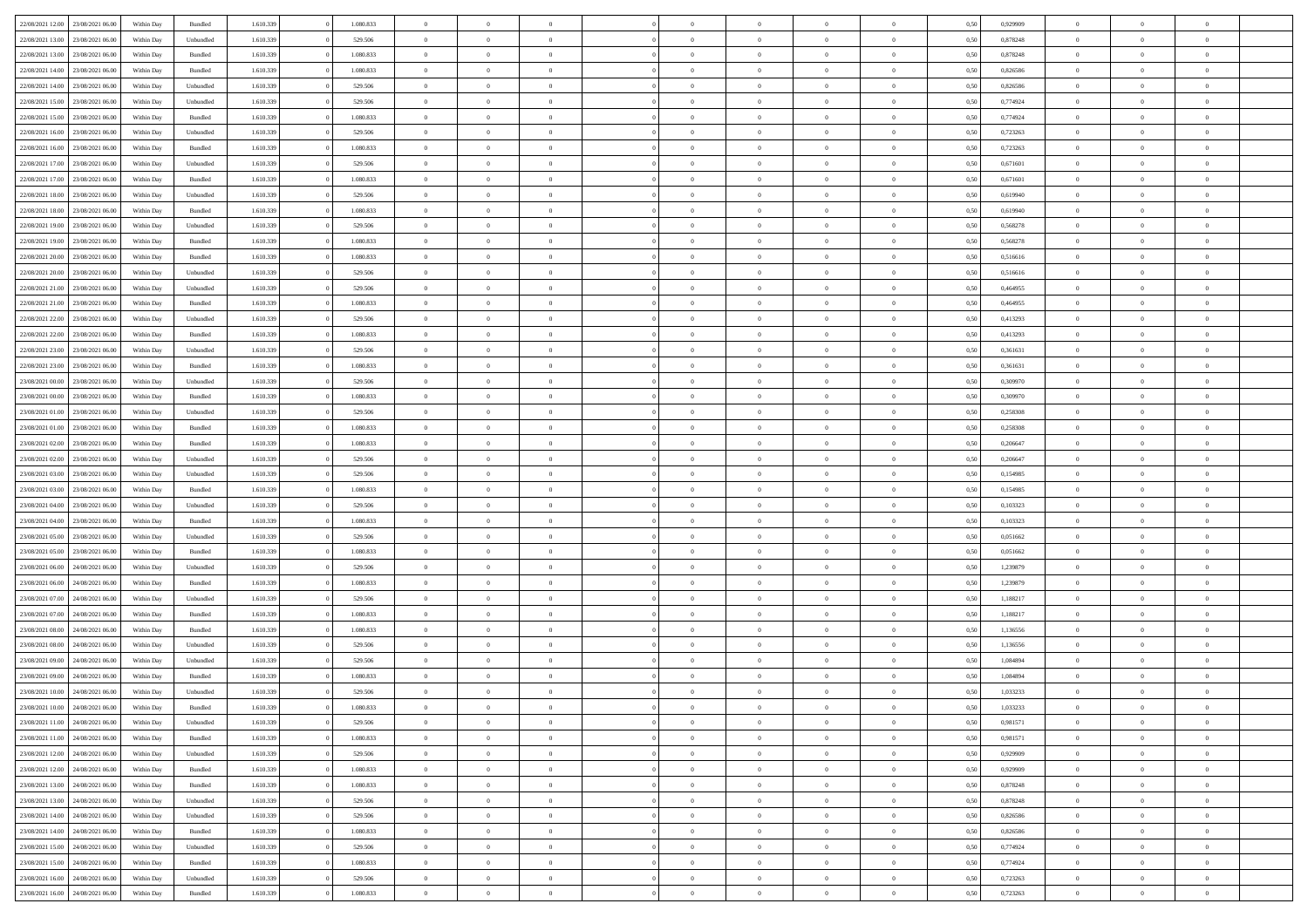| 22/08/2021 12:00                  | 23/08/2021 06:00 | Within Day | Bundled            | 1.610.339 | 1.080.833 | $\overline{0}$ | $\Omega$       |                | $\Omega$       | $\Omega$       | $\theta$       | $\theta$       | 0,50 | 0.929909 | $\theta$       | $\theta$       | $\theta$       |  |
|-----------------------------------|------------------|------------|--------------------|-----------|-----------|----------------|----------------|----------------|----------------|----------------|----------------|----------------|------|----------|----------------|----------------|----------------|--|
|                                   |                  |            |                    |           |           |                |                |                |                |                |                |                |      |          |                |                |                |  |
| 22/08/2021 13:00                  | 23/08/2021 06:00 | Within Day | Unbundled          | 1.610.339 | 529.506   | $\overline{0}$ | $\theta$       | $\overline{0}$ | $\overline{0}$ | $\bf{0}$       | $\overline{0}$ | $\bf{0}$       | 0,50 | 0,878248 | $\theta$       | $\overline{0}$ | $\overline{0}$ |  |
| 22/08/2021 13:00                  | 23/08/2021 06:00 | Within Day | Bundled            | 1.610.339 | 1.080.833 | $\overline{0}$ | $\overline{0}$ | $\overline{0}$ | $\bf{0}$       | $\bf{0}$       | $\bf{0}$       | $\mathbf{0}$   | 0,50 | 0,878248 | $\overline{0}$ | $\overline{0}$ | $\bf{0}$       |  |
| 22/08/2021 14:00                  | 23/08/2021 06:00 | Within Dav | Bundled            | 1.610.339 | 1.080.833 | $\overline{0}$ | $\overline{0}$ | $\overline{0}$ | $\overline{0}$ | $\bf{0}$       | $\overline{0}$ | $\overline{0}$ | 0.50 | 0.826586 | $\theta$       | $\theta$       | $\overline{0}$ |  |
| 22/08/2021 14:00                  | 23/08/2021 06:00 | Within Day | Unbundled          | 1.610.339 | 529.506   | $\overline{0}$ | $\theta$       | $\overline{0}$ | $\overline{0}$ | $\bf{0}$       | $\overline{0}$ | $\bf{0}$       | 0,50 | 0,826586 | $\,$ 0 $\,$    | $\overline{0}$ | $\overline{0}$ |  |
| 22/08/2021 15:00                  | 23/08/2021 06:00 | Within Day | Unbundled          | 1.610.339 | 529.506   | $\overline{0}$ | $\overline{0}$ | $\overline{0}$ | $\bf{0}$       | $\overline{0}$ | $\overline{0}$ | $\mathbf{0}$   | 0,50 | 0,774924 | $\overline{0}$ | $\overline{0}$ | $\bf{0}$       |  |
|                                   |                  |            |                    |           |           |                |                |                |                | $\overline{0}$ |                |                |      |          | $\theta$       | $\overline{0}$ | $\overline{0}$ |  |
| 22/08/2021 15:00                  | 23/08/2021 06:00 | Within Dav | Bundled            | 1.610.339 | 1.080.833 | $\overline{0}$ | $\overline{0}$ | $\overline{0}$ | $\overline{0}$ |                | $\overline{0}$ | $\overline{0}$ | 0.50 | 0,774924 |                |                |                |  |
| 22/08/2021 16:00                  | 23/08/2021 06:00 | Within Day | Unbundled          | 1.610.339 | 529.506   | $\overline{0}$ | $\theta$       | $\overline{0}$ | $\overline{0}$ | $\bf{0}$       | $\overline{0}$ | $\bf{0}$       | 0,50 | 0,723263 | $\theta$       | $\theta$       | $\overline{0}$ |  |
| 22/08/2021 16:00                  | 23/08/2021 06:00 | Within Day | Bundled            | 1.610.339 | 1.080.833 | $\overline{0}$ | $\overline{0}$ | $\overline{0}$ | $\bf{0}$       | $\bf{0}$       | $\bf{0}$       | $\mathbf{0}$   | 0,50 | 0,723263 | $\,0\,$        | $\overline{0}$ | $\overline{0}$ |  |
| 22/08/2021 17:00                  | 23/08/2021 06:00 | Within Dav | Unbundled          | 1.610.339 | 529.506   | $\overline{0}$ | $\overline{0}$ | $\overline{0}$ | $\overline{0}$ | $\overline{0}$ | $\overline{0}$ | $\overline{0}$ | 0.50 | 0,671601 | $\theta$       | $\overline{0}$ | $\overline{0}$ |  |
| 22/08/2021 17:00                  | 23/08/2021 06:00 | Within Day | Bundled            | 1.610.339 | 1.080.833 | $\overline{0}$ | $\theta$       | $\overline{0}$ | $\overline{0}$ | $\bf{0}$       | $\overline{0}$ | $\bf{0}$       | 0,50 | 0,671601 | $\,$ 0 $\,$    | $\overline{0}$ | $\overline{0}$ |  |
| 22/08/2021 18:00                  | 23/08/2021 06:00 | Within Day | Unbundled          | 1.610.339 | 529.506   | $\overline{0}$ | $\overline{0}$ | $\overline{0}$ | $\bf{0}$       | $\bf{0}$       | $\bf{0}$       | $\mathbf{0}$   | 0,50 | 0,619940 | $\bf{0}$       | $\overline{0}$ | $\bf{0}$       |  |
| 22/08/2021 18:00                  | 23/08/2021 06:00 | Within Day | Bundled            | 1.610.339 | 1.080.833 | $\overline{0}$ | $\overline{0}$ | $\overline{0}$ | $\overline{0}$ | $\bf{0}$       | $\overline{0}$ | $\overline{0}$ | 0.50 | 0.619940 | $\theta$       | $\theta$       | $\overline{0}$ |  |
|                                   |                  |            |                    |           |           |                |                |                |                |                |                |                |      |          |                |                |                |  |
| 22/08/2021 19:00                  | 23/08/2021 06:00 | Within Day | Unbundled          | 1.610.339 | 529.506   | $\overline{0}$ | $\theta$       | $\overline{0}$ | $\overline{0}$ | $\bf{0}$       | $\overline{0}$ | $\bf{0}$       | 0,50 | 0,568278 | $\theta$       | $\overline{0}$ | $\overline{0}$ |  |
| 22/08/2021 19:00                  | 23/08/2021 06:00 | Within Day | Bundled            | 1.610.339 | 1.080.833 | $\overline{0}$ | $\overline{0}$ | $\overline{0}$ | $\bf{0}$       | $\overline{0}$ | $\overline{0}$ | $\mathbf{0}$   | 0,50 | 0,568278 | $\bf{0}$       | $\overline{0}$ | $\bf{0}$       |  |
| 22/08/2021 20:00                  | 23/08/2021 06:00 | Within Dav | Bundled            | 1.610.339 | 1.080.833 | $\overline{0}$ | $\overline{0}$ | $\overline{0}$ | $\overline{0}$ | $\overline{0}$ | $\overline{0}$ | $\overline{0}$ | 0.50 | 0,516616 | $\overline{0}$ | $\overline{0}$ | $\overline{0}$ |  |
| 22/08/2021 20:00                  | 23/08/2021 06:00 | Within Day | Unbundled          | 1.610.339 | 529.506   | $\overline{0}$ | $\theta$       | $\overline{0}$ | $\overline{0}$ | $\bf{0}$       | $\overline{0}$ | $\bf{0}$       | 0,50 | 0,516616 | $\theta$       | $\theta$       | $\overline{0}$ |  |
| 22/08/2021 21:00                  | 23/08/2021 06:00 | Within Day | Unbundled          | 1.610.339 | 529.506   | $\overline{0}$ | $\overline{0}$ | $\overline{0}$ | $\bf{0}$       | $\bf{0}$       | $\bf{0}$       | $\mathbf{0}$   | 0,50 | 0,464955 | $\bf{0}$       | $\overline{0}$ | $\bf{0}$       |  |
| 22/08/2021 21:00                  | 23/08/2021 06:00 | Within Day | Bundled            | 1.610.339 | 1.080.833 | $\overline{0}$ | $\overline{0}$ | $\overline{0}$ | $\overline{0}$ | $\overline{0}$ | $\overline{0}$ | $\overline{0}$ | 0.50 | 0.464955 | $\theta$       | $\overline{0}$ | $\overline{0}$ |  |
| 22/08/2021 22:00                  | 23/08/2021 06:00 | Within Day | Unbundled          | 1.610.339 | 529.506   | $\overline{0}$ | $\theta$       | $\overline{0}$ | $\overline{0}$ | $\bf{0}$       | $\overline{0}$ | $\bf{0}$       | 0,50 | 0,413293 | $\,$ 0 $\,$    | $\overline{0}$ | $\overline{0}$ |  |
|                                   |                  |            |                    |           |           |                |                |                |                |                |                |                |      |          |                |                |                |  |
| 22/08/2021 22:00                  | 23/08/2021 06:00 | Within Day | Bundled            | 1.610.339 | 1.080.833 | $\overline{0}$ | $\overline{0}$ | $\overline{0}$ | $\bf{0}$       | $\bf{0}$       | $\bf{0}$       | $\mathbf{0}$   | 0,50 | 0,413293 | $\overline{0}$ | $\overline{0}$ | $\bf{0}$       |  |
| 22/08/2021 23:00                  | 23/08/2021 06:00 | Within Day | Unbundled          | 1.610.339 | 529.506   | $\overline{0}$ | $\overline{0}$ | $\overline{0}$ | $\overline{0}$ | $\overline{0}$ | $\overline{0}$ | $\overline{0}$ | 0.50 | 0.361631 | $\theta$       | $\overline{0}$ | $\overline{0}$ |  |
| 22/08/2021 23:00                  | 23/08/2021 06:00 | Within Day | Bundled            | 1.610.339 | 1.080.833 | $\overline{0}$ | $\theta$       | $\overline{0}$ | $\overline{0}$ | $\bf{0}$       | $\overline{0}$ | $\bf{0}$       | 0,50 | 0,361631 | $\,$ 0 $\,$    | $\overline{0}$ | $\overline{0}$ |  |
| 23/08/2021 00:00                  | 23/08/2021 06:00 | Within Day | Unbundled          | 1.610.339 | 529.506   | $\overline{0}$ | $\overline{0}$ | $\overline{0}$ | $\bf{0}$       | $\overline{0}$ | $\overline{0}$ | $\mathbf{0}$   | 0,50 | 0,309970 | $\overline{0}$ | $\overline{0}$ | $\bf{0}$       |  |
| 23/08/2021 00:00                  | 23/08/2021 06:00 | Within Dav | Bundled            | 1.610.339 | 1.080.833 | $\overline{0}$ | $\overline{0}$ | $\overline{0}$ | $\overline{0}$ | $\overline{0}$ | $\overline{0}$ | $\overline{0}$ | 0.50 | 0,309970 | $\overline{0}$ | $\overline{0}$ | $\overline{0}$ |  |
| 23/08/2021 01:00                  | 23/08/2021 06:00 | Within Day | Unbundled          | 1.610.339 | 529.506   | $\overline{0}$ | $\theta$       | $\overline{0}$ | $\overline{0}$ | $\bf{0}$       | $\overline{0}$ | $\bf{0}$       | 0,50 | 0,258308 | $\theta$       | $\theta$       | $\overline{0}$ |  |
|                                   |                  |            |                    |           |           |                |                |                |                |                |                |                |      |          |                |                |                |  |
| 23/08/2021 01:00                  | 23/08/2021 06:00 | Within Day | Bundled            | 1.610.339 | 1.080.833 | $\overline{0}$ | $\overline{0}$ | $\overline{0}$ | $\bf{0}$       | $\bf{0}$       | $\bf{0}$       | $\bf{0}$       | 0,50 | 0,258308 | $\,0\,$        | $\overline{0}$ | $\bf{0}$       |  |
| 23/08/2021 02:00                  | 23/08/2021 06:00 | Within Day | Bundled            | 1.610.339 | 1.080.833 | $\overline{0}$ | $\overline{0}$ | $\overline{0}$ | $\overline{0}$ | $\overline{0}$ | $\overline{0}$ | $\overline{0}$ | 0.50 | 0.206647 | $\theta$       | $\overline{0}$ | $\overline{0}$ |  |
| 23/08/2021 02:00                  | 23/08/2021 06:00 | Within Day | Unbundled          | 1.610.339 | 529.506   | $\overline{0}$ | $\theta$       | $\overline{0}$ | $\overline{0}$ | $\bf{0}$       | $\overline{0}$ | $\bf{0}$       | 0,50 | 0,206647 | $\,$ 0 $\,$    | $\overline{0}$ | $\overline{0}$ |  |
| 23/08/2021 03:00                  | 23/08/2021 06:00 | Within Day | Unbundled          | 1.610.339 | 529.506   | $\overline{0}$ | $\overline{0}$ | $\overline{0}$ | $\bf{0}$       | $\bf{0}$       | $\bf{0}$       | $\bf{0}$       | 0,50 | 0,154985 | $\overline{0}$ | $\overline{0}$ | $\bf{0}$       |  |
| 23/08/2021 03:00                  | 23/08/2021 06:00 | Within Day | Bundled            | 1.610.339 | 1.080.833 | $\overline{0}$ | $\Omega$       | $\overline{0}$ | $\Omega$       | $\Omega$       | $\overline{0}$ | $\overline{0}$ | 0,50 | 0,154985 | $\,0\,$        | $\theta$       | $\theta$       |  |
| 23/08/2021 04:00                  | 23/08/2021 06:00 | Within Day | Unbundled          | 1.610.339 | 529.506   | $\overline{0}$ | $\theta$       | $\overline{0}$ | $\overline{0}$ | $\bf{0}$       | $\overline{0}$ | $\bf{0}$       | 0,50 | 0,103323 | $\,$ 0 $\,$    | $\overline{0}$ | $\overline{0}$ |  |
| 23/08/2021 04:00                  | 23/08/2021 06:00 | Within Day | Bundled            | 1.610.339 | 1.080.833 | $\overline{0}$ | $\overline{0}$ | $\overline{0}$ | $\bf{0}$       | $\overline{0}$ | $\overline{0}$ | $\mathbf{0}$   | 0,50 | 0,103323 | $\overline{0}$ | $\overline{0}$ | $\bf{0}$       |  |
|                                   | 23/08/2021 06:00 |            |                    |           |           | $\overline{0}$ | $\Omega$       | $\Omega$       | $\Omega$       | $\overline{0}$ | $\overline{0}$ |                |      | 0.051662 |                | $\theta$       | $\theta$       |  |
| 23/08/2021 05:00                  |                  | Within Day | Unbundled          | 1.610.339 | 529.506   |                |                |                |                |                |                | $\overline{0}$ | 0.50 |          | $\,0\,$        |                |                |  |
| 23/08/2021 05:00                  | 23/08/2021 06:00 | Within Day | Bundled            | 1.610.339 | 1.080.833 | $\overline{0}$ | $\theta$       | $\overline{0}$ | $\overline{0}$ | $\bf{0}$       | $\overline{0}$ | $\bf{0}$       | 0,50 | 0,051662 | $\,$ 0 $\,$    | $\overline{0}$ | $\overline{0}$ |  |
| 23/08/2021 06:00                  | 24/08/2021 06:00 | Within Day | Unbundled          | 1.610.339 | 529.506   | $\overline{0}$ | $\overline{0}$ | $\overline{0}$ | $\bf{0}$       | $\bf{0}$       | $\bf{0}$       | $\mathbf{0}$   | 0,50 | 1,239879 | $\bf{0}$       | $\overline{0}$ | $\bf{0}$       |  |
| 23/08/2021 06:00                  | 24/08/2021 06:00 | Within Day | Bundled            | 1.610.339 | 1.080.833 | $\overline{0}$ | $\Omega$       | $\overline{0}$ | $\Omega$       | $\overline{0}$ | $\overline{0}$ | $\overline{0}$ | 0.50 | 1,239879 | $\,$ 0 $\,$    | $\theta$       | $\theta$       |  |
| 23/08/2021 07:00                  | 24/08/2021 06:00 | Within Day | Unbundled          | 1.610.339 | 529.506   | $\overline{0}$ | $\overline{0}$ | $\overline{0}$ | $\overline{0}$ | $\,$ 0         | $\overline{0}$ | $\bf{0}$       | 0,50 | 1,188217 | $\,$ 0 $\,$    | $\overline{0}$ | $\overline{0}$ |  |
| 23/08/2021 07:00                  | 24/08/2021 06:00 | Within Day | Bundled            | 1.610.339 | 1.080.833 | $\overline{0}$ | $\overline{0}$ | $\overline{0}$ | $\bf{0}$       | $\bf{0}$       | $\bf{0}$       | $\mathbf{0}$   | 0,50 | 1,188217 | $\overline{0}$ | $\overline{0}$ | $\bf{0}$       |  |
| 23/08/2021 08:00                  | 24/08/2021 06:00 | Within Day | Bundled            | 1.610.339 | 1.080.833 | $\overline{0}$ | $\Omega$       | $\overline{0}$ | $\Omega$       | $\overline{0}$ | $\overline{0}$ | $\overline{0}$ | 0,50 | 1,136556 | $\,0\,$        | $\theta$       | $\theta$       |  |
| 23/08/2021 08:00                  | 24/08/2021 06:00 | Within Day | Unbundled          | 1.610.339 | 529.506   | $\overline{0}$ | $\overline{0}$ | $\overline{0}$ | $\overline{0}$ | $\,$ 0         | $\overline{0}$ | $\bf{0}$       | 0,50 | 1,136556 | $\,$ 0 $\,$    | $\overline{0}$ | $\overline{0}$ |  |
|                                   |                  |            |                    |           |           |                |                |                |                |                |                |                |      |          |                |                |                |  |
| 23/08/2021 09:00                  | 24/08/2021 06:00 | Within Day | Unbundled          | 1.610.339 | 529.506   | $\overline{0}$ | $\overline{0}$ | $\overline{0}$ | $\bf{0}$       | $\bf{0}$       | $\overline{0}$ | $\mathbf{0}$   | 0,50 | 1,084894 | $\overline{0}$ | $\overline{0}$ | $\bf{0}$       |  |
| 23/08/2021 09:00                  | 24/08/2021 06:00 | Within Day | Bundled            | 1.610.339 | 1.080.833 | $\overline{0}$ | $\Omega$       | $\Omega$       | $\Omega$       | $\Omega$       | $\Omega$       | $\overline{0}$ | 0.50 | 1.084894 | $\theta$       | $\theta$       | $\theta$       |  |
| 23/08/2021 10:00                  | 24/08/2021 06:00 | Within Day | Unbundled          | 1.610.339 | 529.506   | $\overline{0}$ | $\overline{0}$ | $\overline{0}$ | $\bf{0}$       | $\,$ 0         | $\bf{0}$       | $\bf{0}$       | 0,50 | 1,033233 | $\,0\,$        | $\,0\,$        | $\overline{0}$ |  |
| 23/08/2021 10:00 24/08/2021 06:00 |                  | Within Day | $\mathbf B$ undled | 1.610.339 | 1.080.833 | $\overline{0}$ | $\bf{0}$       |                |                | $\bf{0}$       |                |                | 0,50 | 1,033233 | $\bf{0}$       | $\overline{0}$ |                |  |
| 23/08/2021 11:00                  | 24/08/2021 06:00 | Within Day | Unbundled          | 1.610.339 | 529.506   | $\overline{0}$ | $\overline{0}$ | $\overline{0}$ | $\Omega$       | $\overline{0}$ | $\overline{0}$ | $\overline{0}$ | 0,50 | 0.981571 | $\theta$       | $\theta$       | $\theta$       |  |
| 23/08/2021 11:00                  | 24/08/2021 06:00 | Within Day | Bundled            | 1.610.339 | 1.080.833 | $\overline{0}$ | $\,$ 0         | $\overline{0}$ | $\bf{0}$       | $\,$ 0 $\,$    | $\overline{0}$ | $\,$ 0 $\,$    | 0,50 | 0,981571 | $\,$ 0 $\,$    | $\,$ 0 $\,$    | $\,$ 0         |  |
| 23/08/2021 12:00                  | 24/08/2021 06:00 | Within Day | Unbundled          | 1.610.339 | 529.506   | $\overline{0}$ | $\overline{0}$ | $\overline{0}$ | $\overline{0}$ | $\overline{0}$ | $\overline{0}$ | $\mathbf{0}$   | 0,50 | 0,929909 | $\overline{0}$ | $\bf{0}$       | $\bf{0}$       |  |
|                                   |                  |            |                    |           |           |                |                |                |                |                |                |                |      |          |                |                |                |  |
| 23/08/2021 12:00                  | 24/08/2021 06:00 | Within Day | $\mathbf B$ undled | 1.610.339 | 1.080.833 | $\overline{0}$ | $\overline{0}$ | $\overline{0}$ | $\Omega$       | $\overline{0}$ | $\overline{0}$ | $\overline{0}$ | 0,50 | 0,929909 | $\overline{0}$ | $\theta$       | $\overline{0}$ |  |
| 23/08/2021 13:00                  | 24/08/2021 06:00 | Within Day | Bundled            | 1.610.339 | 1.080.833 | $\overline{0}$ | $\,$ 0         | $\overline{0}$ | $\overline{0}$ | $\,$ 0 $\,$    | $\overline{0}$ | $\mathbf{0}$   | 0,50 | 0,878248 | $\,$ 0 $\,$    | $\overline{0}$ | $\overline{0}$ |  |
| 23/08/2021 13:00                  | 24/08/2021 06:00 | Within Day | Unbundled          | 1.610.339 | 529.506   | $\overline{0}$ | $\overline{0}$ | $\overline{0}$ | $\overline{0}$ | $\overline{0}$ | $\overline{0}$ | $\mathbf{0}$   | 0,50 | 0,878248 | $\overline{0}$ | $\overline{0}$ | $\bf{0}$       |  |
| 23/08/2021 14:00                  | 24/08/2021 06:00 | Within Day | Unbundled          | 1.610.339 | 529.506   | $\overline{0}$ | $\overline{0}$ | $\overline{0}$ | $\Omega$       | $\overline{0}$ | $\overline{0}$ | $\bf{0}$       | 0.50 | 0,826586 | $\overline{0}$ | $\theta$       | $\overline{0}$ |  |
| 23/08/2021 14:00                  | 24/08/2021 06:00 | Within Day | Bundled            | 1.610.339 | 1.080.833 | $\overline{0}$ | $\,$ 0         | $\overline{0}$ | $\bf{0}$       | $\bf{0}$       | $\bf{0}$       | $\bf{0}$       | 0,50 | 0,826586 | $\,$ 0 $\,$    | $\overline{0}$ | $\overline{0}$ |  |
| 23/08/2021 15:00                  | 24/08/2021 06:00 | Within Day | Unbundled          | 1.610.339 | 529.506   | $\overline{0}$ | $\bf{0}$       | $\overline{0}$ | $\overline{0}$ | $\overline{0}$ | $\overline{0}$ | $\mathbf{0}$   | 0,50 | 0,774924 | $\overline{0}$ | $\overline{0}$ | $\bf{0}$       |  |
|                                   | 24/08/2021 06:00 |            | Bundled            |           | 1.080.833 | $\overline{0}$ | $\overline{0}$ | $\overline{0}$ | $\Omega$       | $\overline{0}$ | $\overline{0}$ |                | 0.50 |          | $\overline{0}$ | $\overline{0}$ | $\overline{0}$ |  |
| 23/08/2021 15:00                  |                  | Within Day |                    | 1.610.339 |           |                |                |                |                |                |                | $\overline{0}$ |      | 0,774924 |                |                |                |  |
| 23/08/2021 16:00                  | 24/08/2021 06:00 | Within Day | Unbundled          | 1.610.339 | 529.506   | $\overline{0}$ | $\bf{0}$       | $\overline{0}$ | $\overline{0}$ | $\bf{0}$       | $\bf{0}$       | $\mathbf{0}$   | 0,50 | 0,723263 | $\,$ 0 $\,$    | $\,$ 0 $\,$    | $\bf{0}$       |  |
| 23/08/2021 16:00 24/08/2021 06:00 |                  | Within Day | Bundled            | 1.610.339 | 1.080.833 | $\overline{0}$ | $\overline{0}$ | $\overline{0}$ | $\overline{0}$ | $\overline{0}$ | $\bf{0}$       | $\mathbf{0}$   | 0,50 | 0,723263 | $\overline{0}$ | $\bf{0}$       | $\bf{0}$       |  |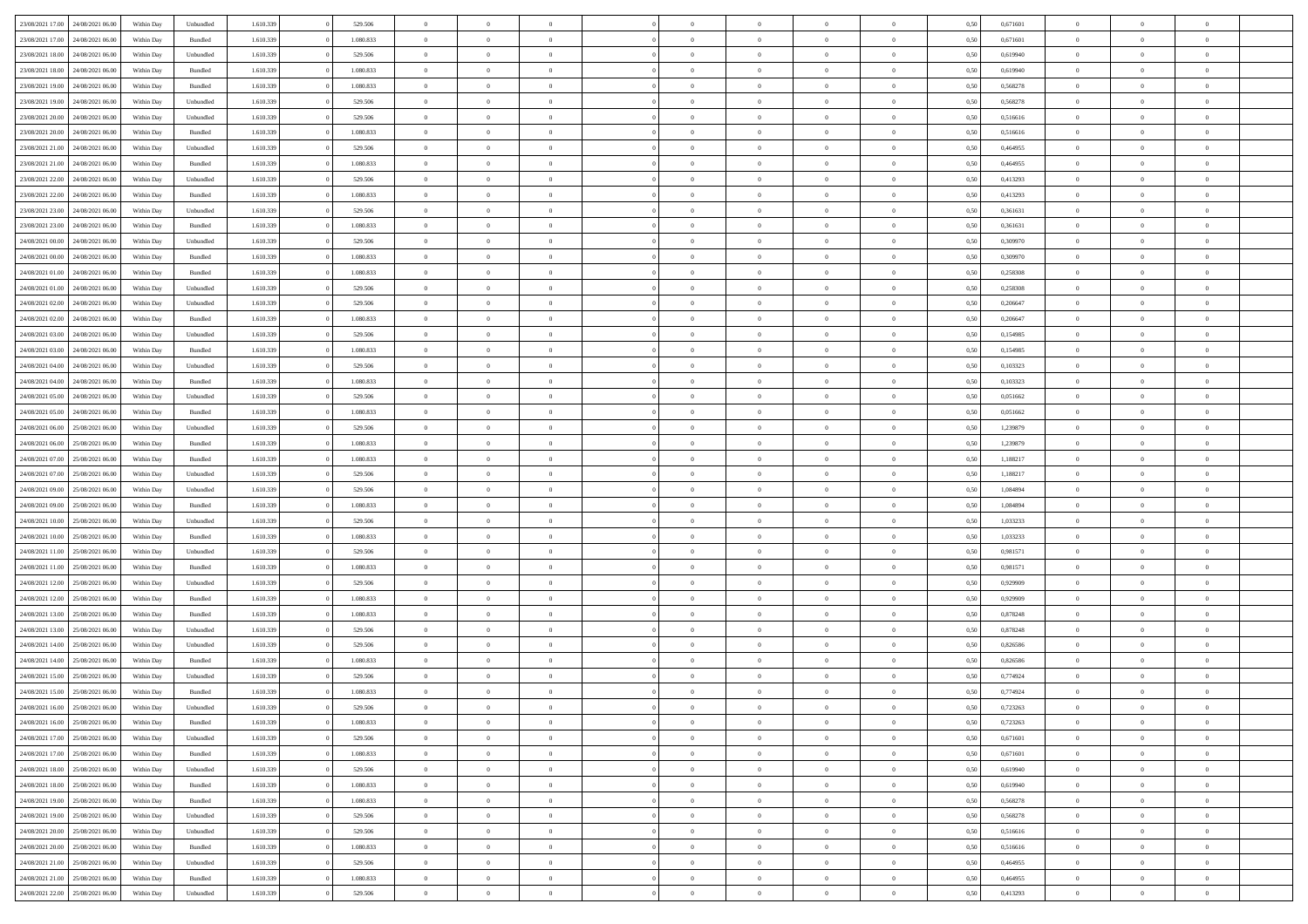| 23/08/2021 17:00<br>24/08/2021 06:00<br>$\mathbf B$ undled<br>1.610.339<br>1.080.833<br>$\,$ 0<br>0,671601<br>Within Day<br>$\bf{0}$<br>$\overline{0}$<br>$\overline{0}$<br>$\theta$<br>$\overline{0}$<br>$\overline{0}$<br>0,50<br>$\theta$<br>$\theta$<br>$\bf{0}$<br>23/08/2021 18:00<br>24/08/2021 06:00<br>Within Day<br>Unbundled<br>1.610.339<br>529.506<br>$\overline{0}$<br>$\overline{0}$<br>$\overline{0}$<br>$\bf{0}$<br>$\bf{0}$<br>$\overline{0}$<br>$\mathbf{0}$<br>0,50<br>0,619940<br>$\bf{0}$<br>$\bf{0}$<br>$\overline{0}$<br>23/08/2021 18:00<br>24/08/2021 06:00<br>1.610.339<br>1.080.833<br>$\overline{0}$<br>$\mathbf{0}$<br>Within Day<br>Bundled<br>$\overline{0}$<br>$\overline{0}$<br>$\overline{0}$<br>$\overline{0}$<br>0.50<br>0.619940<br>$\overline{0}$<br>$\bf{0}$<br>$\overline{0}$<br>$\overline{0}$<br>23/08/2021 19:00<br>24/08/2021 06:00<br>Bundled<br>1.610.339<br>1.080.833<br>0,568278<br>Within Day<br>$\bf{0}$<br>$\overline{0}$<br>$\overline{0}$<br>$\theta$<br>$\overline{0}$<br>$\overline{0}$<br>$\bf{0}$<br>0,50<br>$\theta$<br>$\theta$<br>$\bf{0}$<br>23/08/2021 19:00<br>24/08/2021 06:00<br>Within Day<br>Unbundled<br>1.610.339<br>529.506<br>$\overline{0}$<br>$\overline{0}$<br>$\overline{0}$<br>$\bf{0}$<br>$\overline{0}$<br>$\overline{0}$<br>$\overline{0}$<br>0,50<br>0,568278<br>$\overline{0}$<br>$\overline{0}$<br>$\overline{0}$<br>23/08/2021 20:00<br>24/08/2021 06:00<br>1.610.339<br>$\overline{0}$<br>$\overline{0}$<br>$\mathbf{0}$<br>$\overline{0}$<br>Within Day<br>Unbundled<br>529,506<br>$\overline{0}$<br>$\overline{0}$<br>$\overline{0}$<br>$\overline{0}$<br>$\overline{0}$<br>0.50<br>0.516616<br>$\overline{0}$<br>23/08/2021 20:00<br>24/08/2021 06:00<br>Bundled<br>1.610.339<br>1.080.833<br>Within Day<br>$\bf{0}$<br>$\overline{0}$<br>$\overline{0}$<br>$\theta$<br>$\overline{0}$<br>$\overline{0}$<br>$\bf{0}$<br>0,50<br>0,516616<br>$\theta$<br>$\theta$<br>$\bf{0}$<br>23/08/2021 21:00<br>24/08/2021 06:00<br>Within Day<br>Unbundled<br>1.610.339<br>529.506<br>$\overline{0}$<br>$\overline{0}$<br>$\overline{0}$<br>$\bf{0}$<br>$\bf{0}$<br>$\overline{0}$<br>$\mathbf{0}$<br>0,50<br>0,464955<br>$\bf{0}$<br>$\bf{0}$<br>$\bf{0}$<br>23/08/2021 21:00<br>24/08/2021 06:00<br>1.610.339<br>1.080.833<br>$\overline{0}$<br>$\overline{0}$<br>$\overline{0}$<br>$\overline{0}$<br>$\overline{0}$<br>0.50<br>$\overline{0}$<br>$\overline{0}$<br>Within Day<br>Bundled<br>$\overline{0}$<br>$\overline{0}$<br>0.464955<br>$\overline{0}$<br>23/08/2021 22:00<br>24/08/2021 06:00<br>Unbundled<br>1.610.339<br>529.506<br>$\,$ 0<br>Within Day<br>$\bf{0}$<br>$\overline{0}$<br>$\overline{0}$<br>$\overline{0}$<br>$\overline{0}$<br>$\overline{0}$<br>0,50<br>0,413293<br>$\overline{0}$<br>$\theta$<br>$\bf{0}$<br>23/08/2021 22:00<br>24/08/2021 06:00<br>Within Day<br>Bundled<br>1.610.339<br>1.080.833<br>$\overline{0}$<br>$\overline{0}$<br>$\overline{0}$<br>$\bf{0}$<br>$\overline{0}$<br>$\overline{0}$<br>$\mathbf{0}$<br>0,50<br>0,413293<br>$\overline{0}$<br>$\bf{0}$<br>$\bf{0}$<br>23/08/2021 23:00<br>1.610.339<br>$\overline{0}$<br>$\mathbf{0}$<br>24/08/2021 06:00<br>Within Day<br>Unbundled<br>529,506<br>$\overline{0}$<br>$\overline{0}$<br>$\overline{0}$<br>$\overline{0}$<br>$\overline{0}$<br>0.50<br>0.361631<br>$\overline{0}$<br>$\bf{0}$<br>$\overline{0}$<br>23/08/2021 23:00<br>24/08/2021 06:00<br>Bundled<br>1.610.339<br>1.080.833<br>$\,$ 0<br>0,361631<br>Within Day<br>$\bf{0}$<br>$\overline{0}$<br>$\overline{0}$<br>$\theta$<br>$\overline{0}$<br>$\overline{0}$<br>0,50<br>$\theta$<br>$\theta$<br>$\bf{0}$<br>24/08/2021 00:00<br>24/08/2021 06:00<br>Within Day<br>Unbundled<br>1.610.339<br>529.506<br>$\overline{0}$<br>$\overline{0}$<br>$\overline{0}$<br>$\bf{0}$<br>$\overline{0}$<br>$\overline{0}$<br>$\overline{0}$<br>0,50<br>0,309970<br>$\overline{0}$<br>$\overline{0}$<br>$\overline{0}$<br>24/08/2021 00:00<br>24/08/2021 06:00<br>1.610.339<br>1.080.833<br>$\overline{0}$<br>$\overline{0}$<br>0,309970<br>$\overline{0}$<br>Within Day<br>Bundled<br>$\overline{0}$<br>$\overline{0}$<br>$\overline{0}$<br>$\overline{0}$<br>$\overline{0}$<br>0.50<br>$\overline{0}$<br>$\overline{0}$<br>24/08/2021 01:00<br>24/08/2021 06:00<br>Bundled<br>1.610.339<br>1.080.833<br>0,258308<br>Within Day<br>$\bf{0}$<br>$\overline{0}$<br>$\overline{0}$<br>$\overline{0}$<br>$\overline{0}$<br>$\overline{0}$<br>$\bf{0}$<br>0,50<br>$\theta$<br>$\theta$<br>$\bf{0}$<br>24/08/2021 01:00<br>24/08/2021 06:00<br>Within Day<br>Unbundled<br>1.610.339<br>529.506<br>$\overline{0}$<br>$\overline{0}$<br>$\overline{0}$<br>$\bf{0}$<br>$\bf{0}$<br>$\overline{0}$<br>$\mathbf{0}$<br>0,50<br>0,258308<br>$\bf{0}$<br>$\bf{0}$<br>$\bf{0}$<br>24/08/2021 02:00<br>24/08/2021 06:00<br>1.610.339<br>529.506<br>$\overline{0}$<br>$\overline{0}$<br>$\overline{0}$<br>$\overline{0}$<br>$\overline{0}$<br>$\overline{0}$<br>Within Day<br>Unbundled<br>$\overline{0}$<br>$\overline{0}$<br>$\overline{0}$<br>0.50<br>0.206647<br>$\overline{0}$<br>24/08/2021 02:00<br>24/08/2021 06:00<br>Bundled<br>1.610.339<br>1.080.833<br>$\,$ 0<br>0,206647<br>Within Day<br>$\bf{0}$<br>$\overline{0}$<br>$\overline{0}$<br>$\overline{0}$<br>$\overline{0}$<br>$\overline{0}$<br>0,50<br>$\theta$<br>$\theta$<br>$\bf{0}$<br>24/08/2021 03:00<br>24/08/2021 06:00<br>Within Day<br>Unbundled<br>1.610.339<br>529.506<br>$\overline{0}$<br>$\overline{0}$<br>$\overline{0}$<br>$\bf{0}$<br>$\bf{0}$<br>$\overline{0}$<br>$\mathbf{0}$<br>0,50<br>0,154985<br>$\bf{0}$<br>$\bf{0}$<br>$\bf{0}$<br>24/08/2021 03:00<br>24/08/2021 06:00<br>1.610.339<br>1.080.833<br>$\overline{0}$<br>$\overline{0}$<br>Within Day<br>Bundled<br>$\overline{0}$<br>$\overline{0}$<br>$\overline{0}$<br>$\overline{0}$<br>$\overline{0}$<br>0.50<br>0.154985<br>$\overline{0}$<br>$\bf{0}$<br>$\overline{0}$<br>24/08/2021 04:00<br>24/08/2021 06:00<br>Unbundled<br>1.610.339<br>529.506<br>$\,$ 0<br>0,103323<br>$\mathbf{0}$<br>Within Day<br>$\bf{0}$<br>$\overline{0}$<br>$\overline{0}$<br>$\overline{0}$<br>$\overline{0}$<br>$\overline{0}$<br>0,50<br>$\theta$<br>$\bf{0}$<br>24/08/2021 04:00<br>24/08/2021 06:00<br>Within Day<br>Bundled<br>1.610.339<br>1.080.833<br>$\overline{0}$<br>$\overline{0}$<br>$\overline{0}$<br>$\bf{0}$<br>$\overline{0}$<br>$\overline{0}$<br>$\overline{0}$<br>0,50<br>0,103323<br>$\overline{0}$<br>$\overline{0}$<br>$\overline{0}$<br>24/08/2021 05:00<br>24/08/2021 06:00<br>1.610.339<br>$\overline{0}$<br>$\overline{0}$<br>$\overline{0}$<br>$\overline{0}$<br>Within Day<br>Unbundled<br>529,506<br>$\overline{0}$<br>$\overline{0}$<br>$\overline{0}$<br>$\overline{0}$<br>$\overline{0}$<br>0.50<br>0.051662<br>$\overline{0}$<br>24/08/2021 05:00<br>24/08/2021 06:00<br>Bundled<br>1.610.339<br>1.080.833<br>0,051662<br>Within Day<br>$\bf{0}$<br>$\overline{0}$<br>$\bf{0}$<br>$\overline{0}$<br>$\overline{0}$<br>$\overline{0}$<br>$\bf{0}$<br>0,50<br>$\theta$<br>$\theta$<br>$\bf{0}$<br>24/08/2021 06:00<br>25/08/2021 06:00<br>Within Day<br>Unbundled<br>1.610.339<br>529.506<br>$\overline{0}$<br>$\overline{0}$<br>$\overline{0}$<br>$\bf{0}$<br>$\bf{0}$<br>$\overline{0}$<br>$\mathbf{0}$<br>0,50<br>1,239879<br>$\bf{0}$<br>$\bf{0}$<br>$\bf{0}$<br>24/08/2021 06:00<br>25/08/2021 06:00<br>1.610.339<br>1.080.833<br>$\overline{0}$<br>$\overline{0}$<br>$\overline{0}$<br>$\overline{0}$<br>1,239879<br>$\overline{0}$<br>$\overline{0}$<br>Within Day<br>Bundled<br>$\overline{0}$<br>$\overline{0}$<br>$\overline{0}$<br>0.50<br>$\overline{0}$<br>24/08/2021 07:00<br>25/08/2021 06:00<br>Bundled<br>1.610.339<br>1.080.833<br>$\,$ 0<br>1,188217<br>Within Day<br>$\bf{0}$<br>$\overline{0}$<br>$\overline{0}$<br>$\overline{0}$<br>$\overline{0}$<br>$\overline{0}$<br>0,50<br>$\bf{0}$<br>$\theta$<br>$\bf{0}$<br>24/08/2021 07:00<br>25/08/2021 06:00<br>Within Day<br>Unbundled<br>1.610.339<br>529.506<br>$\overline{0}$<br>$\overline{0}$<br>$\overline{0}$<br>$\bf{0}$<br>$\overline{0}$<br>$\overline{0}$<br>$\mathbf{0}$<br>0,50<br>1,188217<br>$\overline{0}$<br>$\bf{0}$<br>$\bf{0}$<br>24/08/2021 09:00<br>25/08/2021 06:00<br>Unbundled<br>1.610.339<br>529.506<br>$\overline{0}$<br>$\overline{0}$<br>0,50<br>$\bf{0}$<br>Within Day<br>$\overline{0}$<br>$\overline{0}$<br>$\overline{0}$<br>$\overline{0}$<br>$\Omega$<br>1,084894<br>$\Omega$<br>$\Omega$<br>24/08/2021 09:00<br>25/08/2021 06:00<br>Bundled<br>1.610.339<br>1.080.833<br>$\,$ 0<br>1,084894<br>Within Day<br>$\bf{0}$<br>$\overline{0}$<br>$\overline{0}$<br>$\theta$<br>$\overline{0}$<br>$\overline{0}$<br>0,50<br>$\overline{0}$<br>$\theta$<br>$\bf{0}$<br>24/08/2021 10:00<br>25/08/2021 06:00<br>Within Day<br>Unbundled<br>1.610.339<br>529.506<br>$\overline{0}$<br>$\overline{0}$<br>$\overline{0}$<br>$\bf{0}$<br>$\overline{0}$<br>$\overline{0}$<br>$\overline{0}$<br>0,50<br>1,033233<br>$\overline{0}$<br>$\overline{0}$<br>$\overline{0}$<br>24/08/2021 10:00<br>25/08/2021 06:00<br>Bundled<br>1.610.339<br>1.080.833<br>$\overline{0}$<br>$\overline{0}$<br>$\overline{0}$<br>0.50<br>1,033233<br>$\overline{0}$<br>Within Day<br>$\overline{0}$<br>$\overline{0}$<br>$\overline{0}$<br>$\Omega$<br>$\Omega$<br>$\Omega$<br>24/08/2021 11:00<br>25/08/2021 06:00<br>1.610.339<br>529.506<br>Within Day<br>Unbundled<br>$\bf{0}$<br>$\overline{0}$<br>$\bf{0}$<br>$\overline{0}$<br>$\overline{0}$<br>$\overline{0}$<br>$\bf{0}$<br>0,50<br>0,981571<br>$\overline{0}$<br>$\theta$<br>$\bf{0}$<br>24/08/2021 11:00<br>25/08/2021 06:00<br>Within Day<br>Bundled<br>1.610.339<br>1.080.833<br>$\overline{0}$<br>$\overline{0}$<br>$\overline{0}$<br>$\bf{0}$<br>$\bf{0}$<br>$\overline{0}$<br>$\mathbf{0}$<br>0,50<br>0,981571<br>$\bf{0}$<br>$\bf{0}$<br>$\bf{0}$<br>24/08/2021 12:00<br>25/08/2021 06:00<br>Unbundled<br>1.610.339<br>529.506<br>$\overline{0}$<br>$\overline{0}$<br>$\overline{0}$<br>$\theta$<br>0.50<br>$\overline{0}$<br>$\theta$<br>Within Day<br>$\overline{0}$<br>$\overline{0}$<br>$\Omega$<br>0,929909<br>$\Omega$<br>24/08/2021 12:00<br>25/08/2021 06:00<br>Bundled<br>1.610.339<br>1.080.833<br>$\,$ 0<br>0,929909<br>Within Day<br>$\bf{0}$<br>$\overline{0}$<br>$\bf{0}$<br>$\overline{0}$<br>$\overline{0}$<br>$\overline{0}$<br>0,50<br>$\theta$<br>$\theta$<br>$\bf{0}$<br>24/08/2021 13:00<br>25/08/2021 06:00<br>Within Day<br>Bundled<br>1.610.339<br>1.080.833<br>$\overline{0}$<br>$\overline{0}$<br>$\overline{0}$<br>$\bf{0}$<br>$\bf{0}$<br>$\overline{0}$<br>$\mathbf{0}$<br>0,50<br>0,878248<br>$\overline{0}$<br>$\bf{0}$<br>$\bf{0}$<br>24/08/2021 13:00<br>25/08/2021 06:00<br>Within Day<br>Unbundled<br>1.610.339<br>529.506<br>$\overline{0}$<br>$\overline{0}$<br>0,50<br>0,878248<br>$\overline{0}$<br>$\overline{0}$<br>$\overline{0}$<br>$\overline{0}$<br>$\bf{0}$<br>$\Omega$<br>$\Omega$<br>$\Omega$<br>24/08/2021 14:00<br>25/08/2021 06:00<br>Unbundled<br>1.610.339<br>529.506<br>$\,$ 0<br>0,826586<br>$\,0\,$<br>Within Day<br>$\bf{0}$<br>$\overline{0}$<br>$\bf{0}$<br>$\overline{0}$<br>$\overline{0}$<br>$\overline{0}$<br>0,50<br>$\theta$<br>$\bf{0}$<br>24/08/2021 14:00<br>25/08/2021 06:00<br>Within Day<br>Bundled<br>1.610.339<br>1.080.833<br>$\overline{0}$<br>$\overline{0}$<br>$\overline{0}$<br>$\bf{0}$<br>$\overline{0}$<br>$\overline{0}$<br>$\overline{0}$<br>0,50<br>0,826586<br>$\bf{0}$<br>$\overline{0}$<br>$\overline{0}$<br>24/08/2021 15:00<br>25/08/2021 06:00<br>1.610.339<br>529.506<br>$\overline{0}$<br>$\overline{0}$<br>0.50<br>0.774924<br>$\overline{0}$<br>Within Day<br>Unbundled<br>$\theta$<br>$\Omega$<br>$\overline{0}$<br>$\bf{0}$<br>$\Omega$<br>$\Omega$<br>$\Omega$<br>24/08/2021 15:00<br>25/08/2021 06:00<br>Bundled<br>1.610.339<br>1.080.833<br>0,774924<br>Within Day<br>$\bf{0}$<br>$\overline{0}$<br>$\bf{0}$<br>$\bf{0}$<br>$\bf{0}$<br>$\overline{0}$<br>$\bf{0}$<br>0,50<br>$\bf{0}$<br>$\bf{0}$<br>$\,$ 0<br>24/08/2021 16:00 25/08/2021 06:00<br>Unbundled<br>1.610.339<br>Within Day<br>529.506<br>0,50<br>0,723263<br>$\bf{0}$<br>$\bf{0}$<br>$\bf{0}$<br>$\bf{0}$<br>24/08/2021 16:00 25/08/2021 06:00<br>1.610.339<br>1.080.833<br>$\overline{0}$<br>$\mathbf{0}$<br>$\overline{0}$<br>$\theta$<br>Within Day<br>Bundled<br>$\overline{0}$<br>$\overline{0}$<br>$\theta$<br>$\overline{0}$<br>$\overline{0}$<br>0,50<br>0,723263<br>$\theta$<br>24/08/2021 17:00<br>25/08/2021 06:00<br>Within Day<br>Unbundled<br>1.610.339<br>529.506<br>$\overline{0}$<br>$\overline{0}$<br>$\overline{0}$<br>$\bf{0}$<br>$\overline{0}$<br>$\overline{0}$<br>$\mathbf{0}$<br>0,50<br>0,671601<br>$\,$ 0 $\,$<br>$\overline{0}$<br>$\,$ 0 $\,$<br>24/08/2021 17:00 25/08/2021 06:00<br>Within Day<br>Bundled<br>1.610.339<br>1.080.833<br>$\overline{0}$<br>$\overline{0}$<br>$\overline{0}$<br>$\bf{0}$<br>$\overline{0}$<br>$\overline{0}$<br>$\overline{0}$<br>0,50<br>0,671601<br>$\overline{0}$<br>$\overline{0}$<br>$\overline{0}$<br>25/08/2021 06:00<br>1.610.339<br>$\overline{0}$<br>24/08/2021 18:00<br>Within Day<br>Unbundled<br>529.506<br>$\overline{0}$<br>$\overline{0}$<br>$\overline{0}$<br>$\overline{0}$<br>$\bf{0}$<br>$\overline{0}$<br>0,50<br>0,619940<br>$\overline{0}$<br>$\overline{0}$<br>$\overline{0}$<br>24/08/2021 18:00<br>25/08/2021 06:00<br>Within Day<br>Bundled<br>1.610.339<br>1.080.833<br>$\overline{0}$<br>$\overline{0}$<br>$\overline{0}$<br>$\overline{0}$<br>$\mathbf{0}$<br>0,619940<br>$\,$ 0 $\,$<br>$\theta$<br>$\bf{0}$<br>$\overline{0}$<br>$\overline{0}$<br>0,50<br>24/08/2021 19:00 25/08/2021 06:00<br>Within Day<br>Bundled<br>1.610.339<br>1.080.833<br>$\overline{0}$<br>$\overline{0}$<br>$\overline{0}$<br>$\overline{0}$<br>$\overline{0}$<br>$\overline{0}$<br>$\overline{0}$<br>0,50<br>0,568278<br>$\overline{0}$<br>$\overline{0}$<br>$\overline{0}$<br>1.610.339<br>$\overline{0}$<br>$\overline{0}$<br>24/08/2021 19:00<br>25/08/2021 06:00<br>Within Day<br>Unbundled<br>529.506<br>$\overline{0}$<br>$\overline{0}$<br>$\overline{0}$<br>$\overline{0}$<br>$\overline{0}$<br>0.50<br>0,568278<br>$\overline{0}$<br>$\overline{0}$<br>$\overline{0}$<br>24/08/2021 20:00<br>25/08/2021 06:00<br>Within Day<br>Unbundled<br>1.610.339<br>529.506<br>$\overline{0}$<br>$\overline{0}$<br>$\,$ 0 $\,$<br>0,516616<br>$\,$ 0 $\,$<br>$\overline{0}$<br>$\bf{0}$<br>$\bf{0}$<br>$\overline{0}$<br>0,50<br>$\theta$<br>$\,$ 0<br>25/08/2021 06:00<br>24/08/2021 20:00<br>Within Day<br>Bundled<br>1.610.339<br>1.080.833<br>$\overline{0}$<br>$\overline{0}$<br>$\overline{0}$<br>$\bf{0}$<br>$\overline{0}$<br>$\overline{0}$<br>$\overline{0}$<br>0,50<br>0,516616<br>$\bf{0}$<br>$\bf{0}$<br>$\overline{0}$<br>24/08/2021 21:00 25/08/2021 06:00<br>1.610.339<br>$\overline{0}$<br>Within Day<br>Unbundled<br>529.506<br>$\overline{0}$<br>$\overline{0}$<br>$\overline{0}$<br>$\overline{0}$<br>$\overline{0}$<br>$\overline{0}$<br>0.50<br>0.464955<br>$\overline{0}$<br>$\overline{0}$<br>$\overline{0}$<br>24/08/2021 21:00<br>25/08/2021 06:00<br>Bundled<br>1.610.339<br>1.080.833<br>$\overline{0}$<br>$\overline{0}$<br>$\,$ 0 $\,$<br>0,464955<br>$\,$ 0 $\,$<br>$\,0\,$<br>Within Day<br>$\overline{0}$<br>$\bf{0}$<br>$\bf{0}$<br>$\overline{0}$<br>0,50<br>$\,$ 0 |                                   |            |           |           |         |                |                |                |          |                |                |                |      |          |                |          |                |  |
|--------------------------------------------------------------------------------------------------------------------------------------------------------------------------------------------------------------------------------------------------------------------------------------------------------------------------------------------------------------------------------------------------------------------------------------------------------------------------------------------------------------------------------------------------------------------------------------------------------------------------------------------------------------------------------------------------------------------------------------------------------------------------------------------------------------------------------------------------------------------------------------------------------------------------------------------------------------------------------------------------------------------------------------------------------------------------------------------------------------------------------------------------------------------------------------------------------------------------------------------------------------------------------------------------------------------------------------------------------------------------------------------------------------------------------------------------------------------------------------------------------------------------------------------------------------------------------------------------------------------------------------------------------------------------------------------------------------------------------------------------------------------------------------------------------------------------------------------------------------------------------------------------------------------------------------------------------------------------------------------------------------------------------------------------------------------------------------------------------------------------------------------------------------------------------------------------------------------------------------------------------------------------------------------------------------------------------------------------------------------------------------------------------------------------------------------------------------------------------------------------------------------------------------------------------------------------------------------------------------------------------------------------------------------------------------------------------------------------------------------------------------------------------------------------------------------------------------------------------------------------------------------------------------------------------------------------------------------------------------------------------------------------------------------------------------------------------------------------------------------------------------------------------------------------------------------------------------------------------------------------------------------------------------------------------------------------------------------------------------------------------------------------------------------------------------------------------------------------------------------------------------------------------------------------------------------------------------------------------------------------------------------------------------------------------------------------------------------------------------------------------------------------------------------------------------------------------------------------------------------------------------------------------------------------------------------------------------------------------------------------------------------------------------------------------------------------------------------------------------------------------------------------------------------------------------------------------------------------------------------------------------------------------------------------------------------------------------------------------------------------------------------------------------------------------------------------------------------------------------------------------------------------------------------------------------------------------------------------------------------------------------------------------------------------------------------------------------------------------------------------------------------------------------------------------------------------------------------------------------------------------------------------------------------------------------------------------------------------------------------------------------------------------------------------------------------------------------------------------------------------------------------------------------------------------------------------------------------------------------------------------------------------------------------------------------------------------------------------------------------------------------------------------------------------------------------------------------------------------------------------------------------------------------------------------------------------------------------------------------------------------------------------------------------------------------------------------------------------------------------------------------------------------------------------------------------------------------------------------------------------------------------------------------------------------------------------------------------------------------------------------------------------------------------------------------------------------------------------------------------------------------------------------------------------------------------------------------------------------------------------------------------------------------------------------------------------------------------------------------------------------------------------------------------------------------------------------------------------------------------------------------------------------------------------------------------------------------------------------------------------------------------------------------------------------------------------------------------------------------------------------------------------------------------------------------------------------------------------------------------------------------------------------------------------------------------------------------------------------------------------------------------------------------------------------------------------------------------------------------------------------------------------------------------------------------------------------------------------------------------------------------------------------------------------------------------------------------------------------------------------------------------------------------------------------------------------------------------------------------------------------------------------------------------------------------------------------------------------------------------------------------------------------------------------------------------------------------------------------------------------------------------------------------------------------------------------------------------------------------------------------------------------------------------------------------------------------------------------------------------------------------------------------------------------------------------------------------------------------------------------------------------------------------------------------------------------------------------------------------------------------------------------------------------------------------------------------------------------------------------------------------------------------------------------------------------------------------------------------------------------------------------------------------------------------------------------------------------------------------------------------------------------------------------------------------------------------------------------------------------------------------------------------------------------------------------------------------------------------------------------------------------------------------------------------------------------------------------------------------------------------------------------------------------------------------------------------------------------------------------------------------------------------------------------------------------------------------------------------------------------------------------------------------------------------------------------------------------------------------------------------------------------------------------------------------------------------------------------------------------------------------------------------------------------------------------------------------------------------------------------------------------------------------------------------------------------------------------------------------------------------------------------------------------------------------------------------------------------------------------------------------------------------------------------------------------------------------------------------------------------------------------------------------------------------------------------------------------------------------------------------------------------------------------------------------------------------------------------------------------------------------------------------------------------------------------------------------------------------------------------------------------------------------------------------------------------------------------------------------------------------------------------------------------------------------------------------------------------------------------------------------------------------------------------------------------------------------------------------------------------------------------------------------------------------------------------------------------------------------------------------------------------------------------------------------------------------------------------------------------------------------------------------------------------------------------------------------------------------------------------------------------------------------------------------------------------------------------------------------------------------------------------------------------------------------------------------------------------------------------------------------------------------------------------------------------------------------------------------------------------------------------------------------------------------------------------------------------------------------------------------------------------------------------------------------------------------------------------------------------------------------------------------------------------------------------------------------------------------------------------------------------------------------------------------------------------------------------------------------------------------------------------------------------------------------------------------------------------------------------------------------------------------------------------------------------------------------------------------------------------------------------------------------------------------------------------------------------------------------------------------------------------------------------------------------------------------------------------------------------------------------------------------------------------------------------------------------------------------------------------------------------------------------------------------------------------------------------------------------------------------------------------------------------------------------------------------------------------------------------------------------------------------------------------------------------------------------------------------------------------------------------------------------------------------------------------------------------------------------------------------------------------------------------------------------------------------------------------------------------------------------------------------------------------------------------------------------------------------------------------------------------------------------------------------------------------------------------------------------------------------------------------------------------------------------------------------------------------------------------------------------------------------------------------------------------------------------------------------------------------------------------------------------------------------------------------------------------------------------------------------------------------------------------------------------------------------------------------------------------------------------------------------------------------------------------------------------------------------------------------------------------------------------------------------------------------------------------------------------------------------------------------------------------------------------------------------------------------------------------------------------------------------------------------------------------------------------------------------------------------------------------------------------------------------------------------------------------------------------------------------------------------------------------------------------------------------------------------------------------------------------------------------------------------------------------------------------------------------------------------------------------------------------------------------------------------------------------------------------------------------------------------------------------------------------------------------------------------------------------------------------------------------------------------------------------------------------------------------------------------------------------------------------------------------------------------------------------------------------------------|-----------------------------------|------------|-----------|-----------|---------|----------------|----------------|----------------|----------|----------------|----------------|----------------|------|----------|----------------|----------|----------------|--|
|                                                                                                                                                                                                                                                                                                                                                                                                                                                                                                                                                                                                                                                                                                                                                                                                                                                                                                                                                                                                                                                                                                                                                                                                                                                                                                                                                                                                                                                                                                                                                                                                                                                                                                                                                                                                                                                                                                                                                                                                                                                                                                                                                                                                                                                                                                                                                                                                                                                                                                                                                                                                                                                                                                                                                                                                                                                                                                                                                                                                                                                                                                                                                                                                                                                                                                                                                                                                                                                                                                                                                                                                                                                                                                                                                                                                                                                                                                                                                                                                                                                                                                                                                                                                                                                                                                                                                                                                                                                                                                                                                                                                                                                                                                                                                                                                                                                                                                                                                                                                                                                                                                                                                                                                                                                                                                                                                                                                                                                                                                                                                                                                                                                                                                                                                                                                                                                                                                                                                                                                                                                                                                                                                                                                                                                                                                                                                                                                                                                                                                                                                                                                                                                                                                                                                                                                                                                                                                                                                                                                                                                                                                                                                                                                                                                                                                                                                                                                                                                                                                                                                                                                                                                                                                                                                                                                                                                                                                                                                                                                                                                                                                                                                                                                                                                                                                                                                                                                                                                                                                                                                                                                                                                                                                                                                                                                                                                                                                                                                                                                                                                                                                                                                                                                                                                                                                                                                                                                                                                                                                                                                                                                                                                                                                                                                                                                                                                                                                                                                                                                                                                                                                                                                                                                                                                                                                                                                                                                                                                                                                                                                                                                                                                                                                                                                                                                                                                                                                                                                                                                                                                                                                                                                                                                                                                                                                                                                                                                                                                                                                                                                                                                                                                                                                                                                                                                                                                                                                                                                                                                                                                                                                                                                                                                                                                                                                                                                                                                                                                                                                                                                                                                                                                                                                                                                                                                                                                                                                                                                                                                                                                                                                                                                                                                                                                                                                                                                                                                                                                                                                                                                                                                                                                                                                                                                                                                                                                                                                                                                                                                                                                                                                                                                                                                                                                                                                                                                                                                                                                                                                                                                                                                                                                                                                                                                                                                                                                                                                                                                                                                                                                                                                                                                                                                                                                                                                                                                                          | 23/08/2021 17:00 24/08/2021 06:00 | Within Day | Unbundled | 1.610.339 | 529.506 | $\overline{0}$ | $\overline{0}$ | $\Omega$       | $\Omega$ | $\Omega$       |                | $\overline{0}$ | 0,50 | 0,671601 | $\mathbf{0}$   | $\Omega$ | $\Omega$       |  |
|                                                                                                                                                                                                                                                                                                                                                                                                                                                                                                                                                                                                                                                                                                                                                                                                                                                                                                                                                                                                                                                                                                                                                                                                                                                                                                                                                                                                                                                                                                                                                                                                                                                                                                                                                                                                                                                                                                                                                                                                                                                                                                                                                                                                                                                                                                                                                                                                                                                                                                                                                                                                                                                                                                                                                                                                                                                                                                                                                                                                                                                                                                                                                                                                                                                                                                                                                                                                                                                                                                                                                                                                                                                                                                                                                                                                                                                                                                                                                                                                                                                                                                                                                                                                                                                                                                                                                                                                                                                                                                                                                                                                                                                                                                                                                                                                                                                                                                                                                                                                                                                                                                                                                                                                                                                                                                                                                                                                                                                                                                                                                                                                                                                                                                                                                                                                                                                                                                                                                                                                                                                                                                                                                                                                                                                                                                                                                                                                                                                                                                                                                                                                                                                                                                                                                                                                                                                                                                                                                                                                                                                                                                                                                                                                                                                                                                                                                                                                                                                                                                                                                                                                                                                                                                                                                                                                                                                                                                                                                                                                                                                                                                                                                                                                                                                                                                                                                                                                                                                                                                                                                                                                                                                                                                                                                                                                                                                                                                                                                                                                                                                                                                                                                                                                                                                                                                                                                                                                                                                                                                                                                                                                                                                                                                                                                                                                                                                                                                                                                                                                                                                                                                                                                                                                                                                                                                                                                                                                                                                                                                                                                                                                                                                                                                                                                                                                                                                                                                                                                                                                                                                                                                                                                                                                                                                                                                                                                                                                                                                                                                                                                                                                                                                                                                                                                                                                                                                                                                                                                                                                                                                                                                                                                                                                                                                                                                                                                                                                                                                                                                                                                                                                                                                                                                                                                                                                                                                                                                                                                                                                                                                                                                                                                                                                                                                                                                                                                                                                                                                                                                                                                                                                                                                                                                                                                                                                                                                                                                                                                                                                                                                                                                                                                                                                                                                                                                                                                                                                                                                                                                                                                                                                                                                                                                                                                                                                                                                                                                                                                                                                                                                                                                                                                                                                                                                                                                                                                                          |                                   |            |           |           |         |                |                |                |          |                |                |                |      |          |                |          |                |  |
|                                                                                                                                                                                                                                                                                                                                                                                                                                                                                                                                                                                                                                                                                                                                                                                                                                                                                                                                                                                                                                                                                                                                                                                                                                                                                                                                                                                                                                                                                                                                                                                                                                                                                                                                                                                                                                                                                                                                                                                                                                                                                                                                                                                                                                                                                                                                                                                                                                                                                                                                                                                                                                                                                                                                                                                                                                                                                                                                                                                                                                                                                                                                                                                                                                                                                                                                                                                                                                                                                                                                                                                                                                                                                                                                                                                                                                                                                                                                                                                                                                                                                                                                                                                                                                                                                                                                                                                                                                                                                                                                                                                                                                                                                                                                                                                                                                                                                                                                                                                                                                                                                                                                                                                                                                                                                                                                                                                                                                                                                                                                                                                                                                                                                                                                                                                                                                                                                                                                                                                                                                                                                                                                                                                                                                                                                                                                                                                                                                                                                                                                                                                                                                                                                                                                                                                                                                                                                                                                                                                                                                                                                                                                                                                                                                                                                                                                                                                                                                                                                                                                                                                                                                                                                                                                                                                                                                                                                                                                                                                                                                                                                                                                                                                                                                                                                                                                                                                                                                                                                                                                                                                                                                                                                                                                                                                                                                                                                                                                                                                                                                                                                                                                                                                                                                                                                                                                                                                                                                                                                                                                                                                                                                                                                                                                                                                                                                                                                                                                                                                                                                                                                                                                                                                                                                                                                                                                                                                                                                                                                                                                                                                                                                                                                                                                                                                                                                                                                                                                                                                                                                                                                                                                                                                                                                                                                                                                                                                                                                                                                                                                                                                                                                                                                                                                                                                                                                                                                                                                                                                                                                                                                                                                                                                                                                                                                                                                                                                                                                                                                                                                                                                                                                                                                                                                                                                                                                                                                                                                                                                                                                                                                                                                                                                                                                                                                                                                                                                                                                                                                                                                                                                                                                                                                                                                                                                                                                                                                                                                                                                                                                                                                                                                                                                                                                                                                                                                                                                                                                                                                                                                                                                                                                                                                                                                                                                                                                                                                                                                                                                                                                                                                                                                                                                                                                                                                                                                                                          |                                   |            |           |           |         |                |                |                |          |                |                |                |      |          |                |          |                |  |
|                                                                                                                                                                                                                                                                                                                                                                                                                                                                                                                                                                                                                                                                                                                                                                                                                                                                                                                                                                                                                                                                                                                                                                                                                                                                                                                                                                                                                                                                                                                                                                                                                                                                                                                                                                                                                                                                                                                                                                                                                                                                                                                                                                                                                                                                                                                                                                                                                                                                                                                                                                                                                                                                                                                                                                                                                                                                                                                                                                                                                                                                                                                                                                                                                                                                                                                                                                                                                                                                                                                                                                                                                                                                                                                                                                                                                                                                                                                                                                                                                                                                                                                                                                                                                                                                                                                                                                                                                                                                                                                                                                                                                                                                                                                                                                                                                                                                                                                                                                                                                                                                                                                                                                                                                                                                                                                                                                                                                                                                                                                                                                                                                                                                                                                                                                                                                                                                                                                                                                                                                                                                                                                                                                                                                                                                                                                                                                                                                                                                                                                                                                                                                                                                                                                                                                                                                                                                                                                                                                                                                                                                                                                                                                                                                                                                                                                                                                                                                                                                                                                                                                                                                                                                                                                                                                                                                                                                                                                                                                                                                                                                                                                                                                                                                                                                                                                                                                                                                                                                                                                                                                                                                                                                                                                                                                                                                                                                                                                                                                                                                                                                                                                                                                                                                                                                                                                                                                                                                                                                                                                                                                                                                                                                                                                                                                                                                                                                                                                                                                                                                                                                                                                                                                                                                                                                                                                                                                                                                                                                                                                                                                                                                                                                                                                                                                                                                                                                                                                                                                                                                                                                                                                                                                                                                                                                                                                                                                                                                                                                                                                                                                                                                                                                                                                                                                                                                                                                                                                                                                                                                                                                                                                                                                                                                                                                                                                                                                                                                                                                                                                                                                                                                                                                                                                                                                                                                                                                                                                                                                                                                                                                                                                                                                                                                                                                                                                                                                                                                                                                                                                                                                                                                                                                                                                                                                                                                                                                                                                                                                                                                                                                                                                                                                                                                                                                                                                                                                                                                                                                                                                                                                                                                                                                                                                                                                                                                                                                                                                                                                                                                                                                                                                                                                                                                                                                                                                                                                          |                                   |            |           |           |         |                |                |                |          |                |                |                |      |          |                |          |                |  |
|                                                                                                                                                                                                                                                                                                                                                                                                                                                                                                                                                                                                                                                                                                                                                                                                                                                                                                                                                                                                                                                                                                                                                                                                                                                                                                                                                                                                                                                                                                                                                                                                                                                                                                                                                                                                                                                                                                                                                                                                                                                                                                                                                                                                                                                                                                                                                                                                                                                                                                                                                                                                                                                                                                                                                                                                                                                                                                                                                                                                                                                                                                                                                                                                                                                                                                                                                                                                                                                                                                                                                                                                                                                                                                                                                                                                                                                                                                                                                                                                                                                                                                                                                                                                                                                                                                                                                                                                                                                                                                                                                                                                                                                                                                                                                                                                                                                                                                                                                                                                                                                                                                                                                                                                                                                                                                                                                                                                                                                                                                                                                                                                                                                                                                                                                                                                                                                                                                                                                                                                                                                                                                                                                                                                                                                                                                                                                                                                                                                                                                                                                                                                                                                                                                                                                                                                                                                                                                                                                                                                                                                                                                                                                                                                                                                                                                                                                                                                                                                                                                                                                                                                                                                                                                                                                                                                                                                                                                                                                                                                                                                                                                                                                                                                                                                                                                                                                                                                                                                                                                                                                                                                                                                                                                                                                                                                                                                                                                                                                                                                                                                                                                                                                                                                                                                                                                                                                                                                                                                                                                                                                                                                                                                                                                                                                                                                                                                                                                                                                                                                                                                                                                                                                                                                                                                                                                                                                                                                                                                                                                                                                                                                                                                                                                                                                                                                                                                                                                                                                                                                                                                                                                                                                                                                                                                                                                                                                                                                                                                                                                                                                                                                                                                                                                                                                                                                                                                                                                                                                                                                                                                                                                                                                                                                                                                                                                                                                                                                                                                                                                                                                                                                                                                                                                                                                                                                                                                                                                                                                                                                                                                                                                                                                                                                                                                                                                                                                                                                                                                                                                                                                                                                                                                                                                                                                                                                                                                                                                                                                                                                                                                                                                                                                                                                                                                                                                                                                                                                                                                                                                                                                                                                                                                                                                                                                                                                                                                                                                                                                                                                                                                                                                                                                                                                                                                                                                                                                                          |                                   |            |           |           |         |                |                |                |          |                |                |                |      |          |                |          |                |  |
|                                                                                                                                                                                                                                                                                                                                                                                                                                                                                                                                                                                                                                                                                                                                                                                                                                                                                                                                                                                                                                                                                                                                                                                                                                                                                                                                                                                                                                                                                                                                                                                                                                                                                                                                                                                                                                                                                                                                                                                                                                                                                                                                                                                                                                                                                                                                                                                                                                                                                                                                                                                                                                                                                                                                                                                                                                                                                                                                                                                                                                                                                                                                                                                                                                                                                                                                                                                                                                                                                                                                                                                                                                                                                                                                                                                                                                                                                                                                                                                                                                                                                                                                                                                                                                                                                                                                                                                                                                                                                                                                                                                                                                                                                                                                                                                                                                                                                                                                                                                                                                                                                                                                                                                                                                                                                                                                                                                                                                                                                                                                                                                                                                                                                                                                                                                                                                                                                                                                                                                                                                                                                                                                                                                                                                                                                                                                                                                                                                                                                                                                                                                                                                                                                                                                                                                                                                                                                                                                                                                                                                                                                                                                                                                                                                                                                                                                                                                                                                                                                                                                                                                                                                                                                                                                                                                                                                                                                                                                                                                                                                                                                                                                                                                                                                                                                                                                                                                                                                                                                                                                                                                                                                                                                                                                                                                                                                                                                                                                                                                                                                                                                                                                                                                                                                                                                                                                                                                                                                                                                                                                                                                                                                                                                                                                                                                                                                                                                                                                                                                                                                                                                                                                                                                                                                                                                                                                                                                                                                                                                                                                                                                                                                                                                                                                                                                                                                                                                                                                                                                                                                                                                                                                                                                                                                                                                                                                                                                                                                                                                                                                                                                                                                                                                                                                                                                                                                                                                                                                                                                                                                                                                                                                                                                                                                                                                                                                                                                                                                                                                                                                                                                                                                                                                                                                                                                                                                                                                                                                                                                                                                                                                                                                                                                                                                                                                                                                                                                                                                                                                                                                                                                                                                                                                                                                                                                                                                                                                                                                                                                                                                                                                                                                                                                                                                                                                                                                                                                                                                                                                                                                                                                                                                                                                                                                                                                                                                                                                                                                                                                                                                                                                                                                                                                                                                                                                                                                                                          |                                   |            |           |           |         |                |                |                |          |                |                |                |      |          |                |          |                |  |
|                                                                                                                                                                                                                                                                                                                                                                                                                                                                                                                                                                                                                                                                                                                                                                                                                                                                                                                                                                                                                                                                                                                                                                                                                                                                                                                                                                                                                                                                                                                                                                                                                                                                                                                                                                                                                                                                                                                                                                                                                                                                                                                                                                                                                                                                                                                                                                                                                                                                                                                                                                                                                                                                                                                                                                                                                                                                                                                                                                                                                                                                                                                                                                                                                                                                                                                                                                                                                                                                                                                                                                                                                                                                                                                                                                                                                                                                                                                                                                                                                                                                                                                                                                                                                                                                                                                                                                                                                                                                                                                                                                                                                                                                                                                                                                                                                                                                                                                                                                                                                                                                                                                                                                                                                                                                                                                                                                                                                                                                                                                                                                                                                                                                                                                                                                                                                                                                                                                                                                                                                                                                                                                                                                                                                                                                                                                                                                                                                                                                                                                                                                                                                                                                                                                                                                                                                                                                                                                                                                                                                                                                                                                                                                                                                                                                                                                                                                                                                                                                                                                                                                                                                                                                                                                                                                                                                                                                                                                                                                                                                                                                                                                                                                                                                                                                                                                                                                                                                                                                                                                                                                                                                                                                                                                                                                                                                                                                                                                                                                                                                                                                                                                                                                                                                                                                                                                                                                                                                                                                                                                                                                                                                                                                                                                                                                                                                                                                                                                                                                                                                                                                                                                                                                                                                                                                                                                                                                                                                                                                                                                                                                                                                                                                                                                                                                                                                                                                                                                                                                                                                                                                                                                                                                                                                                                                                                                                                                                                                                                                                                                                                                                                                                                                                                                                                                                                                                                                                                                                                                                                                                                                                                                                                                                                                                                                                                                                                                                                                                                                                                                                                                                                                                                                                                                                                                                                                                                                                                                                                                                                                                                                                                                                                                                                                                                                                                                                                                                                                                                                                                                                                                                                                                                                                                                                                                                                                                                                                                                                                                                                                                                                                                                                                                                                                                                                                                                                                                                                                                                                                                                                                                                                                                                                                                                                                                                                                                                                                                                                                                                                                                                                                                                                                                                                                                                                                                                                                                          |                                   |            |           |           |         |                |                |                |          |                |                |                |      |          |                |          |                |  |
|                                                                                                                                                                                                                                                                                                                                                                                                                                                                                                                                                                                                                                                                                                                                                                                                                                                                                                                                                                                                                                                                                                                                                                                                                                                                                                                                                                                                                                                                                                                                                                                                                                                                                                                                                                                                                                                                                                                                                                                                                                                                                                                                                                                                                                                                                                                                                                                                                                                                                                                                                                                                                                                                                                                                                                                                                                                                                                                                                                                                                                                                                                                                                                                                                                                                                                                                                                                                                                                                                                                                                                                                                                                                                                                                                                                                                                                                                                                                                                                                                                                                                                                                                                                                                                                                                                                                                                                                                                                                                                                                                                                                                                                                                                                                                                                                                                                                                                                                                                                                                                                                                                                                                                                                                                                                                                                                                                                                                                                                                                                                                                                                                                                                                                                                                                                                                                                                                                                                                                                                                                                                                                                                                                                                                                                                                                                                                                                                                                                                                                                                                                                                                                                                                                                                                                                                                                                                                                                                                                                                                                                                                                                                                                                                                                                                                                                                                                                                                                                                                                                                                                                                                                                                                                                                                                                                                                                                                                                                                                                                                                                                                                                                                                                                                                                                                                                                                                                                                                                                                                                                                                                                                                                                                                                                                                                                                                                                                                                                                                                                                                                                                                                                                                                                                                                                                                                                                                                                                                                                                                                                                                                                                                                                                                                                                                                                                                                                                                                                                                                                                                                                                                                                                                                                                                                                                                                                                                                                                                                                                                                                                                                                                                                                                                                                                                                                                                                                                                                                                                                                                                                                                                                                                                                                                                                                                                                                                                                                                                                                                                                                                                                                                                                                                                                                                                                                                                                                                                                                                                                                                                                                                                                                                                                                                                                                                                                                                                                                                                                                                                                                                                                                                                                                                                                                                                                                                                                                                                                                                                                                                                                                                                                                                                                                                                                                                                                                                                                                                                                                                                                                                                                                                                                                                                                                                                                                                                                                                                                                                                                                                                                                                                                                                                                                                                                                                                                                                                                                                                                                                                                                                                                                                                                                                                                                                                                                                                                                                                                                                                                                                                                                                                                                                                                                                                                                                                                                                                          |                                   |            |           |           |         |                |                |                |          |                |                |                |      |          |                |          |                |  |
|                                                                                                                                                                                                                                                                                                                                                                                                                                                                                                                                                                                                                                                                                                                                                                                                                                                                                                                                                                                                                                                                                                                                                                                                                                                                                                                                                                                                                                                                                                                                                                                                                                                                                                                                                                                                                                                                                                                                                                                                                                                                                                                                                                                                                                                                                                                                                                                                                                                                                                                                                                                                                                                                                                                                                                                                                                                                                                                                                                                                                                                                                                                                                                                                                                                                                                                                                                                                                                                                                                                                                                                                                                                                                                                                                                                                                                                                                                                                                                                                                                                                                                                                                                                                                                                                                                                                                                                                                                                                                                                                                                                                                                                                                                                                                                                                                                                                                                                                                                                                                                                                                                                                                                                                                                                                                                                                                                                                                                                                                                                                                                                                                                                                                                                                                                                                                                                                                                                                                                                                                                                                                                                                                                                                                                                                                                                                                                                                                                                                                                                                                                                                                                                                                                                                                                                                                                                                                                                                                                                                                                                                                                                                                                                                                                                                                                                                                                                                                                                                                                                                                                                                                                                                                                                                                                                                                                                                                                                                                                                                                                                                                                                                                                                                                                                                                                                                                                                                                                                                                                                                                                                                                                                                                                                                                                                                                                                                                                                                                                                                                                                                                                                                                                                                                                                                                                                                                                                                                                                                                                                                                                                                                                                                                                                                                                                                                                                                                                                                                                                                                                                                                                                                                                                                                                                                                                                                                                                                                                                                                                                                                                                                                                                                                                                                                                                                                                                                                                                                                                                                                                                                                                                                                                                                                                                                                                                                                                                                                                                                                                                                                                                                                                                                                                                                                                                                                                                                                                                                                                                                                                                                                                                                                                                                                                                                                                                                                                                                                                                                                                                                                                                                                                                                                                                                                                                                                                                                                                                                                                                                                                                                                                                                                                                                                                                                                                                                                                                                                                                                                                                                                                                                                                                                                                                                                                                                                                                                                                                                                                                                                                                                                                                                                                                                                                                                                                                                                                                                                                                                                                                                                                                                                                                                                                                                                                                                                                                                                                                                                                                                                                                                                                                                                                                                                                                                                                                                                                          |                                   |            |           |           |         |                |                |                |          |                |                |                |      |          |                |          |                |  |
|                                                                                                                                                                                                                                                                                                                                                                                                                                                                                                                                                                                                                                                                                                                                                                                                                                                                                                                                                                                                                                                                                                                                                                                                                                                                                                                                                                                                                                                                                                                                                                                                                                                                                                                                                                                                                                                                                                                                                                                                                                                                                                                                                                                                                                                                                                                                                                                                                                                                                                                                                                                                                                                                                                                                                                                                                                                                                                                                                                                                                                                                                                                                                                                                                                                                                                                                                                                                                                                                                                                                                                                                                                                                                                                                                                                                                                                                                                                                                                                                                                                                                                                                                                                                                                                                                                                                                                                                                                                                                                                                                                                                                                                                                                                                                                                                                                                                                                                                                                                                                                                                                                                                                                                                                                                                                                                                                                                                                                                                                                                                                                                                                                                                                                                                                                                                                                                                                                                                                                                                                                                                                                                                                                                                                                                                                                                                                                                                                                                                                                                                                                                                                                                                                                                                                                                                                                                                                                                                                                                                                                                                                                                                                                                                                                                                                                                                                                                                                                                                                                                                                                                                                                                                                                                                                                                                                                                                                                                                                                                                                                                                                                                                                                                                                                                                                                                                                                                                                                                                                                                                                                                                                                                                                                                                                                                                                                                                                                                                                                                                                                                                                                                                                                                                                                                                                                                                                                                                                                                                                                                                                                                                                                                                                                                                                                                                                                                                                                                                                                                                                                                                                                                                                                                                                                                                                                                                                                                                                                                                                                                                                                                                                                                                                                                                                                                                                                                                                                                                                                                                                                                                                                                                                                                                                                                                                                                                                                                                                                                                                                                                                                                                                                                                                                                                                                                                                                                                                                                                                                                                                                                                                                                                                                                                                                                                                                                                                                                                                                                                                                                                                                                                                                                                                                                                                                                                                                                                                                                                                                                                                                                                                                                                                                                                                                                                                                                                                                                                                                                                                                                                                                                                                                                                                                                                                                                                                                                                                                                                                                                                                                                                                                                                                                                                                                                                                                                                                                                                                                                                                                                                                                                                                                                                                                                                                                                                                                                                                                                                                                                                                                                                                                                                                                                                                                                                                                                                                                          |                                   |            |           |           |         |                |                |                |          |                |                |                |      |          |                |          |                |  |
|                                                                                                                                                                                                                                                                                                                                                                                                                                                                                                                                                                                                                                                                                                                                                                                                                                                                                                                                                                                                                                                                                                                                                                                                                                                                                                                                                                                                                                                                                                                                                                                                                                                                                                                                                                                                                                                                                                                                                                                                                                                                                                                                                                                                                                                                                                                                                                                                                                                                                                                                                                                                                                                                                                                                                                                                                                                                                                                                                                                                                                                                                                                                                                                                                                                                                                                                                                                                                                                                                                                                                                                                                                                                                                                                                                                                                                                                                                                                                                                                                                                                                                                                                                                                                                                                                                                                                                                                                                                                                                                                                                                                                                                                                                                                                                                                                                                                                                                                                                                                                                                                                                                                                                                                                                                                                                                                                                                                                                                                                                                                                                                                                                                                                                                                                                                                                                                                                                                                                                                                                                                                                                                                                                                                                                                                                                                                                                                                                                                                                                                                                                                                                                                                                                                                                                                                                                                                                                                                                                                                                                                                                                                                                                                                                                                                                                                                                                                                                                                                                                                                                                                                                                                                                                                                                                                                                                                                                                                                                                                                                                                                                                                                                                                                                                                                                                                                                                                                                                                                                                                                                                                                                                                                                                                                                                                                                                                                                                                                                                                                                                                                                                                                                                                                                                                                                                                                                                                                                                                                                                                                                                                                                                                                                                                                                                                                                                                                                                                                                                                                                                                                                                                                                                                                                                                                                                                                                                                                                                                                                                                                                                                                                                                                                                                                                                                                                                                                                                                                                                                                                                                                                                                                                                                                                                                                                                                                                                                                                                                                                                                                                                                                                                                                                                                                                                                                                                                                                                                                                                                                                                                                                                                                                                                                                                                                                                                                                                                                                                                                                                                                                                                                                                                                                                                                                                                                                                                                                                                                                                                                                                                                                                                                                                                                                                                                                                                                                                                                                                                                                                                                                                                                                                                                                                                                                                                                                                                                                                                                                                                                                                                                                                                                                                                                                                                                                                                                                                                                                                                                                                                                                                                                                                                                                                                                                                                                                                                                                                                                                                                                                                                                                                                                                                                                                                                                                                                                                                          |                                   |            |           |           |         |                |                |                |          |                |                |                |      |          |                |          |                |  |
|                                                                                                                                                                                                                                                                                                                                                                                                                                                                                                                                                                                                                                                                                                                                                                                                                                                                                                                                                                                                                                                                                                                                                                                                                                                                                                                                                                                                                                                                                                                                                                                                                                                                                                                                                                                                                                                                                                                                                                                                                                                                                                                                                                                                                                                                                                                                                                                                                                                                                                                                                                                                                                                                                                                                                                                                                                                                                                                                                                                                                                                                                                                                                                                                                                                                                                                                                                                                                                                                                                                                                                                                                                                                                                                                                                                                                                                                                                                                                                                                                                                                                                                                                                                                                                                                                                                                                                                                                                                                                                                                                                                                                                                                                                                                                                                                                                                                                                                                                                                                                                                                                                                                                                                                                                                                                                                                                                                                                                                                                                                                                                                                                                                                                                                                                                                                                                                                                                                                                                                                                                                                                                                                                                                                                                                                                                                                                                                                                                                                                                                                                                                                                                                                                                                                                                                                                                                                                                                                                                                                                                                                                                                                                                                                                                                                                                                                                                                                                                                                                                                                                                                                                                                                                                                                                                                                                                                                                                                                                                                                                                                                                                                                                                                                                                                                                                                                                                                                                                                                                                                                                                                                                                                                                                                                                                                                                                                                                                                                                                                                                                                                                                                                                                                                                                                                                                                                                                                                                                                                                                                                                                                                                                                                                                                                                                                                                                                                                                                                                                                                                                                                                                                                                                                                                                                                                                                                                                                                                                                                                                                                                                                                                                                                                                                                                                                                                                                                                                                                                                                                                                                                                                                                                                                                                                                                                                                                                                                                                                                                                                                                                                                                                                                                                                                                                                                                                                                                                                                                                                                                                                                                                                                                                                                                                                                                                                                                                                                                                                                                                                                                                                                                                                                                                                                                                                                                                                                                                                                                                                                                                                                                                                                                                                                                                                                                                                                                                                                                                                                                                                                                                                                                                                                                                                                                                                                                                                                                                                                                                                                                                                                                                                                                                                                                                                                                                                                                                                                                                                                                                                                                                                                                                                                                                                                                                                                                                                                                                                                                                                                                                                                                                                                                                                                                                                                                                                                                                                          |                                   |            |           |           |         |                |                |                |          |                |                |                |      |          |                |          |                |  |
|                                                                                                                                                                                                                                                                                                                                                                                                                                                                                                                                                                                                                                                                                                                                                                                                                                                                                                                                                                                                                                                                                                                                                                                                                                                                                                                                                                                                                                                                                                                                                                                                                                                                                                                                                                                                                                                                                                                                                                                                                                                                                                                                                                                                                                                                                                                                                                                                                                                                                                                                                                                                                                                                                                                                                                                                                                                                                                                                                                                                                                                                                                                                                                                                                                                                                                                                                                                                                                                                                                                                                                                                                                                                                                                                                                                                                                                                                                                                                                                                                                                                                                                                                                                                                                                                                                                                                                                                                                                                                                                                                                                                                                                                                                                                                                                                                                                                                                                                                                                                                                                                                                                                                                                                                                                                                                                                                                                                                                                                                                                                                                                                                                                                                                                                                                                                                                                                                                                                                                                                                                                                                                                                                                                                                                                                                                                                                                                                                                                                                                                                                                                                                                                                                                                                                                                                                                                                                                                                                                                                                                                                                                                                                                                                                                                                                                                                                                                                                                                                                                                                                                                                                                                                                                                                                                                                                                                                                                                                                                                                                                                                                                                                                                                                                                                                                                                                                                                                                                                                                                                                                                                                                                                                                                                                                                                                                                                                                                                                                                                                                                                                                                                                                                                                                                                                                                                                                                                                                                                                                                                                                                                                                                                                                                                                                                                                                                                                                                                                                                                                                                                                                                                                                                                                                                                                                                                                                                                                                                                                                                                                                                                                                                                                                                                                                                                                                                                                                                                                                                                                                                                                                                                                                                                                                                                                                                                                                                                                                                                                                                                                                                                                                                                                                                                                                                                                                                                                                                                                                                                                                                                                                                                                                                                                                                                                                                                                                                                                                                                                                                                                                                                                                                                                                                                                                                                                                                                                                                                                                                                                                                                                                                                                                                                                                                                                                                                                                                                                                                                                                                                                                                                                                                                                                                                                                                                                                                                                                                                                                                                                                                                                                                                                                                                                                                                                                                                                                                                                                                                                                                                                                                                                                                                                                                                                                                                                                                                                                                                                                                                                                                                                                                                                                                                                                                                                                                                                                                          |                                   |            |           |           |         |                |                |                |          |                |                |                |      |          |                |          |                |  |
|                                                                                                                                                                                                                                                                                                                                                                                                                                                                                                                                                                                                                                                                                                                                                                                                                                                                                                                                                                                                                                                                                                                                                                                                                                                                                                                                                                                                                                                                                                                                                                                                                                                                                                                                                                                                                                                                                                                                                                                                                                                                                                                                                                                                                                                                                                                                                                                                                                                                                                                                                                                                                                                                                                                                                                                                                                                                                                                                                                                                                                                                                                                                                                                                                                                                                                                                                                                                                                                                                                                                                                                                                                                                                                                                                                                                                                                                                                                                                                                                                                                                                                                                                                                                                                                                                                                                                                                                                                                                                                                                                                                                                                                                                                                                                                                                                                                                                                                                                                                                                                                                                                                                                                                                                                                                                                                                                                                                                                                                                                                                                                                                                                                                                                                                                                                                                                                                                                                                                                                                                                                                                                                                                                                                                                                                                                                                                                                                                                                                                                                                                                                                                                                                                                                                                                                                                                                                                                                                                                                                                                                                                                                                                                                                                                                                                                                                                                                                                                                                                                                                                                                                                                                                                                                                                                                                                                                                                                                                                                                                                                                                                                                                                                                                                                                                                                                                                                                                                                                                                                                                                                                                                                                                                                                                                                                                                                                                                                                                                                                                                                                                                                                                                                                                                                                                                                                                                                                                                                                                                                                                                                                                                                                                                                                                                                                                                                                                                                                                                                                                                                                                                                                                                                                                                                                                                                                                                                                                                                                                                                                                                                                                                                                                                                                                                                                                                                                                                                                                                                                                                                                                                                                                                                                                                                                                                                                                                                                                                                                                                                                                                                                                                                                                                                                                                                                                                                                                                                                                                                                                                                                                                                                                                                                                                                                                                                                                                                                                                                                                                                                                                                                                                                                                                                                                                                                                                                                                                                                                                                                                                                                                                                                                                                                                                                                                                                                                                                                                                                                                                                                                                                                                                                                                                                                                                                                                                                                                                                                                                                                                                                                                                                                                                                                                                                                                                                                                                                                                                                                                                                                                                                                                                                                                                                                                                                                                                                                                                                                                                                                                                                                                                                                                                                                                                                                                                                                                                                          |                                   |            |           |           |         |                |                |                |          |                |                |                |      |          |                |          |                |  |
|                                                                                                                                                                                                                                                                                                                                                                                                                                                                                                                                                                                                                                                                                                                                                                                                                                                                                                                                                                                                                                                                                                                                                                                                                                                                                                                                                                                                                                                                                                                                                                                                                                                                                                                                                                                                                                                                                                                                                                                                                                                                                                                                                                                                                                                                                                                                                                                                                                                                                                                                                                                                                                                                                                                                                                                                                                                                                                                                                                                                                                                                                                                                                                                                                                                                                                                                                                                                                                                                                                                                                                                                                                                                                                                                                                                                                                                                                                                                                                                                                                                                                                                                                                                                                                                                                                                                                                                                                                                                                                                                                                                                                                                                                                                                                                                                                                                                                                                                                                                                                                                                                                                                                                                                                                                                                                                                                                                                                                                                                                                                                                                                                                                                                                                                                                                                                                                                                                                                                                                                                                                                                                                                                                                                                                                                                                                                                                                                                                                                                                                                                                                                                                                                                                                                                                                                                                                                                                                                                                                                                                                                                                                                                                                                                                                                                                                                                                                                                                                                                                                                                                                                                                                                                                                                                                                                                                                                                                                                                                                                                                                                                                                                                                                                                                                                                                                                                                                                                                                                                                                                                                                                                                                                                                                                                                                                                                                                                                                                                                                                                                                                                                                                                                                                                                                                                                                                                                                                                                                                                                                                                                                                                                                                                                                                                                                                                                                                                                                                                                                                                                                                                                                                                                                                                                                                                                                                                                                                                                                                                                                                                                                                                                                                                                                                                                                                                                                                                                                                                                                                                                                                                                                                                                                                                                                                                                                                                                                                                                                                                                                                                                                                                                                                                                                                                                                                                                                                                                                                                                                                                                                                                                                                                                                                                                                                                                                                                                                                                                                                                                                                                                                                                                                                                                                                                                                                                                                                                                                                                                                                                                                                                                                                                                                                                                                                                                                                                                                                                                                                                                                                                                                                                                                                                                                                                                                                                                                                                                                                                                                                                                                                                                                                                                                                                                                                                                                                                                                                                                                                                                                                                                                                                                                                                                                                                                                                                                                                                                                                                                                                                                                                                                                                                                                                                                                                                                                                                                          |                                   |            |           |           |         |                |                |                |          |                |                |                |      |          |                |          |                |  |
|                                                                                                                                                                                                                                                                                                                                                                                                                                                                                                                                                                                                                                                                                                                                                                                                                                                                                                                                                                                                                                                                                                                                                                                                                                                                                                                                                                                                                                                                                                                                                                                                                                                                                                                                                                                                                                                                                                                                                                                                                                                                                                                                                                                                                                                                                                                                                                                                                                                                                                                                                                                                                                                                                                                                                                                                                                                                                                                                                                                                                                                                                                                                                                                                                                                                                                                                                                                                                                                                                                                                                                                                                                                                                                                                                                                                                                                                                                                                                                                                                                                                                                                                                                                                                                                                                                                                                                                                                                                                                                                                                                                                                                                                                                                                                                                                                                                                                                                                                                                                                                                                                                                                                                                                                                                                                                                                                                                                                                                                                                                                                                                                                                                                                                                                                                                                                                                                                                                                                                                                                                                                                                                                                                                                                                                                                                                                                                                                                                                                                                                                                                                                                                                                                                                                                                                                                                                                                                                                                                                                                                                                                                                                                                                                                                                                                                                                                                                                                                                                                                                                                                                                                                                                                                                                                                                                                                                                                                                                                                                                                                                                                                                                                                                                                                                                                                                                                                                                                                                                                                                                                                                                                                                                                                                                                                                                                                                                                                                                                                                                                                                                                                                                                                                                                                                                                                                                                                                                                                                                                                                                                                                                                                                                                                                                                                                                                                                                                                                                                                                                                                                                                                                                                                                                                                                                                                                                                                                                                                                                                                                                                                                                                                                                                                                                                                                                                                                                                                                                                                                                                                                                                                                                                                                                                                                                                                                                                                                                                                                                                                                                                                                                                                                                                                                                                                                                                                                                                                                                                                                                                                                                                                                                                                                                                                                                                                                                                                                                                                                                                                                                                                                                                                                                                                                                                                                                                                                                                                                                                                                                                                                                                                                                                                                                                                                                                                                                                                                                                                                                                                                                                                                                                                                                                                                                                                                                                                                                                                                                                                                                                                                                                                                                                                                                                                                                                                                                                                                                                                                                                                                                                                                                                                                                                                                                                                                                                                                                                                                                                                                                                                                                                                                                                                                                                                                                                                                                                                          |                                   |            |           |           |         |                |                |                |          |                |                |                |      |          |                |          |                |  |
|                                                                                                                                                                                                                                                                                                                                                                                                                                                                                                                                                                                                                                                                                                                                                                                                                                                                                                                                                                                                                                                                                                                                                                                                                                                                                                                                                                                                                                                                                                                                                                                                                                                                                                                                                                                                                                                                                                                                                                                                                                                                                                                                                                                                                                                                                                                                                                                                                                                                                                                                                                                                                                                                                                                                                                                                                                                                                                                                                                                                                                                                                                                                                                                                                                                                                                                                                                                                                                                                                                                                                                                                                                                                                                                                                                                                                                                                                                                                                                                                                                                                                                                                                                                                                                                                                                                                                                                                                                                                                                                                                                                                                                                                                                                                                                                                                                                                                                                                                                                                                                                                                                                                                                                                                                                                                                                                                                                                                                                                                                                                                                                                                                                                                                                                                                                                                                                                                                                                                                                                                                                                                                                                                                                                                                                                                                                                                                                                                                                                                                                                                                                                                                                                                                                                                                                                                                                                                                                                                                                                                                                                                                                                                                                                                                                                                                                                                                                                                                                                                                                                                                                                                                                                                                                                                                                                                                                                                                                                                                                                                                                                                                                                                                                                                                                                                                                                                                                                                                                                                                                                                                                                                                                                                                                                                                                                                                                                                                                                                                                                                                                                                                                                                                                                                                                                                                                                                                                                                                                                                                                                                                                                                                                                                                                                                                                                                                                                                                                                                                                                                                                                                                                                                                                                                                                                                                                                                                                                                                                                                                                                                                                                                                                                                                                                                                                                                                                                                                                                                                                                                                                                                                                                                                                                                                                                                                                                                                                                                                                                                                                                                                                                                                                                                                                                                                                                                                                                                                                                                                                                                                                                                                                                                                                                                                                                                                                                                                                                                                                                                                                                                                                                                                                                                                                                                                                                                                                                                                                                                                                                                                                                                                                                                                                                                                                                                                                                                                                                                                                                                                                                                                                                                                                                                                                                                                                                                                                                                                                                                                                                                                                                                                                                                                                                                                                                                                                                                                                                                                                                                                                                                                                                                                                                                                                                                                                                                                                                                                                                                                                                                                                                                                                                                                                                                                                                                                                                                                          |                                   |            |           |           |         |                |                |                |          |                |                |                |      |          |                |          |                |  |
|                                                                                                                                                                                                                                                                                                                                                                                                                                                                                                                                                                                                                                                                                                                                                                                                                                                                                                                                                                                                                                                                                                                                                                                                                                                                                                                                                                                                                                                                                                                                                                                                                                                                                                                                                                                                                                                                                                                                                                                                                                                                                                                                                                                                                                                                                                                                                                                                                                                                                                                                                                                                                                                                                                                                                                                                                                                                                                                                                                                                                                                                                                                                                                                                                                                                                                                                                                                                                                                                                                                                                                                                                                                                                                                                                                                                                                                                                                                                                                                                                                                                                                                                                                                                                                                                                                                                                                                                                                                                                                                                                                                                                                                                                                                                                                                                                                                                                                                                                                                                                                                                                                                                                                                                                                                                                                                                                                                                                                                                                                                                                                                                                                                                                                                                                                                                                                                                                                                                                                                                                                                                                                                                                                                                                                                                                                                                                                                                                                                                                                                                                                                                                                                                                                                                                                                                                                                                                                                                                                                                                                                                                                                                                                                                                                                                                                                                                                                                                                                                                                                                                                                                                                                                                                                                                                                                                                                                                                                                                                                                                                                                                                                                                                                                                                                                                                                                                                                                                                                                                                                                                                                                                                                                                                                                                                                                                                                                                                                                                                                                                                                                                                                                                                                                                                                                                                                                                                                                                                                                                                                                                                                                                                                                                                                                                                                                                                                                                                                                                                                                                                                                                                                                                                                                                                                                                                                                                                                                                                                                                                                                                                                                                                                                                                                                                                                                                                                                                                                                                                                                                                                                                                                                                                                                                                                                                                                                                                                                                                                                                                                                                                                                                                                                                                                                                                                                                                                                                                                                                                                                                                                                                                                                                                                                                                                                                                                                                                                                                                                                                                                                                                                                                                                                                                                                                                                                                                                                                                                                                                                                                                                                                                                                                                                                                                                                                                                                                                                                                                                                                                                                                                                                                                                                                                                                                                                                                                                                                                                                                                                                                                                                                                                                                                                                                                                                                                                                                                                                                                                                                                                                                                                                                                                                                                                                                                                                                                                                                                                                                                                                                                                                                                                                                                                                                                                                                                                                                                          |                                   |            |           |           |         |                |                |                |          |                |                |                |      |          |                |          |                |  |
|                                                                                                                                                                                                                                                                                                                                                                                                                                                                                                                                                                                                                                                                                                                                                                                                                                                                                                                                                                                                                                                                                                                                                                                                                                                                                                                                                                                                                                                                                                                                                                                                                                                                                                                                                                                                                                                                                                                                                                                                                                                                                                                                                                                                                                                                                                                                                                                                                                                                                                                                                                                                                                                                                                                                                                                                                                                                                                                                                                                                                                                                                                                                                                                                                                                                                                                                                                                                                                                                                                                                                                                                                                                                                                                                                                                                                                                                                                                                                                                                                                                                                                                                                                                                                                                                                                                                                                                                                                                                                                                                                                                                                                                                                                                                                                                                                                                                                                                                                                                                                                                                                                                                                                                                                                                                                                                                                                                                                                                                                                                                                                                                                                                                                                                                                                                                                                                                                                                                                                                                                                                                                                                                                                                                                                                                                                                                                                                                                                                                                                                                                                                                                                                                                                                                                                                                                                                                                                                                                                                                                                                                                                                                                                                                                                                                                                                                                                                                                                                                                                                                                                                                                                                                                                                                                                                                                                                                                                                                                                                                                                                                                                                                                                                                                                                                                                                                                                                                                                                                                                                                                                                                                                                                                                                                                                                                                                                                                                                                                                                                                                                                                                                                                                                                                                                                                                                                                                                                                                                                                                                                                                                                                                                                                                                                                                                                                                                                                                                                                                                                                                                                                                                                                                                                                                                                                                                                                                                                                                                                                                                                                                                                                                                                                                                                                                                                                                                                                                                                                                                                                                                                                                                                                                                                                                                                                                                                                                                                                                                                                                                                                                                                                                                                                                                                                                                                                                                                                                                                                                                                                                                                                                                                                                                                                                                                                                                                                                                                                                                                                                                                                                                                                                                                                                                                                                                                                                                                                                                                                                                                                                                                                                                                                                                                                                                                                                                                                                                                                                                                                                                                                                                                                                                                                                                                                                                                                                                                                                                                                                                                                                                                                                                                                                                                                                                                                                                                                                                                                                                                                                                                                                                                                                                                                                                                                                                                                                                                                                                                                                                                                                                                                                                                                                                                                                                                                                                                                                          |                                   |            |           |           |         |                |                |                |          |                |                |                |      |          |                |          |                |  |
|                                                                                                                                                                                                                                                                                                                                                                                                                                                                                                                                                                                                                                                                                                                                                                                                                                                                                                                                                                                                                                                                                                                                                                                                                                                                                                                                                                                                                                                                                                                                                                                                                                                                                                                                                                                                                                                                                                                                                                                                                                                                                                                                                                                                                                                                                                                                                                                                                                                                                                                                                                                                                                                                                                                                                                                                                                                                                                                                                                                                                                                                                                                                                                                                                                                                                                                                                                                                                                                                                                                                                                                                                                                                                                                                                                                                                                                                                                                                                                                                                                                                                                                                                                                                                                                                                                                                                                                                                                                                                                                                                                                                                                                                                                                                                                                                                                                                                                                                                                                                                                                                                                                                                                                                                                                                                                                                                                                                                                                                                                                                                                                                                                                                                                                                                                                                                                                                                                                                                                                                                                                                                                                                                                                                                                                                                                                                                                                                                                                                                                                                                                                                                                                                                                                                                                                                                                                                                                                                                                                                                                                                                                                                                                                                                                                                                                                                                                                                                                                                                                                                                                                                                                                                                                                                                                                                                                                                                                                                                                                                                                                                                                                                                                                                                                                                                                                                                                                                                                                                                                                                                                                                                                                                                                                                                                                                                                                                                                                                                                                                                                                                                                                                                                                                                                                                                                                                                                                                                                                                                                                                                                                                                                                                                                                                                                                                                                                                                                                                                                                                                                                                                                                                                                                                                                                                                                                                                                                                                                                                                                                                                                                                                                                                                                                                                                                                                                                                                                                                                                                                                                                                                                                                                                                                                                                                                                                                                                                                                                                                                                                                                                                                                                                                                                                                                                                                                                                                                                                                                                                                                                                                                                                                                                                                                                                                                                                                                                                                                                                                                                                                                                                                                                                                                                                                                                                                                                                                                                                                                                                                                                                                                                                                                                                                                                                                                                                                                                                                                                                                                                                                                                                                                                                                                                                                                                                                                                                                                                                                                                                                                                                                                                                                                                                                                                                                                                                                                                                                                                                                                                                                                                                                                                                                                                                                                                                                                                                                                                                                                                                                                                                                                                                                                                                                                                                                                                                                                                          |                                   |            |           |           |         |                |                |                |          |                |                |                |      |          |                |          |                |  |
|                                                                                                                                                                                                                                                                                                                                                                                                                                                                                                                                                                                                                                                                                                                                                                                                                                                                                                                                                                                                                                                                                                                                                                                                                                                                                                                                                                                                                                                                                                                                                                                                                                                                                                                                                                                                                                                                                                                                                                                                                                                                                                                                                                                                                                                                                                                                                                                                                                                                                                                                                                                                                                                                                                                                                                                                                                                                                                                                                                                                                                                                                                                                                                                                                                                                                                                                                                                                                                                                                                                                                                                                                                                                                                                                                                                                                                                                                                                                                                                                                                                                                                                                                                                                                                                                                                                                                                                                                                                                                                                                                                                                                                                                                                                                                                                                                                                                                                                                                                                                                                                                                                                                                                                                                                                                                                                                                                                                                                                                                                                                                                                                                                                                                                                                                                                                                                                                                                                                                                                                                                                                                                                                                                                                                                                                                                                                                                                                                                                                                                                                                                                                                                                                                                                                                                                                                                                                                                                                                                                                                                                                                                                                                                                                                                                                                                                                                                                                                                                                                                                                                                                                                                                                                                                                                                                                                                                                                                                                                                                                                                                                                                                                                                                                                                                                                                                                                                                                                                                                                                                                                                                                                                                                                                                                                                                                                                                                                                                                                                                                                                                                                                                                                                                                                                                                                                                                                                                                                                                                                                                                                                                                                                                                                                                                                                                                                                                                                                                                                                                                                                                                                                                                                                                                                                                                                                                                                                                                                                                                                                                                                                                                                                                                                                                                                                                                                                                                                                                                                                                                                                                                                                                                                                                                                                                                                                                                                                                                                                                                                                                                                                                                                                                                                                                                                                                                                                                                                                                                                                                                                                                                                                                                                                                                                                                                                                                                                                                                                                                                                                                                                                                                                                                                                                                                                                                                                                                                                                                                                                                                                                                                                                                                                                                                                                                                                                                                                                                                                                                                                                                                                                                                                                                                                                                                                                                                                                                                                                                                                                                                                                                                                                                                                                                                                                                                                                                                                                                                                                                                                                                                                                                                                                                                                                                                                                                                                                                                                                                                                                                                                                                                                                                                                                                                                                                                                                                                                                          |                                   |            |           |           |         |                |                |                |          |                |                |                |      |          |                |          |                |  |
|                                                                                                                                                                                                                                                                                                                                                                                                                                                                                                                                                                                                                                                                                                                                                                                                                                                                                                                                                                                                                                                                                                                                                                                                                                                                                                                                                                                                                                                                                                                                                                                                                                                                                                                                                                                                                                                                                                                                                                                                                                                                                                                                                                                                                                                                                                                                                                                                                                                                                                                                                                                                                                                                                                                                                                                                                                                                                                                                                                                                                                                                                                                                                                                                                                                                                                                                                                                                                                                                                                                                                                                                                                                                                                                                                                                                                                                                                                                                                                                                                                                                                                                                                                                                                                                                                                                                                                                                                                                                                                                                                                                                                                                                                                                                                                                                                                                                                                                                                                                                                                                                                                                                                                                                                                                                                                                                                                                                                                                                                                                                                                                                                                                                                                                                                                                                                                                                                                                                                                                                                                                                                                                                                                                                                                                                                                                                                                                                                                                                                                                                                                                                                                                                                                                                                                                                                                                                                                                                                                                                                                                                                                                                                                                                                                                                                                                                                                                                                                                                                                                                                                                                                                                                                                                                                                                                                                                                                                                                                                                                                                                                                                                                                                                                                                                                                                                                                                                                                                                                                                                                                                                                                                                                                                                                                                                                                                                                                                                                                                                                                                                                                                                                                                                                                                                                                                                                                                                                                                                                                                                                                                                                                                                                                                                                                                                                                                                                                                                                                                                                                                                                                                                                                                                                                                                                                                                                                                                                                                                                                                                                                                                                                                                                                                                                                                                                                                                                                                                                                                                                                                                                                                                                                                                                                                                                                                                                                                                                                                                                                                                                                                                                                                                                                                                                                                                                                                                                                                                                                                                                                                                                                                                                                                                                                                                                                                                                                                                                                                                                                                                                                                                                                                                                                                                                                                                                                                                                                                                                                                                                                                                                                                                                                                                                                                                                                                                                                                                                                                                                                                                                                                                                                                                                                                                                                                                                                                                                                                                                                                                                                                                                                                                                                                                                                                                                                                                                                                                                                                                                                                                                                                                                                                                                                                                                                                                                                                                                                                                                                                                                                                                                                                                                                                                                                                                                                                                                                                          |                                   |            |           |           |         |                |                |                |          |                |                |                |      |          |                |          |                |  |
|                                                                                                                                                                                                                                                                                                                                                                                                                                                                                                                                                                                                                                                                                                                                                                                                                                                                                                                                                                                                                                                                                                                                                                                                                                                                                                                                                                                                                                                                                                                                                                                                                                                                                                                                                                                                                                                                                                                                                                                                                                                                                                                                                                                                                                                                                                                                                                                                                                                                                                                                                                                                                                                                                                                                                                                                                                                                                                                                                                                                                                                                                                                                                                                                                                                                                                                                                                                                                                                                                                                                                                                                                                                                                                                                                                                                                                                                                                                                                                                                                                                                                                                                                                                                                                                                                                                                                                                                                                                                                                                                                                                                                                                                                                                                                                                                                                                                                                                                                                                                                                                                                                                                                                                                                                                                                                                                                                                                                                                                                                                                                                                                                                                                                                                                                                                                                                                                                                                                                                                                                                                                                                                                                                                                                                                                                                                                                                                                                                                                                                                                                                                                                                                                                                                                                                                                                                                                                                                                                                                                                                                                                                                                                                                                                                                                                                                                                                                                                                                                                                                                                                                                                                                                                                                                                                                                                                                                                                                                                                                                                                                                                                                                                                                                                                                                                                                                                                                                                                                                                                                                                                                                                                                                                                                                                                                                                                                                                                                                                                                                                                                                                                                                                                                                                                                                                                                                                                                                                                                                                                                                                                                                                                                                                                                                                                                                                                                                                                                                                                                                                                                                                                                                                                                                                                                                                                                                                                                                                                                                                                                                                                                                                                                                                                                                                                                                                                                                                                                                                                                                                                                                                                                                                                                                                                                                                                                                                                                                                                                                                                                                                                                                                                                                                                                                                                                                                                                                                                                                                                                                                                                                                                                                                                                                                                                                                                                                                                                                                                                                                                                                                                                                                                                                                                                                                                                                                                                                                                                                                                                                                                                                                                                                                                                                                                                                                                                                                                                                                                                                                                                                                                                                                                                                                                                                                                                                                                                                                                                                                                                                                                                                                                                                                                                                                                                                                                                                                                                                                                                                                                                                                                                                                                                                                                                                                                                                                                                                                                                                                                                                                                                                                                                                                                                                                                                                                                                                                                          |                                   |            |           |           |         |                |                |                |          |                |                |                |      |          |                |          |                |  |
|                                                                                                                                                                                                                                                                                                                                                                                                                                                                                                                                                                                                                                                                                                                                                                                                                                                                                                                                                                                                                                                                                                                                                                                                                                                                                                                                                                                                                                                                                                                                                                                                                                                                                                                                                                                                                                                                                                                                                                                                                                                                                                                                                                                                                                                                                                                                                                                                                                                                                                                                                                                                                                                                                                                                                                                                                                                                                                                                                                                                                                                                                                                                                                                                                                                                                                                                                                                                                                                                                                                                                                                                                                                                                                                                                                                                                                                                                                                                                                                                                                                                                                                                                                                                                                                                                                                                                                                                                                                                                                                                                                                                                                                                                                                                                                                                                                                                                                                                                                                                                                                                                                                                                                                                                                                                                                                                                                                                                                                                                                                                                                                                                                                                                                                                                                                                                                                                                                                                                                                                                                                                                                                                                                                                                                                                                                                                                                                                                                                                                                                                                                                                                                                                                                                                                                                                                                                                                                                                                                                                                                                                                                                                                                                                                                                                                                                                                                                                                                                                                                                                                                                                                                                                                                                                                                                                                                                                                                                                                                                                                                                                                                                                                                                                                                                                                                                                                                                                                                                                                                                                                                                                                                                                                                                                                                                                                                                                                                                                                                                                                                                                                                                                                                                                                                                                                                                                                                                                                                                                                                                                                                                                                                                                                                                                                                                                                                                                                                                                                                                                                                                                                                                                                                                                                                                                                                                                                                                                                                                                                                                                                                                                                                                                                                                                                                                                                                                                                                                                                                                                                                                                                                                                                                                                                                                                                                                                                                                                                                                                                                                                                                                                                                                                                                                                                                                                                                                                                                                                                                                                                                                                                                                                                                                                                                                                                                                                                                                                                                                                                                                                                                                                                                                                                                                                                                                                                                                                                                                                                                                                                                                                                                                                                                                                                                                                                                                                                                                                                                                                                                                                                                                                                                                                                                                                                                                                                                                                                                                                                                                                                                                                                                                                                                                                                                                                                                                                                                                                                                                                                                                                                                                                                                                                                                                                                                                                                                                                                                                                                                                                                                                                                                                                                                                                                                                                                                                                                                          |                                   |            |           |           |         |                |                |                |          |                |                |                |      |          |                |          |                |  |
|                                                                                                                                                                                                                                                                                                                                                                                                                                                                                                                                                                                                                                                                                                                                                                                                                                                                                                                                                                                                                                                                                                                                                                                                                                                                                                                                                                                                                                                                                                                                                                                                                                                                                                                                                                                                                                                                                                                                                                                                                                                                                                                                                                                                                                                                                                                                                                                                                                                                                                                                                                                                                                                                                                                                                                                                                                                                                                                                                                                                                                                                                                                                                                                                                                                                                                                                                                                                                                                                                                                                                                                                                                                                                                                                                                                                                                                                                                                                                                                                                                                                                                                                                                                                                                                                                                                                                                                                                                                                                                                                                                                                                                                                                                                                                                                                                                                                                                                                                                                                                                                                                                                                                                                                                                                                                                                                                                                                                                                                                                                                                                                                                                                                                                                                                                                                                                                                                                                                                                                                                                                                                                                                                                                                                                                                                                                                                                                                                                                                                                                                                                                                                                                                                                                                                                                                                                                                                                                                                                                                                                                                                                                                                                                                                                                                                                                                                                                                                                                                                                                                                                                                                                                                                                                                                                                                                                                                                                                                                                                                                                                                                                                                                                                                                                                                                                                                                                                                                                                                                                                                                                                                                                                                                                                                                                                                                                                                                                                                                                                                                                                                                                                                                                                                                                                                                                                                                                                                                                                                                                                                                                                                                                                                                                                                                                                                                                                                                                                                                                                                                                                                                                                                                                                                                                                                                                                                                                                                                                                                                                                                                                                                                                                                                                                                                                                                                                                                                                                                                                                                                                                                                                                                                                                                                                                                                                                                                                                                                                                                                                                                                                                                                                                                                                                                                                                                                                                                                                                                                                                                                                                                                                                                                                                                                                                                                                                                                                                                                                                                                                                                                                                                                                                                                                                                                                                                                                                                                                                                                                                                                                                                                                                                                                                                                                                                                                                                                                                                                                                                                                                                                                                                                                                                                                                                                                                                                                                                                                                                                                                                                                                                                                                                                                                                                                                                                                                                                                                                                                                                                                                                                                                                                                                                                                                                                                                                                                                                                                                                                                                                                                                                                                                                                                                                                                                                                                                                                                          |                                   |            |           |           |         |                |                |                |          |                |                |                |      |          |                |          |                |  |
|                                                                                                                                                                                                                                                                                                                                                                                                                                                                                                                                                                                                                                                                                                                                                                                                                                                                                                                                                                                                                                                                                                                                                                                                                                                                                                                                                                                                                                                                                                                                                                                                                                                                                                                                                                                                                                                                                                                                                                                                                                                                                                                                                                                                                                                                                                                                                                                                                                                                                                                                                                                                                                                                                                                                                                                                                                                                                                                                                                                                                                                                                                                                                                                                                                                                                                                                                                                                                                                                                                                                                                                                                                                                                                                                                                                                                                                                                                                                                                                                                                                                                                                                                                                                                                                                                                                                                                                                                                                                                                                                                                                                                                                                                                                                                                                                                                                                                                                                                                                                                                                                                                                                                                                                                                                                                                                                                                                                                                                                                                                                                                                                                                                                                                                                                                                                                                                                                                                                                                                                                                                                                                                                                                                                                                                                                                                                                                                                                                                                                                                                                                                                                                                                                                                                                                                                                                                                                                                                                                                                                                                                                                                                                                                                                                                                                                                                                                                                                                                                                                                                                                                                                                                                                                                                                                                                                                                                                                                                                                                                                                                                                                                                                                                                                                                                                                                                                                                                                                                                                                                                                                                                                                                                                                                                                                                                                                                                                                                                                                                                                                                                                                                                                                                                                                                                                                                                                                                                                                                                                                                                                                                                                                                                                                                                                                                                                                                                                                                                                                                                                                                                                                                                                                                                                                                                                                                                                                                                                                                                                                                                                                                                                                                                                                                                                                                                                                                                                                                                                                                                                                                                                                                                                                                                                                                                                                                                                                                                                                                                                                                                                                                                                                                                                                                                                                                                                                                                                                                                                                                                                                                                                                                                                                                                                                                                                                                                                                                                                                                                                                                                                                                                                                                                                                                                                                                                                                                                                                                                                                                                                                                                                                                                                                                                                                                                                                                                                                                                                                                                                                                                                                                                                                                                                                                                                                                                                                                                                                                                                                                                                                                                                                                                                                                                                                                                                                                                                                                                                                                                                                                                                                                                                                                                                                                                                                                                                                                                                                                                                                                                                                                                                                                                                                                                                                                                                                                                                                          |                                   |            |           |           |         |                |                |                |          |                |                |                |      |          |                |          |                |  |
|                                                                                                                                                                                                                                                                                                                                                                                                                                                                                                                                                                                                                                                                                                                                                                                                                                                                                                                                                                                                                                                                                                                                                                                                                                                                                                                                                                                                                                                                                                                                                                                                                                                                                                                                                                                                                                                                                                                                                                                                                                                                                                                                                                                                                                                                                                                                                                                                                                                                                                                                                                                                                                                                                                                                                                                                                                                                                                                                                                                                                                                                                                                                                                                                                                                                                                                                                                                                                                                                                                                                                                                                                                                                                                                                                                                                                                                                                                                                                                                                                                                                                                                                                                                                                                                                                                                                                                                                                                                                                                                                                                                                                                                                                                                                                                                                                                                                                                                                                                                                                                                                                                                                                                                                                                                                                                                                                                                                                                                                                                                                                                                                                                                                                                                                                                                                                                                                                                                                                                                                                                                                                                                                                                                                                                                                                                                                                                                                                                                                                                                                                                                                                                                                                                                                                                                                                                                                                                                                                                                                                                                                                                                                                                                                                                                                                                                                                                                                                                                                                                                                                                                                                                                                                                                                                                                                                                                                                                                                                                                                                                                                                                                                                                                                                                                                                                                                                                                                                                                                                                                                                                                                                                                                                                                                                                                                                                                                                                                                                                                                                                                                                                                                                                                                                                                                                                                                                                                                                                                                                                                                                                                                                                                                                                                                                                                                                                                                                                                                                                                                                                                                                                                                                                                                                                                                                                                                                                                                                                                                                                                                                                                                                                                                                                                                                                                                                                                                                                                                                                                                                                                                                                                                                                                                                                                                                                                                                                                                                                                                                                                                                                                                                                                                                                                                                                                                                                                                                                                                                                                                                                                                                                                                                                                                                                                                                                                                                                                                                                                                                                                                                                                                                                                                                                                                                                                                                                                                                                                                                                                                                                                                                                                                                                                                                                                                                                                                                                                                                                                                                                                                                                                                                                                                                                                                                                                                                                                                                                                                                                                                                                                                                                                                                                                                                                                                                                                                                                                                                                                                                                                                                                                                                                                                                                                                                                                                                                                                                                                                                                                                                                                                                                                                                                                                                                                                                                                                                                          |                                   |            |           |           |         |                |                |                |          |                |                |                |      |          |                |          |                |  |
|                                                                                                                                                                                                                                                                                                                                                                                                                                                                                                                                                                                                                                                                                                                                                                                                                                                                                                                                                                                                                                                                                                                                                                                                                                                                                                                                                                                                                                                                                                                                                                                                                                                                                                                                                                                                                                                                                                                                                                                                                                                                                                                                                                                                                                                                                                                                                                                                                                                                                                                                                                                                                                                                                                                                                                                                                                                                                                                                                                                                                                                                                                                                                                                                                                                                                                                                                                                                                                                                                                                                                                                                                                                                                                                                                                                                                                                                                                                                                                                                                                                                                                                                                                                                                                                                                                                                                                                                                                                                                                                                                                                                                                                                                                                                                                                                                                                                                                                                                                                                                                                                                                                                                                                                                                                                                                                                                                                                                                                                                                                                                                                                                                                                                                                                                                                                                                                                                                                                                                                                                                                                                                                                                                                                                                                                                                                                                                                                                                                                                                                                                                                                                                                                                                                                                                                                                                                                                                                                                                                                                                                                                                                                                                                                                                                                                                                                                                                                                                                                                                                                                                                                                                                                                                                                                                                                                                                                                                                                                                                                                                                                                                                                                                                                                                                                                                                                                                                                                                                                                                                                                                                                                                                                                                                                                                                                                                                                                                                                                                                                                                                                                                                                                                                                                                                                                                                                                                                                                                                                                                                                                                                                                                                                                                                                                                                                                                                                                                                                                                                                                                                                                                                                                                                                                                                                                                                                                                                                                                                                                                                                                                                                                                                                                                                                                                                                                                                                                                                                                                                                                                                                                                                                                                                                                                                                                                                                                                                                                                                                                                                                                                                                                                                                                                                                                                                                                                                                                                                                                                                                                                                                                                                                                                                                                                                                                                                                                                                                                                                                                                                                                                                                                                                                                                                                                                                                                                                                                                                                                                                                                                                                                                                                                                                                                                                                                                                                                                                                                                                                                                                                                                                                                                                                                                                                                                                                                                                                                                                                                                                                                                                                                                                                                                                                                                                                                                                                                                                                                                                                                                                                                                                                                                                                                                                                                                                                                                                                                                                                                                                                                                                                                                                                                                                                                                                                                                                                                                          |                                   |            |           |           |         |                |                |                |          |                |                |                |      |          |                |          |                |  |
|                                                                                                                                                                                                                                                                                                                                                                                                                                                                                                                                                                                                                                                                                                                                                                                                                                                                                                                                                                                                                                                                                                                                                                                                                                                                                                                                                                                                                                                                                                                                                                                                                                                                                                                                                                                                                                                                                                                                                                                                                                                                                                                                                                                                                                                                                                                                                                                                                                                                                                                                                                                                                                                                                                                                                                                                                                                                                                                                                                                                                                                                                                                                                                                                                                                                                                                                                                                                                                                                                                                                                                                                                                                                                                                                                                                                                                                                                                                                                                                                                                                                                                                                                                                                                                                                                                                                                                                                                                                                                                                                                                                                                                                                                                                                                                                                                                                                                                                                                                                                                                                                                                                                                                                                                                                                                                                                                                                                                                                                                                                                                                                                                                                                                                                                                                                                                                                                                                                                                                                                                                                                                                                                                                                                                                                                                                                                                                                                                                                                                                                                                                                                                                                                                                                                                                                                                                                                                                                                                                                                                                                                                                                                                                                                                                                                                                                                                                                                                                                                                                                                                                                                                                                                                                                                                                                                                                                                                                                                                                                                                                                                                                                                                                                                                                                                                                                                                                                                                                                                                                                                                                                                                                                                                                                                                                                                                                                                                                                                                                                                                                                                                                                                                                                                                                                                                                                                                                                                                                                                                                                                                                                                                                                                                                                                                                                                                                                                                                                                                                                                                                                                                                                                                                                                                                                                                                                                                                                                                                                                                                                                                                                                                                                                                                                                                                                                                                                                                                                                                                                                                                                                                                                                                                                                                                                                                                                                                                                                                                                                                                                                                                                                                                                                                                                                                                                                                                                                                                                                                                                                                                                                                                                                                                                                                                                                                                                                                                                                                                                                                                                                                                                                                                                                                                                                                                                                                                                                                                                                                                                                                                                                                                                                                                                                                                                                                                                                                                                                                                                                                                                                                                                                                                                                                                                                                                                                                                                                                                                                                                                                                                                                                                                                                                                                                                                                                                                                                                                                                                                                                                                                                                                                                                                                                                                                                                                                                                                                                                                                                                                                                                                                                                                                                                                                                                                                                                                                                                          |                                   |            |           |           |         |                |                |                |          |                |                |                |      |          |                |          |                |  |
|                                                                                                                                                                                                                                                                                                                                                                                                                                                                                                                                                                                                                                                                                                                                                                                                                                                                                                                                                                                                                                                                                                                                                                                                                                                                                                                                                                                                                                                                                                                                                                                                                                                                                                                                                                                                                                                                                                                                                                                                                                                                                                                                                                                                                                                                                                                                                                                                                                                                                                                                                                                                                                                                                                                                                                                                                                                                                                                                                                                                                                                                                                                                                                                                                                                                                                                                                                                                                                                                                                                                                                                                                                                                                                                                                                                                                                                                                                                                                                                                                                                                                                                                                                                                                                                                                                                                                                                                                                                                                                                                                                                                                                                                                                                                                                                                                                                                                                                                                                                                                                                                                                                                                                                                                                                                                                                                                                                                                                                                                                                                                                                                                                                                                                                                                                                                                                                                                                                                                                                                                                                                                                                                                                                                                                                                                                                                                                                                                                                                                                                                                                                                                                                                                                                                                                                                                                                                                                                                                                                                                                                                                                                                                                                                                                                                                                                                                                                                                                                                                                                                                                                                                                                                                                                                                                                                                                                                                                                                                                                                                                                                                                                                                                                                                                                                                                                                                                                                                                                                                                                                                                                                                                                                                                                                                                                                                                                                                                                                                                                                                                                                                                                                                                                                                                                                                                                                                                                                                                                                                                                                                                                                                                                                                                                                                                                                                                                                                                                                                                                                                                                                                                                                                                                                                                                                                                                                                                                                                                                                                                                                                                                                                                                                                                                                                                                                                                                                                                                                                                                                                                                                                                                                                                                                                                                                                                                                                                                                                                                                                                                                                                                                                                                                                                                                                                                                                                                                                                                                                                                                                                                                                                                                                                                                                                                                                                                                                                                                                                                                                                                                                                                                                                                                                                                                                                                                                                                                                                                                                                                                                                                                                                                                                                                                                                                                                                                                                                                                                                                                                                                                                                                                                                                                                                                                                                                                                                                                                                                                                                                                                                                                                                                                                                                                                                                                                                                                                                                                                                                                                                                                                                                                                                                                                                                                                                                                                                                                                                                                                                                                                                                                                                                                                                                                                                                                                                                                                                          |                                   |            |           |           |         |                |                |                |          |                |                |                |      |          |                |          |                |  |
|                                                                                                                                                                                                                                                                                                                                                                                                                                                                                                                                                                                                                                                                                                                                                                                                                                                                                                                                                                                                                                                                                                                                                                                                                                                                                                                                                                                                                                                                                                                                                                                                                                                                                                                                                                                                                                                                                                                                                                                                                                                                                                                                                                                                                                                                                                                                                                                                                                                                                                                                                                                                                                                                                                                                                                                                                                                                                                                                                                                                                                                                                                                                                                                                                                                                                                                                                                                                                                                                                                                                                                                                                                                                                                                                                                                                                                                                                                                                                                                                                                                                                                                                                                                                                                                                                                                                                                                                                                                                                                                                                                                                                                                                                                                                                                                                                                                                                                                                                                                                                                                                                                                                                                                                                                                                                                                                                                                                                                                                                                                                                                                                                                                                                                                                                                                                                                                                                                                                                                                                                                                                                                                                                                                                                                                                                                                                                                                                                                                                                                                                                                                                                                                                                                                                                                                                                                                                                                                                                                                                                                                                                                                                                                                                                                                                                                                                                                                                                                                                                                                                                                                                                                                                                                                                                                                                                                                                                                                                                                                                                                                                                                                                                                                                                                                                                                                                                                                                                                                                                                                                                                                                                                                                                                                                                                                                                                                                                                                                                                                                                                                                                                                                                                                                                                                                                                                                                                                                                                                                                                                                                                                                                                                                                                                                                                                                                                                                                                                                                                                                                                                                                                                                                                                                                                                                                                                                                                                                                                                                                                                                                                                                                                                                                                                                                                                                                                                                                                                                                                                                                                                                                                                                                                                                                                                                                                                                                                                                                                                                                                                                                                                                                                                                                                                                                                                                                                                                                                                                                                                                                                                                                                                                                                                                                                                                                                                                                                                                                                                                                                                                                                                                                                                                                                                                                                                                                                                                                                                                                                                                                                                                                                                                                                                                                                                                                                                                                                                                                                                                                                                                                                                                                                                                                                                                                                                                                                                                                                                                                                                                                                                                                                                                                                                                                                                                                                                                                                                                                                                                                                                                                                                                                                                                                                                                                                                                                                                                                                                                                                                                                                                                                                                                                                                                                                                                                                                                                                          |                                   |            |           |           |         |                |                |                |          |                |                |                |      |          |                |          |                |  |
|                                                                                                                                                                                                                                                                                                                                                                                                                                                                                                                                                                                                                                                                                                                                                                                                                                                                                                                                                                                                                                                                                                                                                                                                                                                                                                                                                                                                                                                                                                                                                                                                                                                                                                                                                                                                                                                                                                                                                                                                                                                                                                                                                                                                                                                                                                                                                                                                                                                                                                                                                                                                                                                                                                                                                                                                                                                                                                                                                                                                                                                                                                                                                                                                                                                                                                                                                                                                                                                                                                                                                                                                                                                                                                                                                                                                                                                                                                                                                                                                                                                                                                                                                                                                                                                                                                                                                                                                                                                                                                                                                                                                                                                                                                                                                                                                                                                                                                                                                                                                                                                                                                                                                                                                                                                                                                                                                                                                                                                                                                                                                                                                                                                                                                                                                                                                                                                                                                                                                                                                                                                                                                                                                                                                                                                                                                                                                                                                                                                                                                                                                                                                                                                                                                                                                                                                                                                                                                                                                                                                                                                                                                                                                                                                                                                                                                                                                                                                                                                                                                                                                                                                                                                                                                                                                                                                                                                                                                                                                                                                                                                                                                                                                                                                                                                                                                                                                                                                                                                                                                                                                                                                                                                                                                                                                                                                                                                                                                                                                                                                                                                                                                                                                                                                                                                                                                                                                                                                                                                                                                                                                                                                                                                                                                                                                                                                                                                                                                                                                                                                                                                                                                                                                                                                                                                                                                                                                                                                                                                                                                                                                                                                                                                                                                                                                                                                                                                                                                                                                                                                                                                                                                                                                                                                                                                                                                                                                                                                                                                                                                                                                                                                                                                                                                                                                                                                                                                                                                                                                                                                                                                                                                                                                                                                                                                                                                                                                                                                                                                                                                                                                                                                                                                                                                                                                                                                                                                                                                                                                                                                                                                                                                                                                                                                                                                                                                                                                                                                                                                                                                                                                                                                                                                                                                                                                                                                                                                                                                                                                                                                                                                                                                                                                                                                                                                                                                                                                                                                                                                                                                                                                                                                                                                                                                                                                                                                                                                                                                                                                                                                                                                                                                                                                                                                                                                                                                                                                                          |                                   |            |           |           |         |                |                |                |          |                |                |                |      |          |                |          |                |  |
|                                                                                                                                                                                                                                                                                                                                                                                                                                                                                                                                                                                                                                                                                                                                                                                                                                                                                                                                                                                                                                                                                                                                                                                                                                                                                                                                                                                                                                                                                                                                                                                                                                                                                                                                                                                                                                                                                                                                                                                                                                                                                                                                                                                                                                                                                                                                                                                                                                                                                                                                                                                                                                                                                                                                                                                                                                                                                                                                                                                                                                                                                                                                                                                                                                                                                                                                                                                                                                                                                                                                                                                                                                                                                                                                                                                                                                                                                                                                                                                                                                                                                                                                                                                                                                                                                                                                                                                                                                                                                                                                                                                                                                                                                                                                                                                                                                                                                                                                                                                                                                                                                                                                                                                                                                                                                                                                                                                                                                                                                                                                                                                                                                                                                                                                                                                                                                                                                                                                                                                                                                                                                                                                                                                                                                                                                                                                                                                                                                                                                                                                                                                                                                                                                                                                                                                                                                                                                                                                                                                                                                                                                                                                                                                                                                                                                                                                                                                                                                                                                                                                                                                                                                                                                                                                                                                                                                                                                                                                                                                                                                                                                                                                                                                                                                                                                                                                                                                                                                                                                                                                                                                                                                                                                                                                                                                                                                                                                                                                                                                                                                                                                                                                                                                                                                                                                                                                                                                                                                                                                                                                                                                                                                                                                                                                                                                                                                                                                                                                                                                                                                                                                                                                                                                                                                                                                                                                                                                                                                                                                                                                                                                                                                                                                                                                                                                                                                                                                                                                                                                                                                                                                                                                                                                                                                                                                                                                                                                                                                                                                                                                                                                                                                                                                                                                                                                                                                                                                                                                                                                                                                                                                                                                                                                                                                                                                                                                                                                                                                                                                                                                                                                                                                                                                                                                                                                                                                                                                                                                                                                                                                                                                                                                                                                                                                                                                                                                                                                                                                                                                                                                                                                                                                                                                                                                                                                                                                                                                                                                                                                                                                                                                                                                                                                                                                                                                                                                                                                                                                                                                                                                                                                                                                                                                                                                                                                                                                                                                                                                                                                                                                                                                                                                                                                                                                                                                                                                                                          |                                   |            |           |           |         |                |                |                |          |                |                |                |      |          |                |          |                |  |
|                                                                                                                                                                                                                                                                                                                                                                                                                                                                                                                                                                                                                                                                                                                                                                                                                                                                                                                                                                                                                                                                                                                                                                                                                                                                                                                                                                                                                                                                                                                                                                                                                                                                                                                                                                                                                                                                                                                                                                                                                                                                                                                                                                                                                                                                                                                                                                                                                                                                                                                                                                                                                                                                                                                                                                                                                                                                                                                                                                                                                                                                                                                                                                                                                                                                                                                                                                                                                                                                                                                                                                                                                                                                                                                                                                                                                                                                                                                                                                                                                                                                                                                                                                                                                                                                                                                                                                                                                                                                                                                                                                                                                                                                                                                                                                                                                                                                                                                                                                                                                                                                                                                                                                                                                                                                                                                                                                                                                                                                                                                                                                                                                                                                                                                                                                                                                                                                                                                                                                                                                                                                                                                                                                                                                                                                                                                                                                                                                                                                                                                                                                                                                                                                                                                                                                                                                                                                                                                                                                                                                                                                                                                                                                                                                                                                                                                                                                                                                                                                                                                                                                                                                                                                                                                                                                                                                                                                                                                                                                                                                                                                                                                                                                                                                                                                                                                                                                                                                                                                                                                                                                                                                                                                                                                                                                                                                                                                                                                                                                                                                                                                                                                                                                                                                                                                                                                                                                                                                                                                                                                                                                                                                                                                                                                                                                                                                                                                                                                                                                                                                                                                                                                                                                                                                                                                                                                                                                                                                                                                                                                                                                                                                                                                                                                                                                                                                                                                                                                                                                                                                                                                                                                                                                                                                                                                                                                                                                                                                                                                                                                                                                                                                                                                                                                                                                                                                                                                                                                                                                                                                                                                                                                                                                                                                                                                                                                                                                                                                                                                                                                                                                                                                                                                                                                                                                                                                                                                                                                                                                                                                                                                                                                                                                                                                                                                                                                                                                                                                                                                                                                                                                                                                                                                                                                                                                                                                                                                                                                                                                                                                                                                                                                                                                                                                                                                                                                                                                                                                                                                                                                                                                                                                                                                                                                                                                                                                                                                                                                                                                                                                                                                                                                                                                                                                                                                                                                                                                          |                                   |            |           |           |         |                |                |                |          |                |                |                |      |          |                |          |                |  |
|                                                                                                                                                                                                                                                                                                                                                                                                                                                                                                                                                                                                                                                                                                                                                                                                                                                                                                                                                                                                                                                                                                                                                                                                                                                                                                                                                                                                                                                                                                                                                                                                                                                                                                                                                                                                                                                                                                                                                                                                                                                                                                                                                                                                                                                                                                                                                                                                                                                                                                                                                                                                                                                                                                                                                                                                                                                                                                                                                                                                                                                                                                                                                                                                                                                                                                                                                                                                                                                                                                                                                                                                                                                                                                                                                                                                                                                                                                                                                                                                                                                                                                                                                                                                                                                                                                                                                                                                                                                                                                                                                                                                                                                                                                                                                                                                                                                                                                                                                                                                                                                                                                                                                                                                                                                                                                                                                                                                                                                                                                                                                                                                                                                                                                                                                                                                                                                                                                                                                                                                                                                                                                                                                                                                                                                                                                                                                                                                                                                                                                                                                                                                                                                                                                                                                                                                                                                                                                                                                                                                                                                                                                                                                                                                                                                                                                                                                                                                                                                                                                                                                                                                                                                                                                                                                                                                                                                                                                                                                                                                                                                                                                                                                                                                                                                                                                                                                                                                                                                                                                                                                                                                                                                                                                                                                                                                                                                                                                                                                                                                                                                                                                                                                                                                                                                                                                                                                                                                                                                                                                                                                                                                                                                                                                                                                                                                                                                                                                                                                                                                                                                                                                                                                                                                                                                                                                                                                                                                                                                                                                                                                                                                                                                                                                                                                                                                                                                                                                                                                                                                                                                                                                                                                                                                                                                                                                                                                                                                                                                                                                                                                                                                                                                                                                                                                                                                                                                                                                                                                                                                                                                                                                                                                                                                                                                                                                                                                                                                                                                                                                                                                                                                                                                                                                                                                                                                                                                                                                                                                                                                                                                                                                                                                                                                                                                                                                                                                                                                                                                                                                                                                                                                                                                                                                                                                                                                                                                                                                                                                                                                                                                                                                                                                                                                                                                                                                                                                                                                                                                                                                                                                                                                                                                                                                                                                                                                                                                                                                                                                                                                                                                                                                                                                                                                                                                                                                                                                                          |                                   |            |           |           |         |                |                |                |          |                |                |                |      |          |                |          |                |  |
|                                                                                                                                                                                                                                                                                                                                                                                                                                                                                                                                                                                                                                                                                                                                                                                                                                                                                                                                                                                                                                                                                                                                                                                                                                                                                                                                                                                                                                                                                                                                                                                                                                                                                                                                                                                                                                                                                                                                                                                                                                                                                                                                                                                                                                                                                                                                                                                                                                                                                                                                                                                                                                                                                                                                                                                                                                                                                                                                                                                                                                                                                                                                                                                                                                                                                                                                                                                                                                                                                                                                                                                                                                                                                                                                                                                                                                                                                                                                                                                                                                                                                                                                                                                                                                                                                                                                                                                                                                                                                                                                                                                                                                                                                                                                                                                                                                                                                                                                                                                                                                                                                                                                                                                                                                                                                                                                                                                                                                                                                                                                                                                                                                                                                                                                                                                                                                                                                                                                                                                                                                                                                                                                                                                                                                                                                                                                                                                                                                                                                                                                                                                                                                                                                                                                                                                                                                                                                                                                                                                                                                                                                                                                                                                                                                                                                                                                                                                                                                                                                                                                                                                                                                                                                                                                                                                                                                                                                                                                                                                                                                                                                                                                                                                                                                                                                                                                                                                                                                                                                                                                                                                                                                                                                                                                                                                                                                                                                                                                                                                                                                                                                                                                                                                                                                                                                                                                                                                                                                                                                                                                                                                                                                                                                                                                                                                                                                                                                                                                                                                                                                                                                                                                                                                                                                                                                                                                                                                                                                                                                                                                                                                                                                                                                                                                                                                                                                                                                                                                                                                                                                                                                                                                                                                                                                                                                                                                                                                                                                                                                                                                                                                                                                                                                                                                                                                                                                                                                                                                                                                                                                                                                                                                                                                                                                                                                                                                                                                                                                                                                                                                                                                                                                                                                                                                                                                                                                                                                                                                                                                                                                                                                                                                                                                                                                                                                                                                                                                                                                                                                                                                                                                                                                                                                                                                                                                                                                                                                                                                                                                                                                                                                                                                                                                                                                                                                                                                                                                                                                                                                                                                                                                                                                                                                                                                                                                                                                                                                                                                                                                                                                                                                                                                                                                                                                                                                                                                                                          |                                   |            |           |           |         |                |                |                |          |                |                |                |      |          |                |          |                |  |
|                                                                                                                                                                                                                                                                                                                                                                                                                                                                                                                                                                                                                                                                                                                                                                                                                                                                                                                                                                                                                                                                                                                                                                                                                                                                                                                                                                                                                                                                                                                                                                                                                                                                                                                                                                                                                                                                                                                                                                                                                                                                                                                                                                                                                                                                                                                                                                                                                                                                                                                                                                                                                                                                                                                                                                                                                                                                                                                                                                                                                                                                                                                                                                                                                                                                                                                                                                                                                                                                                                                                                                                                                                                                                                                                                                                                                                                                                                                                                                                                                                                                                                                                                                                                                                                                                                                                                                                                                                                                                                                                                                                                                                                                                                                                                                                                                                                                                                                                                                                                                                                                                                                                                                                                                                                                                                                                                                                                                                                                                                                                                                                                                                                                                                                                                                                                                                                                                                                                                                                                                                                                                                                                                                                                                                                                                                                                                                                                                                                                                                                                                                                                                                                                                                                                                                                                                                                                                                                                                                                                                                                                                                                                                                                                                                                                                                                                                                                                                                                                                                                                                                                                                                                                                                                                                                                                                                                                                                                                                                                                                                                                                                                                                                                                                                                                                                                                                                                                                                                                                                                                                                                                                                                                                                                                                                                                                                                                                                                                                                                                                                                                                                                                                                                                                                                                                                                                                                                                                                                                                                                                                                                                                                                                                                                                                                                                                                                                                                                                                                                                                                                                                                                                                                                                                                                                                                                                                                                                                                                                                                                                                                                                                                                                                                                                                                                                                                                                                                                                                                                                                                                                                                                                                                                                                                                                                                                                                                                                                                                                                                                                                                                                                                                                                                                                                                                                                                                                                                                                                                                                                                                                                                                                                                                                                                                                                                                                                                                                                                                                                                                                                                                                                                                                                                                                                                                                                                                                                                                                                                                                                                                                                                                                                                                                                                                                                                                                                                                                                                                                                                                                                                                                                                                                                                                                                                                                                                                                                                                                                                                                                                                                                                                                                                                                                                                                                                                                                                                                                                                                                                                                                                                                                                                                                                                                                                                                                                                                                                                                                                                                                                                                                                                                                                                                                                                                                                                                                                          |                                   |            |           |           |         |                |                |                |          |                |                |                |      |          |                |          |                |  |
|                                                                                                                                                                                                                                                                                                                                                                                                                                                                                                                                                                                                                                                                                                                                                                                                                                                                                                                                                                                                                                                                                                                                                                                                                                                                                                                                                                                                                                                                                                                                                                                                                                                                                                                                                                                                                                                                                                                                                                                                                                                                                                                                                                                                                                                                                                                                                                                                                                                                                                                                                                                                                                                                                                                                                                                                                                                                                                                                                                                                                                                                                                                                                                                                                                                                                                                                                                                                                                                                                                                                                                                                                                                                                                                                                                                                                                                                                                                                                                                                                                                                                                                                                                                                                                                                                                                                                                                                                                                                                                                                                                                                                                                                                                                                                                                                                                                                                                                                                                                                                                                                                                                                                                                                                                                                                                                                                                                                                                                                                                                                                                                                                                                                                                                                                                                                                                                                                                                                                                                                                                                                                                                                                                                                                                                                                                                                                                                                                                                                                                                                                                                                                                                                                                                                                                                                                                                                                                                                                                                                                                                                                                                                                                                                                                                                                                                                                                                                                                                                                                                                                                                                                                                                                                                                                                                                                                                                                                                                                                                                                                                                                                                                                                                                                                                                                                                                                                                                                                                                                                                                                                                                                                                                                                                                                                                                                                                                                                                                                                                                                                                                                                                                                                                                                                                                                                                                                                                                                                                                                                                                                                                                                                                                                                                                                                                                                                                                                                                                                                                                                                                                                                                                                                                                                                                                                                                                                                                                                                                                                                                                                                                                                                                                                                                                                                                                                                                                                                                                                                                                                                                                                                                                                                                                                                                                                                                                                                                                                                                                                                                                                                                                                                                                                                                                                                                                                                                                                                                                                                                                                                                                                                                                                                                                                                                                                                                                                                                                                                                                                                                                                                                                                                                                                                                                                                                                                                                                                                                                                                                                                                                                                                                                                                                                                                                                                                                                                                                                                                                                                                                                                                                                                                                                                                                                                                                                                                                                                                                                                                                                                                                                                                                                                                                                                                                                                                                                                                                                                                                                                                                                                                                                                                                                                                                                                                                                                                                                                                                                                                                                                                                                                                                                                                                                                                                                                                                                                                          |                                   |            |           |           |         |                |                |                |          |                |                |                |      |          |                |          |                |  |
|                                                                                                                                                                                                                                                                                                                                                                                                                                                                                                                                                                                                                                                                                                                                                                                                                                                                                                                                                                                                                                                                                                                                                                                                                                                                                                                                                                                                                                                                                                                                                                                                                                                                                                                                                                                                                                                                                                                                                                                                                                                                                                                                                                                                                                                                                                                                                                                                                                                                                                                                                                                                                                                                                                                                                                                                                                                                                                                                                                                                                                                                                                                                                                                                                                                                                                                                                                                                                                                                                                                                                                                                                                                                                                                                                                                                                                                                                                                                                                                                                                                                                                                                                                                                                                                                                                                                                                                                                                                                                                                                                                                                                                                                                                                                                                                                                                                                                                                                                                                                                                                                                                                                                                                                                                                                                                                                                                                                                                                                                                                                                                                                                                                                                                                                                                                                                                                                                                                                                                                                                                                                                                                                                                                                                                                                                                                                                                                                                                                                                                                                                                                                                                                                                                                                                                                                                                                                                                                                                                                                                                                                                                                                                                                                                                                                                                                                                                                                                                                                                                                                                                                                                                                                                                                                                                                                                                                                                                                                                                                                                                                                                                                                                                                                                                                                                                                                                                                                                                                                                                                                                                                                                                                                                                                                                                                                                                                                                                                                                                                                                                                                                                                                                                                                                                                                                                                                                                                                                                                                                                                                                                                                                                                                                                                                                                                                                                                                                                                                                                                                                                                                                                                                                                                                                                                                                                                                                                                                                                                                                                                                                                                                                                                                                                                                                                                                                                                                                                                                                                                                                                                                                                                                                                                                                                                                                                                                                                                                                                                                                                                                                                                                                                                                                                                                                                                                                                                                                                                                                                                                                                                                                                                                                                                                                                                                                                                                                                                                                                                                                                                                                                                                                                                                                                                                                                                                                                                                                                                                                                                                                                                                                                                                                                                                                                                                                                                                                                                                                                                                                                                                                                                                                                                                                                                                                                                                                                                                                                                                                                                                                                                                                                                                                                                                                                                                                                                                                                                                                                                                                                                                                                                                                                                                                                                                                                                                                                                                                                                                                                                                                                                                                                                                                                                                                                                                                                                                                                          |                                   |            |           |           |         |                |                |                |          |                |                |                |      |          |                |          |                |  |
|                                                                                                                                                                                                                                                                                                                                                                                                                                                                                                                                                                                                                                                                                                                                                                                                                                                                                                                                                                                                                                                                                                                                                                                                                                                                                                                                                                                                                                                                                                                                                                                                                                                                                                                                                                                                                                                                                                                                                                                                                                                                                                                                                                                                                                                                                                                                                                                                                                                                                                                                                                                                                                                                                                                                                                                                                                                                                                                                                                                                                                                                                                                                                                                                                                                                                                                                                                                                                                                                                                                                                                                                                                                                                                                                                                                                                                                                                                                                                                                                                                                                                                                                                                                                                                                                                                                                                                                                                                                                                                                                                                                                                                                                                                                                                                                                                                                                                                                                                                                                                                                                                                                                                                                                                                                                                                                                                                                                                                                                                                                                                                                                                                                                                                                                                                                                                                                                                                                                                                                                                                                                                                                                                                                                                                                                                                                                                                                                                                                                                                                                                                                                                                                                                                                                                                                                                                                                                                                                                                                                                                                                                                                                                                                                                                                                                                                                                                                                                                                                                                                                                                                                                                                                                                                                                                                                                                                                                                                                                                                                                                                                                                                                                                                                                                                                                                                                                                                                                                                                                                                                                                                                                                                                                                                                                                                                                                                                                                                                                                                                                                                                                                                                                                                                                                                                                                                                                                                                                                                                                                                                                                                                                                                                                                                                                                                                                                                                                                                                                                                                                                                                                                                                                                                                                                                                                                                                                                                                                                                                                                                                                                                                                                                                                                                                                                                                                                                                                                                                                                                                                                                                                                                                                                                                                                                                                                                                                                                                                                                                                                                                                                                                                                                                                                                                                                                                                                                                                                                                                                                                                                                                                                                                                                                                                                                                                                                                                                                                                                                                                                                                                                                                                                                                                                                                                                                                                                                                                                                                                                                                                                                                                                                                                                                                                                                                                                                                                                                                                                                                                                                                                                                                                                                                                                                                                                                                                                                                                                                                                                                                                                                                                                                                                                                                                                                                                                                                                                                                                                                                                                                                                                                                                                                                                                                                                                                                                                                                                                                                                                                                                                                                                                                                                                                                                                                                                                                                                                          |                                   |            |           |           |         |                |                |                |          |                |                |                |      |          |                |          |                |  |
|                                                                                                                                                                                                                                                                                                                                                                                                                                                                                                                                                                                                                                                                                                                                                                                                                                                                                                                                                                                                                                                                                                                                                                                                                                                                                                                                                                                                                                                                                                                                                                                                                                                                                                                                                                                                                                                                                                                                                                                                                                                                                                                                                                                                                                                                                                                                                                                                                                                                                                                                                                                                                                                                                                                                                                                                                                                                                                                                                                                                                                                                                                                                                                                                                                                                                                                                                                                                                                                                                                                                                                                                                                                                                                                                                                                                                                                                                                                                                                                                                                                                                                                                                                                                                                                                                                                                                                                                                                                                                                                                                                                                                                                                                                                                                                                                                                                                                                                                                                                                                                                                                                                                                                                                                                                                                                                                                                                                                                                                                                                                                                                                                                                                                                                                                                                                                                                                                                                                                                                                                                                                                                                                                                                                                                                                                                                                                                                                                                                                                                                                                                                                                                                                                                                                                                                                                                                                                                                                                                                                                                                                                                                                                                                                                                                                                                                                                                                                                                                                                                                                                                                                                                                                                                                                                                                                                                                                                                                                                                                                                                                                                                                                                                                                                                                                                                                                                                                                                                                                                                                                                                                                                                                                                                                                                                                                                                                                                                                                                                                                                                                                                                                                                                                                                                                                                                                                                                                                                                                                                                                                                                                                                                                                                                                                                                                                                                                                                                                                                                                                                                                                                                                                                                                                                                                                                                                                                                                                                                                                                                                                                                                                                                                                                                                                                                                                                                                                                                                                                                                                                                                                                                                                                                                                                                                                                                                                                                                                                                                                                                                                                                                                                                                                                                                                                                                                                                                                                                                                                                                                                                                                                                                                                                                                                                                                                                                                                                                                                                                                                                                                                                                                                                                                                                                                                                                                                                                                                                                                                                                                                                                                                                                                                                                                                                                                                                                                                                                                                                                                                                                                                                                                                                                                                                                                                                                                                                                                                                                                                                                                                                                                                                                                                                                                                                                                                                                                                                                                                                                                                                                                                                                                                                                                                                                                                                                                                                                                                                                                                                                                                                                                                                                                                                                                                                                                                                                                                                          |                                   |            |           |           |         |                |                |                |          |                |                |                |      |          |                |          |                |  |
|                                                                                                                                                                                                                                                                                                                                                                                                                                                                                                                                                                                                                                                                                                                                                                                                                                                                                                                                                                                                                                                                                                                                                                                                                                                                                                                                                                                                                                                                                                                                                                                                                                                                                                                                                                                                                                                                                                                                                                                                                                                                                                                                                                                                                                                                                                                                                                                                                                                                                                                                                                                                                                                                                                                                                                                                                                                                                                                                                                                                                                                                                                                                                                                                                                                                                                                                                                                                                                                                                                                                                                                                                                                                                                                                                                                                                                                                                                                                                                                                                                                                                                                                                                                                                                                                                                                                                                                                                                                                                                                                                                                                                                                                                                                                                                                                                                                                                                                                                                                                                                                                                                                                                                                                                                                                                                                                                                                                                                                                                                                                                                                                                                                                                                                                                                                                                                                                                                                                                                                                                                                                                                                                                                                                                                                                                                                                                                                                                                                                                                                                                                                                                                                                                                                                                                                                                                                                                                                                                                                                                                                                                                                                                                                                                                                                                                                                                                                                                                                                                                                                                                                                                                                                                                                                                                                                                                                                                                                                                                                                                                                                                                                                                                                                                                                                                                                                                                                                                                                                                                                                                                                                                                                                                                                                                                                                                                                                                                                                                                                                                                                                                                                                                                                                                                                                                                                                                                                                                                                                                                                                                                                                                                                                                                                                                                                                                                                                                                                                                                                                                                                                                                                                                                                                                                                                                                                                                                                                                                                                                                                                                                                                                                                                                                                                                                                                                                                                                                                                                                                                                                                                                                                                                                                                                                                                                                                                                                                                                                                                                                                                                                                                                                                                                                                                                                                                                                                                                                                                                                                                                                                                                                                                                                                                                                                                                                                                                                                                                                                                                                                                                                                                                                                                                                                                                                                                                                                                                                                                                                                                                                                                                                                                                                                                                                                                                                                                                                                                                                                                                                                                                                                                                                                                                                                                                                                                                                                                                                                                                                                                                                                                                                                                                                                                                                                                                                                                                                                                                                                                                                                                                                                                                                                                                                                                                                                                                                                                                                                                                                                                                                                                                                                                                                                                                                                                                                                                                                          |                                   |            |           |           |         |                |                |                |          |                |                |                |      |          |                |          |                |  |
|                                                                                                                                                                                                                                                                                                                                                                                                                                                                                                                                                                                                                                                                                                                                                                                                                                                                                                                                                                                                                                                                                                                                                                                                                                                                                                                                                                                                                                                                                                                                                                                                                                                                                                                                                                                                                                                                                                                                                                                                                                                                                                                                                                                                                                                                                                                                                                                                                                                                                                                                                                                                                                                                                                                                                                                                                                                                                                                                                                                                                                                                                                                                                                                                                                                                                                                                                                                                                                                                                                                                                                                                                                                                                                                                                                                                                                                                                                                                                                                                                                                                                                                                                                                                                                                                                                                                                                                                                                                                                                                                                                                                                                                                                                                                                                                                                                                                                                                                                                                                                                                                                                                                                                                                                                                                                                                                                                                                                                                                                                                                                                                                                                                                                                                                                                                                                                                                                                                                                                                                                                                                                                                                                                                                                                                                                                                                                                                                                                                                                                                                                                                                                                                                                                                                                                                                                                                                                                                                                                                                                                                                                                                                                                                                                                                                                                                                                                                                                                                                                                                                                                                                                                                                                                                                                                                                                                                                                                                                                                                                                                                                                                                                                                                                                                                                                                                                                                                                                                                                                                                                                                                                                                                                                                                                                                                                                                                                                                                                                                                                                                                                                                                                                                                                                                                                                                                                                                                                                                                                                                                                                                                                                                                                                                                                                                                                                                                                                                                                                                                                                                                                                                                                                                                                                                                                                                                                                                                                                                                                                                                                                                                                                                                                                                                                                                                                                                                                                                                                                                                                                                                                                                                                                                                                                                                                                                                                                                                                                                                                                                                                                                                                                                                                                                                                                                                                                                                                                                                                                                                                                                                                                                                                                                                                                                                                                                                                                                                                                                                                                                                                                                                                                                                                                                                                                                                                                                                                                                                                                                                                                                                                                                                                                                                                                                                                                                                                                                                                                                                                                                                                                                                                                                                                                                                                                                                                                                                                                                                                                                                                                                                                                                                                                                                                                                                                                                                                                                                                                                                                                                                                                                                                                                                                                                                                                                                                                                                                                                                                                                                                                                                                                                                                                                                                                                                                                                                                                                          |                                   |            |           |           |         |                |                |                |          |                |                |                |      |          |                |          |                |  |
|                                                                                                                                                                                                                                                                                                                                                                                                                                                                                                                                                                                                                                                                                                                                                                                                                                                                                                                                                                                                                                                                                                                                                                                                                                                                                                                                                                                                                                                                                                                                                                                                                                                                                                                                                                                                                                                                                                                                                                                                                                                                                                                                                                                                                                                                                                                                                                                                                                                                                                                                                                                                                                                                                                                                                                                                                                                                                                                                                                                                                                                                                                                                                                                                                                                                                                                                                                                                                                                                                                                                                                                                                                                                                                                                                                                                                                                                                                                                                                                                                                                                                                                                                                                                                                                                                                                                                                                                                                                                                                                                                                                                                                                                                                                                                                                                                                                                                                                                                                                                                                                                                                                                                                                                                                                                                                                                                                                                                                                                                                                                                                                                                                                                                                                                                                                                                                                                                                                                                                                                                                                                                                                                                                                                                                                                                                                                                                                                                                                                                                                                                                                                                                                                                                                                                                                                                                                                                                                                                                                                                                                                                                                                                                                                                                                                                                                                                                                                                                                                                                                                                                                                                                                                                                                                                                                                                                                                                                                                                                                                                                                                                                                                                                                                                                                                                                                                                                                                                                                                                                                                                                                                                                                                                                                                                                                                                                                                                                                                                                                                                                                                                                                                                                                                                                                                                                                                                                                                                                                                                                                                                                                                                                                                                                                                                                                                                                                                                                                                                                                                                                                                                                                                                                                                                                                                                                                                                                                                                                                                                                                                                                                                                                                                                                                                                                                                                                                                                                                                                                                                                                                                                                                                                                                                                                                                                                                                                                                                                                                                                                                                                                                                                                                                                                                                                                                                                                                                                                                                                                                                                                                                                                                                                                                                                                                                                                                                                                                                                                                                                                                                                                                                                                                                                                                                                                                                                                                                                                                                                                                                                                                                                                                                                                                                                                                                                                                                                                                                                                                                                                                                                                                                                                                                                                                                                                                                                                                                                                                                                                                                                                                                                                                                                                                                                                                                                                                                                                                                                                                                                                                                                                                                                                                                                                                                                                                                                                                                                                                                                                                                                                                                                                                                                                                                                                                                                                                                                                          |                                   |            |           |           |         |                |                |                |          |                |                |                |      |          |                |          |                |  |
|                                                                                                                                                                                                                                                                                                                                                                                                                                                                                                                                                                                                                                                                                                                                                                                                                                                                                                                                                                                                                                                                                                                                                                                                                                                                                                                                                                                                                                                                                                                                                                                                                                                                                                                                                                                                                                                                                                                                                                                                                                                                                                                                                                                                                                                                                                                                                                                                                                                                                                                                                                                                                                                                                                                                                                                                                                                                                                                                                                                                                                                                                                                                                                                                                                                                                                                                                                                                                                                                                                                                                                                                                                                                                                                                                                                                                                                                                                                                                                                                                                                                                                                                                                                                                                                                                                                                                                                                                                                                                                                                                                                                                                                                                                                                                                                                                                                                                                                                                                                                                                                                                                                                                                                                                                                                                                                                                                                                                                                                                                                                                                                                                                                                                                                                                                                                                                                                                                                                                                                                                                                                                                                                                                                                                                                                                                                                                                                                                                                                                                                                                                                                                                                                                                                                                                                                                                                                                                                                                                                                                                                                                                                                                                                                                                                                                                                                                                                                                                                                                                                                                                                                                                                                                                                                                                                                                                                                                                                                                                                                                                                                                                                                                                                                                                                                                                                                                                                                                                                                                                                                                                                                                                                                                                                                                                                                                                                                                                                                                                                                                                                                                                                                                                                                                                                                                                                                                                                                                                                                                                                                                                                                                                                                                                                                                                                                                                                                                                                                                                                                                                                                                                                                                                                                                                                                                                                                                                                                                                                                                                                                                                                                                                                                                                                                                                                                                                                                                                                                                                                                                                                                                                                                                                                                                                                                                                                                                                                                                                                                                                                                                                                                                                                                                                                                                                                                                                                                                                                                                                                                                                                                                                                                                                                                                                                                                                                                                                                                                                                                                                                                                                                                                                                                                                                                                                                                                                                                                                                                                                                                                                                                                                                                                                                                                                                                                                                                                                                                                                                                                                                                                                                                                                                                                                                                                                                                                                                                                                                                                                                                                                                                                                                                                                                                                                                                                                                                                                                                                                                                                                                                                                                                                                                                                                                                                                                                                                                                                                                                                                                                                                                                                                                                                                                                                                                                                                                                                                          |                                   |            |           |           |         |                |                |                |          |                |                |                |      |          |                |          |                |  |
|                                                                                                                                                                                                                                                                                                                                                                                                                                                                                                                                                                                                                                                                                                                                                                                                                                                                                                                                                                                                                                                                                                                                                                                                                                                                                                                                                                                                                                                                                                                                                                                                                                                                                                                                                                                                                                                                                                                                                                                                                                                                                                                                                                                                                                                                                                                                                                                                                                                                                                                                                                                                                                                                                                                                                                                                                                                                                                                                                                                                                                                                                                                                                                                                                                                                                                                                                                                                                                                                                                                                                                                                                                                                                                                                                                                                                                                                                                                                                                                                                                                                                                                                                                                                                                                                                                                                                                                                                                                                                                                                                                                                                                                                                                                                                                                                                                                                                                                                                                                                                                                                                                                                                                                                                                                                                                                                                                                                                                                                                                                                                                                                                                                                                                                                                                                                                                                                                                                                                                                                                                                                                                                                                                                                                                                                                                                                                                                                                                                                                                                                                                                                                                                                                                                                                                                                                                                                                                                                                                                                                                                                                                                                                                                                                                                                                                                                                                                                                                                                                                                                                                                                                                                                                                                                                                                                                                                                                                                                                                                                                                                                                                                                                                                                                                                                                                                                                                                                                                                                                                                                                                                                                                                                                                                                                                                                                                                                                                                                                                                                                                                                                                                                                                                                                                                                                                                                                                                                                                                                                                                                                                                                                                                                                                                                                                                                                                                                                                                                                                                                                                                                                                                                                                                                                                                                                                                                                                                                                                                                                                                                                                                                                                                                                                                                                                                                                                                                                                                                                                                                                                                                                                                                                                                                                                                                                                                                                                                                                                                                                                                                                                                                                                                                                                                                                                                                                                                                                                                                                                                                                                                                                                                                                                                                                                                                                                                                                                                                                                                                                                                                                                                                                                                                                                                                                                                                                                                                                                                                                                                                                                                                                                                                                                                                                                                                                                                                                                                                                                                                                                                                                                                                                                                                                                                                                                                                                                                                                                                                                                                                                                                                                                                                                                                                                                                                                                                                                                                                                                                                                                                                                                                                                                                                                                                                                                                                                                                                                                                                                                                                                                                                                                                                                                                                                                                                                                                                                                          |                                   |            |           |           |         |                |                |                |          |                |                |                |      |          |                |          |                |  |
|                                                                                                                                                                                                                                                                                                                                                                                                                                                                                                                                                                                                                                                                                                                                                                                                                                                                                                                                                                                                                                                                                                                                                                                                                                                                                                                                                                                                                                                                                                                                                                                                                                                                                                                                                                                                                                                                                                                                                                                                                                                                                                                                                                                                                                                                                                                                                                                                                                                                                                                                                                                                                                                                                                                                                                                                                                                                                                                                                                                                                                                                                                                                                                                                                                                                                                                                                                                                                                                                                                                                                                                                                                                                                                                                                                                                                                                                                                                                                                                                                                                                                                                                                                                                                                                                                                                                                                                                                                                                                                                                                                                                                                                                                                                                                                                                                                                                                                                                                                                                                                                                                                                                                                                                                                                                                                                                                                                                                                                                                                                                                                                                                                                                                                                                                                                                                                                                                                                                                                                                                                                                                                                                                                                                                                                                                                                                                                                                                                                                                                                                                                                                                                                                                                                                                                                                                                                                                                                                                                                                                                                                                                                                                                                                                                                                                                                                                                                                                                                                                                                                                                                                                                                                                                                                                                                                                                                                                                                                                                                                                                                                                                                                                                                                                                                                                                                                                                                                                                                                                                                                                                                                                                                                                                                                                                                                                                                                                                                                                                                                                                                                                                                                                                                                                                                                                                                                                                                                                                                                                                                                                                                                                                                                                                                                                                                                                                                                                                                                                                                                                                                                                                                                                                                                                                                                                                                                                                                                                                                                                                                                                                                                                                                                                                                                                                                                                                                                                                                                                                                                                                                                                                                                                                                                                                                                                                                                                                                                                                                                                                                                                                                                                                                                                                                                                                                                                                                                                                                                                                                                                                                                                                                                                                                                                                                                                                                                                                                                                                                                                                                                                                                                                                                                                                                                                                                                                                                                                                                                                                                                                                                                                                                                                                                                                                                                                                                                                                                                                                                                                                                                                                                                                                                                                                                                                                                                                                                                                                                                                                                                                                                                                                                                                                                                                                                                                                                                                                                                                                                                                                                                                                                                                                                                                                                                                                                                                                                                                                                                                                                                                                                                                                                                                                                                                                                                                                                                                                          |                                   |            |           |           |         |                |                |                |          |                |                |                |      |          |                |          |                |  |
|                                                                                                                                                                                                                                                                                                                                                                                                                                                                                                                                                                                                                                                                                                                                                                                                                                                                                                                                                                                                                                                                                                                                                                                                                                                                                                                                                                                                                                                                                                                                                                                                                                                                                                                                                                                                                                                                                                                                                                                                                                                                                                                                                                                                                                                                                                                                                                                                                                                                                                                                                                                                                                                                                                                                                                                                                                                                                                                                                                                                                                                                                                                                                                                                                                                                                                                                                                                                                                                                                                                                                                                                                                                                                                                                                                                                                                                                                                                                                                                                                                                                                                                                                                                                                                                                                                                                                                                                                                                                                                                                                                                                                                                                                                                                                                                                                                                                                                                                                                                                                                                                                                                                                                                                                                                                                                                                                                                                                                                                                                                                                                                                                                                                                                                                                                                                                                                                                                                                                                                                                                                                                                                                                                                                                                                                                                                                                                                                                                                                                                                                                                                                                                                                                                                                                                                                                                                                                                                                                                                                                                                                                                                                                                                                                                                                                                                                                                                                                                                                                                                                                                                                                                                                                                                                                                                                                                                                                                                                                                                                                                                                                                                                                                                                                                                                                                                                                                                                                                                                                                                                                                                                                                                                                                                                                                                                                                                                                                                                                                                                                                                                                                                                                                                                                                                                                                                                                                                                                                                                                                                                                                                                                                                                                                                                                                                                                                                                                                                                                                                                                                                                                                                                                                                                                                                                                                                                                                                                                                                                                                                                                                                                                                                                                                                                                                                                                                                                                                                                                                                                                                                                                                                                                                                                                                                                                                                                                                                                                                                                                                                                                                                                                                                                                                                                                                                                                                                                                                                                                                                                                                                                                                                                                                                                                                                                                                                                                                                                                                                                                                                                                                                                                                                                                                                                                                                                                                                                                                                                                                                                                                                                                                                                                                                                                                                                                                                                                                                                                                                                                                                                                                                                                                                                                                                                                                                                                                                                                                                                                                                                                                                                                                                                                                                                                                                                                                                                                                                                                                                                                                                                                                                                                                                                                                                                                                                                                                                                                                                                                                                                                                                                                                                                                                                                                                                                                                                                                                          |                                   |            |           |           |         |                |                |                |          |                |                |                |      |          |                |          |                |  |
|                                                                                                                                                                                                                                                                                                                                                                                                                                                                                                                                                                                                                                                                                                                                                                                                                                                                                                                                                                                                                                                                                                                                                                                                                                                                                                                                                                                                                                                                                                                                                                                                                                                                                                                                                                                                                                                                                                                                                                                                                                                                                                                                                                                                                                                                                                                                                                                                                                                                                                                                                                                                                                                                                                                                                                                                                                                                                                                                                                                                                                                                                                                                                                                                                                                                                                                                                                                                                                                                                                                                                                                                                                                                                                                                                                                                                                                                                                                                                                                                                                                                                                                                                                                                                                                                                                                                                                                                                                                                                                                                                                                                                                                                                                                                                                                                                                                                                                                                                                                                                                                                                                                                                                                                                                                                                                                                                                                                                                                                                                                                                                                                                                                                                                                                                                                                                                                                                                                                                                                                                                                                                                                                                                                                                                                                                                                                                                                                                                                                                                                                                                                                                                                                                                                                                                                                                                                                                                                                                                                                                                                                                                                                                                                                                                                                                                                                                                                                                                                                                                                                                                                                                                                                                                                                                                                                                                                                                                                                                                                                                                                                                                                                                                                                                                                                                                                                                                                                                                                                                                                                                                                                                                                                                                                                                                                                                                                                                                                                                                                                                                                                                                                                                                                                                                                                                                                                                                                                                                                                                                                                                                                                                                                                                                                                                                                                                                                                                                                                                                                                                                                                                                                                                                                                                                                                                                                                                                                                                                                                                                                                                                                                                                                                                                                                                                                                                                                                                                                                                                                                                                                                                                                                                                                                                                                                                                                                                                                                                                                                                                                                                                                                                                                                                                                                                                                                                                                                                                                                                                                                                                                                                                                                                                                                                                                                                                                                                                                                                                                                                                                                                                                                                                                                                                                                                                                                                                                                                                                                                                                                                                                                                                                                                                                                                                                                                                                                                                                                                                                                                                                                                                                                                                                                                                                                                                                                                                                                                                                                                                                                                                                                                                                                                                                                                                                                                                                                                                                                                                                                                                                                                                                                                                                                                                                                                                                                                                                                                                                                                                                                                                                                                                                                                                                                                                                                                                                                                                          |                                   |            |           |           |         |                |                |                |          |                |                |                |      |          |                |          |                |  |
|                                                                                                                                                                                                                                                                                                                                                                                                                                                                                                                                                                                                                                                                                                                                                                                                                                                                                                                                                                                                                                                                                                                                                                                                                                                                                                                                                                                                                                                                                                                                                                                                                                                                                                                                                                                                                                                                                                                                                                                                                                                                                                                                                                                                                                                                                                                                                                                                                                                                                                                                                                                                                                                                                                                                                                                                                                                                                                                                                                                                                                                                                                                                                                                                                                                                                                                                                                                                                                                                                                                                                                                                                                                                                                                                                                                                                                                                                                                                                                                                                                                                                                                                                                                                                                                                                                                                                                                                                                                                                                                                                                                                                                                                                                                                                                                                                                                                                                                                                                                                                                                                                                                                                                                                                                                                                                                                                                                                                                                                                                                                                                                                                                                                                                                                                                                                                                                                                                                                                                                                                                                                                                                                                                                                                                                                                                                                                                                                                                                                                                                                                                                                                                                                                                                                                                                                                                                                                                                                                                                                                                                                                                                                                                                                                                                                                                                                                                                                                                                                                                                                                                                                                                                                                                                                                                                                                                                                                                                                                                                                                                                                                                                                                                                                                                                                                                                                                                                                                                                                                                                                                                                                                                                                                                                                                                                                                                                                                                                                                                                                                                                                                                                                                                                                                                                                                                                                                                                                                                                                                                                                                                                                                                                                                                                                                                                                                                                                                                                                                                                                                                                                                                                                                                                                                                                                                                                                                                                                                                                                                                                                                                                                                                                                                                                                                                                                                                                                                                                                                                                                                                                                                                                                                                                                                                                                                                                                                                                                                                                                                                                                                                                                                                                                                                                                                                                                                                                                                                                                                                                                                                                                                                                                                                                                                                                                                                                                                                                                                                                                                                                                                                                                                                                                                                                                                                                                                                                                                                                                                                                                                                                                                                                                                                                                                                                                                                                                                                                                                                                                                                                                                                                                                                                                                                                                                                                                                                                                                                                                                                                                                                                                                                                                                                                                                                                                                                                                                                                                                                                                                                                                                                                                                                                                                                                                                                                                                                                                                                                                                                                                                                                                                                                                                                                                                                                                                                                                                                          |                                   |            |           |           |         |                |                |                |          |                |                |                |      |          |                |          |                |  |
|                                                                                                                                                                                                                                                                                                                                                                                                                                                                                                                                                                                                                                                                                                                                                                                                                                                                                                                                                                                                                                                                                                                                                                                                                                                                                                                                                                                                                                                                                                                                                                                                                                                                                                                                                                                                                                                                                                                                                                                                                                                                                                                                                                                                                                                                                                                                                                                                                                                                                                                                                                                                                                                                                                                                                                                                                                                                                                                                                                                                                                                                                                                                                                                                                                                                                                                                                                                                                                                                                                                                                                                                                                                                                                                                                                                                                                                                                                                                                                                                                                                                                                                                                                                                                                                                                                                                                                                                                                                                                                                                                                                                                                                                                                                                                                                                                                                                                                                                                                                                                                                                                                                                                                                                                                                                                                                                                                                                                                                                                                                                                                                                                                                                                                                                                                                                                                                                                                                                                                                                                                                                                                                                                                                                                                                                                                                                                                                                                                                                                                                                                                                                                                                                                                                                                                                                                                                                                                                                                                                                                                                                                                                                                                                                                                                                                                                                                                                                                                                                                                                                                                                                                                                                                                                                                                                                                                                                                                                                                                                                                                                                                                                                                                                                                                                                                                                                                                                                                                                                                                                                                                                                                                                                                                                                                                                                                                                                                                                                                                                                                                                                                                                                                                                                                                                                                                                                                                                                                                                                                                                                                                                                                                                                                                                                                                                                                                                                                                                                                                                                                                                                                                                                                                                                                                                                                                                                                                                                                                                                                                                                                                                                                                                                                                                                                                                                                                                                                                                                                                                                                                                                                                                                                                                                                                                                                                                                                                                                                                                                                                                                                                                                                                                                                                                                                                                                                                                                                                                                                                                                                                                                                                                                                                                                                                                                                                                                                                                                                                                                                                                                                                                                                                                                                                                                                                                                                                                                                                                                                                                                                                                                                                                                                                                                                                                                                                                                                                                                                                                                                                                                                                                                                                                                                                                                                                                                                                                                                                                                                                                                                                                                                                                                                                                                                                                                                                                                                                                                                                                                                                                                                                                                                                                                                                                                                                                                                                                                                                                                                                                                                                                                                                                                                                                                                                                                                                                                                                          |                                   |            |           |           |         |                |                |                |          |                |                |                |      |          |                |          |                |  |
|                                                                                                                                                                                                                                                                                                                                                                                                                                                                                                                                                                                                                                                                                                                                                                                                                                                                                                                                                                                                                                                                                                                                                                                                                                                                                                                                                                                                                                                                                                                                                                                                                                                                                                                                                                                                                                                                                                                                                                                                                                                                                                                                                                                                                                                                                                                                                                                                                                                                                                                                                                                                                                                                                                                                                                                                                                                                                                                                                                                                                                                                                                                                                                                                                                                                                                                                                                                                                                                                                                                                                                                                                                                                                                                                                                                                                                                                                                                                                                                                                                                                                                                                                                                                                                                                                                                                                                                                                                                                                                                                                                                                                                                                                                                                                                                                                                                                                                                                                                                                                                                                                                                                                                                                                                                                                                                                                                                                                                                                                                                                                                                                                                                                                                                                                                                                                                                                                                                                                                                                                                                                                                                                                                                                                                                                                                                                                                                                                                                                                                                                                                                                                                                                                                                                                                                                                                                                                                                                                                                                                                                                                                                                                                                                                                                                                                                                                                                                                                                                                                                                                                                                                                                                                                                                                                                                                                                                                                                                                                                                                                                                                                                                                                                                                                                                                                                                                                                                                                                                                                                                                                                                                                                                                                                                                                                                                                                                                                                                                                                                                                                                                                                                                                                                                                                                                                                                                                                                                                                                                                                                                                                                                                                                                                                                                                                                                                                                                                                                                                                                                                                                                                                                                                                                                                                                                                                                                                                                                                                                                                                                                                                                                                                                                                                                                                                                                                                                                                                                                                                                                                                                                                                                                                                                                                                                                                                                                                                                                                                                                                                                                                                                                                                                                                                                                                                                                                                                                                                                                                                                                                                                                                                                                                                                                                                                                                                                                                                                                                                                                                                                                                                                                                                                                                                                                                                                                                                                                                                                                                                                                                                                                                                                                                                                                                                                                                                                                                                                                                                                                                                                                                                                                                                                                                                                                                                                                                                                                                                                                                                                                                                                                                                                                                                                                                                                                                                                                                                                                                                                                                                                                                                                                                                                                                                                                                                                                                                                                                                                                                                                                                                                                                                                                                                                                                                                                                                                                                          |                                   |            |           |           |         |                |                |                |          |                |                |                |      |          |                |          |                |  |
|                                                                                                                                                                                                                                                                                                                                                                                                                                                                                                                                                                                                                                                                                                                                                                                                                                                                                                                                                                                                                                                                                                                                                                                                                                                                                                                                                                                                                                                                                                                                                                                                                                                                                                                                                                                                                                                                                                                                                                                                                                                                                                                                                                                                                                                                                                                                                                                                                                                                                                                                                                                                                                                                                                                                                                                                                                                                                                                                                                                                                                                                                                                                                                                                                                                                                                                                                                                                                                                                                                                                                                                                                                                                                                                                                                                                                                                                                                                                                                                                                                                                                                                                                                                                                                                                                                                                                                                                                                                                                                                                                                                                                                                                                                                                                                                                                                                                                                                                                                                                                                                                                                                                                                                                                                                                                                                                                                                                                                                                                                                                                                                                                                                                                                                                                                                                                                                                                                                                                                                                                                                                                                                                                                                                                                                                                                                                                                                                                                                                                                                                                                                                                                                                                                                                                                                                                                                                                                                                                                                                                                                                                                                                                                                                                                                                                                                                                                                                                                                                                                                                                                                                                                                                                                                                                                                                                                                                                                                                                                                                                                                                                                                                                                                                                                                                                                                                                                                                                                                                                                                                                                                                                                                                                                                                                                                                                                                                                                                                                                                                                                                                                                                                                                                                                                                                                                                                                                                                                                                                                                                                                                                                                                                                                                                                                                                                                                                                                                                                                                                                                                                                                                                                                                                                                                                                                                                                                                                                                                                                                                                                                                                                                                                                                                                                                                                                                                                                                                                                                                                                                                                                                                                                                                                                                                                                                                                                                                                                                                                                                                                                                                                                                                                                                                                                                                                                                                                                                                                                                                                                                                                                                                                                                                                                                                                                                                                                                                                                                                                                                                                                                                                                                                                                                                                                                                                                                                                                                                                                                                                                                                                                                                                                                                                                                                                                                                                                                                                                                                                                                                                                                                                                                                                                                                                                                                                                                                                                                                                                                                                                                                                                                                                                                                                                                                                                                                                                                                                                                                                                                                                                                                                                                                                                                                                                                                                                                                                                                                                                                                                                                                                                                                                                                                                                                                                                                                                                                                          |                                   |            |           |           |         |                |                |                |          |                |                |                |      |          |                |          |                |  |
|                                                                                                                                                                                                                                                                                                                                                                                                                                                                                                                                                                                                                                                                                                                                                                                                                                                                                                                                                                                                                                                                                                                                                                                                                                                                                                                                                                                                                                                                                                                                                                                                                                                                                                                                                                                                                                                                                                                                                                                                                                                                                                                                                                                                                                                                                                                                                                                                                                                                                                                                                                                                                                                                                                                                                                                                                                                                                                                                                                                                                                                                                                                                                                                                                                                                                                                                                                                                                                                                                                                                                                                                                                                                                                                                                                                                                                                                                                                                                                                                                                                                                                                                                                                                                                                                                                                                                                                                                                                                                                                                                                                                                                                                                                                                                                                                                                                                                                                                                                                                                                                                                                                                                                                                                                                                                                                                                                                                                                                                                                                                                                                                                                                                                                                                                                                                                                                                                                                                                                                                                                                                                                                                                                                                                                                                                                                                                                                                                                                                                                                                                                                                                                                                                                                                                                                                                                                                                                                                                                                                                                                                                                                                                                                                                                                                                                                                                                                                                                                                                                                                                                                                                                                                                                                                                                                                                                                                                                                                                                                                                                                                                                                                                                                                                                                                                                                                                                                                                                                                                                                                                                                                                                                                                                                                                                                                                                                                                                                                                                                                                                                                                                                                                                                                                                                                                                                                                                                                                                                                                                                                                                                                                                                                                                                                                                                                                                                                                                                                                                                                                                                                                                                                                                                                                                                                                                                                                                                                                                                                                                                                                                                                                                                                                                                                                                                                                                                                                                                                                                                                                                                                                                                                                                                                                                                                                                                                                                                                                                                                                                                                                                                                                                                                                                                                                                                                                                                                                                                                                                                                                                                                                                                                                                                                                                                                                                                                                                                                                                                                                                                                                                                                                                                                                                                                                                                                                                                                                                                                                                                                                                                                                                                                                                                                                                                                                                                                                                                                                                                                                                                                                                                                                                                                                                                                                                                                                                                                                                                                                                                                                                                                                                                                                                                                                                                                                                                                                                                                                                                                                                                                                                                                                                                                                                                                                                                                                                                                                                                                                                                                                                                                                                                                                                                                                                                                                                                                                                          |                                   |            |           |           |         |                |                |                |          |                |                |                |      |          |                |          |                |  |
|                                                                                                                                                                                                                                                                                                                                                                                                                                                                                                                                                                                                                                                                                                                                                                                                                                                                                                                                                                                                                                                                                                                                                                                                                                                                                                                                                                                                                                                                                                                                                                                                                                                                                                                                                                                                                                                                                                                                                                                                                                                                                                                                                                                                                                                                                                                                                                                                                                                                                                                                                                                                                                                                                                                                                                                                                                                                                                                                                                                                                                                                                                                                                                                                                                                                                                                                                                                                                                                                                                                                                                                                                                                                                                                                                                                                                                                                                                                                                                                                                                                                                                                                                                                                                                                                                                                                                                                                                                                                                                                                                                                                                                                                                                                                                                                                                                                                                                                                                                                                                                                                                                                                                                                                                                                                                                                                                                                                                                                                                                                                                                                                                                                                                                                                                                                                                                                                                                                                                                                                                                                                                                                                                                                                                                                                                                                                                                                                                                                                                                                                                                                                                                                                                                                                                                                                                                                                                                                                                                                                                                                                                                                                                                                                                                                                                                                                                                                                                                                                                                                                                                                                                                                                                                                                                                                                                                                                                                                                                                                                                                                                                                                                                                                                                                                                                                                                                                                                                                                                                                                                                                                                                                                                                                                                                                                                                                                                                                                                                                                                                                                                                                                                                                                                                                                                                                                                                                                                                                                                                                                                                                                                                                                                                                                                                                                                                                                                                                                                                                                                                                                                                                                                                                                                                                                                                                                                                                                                                                                                                                                                                                                                                                                                                                                                                                                                                                                                                                                                                                                                                                                                                                                                                                                                                                                                                                                                                                                                                                                                                                                                                                                                                                                                                                                                                                                                                                                                                                                                                                                                                                                                                                                                                                                                                                                                                                                                                                                                                                                                                                                                                                                                                                                                                                                                                                                                                                                                                                                                                                                                                                                                                                                                                                                                                                                                                                                                                                                                                                                                                                                                                                                                                                                                                                                                                                                                                                                                                                                                                                                                                                                                                                                                                                                                                                                                                                                                                                                                                                                                                                                                                                                                                                                                                                                                                                                                                                                                                                                                                                                                                                                                                                                                                                                                                                                                                                                                                                          |                                   |            |           |           |         |                |                |                |          |                |                |                |      |          |                |          |                |  |
|                                                                                                                                                                                                                                                                                                                                                                                                                                                                                                                                                                                                                                                                                                                                                                                                                                                                                                                                                                                                                                                                                                                                                                                                                                                                                                                                                                                                                                                                                                                                                                                                                                                                                                                                                                                                                                                                                                                                                                                                                                                                                                                                                                                                                                                                                                                                                                                                                                                                                                                                                                                                                                                                                                                                                                                                                                                                                                                                                                                                                                                                                                                                                                                                                                                                                                                                                                                                                                                                                                                                                                                                                                                                                                                                                                                                                                                                                                                                                                                                                                                                                                                                                                                                                                                                                                                                                                                                                                                                                                                                                                                                                                                                                                                                                                                                                                                                                                                                                                                                                                                                                                                                                                                                                                                                                                                                                                                                                                                                                                                                                                                                                                                                                                                                                                                                                                                                                                                                                                                                                                                                                                                                                                                                                                                                                                                                                                                                                                                                                                                                                                                                                                                                                                                                                                                                                                                                                                                                                                                                                                                                                                                                                                                                                                                                                                                                                                                                                                                                                                                                                                                                                                                                                                                                                                                                                                                                                                                                                                                                                                                                                                                                                                                                                                                                                                                                                                                                                                                                                                                                                                                                                                                                                                                                                                                                                                                                                                                                                                                                                                                                                                                                                                                                                                                                                                                                                                                                                                                                                                                                                                                                                                                                                                                                                                                                                                                                                                                                                                                                                                                                                                                                                                                                                                                                                                                                                                                                                                                                                                                                                                                                                                                                                                                                                                                                                                                                                                                                                                                                                                                                                                                                                                                                                                                                                                                                                                                                                                                                                                                                                                                                                                                                                                                                                                                                                                                                                                                                                                                                                                                                                                                                                                                                                                                                                                                                                                                                                                                                                                                                                                                                                                                                                                                                                                                                                                                                                                                                                                                                                                                                                                                                                                                                                                                                                                                                                                                                                                                                                                                                                                                                                                                                                                                                                                                                                                                                                                                                                                                                                                                                                                                                                                                                                                                                                                                                                                                                                                                                                                                                                                                                                                                                                                                                                                                                                                                                                                                                                                                                                                                                                                                                                                                                                                                                                                                                                                          |                                   |            |           |           |         |                |                |                |          |                |                |                |      |          |                |          |                |  |
|                                                                                                                                                                                                                                                                                                                                                                                                                                                                                                                                                                                                                                                                                                                                                                                                                                                                                                                                                                                                                                                                                                                                                                                                                                                                                                                                                                                                                                                                                                                                                                                                                                                                                                                                                                                                                                                                                                                                                                                                                                                                                                                                                                                                                                                                                                                                                                                                                                                                                                                                                                                                                                                                                                                                                                                                                                                                                                                                                                                                                                                                                                                                                                                                                                                                                                                                                                                                                                                                                                                                                                                                                                                                                                                                                                                                                                                                                                                                                                                                                                                                                                                                                                                                                                                                                                                                                                                                                                                                                                                                                                                                                                                                                                                                                                                                                                                                                                                                                                                                                                                                                                                                                                                                                                                                                                                                                                                                                                                                                                                                                                                                                                                                                                                                                                                                                                                                                                                                                                                                                                                                                                                                                                                                                                                                                                                                                                                                                                                                                                                                                                                                                                                                                                                                                                                                                                                                                                                                                                                                                                                                                                                                                                                                                                                                                                                                                                                                                                                                                                                                                                                                                                                                                                                                                                                                                                                                                                                                                                                                                                                                                                                                                                                                                                                                                                                                                                                                                                                                                                                                                                                                                                                                                                                                                                                                                                                                                                                                                                                                                                                                                                                                                                                                                                                                                                                                                                                                                                                                                                                                                                                                                                                                                                                                                                                                                                                                                                                                                                                                                                                                                                                                                                                                                                                                                                                                                                                                                                                                                                                                                                                                                                                                                                                                                                                                                                                                                                                                                                                                                                                                                                                                                                                                                                                                                                                                                                                                                                                                                                                                                                                                                                                                                                                                                                                                                                                                                                                                                                                                                                                                                                                                                                                                                                                                                                                                                                                                                                                                                                                                                                                                                                                                                                                                                                                                                                                                                                                                                                                                                                                                                                                                                                                                                                                                                                                                                                                                                                                                                                                                                                                                                                                                                                                                                                                                                                                                                                                                                                                                                                                                                                                                                                                                                                                                                                                                                                                                                                                                                                                                                                                                                                                                                                                                                                                                                                                                                                                                                                                                                                                                                                                                                                                                                                                                                                                                                                          |                                   |            |           |           |         |                |                |                |          |                |                |                |      |          |                |          |                |  |
|                                                                                                                                                                                                                                                                                                                                                                                                                                                                                                                                                                                                                                                                                                                                                                                                                                                                                                                                                                                                                                                                                                                                                                                                                                                                                                                                                                                                                                                                                                                                                                                                                                                                                                                                                                                                                                                                                                                                                                                                                                                                                                                                                                                                                                                                                                                                                                                                                                                                                                                                                                                                                                                                                                                                                                                                                                                                                                                                                                                                                                                                                                                                                                                                                                                                                                                                                                                                                                                                                                                                                                                                                                                                                                                                                                                                                                                                                                                                                                                                                                                                                                                                                                                                                                                                                                                                                                                                                                                                                                                                                                                                                                                                                                                                                                                                                                                                                                                                                                                                                                                                                                                                                                                                                                                                                                                                                                                                                                                                                                                                                                                                                                                                                                                                                                                                                                                                                                                                                                                                                                                                                                                                                                                                                                                                                                                                                                                                                                                                                                                                                                                                                                                                                                                                                                                                                                                                                                                                                                                                                                                                                                                                                                                                                                                                                                                                                                                                                                                                                                                                                                                                                                                                                                                                                                                                                                                                                                                                                                                                                                                                                                                                                                                                                                                                                                                                                                                                                                                                                                                                                                                                                                                                                                                                                                                                                                                                                                                                                                                                                                                                                                                                                                                                                                                                                                                                                                                                                                                                                                                                                                                                                                                                                                                                                                                                                                                                                                                                                                                                                                                                                                                                                                                                                                                                                                                                                                                                                                                                                                                                                                                                                                                                                                                                                                                                                                                                                                                                                                                                                                                                                                                                                                                                                                                                                                                                                                                                                                                                                                                                                                                                                                                                                                                                                                                                                                                                                                                                                                                                                                                                                                                                                                                                                                                                                                                                                                                                                                                                                                                                                                                                                                                                                                                                                                                                                                                                                                                                                                                                                                                                                                                                                                                                                                                                                                                                                                                                                                                                                                                                                                                                                                                                                                                                                                                                                                                                                                                                                                                                                                                                                                                                                                                                                                                                                                                                                                                                                                                                                                                                                                                                                                                                                                                                                                                                                                                                                                                                                                                                                                                                                                                                                                                                                                                                                                                                                                          |                                   |            |           |           |         |                |                |                |          |                |                |                |      |          |                |          |                |  |
|                                                                                                                                                                                                                                                                                                                                                                                                                                                                                                                                                                                                                                                                                                                                                                                                                                                                                                                                                                                                                                                                                                                                                                                                                                                                                                                                                                                                                                                                                                                                                                                                                                                                                                                                                                                                                                                                                                                                                                                                                                                                                                                                                                                                                                                                                                                                                                                                                                                                                                                                                                                                                                                                                                                                                                                                                                                                                                                                                                                                                                                                                                                                                                                                                                                                                                                                                                                                                                                                                                                                                                                                                                                                                                                                                                                                                                                                                                                                                                                                                                                                                                                                                                                                                                                                                                                                                                                                                                                                                                                                                                                                                                                                                                                                                                                                                                                                                                                                                                                                                                                                                                                                                                                                                                                                                                                                                                                                                                                                                                                                                                                                                                                                                                                                                                                                                                                                                                                                                                                                                                                                                                                                                                                                                                                                                                                                                                                                                                                                                                                                                                                                                                                                                                                                                                                                                                                                                                                                                                                                                                                                                                                                                                                                                                                                                                                                                                                                                                                                                                                                                                                                                                                                                                                                                                                                                                                                                                                                                                                                                                                                                                                                                                                                                                                                                                                                                                                                                                                                                                                                                                                                                                                                                                                                                                                                                                                                                                                                                                                                                                                                                                                                                                                                                                                                                                                                                                                                                                                                                                                                                                                                                                                                                                                                                                                                                                                                                                                                                                                                                                                                                                                                                                                                                                                                                                                                                                                                                                                                                                                                                                                                                                                                                                                                                                                                                                                                                                                                                                                                                                                                                                                                                                                                                                                                                                                                                                                                                                                                                                                                                                                                                                                                                                                                                                                                                                                                                                                                                                                                                                                                                                                                                                                                                                                                                                                                                                                                                                                                                                                                                                                                                                                                                                                                                                                                                                                                                                                                                                                                                                                                                                                                                                                                                                                                                                                                                                                                                                                                                                                                                                                                                                                                                                                                                                                                                                                                                                                                                                                                                                                                                                                                                                                                                                                                                                                                                                                                                                                                                                                                                                                                                                                                                                                                                                                                                                                                                                                                                                                                                                                                                                                                                                                                                                                                                                                                                                          |                                   |            |           |           |         |                |                |                |          |                |                |                |      |          |                |          |                |  |
|                                                                                                                                                                                                                                                                                                                                                                                                                                                                                                                                                                                                                                                                                                                                                                                                                                                                                                                                                                                                                                                                                                                                                                                                                                                                                                                                                                                                                                                                                                                                                                                                                                                                                                                                                                                                                                                                                                                                                                                                                                                                                                                                                                                                                                                                                                                                                                                                                                                                                                                                                                                                                                                                                                                                                                                                                                                                                                                                                                                                                                                                                                                                                                                                                                                                                                                                                                                                                                                                                                                                                                                                                                                                                                                                                                                                                                                                                                                                                                                                                                                                                                                                                                                                                                                                                                                                                                                                                                                                                                                                                                                                                                                                                                                                                                                                                                                                                                                                                                                                                                                                                                                                                                                                                                                                                                                                                                                                                                                                                                                                                                                                                                                                                                                                                                                                                                                                                                                                                                                                                                                                                                                                                                                                                                                                                                                                                                                                                                                                                                                                                                                                                                                                                                                                                                                                                                                                                                                                                                                                                                                                                                                                                                                                                                                                                                                                                                                                                                                                                                                                                                                                                                                                                                                                                                                                                                                                                                                                                                                                                                                                                                                                                                                                                                                                                                                                                                                                                                                                                                                                                                                                                                                                                                                                                                                                                                                                                                                                                                                                                                                                                                                                                                                                                                                                                                                                                                                                                                                                                                                                                                                                                                                                                                                                                                                                                                                                                                                                                                                                                                                                                                                                                                                                                                                                                                                                                                                                                                                                                                                                                                                                                                                                                                                                                                                                                                                                                                                                                                                                                                                                                                                                                                                                                                                                                                                                                                                                                                                                                                                                                                                                                                                                                                                                                                                                                                                                                                                                                                                                                                                                                                                                                                                                                                                                                                                                                                                                                                                                                                                                                                                                                                                                                                                                                                                                                                                                                                                                                                                                                                                                                                                                                                                                                                                                                                                                                                                                                                                                                                                                                                                                                                                                                                                                                                                                                                                                                                                                                                                                                                                                                                                                                                                                                                                                                                                                                                                                                                                                                                                                                                                                                                                                                                                                                                                                                                                                                                                                                                                                                                                                                                                                                                                                                                                                                                                                                                          |                                   |            |           |           |         |                |                |                |          |                |                |                |      |          |                |          |                |  |
|                                                                                                                                                                                                                                                                                                                                                                                                                                                                                                                                                                                                                                                                                                                                                                                                                                                                                                                                                                                                                                                                                                                                                                                                                                                                                                                                                                                                                                                                                                                                                                                                                                                                                                                                                                                                                                                                                                                                                                                                                                                                                                                                                                                                                                                                                                                                                                                                                                                                                                                                                                                                                                                                                                                                                                                                                                                                                                                                                                                                                                                                                                                                                                                                                                                                                                                                                                                                                                                                                                                                                                                                                                                                                                                                                                                                                                                                                                                                                                                                                                                                                                                                                                                                                                                                                                                                                                                                                                                                                                                                                                                                                                                                                                                                                                                                                                                                                                                                                                                                                                                                                                                                                                                                                                                                                                                                                                                                                                                                                                                                                                                                                                                                                                                                                                                                                                                                                                                                                                                                                                                                                                                                                                                                                                                                                                                                                                                                                                                                                                                                                                                                                                                                                                                                                                                                                                                                                                                                                                                                                                                                                                                                                                                                                                                                                                                                                                                                                                                                                                                                                                                                                                                                                                                                                                                                                                                                                                                                                                                                                                                                                                                                                                                                                                                                                                                                                                                                                                                                                                                                                                                                                                                                                                                                                                                                                                                                                                                                                                                                                                                                                                                                                                                                                                                                                                                                                                                                                                                                                                                                                                                                                                                                                                                                                                                                                                                                                                                                                                                                                                                                                                                                                                                                                                                                                                                                                                                                                                                                                                                                                                                                                                                                                                                                                                                                                                                                                                                                                                                                                                                                                                                                                                                                                                                                                                                                                                                                                                                                                                                                                                                                                                                                                                                                                                                                                                                                                                                                                                                                                                                                                                                                                                                                                                                                                                                                                                                                                                                                                                                                                                                                                                                                                                                                                                                                                                                                                                                                                                                                                                                                                                                                                                                                                                                                                                                                                                                                                                                                                                                                                                                                                                                                                                                                                                                                                                                                                                                                                                                                                                                                                                                                                                                                                                                                                                                                                                                                                                                                                                                                                                                                                                                                                                                                                                                                                                                                                                                                                                                                                                                                                                                                                                                                                                                                                                                                                                          |                                   |            |           |           |         |                |                |                |          |                |                |                |      |          |                |          |                |  |
|                                                                                                                                                                                                                                                                                                                                                                                                                                                                                                                                                                                                                                                                                                                                                                                                                                                                                                                                                                                                                                                                                                                                                                                                                                                                                                                                                                                                                                                                                                                                                                                                                                                                                                                                                                                                                                                                                                                                                                                                                                                                                                                                                                                                                                                                                                                                                                                                                                                                                                                                                                                                                                                                                                                                                                                                                                                                                                                                                                                                                                                                                                                                                                                                                                                                                                                                                                                                                                                                                                                                                                                                                                                                                                                                                                                                                                                                                                                                                                                                                                                                                                                                                                                                                                                                                                                                                                                                                                                                                                                                                                                                                                                                                                                                                                                                                                                                                                                                                                                                                                                                                                                                                                                                                                                                                                                                                                                                                                                                                                                                                                                                                                                                                                                                                                                                                                                                                                                                                                                                                                                                                                                                                                                                                                                                                                                                                                                                                                                                                                                                                                                                                                                                                                                                                                                                                                                                                                                                                                                                                                                                                                                                                                                                                                                                                                                                                                                                                                                                                                                                                                                                                                                                                                                                                                                                                                                                                                                                                                                                                                                                                                                                                                                                                                                                                                                                                                                                                                                                                                                                                                                                                                                                                                                                                                                                                                                                                                                                                                                                                                                                                                                                                                                                                                                                                                                                                                                                                                                                                                                                                                                                                                                                                                                                                                                                                                                                                                                                                                                                                                                                                                                                                                                                                                                                                                                                                                                                                                                                                                                                                                                                                                                                                                                                                                                                                                                                                                                                                                                                                                                                                                                                                                                                                                                                                                                                                                                                                                                                                                                                                                                                                                                                                                                                                                                                                                                                                                                                                                                                                                                                                                                                                                                                                                                                                                                                                                                                                                                                                                                                                                                                                                                                                                                                                                                                                                                                                                                                                                                                                                                                                                                                                                                                                                                                                                                                                                                                                                                                                                                                                                                                                                                                                                                                                                                                                                                                                                                                                                                                                                                                                                                                                                                                                                                                                                                                                                                                                                                                                                                                                                                                                                                                                                                                                                                                                                                                                                                                                                                                                                                                                                                                                                                                                                                                                                                                                                          |                                   |            |           |           |         |                |                |                |          |                |                |                |      |          |                |          |                |  |
|                                                                                                                                                                                                                                                                                                                                                                                                                                                                                                                                                                                                                                                                                                                                                                                                                                                                                                                                                                                                                                                                                                                                                                                                                                                                                                                                                                                                                                                                                                                                                                                                                                                                                                                                                                                                                                                                                                                                                                                                                                                                                                                                                                                                                                                                                                                                                                                                                                                                                                                                                                                                                                                                                                                                                                                                                                                                                                                                                                                                                                                                                                                                                                                                                                                                                                                                                                                                                                                                                                                                                                                                                                                                                                                                                                                                                                                                                                                                                                                                                                                                                                                                                                                                                                                                                                                                                                                                                                                                                                                                                                                                                                                                                                                                                                                                                                                                                                                                                                                                                                                                                                                                                                                                                                                                                                                                                                                                                                                                                                                                                                                                                                                                                                                                                                                                                                                                                                                                                                                                                                                                                                                                                                                                                                                                                                                                                                                                                                                                                                                                                                                                                                                                                                                                                                                                                                                                                                                                                                                                                                                                                                                                                                                                                                                                                                                                                                                                                                                                                                                                                                                                                                                                                                                                                                                                                                                                                                                                                                                                                                                                                                                                                                                                                                                                                                                                                                                                                                                                                                                                                                                                                                                                                                                                                                                                                                                                                                                                                                                                                                                                                                                                                                                                                                                                                                                                                                                                                                                                                                                                                                                                                                                                                                                                                                                                                                                                                                                                                                                                                                                                                                                                                                                                                                                                                                                                                                                                                                                                                                                                                                                                                                                                                                                                                                                                                                                                                                                                                                                                                                                                                                                                                                                                                                                                                                                                                                                                                                                                                                                                                                                                                                                                                                                                                                                                                                                                                                                                                                                                                                                                                                                                                                                                                                                                                                                                                                                                                                                                                                                                                                                                                                                                                                                                                                                                                                                                                                                                                                                                                                                                                                                                                                                                                                                                                                                                                                                                                                                                                                                                                                                                                                                                                                                                                                                                                                                                                                                                                                                                                                                                                                                                                                                                                                                                                                                                                                                                                                                                                                                                                                                                                                                                                                                                                                                                                                                                                                                                                                                                                                                                                                                                                                                                                                                                                                                                                                          |                                   |            |           |           |         |                |                |                |          |                |                |                |      |          |                |          |                |  |
|                                                                                                                                                                                                                                                                                                                                                                                                                                                                                                                                                                                                                                                                                                                                                                                                                                                                                                                                                                                                                                                                                                                                                                                                                                                                                                                                                                                                                                                                                                                                                                                                                                                                                                                                                                                                                                                                                                                                                                                                                                                                                                                                                                                                                                                                                                                                                                                                                                                                                                                                                                                                                                                                                                                                                                                                                                                                                                                                                                                                                                                                                                                                                                                                                                                                                                                                                                                                                                                                                                                                                                                                                                                                                                                                                                                                                                                                                                                                                                                                                                                                                                                                                                                                                                                                                                                                                                                                                                                                                                                                                                                                                                                                                                                                                                                                                                                                                                                                                                                                                                                                                                                                                                                                                                                                                                                                                                                                                                                                                                                                                                                                                                                                                                                                                                                                                                                                                                                                                                                                                                                                                                                                                                                                                                                                                                                                                                                                                                                                                                                                                                                                                                                                                                                                                                                                                                                                                                                                                                                                                                                                                                                                                                                                                                                                                                                                                                                                                                                                                                                                                                                                                                                                                                                                                                                                                                                                                                                                                                                                                                                                                                                                                                                                                                                                                                                                                                                                                                                                                                                                                                                                                                                                                                                                                                                                                                                                                                                                                                                                                                                                                                                                                                                                                                                                                                                                                                                                                                                                                                                                                                                                                                                                                                                                                                                                                                                                                                                                                                                                                                                                                                                                                                                                                                                                                                                                                                                                                                                                                                                                                                                                                                                                                                                                                                                                                                                                                                                                                                                                                                                                                                                                                                                                                                                                                                                                                                                                                                                                                                                                                                                                                                                                                                                                                                                                                                                                                                                                                                                                                                                                                                                                                                                                                                                                                                                                                                                                                                                                                                                                                                                                                                                                                                                                                                                                                                                                                                                                                                                                                                                                                                                                                                                                                                                                                                                                                                                                                                                                                                                                                                                                                                                                                                                                                                                                                                                                                                                                                                                                                                                                                                                                                                                                                                                                                                                                                                                                                                                                                                                                                                                                                                                                                                                                                                                                                                                                                                                                                                                                                                                                                                                                                                                                                                                                                                                                                                          |                                   |            |           |           |         |                |                |                |          |                |                |                |      |          |                |          |                |  |
|                                                                                                                                                                                                                                                                                                                                                                                                                                                                                                                                                                                                                                                                                                                                                                                                                                                                                                                                                                                                                                                                                                                                                                                                                                                                                                                                                                                                                                                                                                                                                                                                                                                                                                                                                                                                                                                                                                                                                                                                                                                                                                                                                                                                                                                                                                                                                                                                                                                                                                                                                                                                                                                                                                                                                                                                                                                                                                                                                                                                                                                                                                                                                                                                                                                                                                                                                                                                                                                                                                                                                                                                                                                                                                                                                                                                                                                                                                                                                                                                                                                                                                                                                                                                                                                                                                                                                                                                                                                                                                                                                                                                                                                                                                                                                                                                                                                                                                                                                                                                                                                                                                                                                                                                                                                                                                                                                                                                                                                                                                                                                                                                                                                                                                                                                                                                                                                                                                                                                                                                                                                                                                                                                                                                                                                                                                                                                                                                                                                                                                                                                                                                                                                                                                                                                                                                                                                                                                                                                                                                                                                                                                                                                                                                                                                                                                                                                                                                                                                                                                                                                                                                                                                                                                                                                                                                                                                                                                                                                                                                                                                                                                                                                                                                                                                                                                                                                                                                                                                                                                                                                                                                                                                                                                                                                                                                                                                                                                                                                                                                                                                                                                                                                                                                                                                                                                                                                                                                                                                                                                                                                                                                                                                                                                                                                                                                                                                                                                                                                                                                                                                                                                                                                                                                                                                                                                                                                                                                                                                                                                                                                                                                                                                                                                                                                                                                                                                                                                                                                                                                                                                                                                                                                                                                                                                                                                                                                                                                                                                                                                                                                                                                                                                                                                                                                                                                                                                                                                                                                                                                                                                                                                                                                                                                                                                                                                                                                                                                                                                                                                                                                                                                                                                                                                                                                                                                                                                                                                                                                                                                                                                                                                                                                                                                                                                                                                                                                                                                                                                                                                                                                                                                                                                                                                                                                                                                                                                                                                                                                                                                                                                                                                                                                                                                                                                                                                                                                                                                                                                                                                                                                                                                                                                                                                                                                                                                                                                                                                                                                                                                                                                                                                                                                                                                                                                                                                                                                                          |                                   |            |           |           |         |                |                |                |          |                |                |                |      |          |                |          |                |  |
|                                                                                                                                                                                                                                                                                                                                                                                                                                                                                                                                                                                                                                                                                                                                                                                                                                                                                                                                                                                                                                                                                                                                                                                                                                                                                                                                                                                                                                                                                                                                                                                                                                                                                                                                                                                                                                                                                                                                                                                                                                                                                                                                                                                                                                                                                                                                                                                                                                                                                                                                                                                                                                                                                                                                                                                                                                                                                                                                                                                                                                                                                                                                                                                                                                                                                                                                                                                                                                                                                                                                                                                                                                                                                                                                                                                                                                                                                                                                                                                                                                                                                                                                                                                                                                                                                                                                                                                                                                                                                                                                                                                                                                                                                                                                                                                                                                                                                                                                                                                                                                                                                                                                                                                                                                                                                                                                                                                                                                                                                                                                                                                                                                                                                                                                                                                                                                                                                                                                                                                                                                                                                                                                                                                                                                                                                                                                                                                                                                                                                                                                                                                                                                                                                                                                                                                                                                                                                                                                                                                                                                                                                                                                                                                                                                                                                                                                                                                                                                                                                                                                                                                                                                                                                                                                                                                                                                                                                                                                                                                                                                                                                                                                                                                                                                                                                                                                                                                                                                                                                                                                                                                                                                                                                                                                                                                                                                                                                                                                                                                                                                                                                                                                                                                                                                                                                                                                                                                                                                                                                                                                                                                                                                                                                                                                                                                                                                                                                                                                                                                                                                                                                                                                                                                                                                                                                                                                                                                                                                                                                                                                                                                                                                                                                                                                                                                                                                                                                                                                                                                                                                                                                                                                                                                                                                                                                                                                                                                                                                                                                                                                                                                                                                                                                                                                                                                                                                                                                                                                                                                                                                                                                                                                                                                                                                                                                                                                                                                                                                                                                                                                                                                                                                                                                                                                                                                                                                                                                                                                                                                                                                                                                                                                                                                                                                                                                                                                                                                                                                                                                                                                                                                                                                                                                                                                                                                                                                                                                                                                                                                                                                                                                                                                                                                                                                                                                                                                                                                                                                                                                                                                                                                                                                                                                                                                                                                                                                                                                                                                                                                                                                                                                                                                                                                                                                                                                                                                                                          |                                   |            |           |           |         |                |                |                |          |                |                |                |      |          |                |          |                |  |
|                                                                                                                                                                                                                                                                                                                                                                                                                                                                                                                                                                                                                                                                                                                                                                                                                                                                                                                                                                                                                                                                                                                                                                                                                                                                                                                                                                                                                                                                                                                                                                                                                                                                                                                                                                                                                                                                                                                                                                                                                                                                                                                                                                                                                                                                                                                                                                                                                                                                                                                                                                                                                                                                                                                                                                                                                                                                                                                                                                                                                                                                                                                                                                                                                                                                                                                                                                                                                                                                                                                                                                                                                                                                                                                                                                                                                                                                                                                                                                                                                                                                                                                                                                                                                                                                                                                                                                                                                                                                                                                                                                                                                                                                                                                                                                                                                                                                                                                                                                                                                                                                                                                                                                                                                                                                                                                                                                                                                                                                                                                                                                                                                                                                                                                                                                                                                                                                                                                                                                                                                                                                                                                                                                                                                                                                                                                                                                                                                                                                                                                                                                                                                                                                                                                                                                                                                                                                                                                                                                                                                                                                                                                                                                                                                                                                                                                                                                                                                                                                                                                                                                                                                                                                                                                                                                                                                                                                                                                                                                                                                                                                                                                                                                                                                                                                                                                                                                                                                                                                                                                                                                                                                                                                                                                                                                                                                                                                                                                                                                                                                                                                                                                                                                                                                                                                                                                                                                                                                                                                                                                                                                                                                                                                                                                                                                                                                                                                                                                                                                                                                                                                                                                                                                                                                                                                                                                                                                                                                                                                                                                                                                                                                                                                                                                                                                                                                                                                                                                                                                                                                                                                                                                                                                                                                                                                                                                                                                                                                                                                                                                                                                                                                                                                                                                                                                                                                                                                                                                                                                                                                                                                                                                                                                                                                                                                                                                                                                                                                                                                                                                                                                                                                                                                                                                                                                                                                                                                                                                                                                                                                                                                                                                                                                                                                                                                                                                                                                                                                                                                                                                                                                                                                                                                                                                                                                                                                                                                                                                                                                                                                                                                                                                                                                                                                                                                                                                                                                                                                                                                                                                                                                                                                                                                                                                                                                                                                                                                                                                                                                                                                                                                                                                                                                                                                                                                                                                                                                          |                                   |            |           |           |         |                |                |                |          |                |                |                |      |          |                |          |                |  |
|                                                                                                                                                                                                                                                                                                                                                                                                                                                                                                                                                                                                                                                                                                                                                                                                                                                                                                                                                                                                                                                                                                                                                                                                                                                                                                                                                                                                                                                                                                                                                                                                                                                                                                                                                                                                                                                                                                                                                                                                                                                                                                                                                                                                                                                                                                                                                                                                                                                                                                                                                                                                                                                                                                                                                                                                                                                                                                                                                                                                                                                                                                                                                                                                                                                                                                                                                                                                                                                                                                                                                                                                                                                                                                                                                                                                                                                                                                                                                                                                                                                                                                                                                                                                                                                                                                                                                                                                                                                                                                                                                                                                                                                                                                                                                                                                                                                                                                                                                                                                                                                                                                                                                                                                                                                                                                                                                                                                                                                                                                                                                                                                                                                                                                                                                                                                                                                                                                                                                                                                                                                                                                                                                                                                                                                                                                                                                                                                                                                                                                                                                                                                                                                                                                                                                                                                                                                                                                                                                                                                                                                                                                                                                                                                                                                                                                                                                                                                                                                                                                                                                                                                                                                                                                                                                                                                                                                                                                                                                                                                                                                                                                                                                                                                                                                                                                                                                                                                                                                                                                                                                                                                                                                                                                                                                                                                                                                                                                                                                                                                                                                                                                                                                                                                                                                                                                                                                                                                                                                                                                                                                                                                                                                                                                                                                                                                                                                                                                                                                                                                                                                                                                                                                                                                                                                                                                                                                                                                                                                                                                                                                                                                                                                                                                                                                                                                                                                                                                                                                                                                                                                                                                                                                                                                                                                                                                                                                                                                                                                                                                                                                                                                                                                                                                                                                                                                                                                                                                                                                                                                                                                                                                                                                                                                                                                                                                                                                                                                                                                                                                                                                                                                                                                                                                                                                                                                                                                                                                                                                                                                                                                                                                                                                                                                                                                                                                                                                                                                                                                                                                                                                                                                                                                                                                                                                                                                                                                                                                                                                                                                                                                                                                                                                                                                                                                                                                                                                                                                                                                                                                                                                                                                                                                                                                                                                                                                                                                                                                                                                                                                                                                                                                                                                                                                                                                                                                                                                                          |                                   |            |           |           |         |                |                |                |          |                |                |                |      |          |                |          |                |  |
|                                                                                                                                                                                                                                                                                                                                                                                                                                                                                                                                                                                                                                                                                                                                                                                                                                                                                                                                                                                                                                                                                                                                                                                                                                                                                                                                                                                                                                                                                                                                                                                                                                                                                                                                                                                                                                                                                                                                                                                                                                                                                                                                                                                                                                                                                                                                                                                                                                                                                                                                                                                                                                                                                                                                                                                                                                                                                                                                                                                                                                                                                                                                                                                                                                                                                                                                                                                                                                                                                                                                                                                                                                                                                                                                                                                                                                                                                                                                                                                                                                                                                                                                                                                                                                                                                                                                                                                                                                                                                                                                                                                                                                                                                                                                                                                                                                                                                                                                                                                                                                                                                                                                                                                                                                                                                                                                                                                                                                                                                                                                                                                                                                                                                                                                                                                                                                                                                                                                                                                                                                                                                                                                                                                                                                                                                                                                                                                                                                                                                                                                                                                                                                                                                                                                                                                                                                                                                                                                                                                                                                                                                                                                                                                                                                                                                                                                                                                                                                                                                                                                                                                                                                                                                                                                                                                                                                                                                                                                                                                                                                                                                                                                                                                                                                                                                                                                                                                                                                                                                                                                                                                                                                                                                                                                                                                                                                                                                                                                                                                                                                                                                                                                                                                                                                                                                                                                                                                                                                                                                                                                                                                                                                                                                                                                                                                                                                                                                                                                                                                                                                                                                                                                                                                                                                                                                                                                                                                                                                                                                                                                                                                                                                                                                                                                                                                                                                                                                                                                                                                                                                                                                                                                                                                                                                                                                                                                                                                                                                                                                                                                                                                                                                                                                                                                                                                                                                                                                                                                                                                                                                                                                                                                                                                                                                                                                                                                                                                                                                                                                                                                                                                                                                                                                                                                                                                                                                                                                                                                                                                                                                                                                                                                                                                                                                                                                                                                                                                                                                                                                                                                                                                                                                                                                                                                                                                                                                                                                                                                                                                                                                                                                                                                                                                                                                                                                                                                                                                                                                                                                                                                                                                                                                                                                                                                                                                                                                                                                                                                                                                                                                                                                                                                                                                                                                                                                                                                                                          |                                   |            |           |           |         |                |                |                |          |                |                |                |      |          |                |          |                |  |
|                                                                                                                                                                                                                                                                                                                                                                                                                                                                                                                                                                                                                                                                                                                                                                                                                                                                                                                                                                                                                                                                                                                                                                                                                                                                                                                                                                                                                                                                                                                                                                                                                                                                                                                                                                                                                                                                                                                                                                                                                                                                                                                                                                                                                                                                                                                                                                                                                                                                                                                                                                                                                                                                                                                                                                                                                                                                                                                                                                                                                                                                                                                                                                                                                                                                                                                                                                                                                                                                                                                                                                                                                                                                                                                                                                                                                                                                                                                                                                                                                                                                                                                                                                                                                                                                                                                                                                                                                                                                                                                                                                                                                                                                                                                                                                                                                                                                                                                                                                                                                                                                                                                                                                                                                                                                                                                                                                                                                                                                                                                                                                                                                                                                                                                                                                                                                                                                                                                                                                                                                                                                                                                                                                                                                                                                                                                                                                                                                                                                                                                                                                                                                                                                                                                                                                                                                                                                                                                                                                                                                                                                                                                                                                                                                                                                                                                                                                                                                                                                                                                                                                                                                                                                                                                                                                                                                                                                                                                                                                                                                                                                                                                                                                                                                                                                                                                                                                                                                                                                                                                                                                                                                                                                                                                                                                                                                                                                                                                                                                                                                                                                                                                                                                                                                                                                                                                                                                                                                                                                                                                                                                                                                                                                                                                                                                                                                                                                                                                                                                                                                                                                                                                                                                                                                                                                                                                                                                                                                                                                                                                                                                                                                                                                                                                                                                                                                                                                                                                                                                                                                                                                                                                                                                                                                                                                                                                                                                                                                                                                                                                                                                                                                                                                                                                                                                                                                                                                                                                                                                                                                                                                                                                                                                                                                                                                                                                                                                                                                                                                                                                                                                                                                                                                                                                                                                                                                                                                                                                                                                                                                                                                                                                                                                                                                                                                                                                                                                                                                                                                                                                                                                                                                                                                                                                                                                                                                                                                                                                                                                                                                                                                                                                                                                                                                                                                                                                                                                                                                                                                                                                                                                                                                                                                                                                                                                                                                                                                                                                                                                                                                                                                                                                                                                                                                                                                                                                                                                          |                                   |            |           |           |         |                |                |                |          |                |                |                |      |          |                |          |                |  |
|                                                                                                                                                                                                                                                                                                                                                                                                                                                                                                                                                                                                                                                                                                                                                                                                                                                                                                                                                                                                                                                                                                                                                                                                                                                                                                                                                                                                                                                                                                                                                                                                                                                                                                                                                                                                                                                                                                                                                                                                                                                                                                                                                                                                                                                                                                                                                                                                                                                                                                                                                                                                                                                                                                                                                                                                                                                                                                                                                                                                                                                                                                                                                                                                                                                                                                                                                                                                                                                                                                                                                                                                                                                                                                                                                                                                                                                                                                                                                                                                                                                                                                                                                                                                                                                                                                                                                                                                                                                                                                                                                                                                                                                                                                                                                                                                                                                                                                                                                                                                                                                                                                                                                                                                                                                                                                                                                                                                                                                                                                                                                                                                                                                                                                                                                                                                                                                                                                                                                                                                                                                                                                                                                                                                                                                                                                                                                                                                                                                                                                                                                                                                                                                                                                                                                                                                                                                                                                                                                                                                                                                                                                                                                                                                                                                                                                                                                                                                                                                                                                                                                                                                                                                                                                                                                                                                                                                                                                                                                                                                                                                                                                                                                                                                                                                                                                                                                                                                                                                                                                                                                                                                                                                                                                                                                                                                                                                                                                                                                                                                                                                                                                                                                                                                                                                                                                                                                                                                                                                                                                                                                                                                                                                                                                                                                                                                                                                                                                                                                                                                                                                                                                                                                                                                                                                                                                                                                                                                                                                                                                                                                                                                                                                                                                                                                                                                                                                                                                                                                                                                                                                                                                                                                                                                                                                                                                                                                                                                                                                                                                                                                                                                                                                                                                                                                                                                                                                                                                                                                                                                                                                                                                                                                                                                                                                                                                                                                                                                                                                                                                                                                                                                                                                                                                                                                                                                                                                                                                                                                                                                                                                                                                                                                                                                                                                                                                                                                                                                                                                                                                                                                                                                                                                                                                                                                                                                                                                                                                                                                                                                                                                                                                                                                                                                                                                                                                                                                                                                                                                                                                                                                                                                                                                                                                                                                                                                                                                                                                                                                                                                                                                                                                                                                                                                                                                                                                                                                                          | 24/08/2021 22:00 25/08/2021 06:00 | Within Day | Unbundled | 1.610.339 | 529.506 | $\overline{0}$ | $\overline{0}$ | $\overline{0}$ | $\bf{0}$ | $\overline{0}$ | $\overline{0}$ | $\overline{0}$ | 0,50 | 0,413293 | $\overline{0}$ | $\bf{0}$ | $\overline{0}$ |  |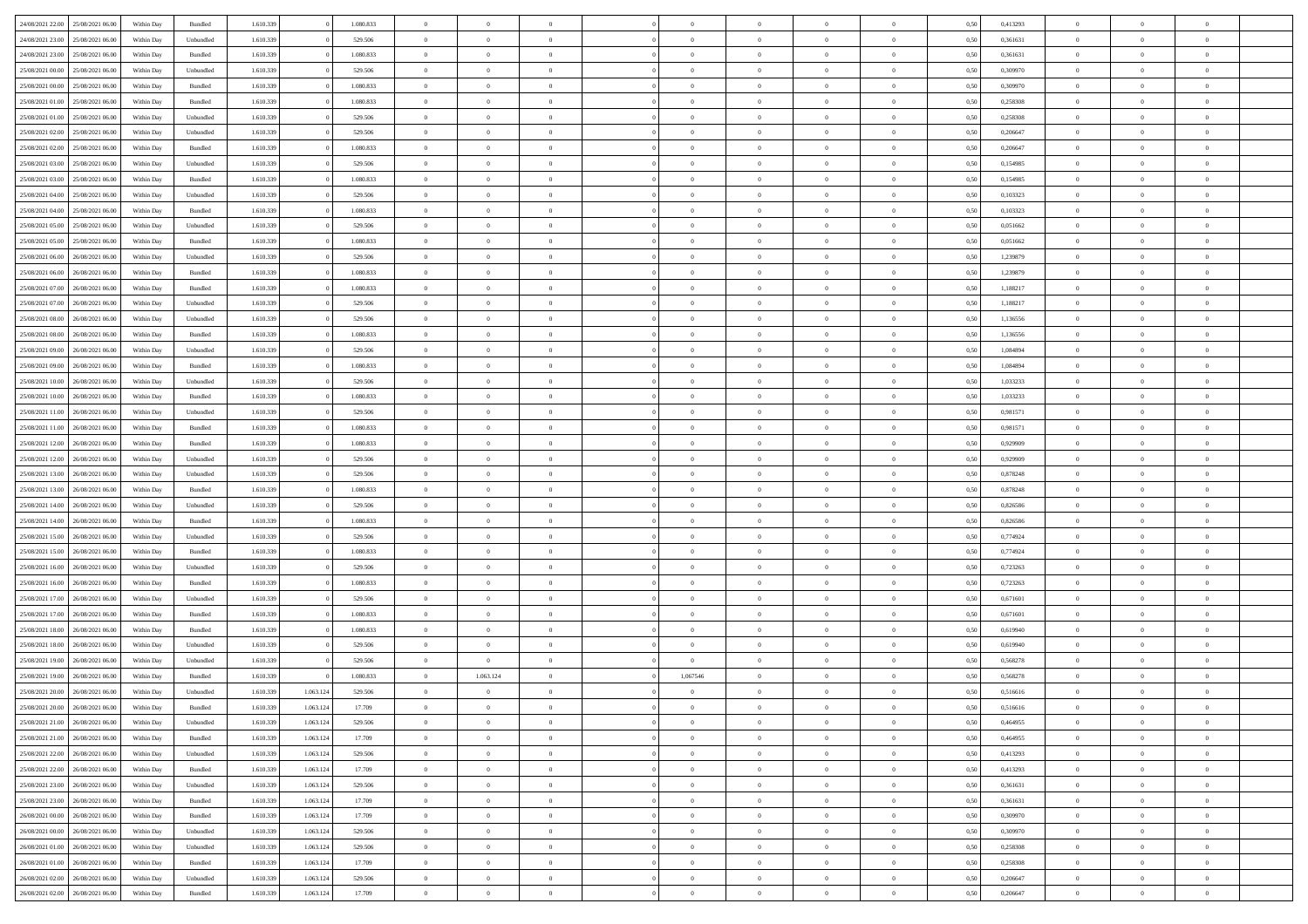| 24/08/2021 22:00 | 25/08/2021 06:00                  | Within Day | Bundled            | 1.610.339 |           | 1.080.833 | $\overline{0}$ | $\Omega$       |                | $\Omega$       | $\Omega$       | $\Omega$       | $\theta$       | 0.50 | 0,413293 | $\theta$       | $\theta$       | $\theta$       |  |
|------------------|-----------------------------------|------------|--------------------|-----------|-----------|-----------|----------------|----------------|----------------|----------------|----------------|----------------|----------------|------|----------|----------------|----------------|----------------|--|
|                  |                                   |            |                    |           |           |           |                |                |                |                |                |                |                |      |          |                |                |                |  |
| 24/08/2021 23:00 | 25/08/2021 06:00                  | Within Day | Unbundled          | 1.610.339 |           | 529.506   | $\overline{0}$ | $\theta$       | $\overline{0}$ | $\overline{0}$ | $\bf{0}$       | $\overline{0}$ | $\bf{0}$       | 0,50 | 0,361631 | $\theta$       | $\theta$       | $\overline{0}$ |  |
| 24/08/2021 23:00 | 25/08/2021 06:00                  | Within Day | Bundled            | 1.610.339 |           | 1.080.833 | $\overline{0}$ | $\overline{0}$ | $\overline{0}$ | $\bf{0}$       | $\bf{0}$       | $\bf{0}$       | $\bf{0}$       | 0,50 | 0,361631 | $\overline{0}$ | $\overline{0}$ | $\overline{0}$ |  |
| 25/08/2021 00:00 | 25/08/2021 06:00                  | Within Day | Unbundled          | 1.610.339 |           | 529.506   | $\overline{0}$ | $\overline{0}$ | $\overline{0}$ | $\overline{0}$ | $\bf{0}$       | $\overline{0}$ | $\overline{0}$ | 0.50 | 0,309970 | $\theta$       | $\theta$       | $\overline{0}$ |  |
|                  |                                   |            |                    |           |           |           |                |                |                |                |                |                |                |      |          |                |                |                |  |
| 25/08/2021 00:00 | 25/08/2021 06:00                  | Within Day | Bundled            | 1.610.339 |           | 1.080.833 | $\overline{0}$ | $\theta$       | $\overline{0}$ | $\overline{0}$ | $\bf{0}$       | $\overline{0}$ | $\bf{0}$       | 0,50 | 0,309970 | $\theta$       | $\theta$       | $\overline{0}$ |  |
| 25/08/2021 01:00 | 25/08/2021 06:00                  | Within Day | Bundled            | 1.610.339 |           | 1.080.833 | $\overline{0}$ | $\overline{0}$ | $\overline{0}$ | $\bf{0}$       | $\overline{0}$ | $\overline{0}$ | $\mathbf{0}$   | 0,50 | 0,258308 | $\overline{0}$ | $\overline{0}$ | $\bf{0}$       |  |
| 25/08/2021 01:00 | 25/08/2021 06:00                  | Within Dav | Unbundled          | 1.610.339 |           | 529.506   | $\overline{0}$ | $\overline{0}$ | $\overline{0}$ | $\overline{0}$ | $\overline{0}$ | $\overline{0}$ | $\overline{0}$ | 0.50 | 0,258308 | $\theta$       | $\overline{0}$ | $\overline{0}$ |  |
| 25/08/2021 02:00 | 25/08/2021 06:00                  | Within Day | Unbundled          | 1.610.339 |           | 529.506   | $\overline{0}$ | $\theta$       | $\overline{0}$ | $\overline{0}$ | $\bf{0}$       | $\overline{0}$ | $\bf{0}$       | 0,50 | 0,206647 | $\theta$       | $\theta$       | $\overline{0}$ |  |
|                  |                                   |            |                    |           |           |           |                |                |                |                |                |                |                |      |          |                |                |                |  |
| 25/08/2021 02:00 | 25/08/2021 06:00                  | Within Day | Bundled            | 1.610.339 |           | 1.080.833 | $\overline{0}$ | $\overline{0}$ | $\overline{0}$ | $\bf{0}$       | $\bf{0}$       | $\bf{0}$       | $\bf{0}$       | 0,50 | 0,206647 | $\,0\,$        | $\overline{0}$ | $\overline{0}$ |  |
| 25/08/2021 03:00 | 25/08/2021 06:00                  | Within Dav | Unbundled          | 1.610.339 |           | 529.506   | $\overline{0}$ | $\overline{0}$ | $\overline{0}$ | $\overline{0}$ | $\overline{0}$ | $\overline{0}$ | $\overline{0}$ | 0.50 | 0,154985 | $\theta$       | $\overline{0}$ | $\overline{0}$ |  |
| 25/08/2021 03:00 | 25/08/2021 06:00                  | Within Day | Bundled            | 1.610.339 |           | 1.080.833 | $\overline{0}$ | $\theta$       | $\overline{0}$ | $\overline{0}$ | $\bf{0}$       | $\overline{0}$ | $\bf{0}$       | 0,50 | 0,154985 | $\,$ 0 $\,$    | $\overline{0}$ | $\overline{0}$ |  |
| 25/08/2021 04:00 | 25/08/2021 06:00                  | Within Day | Unbundled          | 1.610.339 |           | 529.506   | $\overline{0}$ | $\overline{0}$ | $\overline{0}$ | $\bf{0}$       | $\bf{0}$       | $\bf{0}$       | $\mathbf{0}$   | 0,50 | 0,103323 | $\overline{0}$ | $\overline{0}$ | $\bf{0}$       |  |
| 25/08/2021 04:00 | 25/08/2021 06:00                  | Within Day | Bundled            | 1.610.339 |           | 1.080.833 | $\overline{0}$ | $\overline{0}$ | $\overline{0}$ | $\overline{0}$ | $\bf{0}$       | $\overline{0}$ | $\overline{0}$ | 0.50 | 0,103323 | $\theta$       | $\theta$       | $\overline{0}$ |  |
|                  |                                   |            |                    |           |           |           |                |                |                |                |                |                |                |      |          |                |                |                |  |
| 25/08/2021 05:00 | 25/08/2021 06:00                  | Within Day | Unbundled          | 1.610.339 |           | 529.506   | $\overline{0}$ | $\theta$       | $\overline{0}$ | $\overline{0}$ | $\bf{0}$       | $\overline{0}$ | $\bf{0}$       | 0,50 | 0,051662 | $\theta$       | $\theta$       | $\overline{0}$ |  |
| 25/08/2021 05:00 | 25/08/2021 06:00                  | Within Day | Bundled            | 1.610.339 |           | 1.080.833 | $\overline{0}$ | $\overline{0}$ | $\overline{0}$ | $\bf{0}$       | $\overline{0}$ | $\overline{0}$ | $\mathbf{0}$   | 0,50 | 0,051662 | $\overline{0}$ | $\overline{0}$ | $\bf{0}$       |  |
| 25/08/2021 06:00 | 26/08/2021 06:00                  | Within Dav | Unbundled          | 1.610.339 |           | 529.506   | $\overline{0}$ | $\overline{0}$ | $\overline{0}$ | $\overline{0}$ | $\overline{0}$ | $\overline{0}$ | $\overline{0}$ | 0.50 | 1,239879 | $\theta$       | $\overline{0}$ | $\overline{0}$ |  |
| 25/08/2021 06:00 | 26/08/2021 06:00                  | Within Day | Bundled            | 1.610.339 |           | 1.080.833 | $\overline{0}$ | $\theta$       | $\overline{0}$ | $\overline{0}$ | $\bf{0}$       | $\overline{0}$ | $\bf{0}$       | 0,50 | 1,239879 | $\theta$       | $\theta$       | $\overline{0}$ |  |
|                  |                                   |            |                    |           |           |           |                |                |                |                |                |                |                |      |          |                |                |                |  |
| 25/08/2021 07:00 | 26/08/2021 06:00                  | Within Day | Bundled            | 1.610.339 |           | 1.080.833 | $\overline{0}$ | $\overline{0}$ | $\overline{0}$ | $\bf{0}$       | $\bf{0}$       | $\bf{0}$       | $\mathbf{0}$   | 0,50 | 1,188217 | $\bf{0}$       | $\overline{0}$ | $\overline{0}$ |  |
| 25/08/2021 07:00 | 26/08/2021 06:00                  | Within Day | Unbundled          | 1.610.339 |           | 529.506   | $\overline{0}$ | $\overline{0}$ | $\overline{0}$ | $\overline{0}$ | $\overline{0}$ | $\overline{0}$ | $\overline{0}$ | 0.50 | 1,188217 | $\theta$       | $\overline{0}$ | $\overline{0}$ |  |
| 25/08/2021 08:00 | 26/08/2021 06:00                  | Within Day | Unbundled          | 1.610.339 |           | 529.506   | $\overline{0}$ | $\theta$       | $\overline{0}$ | $\overline{0}$ | $\bf{0}$       | $\overline{0}$ | $\bf{0}$       | 0,50 | 1,136556 | $\,$ 0 $\,$    | $\theta$       | $\overline{0}$ |  |
| 25/08/2021 08:00 | 26/08/2021 06:00                  | Within Day | Bundled            | 1.610.339 |           | 1.080.833 | $\overline{0}$ | $\overline{0}$ | $\overline{0}$ | $\bf{0}$       | $\bf{0}$       | $\bf{0}$       | $\bf{0}$       | 0,50 | 1,136556 | $\overline{0}$ | $\overline{0}$ | $\overline{0}$ |  |
| 25/08/2021 09:00 | 26/08/2021 06:00                  | Within Day | Unbundled          | 1.610.339 |           | 529.506   | $\overline{0}$ | $\overline{0}$ | $\overline{0}$ | $\overline{0}$ | $\bf{0}$       | $\overline{0}$ | $\overline{0}$ | 0.50 | 1.084894 | $\theta$       | $\theta$       | $\overline{0}$ |  |
|                  |                                   |            |                    |           |           |           |                |                |                |                |                |                |                |      |          |                |                |                |  |
| 25/08/2021 09:00 | 26/08/2021 06:00                  | Within Day | Bundled            | 1.610.339 |           | 1.080.833 | $\overline{0}$ | $\theta$       | $\overline{0}$ | $\overline{0}$ | $\bf{0}$       | $\overline{0}$ | $\bf{0}$       | 0,50 | 1,084894 | $\theta$       | $\overline{0}$ | $\overline{0}$ |  |
| 25/08/2021 10:00 | 26/08/2021 06:00                  | Within Day | Unbundled          | 1.610.339 |           | 529.506   | $\overline{0}$ | $\overline{0}$ | $\overline{0}$ | $\bf{0}$       | $\overline{0}$ | $\overline{0}$ | $\mathbf{0}$   | 0,50 | 1,033233 | $\overline{0}$ | $\overline{0}$ | $\bf{0}$       |  |
| 25/08/2021 10:00 | 26/08/2021 06:00                  | Within Dav | Bundled            | 1.610.339 |           | 1.080.833 | $\overline{0}$ | $\overline{0}$ | $\overline{0}$ | $\overline{0}$ | $\overline{0}$ | $\overline{0}$ | $\overline{0}$ | 0.50 | 1,033233 | $\theta$       | $\overline{0}$ | $\overline{0}$ |  |
| 25/08/2021 11:00 | 26/08/2021 06:00                  | Within Day | Unbundled          | 1.610.339 |           | 529.506   | $\overline{0}$ | $\theta$       | $\overline{0}$ | $\overline{0}$ | $\bf{0}$       | $\overline{0}$ | $\bf{0}$       | 0,50 | 0,981571 | $\theta$       | $\theta$       | $\overline{0}$ |  |
|                  |                                   |            |                    |           |           |           |                |                |                |                |                |                |                |      |          |                |                |                |  |
| 25/08/2021 11:00 | 26/08/2021 06:00                  | Within Day | Bundled            | 1.610.339 |           | 1.080.833 | $\overline{0}$ | $\overline{0}$ | $\overline{0}$ | $\bf{0}$       | $\bf{0}$       | $\bf{0}$       | $\bf{0}$       | 0,50 | 0,981571 | $\,0\,$        | $\overline{0}$ | $\overline{0}$ |  |
| 25/08/2021 12:00 | 26/08/2021 06:00                  | Within Day | Bundled            | 1.610.339 |           | 1.080.833 | $\overline{0}$ | $\overline{0}$ | $\overline{0}$ | $\overline{0}$ | $\overline{0}$ | $\overline{0}$ | $\overline{0}$ | 0.50 | 0.929909 | $\theta$       | $\overline{0}$ | $\overline{0}$ |  |
| 25/08/2021 12:00 | 26/08/2021 06:00                  | Within Day | Unbundled          | 1.610.339 |           | 529.506   | $\overline{0}$ | $\theta$       | $\overline{0}$ | $\overline{0}$ | $\bf{0}$       | $\overline{0}$ | $\bf{0}$       | 0,50 | 0,929909 | $\,$ 0 $\,$    | $\overline{0}$ | $\overline{0}$ |  |
| 25/08/2021 13:00 | 26/08/2021 06:00                  | Within Day | Unbundled          | 1.610.339 |           | 529.506   | $\overline{0}$ | $\overline{0}$ | $\overline{0}$ | $\bf{0}$       | $\bf{0}$       | $\bf{0}$       | $\bf{0}$       | 0,50 | 0,878248 | $\overline{0}$ | $\overline{0}$ | $\overline{0}$ |  |
| 25/08/2021 13:00 | 26/08/2021 06:00                  | Within Day | Bundled            | 1.610.339 |           | 1.080.833 | $\overline{0}$ | $\Omega$       | $\overline{0}$ | $\Omega$       | $\Omega$       | $\overline{0}$ | $\overline{0}$ | 0.50 | 0,878248 | $\,0\,$        | $\theta$       | $\theta$       |  |
|                  |                                   |            |                    |           |           |           |                |                |                |                |                |                |                |      |          |                |                |                |  |
| 25/08/2021 14:00 | 26/08/2021 06:00                  | Within Day | Unbundled          | 1.610.339 |           | 529.506   | $\overline{0}$ | $\theta$       | $\overline{0}$ | $\overline{0}$ | $\bf{0}$       | $\overline{0}$ | $\bf{0}$       | 0,50 | 0,826586 | $\theta$       | $\theta$       | $\overline{0}$ |  |
| 25/08/2021 14:00 | 26/08/2021 06:00                  | Within Day | Bundled            | 1.610.339 |           | 1.080.833 | $\overline{0}$ | $\overline{0}$ | $\overline{0}$ | $\bf{0}$       | $\bf{0}$       | $\overline{0}$ | $\mathbf{0}$   | 0,50 | 0,826586 | $\overline{0}$ | $\overline{0}$ | $\bf{0}$       |  |
| 25/08/2021 15:00 | 26/08/2021 06:00                  | Within Day | Unbundled          | 1.610.339 |           | 529.506   | $\overline{0}$ | $\Omega$       | $\Omega$       | $\Omega$       | $\bf{0}$       | $\overline{0}$ | $\overline{0}$ | 0.50 | 0,774924 | $\,0\,$        | $\theta$       | $\theta$       |  |
| 25/08/2021 15:00 | 26/08/2021 06:00                  | Within Day | Bundled            | 1.610.339 |           | 1.080.833 | $\overline{0}$ | $\theta$       | $\overline{0}$ | $\overline{0}$ | $\bf{0}$       | $\overline{0}$ | $\bf{0}$       | 0,50 | 0,774924 | $\,$ 0 $\,$    | $\theta$       | $\overline{0}$ |  |
| 25/08/2021 16:00 | 26/08/2021 06:00                  | Within Day | Unbundled          | 1.610.339 |           | 529.506   | $\overline{0}$ | $\overline{0}$ | $\overline{0}$ | $\bf{0}$       | $\bf{0}$       | $\bf{0}$       | $\bf{0}$       | 0,50 | 0,723263 | $\bf{0}$       | $\overline{0}$ | $\overline{0}$ |  |
|                  |                                   |            |                    |           |           |           |                |                |                |                |                |                |                |      |          |                |                |                |  |
| 25/08/2021 16:00 | 26/08/2021 06:00                  | Within Day | Bundled            | 1.610.339 |           | 1.080.833 | $\overline{0}$ | $\Omega$       | $\overline{0}$ | $\Omega$       | $\theta$       | $\overline{0}$ | $\overline{0}$ | 0.50 | 0,723263 | $\theta$       | $\theta$       | $\theta$       |  |
| 25/08/2021 17:00 | 26/08/2021 06:00                  | Within Day | Unbundled          | 1.610.339 |           | 529.506   | $\overline{0}$ | $\theta$       | $\overline{0}$ | $\overline{0}$ | $\bf{0}$       | $\overline{0}$ | $\bf{0}$       | 0,50 | 0,671601 | $\,$ 0 $\,$    | $\overline{0}$ | $\overline{0}$ |  |
| 25/08/2021 17:00 | 26/08/2021 06:00                  | Within Day | Bundled            | 1.610.339 |           | 1.080.833 | $\overline{0}$ | $\overline{0}$ | $\overline{0}$ | $\bf{0}$       | $\bf{0}$       | $\bf{0}$       | $\bf{0}$       | 0,50 | 0,671601 | $\overline{0}$ | $\overline{0}$ | $\overline{0}$ |  |
| 25/08/2021 18:00 | 26/08/2021 06:00                  | Within Day | Bundled            | 1.610.339 |           | 1.080.833 | $\overline{0}$ | $\Omega$       | $\overline{0}$ | $\Omega$       | $\overline{0}$ | $\overline{0}$ | $\overline{0}$ | 0.50 | 0,619940 | $\,0\,$        | $\theta$       | $\theta$       |  |
| 25/08/2021 18:00 | 26/08/2021 06:00                  |            |                    | 1.610.339 |           | 529.506   | $\overline{0}$ | $\theta$       | $\overline{0}$ | $\overline{0}$ | $\bf{0}$       | $\overline{0}$ |                |      | 0,619940 | $\,$ 0 $\,$    | $\overline{0}$ | $\overline{0}$ |  |
|                  |                                   | Within Day | Unbundled          |           |           |           |                |                |                |                |                |                | $\bf{0}$       | 0,50 |          |                |                |                |  |
| 25/08/2021 19:00 | 26/08/2021 06:00                  | Within Day | Unbundled          | 1.610.339 |           | 529.506   | $\overline{0}$ | $\overline{0}$ | $\overline{0}$ | $\bf{0}$       | $\bf{0}$       | $\bf{0}$       | $\mathbf{0}$   | 0,50 | 0,568278 | $\overline{0}$ | $\overline{0}$ | $\bf{0}$       |  |
| 25/08/2021 19:00 | 26/08/2021 06:00                  | Within Day | Bundled            | 1.610.339 |           | 1.080.833 | $\overline{0}$ | 1.063.124      | $\Omega$       | 1,067546       | $\Omega$       | $\Omega$       | $\overline{0}$ | 0.50 | 0.568278 | $\theta$       | $\theta$       | $\theta$       |  |
| 25/08/2021 20:00 | 26/08/2021 06:00                  | Within Day | Unbundled          | 1.610.339 | 1.063.124 | 529.506   | $\overline{0}$ | $\overline{0}$ | $\overline{0}$ | $\overline{0}$ | $\,$ 0         | $\bf{0}$       | $\bf{0}$       | 0,50 | 0,516616 | $\,0\,$        | $\overline{0}$ | $\overline{0}$ |  |
| 25/08/2021 20:00 | 26/08/2021 06:00                  | Within Day | $\mathbf B$ undled | 1.610.339 | 1.063.124 | 17.709    | $\bf{0}$       | $\bf{0}$       |                |                | $\bf{0}$       |                |                | 0,50 | 0,516616 | $\bf{0}$       | $\overline{0}$ |                |  |
|                  |                                   |            |                    |           |           |           |                |                |                |                |                |                |                |      |          |                |                |                |  |
| 25/08/2021 21:00 | 26/08/2021 06:00                  | Within Day | Unbundled          | 1.610.339 | 1.063.124 | 529.506   | $\overline{0}$ | $\overline{0}$ | $\overline{0}$ | $\Omega$       | $\overline{0}$ | $\overline{0}$ | $\overline{0}$ | 0,50 | 0.464955 | $\theta$       | $\theta$       | $\theta$       |  |
| 25/08/2021 21:00 | 26/08/2021 06:00                  | Within Day | Bundled            | 1.610.339 | 1.063.124 | 17.709    | $\overline{0}$ | $\bf{0}$       | $\overline{0}$ | $\bf{0}$       | $\,$ 0 $\,$    | $\overline{0}$ | $\mathbf{0}$   | 0,50 | 0,464955 | $\,$ 0 $\,$    | $\,$ 0 $\,$    | $\,$ 0         |  |
| 25/08/2021 22.00 | 26/08/2021 06:00                  | Within Day | Unbundled          | 1.610.339 | 1.063.124 | 529.506   | $\overline{0}$ | $\overline{0}$ | $\overline{0}$ | $\overline{0}$ | $\overline{0}$ | $\overline{0}$ | $\mathbf{0}$   | 0,50 | 0,413293 | $\overline{0}$ | $\overline{0}$ | $\overline{0}$ |  |
| 25/08/2021 22:00 | 26/08/2021 06:00                  | Within Day | $\mathbf B$ undled | 1.610.339 | 1.063.124 | 17.709    | $\overline{0}$ | $\overline{0}$ | $\overline{0}$ | $\overline{0}$ | $\overline{0}$ | $\overline{0}$ | $\overline{0}$ | 0,50 | 0,413293 | $\overline{0}$ | $\theta$       | $\overline{0}$ |  |
| 25/08/2021 23:00 | 26/08/2021 06:00                  | Within Day | Unbundled          | 1.610.339 | 1.063.124 | 529.506   | $\overline{0}$ | $\bf{0}$       | $\overline{0}$ | $\bf{0}$       | $\,$ 0 $\,$    | $\overline{0}$ | $\,$ 0 $\,$    | 0,50 | 0,361631 | $\,$ 0 $\,$    | $\overline{0}$ | $\,$ 0         |  |
|                  |                                   |            |                    |           |           |           |                |                |                |                |                |                |                |      |          |                |                |                |  |
| 25/08/2021 23:00 | 26/08/2021 06:00                  | Within Day | Bundled            | 1.610.339 | 1.063.124 | 17.709    | $\overline{0}$ | $\overline{0}$ | $\overline{0}$ | $\overline{0}$ | $\overline{0}$ | $\overline{0}$ | $\mathbf{0}$   | 0,50 | 0,361631 | $\overline{0}$ | $\overline{0}$ | $\overline{0}$ |  |
| 26/08/2021 00:00 | 26/08/2021 06:00                  | Within Day | Bundled            | 1.610.339 | 1.063.124 | 17.709    | $\overline{0}$ | $\overline{0}$ | $\overline{0}$ | $\overline{0}$ | $\overline{0}$ | $\overline{0}$ | $\overline{0}$ | 0.50 | 0,309970 | $\overline{0}$ | $\theta$       | $\overline{0}$ |  |
| 26/08/2021 00:00 | 26/08/2021 06:00                  | Within Day | Unbundled          | 1.610.339 | 1.063.124 | 529.506   | $\overline{0}$ | $\,$ 0         | $\overline{0}$ | $\bf{0}$       | $\bf{0}$       | $\bf{0}$       | $\bf{0}$       | 0,50 | 0,309970 | $\,$ 0 $\,$    | $\overline{0}$ | $\overline{0}$ |  |
| 26/08/2021 01:00 | 26/08/2021 06:00                  | Within Day | Unbundled          | 1.610.339 | 1.063.124 | 529.506   | $\overline{0}$ | $\overline{0}$ | $\overline{0}$ | $\overline{0}$ | $\overline{0}$ | $\overline{0}$ | $\mathbf{0}$   | 0,50 | 0,258308 | $\overline{0}$ | $\overline{0}$ | $\bf{0}$       |  |
|                  |                                   |            |                    |           |           |           |                |                |                |                |                |                |                |      |          |                |                |                |  |
| 26/08/2021 01:00 | 26/08/2021 06:00                  | Within Day | Bundled            | 1.610.339 | 1.063.124 | 17.709    | $\overline{0}$ | $\overline{0}$ | $\overline{0}$ | $\Omega$       | $\overline{0}$ | $\overline{0}$ | $\overline{0}$ | 0.50 | 0,258308 | $\overline{0}$ | $\overline{0}$ | $\overline{0}$ |  |
| 26/08/2021 02:00 | 26/08/2021 06:00                  | Within Day | Unbundled          | 1.610.339 | 1.063.124 | 529.506   | $\overline{0}$ | $\bf{0}$       | $\overline{0}$ | $\bf{0}$       | $\bf{0}$       | $\bf{0}$       | $\mathbf{0}$   | 0,50 | 0,206647 | $\,$ 0 $\,$    | $\,$ 0 $\,$    | $\bf{0}$       |  |
|                  | 26/08/2021 02:00 26/08/2021 06:00 | Within Day | Bundled            | 1.610.339 | 1.063.124 | 17.709    | $\overline{0}$ | $\overline{0}$ | $\overline{0}$ | $\overline{0}$ | $\overline{0}$ | $\bf{0}$       | $\mathbf{0}$   | 0,50 | 0,206647 | $\overline{0}$ | $\bf{0}$       | $\overline{0}$ |  |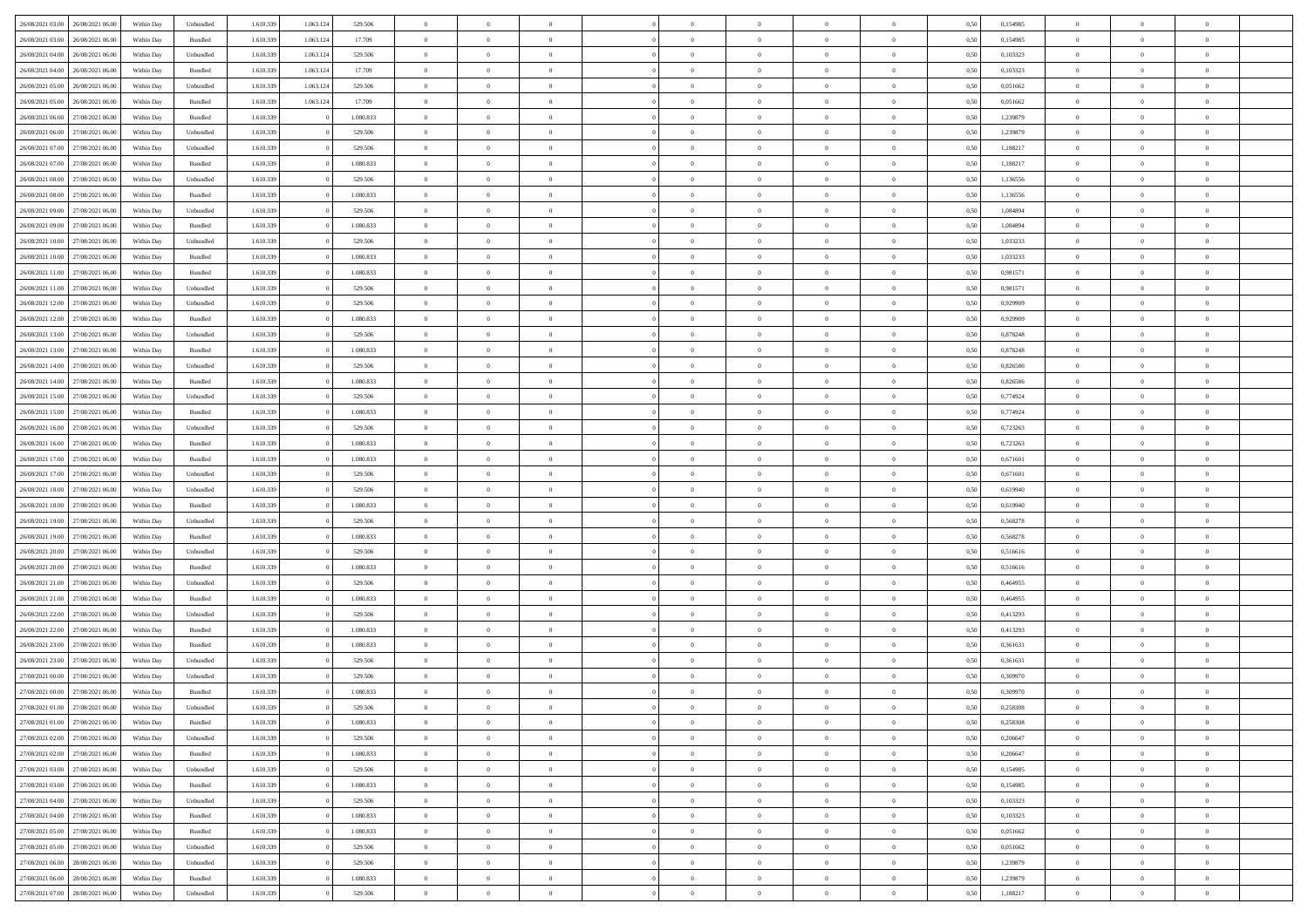|                                      |            |                   |           |           |           | $\overline{0}$ | $\overline{0}$ |                | $\overline{0}$ | $\theta$       |                | $\theta$       |      |          | $\theta$       | $\theta$       | $\overline{0}$ |  |
|--------------------------------------|------------|-------------------|-----------|-----------|-----------|----------------|----------------|----------------|----------------|----------------|----------------|----------------|------|----------|----------------|----------------|----------------|--|
| 26/08/2021 03:00 26/08/2021 06:00    | Within Day | Unbundled         | 1.610.339 | 1.063.124 | 529.506   |                |                |                |                |                |                |                | 0,50 | 0,154985 |                |                |                |  |
| 26/08/2021 03:00<br>26/08/2021 06:00 | Within Day | Bundled           | 1.610.33  | 1.063.12  | 17.709    | $\bf{0}$       | $\bf{0}$       | $\bf{0}$       | $\bf{0}$       | $\overline{0}$ | $\overline{0}$ | $\bf{0}$       | 0,50 | 0,154985 | $\,$ 0 $\,$    | $\bf{0}$       | $\overline{0}$ |  |
| 26/08/2021 04:00<br>26/08/2021 06:00 | Within Day | Unbundled         | 1.610.339 | 1.063.124 | 529.506   | $\overline{0}$ | $\bf{0}$       | $\overline{0}$ | $\bf{0}$       | $\bf{0}$       | $\overline{0}$ | $\bf{0}$       | 0.50 | 0.103323 | $\bf{0}$       | $\overline{0}$ | $\bf{0}$       |  |
| 26/08/2021 04:00<br>26/08/2021 06:00 | Within Day | Bundled           | 1.610.339 | 1.063.124 | 17.709    | $\overline{0}$ | $\overline{0}$ | $\overline{0}$ | $\overline{0}$ | $\theta$       | $\overline{0}$ | $\bf{0}$       | 0,50 | 0,103323 | $\,$ 0 $\,$    | $\theta$       | $\overline{0}$ |  |
|                                      |            |                   |           |           |           |                |                |                |                |                |                |                |      |          |                |                |                |  |
| 26/08/2021 05:00<br>26/08/2021 06:00 | Within Day | Unbundled         | 1.610.33  | 1.063.12  | 529.506   | $\bf{0}$       | $\overline{0}$ | $\bf{0}$       | $\overline{0}$ | $\theta$       | $\overline{0}$ | $\bf{0}$       | 0,50 | 0,051662 | $\,$ 0 $\,$    | $\bf{0}$       | $\overline{0}$ |  |
| 26/08/2021 05:00<br>26/08/2021 06:00 | Within Day | Bundled           | 1.610.339 | 1.063.124 | 17.709    | $\overline{0}$ | $\overline{0}$ | $\overline{0}$ | $\overline{0}$ | $\overline{0}$ | $\theta$       | $\bf{0}$       | 0.50 | 0.051662 | $\bf{0}$       | $\theta$       | $\overline{0}$ |  |
| 26/08/2021 06:00<br>27/08/2021 06:00 | Within Day | Bundled           | 1.610.339 |           | 1.080.833 | $\bf{0}$       | $\bf{0}$       | $\overline{0}$ | $\overline{0}$ | $\overline{0}$ | $\overline{0}$ | $\bf{0}$       | 0,50 | 1,239879 | $\,$ 0 $\,$    | $\theta$       | $\overline{0}$ |  |
| 26/08/2021 06:00<br>27/08/2021 06:00 | Within Day | Unbundled         | 1.610.339 |           | 529.506   | $\bf{0}$       | $\bf{0}$       | $\bf{0}$       | $\overline{0}$ | $\overline{0}$ | $\overline{0}$ | $\bf{0}$       | 0,50 | 1,239879 | $\,$ 0 $\,$    | $\bf{0}$       | $\overline{0}$ |  |
|                                      |            |                   |           |           |           |                |                |                |                |                |                |                |      |          |                |                |                |  |
| 26/08/2021 07:00<br>27/08/2021 06:00 | Within Day | Unbundled         | 1.610.339 |           | 529.506   | $\overline{0}$ | $\bf{0}$       | $\overline{0}$ | $\bf{0}$       | $\overline{0}$ | $\overline{0}$ | $\bf{0}$       | 0.50 | 1.188217 | $\bf{0}$       | $\overline{0}$ | $\overline{0}$ |  |
| 26/08/2021 07:00<br>27/08/2021 06:00 | Within Day | Bundled           | 1.610.339 |           | 1.080.833 | $\overline{0}$ | $\bf{0}$       | $\overline{0}$ | $\overline{0}$ | $\overline{0}$ | $\overline{0}$ | $\bf{0}$       | 0,50 | 1,188217 | $\,$ 0 $\,$    | $\bf{0}$       | $\overline{0}$ |  |
| 26/08/2021 08:00<br>27/08/2021 06.00 | Within Day | Unbundled         | 1.610.339 |           | 529.506   | $\bf{0}$       | $\overline{0}$ | $\bf{0}$       | $\bf{0}$       | $\bf{0}$       | $\overline{0}$ | $\bf{0}$       | 0,50 | 1,136556 | $\,$ 0 $\,$    | $\bf{0}$       | $\overline{0}$ |  |
| 26/08/2021 08:00<br>27/08/2021 06:00 | Within Day | Bundled           | 1.610.339 |           | 1.080.833 | $\overline{0}$ | $\bf{0}$       | $\overline{0}$ | $\bf{0}$       | $\bf{0}$       | $\overline{0}$ | $\bf{0}$       | 0.50 | 1,136556 | $\bf{0}$       | $\overline{0}$ | $\bf{0}$       |  |
| 26/08/2021 09:00<br>27/08/2021 06:00 | Within Day | Unbundled         | 1.610.339 |           | 529.506   | $\overline{0}$ | $\overline{0}$ | $\overline{0}$ | $\theta$       | $\theta$       | $\overline{0}$ | $\bf{0}$       | 0,50 | 1,084894 | $\,$ 0 $\,$    | $\theta$       | $\overline{0}$ |  |
|                                      |            |                   |           |           |           |                |                |                |                |                |                |                |      |          |                |                |                |  |
| 26/08/2021 09:00<br>27/08/2021 06:00 | Within Day | Bundled           | 1.610.339 |           | 1.080.833 | $\bf{0}$       | $\overline{0}$ | $\bf{0}$       | $\bf{0}$       | $\theta$       | $\overline{0}$ | $\bf{0}$       | 0,50 | 1,084894 | $\,$ 0 $\,$    | $\bf{0}$       | $\overline{0}$ |  |
| 26/08/2021 10:00<br>27/08/2021 06:00 | Within Day | Unbundled         | 1.610.339 |           | 529.506   | $\overline{0}$ | $\overline{0}$ | $\overline{0}$ | $\bf{0}$       | $\overline{0}$ | $\theta$       | $\bf{0}$       | 0.50 | 1.033233 | $\theta$       | $\theta$       | $\overline{0}$ |  |
| 26/08/2021 10:00<br>27/08/2021 06:00 | Within Day | Bundled           | 1.610.339 |           | 1.080.833 | $\overline{0}$ | $\bf{0}$       | $\overline{0}$ | $\overline{0}$ | $\overline{0}$ | $\overline{0}$ | $\bf{0}$       | 0,50 | 1,033233 | $\,$ 0 $\,$    | $\theta$       | $\overline{0}$ |  |
| 26/08/2021 11:00<br>27/08/2021 06:00 | Within Day | Bundled           | 1.610.339 |           | 1.080.833 | $\bf{0}$       | $\overline{0}$ | $\bf{0}$       | $\overline{0}$ | $\overline{0}$ | $\overline{0}$ | $\bf{0}$       | 0,50 | 0,981571 | $\,$ 0 $\,$    | $\bf{0}$       | $\overline{0}$ |  |
| 26/08/2021 11:00<br>27/08/2021 06:00 |            | Unbundled         | 1.610.339 |           | 529.506   | $\overline{0}$ | $\bf{0}$       | $\overline{0}$ | $\bf{0}$       | $\bf{0}$       | $\overline{0}$ | $\bf{0}$       | 0.50 | 0.981571 | $\bf{0}$       | $\overline{0}$ | $\overline{0}$ |  |
|                                      | Within Day |                   |           |           |           |                |                |                |                |                |                |                |      |          |                |                |                |  |
| 26/08/2021 12:00<br>27/08/2021 06:00 | Within Day | Unbundled         | 1.610.339 |           | 529.506   | $\bf{0}$       | $\bf{0}$       | $\overline{0}$ | $\overline{0}$ | $\overline{0}$ | $\overline{0}$ | $\bf{0}$       | 0,50 | 0,929909 | $\,$ 0 $\,$    | $\bf{0}$       | $\overline{0}$ |  |
| 26/08/2021 12:00<br>27/08/2021 06.00 | Within Day | Bundled           | 1.610.339 |           | 1.080.833 | $\bf{0}$       | $\bf{0}$       | $\bf{0}$       | $\bf{0}$       | $\overline{0}$ | $\overline{0}$ | $\bf{0}$       | 0,50 | 0,929909 | $\,$ 0 $\,$    | $\bf{0}$       | $\overline{0}$ |  |
| 26/08/2021 13:00<br>27/08/2021 06:00 | Within Day | Unbundled         | 1.610.339 |           | 529.506   | $\overline{0}$ | $\bf{0}$       | $\overline{0}$ | $\overline{0}$ | $\bf{0}$       | $\overline{0}$ | $\bf{0}$       | 0.50 | 0.878248 | $\bf{0}$       | $\overline{0}$ | $\bf{0}$       |  |
| 26/08/2021 13:00<br>27/08/2021 06:00 | Within Day | Bundled           | 1.610.339 |           | 1.080.833 | $\overline{0}$ | $\overline{0}$ | $\overline{0}$ | $\overline{0}$ | $\theta$       | $\overline{0}$ | $\bf{0}$       | 0,50 | 0,878248 | $\,$ 0 $\,$    | $\theta$       | $\overline{0}$ |  |
|                                      |            |                   |           |           |           |                | $\overline{0}$ |                |                | $\overline{0}$ | $\overline{0}$ |                |      |          | $\,$ 0 $\,$    | $\bf{0}$       | $\overline{0}$ |  |
| 26/08/2021 14:00<br>27/08/2021 06.00 | Within Day | Unbundled         | 1.610.339 |           | 529.506   | $\bf{0}$       |                | $\bf{0}$       | $\bf{0}$       |                |                | $\bf{0}$       | 0,50 | 0,826586 |                |                |                |  |
| 26/08/2021 14:00<br>27/08/2021 06:00 | Within Day | Bundled           | 1.610.339 |           | 1.080.833 | $\overline{0}$ | $\overline{0}$ | $\overline{0}$ | $\overline{0}$ | $\overline{0}$ | $\theta$       | $\bf{0}$       | 0.50 | 0.826586 | $\bf{0}$       | $\theta$       | $\overline{0}$ |  |
| 26/08/2021 15:00<br>27/08/2021 06:00 | Within Day | Unbundled         | 1.610.339 |           | 529.506   | $\bf{0}$       | $\overline{0}$ | $\overline{0}$ | $\overline{0}$ | $\overline{0}$ | $\overline{0}$ | $\bf{0}$       | 0,50 | 0,774924 | $\,$ 0 $\,$    | $\theta$       | $\overline{0}$ |  |
| 26/08/2021 15:00<br>27/08/2021 06:00 | Within Day | Bundled           | 1.610.339 |           | 1.080.833 | $\bf{0}$       | $\overline{0}$ | $\bf{0}$       | $\overline{0}$ | $\overline{0}$ | $\overline{0}$ | $\bf{0}$       | 0,50 | 0,774924 | $\,$ 0 $\,$    | $\bf{0}$       | $\overline{0}$ |  |
| 26/08/2021 16:00<br>27/08/2021 06:00 | Within Day | Unbundled         | 1.610.339 |           | 529.506   | $\overline{0}$ | $\bf{0}$       | $\overline{0}$ | $\bf{0}$       | $\overline{0}$ | $\overline{0}$ | $\bf{0}$       | 0.50 | 0,723263 | $\bf{0}$       | $\overline{0}$ | $\overline{0}$ |  |
| 26/08/2021 16:00<br>27/08/2021 06:00 |            |                   | 1.610.339 |           | 1.080.833 | $\overline{0}$ | $\bf{0}$       | $\overline{0}$ | $\overline{0}$ | $\overline{0}$ | $\overline{0}$ |                |      |          | $\,$ 0 $\,$    | $\bf{0}$       | $\overline{0}$ |  |
|                                      | Within Day | Bundled           |           |           |           |                |                |                |                |                |                | $\bf{0}$       | 0,50 | 0,723263 |                |                |                |  |
| 26/08/2021 17:00<br>27/08/2021 06.00 | Within Day | Bundled           | 1.610.339 |           | 1.080.833 | $\bf{0}$       | $\bf{0}$       | $\bf{0}$       | $\bf{0}$       | $\overline{0}$ | $\overline{0}$ | $\bf{0}$       | 0,50 | 0,671601 | $\,$ 0 $\,$    | $\bf{0}$       | $\overline{0}$ |  |
| 26/08/2021 17:00<br>27/08/2021 06:00 | Within Day | Unbundled         | 1.610.339 |           | 529.506   | $\overline{0}$ | $\bf{0}$       | $\overline{0}$ | $\bf{0}$       | $\bf{0}$       | $\overline{0}$ | $\bf{0}$       | 0.50 | 0.671601 | $\bf{0}$       | $\overline{0}$ | $\bf{0}$       |  |
| 26/08/2021 18:00<br>27/08/2021 06:00 | Within Day | Unbundled         | 1.610.339 |           | 529.506   | $\overline{0}$ | $\overline{0}$ | $\overline{0}$ | $\overline{0}$ | $\overline{0}$ | $\overline{0}$ | $\bf{0}$       | 0.50 | 0.619940 | $\theta$       | $\theta$       | $\overline{0}$ |  |
| 26/08/2021 18:00<br>27/08/2021 06:00 | Within Day | Bundled           | 1.610.339 |           | 1.080.833 | $\bf{0}$       | $\overline{0}$ | $\bf{0}$       | $\bf{0}$       | $\overline{0}$ | $\overline{0}$ | $\bf{0}$       | 0,50 | 0,619940 | $\,$ 0 $\,$    | $\bf{0}$       | $\overline{0}$ |  |
| 26/08/2021 19:00<br>27/08/2021 06:00 |            | Unbundled         | 1.610.339 |           | 529.506   | $\overline{0}$ | $\overline{0}$ | $\overline{0}$ | $\bf{0}$       | $\overline{0}$ | $\Omega$       | $\bf{0}$       | 0.50 | 0.568278 | $\bf{0}$       | $\theta$       | $\overline{0}$ |  |
|                                      | Within Day |                   |           |           |           |                |                |                |                |                |                |                |      |          |                |                |                |  |
| 26/08/2021 19:00<br>27/08/2021 06:00 | Within Day | Bundled           | 1.610.339 |           | 1.080.833 | $\overline{0}$ | $\overline{0}$ | $\overline{0}$ | $\overline{0}$ | $\overline{0}$ | $\overline{0}$ | $\overline{0}$ | 0.50 | 0,568278 | $\theta$       | $\theta$       | $\overline{0}$ |  |
| 26/08/2021 20:00<br>27/08/2021 06:00 | Within Day | Unbundled         | 1.610.339 |           | 529.506   | $\bf{0}$       | $\bf{0}$       | $\bf{0}$       | $\bf{0}$       | $\overline{0}$ | $\overline{0}$ | $\bf{0}$       | 0,50 | 0,516616 | $\,$ 0 $\,$    | $\bf{0}$       | $\overline{0}$ |  |
| 26/08/2021 20:00<br>27/08/2021 06:00 | Within Day | Bundled           | 1.610.339 |           | 1.080.833 | $\overline{0}$ | $\bf{0}$       | $\overline{0}$ | $\bf{0}$       | $\overline{0}$ | $\overline{0}$ | $\bf{0}$       | 0.50 | 0.516616 | $\bf{0}$       | $\overline{0}$ | $\overline{0}$ |  |
| 26/08/2021 21:00<br>27/08/2021 06:00 | Within Day | Unbundled         | 1.610.339 |           | 529.506   | $\overline{0}$ | $\overline{0}$ | $\overline{0}$ | $\overline{0}$ | $\overline{0}$ | $\overline{0}$ | $\overline{0}$ | 0.50 | 0,464955 | $\theta$       | $\theta$       | $\overline{0}$ |  |
| 26/08/2021 21:00<br>27/08/2021 06.00 | Within Day | Bundled           | 1.610.339 |           | 1.080.833 | $\bf{0}$       | $\bf{0}$       | $\bf{0}$       | $\bf{0}$       | $\overline{0}$ | $\overline{0}$ | $\bf{0}$       | 0,50 | 0,464955 | $\,$ 0 $\,$    | $\bf{0}$       | $\overline{0}$ |  |
|                                      |            |                   |           |           |           |                |                |                |                |                |                |                |      |          |                |                |                |  |
| 26/08/2021 22:00<br>27/08/2021 06:00 | Within Day | Unbundled         | 1.610.339 |           | 529.506   | $\overline{0}$ | $\bf{0}$       | $\overline{0}$ | $\overline{0}$ | $\bf{0}$       | $\overline{0}$ | $\bf{0}$       | 0.50 | 0.413293 | $\bf{0}$       | $\overline{0}$ | $\bf{0}$       |  |
| 26/08/2021 22:00<br>27/08/2021 06:00 | Within Day | Bundled           | 1.610.339 |           | 1.080.833 | $\overline{0}$ | $\overline{0}$ | $\overline{0}$ | $\overline{0}$ | $\overline{0}$ | $\overline{0}$ | $\bf{0}$       | 0.50 | 0,413293 | $\theta$       | $\theta$       | $\overline{0}$ |  |
| 26/08/2021 23:00<br>27/08/2021 06:00 | Within Day | Bundled           | 1.610.339 |           | 1.080.833 | $\bf{0}$       | $\bf{0}$       | $\bf{0}$       | $\bf{0}$       | $\overline{0}$ | $\overline{0}$ | $\bf{0}$       | 0,50 | 0,361631 | $\,$ 0 $\,$    | $\bf{0}$       | $\overline{0}$ |  |
| 26/08/2021 23:00<br>27/08/2021 06:00 | Within Day | Unbundled         | 1.610.339 |           | 529.506   | $\overline{0}$ | $\overline{0}$ | $\overline{0}$ | $\overline{0}$ | $\overline{0}$ | $\Omega$       | $\bf{0}$       | 0.50 | 0.361631 | $\bf{0}$       | $\theta$       | $\overline{0}$ |  |
| 27/08/2021 00:00<br>27/08/2021 06:00 | Within Dav | Unbundled         | 1.610.339 |           | 529.506   | $\overline{0}$ | $\overline{0}$ | $\Omega$       | $\overline{0}$ | $\theta$       | $\overline{0}$ | $\overline{0}$ | 0.50 | 0,309970 | $\theta$       | $\theta$       | $\overline{0}$ |  |
|                                      |            |                   |           |           |           | $\bf{0}$       | $\bf{0}$       | $\bf{0}$       | $\bf{0}$       | $\bf{0}$       | $\overline{0}$ |                |      |          | $\,$ 0 $\,$    | $\bf{0}$       | $\overline{0}$ |  |
| 27/08/2021 00:00<br>27/08/2021 06:00 | Within Day | Bundled           | 1.610.339 |           | 1.080.833 |                |                |                |                |                |                | $\bf{0}$       | 0,50 | 0,309970 |                |                |                |  |
| 27/08/2021 01:00 27/08/2021 06:00    | Within Day | ${\sf Unbundred}$ | 1.610.339 |           | 529.506   | $\overline{0}$ | $\theta$       |                | $\Omega$       | $\theta$       |                | $\bf{0}$       | 0,50 | 0,258308 | $\bf{0}$       | $\bf{0}$       |                |  |
| 27/08/2021 01:00 27/08/2021 06:00    | Within Day | Bundled           | 1.610.339 |           | 1.080.833 | $\overline{0}$ | $\overline{0}$ | $\overline{0}$ | $\overline{0}$ | $\overline{0}$ | $\overline{0}$ | $\bf{0}$       | 0,50 | 0,258308 | $\theta$       | $\overline{0}$ | $\overline{0}$ |  |
| 27/08/2021 02:00<br>27/08/2021 06:00 | Within Day | Unbundled         | 1.610.339 |           | 529.506   | $\overline{0}$ | $\bf{0}$       | $\overline{0}$ | $\overline{0}$ | $\bf{0}$       | $\overline{0}$ | $\bf{0}$       | 0,50 | 0,206647 | $\bf{0}$       | $\overline{0}$ | $\bf{0}$       |  |
| 27/08/2021 02:00 27/08/2021 06:00    | Within Day | Bundled           | 1.610.339 |           | 1.080.833 | $\overline{0}$ | $\overline{0}$ | $\overline{0}$ | $\overline{0}$ | $\mathbf{0}$   | $\overline{0}$ | $\,$ 0 $\,$    | 0.50 | 0.206647 | $\overline{0}$ | $\bf{0}$       | $\bf{0}$       |  |
|                                      |            |                   |           |           |           |                |                |                |                |                |                |                |      |          |                |                |                |  |
| 27/08/2021 03:00 27/08/2021 06:00    | Within Day | Unbundled         | 1.610.339 |           | 529.506   | $\overline{0}$ | $\overline{0}$ | $\overline{0}$ | $\overline{0}$ | $\overline{0}$ | $\overline{0}$ | $\bf{0}$       | 0,50 | 0,154985 | $\overline{0}$ | $\theta$       | $\overline{0}$ |  |
| 27/08/2021 03:00<br>27/08/2021 06:00 | Within Day | Bundled           | 1.610.339 |           | 1.080.833 | $\overline{0}$ | $\bf{0}$       | $\overline{0}$ | $\overline{0}$ | $\bf{0}$       | $\overline{0}$ | $\bf{0}$       | 0,50 | 0,154985 | $\bf{0}$       | $\overline{0}$ | $\overline{0}$ |  |
| 27/08/2021 06:00<br>27/08/2021 04:00 | Within Day | Unbundled         | 1.610.339 |           | 529.506   | $\overline{0}$ | $\bf{0}$       | $\overline{0}$ | $\overline{0}$ | $\bf{0}$       | $\overline{0}$ | $\bf{0}$       | 0.50 | 0.103323 | $\,$ 0 $\,$    | $\overline{0}$ | $\,$ 0         |  |
| 27/08/2021 04:00<br>27/08/2021 06:00 | Within Day | Bundled           | 1.610.339 |           | 1.080.833 | $\overline{0}$ | $\overline{0}$ | $\overline{0}$ | $\overline{0}$ | $\overline{0}$ | $\overline{0}$ | $\bf{0}$       | 0,50 | 0,103323 | $\overline{0}$ | $\theta$       | $\overline{0}$ |  |
| 27/08/2021 06:00<br>27/08/2021 05:00 | Within Day | Bundled           | 1.610.339 |           | 1.080.833 | $\overline{0}$ | $\overline{0}$ | $\overline{0}$ | $\overline{0}$ | $\overline{0}$ | $\overline{0}$ | $\bf{0}$       | 0,50 | 0,051662 | $\bf{0}$       | $\overline{0}$ | $\,$ 0         |  |
|                                      |            |                   |           |           |           |                |                |                |                |                |                |                |      |          |                |                |                |  |
| 27/08/2021 05:00 27/08/2021 06:00    | Within Day | Unbundled         | 1.610.339 |           | 529.506   | $\overline{0}$ | $\overline{0}$ | $\overline{0}$ | $\overline{0}$ | $\overline{0}$ | $\overline{0}$ | $\bf{0}$       | 0.50 | 0.051662 | $\mathbf{0}$   | $\bf{0}$       | $\,$ 0         |  |
| 27/08/2021 06:00 28/08/2021 06:00    | Within Day | Unbundled         | 1.610.339 |           | 529.506   | $\overline{0}$ | $\overline{0}$ | $\overline{0}$ | $\overline{0}$ | $\overline{0}$ | $\overline{0}$ | $\bf{0}$       | 0,50 | 1,239879 | $\overline{0}$ | $\overline{0}$ | $\overline{0}$ |  |
| 27/08/2021 06:00<br>28/08/2021 06:00 | Within Day | Bundled           | 1.610.339 |           | 1.080.833 | $\overline{0}$ | $\bf{0}$       | $\overline{0}$ | $\overline{0}$ | $\overline{0}$ | $\overline{0}$ | $\bf{0}$       | 0,50 | 1,239879 | $\bf{0}$       | $\overline{0}$ | $\bf{0}$       |  |
| 27/08/2021 07:00 28/08/2021 06:00    | Within Day | ${\sf Unbundred}$ | 1.610.339 |           | 529.506   | $\,$ 0 $\,$    | $\bf{0}$       | $\overline{0}$ | $\overline{0}$ | $\,$ 0 $\,$    | $\,$ 0 $\,$    | $\,$ 0 $\,$    | 0,50 | 1,188217 | $\,$ 0 $\,$    | $\,$ 0 $\,$    | $\,$ 0 $\,$    |  |
|                                      |            |                   |           |           |           |                |                |                |                |                |                |                |      |          |                |                |                |  |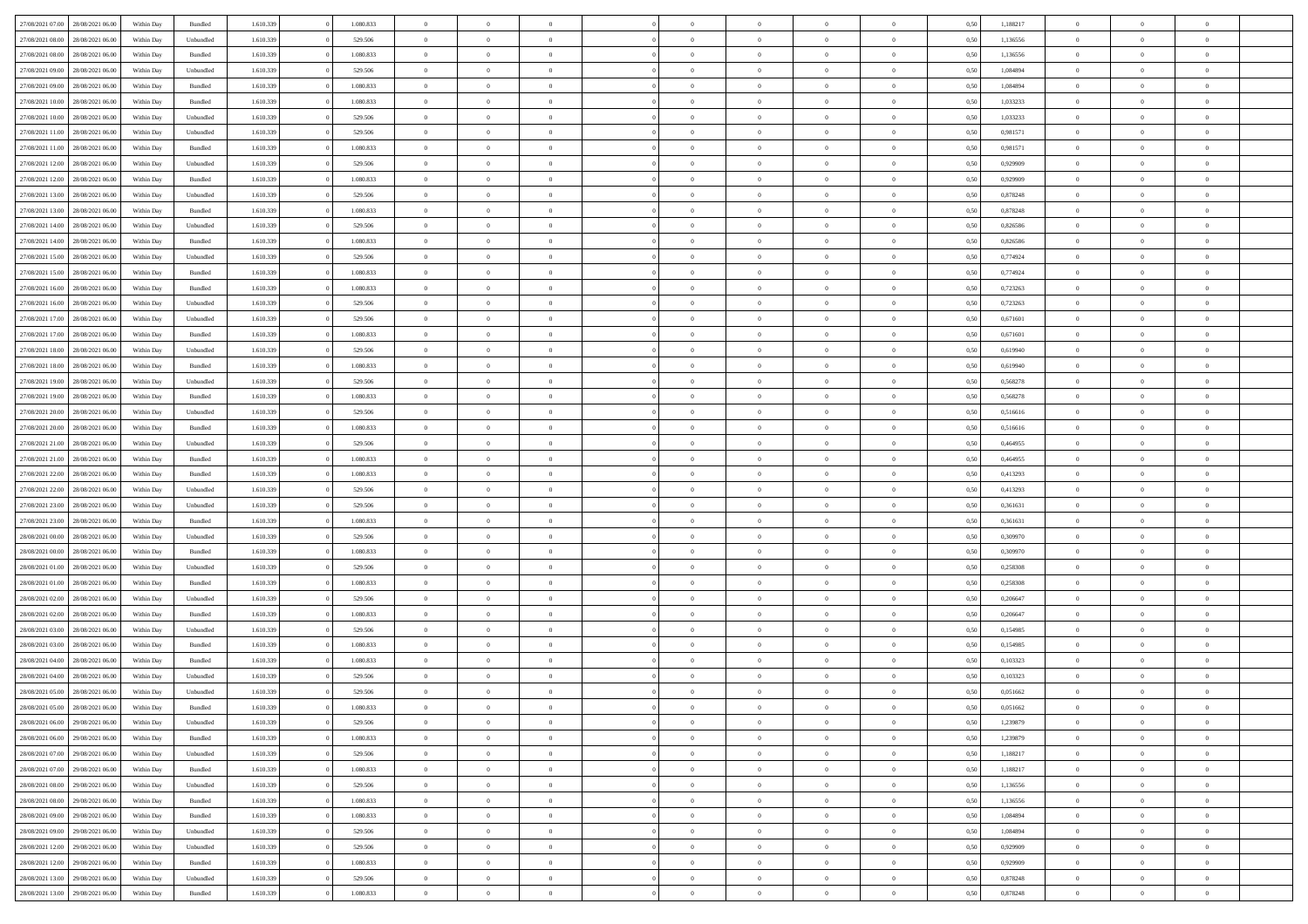| 27/08/2021 07:00 28/08/2021 06:00                        | Within Day | Bundled              | 1.610.339              | 1.080.833            | $\overline{0}$                   | $\overline{0}$ | $\Omega$                         | $\Omega$                         | $\theta$       | $\Omega$                         | $\overline{0}$             | 0,50         | 1,188217             | $\theta$       | $\theta$       | $\theta$       |  |
|----------------------------------------------------------|------------|----------------------|------------------------|----------------------|----------------------------------|----------------|----------------------------------|----------------------------------|----------------|----------------------------------|----------------------------|--------------|----------------------|----------------|----------------|----------------|--|
| 27/08/2021 08:00<br>28/08/2021 06:00                     | Within Day | Unbundled            | 1.610.339              | 529.506              | $\overline{0}$                   | $\overline{0}$ | $\overline{0}$                   | $\overline{0}$                   | $\theta$       | $\overline{0}$                   | $\bf{0}$                   | 0,50         | 1,136556             | $\theta$       | $\theta$       | $\overline{0}$ |  |
| 27/08/2021 08:00<br>28/08/2021 06:00                     | Within Day | Bundled              | 1.610.339              | 1.080.833            | $\overline{0}$                   | $\bf{0}$       | $\overline{0}$                   | $\overline{0}$                   | $\overline{0}$ | $\overline{0}$                   | $\bf{0}$                   | 0,50         | 1,136556             | $\bf{0}$       | $\overline{0}$ | $\overline{0}$ |  |
| 27/08/2021 09:00<br>28/08/2021 06:00                     | Within Day | Unbundled            | 1.610.339              | 529,506              | $\overline{0}$                   | $\overline{0}$ | $\overline{0}$                   | $\overline{0}$                   | $\theta$       | $\overline{0}$                   | $\overline{0}$             | 0.50         | 1.084894             | $\theta$       | $\theta$       | $\overline{0}$ |  |
| 27/08/2021 09:00<br>28/08/2021 06:00                     | Within Day | Bundled              | 1.610.339              | 1.080.833            | $\overline{0}$                   | $\overline{0}$ | $\overline{0}$                   | $\overline{0}$                   | $\theta$       | $\overline{0}$                   | $\bf{0}$                   | 0,50         | 1,084894             | $\theta$       | $\theta$       | $\overline{0}$ |  |
| 27/08/2021 10:00<br>28/08/2021 06:00                     | Within Day | Bundled              | 1.610.339              | 1.080.833            | $\overline{0}$                   | $\bf{0}$       | $\overline{0}$                   | $\overline{0}$                   | $\overline{0}$ | $\overline{0}$                   | $\bf{0}$                   | 0,50         | 1,033233             | $\bf{0}$       | $\overline{0}$ | $\bf{0}$       |  |
| 27/08/2021 10:00<br>28/08/2021 06:00                     | Within Day | Unbundled            | 1.610.339              | 529,506              | $\overline{0}$                   | $\overline{0}$ | $\overline{0}$                   | $\overline{0}$                   | $\overline{0}$ | $\overline{0}$                   | $\overline{0}$             | 0.5(         | 1,033233             | $\theta$       | $\theta$       | $\overline{0}$ |  |
| 27/08/2021 11:00<br>28/08/2021 06:00                     | Within Day | Unbundled            | 1.610.339              | 529.506              | $\overline{0}$                   | $\theta$       | $\overline{0}$                   | $\overline{0}$                   | $\theta$       | $\overline{0}$                   | $\bf{0}$                   | 0,50         | 0,981571             | $\theta$       | $\theta$       | $\overline{0}$ |  |
|                                                          |            |                      |                        |                      |                                  | $\bf{0}$       |                                  |                                  | $\overline{0}$ |                                  |                            |              |                      | $\bf{0}$       | $\bf{0}$       | $\overline{0}$ |  |
| 27/08/2021 11:00<br>28/08/2021 06:00<br>28/08/2021 06:00 | Within Day | Bundled<br>Unbundled | 1.610.339<br>1.610.339 | 1.080.833<br>529.506 | $\overline{0}$<br>$\overline{0}$ | $\overline{0}$ | $\overline{0}$<br>$\overline{0}$ | $\overline{0}$<br>$\overline{0}$ | $\overline{0}$ | $\overline{0}$<br>$\overline{0}$ | $\bf{0}$<br>$\overline{0}$ | 0,50<br>0.50 | 0,981571<br>0.929909 | $\theta$       | $\theta$       | $\overline{0}$ |  |
| 27/08/2021 12:00                                         | Within Day |                      |                        |                      |                                  |                |                                  |                                  |                |                                  |                            |              |                      |                |                |                |  |
| 27/08/2021 12:00<br>28/08/2021 06:00                     | Within Day | Bundled              | 1.610.339              | 1.080.833            | $\bf{0}$                         | $\overline{0}$ | $\overline{0}$                   | $\overline{0}$                   | $\theta$       | $\overline{0}$                   | $\bf{0}$                   | 0,50         | 0,929909             | $\theta$       | $\theta$       | $\overline{0}$ |  |
| 27/08/2021 13:00<br>28/08/2021 06:00                     | Within Day | Unbundled            | 1.610.339              | 529.506              | $\overline{0}$                   | $\bf{0}$       | $\overline{0}$                   | $\overline{0}$                   | $\bf{0}$       | $\overline{0}$                   | $\bf{0}$                   | 0,50         | 0,878248             | $\bf{0}$       | $\overline{0}$ | $\overline{0}$ |  |
| 27/08/2021 13:00<br>28/08/2021 06:00                     | Within Day | Bundled              | 1.610.339              | 1.080.833            | $\overline{0}$                   | $\overline{0}$ | $\overline{0}$                   | $\overline{0}$                   | $\overline{0}$ | $\overline{0}$                   | $\overline{0}$             | 0.5(         | 0.878248             | $\theta$       | $\theta$       | $\overline{0}$ |  |
| 27/08/2021 14:00<br>28/08/2021 06:00                     | Within Day | Unbundled            | 1.610.339              | 529.506              | $\overline{0}$                   | $\overline{0}$ | $\overline{0}$                   | $\overline{0}$                   | $\theta$       | $\overline{0}$                   | $\bf{0}$                   | 0,50         | 0,826586             | $\theta$       | $\theta$       | $\overline{0}$ |  |
| 27/08/2021 14:00<br>28/08/2021 06:00                     | Within Day | Bundled              | 1.610.339              | 1.080.833            | $\overline{0}$                   | $\bf{0}$       | $\overline{0}$                   | $\overline{0}$                   | $\overline{0}$ | $\overline{0}$                   | $\bf{0}$                   | 0,50         | 0,826586             | $\bf{0}$       | $\overline{0}$ | $\bf{0}$       |  |
| 27/08/2021 15:00<br>28/08/2021 06:00                     | Within Day | Unbundled            | 1.610.339              | 529.506              | $\overline{0}$                   | $\overline{0}$ | $\overline{0}$                   | $\overline{0}$                   | $\overline{0}$ | $\overline{0}$                   | $\overline{0}$             | 0.5(         | 0,774924             | $\theta$       | $\theta$       | $\overline{0}$ |  |
| 27/08/2021 15:00<br>28/08/2021 06:00                     | Within Day | Bundled              | 1.610.339              | 1.080.833            | $\overline{0}$                   | $\overline{0}$ | $\overline{0}$                   | $\overline{0}$                   | $\theta$       | $\overline{0}$                   | $\bf{0}$                   | 0,50         | 0,774924             | $\theta$       | $\theta$       | $\overline{0}$ |  |
| 27/08/2021 16:00<br>28/08/2021 06:00                     | Within Day | Bundled              | 1.610.339              | 1.080.833            | $\overline{0}$                   | $\bf{0}$       | $\overline{0}$                   | $\overline{0}$                   | $\overline{0}$ | $\overline{0}$                   | $\bf{0}$                   | 0,50         | 0,723263             | $\bf{0}$       | $\overline{0}$ | $\overline{0}$ |  |
| 27/08/2021 16:00<br>28/08/2021 06:00                     | Within Day | Unbundled            | 1.610.339              | 529.506              | $\overline{0}$                   | $\overline{0}$ | $\overline{0}$                   | $\overline{0}$                   | $\overline{0}$ | $\overline{0}$                   | $\overline{0}$             | 0.50         | 0,723263             | $\theta$       | $\theta$       | $\overline{0}$ |  |
| 27/08/2021 17:00<br>28/08/2021 06:00                     | Within Day | Unbundled            | 1.610.339              | 529.506              | $\bf{0}$                         | $\overline{0}$ | $\overline{0}$                   | $\overline{0}$                   | $\theta$       | $\overline{0}$                   | $\bf{0}$                   | 0,50         | 0,671601             | $\theta$       | $\theta$       | $\overline{0}$ |  |
| 27/08/2021 17:00<br>28/08/2021 06:00                     | Within Day | Bundled              | 1.610.339              | 1.080.833            | $\overline{0}$                   | $\bf{0}$       | $\overline{0}$                   | $\overline{0}$                   | $\overline{0}$ | $\overline{0}$                   | $\bf{0}$                   | 0,50         | 0,671601             | $\bf{0}$       | $\overline{0}$ | $\overline{0}$ |  |
| 27/08/2021 18:00<br>28/08/2021 06:00                     | Within Day | Unbundled            | 1.610.339              | 529,506              | $\overline{0}$                   | $\overline{0}$ | $\overline{0}$                   | $\overline{0}$                   | $\overline{0}$ | $\overline{0}$                   | $\overline{0}$             | 0.50         | 0.619940             | $\theta$       | $\theta$       | $\overline{0}$ |  |
| 27/08/2021 18:00<br>28/08/2021 06:00                     | Within Day | Bundled              | 1.610.339              | 1.080.833            | $\overline{0}$                   | $\overline{0}$ | $\overline{0}$                   | $\overline{0}$                   | $\theta$       | $\overline{0}$                   | $\bf{0}$                   | 0,50         | 0,619940             | $\theta$       | $\theta$       | $\overline{0}$ |  |
| 27/08/2021 19:00<br>28/08/2021 06:00                     | Within Day | Unbundled            | 1.610.339              | 529.506              | $\overline{0}$                   | $\bf{0}$       | $\overline{0}$                   | $\overline{0}$                   | $\overline{0}$ | $\overline{0}$                   | $\bf{0}$                   | 0,50         | 0,568278             | $\bf{0}$       | $\overline{0}$ | $\bf{0}$       |  |
| 27/08/2021 19:00<br>28/08/2021 06:00                     | Within Day | Bundled              | 1.610.339              | 1.080.833            | $\overline{0}$                   | $\overline{0}$ | $\overline{0}$                   | $\overline{0}$                   | $\overline{0}$ | $\overline{0}$                   | $\overline{0}$             | 0.5(         | 0,568278             | $\overline{0}$ | $\theta$       | $\overline{0}$ |  |
| 27/08/2021 20:00<br>28/08/2021 06:00                     | Within Day | Unbundled            | 1.610.339              | 529.506              | $\overline{0}$                   | $\overline{0}$ | $\overline{0}$                   | $\overline{0}$                   | $\theta$       | $\overline{0}$                   | $\bf{0}$                   | 0,50         | 0,516616             | $\theta$       | $\theta$       | $\overline{0}$ |  |
| 27/08/2021 20:00<br>28/08/2021 06:00                     | Within Day | Bundled              | 1.610.339              | 1.080.833            | $\overline{0}$                   | $\bf{0}$       | $\overline{0}$                   | $\overline{0}$                   | $\overline{0}$ | $\overline{0}$                   | $\bf{0}$                   | 0,50         | 0,516616             | $\bf{0}$       | $\bf{0}$       | $\overline{0}$ |  |
| 27/08/2021 21:00<br>28/08/2021 06:00                     | Within Day | Unbundled            | 1.610.339              | 529.506              | $\overline{0}$                   | $\overline{0}$ | $\overline{0}$                   | $\overline{0}$                   | $\overline{0}$ | $\overline{0}$                   | $\overline{0}$             | 0.50         | 0.464955             | $\theta$       | $\theta$       | $\overline{0}$ |  |
| 27/08/2021 21:00<br>28/08/2021 06:00                     | Within Day | Bundled              | 1.610.339              | 1.080.833            | $\bf{0}$                         | $\overline{0}$ | $\overline{0}$                   | $\overline{0}$                   | $\theta$       | $\overline{0}$                   | $\bf{0}$                   | 0,50         | 0,464955             | $\theta$       | $\theta$       | $\overline{0}$ |  |
| 27/08/2021 22:00<br>28/08/2021 06:00                     | Within Day | Bundled              | 1.610.339              | 1.080.833            | $\overline{0}$                   | $\bf{0}$       | $\overline{0}$                   | $\overline{0}$                   | $\bf{0}$       | $\overline{0}$                   | $\bf{0}$                   | 0,50         | 0,413293             | $\bf{0}$       | $\overline{0}$ | $\overline{0}$ |  |
| 27/08/2021 22:00<br>28/08/2021 06:00                     | Within Day | Unbundled            | 1.610.339              | 529.506              | $\overline{0}$                   | $\overline{0}$ | $\Omega$                         | $\Omega$                         | $\Omega$       | $\theta$                         | $\overline{0}$             | 0,50         | 0,413293             | $\,$ 0 $\,$    | $\Omega$       | $\theta$       |  |
| 27/08/2021 23:00<br>28/08/2021 06:00                     | Within Day | Unbundled            | 1.610.339              | 529.506              | $\bf{0}$                         | $\overline{0}$ | $\overline{0}$                   | $\overline{0}$                   | $\theta$       | $\overline{0}$                   | $\bf{0}$                   | 0,50         | 0,361631             | $\theta$       | $\theta$       | $\overline{0}$ |  |
| 27/08/2021 23:00<br>28/08/2021 06:00                     | Within Day | Bundled              | 1.610.339              | 1.080.833            | $\overline{0}$                   | $\bf{0}$       | $\overline{0}$                   | $\overline{0}$                   | $\overline{0}$ | $\overline{0}$                   | $\bf{0}$                   | 0,50         | 0,361631             | $\overline{0}$ | $\overline{0}$ | $\bf{0}$       |  |
| 28/08/2021 00:00<br>28/08/2021 06:00                     | Within Day | Unbundled            | 1.610.339              | 529.506              | $\overline{0}$                   | $\overline{0}$ | $\Omega$                         | $\Omega$                         | $\overline{0}$ | $\Omega$                         | $\overline{0}$             | 0.50         | 0.309970             | $\theta$       | $\Omega$       | $\theta$       |  |
| 28/08/2021 00:00<br>28/08/2021 06:00                     | Within Day | Bundled              | 1.610.339              | 1.080.833            | $\bf{0}$                         | $\overline{0}$ | $\overline{0}$                   | $\overline{0}$                   | $\theta$       | $\overline{0}$                   | $\bf{0}$                   | 0,50         | 0,309970             | $\theta$       | $\theta$       | $\overline{0}$ |  |
| 28/08/2021 01:00<br>28/08/2021 06:00                     | Within Day | Unbundled            | 1.610.339              | 529.506              | $\overline{0}$                   | $\bf{0}$       | $\overline{0}$                   | $\overline{0}$                   | $\overline{0}$ | $\bf{0}$                         | $\bf{0}$                   | 0,50         | 0,258308             | $\bf{0}$       | $\overline{0}$ | $\overline{0}$ |  |
| 28/08/2021 01:00<br>28/08/2021 06:00                     | Within Day | Bundled              | 1.610.339              | 1.080.833            | $\overline{0}$                   | $\theta$       | $\Omega$                         | $\Omega$                         | $\Omega$       | $\Omega$                         | $\overline{0}$             | 0.50         | 0,258308             | $\theta$       | $\Omega$       | $\theta$       |  |
| 28/08/2021 02:00<br>28/08/2021 06:00                     | Within Day | Unbundled            | 1.610.339              | 529.506              | $\bf{0}$                         | $\overline{0}$ | $\overline{0}$                   | $\overline{0}$                   | $\theta$       | $\overline{0}$                   | $\bf{0}$                   | 0,50         | 0,206647             | $\theta$       | $\theta$       | $\overline{0}$ |  |
| 28/08/2021 02:00<br>28/08/2021 06:00                     | Within Day | Bundled              | 1.610.339              | 1.080.833            | $\overline{0}$                   | $\bf{0}$       | $\overline{0}$                   | $\overline{0}$                   | $\overline{0}$ | $\overline{0}$                   | $\bf{0}$                   | 0,50         | 0,206647             | $\bf{0}$       | $\overline{0}$ | $\overline{0}$ |  |
|                                                          |            |                      |                        |                      |                                  |                | $\Omega$                         | $\Omega$                         |                | $\Omega$                         |                            |              |                      |                | $\Omega$       | $\theta$       |  |
| 28/08/2021 03:00<br>28/08/2021 06:00                     | Within Day | Unbundled            | 1.610.339              | 529.506              | $\overline{0}$                   | $\overline{0}$ |                                  |                                  | $\theta$       |                                  | $\overline{0}$             | 0.50         | 0,154985             | $\bf{0}$       |                |                |  |
| 28/08/2021 03:00<br>28/08/2021 06:00                     | Within Day | Bundled              | 1.610.339              | 1.080.833            | $\bf{0}$                         | $\overline{0}$ | $\overline{0}$                   | $\overline{0}$                   | $\theta$       | $\overline{0}$                   | $\bf{0}$                   | 0,50         | 0,154985             | $\,$ 0 $\,$    | $\theta$       | $\overline{0}$ |  |
| 28/08/2021 04:00<br>28/08/2021 06:00                     | Within Day | Bundled              | 1.610.339              | 1.080.833            | $\overline{0}$                   | $\bf{0}$       | $\overline{0}$                   | $\overline{0}$                   | $\bf{0}$       | $\overline{0}$                   | $\bf{0}$                   | 0,50         | 0,103323             | $\overline{0}$ | $\overline{0}$ | $\bf{0}$       |  |
| 28/08/2021 04:00<br>28/08/2021 06:00                     | Within Day | Unbundled            | 1.610.339              | 529.506              | $\overline{0}$                   | $\Omega$       | $\Omega$                         | $\Omega$                         | $\Omega$       | $\theta$                         | $\overline{0}$             | 0.50         | 0.103323             | $\theta$       | $\Omega$       | $\theta$       |  |
| 28/08/2021 05:00<br>28/08/2021 06:00                     | Within Day | Unbundled            | 1.610.339              | 529.506              | $\bf{0}$                         | $\bf{0}$       | $\overline{0}$                   | $\overline{0}$                   | $\bf{0}$       | $\bf{0}$                         | $\bf{0}$                   | 0,50         | 0,051662             | $\bf{0}$       | $\bf{0}$       | $\overline{0}$ |  |
| 28/08/2021 05:00 28/08/2021 06:00                        | Within Day | Bundled              | 1.610.339              | 1.080.833            | $\bf{0}$                         | $\bf{0}$       |                                  |                                  |                |                                  |                            | 0,50         | 0,051662             | $\bf{0}$       | $\bf{0}$       |                |  |
| 28/08/2021 06:00 29/08/2021 06:00                        | Within Day | Unbundled            | 1.610.339              | 529.506              | $\Omega$                         | $\overline{0}$ | $\Omega$                         | $\theta$                         | $\overline{0}$ | $\theta$                         | $\overline{0}$             | 0.50         | 1,239879             | $\theta$       | $\theta$       | $\theta$       |  |
| 28/08/2021 06:00<br>29/08/2021 06:00                     | Within Day | Bundled              | 1.610.339              | 1.080.833            | $\overline{0}$                   | $\overline{0}$ | $\overline{0}$                   | $\overline{0}$                   | $\,$ 0 $\,$    | $\overline{0}$                   | $\,$ 0 $\,$                | 0,50         | 1,239879             | $\,$ 0 $\,$    | $\,$ 0 $\,$    | $\,$ 0         |  |
| 28/08/2021 07:00 29/08/2021 06:00                        | Within Day | Unbundled            | 1.610.339              | 529.506              | $\overline{0}$                   | $\overline{0}$ | $\overline{0}$                   | $\overline{0}$                   | $\overline{0}$ | $\overline{0}$                   | $\bf{0}$                   | 0,50         | 1,188217             | $\overline{0}$ | $\bf{0}$       | $\overline{0}$ |  |
| 29/08/2021 06:00<br>28/08/2021 07:00                     | Within Day | Bundled              | 1.610.339              | 1.080.833            | $\overline{0}$                   | $\bf{0}$       | $\overline{0}$                   | $\overline{0}$                   | $\overline{0}$ | $\overline{0}$                   | $\bf{0}$                   | 0,50         | 1,188217             | $\bf{0}$       | $\theta$       | $\overline{0}$ |  |
| 28/08/2021 08:00<br>29/08/2021 06:00                     | Within Day | Unbundled            | 1.610.339              | 529.506              | $\overline{0}$                   | $\overline{0}$ | $\overline{0}$                   | $\overline{0}$                   | $\overline{0}$ | $\overline{0}$                   | $\bf{0}$                   | 0,50         | 1,136556             | $\,$ 0 $\,$    | $\,$ 0 $\,$    | $\overline{0}$ |  |
| 28/08/2021 08:00<br>29/08/2021 06:00                     | Within Day | Bundled              | 1.610.339              | 1.080.833            | $\overline{0}$                   | $\overline{0}$ | $\overline{0}$                   | $\overline{0}$                   | $\mathbf{0}$   | $\overline{0}$                   | $\bf{0}$                   | 0,50         | 1,136556             | $\overline{0}$ | $\overline{0}$ | $\overline{0}$ |  |
| 28/08/2021 09:00<br>29/08/2021 06:00                     | Within Day | Bundled              | 1.610.339              | 1.080.833            | $\overline{0}$                   | $\bf{0}$       | $\overline{0}$                   | $\overline{0}$                   | $\overline{0}$ | $\overline{0}$                   | $\bf{0}$                   | 0.50         | 1.084894             | $\overline{0}$ | $\theta$       | $\overline{0}$ |  |
| 28/08/2021 09:00<br>29/08/2021 06:00                     | Within Day | Unbundled            | 1.610.339              | 529.506              | $\overline{0}$                   | $\overline{0}$ | $\overline{0}$                   | $\overline{0}$                   | $\overline{0}$ | $\overline{0}$                   | $\bf{0}$                   | 0,50         | 1,084894             | $\,$ 0 $\,$    | $\,$ 0 $\,$    | $\overline{0}$ |  |
| 28/08/2021 12:00<br>29/08/2021 06:00                     | Within Day | Unbundled            | 1.610.339              | 529.506              | $\overline{0}$                   | $\bf{0}$       | $\overline{0}$                   | $\overline{0}$                   | $\overline{0}$ | $\overline{0}$                   | $\bf{0}$                   | 0,50         | 0,929909             | $\overline{0}$ | $\overline{0}$ | $\bf{0}$       |  |
| 28/08/2021 12:00<br>29/08/2021 06:00                     | Within Day | Bundled              | 1.610.339              | 1.080.833            | $\overline{0}$                   | $\overline{0}$ | $\overline{0}$                   | $\overline{0}$                   | $\overline{0}$ | $\overline{0}$                   | $\bf{0}$                   | 0.50         | 0,929909             | $\overline{0}$ | $\theta$       | $\overline{0}$ |  |
| 28/08/2021 13:00<br>29/08/2021 06:00                     | Within Day | Unbundled            | 1.610.339              | 529.506              | $\overline{0}$                   | $\,$ 0         | $\overline{0}$                   | $\overline{0}$                   | $\overline{0}$ | $\bf{0}$                         | $\bf{0}$                   | 0,50         | 0,878248             | $\,$ 0 $\,$    | $\,$ 0 $\,$    | $\bf{0}$       |  |
| 28/08/2021 13:00 29/08/2021 06:00                        | Within Day | Bundled              | 1.610.339              | 1.080.833            | $\overline{0}$                   | $\bf{0}$       | $\overline{0}$                   | $\overline{0}$                   | $\overline{0}$ | $\overline{0}$                   | $\bf{0}$                   | 0,50         | 0,878248             | $\overline{0}$ | $\overline{0}$ | $\bf{0}$       |  |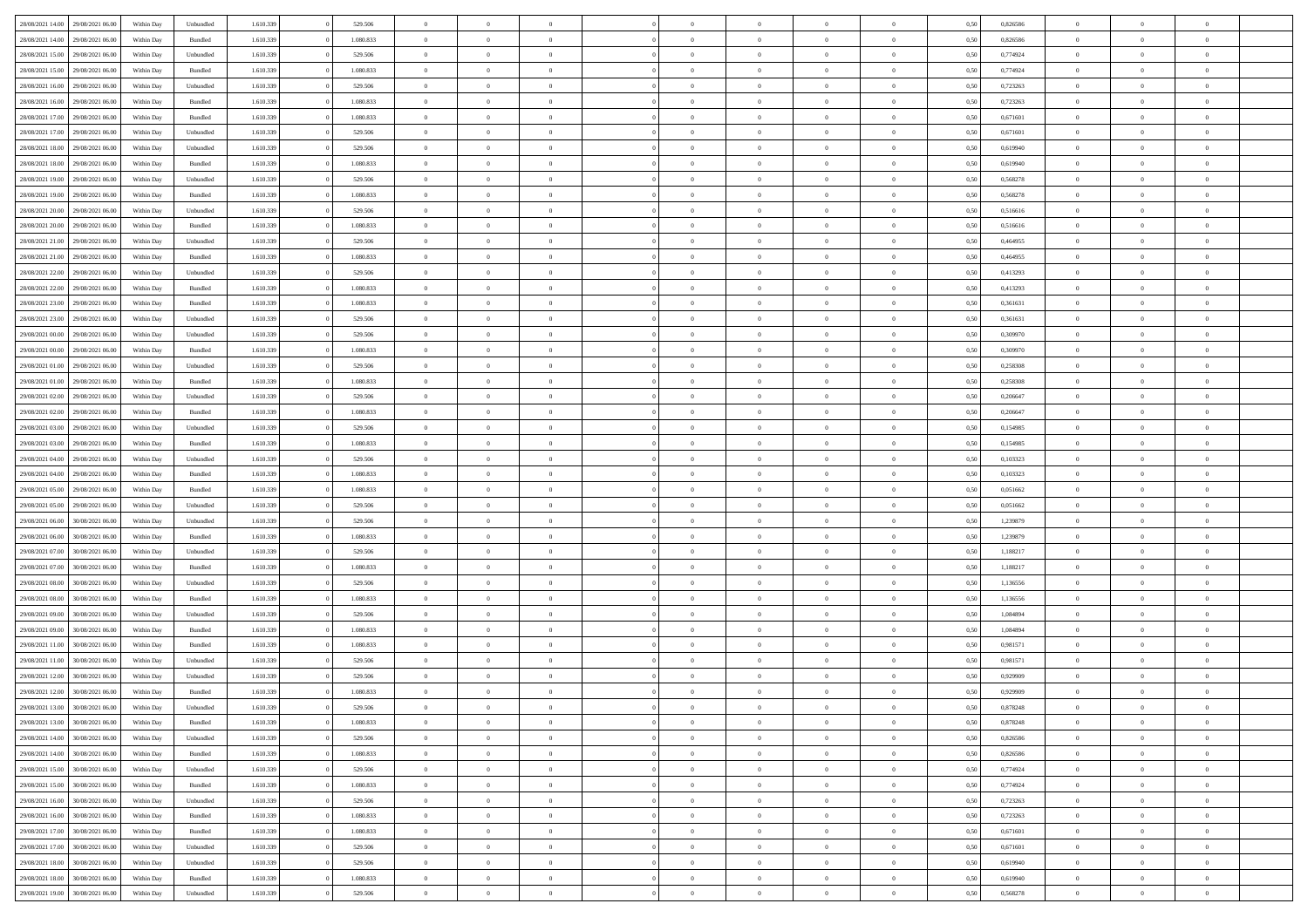|                  |                  |            |           |           |           | $\overline{0}$ | $\Omega$       |                |                | $\Omega$       | $\Omega$       | $\theta$       |      |          | $\theta$       |                | $\theta$       |  |
|------------------|------------------|------------|-----------|-----------|-----------|----------------|----------------|----------------|----------------|----------------|----------------|----------------|------|----------|----------------|----------------|----------------|--|
| 28/08/2021 14:00 | 29/08/2021 06:00 | Within Dav | Unbundled | 1.610.339 | 529.506   |                |                |                | $\Omega$       |                |                |                | 0,50 | 0,826586 |                | $\theta$       |                |  |
| 28/08/2021 14:00 | 29/08/2021 06:00 | Within Day | Bundled   | 1.610.339 | 1.080.833 | $\overline{0}$ | $\theta$       | $\overline{0}$ | $\overline{0}$ | $\bf{0}$       | $\overline{0}$ | $\bf{0}$       | 0,50 | 0,826586 | $\theta$       | $\theta$       | $\overline{0}$ |  |
| 28/08/2021 15:00 | 29/08/2021 06:00 | Within Day | Unbundled | 1.610.339 | 529.506   | $\overline{0}$ | $\overline{0}$ | $\overline{0}$ | $\bf{0}$       | $\bf{0}$       | $\bf{0}$       | $\mathbf{0}$   | 0,50 | 0,774924 | $\overline{0}$ | $\overline{0}$ | $\overline{0}$ |  |
|                  |                  |            |           |           |           |                |                |                |                |                |                |                |      |          | $\theta$       |                |                |  |
| 28/08/2021 15:00 | 29/08/2021 06:00 | Within Dav | Bundled   | 1.610.339 | 1.080.833 | $\overline{0}$ | $\overline{0}$ | $\overline{0}$ | $\overline{0}$ | $\bf{0}$       | $\overline{0}$ | $\overline{0}$ | 0.50 | 0.774924 |                | $\theta$       | $\overline{0}$ |  |
| 28/08/2021 16:00 | 29/08/2021 06:00 | Within Day | Unbundled | 1.610.339 | 529.506   | $\overline{0}$ | $\theta$       | $\overline{0}$ | $\overline{0}$ | $\bf{0}$       | $\overline{0}$ | $\bf{0}$       | 0,50 | 0,723263 | $\theta$       | $\theta$       | $\overline{0}$ |  |
| 28/08/2021 16:00 | 29/08/2021 06:00 | Within Day | Bundled   | 1.610.339 | 1.080.833 | $\overline{0}$ | $\overline{0}$ | $\overline{0}$ | $\bf{0}$       | $\overline{0}$ | $\overline{0}$ | $\mathbf{0}$   | 0,50 | 0,723263 | $\overline{0}$ | $\overline{0}$ | $\bf{0}$       |  |
| 28/08/2021 17:00 | 29/08/2021 06:00 | Within Dav | Bundled   | 1.610.339 | 1.080.833 | $\overline{0}$ | $\overline{0}$ | $\overline{0}$ | $\overline{0}$ | $\overline{0}$ | $\overline{0}$ | $\overline{0}$ | 0.50 | 0,671601 | $\theta$       | $\overline{0}$ | $\overline{0}$ |  |
|                  |                  |            |           |           |           |                |                |                |                |                |                |                |      |          |                |                |                |  |
| 28/08/2021 17:00 | 29/08/2021 06:00 | Within Day | Unbundled | 1.610.339 | 529.506   | $\overline{0}$ | $\theta$       | $\overline{0}$ | $\overline{0}$ | $\bf{0}$       | $\overline{0}$ | $\bf{0}$       | 0,50 | 0,671601 | $\theta$       | $\theta$       | $\overline{0}$ |  |
| 28/08/2021 18:00 | 29/08/2021 06:00 | Within Day | Unbundled | 1.610.339 | 529.506   | $\overline{0}$ | $\overline{0}$ | $\overline{0}$ | $\bf{0}$       | $\bf{0}$       | $\bf{0}$       | $\bf{0}$       | 0,50 | 0,619940 | $\,0\,$        | $\overline{0}$ | $\overline{0}$ |  |
| 28/08/2021 18:00 | 29/08/2021 06:00 | Within Dav | Bundled   | 1.610.339 | 1.080.833 | $\overline{0}$ | $\overline{0}$ | $\overline{0}$ | $\overline{0}$ | $\overline{0}$ | $\overline{0}$ | $\overline{0}$ | 0.50 | 0,619940 | $\theta$       | $\overline{0}$ | $\overline{0}$ |  |
|                  |                  |            |           |           |           |                |                |                |                |                |                |                |      |          |                |                |                |  |
| 28/08/2021 19:00 | 29/08/2021 06:00 | Within Day | Unbundled | 1.610.339 | 529.506   | $\overline{0}$ | $\theta$       | $\overline{0}$ | $\overline{0}$ | $\bf{0}$       | $\overline{0}$ | $\bf{0}$       | 0,50 | 0,568278 | $\,$ 0 $\,$    | $\overline{0}$ | $\overline{0}$ |  |
| 28/08/2021 19:00 | 29/08/2021 06:00 | Within Day | Bundled   | 1.610.339 | 1.080.833 | $\overline{0}$ | $\overline{0}$ | $\overline{0}$ | $\bf{0}$       | $\bf{0}$       | $\bf{0}$       | $\mathbf{0}$   | 0,50 | 0,568278 | $\bf{0}$       | $\overline{0}$ | $\overline{0}$ |  |
| 28/08/2021 20:00 | 29/08/2021 06:00 | Within Day | Unbundled | 1.610.339 | 529.506   | $\overline{0}$ | $\overline{0}$ | $\overline{0}$ | $\overline{0}$ | $\bf{0}$       | $\overline{0}$ | $\overline{0}$ | 0.50 | 0.516616 | $\theta$       | $\theta$       | $\overline{0}$ |  |
| 28/08/2021 20:00 | 29/08/2021 06:00 | Within Day | Bundled   | 1.610.339 | 1.080.833 | $\overline{0}$ | $\theta$       | $\overline{0}$ | $\overline{0}$ | $\bf{0}$       | $\overline{0}$ | $\bf{0}$       | 0,50 | 0,516616 | $\theta$       | $\theta$       | $\overline{0}$ |  |
|                  |                  |            |           |           |           |                |                |                |                |                |                |                |      |          |                |                |                |  |
| 28/08/2021 21:00 | 29/08/2021 06:00 | Within Day | Unbundled | 1.610.339 | 529.506   | $\overline{0}$ | $\overline{0}$ | $\overline{0}$ | $\bf{0}$       | $\overline{0}$ | $\overline{0}$ | $\mathbf{0}$   | 0,50 | 0,464955 | $\bf{0}$       | $\overline{0}$ | $\bf{0}$       |  |
| 28/08/2021 21:00 | 29/08/2021 06:00 | Within Dav | Bundled   | 1.610.339 | 1.080.833 | $\overline{0}$ | $\overline{0}$ | $\overline{0}$ | $\overline{0}$ | $\overline{0}$ | $\overline{0}$ | $\overline{0}$ | 0.50 | 0,464955 | $\theta$       | $\overline{0}$ | $\overline{0}$ |  |
| 28/08/2021 22:00 | 29/08/2021 06:00 | Within Day | Unbundled | 1.610.339 | 529.506   | $\overline{0}$ | $\theta$       | $\overline{0}$ | $\overline{0}$ | $\bf{0}$       | $\overline{0}$ | $\bf{0}$       | 0,50 | 0,413293 | $\theta$       | $\theta$       | $\overline{0}$ |  |
|                  |                  |            |           |           |           |                |                |                |                |                |                |                |      |          |                |                |                |  |
| 28/08/2021 22:00 | 29/08/2021 06:00 | Within Day | Bundled   | 1.610.339 | 1.080.833 | $\overline{0}$ | $\overline{0}$ | $\overline{0}$ | $\bf{0}$       | $\bf{0}$       | $\bf{0}$       | $\mathbf{0}$   | 0,50 | 0,413293 | $\bf{0}$       | $\overline{0}$ | $\overline{0}$ |  |
| 28/08/2021 23:00 | 29/08/2021 06:00 | Within Day | Bundled   | 1.610.339 | 1.080.833 | $\overline{0}$ | $\overline{0}$ | $\overline{0}$ | $\overline{0}$ | $\overline{0}$ | $\overline{0}$ | $\overline{0}$ | 0.50 | 0,361631 | $\theta$       | $\overline{0}$ | $\overline{0}$ |  |
| 28/08/2021 23:00 | 29/08/2021 06:00 | Within Day | Unbundled | 1.610.339 | 529.506   | $\overline{0}$ | $\theta$       | $\overline{0}$ | $\overline{0}$ | $\bf{0}$       | $\overline{0}$ | $\bf{0}$       | 0,50 | 0,361631 | $\,$ 0 $\,$    | $\theta$       | $\overline{0}$ |  |
| 29/08/2021 00:00 | 29/08/2021 06:00 | Within Day | Unbundled | 1.610.339 | 529.506   | $\overline{0}$ | $\overline{0}$ | $\overline{0}$ | $\bf{0}$       | $\bf{0}$       | $\bf{0}$       | $\bf{0}$       | 0,50 | 0,309970 | $\bf{0}$       | $\overline{0}$ | $\overline{0}$ |  |
|                  |                  |            |           |           |           |                |                |                |                |                |                |                |      |          |                |                |                |  |
| 29/08/2021 00:00 | 29/08/2021 06:00 | Within Day | Bundled   | 1.610.339 | 1.080.833 | $\overline{0}$ | $\overline{0}$ | $\overline{0}$ | $\overline{0}$ | $\bf{0}$       | $\overline{0}$ | $\overline{0}$ | 0.50 | 0,309970 | $\theta$       | $\theta$       | $\overline{0}$ |  |
| 29/08/2021 01:00 | 29/08/2021 06:00 | Within Day | Unbundled | 1.610.339 | 529.506   | $\overline{0}$ | $\theta$       | $\overline{0}$ | $\overline{0}$ | $\bf{0}$       | $\overline{0}$ | $\bf{0}$       | 0,50 | 0,258308 | $\,$ 0 $\,$    | $\overline{0}$ | $\overline{0}$ |  |
| 29/08/2021 01:00 | 29/08/2021 06:00 | Within Day | Bundled   | 1.610.339 | 1.080.833 | $\overline{0}$ | $\bf{0}$       | $\overline{0}$ | $\bf{0}$       | $\overline{0}$ | $\overline{0}$ | $\mathbf{0}$   | 0,50 | 0,258308 | $\overline{0}$ | $\overline{0}$ | $\bf{0}$       |  |
| 29/08/2021 02:00 | 29/08/2021 06:00 | Within Dav | Unbundled | 1.610.339 | 529.506   | $\overline{0}$ | $\overline{0}$ | $\overline{0}$ | $\overline{0}$ | $\overline{0}$ | $\overline{0}$ | $\overline{0}$ | 0.50 | 0.206647 | $\theta$       | $\overline{0}$ | $\overline{0}$ |  |
|                  |                  |            |           |           |           |                |                |                |                |                |                |                |      |          |                |                |                |  |
| 29/08/2021 02:00 | 29/08/2021 06:00 | Within Day | Bundled   | 1.610.339 | 1.080.833 | $\overline{0}$ | $\theta$       | $\overline{0}$ | $\overline{0}$ | $\bf{0}$       | $\overline{0}$ | $\bf{0}$       | 0,50 | 0,206647 | $\theta$       | $\theta$       | $\overline{0}$ |  |
| 29/08/2021 03:00 | 29/08/2021 06:00 | Within Day | Unbundled | 1.610.339 | 529.506   | $\overline{0}$ | $\overline{0}$ | $\overline{0}$ | $\bf{0}$       | $\bf{0}$       | $\bf{0}$       | $\bf{0}$       | 0,50 | 0,154985 | $\,0\,$        | $\overline{0}$ | $\overline{0}$ |  |
| 29/08/2021 03:00 | 29/08/2021 06:00 | Within Day | Bundled   | 1.610.339 | 1.080.833 | $\overline{0}$ | $\overline{0}$ | $\overline{0}$ | $\overline{0}$ | $\overline{0}$ | $\overline{0}$ | $\overline{0}$ | 0.50 | 0,154985 | $\theta$       | $\overline{0}$ | $\overline{0}$ |  |
| 29/08/2021 04:00 | 29/08/2021 06:00 | Within Day | Unbundled | 1.610.339 | 529.506   | $\overline{0}$ | $\theta$       | $\overline{0}$ | $\overline{0}$ | $\bf{0}$       | $\overline{0}$ | $\bf{0}$       | 0,50 | 0,103323 | $\,$ 0 $\,$    | $\overline{0}$ | $\overline{0}$ |  |
|                  |                  |            |           |           |           |                |                |                |                |                |                |                |      |          |                |                |                |  |
| 29/08/2021 04:00 | 29/08/2021 06:00 | Within Day | Bundled   | 1.610.339 | 1.080.833 | $\overline{0}$ | $\overline{0}$ | $\overline{0}$ | $\bf{0}$       | $\bf{0}$       | $\bf{0}$       | $\bf{0}$       | 0,50 | 0,103323 | $\bf{0}$       | $\overline{0}$ | $\overline{0}$ |  |
| 29/08/2021 05:00 | 29/08/2021 06:00 | Within Day | Bundled   | 1.610.339 | 1.080.833 | $\overline{0}$ | $\Omega$       | $\Omega$       | $\Omega$       | $\Omega$       | $\Omega$       | $\overline{0}$ | 0.50 | 0.051662 | $\,0\,$        | $\theta$       | $\theta$       |  |
| 29/08/2021 05:00 | 29/08/2021 06:00 | Within Day | Unbundled | 1.610.339 | 529.506   | $\overline{0}$ | $\theta$       | $\overline{0}$ | $\overline{0}$ | $\bf{0}$       | $\overline{0}$ | $\bf{0}$       | 0,50 | 0,051662 | $\theta$       | $\theta$       | $\overline{0}$ |  |
|                  |                  |            |           |           |           |                |                |                |                |                |                |                |      |          |                |                |                |  |
| 29/08/2021 06:00 | 30/08/2021 06:00 | Within Day | Unbundled | 1.610.339 | 529.506   | $\overline{0}$ | $\overline{0}$ | $\overline{0}$ | $\overline{0}$ | $\bf{0}$       | $\overline{0}$ | $\mathbf{0}$   | 0,50 | 1,239879 | $\bf{0}$       | $\overline{0}$ | $\bf{0}$       |  |
| 29/08/2021 06:00 | 30/08/2021 06:00 | Within Day | Bundled   | 1.610.339 | 1.080.833 | $\overline{0}$ | $\Omega$       | $\Omega$       | $\Omega$       | $\bf{0}$       | $\overline{0}$ | $\overline{0}$ | 0.50 | 1,239879 | $\,0\,$        | $\theta$       | $\theta$       |  |
| 29/08/2021 07:00 | 30/08/2021 06:00 | Within Day | Unbundled | 1.610.339 | 529.506   | $\overline{0}$ | $\theta$       | $\overline{0}$ | $\overline{0}$ | $\bf{0}$       | $\overline{0}$ | $\bf{0}$       | 0,50 | 1,188217 | $\,$ 0 $\,$    | $\theta$       | $\overline{0}$ |  |
| 29/08/2021 07:00 | 30/08/2021 06:00 | Within Day | Bundled   | 1.610.339 | 1.080.833 | $\overline{0}$ | $\overline{0}$ | $\overline{0}$ | $\overline{0}$ | $\bf{0}$       | $\overline{0}$ | $\bf{0}$       | 0,50 | 1,188217 | $\bf{0}$       | $\overline{0}$ | $\overline{0}$ |  |
|                  |                  |            |           |           |           |                |                |                |                |                |                |                |      |          |                |                |                |  |
| 29/08/2021 08:00 | 30/08/2021 06:00 | Within Day | Unbundled | 1.610.339 | 529.506   | $\overline{0}$ | $\Omega$       | $\Omega$       | $\Omega$       | $\theta$       | $\theta$       | $\overline{0}$ | 0.50 | 1,136556 | $\theta$       | $\theta$       | $\theta$       |  |
| 29/08/2021 08:00 | 30/08/2021 06:00 | Within Day | Bundled   | 1.610.339 | 1.080.833 | $\overline{0}$ | $\theta$       | $\overline{0}$ | $\overline{0}$ | $\bf{0}$       | $\overline{0}$ | $\bf{0}$       | 0,50 | 1,136556 | $\,$ 0 $\,$    | $\overline{0}$ | $\overline{0}$ |  |
| 29/08/2021 09:00 | 30/08/2021 06:00 | Within Day | Unbundled | 1.610.339 | 529.506   | $\overline{0}$ | $\overline{0}$ | $\overline{0}$ | $\bf{0}$       | $\bf{0}$       | $\bf{0}$       | $\bf{0}$       | 0,50 | 1,084894 | $\overline{0}$ | $\overline{0}$ | $\overline{0}$ |  |
|                  | 30/08/2021 06:00 |            |           | 1.610.339 | 1.080.833 | $\overline{0}$ | $\Omega$       | $\overline{0}$ | $\Omega$       | $\Omega$       | $\overline{0}$ | $\overline{0}$ | 0,50 | 1,084894 | $\,0\,$        | $\theta$       | $\theta$       |  |
| 29/08/2021 09:00 |                  | Within Day | Bundled   |           |           |                |                |                |                |                |                |                |      |          |                |                |                |  |
| 29/08/2021 11:00 | 30/08/2021 06:00 | Within Day | Bundled   | 1.610.339 | 1.080.833 | $\overline{0}$ | $\theta$       | $\overline{0}$ | $\overline{0}$ | $\bf{0}$       | $\overline{0}$ | $\bf{0}$       | 0,50 | 0,981571 | $\,$ 0 $\,$    | $\overline{0}$ | $\overline{0}$ |  |
| 29/08/2021 11:00 | 30/08/2021 06:00 | Within Day | Unbundled | 1.610.339 | 529.506   | $\overline{0}$ | $\overline{0}$ | $\overline{0}$ | $\bf{0}$       | $\bf{0}$       | $\bf{0}$       | $\mathbf{0}$   | 0,50 | 0,981571 | $\overline{0}$ | $\overline{0}$ | $\bf{0}$       |  |
| 29/08/2021 12:00 | 30/08/2021 06:00 | Within Day | Unbundled | 1.610.339 | 529.506   | $\overline{0}$ | $\Omega$       | $\Omega$       | $\Omega$       | $\Omega$       | $\Omega$       | $\overline{0}$ | 0.50 | 0,929909 | $\theta$       | $\theta$       | $\theta$       |  |
| 29/08/2021 12:00 | 30/08/2021 06:00 | Within Day | Bundled   | 1.610.339 | 1.080.833 | $\overline{0}$ | $\overline{0}$ | $\overline{0}$ | $\bf{0}$       | $\,$ 0         | $\bf{0}$       | $\bf{0}$       | 0,50 | 0,929909 | $\,0\,$        | $\overline{0}$ | $\overline{0}$ |  |
|                  |                  |            |           |           |           |                |                |                |                |                |                |                |      |          |                |                |                |  |
| 29/08/2021 13:00 | 30/08/2021 06:00 | Within Day | Unbundled | 1.610.339 | 529.506   | $\bf{0}$       | $\bf{0}$       |                |                |                |                |                | 0,50 | 0,878248 | $\bf{0}$       | $\overline{0}$ |                |  |
| 29/08/2021 13:00 | 30/08/2021 06:00 | Within Day | Bundled   | 1.610.339 | 1.080.833 | $\overline{0}$ | $\overline{0}$ | $\overline{0}$ | $\Omega$       | $\overline{0}$ | $\overline{0}$ | $\overline{0}$ | 0.50 | 0,878248 | $\theta$       | $\theta$       | $\theta$       |  |
| 29/08/2021 14:00 | 30/08/2021 06:00 | Within Day | Unbundled | 1.610.339 | 529.506   | $\overline{0}$ | $\,$ 0         | $\overline{0}$ | $\bf{0}$       | $\,$ 0 $\,$    | $\overline{0}$ | $\,$ 0 $\,$    | 0,50 | 0,826586 | $\,$ 0 $\,$    | $\,$ 0 $\,$    | $\,$ 0         |  |
|                  |                  |            |           |           |           |                |                |                |                |                |                |                |      |          |                |                |                |  |
| 29/08/2021 14:00 | 30/08/2021 06:00 | Within Day | Bundled   | 1.610.339 | 1.080.833 | $\overline{0}$ | $\overline{0}$ | $\overline{0}$ | $\overline{0}$ | $\overline{0}$ | $\overline{0}$ | $\mathbf{0}$   | 0,50 | 0,826586 | $\overline{0}$ | $\bf{0}$       | $\bf{0}$       |  |
| 29/08/2021 15:00 | 30/08/2021 06:00 | Within Day | Unbundled | 1.610.339 | 529.506   | $\overline{0}$ | $\overline{0}$ | $\overline{0}$ | $\Omega$       | $\overline{0}$ | $\overline{0}$ | $\overline{0}$ | 0,50 | 0,774924 | $\overline{0}$ | $\theta$       | $\overline{0}$ |  |
| 29/08/2021 15:00 | 30/08/2021 06:00 | Within Day | Bundled   | 1.610.339 | 1.080.833 | $\overline{0}$ | $\,$ 0         | $\overline{0}$ | $\overline{0}$ | $\,$ 0 $\,$    | $\overline{0}$ | $\mathbf{0}$   | 0,50 | 0,774924 | $\,$ 0 $\,$    | $\overline{0}$ | $\overline{0}$ |  |
| 29/08/2021 16:00 | 30/08/2021 06:00 | Within Day | Unbundled | 1.610.339 | 529.506   | $\overline{0}$ | $\overline{0}$ | $\overline{0}$ | $\overline{0}$ | $\overline{0}$ | $\overline{0}$ | $\mathbf{0}$   | 0,50 | 0,723263 | $\overline{0}$ | $\overline{0}$ | $\bf{0}$       |  |
|                  |                  |            |           |           |           |                |                |                |                |                |                |                |      |          |                |                |                |  |
| 29/08/2021 16:00 | 30/08/2021 06:00 | Within Day | Bundled   | 1.610.339 | 1.080.833 | $\overline{0}$ | $\overline{0}$ | $\overline{0}$ | $\overline{0}$ | $\overline{0}$ | $\overline{0}$ | $\bf{0}$       | 0.50 | 0,723263 | $\overline{0}$ | $\theta$       | $\overline{0}$ |  |
| 29/08/2021 17:00 | 30/08/2021 06:00 | Within Day | Bundled   | 1.610.339 | 1.080.833 | $\overline{0}$ | $\,$ 0         | $\overline{0}$ | $\bf{0}$       | $\bf{0}$       | $\bf{0}$       | $\bf{0}$       | 0,50 | 0,671601 | $\,$ 0 $\,$    | $\overline{0}$ | $\overline{0}$ |  |
| 29/08/2021 17:00 | 30/08/2021 06:00 | Within Day | Unbundled | 1.610.339 | 529.506   | $\overline{0}$ | $\bf{0}$       | $\overline{0}$ | $\overline{0}$ | $\overline{0}$ | $\overline{0}$ | $\mathbf{0}$   | 0,50 | 0,671601 | $\overline{0}$ | $\overline{0}$ | $\bf{0}$       |  |
|                  | 30/08/2021 06:00 |            |           |           |           |                | $\overline{0}$ | $\overline{0}$ | $\Omega$       | $\overline{0}$ | $\overline{0}$ |                |      |          |                | $\overline{0}$ | $\overline{0}$ |  |
| 29/08/2021 18:00 |                  | Within Day | Unbundled | 1.610.339 | 529.506   | $\overline{0}$ |                |                |                |                |                | $\overline{0}$ | 0.50 | 0,619940 | $\overline{0}$ |                |                |  |
| 29/08/2021 18:00 | 30/08/2021 06:00 | Within Day | Bundled   | 1.610.339 | 1.080.833 | $\overline{0}$ | $\bf{0}$       | $\overline{0}$ | $\bf{0}$       | $\bf{0}$       | $\bf{0}$       | $\mathbf{0}$   | 0,50 | 0,619940 | $\,$ 0 $\,$    | $\,$ 0 $\,$    | $\bf{0}$       |  |
| 29/08/2021 19:00 | 30/08/2021 06:00 | Within Day | Unbundled | 1.610.339 | 529.506   | $\overline{0}$ | $\overline{0}$ | $\overline{0}$ | $\overline{0}$ | $\overline{0}$ | $\bf{0}$       | $\mathbf{0}$   | 0,50 | 0,568278 | $\overline{0}$ | $\bf{0}$       | $\bf{0}$       |  |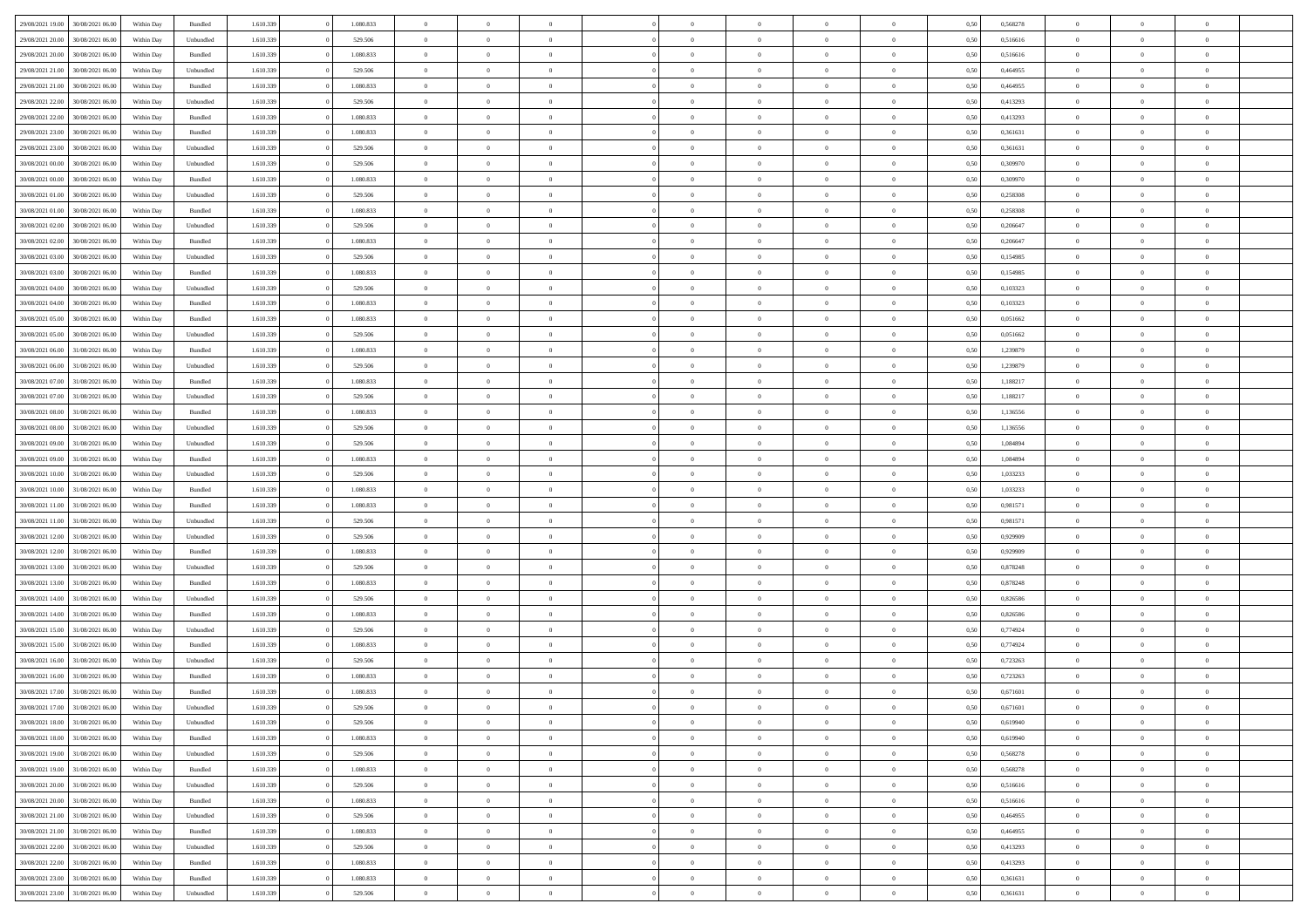| 29/08/2021 19:00 | 30/08/2021 06:00 | Within Day | Bundled            | 1.610.339 | 1.080.833 | $\overline{0}$ | $\Omega$       |                | $\Omega$       | $\Omega$       | $\theta$       | $\theta$       | 0,50 | 0,568278 | $\theta$       | $\theta$       | $\theta$       |  |
|------------------|------------------|------------|--------------------|-----------|-----------|----------------|----------------|----------------|----------------|----------------|----------------|----------------|------|----------|----------------|----------------|----------------|--|
|                  |                  |            |                    |           |           |                |                |                |                |                |                |                |      |          |                |                |                |  |
| 29/08/2021 20:00 | 30/08/2021 06:00 | Within Day | Unbundled          | 1.610.339 | 529.506   | $\overline{0}$ | $\theta$       | $\overline{0}$ | $\overline{0}$ | $\bf{0}$       | $\overline{0}$ | $\bf{0}$       | 0,50 | 0,516616 | $\theta$       | $\overline{0}$ | $\overline{0}$ |  |
| 29/08/2021 20:00 | 30/08/2021 06:00 | Within Day | Bundled            | 1.610.339 | 1.080.833 | $\overline{0}$ | $\overline{0}$ | $\overline{0}$ | $\bf{0}$       | $\bf{0}$       | $\bf{0}$       | $\mathbf{0}$   | 0,50 | 0,516616 | $\bf{0}$       | $\overline{0}$ | $\bf{0}$       |  |
| 29/08/2021 21:00 | 30/08/2021 06:00 | Within Day | Unbundled          | 1.610.339 | 529.506   | $\overline{0}$ | $\overline{0}$ | $\overline{0}$ | $\overline{0}$ | $\bf{0}$       | $\overline{0}$ | $\overline{0}$ | 0.50 | 0.464955 | $\theta$       | $\theta$       | $\overline{0}$ |  |
| 29/08/2021 21:00 | 30/08/2021 06:00 | Within Day | Bundled            | 1.610.339 | 1.080.833 | $\overline{0}$ | $\theta$       | $\overline{0}$ | $\overline{0}$ | $\bf{0}$       | $\overline{0}$ | $\bf{0}$       | 0,50 | 0,464955 | $\theta$       | $\overline{0}$ | $\overline{0}$ |  |
| 29/08/2021 22:00 | 30/08/2021 06:00 | Within Day | Unbundled          | 1.610.339 | 529.506   | $\overline{0}$ | $\overline{0}$ | $\overline{0}$ | $\bf{0}$       | $\overline{0}$ | $\overline{0}$ | $\mathbf{0}$   | 0,50 | 0,413293 | $\bf{0}$       | $\overline{0}$ | $\bf{0}$       |  |
| 29/08/2021 22:00 | 30/08/2021 06:00 | Within Dav | Bundled            | 1.610.339 | 1.080.833 | $\overline{0}$ | $\overline{0}$ | $\overline{0}$ | $\overline{0}$ | $\overline{0}$ | $\overline{0}$ | $\overline{0}$ | 0.50 | 0,413293 | $\theta$       | $\overline{0}$ | $\overline{0}$ |  |
|                  |                  |            |                    |           |           |                |                |                |                |                |                |                |      |          |                |                |                |  |
| 29/08/2021 23:00 | 30/08/2021 06:00 | Within Day | Bundled            | 1.610.339 | 1.080.833 | $\overline{0}$ | $\theta$       | $\overline{0}$ | $\overline{0}$ | $\bf{0}$       | $\overline{0}$ | $\bf{0}$       | 0,50 | 0,361631 | $\theta$       | $\theta$       | $\overline{0}$ |  |
| 29/08/2021 23:00 | 30/08/2021 06:00 | Within Day | Unbundled          | 1.610.339 | 529.506   | $\overline{0}$ | $\overline{0}$ | $\overline{0}$ | $\bf{0}$       | $\bf{0}$       | $\bf{0}$       | $\bf{0}$       | 0,50 | 0,361631 | $\,0\,$        | $\overline{0}$ | $\overline{0}$ |  |
| 30/08/2021 00:00 | 30/08/2021 06:00 | Within Dav | Unbundled          | 1.610.339 | 529.506   | $\overline{0}$ | $\overline{0}$ | $\overline{0}$ | $\overline{0}$ | $\overline{0}$ | $\overline{0}$ | $\overline{0}$ | 0.50 | 0,309970 | $\theta$       | $\overline{0}$ | $\overline{0}$ |  |
| 30/08/2021 00:00 | 30/08/2021 06:00 | Within Day | Bundled            | 1.610.339 | 1.080.833 | $\overline{0}$ | $\theta$       | $\overline{0}$ | $\overline{0}$ | $\bf{0}$       | $\overline{0}$ | $\bf{0}$       | 0,50 | 0,309970 | $\,$ 0 $\,$    | $\overline{0}$ | $\overline{0}$ |  |
| 30/08/2021 01:00 | 30/08/2021 06:00 | Within Day | Unbundled          | 1.610.339 | 529.506   | $\overline{0}$ | $\overline{0}$ | $\overline{0}$ | $\bf{0}$       | $\bf{0}$       | $\bf{0}$       | $\mathbf{0}$   | 0,50 | 0,258308 | $\overline{0}$ | $\overline{0}$ | $\bf{0}$       |  |
| 30/08/2021 01:00 | 30/08/2021 06:00 | Within Day | Bundled            | 1.610.339 | 1.080.833 | $\overline{0}$ | $\overline{0}$ | $\overline{0}$ | $\overline{0}$ | $\bf{0}$       | $\overline{0}$ | $\overline{0}$ | 0.50 | 0,258308 | $\theta$       | $\theta$       | $\overline{0}$ |  |
| 30/08/2021 02:00 | 30/08/2021 06:00 | Within Day | Unbundled          | 1.610.339 | 529.506   | $\overline{0}$ | $\theta$       | $\overline{0}$ | $\overline{0}$ | $\bf{0}$       | $\overline{0}$ | $\bf{0}$       | 0,50 | 0,206647 | $\theta$       | $\overline{0}$ | $\overline{0}$ |  |
|                  |                  |            |                    |           |           |                |                |                |                |                |                |                |      |          |                |                |                |  |
| 30/08/2021 02:00 | 30/08/2021 06:00 | Within Day | Bundled            | 1.610.339 | 1.080.833 | $\overline{0}$ | $\overline{0}$ | $\overline{0}$ | $\bf{0}$       | $\overline{0}$ | $\overline{0}$ | $\mathbf{0}$   | 0,50 | 0,206647 | $\overline{0}$ | $\overline{0}$ | $\bf{0}$       |  |
| 30/08/2021 03:00 | 30/08/2021 06:00 | Within Dav | Unbundled          | 1.610.339 | 529.506   | $\overline{0}$ | $\overline{0}$ | $\overline{0}$ | $\overline{0}$ | $\overline{0}$ | $\overline{0}$ | $\overline{0}$ | 0.50 | 0,154985 | $\theta$       | $\overline{0}$ | $\overline{0}$ |  |
| 30/08/2021 03:00 | 30/08/2021 06:00 | Within Day | Bundled            | 1.610.339 | 1.080.833 | $\overline{0}$ | $\theta$       | $\overline{0}$ | $\overline{0}$ | $\bf{0}$       | $\overline{0}$ | $\bf{0}$       | 0,50 | 0,154985 | $\theta$       | $\theta$       | $\overline{0}$ |  |
| 30/08/2021 04:00 | 30/08/2021 06:00 | Within Day | Unbundled          | 1.610.339 | 529.506   | $\overline{0}$ | $\overline{0}$ | $\overline{0}$ | $\bf{0}$       | $\bf{0}$       | $\bf{0}$       | $\mathbf{0}$   | 0,50 | 0,103323 | $\bf{0}$       | $\overline{0}$ | $\bf{0}$       |  |
| 30/08/2021 04:00 | 30/08/2021 06:00 | Within Day | Bundled            | 1.610.339 | 1.080.833 | $\overline{0}$ | $\overline{0}$ | $\overline{0}$ | $\overline{0}$ | $\overline{0}$ | $\overline{0}$ | $\overline{0}$ | 0.50 | 0,103323 | $\theta$       | $\overline{0}$ | $\overline{0}$ |  |
| 30/08/2021 05:00 | 30/08/2021 06:00 | Within Day | Bundled            | 1.610.339 | 1.080.833 | $\overline{0}$ | $\theta$       | $\overline{0}$ | $\overline{0}$ | $\bf{0}$       | $\overline{0}$ | $\bf{0}$       | 0,50 | 0,051662 | $\,$ 0 $\,$    | $\overline{0}$ | $\overline{0}$ |  |
| 30/08/2021 05:00 | 30/08/2021 06:00 | Within Day | Unbundled          | 1.610.339 | 529.506   | $\overline{0}$ | $\overline{0}$ | $\overline{0}$ | $\bf{0}$       | $\bf{0}$       | $\bf{0}$       | $\mathbf{0}$   | 0,50 | 0,051662 | $\overline{0}$ | $\overline{0}$ | $\bf{0}$       |  |
| 30/08/2021 06:00 | 31/08/2021 06:00 | Within Day | Bundled            | 1.610.339 | 1.080.833 | $\overline{0}$ | $\overline{0}$ | $\overline{0}$ | $\overline{0}$ | $\overline{0}$ | $\overline{0}$ | $\overline{0}$ | 0.50 | 1,239879 | $\theta$       | $\overline{0}$ | $\overline{0}$ |  |
|                  |                  |            |                    |           |           |                |                |                |                |                |                |                |      |          |                |                |                |  |
| 30/08/2021 06:00 | 31/08/2021 06:00 | Within Day | Unbundled          | 1.610.339 | 529.506   | $\overline{0}$ | $\theta$       | $\overline{0}$ | $\overline{0}$ | $\bf{0}$       | $\overline{0}$ | $\bf{0}$       | 0,50 | 1,239879 | $\,$ 0 $\,$    | $\overline{0}$ | $\overline{0}$ |  |
| 30/08/2021 07:00 | 31/08/2021 06:00 | Within Day | Bundled            | 1.610.339 | 1.080.833 | $\overline{0}$ | $\overline{0}$ | $\overline{0}$ | $\bf{0}$       | $\overline{0}$ | $\overline{0}$ | $\mathbf{0}$   | 0,50 | 1,188217 | $\overline{0}$ | $\overline{0}$ | $\bf{0}$       |  |
| 30/08/2021 07:00 | 31/08/2021 06:00 | Within Dav | Unbundled          | 1.610.339 | 529.506   | $\overline{0}$ | $\overline{0}$ | $\overline{0}$ | $\overline{0}$ | $\overline{0}$ | $\overline{0}$ | $\overline{0}$ | 0.50 | 1,188217 | $\theta$       | $\overline{0}$ | $\overline{0}$ |  |
| 30/08/2021 08:00 | 31/08/2021 06:00 | Within Day | Bundled            | 1.610.339 | 1.080.833 | $\overline{0}$ | $\theta$       | $\overline{0}$ | $\overline{0}$ | $\bf{0}$       | $\overline{0}$ | $\bf{0}$       | 0,50 | 1,136556 | $\theta$       | $\overline{0}$ | $\overline{0}$ |  |
| 30/08/2021 08:00 | 31/08/2021 06:00 | Within Day | Unbundled          | 1.610.339 | 529.506   | $\overline{0}$ | $\overline{0}$ | $\overline{0}$ | $\bf{0}$       | $\bf{0}$       | $\bf{0}$       | $\bf{0}$       | 0,50 | 1,136556 | $\,0\,$        | $\overline{0}$ | $\overline{0}$ |  |
| 30/08/2021 09:00 | 31/08/2021 06:00 | Within Day | Unbundled          | 1.610.339 | 529.506   | $\overline{0}$ | $\overline{0}$ | $\overline{0}$ | $\overline{0}$ | $\overline{0}$ | $\overline{0}$ | $\overline{0}$ | 0.50 | 1,084894 | $\theta$       | $\overline{0}$ | $\overline{0}$ |  |
| 30/08/2021 09:00 | 31/08/2021 06:00 | Within Day | Bundled            | 1.610.339 | 1.080.833 | $\overline{0}$ | $\theta$       | $\overline{0}$ | $\overline{0}$ | $\bf{0}$       | $\overline{0}$ | $\bf{0}$       | 0,50 | 1,084894 | $\,$ 0 $\,$    | $\overline{0}$ | $\overline{0}$ |  |
|                  |                  |            |                    |           |           |                |                |                |                | $\bf{0}$       |                |                |      |          |                | $\overline{0}$ | $\bf{0}$       |  |
| 30/08/2021 10:00 | 31/08/2021 06:00 | Within Day | Unbundled          | 1.610.339 | 529.506   | $\overline{0}$ | $\overline{0}$ | $\overline{0}$ | $\bf{0}$       |                | $\bf{0}$       | $\bf{0}$       | 0,50 | 1,033233 | $\overline{0}$ |                |                |  |
| 30/08/2021 10:00 | 31/08/2021 06:00 | Within Day | Bundled            | 1.610.339 | 1.080.833 | $\overline{0}$ | $\Omega$       | $\overline{0}$ | $\Omega$       | $\Omega$       | $\overline{0}$ | $\overline{0}$ | 0,50 | 1,033233 | $\,0\,$        | $\theta$       | $\theta$       |  |
| 30/08/2021 11:00 | 31/08/2021 06:00 | Within Day | Bundled            | 1.610.339 | 1.080.833 | $\overline{0}$ | $\theta$       | $\overline{0}$ | $\overline{0}$ | $\bf{0}$       | $\overline{0}$ | $\bf{0}$       | 0,50 | 0,981571 | $\,$ 0 $\,$    | $\overline{0}$ | $\overline{0}$ |  |
| 30/08/2021 11:00 | 31/08/2021 06:00 | Within Day | Unbundled          | 1.610.339 | 529.506   | $\overline{0}$ | $\overline{0}$ | $\overline{0}$ | $\bf{0}$       | $\overline{0}$ | $\overline{0}$ | $\mathbf{0}$   | 0,50 | 0,981571 | $\bf{0}$       | $\overline{0}$ | $\bf{0}$       |  |
| 30/08/2021 12:00 | 31/08/2021 06:00 | Within Day | Unbundled          | 1.610.339 | 529.506   | $\overline{0}$ | $\Omega$       | $\Omega$       | $\Omega$       | $\overline{0}$ | $\overline{0}$ | $\overline{0}$ | 0.50 | 0,929909 | $\,0\,$        | $\theta$       | $\theta$       |  |
| 30/08/2021 12:00 | 31/08/2021 06:00 | Within Day | Bundled            | 1.610.339 | 1.080.833 | $\overline{0}$ | $\theta$       | $\overline{0}$ | $\overline{0}$ | $\bf{0}$       | $\overline{0}$ | $\bf{0}$       | 0,50 | 0,929909 | $\,$ 0 $\,$    | $\overline{0}$ | $\overline{0}$ |  |
| 30/08/2021 13:00 | 31/08/2021 06:00 | Within Day | Unbundled          | 1.610.339 | 529.506   | $\overline{0}$ | $\overline{0}$ | $\overline{0}$ | $\bf{0}$       | $\bf{0}$       | $\bf{0}$       | $\mathbf{0}$   | 0,50 | 0,878248 | $\bf{0}$       | $\overline{0}$ | $\bf{0}$       |  |
| 30/08/2021 13:00 | 31/08/2021 06:00 | Within Day | Bundled            | 1.610.339 | 1.080.833 | $\overline{0}$ | $\Omega$       | $\Omega$       | $\Omega$       | $\overline{0}$ | $\overline{0}$ | $\overline{0}$ | 0.50 | 0,878248 | $\,$ 0 $\,$    | $\theta$       | $\theta$       |  |
| 30/08/2021 14:00 | 31/08/2021 06:00 | Within Day | Unbundled          | 1.610.339 | 529.506   | $\overline{0}$ | $\overline{0}$ | $\overline{0}$ | $\overline{0}$ | $\,$ 0         | $\overline{0}$ | $\bf{0}$       | 0,50 | 0,826586 | $\,$ 0 $\,$    | $\overline{0}$ | $\overline{0}$ |  |
|                  |                  |            |                    |           |           |                |                |                |                |                |                |                |      |          |                |                |                |  |
| 30/08/2021 14:00 | 31/08/2021 06:00 | Within Day | Bundled            | 1.610.339 | 1.080.833 | $\overline{0}$ | $\overline{0}$ | $\overline{0}$ | $\bf{0}$       | $\bf{0}$       | $\bf{0}$       | $\mathbf{0}$   | 0,50 | 0,826586 | $\bf{0}$       | $\overline{0}$ | $\bf{0}$       |  |
| 30/08/2021 15:00 | 31/08/2021 06.00 | Within Day | Unbundled          | 1.610.339 | 529.506   | $\overline{0}$ | $\Omega$       | $\overline{0}$ | $\Omega$       | $\overline{0}$ | $\overline{0}$ | $\overline{0}$ | 0.50 | 0,774924 | $\,0\,$        | $\theta$       | $\theta$       |  |
| 30/08/2021 15:00 | 31/08/2021 06:00 | Within Day | Bundled            | 1.610.339 | 1.080.833 | $\overline{0}$ | $\overline{0}$ | $\overline{0}$ | $\overline{0}$ | $\,$ 0         | $\overline{0}$ | $\bf{0}$       | 0,50 | 0,774924 | $\,$ 0 $\,$    | $\overline{0}$ | $\overline{0}$ |  |
| 30/08/2021 16:00 | 31/08/2021 06:00 | Within Day | Unbundled          | 1.610.339 | 529.506   | $\overline{0}$ | $\overline{0}$ | $\overline{0}$ | $\bf{0}$       | $\bf{0}$       | $\overline{0}$ | $\mathbf{0}$   | 0,50 | 0,723263 | $\bf{0}$       | $\overline{0}$ | $\bf{0}$       |  |
| 30/08/2021 16:00 | 31/08/2021 06.00 | Within Day | Bundled            | 1.610.339 | 1.080.833 | $\overline{0}$ | $\Omega$       | $\Omega$       | $\Omega$       | $\Omega$       | $\Omega$       | $\overline{0}$ | 0.50 | 0,723263 | $\theta$       | $\theta$       | $\theta$       |  |
| 30/08/2021 17:00 | 31/08/2021 06:00 | Within Day | Bundled            | 1.610.339 | 1.080.833 | $\overline{0}$ | $\overline{0}$ | $\overline{0}$ | $\bf{0}$       | $\,$ 0         | $\bf{0}$       | $\bf{0}$       | 0,50 | 0,671601 | $\,0\,$        | $\,$ 0 $\,$    | $\overline{0}$ |  |
| 30/08/2021 17:00 | 31/08/2021 06:00 | Within Day | Unbundled          | 1.610.339 | 529.506   | $\bf{0}$       | $\bf{0}$       |                |                | $\bf{0}$       |                |                | 0,50 | 0,671601 | $\bf{0}$       | $\overline{0}$ |                |  |
| 30/08/2021 18:00 | 31/08/2021 06:00 | Within Day | Unbundled          | 1.610.339 | 529.506   | $\overline{0}$ | $\overline{0}$ | $\overline{0}$ | $\Omega$       | $\overline{0}$ | $\overline{0}$ | $\overline{0}$ | 0.50 | 0.619940 | $\theta$       | $\theta$       | $\theta$       |  |
|                  |                  |            |                    |           |           |                |                |                |                |                |                |                |      |          |                |                |                |  |
| 30/08/2021 18:00 | 31/08/2021 06:00 | Within Day | Bundled            | 1.610.339 | 1.080.833 | $\overline{0}$ | $\,$ 0         | $\overline{0}$ | $\bf{0}$       | $\,$ 0 $\,$    | $\overline{0}$ | $\,$ 0 $\,$    | 0,50 | 0,619940 | $\,$ 0 $\,$    | $\,$ 0 $\,$    | $\,$ 0         |  |
| 30/08/2021 19:00 | 31/08/2021 06:00 | Within Day | Unbundled          | 1.610.339 | 529.506   | $\overline{0}$ | $\overline{0}$ | $\overline{0}$ | $\overline{0}$ | $\overline{0}$ | $\overline{0}$ | $\mathbf{0}$   | 0,50 | 0,568278 | $\overline{0}$ | $\bf{0}$       | $\bf{0}$       |  |
| 30/08/2021 19:00 | 31/08/2021 06:00 | Within Day | $\mathbf B$ undled | 1.610.339 | 1.080.833 | $\overline{0}$ | $\overline{0}$ | $\overline{0}$ | $\Omega$       | $\overline{0}$ | $\overline{0}$ | $\overline{0}$ | 0,50 | 0,568278 | $\overline{0}$ | $\theta$       | $\overline{0}$ |  |
| 30/08/2021 20:00 | 31/08/2021 06:00 | Within Day | Unbundled          | 1.610.339 | 529.506   | $\overline{0}$ | $\,$ 0         | $\overline{0}$ | $\overline{0}$ | $\,$ 0 $\,$    | $\overline{0}$ | $\mathbf{0}$   | 0,50 | 0,516616 | $\,$ 0 $\,$    | $\overline{0}$ | $\overline{0}$ |  |
| 30/08/2021 20:00 | 31/08/2021 06:00 | Within Day | Bundled            | 1.610.339 | 1.080.833 | $\overline{0}$ | $\overline{0}$ | $\overline{0}$ | $\overline{0}$ | $\overline{0}$ | $\overline{0}$ | $\mathbf{0}$   | 0,50 | 0,516616 | $\overline{0}$ | $\overline{0}$ | $\bf{0}$       |  |
| 30/08/2021 21:00 | 31/08/2021 06:00 | Within Day | Unbundled          | 1.610.339 | 529.506   | $\overline{0}$ | $\overline{0}$ | $\overline{0}$ | $\Omega$       | $\overline{0}$ | $\overline{0}$ | $\bf{0}$       | 0.50 | 0.464955 | $\overline{0}$ | $\theta$       | $\overline{0}$ |  |
| 30/08/2021 21:00 | 31/08/2021 06:00 | Within Day | Bundled            | 1.610.339 | 1.080.833 | $\overline{0}$ | $\,$ 0         | $\overline{0}$ | $\bf{0}$       | $\bf{0}$       | $\bf{0}$       | $\bf{0}$       | 0,50 | 0,464955 | $\,$ 0 $\,$    | $\overline{0}$ | $\overline{0}$ |  |
| 30/08/2021 22:00 | 31/08/2021 06:00 | Within Day | Unbundled          | 1.610.339 | 529.506   | $\overline{0}$ | $\bf{0}$       | $\overline{0}$ | $\overline{0}$ | $\overline{0}$ | $\overline{0}$ | $\mathbf{0}$   | 0,50 | 0,413293 | $\overline{0}$ | $\overline{0}$ | $\bf{0}$       |  |
|                  |                  |            |                    |           |           |                |                |                |                |                |                |                |      |          |                |                |                |  |
| 30/08/2021 22:00 | 31/08/2021 06:00 | Within Day | Bundled            | 1.610.339 | 1.080.833 | $\overline{0}$ | $\overline{0}$ | $\overline{0}$ | $\Omega$       | $\overline{0}$ | $\overline{0}$ | $\bf{0}$       | 0.50 | 0,413293 | $\overline{0}$ | $\overline{0}$ | $\overline{0}$ |  |
| 30/08/2021 23:00 | 31/08/2021 06:00 | Within Day | Bundled            | 1.610.339 | 1.080.833 | $\overline{0}$ | $\bf{0}$       | $\overline{0}$ | $\bf{0}$       | $\bf{0}$       | $\bf{0}$       | $\mathbf{0}$   | 0,50 | 0,361631 | $\,$ 0 $\,$    | $\,$ 0 $\,$    | $\bf{0}$       |  |
| 30/08/2021 23:00 | 31/08/2021 06:00 | Within Day | Unbundled          | 1.610.339 | 529.506   | $\overline{0}$ | $\overline{0}$ | $\overline{0}$ | $\overline{0}$ | $\overline{0}$ | $\bf{0}$       | $\mathbf{0}$   | 0,50 | 0,361631 | $\overline{0}$ | $\bf{0}$       | $\bf{0}$       |  |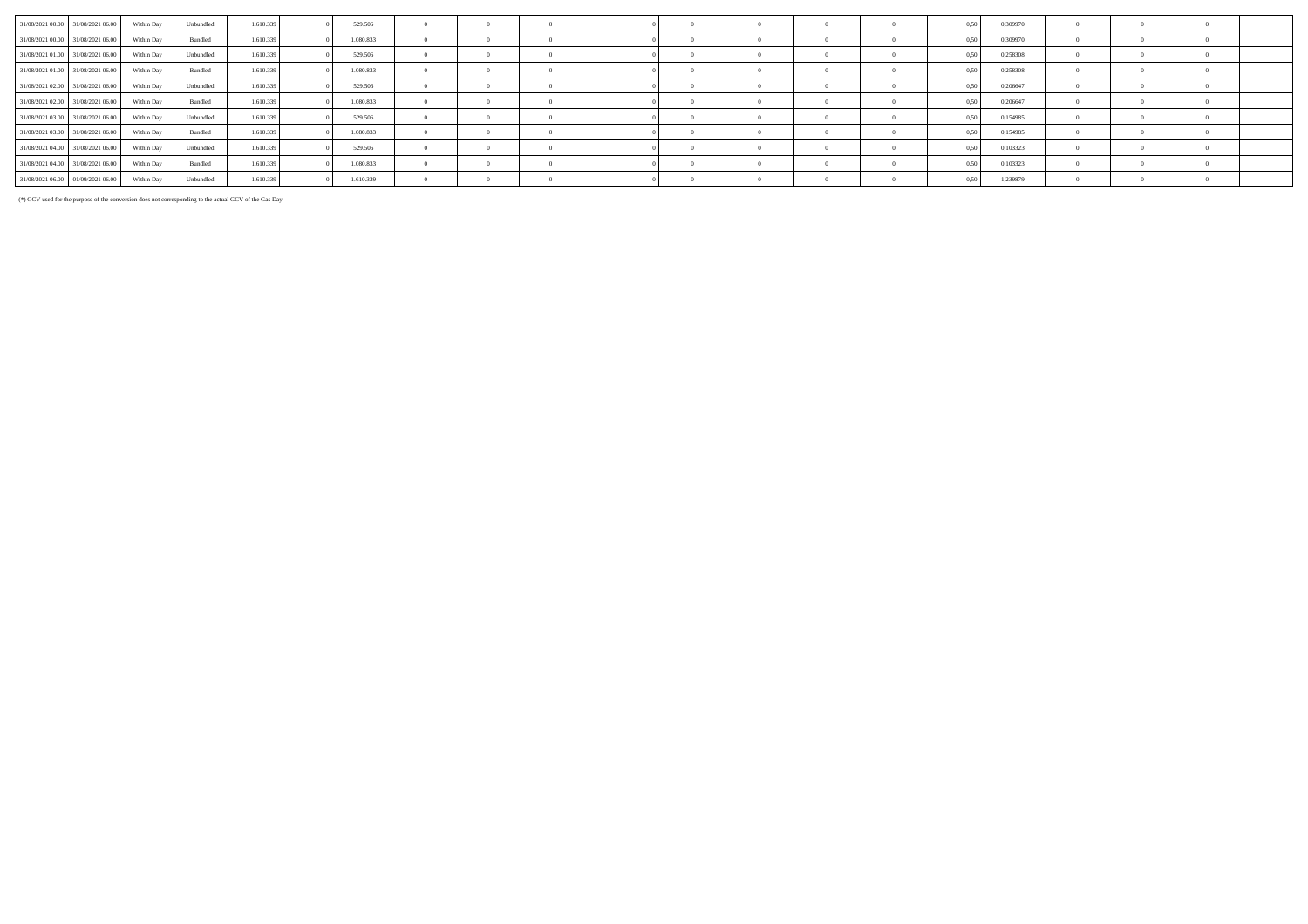| 31/08/2021 00:00 31/08/2021 06:00 Within Day |            | Unbundled | 1.610.339 | 529.506   |  |  |            |  | 0.50 | 0.309970 |  |  |
|----------------------------------------------|------------|-----------|-----------|-----------|--|--|------------|--|------|----------|--|--|
| 31/08/2021 00:00 31/08/2021 06:00            | Within Day | Bundled   | 1.610.339 | 1.080.833 |  |  |            |  |      | 0,309970 |  |  |
| 31/08/2021 01:00 31/08/2021 06:00            | Within Day | Unbundled | 1.610.339 | 529.506   |  |  | $\Omega$   |  |      | 0,258308 |  |  |
| 31/08/2021 01:00 31/08/2021 06:00            | Within Day | Bundled   | 1.610.339 | 1.080.833 |  |  |            |  |      | 0.258308 |  |  |
| 31/08/2021 02:00 31/08/2021 06:00            | Within Day | Unbundled | 1.610.339 | 529.506   |  |  |            |  |      | 0.206647 |  |  |
| 31/08/2021 02:00 31/08/2021 06:00            | Within Day | Bundled   | 1.610.339 | 1.080.833 |  |  |            |  |      | 0.206647 |  |  |
| 31/08/2021 03:00 31/08/2021 06:00            | Within Day | Unbundled | 1.610.339 | 529.506   |  |  |            |  | 0.51 | 0,154985 |  |  |
| 31/08/2021 03:00 31/08/2021 06:00            | Within Day | Bundled   | 1.610.339 | 1.080.833 |  |  |            |  |      | 0.154985 |  |  |
| 31/08/2021 04:00 31/08/2021 06:00            | Within Dav | Unbundled | 1.610.339 | 529.506   |  |  |            |  |      | 0.103323 |  |  |
| 31/08/2021 04:00 31/08/2021 06:00            | Within Day | Bundled   | 1.610.339 | 1.080.833 |  |  | $\sqrt{2}$ |  |      | 0.103323 |  |  |
| 31/08/2021 06:00 01/09/2021 06:00            | Within Day | Unbundled | 1.610.339 | 1.610.339 |  |  |            |  |      | 1,239879 |  |  |

(\*) GCV used for the purpose of the conversion does not corresponding to the actual GCV of the Gas Day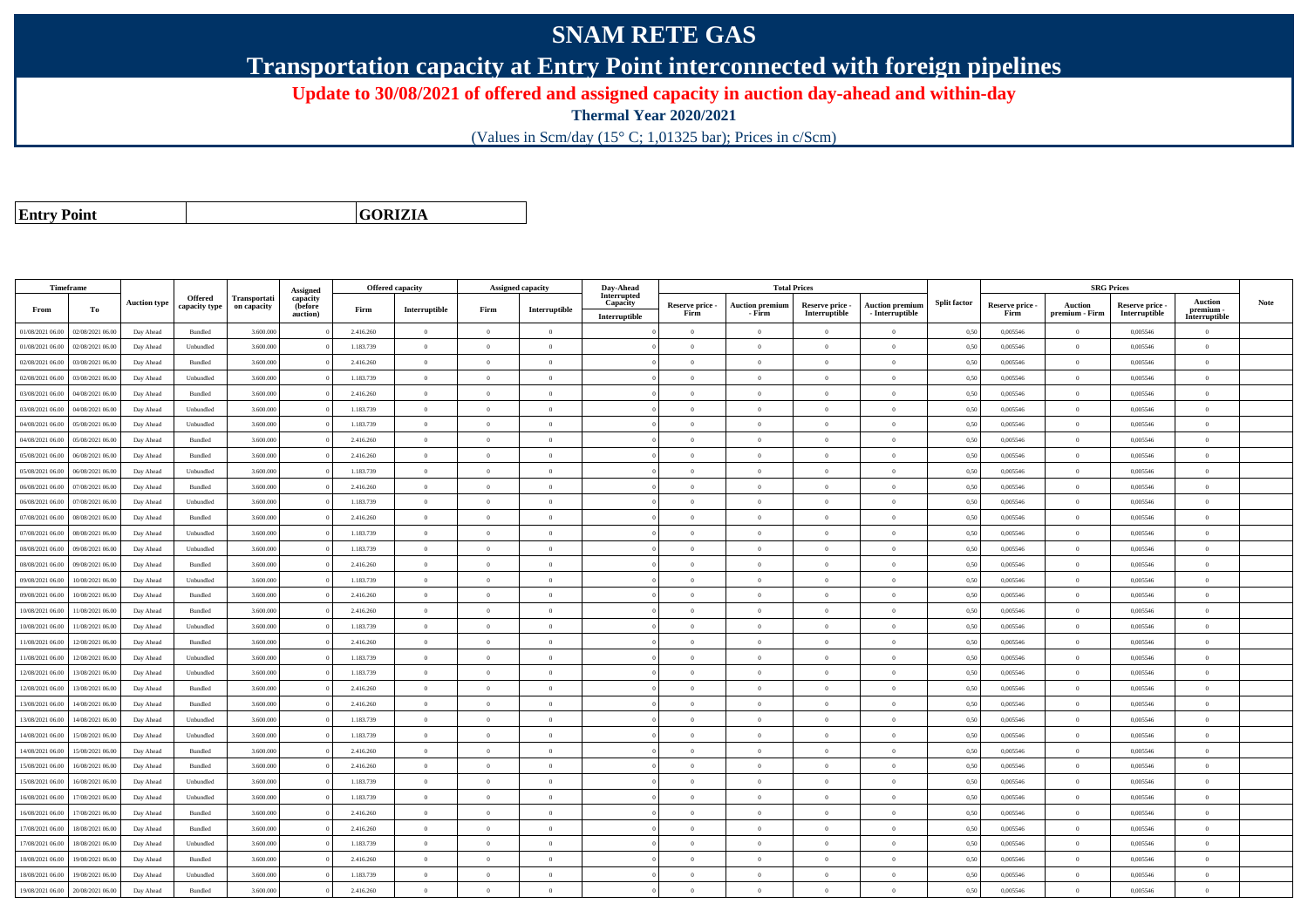## **SNAM RETE GAS**

**Transportation capacity at Entry Point interconnected with foreign pipelines**

**Update to 30/08/2021 of offered and assigned capacity in auction day-ahead and within-day**

**Thermal Year 2020/2021**

(Values in Scm/day (15° C; 1,01325 bar); Prices in c/Scm)

**Entry Point**

**GORIZIA**

|                  | Timeframe        |                     |                    |              |                      |           | <b>Offered capacity</b> |                | <b>Assigned capacity</b> | Day-Ahead               |                         | <b>Total Prices</b>              |                                  |                                             |                     |                         | <b>SRG Prices</b>                |                                |                          |             |
|------------------|------------------|---------------------|--------------------|--------------|----------------------|-----------|-------------------------|----------------|--------------------------|-------------------------|-------------------------|----------------------------------|----------------------------------|---------------------------------------------|---------------------|-------------------------|----------------------------------|--------------------------------|--------------------------|-------------|
|                  |                  | <b>Auction type</b> | Offered            | Transportati | Assigned<br>capacity |           |                         |                |                          | Interrupted<br>Capacity |                         |                                  |                                  |                                             | <b>Split factor</b> |                         |                                  |                                | <b>Auction</b>           | <b>Note</b> |
| From             | To               |                     | capacity type      | on capacity  | (before<br>auction)  | Firm      | Interruptible           | Firm           | Interruptible            | Interruptible           | Reserve price -<br>Firm | <b>Auction premium</b><br>- Firm | Reserve price -<br>Interruptible | <b>Auction premiun</b><br>$-$ Interruptible |                     | Reserve price -<br>Firm | <b>Auction</b><br>premium - Firm | Reserve price<br>Interruptible | premium<br>Interruptible |             |
| 01/08/2021 06:00 | 02/08/2021 06:00 | Day Ahead           | Bundled            | 3.600.000    |                      | 2.416.260 | $\overline{0}$          | $\overline{0}$ | $\overline{0}$           |                         | $\overline{0}$          | $\theta$                         | $\overline{0}$                   | $\mathbf{0}$                                | 0,50                | 0,005546                | $\overline{0}$                   | 0,005546                       | $\bf{0}$                 |             |
| 01/08/2021 06:00 | 02/08/2021 06:00 | Day Ahead           | Unbundled          | 3.600.000    |                      | 1.183.739 | $\overline{0}$          | $\overline{0}$ | $\overline{0}$           |                         | $\overline{0}$          | $\theta$                         | $\overline{0}$                   | $\mathbf{0}$                                | 0,50                | 0,005546                | $\overline{0}$                   | 0,005546                       | $\overline{0}$           |             |
| 02/08/2021 06:00 | 03/08/2021 06:00 | Day Ahead           | Bundled            | 3.600.000    |                      | 2.416.260 | $\overline{0}$          | $\Omega$       | $\Omega$                 |                         | $\Omega$                |                                  | $\Omega$                         | $\theta$                                    | 0,50                | 0,005546                | $\overline{0}$                   | 0,005546                       | $\theta$                 |             |
| 02/08/2021 06:00 | 03/08/2021 06:00 | Day Ahead           | Unbundled          | 3.600.000    |                      | 1.183.739 | $\overline{0}$          | $\overline{0}$ | $\overline{0}$           |                         | $\Omega$                | $\theta$                         | $\theta$                         | $\theta$                                    | 0,50                | 0,005546                | $\overline{0}$                   | 0.005546                       | $\theta$                 |             |
| 03/08/2021 06:00 | 04/08/2021 06:00 | Day Ahead           | Bundled            | 3.600.000    |                      | 2.416.260 | $\overline{0}$          | $\overline{0}$ | $\overline{0}$           |                         | $\overline{0}$          | $\theta$                         | $\overline{0}$                   | $\mathbf{0}$                                | 0,50                | 0,005546                | $\overline{0}$                   | 0,005546                       | $\bf{0}$                 |             |
| 03/08/2021 06:00 | 04/08/2021 06:00 | Day Ahead           | Unbundled          | 3.600,000    |                      | 1.183.739 | $\overline{0}$          | $\theta$       | $\theta$                 |                         | $\Omega$                | $\theta$                         | $\overline{0}$                   | $\theta$                                    | 0.50                | 0.005546                | $\overline{0}$                   | 0.005546                       | $\Omega$                 |             |
| 04/08/2021 06:00 | 05/08/2021 06:00 | Day Ahead           | Unbundled          | 3.600,000    |                      | 1.183.739 | $\overline{0}$          | $\theta$       | $\Omega$                 |                         | $\Omega$                | $\sqrt{2}$                       | $\theta$                         | $\theta$                                    | 0.50                | 0.005546                | $\overline{0}$                   | 0.005546                       | $\theta$                 |             |
| 04/08/2021 06:00 | 05/08/2021 06:00 | Day Ahead           | Bundled            | 3.600.000    |                      | 2.416.260 | $\overline{0}$          | $\theta$       | $\Omega$                 |                         | $\Omega$                | $\theta$                         | $\overline{0}$                   | $\Omega$                                    | 0,50                | 0,005546                | $\overline{0}$                   | 0,005546                       | $\Omega$                 |             |
| 05/08/2021 06:00 | 06/08/2021 06:00 | Day Ahead           | Bundled            | 3.600,000    |                      | 2.416.260 | $\overline{0}$          | $\Omega$       | $\Omega$                 |                         | $\Omega$                | $\sqrt{2}$                       | $\Omega$                         | $\Omega$                                    | 0.50                | 0.005546                | $\overline{0}$                   | 0.005546                       | $\theta$                 |             |
| 05/08/2021 06:00 | 06/08/2021 06:00 | Day Ahead           | Unbundled          | 3.600.000    |                      | 1.183.739 | $\theta$                | $\Omega$       | $\Omega$                 |                         | $\Omega$                |                                  | $\Omega$                         | $\theta$                                    | 0,50                | 0,005546                | $\Omega$                         | 0,005546                       | $\theta$                 |             |
| 06/08/2021 06:00 | 07/08/2021 06:00 | Day Ahead           | Bundled            | 3.600,000    |                      | 2.416.260 | $\overline{0}$          | $\Omega$       | $\Omega$                 |                         | $\Omega$                | $\theta$                         | $\theta$                         | $\theta$                                    | 0,50                | 0.005546                | $\overline{0}$                   | 0.005546                       | $\theta$                 |             |
| 06/08/2021 06:00 | 07/08/2021 06:00 | Day Ahead           | Unbundled          | 3.600.000    |                      | 1.183.739 | $\overline{0}$          | $\overline{0}$ | $\overline{0}$           |                         | $\overline{0}$          | $\overline{0}$                   | $\overline{0}$                   | $\overline{0}$                              | 0,50                | 0,005546                | $\overline{0}$                   | 0,005546                       | $\bf{0}$                 |             |
| 07/08/2021 06:00 | 08/08/2021 06:00 | Day Ahead           | Bundled            | 3.600,000    |                      | 2.416.260 | $\overline{0}$          | $\overline{0}$ | $\overline{0}$           |                         | $\Omega$                |                                  | $\overline{0}$                   | $\mathbf{0}$                                | 0.50                | 0.005546                | $\overline{0}$                   | 0.005546                       | $\Omega$                 |             |
| 07/08/2021 06:00 | 08/08/2021 06:00 | Day Ahead           | Unbundled          | 3.600,000    |                      | 1.183.739 | $\overline{0}$          | $\overline{0}$ | $\overline{0}$           |                         | $\overline{0}$          | $\theta$                         | $\overline{0}$                   | $\overline{0}$                              | 0.50                | 0,005546                | $\overline{0}$                   | 0,005546                       | $\Omega$                 |             |
| 08/08/2021 06:00 | 09/08/2021 06:00 | Day Ahead           | Unbundled          | 3.600.000    |                      | 1.183.739 | $\overline{0}$          | $\overline{0}$ | $\overline{0}$           |                         | $\theta$                | $\theta$                         | $\overline{0}$                   | $\mathbf{0}$                                | 0,50                | 0,005546                | $\overline{0}$                   | 0,005546                       | $\bf{0}$                 |             |
| 08/08/2021 06:00 | 09/08/2021 06:00 | Day Ahead           | <b>Bundled</b>     | 3.600,000    |                      | 2.416.260 | $\overline{0}$          | $\Omega$       | $\Omega$                 |                         | $\Omega$                |                                  | $\theta$                         | $\Omega$                                    | 0.50                | 0.005546                | $\Omega$                         | 0.005546                       | $\Omega$                 |             |
| 09/08/2021 06:00 | 10/08/2021 06:00 | Day Ahead           | Unbundled          | 3.600.000    |                      | 1.183.739 | $\overline{0}$          | $\Omega$       | $\Omega$                 |                         | $\Omega$                | $\sqrt{2}$                       | $\theta$                         | $\theta$                                    | 0,50                | 0,005546                | $\overline{0}$                   | 0,005546                       | $\theta$                 |             |
| 09/08/2021 06:00 | 10/08/2021 06:00 | Day Ahead           | Bundled            | 3.600.000    |                      | 2.416.260 | $\overline{0}$          | $\theta$       | $\overline{0}$           |                         | $\Omega$                | $\theta$                         | $\overline{0}$                   | $\mathbf{0}$                                | 0,50                | 0,005546                | $\overline{0}$                   | 0,005546                       | $\Omega$                 |             |
| 10/08/2021 06:00 | 11/08/2021 06:00 | Day Ahead           | $\mathbf B$ undled | 3.600,000    |                      | 2.416.260 | $\overline{0}$          | $\overline{0}$ | $\overline{0}$           |                         | $\overline{0}$          | $\theta$                         | $\overline{0}$                   | $\overline{0}$                              | 0.50                | 0.005546                | $\,$ 0 $\,$                      | 0.005546                       | $\Omega$                 |             |
| 10/08/2021 06:00 | 11/08/2021 06.0  | Day Ahead           | Unbundled          | 3.600.000    |                      | 1.183.739 | $\overline{0}$          | $\overline{0}$ | $\overline{0}$           |                         | $\Omega$                | $\theta$                         | $\overline{0}$                   | $\overline{0}$                              | 0,50                | 0,005546                | $\overline{0}$                   | 0,005546                       | $\Omega$                 |             |
| 11/08/2021 06:00 | 12/08/2021 06:00 | Day Ahead           | Bundled            | 3.600,000    |                      | 2.416.260 | $\overline{0}$          | $\Omega$       | $\Omega$                 |                         | $\Omega$                | $\theta$                         | $\theta$                         | $\theta$                                    | 0,50                | 0.005546                | $\overline{0}$                   | 0.005546                       | $\theta$                 |             |
| 11/08/2021 06:00 | 12/08/2021 06:00 | Day Ahead           | Unbundled          | 3.600.000    |                      | 1.183.739 | $\overline{0}$          | $\theta$       | $\Omega$                 |                         | $\Omega$                | $\theta$                         | $\overline{0}$                   | $\Omega$                                    | 0,50                | 0,005546                | $\overline{0}$                   | 0,005546                       | $\Omega$                 |             |
| 12/08/2021 06:00 | 13/08/2021 06:00 | Day Ahead           | Unbundled          | 3.600.000    |                      | 1.183.739 | $\overline{0}$          | $\overline{0}$ | $\overline{0}$           |                         | $\theta$                |                                  | $\overline{0}$                   | $\mathbf{0}$                                | 0.50                | 0,005546                | $\overline{0}$                   | 0,005546                       | $\bf{0}$                 |             |
| 12/08/2021 06:00 | 13/08/2021 06:00 | Day Ahead           | Bundled            | 3.600.000    |                      | 2.416.260 | $\overline{0}$          | $\theta$       | $\overline{0}$           |                         | $\Omega$                | $\theta$                         | $\theta$                         | $\overline{0}$                              | 0,50                | 0,005546                | $\overline{0}$                   | 0,005546                       | $\Omega$                 |             |
| 13/08/2021 06:00 | 14/08/2021 06:00 | Day Ahead           | Bundled            | 3.600.000    |                      | 2.416.260 | $\overline{0}$          | $\overline{0}$ | $\overline{0}$           |                         | $\overline{0}$          | $\theta$                         | $\overline{0}$                   | $\mathbf{0}$                                | 0,50                | 0,005546                | $\bf{0}$                         | 0,005546                       | $\bf{0}$                 |             |
| 13/08/2021 06:00 | 14/08/2021 06:00 | Day Ahead           | Unbundled          | 3.600.000    |                      | 1.183.739 | $\overline{0}$          | $\overline{0}$ | $\overline{0}$           |                         | $\Omega$                |                                  | $\overline{0}$                   | $\mathbf{0}$                                | 0,50                | 0,005546                | $\overline{0}$                   | 0,005546                       | $\Omega$                 |             |
| 14/08/2021 06:00 | 15/08/2021 06:00 | Day Ahead           | Unbundled          | 3.600.000    |                      | 1.183.739 | $\overline{0}$          | $\overline{0}$ | $\theta$                 |                         | $\Omega$                | $\theta$                         | $\overline{0}$                   | $\overline{0}$                              | 0,50                | 0,005546                | $\overline{0}$                   | 0,005546                       | $\Omega$                 |             |
| 14/08/2021 06:00 | 15/08/2021 06:00 | Day Ahead           | Bundled            | 3.600.000    |                      | 2.416.260 | $\overline{0}$          | $\theta$       | $\Omega$                 |                         | $\Omega$                | $\theta$                         | $\overline{0}$                   | $\Omega$                                    | 0,50                | 0,005546                | $\overline{0}$                   | 0,005546                       | $\Omega$                 |             |
| 15/08/2021 06:00 | 16/08/2021 06:00 | Day Ahead           | Bundled            | 3.600,000    |                      | 2.416.260 | $\overline{0}$          | $\Omega$       | $\Omega$                 |                         | $\Omega$                | $\sqrt{2}$                       | $\Omega$                         | $\theta$                                    | 0.50                | 0.005546                | $\overline{0}$                   | 0.005546                       | $\theta$                 |             |
| 15/08/2021 06:00 | 16/08/2021 06.0  | Day Ahead           | Unbundled          | 3.600.000    |                      | 1.183.739 | $\overline{0}$          | $\overline{0}$ | $\overline{0}$           |                         | $\Omega$                | $\sim$                           | $\overline{0}$                   | $\mathbf{0}$                                | 0,50                | 0,005546                | $\overline{0}$                   | 0,005546                       | $\bf{0}$                 |             |
| 16/08/2021 06:00 | 17/08/2021 06:00 | Day Ahead           | Unbundled          | 3.600,000    |                      | 1.183.739 | $\overline{0}$          | $\Omega$       | $\overline{0}$           |                         | $\Omega$                | $\theta$                         | $\overline{0}$                   | $\overline{0}$                              | 0,50                | 0.005546                | $\overline{0}$                   | 0.005546                       | $\theta$                 |             |
| 16/08/2021 06:00 | 17/08/2021 06:00 | Day Ahead           | Bundled            | 3.600,000    |                      | 2.416.260 | $\overline{0}$          | $\Omega$       | $\overline{0}$           |                         | $\overline{0}$          | $\theta$                         | $\overline{0}$                   | $\overline{0}$                              | 0.50                | 0.005546                | $\overline{0}$                   | 0.005546                       | $\Omega$                 |             |
| 17/08/2021 06:00 | 18/08/2021 06:00 | Day Ahead           | Bundled            | 3.600.000    |                      | 2.416.260 | $\overline{0}$          | $\Omega$       | $\Omega$                 |                         | $\Omega$                |                                  | $\Omega$                         | $\theta$                                    | 0.50                | 0,005546                | $\overline{0}$                   | 0,005546                       | $\Omega$                 |             |
| 17/08/2021 06:00 | 18/08/2021 06:00 | Day Ahead           | Unbundled          | 3.600,000    |                      | 1.183.739 | $\overline{0}$          | $\overline{0}$ | $\overline{0}$           |                         | $\Omega$                | $\theta$                         | $\overline{0}$                   | $\overline{0}$                              | 0.50                | 0.005546                | $\overline{0}$                   | 0.005546                       | $\Omega$                 |             |
| 18/08/2021 06:00 | 19/08/2021 06:00 | Day Ahead           | Bundled            | 3.600.000    |                      | 2.416.260 | $\overline{0}$          | $\overline{0}$ | $\overline{0}$           |                         | $\Omega$                | $\theta$                         | $\overline{0}$                   | $\mathbf{0}$                                | 0,50                | 0,005546                | $\overline{0}$                   | 0,005546                       | $\overline{0}$           |             |
| 18/08/2021 06:00 | 19/08/2021 06:00 | Day Ahead           | Unbundled          | 3.600.000    |                      | 1.183.739 | $\overline{0}$          | $\Omega$       | $\Omega$                 |                         |                         |                                  | $\Omega$                         | $\theta$                                    | 0,50                | 0,005546                | $\overline{0}$                   | 0,005546                       | $\Omega$                 |             |
| 19/08/2021 06:00 | 20/08/2021 06:00 | Day Ahead           | Bundled            | 3.600.000    |                      | 2.416.260 | $\overline{0}$          | $\overline{0}$ | $\Omega$                 |                         | $\Omega$                |                                  | $\Omega$                         | $\Omega$                                    | 0,50                | 0,005546                | $\overline{0}$                   | 0,005546                       | $\Omega$                 |             |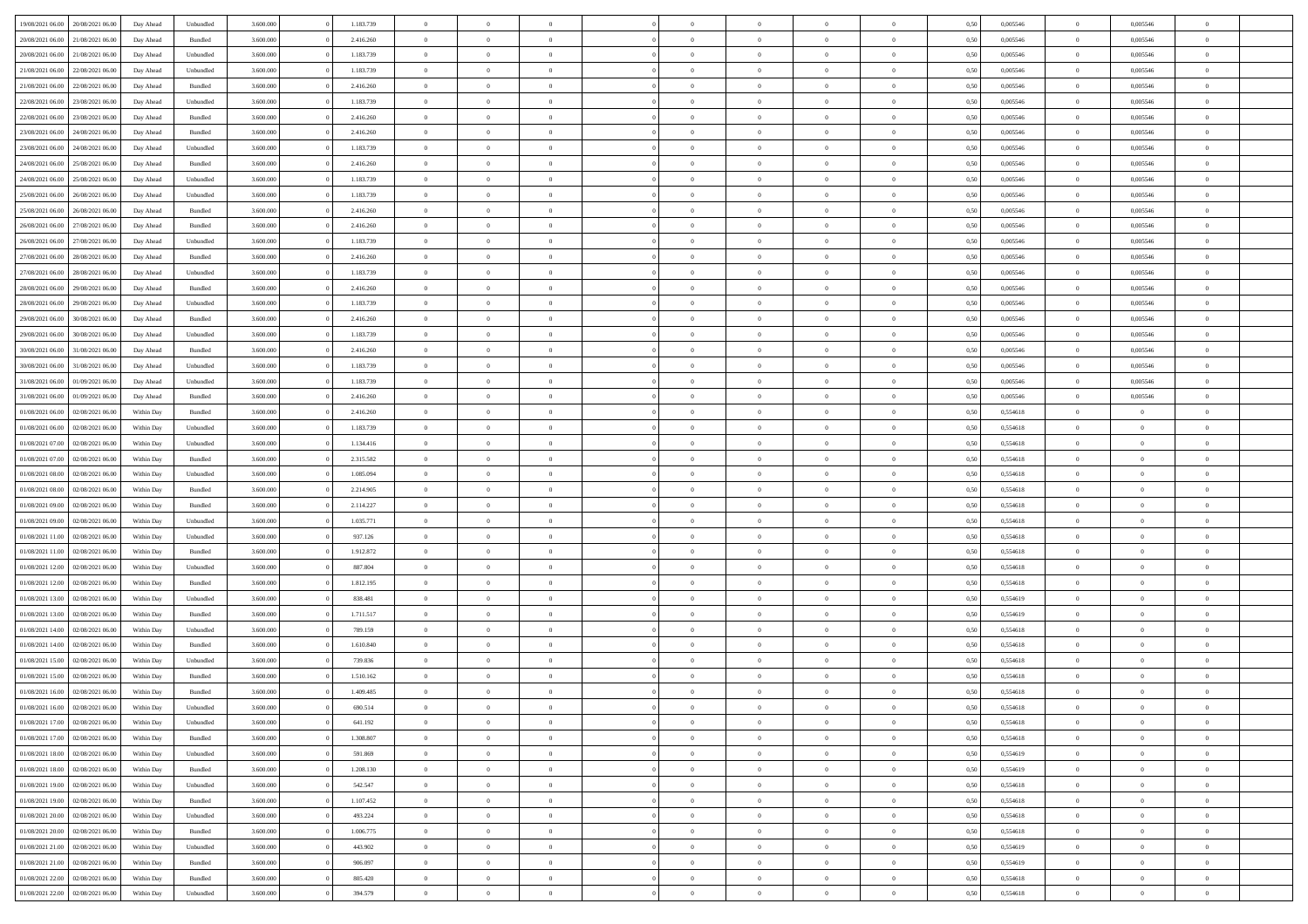| 19/08/2021 06:00                  | 20/08/2021 06:00 | Day Ahead  | Unbundled | 3.600.000 | 1.183.739 | $\overline{0}$ | $\overline{0}$ |                |                | $\theta$       | $\theta$       | $\overline{0}$ | 0,50 | 0,005546 | $\bf{0}$          | 0,005546       | $\overline{0}$ |  |
|-----------------------------------|------------------|------------|-----------|-----------|-----------|----------------|----------------|----------------|----------------|----------------|----------------|----------------|------|----------|-------------------|----------------|----------------|--|
| 20/08/2021 06:00                  | 21/08/2021 06.00 | Day Ahead  | Bundled   | 3.600.000 | 2.416.260 | $\overline{0}$ | $\overline{0}$ | $\overline{0}$ | $\Omega$       | $\bf{0}$       | $\overline{0}$ | $\bf{0}$       | 0,50 | 0,005546 | $\bf{0}$          | 0,005546       | $\overline{0}$ |  |
|                                   |                  |            |           |           |           |                |                |                |                |                |                |                |      |          |                   |                |                |  |
| 20/08/2021 06:00                  | 21/08/2021 06:00 | Day Ahead  | Unbundled | 3.600,000 | 1.183.739 | $\overline{0}$ | $\overline{0}$ | $\overline{0}$ | $\overline{0}$ | $\bf{0}$       | $\overline{0}$ | $\mathbf{0}$   | 0.50 | 0.005546 | $\bf{0}$          | 0.005546       | $\bf{0}$       |  |
| 21/08/2021 06:00                  | 22/08/2021 06:00 | Day Ahead  | Unbundled | 3.600.000 | 1.183.739 | $\overline{0}$ | $\overline{0}$ | $\overline{0}$ | $\overline{0}$ | $\bf{0}$       | $\overline{0}$ | $\theta$       | 0,50 | 0,005546 | $\,$ 0 $\,$       | 0,005546       | $\overline{0}$ |  |
| 21/08/2021 06:00                  | 22/08/2021 06.00 | Day Ahead  | Bundled   | 3.600.000 | 2.416.260 | $\overline{0}$ | $\overline{0}$ | $\Omega$       |                | $\bf{0}$       | $\overline{0}$ | $\bf{0}$       | 0,50 | 0,005546 | $\bf{0}$          | 0,005546       | $\overline{0}$ |  |
| 22/08/2021 06:00                  | 23/08/2021 06:00 | Day Ahead  | Unbundled | 3.600,000 | 1.183.739 | $\overline{0}$ | $\overline{0}$ | $\Omega$       | $\Omega$       | $\overline{0}$ | $\overline{0}$ | $\mathbf{0}$   | 0.50 | 0.005546 | $\bf{0}$          | 0.005546       | $\bf{0}$       |  |
| 22/08/2021 06:00                  | 23/08/2021 06:00 | Day Ahead  | Bundled   | 3.600.000 | 2.416.260 | $\overline{0}$ | $\overline{0}$ | $\overline{0}$ | $\overline{0}$ | $\bf{0}$       | $\overline{0}$ | $\bf{0}$       | 0,50 | 0,005546 | $\,$ 0 $\,$       | 0,005546       | $\overline{0}$ |  |
| 23/08/2021 06:00                  | 24/08/2021 06.0  | Day Ahead  | Bundled   | 3.600.000 | 2.416.260 | $\overline{0}$ | $\overline{0}$ | $\Omega$       |                | $\bf{0}$       | $\overline{0}$ | $\bf{0}$       | 0,50 | 0,005546 | $\bf{0}$          | 0,005546       | $\bf{0}$       |  |
| 23/08/2021 06:00                  | 24/08/2021 06:00 | Day Ahead  | Unbundled | 3.600.000 | 1.183.739 | $\overline{0}$ | $\overline{0}$ | $\overline{0}$ | $\overline{0}$ | $\overline{0}$ | $\overline{0}$ | $\bf{0}$       | 0.50 | 0.005546 | $\bf{0}$          | 0.005546       | $\bf{0}$       |  |
| 24/08/2021 06:00                  | 25/08/2021 06:00 | Day Ahead  | Bundled   | 3.600.000 | 2.416.260 | $\overline{0}$ | $\overline{0}$ | $\overline{0}$ | $\overline{0}$ | $\bf{0}$       | $\overline{0}$ | $\bf{0}$       | 0,50 | 0,005546 | $\,$ 0 $\,$       | 0,005546       | $\overline{0}$ |  |
| 24/08/2021 06:00                  | 25/08/2021 06.0  | Day Ahead  | Unbundled | 3.600.000 | 1.183.739 | $\overline{0}$ | $\overline{0}$ | $\overline{0}$ |                | $\bf{0}$       | $\overline{0}$ | $\bf{0}$       | 0,50 | 0,005546 | $\bf{0}$          | 0,005546       | $\bf{0}$       |  |
| 25/08/2021 06:00                  | 26/08/2021 06:00 |            | Unbundled | 3.600,000 | 1.183.739 | $\overline{0}$ | $\overline{0}$ | $\overline{0}$ | $\overline{0}$ | $\bf{0}$       | $\overline{0}$ | $\mathbf{0}$   | 0.50 | 0.005546 | $\,$ 0 $\,$       | 0.005546       | $\bf{0}$       |  |
|                                   |                  | Day Ahead  |           |           |           |                |                |                |                |                |                |                |      |          |                   |                |                |  |
| 25/08/2021 06:00                  | 26/08/2021 06:00 | Day Ahead  | Bundled   | 3.600.000 | 2.416.260 | $\overline{0}$ | $\overline{0}$ | $\overline{0}$ | $\overline{0}$ | $\bf{0}$       | $\overline{0}$ | $\theta$       | 0,50 | 0,005546 | $\,$ 0 $\,$       | 0,005546       | $\overline{0}$ |  |
| 26/08/2021 06:00                  | 27/08/2021 06.00 | Day Ahead  | Bundled   | 3.600.000 | 2.416.260 | $\overline{0}$ | $\overline{0}$ | $\overline{0}$ |                | $\bf{0}$       | $\overline{0}$ | $\bf{0}$       | 0,50 | 0,005546 | $\bf{0}$          | 0,005546       | $\overline{0}$ |  |
| 26/08/2021 06:00                  | 27/08/2021 06:00 | Day Ahead  | Unbundled | 3.600.000 | 1.183.739 | $\overline{0}$ | $\overline{0}$ | $\Omega$       | $\Omega$       | $\overline{0}$ | $\overline{0}$ | $\mathbf{0}$   | 0.50 | 0.005546 | $\bf{0}$          | 0.005546       | $\bf{0}$       |  |
| 27/08/2021 06:00                  | 28/08/2021 06:00 | Day Ahead  | Bundled   | 3.600.000 | 2.416.260 | $\overline{0}$ | $\overline{0}$ | $\overline{0}$ | $\overline{0}$ | $\bf{0}$       | $\overline{0}$ | $\bf{0}$       | 0,50 | 0,005546 | $\,$ 0 $\,$       | 0,005546       | $\overline{0}$ |  |
| 27/08/2021 06:00                  | 28/08/2021 06.00 | Day Ahead  | Unbundled | 3.600.000 | 1.183.739 | $\overline{0}$ | $\overline{0}$ | $\overline{0}$ |                | $\bf{0}$       | $\overline{0}$ | $\bf{0}$       | 0,50 | 0,005546 | $\bf{0}$          | 0,005546       | $\overline{0}$ |  |
| 28/08/2021 06:00                  | 29/08/2021 06:00 | Day Ahead  | Bundled   | 3.600.000 | 2.416.260 | $\overline{0}$ | $\overline{0}$ | $\overline{0}$ | $\overline{0}$ | $\bf{0}$       | $\overline{0}$ | $\bf{0}$       | 0.50 | 0.005546 | $\bf{0}$          | 0.005546       | $\bf{0}$       |  |
| 28/08/2021 06:00                  | 29/08/2021 06:00 | Day Ahead  | Unbundled | 3.600.000 | 1.183.739 | $\overline{0}$ | $\overline{0}$ | $\overline{0}$ | $\overline{0}$ | $\bf{0}$       | $\overline{0}$ | $\bf{0}$       | 0,50 | 0,005546 | $\,$ 0 $\,$       | 0,005546       | $\overline{0}$ |  |
| 29/08/2021 06:00                  | 30/08/2021 06.00 | Day Ahead  | Bundled   | 3.600.000 | 2.416.260 | $\overline{0}$ | $\bf{0}$       | $\overline{0}$ |                | $\bf{0}$       | $\overline{0}$ | $\bf{0}$       | 0,50 | 0,005546 | $\bf{0}$          | 0,005546       | $\bf{0}$       |  |
| 29/08/2021 06:00                  | 30/08/2021 06:00 | Day Ahead  | Unbundled | 3.600,000 | 1.183.739 | $\overline{0}$ | $\overline{0}$ | $\overline{0}$ | $\overline{0}$ | $\bf{0}$       | $\overline{0}$ | $\mathbf{0}$   | 0.50 | 0.005546 | $\bf{0}$          | 0.005546       | $\bf{0}$       |  |
| 30/08/2021 06:00                  | 31/08/2021 06:00 | Day Ahead  | Bundled   | 3.600.000 | 2.416.260 | $\overline{0}$ | $\overline{0}$ | $\overline{0}$ | $\overline{0}$ | $\bf{0}$       | $\overline{0}$ | $\theta$       | 0,50 | 0,005546 | $\,$ 0 $\,$       | 0,005546       | $\overline{0}$ |  |
|                                   | 31/08/2021 06.00 |            | Unbundled | 3.600.000 | 1.183.739 | $\overline{0}$ | $\overline{0}$ | $\overline{0}$ |                | $\bf{0}$       | $\overline{0}$ | $\bf{0}$       | 0,50 | 0,005546 | $\bf{0}$          | 0,005546       | $\overline{0}$ |  |
| 30/08/2021 06:00                  |                  | Day Ahead  |           |           |           |                |                |                |                |                |                |                |      |          |                   |                |                |  |
| 31/08/2021 06:00                  | 01/09/2021 06:00 | Day Ahead  | Unbundled | 3.600.000 | 1.183.739 | $\overline{0}$ | $\overline{0}$ | $\Omega$       | $\Omega$       | $\overline{0}$ | $\overline{0}$ | $\mathbf{0}$   | 0.50 | 0.005546 | $\bf{0}$          | 0.005546       | $\bf{0}$       |  |
| 31/08/2021 06:00                  | 01/09/2021 06:00 | Day Ahead  | Bundled   | 3.600.000 | 2.416.260 | $\overline{0}$ | $\overline{0}$ | $\overline{0}$ | $\overline{0}$ | $\bf{0}$       | $\overline{0}$ | $\bf{0}$       | 0,50 | 0,005546 | $\,$ 0 $\,$       | 0,005546       | $\overline{0}$ |  |
| 01/08/2021 06:00                  | 02/08/2021 06.00 | Within Day | Bundled   | 3.600.000 | 2.416.260 | $\overline{0}$ | $\overline{0}$ | $\overline{0}$ |                | $\bf{0}$       | $\overline{0}$ | $\bf{0}$       | 0,50 | 0,554618 | $\bf{0}$          | $\overline{0}$ | $\bf{0}$       |  |
| 01/08/2021 06:00                  | 02/08/2021 06:00 | Within Day | Unbundled | 3.600.000 | 1.183.739 | $\overline{0}$ | $\overline{0}$ | $\overline{0}$ | $\overline{0}$ | $\bf{0}$       | $\overline{0}$ | $\bf{0}$       | 0.50 | 0.554618 | $\bf{0}$          | $\overline{0}$ | $\bf{0}$       |  |
| 01/08/2021 07:00                  | 02/08/2021 06:00 | Within Day | Unbundled | 3.600.000 | 1.134.416 | $\overline{0}$ | $\overline{0}$ | $\overline{0}$ | $\overline{0}$ | $\bf{0}$       | $\overline{0}$ | $\bf{0}$       | 0,50 | 0,554618 | $\,$ 0 $\,$       | $\overline{0}$ | $\overline{0}$ |  |
| 01/08/2021 07:00                  | 02/08/2021 06.00 | Within Day | Bundled   | 3.600.000 | 2.315.582 | $\overline{0}$ | $\bf{0}$       | $\overline{0}$ | $\overline{0}$ | $\bf{0}$       | $\overline{0}$ | $\bf{0}$       | 0,50 | 0,554618 | $\bf{0}$          | $\overline{0}$ | $\bf{0}$       |  |
| 01/08/2021 08:00                  | 02/08/2021 06:00 | Within Day | Unbundled | 3.600,000 | 1.085.094 | $\overline{0}$ | $\overline{0}$ | $\overline{0}$ | $\overline{0}$ | $\bf{0}$       | $\overline{0}$ | $\mathbf{0}$   | 0.50 | 0.554618 | $\bf{0}$          | $\overline{0}$ | $\bf{0}$       |  |
| 01/08/2021 08:00                  | 02/08/2021 06:00 | Within Dav | Bundled   | 3.600.000 | 2.214.905 | $\overline{0}$ | $\overline{0}$ | $\overline{0}$ | $\Omega$       | $\overline{0}$ | $\overline{0}$ | $\bf{0}$       | 0,50 | 0.554618 | $\mathbf{0}$      | $\overline{0}$ | $\overline{0}$ |  |
| 01/08/2021 09:00                  | 02/08/2021 06.00 | Within Day | Bundled   | 3.600.000 | 2.114.227 | $\overline{0}$ | $\overline{0}$ | $\overline{0}$ |                | $\bf{0}$       | $\overline{0}$ | $\bf{0}$       | 0,50 | 0,554618 | $\bf{0}$          | $\overline{0}$ | $\bf{0}$       |  |
| 01/08/2021 09:00                  | 02/08/2021 06:00 | Within Day | Unbundled | 3.600.000 | 1.035.771 | $\overline{0}$ | $\overline{0}$ | $\overline{0}$ | $\Omega$       | $\overline{0}$ | $\overline{0}$ | $\mathbf{0}$   | 0.50 | 0.554618 | $\bf{0}$          | $\overline{0}$ | $\bf{0}$       |  |
| 01/08/2021 11:00                  | 02/08/2021 06:00 | Within Dav | Unbundled | 3.600.000 | 937.126   | $\overline{0}$ | $\overline{0}$ | $\theta$       | $\Omega$       | $\overline{0}$ | $\overline{0}$ | $\bf{0}$       | 0,50 | 0,554618 | $\mathbf{0}$      | $\overline{0}$ | $\overline{0}$ |  |
|                                   |                  |            |           |           |           | $\overline{0}$ | $\overline{0}$ | $\overline{0}$ |                |                |                |                |      |          |                   |                |                |  |
| 01/08/2021 11:00                  | 02/08/2021 06.00 | Within Day | Bundled   | 3.600.000 | 1.912.872 |                |                |                |                | $\bf{0}$       | $\overline{0}$ | $\bf{0}$       | 0,50 | 0,554618 | $\bf{0}$          | $\overline{0}$ | $\bf{0}$       |  |
| 01/08/2021 12:00                  | 02/08/2021 06:00 | Within Day | Unbundled | 3.600,000 | 887.804   | $\overline{0}$ | $\overline{0}$ | $\overline{0}$ | $\overline{0}$ | $\bf{0}$       | $\overline{0}$ | $\bf{0}$       | 0.50 | 0.554618 | $\bf{0}$          | $\overline{0}$ | $\bf{0}$       |  |
| 01/08/2021 12:00                  | 02/08/2021 06:00 | Within Dav | Bundled   | 3.600.000 | 1.812.195 | $\overline{0}$ | $\overline{0}$ | $\overline{0}$ | $\Omega$       | $\overline{0}$ | $\overline{0}$ | $\overline{0}$ | 0,50 | 0.554618 | $\mathbf{0}$      | $\overline{0}$ | $\overline{0}$ |  |
| 01/08/2021 13:00                  | 02/08/2021 06.00 | Within Day | Unbundled | 3.600.000 | 838.481   | $\overline{0}$ | $\overline{0}$ | $\overline{0}$ | $\overline{0}$ | $\bf{0}$       | $\overline{0}$ | $\bf{0}$       | 0,50 | 0,554619 | $\bf{0}$          | $\overline{0}$ | $\bf{0}$       |  |
| 01/08/2021 13:00                  | 02/08/2021 06:00 | Within Day | Bundled   | 3.600,000 | 1.711.517 | $\overline{0}$ | $\overline{0}$ | $\overline{0}$ | $\overline{0}$ | $\bf{0}$       | $\overline{0}$ | $\mathbf{0}$   | 0.50 | 0.554619 | $\bf{0}$          | $\overline{0}$ | $\bf{0}$       |  |
| 01/08/2021 14:00                  | 02/08/2021 06:00 | Within Dav | Unbundled | 3.600.000 | 789.159   | $\overline{0}$ | $\overline{0}$ | $\theta$       | $\Omega$       | $\overline{0}$ | $\overline{0}$ | $\overline{0}$ | 0,50 | 0,554618 | $\mathbf{0}$      | $\overline{0}$ | $\overline{0}$ |  |
| 01/08/2021 14:00                  | 02/08/2021 06.00 | Within Day | Bundled   | 3.600.000 | 1.610.840 | $\overline{0}$ | $\bf{0}$       | $\overline{0}$ | $\Omega$       | $\bf{0}$       | $\overline{0}$ | $\bf{0}$       | 0,50 | 0,554618 | $\bf{0}$          | $\overline{0}$ | $\bf{0}$       |  |
| 01/08/2021 15:00                  | 02/08/2021 06:00 | Within Day | Unbundled | 3.600.000 | 739.836   | $\overline{0}$ | $\overline{0}$ | $\Omega$       | $\Omega$       | $\overline{0}$ | $\overline{0}$ | $\theta$       | 0.50 | 0.554618 | $\bf{0}$          | $\overline{0}$ | $\bf{0}$       |  |
| 01/08/2021 15:00                  | 02/08/2021 06:00 | Within Dav | Bundled   | 3.600.000 | 1.510.162 | $\overline{0}$ | $\Omega$       | $\theta$       | $\Omega$       | $\overline{0}$ | $\overline{0}$ | $\theta$       | 0.50 | 0,554618 | $\mathbf{0}$      | $\overline{0}$ | $\overline{0}$ |  |
| 01/08/2021 16:00                  | 02/08/2021 06:00 | Within Day | Bundled   | 3.600.000 | 1.409.485 | $\overline{0}$ | $\bf{0}$       | $\overline{0}$ | $\overline{0}$ | $\bf{0}$       | $\overline{0}$ | $\bf{0}$       | 0,50 | 0,554618 | $\bf{0}$          | $\overline{0}$ | $\bf{0}$       |  |
| 01/08/2021 16:00                  | 02/08/2021 06:00 | Within Day | Unbundled | 3.600.000 | 690.514   | $\bf{0}$       | $\Omega$       |                |                |                |                |                | 0,50 | 0,554618 | $\Omega$          | $\Omega$       |                |  |
| 01/08/2021 17:00 02/08/2021 06:00 |                  | Within Day | Unbundled | 3.600.000 | 641.192   | $\overline{0}$ | $\overline{0}$ | $\overline{0}$ | $\Omega$       | $\overline{0}$ | $\overline{0}$ | $\overline{0}$ | 0,50 | 0,554618 | $\overline{0}$    | $\theta$       | $\bf{0}$       |  |
|                                   |                  |            |           |           |           |                |                |                |                |                |                |                |      |          |                   |                |                |  |
| 01/08/2021 17:00                  | 02/08/2021 06:00 | Within Day | Bundled   | 3.600.000 | 1.308.807 | $\overline{0}$ | $\overline{0}$ | $\overline{0}$ | $\overline{0}$ | $\overline{0}$ | $\overline{0}$ | $\bf{0}$       | 0,50 | 0,554618 | $\bf{0}$          | $\bf{0}$       | $\bf{0}$       |  |
| 01/08/2021 18:00                  | 02/08/2021 06:00 | Within Day | Unbundled | 3.600.000 | 591.869   | $\overline{0}$ | $\overline{0}$ | $\overline{0}$ | $\overline{0}$ | $\overline{0}$ | $\overline{0}$ | $\bf{0}$       | 0.50 | 0.554619 | $\hspace{0.1mm}0$ | $\overline{0}$ | $\,$ 0 $\,$    |  |
| 01/08/2021 18:00                  | 02/08/2021 06:00 | Within Day | Bundled   | 3.600.000 | 1.208.130 | $\overline{0}$ | $\overline{0}$ | $\overline{0}$ | $\overline{0}$ | $\overline{0}$ | $\overline{0}$ | $\mathbf{0}$   | 0,50 | 0,554619 | $\overline{0}$    | $\overline{0}$ | $\bf{0}$       |  |
| 01/08/2021 19:00                  | 02/08/2021 06:00 | Within Day | Unbundled | 3.600.000 | 542.547   | $\overline{0}$ | $\overline{0}$ | $\overline{0}$ | $\overline{0}$ | $\bf{0}$       | $\overline{0}$ | $\bf{0}$       | 0,50 | 0,554618 | $\,0\,$           | $\bf{0}$       | $\bf{0}$       |  |
| 01/08/2021 19:00                  | 02/08/2021 06:00 | Within Day | Bundled   | 3.600,000 | 1.107.452 | $\overline{0}$ | $\overline{0}$ | $\overline{0}$ | $\overline{0}$ | $\,$ 0 $\,$    | $\overline{0}$ | $\mathbf{0}$   | 0.50 | 0.554618 | $\,$ 0 $\,$       | $\bf{0}$       | $\bf{0}$       |  |
| 01/08/2021 20:00                  | 02/08/2021 06:00 | Within Day | Unbundled | 3.600.000 | 493.224   | $\overline{0}$ | $\overline{0}$ | $\overline{0}$ | $\overline{0}$ | $\overline{0}$ | $\overline{0}$ | $\overline{0}$ | 0,50 | 0,554618 | $\overline{0}$    | $\overline{0}$ | $\bf{0}$       |  |
| 01/08/2021 20:00                  | 02/08/2021 06:00 | Within Day | Bundled   | 3.600.000 | 1.006.775 | $\overline{0}$ | $\overline{0}$ | $\overline{0}$ | $\overline{0}$ | $\,$ 0         | $\overline{0}$ | $\bf{0}$       | 0,50 | 0,554618 | $\,$ 0 $\,$       | $\overline{0}$ | $\bf{0}$       |  |
| 01/08/2021 21:00                  | 02/08/2021 06:00 | Within Day | Unbundled | 3.600.000 | 443.902   | $\overline{0}$ | $\overline{0}$ | $\overline{0}$ | $\overline{0}$ | $\,$ 0 $\,$    | $\overline{0}$ | $\overline{0}$ | 0.50 | 0.554619 | $\mathbf{0}$      | $\,$ 0 $\,$    | $\bf{0}$       |  |
| 01/08/2021 21:00                  | 02/08/2021 06:00 | Within Day | Bundled   | 3.600.000 | 906.097   | $\overline{0}$ | $\overline{0}$ | $\overline{0}$ | $\overline{0}$ | $\overline{0}$ | $\overline{0}$ | $\overline{0}$ | 0,50 | 0,554619 | $\overline{0}$    | $\theta$       | $\bf{0}$       |  |
| 01/08/2021 22.00                  | 02/08/2021 06:00 | Within Day | Bundled   | 3.600.000 | 805.420   | $\overline{0}$ | $\bf{0}$       | $\overline{0}$ | $\overline{0}$ | $\bf{0}$       | $\overline{0}$ | $\bf{0}$       | 0,50 | 0,554618 | $\,$ 0 $\,$       | $\bf{0}$       | $\bf{0}$       |  |
|                                   |                  |            |           |           |           |                |                |                |                |                |                |                |      |          |                   |                |                |  |
| 01/08/2021 22:00 02/08/2021 06:00 |                  | Within Day | Unbundled | 3.600.000 | 394.579   | $\,$ 0 $\,$    | $\overline{0}$ | $\overline{0}$ | $\overline{0}$ | $\,$ 0 $\,$    | $\overline{0}$ | $\mathbf{0}$   | 0,50 | 0,554618 | $\hspace{0.1mm}0$ | $\overline{0}$ | $\,$ 0 $\,$    |  |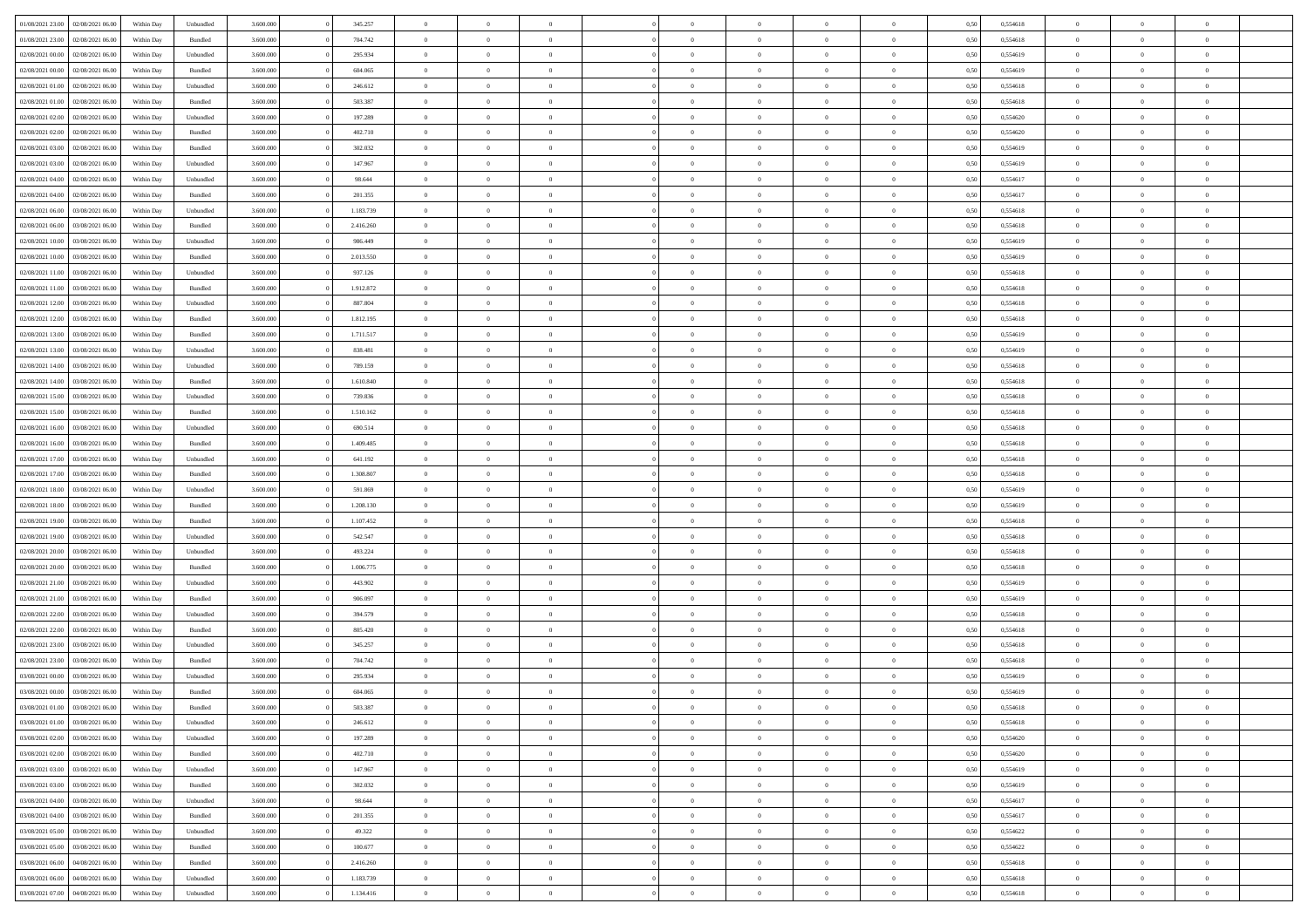| 01/08/2021 23:00                  | 02/08/2021 06:00 | Within Dav | Unbundled          | 3.600.000 | 345.257   | $\overline{0}$ | $\Omega$       |                | $\Omega$       | $\Omega$       | $\Omega$       | $\theta$       | 0,50 | 0,554618 | $\theta$       | $\theta$       | $\theta$       |  |
|-----------------------------------|------------------|------------|--------------------|-----------|-----------|----------------|----------------|----------------|----------------|----------------|----------------|----------------|------|----------|----------------|----------------|----------------|--|
| 01/08/2021 23:00                  | 02/08/2021 06:00 | Within Day | Bundled            | 3.600.000 | 704.742   | $\overline{0}$ | $\theta$       | $\overline{0}$ | $\overline{0}$ | $\bf{0}$       | $\overline{0}$ | $\bf{0}$       | 0,50 | 0,554618 | $\theta$       | $\theta$       | $\overline{0}$ |  |
| 02/08/2021 00:00                  | 02/08/2021 06:00 | Within Day | Unbundled          | 3.600.000 | 295.934   | $\overline{0}$ | $\bf{0}$       | $\overline{0}$ | $\bf{0}$       | $\bf{0}$       | $\bf{0}$       | $\mathbf{0}$   | 0,50 | 0,554619 | $\overline{0}$ | $\overline{0}$ | $\overline{0}$ |  |
| 02/08/2021 00:00                  | 02/08/2021 06:00 | Within Dav | Bundled            | 3.600,000 | 604.065   | $\overline{0}$ | $\overline{0}$ | $\overline{0}$ | $\overline{0}$ | $\bf{0}$       | $\overline{0}$ | $\overline{0}$ | 0.50 | 0.554619 | $\theta$       | $\theta$       | $\overline{0}$ |  |
| 02/08/2021 01:00                  | 02/08/2021 06:00 |            |                    | 3.600.000 | 246.612   | $\overline{0}$ | $\theta$       | $\overline{0}$ | $\overline{0}$ | $\bf{0}$       | $\overline{0}$ |                |      | 0,554618 | $\theta$       | $\theta$       | $\overline{0}$ |  |
|                                   |                  | Within Day | Unbundled          |           |           |                |                |                |                |                |                | $\bf{0}$       | 0,50 |          |                |                |                |  |
| 02/08/2021 01:00                  | 02/08/2021 06:00 | Within Day | Bundled            | 3.600.000 | 503.387   | $\overline{0}$ | $\overline{0}$ | $\overline{0}$ | $\bf{0}$       | $\overline{0}$ | $\overline{0}$ | $\mathbf{0}$   | 0,50 | 0,554618 | $\overline{0}$ | $\overline{0}$ | $\bf{0}$       |  |
| 02/08/2021 02:00                  | 02/08/2021 06:00 | Within Dav | Unbundled          | 3.600.000 | 197.289   | $\overline{0}$ | $\overline{0}$ | $\overline{0}$ | $\overline{0}$ | $\overline{0}$ | $\overline{0}$ | $\overline{0}$ | 0.50 | 0,554620 | $\theta$       | $\theta$       | $\overline{0}$ |  |
| 02/08/2021 02:00                  | 02/08/2021 06:00 | Within Day | Bundled            | 3.600.000 | 402.710   | $\overline{0}$ | $\theta$       | $\overline{0}$ | $\overline{0}$ | $\bf{0}$       | $\overline{0}$ | $\bf{0}$       | 0,50 | 0,554620 | $\theta$       | $\theta$       | $\overline{0}$ |  |
| 02/08/2021 03:00                  | 02/08/2021 06:00 | Within Day | Bundled            | 3.600.000 | 302.032   | $\overline{0}$ | $\overline{0}$ | $\overline{0}$ | $\bf{0}$       | $\bf{0}$       | $\bf{0}$       | $\bf{0}$       | 0,50 | 0,554619 | $\,0\,$        | $\overline{0}$ | $\overline{0}$ |  |
| 02/08/2021 03:00                  | 02/08/2021 06:00 | Within Dav | Unbundled          | 3.600.000 | 147.967   | $\overline{0}$ | $\overline{0}$ | $\overline{0}$ | $\overline{0}$ | $\overline{0}$ | $\overline{0}$ | $\overline{0}$ | 0.50 | 0.554619 | $\theta$       | $\overline{0}$ | $\overline{0}$ |  |
|                                   |                  |            |                    |           |           |                |                |                |                |                |                |                |      |          |                |                |                |  |
| 02/08/2021 04:00                  | 02/08/2021 06:00 | Within Day | Unbundled          | 3.600.000 | 98.644    | $\overline{0}$ | $\theta$       | $\overline{0}$ | $\overline{0}$ | $\bf{0}$       | $\overline{0}$ | $\bf{0}$       | 0,50 | 0,554617 | $\,$ 0 $\,$    | $\theta$       | $\overline{0}$ |  |
| 02/08/2021 04:00                  | 02/08/2021 06:00 | Within Day | Bundled            | 3.600.000 | 201.355   | $\overline{0}$ | $\overline{0}$ | $\overline{0}$ | $\bf{0}$       | $\bf{0}$       | $\bf{0}$       | $\mathbf{0}$   | 0,50 | 0,554617 | $\overline{0}$ | $\overline{0}$ | $\bf{0}$       |  |
| 02/08/2021 06:00                  | 03/08/2021 06:00 | Within Day | Unbundled          | 3.600.000 | 1.183.739 | $\overline{0}$ | $\overline{0}$ | $\overline{0}$ | $\overline{0}$ | $\bf{0}$       | $\overline{0}$ | $\overline{0}$ | 0.50 | 0.554618 | $\theta$       | $\theta$       | $\overline{0}$ |  |
| 02/08/2021 06:00                  | 03/08/2021 06:00 | Within Day | Bundled            | 3.600.000 | 2.416.260 | $\overline{0}$ | $\theta$       | $\overline{0}$ | $\overline{0}$ | $\bf{0}$       | $\overline{0}$ | $\bf{0}$       | 0,50 | 0,554618 | $\theta$       | $\theta$       | $\overline{0}$ |  |
| 02/08/2021 10:00                  | 03/08/2021 06:00 | Within Day | Unbundled          | 3.600.000 | 986.449   | $\overline{0}$ | $\overline{0}$ | $\overline{0}$ | $\overline{0}$ | $\overline{0}$ | $\overline{0}$ | $\mathbf{0}$   | 0,50 | 0,554619 | $\bf{0}$       | $\overline{0}$ | $\bf{0}$       |  |
|                                   |                  |            |                    |           |           |                |                |                |                | $\overline{0}$ |                |                |      |          | $\theta$       | $\overline{0}$ | $\overline{0}$ |  |
| 02/08/2021 10:00                  | 03/08/2021 06:00 | Within Dav | Bundled            | 3.600.000 | 2.013.550 | $\overline{0}$ | $\overline{0}$ | $\overline{0}$ | $\overline{0}$ |                | $\overline{0}$ | $\overline{0}$ | 0.50 | 0.554619 |                |                |                |  |
| 02/08/2021 11:00                  | 03/08/2021 06:00 | Within Day | Unbundled          | 3.600.000 | 937.126   | $\overline{0}$ | $\theta$       | $\overline{0}$ | $\overline{0}$ | $\bf{0}$       | $\overline{0}$ | $\bf{0}$       | 0,50 | 0,554618 | $\theta$       | $\theta$       | $\overline{0}$ |  |
| 02/08/2021 11:00                  | 03/08/2021 06:00 | Within Day | Bundled            | 3.600.000 | 1.912.872 | $\overline{0}$ | $\overline{0}$ | $\overline{0}$ | $\overline{0}$ | $\bf{0}$       | $\overline{0}$ | $\mathbf{0}$   | 0,50 | 0,554618 | $\,0\,$        | $\overline{0}$ | $\overline{0}$ |  |
| 02/08/2021 12:00                  | 03/08/2021 06:00 | Within Day | Unbundled          | 3.600.000 | 887.804   | $\overline{0}$ | $\overline{0}$ | $\overline{0}$ | $\overline{0}$ | $\overline{0}$ | $\overline{0}$ | $\overline{0}$ | 0.50 | 0.554618 | $\theta$       | $\overline{0}$ | $\overline{0}$ |  |
| 02/08/2021 12:00                  | 03/08/2021 06:00 | Within Day | Bundled            | 3.600.000 | 1.812.195 | $\overline{0}$ | $\theta$       | $\overline{0}$ | $\overline{0}$ | $\bf{0}$       | $\overline{0}$ | $\bf{0}$       | 0,50 | 0,554618 | $\,$ 0 $\,$    | $\overline{0}$ | $\overline{0}$ |  |
| 02/08/2021 13:00                  | 03/08/2021 06:00 | Within Day | Bundled            | 3.600.000 | 1.711.517 | $\overline{0}$ | $\overline{0}$ | $\overline{0}$ | $\overline{0}$ | $\bf{0}$       | $\overline{0}$ | $\bf{0}$       | 0,50 | 0,554619 | $\bf{0}$       | $\overline{0}$ | $\overline{0}$ |  |
| 02/08/2021 13:00                  | 03/08/2021 06:00 |            | Unbundled          | 3.600,000 | 838.481   | $\overline{0}$ | $\overline{0}$ | $\overline{0}$ |                | $\bf{0}$       | $\overline{0}$ |                | 0.50 | 0.554619 | $\theta$       | $\overline{0}$ | $\overline{0}$ |  |
|                                   |                  | Within Day |                    |           |           |                |                |                | $\overline{0}$ |                |                | $\overline{0}$ |      |          |                |                |                |  |
| 02/08/2021 14:00                  | 03/08/2021 06:00 | Within Day | Unbundled          | 3.600.000 | 789.159   | $\overline{0}$ | $\theta$       | $\overline{0}$ | $\overline{0}$ | $\bf{0}$       | $\overline{0}$ | $\bf{0}$       | 0,50 | 0,554618 | $\theta$       | $\overline{0}$ | $\overline{0}$ |  |
| 02/08/2021 14:00                  | 03/08/2021 06:00 | Within Day | Bundled            | 3.600.000 | 1.610.840 | $\overline{0}$ | $\bf{0}$       | $\overline{0}$ | $\bf{0}$       | $\overline{0}$ | $\overline{0}$ | $\mathbf{0}$   | 0,50 | 0,554618 | $\overline{0}$ | $\overline{0}$ | $\bf{0}$       |  |
| 02/08/2021 15:00                  | 03/08/2021 06:00 | Within Dav | Unbundled          | 3.600.000 | 739.836   | $\overline{0}$ | $\overline{0}$ | $\overline{0}$ | $\overline{0}$ | $\overline{0}$ | $\overline{0}$ | $\overline{0}$ | 0.50 | 0.554618 | $\theta$       | $\theta$       | $\overline{0}$ |  |
| 02/08/2021 15:00                  | 03/08/2021 06:00 | Within Day | Bundled            | 3.600.000 | 1.510.162 | $\overline{0}$ | $\theta$       | $\overline{0}$ | $\overline{0}$ | $\bf{0}$       | $\overline{0}$ | $\bf{0}$       | 0,50 | 0,554618 | $\theta$       | $\theta$       | $\overline{0}$ |  |
| 02/08/2021 16:00                  | 03/08/2021 06:00 | Within Day | Unbundled          | 3.600.000 | 690.514   | $\overline{0}$ | $\overline{0}$ | $\overline{0}$ | $\bf{0}$       | $\bf{0}$       | $\bf{0}$       | $\bf{0}$       | 0,50 | 0,554618 | $\,0\,$        | $\overline{0}$ | $\overline{0}$ |  |
|                                   |                  |            |                    |           |           |                |                |                |                | $\overline{0}$ |                |                |      |          | $\theta$       | $\overline{0}$ | $\overline{0}$ |  |
| 02/08/2021 16:00                  | 03/08/2021 06:00 | Within Day | Bundled            | 3.600.000 | 1.409.485 | $\overline{0}$ | $\overline{0}$ | $\overline{0}$ | $\overline{0}$ |                | $\overline{0}$ | $\overline{0}$ | 0.50 | 0.554618 |                |                |                |  |
| 02/08/2021 17:00                  | 03/08/2021 06:00 | Within Day | Unbundled          | 3.600.000 | 641.192   | $\overline{0}$ | $\theta$       | $\overline{0}$ | $\overline{0}$ | $\bf{0}$       | $\overline{0}$ | $\bf{0}$       | 0,50 | 0,554618 | $\,$ 0 $\,$    | $\overline{0}$ | $\overline{0}$ |  |
| 02/08/2021 17:00                  | 03/08/2021 06:00 | Within Day | Bundled            | 3.600.000 | 1.308.807 | $\overline{0}$ | $\overline{0}$ | $\overline{0}$ | $\bf{0}$       | $\bf{0}$       | $\bf{0}$       | $\bf{0}$       | 0,50 | 0,554618 | $\overline{0}$ | $\overline{0}$ | $\bf{0}$       |  |
| 02/08/2021 18:00                  | 03/08/2021 06:00 | Within Day | Unbundled          | 3.600.000 | 591.869   | $\overline{0}$ | $\Omega$       | $\overline{0}$ | $\Omega$       | $\Omega$       | $\overline{0}$ | $\overline{0}$ | 0,50 | 0,554619 | $\,0\,$        | $\theta$       | $\theta$       |  |
| 02/08/2021 18:00                  | 03/08/2021 06:00 | Within Day | Bundled            | 3.600.000 | 1.208.130 | $\overline{0}$ | $\theta$       | $\overline{0}$ | $\overline{0}$ | $\bf{0}$       | $\overline{0}$ | $\bf{0}$       | 0,50 | 0,554619 | $\,$ 0 $\,$    | $\theta$       | $\overline{0}$ |  |
| 02/08/2021 19:00                  | 03/08/2021 06:00 | Within Day | Bundled            | 3.600.000 | 1.107.452 | $\overline{0}$ | $\overline{0}$ | $\overline{0}$ | $\overline{0}$ | $\bf{0}$       | $\overline{0}$ | $\mathbf{0}$   | 0,50 | 0,554618 | $\overline{0}$ | $\overline{0}$ | $\bf{0}$       |  |
| 02/08/2021 19:00                  | 03/08/2021 06:00 |            | Unbundled          | 3.600,000 | 542.547   | $\overline{0}$ | $\Omega$       | $\Omega$       | $\Omega$       | $\bf{0}$       | $\overline{0}$ | $\overline{0}$ | 0.50 | 0.554618 | $\theta$       | $\theta$       | $\theta$       |  |
|                                   |                  | Within Day |                    |           |           |                |                |                |                |                |                |                |      |          |                |                |                |  |
| 02/08/2021 20:00                  | 03/08/2021 06:00 | Within Day | Unbundled          | 3.600.000 | 493.224   | $\overline{0}$ | $\theta$       | $\overline{0}$ | $\overline{0}$ | $\bf{0}$       | $\overline{0}$ | $\bf{0}$       | 0,50 | 0,554618 | $\,$ 0 $\,$    | $\theta$       | $\overline{0}$ |  |
| 02/08/2021 20.00                  | 03/08/2021 06:00 | Within Day | Bundled            | 3.600.000 | 1.006.775 | $\overline{0}$ | $\overline{0}$ | $\overline{0}$ | $\overline{0}$ | $\bf{0}$       | $\overline{0}$ | $\bf{0}$       | 0,50 | 0,554618 | $\,0\,$        | $\overline{0}$ | $\overline{0}$ |  |
| 02/08/2021 21:00                  | 03/08/2021 06:00 | Within Day | Unbundled          | 3.600,000 | 443.902   | $\overline{0}$ | $\Omega$       | $\overline{0}$ | $\Omega$       | $\theta$       | $\theta$       | $\overline{0}$ | 0.50 | 0.554619 | $\theta$       | $\theta$       | $\theta$       |  |
| 02/08/2021 21:00                  | 03/08/2021 06:00 | Within Day | Bundled            | 3.600.000 | 906.097   | $\overline{0}$ | $\theta$       | $\overline{0}$ | $\overline{0}$ | $\bf{0}$       | $\overline{0}$ | $\bf{0}$       | 0,50 | 0,554619 | $\,$ 0 $\,$    | $\overline{0}$ | $\overline{0}$ |  |
| 02/08/2021 22.00                  | 03/08/2021 06:00 | Within Day | Unbundled          | 3.600.000 | 394.579   | $\overline{0}$ | $\overline{0}$ | $\overline{0}$ | $\overline{0}$ | $\bf{0}$       | $\overline{0}$ | $\bf{0}$       | 0,50 | 0,554618 | $\overline{0}$ | $\overline{0}$ | $\overline{0}$ |  |
| 02/08/2021 22:00                  | 03/08/2021 06:00 | Within Day | Bundled            | 3.600.000 | 805.420   | $\overline{0}$ | $\Omega$       | $\overline{0}$ | $\Omega$       | $\Omega$       | $\overline{0}$ | $\overline{0}$ | 0,50 | 0,554618 | $\,0\,$        | $\theta$       | $\theta$       |  |
|                                   |                  |            |                    |           |           |                |                |                |                |                |                |                |      |          |                |                |                |  |
| 02/08/2021 23:00                  | 03/08/2021 06:00 | Within Day | Unbundled          | 3.600.000 | 345.257   | $\overline{0}$ | $\theta$       | $\overline{0}$ | $\overline{0}$ | $\bf{0}$       | $\overline{0}$ | $\bf{0}$       | 0,50 | 0,554618 | $\,$ 0 $\,$    | $\overline{0}$ | $\overline{0}$ |  |
| 02/08/2021 23.00                  | 03/08/2021 06:00 | Within Day | Bundled            | 3.600.000 | 704.742   | $\overline{0}$ | $\overline{0}$ | $\overline{0}$ | $\overline{0}$ | $\bf{0}$       | $\overline{0}$ | $\mathbf{0}$   | 0,50 | 0,554618 | $\overline{0}$ | $\overline{0}$ | $\bf{0}$       |  |
| 03/08/2021 00:00                  | 03/08/2021 06:00 | Within Day | Unbundled          | 3.600,000 | 295.934   | $\overline{0}$ | $\Omega$       | $\Omega$       | $\Omega$       | $\Omega$       | $\Omega$       | $\overline{0}$ | 0.50 | 0.554619 | $\theta$       | $\theta$       | $\theta$       |  |
| 03/08/2021 00:00                  | 03/08/2021 06:00 | Within Day | Bundled            | 3.600.000 | 604.065   | $\overline{0}$ | $\overline{0}$ | $\overline{0}$ | $\bf{0}$       | $\,$ 0         | $\overline{0}$ | $\bf{0}$       | 0,50 | 0,554619 | $\,0\,$        | $\,$ 0 $\,$    | $\overline{0}$ |  |
| 03/08/2021 01:00 03/08/2021 06:00 |                  | Within Day | $\mathbf B$ undled | 3.600.000 | 503.387   | $\bf{0}$       | $\bf{0}$       |                |                |                |                |                | 0,50 | 0,554618 | $\bf{0}$       | $\overline{0}$ |                |  |
| 03/08/2021 01:00                  | 03/08/2021 06:00 | Within Day | Unbundled          | 3.600.000 | 246.612   | $\overline{0}$ | $\overline{0}$ | $\overline{0}$ | $\Omega$       | $\overline{0}$ | $\overline{0}$ | $\overline{0}$ | 0.50 | 0.554618 | $\theta$       | $\theta$       | $\theta$       |  |
| 03/08/2021 02:00                  | 03/08/2021 06:00 | Within Day | Unbundled          | 3.600.000 | 197.289   | $\overline{0}$ | $\bf{0}$       | $\overline{0}$ | $\overline{0}$ | $\,$ 0 $\,$    | $\overline{0}$ | $\,$ 0 $\,$    | 0,50 | 0,554620 | $\,$ 0 $\,$    | $\,$ 0 $\,$    | $\,$ 0         |  |
|                                   |                  |            |                    |           |           |                |                |                |                |                |                |                |      |          |                |                |                |  |
| 03/08/2021 02:00                  | 03/08/2021 06:00 | Within Day | Bundled            | 3.600.000 | 402.710   | $\overline{0}$ | $\overline{0}$ | $\overline{0}$ | $\overline{0}$ | $\overline{0}$ | $\overline{0}$ | $\mathbf{0}$   | 0,50 | 0,554620 | $\overline{0}$ | $\bf{0}$       | $\overline{0}$ |  |
| 03/08/2021 03:00                  | 03/08/2021 06:00 | Within Day | Unbundled          | 3.600.000 | 147.967   | $\overline{0}$ | $\overline{0}$ | $\overline{0}$ | $\Omega$       | $\overline{0}$ | $\overline{0}$ | $\overline{0}$ | 0,50 | 0,554619 | $\overline{0}$ | $\theta$       | $\overline{0}$ |  |
| 03/08/2021 03:00                  | 03/08/2021 06:00 | Within Day | Bundled            | 3.600.000 | 302.032   | $\overline{0}$ | $\,$ 0         | $\overline{0}$ | $\bf{0}$       | $\,$ 0 $\,$    | $\overline{0}$ | $\mathbf{0}$   | 0,50 | 0,554619 | $\,$ 0 $\,$    | $\overline{0}$ | $\,$ 0         |  |
| 03/08/2021 04:00                  | 03/08/2021 06:00 | Within Day | Unbundled          | 3.600.000 | 98.644    | $\overline{0}$ | $\overline{0}$ | $\overline{0}$ | $\overline{0}$ | $\overline{0}$ | $\overline{0}$ | $\mathbf{0}$   | 0,50 | 0,554617 | $\overline{0}$ | $\overline{0}$ | $\bf{0}$       |  |
| 03/08/2021 04:00                  | 03/08/2021 06:00 | Within Day | Bundled            | 3.600,000 | 201.355   | $\overline{0}$ | $\overline{0}$ | $\overline{0}$ | $\overline{0}$ | $\overline{0}$ | $\overline{0}$ | $\bf{0}$       | 0.50 | 0,554617 | $\overline{0}$ | $\theta$       | $\overline{0}$ |  |
| 03/08/2021 05:00                  | 03/08/2021 06:00 | Within Day | Unbundled          | 3.600.000 | 49.322    | $\overline{0}$ | $\,$ 0         | $\overline{0}$ | $\bf{0}$       | $\bf{0}$       | $\bf{0}$       | $\bf{0}$       | 0,50 | 0,554622 | $\,$ 0 $\,$    | $\overline{0}$ | $\overline{0}$ |  |
|                                   |                  |            |                    |           |           |                |                |                |                |                |                |                |      |          |                |                |                |  |
| 03/08/2021 05:00                  | 03/08/2021 06:00 | Within Day | Bundled            | 3.600.000 | 100.677   | $\overline{0}$ | $\bf{0}$       | $\overline{0}$ | $\overline{0}$ | $\overline{0}$ | $\overline{0}$ | $\mathbf{0}$   | 0,50 | 0,554622 | $\overline{0}$ | $\overline{0}$ | $\bf{0}$       |  |
| 03/08/2021 06:00                  | 04/08/2021 06:00 | Within Day | Bundled            | 3.600,000 | 2.416.260 | $\overline{0}$ | $\overline{0}$ | $\overline{0}$ | $\Omega$       | $\overline{0}$ | $\overline{0}$ | $\overline{0}$ | 0.50 | 0,554618 | $\overline{0}$ | $\overline{0}$ | $\overline{0}$ |  |
| 03/08/2021 06:00                  | 04/08/2021 06:00 | Within Day | Unbundled          | 3.600.000 | 1.183.739 | $\overline{0}$ | $\bf{0}$       | $\overline{0}$ | $\overline{0}$ | $\bf{0}$       | $\bf{0}$       | $\mathbf{0}$   | 0,50 | 0,554618 | $\,$ 0 $\,$    | $\,$ 0 $\,$    | $\bf{0}$       |  |
| 03/08/2021 07:00                  | 04/08/2021 06:00 | Within Day | Unbundled          | 3.600.000 | 1.134.416 | $\overline{0}$ | $\bf{0}$       | $\overline{0}$ | $\overline{0}$ | $\bf{0}$       | $\bf{0}$       | $\bf{0}$       | 0,50 | 0,554618 | $\overline{0}$ | $\overline{0}$ | $\bf{0}$       |  |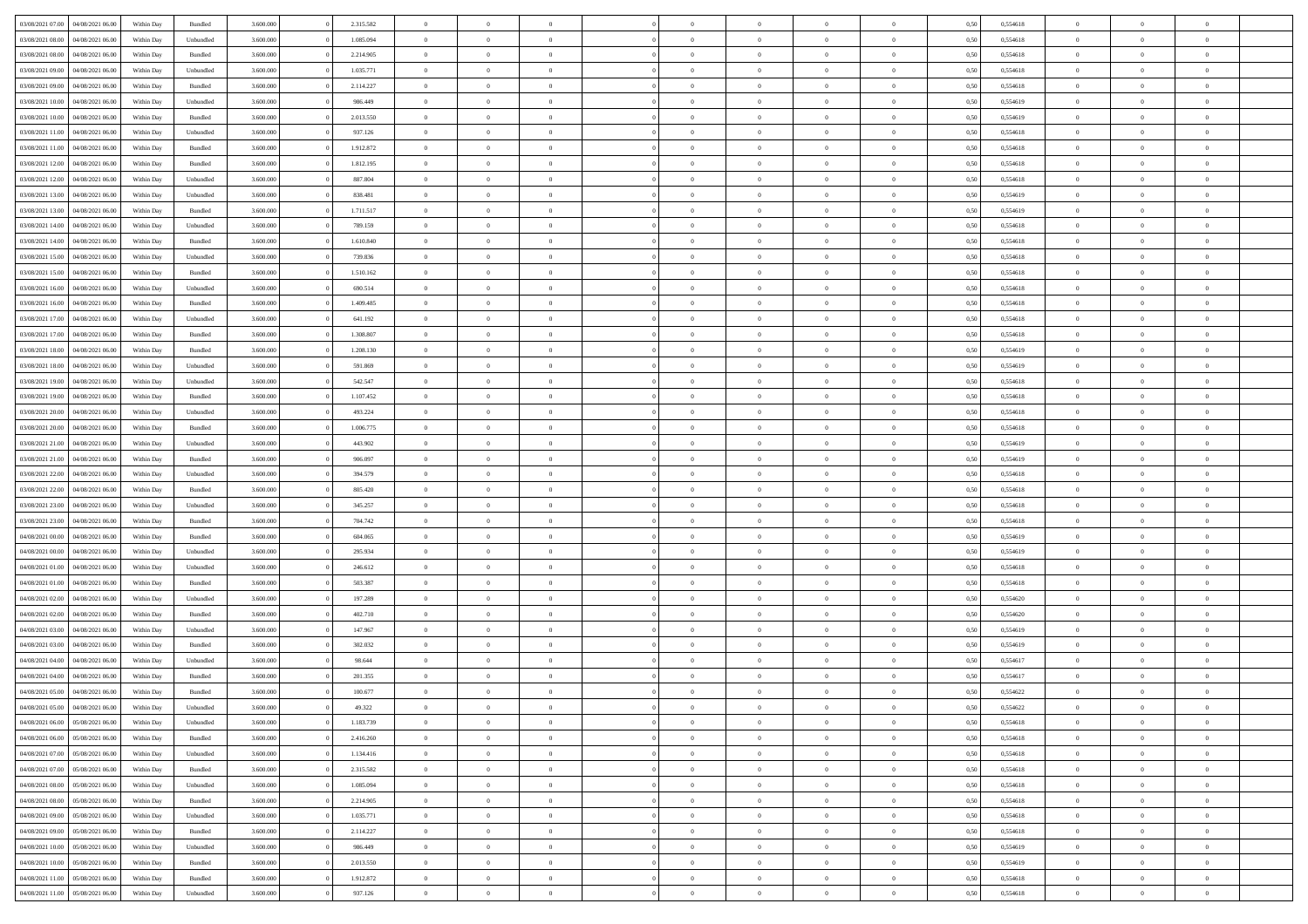| 03/08/2021 07:00                  | 04/08/2021 06:00 | Within Day | Bundled   | 3.600.000 | 2.315.582 | $\overline{0}$ | $\Omega$       |                | $\Omega$       | $\Omega$       | $\theta$       | $\theta$       | 0,50 | 0,554618 | $\theta$       | $\theta$       | $\theta$       |  |
|-----------------------------------|------------------|------------|-----------|-----------|-----------|----------------|----------------|----------------|----------------|----------------|----------------|----------------|------|----------|----------------|----------------|----------------|--|
| 03/08/2021 08:00                  | 04/08/2021 06:00 | Within Day | Unbundled | 3.600.000 | 1.085.094 | $\overline{0}$ | $\theta$       | $\overline{0}$ | $\overline{0}$ | $\bf{0}$       | $\overline{0}$ | $\bf{0}$       | 0,50 | 0,554618 | $\theta$       | $\theta$       | $\overline{0}$ |  |
| 03/08/2021 08:00                  | 04/08/2021 06:00 | Within Day | Bundled   | 3.600.000 | 2.214.905 | $\overline{0}$ | $\overline{0}$ | $\overline{0}$ | $\bf{0}$       | $\bf{0}$       | $\bf{0}$       | $\bf{0}$       | 0,50 | 0,554618 | $\overline{0}$ | $\overline{0}$ | $\overline{0}$ |  |
| 03/08/2021 09:00                  | 04/08/2021 06:00 | Within Dav | Unbundled | 3.600.000 | 1.035.771 | $\overline{0}$ | $\overline{0}$ | $\overline{0}$ | $\overline{0}$ | $\bf{0}$       | $\overline{0}$ | $\overline{0}$ | 0.50 | 0.554618 | $\theta$       | $\theta$       | $\overline{0}$ |  |
|                                   |                  |            |           |           |           |                |                |                |                |                |                |                |      |          |                |                |                |  |
| 03/08/2021 09:00                  | 04/08/2021 06:00 | Within Day | Bundled   | 3.600.000 | 2.114.227 | $\overline{0}$ | $\theta$       | $\overline{0}$ | $\overline{0}$ | $\bf{0}$       | $\overline{0}$ | $\bf{0}$       | 0,50 | 0,554618 | $\theta$       | $\theta$       | $\overline{0}$ |  |
| 03/08/2021 10:00                  | 04/08/2021 06:00 | Within Day | Unbundled | 3.600.000 | 986.449   | $\overline{0}$ | $\bf{0}$       | $\overline{0}$ | $\bf{0}$       | $\overline{0}$ | $\overline{0}$ | $\mathbf{0}$   | 0,50 | 0,554619 | $\overline{0}$ | $\overline{0}$ | $\bf{0}$       |  |
| 03/08/2021 10:00                  | 04/08/2021 06:00 | Within Dav | Bundled   | 3.600.000 | 2.013.550 | $\overline{0}$ | $\overline{0}$ | $\overline{0}$ | $\overline{0}$ | $\overline{0}$ | $\overline{0}$ | $\overline{0}$ | 0.50 | 0,554619 | $\theta$       | $\overline{0}$ | $\overline{0}$ |  |
| 03/08/2021 11:00                  | 04/08/2021 06:00 | Within Day | Unbundled | 3.600.000 | 937.126   | $\overline{0}$ | $\theta$       | $\overline{0}$ | $\overline{0}$ | $\bf{0}$       | $\overline{0}$ | $\bf{0}$       | 0,50 | 0,554618 | $\theta$       | $\theta$       | $\overline{0}$ |  |
| 03/08/2021 11:00                  | 04/08/2021 06:00 | Within Day | Bundled   | 3.600.000 | 1.912.872 | $\overline{0}$ | $\overline{0}$ | $\overline{0}$ | $\bf{0}$       | $\bf{0}$       | $\bf{0}$       | $\bf{0}$       | 0,50 | 0,554618 | $\,0\,$        | $\overline{0}$ | $\overline{0}$ |  |
| 03/08/2021 12:00                  | 04/08/2021 06:00 | Within Dav | Bundled   | 3.600.000 | 1.812.195 | $\overline{0}$ | $\overline{0}$ | $\overline{0}$ | $\overline{0}$ | $\overline{0}$ | $\overline{0}$ | $\overline{0}$ | 0.50 | 0.554618 | $\theta$       | $\overline{0}$ | $\overline{0}$ |  |
|                                   |                  |            |           |           |           |                |                |                |                |                |                |                |      |          |                |                |                |  |
| 03/08/2021 12:00                  | 04/08/2021 06:00 | Within Day | Unbundled | 3.600.000 | 887.804   | $\overline{0}$ | $\theta$       | $\overline{0}$ | $\overline{0}$ | $\bf{0}$       | $\overline{0}$ | $\bf{0}$       | 0,50 | 0,554618 | $\,$ 0 $\,$    | $\overline{0}$ | $\overline{0}$ |  |
| 03/08/2021 13:00                  | 04/08/2021 06:00 | Within Day | Unbundled | 3.600.000 | 838.481   | $\overline{0}$ | $\overline{0}$ | $\overline{0}$ | $\bf{0}$       | $\bf{0}$       | $\bf{0}$       | $\bf{0}$       | 0,50 | 0,554619 | $\overline{0}$ | $\overline{0}$ | $\overline{0}$ |  |
| 03/08/2021 13:00                  | 04/08/2021 06:00 | Within Day | Bundled   | 3.600.000 | 1.711.517 | $\overline{0}$ | $\overline{0}$ | $\overline{0}$ | $\overline{0}$ | $\bf{0}$       | $\overline{0}$ | $\overline{0}$ | 0.50 | 0.554619 | $\theta$       | $\theta$       | $\overline{0}$ |  |
| 03/08/2021 14:00                  | 04/08/2021 06:00 | Within Day | Unbundled | 3.600.000 | 789.159   | $\overline{0}$ | $\theta$       | $\overline{0}$ | $\overline{0}$ | $\bf{0}$       | $\overline{0}$ | $\bf{0}$       | 0,50 | 0,554618 | $\theta$       | $\theta$       | $\overline{0}$ |  |
| 03/08/2021 14:00                  | 04/08/2021 06:00 | Within Day | Bundled   | 3.600.000 | 1.610.840 | $\overline{0}$ | $\overline{0}$ | $\overline{0}$ | $\overline{0}$ | $\overline{0}$ | $\overline{0}$ | $\mathbf{0}$   | 0,50 | 0,554618 | $\overline{0}$ | $\overline{0}$ | $\bf{0}$       |  |
| 03/08/2021 15:00                  | 04/08/2021 06:00 | Within Dav | Unbundled | 3.600.000 | 739.836   | $\overline{0}$ | $\overline{0}$ | $\overline{0}$ |                | $\overline{0}$ | $\overline{0}$ | $\overline{0}$ | 0.50 | 0.554618 | $\theta$       | $\overline{0}$ | $\overline{0}$ |  |
|                                   |                  |            |           |           |           |                |                |                | $\overline{0}$ |                |                |                |      |          |                |                |                |  |
| 03/08/2021 15:00                  | 04/08/2021 06:00 | Within Day | Bundled   | 3.600.000 | 1.510.162 | $\overline{0}$ | $\theta$       | $\overline{0}$ | $\overline{0}$ | $\bf{0}$       | $\overline{0}$ | $\bf{0}$       | 0,50 | 0,554618 | $\theta$       | $\theta$       | $\overline{0}$ |  |
| 03/08/2021 16:00                  | 04/08/2021 06:00 | Within Day | Unbundled | 3.600.000 | 690.514   | $\overline{0}$ | $\overline{0}$ | $\overline{0}$ | $\overline{0}$ | $\bf{0}$       | $\overline{0}$ | $\bf{0}$       | 0,50 | 0,554618 | $\,0\,$        | $\overline{0}$ | $\overline{0}$ |  |
| 03/08/2021 16:00                  | 04/08/2021 06:00 | Within Day | Bundled   | 3.600.000 | 1.409.485 | $\overline{0}$ | $\overline{0}$ | $\overline{0}$ | $\overline{0}$ | $\overline{0}$ | $\overline{0}$ | $\overline{0}$ | 0.50 | 0,554618 | $\theta$       | $\overline{0}$ | $\overline{0}$ |  |
| 03/08/2021 17:00                  | 04/08/2021 06:00 | Within Day | Unbundled | 3.600.000 | 641.192   | $\overline{0}$ | $\theta$       | $\overline{0}$ | $\overline{0}$ | $\bf{0}$       | $\overline{0}$ | $\bf{0}$       | 0,50 | 0,554618 | $\,$ 0 $\,$    | $\theta$       | $\overline{0}$ |  |
| 03/08/2021 17:00                  | 04/08/2021 06:00 | Within Day | Bundled   | 3.600.000 | 1.308.807 | $\overline{0}$ | $\overline{0}$ | $\overline{0}$ | $\overline{0}$ | $\bf{0}$       | $\overline{0}$ | $\bf{0}$       | 0,50 | 0,554618 | $\bf{0}$       | $\overline{0}$ | $\overline{0}$ |  |
| 03/08/2021 18:00                  | 04/08/2021 06:00 | Within Day | Bundled   | 3.600,000 | 1.208.130 | $\overline{0}$ | $\overline{0}$ | $\overline{0}$ | $\overline{0}$ | $\bf{0}$       | $\overline{0}$ | $\overline{0}$ | 0.50 | 0.554619 | $\theta$       | $\overline{0}$ | $\overline{0}$ |  |
|                                   |                  |            |           |           |           |                |                |                |                |                |                |                |      |          |                |                |                |  |
| 03/08/2021 18:00                  | 04/08/2021 06:00 | Within Day | Unbundled | 3.600.000 | 591.869   | $\overline{0}$ | $\theta$       | $\overline{0}$ | $\overline{0}$ | $\bf{0}$       | $\overline{0}$ | $\bf{0}$       | 0,50 | 0,554619 | $\,$ 0 $\,$    | $\overline{0}$ | $\overline{0}$ |  |
| 03/08/2021 19:00                  | 04/08/2021 06:00 | Within Day | Unbundled | 3.600.000 | 542.547   | $\overline{0}$ | $\bf{0}$       | $\overline{0}$ | $\overline{0}$ | $\overline{0}$ | $\overline{0}$ | $\mathbf{0}$   | 0,50 | 0,554618 | $\overline{0}$ | $\overline{0}$ | $\bf{0}$       |  |
| 03/08/2021 19:00                  | 04/08/2021 06:00 | Within Dav | Bundled   | 3.600.000 | 1.107.452 | $\overline{0}$ | $\overline{0}$ | $\overline{0}$ | $\overline{0}$ | $\overline{0}$ | $\overline{0}$ | $\overline{0}$ | 0.50 | 0.554618 | $\theta$       | $\overline{0}$ | $\overline{0}$ |  |
| 03/08/2021 20:00                  | 04/08/2021 06:00 | Within Day | Unbundled | 3.600.000 | 493.224   | $\overline{0}$ | $\theta$       | $\overline{0}$ | $\overline{0}$ | $\bf{0}$       | $\overline{0}$ | $\bf{0}$       | 0,50 | 0,554618 | $\theta$       | $\theta$       | $\overline{0}$ |  |
| 03/08/2021 20.00                  | 04/08/2021 06:00 | Within Day | Bundled   | 3.600.000 | 1.006.775 | $\overline{0}$ | $\overline{0}$ | $\overline{0}$ | $\overline{0}$ | $\bf{0}$       | $\overline{0}$ | $\bf{0}$       | 0,50 | 0,554618 | $\,0\,$        | $\overline{0}$ | $\overline{0}$ |  |
| 03/08/2021 21:00                  | 04/08/2021 06:00 | Within Day | Unbundled | 3.600.000 | 443.902   | $\overline{0}$ | $\overline{0}$ | $\overline{0}$ | $\overline{0}$ | $\overline{0}$ | $\overline{0}$ | $\overline{0}$ | 0.50 | 0.554619 | $\theta$       | $\overline{0}$ | $\overline{0}$ |  |
|                                   |                  |            |           |           |           |                |                |                |                |                |                |                |      |          |                |                |                |  |
| 03/08/2021 21:00                  | 04/08/2021 06:00 | Within Day | Bundled   | 3.600.000 | 906.097   | $\overline{0}$ | $\theta$       | $\overline{0}$ | $\overline{0}$ | $\bf{0}$       | $\overline{0}$ | $\bf{0}$       | 0,50 | 0,554619 | $\,$ 0 $\,$    | $\overline{0}$ | $\overline{0}$ |  |
| 03/08/2021 22.00                  | 04/08/2021 06:00 | Within Day | Unbundled | 3.600.000 | 394.579   | $\overline{0}$ | $\overline{0}$ | $\overline{0}$ | $\overline{0}$ | $\bf{0}$       | $\overline{0}$ | $\bf{0}$       | 0,50 | 0,554618 | $\overline{0}$ | $\overline{0}$ | $\overline{0}$ |  |
| 03/08/2021 22:00                  | 04/08/2021 06:00 | Within Day | Bundled   | 3.600.000 | 805.420   | $\overline{0}$ | $\Omega$       | $\Omega$       | $\Omega$       | $\Omega$       | $\Omega$       | $\overline{0}$ | 0,50 | 0,554618 | $\,0\,$        | $\theta$       | $\theta$       |  |
| 03/08/2021 23:00                  | 04/08/2021 06:00 | Within Day | Unbundled | 3.600.000 | 345.257   | $\overline{0}$ | $\theta$       | $\overline{0}$ | $\overline{0}$ | $\bf{0}$       | $\overline{0}$ | $\bf{0}$       | 0,50 | 0,554618 | $\theta$       | $\theta$       | $\overline{0}$ |  |
| 03/08/2021 23.00                  | 04/08/2021 06:00 | Within Day | Bundled   | 3.600.000 | 704.742   | $\overline{0}$ | $\overline{0}$ | $\overline{0}$ | $\bf{0}$       | $\bf{0}$       | $\overline{0}$ | $\mathbf{0}$   | 0,50 | 0,554618 | $\overline{0}$ | $\overline{0}$ | $\bf{0}$       |  |
| 04/08/2021 00:00                  | 04/08/2021 06:00 | Within Day | Bundled   | 3.600,000 | 604,065   | $\overline{0}$ | $\Omega$       | $\Omega$       | $\Omega$       | $\bf{0}$       | $\overline{0}$ | $\overline{0}$ | 0.50 | 0.554619 | $\theta$       | $\theta$       | $\theta$       |  |
|                                   |                  |            |           |           |           |                |                |                |                |                |                |                |      |          |                |                |                |  |
| 04/08/2021 00:00                  | 04/08/2021 06:00 | Within Day | Unbundled | 3.600.000 | 295.934   | $\overline{0}$ | $\theta$       | $\overline{0}$ | $\overline{0}$ | $\bf{0}$       | $\overline{0}$ | $\bf{0}$       | 0,50 | 0,554619 | $\,$ 0 $\,$    | $\theta$       | $\overline{0}$ |  |
| 04/08/2021 01:00                  | 04/08/2021 06:00 | Within Day | Unbundled | 3.600.000 | 246.612   | $\overline{0}$ | $\overline{0}$ | $\overline{0}$ | $\bf{0}$       | $\bf{0}$       | $\bf{0}$       | $\bf{0}$       | 0,50 | 0,554618 | $\bf{0}$       | $\overline{0}$ | $\overline{0}$ |  |
| 04/08/2021 01:00                  | 04/08/2021 06:00 | Within Day | Bundled   | 3.600,000 | 503,387   | $\overline{0}$ | $\Omega$       | $\Omega$       | $\Omega$       | $\theta$       | $\theta$       | $\overline{0}$ | 0.50 | 0.554618 | $\theta$       | $\theta$       | $\theta$       |  |
| 04/08/2021 02.00                  | 04/08/2021 06:00 | Within Day | Unbundled | 3.600.000 | 197.289   | $\overline{0}$ | $\theta$       | $\overline{0}$ | $\overline{0}$ | $\bf{0}$       | $\overline{0}$ | $\bf{0}$       | 0,50 | 0,554620 | $\,$ 0 $\,$    | $\overline{0}$ | $\overline{0}$ |  |
| 04/08/2021 02.00                  | 04/08/2021 06:00 | Within Day | Bundled   | 3.600.000 | 402.710   | $\overline{0}$ | $\overline{0}$ | $\overline{0}$ | $\bf{0}$       | $\bf{0}$       | $\bf{0}$       | $\bf{0}$       | 0,50 | 0,554620 | $\overline{0}$ | $\overline{0}$ | $\overline{0}$ |  |
| 04/08/2021 03:00                  | 04/08/2021 06:00 | Within Day | Unbundled | 3.600.000 | 147.967   | $\overline{0}$ | $\Omega$       | $\overline{0}$ | $\Omega$       | $\Omega$       | $\overline{0}$ | $\overline{0}$ | 0,50 | 0,554619 | $\,0\,$        | $\theta$       | $\theta$       |  |
| 04/08/2021 03:00                  | 04/08/2021 06:00 | Within Day | Bundled   | 3.600.000 | 302.032   | $\overline{0}$ | $\theta$       | $\overline{0}$ | $\overline{0}$ | $\bf{0}$       | $\overline{0}$ | $\bf{0}$       | 0,50 | 0,554619 | $\,$ 0 $\,$    | $\overline{0}$ | $\overline{0}$ |  |
|                                   |                  |            |           |           |           |                |                |                |                |                |                |                |      |          |                |                |                |  |
| 04/08/2021 04:00                  | 04/08/2021 06:00 | Within Day | Unbundled | 3.600.000 | 98.644    | $\overline{0}$ | $\overline{0}$ | $\overline{0}$ | $\bf{0}$       | $\bf{0}$       | $\bf{0}$       | $\mathbf{0}$   | 0,50 | 0,554617 | $\overline{0}$ | $\overline{0}$ | $\bf{0}$       |  |
| 04/08/2021 04:00                  | 04/08/2021 06:00 | Within Day | Bundled   | 3.600,000 | 201.355   | $\overline{0}$ | $\Omega$       | $\Omega$       | $\Omega$       | $\Omega$       | $\Omega$       | $\overline{0}$ | 0.50 | 0.554617 | $\theta$       | $\theta$       | $\theta$       |  |
| 04/08/2021 05:00                  | 04/08/2021 06:00 | Within Day | Bundled   | 3.600.000 | 100.677   | $\overline{0}$ | $\overline{0}$ | $\overline{0}$ | $\bf{0}$       | $\,$ 0         | $\bf{0}$       | $\bf{0}$       | 0,50 | 0,554622 | $\,0\,$        | $\overline{0}$ | $\overline{0}$ |  |
| 04/08/2021 05:00 04/08/2021 06:00 |                  | Within Day | Unbundled | 3.600.000 | 49.322    | $\bf{0}$       | $\bf{0}$       |                |                |                |                |                | 0,50 | 0,554622 | $\bf{0}$       | $\overline{0}$ |                |  |
| 04/08/2021 06:00                  | 05/08/2021 06:00 | Within Day | Unbundled | 3.600,000 | 1.183.739 | $\overline{0}$ | $\overline{0}$ | $\overline{0}$ | $\Omega$       | $\overline{0}$ | $\overline{0}$ | $\overline{0}$ | 0.50 | 0.554618 | $\theta$       | $\theta$       | $\theta$       |  |
| 04/08/2021 06:00                  | 05/08/2021 06:00 | Within Day | Bundled   | 3.600.000 | 2.416.260 | $\overline{0}$ | $\,$ 0         | $\overline{0}$ | $\bf{0}$       | $\,$ 0 $\,$    | $\overline{0}$ | $\mathbf{0}$   | 0,50 | 0,554618 | $\,$ 0 $\,$    | $\,$ 0 $\,$    | $\,$ 0         |  |
|                                   |                  |            |           |           |           |                |                |                |                |                |                |                |      |          |                |                |                |  |
| 04/08/2021 07:00                  | 05/08/2021 06:00 | Within Day | Unbundled | 3.600.000 | 1.134.416 | $\overline{0}$ | $\overline{0}$ | $\overline{0}$ | $\overline{0}$ | $\overline{0}$ | $\overline{0}$ | $\mathbf{0}$   | 0,50 | 0,554618 | $\overline{0}$ | $\bf{0}$       | $\bf{0}$       |  |
| 04/08/2021 07:00                  | 05/08/2021 06:00 | Within Day | Bundled   | 3.600.000 | 2.315.582 | $\overline{0}$ | $\overline{0}$ | $\overline{0}$ | $\Omega$       | $\overline{0}$ | $\overline{0}$ | $\overline{0}$ | 0,50 | 0,554618 | $\overline{0}$ | $\theta$       | $\overline{0}$ |  |
| 04/08/2021 08:00                  | 05/08/2021 06:00 | Within Day | Unbundled | 3.600.000 | 1.085.094 | $\overline{0}$ | $\,$ 0         | $\overline{0}$ | $\overline{0}$ | $\,$ 0 $\,$    | $\overline{0}$ | $\mathbf{0}$   | 0,50 | 0,554618 | $\,$ 0 $\,$    | $\overline{0}$ | $\overline{0}$ |  |
| 04/08/2021 08:00                  | 05/08/2021 06:00 | Within Day | Bundled   | 3.600.000 | 2.214.905 | $\overline{0}$ | $\overline{0}$ | $\overline{0}$ | $\overline{0}$ | $\overline{0}$ | $\overline{0}$ | $\mathbf{0}$   | 0,50 | 0,554618 | $\overline{0}$ | $\overline{0}$ | $\bf{0}$       |  |
| 04/08/2021 09:00                  | 05/08/2021 06:00 | Within Day | Unbundled | 3.600,000 | 1.035.771 | $\overline{0}$ | $\overline{0}$ | $\overline{0}$ | $\Omega$       | $\overline{0}$ | $\overline{0}$ | $\bf{0}$       | 0.50 | 0,554618 | $\overline{0}$ | $\theta$       | $\overline{0}$ |  |
| 04/08/2021 09:00                  | 05/08/2021 06:00 | Within Day | Bundled   | 3.600.000 | 2.114.227 | $\overline{0}$ | $\,$ 0         | $\overline{0}$ | $\bf{0}$       | $\bf{0}$       | $\bf{0}$       | $\bf{0}$       | 0,50 | 0,554618 | $\,$ 0 $\,$    | $\overline{0}$ | $\overline{0}$ |  |
|                                   |                  |            |           |           |           |                |                |                |                |                |                |                |      |          |                |                |                |  |
| 04/08/2021 10:00                  | 05/08/2021 06:00 | Within Day | Unbundled | 3.600.000 | 986.449   | $\overline{0}$ | $\bf{0}$       | $\overline{0}$ | $\overline{0}$ | $\overline{0}$ | $\overline{0}$ | $\mathbf{0}$   | 0,50 | 0,554619 | $\overline{0}$ | $\overline{0}$ | $\bf{0}$       |  |
| 04/08/2021 10:00                  | 05/08/2021 06:00 | Within Day | Bundled   | 3.600,000 | 2.013.550 | $\overline{0}$ | $\overline{0}$ | $\overline{0}$ | $\Omega$       | $\overline{0}$ | $\overline{0}$ | $\overline{0}$ | 0.50 | 0,554619 | $\overline{0}$ | $\overline{0}$ | $\overline{0}$ |  |
| 04/08/2021 11:00                  | 05/08/2021 06:00 | Within Day | Bundled   | 3.600.000 | 1.912.872 | $\overline{0}$ | $\bf{0}$       | $\overline{0}$ | $\overline{0}$ | $\bf{0}$       | $\overline{0}$ | $\bf{0}$       | 0,50 | 0,554618 | $\,$ 0 $\,$    | $\,$ 0 $\,$    | $\bf{0}$       |  |
| 04/08/2021 11:00                  | 05/08/2021 06:00 | Within Day | Unbundled | 3.600.000 | 937.126   | $\overline{0}$ | $\bf{0}$       | $\overline{0}$ | $\bf{0}$       | $\bf{0}$       | $\overline{0}$ | $\bf{0}$       | 0,50 | 0,554618 | $\overline{0}$ | $\overline{0}$ | $\bf{0}$       |  |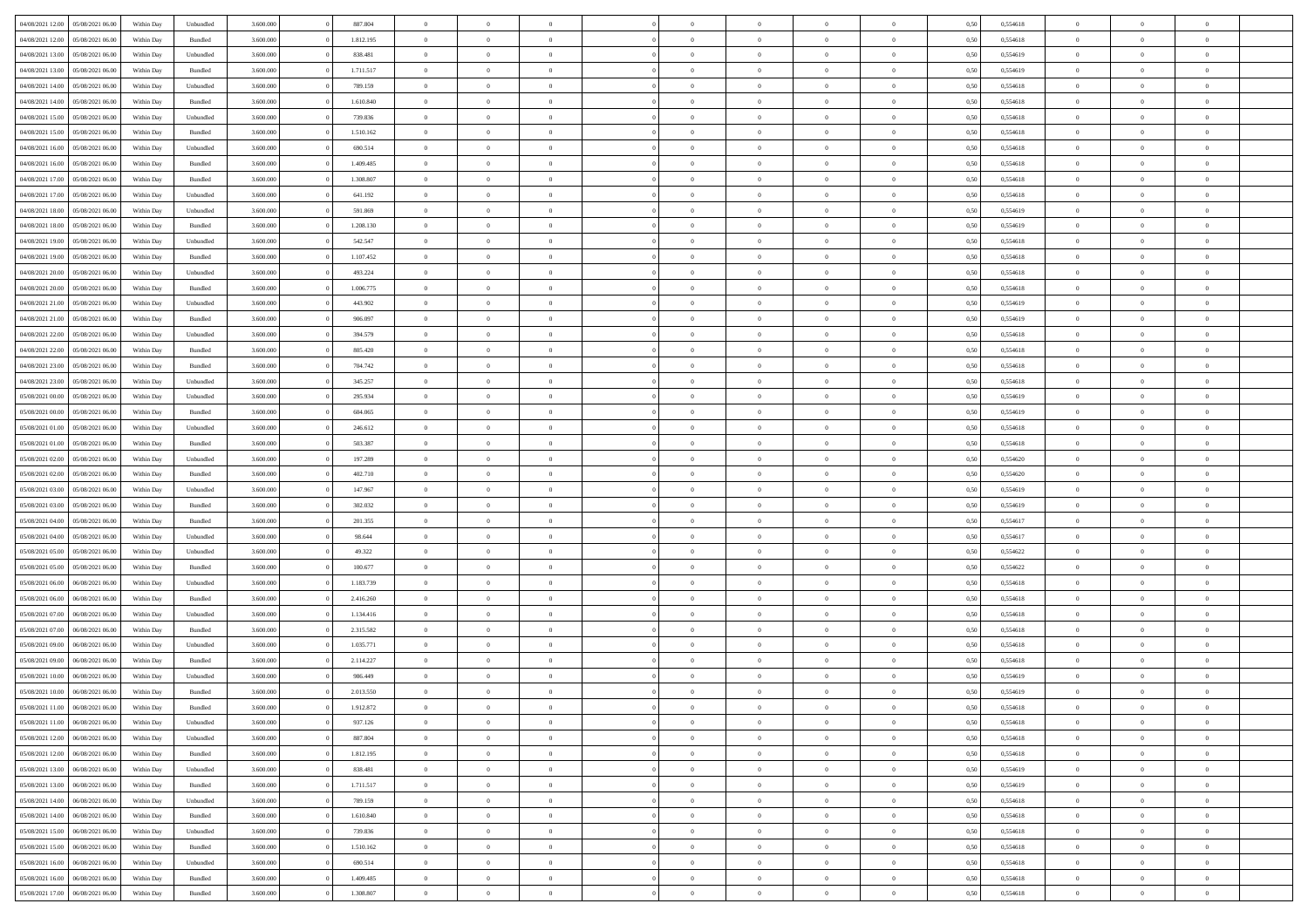|                                   |                  |            |                    |           |           | $\overline{0}$ | $\Omega$       |                |                | $\Omega$       | $\Omega$       |                |      |          | $\theta$       |                | $\theta$       |  |
|-----------------------------------|------------------|------------|--------------------|-----------|-----------|----------------|----------------|----------------|----------------|----------------|----------------|----------------|------|----------|----------------|----------------|----------------|--|
| 04/08/2021 12:00                  | 05/08/2021 06:00 | Within Day | Unbundled          | 3.600.000 | 887.804   |                |                |                | $\Omega$       |                |                | $\Omega$       | 0,50 | 0,554618 |                | $\theta$       |                |  |
| 04/08/2021 12:00                  | 05/08/2021 06:00 | Within Day | Bundled            | 3.600.000 | 1.812.195 | $\overline{0}$ | $\theta$       | $\overline{0}$ | $\overline{0}$ | $\bf{0}$       | $\overline{0}$ | $\bf{0}$       | 0,50 | 0,554618 | $\theta$       | $\theta$       | $\overline{0}$ |  |
| 04/08/2021 13:00                  | 05/08/2021 06:00 | Within Day | Unbundled          | 3.600.000 | 838.481   | $\overline{0}$ | $\overline{0}$ | $\overline{0}$ | $\overline{0}$ | $\bf{0}$       | $\overline{0}$ | $\bf{0}$       | 0,50 | 0,554619 | $\overline{0}$ | $\overline{0}$ | $\overline{0}$ |  |
| 04/08/2021 13:00                  | 05/08/2021 06:00 | Within Dav | Bundled            | 3.600,000 | 1.711.517 | $\overline{0}$ | $\overline{0}$ | $\overline{0}$ | $\overline{0}$ | $\bf{0}$       | $\overline{0}$ | $\overline{0}$ | 0.50 | 0.554619 | $\theta$       | $\theta$       | $\overline{0}$ |  |
|                                   |                  |            |                    |           |           |                |                |                |                |                |                |                |      |          |                |                |                |  |
| 04/08/2021 14:00                  | 05/08/2021 06:00 | Within Day | Unbundled          | 3.600.000 | 789.159   | $\overline{0}$ | $\theta$       | $\overline{0}$ | $\overline{0}$ | $\bf{0}$       | $\overline{0}$ | $\bf{0}$       | 0,50 | 0,554618 | $\theta$       | $\theta$       | $\overline{0}$ |  |
| 04/08/2021 14:00                  | 05/08/2021 06:00 | Within Day | Bundled            | 3.600.000 | 1.610.840 | $\overline{0}$ | $\overline{0}$ | $\overline{0}$ | $\overline{0}$ | $\overline{0}$ | $\overline{0}$ | $\mathbf{0}$   | 0,50 | 0,554618 | $\overline{0}$ | $\overline{0}$ | $\bf{0}$       |  |
| 04/08/2021 15:00                  | 05/08/2021 06:00 | Within Dav | Unbundled          | 3.600.000 | 739.836   | $\overline{0}$ | $\overline{0}$ | $\overline{0}$ | $\overline{0}$ | $\overline{0}$ | $\overline{0}$ | $\overline{0}$ | 0.50 | 0,554618 | $\theta$       | $\overline{0}$ | $\overline{0}$ |  |
| 04/08/2021 15:00                  | 05/08/2021 06:00 | Within Day | Bundled            | 3.600.000 | 1.510.162 | $\overline{0}$ | $\theta$       | $\overline{0}$ | $\overline{0}$ | $\bf{0}$       | $\overline{0}$ | $\bf{0}$       | 0,50 | 0,554618 | $\theta$       | $\theta$       | $\overline{0}$ |  |
|                                   |                  |            |                    |           |           |                | $\overline{0}$ |                |                | $\bf{0}$       |                |                |      |          | $\,0\,$        | $\overline{0}$ | $\overline{0}$ |  |
| 04/08/2021 16:00                  | 05/08/2021 06:00 | Within Day | Unbundled          | 3.600.000 | 690.514   | $\overline{0}$ |                | $\overline{0}$ | $\overline{0}$ |                | $\overline{0}$ | $\bf{0}$       | 0,50 | 0,554618 |                |                |                |  |
| 04/08/2021 16:00                  | 05/08/2021 06:00 | Within Dav | Bundled            | 3.600.000 | 1.409.485 | $\overline{0}$ | $\overline{0}$ | $\overline{0}$ | $\overline{0}$ | $\overline{0}$ | $\overline{0}$ | $\overline{0}$ | 0.50 | 0.554618 | $\theta$       | $\overline{0}$ | $\overline{0}$ |  |
| 04/08/2021 17:00                  | 05/08/2021 06:00 | Within Day | Bundled            | 3.600.000 | 1.308.807 | $\overline{0}$ | $\theta$       | $\overline{0}$ | $\overline{0}$ | $\bf{0}$       | $\overline{0}$ | $\bf{0}$       | 0,50 | 0,554618 | $\,$ 0 $\,$    | $\overline{0}$ | $\overline{0}$ |  |
| 04/08/2021 17.00                  | 05/08/2021 06:00 | Within Day | Unbundled          | 3.600.000 | 641.192   | $\overline{0}$ | $\overline{0}$ | $\overline{0}$ | $\overline{0}$ | $\bf{0}$       | $\overline{0}$ | $\mathbf{0}$   | 0,50 | 0,554618 | $\overline{0}$ | $\overline{0}$ | $\overline{0}$ |  |
| 04/08/2021 18:00                  | 05/08/2021 06:00 | Within Day | Unbundled          | 3.600.000 | 591.869   | $\overline{0}$ | $\overline{0}$ | $\overline{0}$ | $\overline{0}$ | $\bf{0}$       | $\overline{0}$ | $\overline{0}$ | 0.50 | 0.554619 | $\theta$       | $\theta$       | $\overline{0}$ |  |
|                                   |                  |            |                    |           |           |                |                |                |                |                |                |                |      |          |                |                |                |  |
| 04/08/2021 18:00                  | 05/08/2021 06:00 | Within Day | Bundled            | 3.600.000 | 1.208.130 | $\overline{0}$ | $\theta$       | $\overline{0}$ | $\overline{0}$ | $\bf{0}$       | $\overline{0}$ | $\bf{0}$       | 0,50 | 0,554619 | $\theta$       | $\theta$       | $\overline{0}$ |  |
| 04/08/2021 19:00                  | 05/08/2021 06:00 | Within Day | Unbundled          | 3.600.000 | 542.547   | $\overline{0}$ | $\overline{0}$ | $\overline{0}$ | $\overline{0}$ | $\overline{0}$ | $\overline{0}$ | $\mathbf{0}$   | 0,50 | 0,554618 | $\overline{0}$ | $\overline{0}$ | $\bf{0}$       |  |
| 04/08/2021 19:00                  | 05/08/2021 06:00 | Within Dav | Bundled            | 3.600.000 | 1.107.452 | $\overline{0}$ | $\overline{0}$ | $\overline{0}$ | $\overline{0}$ | $\overline{0}$ | $\overline{0}$ | $\overline{0}$ | 0.50 | 0.554618 | $\theta$       | $\overline{0}$ | $\overline{0}$ |  |
| 04/08/2021 20:00                  | 05/08/2021 06:00 | Within Day | Unbundled          | 3.600.000 | 493.224   | $\overline{0}$ | $\theta$       | $\overline{0}$ | $\overline{0}$ | $\bf{0}$       | $\overline{0}$ | $\bf{0}$       | 0,50 | 0,554618 | $\theta$       | $\theta$       | $\overline{0}$ |  |
| 04/08/2021 20:00                  | 05/08/2021 06:00 | Within Day | Bundled            | 3.600.000 | 1.006.775 | $\overline{0}$ | $\overline{0}$ | $\overline{0}$ | $\bf{0}$       | $\bf{0}$       | $\bf{0}$       | $\mathbf{0}$   | 0,50 | 0,554618 | $\,0\,$        | $\overline{0}$ | $\overline{0}$ |  |
|                                   |                  |            |                    |           |           |                |                |                |                |                |                |                |      |          |                |                |                |  |
| 04/08/2021 21:00                  | 05/08/2021 06:00 | Within Day | Unbundled          | 3.600.000 | 443.902   | $\overline{0}$ | $\overline{0}$ | $\overline{0}$ | $\overline{0}$ | $\overline{0}$ | $\overline{0}$ | $\overline{0}$ | 0.50 | 0,554619 | $\theta$       | $\overline{0}$ | $\overline{0}$ |  |
| 04/08/2021 21.00                  | 05/08/2021 06:00 | Within Day | Bundled            | 3.600.000 | 906.097   | $\overline{0}$ | $\theta$       | $\overline{0}$ | $\overline{0}$ | $\bf{0}$       | $\overline{0}$ | $\bf{0}$       | 0,50 | 0,554619 | $\,$ 0 $\,$    | $\overline{0}$ | $\overline{0}$ |  |
| 04/08/2021 22.00                  | 05/08/2021 06:00 | Within Day | Unbundled          | 3.600.000 | 394.579   | $\overline{0}$ | $\overline{0}$ | $\overline{0}$ | $\bf{0}$       | $\bf{0}$       | $\bf{0}$       | $\bf{0}$       | 0,50 | 0,554618 | $\bf{0}$       | $\overline{0}$ | $\overline{0}$ |  |
| 04/08/2021 22.00                  | 05/08/2021 06:00 | Within Day | Bundled            | 3.600.000 | 805.420   | $\overline{0}$ | $\overline{0}$ | $\overline{0}$ | $\overline{0}$ | $\bf{0}$       | $\overline{0}$ | $\overline{0}$ | 0.50 | 0.554618 | $\theta$       | $\overline{0}$ | $\overline{0}$ |  |
| 04/08/2021 23:00                  | 05/08/2021 06:00 | Within Day |                    | 3.600.000 | 704.742   | $\overline{0}$ | $\theta$       | $\overline{0}$ | $\overline{0}$ | $\bf{0}$       | $\overline{0}$ |                |      | 0,554618 | $\,$ 0 $\,$    | $\overline{0}$ | $\overline{0}$ |  |
|                                   |                  |            | Bundled            |           |           |                |                |                |                |                |                | $\bf{0}$       | 0,50 |          |                |                |                |  |
| 04/08/2021 23:00                  | 05/08/2021 06:00 | Within Day | Unbundled          | 3.600.000 | 345.257   | $\overline{0}$ | $\overline{0}$ | $\overline{0}$ | $\bf{0}$       | $\overline{0}$ | $\overline{0}$ | $\mathbf{0}$   | 0,50 | 0,554618 | $\overline{0}$ | $\overline{0}$ | $\bf{0}$       |  |
| 05/08/2021 00:00                  | 05/08/2021 06:00 | Within Day | Unbundled          | 3.600.000 | 295.934   | $\overline{0}$ | $\overline{0}$ | $\overline{0}$ | $\overline{0}$ | $\overline{0}$ | $\overline{0}$ | $\overline{0}$ | 0.50 | 0,554619 | $\theta$       | $\overline{0}$ | $\overline{0}$ |  |
| 05/08/2021 00:00                  | 05/08/2021 06:00 | Within Day | Bundled            | 3.600.000 | 604.065   | $\overline{0}$ | $\theta$       | $\overline{0}$ | $\overline{0}$ | $\bf{0}$       | $\overline{0}$ | $\bf{0}$       | 0,50 | 0,554619 | $\theta$       | $\theta$       | $\overline{0}$ |  |
| 05/08/2021 01:00                  | 05/08/2021 06:00 | Within Day | Unbundled          | 3.600.000 | 246.612   | $\overline{0}$ | $\overline{0}$ | $\overline{0}$ | $\bf{0}$       | $\bf{0}$       | $\bf{0}$       | $\bf{0}$       | 0,50 | 0,554618 | $\,0\,$        | $\overline{0}$ | $\overline{0}$ |  |
|                                   |                  |            |                    |           |           |                | $\overline{0}$ |                |                | $\overline{0}$ |                |                |      |          | $\theta$       | $\overline{0}$ | $\overline{0}$ |  |
| 05/08/2021 01:00                  | 05/08/2021 06:00 | Within Day | Bundled            | 3.600.000 | 503.387   | $\overline{0}$ |                | $\overline{0}$ | $\overline{0}$ |                | $\overline{0}$ | $\overline{0}$ | 0.50 | 0.554618 |                |                |                |  |
| 05/08/2021 02:00                  | 05/08/2021 06:00 | Within Day | Unbundled          | 3.600.000 | 197.289   | $\overline{0}$ | $\theta$       | $\overline{0}$ | $\overline{0}$ | $\bf{0}$       | $\overline{0}$ | $\bf{0}$       | 0,50 | 0,554620 | $\,$ 0 $\,$    | $\overline{0}$ | $\overline{0}$ |  |
| 05/08/2021 02:00                  | 05/08/2021 06:00 | Within Day | Bundled            | 3.600.000 | 402.710   | $\overline{0}$ | $\overline{0}$ | $\overline{0}$ | $\bf{0}$       | $\bf{0}$       | $\bf{0}$       | $\bf{0}$       | 0,50 | 0,554620 | $\overline{0}$ | $\overline{0}$ | $\overline{0}$ |  |
| 05/08/2021 03:00                  | 05/08/2021 06:00 | Within Day | Unbundled          | 3.600.000 | 147.967   | $\overline{0}$ | $\Omega$       | $\overline{0}$ | $\Omega$       | $\Omega$       | $\overline{0}$ | $\overline{0}$ | 0,50 | 0,554619 | $\,0\,$        | $\theta$       | $\theta$       |  |
| 05/08/2021 03:00                  | 05/08/2021 06:00 | Within Day | Bundled            | 3.600.000 | 302.032   | $\overline{0}$ | $\theta$       | $\overline{0}$ | $\overline{0}$ | $\bf{0}$       | $\overline{0}$ | $\bf{0}$       | 0,50 | 0,554619 | $\theta$       | $\theta$       | $\overline{0}$ |  |
|                                   |                  |            |                    |           |           |                |                |                |                |                |                |                |      |          |                |                |                |  |
| 05/08/2021 04:00                  | 05/08/2021 06:00 | Within Day | Bundled            | 3.600.000 | 201.355   | $\overline{0}$ | $\overline{0}$ | $\overline{0}$ | $\bf{0}$       | $\bf{0}$       | $\overline{0}$ | $\mathbf{0}$   | 0,50 | 0,554617 | $\overline{0}$ | $\overline{0}$ | $\bf{0}$       |  |
| 05/08/2021 04:00                  | 05/08/2021 06:00 | Within Day | Unbundled          | 3.600,000 | 98.644    | $\overline{0}$ | $\Omega$       | $\Omega$       | $\Omega$       | $\bf{0}$       | $\overline{0}$ | $\overline{0}$ | 0.50 | 0.554617 | $\theta$       | $\theta$       | $\theta$       |  |
| 05/08/2021 05:00                  | 05/08/2021 06:00 | Within Day | Unbundled          | 3.600.000 | 49.322    | $\overline{0}$ | $\theta$       | $\overline{0}$ | $\overline{0}$ | $\bf{0}$       | $\overline{0}$ | $\bf{0}$       | 0,50 | 0,554622 | $\,$ 0 $\,$    | $\theta$       | $\overline{0}$ |  |
| 05/08/2021 05:00                  | 05/08/2021 06:00 | Within Day | Bundled            | 3.600.000 | 100.677   | $\overline{0}$ | $\overline{0}$ | $\overline{0}$ | $\bf{0}$       | $\bf{0}$       | $\bf{0}$       | $\bf{0}$       | 0,50 | 0,554622 | $\,0\,$        | $\overline{0}$ | $\overline{0}$ |  |
| 05/08/2021 06:00                  | 06/08/2021 06:00 | Within Day | Unbundled          | 3.600,000 | 1.183.739 | $\overline{0}$ | $\Omega$       | $\overline{0}$ | $\Omega$       | $\theta$       | $\overline{0}$ | $\overline{0}$ | 0.50 | 0.554618 | $\theta$       | $\theta$       | $\theta$       |  |
|                                   |                  |            |                    |           |           |                |                |                |                |                |                |                |      |          |                |                |                |  |
| 05/08/2021 06:00                  | 06/08/2021 06:00 | Within Day | Bundled            | 3.600.000 | 2.416.260 | $\overline{0}$ | $\theta$       | $\overline{0}$ | $\overline{0}$ | $\bf{0}$       | $\overline{0}$ | $\bf{0}$       | 0,50 | 0,554618 | $\,$ 0 $\,$    | $\overline{0}$ | $\overline{0}$ |  |
| 05/08/2021 07:00                  | 06/08/2021 06:00 | Within Day | Unbundled          | 3.600.000 | 1.134.416 | $\overline{0}$ | $\overline{0}$ | $\overline{0}$ | $\overline{0}$ | $\bf{0}$       | $\overline{0}$ | $\bf{0}$       | 0,50 | 0,554618 | $\overline{0}$ | $\overline{0}$ | $\overline{0}$ |  |
| 05/08/2021 07:00                  | 06/08/2021 06:00 | Within Day | Bundled            | 3.600.000 | 2.315.582 | $\overline{0}$ | $\Omega$       | $\overline{0}$ | $\Omega$       | $\overline{0}$ | $\overline{0}$ | $\overline{0}$ | 0,50 | 0,554618 | $\,0\,$        | $\theta$       | $\theta$       |  |
| 05/08/2021 09:00                  | 06/08/2021 06:00 | Within Day | Unbundled          | 3.600.000 | 1.035.771 | $\overline{0}$ | $\theta$       | $\overline{0}$ | $\overline{0}$ | $\,$ 0         | $\overline{0}$ | $\bf{0}$       | 0,50 | 0,554618 | $\,$ 0 $\,$    | $\overline{0}$ | $\overline{0}$ |  |
| 05/08/2021 09:00                  | 06/08/2021 06:00 | Within Day | Bundled            | 3.600.000 | 2.114.227 | $\overline{0}$ | $\overline{0}$ | $\overline{0}$ | $\overline{0}$ | $\bf{0}$       | $\overline{0}$ | $\mathbf{0}$   | 0,50 | 0,554618 | $\overline{0}$ | $\overline{0}$ | $\bf{0}$       |  |
|                                   |                  |            |                    |           |           |                |                |                |                |                |                |                |      |          |                |                |                |  |
| 05/08/2021 10:00                  | 06/08/2021 06:00 | Within Day | Unbundled          | 3.600,000 | 986.449   | $\overline{0}$ | $\Omega$       | $\Omega$       | $\Omega$       | $\Omega$       | $\Omega$       | $\overline{0}$ | 0.50 | 0.554619 | $\theta$       | $\theta$       | $\theta$       |  |
| 05/08/2021 10:00                  | 06/08/2021 06:00 | Within Day | Bundled            | 3.600.000 | 2.013.550 | $\overline{0}$ | $\overline{0}$ | $\overline{0}$ | $\bf{0}$       | $\,$ 0         | $\overline{0}$ | $\bf{0}$       | 0,50 | 0,554619 | $\,0\,$        | $\overline{0}$ | $\overline{0}$ |  |
| 05/08/2021 11:00 06/08/2021 06:00 |                  | Within Day | $\mathbf B$ undled | 3.600.000 | 1.912.872 | $\bf{0}$       | $\bf{0}$       |                |                |                |                |                | 0,50 | 0,554618 | $\bf{0}$       | $\overline{0}$ |                |  |
| 05/08/2021 11:00                  | 06/08/2021 06:00 | Within Day | Unbundled          | 3.600,000 | 937.126   | $\overline{0}$ | $\overline{0}$ | $\overline{0}$ | $\Omega$       | $\overline{0}$ | $\overline{0}$ | $\overline{0}$ | 0,50 | 0.554618 | $\theta$       | $\theta$       | $\theta$       |  |
| 05/08/2021 12:00                  | 06/08/2021 06:00 | Within Day | Unbundled          | 3.600.000 | 887.804   | $\overline{0}$ | $\bf{0}$       | $\overline{0}$ | $\overline{0}$ | $\,$ 0 $\,$    | $\overline{0}$ | $\,$ 0 $\,$    | 0,50 | 0,554618 | $\,$ 0 $\,$    | $\,$ 0 $\,$    | $\,$ 0         |  |
|                                   |                  |            |                    |           |           |                |                |                |                |                |                |                |      |          |                |                |                |  |
| 05/08/2021 12:00                  | 06/08/2021 06:00 | Within Day | Bundled            | 3.600.000 | 1.812.195 | $\overline{0}$ | $\overline{0}$ | $\overline{0}$ | $\overline{0}$ | $\overline{0}$ | $\overline{0}$ | $\mathbf{0}$   | 0,50 | 0,554618 | $\overline{0}$ | $\bf{0}$       | $\overline{0}$ |  |
| 05/08/2021 13:00                  | 06/08/2021 06:00 | Within Day | Unbundled          | 3.600.000 | 838.481   | $\overline{0}$ | $\overline{0}$ | $\overline{0}$ | $\Omega$       | $\overline{0}$ | $\overline{0}$ | $\overline{0}$ | 0,50 | 0,554619 | $\overline{0}$ | $\,$ 0 $\,$    | $\overline{0}$ |  |
| 05/08/2021 13:00                  | 06/08/2021 06:00 | Within Day | Bundled            | 3.600.000 | 1.711.517 | $\overline{0}$ | $\,$ 0         | $\overline{0}$ | $\overline{0}$ | $\,$ 0 $\,$    | $\overline{0}$ | $\mathbf{0}$   | 0,50 | 0,554619 | $\,$ 0 $\,$    | $\overline{0}$ | $\,$ 0         |  |
| 05/08/2021 14:00                  | 06/08/2021 06:00 | Within Day | Unbundled          | 3.600.000 | 789.159   | $\overline{0}$ | $\overline{0}$ | $\overline{0}$ | $\overline{0}$ | $\overline{0}$ | $\overline{0}$ | $\mathbf{0}$   | 0,50 | 0,554618 | $\overline{0}$ | $\overline{0}$ | $\overline{0}$ |  |
|                                   |                  |            |                    |           |           |                |                |                |                |                |                |                |      |          |                |                |                |  |
| 05/08/2021 14:00                  | 06/08/2021 06:00 | Within Day | Bundled            | 3.600,000 | 1.610.840 | $\overline{0}$ | $\overline{0}$ | $\overline{0}$ | $\overline{0}$ | $\overline{0}$ | $\overline{0}$ | $\bf{0}$       | 0.50 | 0,554618 | $\overline{0}$ | $\theta$       | $\overline{0}$ |  |
| 05/08/2021 15:00                  | 06/08/2021 06:00 | Within Day | Unbundled          | 3.600.000 | 739.836   | $\overline{0}$ | $\,$ 0         | $\overline{0}$ | $\overline{0}$ | $\bf{0}$       | $\overline{0}$ | $\bf{0}$       | 0,50 | 0,554618 | $\,$ 0 $\,$    | $\overline{0}$ | $\overline{0}$ |  |
| 05/08/2021 15:00                  | 06/08/2021 06:00 | Within Day | Bundled            | 3.600.000 | 1.510.162 | $\overline{0}$ | $\bf{0}$       | $\overline{0}$ | $\overline{0}$ | $\overline{0}$ | $\overline{0}$ | $\mathbf{0}$   | 0,50 | 0,554618 | $\overline{0}$ | $\overline{0}$ | $\bf{0}$       |  |
| 05/08/2021 16:00                  | 06/08/2021 06:00 | Within Day | Unbundled          | 3.600,000 | 690.514   | $\overline{0}$ | $\overline{0}$ | $\overline{0}$ | $\Omega$       | $\overline{0}$ | $\overline{0}$ | $\overline{0}$ | 0.50 | 0,554618 | $\overline{0}$ | $\overline{0}$ | $\overline{0}$ |  |
| 05/08/2021 16:00                  | 06/08/2021 06:00 | Within Day | Bundled            | 3.600.000 | 1.409.485 | $\overline{0}$ | $\bf{0}$       | $\overline{0}$ | $\bf{0}$       | $\bf{0}$       | $\overline{0}$ | $\mathbf{0}$   | 0,50 | 0,554618 | $\,$ 0 $\,$    | $\,$ 0 $\,$    | $\bf{0}$       |  |
|                                   |                  |            |                    |           |           |                |                |                |                |                |                |                |      |          |                |                |                |  |
| 05/08/2021 17:00                  | 06/08/2021 06:00 | Within Day | Bundled            | 3.600.000 | 1.308.807 | $\overline{0}$ | $\overline{0}$ | $\overline{0}$ | $\overline{0}$ | $\overline{0}$ | $\overline{0}$ | $\mathbf{0}$   | 0,50 | 0,554618 | $\overline{0}$ | $\bf{0}$       | $\overline{0}$ |  |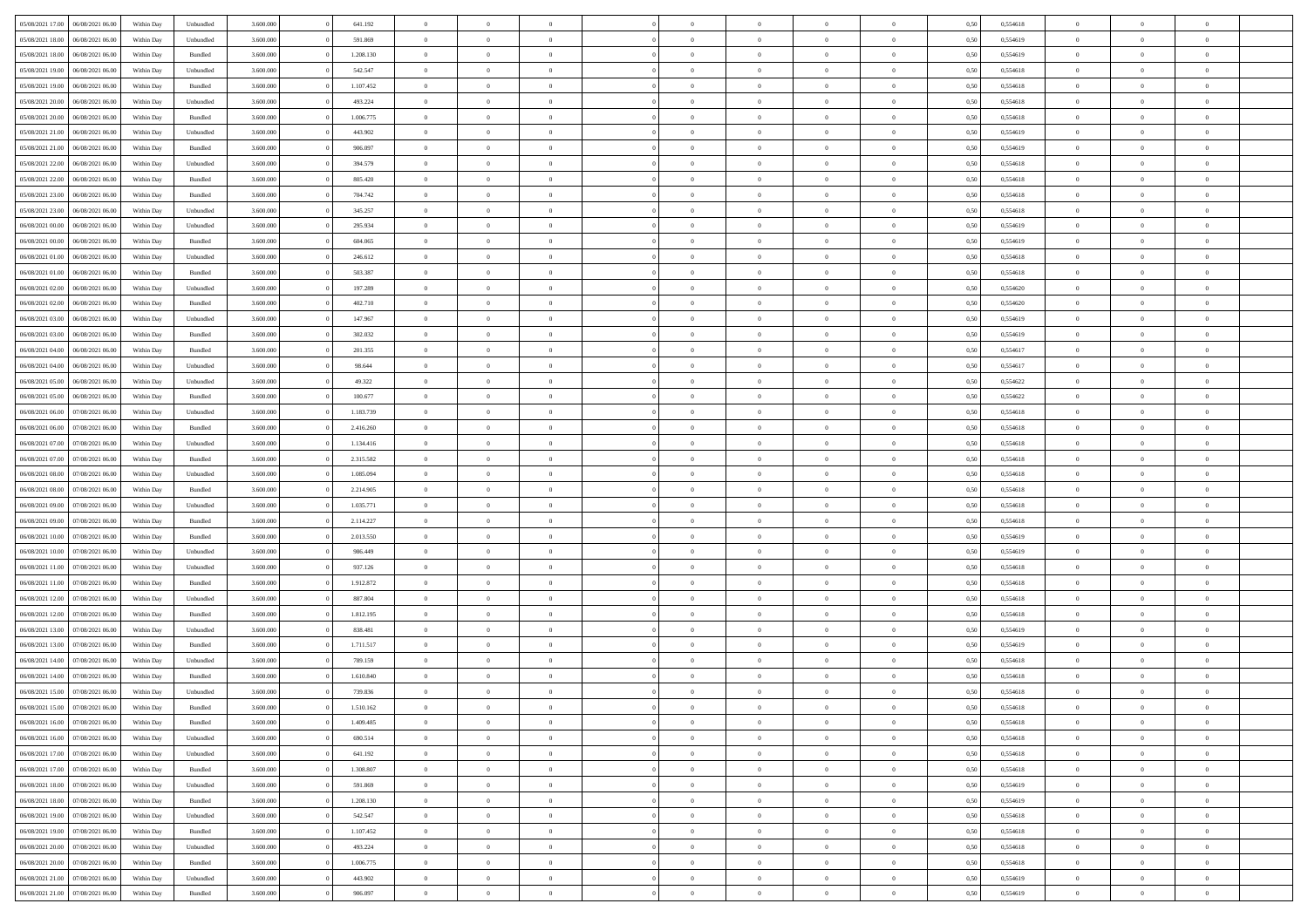| 05/08/2021 17:00                  | 06/08/2021 06:00 | Within Day | Unbundled          | 3.600.000 | 641.192   | $\overline{0}$ | $\Omega$       |                | $\Omega$       | $\Omega$       | $\Omega$       | $\theta$       | 0,50 | 0,554618 | $\theta$       | $\theta$       | $\theta$       |  |
|-----------------------------------|------------------|------------|--------------------|-----------|-----------|----------------|----------------|----------------|----------------|----------------|----------------|----------------|------|----------|----------------|----------------|----------------|--|
|                                   |                  |            |                    |           |           |                |                |                |                |                |                |                |      |          |                |                |                |  |
| 05/08/2021 18:00                  | 06/08/2021 06:00 | Within Day | Unbundled          | 3.600.000 | 591.869   | $\overline{0}$ | $\theta$       | $\overline{0}$ | $\overline{0}$ | $\bf{0}$       | $\overline{0}$ | $\bf{0}$       | 0,50 | 0,554619 | $\theta$       | $\theta$       | $\overline{0}$ |  |
| 05/08/2021 18:00                  | 06/08/2021 06:00 | Within Day | Bundled            | 3.600.000 | 1.208.130 | $\overline{0}$ | $\overline{0}$ | $\overline{0}$ | $\overline{0}$ | $\bf{0}$       | $\overline{0}$ | $\bf{0}$       | 0,50 | 0,554619 | $\bf{0}$       | $\overline{0}$ | $\overline{0}$ |  |
| 05/08/2021 19:00                  | 06/08/2021 06:00 | Within Dav | Unbundled          | 3.600.000 | 542.547   | $\overline{0}$ | $\overline{0}$ | $\overline{0}$ | $\overline{0}$ | $\bf{0}$       | $\overline{0}$ | $\overline{0}$ | 0.50 | 0.554618 | $\theta$       | $\theta$       | $\overline{0}$ |  |
|                                   |                  |            |                    |           |           | $\overline{0}$ | $\theta$       | $\overline{0}$ |                | $\bf{0}$       | $\overline{0}$ |                |      |          | $\theta$       | $\theta$       | $\overline{0}$ |  |
| 05/08/2021 19:00                  | 06/08/2021 06:00 | Within Day | Bundled            | 3.600.000 | 1.107.452 |                |                |                | $\overline{0}$ |                |                | $\bf{0}$       | 0,50 | 0,554618 |                |                |                |  |
| 05/08/2021 20:00                  | 06/08/2021 06:00 | Within Day | Unbundled          | 3.600.000 | 493.224   | $\overline{0}$ | $\bf{0}$       | $\overline{0}$ | $\overline{0}$ | $\overline{0}$ | $\overline{0}$ | $\mathbf{0}$   | 0,50 | 0,554618 | $\overline{0}$ | $\overline{0}$ | $\bf{0}$       |  |
| 05/08/2021 20:00                  | 06/08/2021 06:00 | Within Dav | Bundled            | 3.600.000 | 1.006.775 | $\overline{0}$ | $\overline{0}$ | $\overline{0}$ | $\overline{0}$ | $\overline{0}$ | $\overline{0}$ | $\overline{0}$ | 0.50 | 0,554618 | $\theta$       | $\theta$       | $\overline{0}$ |  |
| 05/08/2021 21:00                  | 06/08/2021 06:00 | Within Day | Unbundled          | 3.600.000 | 443.902   | $\overline{0}$ | $\theta$       | $\overline{0}$ | $\overline{0}$ | $\bf{0}$       | $\overline{0}$ | $\bf{0}$       | 0,50 | 0,554619 | $\theta$       | $\theta$       | $\overline{0}$ |  |
| 05/08/2021 21:00                  | 06/08/2021 06:00 | Within Day | Bundled            | 3.600.000 | 906.097   | $\overline{0}$ | $\overline{0}$ | $\overline{0}$ | $\bf{0}$       | $\bf{0}$       | $\bf{0}$       | $\bf{0}$       | 0,50 | 0,554619 | $\,0\,$        | $\overline{0}$ | $\overline{0}$ |  |
|                                   |                  |            |                    |           |           |                | $\overline{0}$ |                |                | $\overline{0}$ |                |                |      |          | $\theta$       | $\overline{0}$ | $\overline{0}$ |  |
| 05/08/2021 22:00                  | 06/08/2021 06:00 | Within Dav | Unbundled          | 3.600.000 | 394.579   | $\overline{0}$ |                | $\overline{0}$ | $\overline{0}$ |                | $\overline{0}$ | $\overline{0}$ | 0.50 | 0.554618 |                |                |                |  |
| 05/08/2021 22:00                  | 06/08/2021 06:00 | Within Day | Bundled            | 3.600.000 | 805.420   | $\overline{0}$ | $\theta$       | $\overline{0}$ | $\overline{0}$ | $\bf{0}$       | $\overline{0}$ | $\bf{0}$       | 0,50 | 0,554618 | $\,$ 0 $\,$    | $\theta$       | $\overline{0}$ |  |
| 05/08/2021 23:00                  | 06/08/2021 06:00 | Within Day | Bundled            | 3.600.000 | 704.742   | $\overline{0}$ | $\overline{0}$ | $\overline{0}$ | $\bf{0}$       | $\bf{0}$       | $\bf{0}$       | $\bf{0}$       | 0,50 | 0,554618 | $\overline{0}$ | $\overline{0}$ | $\overline{0}$ |  |
| 05/08/2021 23:00                  | 06/08/2021 06:00 | Within Day | Unbundled          | 3.600.000 | 345.257   | $\overline{0}$ | $\overline{0}$ | $\overline{0}$ | $\overline{0}$ | $\bf{0}$       | $\overline{0}$ | $\overline{0}$ | 0.50 | 0.554618 | $\theta$       | $\theta$       | $\overline{0}$ |  |
| 06/08/2021 00:00                  | 06/08/2021 06:00 | Within Day | Unbundled          | 3.600.000 | 295.934   | $\overline{0}$ | $\theta$       | $\overline{0}$ | $\overline{0}$ | $\bf{0}$       | $\overline{0}$ | $\bf{0}$       | 0,50 | 0,554619 | $\theta$       | $\overline{0}$ | $\overline{0}$ |  |
|                                   |                  |            |                    |           |           |                |                |                |                |                |                |                |      |          |                |                |                |  |
| 06/08/2021 00:00                  | 06/08/2021 06:00 | Within Day | Bundled            | 3.600.000 | 604.065   | $\overline{0}$ | $\overline{0}$ | $\overline{0}$ | $\bf{0}$       | $\overline{0}$ | $\overline{0}$ | $\mathbf{0}$   | 0,50 | 0,554619 | $\overline{0}$ | $\overline{0}$ | $\bf{0}$       |  |
| 06/08/2021 01:00                  | 06/08/2021 06:00 | Within Dav | Unbundled          | 3.600.000 | 246.612   | $\overline{0}$ | $\overline{0}$ | $\overline{0}$ | $\overline{0}$ | $\overline{0}$ | $\overline{0}$ | $\overline{0}$ | 0.50 | 0.554618 | $\theta$       | $\overline{0}$ | $\overline{0}$ |  |
| 06/08/2021 01:00                  | 06/08/2021 06:00 | Within Day | Bundled            | 3.600.000 | 503.387   | $\overline{0}$ | $\theta$       | $\overline{0}$ | $\overline{0}$ | $\bf{0}$       | $\overline{0}$ | $\bf{0}$       | 0,50 | 0,554618 | $\theta$       | $\theta$       | $\overline{0}$ |  |
| 06/08/2021 02:00                  | 06/08/2021 06:00 | Within Day | Unbundled          | 3.600.000 | 197.289   | $\overline{0}$ | $\overline{0}$ | $\overline{0}$ | $\overline{0}$ | $\bf{0}$       | $\overline{0}$ | $\bf{0}$       | 0,50 | 0,554620 | $\,0\,$        | $\overline{0}$ | $\overline{0}$ |  |
| 06/08/2021 02:00                  | 06/08/2021 06:00 | Within Day | Bundled            | 3.600.000 | 402.710   | $\overline{0}$ | $\overline{0}$ | $\overline{0}$ | $\overline{0}$ | $\overline{0}$ | $\overline{0}$ | $\overline{0}$ | 0.50 | 0,554620 | $\theta$       | $\overline{0}$ | $\overline{0}$ |  |
| 06/08/2021 03:00                  | 06/08/2021 06:00 | Within Day | Unbundled          | 3.600.000 | 147.967   | $\overline{0}$ | $\theta$       | $\overline{0}$ | $\overline{0}$ | $\bf{0}$       | $\overline{0}$ | $\bf{0}$       | 0,50 | 0,554619 | $\,$ 0 $\,$    | $\theta$       | $\overline{0}$ |  |
|                                   |                  |            |                    |           |           |                |                |                |                |                |                |                |      |          |                |                |                |  |
| 06/08/2021 03:00                  | 06/08/2021 06:00 | Within Day | Bundled            | 3.600.000 | 302.032   | $\overline{0}$ | $\overline{0}$ | $\overline{0}$ | $\overline{0}$ | $\bf{0}$       | $\overline{0}$ | $\bf{0}$       | 0,50 | 0,554619 | $\bf{0}$       | $\overline{0}$ | $\overline{0}$ |  |
| 06/08/2021 04:00                  | 06/08/2021 06:00 | Within Day | Bundled            | 3.600,000 | 201.355   | $\overline{0}$ | $\overline{0}$ | $\overline{0}$ | $\overline{0}$ | $\bf{0}$       | $\overline{0}$ | $\overline{0}$ | 0.50 | 0.554617 | $\theta$       | $\overline{0}$ | $\overline{0}$ |  |
| 06/08/2021 04:00                  | 06/08/2021 06:00 | Within Day | Unbundled          | 3.600.000 | 98.644    | $\overline{0}$ | $\theta$       | $\overline{0}$ | $\overline{0}$ | $\bf{0}$       | $\overline{0}$ | $\bf{0}$       | 0,50 | 0,554617 | $\,$ 0 $\,$    | $\overline{0}$ | $\overline{0}$ |  |
| 06/08/2021 05:00                  | 06/08/2021 06:00 | Within Day | Unbundled          | 3.600.000 | 49.322    | $\overline{0}$ | $\bf{0}$       | $\overline{0}$ | $\overline{0}$ | $\overline{0}$ | $\overline{0}$ | $\mathbf{0}$   | 0,50 | 0,554622 | $\bf{0}$       | $\overline{0}$ | $\bf{0}$       |  |
| 06/08/2021 05:00                  | 06/08/2021 06:00 | Within Dav | Bundled            | 3.600.000 | 100.677   | $\overline{0}$ | $\overline{0}$ | $\overline{0}$ | $\overline{0}$ | $\overline{0}$ | $\overline{0}$ | $\overline{0}$ | 0.50 | 0,554622 | $\theta$       | $\theta$       | $\overline{0}$ |  |
| 06/08/2021 06:00                  | 07/08/2021 06:00 | Within Day | Unbundled          | 3.600.000 | 1.183.739 | $\overline{0}$ | $\theta$       | $\overline{0}$ | $\overline{0}$ | $\bf{0}$       | $\overline{0}$ | $\bf{0}$       | 0,50 | 0,554618 | $\theta$       | $\theta$       | $\overline{0}$ |  |
| 06/08/2021 06:00                  | 07/08/2021 06:00 | Within Day | Bundled            | 3.600.000 | 2.416.260 | $\overline{0}$ | $\overline{0}$ | $\overline{0}$ | $\bf{0}$       | $\bf{0}$       | $\bf{0}$       | $\bf{0}$       | 0,50 | 0,554618 | $\,0\,$        | $\overline{0}$ | $\overline{0}$ |  |
|                                   |                  |            |                    |           |           |                |                |                |                |                |                |                |      |          |                |                |                |  |
| 06/08/2021 07:00                  | 07/08/2021 06:00 | Within Day | Unbundled          | 3.600.000 | 1.134.416 | $\overline{0}$ | $\overline{0}$ | $\overline{0}$ | $\overline{0}$ | $\overline{0}$ | $\overline{0}$ | $\overline{0}$ | 0.50 | 0.554618 | $\theta$       | $\overline{0}$ | $\overline{0}$ |  |
| 06/08/2021 07:00                  | 07/08/2021 06:00 | Within Day | Bundled            | 3.600.000 | 2.315.582 | $\overline{0}$ | $\theta$       | $\overline{0}$ | $\overline{0}$ | $\bf{0}$       | $\overline{0}$ | $\bf{0}$       | 0,50 | 0,554618 | $\,$ 0 $\,$    | $\overline{0}$ | $\overline{0}$ |  |
| 06/08/2021 08:00                  | 07/08/2021 06:00 | Within Day | Unbundled          | 3.600.000 | 1.085.094 | $\overline{0}$ | $\overline{0}$ | $\overline{0}$ | $\bf{0}$       | $\bf{0}$       | $\bf{0}$       | $\bf{0}$       | 0,50 | 0,554618 | $\bf{0}$       | $\overline{0}$ | $\overline{0}$ |  |
| 06/08/2021 08:00                  | 07/08/2021 06:00 | Within Day | Bundled            | 3.600.000 | 2.214.905 | $\overline{0}$ | $\Omega$       | $\Omega$       | $\Omega$       | $\Omega$       | $\Omega$       | $\overline{0}$ | 0,50 | 0,554618 | $\,0\,$        | $\theta$       | $\theta$       |  |
| 06/08/2021 09:00                  | 07/08/2021 06:00 | Within Day | Unbundled          | 3.600.000 | 1.035.771 | $\overline{0}$ | $\theta$       | $\overline{0}$ | $\overline{0}$ | $\bf{0}$       | $\overline{0}$ | $\bf{0}$       | 0,50 | 0,554618 | $\,$ 0 $\,$    | $\theta$       | $\overline{0}$ |  |
| 06/08/2021 09:00                  | 07/08/2021 06:00 | Within Day | Bundled            | 3.600.000 | 2.114.227 | $\overline{0}$ | $\overline{0}$ | $\overline{0}$ | $\bf{0}$       | $\bf{0}$       | $\overline{0}$ | $\mathbf{0}$   | 0,50 | 0,554618 | $\bf{0}$       | $\overline{0}$ | $\bf{0}$       |  |
|                                   |                  |            |                    |           |           |                |                |                |                |                |                |                |      |          |                |                |                |  |
| 06/08/2021 10:00                  | 07/08/2021 06:00 | Within Day | Bundled            | 3.600,000 | 2.013.550 | $\overline{0}$ | $\Omega$       | $\Omega$       | $\Omega$       | $\bf{0}$       | $\overline{0}$ | $\overline{0}$ | 0.50 | 0.554619 | $\theta$       | $\theta$       | $\theta$       |  |
| 06/08/2021 10:00                  | 07/08/2021 06:00 | Within Day | Unbundled          | 3.600.000 | 986.449   | $\overline{0}$ | $\theta$       | $\overline{0}$ | $\overline{0}$ | $\bf{0}$       | $\overline{0}$ | $\bf{0}$       | 0,50 | 0,554619 | $\,$ 0 $\,$    | $\theta$       | $\overline{0}$ |  |
| 06/08/2021 11:00                  | 07/08/2021 06:00 | Within Day | Unbundled          | 3.600.000 | 937.126   | $\overline{0}$ | $\overline{0}$ | $\overline{0}$ | $\bf{0}$       | $\bf{0}$       | $\bf{0}$       | $\bf{0}$       | 0,50 | 0,554618 | $\bf{0}$       | $\overline{0}$ | $\overline{0}$ |  |
| 06/08/2021 11:00                  | 07/08/2021 06:00 | Within Day | Bundled            | 3.600,000 | 1.912.872 | $\overline{0}$ | $\Omega$       | $\Omega$       | $\Omega$       | $\theta$       | $\theta$       | $\overline{0}$ | 0.50 | 0.554618 | $\theta$       | $\theta$       | $\theta$       |  |
| 06/08/2021 12:00                  | 07/08/2021 06:00 | Within Day | Unbundled          | 3.600.000 | 887.804   | $\overline{0}$ | $\theta$       | $\overline{0}$ | $\overline{0}$ | $\bf{0}$       | $\overline{0}$ | $\bf{0}$       | 0,50 | 0,554618 | $\,$ 0 $\,$    | $\overline{0}$ | $\overline{0}$ |  |
|                                   |                  |            |                    |           |           |                | $\overline{0}$ |                |                | $\bf{0}$       |                |                |      |          |                | $\overline{0}$ | $\overline{0}$ |  |
| 06/08/2021 12:00                  | 07/08/2021 06:00 | Within Day | Bundled            | 3.600.000 | 1.812.195 | $\overline{0}$ |                | $\overline{0}$ | $\overline{0}$ |                | $\overline{0}$ | $\bf{0}$       | 0,50 | 0,554618 | $\bf{0}$       |                |                |  |
| 06/08/2021 13:00                  | 07/08/2021 06:00 | Within Day | Unbundled          | 3.600.000 | 838.481   | $\overline{0}$ | $\Omega$       | $\overline{0}$ | $\Omega$       | $\Omega$       | $\overline{0}$ | $\overline{0}$ | 0,50 | 0,554619 | $\,0\,$        | $\theta$       | $\theta$       |  |
| 06/08/2021 13:00                  | 07/08/2021 06:00 | Within Day | Bundled            | 3.600.000 | 1.711.517 | $\overline{0}$ | $\theta$       | $\overline{0}$ | $\overline{0}$ | $\bf{0}$       | $\overline{0}$ | $\bf{0}$       | 0,50 | 0,554619 | $\,$ 0 $\,$    | $\overline{0}$ | $\overline{0}$ |  |
| 06/08/2021 14:00                  | 07/08/2021 06:00 | Within Day | Unbundled          | 3.600.000 | 789.159   | $\overline{0}$ | $\overline{0}$ | $\overline{0}$ | $\overline{0}$ | $\bf{0}$       | $\overline{0}$ | $\mathbf{0}$   | 0,50 | 0,554618 | $\bf{0}$       | $\overline{0}$ | $\bf{0}$       |  |
| 06/08/2021 14:00                  | 07/08/2021 06:00 | Within Day | Bundled            | 3.600,000 | 1.610.840 | $\overline{0}$ | $\Omega$       | $\Omega$       | $\Omega$       | $\Omega$       | $\Omega$       | $\overline{0}$ | 0.50 | 0.554618 | $\theta$       | $\Omega$       | $\theta$       |  |
| 06/08/2021 15:00                  | 07/08/2021 06:00 | Within Day | Unbundled          | 3.600.000 | 739.836   | $\overline{0}$ | $\overline{0}$ | $\overline{0}$ | $\bf{0}$       | $\,$ 0         | $\overline{0}$ | $\bf{0}$       | 0,50 | 0,554618 | $\,0\,$        | $\overline{0}$ | $\overline{0}$ |  |
| 06/08/2021 15:00 07/08/2021 06:00 |                  | Within Day | $\mathbf B$ undled | 3.600.000 | 1.510.162 | $\bf{0}$       | $\bf{0}$       |                |                |                |                |                | 0,50 | 0,554618 | $\bf{0}$       | $\overline{0}$ |                |  |
|                                   |                  |            |                    |           |           |                |                |                |                |                |                |                |      |          |                |                |                |  |
| 06/08/2021 16:00                  | 07/08/2021 06:00 | Within Day | Bundled            | 3.600.000 | 1.409.485 | $\overline{0}$ | $\overline{0}$ | $\overline{0}$ | $\Omega$       | $\overline{0}$ | $\overline{0}$ | $\overline{0}$ | 0,50 | 0.554618 | $\theta$       | $\theta$       | $\theta$       |  |
| 06/08/2021 16:00                  | 07/08/2021 06:00 | Within Day | Unbundled          | 3.600.000 | 690.514   | $\overline{0}$ | $\bf{0}$       | $\overline{0}$ | $\bf{0}$       | $\,$ 0 $\,$    | $\overline{0}$ | $\,$ 0 $\,$    | 0,50 | 0,554618 | $\,$ 0 $\,$    | $\,$ 0 $\,$    | $\,$ 0         |  |
| 06/08/2021 17:00                  | 07/08/2021 06:00 | Within Day | Unbundled          | 3.600.000 | 641.192   | $\overline{0}$ | $\overline{0}$ | $\overline{0}$ | $\overline{0}$ | $\overline{0}$ | $\overline{0}$ | $\mathbf{0}$   | 0,50 | 0,554618 | $\overline{0}$ | $\overline{0}$ | $\overline{0}$ |  |
| 06/08/2021 17:00                  | 07/08/2021 06:00 | Within Day | $\mathbf B$ undled | 3.600.000 | 1.308.807 | $\overline{0}$ | $\overline{0}$ | $\overline{0}$ | $\Omega$       | $\overline{0}$ | $\overline{0}$ | $\overline{0}$ | 0,50 | 0,554618 | $\overline{0}$ | $\theta$       | $\overline{0}$ |  |
| 06/08/2021 18:00                  | 07/08/2021 06:00 | Within Day | Unbundled          | 3.600.000 | 591.869   | $\overline{0}$ | $\,$ 0         | $\overline{0}$ | $\bf{0}$       | $\,$ 0 $\,$    | $\overline{0}$ | $\,$ 0 $\,$    | 0,50 | 0,554619 | $\,$ 0 $\,$    | $\overline{0}$ | $\,$ 0         |  |
| 06/08/2021 18:00                  | 07/08/2021 06:00 | Within Day | Bundled            | 3.600.000 | 1.208.130 | $\overline{0}$ | $\overline{0}$ | $\overline{0}$ | $\overline{0}$ | $\overline{0}$ | $\overline{0}$ | $\mathbf{0}$   | 0,50 | 0,554619 | $\overline{0}$ | $\overline{0}$ | $\overline{0}$ |  |
|                                   | 07/08/2021 06:00 |            |                    | 3.600,000 |           |                | $\overline{0}$ | $\overline{0}$ |                | $\overline{0}$ | $\overline{0}$ |                | 0.50 |          |                | $\theta$       | $\overline{0}$ |  |
| 06/08/2021 19:00                  |                  | Within Day | Unbundled          |           | 542.547   | $\overline{0}$ |                |                | $\overline{0}$ |                |                | $\overline{0}$ |      | 0,554618 | $\overline{0}$ |                |                |  |
| 06/08/2021 19:00                  | 07/08/2021 06:00 | Within Day | Bundled            | 3.600.000 | 1.107.452 | $\overline{0}$ | $\,$ 0         | $\overline{0}$ | $\bf{0}$       | $\bf{0}$       | $\bf{0}$       | $\bf{0}$       | 0,50 | 0,554618 | $\,$ 0 $\,$    | $\overline{0}$ | $\overline{0}$ |  |
| 06/08/2021 20:00                  | 07/08/2021 06:00 | Within Day | Unbundled          | 3.600.000 | 493.224   | $\overline{0}$ | $\overline{0}$ | $\overline{0}$ | $\overline{0}$ | $\overline{0}$ | $\overline{0}$ | $\mathbf{0}$   | 0,50 | 0,554618 | $\overline{0}$ | $\overline{0}$ | $\bf{0}$       |  |
| 06/08/2021 20:00                  | 07/08/2021 06:00 | Within Day | Bundled            | 3.600,000 | 1.006.775 | $\overline{0}$ | $\overline{0}$ | $\overline{0}$ | $\Omega$       | $\overline{0}$ | $\overline{0}$ | $\overline{0}$ | 0.50 | 0,554618 | $\overline{0}$ | $\overline{0}$ | $\overline{0}$ |  |
| 06/08/2021 21:00                  | 07/08/2021 06:00 | Within Day | Unbundled          | 3.600.000 | 443.902   | $\overline{0}$ | $\bf{0}$       | $\overline{0}$ | $\bf{0}$       | $\bf{0}$       | $\overline{0}$ | $\mathbf{0}$   | 0,50 | 0,554619 | $\,$ 0 $\,$    | $\,$ 0 $\,$    | $\bf{0}$       |  |
| 06/08/2021 21:00                  | 07/08/2021 06:00 | Within Day | Bundled            | 3.600.000 | 906.097   | $\overline{0}$ | $\overline{0}$ | $\overline{0}$ | $\overline{0}$ | $\overline{0}$ | $\overline{0}$ | $\mathbf{0}$   | 0,50 | 0,554619 | $\overline{0}$ | $\bf{0}$       | $\overline{0}$ |  |
|                                   |                  |            |                    |           |           |                |                |                |                |                |                |                |      |          |                |                |                |  |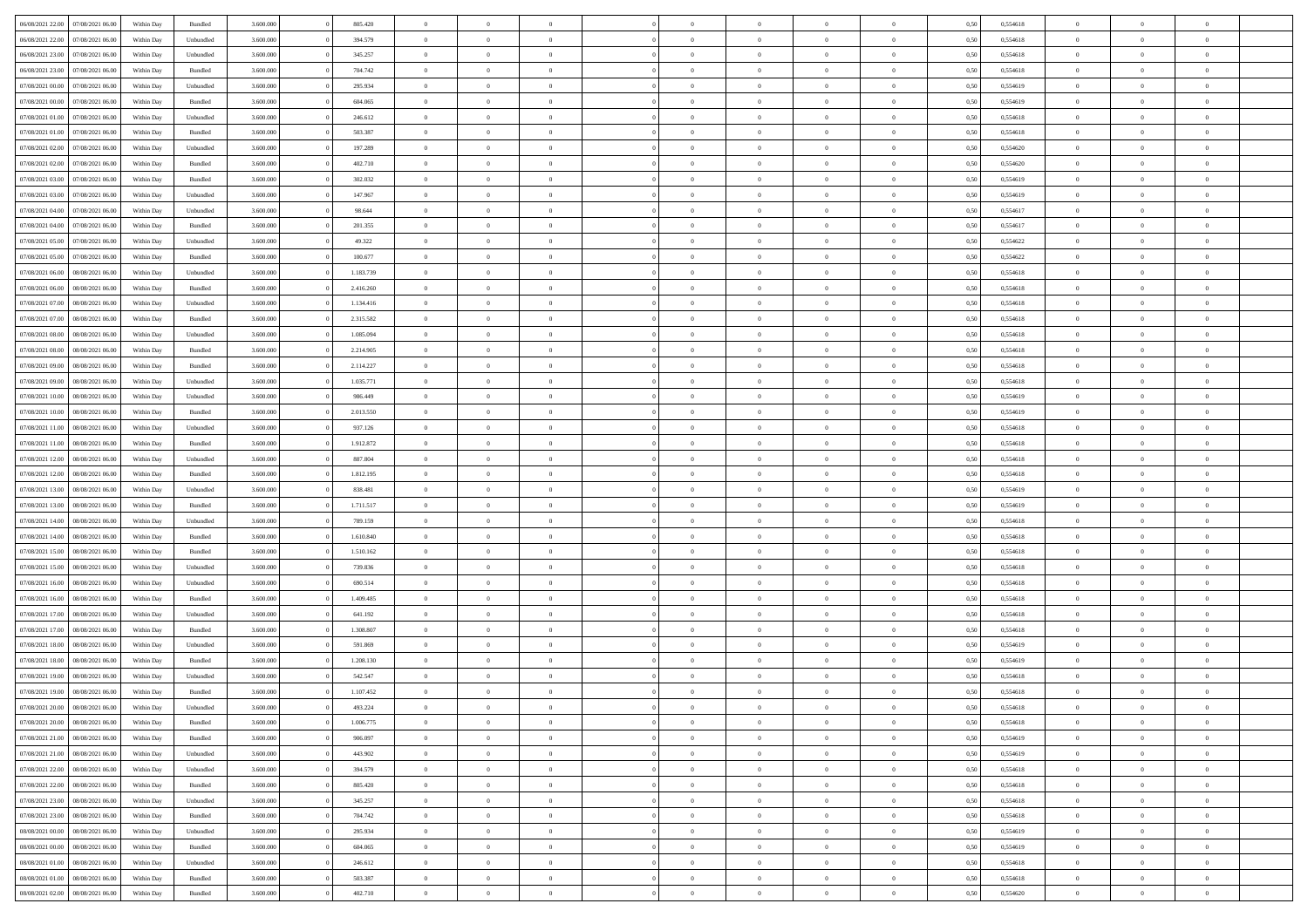| 06/08/2021 22:00 | 07/08/2021 06:00 | Within Day | Bundled   | 3.600.000 | 805.420   | $\overline{0}$ | $\Omega$       |                | $\Omega$       | $\Omega$       | $\Omega$       | $\theta$       | 0,50 | 0,554618 | $\theta$       | $\theta$       | $\theta$       |  |
|------------------|------------------|------------|-----------|-----------|-----------|----------------|----------------|----------------|----------------|----------------|----------------|----------------|------|----------|----------------|----------------|----------------|--|
| 06/08/2021 22:00 | 07/08/2021 06:00 | Within Day | Unbundled | 3.600.000 | 394.579   | $\overline{0}$ | $\theta$       | $\overline{0}$ | $\overline{0}$ | $\bf{0}$       | $\overline{0}$ | $\bf{0}$       | 0,50 | 0,554618 | $\theta$       | $\theta$       | $\overline{0}$ |  |
| 06/08/2021 23:00 | 07/08/2021 06:00 | Within Day | Unbundled | 3.600.000 | 345.257   | $\overline{0}$ | $\bf{0}$       | $\overline{0}$ | $\overline{0}$ | $\bf{0}$       | $\overline{0}$ | $\bf{0}$       | 0,50 | 0,554618 | $\overline{0}$ | $\overline{0}$ | $\overline{0}$ |  |
| 06/08/2021 23:00 | 07/08/2021 06:00 | Within Dav | Bundled   | 3.600,000 | 704.742   | $\overline{0}$ | $\overline{0}$ | $\overline{0}$ | $\overline{0}$ | $\bf{0}$       | $\overline{0}$ | $\overline{0}$ | 0.50 | 0.554618 | $\theta$       | $\theta$       | $\overline{0}$ |  |
| 07/08/2021 00:00 | 07/08/2021 06:00 | Within Day | Unbundled | 3.600.000 | 295.934   | $\overline{0}$ | $\theta$       | $\overline{0}$ | $\overline{0}$ | $\bf{0}$       | $\overline{0}$ | $\bf{0}$       | 0,50 | 0,554619 | $\theta$       | $\theta$       | $\overline{0}$ |  |
|                  |                  |            |           |           |           |                |                |                |                |                |                |                |      |          |                |                |                |  |
| 07/08/2021 00:00 | 07/08/2021 06:00 | Within Day | Bundled   | 3.600.000 | 604.065   | $\overline{0}$ | $\bf{0}$       | $\overline{0}$ | $\overline{0}$ | $\overline{0}$ | $\overline{0}$ | $\mathbf{0}$   | 0,50 | 0,554619 | $\overline{0}$ | $\overline{0}$ | $\bf{0}$       |  |
| 07/08/2021 01:00 | 07/08/2021 06:00 | Within Dav | Unbundled | 3.600.000 | 246.612   | $\overline{0}$ | $\overline{0}$ | $\overline{0}$ | $\overline{0}$ | $\overline{0}$ | $\overline{0}$ | $\overline{0}$ | 0.50 | 0,554618 | $\theta$       | $\overline{0}$ | $\overline{0}$ |  |
| 07/08/2021 01:00 | 07/08/2021 06:00 | Within Day | Bundled   | 3.600.000 | 503.387   | $\overline{0}$ | $\theta$       | $\overline{0}$ | $\overline{0}$ | $\bf{0}$       | $\overline{0}$ | $\bf{0}$       | 0,50 | 0,554618 | $\theta$       | $\theta$       | $\overline{0}$ |  |
| 07/08/2021 02:00 | 07/08/2021 06:00 | Within Day | Unbundled | 3.600.000 | 197.289   | $\overline{0}$ | $\overline{0}$ | $\overline{0}$ | $\overline{0}$ | $\bf{0}$       | $\overline{0}$ | $\bf{0}$       | 0,50 | 0,554620 | $\,0\,$        | $\overline{0}$ | $\overline{0}$ |  |
| 07/08/2021 02:00 | 07/08/2021 06:00 | Within Dav | Bundled   | 3.600.000 | 402.710   | $\overline{0}$ | $\overline{0}$ | $\overline{0}$ | $\overline{0}$ | $\overline{0}$ | $\overline{0}$ | $\overline{0}$ | 0.50 | 0,554620 | $\theta$       | $\overline{0}$ | $\overline{0}$ |  |
| 07/08/2021 03:00 | 07/08/2021 06:00 | Within Day | Bundled   | 3.600.000 | 302.032   | $\overline{0}$ | $\theta$       | $\overline{0}$ | $\overline{0}$ | $\bf{0}$       | $\overline{0}$ | $\bf{0}$       | 0,50 | 0,554619 | $\,$ 0 $\,$    | $\theta$       | $\overline{0}$ |  |
|                  |                  |            |           |           |           |                | $\overline{0}$ |                |                | $\bf{0}$       |                |                |      |          |                | $\overline{0}$ | $\overline{0}$ |  |
| 07/08/2021 03:00 | 07/08/2021 06:00 | Within Day | Unbundled | 3.600.000 | 147.967   | $\overline{0}$ |                | $\overline{0}$ | $\overline{0}$ |                | $\overline{0}$ | $\bf{0}$       | 0,50 | 0,554619 | $\overline{0}$ |                |                |  |
| 07/08/2021 04:00 | 07/08/2021 06:00 | Within Day | Unbundled | 3.600.000 | 98.644    | $\overline{0}$ | $\overline{0}$ | $\overline{0}$ | $\overline{0}$ | $\bf{0}$       | $\overline{0}$ | $\overline{0}$ | 0.50 | 0.554617 | $\theta$       | $\theta$       | $\overline{0}$ |  |
| 07/08/2021 04:00 | 07/08/2021 06.00 | Within Day | Bundled   | 3.600.000 | 201.355   | $\overline{0}$ | $\theta$       | $\overline{0}$ | $\overline{0}$ | $\bf{0}$       | $\overline{0}$ | $\bf{0}$       | 0,50 | 0,554617 | $\theta$       | $\theta$       | $\overline{0}$ |  |
| 07/08/2021 05:00 | 07/08/2021 06:00 | Within Day | Unbundled | 3.600.000 | 49.322    | $\overline{0}$ | $\overline{0}$ | $\overline{0}$ | $\overline{0}$ | $\overline{0}$ | $\overline{0}$ | $\mathbf{0}$   | 0,50 | 0,554622 | $\overline{0}$ | $\overline{0}$ | $\bf{0}$       |  |
| 07/08/2021 05:00 | 07/08/2021 06:00 | Within Dav | Bundled   | 3.600.000 | 100.677   | $\overline{0}$ | $\overline{0}$ | $\overline{0}$ | $\overline{0}$ | $\overline{0}$ | $\overline{0}$ | $\overline{0}$ | 0.50 | 0,554622 | $\theta$       | $\overline{0}$ | $\overline{0}$ |  |
| 07/08/2021 06:00 | 08/08/2021 06:00 | Within Day | Unbundled | 3.600.000 | 1.183.739 | $\overline{0}$ | $\theta$       | $\overline{0}$ | $\overline{0}$ | $\bf{0}$       | $\overline{0}$ | $\bf{0}$       | 0,50 | 0,554618 | $\theta$       | $\theta$       | $\overline{0}$ |  |
| 07/08/2021 06:00 | 08/08/2021 06:00 | Within Day | Bundled   | 3.600.000 | 2.416.260 | $\overline{0}$ | $\overline{0}$ | $\overline{0}$ | $\bf{0}$       | $\bf{0}$       | $\bf{0}$       | $\bf{0}$       | 0,50 | 0,554618 | $\,0\,$        | $\overline{0}$ | $\overline{0}$ |  |
| 07/08/2021 07:00 | 08/08/2021 06:00 |            | Unbundled | 3.600.000 | 1.134.416 | $\overline{0}$ | $\overline{0}$ | $\overline{0}$ | $\overline{0}$ | $\overline{0}$ | $\overline{0}$ | $\overline{0}$ | 0.50 | 0,554618 | $\theta$       | $\overline{0}$ | $\overline{0}$ |  |
|                  |                  | Within Day |           |           |           |                |                |                |                |                |                |                |      |          |                |                |                |  |
| 07/08/2021 07:00 | 08/08/2021 06:00 | Within Day | Bundled   | 3.600.000 | 2.315.582 | $\overline{0}$ | $\theta$       | $\overline{0}$ | $\overline{0}$ | $\bf{0}$       | $\overline{0}$ | $\bf{0}$       | 0,50 | 0,554618 | $\,$ 0 $\,$    | $\theta$       | $\overline{0}$ |  |
| 07/08/2021 08:00 | 08/08/2021 06:00 | Within Day | Unbundled | 3.600.000 | 1.085.094 | $\overline{0}$ | $\overline{0}$ | $\overline{0}$ | $\bf{0}$       | $\bf{0}$       | $\bf{0}$       | $\bf{0}$       | 0,50 | 0,554618 | $\bf{0}$       | $\overline{0}$ | $\overline{0}$ |  |
| 07/08/2021 08:00 | 08/08/2021 06:00 | Within Day | Bundled   | 3.600,000 | 2.214.905 | $\overline{0}$ | $\overline{0}$ | $\overline{0}$ | $\overline{0}$ | $\bf{0}$       | $\overline{0}$ | $\overline{0}$ | 0.50 | 0.554618 | $\theta$       | $\theta$       | $\overline{0}$ |  |
| 07/08/2021 09:00 | 08/08/2021 06:00 | Within Day | Bundled   | 3.600.000 | 2.114.227 | $\overline{0}$ | $\theta$       | $\overline{0}$ | $\overline{0}$ | $\bf{0}$       | $\overline{0}$ | $\bf{0}$       | 0,50 | 0,554618 | $\theta$       | $\overline{0}$ | $\overline{0}$ |  |
| 07/08/2021 09:00 | 08/08/2021 06:00 | Within Day | Unbundled | 3.600.000 | 1.035.771 | $\overline{0}$ | $\bf{0}$       | $\overline{0}$ | $\bf{0}$       | $\overline{0}$ | $\overline{0}$ | $\mathbf{0}$   | 0,50 | 0,554618 | $\overline{0}$ | $\overline{0}$ | $\bf{0}$       |  |
| 07/08/2021 10:00 | 08/08/2021 06:00 | Within Dav | Unbundled | 3.600.000 | 986,449   | $\overline{0}$ | $\overline{0}$ | $\overline{0}$ | $\overline{0}$ | $\overline{0}$ | $\overline{0}$ | $\overline{0}$ | 0.50 | 0,554619 | $\theta$       | $\overline{0}$ | $\overline{0}$ |  |
| 07/08/2021 10:00 | 08/08/2021 06:00 |            |           | 3.600.000 | 2.013.550 | $\overline{0}$ | $\theta$       | $\overline{0}$ | $\overline{0}$ | $\bf{0}$       | $\overline{0}$ |                |      | 0,554619 | $\theta$       | $\theta$       | $\overline{0}$ |  |
|                  |                  | Within Day | Bundled   |           |           |                |                |                |                |                |                | $\bf{0}$       | 0,50 |          |                |                |                |  |
| 07/08/2021 11:00 | 08/08/2021 06:00 | Within Day | Unbundled | 3.600.000 | 937.126   | $\overline{0}$ | $\overline{0}$ | $\overline{0}$ | $\bf{0}$       | $\bf{0}$       | $\bf{0}$       | $\bf{0}$       | 0,50 | 0,554618 | $\,0\,$        | $\overline{0}$ | $\overline{0}$ |  |
| 07/08/2021 11:00 | 08/08/2021 06:00 | Within Day | Bundled   | 3.600.000 | 1.912.872 | $\overline{0}$ | $\overline{0}$ | $\overline{0}$ | $\overline{0}$ | $\overline{0}$ | $\overline{0}$ | $\overline{0}$ | 0.50 | 0.554618 | $\theta$       | $\overline{0}$ | $\overline{0}$ |  |
| 07/08/2021 12:00 | 08/08/2021 06:00 | Within Day | Unbundled | 3.600.000 | 887.804   | $\overline{0}$ | $\theta$       | $\overline{0}$ | $\overline{0}$ | $\bf{0}$       | $\overline{0}$ | $\bf{0}$       | 0,50 | 0,554618 | $\,$ 0 $\,$    | $\overline{0}$ | $\overline{0}$ |  |
| 07/08/2021 12:00 | 08/08/2021 06:00 | Within Day | Bundled   | 3.600.000 | 1.812.195 | $\overline{0}$ | $\overline{0}$ | $\overline{0}$ | $\bf{0}$       | $\bf{0}$       | $\bf{0}$       | $\bf{0}$       | 0,50 | 0,554618 | $\overline{0}$ | $\overline{0}$ | $\overline{0}$ |  |
| 07/08/2021 13:00 | 08/08/2021 06:00 | Within Day | Unbundled | 3.600.000 | 838.481   | $\overline{0}$ | $\Omega$       | $\Omega$       | $\Omega$       | $\Omega$       | $\Omega$       | $\overline{0}$ | 0,50 | 0,554619 | $\,0\,$        | $\theta$       | $\theta$       |  |
| 07/08/2021 13:00 | 08/08/2021 06:00 | Within Day | Bundled   | 3.600.000 | 1.711.517 | $\overline{0}$ | $\theta$       | $\overline{0}$ | $\overline{0}$ | $\bf{0}$       | $\overline{0}$ | $\bf{0}$       | 0,50 | 0,554619 | $\theta$       | $\theta$       | $\overline{0}$ |  |
| 07/08/2021 14:00 | 08/08/2021 06:00 | Within Day | Unbundled | 3.600.000 | 789.159   | $\overline{0}$ | $\overline{0}$ | $\overline{0}$ | $\bf{0}$       | $\bf{0}$       | $\overline{0}$ | $\mathbf{0}$   | 0,50 | 0,554618 | $\overline{0}$ | $\overline{0}$ | $\bf{0}$       |  |
|                  |                  |            |           |           |           |                |                |                |                |                |                |                |      |          |                |                |                |  |
| 07/08/2021 14:00 | 08/08/2021 06:00 | Within Day | Bundled   | 3.600,000 | 1.610.840 | $\overline{0}$ | $\Omega$       | $\Omega$       | $\Omega$       | $\bf{0}$       | $\overline{0}$ | $\overline{0}$ | 0.50 | 0.554618 | $\theta$       | $\theta$       | $\theta$       |  |
| 07/08/2021 15:00 | 08/08/2021 06:00 | Within Day | Bundled   | 3.600.000 | 1.510.162 | $\overline{0}$ | $\theta$       | $\overline{0}$ | $\overline{0}$ | $\bf{0}$       | $\overline{0}$ | $\bf{0}$       | 0,50 | 0,554618 | $\theta$       | $\theta$       | $\overline{0}$ |  |
| 07/08/2021 15:00 | 08/08/2021 06:00 | Within Day | Unbundled | 3.600.000 | 739.836   | $\overline{0}$ | $\overline{0}$ | $\overline{0}$ | $\bf{0}$       | $\bf{0}$       | $\bf{0}$       | $\bf{0}$       | 0,50 | 0,554618 | $\,0\,$        | $\overline{0}$ | $\overline{0}$ |  |
| 07/08/2021 16:00 | 08/08/2021 06:00 | Within Day | Unbundled | 3.600,000 | 690.514   | $\overline{0}$ | $\Omega$       | $\Omega$       | $\Omega$       | $\theta$       | $\theta$       | $\overline{0}$ | 0.50 | 0.554618 | $\theta$       | $\theta$       | $\theta$       |  |
| 07/08/2021 16:00 | 08/08/2021 06:00 | Within Day | Bundled   | 3.600.000 | 1.409.485 | $\overline{0}$ | $\theta$       | $\overline{0}$ | $\overline{0}$ | $\bf{0}$       | $\overline{0}$ | $\bf{0}$       | 0,50 | 0,554618 | $\,$ 0 $\,$    | $\overline{0}$ | $\overline{0}$ |  |
| 07/08/2021 17:00 | 08/08/2021 06:00 | Within Day | Unbundled | 3.600.000 | 641.192   | $\overline{0}$ | $\overline{0}$ | $\overline{0}$ | $\bf{0}$       | $\bf{0}$       | $\bf{0}$       | $\bf{0}$       | 0,50 | 0,554618 | $\overline{0}$ | $\overline{0}$ | $\overline{0}$ |  |
| 07/08/2021 17:00 | 08/08/2021 06:00 | Within Day | Bundled   | 3.600.000 | 1.308.807 | $\overline{0}$ | $\Omega$       | $\overline{0}$ | $\Omega$       | $\Omega$       | $\overline{0}$ | $\overline{0}$ | 0,50 | 0,554618 | $\,0\,$        | $\theta$       | $\theta$       |  |
|                  |                  |            |           |           |           |                | $\theta$       |                |                |                |                |                |      |          |                |                |                |  |
| 07/08/2021 18:00 | 08/08/2021 06:00 | Within Day | Unbundled | 3.600.000 | 591.869   | $\overline{0}$ |                | $\overline{0}$ | $\overline{0}$ | $\bf{0}$       | $\overline{0}$ | $\bf{0}$       | 0,50 | 0,554619 | $\,$ 0 $\,$    | $\overline{0}$ | $\overline{0}$ |  |
| 07/08/2021 18:00 | 08/08/2021 06:00 | Within Day | Bundled   | 3.600.000 | 1.208.130 | $\overline{0}$ | $\overline{0}$ | $\overline{0}$ | $\overline{0}$ | $\bf{0}$       | $\overline{0}$ | $\mathbf{0}$   | 0,50 | 0,554619 | $\overline{0}$ | $\overline{0}$ | $\bf{0}$       |  |
| 07/08/2021 19:00 | 08/08/2021 06:00 | Within Day | Unbundled | 3.600,000 | 542.547   | $\overline{0}$ | $\Omega$       | $\Omega$       | $\Omega$       | $\Omega$       | $\Omega$       | $\overline{0}$ | 0.50 | 0.554618 | $\theta$       | $\theta$       | $\theta$       |  |
| 07/08/2021 19:00 | 08/08/2021 06:00 | Within Day | Bundled   | 3.600.000 | 1.107.452 | $\overline{0}$ | $\overline{0}$ | $\overline{0}$ | $\bf{0}$       | $\,$ 0         | $\overline{0}$ | $\bf{0}$       | 0,50 | 0,554618 | $\,0\,$        | $\overline{0}$ | $\overline{0}$ |  |
| 07/08/2021 20:00 | 08/08/2021 06:00 | Within Day | Unbundled | 3.600.000 | 493.224   | $\bf{0}$       | $\bf{0}$       |                |                |                |                |                | 0,50 | 0,554618 | $\bf{0}$       | $\overline{0}$ |                |  |
| 07/08/2021 20:00 | 08/08/2021 06:00 | Within Day | Bundled   | 3.600,000 | 1.006.775 | $\overline{0}$ | $\overline{0}$ | $\overline{0}$ | $\Omega$       | $\overline{0}$ | $\overline{0}$ | $\overline{0}$ | 0,50 | 0.554618 | $\theta$       | $\theta$       | $\theta$       |  |
| 07/08/2021 21:00 | 08/08/2021 06:00 | Within Day | Bundled   | 3.600.000 | 906.097   | $\overline{0}$ | $\bf{0}$       | $\overline{0}$ | $\overline{0}$ | $\,$ 0 $\,$    | $\overline{0}$ | $\,$ 0 $\,$    | 0,50 | 0,554619 | $\,$ 0 $\,$    | $\,$ 0 $\,$    | $\,$ 0         |  |
| 07/08/2021 21:00 | 08/08/2021 06:00 | Within Day | Unbundled | 3.600.000 | 443.902   | $\overline{0}$ | $\overline{0}$ | $\overline{0}$ | $\overline{0}$ | $\overline{0}$ | $\overline{0}$ | $\mathbf{0}$   | 0,50 | 0,554619 | $\overline{0}$ | $\overline{0}$ | $\overline{0}$ |  |
|                  |                  |            |           |           |           | $\overline{0}$ | $\overline{0}$ |                | $\Omega$       | $\overline{0}$ | $\overline{0}$ |                |      |          |                | $\theta$       | $\overline{0}$ |  |
| 07/08/2021 22:00 | 08/08/2021 06:00 | Within Day | Unbundled | 3.600.000 | 394.579   |                |                | $\overline{0}$ |                |                |                | $\overline{0}$ | 0,50 | 0,554618 | $\overline{0}$ |                |                |  |
| 07/08/2021 22.00 | 08/08/2021 06:00 | Within Day | Bundled   | 3.600.000 | 805.420   | $\overline{0}$ | $\,$ 0         | $\overline{0}$ | $\overline{0}$ | $\,$ 0 $\,$    | $\overline{0}$ | $\,$ 0 $\,$    | 0,50 | 0,554618 | $\,$ 0 $\,$    | $\overline{0}$ | $\,$ 0         |  |
| 07/08/2021 23.00 | 08/08/2021 06:00 | Within Day | Unbundled | 3.600.000 | 345.257   | $\overline{0}$ | $\overline{0}$ | $\overline{0}$ | $\overline{0}$ | $\overline{0}$ | $\overline{0}$ | $\mathbf{0}$   | 0,50 | 0,554618 | $\overline{0}$ | $\overline{0}$ | $\overline{0}$ |  |
| 07/08/2021 23:00 | 08/08/2021 06:00 | Within Day | Bundled   | 3.600.000 | 704.742   | $\overline{0}$ | $\overline{0}$ | $\overline{0}$ | $\overline{0}$ | $\overline{0}$ | $\overline{0}$ | $\overline{0}$ | 0.50 | 0,554618 | $\overline{0}$ | $\theta$       | $\overline{0}$ |  |
| 08/08/2021 00:00 | 08/08/2021 06:00 | Within Day | Unbundled | 3.600.000 | 295.934   | $\overline{0}$ | $\,$ 0         | $\overline{0}$ | $\overline{0}$ | $\bf{0}$       | $\overline{0}$ | $\bf{0}$       | 0,50 | 0,554619 | $\,$ 0 $\,$    | $\overline{0}$ | $\overline{0}$ |  |
| 08/08/2021 00:00 | 08/08/2021 06:00 | Within Day | Bundled   | 3.600.000 | 604.065   | $\overline{0}$ | $\overline{0}$ | $\overline{0}$ | $\overline{0}$ | $\overline{0}$ | $\overline{0}$ | $\mathbf{0}$   | 0,50 | 0,554619 | $\overline{0}$ | $\overline{0}$ | $\bf{0}$       |  |
| 08/08/2021 01:00 | 08/08/2021 06:00 | Within Day | Unbundled | 3.600,000 | 246.612   | $\overline{0}$ | $\overline{0}$ | $\overline{0}$ | $\Omega$       | $\overline{0}$ | $\overline{0}$ | $\overline{0}$ | 0.50 | 0,554618 | $\overline{0}$ | $\overline{0}$ | $\overline{0}$ |  |
|                  |                  |            |           |           |           |                |                |                |                |                |                |                |      |          |                |                |                |  |
| 08/08/2021 01:00 | 08/08/2021 06:00 | Within Day | Bundled   | 3.600.000 | 503.387   | $\overline{0}$ | $\bf{0}$       | $\overline{0}$ | $\overline{0}$ | $\bf{0}$       | $\overline{0}$ | $\mathbf{0}$   | 0,50 | 0,554618 | $\,$ 0 $\,$    | $\,$ 0 $\,$    | $\bf{0}$       |  |
| 08/08/2021 02:00 | 08/08/2021 06:00 | Within Day | Bundled   | 3.600.000 | 402.710   | $\overline{0}$ | $\overline{0}$ | $\overline{0}$ | $\overline{0}$ | $\bf{0}$       | $\bf{0}$       | $\bf{0}$       | 0,50 | 0,554620 | $\overline{0}$ | $\overline{0}$ | $\bf{0}$       |  |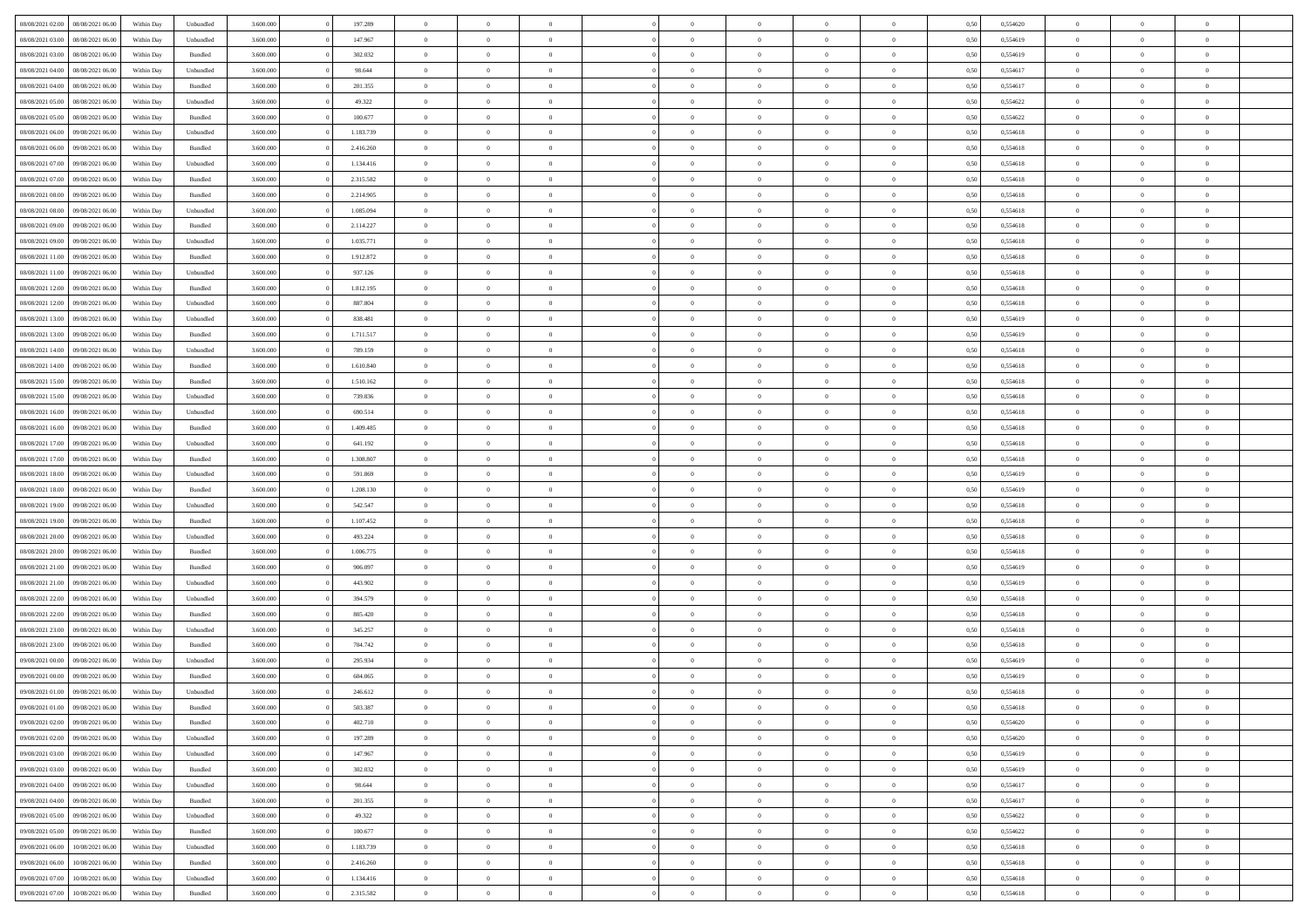| 08/08/2021 02:00                  | 08/08/2021 06:00 | Within Day | Unbundled          | 3.600.000 | 197.289   | $\overline{0}$ | $\Omega$       |                | $\Omega$       | $\Omega$       | $\Omega$       | $\theta$       | 0,50 | 0,554620 | $\theta$       | $\theta$       | $\theta$       |  |
|-----------------------------------|------------------|------------|--------------------|-----------|-----------|----------------|----------------|----------------|----------------|----------------|----------------|----------------|------|----------|----------------|----------------|----------------|--|
| 08/08/2021 03:00                  | 08/08/2021 06:00 | Within Day | Unbundled          | 3.600.000 | 147.967   | $\overline{0}$ | $\theta$       | $\overline{0}$ | $\overline{0}$ | $\bf{0}$       | $\overline{0}$ | $\bf{0}$       | 0,50 | 0,554619 | $\theta$       | $\theta$       | $\overline{0}$ |  |
| 08/08/2021 03:00                  | 08/08/2021 06:00 | Within Day | Bundled            | 3.600.000 | 302.032   | $\overline{0}$ | $\overline{0}$ | $\overline{0}$ | $\bf{0}$       | $\bf{0}$       | $\bf{0}$       | $\bf{0}$       | 0,50 | 0,554619 | $\overline{0}$ | $\overline{0}$ | $\overline{0}$ |  |
| 08/08/2021 04:00                  | 08/08/2021 06:00 | Within Dav | Unbundled          | 3.600.000 | 98.644    | $\overline{0}$ | $\overline{0}$ | $\overline{0}$ | $\overline{0}$ | $\bf{0}$       | $\overline{0}$ | $\overline{0}$ | 0.50 | 0.554617 | $\theta$       | $\theta$       | $\overline{0}$ |  |
| 08/08/2021 04:00                  | 08/08/2021 06:00 | Within Day | Bundled            | 3.600.000 | 201.355   | $\overline{0}$ | $\theta$       | $\overline{0}$ | $\overline{0}$ | $\bf{0}$       | $\overline{0}$ | $\bf{0}$       | 0,50 | 0,554617 | $\theta$       | $\theta$       | $\overline{0}$ |  |
|                                   |                  |            |                    |           |           |                |                |                |                |                |                |                |      |          |                |                |                |  |
| 08/08/2021 05:00                  | 08/08/2021 06:00 | Within Day | Unbundled          | 3.600.000 | 49.322    | $\overline{0}$ | $\bf{0}$       | $\overline{0}$ | $\bf{0}$       | $\overline{0}$ | $\overline{0}$ | $\mathbf{0}$   | 0,50 | 0,554622 | $\overline{0}$ | $\overline{0}$ | $\bf{0}$       |  |
| 08/08/2021 05:00                  | 08/08/2021 06:00 | Within Dav | Bundled            | 3.600.000 | 100.677   | $\overline{0}$ | $\overline{0}$ | $\overline{0}$ | $\overline{0}$ | $\overline{0}$ | $\overline{0}$ | $\overline{0}$ | 0.50 | 0,554622 | $\theta$       | $\overline{0}$ | $\overline{0}$ |  |
| 08/08/2021 06:00                  | 09/08/2021 06:00 | Within Day | Unbundled          | 3.600.000 | 1.183.739 | $\overline{0}$ | $\theta$       | $\overline{0}$ | $\overline{0}$ | $\bf{0}$       | $\overline{0}$ | $\bf{0}$       | 0,50 | 0,554618 | $\theta$       | $\theta$       | $\overline{0}$ |  |
| 08/08/2021 06:00                  | 09/08/2021 06:00 | Within Day | Bundled            | 3.600.000 | 2.416.260 | $\overline{0}$ | $\overline{0}$ | $\overline{0}$ | $\bf{0}$       | $\bf{0}$       | $\bf{0}$       | $\bf{0}$       | 0,50 | 0,554618 | $\,0\,$        | $\overline{0}$ | $\overline{0}$ |  |
| 08/08/2021 07:00                  | 09/08/2021 06:00 | Within Dav | Unbundled          | 3.600.000 | 1.134.416 | $\overline{0}$ | $\overline{0}$ | $\overline{0}$ | $\overline{0}$ | $\overline{0}$ | $\overline{0}$ | $\overline{0}$ | 0.50 | 0.554618 | $\theta$       | $\overline{0}$ | $\overline{0}$ |  |
| 08/08/2021 07:00                  | 09/08/2021 06:00 | Within Day | Bundled            | 3.600.000 | 2.315.582 | $\overline{0}$ | $\theta$       | $\overline{0}$ | $\overline{0}$ | $\bf{0}$       | $\overline{0}$ | $\bf{0}$       | 0,50 | 0,554618 | $\,$ 0 $\,$    | $\theta$       | $\overline{0}$ |  |
| 08/08/2021 08:00                  | 09/08/2021 06:00 | Within Day | Bundled            | 3.600.000 | 2.214.905 | $\overline{0}$ | $\overline{0}$ | $\overline{0}$ | $\bf{0}$       | $\bf{0}$       | $\bf{0}$       | $\bf{0}$       | 0,50 | 0,554618 | $\overline{0}$ | $\overline{0}$ | $\overline{0}$ |  |
|                                   |                  |            |                    |           |           |                |                |                |                |                |                |                |      |          |                |                |                |  |
| 08/08/2021 08:00                  | 09/08/2021 06:00 | Within Dav | Unbundled          | 3.600.000 | 1.085.094 | $\overline{0}$ | $\overline{0}$ | $\overline{0}$ | $\overline{0}$ | $\bf{0}$       | $\overline{0}$ | $\overline{0}$ | 0.50 | 0.554618 | $\theta$       | $\theta$       | $\overline{0}$ |  |
| 08/08/2021 09:00                  | 09/08/2021 06:00 | Within Day | Bundled            | 3.600.000 | 2.114.227 | $\overline{0}$ | $\theta$       | $\overline{0}$ | $\overline{0}$ | $\bf{0}$       | $\overline{0}$ | $\bf{0}$       | 0,50 | 0,554618 | $\theta$       | $\overline{0}$ | $\overline{0}$ |  |
| 08/08/2021 09:00                  | 09/08/2021 06:00 | Within Day | Unbundled          | 3.600.000 | 1.035.771 | $\overline{0}$ | $\overline{0}$ | $\overline{0}$ | $\bf{0}$       | $\overline{0}$ | $\overline{0}$ | $\mathbf{0}$   | 0,50 | 0,554618 | $\overline{0}$ | $\overline{0}$ | $\bf{0}$       |  |
| 08/08/2021 11:00                  | 09/08/2021 06:00 | Within Dav | Bundled            | 3.600.000 | 1.912.872 | $\overline{0}$ | $\overline{0}$ | $\overline{0}$ | $\overline{0}$ | $\overline{0}$ | $\overline{0}$ | $\overline{0}$ | 0.50 | 0.554618 | $\theta$       | $\overline{0}$ | $\overline{0}$ |  |
| 08/08/2021 11:00                  | 09/08/2021 06:00 | Within Day | Unbundled          | 3.600.000 | 937.126   | $\overline{0}$ | $\theta$       | $\overline{0}$ | $\overline{0}$ | $\bf{0}$       | $\overline{0}$ | $\bf{0}$       | 0,50 | 0,554618 | $\theta$       | $\theta$       | $\overline{0}$ |  |
| 08/08/2021 12:00                  | 09/08/2021 06:00 | Within Day | Bundled            | 3.600.000 | 1.812.195 | $\overline{0}$ | $\overline{0}$ | $\overline{0}$ | $\bf{0}$       | $\bf{0}$       | $\bf{0}$       | $\bf{0}$       | 0,50 | 0,554618 | $\,0\,$        | $\overline{0}$ | $\overline{0}$ |  |
| 08/08/2021 12:00                  | 09/08/2021 06:00 | Within Day | Unbundled          | 3.600.000 | 887.804   | $\overline{0}$ | $\overline{0}$ | $\overline{0}$ | $\overline{0}$ | $\overline{0}$ | $\overline{0}$ | $\overline{0}$ | 0.50 | 0.554618 | $\theta$       | $\overline{0}$ | $\overline{0}$ |  |
|                                   |                  |            |                    |           |           | $\overline{0}$ |                |                |                |                |                |                |      |          |                |                |                |  |
| 08/08/2021 13:00                  | 09/08/2021 06:00 | Within Day | Unbundled          | 3.600.000 | 838.481   |                | $\theta$       | $\overline{0}$ | $\overline{0}$ | $\bf{0}$       | $\overline{0}$ | $\bf{0}$       | 0,50 | 0,554619 | $\,$ 0 $\,$    | $\theta$       | $\overline{0}$ |  |
| 08/08/2021 13:00                  | 09/08/2021 06:00 | Within Day | Bundled            | 3.600.000 | 1.711.517 | $\overline{0}$ | $\overline{0}$ | $\overline{0}$ | $\overline{0}$ | $\bf{0}$       | $\overline{0}$ | $\bf{0}$       | 0,50 | 0,554619 | $\bf{0}$       | $\overline{0}$ | $\overline{0}$ |  |
| 08/08/2021 14:00                  | 09/08/2021 06:00 | Within Day | Unbundled          | 3.600,000 | 789.159   | $\overline{0}$ | $\overline{0}$ | $\overline{0}$ | $\overline{0}$ | $\bf{0}$       | $\overline{0}$ | $\overline{0}$ | 0.50 | 0.554618 | $\theta$       | $\overline{0}$ | $\overline{0}$ |  |
| 08/08/2021 14:00                  | 09/08/2021 06:00 | Within Day | Bundled            | 3.600.000 | 1.610.840 | $\overline{0}$ | $\theta$       | $\overline{0}$ | $\overline{0}$ | $\bf{0}$       | $\overline{0}$ | $\bf{0}$       | 0,50 | 0,554618 | $\theta$       | $\overline{0}$ | $\overline{0}$ |  |
| 08/08/2021 15:00                  | 09/08/2021 06:00 | Within Day | Bundled            | 3.600.000 | 1.510.162 | $\overline{0}$ | $\bf{0}$       | $\overline{0}$ | $\overline{0}$ | $\overline{0}$ | $\overline{0}$ | $\mathbf{0}$   | 0,50 | 0,554618 | $\bf{0}$       | $\overline{0}$ | $\bf{0}$       |  |
| 08/08/2021 15:00                  | 09/08/2021 06:00 | Within Dav | Unbundled          | 3.600.000 | 739.836   | $\overline{0}$ | $\overline{0}$ | $\overline{0}$ | $\overline{0}$ | $\overline{0}$ | $\overline{0}$ | $\overline{0}$ | 0.50 | 0.554618 | $\theta$       | $\theta$       | $\overline{0}$ |  |
| 08/08/2021 16:00                  | 09/08/2021 06:00 | Within Day | Unbundled          | 3.600.000 | 690.514   | $\overline{0}$ | $\theta$       | $\overline{0}$ | $\overline{0}$ | $\bf{0}$       | $\overline{0}$ | $\bf{0}$       | 0,50 | 0,554618 | $\theta$       | $\theta$       | $\overline{0}$ |  |
|                                   |                  |            |                    |           |           |                |                |                |                |                |                |                |      |          |                |                |                |  |
| 08/08/2021 16:00                  | 09/08/2021 06:00 | Within Day | Bundled            | 3.600.000 | 1.409.485 | $\overline{0}$ | $\overline{0}$ | $\overline{0}$ | $\overline{0}$ | $\bf{0}$       | $\overline{0}$ | $\bf{0}$       | 0,50 | 0,554618 | $\,0\,$        | $\overline{0}$ | $\overline{0}$ |  |
| 08/08/2021 17:00                  | 09/08/2021 06:00 | Within Day | Unbundled          | 3.600.000 | 641.192   | $\overline{0}$ | $\overline{0}$ | $\overline{0}$ | $\overline{0}$ | $\overline{0}$ | $\overline{0}$ | $\overline{0}$ | 0.50 | 0.554618 | $\theta$       | $\overline{0}$ | $\overline{0}$ |  |
| 08/08/2021 17:00                  | 09/08/2021 06:00 | Within Day | Bundled            | 3.600.000 | 1.308.807 | $\overline{0}$ | $\theta$       | $\overline{0}$ | $\overline{0}$ | $\bf{0}$       | $\overline{0}$ | $\bf{0}$       | 0,50 | 0,554618 | $\,$ 0 $\,$    | $\overline{0}$ | $\overline{0}$ |  |
| 08/08/2021 18:00                  | 09/08/2021 06:00 | Within Day | Unbundled          | 3.600.000 | 591.869   | $\overline{0}$ | $\overline{0}$ | $\overline{0}$ | $\overline{0}$ | $\bf{0}$       | $\overline{0}$ | $\bf{0}$       | 0,50 | 0,554619 | $\bf{0}$       | $\overline{0}$ | $\overline{0}$ |  |
| 08/08/2021 18:00                  | 09/08/2021 06:00 | Within Day | Bundled            | 3.600.000 | 1.208.130 | $\overline{0}$ | $\Omega$       | $\Omega$       | $\Omega$       | $\Omega$       | $\Omega$       | $\overline{0}$ | 0,50 | 0,554619 | $\,0\,$        | $\theta$       | $\theta$       |  |
| 08/08/2021 19:00                  | 09/08/2021 06:00 | Within Day | Unbundled          | 3.600.000 | 542.547   | $\overline{0}$ | $\theta$       | $\overline{0}$ | $\overline{0}$ | $\bf{0}$       | $\overline{0}$ | $\bf{0}$       | 0,50 | 0,554618 | $\theta$       | $\theta$       | $\overline{0}$ |  |
| 08/08/2021 19:00                  | 09/08/2021 06:00 | Within Day | Bundled            | 3.600.000 | 1.107.452 | $\overline{0}$ | $\overline{0}$ | $\overline{0}$ | $\overline{0}$ | $\bf{0}$       | $\overline{0}$ | $\mathbf{0}$   | 0,50 | 0,554618 | $\bf{0}$       | $\overline{0}$ | $\bf{0}$       |  |
| 08/08/2021 20:00                  | 09/08/2021 06:00 |            | Unbundled          | 3.600,000 | 493.224   | $\overline{0}$ | $\Omega$       | $\Omega$       | $\Omega$       | $\bf{0}$       | $\overline{0}$ | $\overline{0}$ | 0.50 | 0.554618 | $\theta$       | $\theta$       | $\theta$       |  |
|                                   |                  | Within Day |                    |           |           |                |                |                |                |                |                |                |      |          |                |                |                |  |
| 08/08/2021 20:00                  | 09/08/2021 06:00 | Within Day | Bundled            | 3.600.000 | 1.006.775 | $\overline{0}$ | $\theta$       | $\overline{0}$ | $\overline{0}$ | $\bf{0}$       | $\overline{0}$ | $\bf{0}$       | 0,50 | 0,554618 | $\,$ 0 $\,$    | $\theta$       | $\overline{0}$ |  |
| 08/08/2021 21.00                  | 09/08/2021 06:00 | Within Day | Bundled            | 3.600.000 | 906.097   | $\overline{0}$ | $\overline{0}$ | $\overline{0}$ | $\overline{0}$ | $\bf{0}$       | $\overline{0}$ | $\bf{0}$       | 0,50 | 0,554619 | $\,0\,$        | $\overline{0}$ | $\overline{0}$ |  |
| 08/08/2021 21:00                  | 09/08/2021 06:00 | Within Day | Unbundled          | 3.600,000 | 443.902   | $\overline{0}$ | $\Omega$       | $\Omega$       | $\Omega$       | $\theta$       | $\theta$       | $\overline{0}$ | 0.50 | 0.554619 | $\theta$       | $\theta$       | $\theta$       |  |
| 08/08/2021 22:00                  | 09/08/2021 06:00 | Within Day | Unbundled          | 3.600.000 | 394.579   | $\overline{0}$ | $\theta$       | $\overline{0}$ | $\overline{0}$ | $\bf{0}$       | $\overline{0}$ | $\bf{0}$       | 0,50 | 0,554618 | $\,$ 0 $\,$    | $\overline{0}$ | $\overline{0}$ |  |
| 08/08/2021 22.00                  | 09/08/2021 06:00 | Within Day | Bundled            | 3.600.000 | 805.420   | $\overline{0}$ | $\overline{0}$ | $\overline{0}$ | $\overline{0}$ | $\bf{0}$       | $\overline{0}$ | $\bf{0}$       | 0,50 | 0,554618 | $\bf{0}$       | $\overline{0}$ | $\overline{0}$ |  |
| 08/08/2021 23:00                  | 09/08/2021 06:00 | Within Day | Unbundled          | 3.600.000 | 345.257   | $\overline{0}$ | $\Omega$       | $\Omega$       | $\Omega$       | $\Omega$       | $\overline{0}$ | $\overline{0}$ | 0,50 | 0,554618 | $\,0\,$        | $\theta$       | $\theta$       |  |
| 08/08/2021 23:00                  | 09/08/2021 06:00 | Within Day | Bundled            | 3.600.000 | 704.742   | $\overline{0}$ | $\theta$       | $\overline{0}$ | $\overline{0}$ | $\bf{0}$       | $\overline{0}$ | $\bf{0}$       | 0,50 | 0,554618 | $\,$ 0 $\,$    | $\overline{0}$ | $\overline{0}$ |  |
| 09/08/2021 00:00                  | 09/08/2021 06:00 | Within Day | Unbundled          | 3.600.000 | 295.934   | $\overline{0}$ | $\overline{0}$ | $\overline{0}$ | $\bf{0}$       | $\bf{0}$       | $\bf{0}$       | $\mathbf{0}$   | 0,50 | 0,554619 | $\overline{0}$ | $\overline{0}$ | $\bf{0}$       |  |
|                                   |                  |            |                    |           |           |                |                |                |                |                |                |                |      |          |                |                |                |  |
| 09/08/2021 00:00                  | 09/08/2021 06:00 | Within Day | Bundled            | 3.600,000 | 604,065   | $\overline{0}$ | $\Omega$       | $\Omega$       | $\Omega$       | $\Omega$       | $\Omega$       | $\overline{0}$ | 0.50 | 0.554619 | $\theta$       | $\Omega$       | $\theta$       |  |
| 09/08/2021 01:00                  | 09/08/2021 06:00 | Within Day | Unbundled          | 3.600.000 | 246.612   | $\overline{0}$ | $\overline{0}$ | $\overline{0}$ | $\bf{0}$       | $\,$ 0         | $\bf{0}$       | $\bf{0}$       | 0,50 | 0,554618 | $\,0\,$        | $\overline{0}$ | $\overline{0}$ |  |
| 09/08/2021 01:00 09/08/2021 06:00 |                  | Within Day | $\mathbf B$ undled | 3.600.000 | 503.387   | $\bf{0}$       | $\bf{0}$       |                |                |                |                |                | 0,50 | 0,554618 | $\bf{0}$       | $\overline{0}$ |                |  |
| 09/08/2021 02:00                  | 09/08/2021 06:00 | Within Day | Bundled            | 3.600,000 | 402.710   | $\overline{0}$ | $\overline{0}$ | $\overline{0}$ | $\Omega$       | $\overline{0}$ | $\overline{0}$ | $\overline{0}$ | 0.50 | 0.554620 | $\theta$       | $\theta$       | $\theta$       |  |
| 09/08/2021 02:00                  | 09/08/2021 06:00 | Within Day | Unbundled          | 3.600.000 | 197.289   | $\overline{0}$ | $\bf{0}$       | $\overline{0}$ | $\bf{0}$       | $\,$ 0 $\,$    | $\overline{0}$ | $\,$ 0 $\,$    | 0,50 | 0,554620 | $\,$ 0 $\,$    | $\,$ 0 $\,$    | $\,$ 0         |  |
| 09/08/2021 03:00                  | 09/08/2021 06:00 | Within Day | Unbundled          | 3.600.000 | 147.967   | $\overline{0}$ | $\overline{0}$ | $\overline{0}$ | $\overline{0}$ | $\overline{0}$ | $\overline{0}$ | $\mathbf{0}$   | 0,50 | 0,554619 | $\overline{0}$ | $\bf{0}$       | $\overline{0}$ |  |
| 09/08/2021 03:00                  | 09/08/2021 06:00 | Within Day | $\mathbf B$ undled | 3.600.000 | 302.032   | $\overline{0}$ | $\overline{0}$ | $\overline{0}$ | $\Omega$       | $\overline{0}$ | $\overline{0}$ | $\overline{0}$ | 0,50 | 0,554619 | $\overline{0}$ | $\theta$       | $\overline{0}$ |  |
|                                   |                  |            |                    |           |           |                |                |                |                |                |                |                |      |          |                |                |                |  |
| 09/08/2021 04:00                  | 09/08/2021 06:00 | Within Day | Unbundled          | 3.600.000 | 98.644    | $\overline{0}$ | $\,$ 0         | $\overline{0}$ | $\bf{0}$       | $\,$ 0 $\,$    | $\overline{0}$ | $\mathbf{0}$   | 0,50 | 0,554617 | $\,$ 0 $\,$    | $\overline{0}$ | $\overline{0}$ |  |
| 09/08/2021 04:00                  | 09/08/2021 06:00 | Within Day | Bundled            | 3.600.000 | 201.355   | $\overline{0}$ | $\overline{0}$ | $\overline{0}$ | $\overline{0}$ | $\overline{0}$ | $\overline{0}$ | $\mathbf{0}$   | 0,50 | 0,554617 | $\overline{0}$ | $\overline{0}$ | $\bf{0}$       |  |
| 09/08/2021 05:00                  | 09/08/2021 06:00 | Within Day | Unbundled          | 3.600,000 | 49.322    | $\overline{0}$ | $\overline{0}$ | $\overline{0}$ | $\overline{0}$ | $\overline{0}$ | $\overline{0}$ | $\bf{0}$       | 0.50 | 0,554622 | $\overline{0}$ | $\theta$       | $\overline{0}$ |  |
| 09/08/2021 05:00                  | 09/08/2021 06:00 | Within Day | Bundled            | 3.600.000 | 100.677   | $\overline{0}$ | $\,$ 0         | $\overline{0}$ | $\bf{0}$       | $\bf{0}$       | $\bf{0}$       | $\bf{0}$       | 0,50 | 0,554622 | $\,$ 0 $\,$    | $\overline{0}$ | $\overline{0}$ |  |
| 09/08/2021 06:00                  | 10/08/2021 06:00 | Within Day | Unbundled          | 3.600.000 | 1.183.739 | $\overline{0}$ | $\bf{0}$       | $\overline{0}$ | $\overline{0}$ | $\overline{0}$ | $\overline{0}$ | $\mathbf{0}$   | 0,50 | 0,554618 | $\overline{0}$ | $\overline{0}$ | $\bf{0}$       |  |
| 09/08/2021 06:00                  | 10/08/2021 06:00 | Within Day | Bundled            | 3.600,000 | 2.416.260 | $\overline{0}$ | $\overline{0}$ | $\overline{0}$ | $\Omega$       | $\overline{0}$ | $\overline{0}$ | $\overline{0}$ | 0.50 | 0,554618 | $\overline{0}$ | $\overline{0}$ | $\overline{0}$ |  |
| 09/08/2021 07:00                  | 10/08/2021 06:00 | Within Day | Unbundled          | 3.600.000 | 1.134.416 | $\overline{0}$ | $\bf{0}$       | $\overline{0}$ | $\overline{0}$ | $\bf{0}$       | $\bf{0}$       | $\mathbf{0}$   | 0,50 | 0,554618 | $\,$ 0 $\,$    | $\,$ 0 $\,$    | $\bf{0}$       |  |
|                                   |                  |            |                    |           |           |                |                |                |                |                |                |                |      |          |                |                |                |  |
| 09/08/2021 07:00                  | 10/08/2021 06:00 | Within Day | Bundled            | 3.600.000 | 2.315.582 | $\overline{0}$ | $\bf{0}$       | $\overline{0}$ | $\overline{0}$ | $\bf{0}$       | $\bf{0}$       | $\bf{0}$       | 0,50 | 0,554618 | $\overline{0}$ | $\overline{0}$ | $\bf{0}$       |  |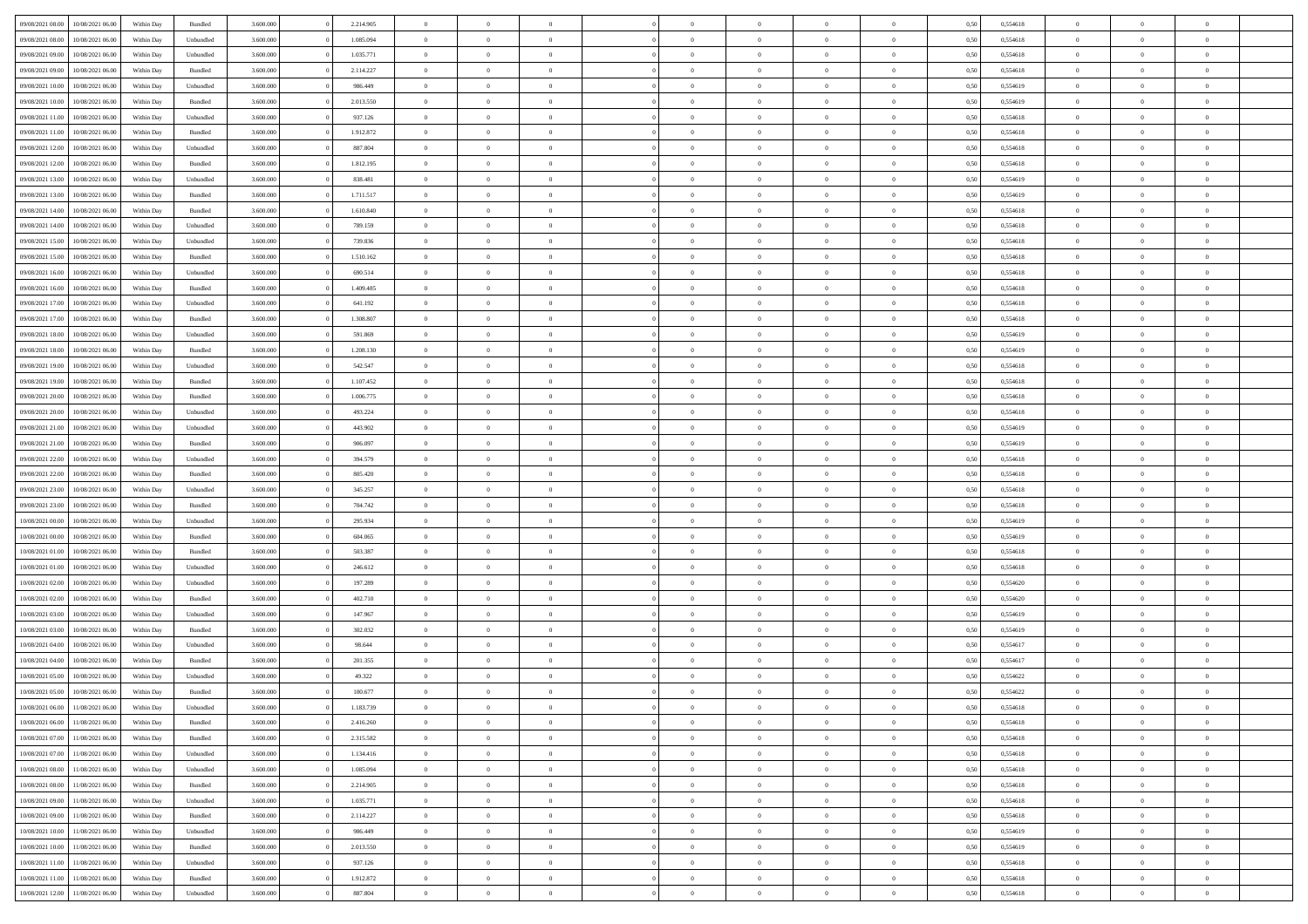| 09/08/2021 08:00 | 10/08/2021 06:00 | Within Day | Bundled   | 3.600.000 | 2.214.905 | $\overline{0}$ | $\Omega$       |                | $\Omega$       | $\Omega$       | $\theta$       | $\theta$       | 0,50 | 0,554618 | $\theta$       | $\theta$       | $\theta$       |  |
|------------------|------------------|------------|-----------|-----------|-----------|----------------|----------------|----------------|----------------|----------------|----------------|----------------|------|----------|----------------|----------------|----------------|--|
|                  |                  |            |           |           |           |                |                |                |                |                |                |                |      |          |                |                |                |  |
| 09/08/2021 08:00 | 10/08/2021 06:00 | Within Day | Unbundled | 3.600.000 | 1.085.094 | $\overline{0}$ | $\theta$       | $\overline{0}$ | $\overline{0}$ | $\bf{0}$       | $\overline{0}$ | $\bf{0}$       | 0,50 | 0,554618 | $\theta$       | $\theta$       | $\overline{0}$ |  |
| 09/08/2021 09:00 | 10/08/2021 06:00 | Within Day | Unbundled | 3.600.000 | 1.035.771 | $\overline{0}$ | $\bf{0}$       | $\overline{0}$ | $\bf{0}$       | $\bf{0}$       | $\bf{0}$       | $\bf{0}$       | 0,50 | 0,554618 | $\overline{0}$ | $\overline{0}$ | $\overline{0}$ |  |
| 09/08/2021 09:00 | 10/08/2021 06:00 | Within Dav | Bundled   | 3.600,000 | 2.114.227 | $\overline{0}$ | $\overline{0}$ | $\overline{0}$ | $\overline{0}$ | $\bf{0}$       | $\overline{0}$ | $\overline{0}$ | 0.50 | 0.554618 | $\theta$       | $\theta$       | $\overline{0}$ |  |
| 09/08/2021 10:00 | 10/08/2021 06:00 | Within Day | Unbundled | 3.600.000 | 986.449   | $\overline{0}$ | $\theta$       | $\overline{0}$ | $\overline{0}$ | $\bf{0}$       | $\overline{0}$ | $\bf{0}$       | 0,50 | 0,554619 | $\theta$       | $\overline{0}$ | $\overline{0}$ |  |
| 09/08/2021 10:00 | 10/08/2021 06:00 | Within Day | Bundled   | 3.600.000 | 2.013.550 | $\overline{0}$ | $\overline{0}$ | $\overline{0}$ | $\bf{0}$       | $\overline{0}$ | $\overline{0}$ | $\mathbf{0}$   | 0,50 | 0,554619 | $\overline{0}$ | $\overline{0}$ | $\bf{0}$       |  |
| 09/08/2021 11:00 | 10/08/2021 06:00 | Within Dav | Unbundled | 3.600.000 | 937.126   | $\overline{0}$ | $\overline{0}$ | $\overline{0}$ | $\overline{0}$ | $\overline{0}$ | $\overline{0}$ | $\overline{0}$ | 0.50 | 0,554618 | $\theta$       | $\overline{0}$ | $\overline{0}$ |  |
|                  |                  |            |           |           |           |                |                |                |                |                |                |                |      |          |                |                |                |  |
| 09/08/2021 11:00 | 10/08/2021 06:00 | Within Day | Bundled   | 3.600.000 | 1.912.872 | $\overline{0}$ | $\theta$       | $\overline{0}$ | $\overline{0}$ | $\bf{0}$       | $\overline{0}$ | $\bf{0}$       | 0,50 | 0,554618 | $\theta$       | $\theta$       | $\overline{0}$ |  |
| 09/08/2021 12:00 | 10/08/2021 06:00 | Within Day | Unbundled | 3.600.000 | 887.804   | $\overline{0}$ | $\overline{0}$ | $\overline{0}$ | $\bf{0}$       | $\bf{0}$       | $\bf{0}$       | $\bf{0}$       | 0,50 | 0,554618 | $\,0\,$        | $\overline{0}$ | $\overline{0}$ |  |
| 09/08/2021 12:00 | 10/08/2021 06:00 | Within Dav | Bundled   | 3.600.000 | 1.812.195 | $\overline{0}$ | $\overline{0}$ | $\overline{0}$ | $\overline{0}$ | $\overline{0}$ | $\overline{0}$ | $\overline{0}$ | 0.50 | 0.554618 | $\theta$       | $\overline{0}$ | $\overline{0}$ |  |
| 09/08/2021 13:00 | 10/08/2021 06:00 | Within Day | Unbundled | 3.600.000 | 838.481   | $\overline{0}$ | $\theta$       | $\overline{0}$ | $\overline{0}$ | $\bf{0}$       | $\overline{0}$ | $\bf{0}$       | 0,50 | 0,554619 | $\,$ 0 $\,$    | $\overline{0}$ | $\overline{0}$ |  |
| 09/08/2021 13:00 | 10/08/2021 06:00 | Within Day | Bundled   | 3.600.000 | 1.711.517 | $\overline{0}$ | $\overline{0}$ | $\overline{0}$ | $\bf{0}$       | $\bf{0}$       | $\bf{0}$       | $\bf{0}$       | 0,50 | 0,554619 | $\overline{0}$ | $\overline{0}$ | $\bf{0}$       |  |
| 09/08/2021 14:00 | 10/08/2021 06:00 | Within Day | Bundled   | 3.600.000 | 1.610.840 | $\overline{0}$ | $\overline{0}$ | $\overline{0}$ | $\overline{0}$ | $\bf{0}$       | $\overline{0}$ | $\overline{0}$ | 0.50 | 0.554618 | $\theta$       | $\theta$       | $\overline{0}$ |  |
| 09/08/2021 14:00 | 10/08/2021 06:00 | Within Day | Unbundled | 3.600.000 | 789.159   | $\overline{0}$ | $\theta$       | $\overline{0}$ | $\overline{0}$ | $\bf{0}$       | $\overline{0}$ | $\bf{0}$       | 0,50 | 0,554618 | $\theta$       | $\overline{0}$ | $\overline{0}$ |  |
|                  |                  |            |           |           |           |                |                |                |                |                |                |                |      |          |                |                |                |  |
| 09/08/2021 15:00 | 10/08/2021 06:00 | Within Day | Unbundled | 3.600.000 | 739.836   | $\overline{0}$ | $\overline{0}$ | $\overline{0}$ | $\bf{0}$       | $\overline{0}$ | $\overline{0}$ | $\mathbf{0}$   | 0,50 | 0,554618 | $\overline{0}$ | $\overline{0}$ | $\bf{0}$       |  |
| 09/08/2021 15:00 | 10/08/2021 06:00 | Within Dav | Bundled   | 3.600.000 | 1.510.162 | $\overline{0}$ | $\overline{0}$ | $\overline{0}$ | $\overline{0}$ | $\overline{0}$ | $\overline{0}$ | $\overline{0}$ | 0.50 | 0.554618 | $\theta$       | $\overline{0}$ | $\overline{0}$ |  |
| 09/08/2021 16:00 | 10/08/2021 06:00 | Within Day | Unbundled | 3.600.000 | 690.514   | $\overline{0}$ | $\theta$       | $\overline{0}$ | $\overline{0}$ | $\bf{0}$       | $\overline{0}$ | $\bf{0}$       | 0,50 | 0,554618 | $\theta$       | $\theta$       | $\overline{0}$ |  |
| 09/08/2021 16:00 | 10/08/2021 06:00 | Within Day | Bundled   | 3.600.000 | 1.409.485 | $\overline{0}$ | $\overline{0}$ | $\overline{0}$ | $\bf{0}$       | $\bf{0}$       | $\bf{0}$       | $\bf{0}$       | 0,50 | 0,554618 | $\,0\,$        | $\overline{0}$ | $\overline{0}$ |  |
| 09/08/2021 17:00 | 10/08/2021 06:00 | Within Dav | Unbundled | 3.600.000 | 641.192   | $\overline{0}$ | $\overline{0}$ | $\overline{0}$ | $\overline{0}$ | $\overline{0}$ | $\overline{0}$ | $\overline{0}$ | 0.50 | 0,554618 | $\theta$       | $\overline{0}$ | $\overline{0}$ |  |
| 09/08/2021 17:00 | 10/08/2021 06:00 | Within Day | Bundled   | 3.600.000 | 1.308.807 | $\overline{0}$ | $\theta$       | $\overline{0}$ | $\overline{0}$ | $\bf{0}$       | $\overline{0}$ | $\bf{0}$       | 0,50 | 0,554618 | $\,$ 0 $\,$    | $\theta$       | $\overline{0}$ |  |
| 09/08/2021 18:00 | 10/08/2021 06:00 | Within Day | Unbundled | 3.600.000 | 591.869   | $\overline{0}$ | $\overline{0}$ | $\overline{0}$ | $\bf{0}$       | $\bf{0}$       | $\bf{0}$       | $\bf{0}$       | 0,50 | 0,554619 | $\overline{0}$ | $\overline{0}$ | $\overline{0}$ |  |
|                  |                  |            |           |           |           |                |                |                |                |                |                |                |      |          | $\theta$       |                |                |  |
| 09/08/2021 18:00 | 10/08/2021 06:00 | Within Day | Bundled   | 3.600,000 | 1.208.130 | $\overline{0}$ | $\overline{0}$ | $\overline{0}$ | $\overline{0}$ | $\bf{0}$       | $\overline{0}$ | $\overline{0}$ | 0.50 | 0.554619 |                | $\overline{0}$ | $\overline{0}$ |  |
| 09/08/2021 19:00 | 10/08/2021 06:00 | Within Day | Unbundled | 3.600.000 | 542.547   | $\overline{0}$ | $\theta$       | $\overline{0}$ | $\overline{0}$ | $\bf{0}$       | $\overline{0}$ | $\bf{0}$       | 0,50 | 0,554618 | $\,$ 0 $\,$    | $\overline{0}$ | $\overline{0}$ |  |
| 09/08/2021 19:00 | 10/08/2021 06:00 | Within Day | Bundled   | 3.600.000 | 1.107.452 | $\overline{0}$ | $\overline{0}$ | $\overline{0}$ | $\bf{0}$       | $\overline{0}$ | $\overline{0}$ | $\mathbf{0}$   | 0,50 | 0,554618 | $\overline{0}$ | $\overline{0}$ | $\bf{0}$       |  |
| 09/08/2021 20:00 | 10/08/2021 06:00 | Within Dav | Bundled   | 3.600.000 | 1.006.775 | $\overline{0}$ | $\overline{0}$ | $\overline{0}$ | $\overline{0}$ | $\overline{0}$ | $\overline{0}$ | $\overline{0}$ | 0.50 | 0.554618 | $\overline{0}$ | $\overline{0}$ | $\overline{0}$ |  |
| 09/08/2021 20:00 | 10/08/2021 06:00 | Within Day | Unbundled | 3.600.000 | 493.224   | $\overline{0}$ | $\theta$       | $\overline{0}$ | $\overline{0}$ | $\bf{0}$       | $\overline{0}$ | $\bf{0}$       | 0,50 | 0,554618 | $\theta$       | $\theta$       | $\overline{0}$ |  |
| 09/08/2021 21.00 | 10/08/2021 06:00 | Within Day | Unbundled | 3.600.000 | 443.902   | $\overline{0}$ | $\overline{0}$ | $\overline{0}$ | $\bf{0}$       | $\bf{0}$       | $\bf{0}$       | $\bf{0}$       | 0,50 | 0,554619 | $\,0\,$        | $\overline{0}$ | $\overline{0}$ |  |
| 09/08/2021 21:00 | 10/08/2021 06:00 | Within Day | Bundled   | 3.600.000 | 906.097   | $\overline{0}$ | $\overline{0}$ | $\overline{0}$ | $\overline{0}$ | $\overline{0}$ | $\overline{0}$ | $\overline{0}$ | 0.50 | 0.554619 | $\theta$       | $\overline{0}$ | $\overline{0}$ |  |
|                  |                  |            |           |           |           | $\overline{0}$ |                |                |                |                |                |                |      |          |                |                |                |  |
| 09/08/2021 22.00 | 10/08/2021 06:00 | Within Day | Unbundled | 3.600.000 | 394.579   |                | $\theta$       | $\overline{0}$ | $\overline{0}$ | $\bf{0}$       | $\overline{0}$ | $\bf{0}$       | 0,50 | 0,554618 | $\,$ 0 $\,$    | $\overline{0}$ | $\overline{0}$ |  |
| 09/08/2021 22.00 | 10/08/2021 06:00 | Within Day | Bundled   | 3.600.000 | 805.420   | $\overline{0}$ | $\overline{0}$ | $\overline{0}$ | $\bf{0}$       | $\bf{0}$       | $\bf{0}$       | $\bf{0}$       | 0,50 | 0,554618 | $\overline{0}$ | $\overline{0}$ | $\overline{0}$ |  |
| 09/08/2021 23:00 | 10/08/2021 06:00 | Within Day | Unbundled | 3.600.000 | 345.257   | $\overline{0}$ | $\Omega$       | $\Omega$       | $\Omega$       | $\Omega$       | $\Omega$       | $\overline{0}$ | 0,50 | 0,554618 | $\,0\,$        | $\theta$       | $\theta$       |  |
| 09/08/2021 23:00 | 10/08/2021 06:00 | Within Day | Bundled   | 3.600.000 | 704.742   | $\overline{0}$ | $\theta$       | $\overline{0}$ | $\overline{0}$ | $\bf{0}$       | $\overline{0}$ | $\bf{0}$       | 0,50 | 0,554618 | $\,$ 0 $\,$    | $\overline{0}$ | $\overline{0}$ |  |
| 10/08/2021 00:00 | 10/08/2021 06:00 | Within Day | Unbundled | 3.600.000 | 295.934   | $\overline{0}$ | $\overline{0}$ | $\overline{0}$ | $\bf{0}$       | $\bf{0}$       | $\overline{0}$ | $\mathbf{0}$   | 0,50 | 0,554619 | $\overline{0}$ | $\overline{0}$ | $\bf{0}$       |  |
| 10/08/2021 00:00 | 10/08/2021 06:00 | Within Day | Bundled   | 3.600,000 | 604,065   | $\overline{0}$ | $\Omega$       | $\Omega$       | $\Omega$       | $\bf{0}$       | $\overline{0}$ | $\overline{0}$ | 0.50 | 0.554619 | $\theta$       | $\theta$       | $\theta$       |  |
| 10/08/2021 01:00 | 10/08/2021 06:00 | Within Day | Bundled   | 3.600.000 | 503.387   | $\overline{0}$ | $\theta$       | $\overline{0}$ | $\overline{0}$ | $\bf{0}$       | $\overline{0}$ | $\bf{0}$       | 0,50 | 0,554618 | $\,$ 0 $\,$    | $\theta$       | $\overline{0}$ |  |
| 10/08/2021 01:00 | 10/08/2021 06:00 | Within Day | Unbundled | 3.600.000 | 246.612   | $\overline{0}$ | $\overline{0}$ | $\overline{0}$ | $\bf{0}$       | $\bf{0}$       | $\bf{0}$       | $\bf{0}$       | 0,50 | 0,554618 | $\bf{0}$       | $\overline{0}$ | $\overline{0}$ |  |
|                  |                  |            |           |           |           |                |                |                |                |                |                |                |      |          |                |                |                |  |
| 10/08/2021 02:00 | 10/08/2021 06:00 | Within Day | Unbundled | 3.600,000 | 197.289   | $\overline{0}$ | $\Omega$       | $\Omega$       | $\Omega$       | $\theta$       | $\theta$       | $\overline{0}$ | 0.50 | 0.554620 | $\theta$       | $\theta$       | $\theta$       |  |
| 10/08/2021 02:00 | 10/08/2021 06:00 | Within Day | Bundled   | 3.600.000 | 402.710   | $\overline{0}$ | $\theta$       | $\overline{0}$ | $\overline{0}$ | $\bf{0}$       | $\overline{0}$ | $\bf{0}$       | 0,50 | 0,554620 | $\,$ 0 $\,$    | $\overline{0}$ | $\overline{0}$ |  |
| 10/08/2021 03:00 | 10/08/2021 06:00 | Within Day | Unbundled | 3.600.000 | 147.967   | $\overline{0}$ | $\overline{0}$ | $\overline{0}$ | $\bf{0}$       | $\bf{0}$       | $\bf{0}$       | $\bf{0}$       | 0,50 | 0,554619 | $\overline{0}$ | $\overline{0}$ | $\overline{0}$ |  |
| 10/08/2021 03:00 | 10/08/2021 06:00 | Within Day | Bundled   | 3.600.000 | 302.032   | $\overline{0}$ | $\Omega$       | $\overline{0}$ | $\Omega$       | $\Omega$       | $\overline{0}$ | $\overline{0}$ | 0,50 | 0,554619 | $\,0\,$        | $\theta$       | $\theta$       |  |
| 10/08/2021 04:00 | 10/08/2021 06:00 | Within Day | Unbundled | 3.600.000 | 98.644    | $\overline{0}$ | $\theta$       | $\overline{0}$ | $\overline{0}$ | $\bf{0}$       | $\overline{0}$ | $\bf{0}$       | 0,50 | 0,554617 | $\,$ 0 $\,$    | $\overline{0}$ | $\overline{0}$ |  |
| 10/08/2021 04:00 | 10/08/2021 06:00 | Within Day | Bundled   | 3.600.000 | 201.355   | $\overline{0}$ | $\overline{0}$ | $\overline{0}$ | $\overline{0}$ | $\bf{0}$       | $\overline{0}$ | $\mathbf{0}$   | 0,50 | 0,554617 | $\overline{0}$ | $\overline{0}$ | $\bf{0}$       |  |
| 10/08/2021 05:00 | 10/08/2021 06:00 | Within Day | Unbundled | 3.600,000 | 49.322    | $\overline{0}$ | $\Omega$       | $\Omega$       | $\Omega$       | $\Omega$       | $\Omega$       | $\overline{0}$ | 0.50 | 0.554622 | $\theta$       | $\Omega$       | $\theta$       |  |
| 10/08/2021 05:00 | 10/08/2021 06:00 | Within Day | Bundled   | 3.600.000 | 100.677   | $\overline{0}$ | $\overline{0}$ | $\overline{0}$ | $\bf{0}$       | $\,$ 0         | $\overline{0}$ | $\bf{0}$       | 0,50 | 0,554622 | $\,0\,$        | $\,$ 0 $\,$    | $\overline{0}$ |  |
|                  |                  |            |           |           |           |                |                |                |                |                |                |                |      |          |                |                |                |  |
| 10/08/2021 06:00 | 11/08/2021 06:00 | Within Day | Unbundled | 3.600.000 | 1.183.739 | $\bf{0}$       | $\bf{0}$       |                |                |                |                |                | 0,50 | 0,554618 | $\bf{0}$       | $\overline{0}$ |                |  |
| 10/08/2021 06:00 | 11/08/2021 06:00 | Within Day | Bundled   | 3.600,000 | 2.416.260 | $\overline{0}$ | $\overline{0}$ | $\overline{0}$ | $\Omega$       | $\overline{0}$ | $\overline{0}$ | $\overline{0}$ | 0,50 | 0.554618 | $\theta$       | $\theta$       | $\theta$       |  |
| 10/08/2021 07:00 | 11/08/2021 06:00 | Within Day | Bundled   | 3.600.000 | 2.315.582 | $\overline{0}$ | $\,$ 0         | $\overline{0}$ | $\overline{0}$ | $\,$ 0 $\,$    | $\overline{0}$ | $\mathbf{0}$   | 0,50 | 0,554618 | $\,$ 0 $\,$    | $\,$ 0 $\,$    | $\,$ 0         |  |
| 10/08/2021 07:00 | 11/08/2021 06:00 | Within Day | Unbundled | 3.600.000 | 1.134.416 | $\overline{0}$ | $\overline{0}$ | $\overline{0}$ | $\overline{0}$ | $\overline{0}$ | $\overline{0}$ | $\mathbf{0}$   | 0,50 | 0,554618 | $\overline{0}$ | $\bf{0}$       | $\bf{0}$       |  |
| 10/08/2021 08:00 | 11/08/2021 06:00 | Within Day | Unbundled | 3.600.000 | 1.085.094 | $\overline{0}$ | $\overline{0}$ | $\overline{0}$ | $\Omega$       | $\overline{0}$ | $\overline{0}$ | $\overline{0}$ | 0,50 | 0,554618 | $\overline{0}$ | $\theta$       | $\overline{0}$ |  |
| 10/08/2021 08:00 | 11/08/2021 06:00 | Within Day | Bundled   | 3.600.000 | 2.214.905 | $\overline{0}$ | $\,$ 0         | $\overline{0}$ | $\overline{0}$ | $\,$ 0 $\,$    | $\overline{0}$ | $\mathbf{0}$   | 0,50 | 0,554618 | $\,$ 0 $\,$    | $\overline{0}$ | $\overline{0}$ |  |
| 10/08/2021 09:00 | 11/08/2021 06:00 | Within Day | Unbundled | 3.600.000 | 1.035.771 | $\overline{0}$ | $\overline{0}$ | $\overline{0}$ | $\overline{0}$ | $\overline{0}$ | $\overline{0}$ | $\mathbf{0}$   | 0,50 | 0,554618 | $\overline{0}$ | $\overline{0}$ | $\bf{0}$       |  |
|                  |                  |            |           |           |           |                |                |                |                |                |                |                |      |          |                |                |                |  |
| 10/08/2021 09:00 | 11/08/2021 06:00 | Within Day | Bundled   | 3.600,000 | 2.114.227 | $\overline{0}$ | $\overline{0}$ | $\overline{0}$ | $\Omega$       | $\overline{0}$ | $\overline{0}$ | $\bf{0}$       | 0.50 | 0,554618 | $\overline{0}$ | $\theta$       | $\overline{0}$ |  |
| 10/08/2021 10:00 | 11/08/2021 06:00 | Within Day | Unbundled | 3.600.000 | 986.449   | $\overline{0}$ | $\,$ 0         | $\overline{0}$ | $\overline{0}$ | $\bf{0}$       | $\overline{0}$ | $\bf{0}$       | 0,50 | 0,554619 | $\,$ 0 $\,$    | $\overline{0}$ | $\overline{0}$ |  |
| 10/08/2021 10:00 | 11/08/2021 06:00 | Within Day | Bundled   | 3.600.000 | 2.013.550 | $\overline{0}$ | $\bf{0}$       | $\overline{0}$ | $\overline{0}$ | $\overline{0}$ | $\overline{0}$ | $\mathbf{0}$   | 0,50 | 0,554619 | $\overline{0}$ | $\overline{0}$ | $\bf{0}$       |  |
| 10/08/2021 11:00 | 11/08/2021 06:00 | Within Day | Unbundled | 3.600,000 | 937.126   | $\overline{0}$ | $\overline{0}$ | $\overline{0}$ | $\Omega$       | $\overline{0}$ | $\overline{0}$ | $\overline{0}$ | 0.50 | 0,554618 | $\overline{0}$ | $\overline{0}$ | $\overline{0}$ |  |
| 10/08/2021 11:00 | 11/08/2021 06:00 | Within Day | Bundled   | 3.600.000 | 1.912.872 | $\overline{0}$ | $\bf{0}$       | $\overline{0}$ | $\bf{0}$       | $\bf{0}$       | $\overline{0}$ | $\mathbf{0}$   | 0,50 | 0,554618 | $\,$ 0 $\,$    | $\,$ 0 $\,$    | $\bf{0}$       |  |
| 10/08/2021 12:00 | 11/08/2021 06:00 | Within Day | Unbundled | 3.600.000 | 887.804   | $\overline{0}$ | $\overline{0}$ | $\overline{0}$ | $\overline{0}$ | $\overline{0}$ | $\overline{0}$ | $\mathbf{0}$   | 0,50 | 0,554618 | $\overline{0}$ | $\bf{0}$       | $\bf{0}$       |  |
|                  |                  |            |           |           |           |                |                |                |                |                |                |                |      |          |                |                |                |  |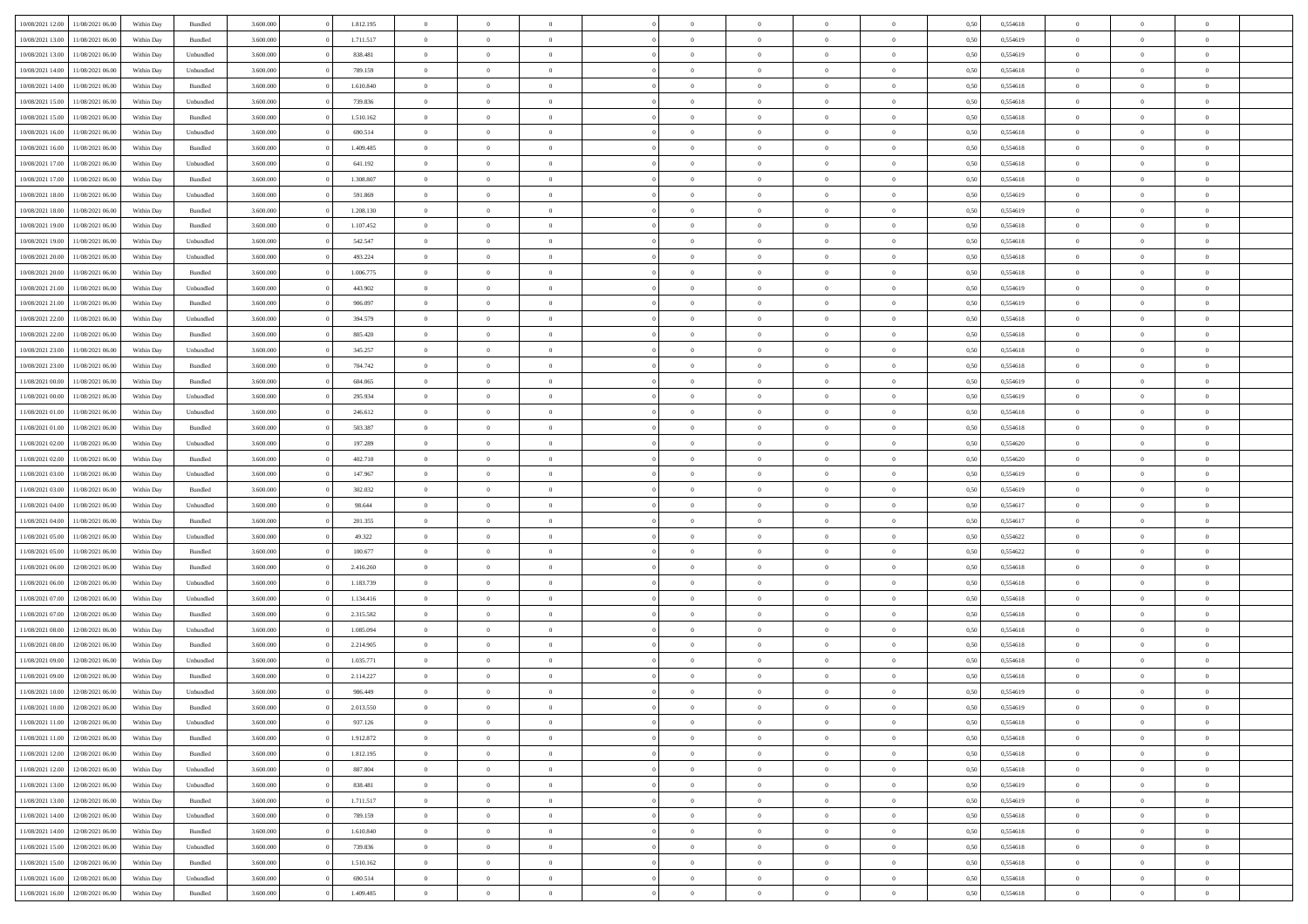| 10/08/2021 12:00                  | 11/08/2021 06:00 | Within Day | Bundled            | 3.600.000 | 1.812.195 | $\overline{0}$ | $\Omega$       |                | $\Omega$       | $\Omega$       | $\Omega$       | $\theta$       | 0,50 | 0,554618 | $\theta$       | $\theta$       | $\theta$       |  |
|-----------------------------------|------------------|------------|--------------------|-----------|-----------|----------------|----------------|----------------|----------------|----------------|----------------|----------------|------|----------|----------------|----------------|----------------|--|
|                                   |                  |            |                    |           |           |                |                |                |                |                |                |                |      |          |                |                |                |  |
| 10/08/2021 13:00                  | 11/08/2021 06:00 | Within Day | Bundled            | 3.600.000 | 1.711.517 | $\overline{0}$ | $\theta$       | $\overline{0}$ | $\overline{0}$ | $\bf{0}$       | $\overline{0}$ | $\bf{0}$       | 0,50 | 0,554619 | $\theta$       | $\theta$       | $\overline{0}$ |  |
| 10/08/2021 13:00                  | 11/08/2021 06:00 | Within Day | Unbundled          | 3.600.000 | 838.481   | $\overline{0}$ | $\overline{0}$ | $\overline{0}$ | $\bf{0}$       | $\bf{0}$       | $\bf{0}$       | $\bf{0}$       | 0,50 | 0,554619 | $\overline{0}$ | $\overline{0}$ | $\overline{0}$ |  |
| 10/08/2021 14:00                  | 11/08/2021 06:00 | Within Dav | Unbundled          | 3.600,000 | 789.159   | $\overline{0}$ | $\overline{0}$ | $\overline{0}$ | $\overline{0}$ | $\bf{0}$       | $\overline{0}$ | $\overline{0}$ | 0.50 | 0.554618 | $\theta$       | $\theta$       | $\overline{0}$ |  |
| 10/08/2021 14:00                  | 11/08/2021 06:00 | Within Day | Bundled            | 3.600.000 | 1.610.840 | $\overline{0}$ | $\theta$       | $\overline{0}$ | $\overline{0}$ | $\bf{0}$       | $\overline{0}$ | $\bf{0}$       | 0,50 | 0,554618 | $\theta$       | $\theta$       | $\overline{0}$ |  |
| 10/08/2021 15:00                  | 11/08/2021 06:00 | Within Day | Unbundled          | 3.600.000 | 739.836   | $\overline{0}$ | $\bf{0}$       | $\overline{0}$ | $\bf{0}$       | $\overline{0}$ | $\overline{0}$ | $\mathbf{0}$   | 0,50 | 0,554618 | $\overline{0}$ | $\overline{0}$ | $\bf{0}$       |  |
|                                   |                  |            |                    |           |           |                |                |                |                | $\overline{0}$ |                |                |      |          | $\theta$       | $\overline{0}$ | $\overline{0}$ |  |
| 10/08/2021 15:00                  | 11/08/2021 06:00 | Within Dav | Bundled            | 3.600.000 | 1.510.162 | $\overline{0}$ | $\overline{0}$ | $\overline{0}$ | $\overline{0}$ |                | $\overline{0}$ | $\overline{0}$ | 0.50 | 0,554618 |                |                |                |  |
| 10/08/2021 16:00                  | 11/08/2021 06:00 | Within Day | Unbundled          | 3.600.000 | 690.514   | $\overline{0}$ | $\theta$       | $\overline{0}$ | $\overline{0}$ | $\bf{0}$       | $\overline{0}$ | $\bf{0}$       | 0,50 | 0,554618 | $\theta$       | $\theta$       | $\overline{0}$ |  |
| 10/08/2021 16:00                  | 11/08/2021 06:00 | Within Day | Bundled            | 3.600.000 | 1.409.485 | $\overline{0}$ | $\overline{0}$ | $\overline{0}$ | $\bf{0}$       | $\bf{0}$       | $\bf{0}$       | $\bf{0}$       | 0,50 | 0,554618 | $\,0\,$        | $\overline{0}$ | $\overline{0}$ |  |
| 10/08/2021 17:00                  | 11/08/2021 06:00 | Within Dav | Unbundled          | 3.600.000 | 641.192   | $\overline{0}$ | $\overline{0}$ | $\overline{0}$ | $\overline{0}$ | $\overline{0}$ | $\overline{0}$ | $\overline{0}$ | 0.50 | 0.554618 | $\theta$       | $\overline{0}$ | $\overline{0}$ |  |
| 10/08/2021 17:00                  | 11/08/2021 06:00 | Within Day | Bundled            | 3.600.000 | 1.308.807 | $\overline{0}$ | $\theta$       | $\overline{0}$ | $\overline{0}$ | $\bf{0}$       | $\overline{0}$ | $\bf{0}$       | 0,50 | 0,554618 | $\,$ 0 $\,$    | $\overline{0}$ | $\overline{0}$ |  |
| 10/08/2021 18:00                  | 11/08/2021 06:00 | Within Day | Unbundled          | 3.600.000 | 591.869   | $\overline{0}$ | $\overline{0}$ | $\overline{0}$ | $\bf{0}$       | $\bf{0}$       | $\bf{0}$       | $\mathbf{0}$   | 0,50 | 0,554619 | $\overline{0}$ | $\overline{0}$ | $\bf{0}$       |  |
| 10/08/2021 18:00                  | 11/08/2021 06:00 | Within Day | Bundled            | 3.600.000 | 1.208.130 | $\overline{0}$ | $\overline{0}$ | $\overline{0}$ | $\overline{0}$ | $\bf{0}$       | $\overline{0}$ | $\overline{0}$ | 0.50 | 0.554619 | $\theta$       | $\theta$       | $\overline{0}$ |  |
|                                   |                  |            |                    |           |           | $\overline{0}$ | $\theta$       | $\overline{0}$ | $\overline{0}$ | $\bf{0}$       | $\overline{0}$ |                |      |          | $\theta$       | $\overline{0}$ | $\overline{0}$ |  |
| 10/08/2021 19:00                  | 11/08/2021 06:00 | Within Day | Bundled            | 3.600.000 | 1.107.452 |                |                |                |                |                |                | $\bf{0}$       | 0,50 | 0,554618 |                |                |                |  |
| 10/08/2021 19:00                  | 11/08/2021 06:00 | Within Day | Unbundled          | 3.600.000 | 542.547   | $\overline{0}$ | $\overline{0}$ | $\overline{0}$ | $\bf{0}$       | $\overline{0}$ | $\overline{0}$ | $\mathbf{0}$   | 0,50 | 0,554618 | $\overline{0}$ | $\overline{0}$ | $\bf{0}$       |  |
| 10/08/2021 20:00                  | 11/08/2021 06:00 | Within Dav | Unbundled          | 3.600.000 | 493.224   | $\overline{0}$ | $\overline{0}$ | $\overline{0}$ | $\overline{0}$ | $\overline{0}$ | $\overline{0}$ | $\overline{0}$ | 0.50 | 0.554618 | $\theta$       | $\overline{0}$ | $\overline{0}$ |  |
| 10/08/2021 20:00                  | 11/08/2021 06:00 | Within Day | Bundled            | 3.600.000 | 1.006.775 | $\overline{0}$ | $\theta$       | $\overline{0}$ | $\overline{0}$ | $\bf{0}$       | $\overline{0}$ | $\bf{0}$       | 0,50 | 0,554618 | $\theta$       | $\theta$       | $\overline{0}$ |  |
| 10/08/2021 21:00                  | 11/08/2021 06:00 | Within Day | Unbundled          | 3.600.000 | 443.902   | $\overline{0}$ | $\overline{0}$ | $\overline{0}$ | $\bf{0}$       | $\bf{0}$       | $\bf{0}$       | $\mathbf{0}$   | 0,50 | 0,554619 | $\,0\,$        | $\overline{0}$ | $\overline{0}$ |  |
| 10/08/2021 21:00                  | 11/08/2021 06:00 | Within Day | Bundled            | 3.600.000 | 906,097   | $\overline{0}$ | $\overline{0}$ | $\overline{0}$ | $\overline{0}$ | $\overline{0}$ | $\overline{0}$ | $\overline{0}$ | 0.50 | 0,554619 | $\theta$       | $\overline{0}$ | $\overline{0}$ |  |
| 10/08/2021 22:00                  | 11/08/2021 06:00 | Within Day | Unbundled          | 3.600.000 | 394.579   | $\overline{0}$ | $\theta$       | $\overline{0}$ | $\overline{0}$ | $\bf{0}$       | $\overline{0}$ | $\bf{0}$       | 0,50 | 0,554618 | $\,$ 0 $\,$    | $\theta$       | $\overline{0}$ |  |
|                                   |                  |            |                    |           |           |                |                |                |                |                |                |                |      |          |                |                |                |  |
| 10/08/2021 22:00                  | 11/08/2021 06:00 | Within Day | Bundled            | 3.600.000 | 805.420   | $\overline{0}$ | $\overline{0}$ | $\overline{0}$ | $\bf{0}$       | $\bf{0}$       | $\bf{0}$       | $\bf{0}$       | 0,50 | 0,554618 | $\bf{0}$       | $\overline{0}$ | $\overline{0}$ |  |
| 10/08/2021 23:00                  | 11/08/2021 06:00 | Within Day | Unbundled          | 3.600,000 | 345.257   | $\overline{0}$ | $\overline{0}$ | $\overline{0}$ | $\overline{0}$ | $\bf{0}$       | $\overline{0}$ | $\overline{0}$ | 0.50 | 0.554618 | $\theta$       | $\overline{0}$ | $\overline{0}$ |  |
| 10/08/2021 23:00                  | 11/08/2021 06:00 | Within Day | Bundled            | 3.600.000 | 704.742   | $\overline{0}$ | $\theta$       | $\overline{0}$ | $\overline{0}$ | $\bf{0}$       | $\overline{0}$ | $\bf{0}$       | 0,50 | 0,554618 | $\,$ 0 $\,$    | $\overline{0}$ | $\overline{0}$ |  |
| 11/08/2021 00:00                  | 11/08/2021 06:00 | Within Day | Bundled            | 3.600.000 | 604.065   | $\overline{0}$ | $\bf{0}$       | $\overline{0}$ | $\bf{0}$       | $\overline{0}$ | $\overline{0}$ | $\mathbf{0}$   | 0,50 | 0,554619 | $\bf{0}$       | $\overline{0}$ | $\bf{0}$       |  |
| 11/08/2021 00:00                  | 11/08/2021 06:00 | Within Dav | Unbundled          | 3.600.000 | 295.934   | $\overline{0}$ | $\overline{0}$ | $\overline{0}$ | $\overline{0}$ | $\overline{0}$ | $\overline{0}$ | $\overline{0}$ | 0.50 | 0,554619 | $\theta$       | $\overline{0}$ | $\overline{0}$ |  |
| 11/08/2021 01:00                  | 11/08/2021 06:00 | Within Day | Unbundled          | 3.600.000 | 246.612   | $\overline{0}$ | $\theta$       | $\overline{0}$ | $\overline{0}$ | $\bf{0}$       | $\overline{0}$ | $\bf{0}$       | 0,50 | 0,554618 | $\theta$       | $\theta$       | $\overline{0}$ |  |
| 11/08/2021 01:00                  | 11/08/2021 06:00 | Within Day | Bundled            | 3.600.000 | 503.387   | $\overline{0}$ | $\overline{0}$ | $\overline{0}$ | $\bf{0}$       | $\bf{0}$       | $\bf{0}$       | $\bf{0}$       | 0,50 | 0,554618 | $\,0\,$        | $\overline{0}$ | $\overline{0}$ |  |
|                                   | 11/08/2021 06:00 |            | Unbundled          | 3.600.000 | 197.289   | $\overline{0}$ | $\overline{0}$ | $\overline{0}$ | $\overline{0}$ | $\overline{0}$ | $\overline{0}$ | $\overline{0}$ | 0.50 | 0,554620 | $\theta$       | $\overline{0}$ | $\overline{0}$ |  |
| 11/08/2021 02:00                  |                  | Within Day |                    |           |           |                |                |                |                |                |                |                |      |          |                |                |                |  |
| 11/08/2021 02:00                  | 11/08/2021 06:00 | Within Day | Bundled            | 3.600.000 | 402.710   | $\overline{0}$ | $\theta$       | $\overline{0}$ | $\overline{0}$ | $\bf{0}$       | $\overline{0}$ | $\bf{0}$       | 0,50 | 0,554620 | $\,$ 0 $\,$    | $\overline{0}$ | $\overline{0}$ |  |
| 11/08/2021 03:00                  | 11/08/2021 06:00 | Within Day | Unbundled          | 3.600.000 | 147.967   | $\overline{0}$ | $\overline{0}$ | $\overline{0}$ | $\bf{0}$       | $\bf{0}$       | $\bf{0}$       | $\bf{0}$       | 0,50 | 0,554619 | $\bf{0}$       | $\overline{0}$ | $\bf{0}$       |  |
| 11/08/2021 03:00                  | 11/08/2021 06:00 | Within Day | Bundled            | 3.600.000 | 302.032   | $\overline{0}$ | $\Omega$       | $\Omega$       | $\Omega$       | $\Omega$       | $\overline{0}$ | $\overline{0}$ | 0,50 | 0,554619 | $\,0\,$        | $\theta$       | $\theta$       |  |
| 11/08/2021 04:00                  | 11/08/2021 06:00 | Within Day | Unbundled          | 3.600.000 | 98.644    | $\overline{0}$ | $\theta$       | $\overline{0}$ | $\overline{0}$ | $\bf{0}$       | $\overline{0}$ | $\bf{0}$       | 0,50 | 0,554617 | $\theta$       | $\theta$       | $\overline{0}$ |  |
| 11/08/2021 04:00                  | 11/08/2021 06:00 | Within Day | Bundled            | 3.600.000 | 201.355   | $\overline{0}$ | $\overline{0}$ | $\overline{0}$ | $\bf{0}$       | $\bf{0}$       | $\overline{0}$ | $\mathbf{0}$   | 0,50 | 0,554617 | $\overline{0}$ | $\overline{0}$ | $\bf{0}$       |  |
| 11/08/2021 05:00                  | 11/08/2021 06:00 | Within Day | Unbundled          | 3.600,000 | 49.322    | $\overline{0}$ | $\Omega$       | $\Omega$       | $\Omega$       | $\bf{0}$       | $\overline{0}$ | $\overline{0}$ | 0.50 | 0,554622 | $\,0\,$        | $\theta$       | $\theta$       |  |
| 11/08/2021 05:00                  | 11/08/2021 06:00 | Within Day | Bundled            | 3.600.000 | 100.677   | $\overline{0}$ | $\theta$       | $\overline{0}$ | $\overline{0}$ | $\bf{0}$       | $\overline{0}$ | $\bf{0}$       | 0,50 | 0,554622 | $\,$ 0 $\,$    | $\theta$       | $\overline{0}$ |  |
|                                   |                  |            |                    |           |           |                |                |                |                |                |                |                |      |          |                |                |                |  |
| 11/08/2021 06:00                  | 12/08/2021 06:00 | Within Day | Bundled            | 3.600.000 | 2.416.260 | $\overline{0}$ | $\overline{0}$ | $\overline{0}$ | $\bf{0}$       | $\bf{0}$       | $\bf{0}$       | $\bf{0}$       | 0,50 | 0,554618 | $\,0\,$        | $\overline{0}$ | $\overline{0}$ |  |
| 11/08/2021 06:00                  | 12/08/2021 06:00 | Within Day | Unbundled          | 3.600,000 | 1.183.739 | $\overline{0}$ | $\Omega$       | $\Omega$       | $\Omega$       | $\theta$       | $\theta$       | $\overline{0}$ | 0.50 | 0.554618 | $\theta$       | $\theta$       | $\theta$       |  |
| 11/08/2021 07:00                  | 12/08/2021 06:00 | Within Day | Unbundled          | 3.600.000 | 1.134.416 | $\overline{0}$ | $\theta$       | $\overline{0}$ | $\overline{0}$ | $\bf{0}$       | $\overline{0}$ | $\bf{0}$       | 0,50 | 0,554618 | $\,$ 0 $\,$    | $\overline{0}$ | $\overline{0}$ |  |
| 11/08/2021 07:00                  | 12/08/2021 06:00 | Within Day | Bundled            | 3.600.000 | 2.315.582 | $\overline{0}$ | $\overline{0}$ | $\overline{0}$ | $\bf{0}$       | $\bf{0}$       | $\bf{0}$       | $\bf{0}$       | 0,50 | 0,554618 | $\overline{0}$ | $\overline{0}$ | $\overline{0}$ |  |
| 11/08/2021 08:00                  | 12/08/2021 06:00 | Within Day | Unbundled          | 3.600.000 | 1.085.094 | $\overline{0}$ | $\Omega$       | $\overline{0}$ | $\Omega$       | $\Omega$       | $\overline{0}$ | $\overline{0}$ | 0,50 | 0,554618 | $\,0\,$        | $\theta$       | $\theta$       |  |
| 11/08/2021 08:00                  | 12/08/2021 06:00 | Within Day | Bundled            | 3.600.000 | 2.214.905 | $\overline{0}$ | $\theta$       | $\overline{0}$ | $\overline{0}$ | $\bf{0}$       | $\overline{0}$ | $\bf{0}$       | 0,50 | 0,554618 | $\,$ 0 $\,$    | $\overline{0}$ | $\overline{0}$ |  |
| 11/08/2021 09:00                  | 12/08/2021 06:00 | Within Day | Unbundled          | 3.600.000 | 1.035.771 | $\overline{0}$ | $\overline{0}$ | $\overline{0}$ | $\bf{0}$       | $\bf{0}$       | $\bf{0}$       | $\mathbf{0}$   | 0,50 | 0,554618 | $\overline{0}$ | $\overline{0}$ | $\bf{0}$       |  |
| 11/08/2021 09:00                  | 12/08/2021 06:00 |            | Bundled            | 3.600,000 | 2.114.227 | $\overline{0}$ | $\Omega$       | $\Omega$       | $\Omega$       | $\Omega$       | $\Omega$       | $\overline{0}$ | 0.50 | 0.554618 | $\theta$       | $\theta$       | $\theta$       |  |
|                                   |                  | Within Day |                    |           |           |                |                |                |                |                |                |                |      |          |                |                |                |  |
| 11/08/2021 10:00                  | 12/08/2021 06:00 | Within Day | Unbundled          | 3.600.000 | 986.449   | $\overline{0}$ | $\overline{0}$ | $\overline{0}$ | $\bf{0}$       | $\,$ 0         | $\overline{0}$ | $\bf{0}$       | 0,50 | 0,554619 | $\,0\,$        | $\overline{0}$ | $\overline{0}$ |  |
| 11/08/2021 10:00                  | 12/08/2021 06:00 | Within Day | $\mathbf B$ undled | 3.600.000 | 2.013.550 | $\bf{0}$       | $\bf{0}$       |                |                |                |                |                | 0,50 | 0,554619 | $\bf{0}$       | $\overline{0}$ |                |  |
| 11/08/2021 11:00                  | 12/08/2021 06:00 | Within Day | Unbundled          | 3.600,000 | 937.126   | $\overline{0}$ | $\overline{0}$ | $\overline{0}$ | $\Omega$       | $\overline{0}$ | $\overline{0}$ | $\overline{0}$ | 0,50 | 0.554618 | $\theta$       | $\theta$       | $\theta$       |  |
| 11/08/2021 11:00                  | 12/08/2021 06:00 | Within Day | Bundled            | 3.600.000 | 1.912.872 | $\overline{0}$ | $\bf{0}$       | $\overline{0}$ | $\overline{0}$ | $\,$ 0 $\,$    | $\overline{0}$ | $\,$ 0 $\,$    | 0,50 | 0,554618 | $\,$ 0 $\,$    | $\,$ 0 $\,$    | $\,$ 0         |  |
| 11/08/2021 12:00                  | 12/08/2021 06:00 | Within Day | Bundled            | 3.600.000 | 1.812.195 | $\overline{0}$ | $\overline{0}$ | $\overline{0}$ | $\overline{0}$ | $\overline{0}$ | $\overline{0}$ | $\mathbf{0}$   | 0,50 | 0,554618 | $\overline{0}$ | $\bf{0}$       | $\overline{0}$ |  |
| 11/08/2021 12:00                  | 12/08/2021 06:00 | Within Day | Unbundled          | 3.600.000 | 887.804   | $\overline{0}$ | $\overline{0}$ | $\overline{0}$ | $\Omega$       | $\overline{0}$ | $\overline{0}$ | $\overline{0}$ | 0,50 | 0,554618 | $\overline{0}$ | $\theta$       | $\overline{0}$ |  |
| 11/08/2021 13:00                  | 12/08/2021 06:00 | Within Day | Unbundled          | 3.600.000 | 838.481   | $\overline{0}$ | $\,$ 0         | $\overline{0}$ | $\overline{0}$ | $\,$ 0 $\,$    | $\overline{0}$ | $\mathbf{0}$   | 0,50 | 0,554619 | $\,$ 0 $\,$    | $\overline{0}$ | $\overline{0}$ |  |
|                                   |                  |            |                    |           |           |                |                |                |                |                |                |                |      |          |                |                |                |  |
| 11/08/2021 13:00                  | 12/08/2021 06:00 | Within Day | Bundled            | 3.600.000 | 1.711.517 | $\overline{0}$ | $\overline{0}$ | $\overline{0}$ | $\overline{0}$ | $\overline{0}$ | $\overline{0}$ | $\mathbf{0}$   | 0,50 | 0,554619 | $\overline{0}$ | $\overline{0}$ | $\overline{0}$ |  |
| 11/08/2021 14:00                  | 12/08/2021 06:00 | Within Day | Unbundled          | 3.600.000 | 789.159   | $\overline{0}$ | $\overline{0}$ | $\overline{0}$ | $\overline{0}$ | $\overline{0}$ | $\overline{0}$ | $\bf{0}$       | 0.50 | 0,554618 | $\overline{0}$ | $\theta$       | $\overline{0}$ |  |
| 11/08/2021 14:00                  | 12/08/2021 06:00 | Within Day | Bundled            | 3.600.000 | 1.610.840 | $\overline{0}$ | $\,$ 0         | $\overline{0}$ | $\overline{0}$ | $\bf{0}$       | $\overline{0}$ | $\bf{0}$       | 0,50 | 0,554618 | $\,$ 0 $\,$    | $\overline{0}$ | $\overline{0}$ |  |
| 11/08/2021 15:00                  | 12/08/2021 06:00 | Within Day | Unbundled          | 3.600.000 | 739.836   | $\overline{0}$ | $\bf{0}$       | $\overline{0}$ | $\overline{0}$ | $\overline{0}$ | $\overline{0}$ | $\mathbf{0}$   | 0,50 | 0,554618 | $\overline{0}$ | $\overline{0}$ | $\bf{0}$       |  |
| 11/08/2021 15:00                  | 12/08/2021 06:00 | Within Day | Bundled            | 3.600,000 | 1.510.162 | $\overline{0}$ | $\overline{0}$ | $\overline{0}$ | $\Omega$       | $\overline{0}$ | $\overline{0}$ | $\overline{0}$ | 0.50 | 0,554618 | $\overline{0}$ | $\overline{0}$ | $\overline{0}$ |  |
| 11/08/2021 16:00                  | 12/08/2021 06:00 | Within Day | Unbundled          | 3.600.000 | 690.514   | $\overline{0}$ | $\bf{0}$       | $\overline{0}$ | $\bf{0}$       | $\bf{0}$       | $\overline{0}$ | $\mathbf{0}$   | 0,50 | 0,554618 | $\,$ 0 $\,$    | $\,$ 0 $\,$    | $\bf{0}$       |  |
| 11/08/2021 16:00 12/08/2021 06:00 |                  | Within Day | Bundled            | 3.600.000 | 1.409.485 | $\overline{0}$ | $\overline{0}$ | $\overline{0}$ | $\overline{0}$ | $\overline{0}$ | $\overline{0}$ | $\mathbf{0}$   | 0,50 | 0,554618 | $\overline{0}$ | $\bf{0}$       | $\overline{0}$ |  |
|                                   |                  |            |                    |           |           |                |                |                |                |                |                |                |      |          |                |                |                |  |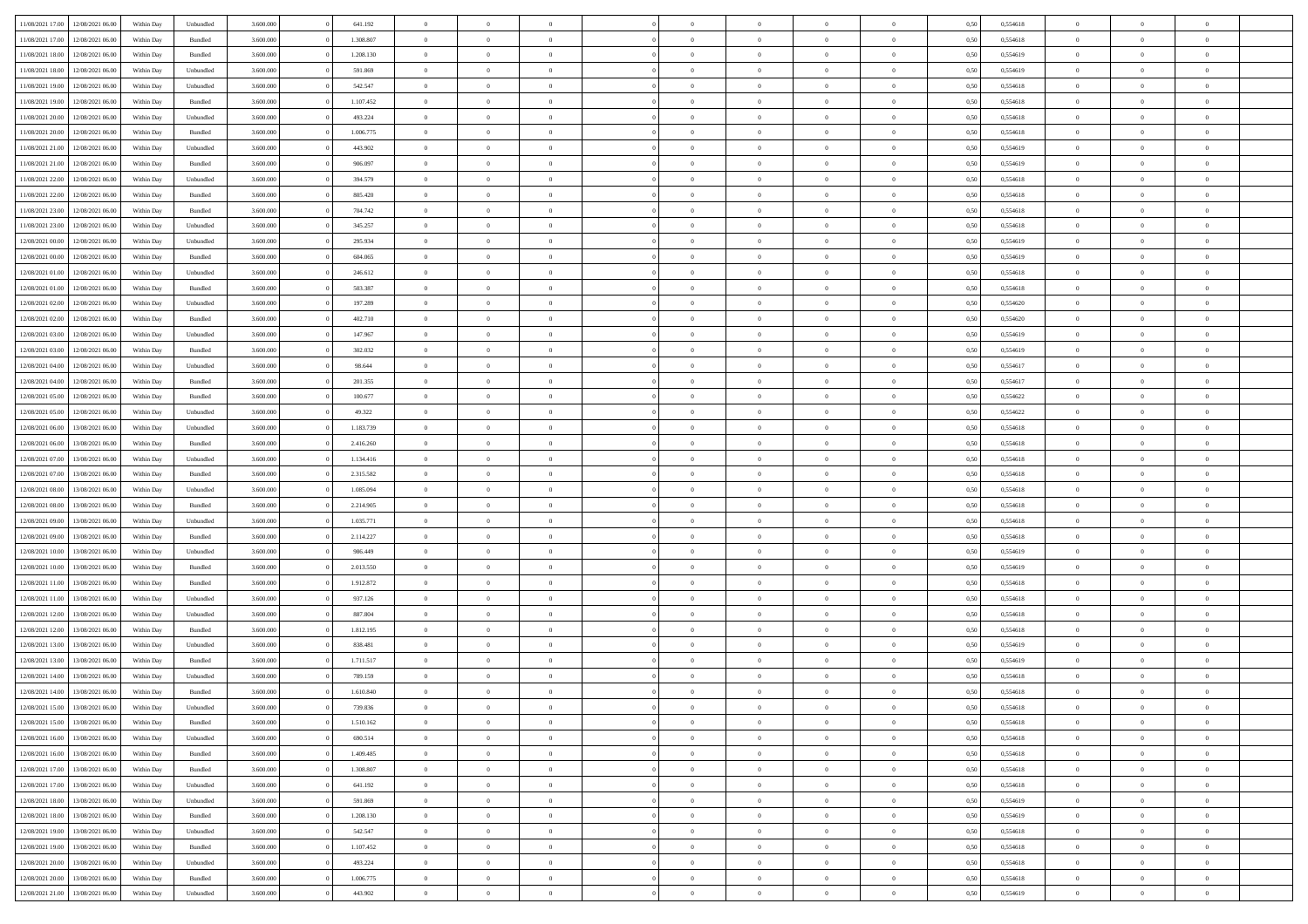| 11/08/2021 17:00 | 12/08/2021 06:00 | Within Dav | Unbundled          | 3.600.000 | 641.192   | $\overline{0}$ | $\Omega$       |                | $\Omega$       | $\Omega$       | $\Omega$       | $\theta$       | 0,50 | 0,554618 | $\theta$       | $\theta$       | $\theta$       |  |
|------------------|------------------|------------|--------------------|-----------|-----------|----------------|----------------|----------------|----------------|----------------|----------------|----------------|------|----------|----------------|----------------|----------------|--|
| 11/08/2021 17:00 | 12/08/2021 06:00 | Within Day | Bundled            | 3.600.000 | 1.308.807 | $\overline{0}$ | $\theta$       | $\overline{0}$ | $\overline{0}$ | $\bf{0}$       | $\overline{0}$ | $\bf{0}$       | 0,50 | 0,554618 | $\theta$       | $\theta$       | $\overline{0}$ |  |
| 11/08/2021 18:00 | 12/08/2021 06:00 | Within Day | Bundled            | 3.600.000 | 1.208.130 | $\overline{0}$ | $\overline{0}$ | $\overline{0}$ | $\overline{0}$ | $\bf{0}$       | $\overline{0}$ | $\bf{0}$       | 0,50 | 0,554619 | $\overline{0}$ | $\overline{0}$ | $\overline{0}$ |  |
|                  |                  |            |                    |           |           |                |                |                |                |                |                |                |      |          | $\theta$       |                |                |  |
| 11/08/2021 18:00 | 12/08/2021 06:00 | Within Day | Unbundled          | 3.600,000 | 591.869   | $\overline{0}$ | $\overline{0}$ | $\overline{0}$ | $\overline{0}$ | $\bf{0}$       | $\overline{0}$ | $\overline{0}$ | 0.50 | 0.554619 |                | $\theta$       | $\overline{0}$ |  |
| 11/08/2021 19:00 | 12/08/2021 06:00 | Within Day | Unbundled          | 3.600.000 | 542.547   | $\overline{0}$ | $\theta$       | $\overline{0}$ | $\overline{0}$ | $\bf{0}$       | $\overline{0}$ | $\bf{0}$       | 0,50 | 0,554618 | $\theta$       | $\overline{0}$ | $\overline{0}$ |  |
| 11/08/2021 19:00 | 12/08/2021 06:00 | Within Day | Bundled            | 3.600.000 | 1.107.452 | $\overline{0}$ | $\overline{0}$ | $\overline{0}$ | $\bf{0}$       | $\overline{0}$ | $\overline{0}$ | $\mathbf{0}$   | 0,50 | 0,554618 | $\overline{0}$ | $\overline{0}$ | $\bf{0}$       |  |
| 11/08/2021 20:00 | 12/08/2021 06:00 | Within Dav | Unbundled          | 3.600.000 | 493.224   | $\overline{0}$ | $\overline{0}$ | $\overline{0}$ | $\overline{0}$ | $\overline{0}$ | $\overline{0}$ | $\overline{0}$ | 0.50 | 0,554618 | $\theta$       | $\overline{0}$ | $\overline{0}$ |  |
|                  |                  |            |                    |           |           |                |                |                |                |                |                |                |      |          |                |                |                |  |
| 11/08/2021 20:00 | 12/08/2021 06:00 | Within Day | Bundled            | 3.600.000 | 1.006.775 | $\overline{0}$ | $\theta$       | $\overline{0}$ | $\overline{0}$ | $\bf{0}$       | $\overline{0}$ | $\bf{0}$       | 0,50 | 0,554618 | $\theta$       | $\theta$       | $\overline{0}$ |  |
| 11/08/2021 21:00 | 12/08/2021 06:00 | Within Day | Unbundled          | 3.600.000 | 443.902   | $\overline{0}$ | $\overline{0}$ | $\overline{0}$ | $\bf{0}$       | $\bf{0}$       | $\bf{0}$       | $\bf{0}$       | 0,50 | 0,554619 | $\,0\,$        | $\overline{0}$ | $\overline{0}$ |  |
| 11/08/2021 21:00 | 12/08/2021 06:00 | Within Dav | Bundled            | 3.600.000 | 906.097   | $\overline{0}$ | $\overline{0}$ | $\overline{0}$ | $\overline{0}$ | $\overline{0}$ | $\overline{0}$ | $\overline{0}$ | 0.50 | 0.554619 | $\theta$       | $\overline{0}$ | $\overline{0}$ |  |
| 11/08/2021 22:00 | 12/08/2021 06:00 |            |                    | 3.600.000 | 394.579   | $\overline{0}$ | $\theta$       | $\overline{0}$ | $\overline{0}$ | $\bf{0}$       | $\overline{0}$ |                |      | 0,554618 | $\,$ 0 $\,$    | $\overline{0}$ | $\overline{0}$ |  |
|                  |                  | Within Day | Unbundled          |           |           |                |                |                |                |                |                | $\bf{0}$       | 0,50 |          |                |                |                |  |
| 11/08/2021 22:00 | 12/08/2021 06:00 | Within Day | Bundled            | 3.600.000 | 805.420   | $\overline{0}$ | $\overline{0}$ | $\overline{0}$ | $\bf{0}$       | $\bf{0}$       | $\bf{0}$       | $\mathbf{0}$   | 0,50 | 0,554618 | $\overline{0}$ | $\overline{0}$ | $\overline{0}$ |  |
| 11/08/2021 23:00 | 12/08/2021 06:00 | Within Day | Bundled            | 3.600.000 | 704.742   | $\overline{0}$ | $\overline{0}$ | $\overline{0}$ | $\overline{0}$ | $\bf{0}$       | $\overline{0}$ | $\overline{0}$ | 0.50 | 0.554618 | $\theta$       | $\theta$       | $\overline{0}$ |  |
| 11/08/2021 23:00 | 12/08/2021 06:00 | Within Day | Unbundled          | 3.600.000 | 345.257   | $\overline{0}$ | $\theta$       | $\overline{0}$ | $\overline{0}$ | $\bf{0}$       | $\overline{0}$ | $\bf{0}$       | 0,50 | 0,554618 | $\theta$       | $\overline{0}$ | $\overline{0}$ |  |
|                  |                  |            |                    |           |           |                |                |                |                |                |                |                |      |          |                |                |                |  |
| 12/08/2021 00:00 | 12/08/2021 06:00 | Within Day | Unbundled          | 3.600.000 | 295.934   | $\overline{0}$ | $\overline{0}$ | $\overline{0}$ | $\bf{0}$       | $\overline{0}$ | $\overline{0}$ | $\mathbf{0}$   | 0,50 | 0,554619 | $\bf{0}$       | $\overline{0}$ | $\bf{0}$       |  |
| 12/08/2021 00:00 | 12/08/2021 06:00 | Within Dav | Bundled            | 3.600.000 | 604.065   | $\overline{0}$ | $\overline{0}$ | $\overline{0}$ | $\overline{0}$ | $\overline{0}$ | $\overline{0}$ | $\overline{0}$ | 0.50 | 0.554619 | $\theta$       | $\overline{0}$ | $\overline{0}$ |  |
| 12/08/2021 01:00 | 12/08/2021 06:00 | Within Day | Unbundled          | 3.600.000 | 246.612   | $\overline{0}$ | $\theta$       | $\overline{0}$ | $\overline{0}$ | $\bf{0}$       | $\overline{0}$ | $\bf{0}$       | 0,50 | 0,554618 | $\theta$       | $\theta$       | $\overline{0}$ |  |
| 12/08/2021 01:00 | 12/08/2021 06:00 | Within Day | Bundled            | 3.600.000 | 503.387   | $\overline{0}$ | $\overline{0}$ | $\overline{0}$ | $\bf{0}$       | $\bf{0}$       | $\bf{0}$       | $\mathbf{0}$   | 0,50 | 0,554618 | $\,0\,$        | $\overline{0}$ | $\overline{0}$ |  |
|                  |                  |            |                    |           |           |                |                |                |                |                |                |                |      |          |                |                |                |  |
| 12/08/2021 02:00 | 12/08/2021 06:00 | Within Day | Unbundled          | 3.600.000 | 197.289   | $\overline{0}$ | $\overline{0}$ | $\overline{0}$ | $\overline{0}$ | $\overline{0}$ | $\overline{0}$ | $\overline{0}$ | 0.50 | 0,554620 | $\theta$       | $\overline{0}$ | $\overline{0}$ |  |
| 12/08/2021 02:00 | 12/08/2021 06:00 | Within Day | Bundled            | 3.600.000 | 402.710   | $\overline{0}$ | $\theta$       | $\overline{0}$ | $\overline{0}$ | $\bf{0}$       | $\overline{0}$ | $\bf{0}$       | 0,50 | 0,554620 | $\,$ 0 $\,$    | $\theta$       | $\overline{0}$ |  |
| 12/08/2021 03:00 | 12/08/2021 06:00 | Within Day | Unbundled          | 3.600.000 | 147.967   | $\overline{0}$ | $\overline{0}$ | $\overline{0}$ | $\bf{0}$       | $\bf{0}$       | $\bf{0}$       | $\bf{0}$       | 0,50 | 0,554619 | $\bf{0}$       | $\overline{0}$ | $\overline{0}$ |  |
| 12/08/2021 03:00 | 12/08/2021 06:00 | Within Day | Bundled            | 3.600,000 | 302.032   | $\overline{0}$ | $\overline{0}$ | $\overline{0}$ | $\overline{0}$ | $\bf{0}$       | $\overline{0}$ | $\overline{0}$ | 0.50 | 0.554619 | $\theta$       | $\overline{0}$ | $\overline{0}$ |  |
|                  |                  |            |                    |           |           |                |                |                |                |                |                |                |      |          |                |                |                |  |
| 12/08/2021 04:00 | 12/08/2021 06:00 | Within Day | Unbundled          | 3.600.000 | 98.644    | $\overline{0}$ | $\theta$       | $\overline{0}$ | $\overline{0}$ | $\bf{0}$       | $\overline{0}$ | $\bf{0}$       | 0,50 | 0,554617 | $\,$ 0 $\,$    | $\overline{0}$ | $\overline{0}$ |  |
| 12/08/2021 04:00 | 12/08/2021 06:00 | Within Day | Bundled            | 3.600.000 | 201.355   | $\overline{0}$ | $\overline{0}$ | $\overline{0}$ | $\overline{0}$ | $\overline{0}$ | $\overline{0}$ | $\mathbf{0}$   | 0,50 | 0,554617 | $\bf{0}$       | $\overline{0}$ | $\bf{0}$       |  |
| 12/08/2021 05:00 | 12/08/2021 06:00 | Within Dav | Bundled            | 3.600.000 | 100.677   | $\overline{0}$ | $\overline{0}$ | $\overline{0}$ | $\overline{0}$ | $\overline{0}$ | $\overline{0}$ | $\overline{0}$ | 0.50 | 0,554622 | $\theta$       | $\overline{0}$ | $\overline{0}$ |  |
| 12/08/2021 05:00 | 12/08/2021 06:00 | Within Day | Unbundled          | 3.600.000 | 49.322    | $\overline{0}$ | $\theta$       | $\overline{0}$ | $\overline{0}$ | $\bf{0}$       | $\overline{0}$ | $\bf{0}$       | 0,50 | 0,554622 | $\theta$       | $\theta$       | $\overline{0}$ |  |
|                  |                  |            |                    |           |           |                |                |                |                |                |                |                |      |          |                |                |                |  |
| 12/08/2021 06:00 | 13/08/2021 06:00 | Within Day | Unbundled          | 3.600.000 | 1.183.739 | $\overline{0}$ | $\overline{0}$ | $\overline{0}$ | $\overline{0}$ | $\bf{0}$       | $\overline{0}$ | $\bf{0}$       | 0,50 | 0,554618 | $\,0\,$        | $\overline{0}$ | $\overline{0}$ |  |
| 12/08/2021 06:00 | 13/08/2021 06:00 | Within Day | Bundled            | 3.600.000 | 2.416.260 | $\overline{0}$ | $\overline{0}$ | $\overline{0}$ | $\overline{0}$ | $\overline{0}$ | $\overline{0}$ | $\overline{0}$ | 0.50 | 0.554618 | $\theta$       | $\overline{0}$ | $\overline{0}$ |  |
| 12/08/2021 07:00 | 13/08/2021 06:00 | Within Day | Unbundled          | 3.600.000 | 1.134.416 | $\overline{0}$ | $\theta$       | $\overline{0}$ | $\overline{0}$ | $\bf{0}$       | $\overline{0}$ | $\bf{0}$       | 0,50 | 0,554618 | $\,$ 0 $\,$    | $\overline{0}$ | $\overline{0}$ |  |
| 12/08/2021 07:00 | 13/08/2021 06:00 | Within Day | Bundled            | 3.600.000 | 2.315.582 | $\overline{0}$ | $\overline{0}$ | $\overline{0}$ | $\overline{0}$ | $\bf{0}$       | $\overline{0}$ | $\bf{0}$       | 0,50 | 0,554618 | $\bf{0}$       | $\overline{0}$ | $\overline{0}$ |  |
|                  |                  |            |                    |           |           |                |                |                |                |                |                |                |      |          |                |                |                |  |
| 12/08/2021 08:00 | 13/08/2021 06:00 | Within Day | Unbundled          | 3.600.000 | 1.085.094 | $\overline{0}$ | $\Omega$       | $\Omega$       | $\Omega$       | $\Omega$       | $\overline{0}$ | $\overline{0}$ | 0,50 | 0,554618 | $\,0\,$        | $\theta$       | $\theta$       |  |
| 12/08/2021 08:00 | 13/08/2021 06:00 | Within Day | Bundled            | 3.600.000 | 2.214.905 | $\overline{0}$ | $\theta$       | $\overline{0}$ | $\overline{0}$ | $\bf{0}$       | $\overline{0}$ | $\bf{0}$       | 0,50 | 0,554618 | $\theta$       | $\theta$       | $\overline{0}$ |  |
| 12/08/2021 09:00 | 13/08/2021 06:00 | Within Day | Unbundled          | 3.600.000 | 1.035.771 | $\overline{0}$ | $\overline{0}$ | $\overline{0}$ | $\overline{0}$ | $\bf{0}$       | $\overline{0}$ | $\mathbf{0}$   | 0,50 | 0,554618 | $\bf{0}$       | $\overline{0}$ | $\bf{0}$       |  |
| 12/08/2021 09:00 | 13/08/2021 06:00 |            |                    | 3.600,000 |           | $\overline{0}$ | $\Omega$       | $\Omega$       | $\Omega$       | $\bf{0}$       | $\overline{0}$ | $\overline{0}$ | 0.50 | 0.554618 | $\theta$       | $\theta$       | $\theta$       |  |
|                  |                  | Within Day | Bundled            |           | 2.114.227 |                |                |                |                |                |                |                |      |          |                |                |                |  |
| 12/08/2021 10:00 | 13/08/2021 06:00 | Within Day | Unbundled          | 3.600.000 | 986.449   | $\overline{0}$ | $\theta$       | $\overline{0}$ | $\overline{0}$ | $\bf{0}$       | $\overline{0}$ | $\bf{0}$       | 0,50 | 0,554619 | $\,$ 0 $\,$    | $\theta$       | $\overline{0}$ |  |
| 12/08/2021 10:00 | 13/08/2021 06:00 | Within Day | Bundled            | 3.600.000 | 2.013.550 | $\overline{0}$ | $\overline{0}$ | $\overline{0}$ | $\overline{0}$ | $\bf{0}$       | $\overline{0}$ | $\bf{0}$       | 0,50 | 0,554619 | $\bf{0}$       | $\overline{0}$ | $\overline{0}$ |  |
| 12/08/2021 11:00 | 13/08/2021 06:00 | Within Day | Bundled            | 3.600,000 | 1.912.872 | $\overline{0}$ | $\Omega$       | $\Omega$       | $\Omega$       | $\theta$       | $\theta$       | $\overline{0}$ | 0.50 | 0.554618 | $\theta$       | $\theta$       | $\theta$       |  |
| 12/08/2021 11:00 | 13/08/2021 06:00 |            |                    | 3.600.000 | 937.126   | $\overline{0}$ | $\theta$       | $\overline{0}$ | $\overline{0}$ | $\bf{0}$       | $\overline{0}$ |                |      | 0,554618 | $\,$ 0 $\,$    | $\overline{0}$ | $\overline{0}$ |  |
|                  |                  | Within Day | Unbundled          |           |           |                |                |                |                |                |                | $\bf{0}$       | 0,50 |          |                |                |                |  |
| 12/08/2021 12:00 | 13/08/2021 06:00 | Within Day | Unbundled          | 3.600.000 | 887.804   | $\overline{0}$ | $\overline{0}$ | $\overline{0}$ | $\overline{0}$ | $\bf{0}$       | $\overline{0}$ | $\bf{0}$       | 0,50 | 0,554618 | $\bf{0}$       | $\overline{0}$ | $\overline{0}$ |  |
| 12/08/2021 12:00 | 13/08/2021 06:00 | Within Day | Bundled            | 3.600.000 | 1.812.195 | $\overline{0}$ | $\Omega$       | $\overline{0}$ | $\Omega$       | $\Omega$       | $\overline{0}$ | $\overline{0}$ | 0,50 | 0,554618 | $\,0\,$        | $\theta$       | $\theta$       |  |
| 12/08/2021 13:00 | 13/08/2021 06:00 | Within Day | Unbundled          | 3.600.000 | 838.481   | $\overline{0}$ | $\theta$       | $\overline{0}$ | $\overline{0}$ | $\,$ 0         | $\overline{0}$ | $\bf{0}$       | 0,50 | 0,554619 | $\,$ 0 $\,$    | $\overline{0}$ | $\overline{0}$ |  |
| 12/08/2021 13:00 | 13/08/2021 06:00 | Within Day | Bundled            | 3.600.000 | 1.711.517 | $\overline{0}$ | $\overline{0}$ | $\overline{0}$ | $\overline{0}$ | $\bf{0}$       | $\overline{0}$ | $\mathbf{0}$   | 0,50 | 0,554619 | $\bf{0}$       | $\overline{0}$ | $\bf{0}$       |  |
|                  |                  |            |                    |           |           |                |                |                |                |                |                |                |      |          |                |                |                |  |
| 12/08/2021 14:00 | 13/08/2021 06:00 | Within Day | Unbundled          | 3.600,000 | 789.159   | $\overline{0}$ | $\Omega$       | $\Omega$       | $\Omega$       | $\Omega$       | $\Omega$       | $\overline{0}$ | 0.50 | 0.554618 | $\theta$       | $\theta$       | $\theta$       |  |
| 12/08/2021 14:00 | 13/08/2021 06:00 | Within Day | Bundled            | 3.600.000 | 1.610.840 | $\overline{0}$ | $\overline{0}$ | $\overline{0}$ | $\bf{0}$       | $\,$ 0         | $\overline{0}$ | $\bf{0}$       | 0,50 | 0,554618 | $\,0\,$        | $\overline{0}$ | $\overline{0}$ |  |
| 12/08/2021 15:00 | 13/08/2021 06:00 | Within Day | Unbundled          | 3.600.000 | 739.836   | $\bf{0}$       | $\bf{0}$       |                |                |                |                |                | 0,50 | 0,554618 | $\bf{0}$       | $\overline{0}$ |                |  |
| 12/08/2021 15:00 | 13/08/2021 06:00 | Within Day | Bundled            | 3.600,000 | 1.510.162 | $\overline{0}$ | $\overline{0}$ | $\overline{0}$ | $\Omega$       | $\overline{0}$ | $\overline{0}$ | $\overline{0}$ | 0.50 | 0.554618 | $\theta$       | $\theta$       | $\theta$       |  |
|                  |                  |            |                    |           |           |                |                |                |                |                |                |                |      |          |                |                |                |  |
| 12/08/2021 16:00 | 13/08/2021 06:00 | Within Day | Unbundled          | 3.600.000 | 690.514   | $\overline{0}$ | $\,$ 0         | $\overline{0}$ | $\overline{0}$ | $\,$ 0 $\,$    | $\overline{0}$ | $\,$ 0 $\,$    | 0,50 | 0,554618 | $\,$ 0 $\,$    | $\,$ 0 $\,$    | $\,$ 0         |  |
| 12/08/2021 16:00 | 13/08/2021 06:00 | Within Day | Bundled            | 3.600.000 | 1.409.485 | $\overline{0}$ | $\overline{0}$ | $\overline{0}$ | $\overline{0}$ | $\overline{0}$ | $\overline{0}$ | $\mathbf{0}$   | 0,50 | 0,554618 | $\overline{0}$ | $\bf{0}$       | $\bf{0}$       |  |
| 12/08/2021 17:00 | 13/08/2021 06:00 | Within Day | $\mathbf B$ undled | 3.600.000 | 1.308.807 | $\overline{0}$ | $\overline{0}$ | $\overline{0}$ | $\Omega$       | $\overline{0}$ | $\overline{0}$ | $\overline{0}$ | 0,50 | 0,554618 | $\overline{0}$ | $\theta$       | $\overline{0}$ |  |
|                  |                  |            |                    |           |           |                |                |                |                |                |                |                |      |          |                |                |                |  |
| 12/08/2021 17:00 | 13/08/2021 06:00 | Within Day | Unbundled          | 3.600.000 | 641.192   | $\overline{0}$ | $\,$ 0         | $\overline{0}$ | $\bf{0}$       | $\,$ 0 $\,$    | $\overline{0}$ | $\mathbf{0}$   | 0,50 | 0,554618 | $\,$ 0 $\,$    | $\overline{0}$ | $\overline{0}$ |  |
| 12/08/2021 18:00 | 13/08/2021 06:00 | Within Day | Unbundled          | 3.600.000 | 591.869   | $\overline{0}$ | $\overline{0}$ | $\overline{0}$ | $\overline{0}$ | $\overline{0}$ | $\overline{0}$ | $\mathbf{0}$   | 0,50 | 0,554619 | $\overline{0}$ | $\overline{0}$ | $\bf{0}$       |  |
| 12/08/2021 18:00 | 13/08/2021 06:00 | Within Day | Bundled            | 3.600.000 | 1.208.130 | $\overline{0}$ | $\overline{0}$ | $\overline{0}$ | $\overline{0}$ | $\overline{0}$ | $\overline{0}$ | $\bf{0}$       | 0.50 | 0,554619 | $\overline{0}$ | $\theta$       | $\overline{0}$ |  |
| 12/08/2021 19:00 | 13/08/2021 06:00 | Within Day | Unbundled          | 3.600.000 | 542.547   | $\overline{0}$ | $\,$ 0         | $\overline{0}$ | $\bf{0}$       | $\bf{0}$       | $\bf{0}$       | $\bf{0}$       | 0,50 | 0,554618 | $\,$ 0 $\,$    | $\overline{0}$ | $\overline{0}$ |  |
|                  |                  |            |                    |           |           |                |                |                |                |                |                |                |      |          |                |                |                |  |
| 12/08/2021 19:00 | 13/08/2021 06:00 | Within Day | Bundled            | 3.600.000 | 1.107.452 | $\overline{0}$ | $\bf{0}$       | $\overline{0}$ | $\overline{0}$ | $\overline{0}$ | $\overline{0}$ | $\mathbf{0}$   | 0,50 | 0,554618 | $\overline{0}$ | $\overline{0}$ | $\bf{0}$       |  |
| 12/08/2021 20:00 | 13/08/2021 06:00 | Within Day | Unbundled          | 3.600,000 | 493.224   | $\overline{0}$ | $\overline{0}$ | $\overline{0}$ | $\Omega$       | $\overline{0}$ | $\overline{0}$ | $\overline{0}$ | 0.50 | 0,554618 | $\overline{0}$ | $\overline{0}$ | $\overline{0}$ |  |
| 12/08/2021 20:00 | 13/08/2021 06:00 | Within Day | Bundled            | 3.600.000 | 1.006.775 | $\overline{0}$ | $\bf{0}$       | $\overline{0}$ | $\overline{0}$ | $\bf{0}$       | $\bf{0}$       | $\mathbf{0}$   | 0,50 | 0,554618 | $\,$ 0 $\,$    | $\,$ 0 $\,$    | $\bf{0}$       |  |
| 12/08/2021 21:00 | 13/08/2021 06:00 | Within Day | Unbundled          | 3.600.000 | 443.902   | $\overline{0}$ | $\bf{0}$       | $\overline{0}$ | $\overline{0}$ | $\bf{0}$       | $\bf{0}$       | $\bf{0}$       | 0,50 | 0,554619 | $\overline{0}$ | $\overline{0}$ | $\bf{0}$       |  |
|                  |                  |            |                    |           |           |                |                |                |                |                |                |                |      |          |                |                |                |  |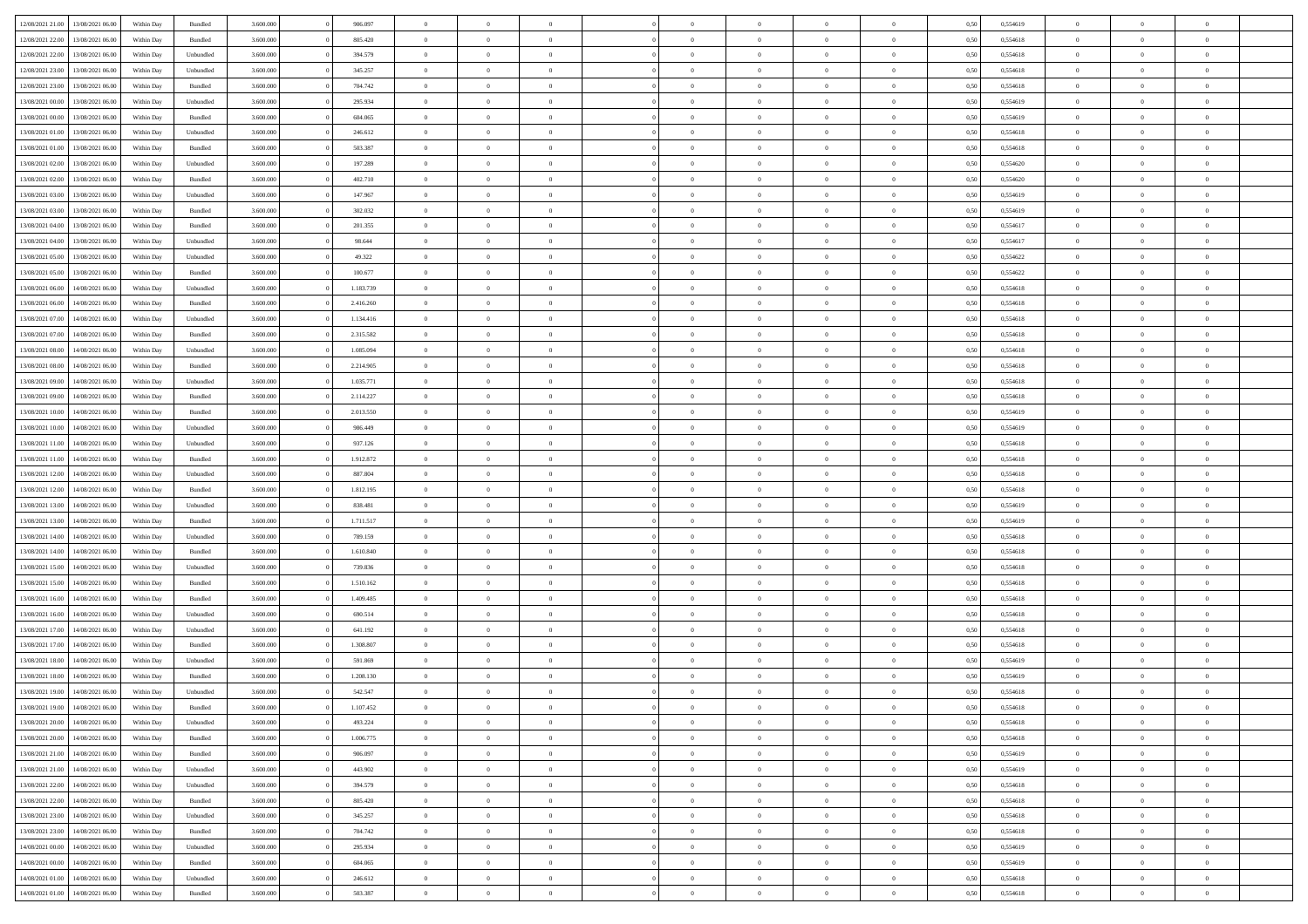| 12/08/2021 21:00 | 13/08/2021 06:00 | Within Day | Bundled            | 3.600.000 | 906.097   | $\overline{0}$ | $\Omega$       |                | $\Omega$       | $\Omega$       | $\Omega$       | $\theta$       | 0,50 | 0,554619 | $\theta$       | $\theta$       | $\theta$       |  |
|------------------|------------------|------------|--------------------|-----------|-----------|----------------|----------------|----------------|----------------|----------------|----------------|----------------|------|----------|----------------|----------------|----------------|--|
| 12/08/2021 22:00 | 13/08/2021 06:00 | Within Day | Bundled            | 3.600.000 | 805.420   | $\overline{0}$ | $\theta$       | $\overline{0}$ | $\overline{0}$ | $\bf{0}$       | $\overline{0}$ | $\bf{0}$       | 0,50 | 0,554618 | $\theta$       | $\theta$       | $\overline{0}$ |  |
| 12/08/2021 22:00 | 13/08/2021 06:00 | Within Day | Unbundled          | 3.600.000 | 394.579   | $\overline{0}$ | $\overline{0}$ | $\overline{0}$ | $\bf{0}$       | $\bf{0}$       | $\bf{0}$       | $\bf{0}$       | 0,50 | 0,554618 | $\bf{0}$       | $\overline{0}$ | $\overline{0}$ |  |
| 12/08/2021 23:00 | 13/08/2021 06:00 | Within Day | Unbundled          | 3.600,000 | 345.257   | $\overline{0}$ | $\overline{0}$ | $\overline{0}$ | $\overline{0}$ | $\bf{0}$       | $\overline{0}$ | $\overline{0}$ | 0.50 | 0.554618 | $\theta$       | $\theta$       | $\overline{0}$ |  |
| 12/08/2021 23:00 | 13/08/2021 06:00 | Within Day | Bundled            | 3.600.000 | 704.742   | $\overline{0}$ | $\theta$       | $\overline{0}$ | $\overline{0}$ | $\bf{0}$       | $\overline{0}$ | $\bf{0}$       | 0,50 | 0,554618 | $\theta$       | $\theta$       | $\overline{0}$ |  |
|                  |                  |            |                    |           |           |                |                |                |                |                |                |                |      |          |                |                |                |  |
| 13/08/2021 00:00 | 13/08/2021 06:00 | Within Day | Unbundled          | 3.600.000 | 295.934   | $\overline{0}$ | $\bf{0}$       | $\overline{0}$ | $\bf{0}$       | $\overline{0}$ | $\overline{0}$ | $\mathbf{0}$   | 0,50 | 0,554619 | $\bf{0}$       | $\overline{0}$ | $\bf{0}$       |  |
| 13/08/2021 00:00 | 13/08/2021 06:00 | Within Dav | Bundled            | 3.600.000 | 604.065   | $\overline{0}$ | $\overline{0}$ | $\overline{0}$ | $\overline{0}$ | $\overline{0}$ | $\overline{0}$ | $\overline{0}$ | 0.50 | 0,554619 | $\theta$       | $\overline{0}$ | $\overline{0}$ |  |
| 13/08/2021 01:00 | 13/08/2021 06:00 | Within Day | Unbundled          | 3.600.000 | 246.612   | $\overline{0}$ | $\theta$       | $\overline{0}$ | $\overline{0}$ | $\bf{0}$       | $\overline{0}$ | $\bf{0}$       | 0,50 | 0,554618 | $\theta$       | $\theta$       | $\overline{0}$ |  |
| 13/08/2021 01:00 | 13/08/2021 06:00 | Within Day | Bundled            | 3.600.000 | 503.387   | $\overline{0}$ | $\overline{0}$ | $\overline{0}$ | $\bf{0}$       | $\bf{0}$       | $\bf{0}$       | $\bf{0}$       | 0,50 | 0,554618 | $\,0\,$        | $\overline{0}$ | $\overline{0}$ |  |
| 13/08/2021 02:00 | 13/08/2021 06:00 | Within Dav | Unbundled          | 3.600.000 | 197.289   | $\overline{0}$ | $\overline{0}$ | $\overline{0}$ | $\overline{0}$ | $\overline{0}$ | $\overline{0}$ | $\overline{0}$ | 0.50 | 0,554620 | $\theta$       | $\overline{0}$ | $\overline{0}$ |  |
| 13/08/2021 02:00 | 13/08/2021 06:00 | Within Day | Bundled            | 3.600.000 | 402.710   | $\overline{0}$ | $\theta$       | $\overline{0}$ | $\overline{0}$ | $\bf{0}$       | $\overline{0}$ | $\bf{0}$       | 0,50 | 0,554620 | $\,$ 0 $\,$    | $\overline{0}$ | $\overline{0}$ |  |
| 13/08/2021 03:00 | 13/08/2021 06:00 | Within Day | Unbundled          | 3.600.000 | 147.967   | $\overline{0}$ | $\overline{0}$ | $\overline{0}$ | $\bf{0}$       | $\bf{0}$       | $\bf{0}$       | $\mathbf{0}$   | 0,50 | 0,554619 | $\bf{0}$       | $\overline{0}$ | $\overline{0}$ |  |
|                  |                  |            |                    |           |           |                |                |                |                |                |                |                |      |          | $\theta$       |                |                |  |
| 13/08/2021 03:00 | 13/08/2021 06:00 | Within Day | Bundled            | 3.600.000 | 302.032   | $\overline{0}$ | $\overline{0}$ | $\overline{0}$ | $\overline{0}$ | $\bf{0}$       | $\overline{0}$ | $\overline{0}$ | 0.50 | 0.554619 |                | $\theta$       | $\overline{0}$ |  |
| 13/08/2021 04:00 | 13/08/2021 06:00 | Within Day | Bundled            | 3.600.000 | 201.355   | $\overline{0}$ | $\theta$       | $\overline{0}$ | $\overline{0}$ | $\bf{0}$       | $\overline{0}$ | $\bf{0}$       | 0,50 | 0,554617 | $\theta$       | $\overline{0}$ | $\overline{0}$ |  |
| 13/08/2021 04:00 | 13/08/2021 06:00 | Within Day | Unbundled          | 3.600.000 | 98.644    | $\overline{0}$ | $\overline{0}$ | $\overline{0}$ | $\bf{0}$       | $\overline{0}$ | $\overline{0}$ | $\mathbf{0}$   | 0,50 | 0,554617 | $\bf{0}$       | $\overline{0}$ | $\bf{0}$       |  |
| 13/08/2021 05:00 | 13/08/2021 06:00 | Within Day | Unbundled          | 3.600.000 | 49.322    | $\overline{0}$ | $\overline{0}$ | $\overline{0}$ | $\overline{0}$ | $\overline{0}$ | $\overline{0}$ | $\overline{0}$ | 0.50 | 0,554622 | $\theta$       | $\overline{0}$ | $\overline{0}$ |  |
| 13/08/2021 05:00 | 13/08/2021 06:00 | Within Day | Bundled            | 3.600.000 | 100.677   | $\overline{0}$ | $\theta$       | $\overline{0}$ | $\overline{0}$ | $\bf{0}$       | $\overline{0}$ | $\bf{0}$       | 0,50 | 0,554622 | $\theta$       | $\theta$       | $\overline{0}$ |  |
| 13/08/2021 06:00 | 14/08/2021 06:00 | Within Day | Unbundled          | 3.600.000 | 1.183.739 | $\overline{0}$ | $\overline{0}$ | $\overline{0}$ | $\overline{0}$ | $\bf{0}$       | $\overline{0}$ | $\mathbf{0}$   | 0,50 | 0,554618 | $\,0\,$        | $\overline{0}$ | $\overline{0}$ |  |
| 13/08/2021 06:00 | 14/08/2021 06:00 | Within Day | Bundled            | 3.600.000 | 2.416.260 | $\overline{0}$ | $\overline{0}$ | $\overline{0}$ | $\overline{0}$ | $\overline{0}$ | $\overline{0}$ | $\overline{0}$ | 0.50 | 0.554618 | $\theta$       | $\overline{0}$ | $\overline{0}$ |  |
|                  |                  |            |                    |           |           |                |                |                |                |                |                |                |      |          |                |                |                |  |
| 13/08/2021 07:00 | 14/08/2021 06:00 | Within Day | Unbundled          | 3.600.000 | 1.134.416 | $\overline{0}$ | $\theta$       | $\overline{0}$ | $\overline{0}$ | $\bf{0}$       | $\overline{0}$ | $\bf{0}$       | 0,50 | 0,554618 | $\,$ 0 $\,$    | $\theta$       | $\overline{0}$ |  |
| 13/08/2021 07:00 | 14/08/2021 06:00 | Within Day | Bundled            | 3.600.000 | 2.315.582 | $\overline{0}$ | $\overline{0}$ | $\overline{0}$ | $\overline{0}$ | $\bf{0}$       | $\overline{0}$ | $\bf{0}$       | 0,50 | 0,554618 | $\bf{0}$       | $\overline{0}$ | $\overline{0}$ |  |
| 13/08/2021 08:00 | 14/08/2021 06:00 | Within Day | Unbundled          | 3.600,000 | 1.085.094 | $\overline{0}$ | $\overline{0}$ | $\overline{0}$ | $\overline{0}$ | $\bf{0}$       | $\overline{0}$ | $\overline{0}$ | 0.50 | 0.554618 | $\theta$       | $\theta$       | $\overline{0}$ |  |
| 13/08/2021 08:00 | 14/08/2021 06:00 | Within Day | Bundled            | 3.600.000 | 2.214.905 | $\overline{0}$ | $\theta$       | $\overline{0}$ | $\overline{0}$ | $\bf{0}$       | $\overline{0}$ | $\bf{0}$       | 0,50 | 0,554618 | $\,$ 0 $\,$    | $\overline{0}$ | $\overline{0}$ |  |
| 13/08/2021 09:00 | 14/08/2021 06:00 | Within Day | Unbundled          | 3.600.000 | 1.035.771 | $\overline{0}$ | $\bf{0}$       | $\overline{0}$ | $\overline{0}$ | $\overline{0}$ | $\overline{0}$ | $\mathbf{0}$   | 0,50 | 0,554618 | $\overline{0}$ | $\overline{0}$ | $\bf{0}$       |  |
| 13/08/2021 09:00 | 14/08/2021 06:00 | Within Dav | Bundled            | 3.600.000 | 2.114.227 | $\overline{0}$ | $\overline{0}$ | $\overline{0}$ | $\overline{0}$ | $\overline{0}$ | $\overline{0}$ | $\overline{0}$ | 0.50 | 0.554618 | $\theta$       | $\overline{0}$ | $\overline{0}$ |  |
| 13/08/2021 10:00 | 14/08/2021 06:00 |            |                    | 3.600.000 | 2.013.550 | $\overline{0}$ | $\theta$       | $\overline{0}$ | $\overline{0}$ | $\bf{0}$       | $\overline{0}$ |                |      | 0,554619 | $\theta$       | $\theta$       | $\overline{0}$ |  |
|                  |                  | Within Day | Bundled            |           |           |                |                |                |                |                |                | $\bf{0}$       | 0,50 |          |                |                |                |  |
| 13/08/2021 10:00 | 14/08/2021 06:00 | Within Day | Unbundled          | 3.600.000 | 986.449   | $\overline{0}$ | $\overline{0}$ | $\overline{0}$ | $\overline{0}$ | $\bf{0}$       | $\overline{0}$ | $\bf{0}$       | 0,50 | 0,554619 | $\,0\,$        | $\overline{0}$ | $\overline{0}$ |  |
| 13/08/2021 11:00 | 14/08/2021 06:00 | Within Day | Unbundled          | 3.600.000 | 937.126   | $\overline{0}$ | $\overline{0}$ | $\overline{0}$ | $\overline{0}$ | $\overline{0}$ | $\overline{0}$ | $\overline{0}$ | 0.50 | 0.554618 | $\theta$       | $\overline{0}$ | $\overline{0}$ |  |
| 13/08/2021 11:00 | 14/08/2021 06:00 | Within Day | Bundled            | 3.600.000 | 1.912.872 | $\overline{0}$ | $\theta$       | $\overline{0}$ | $\overline{0}$ | $\bf{0}$       | $\overline{0}$ | $\bf{0}$       | 0,50 | 0,554618 | $\,$ 0 $\,$    | $\overline{0}$ | $\overline{0}$ |  |
| 13/08/2021 12:00 | 14/08/2021 06:00 | Within Day | Unbundled          | 3.600.000 | 887.804   | $\overline{0}$ | $\overline{0}$ | $\overline{0}$ | $\overline{0}$ | $\bf{0}$       | $\overline{0}$ | $\bf{0}$       | 0,50 | 0,554618 | $\overline{0}$ | $\overline{0}$ | $\overline{0}$ |  |
| 13/08/2021 12:00 | 14/08/2021 06:00 | Within Day | Bundled            | 3.600.000 | 1.812.195 | $\overline{0}$ | $\Omega$       | $\Omega$       | $\Omega$       | $\Omega$       | $\overline{0}$ | $\overline{0}$ | 0,50 | 0,554618 | $\,0\,$        | $\theta$       | $\theta$       |  |
| 13/08/2021 13:00 | 14/08/2021 06:00 | Within Day | Unbundled          | 3.600.000 | 838.481   | $\overline{0}$ | $\theta$       | $\overline{0}$ | $\overline{0}$ | $\bf{0}$       | $\overline{0}$ | $\bf{0}$       | 0,50 | 0,554619 | $\theta$       | $\theta$       | $\overline{0}$ |  |
|                  |                  |            |                    |           |           |                |                |                |                |                |                |                |      |          |                |                |                |  |
| 13/08/2021 13:00 | 14/08/2021 06:00 | Within Day | Bundled            | 3.600.000 | 1.711.517 | $\overline{0}$ | $\overline{0}$ | $\overline{0}$ | $\overline{0}$ | $\bf{0}$       | $\overline{0}$ | $\mathbf{0}$   | 0,50 | 0,554619 | $\overline{0}$ | $\overline{0}$ | $\bf{0}$       |  |
| 13/08/2021 14:00 | 14/08/2021 06:00 | Within Day | Unbundled          | 3.600,000 | 789.159   | $\overline{0}$ | $\Omega$       | $\Omega$       | $\Omega$       | $\bf{0}$       | $\overline{0}$ | $\overline{0}$ | 0.50 | 0.554618 | $\theta$       | $\theta$       | $\theta$       |  |
| 13/08/2021 14:00 | 14/08/2021 06:00 | Within Day | Bundled            | 3.600.000 | 1.610.840 | $\overline{0}$ | $\theta$       | $\overline{0}$ | $\overline{0}$ | $\bf{0}$       | $\overline{0}$ | $\bf{0}$       | 0,50 | 0,554618 | $\,$ 0 $\,$    | $\theta$       | $\overline{0}$ |  |
| 13/08/2021 15:00 | 14/08/2021 06:00 | Within Day | Unbundled          | 3.600.000 | 739.836   | $\overline{0}$ | $\overline{0}$ | $\overline{0}$ | $\bf{0}$       | $\bf{0}$       | $\bf{0}$       | $\bf{0}$       | 0,50 | 0,554618 | $\,0\,$        | $\overline{0}$ | $\overline{0}$ |  |
| 13/08/2021 15:00 | 14/08/2021 06:00 | Within Day | Bundled            | 3.600,000 | 1.510.162 | $\overline{0}$ | $\Omega$       | $\Omega$       | $\Omega$       | $\theta$       | $\overline{0}$ | $\overline{0}$ | 0.50 | 0.554618 | $\theta$       | $\theta$       | $\theta$       |  |
| 13/08/2021 16:00 | 14/08/2021 06:00 | Within Day | Bundled            | 3.600.000 | 1.409.485 | $\overline{0}$ | $\theta$       | $\overline{0}$ | $\overline{0}$ | $\bf{0}$       | $\overline{0}$ | $\bf{0}$       | 0,50 | 0,554618 | $\,$ 0 $\,$    | $\overline{0}$ | $\overline{0}$ |  |
| 13/08/2021 16:00 | 14/08/2021 06:00 | Within Day | Unbundled          | 3.600.000 | 690.514   | $\overline{0}$ | $\overline{0}$ | $\overline{0}$ | $\bf{0}$       | $\bf{0}$       | $\bf{0}$       | $\bf{0}$       | 0,50 | 0,554618 | $\overline{0}$ | $\overline{0}$ | $\overline{0}$ |  |
| 13/08/2021 17:00 | 14/08/2021 06:00 |            |                    | 3.600.000 | 641.192   | $\overline{0}$ | $\Omega$       | $\overline{0}$ | $\Omega$       | $\overline{0}$ | $\overline{0}$ | $\overline{0}$ | 0,50 | 0,554618 | $\,0\,$        | $\theta$       | $\theta$       |  |
|                  |                  | Within Day | Unbundled          |           |           |                |                |                |                |                |                |                |      |          |                |                |                |  |
| 13/08/2021 17:00 | 14/08/2021 06:00 | Within Day | Bundled            | 3.600.000 | 1.308.807 | $\overline{0}$ | $\theta$       | $\overline{0}$ | $\overline{0}$ | $\,$ 0         | $\overline{0}$ | $\bf{0}$       | 0,50 | 0,554618 | $\,$ 0 $\,$    | $\overline{0}$ | $\overline{0}$ |  |
| 13/08/2021 18:00 | 14/08/2021 06:00 | Within Day | Unbundled          | 3.600.000 | 591.869   | $\overline{0}$ | $\overline{0}$ | $\overline{0}$ | $\bf{0}$       | $\bf{0}$       | $\bf{0}$       | $\mathbf{0}$   | 0,50 | 0,554619 | $\overline{0}$ | $\overline{0}$ | $\bf{0}$       |  |
| 13/08/2021 18:00 | 14/08/2021 06:00 | Within Day | Bundled            | 3.600,000 | 1.208.130 | $\overline{0}$ | $\Omega$       | $\Omega$       | $\Omega$       | $\Omega$       | $\Omega$       | $\overline{0}$ | 0.50 | 0.554619 | $\theta$       | $\theta$       | $\theta$       |  |
| 13/08/2021 19:00 | 14/08/2021 06:00 | Within Day | Unbundled          | 3.600.000 | 542.547   | $\overline{0}$ | $\overline{0}$ | $\overline{0}$ | $\bf{0}$       | $\,$ 0         | $\bf{0}$       | $\bf{0}$       | 0,50 | 0,554618 | $\,0\,$        | $\overline{0}$ | $\overline{0}$ |  |
| 13/08/2021 19:00 | 14/08/2021 06:00 | Within Day | $\mathbf B$ undled | 3.600.000 | 1.107.452 | $\bf{0}$       | $\bf{0}$       |                |                |                |                |                | 0,50 | 0,554618 | $\bf{0}$       | $\overline{0}$ |                |  |
| 13/08/2021 20:00 | 14/08/2021 06:00 | Within Day | Unbundled          | 3.600,000 | 493.224   | $\overline{0}$ | $\overline{0}$ | $\overline{0}$ | $\Omega$       | $\overline{0}$ | $\overline{0}$ | $\overline{0}$ | 0,50 | 0.554618 | $\theta$       | $\theta$       | $\theta$       |  |
| 13/08/2021 20:00 | 14/08/2021 06:00 | Within Day | Bundled            | 3.600.000 | 1.006.775 | $\overline{0}$ | $\bf{0}$       | $\overline{0}$ | $\bf{0}$       | $\,$ 0 $\,$    | $\overline{0}$ | $\,$ 0 $\,$    | 0,50 | 0,554618 | $\,$ 0 $\,$    | $\,$ 0 $\,$    | $\,$ 0         |  |
|                  |                  |            |                    |           |           |                |                |                |                |                |                |                |      |          |                |                |                |  |
| 13/08/2021 21:00 | 14/08/2021 06:00 | Within Day | Bundled            | 3.600.000 | 906.097   | $\overline{0}$ | $\overline{0}$ | $\overline{0}$ | $\overline{0}$ | $\overline{0}$ | $\overline{0}$ | $\mathbf{0}$   | 0,50 | 0,554619 | $\overline{0}$ | $\bf{0}$       | $\overline{0}$ |  |
| 13/08/2021 21:00 | 14/08/2021 06:00 | Within Day | Unbundled          | 3.600.000 | 443.902   | $\overline{0}$ | $\overline{0}$ | $\overline{0}$ | $\Omega$       | $\overline{0}$ | $\overline{0}$ | $\overline{0}$ | 0,50 | 0,554619 | $\overline{0}$ | $\theta$       | $\overline{0}$ |  |
| 13/08/2021 22:00 | 14/08/2021 06:00 | Within Day | Unbundled          | 3.600.000 | 394.579   | $\overline{0}$ | $\,$ 0         | $\overline{0}$ | $\bf{0}$       | $\,$ 0 $\,$    | $\overline{0}$ | $\mathbf{0}$   | 0,50 | 0,554618 | $\,$ 0 $\,$    | $\overline{0}$ | $\,$ 0         |  |
| 13/08/2021 22:00 | 14/08/2021 06:00 | Within Day | Bundled            | 3.600.000 | 805.420   | $\overline{0}$ | $\overline{0}$ | $\overline{0}$ | $\overline{0}$ | $\overline{0}$ | $\overline{0}$ | $\mathbf{0}$   | 0,50 | 0,554618 | $\overline{0}$ | $\overline{0}$ | $\overline{0}$ |  |
| 13/08/2021 23:00 | 14/08/2021 06:00 | Within Day | Unbundled          | 3.600.000 | 345.257   | $\overline{0}$ | $\overline{0}$ | $\overline{0}$ | $\overline{0}$ | $\overline{0}$ | $\overline{0}$ | $\bf{0}$       | 0.50 | 0,554618 | $\overline{0}$ | $\theta$       | $\overline{0}$ |  |
| 13/08/2021 23:00 | 14/08/2021 06:00 | Within Day | Bundled            | 3.600.000 | 704.742   | $\overline{0}$ | $\,$ 0         | $\overline{0}$ | $\bf{0}$       | $\bf{0}$       | $\bf{0}$       | $\bf{0}$       | 0,50 | 0,554618 | $\,$ 0 $\,$    | $\overline{0}$ | $\overline{0}$ |  |
| 14/08/2021 00:00 | 14/08/2021 06:00 | Within Day | Unbundled          | 3.600.000 | 295.934   | $\overline{0}$ | $\bf{0}$       | $\overline{0}$ | $\overline{0}$ | $\overline{0}$ | $\overline{0}$ | $\mathbf{0}$   | 0,50 | 0,554619 | $\overline{0}$ | $\overline{0}$ | $\bf{0}$       |  |
|                  |                  |            |                    |           |           |                |                |                |                |                |                |                |      |          |                |                |                |  |
| 14/08/2021 00:00 | 14/08/2021 06:00 | Within Day | Bundled            | 3.600,000 | 604.065   | $\overline{0}$ | $\overline{0}$ | $\overline{0}$ | $\Omega$       | $\overline{0}$ | $\overline{0}$ | $\overline{0}$ | 0.50 | 0,554619 | $\overline{0}$ | $\overline{0}$ | $\overline{0}$ |  |
| 14/08/2021 01:00 | 14/08/2021 06:00 | Within Day | Unbundled          | 3.600.000 | 246.612   | $\overline{0}$ | $\bf{0}$       | $\overline{0}$ | $\overline{0}$ | $\bf{0}$       | $\overline{0}$ | $\mathbf{0}$   | 0,50 | 0,554618 | $\,$ 0 $\,$    | $\,$ 0 $\,$    | $\bf{0}$       |  |
| 14/08/2021 01:00 | 14/08/2021 06:00 | Within Day | Bundled            | 3.600.000 | 503.387   | $\overline{0}$ | $\bf{0}$       | $\overline{0}$ | $\overline{0}$ | $\bf{0}$       | $\overline{0}$ | $\bf{0}$       | 0,50 | 0,554618 | $\overline{0}$ | $\overline{0}$ | $\bf{0}$       |  |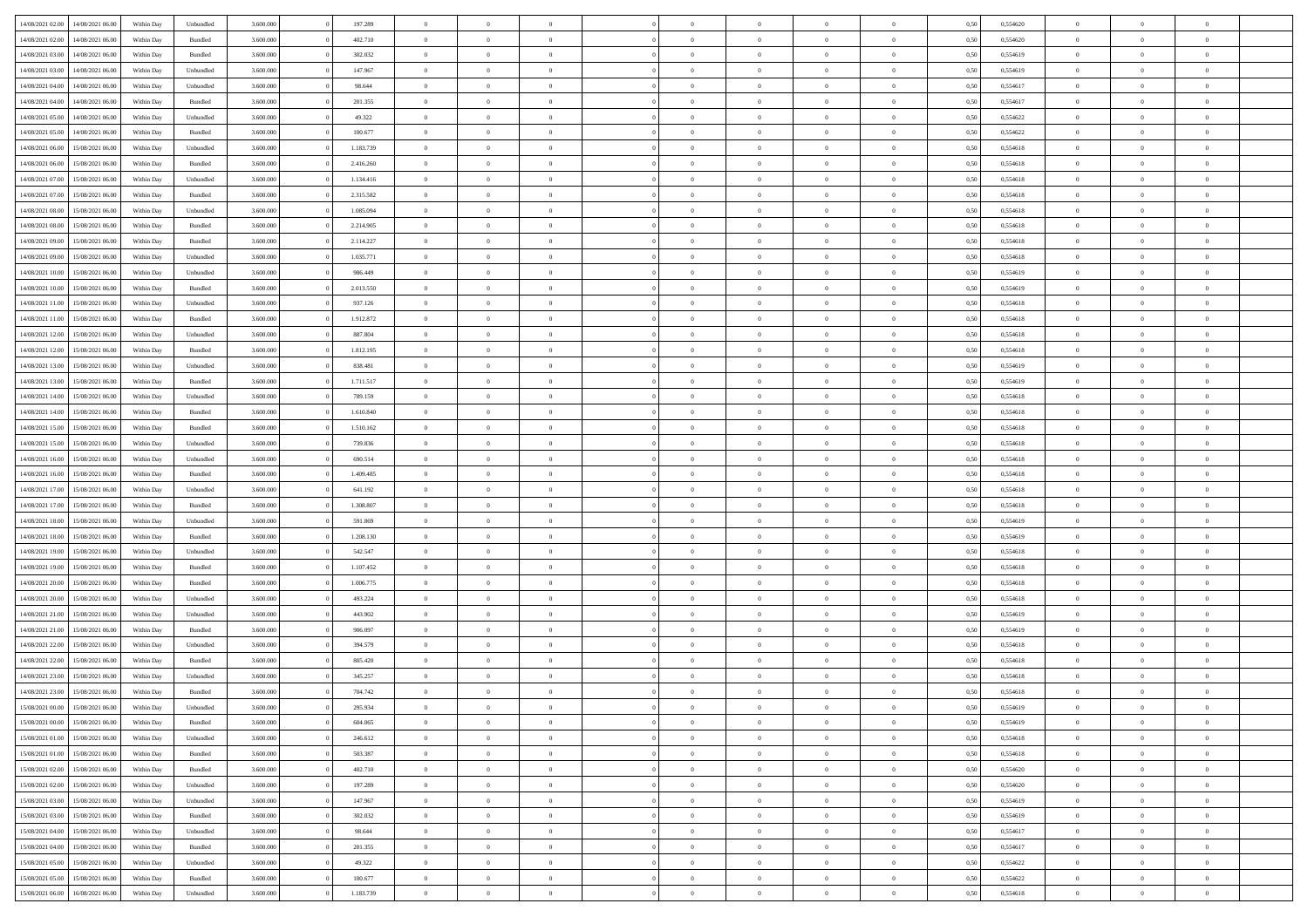| 14/08/2021 02:00 | 14/08/2021 06:00 | Within Day | Unbundled          | 3.600.000 | 197.289   | $\overline{0}$ | $\Omega$       |                | $\Omega$       | $\Omega$       | $\Omega$       | $\theta$       | 0,50 | 0,554620 | $\theta$       | $\theta$       | $\theta$       |  |
|------------------|------------------|------------|--------------------|-----------|-----------|----------------|----------------|----------------|----------------|----------------|----------------|----------------|------|----------|----------------|----------------|----------------|--|
| 14/08/2021 02:00 | 14/08/2021 06:00 | Within Day | Bundled            | 3.600.000 | 402.710   | $\overline{0}$ | $\theta$       | $\overline{0}$ | $\overline{0}$ | $\bf{0}$       | $\overline{0}$ | $\bf{0}$       | 0,50 | 0,554620 | $\theta$       | $\theta$       | $\overline{0}$ |  |
| 14/08/2021 03:00 | 14/08/2021 06:00 | Within Day | Bundled            | 3.600.000 | 302.032   | $\overline{0}$ | $\overline{0}$ | $\overline{0}$ | $\overline{0}$ | $\bf{0}$       | $\overline{0}$ | $\bf{0}$       | 0,50 | 0,554619 | $\overline{0}$ | $\overline{0}$ | $\overline{0}$ |  |
| 14/08/2021 03:00 | 14/08/2021 06:00 | Within Day | Unbundled          | 3.600,000 | 147.967   | $\overline{0}$ | $\overline{0}$ | $\overline{0}$ | $\overline{0}$ | $\bf{0}$       | $\overline{0}$ | $\overline{0}$ | 0.50 | 0.554619 | $\theta$       | $\theta$       | $\overline{0}$ |  |
| 14/08/2021 04:00 | 14/08/2021 06:00 | Within Day | Unbundled          | 3.600.000 | 98.644    | $\overline{0}$ | $\theta$       | $\overline{0}$ | $\overline{0}$ | $\bf{0}$       | $\overline{0}$ | $\bf{0}$       | 0,50 | 0,554617 | $\theta$       | $\theta$       | $\overline{0}$ |  |
| 14/08/2021 04:00 | 14/08/2021 06:00 | Within Day | Bundled            | 3.600.000 | 201.355   | $\overline{0}$ | $\bf{0}$       | $\overline{0}$ | $\overline{0}$ | $\overline{0}$ | $\overline{0}$ | $\mathbf{0}$   | 0,50 | 0,554617 | $\overline{0}$ | $\overline{0}$ | $\bf{0}$       |  |
| 14/08/2021 05:00 | 14/08/2021 06:00 | Within Dav | Unbundled          | 3.600.000 | 49.322    | $\overline{0}$ | $\overline{0}$ | $\overline{0}$ | $\overline{0}$ | $\overline{0}$ | $\overline{0}$ | $\overline{0}$ | 0.50 | 0,554622 | $\theta$       | $\overline{0}$ | $\overline{0}$ |  |
|                  |                  |            |                    |           |           |                |                |                |                |                |                |                |      |          |                |                |                |  |
| 14/08/2021 05:00 | 14/08/2021 06:00 | Within Day | Bundled            | 3.600.000 | 100.677   | $\overline{0}$ | $\theta$       | $\overline{0}$ | $\overline{0}$ | $\bf{0}$       | $\overline{0}$ | $\bf{0}$       | 0,50 | 0,554622 | $\theta$       | $\theta$       | $\overline{0}$ |  |
| 14/08/2021 06:00 | 15/08/2021 06:00 | Within Day | Unbundled          | 3.600.000 | 1.183.739 | $\overline{0}$ | $\overline{0}$ | $\overline{0}$ | $\overline{0}$ | $\bf{0}$       | $\overline{0}$ | $\bf{0}$       | 0,50 | 0,554618 | $\,0\,$        | $\overline{0}$ | $\overline{0}$ |  |
| 14/08/2021 06:00 | 15/08/2021 06:00 | Within Dav | Bundled            | 3.600.000 | 2.416.260 | $\overline{0}$ | $\overline{0}$ | $\overline{0}$ | $\overline{0}$ | $\overline{0}$ | $\overline{0}$ | $\overline{0}$ | 0.50 | 0.554618 | $\theta$       | $\overline{0}$ | $\overline{0}$ |  |
| 14/08/2021 07:00 | 15/08/2021 06:00 | Within Day | Unbundled          | 3.600.000 | 1.134.416 | $\overline{0}$ | $\theta$       | $\overline{0}$ | $\overline{0}$ | $\bf{0}$       | $\overline{0}$ | $\bf{0}$       | 0,50 | 0,554618 | $\,$ 0 $\,$    | $\overline{0}$ | $\overline{0}$ |  |
| 14/08/2021 07:00 | 15/08/2021 06:00 | Within Day | Bundled            | 3.600.000 | 2.315.582 | $\overline{0}$ | $\overline{0}$ | $\overline{0}$ | $\overline{0}$ | $\bf{0}$       | $\overline{0}$ | $\bf{0}$       | 0,50 | 0,554618 | $\overline{0}$ | $\overline{0}$ | $\overline{0}$ |  |
| 14/08/2021 08:00 | 15/08/2021 06:00 | Within Day | Unbundled          | 3.600.000 | 1.085.094 | $\overline{0}$ | $\overline{0}$ | $\overline{0}$ | $\overline{0}$ | $\bf{0}$       | $\overline{0}$ | $\overline{0}$ | 0.50 | 0.554618 | $\theta$       | $\theta$       | $\overline{0}$ |  |
| 14/08/2021 08:00 | 15/08/2021 06:00 | Within Day | Bundled            | 3.600.000 | 2.214.905 | $\overline{0}$ | $\theta$       | $\overline{0}$ | $\overline{0}$ | $\bf{0}$       | $\overline{0}$ | $\bf{0}$       | 0,50 | 0,554618 | $\theta$       | $\overline{0}$ | $\overline{0}$ |  |
|                  |                  |            |                    |           |           |                |                |                |                |                |                |                |      |          |                |                |                |  |
| 14/08/2021 09:00 | 15/08/2021 06:00 | Within Day | Bundled            | 3.600.000 | 2.114.227 | $\overline{0}$ | $\overline{0}$ | $\overline{0}$ | $\overline{0}$ | $\overline{0}$ | $\overline{0}$ | $\mathbf{0}$   | 0,50 | 0,554618 | $\overline{0}$ | $\overline{0}$ | $\bf{0}$       |  |
| 14/08/2021 09:00 | 15/08/2021 06:00 | Within Dav | Unbundled          | 3.600.000 | 1.035.771 | $\overline{0}$ | $\overline{0}$ | $\overline{0}$ | $\overline{0}$ | $\overline{0}$ | $\overline{0}$ | $\overline{0}$ | 0.50 | 0.554618 | $\theta$       | $\overline{0}$ | $\overline{0}$ |  |
| 14/08/2021 10:00 | 15/08/2021 06:00 | Within Day | Unbundled          | 3.600.000 | 986.449   | $\overline{0}$ | $\theta$       | $\overline{0}$ | $\overline{0}$ | $\bf{0}$       | $\overline{0}$ | $\bf{0}$       | 0,50 | 0,554619 | $\theta$       | $\theta$       | $\overline{0}$ |  |
| 14/08/2021 10:00 | 15/08/2021 06:00 | Within Day | Bundled            | 3.600.000 | 2.013.550 | $\overline{0}$ | $\overline{0}$ | $\overline{0}$ | $\overline{0}$ | $\bf{0}$       | $\bf{0}$       | $\bf{0}$       | 0,50 | 0,554619 | $\,0\,$        | $\overline{0}$ | $\overline{0}$ |  |
| 14/08/2021 11:00 | 15/08/2021 06:00 | Within Day | Unbundled          | 3.600.000 | 937.126   | $\overline{0}$ | $\overline{0}$ | $\overline{0}$ | $\overline{0}$ | $\overline{0}$ | $\overline{0}$ | $\overline{0}$ | 0.50 | 0,554618 | $\theta$       | $\overline{0}$ | $\overline{0}$ |  |
| 14/08/2021 11:00 | 15/08/2021 06:00 | Within Day | Bundled            | 3.600.000 | 1.912.872 | $\overline{0}$ | $\theta$       | $\overline{0}$ | $\overline{0}$ | $\bf{0}$       | $\overline{0}$ | $\bf{0}$       | 0,50 | 0,554618 | $\,$ 0 $\,$    | $\theta$       | $\overline{0}$ |  |
| 14/08/2021 12:00 | 15/08/2021 06:00 | Within Day | Unbundled          | 3.600.000 | 887.804   | $\overline{0}$ | $\overline{0}$ | $\overline{0}$ | $\bf{0}$       | $\bf{0}$       | $\bf{0}$       | $\bf{0}$       | 0,50 | 0,554618 | $\bf{0}$       | $\overline{0}$ | $\overline{0}$ |  |
| 14/08/2021 12:00 | 15/08/2021 06:00 | Within Day | Bundled            | 3.600,000 | 1.812.195 | $\overline{0}$ | $\overline{0}$ | $\overline{0}$ | $\overline{0}$ | $\bf{0}$       | $\overline{0}$ | $\overline{0}$ | 0.50 | 0.554618 | $\theta$       | $\theta$       | $\overline{0}$ |  |
|                  |                  |            |                    |           |           |                |                |                |                |                |                |                |      |          |                |                |                |  |
| 14/08/2021 13:00 | 15/08/2021 06:00 | Within Day | Unbundled          | 3.600.000 | 838.481   | $\overline{0}$ | $\theta$       | $\overline{0}$ | $\overline{0}$ | $\bf{0}$       | $\overline{0}$ | $\bf{0}$       | 0,50 | 0,554619 | $\,$ 0 $\,$    | $\overline{0}$ | $\overline{0}$ |  |
| 14/08/2021 13:00 | 15/08/2021 06:00 | Within Day | Bundled            | 3.600.000 | 1.711.517 | $\overline{0}$ | $\bf{0}$       | $\overline{0}$ | $\bf{0}$       | $\overline{0}$ | $\overline{0}$ | $\mathbf{0}$   | 0,50 | 0,554619 | $\overline{0}$ | $\overline{0}$ | $\bf{0}$       |  |
| 14/08/2021 14:00 | 15/08/2021 06:00 | Within Dav | Unbundled          | 3.600.000 | 789.159   | $\overline{0}$ | $\overline{0}$ | $\overline{0}$ | $\overline{0}$ | $\overline{0}$ | $\overline{0}$ | $\overline{0}$ | 0.50 | 0.554618 | $\theta$       | $\overline{0}$ | $\overline{0}$ |  |
| 14/08/2021 14:00 | 15/08/2021 06:00 | Within Day | Bundled            | 3.600.000 | 1.610.840 | $\overline{0}$ | $\theta$       | $\overline{0}$ | $\overline{0}$ | $\bf{0}$       | $\overline{0}$ | $\bf{0}$       | 0,50 | 0,554618 | $\theta$       | $\theta$       | $\overline{0}$ |  |
| 14/08/2021 15:00 | 15/08/2021 06:00 | Within Day | Bundled            | 3.600.000 | 1.510.162 | $\overline{0}$ | $\overline{0}$ | $\overline{0}$ | $\bf{0}$       | $\bf{0}$       | $\bf{0}$       | $\bf{0}$       | 0,50 | 0,554618 | $\,0\,$        | $\overline{0}$ | $\overline{0}$ |  |
| 14/08/2021 15:00 | 15/08/2021 06:00 | Within Day | Unbundled          | 3.600.000 | 739.836   | $\overline{0}$ | $\overline{0}$ | $\overline{0}$ | $\overline{0}$ | $\overline{0}$ | $\overline{0}$ | $\overline{0}$ | 0.50 | 0.554618 | $\theta$       | $\overline{0}$ | $\overline{0}$ |  |
| 14/08/2021 16:00 | 15/08/2021 06:00 | Within Day | Unbundled          | 3.600.000 | 690.514   | $\overline{0}$ | $\theta$       | $\overline{0}$ | $\overline{0}$ | $\bf{0}$       | $\overline{0}$ | $\bf{0}$       | 0,50 | 0,554618 | $\,$ 0 $\,$    | $\overline{0}$ | $\overline{0}$ |  |
|                  |                  |            |                    |           |           |                |                |                |                |                |                |                |      |          |                |                |                |  |
| 14/08/2021 16:00 | 15/08/2021 06:00 | Within Day | Bundled            | 3.600.000 | 1.409.485 | $\overline{0}$ | $\overline{0}$ | $\overline{0}$ | $\bf{0}$       | $\bf{0}$       | $\bf{0}$       | $\bf{0}$       | 0,50 | 0,554618 | $\overline{0}$ | $\overline{0}$ | $\overline{0}$ |  |
| 14/08/2021 17:00 | 15/08/2021 06:00 | Within Day | Unbundled          | 3.600.000 | 641.192   | $\overline{0}$ | $\Omega$       | $\Omega$       | $\Omega$       | $\Omega$       | $\Omega$       | $\overline{0}$ | 0,50 | 0,554618 | $\,0\,$        | $\theta$       | $\theta$       |  |
| 14/08/2021 17:00 | 15/08/2021 06:00 | Within Day | Bundled            | 3.600.000 | 1.308.807 | $\overline{0}$ | $\theta$       | $\overline{0}$ | $\overline{0}$ | $\bf{0}$       | $\overline{0}$ | $\bf{0}$       | 0,50 | 0,554618 | $\theta$       | $\theta$       | $\overline{0}$ |  |
| 14/08/2021 18:00 | 15/08/2021 06:00 | Within Day | Unbundled          | 3.600.000 | 591.869   | $\overline{0}$ | $\overline{0}$ | $\overline{0}$ | $\bf{0}$       | $\bf{0}$       | $\overline{0}$ | $\mathbf{0}$   | 0,50 | 0,554619 | $\overline{0}$ | $\overline{0}$ | $\bf{0}$       |  |
| 14/08/2021 18:00 | 15/08/2021 06:00 | Within Day | Bundled            | 3.600,000 | 1.208.130 | $\overline{0}$ | $\Omega$       | $\Omega$       | $\Omega$       | $\bf{0}$       | $\overline{0}$ | $\overline{0}$ | 0.50 | 0.554619 | $\theta$       | $\theta$       | $\theta$       |  |
| 14/08/2021 19:00 | 15/08/2021 06:00 | Within Day | Unbundled          | 3.600.000 | 542.547   | $\overline{0}$ | $\theta$       | $\overline{0}$ | $\overline{0}$ | $\bf{0}$       | $\overline{0}$ | $\bf{0}$       | 0,50 | 0,554618 | $\,$ 0 $\,$    | $\theta$       | $\overline{0}$ |  |
| 14/08/2021 19:00 | 15/08/2021 06:00 | Within Day | Bundled            | 3.600.000 | 1.107.452 | $\overline{0}$ | $\overline{0}$ | $\overline{0}$ | $\bf{0}$       | $\bf{0}$       | $\bf{0}$       | $\bf{0}$       | 0,50 | 0,554618 | $\,0\,$        | $\overline{0}$ | $\overline{0}$ |  |
| 14/08/2021 20:00 | 15/08/2021 06:00 | Within Day | Bundled            | 3.600,000 | 1.006.775 | $\overline{0}$ | $\Omega$       | $\Omega$       | $\Omega$       | $\theta$       | $\theta$       | $\overline{0}$ | 0.50 | 0.554618 | $\theta$       | $\theta$       | $\theta$       |  |
| 14/08/2021 20:00 | 15/08/2021 06:00 | Within Day | Unbundled          | 3.600.000 | 493.224   | $\overline{0}$ | $\theta$       | $\overline{0}$ | $\overline{0}$ | $\bf{0}$       | $\overline{0}$ | $\bf{0}$       | 0,50 | 0,554618 | $\,$ 0 $\,$    | $\overline{0}$ | $\overline{0}$ |  |
|                  |                  |            |                    |           |           |                |                |                |                |                |                |                |      |          |                |                |                |  |
| 14/08/2021 21.00 | 15/08/2021 06:00 | Within Day | Unbundled          | 3.600.000 | 443.902   | $\overline{0}$ | $\overline{0}$ | $\overline{0}$ | $\bf{0}$       | $\bf{0}$       | $\bf{0}$       | $\bf{0}$       | 0,50 | 0,554619 | $\overline{0}$ | $\overline{0}$ | $\overline{0}$ |  |
| 14/08/2021 21:00 | 15/08/2021 06:00 | Within Day | Bundled            | 3.600.000 | 906,097   | $\overline{0}$ | $\Omega$       | $\overline{0}$ | $\Omega$       | $\Omega$       | $\overline{0}$ | $\overline{0}$ | 0,50 | 0,554619 | $\,0\,$        | $\theta$       | $\theta$       |  |
| 14/08/2021 22:00 | 15/08/2021 06:00 | Within Day | Unbundled          | 3.600.000 | 394.579   | $\overline{0}$ | $\theta$       | $\overline{0}$ | $\overline{0}$ | $\bf{0}$       | $\overline{0}$ | $\bf{0}$       | 0,50 | 0,554618 | $\,$ 0 $\,$    | $\overline{0}$ | $\overline{0}$ |  |
| 14/08/2021 22:00 | 15/08/2021 06:00 | Within Day | Bundled            | 3.600.000 | 805.420   | $\overline{0}$ | $\overline{0}$ | $\overline{0}$ | $\overline{0}$ | $\bf{0}$       | $\overline{0}$ | $\mathbf{0}$   | 0,50 | 0,554618 | $\overline{0}$ | $\overline{0}$ | $\bf{0}$       |  |
| 14/08/2021 23:00 | 15/08/2021 06:00 | Within Day | Unbundled          | 3.600,000 | 345.257   | $\overline{0}$ | $\Omega$       | $\Omega$       | $\Omega$       | $\Omega$       | $\Omega$       | $\overline{0}$ | 0.50 | 0.554618 | $\theta$       | $\theta$       | $\theta$       |  |
| 14/08/2021 23:00 | 15/08/2021 06:00 | Within Day | Bundled            | 3.600.000 | 704.742   | $\overline{0}$ | $\overline{0}$ | $\overline{0}$ | $\bf{0}$       | $\,$ 0         | $\overline{0}$ | $\bf{0}$       | 0,50 | 0,554618 | $\,0\,$        | $\overline{0}$ | $\overline{0}$ |  |
| 15/08/2021 00:00 | 15/08/2021 06:00 | Within Day | Unbundled          | 3.600.000 | 295.934   | $\bf{0}$       | $\bf{0}$       |                |                |                |                |                | 0,50 | 0,554619 | $\bf{0}$       | $\overline{0}$ |                |  |
| 15/08/2021 00:00 | 15/08/2021 06:00 | Within Day | Bundled            | 3.600,000 | 604,065   | $\overline{0}$ | $\overline{0}$ | $\overline{0}$ | $\Omega$       | $\overline{0}$ | $\overline{0}$ | $\overline{0}$ | 0,50 | 0.554619 | $\theta$       | $\theta$       | $\theta$       |  |
| 15/08/2021 01:00 | 15/08/2021 06:00 |            |                    | 3.600.000 | 246.612   | $\overline{0}$ | $\bf{0}$       | $\overline{0}$ |                | $\,$ 0 $\,$    | $\overline{0}$ | $\,$ 0 $\,$    |      | 0,554618 | $\,$ 0 $\,$    | $\,$ 0 $\,$    | $\,$ 0         |  |
|                  |                  | Within Day | Unbundled          |           |           |                |                |                | $\overline{0}$ |                |                |                | 0,50 |          |                |                |                |  |
| 15/08/2021 01:00 | 15/08/2021 06:00 | Within Day | Bundled            | 3.600.000 | 503.387   | $\overline{0}$ | $\overline{0}$ | $\overline{0}$ | $\overline{0}$ | $\overline{0}$ | $\overline{0}$ | $\mathbf{0}$   | 0,50 | 0,554618 | $\overline{0}$ | $\overline{0}$ | $\overline{0}$ |  |
| 15/08/2021 02:00 | 15/08/2021 06:00 | Within Day | $\mathbf B$ undled | 3.600.000 | 402.710   | $\overline{0}$ | $\overline{0}$ | $\overline{0}$ | $\Omega$       | $\overline{0}$ | $\overline{0}$ | $\overline{0}$ | 0,50 | 0,554620 | $\overline{0}$ | $\theta$       | $\overline{0}$ |  |
| 15/08/2021 02:00 | 15/08/2021 06:00 | Within Day | Unbundled          | 3.600.000 | 197.289   | $\overline{0}$ | $\,$ 0         | $\overline{0}$ | $\overline{0}$ | $\,$ 0 $\,$    | $\overline{0}$ | $\,$ 0 $\,$    | 0,50 | 0,554620 | $\,$ 0 $\,$    | $\overline{0}$ | $\,$ 0         |  |
| 15/08/2021 03:00 | 15/08/2021 06:00 | Within Day | Unbundled          | 3.600.000 | 147.967   | $\overline{0}$ | $\overline{0}$ | $\overline{0}$ | $\overline{0}$ | $\overline{0}$ | $\overline{0}$ | $\mathbf{0}$   | 0,50 | 0,554619 | $\overline{0}$ | $\overline{0}$ | $\overline{0}$ |  |
| 15/08/2021 03:00 | 15/08/2021 06:00 | Within Day | Bundled            | 3.600.000 | 302.032   | $\overline{0}$ | $\overline{0}$ | $\overline{0}$ | $\overline{0}$ | $\overline{0}$ | $\overline{0}$ | $\overline{0}$ | 0.50 | 0,554619 | $\overline{0}$ | $\theta$       | $\overline{0}$ |  |
| 15/08/2021 04:00 | 15/08/2021 06:00 | Within Day | Unbundled          | 3.600.000 | 98.644    | $\overline{0}$ | $\,$ 0         | $\overline{0}$ | $\overline{0}$ | $\bf{0}$       | $\overline{0}$ | $\bf{0}$       | 0,50 | 0,554617 | $\,$ 0 $\,$    | $\overline{0}$ | $\overline{0}$ |  |
| 15/08/2021 04:00 | 15/08/2021 06:00 | Within Day | Bundled            | 3.600.000 | 201.355   | $\overline{0}$ | $\overline{0}$ | $\overline{0}$ | $\overline{0}$ | $\overline{0}$ | $\overline{0}$ | $\mathbf{0}$   | 0,50 | 0,554617 | $\overline{0}$ | $\overline{0}$ | $\bf{0}$       |  |
|                  |                  |            |                    |           |           |                |                |                |                |                |                |                |      |          |                |                |                |  |
| 15/08/2021 05:00 | 15/08/2021 06:00 | Within Day | Unbundled          | 3.600,000 | 49.322    | $\overline{0}$ | $\overline{0}$ | $\overline{0}$ | $\Omega$       | $\overline{0}$ | $\overline{0}$ | $\overline{0}$ | 0.50 | 0,554622 | $\overline{0}$ | $\overline{0}$ | $\overline{0}$ |  |
| 15/08/2021 05:00 | 15/08/2021 06:00 | Within Day | Bundled            | 3.600.000 | 100.677   | $\overline{0}$ | $\bf{0}$       | $\overline{0}$ | $\overline{0}$ | $\bf{0}$       | $\overline{0}$ | $\mathbf{0}$   | 0,50 | 0,554622 | $\,$ 0 $\,$    | $\,$ 0 $\,$    | $\bf{0}$       |  |
| 15/08/2021 06:00 | 16/08/2021 06:00 | Within Day | Unbundled          | 3.600.000 | 1.183.739 | $\overline{0}$ | $\overline{0}$ | $\overline{0}$ | $\overline{0}$ | $\bf{0}$       | $\bf{0}$       | $\bf{0}$       | 0,50 | 0,554618 | $\overline{0}$ | $\overline{0}$ | $\bf{0}$       |  |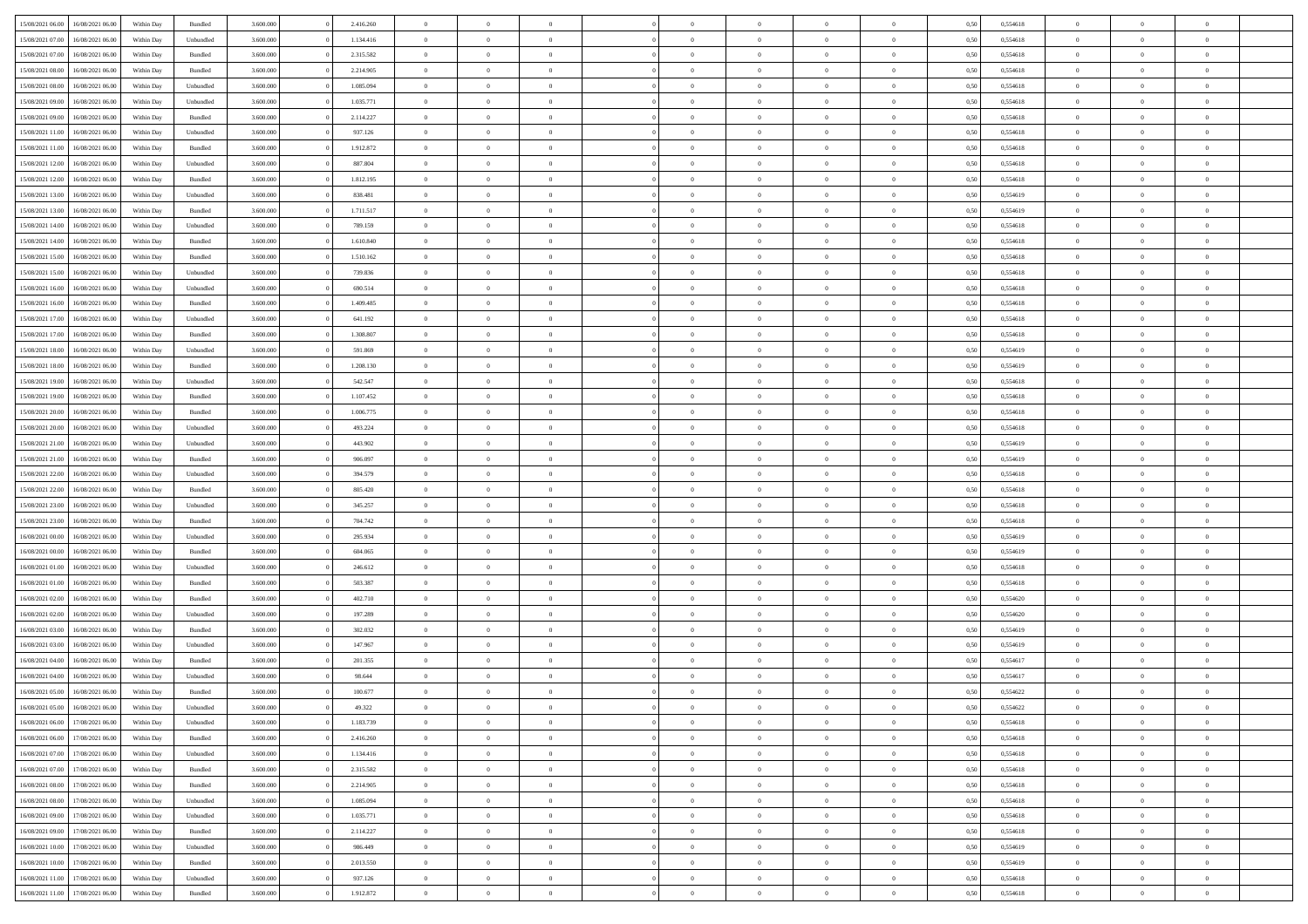| 15/08/2021 06:00                  | 16/08/2021 06:00 | Within Day | Bundled                     | 3.600.000 | 2.416.260 | $\overline{0}$ | $\theta$       |                | $\overline{0}$ | $\bf{0}$       | $\overline{0}$ | $\theta$       | 0,50 | 0,554618 | $\theta$       | $\theta$       | $\theta$       |  |
|-----------------------------------|------------------|------------|-----------------------------|-----------|-----------|----------------|----------------|----------------|----------------|----------------|----------------|----------------|------|----------|----------------|----------------|----------------|--|
| 15/08/2021 07:00                  | 16/08/2021 06.00 | Within Day | Unbundled                   | 3.600.000 | 1.134.416 | $\overline{0}$ | $\overline{0}$ | $\overline{0}$ | $\overline{0}$ | $\bf{0}$       | $\bf{0}$       | $\bf{0}$       | 0,50 | 0,554618 | $\,$ 0 $\,$    | $\overline{0}$ | $\overline{0}$ |  |
|                                   |                  |            |                             |           |           |                |                |                |                |                |                |                |      |          |                |                |                |  |
| 15/08/2021 07:00                  | 16/08/2021 06:00 | Within Day | Bundled                     | 3.600,000 | 2.315.582 | $\overline{0}$ | $\overline{0}$ | $\overline{0}$ | $\overline{0}$ | $\overline{0}$ | $\overline{0}$ | $\mathbf{0}$   | 0,50 | 0,554618 | $\overline{0}$ | $\overline{0}$ | $\bf{0}$       |  |
| 15/08/2021 08:00                  | 16/08/2021 06:00 | Within Day | Bundled                     | 3.600.000 | 2.214.905 | $\overline{0}$ | $\overline{0}$ | $\overline{0}$ | $\overline{0}$ | $\,0\,$        | $\overline{0}$ | $\overline{0}$ | 0,50 | 0,554618 | $\,$ 0 $\,$    | $\overline{0}$ | $\overline{0}$ |  |
| 15/08/2021 08:00                  | 16/08/2021 06.00 | Within Day | Unbundled                   | 3.600.000 | 1.085.094 | $\overline{0}$ | $\overline{0}$ | $\overline{0}$ | $\overline{0}$ | $\,$ 0         | $\overline{0}$ | $\bf{0}$       | 0,50 | 0,554618 | $\,$ 0 $\,$    | $\overline{0}$ | $\overline{0}$ |  |
| 15/08/2021 09:00                  | 16/08/2021 06:00 | Within Day | Unbundled                   | 3.600,000 | 1.035.771 | $\overline{0}$ | $\overline{0}$ | $\overline{0}$ | $\overline{0}$ | $\bf{0}$       | $\overline{0}$ | $\bf{0}$       | 0.50 | 0.554618 | $\,0\,$        | $\overline{0}$ | $\overline{0}$ |  |
| 15/08/2021 09:00                  | 16/08/2021 06:00 | Within Day | Bundled                     | 3.600.000 | 2.114.227 | $\overline{0}$ | $\overline{0}$ | $\overline{0}$ | $\overline{0}$ | $\bf{0}$       | $\overline{0}$ | $\bf{0}$       | 0,50 | 0,554618 | $\,$ 0 $\,$    | $\overline{0}$ | $\overline{0}$ |  |
| 15/08/2021 11:00                  | 16/08/2021 06.00 | Within Day | Unbundled                   | 3.600.000 | 937.126   | $\overline{0}$ | $\overline{0}$ | $\overline{0}$ | $\overline{0}$ | $\,$ 0         | $\bf{0}$       | $\bf{0}$       | 0,50 | 0,554618 | $\,$ 0 $\,$    | $\overline{0}$ | $\overline{0}$ |  |
| 15/08/2021 11:00                  | 16/08/2021 06:00 | Within Day | Bundled                     | 3.600,000 | 1.912.872 | $\overline{0}$ | $\overline{0}$ | $\overline{0}$ | $\overline{0}$ | $\bf{0}$       | $\overline{0}$ | $\mathbf{0}$   | 0.50 | 0.554618 | $\bf{0}$       | $\overline{0}$ | $\bf{0}$       |  |
| 15/08/2021 12:00                  | 16/08/2021 06:00 | Within Day | Unbundled                   | 3.600.000 | 887.804   | $\overline{0}$ | $\,$ 0         | $\overline{0}$ | $\overline{0}$ | $\bf{0}$       | $\overline{0}$ | $\bf{0}$       | 0,50 | 0,554618 | $\,$ 0 $\,$    | $\overline{0}$ | $\overline{0}$ |  |
| 15/08/2021 12:00                  | 16/08/2021 06.00 | Within Day | Bundled                     | 3.600.000 | 1.812.195 | $\bf{0}$       | $\overline{0}$ | $\overline{0}$ | $\overline{0}$ | $\,$ 0         | $\bf{0}$       | $\bf{0}$       | 0,50 | 0,554618 | $\,$ 0 $\,$    | $\overline{0}$ | $\overline{0}$ |  |
| 15/08/2021 13:00                  | 16/08/2021 06:00 | Within Day | Unbundled                   | 3.600,000 | 838.481   | $\overline{0}$ | $\overline{0}$ | $\overline{0}$ | $\overline{0}$ | $\bf{0}$       | $\overline{0}$ | $\mathbf{0}$   | 0.50 | 0.554619 | $\overline{0}$ | $\,$ 0 $\,$    | $\bf{0}$       |  |
| 15/08/2021 13:00                  | 16/08/2021 06:00 | Within Day | Bundled                     | 3.600.000 | 1.711.517 | $\overline{0}$ | $\overline{0}$ | $\overline{0}$ | $\overline{0}$ | $\bf{0}$       | $\overline{0}$ | $\overline{0}$ | 0,50 | 0,554619 | $\,$ 0 $\,$    | $\overline{0}$ | $\overline{0}$ |  |
| 15/08/2021 14:00                  | 16/08/2021 06.00 | Within Day | Unbundled                   | 3.600.000 | 789.159   | $\overline{0}$ | $\theta$       | $\overline{0}$ | $\overline{0}$ | $\,$ 0         | $\bf{0}$       | $\bf{0}$       | 0,50 | 0,554618 | $\,$ 0 $\,$    | $\overline{0}$ | $\overline{0}$ |  |
| 15/08/2021 14:00                  | 16/08/2021 06:00 | Within Day | Bundled                     | 3.600,000 | 1.610.840 | $\overline{0}$ | $\overline{0}$ | $\overline{0}$ | $\overline{0}$ | $\bf{0}$       | $\overline{0}$ | $\bf{0}$       | 0.50 | 0.554618 | $\,0\,$        | $\overline{0}$ | $\overline{0}$ |  |
|                                   |                  |            |                             |           |           | $\overline{0}$ | $\overline{0}$ | $\overline{0}$ | $\overline{0}$ |                | $\overline{0}$ |                |      |          | $\,$ 0 $\,$    | $\theta$       | $\overline{0}$ |  |
| 15/08/2021 15:00                  | 16/08/2021 06:00 | Within Day | Bundled                     | 3.600.000 | 1.510.162 |                |                |                |                | $\bf{0}$       |                | $\bf{0}$       | 0,50 | 0,554618 |                |                |                |  |
| 15/08/2021 15:00                  | 16/08/2021 06.00 | Within Day | Unbundled                   | 3.600.000 | 739.836   | $\bf{0}$       | $\overline{0}$ | $\overline{0}$ | $\overline{0}$ | $\,$ 0         | $\bf{0}$       | $\bf{0}$       | 0,50 | 0,554618 | $\,$ 0 $\,$    | $\overline{0}$ | $\overline{0}$ |  |
| 15/08/2021 16:00                  | 16/08/2021 06:00 | Within Day | Unbundled                   | 3.600,000 | 690.514   | $\overline{0}$ | $\overline{0}$ | $\overline{0}$ | $\overline{0}$ | $\bf{0}$       | $\overline{0}$ | $\mathbf{0}$   | 0.50 | 0.554618 | $\bf{0}$       | $\overline{0}$ | $\bf{0}$       |  |
| 15/08/2021 16:00                  | 16/08/2021 06:00 | Within Day | Bundled                     | 3.600.000 | 1.409.485 | $\overline{0}$ | $\overline{0}$ | $\overline{0}$ | $\overline{0}$ | $\bf{0}$       | $\overline{0}$ | $\bf{0}$       | 0,50 | 0,554618 | $\,$ 0 $\,$    | $\overline{0}$ | $\overline{0}$ |  |
| 15/08/2021 17:00                  | 16/08/2021 06.00 | Within Day | Unbundled                   | 3.600.000 | 641.192   | $\overline{0}$ | $\overline{0}$ | $\overline{0}$ | $\overline{0}$ | $\bf{0}$       | $\bf{0}$       | $\bf{0}$       | 0,50 | 0,554618 | $\,$ 0 $\,$    | $\overline{0}$ | $\overline{0}$ |  |
| 15/08/2021 17:00                  | 16/08/2021 06:00 | Within Day | $\mathbf B$ undled          | 3.600,000 | 1.308.807 | $\overline{0}$ | $\overline{0}$ | $\overline{0}$ | $\overline{0}$ | $\bf{0}$       | $\overline{0}$ | $\mathbf{0}$   | 0.50 | 0.554618 | $\overline{0}$ | $\,$ 0 $\,$    | $\overline{0}$ |  |
| 15/08/2021 18:00                  | 16/08/2021 06:00 | Within Day | Unbundled                   | 3.600.000 | 591.869   | $\overline{0}$ | $\overline{0}$ | $\overline{0}$ | $\overline{0}$ | $\,0\,$        | $\overline{0}$ | $\overline{0}$ | 0,50 | 0,554619 | $\,$ 0 $\,$    | $\overline{0}$ | $\overline{0}$ |  |
| 15/08/2021 18:00                  | 16/08/2021 06.00 | Within Day | Bundled                     | 3.600.000 | 1.208.130 | $\overline{0}$ | $\overline{0}$ | $\overline{0}$ | $\overline{0}$ | $\bf{0}$       | $\bf{0}$       | $\bf{0}$       | 0,50 | 0,554619 | $\,$ 0 $\,$    | $\overline{0}$ | $\overline{0}$ |  |
| 15/08/2021 19:00                  | 16/08/2021 06:00 | Within Day | Unbundled                   | 3.600,000 | 542.547   | $\overline{0}$ | $\overline{0}$ | $\overline{0}$ | $\overline{0}$ | $\bf{0}$       | $\overline{0}$ | $\bf{0}$       | 0.50 | 0.554618 | $\,0\,$        | $\overline{0}$ | $\overline{0}$ |  |
| 15/08/2021 19:00                  | 16/08/2021 06:00 | Within Day | Bundled                     | 3.600.000 | 1.107.452 | $\overline{0}$ | $\overline{0}$ | $\overline{0}$ | $\overline{0}$ | $\bf{0}$       | $\overline{0}$ | $\bf{0}$       | 0,50 | 0,554618 | $\,$ 0 $\,$    | $\overline{0}$ | $\overline{0}$ |  |
| 15/08/2021 20:00                  | 16/08/2021 06.00 | Within Day | Bundled                     | 3.600.000 | 1.006.775 | $\overline{0}$ | $\overline{0}$ | $\overline{0}$ | $\overline{0}$ | $\,$ 0         | $\bf{0}$       | $\bf{0}$       | 0,50 | 0,554618 | $\,$ 0 $\,$    | $\overline{0}$ | $\overline{0}$ |  |
| 15/08/2021 20:00                  | 16/08/2021 06:00 | Within Day | Unbundled                   | 3.600,000 | 493.224   | $\overline{0}$ | $\overline{0}$ | $\overline{0}$ | $\overline{0}$ | $\bf{0}$       | $\overline{0}$ | $\mathbf{0}$   | 0.50 | 0.554618 | $\bf{0}$       | $\overline{0}$ | $\bf{0}$       |  |
| 15/08/2021 21:00                  | 16/08/2021 06:00 | Within Day | Unbundled                   | 3.600.000 | 443.902   | $\overline{0}$ | $\overline{0}$ | $\overline{0}$ | $\overline{0}$ | $\bf{0}$       | $\overline{0}$ | $\bf{0}$       | 0,50 | 0,554619 | $\,$ 0 $\,$    | $\overline{0}$ | $\overline{0}$ |  |
| 15/08/2021 21:00                  | 16/08/2021 06.00 | Within Day | Bundled                     | 3.600.000 | 906.097   | $\overline{0}$ | $\overline{0}$ | $\overline{0}$ | $\overline{0}$ | $\bf{0}$       | $\bf{0}$       | $\bf{0}$       | 0,50 | 0,554619 | $\,$ 0 $\,$    | $\overline{0}$ | $\overline{0}$ |  |
|                                   | 16/08/2021 06:00 |            |                             | 3.600,000 | 394.579   | $\overline{0}$ |                |                | $\overline{0}$ | $\bf{0}$       | $\overline{0}$ |                | 0.50 | 0.554618 | $\overline{0}$ | $\,$ 0 $\,$    | $\overline{0}$ |  |
| 15/08/2021 22:00                  |                  | Within Day | Unbundled                   |           |           |                | $\overline{0}$ | $\overline{0}$ |                |                |                | $\mathbf{0}$   |      |          |                |                |                |  |
| 15/08/2021 22:00                  | 16/08/2021 06:00 | Within Dav | Bundled                     | 3.600.000 | 805.420   | $\overline{0}$ | $\overline{0}$ | $\overline{0}$ | $\overline{0}$ | $\overline{0}$ | $\overline{0}$ | $\overline{0}$ | 0.50 | 0,554618 | $\theta$       | $\overline{0}$ | $\overline{0}$ |  |
| 15/08/2021 23:00                  | 16/08/2021 06.00 | Within Day | Unbundled                   | 3.600.000 | 345.257   | $\overline{0}$ | $\overline{0}$ | $\overline{0}$ | $\overline{0}$ | $\bf{0}$       | $\bf{0}$       | $\bf{0}$       | 0,50 | 0,554618 | $\,$ 0 $\,$    | $\overline{0}$ | $\overline{0}$ |  |
| 15/08/2021 23:00                  | 16/08/2021 06:00 | Within Day | Bundled                     | 3.600,000 | 704.742   | $\overline{0}$ | $\overline{0}$ | $\overline{0}$ | $\overline{0}$ | $\bf{0}$       | $\overline{0}$ | $\bf{0}$       | 0.50 | 0.554618 | $\,0\,$        | $\overline{0}$ | $\overline{0}$ |  |
| 16/08/2021 00:00                  | 16/08/2021 06:00 | Within Dav | Unbundled                   | 3.600.000 | 295.934   | $\overline{0}$ | $\overline{0}$ | $\Omega$       | $\overline{0}$ | $\mathbf{0}$   | $\overline{0}$ | $\overline{0}$ | 0,50 | 0,554619 | $\theta$       | $\overline{0}$ | $\overline{0}$ |  |
| 16/08/2021 00:00                  | 16/08/2021 06.00 | Within Day | Bundled                     | 3.600.000 | 604.065   | $\overline{0}$ | $\overline{0}$ | $\overline{0}$ | $\overline{0}$ | $\,$ 0         | $\bf{0}$       | $\bf{0}$       | 0,50 | 0,554619 | $\,$ 0 $\,$    | $\overline{0}$ | $\overline{0}$ |  |
| 16/08/2021 01:00                  | 16/08/2021 06:00 | Within Day | Unbundled                   | 3.600,000 | 246.612   | $\overline{0}$ | $\overline{0}$ | $\overline{0}$ | $\overline{0}$ | $\bf{0}$       | $\overline{0}$ | $\mathbf{0}$   | 0.50 | 0.554618 | $\bf{0}$       | $\overline{0}$ | $\bf{0}$       |  |
| 16/08/2021 01:00                  | 16/08/2021 06:00 | Within Dav | Bundled                     | 3.600.000 | 503.387   | $\overline{0}$ | $\overline{0}$ | $\overline{0}$ | $\overline{0}$ | $\overline{0}$ | $\overline{0}$ | $\overline{0}$ | 0,50 | 0,554618 | $\theta$       | $\overline{0}$ | $\overline{0}$ |  |
| 16/08/2021 02:00                  | 16/08/2021 06.00 | Within Day | Bundled                     | 3.600.000 | 402.710   | $\overline{0}$ | $\overline{0}$ | $\overline{0}$ | $\bf{0}$       | $\bf{0}$       | $\bf{0}$       | $\bf{0}$       | 0,50 | 0,554620 | $\,$ 0 $\,$    | $\overline{0}$ | $\overline{0}$ |  |
| 16/08/2021 02:00                  | 16/08/2021 06:00 | Within Day | Unbundled                   | 3.600,000 | 197.289   | $\overline{0}$ | $\overline{0}$ | $\overline{0}$ | $\overline{0}$ | $\bf{0}$       | $\overline{0}$ | $\mathbf{0}$   | 0.50 | 0.554620 | $\overline{0}$ | $\,$ 0 $\,$    | $\overline{0}$ |  |
| 16/08/2021 03:00                  | 16/08/2021 06:00 | Within Dav | Bundled                     | 3.600.000 | 302.032   | $\overline{0}$ | $\overline{0}$ | $\overline{0}$ | $\overline{0}$ | $\overline{0}$ | $\overline{0}$ | $\overline{0}$ | 0,50 | 0,554619 | $\theta$       | $\overline{0}$ | $\overline{0}$ |  |
| 16/08/2021 03:00                  | 16/08/2021 06.00 | Within Day | Unbundled                   | 3.600.000 | 147.967   | $\bf{0}$       | $\overline{0}$ | $\overline{0}$ | $\overline{0}$ | $\bf{0}$       | $\overline{0}$ | $\bf{0}$       | 0,50 | 0,554619 | $\,$ 0 $\,$    | $\overline{0}$ | $\overline{0}$ |  |
| 16/08/2021 04:00                  | 16/08/2021 06:00 | Within Day | Bundled                     | 3.600,000 | 201.355   | $\overline{0}$ | $\overline{0}$ | $\overline{0}$ | $\overline{0}$ | $\bf{0}$       | $\Omega$       | $\bf{0}$       | 0.50 | 0.554617 | $\bf{0}$       | $\theta$       | $\overline{0}$ |  |
| 16/08/2021 04:00                  | 16/08/2021 06:00 | Within Dav | Unbundled                   | 3.600.000 | 98.644    | $\overline{0}$ | $\theta$       | $\Omega$       | $\overline{0}$ | $\bf{0}$       | $\overline{0}$ | $\overline{0}$ | 0.50 | 0,554617 | $\theta$       | $\overline{0}$ | $\overline{0}$ |  |
| 16/08/2021 05:00                  | 16/08/2021 06:00 | Within Day | Bundled                     | 3.600.000 | 100.677   | $\bf{0}$       | $\overline{0}$ | $\overline{0}$ | $\bf{0}$       | $\,$ 0         | $\bf{0}$       | $\bf{0}$       | 0,50 | 0,554622 | $\,$ 0 $\,$    | $\overline{0}$ | $\overline{0}$ |  |
| 16/08/2021 05:00                  | 16/08/2021 06:00 | Within Day | $\ensuremath{\mathsf{Unb}}$ | 3.600.000 | 49.322    | $\bf{0}$       | $\theta$       |                | $^{\circ}$     | $\Omega$       |                |                | 0,50 | 0,554622 | $\bf{0}$       | $\theta$       |                |  |
| 16/08/2021 06:00 17/08/2021 06:00 |                  | Within Day | Unbundled                   | 3.600.000 | 1.183.739 | $\overline{0}$ | $\overline{0}$ | $\overline{0}$ | $\overline{0}$ | $\overline{0}$ | $\overline{0}$ | $\mathbf{0}$   | 0,50 | 0,554618 | $\theta$       | $\overline{0}$ | $\overline{0}$ |  |
| 16/08/2021 06:00                  | 17/08/2021 06:00 | Within Day | Bundled                     | 3.600.000 | 2.416.260 | $\overline{0}$ | $\overline{0}$ | $\overline{0}$ | $\bf{0}$       | $\overline{0}$ | $\overline{0}$ |                | 0,50 | 0,554618 | $\bf{0}$       | $\overline{0}$ | $\bf{0}$       |  |
|                                   |                  |            |                             |           |           |                |                |                |                |                |                | $\bf{0}$       |      |          |                |                |                |  |
| 16/08/2021 07:00                  | 17/08/2021 06:00 | Within Day | Unbundled                   | 3.600.000 | 1.134.416 | $\overline{0}$ | $\overline{0}$ | $\overline{0}$ | $\overline{0}$ | $\overline{0}$ | $\overline{0}$ | $\mathbf{0}$   | 0.50 | 0.554618 | $\overline{0}$ | $\bf{0}$       | $\bf{0}$       |  |
| 16/08/2021 07:00                  | 17/08/2021 06:00 | Within Day | Bundled                     | 3.600.000 | 2.315.582 | $\overline{0}$ | $\overline{0}$ | $\overline{0}$ | $\overline{0}$ | $\overline{0}$ | $\overline{0}$ | $\mathbf{0}$   | 0,50 | 0,554618 | $\overline{0}$ | $\theta$       | $\overline{0}$ |  |
| 16/08/2021 08:00                  | 17/08/2021 06:00 | Within Day | Bundled                     | 3.600.000 | 2.214.905 | $\overline{0}$ | $\overline{0}$ | $\overline{0}$ | $\overline{0}$ | $\bf{0}$       | $\bf{0}$       | $\bf{0}$       | 0,50 | 0,554618 | $\bf{0}$       | $\overline{0}$ | $\overline{0}$ |  |
| 16/08/2021 08:00                  | 17/08/2021 06:00 | Within Day | Unbundled                   | 3.600,000 | 1.085.094 | $\overline{0}$ | $\overline{0}$ | $\overline{0}$ | $\overline{0}$ | $\bf{0}$       | $\overline{0}$ | $\mathbf{0}$   | 0.50 | 0.554618 | $\,$ 0 $\,$    | $\theta$       | $\overline{0}$ |  |
| 16/08/2021 09:00                  | 17/08/2021 06:00 | Within Day | Unbundled                   | 3.600.000 | 1.035.771 | $\overline{0}$ | $\overline{0}$ | $\overline{0}$ | $\overline{0}$ | $\overline{0}$ | $\overline{0}$ | $\overline{0}$ | 0,50 | 0,554618 | $\overline{0}$ | $\theta$       | $\overline{0}$ |  |
| 16/08/2021 09:00                  | 17/08/2021 06:00 | Within Day | Bundled                     | 3.600.000 | 2.114.227 | $\overline{0}$ | $\,$ 0         | $\overline{0}$ | $\bf{0}$       | $\,$ 0 $\,$    | $\overline{0}$ | $\bf{0}$       | 0,50 | 0,554618 | $\,$ 0 $\,$    | $\overline{0}$ | $\overline{0}$ |  |
| 16/08/2021 10:00                  | 17/08/2021 06:00 | Within Day | Unbundled                   | 3.600,000 | 986.449   | $\overline{0}$ | $\overline{0}$ | $\overline{0}$ | $\overline{0}$ | $\bf{0}$       | $\overline{0}$ | $\mathbf{0}$   | 0.50 | 0.554619 | $\mathbf{0}$   | $\bf{0}$       | $\bf{0}$       |  |
| 16/08/2021 10:00                  | 17/08/2021 06:00 | Within Day | Bundled                     | 3.600.000 | 2.013.550 | $\overline{0}$ | $\overline{0}$ | $\overline{0}$ | $\overline{0}$ | $\overline{0}$ | $\overline{0}$ | $\overline{0}$ | 0,50 | 0,554619 | $\overline{0}$ | $\theta$       | $\overline{0}$ |  |
| 16/08/2021 11:00                  | 17/08/2021 06:00 | Within Day | Unbundled                   | 3.600.000 | 937.126   | $\overline{0}$ | $\overline{0}$ | $\overline{0}$ | $\bf{0}$       | $\bf{0}$       | $\bf{0}$       | $\bf{0}$       | 0,50 | 0,554618 | $\bf{0}$       | $\overline{0}$ | $\bf{0}$       |  |
| 16/08/2021 11:00 17/08/2021 06:00 |                  | Within Day | Bundled                     | 3.600.000 | 1.912.872 | $\,$ 0 $\,$    | $\,$ 0 $\,$    | $\overline{0}$ | $\overline{0}$ | $\,$ 0 $\,$    | $\,$ 0 $\,$    | $\,$ 0 $\,$    | 0,50 | 0,554618 | $\mathbf{0}^-$ | $\,$ 0 $\,$    | $\,$ 0 $\,$    |  |
|                                   |                  |            |                             |           |           |                |                |                |                |                |                |                |      |          |                |                |                |  |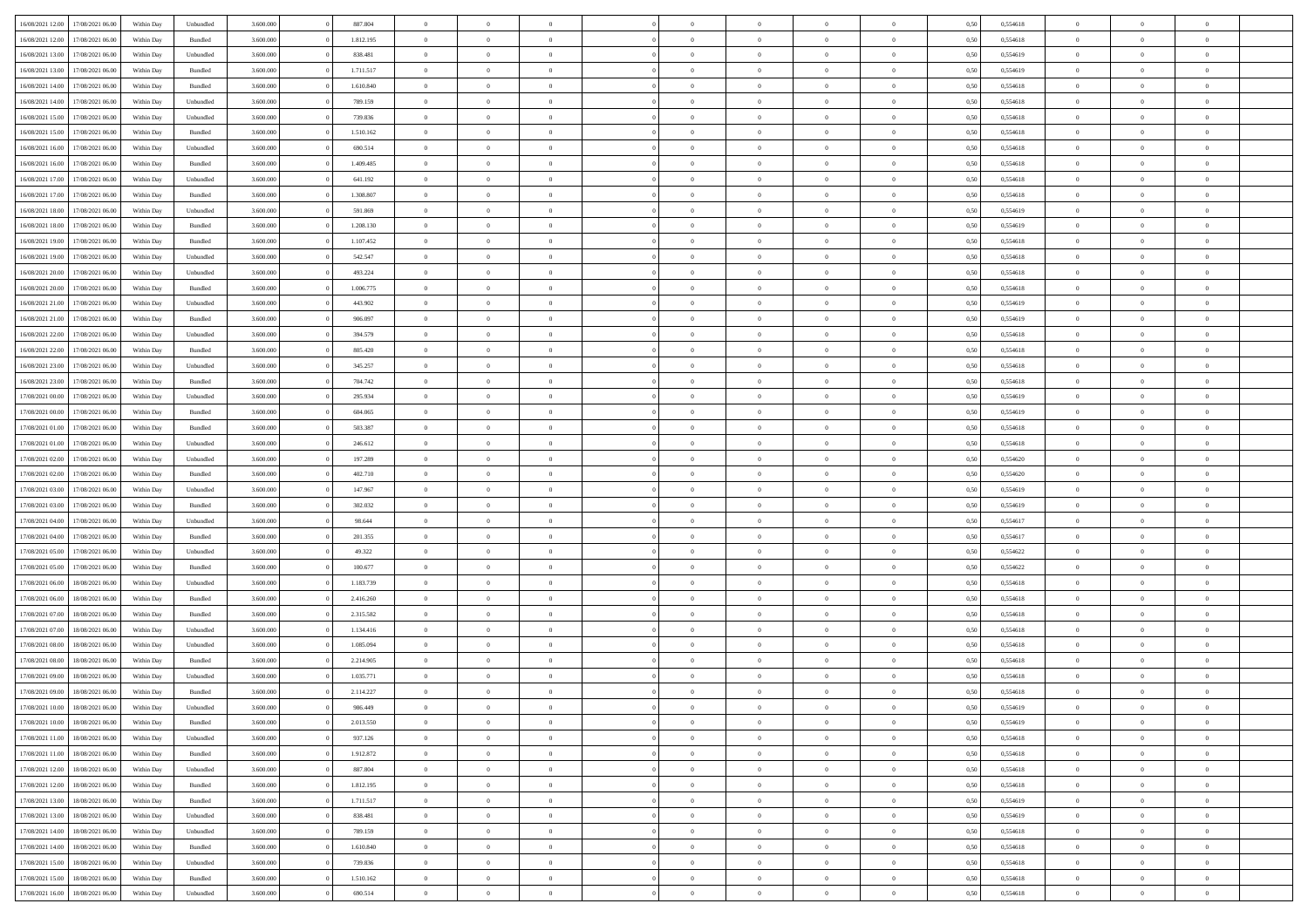| 16/08/2021 12:00 | 17/08/2021 06:00 | Within Dav | Unbundled | 3.600.000 | 887.804   | $\overline{0}$ | $\Omega$       |                | $\Omega$       | $\Omega$       | $\Omega$       | $\Omega$       | 0,50 | 0,554618 | $\theta$       | $\theta$       | $\theta$       |  |
|------------------|------------------|------------|-----------|-----------|-----------|----------------|----------------|----------------|----------------|----------------|----------------|----------------|------|----------|----------------|----------------|----------------|--|
|                  |                  |            |           |           |           |                |                |                |                |                |                |                |      |          |                |                |                |  |
| 16/08/2021 12:00 | 17/08/2021 06:00 | Within Day | Bundled   | 3.600.000 | 1.812.195 | $\overline{0}$ | $\theta$       | $\overline{0}$ | $\overline{0}$ | $\bf{0}$       | $\overline{0}$ | $\bf{0}$       | 0,50 | 0,554618 | $\theta$       | $\theta$       | $\overline{0}$ |  |
| 16/08/2021 13:00 | 17/08/2021 06:00 | Within Day | Unbundled | 3.600.000 | 838.481   | $\overline{0}$ | $\overline{0}$ | $\overline{0}$ | $\bf{0}$       | $\bf{0}$       | $\bf{0}$       | $\bf{0}$       | 0,50 | 0,554619 | $\overline{0}$ | $\overline{0}$ | $\overline{0}$ |  |
| 16/08/2021 13:00 | 17/08/2021 06:00 | Within Dav | Bundled   | 3.600,000 | 1.711.517 | $\overline{0}$ | $\overline{0}$ | $\overline{0}$ | $\overline{0}$ | $\bf{0}$       | $\overline{0}$ | $\overline{0}$ | 0.50 | 0.554619 | $\theta$       | $\theta$       | $\overline{0}$ |  |
|                  |                  |            |           |           |           |                |                |                |                |                |                |                |      |          |                |                |                |  |
| 16/08/2021 14:00 | 17/08/2021 06:00 | Within Day | Bundled   | 3.600.000 | 1.610.840 | $\overline{0}$ | $\theta$       | $\overline{0}$ | $\overline{0}$ | $\bf{0}$       | $\overline{0}$ | $\bf{0}$       | 0,50 | 0,554618 | $\theta$       | $\theta$       | $\overline{0}$ |  |
| 16/08/2021 14:00 | 17/08/2021 06:00 | Within Day | Unbundled | 3.600.000 | 789.159   | $\overline{0}$ | $\bf{0}$       | $\overline{0}$ | $\bf{0}$       | $\overline{0}$ | $\overline{0}$ | $\mathbf{0}$   | 0,50 | 0,554618 | $\overline{0}$ | $\overline{0}$ | $\bf{0}$       |  |
| 16/08/2021 15:00 | 17/08/2021 06:00 | Within Dav | Unbundled | 3.600.000 | 739.836   | $\overline{0}$ | $\overline{0}$ | $\overline{0}$ | $\overline{0}$ | $\overline{0}$ | $\overline{0}$ | $\overline{0}$ | 0.50 | 0,554618 | $\theta$       | $\overline{0}$ | $\overline{0}$ |  |
| 16/08/2021 15:00 | 17/08/2021 06:00 | Within Day | Bundled   | 3.600.000 | 1.510.162 | $\overline{0}$ | $\theta$       | $\overline{0}$ | $\overline{0}$ | $\bf{0}$       | $\overline{0}$ | $\bf{0}$       | 0,50 | 0,554618 | $\theta$       | $\theta$       | $\overline{0}$ |  |
| 16/08/2021 16:00 | 17/08/2021 06:00 | Within Day | Unbundled | 3.600.000 | 690.514   | $\overline{0}$ | $\overline{0}$ | $\overline{0}$ | $\bf{0}$       | $\bf{0}$       | $\bf{0}$       | $\bf{0}$       | 0,50 | 0,554618 | $\,0\,$        | $\overline{0}$ | $\overline{0}$ |  |
|                  |                  |            |           |           |           |                |                |                |                |                |                |                |      |          |                |                |                |  |
| 16/08/2021 16:00 | 17/08/2021 06:00 | Within Dav | Bundled   | 3.600.000 | 1.409.485 | $\overline{0}$ | $\overline{0}$ | $\overline{0}$ | $\overline{0}$ | $\overline{0}$ | $\overline{0}$ | $\overline{0}$ | 0.50 | 0.554618 | $\theta$       | $\overline{0}$ | $\overline{0}$ |  |
| 16/08/2021 17:00 | 17/08/2021 06:00 | Within Day | Unbundled | 3.600.000 | 641.192   | $\overline{0}$ | $\theta$       | $\overline{0}$ | $\overline{0}$ | $\bf{0}$       | $\overline{0}$ | $\bf{0}$       | 0,50 | 0,554618 | $\,$ 0 $\,$    | $\theta$       | $\overline{0}$ |  |
| 16/08/2021 17:00 | 17/08/2021 06:00 | Within Day | Bundled   | 3.600.000 | 1.308.807 | $\overline{0}$ | $\overline{0}$ | $\overline{0}$ | $\bf{0}$       | $\bf{0}$       | $\bf{0}$       | $\mathbf{0}$   | 0,50 | 0,554618 | $\overline{0}$ | $\overline{0}$ | $\overline{0}$ |  |
| 16/08/2021 18:00 | 17/08/2021 06:00 | Within Day | Unbundled | 3.600.000 | 591.869   | $\overline{0}$ | $\overline{0}$ | $\overline{0}$ | $\overline{0}$ | $\bf{0}$       | $\overline{0}$ | $\overline{0}$ | 0.50 | 0.554619 | $\theta$       | $\theta$       | $\overline{0}$ |  |
| 16/08/2021 18:00 | 17/08/2021 06:00 | Within Day | Bundled   | 3.600.000 | 1.208.130 | $\overline{0}$ | $\theta$       | $\overline{0}$ | $\overline{0}$ | $\bf{0}$       | $\overline{0}$ | $\bf{0}$       | 0,50 | 0,554619 | $\theta$       | $\theta$       | $\overline{0}$ |  |
|                  |                  |            |           |           |           |                |                |                |                |                |                |                |      |          |                |                |                |  |
| 16/08/2021 19:00 | 17/08/2021 06:00 | Within Day | Bundled   | 3.600.000 | 1.107.452 | $\overline{0}$ | $\overline{0}$ | $\overline{0}$ | $\bf{0}$       | $\overline{0}$ | $\overline{0}$ | $\mathbf{0}$   | 0,50 | 0,554618 | $\overline{0}$ | $\overline{0}$ | $\bf{0}$       |  |
| 16/08/2021 19:00 | 17/08/2021 06:00 | Within Dav | Unbundled | 3.600.000 | 542.547   | $\overline{0}$ | $\overline{0}$ | $\overline{0}$ | $\overline{0}$ | $\overline{0}$ | $\overline{0}$ | $\overline{0}$ | 0.50 | 0.554618 | $\theta$       | $\overline{0}$ | $\overline{0}$ |  |
| 16/08/2021 20:00 | 17/08/2021 06:00 | Within Day | Unbundled | 3.600.000 | 493.224   | $\overline{0}$ | $\theta$       | $\overline{0}$ | $\overline{0}$ | $\bf{0}$       | $\overline{0}$ | $\bf{0}$       | 0,50 | 0,554618 | $\theta$       | $\theta$       | $\overline{0}$ |  |
| 16/08/2021 20:00 | 17/08/2021 06:00 | Within Day | Bundled   | 3.600.000 | 1.006.775 | $\overline{0}$ | $\overline{0}$ | $\overline{0}$ | $\bf{0}$       | $\bf{0}$       | $\bf{0}$       | $\mathbf{0}$   | 0,50 | 0,554618 | $\,0\,$        | $\overline{0}$ | $\overline{0}$ |  |
| 16/08/2021 21:00 | 17/08/2021 06:00 | Within Day | Unbundled | 3.600.000 | 443.902   | $\overline{0}$ | $\overline{0}$ | $\overline{0}$ | $\overline{0}$ | $\overline{0}$ | $\overline{0}$ | $\overline{0}$ | 0.50 | 0,554619 | $\theta$       | $\overline{0}$ | $\overline{0}$ |  |
|                  |                  |            |           |           |           |                |                |                |                |                |                |                |      |          |                |                |                |  |
| 16/08/2021 21:00 | 17/08/2021 06:00 | Within Day | Bundled   | 3.600.000 | 906.097   | $\overline{0}$ | $\theta$       | $\overline{0}$ | $\overline{0}$ | $\bf{0}$       | $\overline{0}$ | $\bf{0}$       | 0,50 | 0,554619 | $\,$ 0 $\,$    | $\theta$       | $\overline{0}$ |  |
| 16/08/2021 22:00 | 17/08/2021 06:00 | Within Day | Unbundled | 3.600.000 | 394.579   | $\overline{0}$ | $\overline{0}$ | $\overline{0}$ | $\bf{0}$       | $\bf{0}$       | $\bf{0}$       | $\bf{0}$       | 0,50 | 0,554618 | $\bf{0}$       | $\overline{0}$ | $\overline{0}$ |  |
| 16/08/2021 22:00 | 17/08/2021 06:00 | Within Day | Bundled   | 3.600,000 | 805.420   | $\overline{0}$ | $\overline{0}$ | $\overline{0}$ | $\overline{0}$ | $\bf{0}$       | $\overline{0}$ | $\overline{0}$ | 0.50 | 0.554618 | $\theta$       | $\overline{0}$ | $\overline{0}$ |  |
| 16/08/2021 23:00 | 17/08/2021 06:00 | Within Day | Unbundled | 3.600.000 | 345.257   | $\overline{0}$ | $\theta$       | $\overline{0}$ | $\overline{0}$ | $\bf{0}$       | $\overline{0}$ | $\bf{0}$       | 0,50 | 0,554618 | $\,$ 0 $\,$    | $\overline{0}$ | $\overline{0}$ |  |
|                  |                  |            |           |           |           |                |                |                |                |                |                |                |      |          |                |                |                |  |
| 16/08/2021 23:00 | 17/08/2021 06:00 | Within Day | Bundled   | 3.600.000 | 704.742   | $\overline{0}$ | $\bf{0}$       | $\overline{0}$ | $\bf{0}$       | $\overline{0}$ | $\overline{0}$ | $\mathbf{0}$   | 0,50 | 0,554618 | $\bf{0}$       | $\overline{0}$ | $\bf{0}$       |  |
| 17/08/2021 00:00 | 17/08/2021 06:00 | Within Dav | Unbundled | 3.600.000 | 295.934   | $\overline{0}$ | $\overline{0}$ | $\overline{0}$ | $\overline{0}$ | $\overline{0}$ | $\overline{0}$ | $\overline{0}$ | 0.50 | 0,554619 | $\theta$       | $\overline{0}$ | $\overline{0}$ |  |
| 17/08/2021 00:00 | 17/08/2021 06:00 | Within Day | Bundled   | 3.600.000 | 604.065   | $\overline{0}$ | $\theta$       | $\overline{0}$ | $\overline{0}$ | $\bf{0}$       | $\overline{0}$ | $\bf{0}$       | 0,50 | 0,554619 | $\theta$       | $\theta$       | $\overline{0}$ |  |
| 17/08/2021 01:00 | 17/08/2021 06:00 | Within Day | Bundled   | 3.600.000 | 503.387   | $\overline{0}$ | $\overline{0}$ | $\overline{0}$ | $\bf{0}$       | $\bf{0}$       | $\bf{0}$       | $\bf{0}$       | 0,50 | 0,554618 | $\,0\,$        | $\overline{0}$ | $\overline{0}$ |  |
| 17/08/2021 01:00 | 17/08/2021 06:00 | Within Day | Unbundled | 3.600.000 | 246.612   | $\overline{0}$ | $\overline{0}$ | $\overline{0}$ | $\overline{0}$ | $\overline{0}$ | $\overline{0}$ | $\overline{0}$ | 0.50 | 0.554618 | $\theta$       | $\overline{0}$ | $\overline{0}$ |  |
|                  |                  |            |           |           |           |                |                |                |                |                |                |                |      |          |                |                |                |  |
| 17/08/2021 02:00 | 17/08/2021 06:00 | Within Day | Unbundled | 3.600.000 | 197.289   | $\overline{0}$ | $\theta$       | $\overline{0}$ | $\overline{0}$ | $\bf{0}$       | $\overline{0}$ | $\bf{0}$       | 0,50 | 0,554620 | $\,$ 0 $\,$    | $\overline{0}$ | $\overline{0}$ |  |
| 17/08/2021 02:00 | 17/08/2021 06:00 | Within Day | Bundled   | 3.600.000 | 402.710   | $\overline{0}$ | $\overline{0}$ | $\overline{0}$ | $\bf{0}$       | $\bf{0}$       | $\bf{0}$       | $\bf{0}$       | 0,50 | 0,554620 | $\bf{0}$       | $\overline{0}$ | $\overline{0}$ |  |
| 17/08/2021 03:00 | 17/08/2021 06:00 | Within Day | Unbundled | 3.600.000 | 147.967   | $\overline{0}$ | $\Omega$       | $\Omega$       | $\Omega$       | $\Omega$       | $\Omega$       | $\overline{0}$ | 0,50 | 0,554619 | $\,0\,$        | $\theta$       | $\theta$       |  |
| 17/08/2021 03:00 | 17/08/2021 06:00 | Within Day | Bundled   | 3.600.000 | 302.032   | $\overline{0}$ | $\theta$       | $\overline{0}$ | $\overline{0}$ | $\bf{0}$       | $\overline{0}$ | $\bf{0}$       | 0,50 | 0,554619 | $\theta$       | $\theta$       | $\overline{0}$ |  |
| 17/08/2021 04:00 | 17/08/2021 06:00 | Within Day | Unbundled | 3.600.000 | 98.644    | $\overline{0}$ | $\overline{0}$ | $\overline{0}$ | $\bf{0}$       | $\bf{0}$       | $\overline{0}$ | $\mathbf{0}$   | 0,50 | 0,554617 | $\bf{0}$       | $\overline{0}$ | $\bf{0}$       |  |
|                  |                  |            |           |           |           |                |                |                |                |                |                |                |      |          |                |                |                |  |
| 17/08/2021 04:00 | 17/08/2021 06:00 | Within Day | Bundled   | 3.600,000 | 201.355   | $\overline{0}$ | $\Omega$       | $\Omega$       | $\Omega$       | $\bf{0}$       | $\overline{0}$ | $\overline{0}$ | 0.50 | 0.554617 | $\theta$       | $\theta$       | $\theta$       |  |
| 17/08/2021 05:00 | 17/08/2021 06:00 | Within Day | Unbundled | 3.600.000 | 49.322    | $\overline{0}$ | $\theta$       | $\overline{0}$ | $\overline{0}$ | $\bf{0}$       | $\overline{0}$ | $\bf{0}$       | 0,50 | 0,554622 | $\,$ 0 $\,$    | $\theta$       | $\overline{0}$ |  |
| 17/08/2021 05:00 | 17/08/2021 06:00 | Within Day | Bundled   | 3.600.000 | 100.677   | $\overline{0}$ | $\overline{0}$ | $\overline{0}$ | $\bf{0}$       | $\bf{0}$       | $\bf{0}$       | $\bf{0}$       | 0,50 | 0,554622 | $\bf{0}$       | $\overline{0}$ | $\overline{0}$ |  |
| 17/08/2021 06:00 | 18/08/2021 06:00 | Within Day | Unbundled | 3.600,000 | 1.183.739 | $\overline{0}$ | $\Omega$       | $\Omega$       | $\Omega$       | $\theta$       | $\theta$       | $\overline{0}$ | 0.50 | 0.554618 | $\theta$       | $\theta$       | $\theta$       |  |
| 17/08/2021 06:00 | 18/08/2021 06:00 | Within Day | Bundled   | 3.600.000 | 2.416.260 | $\overline{0}$ | $\theta$       | $\overline{0}$ | $\overline{0}$ | $\bf{0}$       | $\overline{0}$ | $\bf{0}$       | 0,50 | 0,554618 | $\,$ 0 $\,$    | $\overline{0}$ | $\overline{0}$ |  |
|                  |                  |            |           |           |           |                |                |                |                |                |                |                |      |          |                |                |                |  |
| 17/08/2021 07:00 | 18/08/2021 06:00 | Within Day | Bundled   | 3.600.000 | 2.315.582 | $\overline{0}$ | $\overline{0}$ | $\overline{0}$ | $\overline{0}$ | $\bf{0}$       | $\overline{0}$ | $\bf{0}$       | 0,50 | 0,554618 | $\overline{0}$ | $\overline{0}$ | $\overline{0}$ |  |
| 17/08/2021 07:00 | 18/08/2021 06:00 | Within Day | Unbundled | 3.600.000 | 1.134.416 | $\overline{0}$ | $\Omega$       | $\overline{0}$ | $\Omega$       | $\Omega$       | $\overline{0}$ | $\overline{0}$ | 0,50 | 0,554618 | $\,0\,$        | $\theta$       | $\theta$       |  |
| 17/08/2021 08:00 | 18/08/2021 06:00 | Within Day | Unbundled | 3.600.000 | 1.085.094 | $\overline{0}$ | $\theta$       | $\overline{0}$ | $\overline{0}$ | $\bf{0}$       | $\overline{0}$ | $\bf{0}$       | 0,50 | 0,554618 | $\,$ 0 $\,$    | $\overline{0}$ | $\overline{0}$ |  |
| 17/08/2021 08:00 | 18/08/2021 06:00 | Within Day | Bundled   | 3.600.000 | 2.214.905 | $\overline{0}$ | $\overline{0}$ | $\overline{0}$ | $\overline{0}$ | $\bf{0}$       | $\overline{0}$ | $\mathbf{0}$   | 0,50 | 0,554618 | $\overline{0}$ | $\overline{0}$ | $\bf{0}$       |  |
| 17/08/2021 09:00 | 18/08/2021 06:00 | Within Day | Unbundled | 3.600,000 | 1.035.771 | $\overline{0}$ | $\Omega$       | $\Omega$       | $\Omega$       | $\Omega$       | $\Omega$       | $\overline{0}$ | 0.50 | 0.554618 | $\theta$       | $\theta$       | $\theta$       |  |
| 17/08/2021 09:00 | 18/08/2021 06:00 |            |           | 3.600.000 | 2.114.227 | $\overline{0}$ | $\overline{0}$ | $\overline{0}$ | $\bf{0}$       | $\,$ 0         |                |                |      | 0,554618 | $\,0\,$        | $\overline{0}$ | $\overline{0}$ |  |
|                  |                  | Within Day | Bundled   |           |           |                |                |                |                |                | $\overline{0}$ | $\bf{0}$       | 0,50 |          |                |                |                |  |
| 17/08/2021 10:00 | 18/08/2021 06:00 | Within Day | Unbundled | 3.600.000 | 986.449   | $\bf{0}$       | $\bf{0}$       |                |                |                |                |                | 0,50 | 0,554619 | $\bf{0}$       | $\overline{0}$ |                |  |
| 17/08/2021 10:00 | 18/08/2021 06:00 | Within Day | Bundled   | 3.600,000 | 2.013.550 | $\overline{0}$ | $\overline{0}$ | $\overline{0}$ | $\Omega$       | $\overline{0}$ | $\overline{0}$ | $\overline{0}$ | 0,50 | 0.554619 | $\theta$       | $\theta$       | $\theta$       |  |
| 17/08/2021 11:00 | 18/08/2021 06:00 | Within Day | Unbundled | 3.600.000 | 937.126   | $\overline{0}$ | $\bf{0}$       | $\overline{0}$ | $\overline{0}$ | $\,$ 0 $\,$    | $\overline{0}$ | $\,$ 0 $\,$    | 0,50 | 0,554618 | $\,$ 0 $\,$    | $\,$ 0 $\,$    | $\,$ 0         |  |
| 17/08/2021 11:00 | 18/08/2021 06:00 | Within Day | Bundled   | 3.600.000 | 1.912.872 | $\overline{0}$ | $\overline{0}$ | $\overline{0}$ | $\overline{0}$ | $\overline{0}$ | $\overline{0}$ | $\mathbf{0}$   | 0,50 | 0,554618 | $\overline{0}$ | $\bf{0}$       | $\overline{0}$ |  |
|                  |                  |            |           |           |           |                |                |                |                |                |                |                |      |          |                |                |                |  |
| 17/08/2021 12:00 | 18/08/2021 06:00 | Within Day | Unbundled | 3.600.000 | 887.804   | $\overline{0}$ | $\overline{0}$ | $\overline{0}$ | $\Omega$       | $\overline{0}$ | $\overline{0}$ | $\overline{0}$ | 0,50 | 0,554618 | $\overline{0}$ | $\,$ 0 $\,$    | $\overline{0}$ |  |
| 17/08/2021 12:00 | 18/08/2021 06:00 | Within Day | Bundled   | 3.600.000 | 1.812.195 | $\overline{0}$ | $\,$ 0         | $\overline{0}$ | $\overline{0}$ | $\,$ 0 $\,$    | $\overline{0}$ | $\mathbf{0}$   | 0,50 | 0,554618 | $\,$ 0 $\,$    | $\overline{0}$ | $\overline{0}$ |  |
| 17/08/2021 13:00 | 18/08/2021 06:00 | Within Day | Bundled   | 3.600.000 | 1.711.517 | $\overline{0}$ | $\overline{0}$ | $\overline{0}$ | $\overline{0}$ | $\overline{0}$ | $\overline{0}$ | $\mathbf{0}$   | 0,50 | 0,554619 | $\overline{0}$ | $\overline{0}$ | $\overline{0}$ |  |
| 17/08/2021 13:00 | 18/08/2021 06:00 | Within Day | Unbundled | 3.600,000 | 838.481   | $\overline{0}$ | $\overline{0}$ | $\overline{0}$ | $\overline{0}$ | $\overline{0}$ | $\overline{0}$ | $\bf{0}$       | 0.50 | 0,554619 | $\overline{0}$ | $\theta$       | $\overline{0}$ |  |
| 17/08/2021 14:00 | 18/08/2021 06:00 | Within Day | Unbundled | 3.600.000 | 789.159   | $\overline{0}$ | $\,$ 0         | $\overline{0}$ | $\overline{0}$ | $\bf{0}$       | $\overline{0}$ | $\bf{0}$       | 0,50 | 0,554618 | $\,$ 0 $\,$    | $\overline{0}$ | $\overline{0}$ |  |
|                  |                  |            |           |           |           |                |                |                |                |                |                |                |      |          |                |                |                |  |
| 17/08/2021 14:00 | 18/08/2021 06:00 | Within Day | Bundled   | 3.600.000 | 1.610.840 | $\overline{0}$ | $\bf{0}$       | $\overline{0}$ | $\overline{0}$ | $\overline{0}$ | $\overline{0}$ | $\mathbf{0}$   | 0,50 | 0,554618 | $\overline{0}$ | $\overline{0}$ | $\bf{0}$       |  |
| 17/08/2021 15:00 | 18/08/2021 06:00 | Within Day | Unbundled | 3.600,000 | 739.836   | $\overline{0}$ | $\overline{0}$ | $\overline{0}$ | $\Omega$       | $\overline{0}$ | $\overline{0}$ | $\overline{0}$ | 0.50 | 0,554618 | $\overline{0}$ | $\overline{0}$ | $\overline{0}$ |  |
| 17/08/2021 15:00 | 18/08/2021 06:00 | Within Day | Bundled   | 3.600.000 | 1.510.162 | $\overline{0}$ | $\bf{0}$       | $\overline{0}$ | $\bf{0}$       | $\bf{0}$       | $\bf{0}$       | $\mathbf{0}$   | 0,50 | 0,554618 | $\,$ 0 $\,$    | $\,$ 0 $\,$    | $\bf{0}$       |  |
| 17/08/2021 16:00 | 18/08/2021 06:00 | Within Day | Unbundled | 3.600.000 | 690.514   | $\overline{0}$ | $\overline{0}$ | $\overline{0}$ | $\overline{0}$ | $\overline{0}$ | $\bf{0}$       | $\mathbf{0}$   | 0,50 | 0,554618 | $\overline{0}$ | $\bf{0}$       | $\overline{0}$ |  |
|                  |                  |            |           |           |           |                |                |                |                |                |                |                |      |          |                |                |                |  |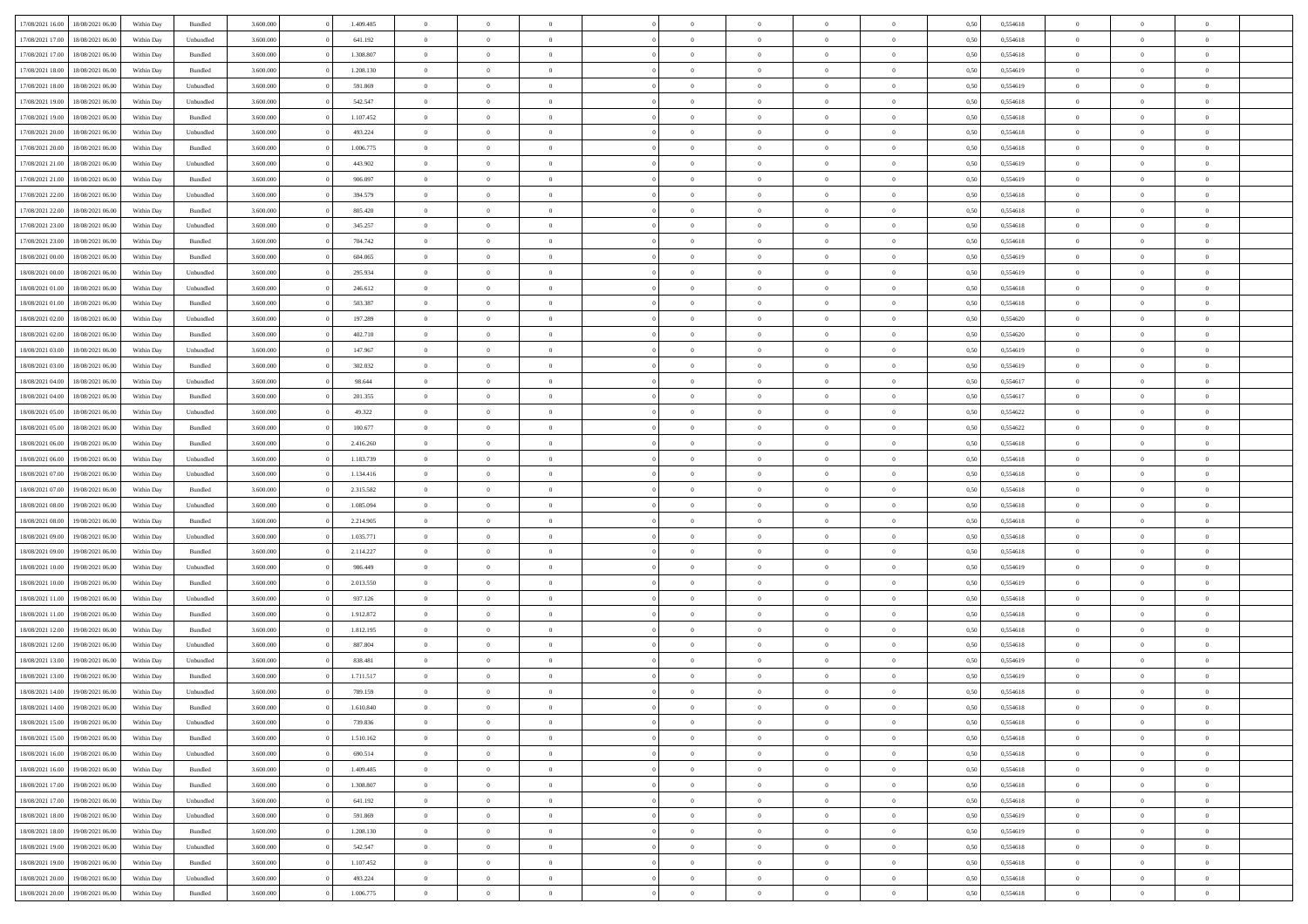| 17/08/2021 16:00 | 18/08/2021 06:00 | Within Day | Bundled            | 3.600.000 | 1.409.485 | $\overline{0}$ | $\Omega$       |                | $\Omega$       | $\Omega$       | $\theta$       | $\theta$       | 0,50 | 0,554618 | $\theta$       | $\theta$       | $\theta$       |  |
|------------------|------------------|------------|--------------------|-----------|-----------|----------------|----------------|----------------|----------------|----------------|----------------|----------------|------|----------|----------------|----------------|----------------|--|
|                  |                  |            |                    |           |           |                |                |                |                |                |                |                |      |          |                |                |                |  |
| 17/08/2021 17:00 | 18/08/2021 06:00 | Within Day | Unbundled          | 3.600.000 | 641.192   | $\overline{0}$ | $\theta$       | $\overline{0}$ | $\overline{0}$ | $\bf{0}$       | $\overline{0}$ | $\bf{0}$       | 0,50 | 0,554618 | $\theta$       | $\theta$       | $\overline{0}$ |  |
| 17/08/2021 17:00 | 18/08/2021 06:00 | Within Day | Bundled            | 3.600.000 | 1.308.807 | $\overline{0}$ | $\overline{0}$ | $\overline{0}$ | $\bf{0}$       | $\bf{0}$       | $\bf{0}$       | $\bf{0}$       | 0,50 | 0,554618 | $\overline{0}$ | $\overline{0}$ | $\overline{0}$ |  |
| 17/08/2021 18:00 | 18/08/2021 06:00 | Within Dav | Bundled            | 3.600,000 | 1.208.130 | $\overline{0}$ | $\overline{0}$ | $\overline{0}$ | $\overline{0}$ | $\bf{0}$       | $\overline{0}$ | $\overline{0}$ | 0.50 | 0.554619 | $\theta$       | $\theta$       | $\overline{0}$ |  |
| 17/08/2021 18:00 | 18/08/2021 06:00 | Within Day | Unbundled          | 3.600.000 | 591.869   | $\overline{0}$ | $\theta$       | $\overline{0}$ | $\overline{0}$ | $\bf{0}$       | $\overline{0}$ | $\bf{0}$       | 0,50 | 0,554619 | $\theta$       | $\overline{0}$ | $\overline{0}$ |  |
| 17/08/2021 19:00 | 18/08/2021 06:00 | Within Day | Unbundled          | 3.600.000 | 542.547   | $\overline{0}$ | $\bf{0}$       | $\overline{0}$ | $\bf{0}$       | $\overline{0}$ | $\overline{0}$ | $\mathbf{0}$   | 0,50 | 0,554618 | $\overline{0}$ | $\overline{0}$ | $\bf{0}$       |  |
| 17/08/2021 19:00 | 18/08/2021 06:00 | Within Dav | Bundled            | 3.600.000 | 1.107.452 | $\overline{0}$ | $\overline{0}$ | $\overline{0}$ | $\overline{0}$ | $\overline{0}$ | $\overline{0}$ | $\overline{0}$ | 0.50 | 0,554618 | $\theta$       | $\overline{0}$ | $\overline{0}$ |  |
|                  |                  |            |                    |           |           |                |                |                |                |                |                |                |      |          |                |                |                |  |
| 17/08/2021 20:00 | 18/08/2021 06:00 | Within Day | Unbundled          | 3.600.000 | 493.224   | $\overline{0}$ | $\theta$       | $\overline{0}$ | $\overline{0}$ | $\bf{0}$       | $\overline{0}$ | $\bf{0}$       | 0,50 | 0,554618 | $\theta$       | $\theta$       | $\overline{0}$ |  |
| 17/08/2021 20:00 | 18/08/2021 06:00 | Within Day | Bundled            | 3.600.000 | 1.006.775 | $\overline{0}$ | $\overline{0}$ | $\overline{0}$ | $\bf{0}$       | $\bf{0}$       | $\bf{0}$       | $\bf{0}$       | 0,50 | 0,554618 | $\,0\,$        | $\overline{0}$ | $\overline{0}$ |  |
| 17/08/2021 21:00 | 18/08/2021 06:00 | Within Dav | Unbundled          | 3.600.000 | 443.902   | $\overline{0}$ | $\overline{0}$ | $\overline{0}$ | $\overline{0}$ | $\overline{0}$ | $\overline{0}$ | $\overline{0}$ | 0.50 | 0.554619 | $\theta$       | $\overline{0}$ | $\overline{0}$ |  |
| 17/08/2021 21:00 | 18/08/2021 06:00 | Within Day | Bundled            | 3.600.000 | 906.097   | $\overline{0}$ | $\theta$       | $\overline{0}$ | $\overline{0}$ | $\bf{0}$       | $\overline{0}$ | $\bf{0}$       | 0,50 | 0,554619 | $\,$ 0 $\,$    | $\overline{0}$ | $\overline{0}$ |  |
| 17/08/2021 22.00 | 18/08/2021 06:00 | Within Day | Unbundled          | 3.600.000 | 394.579   | $\overline{0}$ | $\overline{0}$ | $\overline{0}$ | $\bf{0}$       | $\bf{0}$       | $\bf{0}$       | $\bf{0}$       | 0,50 | 0,554618 | $\bf{0}$       | $\overline{0}$ | $\bf{0}$       |  |
| 17/08/2021 22:00 | 18/08/2021 06:00 | Within Dav | Bundled            | 3.600.000 | 805.420   | $\overline{0}$ | $\overline{0}$ | $\overline{0}$ | $\overline{0}$ | $\bf{0}$       | $\overline{0}$ | $\overline{0}$ | 0.50 | 0.554618 | $\theta$       | $\theta$       | $\overline{0}$ |  |
| 17/08/2021 23:00 | 18/08/2021 06:00 | Within Day | Unbundled          | 3.600.000 | 345.257   | $\overline{0}$ | $\theta$       | $\overline{0}$ | $\overline{0}$ | $\bf{0}$       | $\overline{0}$ | $\bf{0}$       | 0,50 | 0,554618 | $\theta$       | $\overline{0}$ | $\overline{0}$ |  |
|                  |                  |            |                    |           |           |                |                |                |                |                |                |                |      |          |                |                |                |  |
| 17/08/2021 23:00 | 18/08/2021 06:00 | Within Day | Bundled            | 3.600.000 | 704.742   | $\overline{0}$ | $\overline{0}$ | $\overline{0}$ | $\bf{0}$       | $\overline{0}$ | $\overline{0}$ | $\mathbf{0}$   | 0,50 | 0,554618 | $\bf{0}$       | $\overline{0}$ | $\bf{0}$       |  |
| 18/08/2021 00:00 | 18/08/2021 06:00 | Within Dav | Bundled            | 3.600.000 | 604.065   | $\overline{0}$ | $\overline{0}$ | $\overline{0}$ | $\overline{0}$ | $\overline{0}$ | $\overline{0}$ | $\overline{0}$ | 0.50 | 0.554619 | $\theta$       | $\overline{0}$ | $\overline{0}$ |  |
| 18/08/2021 00:00 | 18/08/2021 06:00 | Within Day | Unbundled          | 3.600.000 | 295.934   | $\overline{0}$ | $\theta$       | $\overline{0}$ | $\overline{0}$ | $\bf{0}$       | $\overline{0}$ | $\bf{0}$       | 0,50 | 0,554619 | $\theta$       | $\theta$       | $\overline{0}$ |  |
| 18/08/2021 01:00 | 18/08/2021 06:00 | Within Day | Unbundled          | 3.600.000 | 246.612   | $\overline{0}$ | $\overline{0}$ | $\overline{0}$ | $\bf{0}$       | $\bf{0}$       | $\bf{0}$       | $\bf{0}$       | 0,50 | 0,554618 | $\bf{0}$       | $\overline{0}$ | $\overline{0}$ |  |
| 18/08/2021 01:00 | 18/08/2021 06:00 | Within Day | Bundled            | 3.600.000 | 503.387   | $\overline{0}$ | $\overline{0}$ | $\overline{0}$ | $\overline{0}$ | $\overline{0}$ | $\overline{0}$ | $\overline{0}$ | 0.50 | 0,554618 | $\theta$       | $\overline{0}$ | $\overline{0}$ |  |
| 18/08/2021 02:00 | 18/08/2021 06:00 | Within Day | Unbundled          | 3.600.000 | 197.289   | $\overline{0}$ | $\theta$       | $\overline{0}$ | $\overline{0}$ | $\bf{0}$       | $\overline{0}$ | $\bf{0}$       | 0,50 | 0,554620 | $\,$ 0 $\,$    | $\theta$       | $\overline{0}$ |  |
| 18/08/2021 02:00 | 18/08/2021 06:00 | Within Day | Bundled            | 3.600.000 | 402.710   | $\overline{0}$ | $\overline{0}$ | $\overline{0}$ | $\overline{0}$ | $\bf{0}$       | $\overline{0}$ | $\bf{0}$       | 0,50 | 0,554620 | $\bf{0}$       | $\overline{0}$ | $\overline{0}$ |  |
| 18/08/2021 03:00 | 18/08/2021 06:00 | Within Day | Unbundled          | 3.600.000 | 147.967   | $\overline{0}$ | $\overline{0}$ | $\overline{0}$ | $\overline{0}$ | $\bf{0}$       | $\overline{0}$ | $\overline{0}$ | 0.50 | 0.554619 | $\theta$       | $\overline{0}$ | $\overline{0}$ |  |
|                  |                  |            |                    |           |           |                |                |                |                |                |                |                |      |          |                |                |                |  |
| 18/08/2021 03:00 | 18/08/2021 06:00 | Within Day | Bundled            | 3.600.000 | 302.032   | $\overline{0}$ | $\theta$       | $\overline{0}$ | $\overline{0}$ | $\bf{0}$       | $\overline{0}$ | $\bf{0}$       | 0,50 | 0,554619 | $\,$ 0 $\,$    | $\overline{0}$ | $\overline{0}$ |  |
| 18/08/2021 04:00 | 18/08/2021 06:00 | Within Day | Unbundled          | 3.600.000 | 98.644    | $\overline{0}$ | $\overline{0}$ | $\overline{0}$ | $\overline{0}$ | $\overline{0}$ | $\overline{0}$ | $\mathbf{0}$   | 0,50 | 0,554617 | $\bf{0}$       | $\overline{0}$ | $\bf{0}$       |  |
| 18/08/2021 04:00 | 18/08/2021 06:00 | Within Dav | Bundled            | 3.600.000 | 201.355   | $\overline{0}$ | $\overline{0}$ | $\overline{0}$ | $\overline{0}$ | $\overline{0}$ | $\overline{0}$ | $\overline{0}$ | 0.50 | 0,554617 | $\theta$       | $\overline{0}$ | $\overline{0}$ |  |
| 18/08/2021 05:00 | 18/08/2021 06:00 | Within Day | Unbundled          | 3.600.000 | 49.322    | $\overline{0}$ | $\theta$       | $\overline{0}$ | $\overline{0}$ | $\bf{0}$       | $\overline{0}$ | $\bf{0}$       | 0,50 | 0,554622 | $\theta$       | $\theta$       | $\overline{0}$ |  |
| 18/08/2021 05:00 | 18/08/2021 06:00 | Within Day | Bundled            | 3.600.000 | 100.677   | $\overline{0}$ | $\overline{0}$ | $\overline{0}$ | $\overline{0}$ | $\bf{0}$       | $\overline{0}$ | $\bf{0}$       | 0,50 | 0,554622 | $\,0\,$        | $\overline{0}$ | $\overline{0}$ |  |
| 18/08/2021 06:00 | 19/08/2021 06:00 | Within Day | Bundled            | 3.600.000 | 2.416.260 | $\overline{0}$ | $\overline{0}$ | $\overline{0}$ | $\overline{0}$ | $\overline{0}$ | $\overline{0}$ | $\overline{0}$ | 0.50 | 0.554618 | $\theta$       | $\overline{0}$ | $\overline{0}$ |  |
| 18/08/2021 06:00 | 19/08/2021 06:00 | Within Day | Unbundled          | 3.600.000 | 1.183.739 | $\overline{0}$ | $\theta$       | $\overline{0}$ | $\overline{0}$ | $\bf{0}$       | $\overline{0}$ | $\bf{0}$       | 0,50 | 0,554618 | $\,$ 0 $\,$    | $\overline{0}$ | $\overline{0}$ |  |
|                  |                  |            |                    |           |           |                | $\overline{0}$ |                |                | $\bf{0}$       |                |                |      |          |                | $\overline{0}$ | $\overline{0}$ |  |
| 18/08/2021 07:00 | 19/08/2021 06:00 | Within Day | Unbundled          | 3.600.000 | 1.134.416 | $\overline{0}$ |                | $\overline{0}$ | $\overline{0}$ |                | $\overline{0}$ | $\bf{0}$       | 0,50 | 0,554618 | $\bf{0}$       |                |                |  |
| 18/08/2021 07:00 | 19/08/2021 06:00 | Within Day | Bundled            | 3.600.000 | 2.315.582 | $\overline{0}$ | $\Omega$       | $\Omega$       | $\Omega$       | $\Omega$       | $\Omega$       | $\overline{0}$ | 0,50 | 0,554618 | $\,0\,$        | $\theta$       | $\theta$       |  |
| 18/08/2021 08:00 | 19/08/2021 06:00 | Within Day | Unbundled          | 3.600.000 | 1.085.094 | $\overline{0}$ | $\theta$       | $\overline{0}$ | $\overline{0}$ | $\bf{0}$       | $\overline{0}$ | $\bf{0}$       | 0,50 | 0,554618 | $\,$ 0 $\,$    | $\overline{0}$ | $\overline{0}$ |  |
| 18/08/2021 08:00 | 19/08/2021 06:00 | Within Day | Bundled            | 3.600.000 | 2.214.905 | $\overline{0}$ | $\overline{0}$ | $\overline{0}$ | $\overline{0}$ | $\bf{0}$       | $\overline{0}$ | $\mathbf{0}$   | 0,50 | 0,554618 | $\bf{0}$       | $\overline{0}$ | $\bf{0}$       |  |
| 18/08/2021 09:00 | 19/08/2021 06:00 | Within Day | Unbundled          | 3.600,000 | 1.035.771 | $\overline{0}$ | $\Omega$       | $\Omega$       | $\Omega$       | $\bf{0}$       | $\overline{0}$ | $\overline{0}$ | 0.50 | 0.554618 | $\theta$       | $\theta$       | $\theta$       |  |
| 18/08/2021 09:00 | 19/08/2021 06:00 | Within Day | Bundled            | 3.600.000 | 2.114.227 | $\overline{0}$ | $\theta$       | $\overline{0}$ | $\overline{0}$ | $\bf{0}$       | $\overline{0}$ | $\bf{0}$       | 0,50 | 0,554618 | $\,$ 0 $\,$    | $\theta$       | $\overline{0}$ |  |
| 18/08/2021 10:00 | 19/08/2021 06:00 | Within Day | Unbundled          | 3.600.000 | 986.449   | $\overline{0}$ | $\overline{0}$ | $\overline{0}$ | $\overline{0}$ | $\bf{0}$       | $\overline{0}$ | $\bf{0}$       | 0,50 | 0,554619 | $\bf{0}$       | $\overline{0}$ | $\overline{0}$ |  |
| 18/08/2021 10:00 | 19/08/2021 06:00 | Within Day | Bundled            | 3.600,000 | 2.013.550 | $\overline{0}$ | $\Omega$       | $\Omega$       | $\Omega$       | $\theta$       | $\theta$       | $\overline{0}$ | 0.50 | 0.554619 | $\theta$       | $\theta$       | $\theta$       |  |
| 18/08/2021 11:00 | 19/08/2021 06:00 |            |                    | 3.600.000 | 937.126   | $\overline{0}$ | $\theta$       | $\overline{0}$ | $\overline{0}$ | $\bf{0}$       | $\overline{0}$ |                |      | 0,554618 | $\,$ 0 $\,$    | $\overline{0}$ | $\overline{0}$ |  |
|                  |                  | Within Day | Unbundled          |           |           |                |                |                |                |                |                | $\bf{0}$       | 0,50 |          |                |                |                |  |
| 18/08/2021 11:00 | 19/08/2021 06:00 | Within Day | Bundled            | 3.600.000 | 1.912.872 | $\overline{0}$ | $\overline{0}$ | $\overline{0}$ | $\overline{0}$ | $\bf{0}$       | $\overline{0}$ | $\bf{0}$       | 0,50 | 0,554618 | $\bf{0}$       | $\overline{0}$ | $\overline{0}$ |  |
| 18/08/2021 12:00 | 19/08/2021 06:00 | Within Day | Bundled            | 3.600.000 | 1.812.195 | $\overline{0}$ | $\Omega$       | $\overline{0}$ | $\Omega$       | $\Omega$       | $\overline{0}$ | $\overline{0}$ | 0,50 | 0,554618 | $\,0\,$        | $\theta$       | $\theta$       |  |
| 18/08/2021 12:00 | 19/08/2021 06:00 | Within Day | Unbundled          | 3.600.000 | 887.804   | $\overline{0}$ | $\theta$       | $\overline{0}$ | $\overline{0}$ | $\bf{0}$       | $\overline{0}$ | $\bf{0}$       | 0,50 | 0,554618 | $\,$ 0 $\,$    | $\overline{0}$ | $\overline{0}$ |  |
| 18/08/2021 13:00 | 19/08/2021 06:00 | Within Day | Unbundled          | 3.600.000 | 838.481   | $\overline{0}$ | $\overline{0}$ | $\overline{0}$ | $\overline{0}$ | $\bf{0}$       | $\overline{0}$ | $\mathbf{0}$   | 0,50 | 0,554619 | $\bf{0}$       | $\overline{0}$ | $\bf{0}$       |  |
| 18/08/2021 13:00 | 19/08/2021 06:00 | Within Day | Bundled            | 3.600,000 | 1.711.517 | $\overline{0}$ | $\Omega$       | $\Omega$       | $\Omega$       | $\Omega$       | $\Omega$       | $\overline{0}$ | 0.50 | 0.554619 | $\theta$       | $\theta$       | $\theta$       |  |
| 18/08/2021 14:00 | 19/08/2021 06:00 | Within Day | Unbundled          | 3.600.000 | 789.159   | $\overline{0}$ | $\overline{0}$ | $\overline{0}$ | $\bf{0}$       | $\,$ 0         | $\overline{0}$ | $\bf{0}$       | 0,50 | 0,554618 | $\,0\,$        | $\overline{0}$ | $\overline{0}$ |  |
| 18/08/2021 14:00 | 19/08/2021 06:00 | Within Day | Bundled            | 3.600.000 | 1.610.840 | $\bf{0}$       | $\bf{0}$       |                |                |                |                |                | 0,50 | 0,554618 | $\bf{0}$       | $\overline{0}$ |                |  |
| 18/08/2021 15:00 | 19/08/2021 06:00 |            |                    | 3.600,000 | 739.836   | $\overline{0}$ | $\overline{0}$ | $\overline{0}$ | $\Omega$       | $\overline{0}$ | $\overline{0}$ | $\overline{0}$ |      | 0.554618 | $\theta$       | $\theta$       | $\Omega$       |  |
|                  |                  | Within Day | Unbundled          |           |           |                |                |                |                |                |                |                | 0,50 |          |                |                |                |  |
| 18/08/2021 15:00 | 19/08/2021 06:00 | Within Day | Bundled            | 3.600.000 | 1.510.162 | $\overline{0}$ | $\,$ 0         | $\overline{0}$ | $\bf{0}$       | $\,$ 0 $\,$    | $\overline{0}$ | $\,$ 0 $\,$    | 0,50 | 0,554618 | $\,$ 0 $\,$    | $\,$ 0 $\,$    | $\,$ 0         |  |
| 18/08/2021 16:00 | 19/08/2021 06:00 | Within Day | Unbundled          | 3.600.000 | 690.514   | $\overline{0}$ | $\overline{0}$ | $\overline{0}$ | $\overline{0}$ | $\overline{0}$ | $\overline{0}$ | $\mathbf{0}$   | 0,50 | 0,554618 | $\overline{0}$ | $\bf{0}$       | $\overline{0}$ |  |
| 18/08/2021 16:00 | 19/08/2021 06:00 | Within Day | $\mathbf B$ undled | 3.600.000 | 1.409.485 | $\overline{0}$ | $\overline{0}$ | $\overline{0}$ | $\Omega$       | $\overline{0}$ | $\overline{0}$ | $\overline{0}$ | 0,50 | 0,554618 | $\overline{0}$ | $\theta$       | $\overline{0}$ |  |
| 18/08/2021 17:00 | 19/08/2021 06:00 | Within Day | Bundled            | 3.600.000 | 1.308.807 | $\overline{0}$ | $\,$ 0         | $\overline{0}$ | $\bf{0}$       | $\,$ 0 $\,$    | $\overline{0}$ | $\mathbf{0}$   | 0,50 | 0,554618 | $\,$ 0 $\,$    | $\overline{0}$ | $\overline{0}$ |  |
| 18/08/2021 17:00 | 19/08/2021 06:00 | Within Day | Unbundled          | 3.600.000 | 641.192   | $\overline{0}$ | $\overline{0}$ | $\overline{0}$ | $\overline{0}$ | $\overline{0}$ | $\overline{0}$ | $\mathbf{0}$   | 0,50 | 0,554618 | $\overline{0}$ | $\overline{0}$ | $\overline{0}$ |  |
| 18/08/2021 18:00 | 19/08/2021 06:00 | Within Day | Unbundled          | 3.600.000 | 591.869   | $\overline{0}$ | $\overline{0}$ | $\overline{0}$ | $\overline{0}$ | $\overline{0}$ | $\overline{0}$ | $\bf{0}$       | 0.50 | 0,554619 | $\overline{0}$ | $\theta$       | $\overline{0}$ |  |
| 18/08/2021 18:00 | 19/08/2021 06:00 | Within Day | Bundled            | 3.600.000 | 1.208.130 | $\overline{0}$ | $\,$ 0         | $\overline{0}$ | $\bf{0}$       | $\bf{0}$       | $\bf{0}$       | $\bf{0}$       | 0,50 | 0,554619 | $\,$ 0 $\,$    | $\overline{0}$ | $\overline{0}$ |  |
| 18/08/2021 19:00 | 19/08/2021 06:00 | Within Day | Unbundled          | 3.600.000 | 542.547   | $\overline{0}$ | $\bf{0}$       | $\overline{0}$ | $\overline{0}$ | $\overline{0}$ | $\overline{0}$ | $\mathbf{0}$   | 0,50 | 0,554618 | $\overline{0}$ | $\overline{0}$ | $\bf{0}$       |  |
|                  |                  |            |                    |           |           |                |                |                |                |                |                |                |      |          |                |                |                |  |
| 18/08/2021 19:00 | 19/08/2021 06:00 | Within Day | Bundled            | 3.600,000 | 1.107.452 | $\overline{0}$ | $\overline{0}$ | $\overline{0}$ | $\Omega$       | $\overline{0}$ | $\overline{0}$ | $\overline{0}$ | 0.50 | 0,554618 | $\overline{0}$ | $\overline{0}$ | $\overline{0}$ |  |
| 18/08/2021 20:00 | 19/08/2021 06:00 | Within Day | Unbundled          | 3.600.000 | 493.224   | $\overline{0}$ | $\bf{0}$       | $\overline{0}$ | $\bf{0}$       | $\bf{0}$       | $\bf{0}$       | $\mathbf{0}$   | 0,50 | 0,554618 | $\,$ 0 $\,$    | $\,$ 0 $\,$    | $\bf{0}$       |  |
| 18/08/2021 20:00 | 19/08/2021 06:00 | Within Day | Bundled            | 3.600.000 | 1.006.775 | $\overline{0}$ | $\overline{0}$ | $\overline{0}$ | $\overline{0}$ | $\overline{0}$ | $\bf{0}$       | $\mathbf{0}$   | 0,50 | 0,554618 | $\overline{0}$ | $\bf{0}$       | $\overline{0}$ |  |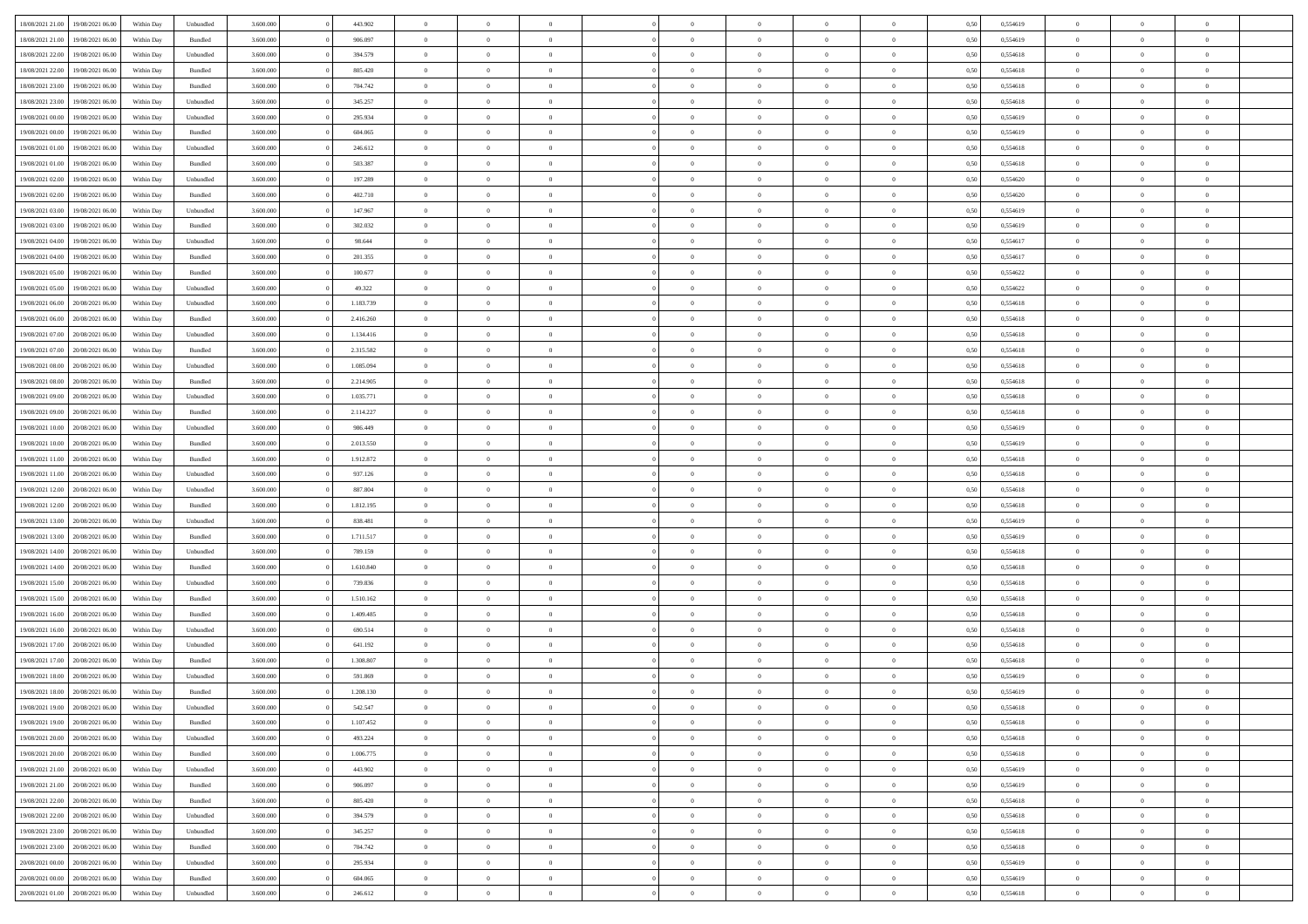| 18/08/2021 21:00 | 19/08/2021 06:00 | Within Dav | Unbundled | 3.600.000 | 443.902   | $\overline{0}$ | $\Omega$       |                | $\Omega$       | $\Omega$       | $\Omega$       | $\Omega$       | 0,50 | 0,554619 | $\theta$       | $\theta$       | $\theta$       |  |
|------------------|------------------|------------|-----------|-----------|-----------|----------------|----------------|----------------|----------------|----------------|----------------|----------------|------|----------|----------------|----------------|----------------|--|
|                  |                  |            |           |           |           |                |                |                |                |                |                |                |      |          |                |                |                |  |
| 18/08/2021 21:00 | 19/08/2021 06:00 | Within Day | Bundled   | 3.600.000 | 906.097   | $\overline{0}$ | $\theta$       | $\overline{0}$ | $\overline{0}$ | $\bf{0}$       | $\overline{0}$ | $\bf{0}$       | 0,50 | 0,554619 | $\theta$       | $\theta$       | $\overline{0}$ |  |
| 18/08/2021 22:00 | 19/08/2021 06:00 | Within Day | Unbundled | 3.600.000 | 394.579   | $\overline{0}$ | $\bf{0}$       | $\overline{0}$ | $\bf{0}$       | $\bf{0}$       | $\bf{0}$       | $\bf{0}$       | 0,50 | 0,554618 | $\overline{0}$ | $\overline{0}$ | $\overline{0}$ |  |
| 18/08/2021 22:00 | 19/08/2021 06:00 | Within Dav | Bundled   | 3.600,000 | 805.420   | $\overline{0}$ | $\overline{0}$ | $\overline{0}$ | $\overline{0}$ | $\bf{0}$       | $\overline{0}$ | $\overline{0}$ | 0.50 | 0.554618 | $\theta$       | $\theta$       | $\overline{0}$ |  |
|                  |                  |            |           |           |           | $\overline{0}$ | $\theta$       | $\overline{0}$ |                | $\bf{0}$       | $\overline{0}$ |                |      |          | $\theta$       | $\theta$       | $\overline{0}$ |  |
| 18/08/2021 23:00 | 19/08/2021 06:00 | Within Day | Bundled   | 3.600.000 | 704.742   |                |                |                | $\overline{0}$ |                |                | $\bf{0}$       | 0,50 | 0,554618 |                |                |                |  |
| 18/08/2021 23:00 | 19/08/2021 06:00 | Within Day | Unbundled | 3.600.000 | 345.257   | $\overline{0}$ | $\overline{0}$ | $\overline{0}$ | $\bf{0}$       | $\overline{0}$ | $\overline{0}$ | $\mathbf{0}$   | 0,50 | 0,554618 | $\overline{0}$ | $\overline{0}$ | $\bf{0}$       |  |
| 19/08/2021 00:00 | 19/08/2021 06:00 | Within Dav | Unbundled | 3.600.000 | 295.934   | $\overline{0}$ | $\overline{0}$ | $\overline{0}$ | $\overline{0}$ | $\overline{0}$ | $\overline{0}$ | $\overline{0}$ | 0.50 | 0,554619 | $\theta$       | $\theta$       | $\overline{0}$ |  |
| 19/08/2021 00:00 | 19/08/2021 06:00 | Within Day | Bundled   | 3.600.000 | 604.065   | $\overline{0}$ | $\theta$       | $\overline{0}$ | $\overline{0}$ | $\bf{0}$       | $\overline{0}$ | $\bf{0}$       | 0,50 | 0,554619 | $\theta$       | $\theta$       | $\overline{0}$ |  |
| 19/08/2021 01:00 | 19/08/2021 06:00 | Within Day | Unbundled | 3.600.000 | 246.612   | $\overline{0}$ | $\overline{0}$ | $\overline{0}$ | $\bf{0}$       | $\bf{0}$       | $\bf{0}$       | $\bf{0}$       | 0,50 | 0,554618 | $\,0\,$        | $\overline{0}$ | $\overline{0}$ |  |
|                  |                  |            |           |           |           |                | $\overline{0}$ |                |                | $\overline{0}$ |                |                |      |          | $\theta$       | $\overline{0}$ | $\overline{0}$ |  |
| 19/08/2021 01:00 | 19/08/2021 06:00 | Within Dav | Bundled   | 3.600.000 | 503.387   | $\overline{0}$ |                | $\overline{0}$ | $\overline{0}$ |                | $\overline{0}$ | $\overline{0}$ | 0.50 | 0.554618 |                |                |                |  |
| 19/08/2021 02:00 | 19/08/2021 06:00 | Within Day | Unbundled | 3.600.000 | 197.289   | $\overline{0}$ | $\theta$       | $\overline{0}$ | $\overline{0}$ | $\bf{0}$       | $\overline{0}$ | $\bf{0}$       | 0,50 | 0,554620 | $\,$ 0 $\,$    | $\theta$       | $\overline{0}$ |  |
| 19/08/2021 02:00 | 19/08/2021 06:00 | Within Day | Bundled   | 3.600.000 | 402.710   | $\overline{0}$ | $\overline{0}$ | $\overline{0}$ | $\bf{0}$       | $\bf{0}$       | $\bf{0}$       | $\mathbf{0}$   | 0,50 | 0,554620 | $\overline{0}$ | $\overline{0}$ | $\overline{0}$ |  |
| 19/08/2021 03:00 | 19/08/2021 06:00 | Within Day | Unbundled | 3.600.000 | 147.967   | $\overline{0}$ | $\overline{0}$ | $\overline{0}$ | $\overline{0}$ | $\bf{0}$       | $\overline{0}$ | $\overline{0}$ | 0.50 | 0.554619 | $\theta$       | $\theta$       | $\overline{0}$ |  |
| 19/08/2021 03:00 | 19/08/2021 06:00 | Within Day | Bundled   | 3.600.000 | 302.032   | $\overline{0}$ | $\theta$       | $\overline{0}$ | $\overline{0}$ | $\bf{0}$       | $\overline{0}$ | $\bf{0}$       | 0,50 | 0,554619 | $\theta$       | $\theta$       | $\overline{0}$ |  |
|                  |                  |            |           |           |           |                |                |                |                |                |                |                |      |          |                |                |                |  |
| 19/08/2021 04:00 | 19/08/2021 06:00 | Within Day | Unbundled | 3.600.000 | 98.644    | $\overline{0}$ | $\overline{0}$ | $\overline{0}$ | $\bf{0}$       | $\overline{0}$ | $\overline{0}$ | $\mathbf{0}$   | 0,50 | 0,554617 | $\overline{0}$ | $\overline{0}$ | $\bf{0}$       |  |
| 19/08/2021 04:00 | 19/08/2021 06:00 | Within Dav | Bundled   | 3.600.000 | 201.355   | $\overline{0}$ | $\overline{0}$ | $\overline{0}$ | $\overline{0}$ | $\overline{0}$ | $\overline{0}$ | $\overline{0}$ | 0.50 | 0,554617 | $\theta$       | $\overline{0}$ | $\overline{0}$ |  |
| 19/08/2021 05:00 | 19/08/2021 06:00 | Within Day | Bundled   | 3.600.000 | 100.677   | $\overline{0}$ | $\theta$       | $\overline{0}$ | $\overline{0}$ | $\bf{0}$       | $\overline{0}$ | $\bf{0}$       | 0,50 | 0,554622 | $\theta$       | $\theta$       | $\overline{0}$ |  |
| 19/08/2021 05:00 | 19/08/2021 06:00 | Within Day | Unbundled | 3.600.000 | 49.322    | $\overline{0}$ | $\overline{0}$ | $\overline{0}$ | $\bf{0}$       | $\bf{0}$       | $\bf{0}$       | $\mathbf{0}$   | 0,50 | 0,554622 | $\,0\,$        | $\overline{0}$ | $\overline{0}$ |  |
| 19/08/2021 06:00 | 20/08/2021 06:00 | Within Day | Unbundled | 3.600.000 | 1.183.739 | $\overline{0}$ | $\overline{0}$ | $\overline{0}$ | $\overline{0}$ | $\overline{0}$ | $\overline{0}$ | $\overline{0}$ | 0.50 | 0.554618 | $\theta$       | $\overline{0}$ | $\overline{0}$ |  |
| 19/08/2021 06:00 | 20/08/2021 06:00 | Within Day | Bundled   | 3.600.000 | 2.416.260 | $\overline{0}$ | $\theta$       | $\overline{0}$ | $\overline{0}$ | $\bf{0}$       | $\overline{0}$ | $\bf{0}$       | 0,50 | 0,554618 | $\,$ 0 $\,$    | $\theta$       | $\overline{0}$ |  |
|                  |                  |            |           |           |           |                |                |                |                |                |                |                |      |          |                |                |                |  |
| 19/08/2021 07:00 | 20/08/2021 06:00 | Within Day | Unbundled | 3.600.000 | 1.134.416 | $\overline{0}$ | $\overline{0}$ | $\overline{0}$ | $\bf{0}$       | $\bf{0}$       | $\bf{0}$       | $\bf{0}$       | 0,50 | 0,554618 | $\bf{0}$       | $\overline{0}$ | $\overline{0}$ |  |
| 19/08/2021 07:00 | 20/08/2021 06:00 | Within Day | Bundled   | 3.600,000 | 2.315.582 | $\overline{0}$ | $\overline{0}$ | $\overline{0}$ | $\overline{0}$ | $\bf{0}$       | $\overline{0}$ | $\overline{0}$ | 0.50 | 0.554618 | $\theta$       | $\theta$       | $\overline{0}$ |  |
| 19/08/2021 08:00 | 20/08/2021 06:00 | Within Day | Unbundled | 3.600.000 | 1.085.094 | $\overline{0}$ | $\theta$       | $\overline{0}$ | $\overline{0}$ | $\bf{0}$       | $\overline{0}$ | $\bf{0}$       | 0,50 | 0,554618 | $\,$ 0 $\,$    | $\overline{0}$ | $\overline{0}$ |  |
| 19/08/2021 08:00 | 20/08/2021 06:00 | Within Day | Bundled   | 3.600.000 | 2.214.905 | $\overline{0}$ | $\bf{0}$       | $\overline{0}$ | $\overline{0}$ | $\overline{0}$ | $\overline{0}$ | $\mathbf{0}$   | 0,50 | 0,554618 | $\bf{0}$       | $\overline{0}$ | $\bf{0}$       |  |
| 19/08/2021 09:00 | 20/08/2021 06:00 | Within Day | Unbundled | 3.600.000 | 1.035.771 | $\overline{0}$ | $\overline{0}$ | $\overline{0}$ | $\overline{0}$ | $\overline{0}$ | $\overline{0}$ | $\overline{0}$ | 0.50 | 0.554618 | $\theta$       | $\theta$       | $\overline{0}$ |  |
| 19/08/2021 09:00 | 20/08/2021 06:00 | Within Day | Bundled   | 3.600.000 | 2.114.227 | $\overline{0}$ | $\theta$       | $\overline{0}$ | $\overline{0}$ | $\bf{0}$       | $\overline{0}$ | $\bf{0}$       | 0,50 | 0,554618 | $\theta$       | $\theta$       | $\overline{0}$ |  |
|                  | 20/08/2021 06:00 | Within Day | Unbundled | 3.600.000 | 986.449   | $\overline{0}$ | $\overline{0}$ | $\overline{0}$ | $\overline{0}$ | $\bf{0}$       | $\overline{0}$ | $\bf{0}$       | 0,50 | 0,554619 | $\,0\,$        | $\overline{0}$ | $\overline{0}$ |  |
| 19/08/2021 10:00 |                  |            |           |           |           |                |                |                |                |                |                |                |      |          |                |                |                |  |
| 19/08/2021 10:00 | 20/08/2021 06:00 | Within Day | Bundled   | 3.600.000 | 2.013.550 | $\overline{0}$ | $\overline{0}$ | $\overline{0}$ | $\overline{0}$ | $\overline{0}$ | $\overline{0}$ | $\overline{0}$ | 0.50 | 0.554619 | $\theta$       | $\overline{0}$ | $\overline{0}$ |  |
| 19/08/2021 11:00 | 20/08/2021 06:00 | Within Day | Bundled   | 3.600.000 | 1.912.872 | $\overline{0}$ | $\theta$       | $\overline{0}$ | $\overline{0}$ | $\bf{0}$       | $\overline{0}$ | $\bf{0}$       | 0,50 | 0,554618 | $\,$ 0 $\,$    | $\overline{0}$ | $\overline{0}$ |  |
| 19/08/2021 11:00 | 20/08/2021 06:00 | Within Day | Unbundled | 3.600.000 | 937.126   | $\overline{0}$ | $\overline{0}$ | $\overline{0}$ | $\overline{0}$ | $\bf{0}$       | $\bf{0}$       | $\bf{0}$       | 0,50 | 0,554618 | $\overline{0}$ | $\overline{0}$ | $\overline{0}$ |  |
| 19/08/2021 12:00 | 20/08/2021 06:00 | Within Day | Unbundled | 3.600.000 | 887.804   | $\overline{0}$ | $\Omega$       | $\Omega$       | $\Omega$       | $\Omega$       | $\overline{0}$ | $\overline{0}$ | 0,50 | 0,554618 | $\,0\,$        | $\theta$       | $\theta$       |  |
| 19/08/2021 12:00 | 20/08/2021 06:00 | Within Day | Bundled   | 3.600.000 | 1.812.195 | $\overline{0}$ | $\theta$       | $\overline{0}$ | $\overline{0}$ | $\bf{0}$       | $\overline{0}$ | $\bf{0}$       | 0,50 | 0,554618 | $\theta$       | $\theta$       | $\overline{0}$ |  |
| 19/08/2021 13:00 | 20/08/2021 06:00 | Within Day | Unbundled | 3.600.000 | 838.481   | $\overline{0}$ | $\overline{0}$ | $\overline{0}$ | $\bf{0}$       | $\bf{0}$       | $\overline{0}$ | $\mathbf{0}$   | 0,50 | 0,554619 | $\overline{0}$ | $\overline{0}$ | $\bf{0}$       |  |
|                  |                  |            |           |           |           |                |                |                |                |                |                |                |      |          |                |                |                |  |
| 19/08/2021 13:00 | 20/08/2021 06:00 | Within Day | Bundled   | 3.600,000 | 1.711.517 | $\overline{0}$ | $\Omega$       | $\Omega$       | $\Omega$       | $\bf{0}$       | $\overline{0}$ | $\overline{0}$ | 0.50 | 0.554619 | $\theta$       | $\theta$       | $\theta$       |  |
| 19/08/2021 14:00 | 20/08/2021 06:00 | Within Day | Unbundled | 3.600.000 | 789.159   | $\overline{0}$ | $\theta$       | $\overline{0}$ | $\overline{0}$ | $\bf{0}$       | $\overline{0}$ | $\bf{0}$       | 0,50 | 0,554618 | $\,$ 0 $\,$    | $\theta$       | $\overline{0}$ |  |
| 19/08/2021 14:00 | 20/08/2021 06:00 | Within Day | Bundled   | 3.600.000 | 1.610.840 | $\overline{0}$ | $\overline{0}$ | $\overline{0}$ | $\bf{0}$       | $\bf{0}$       | $\bf{0}$       | $\bf{0}$       | 0,50 | 0,554618 | $\,0\,$        | $\overline{0}$ | $\overline{0}$ |  |
| 19/08/2021 15:00 | 20/08/2021 06:00 | Within Day | Unbundled | 3.600,000 | 739.836   | $\overline{0}$ | $\Omega$       | $\Omega$       | $\Omega$       | $\theta$       | $\theta$       | $\overline{0}$ | 0.50 | 0.554618 | $\theta$       | $\theta$       | $\theta$       |  |
| 19/08/2021 15:00 | 20/08/2021 06:00 | Within Day | Bundled   | 3.600.000 | 1.510.162 | $\overline{0}$ | $\theta$       | $\overline{0}$ | $\overline{0}$ | $\bf{0}$       | $\overline{0}$ | $\bf{0}$       | 0,50 | 0,554618 | $\,$ 0 $\,$    | $\overline{0}$ | $\overline{0}$ |  |
|                  |                  |            |           |           |           |                | $\overline{0}$ |                |                | $\bf{0}$       |                |                |      |          |                | $\overline{0}$ | $\overline{0}$ |  |
| 19/08/2021 16:00 | 20/08/2021 06:00 | Within Day | Bundled   | 3.600.000 | 1.409.485 | $\overline{0}$ |                | $\overline{0}$ | $\bf{0}$       |                | $\bf{0}$       | $\bf{0}$       | 0,50 | 0,554618 | $\overline{0}$ |                |                |  |
| 19/08/2021 16:00 | 20/08/2021 06:00 | Within Day | Unbundled | 3.600.000 | 690.514   | $\overline{0}$ | $\Omega$       | $\overline{0}$ | $\Omega$       | $\Omega$       | $\overline{0}$ | $\overline{0}$ | 0,50 | 0,554618 | $\,0\,$        | $\theta$       | $\theta$       |  |
| 19/08/2021 17:00 | 20/08/2021 06:00 | Within Day | Unbundled | 3.600.000 | 641.192   | $\overline{0}$ | $\theta$       | $\overline{0}$ | $\overline{0}$ | $\bf{0}$       | $\overline{0}$ | $\bf{0}$       | 0,50 | 0,554618 | $\,$ 0 $\,$    | $\overline{0}$ | $\overline{0}$ |  |
| 19/08/2021 17:00 | 20/08/2021 06:00 | Within Day | Bundled   | 3.600.000 | 1.308.807 | $\overline{0}$ | $\overline{0}$ | $\overline{0}$ | $\overline{0}$ | $\bf{0}$       | $\overline{0}$ | $\mathbf{0}$   | 0,50 | 0,554618 | $\overline{0}$ | $\overline{0}$ | $\bf{0}$       |  |
| 19/08/2021 18:00 | 20/08/2021 06:00 | Within Day | Unbundled | 3.600,000 | 591.869   | $\overline{0}$ | $\Omega$       | $\Omega$       | $\Omega$       | $\Omega$       | $\Omega$       | $\overline{0}$ | 0.50 | 0.554619 | $\theta$       | $\theta$       | $\theta$       |  |
| 19/08/2021 18:00 | 20/08/2021 06:00 | Within Day | Bundled   | 3.600.000 | 1.208.130 | $\overline{0}$ | $\overline{0}$ | $\overline{0}$ | $\bf{0}$       | $\,$ 0         | $\overline{0}$ | $\bf{0}$       | 0,50 | 0,554619 | $\,0\,$        | $\overline{0}$ | $\overline{0}$ |  |
| 19/08/2021 19:00 | 20/08/2021 06:00 | Within Day | Unbundled | 3.600.000 | 542.547   | $\bf{0}$       | $\bf{0}$       |                |                |                |                |                | 0,50 | 0,554618 | $\bf{0}$       | $\overline{0}$ |                |  |
|                  |                  |            |           |           |           |                |                |                |                |                |                |                |      |          |                |                |                |  |
| 19/08/2021 19:00 | 20/08/2021 06:00 | Within Day | Bundled   | 3.600,000 | 1.107.452 | $\overline{0}$ | $\overline{0}$ | $\overline{0}$ | $\Omega$       | $\overline{0}$ | $\overline{0}$ | $\overline{0}$ | 0,50 | 0.554618 | $\theta$       | $\theta$       | $\theta$       |  |
| 19/08/2021 20:00 | 20/08/2021 06:00 | Within Day | Unbundled | 3.600.000 | 493.224   | $\overline{0}$ | $\bf{0}$       | $\overline{0}$ | $\overline{0}$ | $\,$ 0 $\,$    | $\overline{0}$ | $\,$ 0 $\,$    | 0,50 | 0,554618 | $\,$ 0 $\,$    | $\,$ 0 $\,$    | $\,$ 0         |  |
| 19/08/2021 20:00 | 20/08/2021 06:00 | Within Day | Bundled   | 3.600.000 | 1.006.775 | $\overline{0}$ | $\overline{0}$ | $\overline{0}$ | $\overline{0}$ | $\overline{0}$ | $\overline{0}$ | $\mathbf{0}$   | 0,50 | 0,554618 | $\overline{0}$ | $\bf{0}$       | $\overline{0}$ |  |
| 19/08/2021 21:00 | 20/08/2021 06:00 | Within Day | Unbundled | 3.600.000 | 443.902   | $\overline{0}$ | $\overline{0}$ | $\overline{0}$ | $\Omega$       | $\overline{0}$ | $\overline{0}$ | $\overline{0}$ | 0,50 | 0,554619 | $\overline{0}$ | $\theta$       | $\overline{0}$ |  |
| 19/08/2021 21:00 | 20/08/2021 06:00 | Within Day | Bundled   | 3.600.000 | 906.097   | $\overline{0}$ | $\,$ 0         | $\overline{0}$ | $\overline{0}$ | $\,$ 0 $\,$    | $\overline{0}$ | $\mathbf{0}$   | 0,50 | 0,554619 | $\,$ 0 $\,$    | $\overline{0}$ | $\,$ 0         |  |
| 19/08/2021 22:00 | 20/08/2021 06:00 | Within Day | Bundled   | 3.600.000 | 805.420   | $\overline{0}$ | $\overline{0}$ | $\overline{0}$ | $\overline{0}$ | $\overline{0}$ | $\overline{0}$ | $\mathbf{0}$   | 0,50 | 0,554618 | $\overline{0}$ | $\overline{0}$ | $\overline{0}$ |  |
|                  |                  |            |           |           |           |                |                |                |                |                |                |                |      |          |                |                |                |  |
| 19/08/2021 22:00 | 20/08/2021 06:00 | Within Day | Unbundled | 3.600,000 | 394.579   | $\overline{0}$ | $\overline{0}$ | $\overline{0}$ | $\overline{0}$ | $\overline{0}$ | $\overline{0}$ | $\overline{0}$ | 0.50 | 0,554618 | $\overline{0}$ | $\theta$       | $\overline{0}$ |  |
| 19/08/2021 23:00 | 20/08/2021 06:00 | Within Day | Unbundled | 3.600.000 | 345.257   | $\overline{0}$ | $\,$ 0         | $\overline{0}$ | $\overline{0}$ | $\bf{0}$       | $\overline{0}$ | $\bf{0}$       | 0,50 | 0,554618 | $\,$ 0 $\,$    | $\overline{0}$ | $\overline{0}$ |  |
| 19/08/2021 23:00 | 20/08/2021 06:00 | Within Day | Bundled   | 3.600.000 | 704.742   | $\overline{0}$ | $\bf{0}$       | $\overline{0}$ | $\overline{0}$ | $\overline{0}$ | $\overline{0}$ | $\mathbf{0}$   | 0,50 | 0,554618 | $\overline{0}$ | $\overline{0}$ | $\bf{0}$       |  |
| 20/08/2021 00:00 | 20/08/2021 06:00 | Within Day | Unbundled | 3.600,000 | 295.934   | $\overline{0}$ | $\overline{0}$ | $\overline{0}$ | $\Omega$       | $\overline{0}$ | $\overline{0}$ | $\overline{0}$ | 0.50 | 0,554619 | $\overline{0}$ | $\overline{0}$ | $\overline{0}$ |  |
| 20/08/2021 00:00 | 20/08/2021 06:00 | Within Day | Bundled   | 3.600.000 | 604.065   | $\overline{0}$ | $\bf{0}$       | $\overline{0}$ | $\bf{0}$       | $\bf{0}$       | $\bf{0}$       | $\mathbf{0}$   | 0,50 | 0,554619 | $\,$ 0 $\,$    | $\,$ 0 $\,$    | $\bf{0}$       |  |
| 20/08/2021 01:00 | 20/08/2021 06:00 | Within Day | Unbundled | 3.600.000 | 246.612   | $\overline{0}$ | $\overline{0}$ | $\overline{0}$ | $\overline{0}$ | $\overline{0}$ | $\bf{0}$       | $\mathbf{0}$   | 0,50 | 0,554618 | $\overline{0}$ | $\bf{0}$       | $\overline{0}$ |  |
|                  |                  |            |           |           |           |                |                |                |                |                |                |                |      |          |                |                |                |  |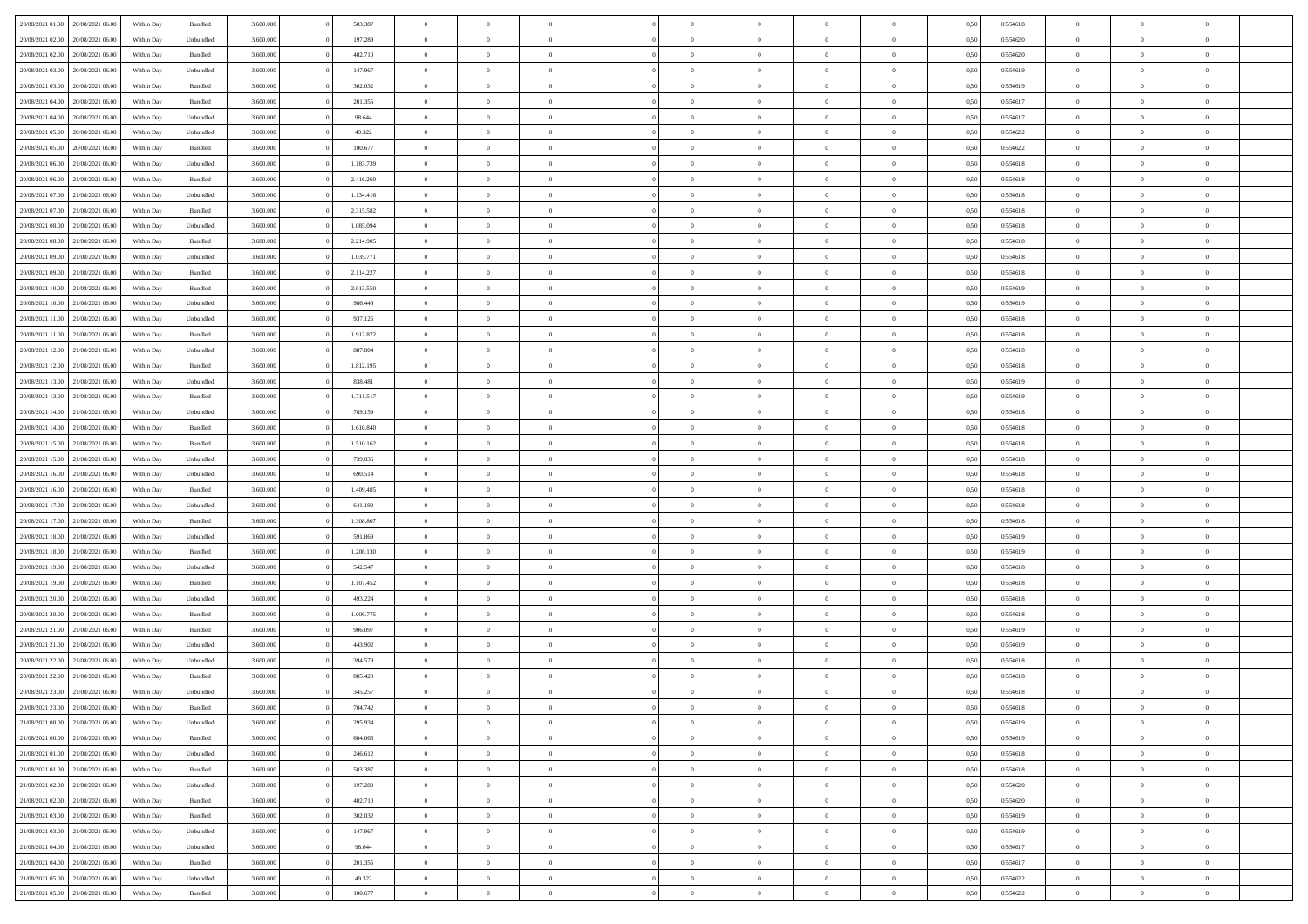| 20/08/2021 01:00                  | 20/08/2021 06:00 | Within Day | Bundled            | 3.600.000 | 503.387   | $\overline{0}$ | $\Omega$       |                | $\Omega$       | $\Omega$       | $\Omega$       | $\Omega$       | 0,50 | 0,554618 | $\theta$       | $\theta$       | $\theta$       |  |
|-----------------------------------|------------------|------------|--------------------|-----------|-----------|----------------|----------------|----------------|----------------|----------------|----------------|----------------|------|----------|----------------|----------------|----------------|--|
|                                   |                  |            |                    |           |           |                |                |                |                |                |                |                |      |          |                |                |                |  |
| 20/08/2021 02:00                  | 20/08/2021 06:00 | Within Day | Unbundled          | 3.600.000 | 197.289   | $\overline{0}$ | $\theta$       | $\overline{0}$ | $\overline{0}$ | $\bf{0}$       | $\overline{0}$ | $\bf{0}$       | 0,50 | 0,554620 | $\theta$       | $\theta$       | $\overline{0}$ |  |
| 20/08/2021 02:00                  | 20/08/2021 06:00 | Within Day | Bundled            | 3.600.000 | 402.710   | $\overline{0}$ | $\overline{0}$ | $\overline{0}$ | $\bf{0}$       | $\bf{0}$       | $\bf{0}$       | $\bf{0}$       | 0,50 | 0,554620 | $\overline{0}$ | $\overline{0}$ | $\overline{0}$ |  |
| 20/08/2021 03:00                  | 20/08/2021 06:00 | Within Day | Unbundled          | 3.600,000 | 147.967   | $\overline{0}$ | $\overline{0}$ | $\overline{0}$ | $\overline{0}$ | $\bf{0}$       | $\overline{0}$ | $\overline{0}$ | 0.50 | 0.554619 | $\theta$       | $\theta$       | $\overline{0}$ |  |
| 20/08/2021 03:00                  | 20/08/2021 06:00 | Within Day | Bundled            | 3.600.000 | 302.032   | $\overline{0}$ | $\theta$       | $\overline{0}$ | $\overline{0}$ | $\bf{0}$       | $\overline{0}$ | $\bf{0}$       | 0,50 | 0,554619 | $\theta$       | $\theta$       | $\overline{0}$ |  |
|                                   |                  |            |                    |           |           |                |                |                |                |                |                |                |      |          |                |                |                |  |
| 20/08/2021 04:00                  | 20/08/2021 06:00 | Within Day | Bundled            | 3.600.000 | 201.355   | $\overline{0}$ | $\bf{0}$       | $\overline{0}$ | $\bf{0}$       | $\overline{0}$ | $\overline{0}$ | $\mathbf{0}$   | 0,50 | 0,554617 | $\overline{0}$ | $\overline{0}$ | $\bf{0}$       |  |
| 20/08/2021 04:00                  | 20/08/2021 06:00 | Within Dav | Unbundled          | 3.600.000 | 98.644    | $\overline{0}$ | $\overline{0}$ | $\overline{0}$ | $\overline{0}$ | $\overline{0}$ | $\overline{0}$ | $\overline{0}$ | 0.50 | 0,554617 | $\theta$       | $\theta$       | $\overline{0}$ |  |
| 20/08/2021 05:00                  | 20/08/2021 06:00 | Within Day | Unbundled          | 3.600.000 | 49.322    | $\overline{0}$ | $\theta$       | $\overline{0}$ | $\overline{0}$ | $\bf{0}$       | $\overline{0}$ | $\bf{0}$       | 0,50 | 0,554622 | $\theta$       | $\theta$       | $\overline{0}$ |  |
| 20/08/2021 05:00                  | 20/08/2021 06:00 | Within Day | Bundled            | 3.600.000 | 100.677   | $\overline{0}$ | $\overline{0}$ | $\overline{0}$ | $\bf{0}$       | $\bf{0}$       | $\bf{0}$       | $\bf{0}$       | 0,50 | 0,554622 | $\,0\,$        | $\overline{0}$ | $\overline{0}$ |  |
| 20/08/2021 06:00                  | 21/08/2021 06:00 | Within Dav | Unbundled          | 3.600.000 | 1.183.739 | $\overline{0}$ | $\overline{0}$ | $\overline{0}$ | $\overline{0}$ | $\overline{0}$ | $\overline{0}$ | $\overline{0}$ | 0.50 | 0,554618 | $\theta$       | $\overline{0}$ | $\overline{0}$ |  |
| 20/08/2021 06:00                  | 21/08/2021 06:00 | Within Day | Bundled            | 3.600.000 | 2.416.260 | $\overline{0}$ | $\theta$       | $\overline{0}$ | $\overline{0}$ | $\bf{0}$       | $\overline{0}$ | $\bf{0}$       | 0,50 | 0,554618 | $\theta$       | $\theta$       | $\overline{0}$ |  |
| 20/08/2021 07:00                  | 21/08/2021 06:00 | Within Day | Unbundled          | 3.600.000 | 1.134.416 | $\overline{0}$ | $\overline{0}$ | $\overline{0}$ | $\bf{0}$       | $\bf{0}$       | $\bf{0}$       | $\bf{0}$       | 0,50 | 0,554618 | $\overline{0}$ | $\overline{0}$ | $\overline{0}$ |  |
|                                   |                  |            |                    |           |           |                |                |                |                |                |                |                |      |          | $\theta$       |                |                |  |
| 20/08/2021 07:00                  | 21/08/2021 06:00 | Within Day | Bundled            | 3.600.000 | 2.315.582 | $\overline{0}$ | $\overline{0}$ | $\overline{0}$ | $\overline{0}$ | $\bf{0}$       | $\overline{0}$ | $\overline{0}$ | 0.50 | 0.554618 |                | $\theta$       | $\overline{0}$ |  |
| 20/08/2021 08:00                  | 21/08/2021 06:00 | Within Day | Unbundled          | 3.600.000 | 1.085.094 | $\overline{0}$ | $\theta$       | $\overline{0}$ | $\overline{0}$ | $\bf{0}$       | $\overline{0}$ | $\bf{0}$       | 0,50 | 0,554618 | $\theta$       | $\theta$       | $\overline{0}$ |  |
| 20/08/2021 08:00                  | 21/08/2021 06:00 | Within Day | Bundled            | 3.600.000 | 2.214.905 | $\overline{0}$ | $\overline{0}$ | $\overline{0}$ | $\bf{0}$       | $\overline{0}$ | $\overline{0}$ | $\mathbf{0}$   | 0,50 | 0,554618 | $\overline{0}$ | $\overline{0}$ | $\bf{0}$       |  |
| 20/08/2021 09:00                  | 21/08/2021 06:00 | Within Dav | Unbundled          | 3.600.000 | 1.035.771 | $\overline{0}$ | $\overline{0}$ | $\overline{0}$ | $\overline{0}$ | $\overline{0}$ | $\overline{0}$ | $\overline{0}$ | 0.50 | 0.554618 | $\theta$       | $\overline{0}$ | $\overline{0}$ |  |
| 20/08/2021 09:00                  | 21/08/2021 06:00 | Within Day | Bundled            | 3.600.000 | 2.114.227 | $\overline{0}$ | $\theta$       | $\overline{0}$ | $\overline{0}$ | $\bf{0}$       | $\overline{0}$ | $\bf{0}$       | 0,50 | 0,554618 | $\theta$       | $\theta$       | $\overline{0}$ |  |
| 20/08/2021 10:00                  | 21/08/2021 06:00 | Within Day | Bundled            | 3.600.000 | 2.013.550 | $\overline{0}$ | $\overline{0}$ | $\overline{0}$ | $\bf{0}$       | $\bf{0}$       | $\bf{0}$       | $\bf{0}$       | 0,50 | 0,554619 | $\,0\,$        | $\overline{0}$ | $\overline{0}$ |  |
| 20/08/2021 10:00                  | 21/08/2021 06:00 | Within Day | Unbundled          | 3.600.000 | 986,449   | $\overline{0}$ | $\overline{0}$ | $\overline{0}$ | $\overline{0}$ | $\overline{0}$ | $\overline{0}$ | $\overline{0}$ | 0.50 | 0,554619 | $\theta$       | $\overline{0}$ | $\overline{0}$ |  |
|                                   |                  |            |                    |           |           |                |                |                |                |                |                |                |      |          |                |                |                |  |
| 20/08/2021 11:00                  | 21/08/2021 06:00 | Within Day | Unbundled          | 3.600.000 | 937.126   | $\overline{0}$ | $\theta$       | $\overline{0}$ | $\overline{0}$ | $\bf{0}$       | $\overline{0}$ | $\bf{0}$       | 0,50 | 0,554618 | $\,$ 0 $\,$    | $\theta$       | $\overline{0}$ |  |
| 20/08/2021 11:00                  | 21/08/2021 06:00 | Within Day | Bundled            | 3.600.000 | 1.912.872 | $\overline{0}$ | $\overline{0}$ | $\overline{0}$ | $\bf{0}$       | $\bf{0}$       | $\bf{0}$       | $\bf{0}$       | 0,50 | 0,554618 | $\bf{0}$       | $\overline{0}$ | $\overline{0}$ |  |
| 20/08/2021 12:00                  | 21/08/2021 06:00 | Within Day | Unbundled          | 3.600,000 | 887.804   | $\overline{0}$ | $\overline{0}$ | $\overline{0}$ | $\overline{0}$ | $\bf{0}$       | $\overline{0}$ | $\overline{0}$ | 0.50 | 0.554618 | $\theta$       | $\theta$       | $\overline{0}$ |  |
| 20/08/2021 12:00                  | 21/08/2021 06:00 | Within Day | Bundled            | 3.600.000 | 1.812.195 | $\overline{0}$ | $\theta$       | $\overline{0}$ | $\overline{0}$ | $\bf{0}$       | $\overline{0}$ | $\bf{0}$       | 0,50 | 0,554618 | $\theta$       | $\overline{0}$ | $\overline{0}$ |  |
| 20/08/2021 13:00                  | 21/08/2021 06:00 | Within Day | Unbundled          | 3.600.000 | 838.481   | $\overline{0}$ | $\bf{0}$       | $\overline{0}$ | $\bf{0}$       | $\overline{0}$ | $\overline{0}$ | $\mathbf{0}$   | 0,50 | 0,554619 | $\overline{0}$ | $\overline{0}$ | $\bf{0}$       |  |
| 20/08/2021 13:00                  | 21/08/2021 06:00 | Within Dav | Bundled            | 3.600.000 | 1.711.517 | $\overline{0}$ | $\overline{0}$ | $\overline{0}$ | $\overline{0}$ | $\overline{0}$ | $\overline{0}$ | $\overline{0}$ | 0.50 | 0,554619 | $\theta$       | $\theta$       | $\overline{0}$ |  |
| 20/08/2021 14:00                  | 21/08/2021 06:00 |            |                    | 3.600.000 | 789.159   | $\overline{0}$ | $\theta$       | $\overline{0}$ | $\overline{0}$ | $\bf{0}$       | $\overline{0}$ |                |      | 0,554618 | $\theta$       | $\theta$       | $\overline{0}$ |  |
|                                   |                  | Within Day | Unbundled          |           |           |                |                |                |                |                |                | $\bf{0}$       | 0,50 |          |                |                |                |  |
| 20/08/2021 14:00                  | 21/08/2021 06:00 | Within Day | Bundled            | 3.600.000 | 1.610.840 | $\overline{0}$ | $\overline{0}$ | $\overline{0}$ | $\overline{0}$ | $\bf{0}$       | $\overline{0}$ | $\bf{0}$       | 0,50 | 0,554618 | $\,0\,$        | $\overline{0}$ | $\overline{0}$ |  |
| 20/08/2021 15:00                  | 21/08/2021 06:00 | Within Day | Bundled            | 3.600.000 | 1.510.162 | $\overline{0}$ | $\overline{0}$ | $\overline{0}$ | $\overline{0}$ | $\overline{0}$ | $\overline{0}$ | $\overline{0}$ | 0.50 | 0.554618 | $\theta$       | $\overline{0}$ | $\overline{0}$ |  |
| 20/08/2021 15:00                  | 21/08/2021 06:00 | Within Day | Unbundled          | 3.600.000 | 739.836   | $\overline{0}$ | $\theta$       | $\overline{0}$ | $\overline{0}$ | $\bf{0}$       | $\overline{0}$ | $\bf{0}$       | 0,50 | 0,554618 | $\,$ 0 $\,$    | $\overline{0}$ | $\overline{0}$ |  |
| 20/08/2021 16:00                  | 21/08/2021 06:00 | Within Day | Unbundled          | 3.600.000 | 690.514   | $\overline{0}$ | $\overline{0}$ | $\overline{0}$ | $\overline{0}$ | $\bf{0}$       | $\overline{0}$ | $\bf{0}$       | 0,50 | 0,554618 | $\overline{0}$ | $\overline{0}$ | $\overline{0}$ |  |
| 20/08/2021 16:00                  | 21/08/2021 06:00 | Within Day | Bundled            | 3.600.000 | 1,409,485 | $\overline{0}$ | $\Omega$       | $\Omega$       | $\Omega$       | $\Omega$       | $\Omega$       | $\overline{0}$ | 0,50 | 0,554618 | $\,0\,$        | $\Omega$       | $\theta$       |  |
| 20/08/2021 17:00                  | 21/08/2021 06:00 | Within Day | Unbundled          | 3.600.000 | 641.192   | $\overline{0}$ | $\theta$       | $\overline{0}$ | $\overline{0}$ | $\bf{0}$       | $\overline{0}$ | $\bf{0}$       | 0,50 | 0,554618 | $\theta$       | $\theta$       | $\overline{0}$ |  |
|                                   |                  |            |                    |           |           |                |                |                |                |                |                |                |      |          |                |                |                |  |
| 20/08/2021 17:00                  | 21/08/2021 06:00 | Within Day | Bundled            | 3.600.000 | 1.308.807 | $\overline{0}$ | $\overline{0}$ | $\overline{0}$ | $\overline{0}$ | $\bf{0}$       | $\overline{0}$ | $\mathbf{0}$   | 0,50 | 0,554618 | $\overline{0}$ | $\overline{0}$ | $\bf{0}$       |  |
| 20/08/2021 18:00                  | 21/08/2021 06:00 | Within Day | Unbundled          | 3.600,000 | 591.869   | $\overline{0}$ | $\Omega$       | $\Omega$       | $\Omega$       | $\bf{0}$       | $\overline{0}$ | $\overline{0}$ | 0.50 | 0.554619 | $\theta$       | $\theta$       | $\theta$       |  |
| 20/08/2021 18:00                  | 21/08/2021 06:00 | Within Day | Bundled            | 3.600.000 | 1.208.130 | $\overline{0}$ | $\theta$       | $\overline{0}$ | $\overline{0}$ | $\bf{0}$       | $\overline{0}$ | $\bf{0}$       | 0,50 | 0,554619 | $\theta$       | $\theta$       | $\overline{0}$ |  |
| 20/08/2021 19:00                  | 21/08/2021 06:00 | Within Day | Unbundled          | 3.600.000 | 542.547   | $\overline{0}$ | $\overline{0}$ | $\overline{0}$ | $\overline{0}$ | $\bf{0}$       | $\overline{0}$ | $\bf{0}$       | 0,50 | 0,554618 | $\,0\,$        | $\overline{0}$ | $\overline{0}$ |  |
| 20/08/2021 19:00                  | 21/08/2021 06:00 | Within Day | Bundled            | 3.600,000 | 1.107.452 | $\overline{0}$ | $\Omega$       | $\Omega$       | $\Omega$       | $\Omega$       | $\theta$       | $\overline{0}$ | 0.50 | 0.554618 | $\theta$       | $\theta$       | $\theta$       |  |
| 20/08/2021 20:00                  | 21/08/2021 06:00 | Within Day | Unbundled          | 3.600.000 | 493.224   | $\overline{0}$ | $\theta$       | $\overline{0}$ | $\overline{0}$ | $\bf{0}$       | $\overline{0}$ | $\bf{0}$       | 0,50 | 0,554618 | $\,$ 0 $\,$    | $\overline{0}$ | $\overline{0}$ |  |
| 20/08/2021 20:00                  | 21/08/2021 06:00 | Within Day | Bundled            | 3.600.000 | 1.006.775 | $\overline{0}$ | $\overline{0}$ | $\overline{0}$ | $\overline{0}$ | $\bf{0}$       | $\overline{0}$ | $\bf{0}$       | 0,50 | 0,554618 | $\overline{0}$ | $\overline{0}$ | $\overline{0}$ |  |
| 20/08/2021 21:00                  | 21/08/2021 06:00 |            |                    | 3.600.000 | 906,097   | $\overline{0}$ | $\Omega$       | $\Omega$       | $\Omega$       | $\Omega$       | $\overline{0}$ | $\overline{0}$ | 0.50 | 0,554619 | $\,0\,$        | $\theta$       | $\theta$       |  |
|                                   |                  | Within Day | Bundled            |           |           |                |                |                |                |                |                |                |      |          |                |                |                |  |
| 20/08/2021 21:00                  | 21/08/2021 06:00 | Within Day | Unbundled          | 3.600.000 | 443.902   | $\overline{0}$ | $\theta$       | $\overline{0}$ | $\overline{0}$ | $\bf{0}$       | $\overline{0}$ | $\bf{0}$       | 0,50 | 0,554619 | $\,$ 0 $\,$    | $\overline{0}$ | $\overline{0}$ |  |
| 20/08/2021 22:00                  | 21/08/2021 06:00 | Within Day | Unbundled          | 3.600.000 | 394.579   | $\overline{0}$ | $\overline{0}$ | $\overline{0}$ | $\bf{0}$       | $\bf{0}$       | $\bf{0}$       | $\mathbf{0}$   | 0,50 | 0,554618 | $\bf{0}$       | $\overline{0}$ | $\bf{0}$       |  |
| 20/08/2021 22:00                  | 21/08/2021 06:00 | Within Day | Bundled            | 3.600,000 | 805.420   | $\overline{0}$ | $\Omega$       | $\Omega$       | $\Omega$       | $\Omega$       | $\Omega$       | $\overline{0}$ | 0.50 | 0.554618 | $\theta$       | $\Omega$       | $\theta$       |  |
| 20/08/2021 23:00                  | 21/08/2021 06:00 | Within Day | Unbundled          | 3.600.000 | 345.257   | $\overline{0}$ | $\overline{0}$ | $\overline{0}$ | $\bf{0}$       | $\,$ 0         | $\bf{0}$       | $\bf{0}$       | 0,50 | 0,554618 | $\,0\,$        | $\overline{0}$ | $\overline{0}$ |  |
| 20/08/2021 23:00                  | 21/08/2021 06:00 | Within Day | $\mathbf B$ undled | 3.600.000 | 704.742   | $\bf{0}$       | $\bf{0}$       |                |                |                |                |                | 0,50 | 0,554618 | $\bf{0}$       | $\overline{0}$ |                |  |
| 21/08/2021 00:00                  | 21/08/2021 06:00 | Within Day | Unbundled          | 3.600,000 | 295.934   | $\overline{0}$ | $\overline{0}$ | $\overline{0}$ | $\Omega$       | $\overline{0}$ | $\overline{0}$ | $\overline{0}$ | 0,50 | 0.554619 | $\theta$       | $\theta$       | $\theta$       |  |
| 21/08/2021 00:00                  | 21/08/2021 06:00 | Within Day | Bundled            | 3.600.000 | 604.065   | $\overline{0}$ | $\bf{0}$       | $\overline{0}$ | $\bf{0}$       | $\,$ 0 $\,$    | $\overline{0}$ | $\,$ 0 $\,$    | 0,50 | 0,554619 | $\,$ 0 $\,$    | $\,$ 0 $\,$    | $\,$ 0         |  |
|                                   |                  |            |                    |           |           |                |                |                |                |                |                |                |      |          |                |                |                |  |
| 21/08/2021 01:00                  | 21/08/2021 06:00 | Within Day | Unbundled          | 3.600.000 | 246.612   | $\overline{0}$ | $\overline{0}$ | $\overline{0}$ | $\overline{0}$ | $\overline{0}$ | $\overline{0}$ | $\mathbf{0}$   | 0,50 | 0,554618 | $\overline{0}$ | $\bf{0}$       | $\overline{0}$ |  |
| 21/08/2021 01:00                  | 21/08/2021 06:00 | Within Day | $\mathbf B$ undled | 3.600.000 | 503.387   | $\overline{0}$ | $\overline{0}$ | $\overline{0}$ | $\Omega$       | $\overline{0}$ | $\overline{0}$ | $\overline{0}$ | 0,50 | 0,554618 | $\overline{0}$ | $\theta$       | $\overline{0}$ |  |
| 21/08/2021 02:00                  | 21/08/2021 06:00 | Within Day | Unbundled          | 3.600.000 | 197.289   | $\overline{0}$ | $\,$ 0         | $\overline{0}$ | $\bf{0}$       | $\,$ 0 $\,$    | $\overline{0}$ | $\,$ 0 $\,$    | 0,50 | 0,554620 | $\,$ 0 $\,$    | $\overline{0}$ | $\,$ 0         |  |
| 21/08/2021 02:00                  | 21/08/2021 06:00 | Within Day | Bundled            | 3.600.000 | 402.710   | $\overline{0}$ | $\overline{0}$ | $\overline{0}$ | $\overline{0}$ | $\overline{0}$ | $\overline{0}$ | $\mathbf{0}$   | 0,50 | 0,554620 | $\overline{0}$ | $\overline{0}$ | $\overline{0}$ |  |
| 21/08/2021 03:00                  | 21/08/2021 06:00 | Within Day | Bundled            | 3.600.000 | 302.032   | $\overline{0}$ | $\overline{0}$ | $\overline{0}$ | $\overline{0}$ | $\overline{0}$ | $\overline{0}$ | $\overline{0}$ | 0.50 | 0,554619 | $\overline{0}$ | $\theta$       | $\overline{0}$ |  |
| 21/08/2021 03:00                  | 21/08/2021 06:00 | Within Day | Unbundled          | 3.600.000 | 147.967   | $\overline{0}$ | $\,$ 0         | $\overline{0}$ | $\bf{0}$       | $\bf{0}$       | $\bf{0}$       | $\bf{0}$       | 0,50 | 0,554619 | $\,$ 0 $\,$    | $\overline{0}$ | $\overline{0}$ |  |
| 21/08/2021 04:00                  | 21/08/2021 06:00 | Within Day | Unbundled          | 3.600.000 | 98.644    | $\overline{0}$ | $\overline{0}$ | $\overline{0}$ | $\overline{0}$ | $\overline{0}$ | $\overline{0}$ | $\mathbf{0}$   | 0,50 | 0,554617 | $\overline{0}$ | $\overline{0}$ | $\bf{0}$       |  |
|                                   |                  |            |                    |           |           |                |                |                |                |                |                |                |      |          |                |                |                |  |
| 21/08/2021 04:00                  | 21/08/2021 06:00 | Within Day | Bundled            | 3.600,000 | 201.355   | $\overline{0}$ | $\overline{0}$ | $\overline{0}$ | $\Omega$       | $\overline{0}$ | $\overline{0}$ | $\overline{0}$ | 0.50 | 0,554617 | $\overline{0}$ | $\overline{0}$ | $\overline{0}$ |  |
| 21/08/2021 05:00                  | 21/08/2021 06:00 | Within Day | Unbundled          | 3.600.000 | 49.322    | $\overline{0}$ | $\bf{0}$       | $\overline{0}$ | $\overline{0}$ | $\bf{0}$       | $\bf{0}$       | $\mathbf{0}$   | 0,50 | 0,554622 | $\,$ 0 $\,$    | $\,$ 0 $\,$    | $\bf{0}$       |  |
| 21/08/2021 05:00 21/08/2021 06:00 |                  | Within Day | Bundled            | 3.600.000 | 100.677   | $\overline{0}$ | $\bf{0}$       | $\overline{0}$ | $\overline{0}$ | $\bf{0}$       | $\bf{0}$       | $\bf{0}$       | 0,50 | 0,554622 | $\overline{0}$ | $\overline{0}$ | $\bf{0}$       |  |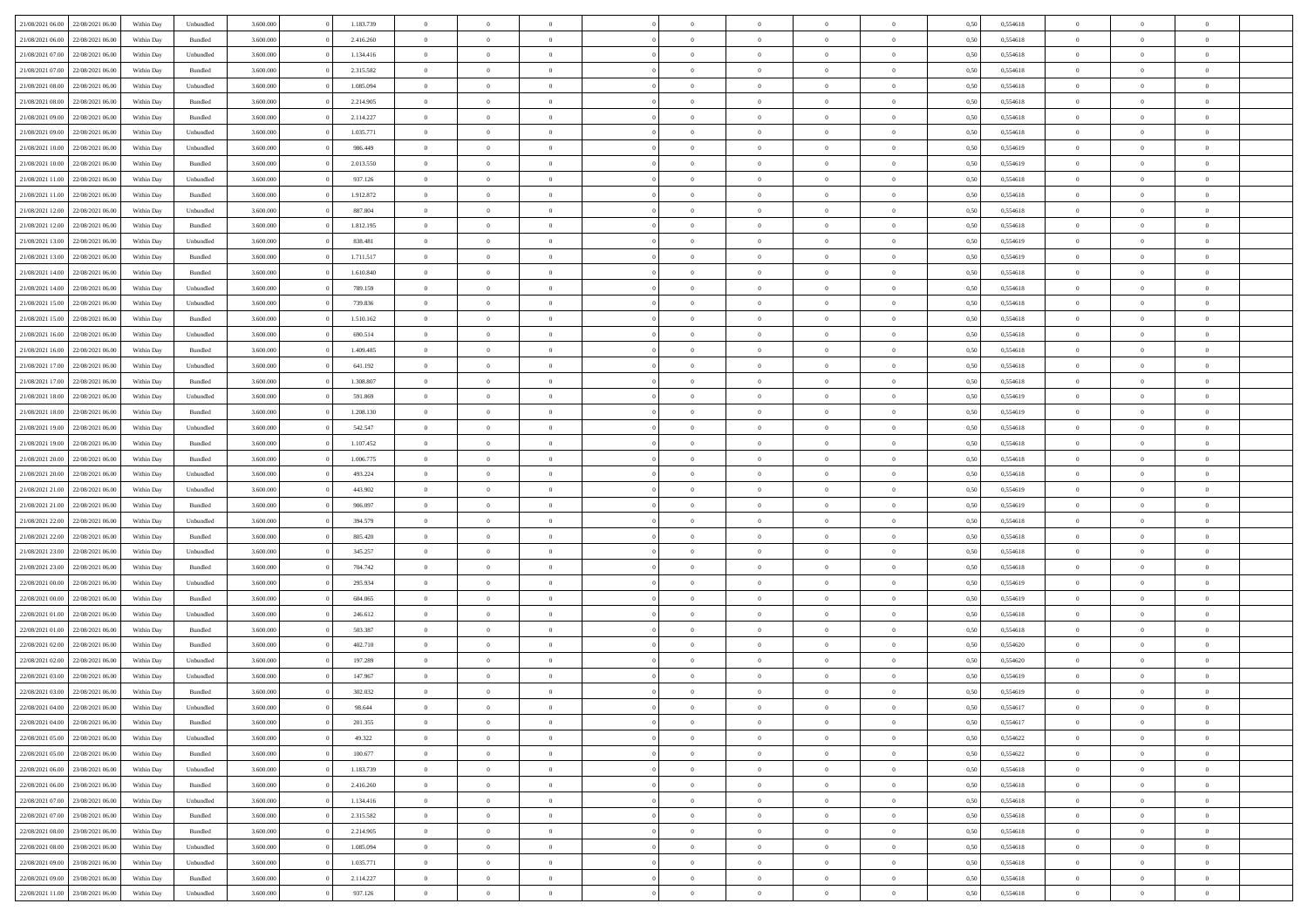| 21/08/2021 06:00                  | 22/08/2021 06:00 | Within Dav | Unbundled | 3.600.000 | 1.183.739 | $\overline{0}$ | $\Omega$       |                | $\Omega$       | $\Omega$       | $\Omega$       | $\theta$       | 0,50 | 0,554618 | $\theta$       | $\theta$       | $\theta$       |  |
|-----------------------------------|------------------|------------|-----------|-----------|-----------|----------------|----------------|----------------|----------------|----------------|----------------|----------------|------|----------|----------------|----------------|----------------|--|
|                                   |                  |            |           |           |           |                |                |                |                |                |                |                |      |          |                |                |                |  |
| 21/08/2021 06:00                  | 22/08/2021 06:00 | Within Day | Bundled   | 3.600.000 | 2.416.260 | $\overline{0}$ | $\theta$       | $\overline{0}$ | $\overline{0}$ | $\bf{0}$       | $\overline{0}$ | $\bf{0}$       | 0,50 | 0,554618 | $\theta$       | $\theta$       | $\overline{0}$ |  |
| 21/08/2021 07:00                  | 22/08/2021 06:00 | Within Day | Unbundled | 3.600.000 | 1.134.416 | $\overline{0}$ | $\overline{0}$ | $\overline{0}$ | $\bf{0}$       | $\bf{0}$       | $\overline{0}$ | $\bf{0}$       | 0,50 | 0,554618 | $\bf{0}$       | $\overline{0}$ | $\overline{0}$ |  |
| 21/08/2021 07:00                  | 22/08/2021 06:00 | Within Dav | Bundled   | 3.600,000 | 2.315.582 | $\overline{0}$ | $\theta$       | $\overline{0}$ | $\overline{0}$ | $\bf{0}$       | $\overline{0}$ | $\overline{0}$ | 0.50 | 0.554618 | $\theta$       | $\theta$       | $\overline{0}$ |  |
|                                   |                  |            |           |           |           |                |                |                |                |                |                |                |      |          |                |                |                |  |
| 21/08/2021 08:00                  | 22/08/2021 06:00 | Within Day | Unbundled | 3.600.000 | 1.085.094 | $\overline{0}$ | $\theta$       | $\overline{0}$ | $\overline{0}$ | $\bf{0}$       | $\overline{0}$ | $\bf{0}$       | 0,50 | 0,554618 | $\theta$       | $\theta$       | $\overline{0}$ |  |
| 21/08/2021 08:00                  | 22/08/2021 06:00 | Within Day | Bundled   | 3.600.000 | 2.214.905 | $\overline{0}$ | $\bf{0}$       | $\overline{0}$ | $\overline{0}$ | $\overline{0}$ | $\overline{0}$ | $\mathbf{0}$   | 0,50 | 0,554618 | $\bf{0}$       | $\overline{0}$ | $\bf{0}$       |  |
| 21/08/2021 09:00                  | 22/08/2021 06:00 | Within Dav | Bundled   | 3.600.000 | 2.114.227 | $\overline{0}$ | $\overline{0}$ | $\overline{0}$ | $\overline{0}$ | $\overline{0}$ | $\overline{0}$ | $\overline{0}$ | 0.50 | 0.554618 | $\theta$       | $\theta$       | $\overline{0}$ |  |
| 21/08/2021 09:00                  | 22/08/2021 06:00 | Within Day | Unbundled | 3.600.000 | 1.035.771 | $\overline{0}$ | $\theta$       | $\overline{0}$ | $\overline{0}$ | $\bf{0}$       | $\overline{0}$ | $\bf{0}$       | 0,50 | 0,554618 | $\theta$       | $\theta$       | $\overline{0}$ |  |
| 21/08/2021 10:00                  | 22/08/2021 06:00 | Within Day | Unbundled | 3.600.000 | 986.449   | $\overline{0}$ | $\overline{0}$ | $\overline{0}$ | $\overline{0}$ | $\bf{0}$       | $\overline{0}$ | $\bf{0}$       | 0,50 | 0,554619 | $\,0\,$        | $\overline{0}$ | $\overline{0}$ |  |
|                                   |                  |            |           |           |           |                |                |                |                |                |                |                |      |          |                |                |                |  |
| 21/08/2021 10:00                  | 22/08/2021 06:00 | Within Dav | Bundled   | 3.600.000 | 2.013.550 | $\overline{0}$ | $\overline{0}$ | $\overline{0}$ | $\overline{0}$ | $\overline{0}$ | $\overline{0}$ | $\overline{0}$ | 0.50 | 0.554619 | $\theta$       | $\overline{0}$ | $\overline{0}$ |  |
| 21/08/2021 11:00                  | 22/08/2021 06:00 | Within Day | Unbundled | 3.600.000 | 937.126   | $\overline{0}$ | $\theta$       | $\overline{0}$ | $\overline{0}$ | $\bf{0}$       | $\overline{0}$ | $\bf{0}$       | 0,50 | 0,554618 | $\theta$       | $\theta$       | $\overline{0}$ |  |
| 21/08/2021 11:00                  | 22/08/2021 06:00 | Within Day | Bundled   | 3.600.000 | 1.912.872 | $\overline{0}$ | $\overline{0}$ | $\overline{0}$ | $\overline{0}$ | $\bf{0}$       | $\overline{0}$ | $\bf{0}$       | 0,50 | 0,554618 | $\bf{0}$       | $\overline{0}$ | $\overline{0}$ |  |
| 21/08/2021 12:00                  | 22/08/2021 06:00 | Within Day | Unbundled | 3.600.000 | 887.804   | $\overline{0}$ | $\overline{0}$ | $\overline{0}$ | $\overline{0}$ | $\bf{0}$       | $\overline{0}$ | $\overline{0}$ | 0.50 | 0.554618 | $\theta$       | $\theta$       | $\overline{0}$ |  |
| 21/08/2021 12:00                  | 22/08/2021 06:00 | Within Day | Bundled   | 3.600.000 | 1.812.195 | $\overline{0}$ | $\theta$       | $\overline{0}$ | $\overline{0}$ | $\bf{0}$       | $\overline{0}$ | $\bf{0}$       | 0,50 | 0,554618 | $\theta$       | $\theta$       | $\overline{0}$ |  |
|                                   |                  |            |           |           |           |                |                |                |                |                |                |                |      |          |                |                |                |  |
| 21/08/2021 13:00                  | 22/08/2021 06:00 | Within Day | Unbundled | 3.600.000 | 838.481   | $\overline{0}$ | $\overline{0}$ | $\overline{0}$ | $\overline{0}$ | $\overline{0}$ | $\overline{0}$ | $\mathbf{0}$   | 0,50 | 0,554619 | $\bf{0}$       | $\overline{0}$ | $\bf{0}$       |  |
| 21/08/2021 13:00                  | 22/08/2021 06:00 | Within Dav | Bundled   | 3.600.000 | 1.711.517 | $\overline{0}$ | $\overline{0}$ | $\overline{0}$ | $\overline{0}$ | $\overline{0}$ | $\overline{0}$ | $\overline{0}$ | 0.50 | 0.554619 | $\theta$       | $\overline{0}$ | $\overline{0}$ |  |
| 21/08/2021 14:00                  | 22/08/2021 06:00 | Within Day | Bundled   | 3.600.000 | 1.610.840 | $\overline{0}$ | $\theta$       | $\overline{0}$ | $\overline{0}$ | $\bf{0}$       | $\overline{0}$ | $\bf{0}$       | 0,50 | 0,554618 | $\theta$       | $\theta$       | $\overline{0}$ |  |
| 21/08/2021 14:00                  | 22/08/2021 06:00 | Within Day | Unbundled | 3.600.000 | 789.159   | $\overline{0}$ | $\overline{0}$ | $\overline{0}$ | $\overline{0}$ | $\bf{0}$       | $\overline{0}$ | $\bf{0}$       | 0,50 | 0,554618 | $\,0\,$        | $\overline{0}$ | $\overline{0}$ |  |
| 21/08/2021 15:00                  | 22/08/2021 06:00 | Within Day | Unbundled | 3.600.000 | 739.836   | $\overline{0}$ | $\overline{0}$ | $\overline{0}$ | $\overline{0}$ | $\overline{0}$ | $\overline{0}$ | $\overline{0}$ | 0.50 | 0.554618 | $\theta$       | $\overline{0}$ | $\overline{0}$ |  |
|                                   |                  |            |           |           |           |                |                |                |                |                |                |                |      |          |                |                |                |  |
| 21/08/2021 15:00                  | 22/08/2021 06:00 | Within Day | Bundled   | 3.600.000 | 1.510.162 | $\overline{0}$ | $\theta$       | $\overline{0}$ | $\overline{0}$ | $\bf{0}$       | $\overline{0}$ | $\bf{0}$       | 0,50 | 0,554618 | $\,$ 0 $\,$    | $\theta$       | $\overline{0}$ |  |
| 21/08/2021 16:00                  | 22/08/2021 06:00 | Within Day | Unbundled | 3.600.000 | 690.514   | $\overline{0}$ | $\overline{0}$ | $\overline{0}$ | $\overline{0}$ | $\bf{0}$       | $\overline{0}$ | $\bf{0}$       | 0,50 | 0,554618 | $\bf{0}$       | $\overline{0}$ | $\overline{0}$ |  |
| 21/08/2021 16:00                  | 22/08/2021 06:00 | Within Day | Bundled   | 3.600,000 | 1.409.485 | $\overline{0}$ | $\overline{0}$ | $\overline{0}$ | $\overline{0}$ | $\bf{0}$       | $\overline{0}$ | $\overline{0}$ | 0.50 | 0.554618 | $\theta$       | $\theta$       | $\overline{0}$ |  |
| 21/08/2021 17:00                  | 22/08/2021 06:00 | Within Day | Unbundled | 3.600.000 | 641.192   | $\overline{0}$ | $\theta$       | $\overline{0}$ | $\overline{0}$ | $\bf{0}$       | $\overline{0}$ | $\bf{0}$       | 0,50 | 0,554618 | $\theta$       | $\overline{0}$ | $\overline{0}$ |  |
|                                   |                  |            |           |           |           |                | $\bf{0}$       |                |                |                |                |                |      |          |                | $\overline{0}$ | $\bf{0}$       |  |
| 21/08/2021 17:00                  | 22/08/2021 06:00 | Within Day | Bundled   | 3.600.000 | 1.308.807 | $\overline{0}$ |                | $\overline{0}$ | $\bf{0}$       | $\overline{0}$ | $\overline{0}$ | $\mathbf{0}$   | 0,50 | 0,554618 | $\bf{0}$       |                |                |  |
| 21/08/2021 18:00                  | 22/08/2021 06:00 | Within Dav | Unbundled | 3.600.000 | 591.869   | $\overline{0}$ | $\overline{0}$ | $\overline{0}$ | $\overline{0}$ | $\overline{0}$ | $\overline{0}$ | $\overline{0}$ | 0.50 | 0.554619 | $\theta$       | $\theta$       | $\overline{0}$ |  |
| 21/08/2021 18:00                  | 22/08/2021 06:00 | Within Day | Bundled   | 3.600.000 | 1.208.130 | $\overline{0}$ | $\theta$       | $\overline{0}$ | $\overline{0}$ | $\bf{0}$       | $\overline{0}$ | $\bf{0}$       | 0,50 | 0,554619 | $\theta$       | $\theta$       | $\overline{0}$ |  |
| 21/08/2021 19:00                  | 22/08/2021 06:00 | Within Day | Unbundled | 3.600.000 | 542.547   | $\overline{0}$ | $\overline{0}$ | $\overline{0}$ | $\bf{0}$       | $\bf{0}$       | $\bf{0}$       | $\bf{0}$       | 0,50 | 0,554618 | $\,0\,$        | $\overline{0}$ | $\overline{0}$ |  |
| 21/08/2021 19:00                  | 22/08/2021 06:00 | Within Day | Bundled   | 3.600.000 | 1.107.452 | $\overline{0}$ | $\overline{0}$ | $\overline{0}$ | $\overline{0}$ | $\overline{0}$ | $\overline{0}$ | $\overline{0}$ | 0.50 | 0.554618 | $\theta$       | $\overline{0}$ | $\overline{0}$ |  |
| 21/08/2021 20:00                  | 22/08/2021 06:00 | Within Day | Bundled   | 3.600.000 | 1.006.775 | $\overline{0}$ | $\theta$       | $\overline{0}$ | $\overline{0}$ | $\bf{0}$       | $\overline{0}$ | $\bf{0}$       | 0,50 | 0,554618 | $\,$ 0 $\,$    | $\overline{0}$ | $\overline{0}$ |  |
|                                   |                  |            |           |           |           |                |                |                |                |                |                |                |      |          |                |                |                |  |
| 21/08/2021 20:00                  | 22/08/2021 06:00 | Within Day | Unbundled | 3.600.000 | 493.224   | $\overline{0}$ | $\overline{0}$ | $\overline{0}$ | $\bf{0}$       | $\bf{0}$       | $\bf{0}$       | $\bf{0}$       | 0,50 | 0,554618 | $\bf{0}$       | $\overline{0}$ | $\overline{0}$ |  |
| 21/08/2021 21:00                  | 22/08/2021 06:00 | Within Day | Unbundled | 3.600.000 | 443.902   | $\overline{0}$ | $\Omega$       | $\Omega$       | $\Omega$       | $\Omega$       | $\Omega$       | $\overline{0}$ | 0,50 | 0,554619 | $\,0\,$        | $\Omega$       | $\theta$       |  |
| 21/08/2021 21:00                  | 22/08/2021 06:00 | Within Day | Bundled   | 3.600.000 | 906.097   | $\overline{0}$ | $\theta$       | $\overline{0}$ | $\overline{0}$ | $\bf{0}$       | $\overline{0}$ | $\bf{0}$       | 0,50 | 0,554619 | $\theta$       | $\theta$       | $\overline{0}$ |  |
| 21/08/2021 22:00                  | 22/08/2021 06:00 | Within Day | Unbundled | 3.600.000 | 394.579   | $\overline{0}$ | $\overline{0}$ | $\overline{0}$ | $\bf{0}$       | $\bf{0}$       | $\overline{0}$ | $\mathbf{0}$   | 0,50 | 0,554618 | $\overline{0}$ | $\overline{0}$ | $\bf{0}$       |  |
| 21/08/2021 22:00                  | 22/08/2021 06:00 | Within Day | Bundled   | 3.600,000 | 805.420   | $\overline{0}$ | $\Omega$       | $\Omega$       | $\Omega$       | $\bf{0}$       | $\overline{0}$ | $\overline{0}$ | 0.50 | 0.554618 | $\theta$       | $\theta$       | $\theta$       |  |
|                                   |                  |            |           |           |           |                |                |                |                |                |                |                |      |          |                |                |                |  |
| 21/08/2021 23:00                  | 22/08/2021 06:00 | Within Day | Unbundled | 3.600.000 | 345.257   | $\overline{0}$ | $\theta$       | $\overline{0}$ | $\overline{0}$ | $\bf{0}$       | $\overline{0}$ | $\bf{0}$       | 0,50 | 0,554618 | $\theta$       | $\theta$       | $\overline{0}$ |  |
| 21/08/2021 23:00                  | 22/08/2021 06:00 | Within Day | Bundled   | 3.600.000 | 704.742   | $\overline{0}$ | $\overline{0}$ | $\overline{0}$ | $\bf{0}$       | $\bf{0}$       | $\bf{0}$       | $\bf{0}$       | 0,50 | 0,554618 | $\,0\,$        | $\overline{0}$ | $\overline{0}$ |  |
| 22/08/2021 00:00                  | 22/08/2021 06:00 | Within Day | Unbundled | 3.600,000 | 295.934   | $\overline{0}$ | $\Omega$       | $\Omega$       | $\Omega$       | $\Omega$       | $\theta$       | $\overline{0}$ | 0.50 | 0.554619 | $\theta$       | $\theta$       | $\theta$       |  |
| 22/08/2021 00:00                  | 22/08/2021 06:00 | Within Day | Bundled   | 3.600.000 | 604.065   | $\overline{0}$ | $\theta$       | $\overline{0}$ | $\overline{0}$ | $\bf{0}$       | $\overline{0}$ | $\bf{0}$       | 0,50 | 0,554619 | $\,$ 0 $\,$    | $\overline{0}$ | $\overline{0}$ |  |
| 22/08/2021 01:00                  | 22/08/2021 06:00 | Within Day | Unbundled | 3.600.000 | 246.612   | $\overline{0}$ | $\overline{0}$ | $\overline{0}$ | $\bf{0}$       | $\bf{0}$       | $\bf{0}$       | $\bf{0}$       | 0,50 | 0,554618 | $\overline{0}$ | $\overline{0}$ | $\overline{0}$ |  |
|                                   |                  |            |           |           |           |                |                |                |                |                |                |                |      |          |                |                |                |  |
| 22/08/2021 01:00                  | 22/08/2021 06:00 | Within Day | Bundled   | 3.600.000 | 503.387   | $\overline{0}$ | $\Omega$       | $\overline{0}$ | $\Omega$       | $\Omega$       | $\overline{0}$ | $\overline{0}$ | 0,50 | 0,554618 | $\,0\,$        | $\theta$       | $\theta$       |  |
| 22/08/2021 02:00                  | 22/08/2021 06:00 | Within Day | Bundled   | 3.600.000 | 402.710   | $\overline{0}$ | $\theta$       | $\overline{0}$ | $\overline{0}$ | $\bf{0}$       | $\overline{0}$ | $\bf{0}$       | 0,50 | 0,554620 | $\,$ 0 $\,$    | $\overline{0}$ | $\overline{0}$ |  |
| 22/08/2021 02:00                  | 22/08/2021 06:00 | Within Day | Unbundled | 3.600.000 | 197.289   | $\overline{0}$ | $\overline{0}$ | $\overline{0}$ | $\bf{0}$       | $\bf{0}$       | $\bf{0}$       | $\mathbf{0}$   | 0,50 | 0,554620 | $\overline{0}$ | $\overline{0}$ | $\bf{0}$       |  |
| 22/08/2021 03:00                  | 22/08/2021 06:00 | Within Day | Unbundled | 3.600,000 | 147.967   | $\overline{0}$ | $\Omega$       | $\Omega$       | $\Omega$       | $\Omega$       | $\Omega$       | $\overline{0}$ | 0.50 | 0.554619 | $\theta$       | $\Omega$       | $\theta$       |  |
| 22/08/2021 03:00                  | 22/08/2021 06:00 | Within Day | Bundled   | 3.600.000 | 302.032   | $\overline{0}$ | $\,$ 0 $\,$    | $\overline{0}$ | $\bf{0}$       | $\,$ 0         | $\bf{0}$       | $\bf{0}$       | 0,50 | 0,554619 | $\,0\,$        | $\overline{0}$ | $\overline{0}$ |  |
| 22/08/2021 04:00 22/08/2021 06:00 |                  | Within Day | Unbundled | 3.600.000 |           |                |                |                |                |                |                |                |      |          |                |                |                |  |
|                                   |                  |            |           |           | 98.644    | $\bf{0}$       | $\bf{0}$       |                |                |                |                |                | 0,50 | 0,554617 | $\bf{0}$       | $\overline{0}$ |                |  |
| 22/08/2021 04:00                  | 22/08/2021 06:00 | Within Day | Bundled   | 3.600,000 | 201,355   | $\overline{0}$ | $\overline{0}$ | $\overline{0}$ | $\Omega$       | $\overline{0}$ | $\overline{0}$ | $\overline{0}$ | 0.50 | 0.554617 | $\theta$       | $\theta$       | $\theta$       |  |
| 22/08/2021 05:00                  | 22/08/2021 06:00 | Within Day | Unbundled | 3.600.000 | 49.322    | $\overline{0}$ | $\,$ 0         | $\overline{0}$ | $\bf{0}$       | $\,$ 0 $\,$    | $\overline{0}$ | $\mathbf{0}$   | 0,50 | 0,554622 | $\,$ 0 $\,$    | $\,$ 0 $\,$    | $\,$ 0         |  |
| 22/08/2021 05:00                  | 22/08/2021 06:00 | Within Day | Bundled   | 3.600.000 | 100.677   | $\overline{0}$ | $\overline{0}$ | $\overline{0}$ | $\overline{0}$ | $\overline{0}$ | $\overline{0}$ | $\mathbf{0}$   | 0,50 | 0,554622 | $\overline{0}$ | $\bf{0}$       | $\bf{0}$       |  |
| 22/08/2021 06:00                  | 23/08/2021 06:00 | Within Day | Unbundled | 3.600.000 | 1.183.739 | $\overline{0}$ | $\overline{0}$ | $\overline{0}$ | $\Omega$       | $\overline{0}$ | $\overline{0}$ | $\overline{0}$ | 0,50 | 0,554618 | $\overline{0}$ | $\theta$       | $\overline{0}$ |  |
| 22/08/2021 06:00                  | 23/08/2021 06:00 | Within Day | Bundled   | 3.600.000 | 2.416.260 | $\overline{0}$ | $\,$ 0         | $\overline{0}$ | $\overline{0}$ | $\,$ 0 $\,$    | $\overline{0}$ | $\mathbf{0}$   | 0,50 | 0,554618 | $\,$ 0 $\,$    | $\overline{0}$ | $\overline{0}$ |  |
|                                   |                  |            |           |           |           |                |                |                |                |                |                |                |      |          |                |                |                |  |
| 22/08/2021 07:00                  | 23/08/2021 06:00 | Within Day | Unbundled | 3.600.000 | 1.134.416 | $\overline{0}$ | $\overline{0}$ | $\overline{0}$ | $\overline{0}$ | $\overline{0}$ | $\overline{0}$ | $\mathbf{0}$   | 0,50 | 0,554618 | $\overline{0}$ | $\overline{0}$ | $\bf{0}$       |  |
| 22/08/2021 07:00                  | 23/08/2021 06:00 | Within Day | Bundled   | 3.600,000 | 2.315.582 | $\overline{0}$ | $\overline{0}$ | $\overline{0}$ | $\Omega$       | $\overline{0}$ | $\overline{0}$ | $\bf{0}$       | 0.50 | 0,554618 | $\overline{0}$ | $\theta$       | $\overline{0}$ |  |
| 22/08/2021 08:00                  | 23/08/2021 06:00 | Within Day | Bundled   | 3.600.000 | 2.214.905 | $\overline{0}$ | $\,$ 0         | $\overline{0}$ | $\bf{0}$       | $\bf{0}$       | $\bf{0}$       | $\bf{0}$       | 0,50 | 0,554618 | $\,$ 0 $\,$    | $\overline{0}$ | $\overline{0}$ |  |
| 22/08/2021 08:00                  | 23/08/2021 06:00 | Within Day | Unbundled | 3.600.000 | 1.085.094 | $\overline{0}$ | $\bf{0}$       | $\overline{0}$ | $\overline{0}$ | $\overline{0}$ | $\overline{0}$ | $\mathbf{0}$   | 0,50 | 0,554618 | $\overline{0}$ | $\overline{0}$ | $\bf{0}$       |  |
| 22/08/2021 09:00                  | 23/08/2021 06:00 | Within Day | Unbundled | 3.600,000 | 1.035.771 | $\overline{0}$ | $\overline{0}$ | $\overline{0}$ | $\Omega$       | $\overline{0}$ | $\overline{0}$ | $\overline{0}$ | 0.50 | 0,554618 | $\overline{0}$ | $\theta$       | $\overline{0}$ |  |
|                                   |                  |            |           |           |           |                |                |                |                |                |                |                |      |          |                |                |                |  |
| 22/08/2021 09:00                  | 23/08/2021 06:00 | Within Day | Bundled   | 3.600.000 | 2.114.227 | $\overline{0}$ | $\bf{0}$       | $\overline{0}$ | $\overline{0}$ | $\bf{0}$       | $\bf{0}$       | $\mathbf{0}$   | 0,50 | 0,554618 | $\,$ 0 $\,$    | $\,$ 0 $\,$    | $\bf{0}$       |  |
| 22/08/2021 11:00 23/08/2021 06:00 |                  | Within Day | Unbundled | 3.600.000 | 937.126   | $\overline{0}$ | $\overline{0}$ | $\overline{0}$ | $\overline{0}$ | $\overline{0}$ | $\bf{0}$       | $\mathbf{0}$   | 0,50 | 0,554618 | $\overline{0}$ | $\bf{0}$       | $\bf{0}$       |  |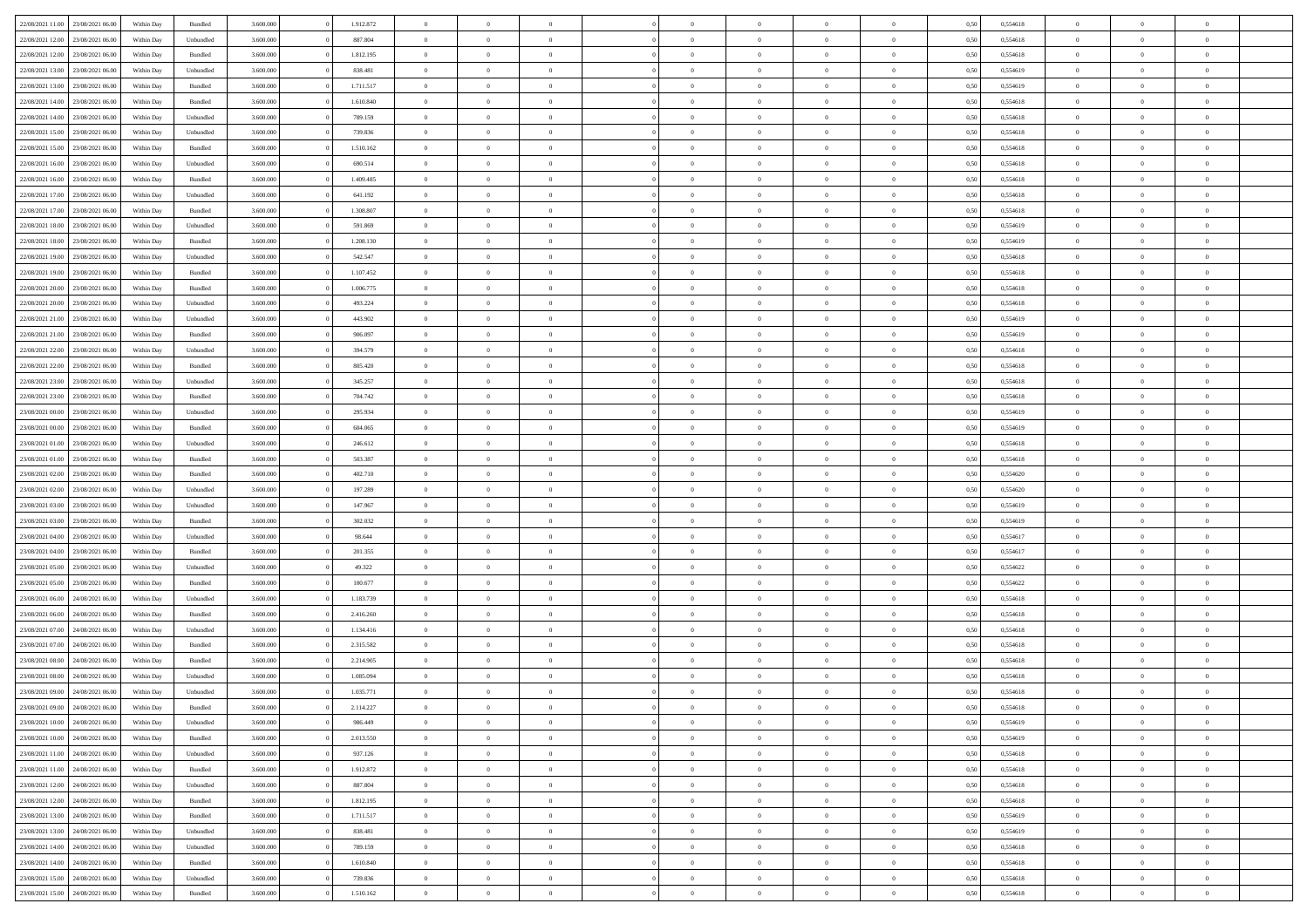|                                   |                  |            |                    |           |           | $\overline{0}$ | $\Omega$       |                |                | $\Omega$       | $\Omega$       | $\theta$       |      |          | $\theta$       | $\theta$       | $\theta$       |  |
|-----------------------------------|------------------|------------|--------------------|-----------|-----------|----------------|----------------|----------------|----------------|----------------|----------------|----------------|------|----------|----------------|----------------|----------------|--|
| 22/08/2021 11:00                  | 23/08/2021 06:00 | Within Day | Bundled            | 3.600.000 | 1.912.872 |                |                |                | $\Omega$       |                |                |                | 0,50 | 0,554618 |                |                |                |  |
| 22/08/2021 12:00                  | 23/08/2021 06:00 | Within Day | Unbundled          | 3.600.000 | 887.804   | $\overline{0}$ | $\theta$       | $\overline{0}$ | $\overline{0}$ | $\bf{0}$       | $\overline{0}$ | $\bf{0}$       | 0,50 | 0,554618 | $\theta$       | $\theta$       | $\overline{0}$ |  |
| 22/08/2021 12:00                  | 23/08/2021 06:00 | Within Day | Bundled            | 3.600.000 | 1.812.195 | $\overline{0}$ | $\overline{0}$ | $\overline{0}$ | $\bf{0}$       | $\bf{0}$       | $\bf{0}$       | $\bf{0}$       | 0,50 | 0,554618 | $\overline{0}$ | $\overline{0}$ | $\overline{0}$ |  |
| 22/08/2021 13:00                  | 23/08/2021 06:00 | Within Dav | Unbundled          | 3.600,000 | 838.481   | $\overline{0}$ | $\overline{0}$ | $\overline{0}$ | $\overline{0}$ | $\bf{0}$       | $\overline{0}$ | $\overline{0}$ | 0.50 | 0.554619 | $\theta$       | $\theta$       | $\overline{0}$ |  |
|                                   |                  |            |                    |           |           |                |                |                |                |                |                |                |      |          |                |                |                |  |
| 22/08/2021 13:00                  | 23/08/2021 06:00 | Within Day | Bundled            | 3.600.000 | 1.711.517 | $\overline{0}$ | $\theta$       | $\overline{0}$ | $\overline{0}$ | $\bf{0}$       | $\overline{0}$ | $\bf{0}$       | 0,50 | 0,554619 | $\theta$       | $\theta$       | $\overline{0}$ |  |
| 22/08/2021 14:00                  | 23/08/2021 06:00 | Within Day | Bundled            | 3.600.000 | 1.610.840 | $\overline{0}$ | $\bf{0}$       | $\overline{0}$ | $\bf{0}$       | $\overline{0}$ | $\overline{0}$ | $\mathbf{0}$   | 0,50 | 0,554618 | $\overline{0}$ | $\overline{0}$ | $\bf{0}$       |  |
| 22/08/2021 14:00                  | 23/08/2021 06:00 | Within Dav | Unbundled          | 3.600.000 | 789.159   | $\overline{0}$ | $\overline{0}$ | $\overline{0}$ | $\overline{0}$ | $\overline{0}$ | $\overline{0}$ | $\overline{0}$ | 0.50 | 0.554618 | $\theta$       | $\theta$       | $\overline{0}$ |  |
| 22/08/2021 15:00                  | 23/08/2021 06:00 | Within Day | Unbundled          | 3.600.000 | 739.836   | $\overline{0}$ | $\theta$       | $\overline{0}$ | $\overline{0}$ | $\bf{0}$       | $\overline{0}$ | $\bf{0}$       | 0,50 | 0,554618 | $\theta$       | $\theta$       | $\overline{0}$ |  |
| 22/08/2021 15:00                  | 23/08/2021 06:00 | Within Day | Bundled            | 3.600.000 | 1.510.162 | $\overline{0}$ | $\overline{0}$ | $\overline{0}$ | $\bf{0}$       | $\bf{0}$       | $\overline{0}$ | $\bf{0}$       | 0,50 | 0,554618 | $\,0\,$        | $\overline{0}$ | $\overline{0}$ |  |
|                                   |                  |            |                    |           |           |                |                |                |                |                |                |                |      |          |                |                |                |  |
| 22/08/2021 16:00                  | 23/08/2021 06:00 | Within Dav | Unbundled          | 3.600.000 | 690.514   | $\overline{0}$ | $\overline{0}$ | $\overline{0}$ | $\overline{0}$ | $\overline{0}$ | $\overline{0}$ | $\overline{0}$ | 0.50 | 0.554618 | $\theta$       | $\overline{0}$ | $\overline{0}$ |  |
| 22/08/2021 16:00                  | 23/08/2021 06:00 | Within Day | Bundled            | 3.600.000 | 1.409.485 | $\overline{0}$ | $\theta$       | $\overline{0}$ | $\overline{0}$ | $\bf{0}$       | $\overline{0}$ | $\bf{0}$       | 0,50 | 0,554618 | $\,$ 0 $\,$    | $\theta$       | $\overline{0}$ |  |
| 22/08/2021 17:00                  | 23/08/2021 06:00 | Within Day | Unbundled          | 3.600.000 | 641.192   | $\overline{0}$ | $\overline{0}$ | $\overline{0}$ | $\overline{0}$ | $\bf{0}$       | $\overline{0}$ | $\mathbf{0}$   | 0,50 | 0,554618 | $\bf{0}$       | $\overline{0}$ | $\bf{0}$       |  |
| 22/08/2021 17:00                  | 23/08/2021 06:00 | Within Day | Bundled            | 3.600.000 | 1.308.807 | $\overline{0}$ | $\overline{0}$ | $\overline{0}$ | $\overline{0}$ | $\bf{0}$       | $\overline{0}$ | $\overline{0}$ | 0.50 | 0.554618 | $\theta$       | $\theta$       | $\overline{0}$ |  |
| 22/08/2021 18:00                  | 23/08/2021 06:00 | Within Day | Unbundled          | 3.600.000 | 591.869   | $\overline{0}$ | $\theta$       | $\overline{0}$ | $\overline{0}$ | $\bf{0}$       | $\overline{0}$ | $\bf{0}$       | 0,50 | 0,554619 | $\theta$       | $\theta$       | $\overline{0}$ |  |
|                                   |                  |            |                    |           |           |                |                |                |                |                |                |                |      |          |                |                |                |  |
| 22/08/2021 18:00                  | 23/08/2021 06:00 | Within Day | Bundled            | 3.600.000 | 1.208.130 | $\overline{0}$ | $\overline{0}$ | $\overline{0}$ | $\overline{0}$ | $\overline{0}$ | $\overline{0}$ | $\mathbf{0}$   | 0,50 | 0,554619 | $\bf{0}$       | $\overline{0}$ | $\bf{0}$       |  |
| 22/08/2021 19:00                  | 23/08/2021 06:00 | Within Dav | Unbundled          | 3.600.000 | 542.547   | $\overline{0}$ | $\overline{0}$ | $\overline{0}$ | $\overline{0}$ | $\overline{0}$ | $\overline{0}$ | $\overline{0}$ | 0.50 | 0.554618 | $\theta$       | $\overline{0}$ | $\overline{0}$ |  |
| 22/08/2021 19:00                  | 23/08/2021 06:00 | Within Day | Bundled            | 3.600.000 | 1.107.452 | $\overline{0}$ | $\theta$       | $\overline{0}$ | $\overline{0}$ | $\bf{0}$       | $\overline{0}$ | $\bf{0}$       | 0,50 | 0,554618 | $\theta$       | $\theta$       | $\overline{0}$ |  |
| 22/08/2021 20:00                  | 23/08/2021 06:00 | Within Day | Bundled            | 3.600.000 | 1.006.775 | $\overline{0}$ | $\overline{0}$ | $\overline{0}$ | $\overline{0}$ | $\bf{0}$       | $\overline{0}$ | $\mathbf{0}$   | 0,50 | 0,554618 | $\,0\,$        | $\overline{0}$ | $\overline{0}$ |  |
| 22/08/2021 20:00                  | 23/08/2021 06:00 | Within Day | Unbundled          | 3.600.000 | 493.224   | $\overline{0}$ | $\overline{0}$ | $\overline{0}$ | $\overline{0}$ | $\overline{0}$ | $\overline{0}$ | $\overline{0}$ | 0.50 | 0.554618 | $\theta$       | $\overline{0}$ | $\overline{0}$ |  |
|                                   |                  |            |                    |           |           |                |                |                |                |                |                |                |      |          |                |                |                |  |
| 22/08/2021 21:00                  | 23/08/2021 06:00 | Within Day | Unbundled          | 3.600.000 | 443.902   | $\overline{0}$ | $\theta$       | $\overline{0}$ | $\overline{0}$ | $\bf{0}$       | $\overline{0}$ | $\bf{0}$       | 0,50 | 0,554619 | $\,$ 0 $\,$    | $\theta$       | $\overline{0}$ |  |
| 22/08/2021 21:00                  | 23/08/2021 06:00 | Within Day | Bundled            | 3.600.000 | 906.097   | $\overline{0}$ | $\overline{0}$ | $\overline{0}$ | $\overline{0}$ | $\bf{0}$       | $\overline{0}$ | $\bf{0}$       | 0,50 | 0,554619 | $\bf{0}$       | $\overline{0}$ | $\overline{0}$ |  |
| 22/08/2021 22:00                  | 23/08/2021 06:00 | Within Day | Unbundled          | 3.600.000 | 394,579   | $\overline{0}$ | $\overline{0}$ | $\overline{0}$ | $\overline{0}$ | $\bf{0}$       | $\overline{0}$ | $\overline{0}$ | 0.50 | 0.554618 | $\theta$       | $\theta$       | $\overline{0}$ |  |
| 22/08/2021 22:00                  | 23/08/2021 06:00 | Within Day | Bundled            | 3.600.000 | 805.420   | $\overline{0}$ | $\theta$       | $\overline{0}$ | $\overline{0}$ | $\bf{0}$       | $\overline{0}$ | $\bf{0}$       | 0,50 | 0,554618 | $\,$ 0 $\,$    | $\overline{0}$ | $\overline{0}$ |  |
| 22/08/2021 23:00                  | 23/08/2021 06:00 | Within Day | Unbundled          | 3.600.000 | 345.257   | $\overline{0}$ | $\bf{0}$       | $\overline{0}$ | $\overline{0}$ | $\overline{0}$ | $\overline{0}$ | $\mathbf{0}$   | 0,50 | 0,554618 | $\bf{0}$       | $\overline{0}$ | $\bf{0}$       |  |
|                                   |                  |            |                    |           |           |                |                |                |                |                |                |                |      |          |                |                |                |  |
| 22/08/2021 23:00                  | 23/08/2021 06:00 | Within Dav | Bundled            | 3.600.000 | 704.742   | $\overline{0}$ | $\overline{0}$ | $\overline{0}$ | $\overline{0}$ | $\overline{0}$ | $\overline{0}$ | $\overline{0}$ | 0.50 | 0.554618 | $\theta$       | $\theta$       | $\overline{0}$ |  |
| 23/08/2021 00:00                  | 23/08/2021 06:00 | Within Day | Unbundled          | 3.600.000 | 295.934   | $\overline{0}$ | $\theta$       | $\overline{0}$ | $\overline{0}$ | $\bf{0}$       | $\overline{0}$ | $\bf{0}$       | 0,50 | 0,554619 | $\theta$       | $\theta$       | $\overline{0}$ |  |
| 23/08/2021 00:00                  | 23/08/2021 06:00 | Within Day | Bundled            | 3.600.000 | 604.065   | $\overline{0}$ | $\overline{0}$ | $\overline{0}$ | $\overline{0}$ | $\bf{0}$       | $\overline{0}$ | $\bf{0}$       | 0,50 | 0,554619 | $\,0\,$        | $\overline{0}$ | $\overline{0}$ |  |
| 23/08/2021 01:00                  | 23/08/2021 06:00 | Within Day | Unbundled          | 3.600.000 | 246.612   | $\overline{0}$ | $\overline{0}$ | $\overline{0}$ | $\overline{0}$ | $\overline{0}$ | $\overline{0}$ | $\overline{0}$ | 0.50 | 0.554618 | $\theta$       | $\overline{0}$ | $\overline{0}$ |  |
| 23/08/2021 01:00                  | 23/08/2021 06:00 | Within Day | Bundled            | 3.600.000 | 503.387   | $\overline{0}$ | $\theta$       | $\overline{0}$ | $\overline{0}$ | $\bf{0}$       | $\overline{0}$ | $\bf{0}$       | 0,50 | 0,554618 | $\,$ 0 $\,$    | $\overline{0}$ | $\overline{0}$ |  |
|                                   |                  |            |                    |           |           |                |                |                |                |                |                |                |      |          |                |                |                |  |
| 23/08/2021 02:00                  | 23/08/2021 06:00 | Within Day | Bundled            | 3.600.000 | 402.710   | $\overline{0}$ | $\overline{0}$ | $\overline{0}$ | $\bf{0}$       | $\bf{0}$       | $\bf{0}$       | $\bf{0}$       | 0,50 | 0,554620 | $\bf{0}$       | $\overline{0}$ | $\overline{0}$ |  |
| 23/08/2021 02:00                  | 23/08/2021 06:00 | Within Day | Unbundled          | 3.600.000 | 197.289   | $\overline{0}$ | $\Omega$       | $\Omega$       | $\Omega$       | $\Omega$       | $\overline{0}$ | $\overline{0}$ | 0,50 | 0,554620 | $\,0\,$        | $\theta$       | $\theta$       |  |
| 23/08/2021 03:00                  | 23/08/2021 06:00 | Within Day | Unbundled          | 3.600.000 | 147.967   | $\overline{0}$ | $\theta$       | $\overline{0}$ | $\overline{0}$ | $\bf{0}$       | $\overline{0}$ | $\bf{0}$       | 0,50 | 0,554619 | $\theta$       | $\theta$       | $\overline{0}$ |  |
| 23/08/2021 03:00                  | 23/08/2021 06:00 | Within Day | Bundled            | 3.600.000 | 302.032   | $\overline{0}$ | $\overline{0}$ | $\overline{0}$ | $\bf{0}$       | $\bf{0}$       | $\overline{0}$ | $\mathbf{0}$   | 0,50 | 0,554619 | $\bf{0}$       | $\overline{0}$ | $\bf{0}$       |  |
| 23/08/2021 04:00                  | 23/08/2021 06:00 | Within Day | Unbundled          | 3.600,000 | 98.644    | $\overline{0}$ | $\Omega$       | $\Omega$       | $\Omega$       | $\bf{0}$       | $\overline{0}$ | $\overline{0}$ | 0.50 | 0.554617 | $\theta$       | $\theta$       | $\theta$       |  |
|                                   |                  |            |                    |           |           |                |                |                |                |                |                |                |      |          |                |                |                |  |
| 23/08/2021 04:00                  | 23/08/2021 06:00 | Within Day | Bundled            | 3.600.000 | 201.355   | $\overline{0}$ | $\theta$       | $\overline{0}$ | $\overline{0}$ | $\bf{0}$       | $\overline{0}$ | $\bf{0}$       | 0,50 | 0,554617 | $\,$ 0 $\,$    | $\theta$       | $\overline{0}$ |  |
| 23/08/2021 05:00                  | 23/08/2021 06:00 | Within Day | Unbundled          | 3.600.000 | 49.322    | $\overline{0}$ | $\overline{0}$ | $\overline{0}$ | $\bf{0}$       | $\bf{0}$       | $\bf{0}$       | $\bf{0}$       | 0,50 | 0,554622 | $\bf{0}$       | $\overline{0}$ | $\overline{0}$ |  |
| 23/08/2021 05:00                  | 23/08/2021 06:00 | Within Day | Bundled            | 3.600,000 | 100,677   | $\overline{0}$ | $\Omega$       | $\Omega$       | $\Omega$       | $\theta$       | $\theta$       | $\overline{0}$ | 0.50 | 0,554622 | $\theta$       | $\theta$       | $\theta$       |  |
| 23/08/2021 06:00                  | 24/08/2021 06:00 | Within Day | Unbundled          | 3.600.000 | 1.183.739 | $\overline{0}$ | $\theta$       | $\overline{0}$ | $\overline{0}$ | $\bf{0}$       | $\overline{0}$ | $\bf{0}$       | 0,50 | 0,554618 | $\,$ 0 $\,$    | $\overline{0}$ | $\overline{0}$ |  |
| 23/08/2021 06:00                  | 24/08/2021 06:00 | Within Day | Bundled            | 3.600.000 | 2.416.260 | $\overline{0}$ | $\overline{0}$ | $\overline{0}$ | $\bf{0}$       | $\bf{0}$       | $\bf{0}$       | $\bf{0}$       | 0,50 | 0,554618 | $\overline{0}$ | $\overline{0}$ | $\overline{0}$ |  |
|                                   |                  |            |                    |           | 1.134.416 | $\overline{0}$ | $\Omega$       | $\overline{0}$ | $\Omega$       | $\Omega$       | $\overline{0}$ | $\overline{0}$ |      |          | $\,0\,$        | $\theta$       | $\theta$       |  |
| 23/08/2021 07:00                  | 24/08/2021 06:00 | Within Day | Unbundled          | 3.600.000 |           |                |                |                |                |                |                |                | 0,50 | 0,554618 |                |                |                |  |
| 23/08/2021 07:00                  | 24/08/2021 06:00 | Within Day | Bundled            | 3.600.000 | 2.315.582 | $\overline{0}$ | $\theta$       | $\overline{0}$ | $\overline{0}$ | $\bf{0}$       | $\overline{0}$ | $\bf{0}$       | 0,50 | 0,554618 | $\,$ 0 $\,$    | $\overline{0}$ | $\overline{0}$ |  |
| 23/08/2021 08:00                  | 24/08/2021 06:00 | Within Day | Bundled            | 3.600.000 | 2.214.905 | $\overline{0}$ | $\overline{0}$ | $\overline{0}$ | $\bf{0}$       | $\bf{0}$       | $\bf{0}$       | $\mathbf{0}$   | 0,50 | 0,554618 | $\overline{0}$ | $\overline{0}$ | $\bf{0}$       |  |
| 23/08/2021 08:00                  | 24/08/2021 06:00 | Within Day | Unbundled          | 3.600,000 | 1.085.094 | $\overline{0}$ | $\Omega$       | $\Omega$       | $\Omega$       | $\Omega$       | $\Omega$       | $\overline{0}$ | 0.50 | 0.554618 | $\theta$       | $\theta$       | $\theta$       |  |
| 23/08/2021 09:00                  | 24/08/2021 06:00 | Within Day | Unbundled          | 3.600.000 | 1.035.771 | $\overline{0}$ | $\,$ 0 $\,$    | $\overline{0}$ | $\bf{0}$       | $\,$ 0         | $\bf{0}$       | $\bf{0}$       | 0,50 | 0,554618 | $\,0\,$        | $\overline{0}$ | $\overline{0}$ |  |
| 23/08/2021 09:00                  | 24/08/2021 06:00 | Within Day |                    | 3.600.000 |           |                |                |                |                |                |                |                |      |          |                |                |                |  |
|                                   |                  |            | Bundled            |           | 2.114.227 | $\bf{0}$       | $\bf{0}$       |                |                |                |                |                | 0,50 | 0,554618 | $\bf{0}$       | $\overline{0}$ |                |  |
| 23/08/2021 10:00                  | 24/08/2021 06:00 | Within Day | Unbundled          | 3.600.000 | 986.449   | $\overline{0}$ | $\overline{0}$ | $\overline{0}$ | $\Omega$       | $\overline{0}$ | $\overline{0}$ | $\overline{0}$ | 0,50 | 0.554619 | $\theta$       | $\theta$       | $\theta$       |  |
| 23/08/2021 10:00                  | 24/08/2021 06:00 | Within Day | Bundled            | 3.600.000 | 2.013.550 | $\overline{0}$ | $\,$ 0         | $\overline{0}$ | $\bf{0}$       | $\,$ 0 $\,$    | $\overline{0}$ | $\,$ 0 $\,$    | 0,50 | 0,554619 | $\,$ 0 $\,$    | $\,$ 0 $\,$    | $\,$ 0         |  |
| 23/08/2021 11:00                  | 24/08/2021 06:00 | Within Day | Unbundled          | 3.600.000 | 937.126   | $\overline{0}$ | $\overline{0}$ | $\overline{0}$ | $\overline{0}$ | $\overline{0}$ | $\overline{0}$ | $\mathbf{0}$   | 0,50 | 0,554618 | $\overline{0}$ | $\bf{0}$       | $\bf{0}$       |  |
| 23/08/2021 11:00                  | 24/08/2021 06:00 | Within Day | $\mathbf B$ undled | 3.600.000 | 1.912.872 | $\overline{0}$ | $\overline{0}$ | $\overline{0}$ | $\Omega$       | $\overline{0}$ | $\overline{0}$ | $\overline{0}$ | 0,50 | 0,554618 | $\overline{0}$ | $\theta$       | $\overline{0}$ |  |
| 23/08/2021 12:00                  | 24/08/2021 06:00 | Within Day | Unbundled          | 3.600.000 | 887.804   | $\overline{0}$ | $\,$ 0         | $\overline{0}$ | $\overline{0}$ | $\,$ 0 $\,$    | $\overline{0}$ | $\mathbf{0}$   | 0,50 | 0,554618 | $\,$ 0 $\,$    | $\overline{0}$ | $\overline{0}$ |  |
|                                   |                  |            |                    |           |           |                |                |                |                |                |                |                |      |          |                |                |                |  |
| 23/08/2021 12:00                  | 24/08/2021 06:00 | Within Day | Bundled            | 3.600.000 | 1.812.195 | $\overline{0}$ | $\overline{0}$ | $\overline{0}$ | $\overline{0}$ | $\overline{0}$ | $\overline{0}$ | $\mathbf{0}$   | 0,50 | 0,554618 | $\overline{0}$ | $\overline{0}$ | $\bf{0}$       |  |
| 23/08/2021 13:00                  | 24/08/2021 06:00 | Within Day | Bundled            | 3.600,000 | 1.711.517 | $\overline{0}$ | $\overline{0}$ | $\overline{0}$ | $\overline{0}$ | $\overline{0}$ | $\overline{0}$ | $\bf{0}$       | 0.50 | 0,554619 | $\overline{0}$ | $\theta$       | $\overline{0}$ |  |
| 23/08/2021 13:00                  | 24/08/2021 06:00 | Within Day | Unbundled          | 3.600.000 | 838.481   | $\overline{0}$ | $\,$ 0         | $\overline{0}$ | $\bf{0}$       | $\bf{0}$       | $\bf{0}$       | $\bf{0}$       | 0,50 | 0,554619 | $\,$ 0 $\,$    | $\overline{0}$ | $\overline{0}$ |  |
| 23/08/2021 14:00                  | 24/08/2021 06:00 | Within Day | Unbundled          | 3.600.000 | 789.159   | $\overline{0}$ | $\bf{0}$       | $\overline{0}$ | $\overline{0}$ | $\overline{0}$ | $\overline{0}$ | $\mathbf{0}$   | 0,50 | 0,554618 | $\overline{0}$ | $\overline{0}$ | $\bf{0}$       |  |
|                                   | 24/08/2021 06:00 |            |                    | 3.600,000 | 1.610.840 | $\overline{0}$ | $\overline{0}$ | $\overline{0}$ | $\Omega$       | $\overline{0}$ | $\overline{0}$ |                |      |          |                | $\overline{0}$ | $\overline{0}$ |  |
| 23/08/2021 14:00                  |                  | Within Day | Bundled            |           |           |                |                |                |                |                |                | $\overline{0}$ | 0.50 | 0,554618 | $\overline{0}$ |                |                |  |
| 23/08/2021 15:00                  | 24/08/2021 06:00 | Within Day | Unbundled          | 3.600.000 | 739.836   | $\overline{0}$ | $\bf{0}$       | $\overline{0}$ | $\bf{0}$       | $\bf{0}$       | $\bf{0}$       | $\mathbf{0}$   | 0,50 | 0,554618 | $\,$ 0 $\,$    | $\,$ 0 $\,$    | $\bf{0}$       |  |
| 23/08/2021 15:00 24/08/2021 06:00 |                  | Within Day | Bundled            | 3.600.000 | 1.510.162 | $\overline{0}$ | $\overline{0}$ | $\overline{0}$ | $\overline{0}$ | $\overline{0}$ | $\bf{0}$       | $\mathbf{0}$   | 0,50 | 0,554618 | $\overline{0}$ | $\bf{0}$       | $\bf{0}$       |  |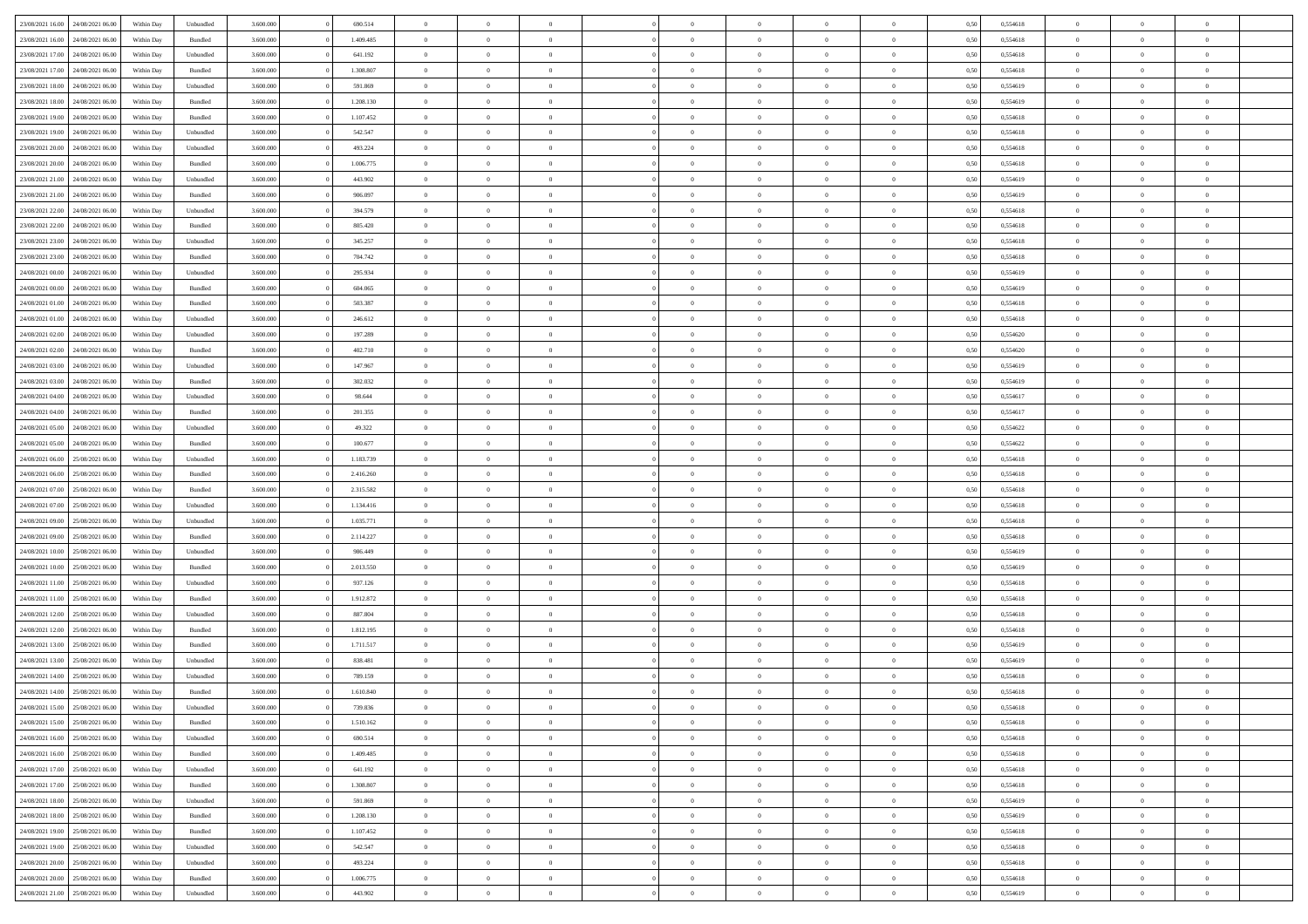| 23/08/2021 16:00                  | 24/08/2021 06:00 | Within Dav | Unbundled | 3.600.000 | 690.514   | $\overline{0}$ | $\Omega$       |                | $\Omega$       | $\Omega$       | $\Omega$       | $\theta$       | 0,50 | 0,554618 | $\theta$       | $\theta$       | $\theta$       |  |
|-----------------------------------|------------------|------------|-----------|-----------|-----------|----------------|----------------|----------------|----------------|----------------|----------------|----------------|------|----------|----------------|----------------|----------------|--|
|                                   |                  |            |           |           |           |                |                |                |                |                |                |                |      |          |                |                |                |  |
| 23/08/2021 16:00                  | 24/08/2021 06:00 | Within Day | Bundled   | 3.600.000 | 1.409.485 | $\overline{0}$ | $\theta$       | $\overline{0}$ | $\overline{0}$ | $\bf{0}$       | $\overline{0}$ | $\bf{0}$       | 0,50 | 0,554618 | $\theta$       | $\theta$       | $\overline{0}$ |  |
| 23/08/2021 17:00                  | 24/08/2021 06:00 | Within Day | Unbundled | 3.600.000 | 641.192   | $\overline{0}$ | $\overline{0}$ | $\overline{0}$ | $\bf{0}$       | $\bf{0}$       | $\bf{0}$       | $\mathbf{0}$   | 0,50 | 0,554618 | $\bf{0}$       | $\overline{0}$ | $\overline{0}$ |  |
| 23/08/2021 17:00                  | 24/08/2021 06:00 | Within Dav | Bundled   | 3.600,000 | 1.308.807 | $\overline{0}$ | $\overline{0}$ | $\overline{0}$ | $\overline{0}$ | $\bf{0}$       | $\overline{0}$ | $\overline{0}$ | 0.50 | 0.554618 | $\theta$       | $\theta$       | $\overline{0}$ |  |
|                                   |                  |            |           |           |           |                |                |                |                |                |                |                |      |          |                |                |                |  |
| 23/08/2021 18:00                  | 24/08/2021 06:00 | Within Day | Unbundled | 3.600.000 | 591.869   | $\overline{0}$ | $\theta$       | $\overline{0}$ | $\overline{0}$ | $\bf{0}$       | $\overline{0}$ | $\bf{0}$       | 0,50 | 0,554619 | $\theta$       | $\theta$       | $\overline{0}$ |  |
| 23/08/2021 18:00                  | 24/08/2021 06:00 | Within Day | Bundled   | 3.600.000 | 1.208.130 | $\overline{0}$ | $\bf{0}$       | $\overline{0}$ | $\overline{0}$ | $\overline{0}$ | $\overline{0}$ | $\mathbf{0}$   | 0,50 | 0,554619 | $\bf{0}$       | $\overline{0}$ | $\bf{0}$       |  |
| 23/08/2021 19:00                  | 24/08/2021 06:00 | Within Dav | Bundled   | 3.600.000 | 1.107.452 | $\overline{0}$ | $\overline{0}$ | $\overline{0}$ | $\overline{0}$ | $\overline{0}$ | $\overline{0}$ | $\overline{0}$ | 0.50 | 0.554618 | $\theta$       | $\overline{0}$ | $\overline{0}$ |  |
| 23/08/2021 19:00                  | 24/08/2021 06:00 | Within Day | Unbundled | 3.600.000 | 542.547   | $\overline{0}$ | $\theta$       | $\overline{0}$ | $\overline{0}$ | $\bf{0}$       | $\overline{0}$ | $\bf{0}$       | 0,50 | 0,554618 | $\theta$       | $\theta$       | $\overline{0}$ |  |
|                                   |                  |            |           |           |           |                | $\overline{0}$ |                |                | $\bf{0}$       |                |                |      |          | $\,0\,$        | $\overline{0}$ | $\overline{0}$ |  |
| 23/08/2021 20:00                  | 24/08/2021 06:00 | Within Day | Unbundled | 3.600.000 | 493.224   | $\overline{0}$ |                | $\overline{0}$ | $\overline{0}$ |                | $\overline{0}$ | $\bf{0}$       | 0,50 | 0,554618 |                |                |                |  |
| 23/08/2021 20:00                  | 24/08/2021 06:00 | Within Dav | Bundled   | 3.600.000 | 1.006.775 | $\overline{0}$ | $\overline{0}$ | $\overline{0}$ | $\overline{0}$ | $\overline{0}$ | $\overline{0}$ | $\overline{0}$ | 0.50 | 0.554618 | $\theta$       | $\overline{0}$ | $\overline{0}$ |  |
| 23/08/2021 21:00                  | 24/08/2021 06:00 | Within Day | Unbundled | 3.600.000 | 443.902   | $\overline{0}$ | $\theta$       | $\overline{0}$ | $\overline{0}$ | $\bf{0}$       | $\overline{0}$ | $\bf{0}$       | 0,50 | 0,554619 | $\,$ 0 $\,$    | $\overline{0}$ | $\overline{0}$ |  |
| 23/08/2021 21:00                  | 24/08/2021 06:00 | Within Day | Bundled   | 3.600.000 | 906.097   | $\overline{0}$ | $\overline{0}$ | $\overline{0}$ | $\overline{0}$ | $\bf{0}$       | $\bf{0}$       | $\mathbf{0}$   | 0,50 | 0,554619 | $\bf{0}$       | $\overline{0}$ | $\bf{0}$       |  |
| 23/08/2021 22:00                  | 24/08/2021 06:00 | Within Day | Unbundled | 3.600.000 | 394,579   | $\overline{0}$ | $\overline{0}$ | $\overline{0}$ | $\overline{0}$ | $\bf{0}$       | $\overline{0}$ | $\overline{0}$ | 0.50 | 0.554618 | $\theta$       | $\theta$       | $\overline{0}$ |  |
|                                   |                  |            |           |           |           |                |                |                |                |                |                |                |      |          |                |                |                |  |
| 23/08/2021 22:00                  | 24/08/2021 06:00 | Within Day | Bundled   | 3.600.000 | 805.420   | $\overline{0}$ | $\theta$       | $\overline{0}$ | $\overline{0}$ | $\bf{0}$       | $\overline{0}$ | $\bf{0}$       | 0,50 | 0,554618 | $\theta$       | $\theta$       | $\overline{0}$ |  |
| 23/08/2021 23:00                  | 24/08/2021 06:00 | Within Day | Unbundled | 3.600.000 | 345.257   | $\overline{0}$ | $\overline{0}$ | $\overline{0}$ | $\bf{0}$       | $\overline{0}$ | $\overline{0}$ | $\mathbf{0}$   | 0,50 | 0,554618 | $\bf{0}$       | $\overline{0}$ | $\bf{0}$       |  |
| 23/08/2021 23:00                  | 24/08/2021 06:00 | Within Dav | Bundled   | 3.600.000 | 704.742   | $\overline{0}$ | $\overline{0}$ | $\overline{0}$ | $\overline{0}$ | $\overline{0}$ | $\overline{0}$ | $\overline{0}$ | 0.50 | 0.554618 | $\theta$       | $\overline{0}$ | $\overline{0}$ |  |
| 24/08/2021 00:00                  | 24/08/2021 06:00 | Within Day | Unbundled | 3.600.000 | 295.934   | $\overline{0}$ | $\theta$       | $\overline{0}$ | $\overline{0}$ | $\bf{0}$       | $\overline{0}$ | $\bf{0}$       | 0,50 | 0,554619 | $\theta$       | $\theta$       | $\overline{0}$ |  |
|                                   |                  |            |           |           |           |                | $\overline{0}$ |                |                | $\bf{0}$       |                |                |      |          | $\,0\,$        | $\overline{0}$ | $\overline{0}$ |  |
| 24/08/2021 00:00                  | 24/08/2021 06:00 | Within Day | Bundled   | 3.600.000 | 604.065   | $\overline{0}$ |                | $\overline{0}$ | $\bf{0}$       |                | $\bf{0}$       | $\mathbf{0}$   | 0,50 | 0,554619 |                |                |                |  |
| 24/08/2021 01:00                  | 24/08/2021 06:00 | Within Day | Bundled   | 3.600.000 | 503.387   | $\overline{0}$ | $\overline{0}$ | $\overline{0}$ | $\overline{0}$ | $\overline{0}$ | $\overline{0}$ | $\overline{0}$ | 0.50 | 0.554618 | $\theta$       | $\overline{0}$ | $\overline{0}$ |  |
| 24/08/2021 01:00                  | 24/08/2021 06:00 | Within Day | Unbundled | 3.600.000 | 246.612   | $\overline{0}$ | $\theta$       | $\overline{0}$ | $\overline{0}$ | $\bf{0}$       | $\overline{0}$ | $\bf{0}$       | 0,50 | 0,554618 | $\,$ 0 $\,$    | $\theta$       | $\overline{0}$ |  |
| 24/08/2021 02:00                  | 24/08/2021 06:00 | Within Day | Unbundled | 3.600.000 | 197.289   | $\overline{0}$ | $\overline{0}$ | $\overline{0}$ | $\bf{0}$       | $\bf{0}$       | $\bf{0}$       | $\bf{0}$       | 0,50 | 0,554620 | $\bf{0}$       | $\overline{0}$ | $\overline{0}$ |  |
| 24/08/2021 02:00                  | 24/08/2021 06:00 | Within Day | Bundled   | 3.600,000 | 402.710   | $\overline{0}$ | $\overline{0}$ | $\overline{0}$ | $\overline{0}$ | $\bf{0}$       | $\overline{0}$ | $\overline{0}$ | 0.50 | 0.554620 | $\theta$       | $\overline{0}$ | $\overline{0}$ |  |
|                                   |                  |            |           |           |           |                |                |                |                |                |                |                |      |          |                |                |                |  |
| 24/08/2021 03:00                  | 24/08/2021 06:00 | Within Day | Unbundled | 3.600.000 | 147.967   | $\overline{0}$ | $\theta$       | $\overline{0}$ | $\overline{0}$ | $\bf{0}$       | $\overline{0}$ | $\bf{0}$       | 0,50 | 0,554619 | $\,$ 0 $\,$    | $\overline{0}$ | $\overline{0}$ |  |
| 24/08/2021 03:00                  | 24/08/2021 06:00 | Within Day | Bundled   | 3.600.000 | 302.032   | $\overline{0}$ | $\overline{0}$ | $\overline{0}$ | $\bf{0}$       | $\overline{0}$ | $\overline{0}$ | $\mathbf{0}$   | 0,50 | 0,554619 | $\bf{0}$       | $\overline{0}$ | $\bf{0}$       |  |
| 24/08/2021 04:00                  | 24/08/2021 06:00 | Within Dav | Unbundled | 3.600.000 | 98.644    | $\overline{0}$ | $\overline{0}$ | $\overline{0}$ | $\overline{0}$ | $\overline{0}$ | $\overline{0}$ | $\overline{0}$ | 0.50 | 0,554617 | $\theta$       | $\overline{0}$ | $\overline{0}$ |  |
| 24/08/2021 04:00                  | 24/08/2021 06:00 | Within Day | Bundled   | 3.600.000 | 201.355   | $\overline{0}$ | $\theta$       | $\overline{0}$ | $\overline{0}$ | $\bf{0}$       | $\overline{0}$ | $\bf{0}$       | 0,50 | 0,554617 | $\theta$       | $\theta$       | $\overline{0}$ |  |
|                                   |                  |            |           |           |           |                |                |                |                |                |                |                |      |          |                |                |                |  |
| 24/08/2021 05:00                  | 24/08/2021 06:00 | Within Day | Unbundled | 3.600.000 | 49.322    | $\overline{0}$ | $\overline{0}$ | $\overline{0}$ | $\bf{0}$       | $\bf{0}$       | $\bf{0}$       | $\bf{0}$       | 0,50 | 0,554622 | $\,0\,$        | $\overline{0}$ | $\overline{0}$ |  |
| 24/08/2021 05:00                  | 24/08/2021 06:00 | Within Day | Bundled   | 3.600.000 | 100.677   | $\overline{0}$ | $\overline{0}$ | $\overline{0}$ | $\overline{0}$ | $\overline{0}$ | $\overline{0}$ | $\overline{0}$ | 0.50 | 0,554622 | $\theta$       | $\overline{0}$ | $\overline{0}$ |  |
| 24/08/2021 06:00                  | 25/08/2021 06:00 | Within Day | Unbundled | 3.600.000 | 1.183.739 | $\overline{0}$ | $\theta$       | $\overline{0}$ | $\overline{0}$ | $\bf{0}$       | $\overline{0}$ | $\bf{0}$       | 0,50 | 0,554618 | $\,$ 0 $\,$    | $\overline{0}$ | $\overline{0}$ |  |
| 24/08/2021 06:00                  | 25/08/2021 06:00 | Within Day | Bundled   | 3.600.000 | 2.416.260 | $\overline{0}$ | $\overline{0}$ | $\overline{0}$ | $\bf{0}$       | $\bf{0}$       | $\bf{0}$       | $\bf{0}$       | 0,50 | 0,554618 | $\overline{0}$ | $\overline{0}$ | $\overline{0}$ |  |
| 24/08/2021 07:00                  | 25/08/2021 06:00 | Within Day | Bundled   | 3.600.000 | 2.315.582 | $\overline{0}$ | $\Omega$       | $\overline{0}$ | $\Omega$       | $\Omega$       | $\overline{0}$ | $\overline{0}$ | 0,50 | 0,554618 | $\,0\,$        | $\theta$       | $\theta$       |  |
|                                   |                  |            |           |           |           |                |                |                |                |                |                |                |      |          |                |                |                |  |
| 24/08/2021 07:00                  | 25/08/2021 06:00 | Within Day | Unbundled | 3.600.000 | 1.134.416 | $\overline{0}$ | $\theta$       | $\overline{0}$ | $\overline{0}$ | $\bf{0}$       | $\overline{0}$ | $\bf{0}$       | 0,50 | 0,554618 | $\theta$       | $\theta$       | $\overline{0}$ |  |
| 24/08/2021 09:00                  | 25/08/2021 06:00 | Within Day | Unbundled | 3.600.000 | 1.035.771 | $\overline{0}$ | $\overline{0}$ | $\overline{0}$ | $\bf{0}$       | $\bf{0}$       | $\overline{0}$ | $\mathbf{0}$   | 0,50 | 0,554618 | $\overline{0}$ | $\overline{0}$ | $\bf{0}$       |  |
| 24/08/2021 09:00                  | 25/08/2021 06:00 | Within Day | Bundled   | 3.600,000 | 2.114.227 | $\overline{0}$ | $\Omega$       | $\Omega$       | $\Omega$       | $\bf{0}$       | $\overline{0}$ | $\overline{0}$ | 0.50 | 0.554618 | $\theta$       | $\theta$       | $\theta$       |  |
| 24/08/2021 10:00                  | 25/08/2021 06:00 | Within Day | Unbundled | 3.600.000 | 986.449   | $\overline{0}$ | $\theta$       | $\overline{0}$ | $\overline{0}$ | $\bf{0}$       | $\overline{0}$ | $\bf{0}$       | 0,50 | 0,554619 | $\,$ 0 $\,$    | $\theta$       | $\overline{0}$ |  |
|                                   |                  |            |           |           |           |                | $\overline{0}$ |                |                | $\bf{0}$       |                |                |      |          | $\bf{0}$       | $\overline{0}$ | $\overline{0}$ |  |
| 24/08/2021 10:00                  | 25/08/2021 06:00 | Within Day | Bundled   | 3.600.000 | 2.013.550 | $\overline{0}$ |                | $\overline{0}$ | $\bf{0}$       |                | $\bf{0}$       | $\bf{0}$       | 0,50 | 0,554619 |                |                |                |  |
| 24/08/2021 11:00                  | 25/08/2021 06:00 | Within Day | Unbundled | 3.600,000 | 937.126   | $\overline{0}$ | $\Omega$       | $\overline{0}$ | $\Omega$       | $\theta$       | $\overline{0}$ | $\overline{0}$ | 0.50 | 0.554618 | $\,0\,$        | $\theta$       | $\theta$       |  |
| 24/08/2021 11:00                  | 25/08/2021 06:00 | Within Day | Bundled   | 3.600.000 | 1.912.872 | $\overline{0}$ | $\theta$       | $\overline{0}$ | $\overline{0}$ | $\bf{0}$       | $\overline{0}$ | $\bf{0}$       | 0,50 | 0,554618 | $\,$ 0 $\,$    | $\overline{0}$ | $\overline{0}$ |  |
| 24/08/2021 12:00                  | 25/08/2021 06:00 | Within Day | Unbundled | 3.600.000 | 887.804   | $\overline{0}$ | $\overline{0}$ | $\overline{0}$ | $\bf{0}$       | $\bf{0}$       | $\bf{0}$       | $\bf{0}$       | 0,50 | 0,554618 | $\overline{0}$ | $\overline{0}$ | $\overline{0}$ |  |
| 24/08/2021 12:00                  | 25/08/2021 06:00 | Within Day | Bundled   | 3.600.000 | 1.812.195 | $\overline{0}$ | $\Omega$       | $\overline{0}$ | $\Omega$       | $\overline{0}$ | $\overline{0}$ | $\overline{0}$ | 0,50 | 0,554618 | $\,0\,$        | $\theta$       | $\theta$       |  |
| 24/08/2021 13:00                  | 25/08/2021 06:00 |            |           | 3.600.000 | 1.711.517 | $\overline{0}$ | $\theta$       | $\overline{0}$ | $\overline{0}$ | $\,$ 0         | $\overline{0}$ |                |      | 0,554619 | $\,$ 0 $\,$    | $\overline{0}$ | $\overline{0}$ |  |
|                                   |                  | Within Day | Bundled   |           |           |                |                |                |                |                |                | $\bf{0}$       | 0,50 |          |                |                |                |  |
| 24/08/2021 13:00                  | 25/08/2021 06:00 | Within Day | Unbundled | 3.600.000 | 838.481   | $\overline{0}$ | $\overline{0}$ | $\overline{0}$ | $\bf{0}$       | $\bf{0}$       | $\bf{0}$       | $\mathbf{0}$   | 0,50 | 0,554619 | $\overline{0}$ | $\overline{0}$ | $\bf{0}$       |  |
| 24/08/2021 14:00                  | 25/08/2021 06:00 | Within Day | Unbundled | 3.600,000 | 789.159   | $\overline{0}$ | $\Omega$       | $\Omega$       | $\Omega$       | $\Omega$       | $\Omega$       | $\overline{0}$ | 0.50 | 0.554618 | $\theta$       | $\theta$       | $\theta$       |  |
| 24/08/2021 14:00                  | 25/08/2021 06:00 | Within Day | Bundled   | 3.600.000 | 1.610.840 | $\overline{0}$ | $\overline{0}$ | $\overline{0}$ | $\bf{0}$       | $\,$ 0         | $\bf{0}$       | $\bf{0}$       | 0,50 | 0,554618 | $\,0\,$        | $\overline{0}$ | $\overline{0}$ |  |
| 24/08/2021 15:00                  | 25/08/2021 06:00 | Within Day | Unbundled | 3.600.000 | 739.836   | $\bf{0}$       | $\bf{0}$       |                |                |                |                |                | 0,50 | 0,554618 | $\bf{0}$       | $\overline{0}$ |                |  |
|                                   | 25/08/2021 06:00 |            |           | 3.600,000 | 1.510.162 | $\overline{0}$ | $\overline{0}$ |                | $\Omega$       | $\overline{0}$ | $\overline{0}$ |                |      | 0.554618 | $\theta$       | $\theta$       | $\theta$       |  |
| 24/08/2021 15:00                  |                  | Within Day | Bundled   |           |           |                |                | $\overline{0}$ |                |                |                | $\overline{0}$ | 0,50 |          |                |                |                |  |
| 24/08/2021 16:00                  | 25/08/2021 06:00 | Within Day | Unbundled | 3.600.000 | 690.514   | $\overline{0}$ | $\bf{0}$       | $\overline{0}$ | $\bf{0}$       | $\,$ 0 $\,$    | $\overline{0}$ | $\mathbf{0}$   | 0,50 | 0,554618 | $\,$ 0 $\,$    | $\,$ 0 $\,$    | $\,$ 0         |  |
| 24/08/2021 16:00                  | 25/08/2021 06:00 | Within Day | Bundled   | 3.600.000 | 1.409.485 | $\overline{0}$ | $\overline{0}$ | $\overline{0}$ | $\overline{0}$ | $\overline{0}$ | $\overline{0}$ | $\mathbf{0}$   | 0,50 | 0,554618 | $\overline{0}$ | $\bf{0}$       | $\bf{0}$       |  |
| 24/08/2021 17:00                  | 25/08/2021 06:00 | Within Day | Unbundled | 3.600.000 | 641.192   | $\overline{0}$ | $\overline{0}$ | $\overline{0}$ | $\Omega$       | $\overline{0}$ | $\overline{0}$ | $\overline{0}$ | 0,50 | 0,554618 | $\overline{0}$ | $\theta$       | $\overline{0}$ |  |
| 24/08/2021 17:00                  | 25/08/2021 06:00 | Within Day | Bundled   | 3.600.000 | 1.308.807 | $\overline{0}$ | $\,$ 0         | $\overline{0}$ | $\overline{0}$ | $\,$ 0 $\,$    | $\overline{0}$ | $\mathbf{0}$   | 0,50 | 0,554618 | $\,$ 0 $\,$    | $\overline{0}$ | $\overline{0}$ |  |
|                                   |                  |            |           |           |           |                |                |                |                |                |                |                |      |          |                |                |                |  |
| 24/08/2021 18:00                  | 25/08/2021 06:00 | Within Day | Unbundled | 3.600.000 | 591.869   | $\overline{0}$ | $\overline{0}$ | $\overline{0}$ | $\overline{0}$ | $\overline{0}$ | $\overline{0}$ | $\mathbf{0}$   | 0,50 | 0,554619 | $\overline{0}$ | $\overline{0}$ | $\bf{0}$       |  |
| 24/08/2021 18:00                  | 25/08/2021 06:00 | Within Day | Bundled   | 3.600.000 | 1.208.130 | $\overline{0}$ | $\overline{0}$ | $\overline{0}$ | $\overline{0}$ | $\overline{0}$ | $\overline{0}$ | $\bf{0}$       | 0.50 | 0,554619 | $\overline{0}$ | $\theta$       | $\overline{0}$ |  |
| 24/08/2021 19:00                  | 25/08/2021 06:00 | Within Day | Bundled   | 3.600.000 | 1.107.452 | $\overline{0}$ | $\,$ 0         | $\overline{0}$ | $\overline{0}$ | $\bf{0}$       | $\overline{0}$ | $\bf{0}$       | 0,50 | 0,554618 | $\,$ 0 $\,$    | $\overline{0}$ | $\overline{0}$ |  |
| 24/08/2021 19:00                  | 25/08/2021 06:00 | Within Day | Unbundled | 3.600.000 | 542.547   | $\overline{0}$ | $\bf{0}$       | $\overline{0}$ | $\overline{0}$ | $\overline{0}$ | $\overline{0}$ | $\mathbf{0}$   | 0,50 | 0,554618 | $\overline{0}$ | $\overline{0}$ | $\bf{0}$       |  |
|                                   |                  |            |           |           |           |                |                |                |                |                |                |                |      |          |                |                |                |  |
| 24/08/2021 20:00                  | 25/08/2021 06:00 | Within Day | Unbundled | 3.600,000 | 493.224   | $\overline{0}$ | $\overline{0}$ | $\overline{0}$ | $\Omega$       | $\overline{0}$ | $\overline{0}$ | $\overline{0}$ | 0.50 | 0,554618 | $\overline{0}$ | $\overline{0}$ | $\overline{0}$ |  |
| 24/08/2021 20:00                  | 25/08/2021 06:00 | Within Day | Bundled   | 3.600.000 | 1.006.775 | $\overline{0}$ | $\bf{0}$       | $\overline{0}$ | $\bf{0}$       | $\bf{0}$       | $\overline{0}$ | $\mathbf{0}$   | 0,50 | 0,554618 | $\,$ 0 $\,$    | $\,$ 0 $\,$    | $\bf{0}$       |  |
| 24/08/2021 21:00 25/08/2021 06:00 |                  | Within Day | Unbundled | 3.600.000 | 443.902   | $\overline{0}$ | $\overline{0}$ | $\overline{0}$ | $\overline{0}$ | $\overline{0}$ | $\overline{0}$ | $\mathbf{0}$   | 0,50 | 0,554619 | $\overline{0}$ | $\bf{0}$       | $\overline{0}$ |  |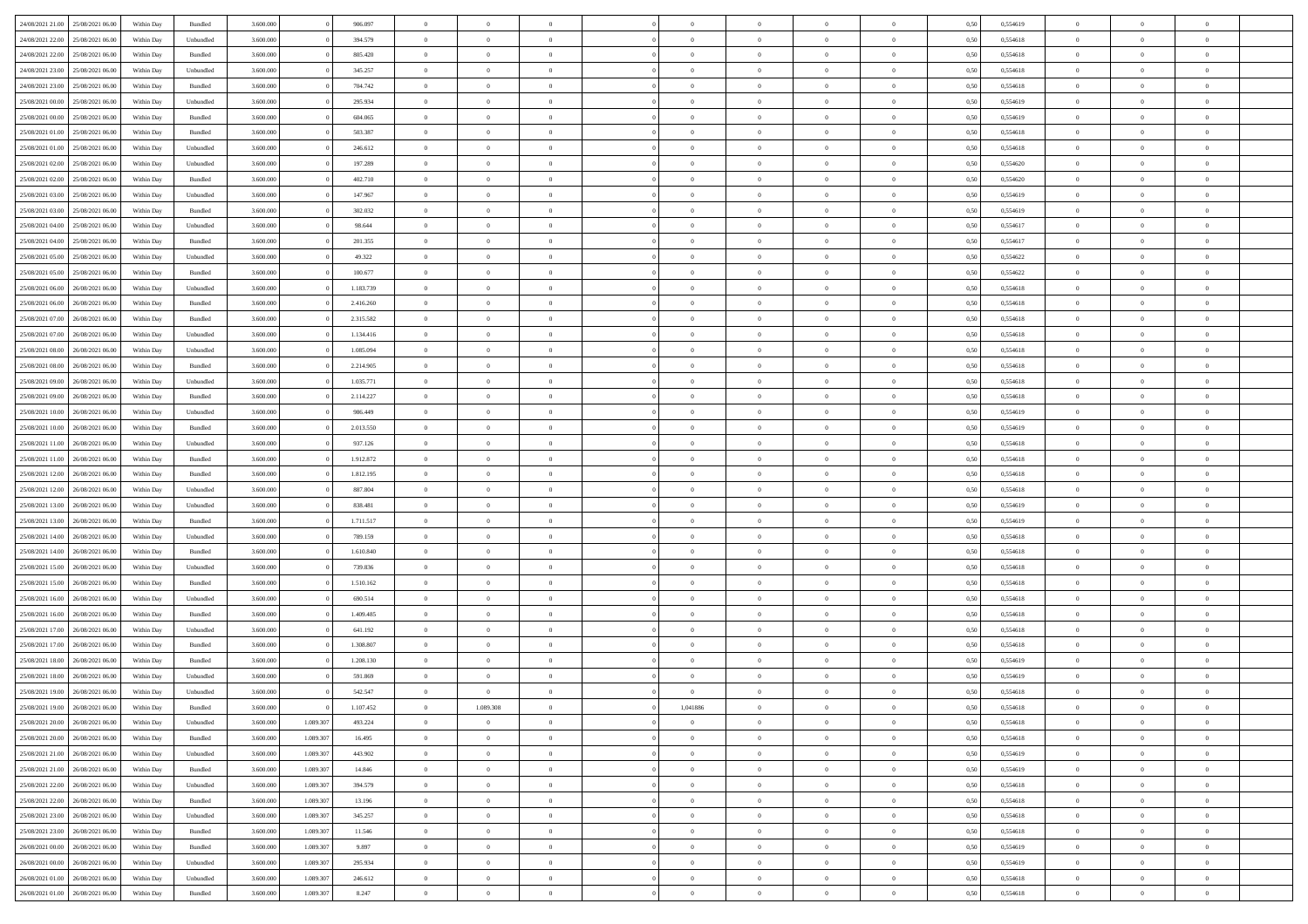| 24/08/2021 21:00                  | 25/08/2021 06:00 | Within Day | Bundled            | 3.600.000 |           | 906.097   | $\overline{0}$ | $\Omega$       |                | $\Omega$       | $\Omega$       | $\Omega$       | $\theta$       | 0,50 | 0,554619 | $\theta$       | $\theta$       | $\theta$       |  |
|-----------------------------------|------------------|------------|--------------------|-----------|-----------|-----------|----------------|----------------|----------------|----------------|----------------|----------------|----------------|------|----------|----------------|----------------|----------------|--|
|                                   |                  |            |                    |           |           |           |                |                |                |                |                |                |                |      |          |                |                |                |  |
| 24/08/2021 22:00                  | 25/08/2021 06:00 | Within Day | Unbundled          | 3.600.000 |           | 394.579   | $\overline{0}$ | $\theta$       | $\overline{0}$ | $\overline{0}$ | $\bf{0}$       | $\overline{0}$ | $\bf{0}$       | 0,50 | 0,554618 | $\theta$       | $\theta$       | $\overline{0}$ |  |
| 24/08/2021 22:00                  | 25/08/2021 06:00 | Within Day | Bundled            | 3.600.000 |           | 805.420   | $\overline{0}$ | $\bf{0}$       | $\overline{0}$ | $\overline{0}$ | $\bf{0}$       | $\overline{0}$ | $\bf{0}$       | 0,50 | 0,554618 | $\overline{0}$ | $\overline{0}$ | $\overline{0}$ |  |
| 24/08/2021 23:00                  | 25/08/2021 06:00 | Within Day | Unbundled          | 3.600,000 |           | 345.257   | $\overline{0}$ | $\overline{0}$ | $\overline{0}$ | $\overline{0}$ | $\bf{0}$       | $\overline{0}$ | $\overline{0}$ | 0.50 | 0.554618 | $\theta$       | $\theta$       | $\overline{0}$ |  |
| 24/08/2021 23:00                  | 25/08/2021 06:00 | Within Day | Bundled            | 3.600.000 |           | 704.742   | $\overline{0}$ | $\theta$       | $\overline{0}$ | $\overline{0}$ | $\bf{0}$       | $\overline{0}$ | $\bf{0}$       | 0,50 | 0,554618 | $\theta$       | $\theta$       | $\overline{0}$ |  |
| 25/08/2021 00:00                  | 25/08/2021 06:00 | Within Day | Unbundled          | 3.600.000 |           | 295.934   | $\overline{0}$ | $\overline{0}$ | $\overline{0}$ | $\overline{0}$ | $\overline{0}$ | $\overline{0}$ | $\mathbf{0}$   | 0,50 | 0,554619 | $\overline{0}$ | $\overline{0}$ | $\bf{0}$       |  |
|                                   |                  |            |                    |           |           |           |                |                |                |                | $\overline{0}$ |                |                |      |          | $\theta$       |                | $\overline{0}$ |  |
| 25/08/2021 00:00                  | 25/08/2021 06:00 | Within Dav | Bundled            | 3.600.000 |           | 604.065   | $\overline{0}$ | $\overline{0}$ | $\overline{0}$ | $\overline{0}$ |                | $\overline{0}$ | $\overline{0}$ | 0.50 | 0,554619 |                | $\theta$       |                |  |
| 25/08/2021 01:00                  | 25/08/2021 06:00 | Within Day | Bundled            | 3.600.000 |           | 503.387   | $\overline{0}$ | $\theta$       | $\overline{0}$ | $\overline{0}$ | $\bf{0}$       | $\overline{0}$ | $\bf{0}$       | 0,50 | 0,554618 | $\theta$       | $\theta$       | $\overline{0}$ |  |
| 25/08/2021 01:00                  | 25/08/2021 06:00 | Within Day | Unbundled          | 3.600.000 |           | 246.612   | $\overline{0}$ | $\overline{0}$ | $\overline{0}$ | $\overline{0}$ | $\bf{0}$       | $\bf{0}$       | $\bf{0}$       | 0,50 | 0,554618 | $\,0\,$        | $\overline{0}$ | $\overline{0}$ |  |
| 25/08/2021 02:00                  | 25/08/2021 06:00 | Within Dav | Unbundled          | 3.600.000 |           | 197.289   | $\overline{0}$ | $\overline{0}$ | $\overline{0}$ | $\overline{0}$ | $\overline{0}$ | $\overline{0}$ | $\overline{0}$ | 0.50 | 0,554620 | $\theta$       | $\overline{0}$ | $\overline{0}$ |  |
| 25/08/2021 02:00                  | 25/08/2021 06:00 | Within Day | Bundled            | 3.600.000 |           | 402.710   | $\overline{0}$ | $\theta$       | $\overline{0}$ | $\overline{0}$ | $\bf{0}$       | $\overline{0}$ | $\bf{0}$       | 0,50 | 0,554620 | $\theta$       | $\theta$       | $\overline{0}$ |  |
| 25/08/2021 03:00                  | 25/08/2021 06:00 | Within Day | Unbundled          | 3.600.000 |           | 147.967   | $\overline{0}$ | $\overline{0}$ | $\overline{0}$ | $\bf{0}$       | $\bf{0}$       | $\bf{0}$       | $\mathbf{0}$   | 0,50 | 0,554619 | $\overline{0}$ | $\overline{0}$ | $\bf{0}$       |  |
| 25/08/2021 03:00                  | 25/08/2021 06:00 | Within Day | Bundled            | 3.600.000 |           | 302.032   | $\overline{0}$ | $\overline{0}$ | $\overline{0}$ | $\overline{0}$ | $\bf{0}$       | $\overline{0}$ | $\overline{0}$ | 0.50 | 0.554619 | $\theta$       | $\theta$       | $\overline{0}$ |  |
|                                   |                  |            |                    |           |           |           | $\overline{0}$ | $\theta$       | $\overline{0}$ |                | $\bf{0}$       | $\overline{0}$ |                |      |          | $\theta$       | $\theta$       | $\overline{0}$ |  |
| 25/08/2021 04:00                  | 25/08/2021 06:00 | Within Day | Unbundled          | 3.600.000 |           | 98.644    |                |                |                | $\overline{0}$ |                |                | $\bf{0}$       | 0,50 | 0,554617 |                |                |                |  |
| 25/08/2021 04:00                  | 25/08/2021 06:00 | Within Day | Bundled            | 3.600.000 |           | 201.355   | $\overline{0}$ | $\overline{0}$ | $\overline{0}$ | $\bf{0}$       | $\overline{0}$ | $\overline{0}$ | $\mathbf{0}$   | 0,50 | 0,554617 | $\overline{0}$ | $\overline{0}$ | $\bf{0}$       |  |
| 25/08/2021 05:00                  | 25/08/2021 06:00 | Within Dav | Unbundled          | 3.600.000 |           | 49.322    | $\overline{0}$ | $\overline{0}$ | $\overline{0}$ | $\overline{0}$ | $\overline{0}$ | $\overline{0}$ | $\overline{0}$ | 0.50 | 0,554622 | $\theta$       | $\overline{0}$ | $\overline{0}$ |  |
| 25/08/2021 05:00                  | 25/08/2021 06:00 | Within Day | Bundled            | 3.600.000 |           | 100.677   | $\overline{0}$ | $\theta$       | $\overline{0}$ | $\overline{0}$ | $\bf{0}$       | $\overline{0}$ | $\bf{0}$       | 0,50 | 0,554622 | $\theta$       | $\theta$       | $\overline{0}$ |  |
| 25/08/2021 06:00                  | 26/08/2021 06:00 | Within Day | Unbundled          | 3.600.000 |           | 1.183.739 | $\overline{0}$ | $\overline{0}$ | $\overline{0}$ | $\bf{0}$       | $\bf{0}$       | $\bf{0}$       | $\mathbf{0}$   | 0,50 | 0,554618 | $\,0\,$        | $\overline{0}$ | $\overline{0}$ |  |
| 25/08/2021 06:00                  | 26/08/2021 06:00 | Within Day | Bundled            | 3.600.000 |           | 2.416.260 | $\overline{0}$ | $\overline{0}$ | $\overline{0}$ | $\overline{0}$ | $\overline{0}$ | $\overline{0}$ | $\overline{0}$ | 0.50 | 0.554618 | $\theta$       | $\overline{0}$ | $\overline{0}$ |  |
| 25/08/2021 07:00                  | 26/08/2021 06:00 | Within Day | Bundled            | 3.600.000 |           | 2.315.582 | $\overline{0}$ | $\theta$       | $\overline{0}$ | $\overline{0}$ | $\bf{0}$       | $\overline{0}$ | $\bf{0}$       | 0,50 | 0,554618 | $\,$ 0 $\,$    | $\theta$       | $\overline{0}$ |  |
|                                   |                  |            |                    |           |           |           |                |                |                |                |                |                |                |      |          |                |                |                |  |
| 25/08/2021 07:00                  | 26/08/2021 06:00 | Within Day | Unbundled          | 3.600.000 |           | 1.134.416 | $\overline{0}$ | $\overline{0}$ | $\overline{0}$ | $\bf{0}$       | $\bf{0}$       | $\bf{0}$       | $\bf{0}$       | 0,50 | 0,554618 | $\bf{0}$       | $\overline{0}$ | $\overline{0}$ |  |
| 25/08/2021 08:00                  | 26/08/2021 06:00 | Within Day | Unbundled          | 3.600,000 |           | 1.085.094 | $\overline{0}$ | $\overline{0}$ | $\overline{0}$ | $\overline{0}$ | $\bf{0}$       | $\overline{0}$ | $\overline{0}$ | 0.50 | 0.554618 | $\theta$       | $\theta$       | $\overline{0}$ |  |
| 25/08/2021 08:00                  | 26/08/2021 06:00 | Within Day | Bundled            | 3.600.000 |           | 2.214.905 | $\overline{0}$ | $\theta$       | $\overline{0}$ | $\overline{0}$ | $\bf{0}$       | $\overline{0}$ | $\bf{0}$       | 0,50 | 0,554618 | $\theta$       | $\overline{0}$ | $\overline{0}$ |  |
| 25/08/2021 09:00                  | 26/08/2021 06:00 | Within Day | Unbundled          | 3.600.000 |           | 1.035.771 | $\overline{0}$ | $\bf{0}$       | $\overline{0}$ | $\bf{0}$       | $\overline{0}$ | $\overline{0}$ | $\mathbf{0}$   | 0,50 | 0,554618 | $\overline{0}$ | $\overline{0}$ | $\bf{0}$       |  |
| 25/08/2021 09:00                  | 26/08/2021 06:00 | Within Dav | Bundled            | 3.600.000 |           | 2.114.227 | $\overline{0}$ | $\overline{0}$ | $\overline{0}$ | $\overline{0}$ | $\overline{0}$ | $\overline{0}$ | $\overline{0}$ | 0.50 | 0.554618 | $\theta$       | $\theta$       | $\overline{0}$ |  |
| 25/08/2021 10:00                  | 26/08/2021 06:00 | Within Day | Unbundled          | 3.600.000 |           | 986.449   | $\overline{0}$ | $\theta$       | $\overline{0}$ | $\overline{0}$ | $\bf{0}$       | $\overline{0}$ | $\bf{0}$       | 0,50 | 0,554619 | $\theta$       | $\theta$       | $\overline{0}$ |  |
| 25/08/2021 10:00                  | 26/08/2021 06:00 | Within Day | Bundled            | 3.600.000 |           | 2.013.550 | $\overline{0}$ | $\overline{0}$ | $\overline{0}$ | $\bf{0}$       | $\bf{0}$       | $\bf{0}$       | $\bf{0}$       | 0,50 | 0,554619 | $\,0\,$        | $\overline{0}$ | $\overline{0}$ |  |
|                                   |                  |            |                    |           |           |           |                |                |                |                | $\overline{0}$ |                |                |      |          | $\theta$       | $\overline{0}$ | $\overline{0}$ |  |
| 25/08/2021 11:00                  | 26/08/2021 06:00 | Within Day | Unbundled          | 3.600.000 |           | 937.126   | $\overline{0}$ | $\overline{0}$ | $\overline{0}$ | $\overline{0}$ |                | $\overline{0}$ | $\overline{0}$ | 0.50 | 0.554618 |                |                |                |  |
| 25/08/2021 11:00                  | 26/08/2021 06:00 | Within Day | Bundled            | 3.600.000 |           | 1.912.872 | $\overline{0}$ | $\theta$       | $\overline{0}$ | $\overline{0}$ | $\bf{0}$       | $\overline{0}$ | $\bf{0}$       | 0,50 | 0,554618 | $\,$ 0 $\,$    | $\overline{0}$ | $\overline{0}$ |  |
| 25/08/2021 12:00                  | 26/08/2021 06:00 | Within Day | Bundled            | 3.600.000 |           | 1.812.195 | $\overline{0}$ | $\overline{0}$ | $\overline{0}$ | $\bf{0}$       | $\bf{0}$       | $\bf{0}$       | $\bf{0}$       | 0,50 | 0,554618 | $\overline{0}$ | $\overline{0}$ | $\overline{0}$ |  |
| 25/08/2021 12:00                  | 26/08/2021 06:00 | Within Day | Unbundled          | 3.600.000 |           | 887.804   | $\overline{0}$ | $\Omega$       | $\Omega$       | $\Omega$       | $\Omega$       | $\Omega$       | $\overline{0}$ | 0,50 | 0,554618 | $\,0\,$        | $\theta$       | $\theta$       |  |
| 25/08/2021 13:00                  | 26/08/2021 06:00 | Within Day | Unbundled          | 3.600.000 |           | 838.481   | $\overline{0}$ | $\theta$       | $\overline{0}$ | $\overline{0}$ | $\bf{0}$       | $\overline{0}$ | $\bf{0}$       | 0,50 | 0,554619 | $\theta$       | $\theta$       | $\overline{0}$ |  |
| 25/08/2021 13:00                  | 26/08/2021 06:00 | Within Day | Bundled            | 3.600.000 |           | 1.711.517 | $\overline{0}$ | $\overline{0}$ | $\overline{0}$ | $\overline{0}$ | $\bf{0}$       | $\overline{0}$ | $\mathbf{0}$   | 0,50 | 0,554619 | $\bf{0}$       | $\overline{0}$ | $\bf{0}$       |  |
| 25/08/2021 14:00                  | 26/08/2021 06:00 |            | Unbundled          | 3.600,000 |           | 789.159   | $\overline{0}$ | $\Omega$       | $\Omega$       | $\Omega$       | $\bf{0}$       | $\overline{0}$ | $\overline{0}$ | 0.50 | 0.554618 | $\theta$       | $\theta$       | $\theta$       |  |
|                                   |                  | Within Day |                    |           |           |           |                |                |                |                |                |                |                |      |          |                |                |                |  |
| 25/08/2021 14:00                  | 26/08/2021 06:00 | Within Day | Bundled            | 3.600.000 |           | 1.610.840 | $\overline{0}$ | $\theta$       | $\overline{0}$ | $\overline{0}$ | $\bf{0}$       | $\overline{0}$ | $\bf{0}$       | 0,50 | 0,554618 | $\theta$       | $\theta$       | $\overline{0}$ |  |
| 25/08/2021 15:00                  | 26/08/2021 06:00 | Within Day | Unbundled          | 3.600.000 |           | 739.836   | $\overline{0}$ | $\overline{0}$ | $\overline{0}$ | $\overline{0}$ | $\bf{0}$       | $\overline{0}$ | $\bf{0}$       | 0,50 | 0,554618 | $\,0\,$        | $\overline{0}$ | $\overline{0}$ |  |
| 25/08/2021 15:00                  | 26/08/2021 06:00 | Within Day | Bundled            | 3.600,000 |           | 1.510.162 | $\overline{0}$ | $\Omega$       | $\Omega$       | $\Omega$       | $\theta$       | $\theta$       | $\overline{0}$ | 0.50 | 0.554618 | $\theta$       | $\theta$       | $\theta$       |  |
| 25/08/2021 16:00                  | 26/08/2021 06:00 | Within Day | Unbundled          | 3.600.000 |           | 690.514   | $\overline{0}$ | $\theta$       | $\overline{0}$ | $\overline{0}$ | $\bf{0}$       | $\overline{0}$ | $\bf{0}$       | 0,50 | 0,554618 | $\,$ 0 $\,$    | $\overline{0}$ | $\overline{0}$ |  |
| 25/08/2021 16:00                  | 26/08/2021 06:00 | Within Day | Bundled            | 3.600.000 |           | 1.409.485 | $\overline{0}$ | $\overline{0}$ | $\overline{0}$ | $\overline{0}$ | $\bf{0}$       | $\overline{0}$ | $\bf{0}$       | 0,50 | 0,554618 | $\bf{0}$       | $\overline{0}$ | $\overline{0}$ |  |
| 25/08/2021 17:00                  | 26/08/2021 06:00 | Within Day | Unbundled          | 3.600.000 |           | 641.192   | $\overline{0}$ | $\Omega$       | $\overline{0}$ | $\Omega$       | $\Omega$       | $\overline{0}$ | $\overline{0}$ | 0,50 | 0,554618 | $\,0\,$        | $\theta$       | $\theta$       |  |
| 25/08/2021 17:00                  | 26/08/2021 06:00 | Within Day | Bundled            | 3.600.000 |           | 1.308.807 | $\overline{0}$ | $\theta$       | $\overline{0}$ | $\overline{0}$ | $\bf{0}$       | $\overline{0}$ | $\bf{0}$       | 0,50 | 0,554618 | $\,$ 0 $\,$    | $\overline{0}$ | $\overline{0}$ |  |
| 25/08/2021 18:00                  | 26/08/2021 06:00 | Within Day | Bundled            | 3.600.000 |           | 1.208.130 | $\overline{0}$ | $\bf{0}$       | $\overline{0}$ | $\overline{0}$ | $\bf{0}$       | $\overline{0}$ | $\mathbf{0}$   | 0,50 | 0,554619 | $\bf{0}$       | $\overline{0}$ | $\bf{0}$       |  |
|                                   |                  |            |                    |           |           |           |                |                |                |                |                |                |                |      |          |                |                |                |  |
| 25/08/2021 18:00                  | 26/08/2021 06:00 | Within Day | Unbundled          | 3.600,000 |           | 591.869   | $\overline{0}$ | $\Omega$       | $\Omega$       | $\Omega$       | $\Omega$       | $\Omega$       | $\overline{0}$ | 0.50 | 0.554619 | $\theta$       | $\theta$       | $\theta$       |  |
| 25/08/2021 19:00                  | 26/08/2021 06:00 | Within Day | Unbundled          | 3.600.000 |           | 542.547   | $\overline{0}$ | $\overline{0}$ | $\overline{0}$ | $\overline{0}$ | $\,$ 0         | $\overline{0}$ | $\bf{0}$       | 0,50 | 0,554618 | $\,0\,$        | $\overline{0}$ | $\overline{0}$ |  |
| 25/08/2021 19:00                  | 26/08/2021 06:00 | Within Day | Bundled            | 3.600.000 |           | 1.107.452 | $\bf{0}$       | 1.089.308      |                | 1,041886       | $\bf{0}$       |                |                | 0,50 | 0,554618 | $\bf{0}$       | $\overline{0}$ |                |  |
| 25/08/2021 20:00                  | 26/08/2021 06:00 | Within Day | Unbundled          | 3.600,000 | 1.089.307 | 493.224   | $\overline{0}$ | $\overline{0}$ | $\overline{0}$ | $\Omega$       | $\overline{0}$ | $\overline{0}$ | $\overline{0}$ | 0,50 | 0.554618 | $\theta$       | $\theta$       | $\theta$       |  |
| 25/08/2021 20:00                  | 26/08/2021 06:00 | Within Day | Bundled            | 3.600.000 | 1.089.307 | 16.495    | $\overline{0}$ | $\bf{0}$       | $\overline{0}$ | $\overline{0}$ | $\,$ 0 $\,$    | $\overline{0}$ | $\mathbf{0}$   | 0,50 | 0,554618 | $\,$ 0 $\,$    | $\,$ 0 $\,$    | $\,$ 0         |  |
| 25/08/2021 21:00                  | 26/08/2021 06:00 | Within Day | Unbundled          | 3.600.000 | 1.089.307 | 443.902   | $\overline{0}$ | $\overline{0}$ | $\overline{0}$ | $\overline{0}$ | $\overline{0}$ | $\overline{0}$ | $\mathbf{0}$   | 0,50 | 0,554619 | $\overline{0}$ | $\overline{0}$ | $\overline{0}$ |  |
|                                   | 26/08/2021 06:00 | Within Day | $\mathbf B$ undled | 3.600.000 | 1.089.307 | 14.846    | $\overline{0}$ | $\overline{0}$ | $\overline{0}$ | $\overline{0}$ | $\overline{0}$ | $\overline{0}$ | $\overline{0}$ | 0,50 | 0,554619 | $\overline{0}$ | $\theta$       | $\overline{0}$ |  |
| 25/08/2021 21:00                  |                  |            |                    |           |           |           |                |                |                |                |                |                |                |      |          |                |                |                |  |
| 25/08/2021 22.00                  | 26/08/2021 06:00 | Within Day | Unbundled          | 3.600.000 | 1.089.307 | 394.579   | $\overline{0}$ | $\,$ 0         | $\overline{0}$ | $\overline{0}$ | $\,$ 0 $\,$    | $\overline{0}$ | $\mathbf{0}$   | 0,50 | 0,554618 | $\,$ 0 $\,$    | $\overline{0}$ | $\,$ 0         |  |
| 25/08/2021 22.00                  | 26/08/2021 06:00 | Within Day | Bundled            | 3.600.000 | 1.089.307 | 13.196    | $\overline{0}$ | $\overline{0}$ | $\overline{0}$ | $\overline{0}$ | $\overline{0}$ | $\overline{0}$ | $\mathbf{0}$   | 0,50 | 0,554618 | $\overline{0}$ | $\overline{0}$ | $\overline{0}$ |  |
| 25/08/2021 23:00                  | 26/08/2021 06:00 | Within Day | Unbundled          | 3.600.000 | 1.089.307 | 345.257   | $\overline{0}$ | $\overline{0}$ | $\overline{0}$ | $\overline{0}$ | $\overline{0}$ | $\overline{0}$ | $\overline{0}$ | 0.50 | 0,554618 | $\overline{0}$ | $\theta$       | $\overline{0}$ |  |
| 25/08/2021 23:00                  | 26/08/2021 06:00 | Within Day | Bundled            | 3.600.000 | 1.089.307 | 11.546    | $\overline{0}$ | $\,$ 0         | $\overline{0}$ | $\bf{0}$       | $\bf{0}$       | $\bf{0}$       | $\bf{0}$       | 0,50 | 0,554618 | $\,$ 0 $\,$    | $\overline{0}$ | $\overline{0}$ |  |
| 26/08/2021 00:00                  | 26/08/2021 06:00 | Within Day | Bundled            | 3.600.000 | 1.089.307 | 9.897     | $\overline{0}$ | $\overline{0}$ | $\overline{0}$ | $\overline{0}$ | $\overline{0}$ | $\overline{0}$ | $\mathbf{0}$   | 0,50 | 0,554619 | $\overline{0}$ | $\overline{0}$ | $\bf{0}$       |  |
| 26/08/2021 00:00                  | 26/08/2021 06:00 | Within Day | Unbundled          | 3.600.000 | 1.089.307 | 295.934   | $\overline{0}$ | $\overline{0}$ | $\overline{0}$ | $\Omega$       | $\overline{0}$ | $\overline{0}$ | $\overline{0}$ | 0.50 | 0,554619 | $\overline{0}$ | $\overline{0}$ | $\overline{0}$ |  |
| 26/08/2021 01:00                  | 26/08/2021 06:00 | Within Day | Unbundled          | 3.600.000 | 1.089.307 | 246.612   | $\overline{0}$ | $\bf{0}$       | $\overline{0}$ | $\bf{0}$       | $\bf{0}$       | $\bf{0}$       | $\mathbf{0}$   | 0,50 | 0,554618 | $\,$ 0 $\,$    | $\,$ 0 $\,$    | $\bf{0}$       |  |
|                                   |                  |            |                    |           |           |           |                |                |                |                |                |                |                |      |          |                |                |                |  |
| 26/08/2021 01:00 26/08/2021 06:00 |                  | Within Day | Bundled            | 3.600.000 | 1.089.307 | 8.247     | $\overline{0}$ | $\overline{0}$ | $\overline{0}$ | $\overline{0}$ | $\overline{0}$ | $\bf{0}$       | $\mathbf{0}$   | 0,50 | 0,554618 | $\overline{0}$ | $\bf{0}$       | $\overline{0}$ |  |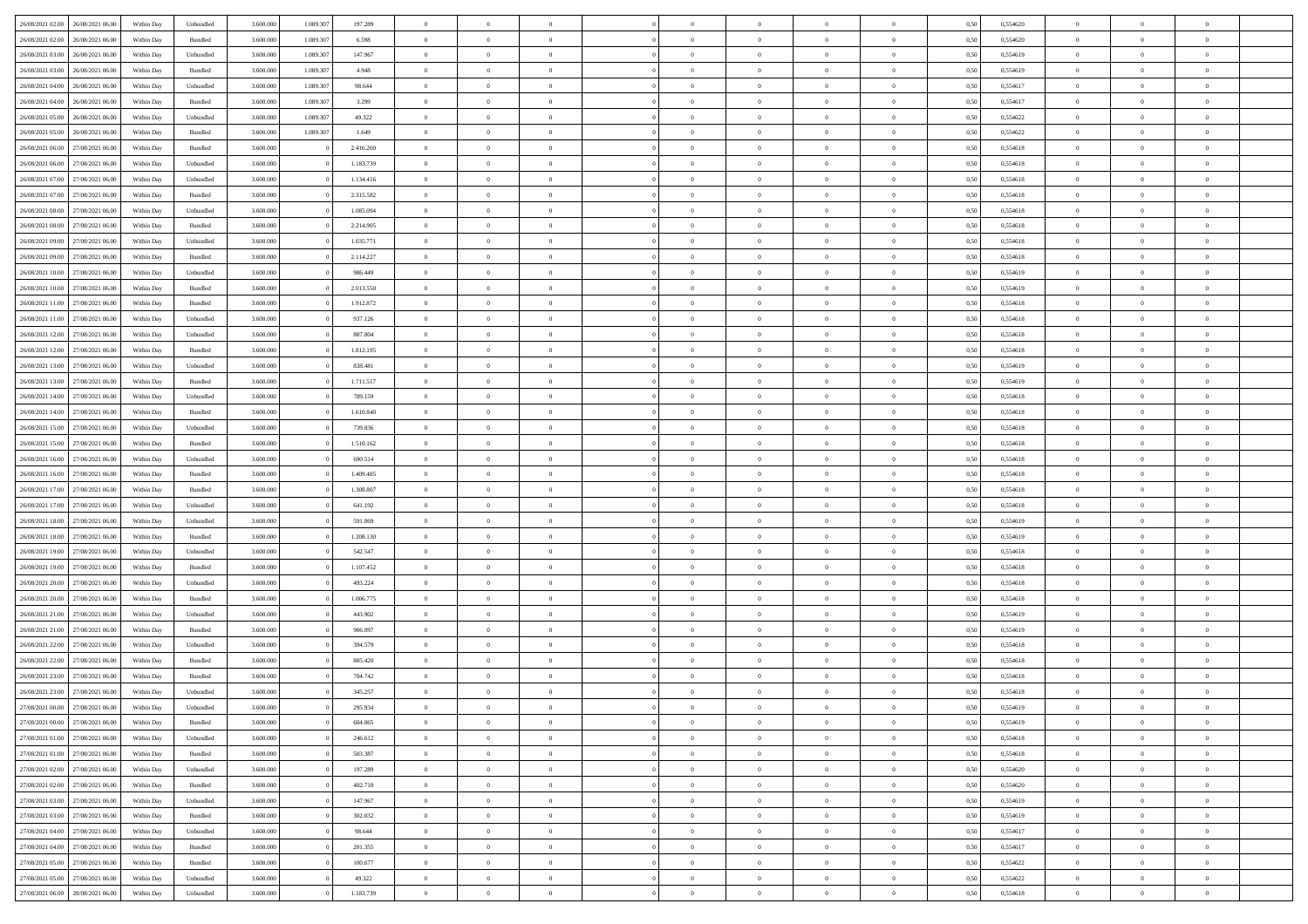| 26/08/2021 02:00                  | 26/08/2021 06:00 | Within Day | Unbundled                   | 3.600.000 | 1.089.307 | 197.289   | $\overline{0}$ | $\theta$       |                | $\overline{0}$ | $\bf{0}$       | $\overline{0}$ | $\theta$       | 0,50 | 0,554620 | $\theta$       | $\theta$       | $\overline{0}$ |  |
|-----------------------------------|------------------|------------|-----------------------------|-----------|-----------|-----------|----------------|----------------|----------------|----------------|----------------|----------------|----------------|------|----------|----------------|----------------|----------------|--|
| 26/08/2021 02:00                  | 26/08/2021 06.00 | Within Day | Bundled                     | 3.600.000 | 1.089.307 | 6.598     | $\overline{0}$ | $\overline{0}$ | $\overline{0}$ | $\overline{0}$ | $\bf{0}$       | $\bf{0}$       | $\bf{0}$       | 0,50 | 0,554620 | $\,$ 0 $\,$    | $\overline{0}$ | $\overline{0}$ |  |
|                                   |                  |            |                             |           |           |           |                |                |                |                |                |                |                |      |          |                |                |                |  |
| 26/08/2021 03:00                  | 26/08/2021 06:00 | Within Day | Unbundled                   | 3.600,000 | 1.089.307 | 147.967   | $\overline{0}$ | $\overline{0}$ | $\overline{0}$ | $\overline{0}$ | $\bf{0}$       | $\overline{0}$ | $\mathbf{0}$   | 0.50 | 0.554619 | $\overline{0}$ | $\overline{0}$ | $\overline{0}$ |  |
| 26/08/2021 03:00                  | 26/08/2021 06:00 | Within Day | Bundled                     | 3.600.000 | 1.089.307 | 4.948     | $\overline{0}$ | $\overline{0}$ | $\overline{0}$ | $\overline{0}$ | $\,0\,$        | $\overline{0}$ | $\overline{0}$ | 0,50 | 0,554619 | $\,$ 0 $\,$    | $\overline{0}$ | $\overline{0}$ |  |
| 26/08/2021 04:00                  | 26/08/2021 06.00 | Within Day | Unbundled                   | 3.600.000 | 1.089.307 | 98.644    | $\overline{0}$ | $\overline{0}$ | $\overline{0}$ | $\overline{0}$ | $\,$ 0         | $\overline{0}$ | $\bf{0}$       | 0,50 | 0,554617 | $\,$ 0 $\,$    | $\overline{0}$ | $\overline{0}$ |  |
| 26/08/2021 04:00                  | 26/08/2021 06:00 | Within Day | Bundled                     | 3.600,000 | 1.089.307 | 3.299     | $\overline{0}$ | $\overline{0}$ | $\overline{0}$ | $\overline{0}$ | $\bf{0}$       | $\overline{0}$ | $\bf{0}$       | 0.50 | 0.554617 | $\,0\,$        | $\overline{0}$ | $\overline{0}$ |  |
| 26/08/2021 05:00                  | 26/08/2021 06:00 | Within Day | Unbundled                   | 3.600.000 | 1.089.307 | 49.322    | $\overline{0}$ | $\overline{0}$ | $\overline{0}$ | $\overline{0}$ | $\bf{0}$       | $\overline{0}$ | $\overline{0}$ | 0,50 | 0,554622 | $\,$ 0 $\,$    | $\theta$       | $\overline{0}$ |  |
| 26/08/2021 05:00                  | 26/08/2021 06.00 | Within Day | Bundled                     | 3.600.000 | 1.089.307 | 1.649     | $\overline{0}$ | $\overline{0}$ | $\overline{0}$ | $\overline{0}$ | $\,$ 0         | $\bf{0}$       | $\bf{0}$       | 0,50 | 0,554622 | $\,$ 0 $\,$    | $\overline{0}$ | $\overline{0}$ |  |
| 26/08/2021 06:00                  | 27/08/2021 06:00 | Within Day | Bundled                     | 3.600,000 |           | 2.416.260 | $\overline{0}$ | $\overline{0}$ | $\overline{0}$ | $\overline{0}$ | $\bf{0}$       | $\overline{0}$ | $\bf{0}$       | 0.50 | 0.554618 | $\bf{0}$       | $\overline{0}$ | $\bf{0}$       |  |
| 26/08/2021 06:00                  | 27/08/2021 06:00 | Within Day | Unbundled                   | 3.600.000 |           | 1.183.739 | $\overline{0}$ | $\overline{0}$ | $\overline{0}$ | $\overline{0}$ | $\bf{0}$       | $\overline{0}$ | $\bf{0}$       | 0,50 | 0,554618 | $\,$ 0 $\,$    | $\overline{0}$ | $\overline{0}$ |  |
| 26/08/2021 07:00                  | 27/08/2021 06.00 | Within Day | Unbundled                   | 3.600.000 |           | 1.134.416 | $\overline{0}$ | $\overline{0}$ | $\overline{0}$ | $\overline{0}$ | $\,$ 0         | $\bf{0}$       | $\bf{0}$       | 0,50 | 0,554618 | $\,$ 0 $\,$    | $\overline{0}$ | $\overline{0}$ |  |
| 26/08/2021 07:00                  | 27/08/2021 06:00 | Within Day | Bundled                     | 3.600,000 |           | 2.315.582 | $\overline{0}$ | $\overline{0}$ | $\overline{0}$ | $\overline{0}$ | $\bf{0}$       | $\overline{0}$ | $\mathbf{0}$   | 0.50 | 0.554618 | $\overline{0}$ | $\,$ 0 $\,$    | $\bf{0}$       |  |
|                                   |                  |            |                             |           |           |           |                | $\overline{0}$ |                |                |                |                |                |      |          |                |                |                |  |
| 26/08/2021 08:00                  | 27/08/2021 06:00 | Within Day | Unbundled                   | 3.600.000 |           | 1.085.094 | $\overline{0}$ |                | $\overline{0}$ | $\overline{0}$ | $\bf{0}$       | $\overline{0}$ | $\overline{0}$ | 0,50 | 0,554618 | $\,$ 0 $\,$    | $\overline{0}$ | $\overline{0}$ |  |
| 26/08/2021 08:00                  | 27/08/2021 06.00 | Within Day | Bundled                     | 3.600.000 |           | 2.214.905 | $\overline{0}$ | $\theta$       | $\overline{0}$ | $\overline{0}$ | $\,$ 0         | $\overline{0}$ | $\bf{0}$       | 0,50 | 0,554618 | $\,$ 0 $\,$    | $\overline{0}$ | $\overline{0}$ |  |
| 26/08/2021 09:00                  | 27/08/2021 06:00 | Within Day | Unbundled                   | 3.600,000 |           | 1.035.771 | $\overline{0}$ | $\overline{0}$ | $\overline{0}$ | $\overline{0}$ | $\bf{0}$       | $\overline{0}$ | $\bf{0}$       | 0.50 | 0.554618 | $\theta$       | $\overline{0}$ | $\overline{0}$ |  |
| 26/08/2021 09:00                  | 27/08/2021 06:00 | Within Day | Bundled                     | 3.600.000 |           | 2.114.227 | $\overline{0}$ | $\overline{0}$ | $\overline{0}$ | $\overline{0}$ | $\bf{0}$       | $\overline{0}$ | $\overline{0}$ | 0,50 | 0,554618 | $\,$ 0 $\,$    | $\theta$       | $\overline{0}$ |  |
| 26/08/2021 10:00                  | 27/08/2021 06.00 | Within Day | Unbundled                   | 3.600.000 |           | 986.449   | $\overline{0}$ | $\overline{0}$ | $\overline{0}$ | $\overline{0}$ | $\,$ 0         | $\overline{0}$ | $\bf{0}$       | 0,50 | 0,554619 | $\,$ 0 $\,$    | $\overline{0}$ | $\overline{0}$ |  |
| 26/08/2021 10:00                  | 27/08/2021 06:00 | Within Day | Bundled                     | 3.600,000 |           | 2.013.550 | $\overline{0}$ | $\overline{0}$ | $\overline{0}$ | $\overline{0}$ | $\bf{0}$       | $\overline{0}$ | $\mathbf{0}$   | 0.50 | 0.554619 | $\bf{0}$       | $\overline{0}$ | $\bf{0}$       |  |
| 26/08/2021 11:00                  | 27/08/2021 06:00 | Within Day | Bundled                     | 3.600.000 |           | 1.912.872 | $\overline{0}$ | $\overline{0}$ | $\overline{0}$ | $\overline{0}$ | $\bf{0}$       | $\overline{0}$ | $\bf{0}$       | 0,50 | 0,554618 | $\,$ 0 $\,$    | $\overline{0}$ | $\overline{0}$ |  |
| 26/08/2021 11:00                  | 27/08/2021 06.00 | Within Day | Unbundled                   | 3.600.000 |           | 937.126   | $\bf{0}$       | $\overline{0}$ | $\overline{0}$ | $\overline{0}$ | $\bf{0}$       | $\overline{0}$ | $\bf{0}$       | 0,50 | 0,554618 | $\,$ 0 $\,$    | $\overline{0}$ | $\overline{0}$ |  |
| 26/08/2021 12:00                  | 27/08/2021 06:00 | Within Day | Unbundled                   | 3.600,000 |           | 887.804   | $\overline{0}$ | $\overline{0}$ | $\overline{0}$ | $\overline{0}$ | $\bf{0}$       | $\overline{0}$ | $\mathbf{0}$   | 0.50 | 0.554618 | $\overline{0}$ | $\,$ 0 $\,$    | $\overline{0}$ |  |
| 26/08/2021 12:00                  | 27/08/2021 06:00 | Within Day | Bundled                     | 3.600.000 |           | 1.812.195 | $\overline{0}$ | $\overline{0}$ | $\overline{0}$ | $\overline{0}$ | $\bf{0}$       | $\overline{0}$ | $\overline{0}$ | 0,50 | 0,554618 | $\,$ 0 $\,$    | $\overline{0}$ | $\overline{0}$ |  |
| 26/08/2021 13:00                  | 27/08/2021 06.00 | Within Day | Unbundled                   | 3.600.000 |           | 838.481   | $\overline{0}$ | $\overline{0}$ | $\overline{0}$ | $\overline{0}$ | $\,$ 0         | $\overline{0}$ | $\bf{0}$       | 0,50 | 0,554619 | $\,$ 0 $\,$    | $\overline{0}$ | $\overline{0}$ |  |
|                                   |                  |            |                             |           |           |           |                |                |                |                |                |                |                |      |          |                |                |                |  |
| 26/08/2021 13:00                  | 27/08/2021 06:00 | Within Day | Bundled                     | 3.600,000 |           | 1.711.517 | $\overline{0}$ | $\overline{0}$ | $\overline{0}$ | $\overline{0}$ | $\bf{0}$       | $\overline{0}$ | $\bf{0}$       | 0.50 | 0.554619 | $\,0\,$        | $\overline{0}$ | $\overline{0}$ |  |
| 26/08/2021 14:00                  | 27/08/2021 06:00 | Within Day | Unbundled                   | 3.600.000 |           | 789.159   | $\overline{0}$ | $\overline{0}$ | $\overline{0}$ | $\overline{0}$ | $\bf{0}$       | $\overline{0}$ | $\overline{0}$ | 0,50 | 0,554618 | $\,$ 0 $\,$    | $\theta$       | $\overline{0}$ |  |
| 26/08/2021 14:00                  | 27/08/2021 06.00 | Within Day | Bundled                     | 3.600.000 |           | 1.610.840 | $\overline{0}$ | $\overline{0}$ | $\overline{0}$ | $\overline{0}$ | $\,$ 0         | $\overline{0}$ | $\bf{0}$       | 0,50 | 0,554618 | $\,$ 0 $\,$    | $\overline{0}$ | $\overline{0}$ |  |
| 26/08/2021 15:00                  | 27/08/2021 06:00 | Within Day | Unbundled                   | 3.600,000 |           | 739.836   | $\overline{0}$ | $\overline{0}$ | $\overline{0}$ | $\overline{0}$ | $\bf{0}$       | $\overline{0}$ | $\bf{0}$       | 0.50 | 0.554618 | $\bf{0}$       | $\overline{0}$ | $\bf{0}$       |  |
| 26/08/2021 15:00                  | 27/08/2021 06:00 | Within Day | Bundled                     | 3.600.000 |           | 1.510.162 | $\overline{0}$ | $\overline{0}$ | $\overline{0}$ | $\overline{0}$ | $\bf{0}$       | $\overline{0}$ | $\bf{0}$       | 0,50 | 0,554618 | $\,$ 0 $\,$    | $\overline{0}$ | $\overline{0}$ |  |
| 26/08/2021 16:00                  | 27/08/2021 06.00 | Within Day | Unbundled                   | 3.600.000 |           | 690.514   | $\bf{0}$       | $\overline{0}$ | $\overline{0}$ | $\overline{0}$ | $\bf{0}$       | $\overline{0}$ | $\bf{0}$       | 0,50 | 0,554618 | $\,$ 0 $\,$    | $\overline{0}$ | $\overline{0}$ |  |
| 26/08/2021 16:00                  | 27/08/2021 06:00 | Within Day | Bundled                     | 3.600,000 |           | 1.409.485 | $\overline{0}$ | $\overline{0}$ | $\overline{0}$ | $\overline{0}$ | $\bf{0}$       | $\overline{0}$ | $\mathbf{0}$   | 0.50 | 0.554618 | $\overline{0}$ | $\,$ 0 $\,$    | $\bf{0}$       |  |
| 26/08/2021 17:00                  | 27/08/2021 06:00 | Within Dav | Bundled                     | 3.600.000 |           | 1.308.807 | $\overline{0}$ | $\overline{0}$ | $\overline{0}$ | $\overline{0}$ | $\overline{0}$ | $\overline{0}$ | $\overline{0}$ | 0.50 | 0,554618 | $\theta$       | $\overline{0}$ | $\overline{0}$ |  |
| 26/08/2021 17:00                  | 27/08/2021 06.00 | Within Day | Unbundled                   | 3.600.000 |           | 641.192   | $\overline{0}$ | $\overline{0}$ | $\overline{0}$ | $\overline{0}$ | $\,$ 0         | $\overline{0}$ | $\bf{0}$       | 0,50 | 0,554618 | $\,$ 0 $\,$    | $\overline{0}$ | $\overline{0}$ |  |
| 26/08/2021 18:00                  | 27/08/2021 06:00 | Within Day | Unbundled                   | 3.600,000 |           | 591.869   | $\overline{0}$ | $\overline{0}$ | $\overline{0}$ | $\overline{0}$ | $\bf{0}$       | $\overline{0}$ | $\bf{0}$       | 0.50 | 0.554619 | $\,0\,$        | $\overline{0}$ | $\overline{0}$ |  |
| 26/08/2021 18:00                  | 27/08/2021 06:00 | Within Dav | Bundled                     | 3.600.000 |           | 1.208.130 | $\overline{0}$ | $\overline{0}$ | $\Omega$       | $\overline{0}$ | $\mathbf{0}$   | $\overline{0}$ | $\overline{0}$ | 0,50 | 0,554619 | $\theta$       | $\overline{0}$ | $\overline{0}$ |  |
| 26/08/2021 19:00                  | 27/08/2021 06.00 | Within Day | Unbundled                   | 3.600.000 |           | 542.547   | $\bf{0}$       | $\overline{0}$ | $\overline{0}$ | $\overline{0}$ | $\,$ 0         | $\overline{0}$ | $\bf{0}$       | 0,50 | 0,554618 | $\,$ 0 $\,$    | $\overline{0}$ | $\overline{0}$ |  |
|                                   |                  |            |                             |           |           |           |                |                |                |                |                |                |                |      |          |                |                |                |  |
| 26/08/2021 19:00                  | 27/08/2021 06:00 | Within Day | Bundled                     | 3.600,000 |           | 1.107.452 | $\overline{0}$ | $\overline{0}$ | $\overline{0}$ | $\overline{0}$ | $\bf{0}$       | $\overline{0}$ | $\mathbf{0}$   | 0.50 | 0.554618 | $\bf{0}$       | $\overline{0}$ | $\bf{0}$       |  |
| 26/08/2021 20:00                  | 27/08/2021 06:00 | Within Dav | Unbundled                   | 3.600.000 |           | 493.224   | $\overline{0}$ | $\overline{0}$ | $\overline{0}$ | $\overline{0}$ | $\overline{0}$ | $\overline{0}$ | $\overline{0}$ | 0.50 | 0,554618 | $\theta$       | $\overline{0}$ | $\overline{0}$ |  |
| 26/08/2021 20:00                  | 27/08/2021 06.00 | Within Day | Bundled                     | 3.600.000 |           | 1.006.775 | $\overline{0}$ | $\overline{0}$ | $\overline{0}$ | $\bf{0}$       | $\bf{0}$       | $\bf{0}$       | $\bf{0}$       | 0,50 | 0,554618 | $\,$ 0 $\,$    | $\overline{0}$ | $\overline{0}$ |  |
| 26/08/2021 21:00                  | 27/08/2021 06:00 | Within Day | Unbundled                   | 3.600,000 |           | 443.902   | $\overline{0}$ | $\overline{0}$ | $\overline{0}$ | $\overline{0}$ | $\bf{0}$       | $\overline{0}$ | $\mathbf{0}$   | 0.50 | 0.554619 | $\overline{0}$ | $\,$ 0 $\,$    | $\overline{0}$ |  |
| 26/08/2021 21:00                  | 27/08/2021 06:00 | Within Dav | Bundled                     | 3.600.000 |           | 906.097   | $\overline{0}$ | $\overline{0}$ | $\Omega$       | $\overline{0}$ | $\mathbf{0}$   | $\overline{0}$ | $\overline{0}$ | 0,50 | 0,554619 | $\theta$       | $\overline{0}$ | $\overline{0}$ |  |
| 26/08/2021 22:00                  | 27/08/2021 06.00 | Within Day | Unbundled                   | 3.600.000 |           | 394.579   | $\overline{0}$ | $\overline{0}$ | $\overline{0}$ | $\overline{0}$ | $\bf{0}$       | $\overline{0}$ | $\bf{0}$       | 0,50 | 0,554618 | $\,$ 0 $\,$    | $\overline{0}$ | $\overline{0}$ |  |
| 26/08/2021 22:00                  | 27/08/2021 06:00 | Within Day | Bundled                     | 3.600,000 |           | 805.420   | $\overline{0}$ | $\overline{0}$ | $\overline{0}$ | $\overline{0}$ | $\overline{0}$ | $\Omega$       | $\overline{0}$ | 0.50 | 0.554618 | $\,0\,$        | $\theta$       | $\overline{0}$ |  |
| 26/08/2021 23:00                  | 27/08/2021 06:00 | Within Dav | Bundled                     | 3.600.000 |           | 704.742   | $\overline{0}$ | $\theta$       | $\Omega$       | $\Omega$       | $\bf{0}$       | $\overline{0}$ | $\overline{0}$ | 0.50 | 0,554618 | $\theta$       | $\overline{0}$ | $\overline{0}$ |  |
| 26/08/2021 23:00                  | 27/08/2021 06:00 | Within Day | Unbundled                   | 3.600.000 |           | 345.257   | $\overline{0}$ | $\overline{0}$ | $\overline{0}$ | $\bf{0}$       | $\,$ 0         | $\bf{0}$       | $\bf{0}$       | 0,50 | 0,554618 | $\,$ 0 $\,$    | $\overline{0}$ | $\overline{0}$ |  |
| 27/08/2021 00:00                  | 27/08/2021 06:00 | Within Day | $\ensuremath{\mathsf{Unb}}$ | 3.600.000 |           | 295.934   | $\bf{0}$       | $\theta$       |                | $^{\circ}$     | $\Omega$       |                |                | 0,50 | 0,554619 | $\bf{0}$       | $\theta$       |                |  |
| 27/08/2021 00:00 27/08/2021 06:00 |                  | Within Day | Bundled                     | 3.600.000 |           | 604.065   | $\overline{0}$ | $\overline{0}$ | $\overline{0}$ | $\overline{0}$ | $\overline{0}$ | $\overline{0}$ | $\mathbf{0}$   | 0,50 | 0,554619 | $\theta$       | $\overline{0}$ | $\overline{0}$ |  |
| 27/08/2021 01:00                  | 27/08/2021 06:00 | Within Day | Unbundled                   | 3.600.000 |           | 246.612   | $\overline{0}$ | $\overline{0}$ | $\overline{0}$ | $\bf{0}$       | $\overline{0}$ | $\overline{0}$ | $\bf{0}$       | 0,50 | 0,554618 | $\overline{0}$ | $\overline{0}$ | $\bf{0}$       |  |
|                                   | 27/08/2021 06:00 |            |                             | 3.600.000 |           | 503.387   | $\overline{0}$ |                |                |                |                |                |                | 0.50 | 0.554618 | $\overline{0}$ |                |                |  |
| 27/08/2021 01:00                  |                  | Within Day | Bundled                     |           |           |           |                | $\overline{0}$ | $\overline{0}$ | $\overline{0}$ | $\overline{0}$ | $\overline{0}$ | $\mathbf{0}$   |      |          |                | $\bf{0}$       | $\bf{0}$       |  |
| 27/08/2021 02:00                  | 27/08/2021 06:00 | Within Day | Unbundled                   | 3.600.000 |           | 197.289   | $\overline{0}$ | $\overline{0}$ | $\overline{0}$ | $\overline{0}$ | $\overline{0}$ | $\overline{0}$ | $\mathbf{0}$   | 0,50 | 0,554620 | $\overline{0}$ | $\theta$       | $\overline{0}$ |  |
| 27/08/2021 02:00                  | 27/08/2021 06:00 | Within Day | Bundled                     | 3.600.000 |           | 402.710   | $\overline{0}$ | $\overline{0}$ | $\overline{0}$ | $\overline{0}$ | $\bf{0}$       | $\bf{0}$       | $\bf{0}$       | 0,50 | 0,554620 | $\,$ 0 $\,$    | $\overline{0}$ | $\overline{0}$ |  |
| 27/08/2021 03:00                  | 27/08/2021 06:00 | Within Day | Unbundled                   | 3.600.000 |           | 147.967   | $\overline{0}$ | $\overline{0}$ | $\overline{0}$ | $\overline{0}$ | $\bf{0}$       | $\overline{0}$ | $\mathbf{0}$   | 0.50 | 0.554619 | $\,$ 0 $\,$    | $\overline{0}$ | $\overline{0}$ |  |
| 27/08/2021 03:00                  | 27/08/2021 06:00 | Within Day | Bundled                     | 3.600.000 |           | 302.032   | $\overline{0}$ | $\overline{0}$ | $\overline{0}$ | $\overline{0}$ | $\overline{0}$ | $\overline{0}$ | $\overline{0}$ | 0,50 | 0,554619 | $\overline{0}$ | $\theta$       | $\overline{0}$ |  |
| 27/08/2021 04:00                  | 27/08/2021 06:00 | Within Day | Unbundled                   | 3.600.000 |           | 98.644    | $\overline{0}$ | $\overline{0}$ | $\overline{0}$ | $\overline{0}$ | $\overline{0}$ | $\overline{0}$ | $\bf{0}$       | 0,50 | 0,554617 | $\,$ 0 $\,$    | $\overline{0}$ | $\overline{0}$ |  |
| 27/08/2021 04:00                  | 27/08/2021 06:00 | Within Day | Bundled                     | 3.600.000 |           | 201.355   | $\overline{0}$ | $\overline{0}$ | $\overline{0}$ | $\overline{0}$ | $\bf{0}$       | $\overline{0}$ | $\mathbf{0}$   | 0.50 | 0.554617 | $\mathbf{0}$   | $\bf{0}$       | $\bf{0}$       |  |
| 27/08/2021 05:00                  | 27/08/2021 06:00 | Within Day | Bundled                     | 3.600.000 |           | 100.677   | $\overline{0}$ | $\overline{0}$ | $\overline{0}$ | $\overline{0}$ | $\overline{0}$ | $\overline{0}$ | $\overline{0}$ | 0,50 | 0,554622 | $\overline{0}$ | $\overline{0}$ | $\overline{0}$ |  |
| 27/08/2021 05:00                  | 27/08/2021 06:00 | Within Day | Unbundled                   | 3.600.000 |           | 49.322    | $\overline{0}$ | $\bf{0}$       | $\overline{0}$ | $\bf{0}$       | $\bf{0}$       | $\overline{0}$ | $\bf{0}$       | 0,50 | 0,554622 | $\bf{0}$       | $\overline{0}$ | $\bf{0}$       |  |
| 27/08/2021 06:00 28/08/2021 06:00 |                  | Within Day | Unbundled                   | 3.600.000 |           | 1.183.739 | $\,$ 0 $\,$    | $\overline{0}$ | $\overline{0}$ | $\overline{0}$ | $\,$ 0 $\,$    | $\,$ 0 $\,$    | $\,$ 0 $\,$    | 0,50 | 0,554618 | $\overline{0}$ | $\,$ 0 $\,$    | $\,$ 0 $\,$    |  |
|                                   |                  |            |                             |           |           |           |                |                |                |                |                |                |                |      |          |                |                |                |  |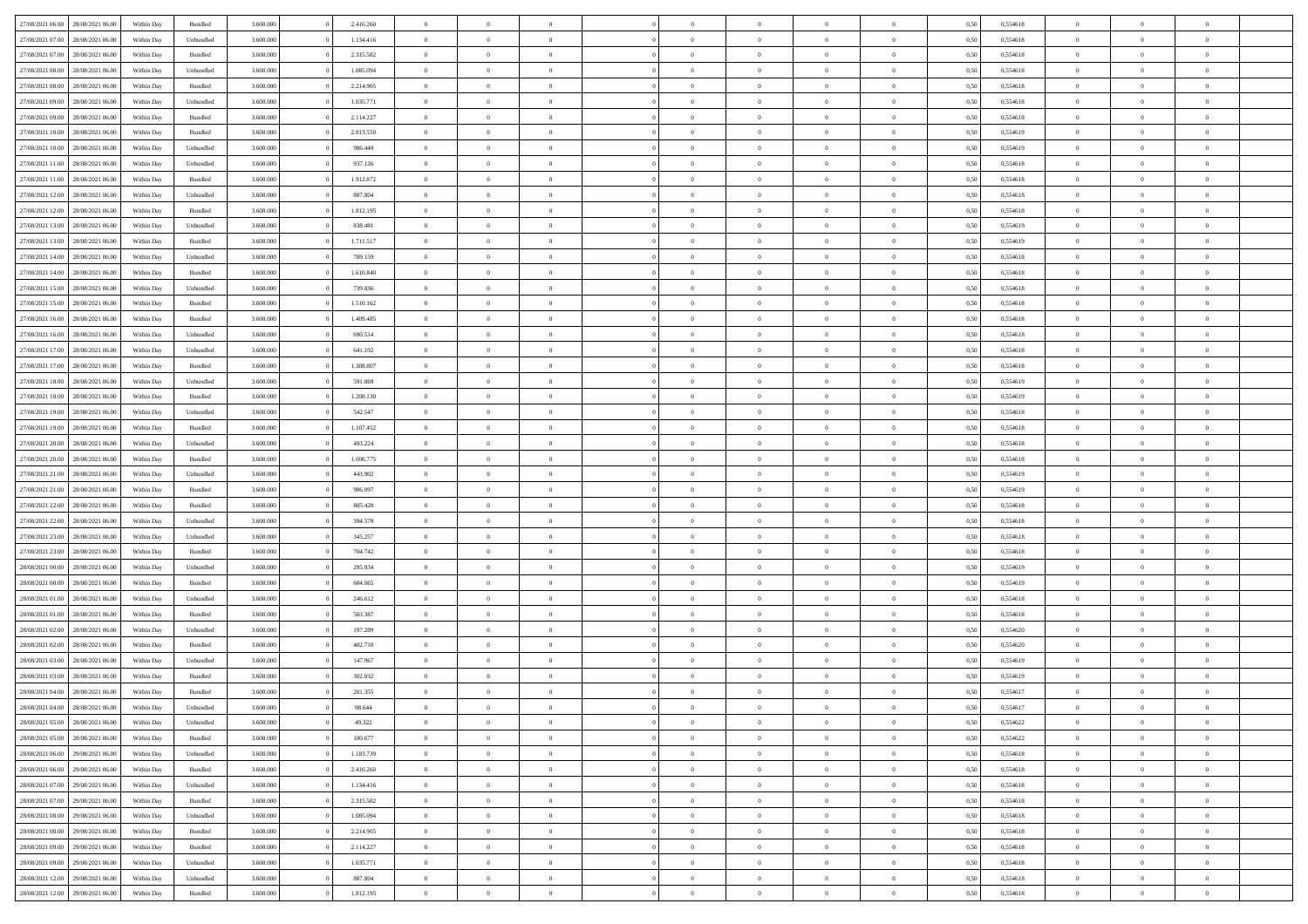| 27/08/2021 06:00 28/08/2021 06:00    | Within Day | Bundled   | 3.600.000 | 2.416.260 | $\overline{0}$ | $\overline{0}$ | $\Omega$       | $\Omega$       | $\theta$       | $\Omega$       | $\overline{0}$ | 0,50 | 0,554618 | $\theta$       | $\theta$       | $\theta$       |  |
|--------------------------------------|------------|-----------|-----------|-----------|----------------|----------------|----------------|----------------|----------------|----------------|----------------|------|----------|----------------|----------------|----------------|--|
| 27/08/2021 07:00<br>28/08/2021 06:00 | Within Day | Unbundled | 3.600.000 | 1.134.416 | $\overline{0}$ | $\overline{0}$ | $\overline{0}$ | $\overline{0}$ | $\theta$       | $\overline{0}$ | $\bf{0}$       | 0,50 | 0,554618 | $\theta$       | $\theta$       | $\overline{0}$ |  |
| 27/08/2021 07:00<br>28/08/2021 06:00 | Within Day | Bundled   | 3.600.000 | 2.315.582 | $\overline{0}$ | $\bf{0}$       | $\overline{0}$ | $\overline{0}$ | $\overline{0}$ | $\overline{0}$ | $\bf{0}$       | 0,50 | 0,554618 | $\bf{0}$       | $\overline{0}$ | $\overline{0}$ |  |
| 27/08/2021 08:00<br>28/08/2021 06:00 | Within Day | Unbundled | 3.600.000 | 1.085.094 | $\overline{0}$ | $\overline{0}$ | $\overline{0}$ | $\overline{0}$ | $\theta$       | $\overline{0}$ | $\overline{0}$ | 0.50 | 0.554618 | $\theta$       | $\theta$       | $\overline{0}$ |  |
| 27/08/2021 08:00<br>28/08/2021 06:00 | Within Day | Bundled   | 3.600.000 | 2.214.905 | $\overline{0}$ | $\overline{0}$ | $\overline{0}$ | $\overline{0}$ | $\theta$       | $\overline{0}$ | $\bf{0}$       | 0,50 | 0,554618 | $\theta$       | $\theta$       | $\overline{0}$ |  |
|                                      |            |           |           |           |                |                |                |                |                |                |                |      |          |                |                |                |  |
| 27/08/2021 09:00<br>28/08/2021 06:00 | Within Day | Unbundled | 3.600.000 | 1.035.771 | $\overline{0}$ | $\bf{0}$       | $\overline{0}$ | $\overline{0}$ | $\overline{0}$ | $\overline{0}$ | $\bf{0}$       | 0,50 | 0,554618 | $\bf{0}$       | $\overline{0}$ | $\bf{0}$       |  |
| 27/08/2021 09:00<br>28/08/2021 06:00 | Within Day | Bundled   | 3.600.000 | 2.114.227 | $\overline{0}$ | $\overline{0}$ | $\overline{0}$ | $\overline{0}$ | $\overline{0}$ | $\overline{0}$ | $\overline{0}$ | 0.5( | 0.554618 | $\theta$       | $\theta$       | $\overline{0}$ |  |
| 27/08/2021 10:00<br>28/08/2021 06:00 | Within Day | Bundled   | 3.600.000 | 2.013.550 | $\overline{0}$ | $\theta$       | $\overline{0}$ | $\overline{0}$ | $\theta$       | $\overline{0}$ | $\bf{0}$       | 0,50 | 0,554619 | $\theta$       | $\theta$       | $\overline{0}$ |  |
| 27/08/2021 10:00<br>28/08/2021 06:00 | Within Day | Unbundled | 3.600.000 | 986.449   | $\overline{0}$ | $\bf{0}$       | $\overline{0}$ | $\overline{0}$ | $\overline{0}$ | $\bf{0}$       | $\bf{0}$       | 0,50 | 0,554619 | $\bf{0}$       | $\bf{0}$       | $\overline{0}$ |  |
| 27/08/2021 11:00<br>28/08/2021 06:00 | Within Day | Unbundled | 3.600.000 | 937.126   | $\overline{0}$ | $\overline{0}$ | $\overline{0}$ | $\overline{0}$ | $\overline{0}$ | $\overline{0}$ | $\overline{0}$ | 0.50 | 0.554618 | $\theta$       | $\theta$       | $\overline{0}$ |  |
| 27/08/2021 11:00<br>28/08/2021 06:00 | Within Day | Bundled   | 3.600.000 | 1.912.872 | $\bf{0}$       | $\overline{0}$ | $\overline{0}$ | $\overline{0}$ | $\theta$       | $\overline{0}$ | $\bf{0}$       | 0,50 | 0,554618 | $\theta$       | $\theta$       | $\overline{0}$ |  |
| 27/08/2021 12:00<br>28/08/2021 06:00 | Within Day | Unbundled | 3.600.000 | 887.804   | $\overline{0}$ | $\bf{0}$       | $\overline{0}$ | $\overline{0}$ | $\bf{0}$       | $\overline{0}$ | $\bf{0}$       | 0,50 | 0,554618 | $\bf{0}$       | $\overline{0}$ | $\overline{0}$ |  |
| 27/08/2021 12:00<br>28/08/2021 06:00 | Within Day | Bundled   | 3.600.000 | 1.812.195 | $\overline{0}$ | $\overline{0}$ | $\overline{0}$ | $\overline{0}$ | $\overline{0}$ | $\overline{0}$ | $\overline{0}$ | 0.5( | 0.554618 | $\theta$       | $\theta$       | $\overline{0}$ |  |
| 27/08/2021 13:00<br>28/08/2021 06:00 | Within Day | Unbundled | 3.600.000 | 838.481   | $\overline{0}$ | $\theta$       | $\overline{0}$ | $\overline{0}$ | $\theta$       | $\overline{0}$ | $\,$ 0 $\,$    | 0,50 | 0,554619 | $\theta$       | $\theta$       | $\overline{0}$ |  |
| 27/08/2021 13:00<br>28/08/2021 06:00 | Within Day | Bundled   | 3.600.000 | 1.711.517 | $\overline{0}$ | $\bf{0}$       | $\overline{0}$ | $\overline{0}$ | $\overline{0}$ | $\overline{0}$ | $\bf{0}$       | 0,50 | 0,554619 | $\bf{0}$       | $\overline{0}$ | $\bf{0}$       |  |
| 27/08/2021 14:00<br>28/08/2021 06:00 | Within Day | Unbundled | 3.600.000 | 789.159   | $\overline{0}$ | $\overline{0}$ | $\overline{0}$ | $\overline{0}$ | $\overline{0}$ | $\overline{0}$ | $\overline{0}$ | 0.50 | 0.554618 | $\theta$       | $\theta$       | $\overline{0}$ |  |
| 27/08/2021 14:00<br>28/08/2021 06:00 | Within Day | Bundled   | 3.600.000 | 1.610.840 | $\overline{0}$ | $\theta$       | $\overline{0}$ | $\overline{0}$ | $\theta$       | $\overline{0}$ | $\bf{0}$       | 0,50 | 0,554618 | $\theta$       | $\theta$       | $\overline{0}$ |  |
|                                      |            |           |           |           |                |                |                |                |                |                |                |      |          |                |                |                |  |
| 27/08/2021 15:00<br>28/08/2021 06:00 | Within Day | Unbundled | 3.600.000 | 739.836   | $\overline{0}$ | $\bf{0}$       | $\overline{0}$ | $\overline{0}$ | $\overline{0}$ | $\overline{0}$ | $\bf{0}$       | 0,50 | 0,554618 | $\bf{0}$       | $\overline{0}$ | $\overline{0}$ |  |
| 27/08/2021 15:00<br>28/08/2021 06:00 | Within Day | Bundled   | 3.600.000 | 1.510.162 | $\overline{0}$ | $\overline{0}$ | $\overline{0}$ | $\overline{0}$ | $\overline{0}$ | $\overline{0}$ | $\overline{0}$ | 0.50 | 0.554618 | $\theta$       | $\theta$       | $\overline{0}$ |  |
| 27/08/2021 16:00<br>28/08/2021 06:00 | Within Day | Bundled   | 3.600.000 | 1.409.485 | $\bf{0}$       | $\overline{0}$ | $\overline{0}$ | $\overline{0}$ | $\theta$       | $\overline{0}$ | $\bf{0}$       | 0,50 | 0,554618 | $\theta$       | $\theta$       | $\overline{0}$ |  |
| 27/08/2021 16:00<br>28/08/2021 06:00 | Within Day | Unbundled | 3.600.000 | 690.514   | $\overline{0}$ | $\bf{0}$       | $\overline{0}$ | $\overline{0}$ | $\overline{0}$ | $\overline{0}$ | $\bf{0}$       | 0,50 | 0,554618 | $\bf{0}$       | $\bf{0}$       | $\overline{0}$ |  |
| 27/08/2021 17:00<br>28/08/2021 06:00 | Within Day | Unbundled | 3.600.000 | 641.192   | $\overline{0}$ | $\overline{0}$ | $\overline{0}$ | $\overline{0}$ | $\overline{0}$ | $\overline{0}$ | $\overline{0}$ | 0.50 | 0.554618 | $\theta$       | $\theta$       | $\overline{0}$ |  |
| 27/08/2021 17:00<br>28/08/2021 06:00 | Within Day | Bundled   | 3.600.000 | 1.308.807 | $\overline{0}$ | $\overline{0}$ | $\overline{0}$ | $\overline{0}$ | $\theta$       | $\overline{0}$ | $\bf{0}$       | 0,50 | 0,554618 | $\theta$       | $\theta$       | $\overline{0}$ |  |
| 27/08/2021 18:00<br>28/08/2021 06:00 | Within Day | Unbundled | 3.600.000 | 591.869   | $\overline{0}$ | $\bf{0}$       | $\overline{0}$ | $\overline{0}$ | $\overline{0}$ | $\overline{0}$ | $\bf{0}$       | 0,50 | 0,554619 | $\overline{0}$ | $\overline{0}$ | $\bf{0}$       |  |
| 27/08/2021 18:00<br>28/08/2021 06:00 | Within Day | Bundled   | 3.600.000 | 1.208.130 | $\overline{0}$ | $\overline{0}$ | $\overline{0}$ | $\overline{0}$ | $\overline{0}$ | $\overline{0}$ | $\overline{0}$ | 0.5( | 0.554619 | $\overline{0}$ | $\theta$       | $\overline{0}$ |  |
| 27/08/2021 19:00<br>28/08/2021 06:00 | Within Day | Unbundled | 3.600.000 | 542.547   | $\bf{0}$       | $\overline{0}$ | $\overline{0}$ | $\overline{0}$ | $\theta$       | $\overline{0}$ | $\bf{0}$       | 0,50 | 0,554618 | $\theta$       | $\theta$       | $\overline{0}$ |  |
| 27/08/2021 19:00<br>28/08/2021 06:00 | Within Day | Bundled   | 3.600.000 | 1.107.452 | $\overline{0}$ | $\bf{0}$       | $\overline{0}$ | $\overline{0}$ | $\overline{0}$ | $\bf{0}$       | $\bf{0}$       | 0,50 | 0,554618 | $\bf{0}$       | $\bf{0}$       | $\overline{0}$ |  |
| 27/08/2021 20:00<br>28/08/2021 06:00 | Within Day | Unbundled | 3.600.000 | 493.224   | $\overline{0}$ | $\overline{0}$ | $\overline{0}$ | $\overline{0}$ | $\overline{0}$ | $\overline{0}$ | $\overline{0}$ | 0.50 | 0.554618 | $\theta$       | $\theta$       | $\overline{0}$ |  |
| 27/08/2021 20:00<br>28/08/2021 06:00 | Within Day | Bundled   | 3.600.000 | 1.006.775 | $\bf{0}$       | $\overline{0}$ | $\overline{0}$ | $\overline{0}$ | $\theta$       | $\overline{0}$ | $\bf{0}$       | 0,50 | 0,554618 | $\theta$       | $\theta$       | $\overline{0}$ |  |
| 27/08/2021 21:00<br>28/08/2021 06:00 | Within Day | Unbundled | 3.600.000 | 443.902   | $\overline{0}$ | $\bf{0}$       | $\overline{0}$ | $\overline{0}$ | $\bf{0}$       | $\overline{0}$ | $\bf{0}$       | 0,50 | 0,554619 | $\bf{0}$       | $\overline{0}$ | $\overline{0}$ |  |
| 27/08/2021 21:00<br>28/08/2021 06:00 |            | Bundled   | 3.600.000 | 906.097   | $\overline{0}$ | $\overline{0}$ | $\Omega$       | $\Omega$       | $\Omega$       | $\theta$       | $\overline{0}$ | 0,50 | 0,554619 | $\,$ 0 $\,$    | $\Omega$       | $\theta$       |  |
| 27/08/2021 22:00<br>28/08/2021 06:00 | Within Day |           | 3.600.000 | 805.420   | $\overline{0}$ | $\overline{0}$ | $\overline{0}$ | $\overline{0}$ | $\theta$       | $\overline{0}$ | $\bf{0}$       |      | 0,554618 | $\theta$       | $\theta$       | $\overline{0}$ |  |
|                                      | Within Day | Bundled   |           |           |                |                |                |                |                |                |                | 0,50 |          |                |                |                |  |
| 27/08/2021 22:00<br>28/08/2021 06:00 | Within Day | Unbundled | 3.600.000 | 394.579   | $\overline{0}$ | $\bf{0}$       | $\overline{0}$ | $\overline{0}$ | $\bf{0}$       | $\overline{0}$ | $\bf{0}$       | 0,50 | 0,554618 | $\bf{0}$       | $\overline{0}$ | $\bf{0}$       |  |
| 27/08/2021 23:00<br>28/08/2021 06:00 | Within Day | Unbundled | 3,600,000 | 345.257   | $\overline{0}$ | $\overline{0}$ | $\Omega$       | $\Omega$       | $\overline{0}$ | $\Omega$       | $\overline{0}$ | 0.50 | 0.554618 | $\overline{0}$ | $\Omega$       | $\theta$       |  |
| 27/08/2021 23:00<br>28/08/2021 06:00 | Within Day | Bundled   | 3.600.000 | 704.742   | $\bf{0}$       | $\overline{0}$ | $\overline{0}$ | $\overline{0}$ | $\theta$       | $\overline{0}$ | $\bf{0}$       | 0,50 | 0,554618 | $\theta$       | $\theta$       | $\overline{0}$ |  |
| 28/08/2021 00:00<br>28/08/2021 06:00 | Within Day | Unbundled | 3.600.000 | 295.934   | $\overline{0}$ | $\bf{0}$       | $\overline{0}$ | $\overline{0}$ | $\overline{0}$ | $\bf{0}$       | $\bf{0}$       | 0,50 | 0,554619 | $\bf{0}$       | $\overline{0}$ | $\overline{0}$ |  |
| 28/08/2021 00:00<br>28/08/2021 06:00 | Within Day | Bundled   | 3,600,000 | 604.065   | $\overline{0}$ | $\theta$       | $\Omega$       | $\Omega$       | $\Omega$       | $\Omega$       | $\overline{0}$ | 0.50 | 0.554619 | $\theta$       | $\Omega$       | $\theta$       |  |
| 28/08/2021 01:00<br>28/08/2021 06:00 | Within Day | Unbundled | 3.600.000 | 246.612   | $\bf{0}$       | $\overline{0}$ | $\overline{0}$ | $\overline{0}$ | $\theta$       | $\overline{0}$ | $\bf{0}$       | 0,50 | 0,554618 | $\theta$       | $\theta$       | $\overline{0}$ |  |
| 28/08/2021 01:00<br>28/08/2021 06:00 | Within Day | Bundled   | 3.600.000 | 503.387   | $\overline{0}$ | $\bf{0}$       | $\overline{0}$ | $\overline{0}$ | $\overline{0}$ | $\overline{0}$ | $\bf{0}$       | 0,50 | 0,554618 | $\bf{0}$       | $\overline{0}$ | $\overline{0}$ |  |
| 28/08/2021 02:00<br>28/08/2021 06:00 | Within Day | Unbundled | 3.600.000 | 197.289   | $\overline{0}$ | $\overline{0}$ | $\Omega$       | $\Omega$       | $\theta$       | $\Omega$       | $\overline{0}$ | 0.50 | 0,554620 | $\,$ 0 $\,$    | $\overline{0}$ | $\theta$       |  |
| 28/08/2021 02:00<br>28/08/2021 06:00 | Within Day | Bundled   | 3.600.000 | 402.710   | $\bf{0}$       | $\overline{0}$ | $\overline{0}$ | $\overline{0}$ | $\theta$       | $\overline{0}$ | $\bf{0}$       | 0,50 | 0,554620 | $\theta$       | $\theta$       | $\overline{0}$ |  |
| 28/08/2021 03:00<br>28/08/2021 06:00 | Within Day | Unbundled | 3.600.000 | 147.967   | $\overline{0}$ | $\bf{0}$       | $\overline{0}$ | $\overline{0}$ | $\overline{0}$ | $\overline{0}$ | $\bf{0}$       | 0,50 | 0,554619 | $\overline{0}$ | $\overline{0}$ | $\bf{0}$       |  |
| 28/08/2021 03:00<br>28/08/2021 06:00 | Within Day | Bundled   | 3,600,000 | 302.032   | $\overline{0}$ | $\Omega$       | $\Omega$       | $\Omega$       | $\Omega$       | $\theta$       | $\overline{0}$ | 0.50 | 0.554619 | $\theta$       | $\Omega$       | $\theta$       |  |
| 28/08/2021 04:00<br>28/08/2021 06:00 | Within Day | Bundled   | 3.600.000 | 201.355   | $\bf{0}$       | $\bf{0}$       | $\overline{0}$ | $\overline{0}$ | $\bf{0}$       | $\bf{0}$       | $\bf{0}$       | 0,50 | 0,554617 | $\bf{0}$       | $\bf{0}$       | $\overline{0}$ |  |
| 28/08/2021 04:00 28/08/2021 06:00    | Within Day | Unbundled | 3.600.000 | 98.644    | $\bf{0}$       | $\bf{0}$       |                |                |                |                |                | 0,50 | 0,554617 | $\bf{0}$       | $\bf{0}$       |                |  |
| 28/08/2021 05:00 28/08/2021 06:00    | Within Day | Unbundled | 3.600.000 | 49.322    | $\Omega$       | $\overline{0}$ | $\Omega$       | $\theta$       | $\overline{0}$ | $\theta$       | $\overline{0}$ | 0.50 | 0.554622 | $\theta$       | $\theta$       | $\theta$       |  |
|                                      |            |           |           |           |                | $\overline{0}$ |                |                | $\overline{0}$ |                |                |      |          | $\,$ 0 $\,$    | $\,$ 0 $\,$    | $\,$ 0         |  |
| 28/08/2021 05:00<br>28/08/2021 06:00 | Within Day | Bundled   | 3.600.000 | 100.677   | $\overline{0}$ |                | $\overline{0}$ | $\overline{0}$ |                | $\overline{0}$ | $\,$ 0 $\,$    | 0,50 | 0,554622 |                |                |                |  |
| 28/08/2021 06:00<br>29/08/2021 06:00 | Within Day | Unbundled | 3.600.000 | 1.183.739 | $\overline{0}$ | $\overline{0}$ | $\overline{0}$ | $\overline{0}$ | $\overline{0}$ | $\overline{0}$ | $\bf{0}$       | 0,50 | 0,554618 | $\overline{0}$ | $\bf{0}$       | $\overline{0}$ |  |
| 28/08/2021 06:00<br>29/08/2021 06:00 | Within Day | Bundled   | 3.600.000 | 2.416.260 | $\overline{0}$ | $\bf{0}$       | $\overline{0}$ | $\overline{0}$ | $\overline{0}$ | $\overline{0}$ | $\bf{0}$       | 0,50 | 0,554618 | $\bf{0}$       | $\theta$       | $\overline{0}$ |  |
| 28/08/2021 07:00<br>29/08/2021 06:00 | Within Day | Unbundled | 3.600.000 | 1.134.416 | $\overline{0}$ | $\overline{0}$ | $\overline{0}$ | $\overline{0}$ | $\overline{0}$ | $\overline{0}$ | $\bf{0}$       | 0,50 | 0,554618 | $\,$ 0 $\,$    | $\,$ 0 $\,$    | $\overline{0}$ |  |
| 28/08/2021 07:00<br>29/08/2021 06:00 | Within Day | Bundled   | 3.600.000 | 2.315.582 | $\overline{0}$ | $\overline{0}$ | $\overline{0}$ | $\overline{0}$ | $\mathbf{0}$   | $\overline{0}$ | $\bf{0}$       | 0,50 | 0,554618 | $\overline{0}$ | $\overline{0}$ | $\bf{0}$       |  |
| 28/08/2021 08:00<br>29/08/2021 06:00 | Within Day | Unbundled | 3.600.000 | 1.085.094 | $\overline{0}$ | $\bf{0}$       | $\overline{0}$ | $\overline{0}$ | $\overline{0}$ | $\overline{0}$ | $\bf{0}$       | 0.50 | 0,554618 | $\overline{0}$ | $\theta$       | $\overline{0}$ |  |
| 28/08/2021 08:00<br>29/08/2021 06:00 | Within Day | Bundled   | 3.600.000 | 2.214.905 | $\overline{0}$ | $\,$ 0         | $\overline{0}$ | $\overline{0}$ | $\overline{0}$ | $\overline{0}$ | $\bf{0}$       | 0,50 | 0,554618 | $\,$ 0 $\,$    | $\bf{0}$       | $\overline{0}$ |  |
| 28/08/2021 09:00<br>29/08/2021 06:00 | Within Day | Bundled   | 3.600.000 | 2.114.227 | $\overline{0}$ | $\bf{0}$       | $\overline{0}$ | $\overline{0}$ | $\overline{0}$ | $\overline{0}$ | $\bf{0}$       | 0,50 | 0,554618 | $\overline{0}$ | $\overline{0}$ | $\bf{0}$       |  |
| 28/08/2021 09:00<br>29/08/2021 06:00 | Within Day | Unbundled | 3.600.000 | 1.035.771 | $\overline{0}$ | $\overline{0}$ | $\overline{0}$ | $\overline{0}$ | $\overline{0}$ | $\overline{0}$ | $\bf{0}$       | 0.50 | 0,554618 | $\overline{0}$ | $\theta$       | $\overline{0}$ |  |
| 28/08/2021 12:00<br>29/08/2021 06:00 | Within Day | Unbundled | 3.600.000 | 887.804   | $\overline{0}$ | $\,$ 0         | $\overline{0}$ | $\overline{0}$ | $\bf{0}$       | $\bf{0}$       | $\bf{0}$       | 0,50 | 0,554618 | $\,$ 0 $\,$    | $\,$ 0 $\,$    | $\overline{0}$ |  |
| 28/08/2021 12:00 29/08/2021 06:00    | Within Day | Bundled   | 3.600.000 | 1.812.195 | $\overline{0}$ | $\bf{0}$       | $\overline{0}$ | $\overline{0}$ | $\overline{0}$ | $\overline{0}$ | $\bf{0}$       | 0,50 | 0,554618 | $\overline{0}$ | $\overline{0}$ | $\bf{0}$       |  |
|                                      |            |           |           |           |                |                |                |                |                |                |                |      |          |                |                |                |  |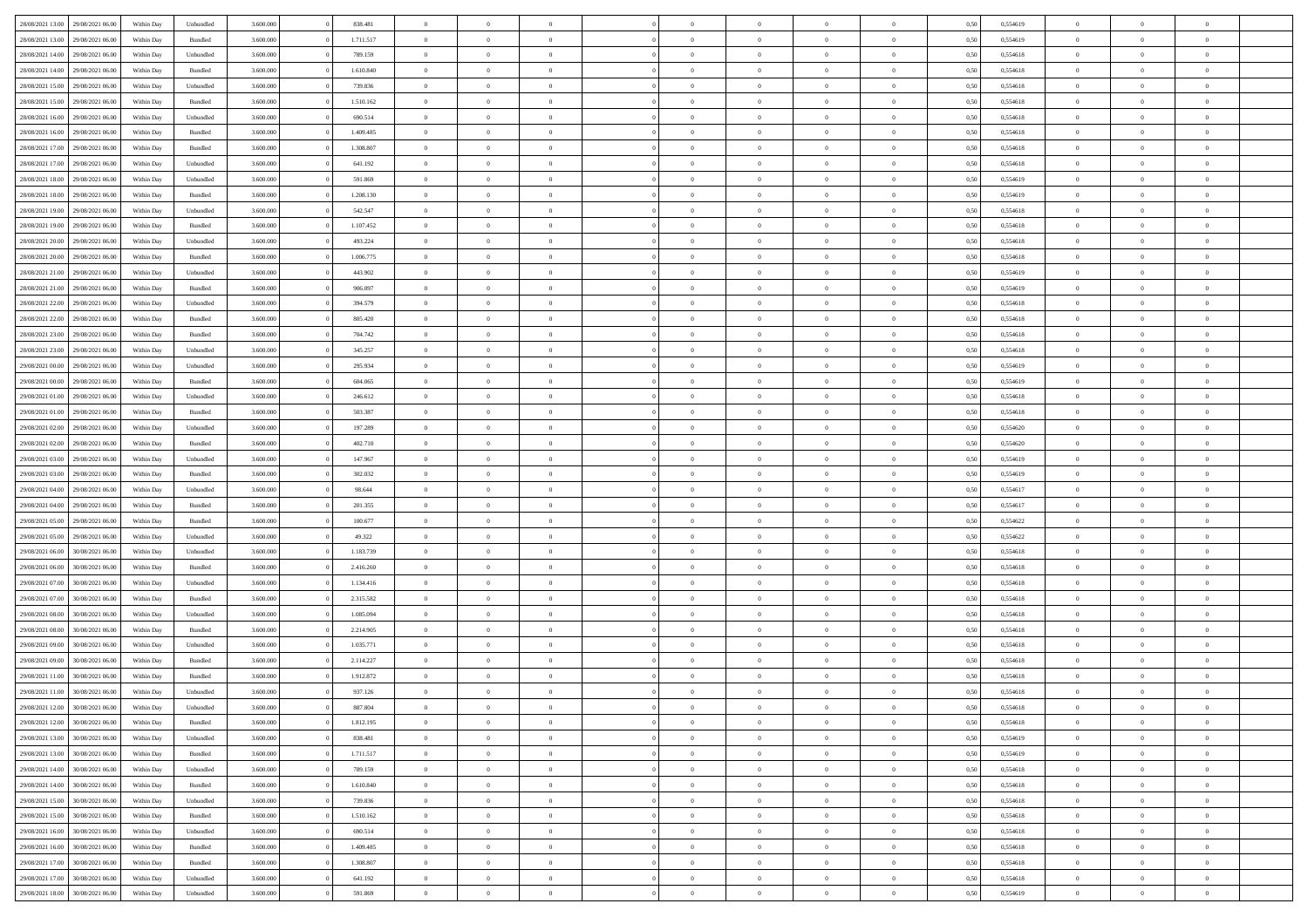| 28/08/2021 13:00 | 29/08/2021 06:00 | Within Day         | Unbundled | 3.600.000 | 838.481   | $\overline{0}$ | $\theta$       |                | $\overline{0}$ | $\bf{0}$       | $\overline{0}$ | $\theta$       | 0,50 | 0,554619 | $\theta$       | $\theta$       | $\theta$       |  |
|------------------|------------------|--------------------|-----------|-----------|-----------|----------------|----------------|----------------|----------------|----------------|----------------|----------------|------|----------|----------------|----------------|----------------|--|
|                  |                  |                    |           |           |           | $\overline{0}$ | $\theta$       |                |                |                |                |                |      |          |                |                | $\overline{0}$ |  |
| 28/08/2021 13:00 | 29/08/2021 06.0  | Within Day         | Bundled   | 3.600.000 | 1.711.517 |                |                | $\overline{0}$ | $\overline{0}$ | $\,$ 0         | $\bf{0}$       | $\bf{0}$       | 0,50 | 0,554619 | $\,$ 0 $\,$    | $\overline{0}$ |                |  |
| 28/08/2021 14:00 | 29/08/2021 06:00 | Within Day         | Unbundled | 3.600,000 | 789.159   | $\overline{0}$ | $\overline{0}$ | $\overline{0}$ | $\overline{0}$ | $\bf{0}$       | $\overline{0}$ | $\overline{0}$ | 0,50 | 0,554618 | $\bf{0}$       | $\overline{0}$ | $\overline{0}$ |  |
| 28/08/2021 14:00 | 29/08/2021 06:00 | Within Day         | Bundled   | 3.600.000 | 1.610.840 | $\overline{0}$ | $\overline{0}$ | $\overline{0}$ | $\overline{0}$ | $\bf{0}$       | $\overline{0}$ | $\overline{0}$ | 0,50 | 0,554618 | $\,$ 0 $\,$    | $\overline{0}$ | $\overline{0}$ |  |
| 28/08/2021 15:00 | 29/08/2021 06.00 | Within Day         | Unbundled | 3.600.000 | 739.836   | $\overline{0}$ | $\theta$       | $\overline{0}$ |                | $\overline{0}$ | $\overline{0}$ | $\bf{0}$       | 0,50 | 0,554618 | $\,$ 0 $\,$    | $\overline{0}$ | $\overline{0}$ |  |
| 28/08/2021 15:00 | 29/08/2021 06:00 | Within Day         | Bundled   | 3.600,000 | 1.510.162 | $\overline{0}$ | $\overline{0}$ | $\overline{0}$ | $\overline{0}$ | $\bf{0}$       | $\overline{0}$ | $\overline{0}$ | 0.50 | 0.554618 | $\,0\,$        | $\theta$       | $\overline{0}$ |  |
| 28/08/2021 16:00 | 29/08/2021 06:00 | Within Day         | Unbundled | 3.600.000 | 690.514   | $\overline{0}$ | $\overline{0}$ | $\overline{0}$ | $\overline{0}$ | $\,$ 0         | $\overline{0}$ | $\overline{0}$ | 0,50 | 0,554618 | $\,$ 0 $\,$    | $\theta$       | $\overline{0}$ |  |
| 28/08/2021 16:00 | 29/08/2021 06.00 | Within Day         | Bundled   | 3.600.000 | 1.409.485 | $\overline{0}$ | $\theta$       | $\overline{0}$ | $\overline{0}$ | $\bf{0}$       | $\overline{0}$ | $\bf{0}$       | 0,50 | 0,554618 | $\,$ 0 $\,$    | $\overline{0}$ | $\overline{0}$ |  |
| 28/08/2021 17:00 | 29/08/2021 06:00 | Within Day         | Bundled   | 3.600,000 | 1.308.807 | $\overline{0}$ | $\overline{0}$ | $\overline{0}$ | $\overline{0}$ | $\bf{0}$       | $\overline{0}$ | $\bf{0}$       | 0.50 | 0.554618 | $\,0\,$        | $\overline{0}$ | $\overline{0}$ |  |
| 28/08/2021 17:00 | 29/08/2021 06:00 | Within Day         | Unbundled | 3.600.000 | 641.192   | $\overline{0}$ | $\overline{0}$ | $\overline{0}$ | $\overline{0}$ | $\,$ 0         | $\overline{0}$ | $\bf{0}$       | 0,50 | 0,554618 | $\,$ 0 $\,$    | $\overline{0}$ | $\overline{0}$ |  |
|                  |                  |                    |           |           |           |                |                |                |                |                |                |                |      |          |                |                |                |  |
| 28/08/2021 18:00 | 29/08/2021 06.00 | Within Day         | Unbundled | 3.600.000 | 591.869   | $\overline{0}$ | $\theta$       | $\overline{0}$ | $\overline{0}$ | $\,$ 0         | $\overline{0}$ | $\bf{0}$       | 0,50 | 0,554619 | $\,$ 0 $\,$    | $\overline{0}$ | $\overline{0}$ |  |
| 28/08/2021 18:00 | 29/08/2021 06:00 | Within Day         | Bundled   | 3.600,000 | 1.208.130 | $\overline{0}$ | $\overline{0}$ | $\overline{0}$ | $\overline{0}$ | $\bf{0}$       | $\overline{0}$ | $\mathbf{0}$   | 0.50 | 0.554619 | $\bf{0}$       | $\overline{0}$ | $\overline{0}$ |  |
| 28/08/2021 19:00 | 29/08/2021 06:00 | Within Day         | Unbundled | 3.600.000 | 542.547   | $\overline{0}$ | $\overline{0}$ | $\overline{0}$ | $\overline{0}$ | $\,$ 0         | $\overline{0}$ | $\overline{0}$ | 0,50 | 0,554618 | $\,$ 0 $\,$    | $\theta$       | $\overline{0}$ |  |
| 28/08/2021 19:00 | 29/08/2021 06.00 | Within Day         | Bundled   | 3.600.000 | 1.107.452 | $\overline{0}$ | $\theta$       | $\overline{0}$ | $\overline{0}$ | $\overline{0}$ | $\overline{0}$ | $\bf{0}$       | 0,50 | 0,554618 | $\,$ 0 $\,$    | $\overline{0}$ | $\overline{0}$ |  |
| 28/08/2021 20:00 | 29/08/2021 06:00 | Within Day         | Unbundled | 3.600,000 | 493.224   | $\overline{0}$ | $\overline{0}$ | $\overline{0}$ | $\overline{0}$ | $\bf{0}$       | $\overline{0}$ | $\overline{0}$ | 0.50 | 0.554618 | $\theta$       | $\theta$       | $\overline{0}$ |  |
| 28/08/2021 20:00 | 29/08/2021 06:00 | Within Day         | Bundled   | 3.600.000 | 1.006.775 | $\overline{0}$ | $\overline{0}$ | $\overline{0}$ | $\overline{0}$ | $\,$ 0         | $\overline{0}$ | $\bf{0}$       | 0,50 | 0,554618 | $\,0\,$        | $\theta$       | $\overline{0}$ |  |
| 28/08/2021 21:00 | 29/08/2021 06.00 | Within Day         | Unbundled | 3.600.000 | 443.902   | $\overline{0}$ | $\theta$       | $\overline{0}$ |                | $\bf{0}$       | $\overline{0}$ | $\bf{0}$       | 0,50 | 0,554619 | $\,$ 0 $\,$    | $\overline{0}$ | $\overline{0}$ |  |
| 28/08/2021 21:00 | 29/08/2021 06:00 | Within Day         | Bundled   | 3.600,000 | 906,097   | $\overline{0}$ | $\overline{0}$ | $\overline{0}$ | $\overline{0}$ | $\bf{0}$       | $\overline{0}$ | $\bf{0}$       | 0.50 | 0.554619 | $\,0\,$        | $\overline{0}$ | $\overline{0}$ |  |
| 28/08/2021 22:00 | 29/08/2021 06:00 | Within Day         | Unbundled | 3.600.000 | 394.579   | $\overline{0}$ | $\overline{0}$ | $\overline{0}$ | $\overline{0}$ | $\,$ 0         | $\overline{0}$ | $\bf{0}$       | 0,50 | 0,554618 | $\,$ 0 $\,$    | $\overline{0}$ | $\overline{0}$ |  |
|                  |                  |                    |           |           |           |                | $\theta$       | $\overline{0}$ | $\overline{0}$ | $\,$ 0         |                |                |      |          | $\,$ 0 $\,$    | $\overline{0}$ | $\overline{0}$ |  |
| 28/08/2021 22:00 | 29/08/2021 06.00 | Within Day         | Bundled   | 3.600.000 | 805.420   | $\overline{0}$ |                |                |                |                | $\bf{0}$       | $\bf{0}$       | 0,50 | 0,554618 |                |                |                |  |
| 28/08/2021 23:00 | 29/08/2021 06:00 | Within Day         | Bundled   | 3.600,000 | 704.742   | $\overline{0}$ | $\overline{0}$ | $\overline{0}$ | $\overline{0}$ | $\bf{0}$       | $\overline{0}$ | $\mathbf{0}$   | 0.50 | 0.554618 | $\bf{0}$       | $\overline{0}$ | $\overline{0}$ |  |
| 28/08/2021 23:00 | 29/08/2021 06:00 | Within Day         | Unbundled | 3.600.000 | 345.257   | $\overline{0}$ | $\overline{0}$ | $\overline{0}$ | $\overline{0}$ | $\bf{0}$       | $\overline{0}$ | $\overline{0}$ | 0,50 | 0,554618 | $\,$ 0 $\,$    | $\overline{0}$ | $\overline{0}$ |  |
| 29/08/2021 00:00 | 29/08/2021 06.00 | Within Day         | Unbundled | 3.600.000 | 295.934   | $\overline{0}$ | $\theta$       | $\overline{0}$ | $\overline{0}$ | $\bf{0}$       | $\overline{0}$ | $\bf{0}$       | 0,50 | 0,554619 | $\,$ 0 $\,$    | $\overline{0}$ | $\overline{0}$ |  |
| 29/08/2021 00:00 | 29/08/2021 06:00 | Within Day         | Bundled   | 3.600,000 | 604,065   | $\overline{0}$ | $\overline{0}$ | $\overline{0}$ | $\overline{0}$ | $\bf{0}$       | $\overline{0}$ | $\overline{0}$ | 0.50 | 0.554619 | $\,0\,$        | $\theta$       | $\overline{0}$ |  |
| 29/08/2021 01:00 | 29/08/2021 06:00 | Within Day         | Unbundled | 3.600.000 | 246.612   | $\overline{0}$ | $\overline{0}$ | $\overline{0}$ | $\overline{0}$ | $\,$ 0         | $\overline{0}$ | $\overline{0}$ | 0,50 | 0,554618 | $\,0\,$        | $\theta$       | $\overline{0}$ |  |
| 29/08/2021 01:00 | 29/08/2021 06.00 | Within Day         | Bundled   | 3.600.000 | 503.387   | $\overline{0}$ | $\theta$       | $\overline{0}$ |                | $\bf{0}$       | $\overline{0}$ | $\bf{0}$       | 0,50 | 0,554618 | $\,$ 0 $\,$    | $\overline{0}$ | $\overline{0}$ |  |
| 29/08/2021 02:00 | 29/08/2021 06:00 | Within Day         | Unbundled | 3.600,000 | 197.289   | $\overline{0}$ | $\overline{0}$ | $\overline{0}$ | $\overline{0}$ | $\bf{0}$       | $\overline{0}$ | $\bf{0}$       | 0.50 | 0.554620 | $\,0\,$        | $\overline{0}$ | $\overline{0}$ |  |
| 29/08/2021 02:00 | 29/08/2021 06:00 | Within Day         | Bundled   | 3.600.000 | 402.710   | $\overline{0}$ | $\overline{0}$ | $\overline{0}$ | $\overline{0}$ | $\,$ 0         | $\overline{0}$ | $\bf{0}$       | 0,50 | 0,554620 | $\,$ 0 $\,$    | $\overline{0}$ | $\overline{0}$ |  |
| 29/08/2021 03:00 | 29/08/2021 06.00 | Within Day         | Unbundled | 3.600.000 | 147.967   | $\bf{0}$       | $\overline{0}$ | $\overline{0}$ | $\overline{0}$ | $\,$ 0         | $\overline{0}$ | $\bf{0}$       | 0,50 | 0,554619 | $\,$ 0 $\,$    | $\overline{0}$ | $\overline{0}$ |  |
| 29/08/2021 03:00 | 29/08/2021 06:00 | Within Day         | Bundled   | 3.600,000 | 302.032   | $\overline{0}$ | $\overline{0}$ | $\overline{0}$ | $\overline{0}$ | $\bf{0}$       | $\overline{0}$ | $\mathbf{0}$   | 0.50 | 0.554619 | $\bf{0}$       | $\overline{0}$ | $\overline{0}$ |  |
|                  |                  |                    |           |           |           |                |                |                |                |                |                |                |      |          |                |                |                |  |
| 29/08/2021 04:00 | 29/08/2021 06:00 | Within Dav         | Unbundled | 3.600.000 | 98.644    | $\overline{0}$ | $\overline{0}$ | $\overline{0}$ | $\overline{0}$ | $\mathbf{0}$   | $\overline{0}$ | $\overline{0}$ | 0.50 | 0,554617 | $\theta$       | $\overline{0}$ | $\overline{0}$ |  |
| 29/08/2021 04:00 | 29/08/2021 06.00 | Within Day         | Bundled   | 3.600.000 | 201.355   | $\overline{0}$ | $\theta$       | $\overline{0}$ | $\overline{0}$ | $\bf{0}$       | $\overline{0}$ | $\bf{0}$       | 0,50 | 0,554617 | $\,$ 0 $\,$    | $\overline{0}$ | $\overline{0}$ |  |
| 29/08/2021 05:00 | 29/08/2021 06:00 | Within Day         | Bundled   | 3.600,000 | 100,677   | $\overline{0}$ | $\overline{0}$ | $\overline{0}$ | $\overline{0}$ | $\,$ 0         | $\overline{0}$ | $\bf{0}$       | 0.50 | 0.554622 | $\,0\,$        | $\theta$       | $\overline{0}$ |  |
| 29/08/2021 05:00 | 29/08/2021 06:00 | Within Dav         | Unbundled | 3.600.000 | 49.322    | $\overline{0}$ | $\theta$       | $\Omega$       | $\overline{0}$ | $\bf{0}$       | $\overline{0}$ | $\overline{0}$ | 0.50 | 0,554622 | $\theta$       | $\overline{0}$ | $\overline{0}$ |  |
| 29/08/2021 06:00 | 30/08/2021 06:00 | Within Day         | Unbundled | 3.600.000 | 1.183.739 | $\overline{0}$ | $\theta$       | $\overline{0}$ | $\overline{0}$ | $\,$ 0         | $\overline{0}$ | $\bf{0}$       | 0,50 | 0,554618 | $\,$ 0 $\,$    | $\overline{0}$ | $\overline{0}$ |  |
| 29/08/2021 06:00 | 30/08/2021 06:00 | Within Day         | Bundled   | 3.600,000 | 2.416.260 | $\overline{0}$ | $\overline{0}$ | $\overline{0}$ | $\overline{0}$ | $\bf{0}$       | $\overline{0}$ | $\bf{0}$       | 0.50 | 0.554618 | $\,0\,$        | $\overline{0}$ | $\overline{0}$ |  |
| 29/08/2021 07:00 | 30/08/2021 06:00 | Within Dav         | Unbundled | 3.600.000 | 1.134.416 | $\overline{0}$ | $\overline{0}$ | $\overline{0}$ | $\overline{0}$ | $\overline{0}$ | $\overline{0}$ | $\overline{0}$ | 0.50 | 0,554618 | $\theta$       | $\overline{0}$ | $\overline{0}$ |  |
| 29/08/2021 07:00 | 30/08/2021 06:00 | Within Day         | Bundled   | 3.600.000 | 2.315.582 | $\bf{0}$       | $\overline{0}$ | $\overline{0}$ | $\overline{0}$ | $\bf{0}$       | $\bf{0}$       | $\bf{0}$       | 0,50 | 0,554618 | $\,$ 0 $\,$    | $\overline{0}$ | $\overline{0}$ |  |
| 29/08/2021 08:00 | 30/08/2021 06:00 | Within Day         | Unbundled | 3.600,000 | 1.085.094 | $\overline{0}$ | $\overline{0}$ | $\overline{0}$ | $\overline{0}$ | $\bf{0}$       | $\overline{0}$ | $\mathbf{0}$   | 0.50 | 0.554618 | $\bf{0}$       | $\overline{0}$ | $\overline{0}$ |  |
| 29/08/2021 08:00 | 30/08/2021 06:00 | Within Dav         | Bundled   | 3.600.000 | 2.214.905 | $\overline{0}$ | $\overline{0}$ | $\Omega$       | $\overline{0}$ | $\bf{0}$       | $\overline{0}$ | $\overline{0}$ | 0.50 | 0,554618 | $\theta$       | $\overline{0}$ | $\overline{0}$ |  |
|                  | 30/08/2021 06:00 | Within Day         | Unbundled | 3.600.000 | 1.035.771 | $\overline{0}$ | $\theta$       | $\overline{0}$ | $\overline{0}$ | $\,$ 0         | $\overline{0}$ | $\bf{0}$       | 0,50 | 0,554618 | $\,$ 0 $\,$    | $\overline{0}$ | $\overline{0}$ |  |
| 29/08/2021 09:00 |                  |                    |           |           |           |                |                |                |                |                |                |                |      |          |                |                |                |  |
| 29/08/2021 09:00 | 30/08/2021 06:00 | Within Day         | Bundled   | 3.600,000 | 2.114.227 | $\overline{0}$ | $\theta$       | $\overline{0}$ | $\overline{0}$ | $\bf{0}$       | $\Omega$       | $\overline{0}$ | 0.50 | 0.554618 | $\,0\,$        | $\theta$       | $\theta$       |  |
| 29/08/2021 11:00 | 30/08/2021 06:00 | Within Dav         | Bundled   | 3.600.000 | 1.912.872 | $\overline{0}$ | $\Omega$       | $\Omega$       | $\Omega$       | $\bf{0}$       | $\overline{0}$ | $\bf{0}$       | 0.50 | 0,554618 | $\theta$       | $\theta$       | $\overline{0}$ |  |
| 29/08/2021 11:00 | 30/08/2021 06:00 | Within Day         | Unbundled | 3.600.000 | 937.126   | $\overline{0}$ | $\,$ 0 $\,$    | $\overline{0}$ | $\overline{0}$ | $\,$ 0         | $\bf{0}$       | $\bf{0}$       | 0,50 | 0,554618 | $\,$ 0 $\,$    | $\overline{0}$ | $\overline{0}$ |  |
| 29/08/2021 12:00 | 30/08/2021 06:00 | Within ${\bf Day}$ | Unbundled | 3.600.000 | 887.804   | $\bf{0}$       | $\theta$       |                |                |                |                |                | 0,50 | 0,554618 | $\bf{0}$       | $\theta$       |                |  |
| 29/08/2021 12:00 | 30/08/2021 06:00 | Within Day         | Bundled   | 3.600.000 | 1.812.195 | $\overline{0}$ | $\overline{0}$ | $\overline{0}$ | $\overline{0}$ | $\overline{0}$ | $\overline{0}$ | $\mathbf{0}$   | 0,50 | 0,554618 | $\theta$       | $\overline{0}$ | $\overline{0}$ |  |
| 29/08/2021 13:00 | 30/08/2021 06:00 | Within Day         | Unbundled | 3.600.000 | 838.481   | $\overline{0}$ | $\overline{0}$ | $\overline{0}$ | $\bf{0}$       | $\overline{0}$ | $\overline{0}$ | $\bf{0}$       | 0,50 | 0,554619 | $\bf{0}$       | $\overline{0}$ | $\bf{0}$       |  |
| 29/08/2021 13:00 | 30/08/2021 06:00 | Within Day         | Bundled   | 3.600.000 | 1.711.517 | $\overline{0}$ | $\overline{0}$ | $\overline{0}$ | $\overline{0}$ | $\overline{0}$ | $\overline{0}$ | $\mathbf{0}$   | 0.50 | 0.554619 | $\overline{0}$ | $\bf{0}$       | $\bf{0}$       |  |
| 29/08/2021 14:00 | 30/08/2021 06:00 | Within Day         | Unbundled | 3.600.000 | 789.159   | $\overline{0}$ | $\overline{0}$ | $\overline{0}$ | $\overline{0}$ | $\overline{0}$ | $\overline{0}$ | $\mathbf{0}$   | 0,50 | 0,554618 | $\overline{0}$ | $\theta$       | $\overline{0}$ |  |
| 29/08/2021 14:00 | 30/08/2021 06:00 | Within Day         | Bundled   | 3.600.000 | 1.610.840 | $\overline{0}$ | $\overline{0}$ | $\overline{0}$ | $\overline{0}$ | $\bf{0}$       | $\bf{0}$       | $\bf{0}$       | 0,50 | 0,554618 | $\,$ 0 $\,$    | $\overline{0}$ | $\overline{0}$ |  |
| 29/08/2021 15:00 | 30/08/2021 06:00 | Within Day         | Unbundled | 3.600.000 | 739.836   | $\overline{0}$ | $\overline{0}$ | $\overline{0}$ | $\overline{0}$ | $\bf{0}$       | $\overline{0}$ | $\mathbf{0}$   | 0.50 | 0.554618 | $\,$ 0 $\,$    | $\overline{0}$ | $\overline{0}$ |  |
| 29/08/2021 15:00 | 30/08/2021 06:00 | Within Day         | Bundled   | 3.600.000 | 1.510.162 | $\overline{0}$ | $\overline{0}$ | $\overline{0}$ | $\overline{0}$ | $\overline{0}$ | $\overline{0}$ | $\overline{0}$ | 0,50 | 0,554618 | $\overline{0}$ | $\overline{0}$ | $\overline{0}$ |  |
|                  |                  |                    |           |           |           |                |                |                |                |                |                |                |      |          |                |                |                |  |
| 29/08/2021 16:00 | 30/08/2021 06:00 | Within Day         | Unbundled | 3.600.000 | 690.514   | $\overline{0}$ | $\,$ 0         | $\overline{0}$ | $\bf{0}$       | $\overline{0}$ | $\overline{0}$ | $\bf{0}$       | 0,50 | 0,554618 | $\,$ 0 $\,$    | $\overline{0}$ | $\overline{0}$ |  |
| 29/08/2021 16:00 | 30/08/2021 06:00 | Within Day         | Bundled   | 3.600.000 | 1.409.485 | $\overline{0}$ | $\overline{0}$ | $\overline{0}$ | $\overline{0}$ | $\bf{0}$       | $\overline{0}$ | $\mathbf{0}$   | 0.50 | 0.554618 | $\mathbf{0}$   | $\bf{0}$       | $\bf{0}$       |  |
| 29/08/2021 17:00 | 30/08/2021 06:00 | Within Day         | Bundled   | 3.600.000 | 1.308.807 | $\overline{0}$ | $\overline{0}$ | $\overline{0}$ | $\overline{0}$ | $\overline{0}$ | $\overline{0}$ | $\overline{0}$ | 0,50 | 0,554618 | $\overline{0}$ | $\overline{0}$ | $\overline{0}$ |  |
| 29/08/2021 17:00 | 30/08/2021 06:00 | Within Day         | Unbundled | 3.600.000 | 641.192   | $\overline{0}$ | $\bf{0}$       | $\overline{0}$ | $\bf{0}$       | $\bf{0}$       | $\bf{0}$       | $\bf{0}$       | 0,50 | 0,554618 | $\bf{0}$       | $\overline{0}$ | $\bf{0}$       |  |
| 29/08/2021 18:00 | 30/08/2021 06:00 | Within Day         | Unbundled | 3.600.000 | 591.869   | $\,$ 0 $\,$    | $\,$ 0 $\,$    | $\overline{0}$ | $\overline{0}$ | $\,$ 0 $\,$    | $\,$ 0 $\,$    | $\,$ 0 $\,$    | 0,50 | 0,554619 | $\mathbf{0}^-$ | $\,$ 0 $\,$    | $\,$ 0 $\,$    |  |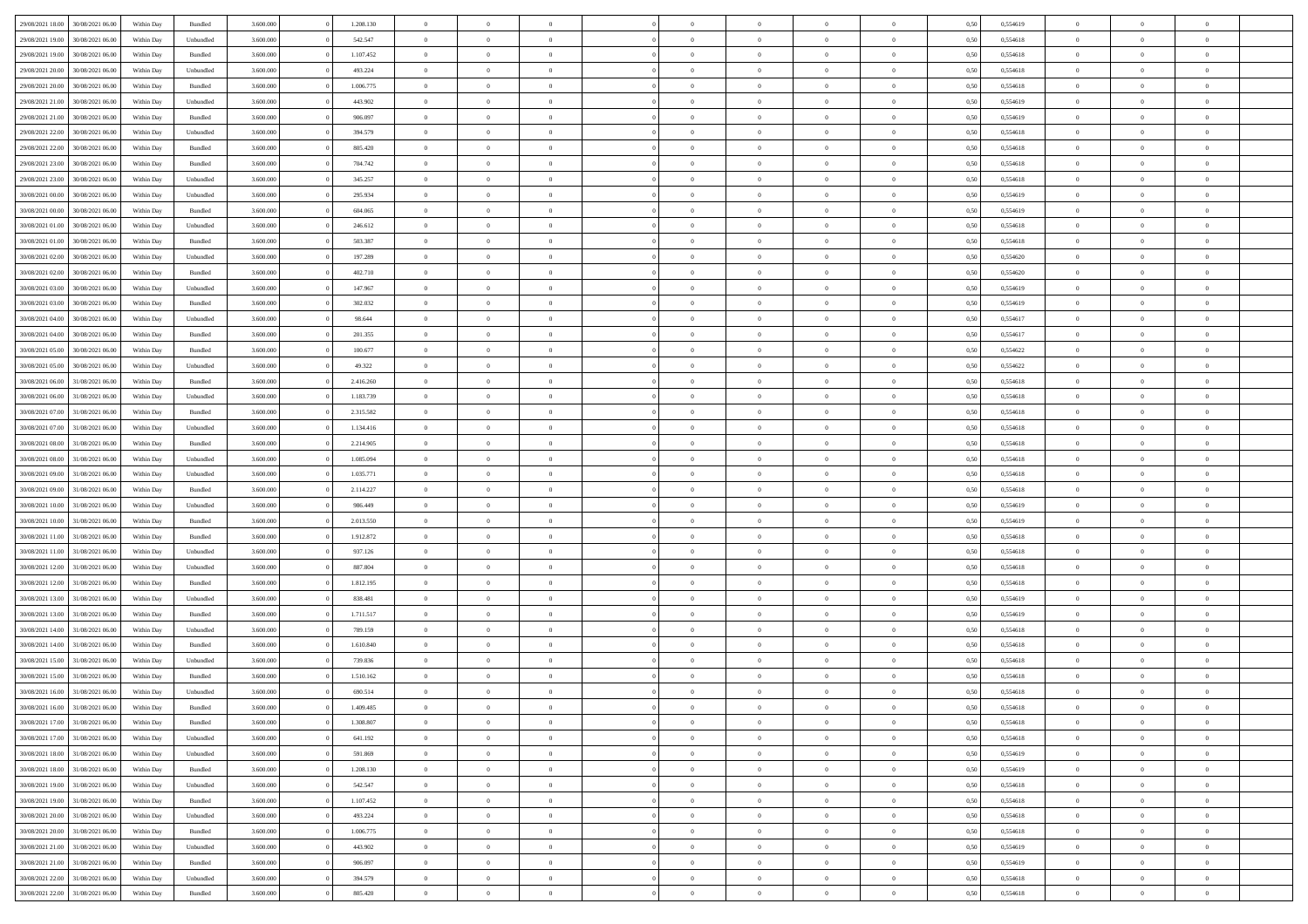| 29/08/2021 18:00 | 30/08/2021 06:00 | Within Day | Bundled            | 3.600.000 | 1.208.130 | $\overline{0}$ | $\Omega$       |                | $\Omega$       | $\Omega$       | $\Omega$       | $\theta$       | 0,50 | 0,554619 | $\theta$       | $\theta$       | $\theta$       |  |
|------------------|------------------|------------|--------------------|-----------|-----------|----------------|----------------|----------------|----------------|----------------|----------------|----------------|------|----------|----------------|----------------|----------------|--|
| 29/08/2021 19:00 | 30/08/2021 06:00 | Within Day | Unbundled          | 3.600.000 | 542.547   | $\overline{0}$ | $\theta$       | $\overline{0}$ | $\overline{0}$ | $\bf{0}$       | $\overline{0}$ | $\bf{0}$       | 0,50 | 0,554618 | $\theta$       | $\theta$       | $\overline{0}$ |  |
| 29/08/2021 19:00 | 30/08/2021 06:00 | Within Day | Bundled            | 3.600.000 | 1.107.452 | $\overline{0}$ | $\overline{0}$ | $\overline{0}$ | $\bf{0}$       | $\bf{0}$       | $\bf{0}$       | $\bf{0}$       | 0,50 | 0,554618 | $\bf{0}$       | $\overline{0}$ | $\overline{0}$ |  |
| 29/08/2021 20:00 | 30/08/2021 06:00 | Within Day | Unbundled          | 3.600.000 | 493.224   | $\overline{0}$ | $\overline{0}$ | $\overline{0}$ | $\overline{0}$ | $\bf{0}$       | $\overline{0}$ | $\overline{0}$ | 0.50 | 0.554618 | $\theta$       | $\theta$       | $\overline{0}$ |  |
| 29/08/2021 20:00 | 30/08/2021 06:00 | Within Day | Bundled            | 3.600.000 | 1.006.775 | $\overline{0}$ | $\theta$       | $\overline{0}$ | $\overline{0}$ | $\bf{0}$       | $\overline{0}$ | $\bf{0}$       | 0,50 | 0,554618 | $\theta$       | $\theta$       | $\overline{0}$ |  |
|                  |                  |            |                    |           |           |                |                |                |                |                |                |                |      |          |                |                |                |  |
| 29/08/2021 21:00 | 30/08/2021 06:00 | Within Day | Unbundled          | 3.600.000 | 443.902   | $\overline{0}$ | $\bf{0}$       | $\overline{0}$ | $\bf{0}$       | $\overline{0}$ | $\overline{0}$ | $\mathbf{0}$   | 0,50 | 0,554619 | $\bf{0}$       | $\overline{0}$ | $\bf{0}$       |  |
| 29/08/2021 21:00 | 30/08/2021 06:00 | Within Dav | Bundled            | 3.600.000 | 906,097   | $\overline{0}$ | $\overline{0}$ | $\overline{0}$ | $\overline{0}$ | $\overline{0}$ | $\overline{0}$ | $\overline{0}$ | 0.50 | 0,554619 | $\theta$       | $\overline{0}$ | $\overline{0}$ |  |
| 29/08/2021 22.00 | 30/08/2021 06:00 | Within Day | Unbundled          | 3.600.000 | 394.579   | $\overline{0}$ | $\theta$       | $\overline{0}$ | $\overline{0}$ | $\bf{0}$       | $\overline{0}$ | $\bf{0}$       | 0,50 | 0,554618 | $\theta$       | $\theta$       | $\overline{0}$ |  |
| 29/08/2021 22:00 | 30/08/2021 06:00 | Within Day | Bundled            | 3.600.000 | 805.420   | $\overline{0}$ | $\overline{0}$ | $\overline{0}$ | $\bf{0}$       | $\bf{0}$       | $\bf{0}$       | $\bf{0}$       | 0,50 | 0,554618 | $\,0\,$        | $\overline{0}$ | $\overline{0}$ |  |
| 29/08/2021 23:00 | 30/08/2021 06:00 | Within Dav | Bundled            | 3.600.000 | 704.742   | $\overline{0}$ | $\overline{0}$ | $\overline{0}$ | $\overline{0}$ | $\overline{0}$ | $\overline{0}$ | $\overline{0}$ | 0.50 | 0.554618 | $\theta$       | $\overline{0}$ | $\overline{0}$ |  |
| 29/08/2021 23:00 | 30/08/2021 06:00 | Within Day | Unbundled          | 3.600.000 | 345.257   | $\overline{0}$ | $\theta$       | $\overline{0}$ | $\overline{0}$ | $\bf{0}$       | $\overline{0}$ | $\bf{0}$       | 0,50 | 0,554618 | $\,$ 0 $\,$    | $\overline{0}$ | $\overline{0}$ |  |
| 30/08/2021 00:00 | 30/08/2021 06:00 | Within Day | Unbundled          | 3.600.000 | 295.934   | $\overline{0}$ | $\overline{0}$ | $\overline{0}$ | $\bf{0}$       | $\bf{0}$       | $\bf{0}$       | $\mathbf{0}$   | 0,50 | 0,554619 | $\bf{0}$       | $\overline{0}$ | $\overline{0}$ |  |
|                  |                  |            |                    |           |           |                |                |                |                |                |                |                |      |          | $\theta$       |                |                |  |
| 30/08/2021 00:00 | 30/08/2021 06:00 | Within Day | Bundled            | 3.600.000 | 604.065   | $\overline{0}$ | $\overline{0}$ | $\overline{0}$ | $\overline{0}$ | $\bf{0}$       | $\overline{0}$ | $\overline{0}$ | 0.50 | 0.554619 |                | $\theta$       | $\overline{0}$ |  |
| 30/08/2021 01:00 | 30/08/2021 06:00 | Within Day | Unbundled          | 3.600.000 | 246.612   | $\overline{0}$ | $\theta$       | $\overline{0}$ | $\overline{0}$ | $\bf{0}$       | $\overline{0}$ | $\bf{0}$       | 0,50 | 0,554618 | $\theta$       | $\theta$       | $\overline{0}$ |  |
| 30/08/2021 01:00 | 30/08/2021 06:00 | Within Day | Bundled            | 3.600.000 | 503.387   | $\overline{0}$ | $\overline{0}$ | $\overline{0}$ | $\bf{0}$       | $\overline{0}$ | $\overline{0}$ | $\mathbf{0}$   | 0,50 | 0,554618 | $\overline{0}$ | $\overline{0}$ | $\bf{0}$       |  |
| 30/08/2021 02:00 | 30/08/2021 06:00 | Within Dav | Unbundled          | 3.600.000 | 197.289   | $\overline{0}$ | $\overline{0}$ | $\overline{0}$ | $\overline{0}$ | $\overline{0}$ | $\overline{0}$ | $\overline{0}$ | 0.50 | 0,554620 | $\theta$       | $\overline{0}$ | $\overline{0}$ |  |
| 30/08/2021 02:00 | 30/08/2021 06:00 | Within Day | Bundled            | 3.600.000 | 402.710   | $\overline{0}$ | $\theta$       | $\overline{0}$ | $\overline{0}$ | $\bf{0}$       | $\overline{0}$ | $\bf{0}$       | 0,50 | 0,554620 | $\theta$       | $\theta$       | $\overline{0}$ |  |
| 30/08/2021 03:00 | 30/08/2021 06:00 | Within Day | Unbundled          | 3.600.000 | 147.967   | $\overline{0}$ | $\overline{0}$ | $\overline{0}$ | $\bf{0}$       | $\bf{0}$       | $\bf{0}$       | $\mathbf{0}$   | 0,50 | 0,554619 | $\,0\,$        | $\overline{0}$ | $\overline{0}$ |  |
| 30/08/2021 03:00 | 30/08/2021 06:00 | Within Day | Bundled            | 3.600.000 | 302.032   | $\overline{0}$ | $\overline{0}$ | $\overline{0}$ | $\overline{0}$ | $\overline{0}$ | $\overline{0}$ | $\overline{0}$ | 0.50 | 0.554619 | $\theta$       | $\overline{0}$ | $\overline{0}$ |  |
| 30/08/2021 04:00 | 30/08/2021 06:00 | Within Day | Unbundled          | 3.600.000 | 98.644    | $\overline{0}$ | $\theta$       | $\overline{0}$ | $\overline{0}$ | $\bf{0}$       | $\overline{0}$ | $\bf{0}$       | 0,50 | 0,554617 | $\,$ 0 $\,$    | $\theta$       | $\overline{0}$ |  |
|                  |                  |            |                    |           |           |                |                |                |                |                |                |                |      |          |                |                |                |  |
| 30/08/2021 04:00 | 30/08/2021 06:00 | Within Day | Bundled            | 3.600.000 | 201.355   | $\overline{0}$ | $\overline{0}$ | $\overline{0}$ | $\bf{0}$       | $\bf{0}$       | $\bf{0}$       | $\bf{0}$       | 0,50 | 0,554617 | $\bf{0}$       | $\overline{0}$ | $\overline{0}$ |  |
| 30/08/2021 05:00 | 30/08/2021 06:00 | Within Day | Bundled            | 3.600,000 | 100.677   | $\overline{0}$ | $\overline{0}$ | $\overline{0}$ | $\overline{0}$ | $\bf{0}$       | $\overline{0}$ | $\overline{0}$ | 0.50 | 0.554622 | $\theta$       | $\overline{0}$ | $\overline{0}$ |  |
| 30/08/2021 05:00 | 30/08/2021 06:00 | Within Day | Unbundled          | 3.600.000 | 49.322    | $\overline{0}$ | $\theta$       | $\overline{0}$ | $\overline{0}$ | $\bf{0}$       | $\overline{0}$ | $\bf{0}$       | 0,50 | 0,554622 | $\,$ 0 $\,$    | $\overline{0}$ | $\overline{0}$ |  |
| 30/08/2021 06:00 | 31/08/2021 06:00 | Within Day | Bundled            | 3.600.000 | 2.416.260 | $\overline{0}$ | $\bf{0}$       | $\overline{0}$ | $\bf{0}$       | $\overline{0}$ | $\overline{0}$ | $\mathbf{0}$   | 0,50 | 0,554618 | $\overline{0}$ | $\overline{0}$ | $\bf{0}$       |  |
| 30/08/2021 06:00 | 31/08/2021 06:00 | Within Dav | Unbundled          | 3.600.000 | 1.183.739 | $\overline{0}$ | $\overline{0}$ | $\overline{0}$ | $\overline{0}$ | $\overline{0}$ | $\overline{0}$ | $\overline{0}$ | 0.50 | 0.554618 | $\theta$       | $\overline{0}$ | $\overline{0}$ |  |
| 30/08/2021 07:00 | 31/08/2021 06:00 | Within Day | Bundled            | 3.600.000 | 2.315.582 | $\overline{0}$ | $\theta$       | $\overline{0}$ | $\overline{0}$ | $\bf{0}$       | $\overline{0}$ | $\bf{0}$       | 0,50 | 0,554618 | $\theta$       | $\theta$       | $\overline{0}$ |  |
| 30/08/2021 07:00 | 31/08/2021 06:00 | Within Day | Unbundled          | 3.600.000 | 1.134.416 | $\overline{0}$ | $\overline{0}$ | $\overline{0}$ | $\bf{0}$       | $\bf{0}$       | $\bf{0}$       | $\bf{0}$       | 0,50 | 0,554618 | $\,0\,$        | $\overline{0}$ | $\overline{0}$ |  |
| 30/08/2021 08:00 | 31/08/2021 06:00 |            | Bundled            | 3.600.000 | 2.214.905 | $\overline{0}$ | $\overline{0}$ | $\overline{0}$ | $\overline{0}$ | $\overline{0}$ | $\overline{0}$ | $\overline{0}$ | 0.50 | 0.554618 | $\theta$       | $\overline{0}$ | $\overline{0}$ |  |
|                  |                  | Within Day |                    |           |           |                |                |                |                |                |                |                |      |          |                |                |                |  |
| 30/08/2021 08:00 | 31/08/2021 06:00 | Within Day | Unbundled          | 3.600.000 | 1.085.094 | $\overline{0}$ | $\theta$       | $\overline{0}$ | $\overline{0}$ | $\bf{0}$       | $\overline{0}$ | $\bf{0}$       | 0,50 | 0,554618 | $\,$ 0 $\,$    | $\overline{0}$ | $\overline{0}$ |  |
| 30/08/2021 09:00 | 31/08/2021 06:00 | Within Day | Unbundled          | 3.600.000 | 1.035.771 | $\overline{0}$ | $\overline{0}$ | $\overline{0}$ | $\bf{0}$       | $\bf{0}$       | $\bf{0}$       | $\bf{0}$       | 0,50 | 0,554618 | $\overline{0}$ | $\overline{0}$ | $\overline{0}$ |  |
| 30/08/2021 09:00 | 31/08/2021 06.00 | Within Day | Bundled            | 3.600.000 | 2.114.227 | $\overline{0}$ | $\Omega$       | $\overline{0}$ | $\Omega$       | $\Omega$       | $\overline{0}$ | $\overline{0}$ | 0,50 | 0,554618 | $\,0\,$        | $\theta$       | $\theta$       |  |
| 30/08/2021 10:00 | 31/08/2021 06:00 | Within Day | Unbundled          | 3.600.000 | 986.449   | $\overline{0}$ | $\theta$       | $\overline{0}$ | $\overline{0}$ | $\bf{0}$       | $\overline{0}$ | $\bf{0}$       | 0,50 | 0,554619 | $\theta$       | $\theta$       | $\overline{0}$ |  |
| 30/08/2021 10:00 | 31/08/2021 06:00 | Within Day | Bundled            | 3.600.000 | 2.013.550 | $\overline{0}$ | $\overline{0}$ | $\overline{0}$ | $\overline{0}$ | $\bf{0}$       | $\overline{0}$ | $\mathbf{0}$   | 0,50 | 0,554619 | $\overline{0}$ | $\overline{0}$ | $\bf{0}$       |  |
| 30/08/2021 11:00 | 31/08/2021 06:00 | Within Day | Bundled            | 3.600,000 | 1.912.872 | $\overline{0}$ | $\Omega$       | $\Omega$       | $\Omega$       | $\bf{0}$       | $\overline{0}$ | $\overline{0}$ | 0.50 | 0.554618 | $\theta$       | $\theta$       | $\theta$       |  |
| 30/08/2021 11:00 | 31/08/2021 06:00 | Within Day | Unbundled          | 3.600.000 | 937.126   | $\overline{0}$ | $\theta$       | $\overline{0}$ | $\overline{0}$ | $\bf{0}$       | $\overline{0}$ | $\bf{0}$       | 0,50 | 0,554618 | $\,$ 0 $\,$    | $\theta$       | $\overline{0}$ |  |
|                  |                  |            |                    |           |           |                | $\overline{0}$ |                |                | $\bf{0}$       |                |                |      |          | $\,0\,$        | $\overline{0}$ | $\overline{0}$ |  |
| 30/08/2021 12:00 | 31/08/2021 06:00 | Within Day | Unbundled          | 3.600.000 | 887.804   | $\overline{0}$ |                | $\overline{0}$ | $\overline{0}$ |                | $\overline{0}$ | $\bf{0}$       | 0,50 | 0,554618 |                |                |                |  |
| 30/08/2021 12:00 | 31/08/2021 06:00 | Within Day | Bundled            | 3.600,000 | 1.812.195 | $\overline{0}$ | $\Omega$       | $\Omega$       | $\Omega$       | $\theta$       | $\theta$       | $\overline{0}$ | 0.50 | 0.554618 | $\theta$       | $\theta$       | $\theta$       |  |
| 30/08/2021 13:00 | 31/08/2021 06:00 | Within Day | Unbundled          | 3.600.000 | 838.481   | $\overline{0}$ | $\theta$       | $\overline{0}$ | $\overline{0}$ | $\bf{0}$       | $\overline{0}$ | $\bf{0}$       | 0,50 | 0,554619 | $\,$ 0 $\,$    | $\overline{0}$ | $\overline{0}$ |  |
| 30/08/2021 13:00 | 31/08/2021 06:00 | Within Day | Bundled            | 3.600.000 | 1.711.517 | $\overline{0}$ | $\overline{0}$ | $\overline{0}$ | $\overline{0}$ | $\bf{0}$       | $\overline{0}$ | $\bf{0}$       | 0,50 | 0,554619 | $\overline{0}$ | $\overline{0}$ | $\overline{0}$ |  |
| 30/08/2021 14:00 | 31/08/2021 06.00 | Within Day | Unbundled          | 3.600.000 | 789.159   | $\overline{0}$ | $\Omega$       | $\overline{0}$ | $\Omega$       | $\Omega$       | $\overline{0}$ | $\overline{0}$ | 0,50 | 0,554618 | $\,0\,$        | $\theta$       | $\theta$       |  |
| 30/08/2021 14:00 | 31/08/2021 06:00 | Within Day | Bundled            | 3.600.000 | 1.610.840 | $\overline{0}$ | $\theta$       | $\overline{0}$ | $\overline{0}$ | $\,$ 0         | $\overline{0}$ | $\bf{0}$       | 0,50 | 0,554618 | $\,$ 0 $\,$    | $\overline{0}$ | $\overline{0}$ |  |
| 30/08/2021 15:00 | 31/08/2021 06:00 | Within Day | Unbundled          | 3.600.000 | 739.836   | $\overline{0}$ | $\overline{0}$ | $\overline{0}$ | $\overline{0}$ | $\bf{0}$       | $\overline{0}$ | $\mathbf{0}$   | 0,50 | 0,554618 | $\overline{0}$ | $\overline{0}$ | $\bf{0}$       |  |
| 30/08/2021 15:00 | 31/08/2021 06.00 | Within Day | Bundled            | 3.600,000 | 1.510.162 | $\overline{0}$ | $\Omega$       | $\Omega$       | $\Omega$       | $\Omega$       | $\Omega$       | $\overline{0}$ | 0.50 | 0.554618 | $\theta$       | $\theta$       | $\theta$       |  |
| 30/08/2021 16:00 | 31/08/2021 06:00 | Within Day | Unbundled          | 3.600.000 | 690.514   | $\overline{0}$ | $\overline{0}$ | $\overline{0}$ | $\bf{0}$       | $\,$ 0         | $\overline{0}$ | $\bf{0}$       | 0,50 | 0,554618 | $\,0\,$        | $\overline{0}$ | $\overline{0}$ |  |
| 30/08/2021 16:00 | 31/08/2021 06:00 | Within Day |                    | 3.600.000 |           |                |                |                |                |                |                |                |      |          |                |                |                |  |
|                  |                  |            | Bundled            |           | 1.409.485 | $\bf{0}$       | $\bf{0}$       |                |                |                |                |                | 0,50 | 0,554618 | $\bf{0}$       | $\overline{0}$ |                |  |
| 30/08/2021 17:00 | 31/08/2021 06:00 | Within Day | Bundled            | 3.600,000 | 1.308.807 | $\overline{0}$ | $\overline{0}$ | $\overline{0}$ | $\Omega$       | $\overline{0}$ | $\overline{0}$ | $\overline{0}$ | 0,50 | 0.554618 | $\theta$       | $\theta$       | $\theta$       |  |
| 30/08/2021 17:00 | 31/08/2021 06:00 | Within Day | Unbundled          | 3.600.000 | 641.192   | $\overline{0}$ | $\bf{0}$       | $\overline{0}$ | $\overline{0}$ | $\,$ 0 $\,$    | $\overline{0}$ | $\,$ 0 $\,$    | 0,50 | 0,554618 | $\,$ 0 $\,$    | $\,$ 0 $\,$    | $\,$ 0         |  |
| 30/08/2021 18:00 | 31/08/2021 06:00 | Within Day | Unbundled          | 3.600.000 | 591.869   | $\overline{0}$ | $\overline{0}$ | $\overline{0}$ | $\overline{0}$ | $\overline{0}$ | $\overline{0}$ | $\mathbf{0}$   | 0,50 | 0,554619 | $\overline{0}$ | $\bf{0}$       | $\overline{0}$ |  |
| 30/08/2021 18:00 | 31/08/2021 06:00 | Within Day | $\mathbf B$ undled | 3.600.000 | 1.208.130 | $\overline{0}$ | $\overline{0}$ | $\overline{0}$ | $\Omega$       | $\overline{0}$ | $\overline{0}$ | $\overline{0}$ | 0,50 | 0,554619 | $\overline{0}$ | $\theta$       | $\overline{0}$ |  |
| 30/08/2021 19:00 | 31/08/2021 06:00 | Within Day | Unbundled          | 3.600.000 | 542.547   | $\overline{0}$ | $\,$ 0         | $\overline{0}$ | $\overline{0}$ | $\,$ 0 $\,$    | $\overline{0}$ | $\mathbf{0}$   | 0,50 | 0,554618 | $\,$ 0 $\,$    | $\overline{0}$ | $\overline{0}$ |  |
| 30/08/2021 19:00 | 31/08/2021 06:00 | Within Day | Bundled            | 3.600.000 | 1.107.452 | $\overline{0}$ | $\overline{0}$ | $\overline{0}$ | $\overline{0}$ | $\overline{0}$ | $\overline{0}$ | $\mathbf{0}$   | 0,50 | 0,554618 | $\overline{0}$ | $\overline{0}$ | $\bf{0}$       |  |
| 30/08/2021 20:00 | 31/08/2021 06:00 |            | Unbundled          | 3.600.000 | 493.224   | $\overline{0}$ | $\overline{0}$ | $\overline{0}$ | $\overline{0}$ | $\overline{0}$ | $\overline{0}$ | $\bf{0}$       | 0.50 | 0,554618 | $\overline{0}$ | $\theta$       | $\overline{0}$ |  |
|                  |                  | Within Day |                    |           |           |                |                |                |                |                |                |                |      |          |                |                |                |  |
| 30/08/2021 20:00 | 31/08/2021 06:00 | Within Day | Bundled            | 3.600.000 | 1.006.775 | $\overline{0}$ | $\,$ 0         | $\overline{0}$ | $\bf{0}$       | $\bf{0}$       | $\bf{0}$       | $\bf{0}$       | 0,50 | 0,554618 | $\,$ 0 $\,$    | $\overline{0}$ | $\overline{0}$ |  |
| 30/08/2021 21:00 | 31/08/2021 06:00 | Within Day | Unbundled          | 3.600.000 | 443.902   | $\overline{0}$ | $\bf{0}$       | $\overline{0}$ | $\overline{0}$ | $\overline{0}$ | $\overline{0}$ | $\mathbf{0}$   | 0,50 | 0,554619 | $\overline{0}$ | $\overline{0}$ | $\bf{0}$       |  |
| 30/08/2021 21:00 | 31/08/2021 06:00 | Within Day | Bundled            | 3.600,000 | 906,097   | $\overline{0}$ | $\overline{0}$ | $\overline{0}$ | $\Omega$       | $\overline{0}$ | $\overline{0}$ | $\overline{0}$ | 0.50 | 0,554619 | $\overline{0}$ | $\overline{0}$ | $\overline{0}$ |  |
| 30/08/2021 22:00 | 31/08/2021 06:00 | Within Day | Unbundled          | 3.600.000 | 394.579   | $\overline{0}$ | $\bf{0}$       | $\overline{0}$ | $\overline{0}$ | $\bf{0}$       | $\bf{0}$       | $\mathbf{0}$   | 0,50 | 0,554618 | $\,$ 0 $\,$    | $\,$ 0 $\,$    | $\bf{0}$       |  |
| 30/08/2021 22.00 | 31/08/2021 06:00 | Within Day | Bundled            | 3.600.000 | 805.420   | $\overline{0}$ | $\bf{0}$       | $\overline{0}$ | $\overline{0}$ | $\bf{0}$       | $\bf{0}$       | $\bf{0}$       | 0,50 | 0,554618 | $\overline{0}$ | $\overline{0}$ | $\bf{0}$       |  |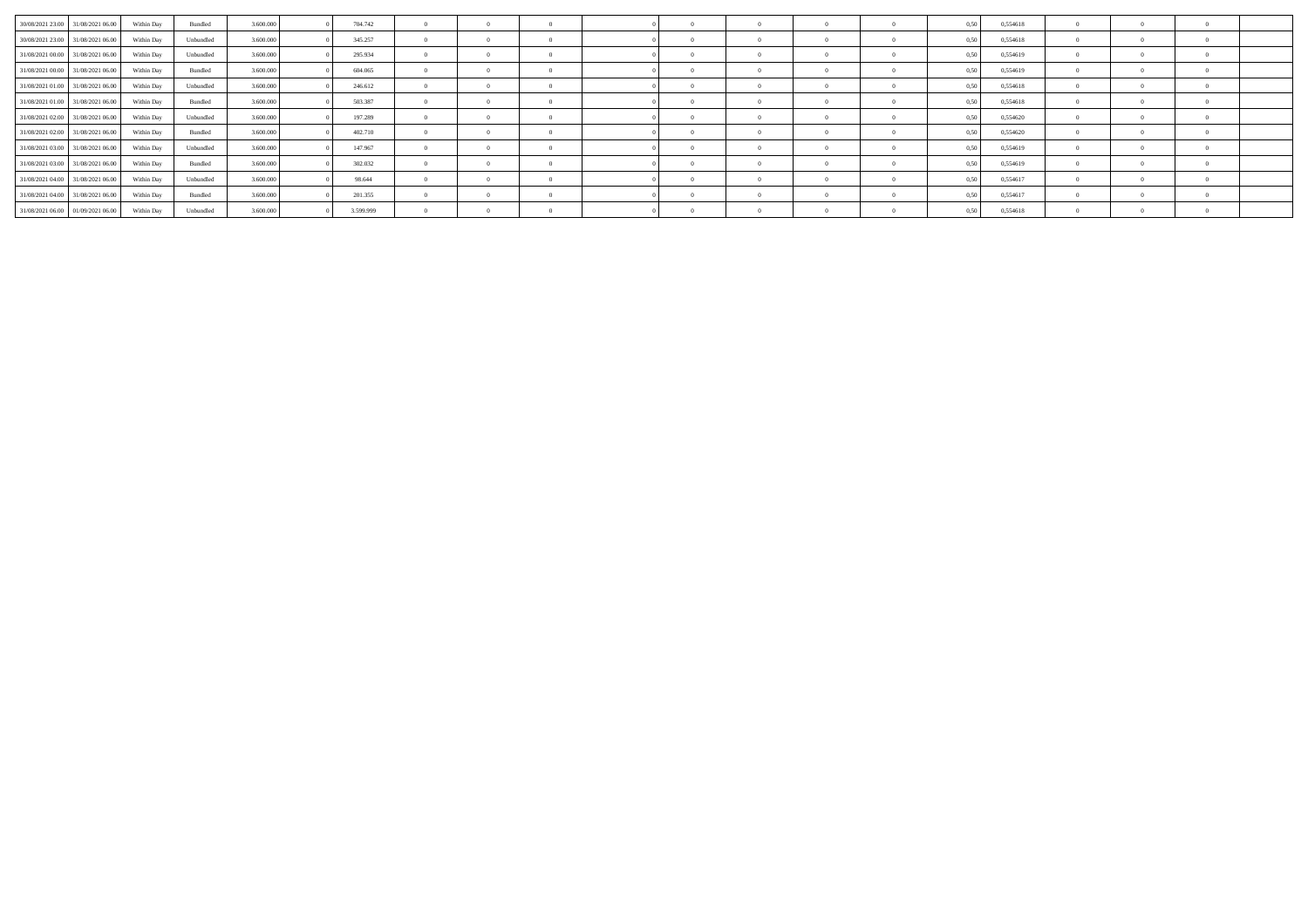| 30/08/2021 23:00 31/08/2021 06:00 | Within Dav | Bundled   | 3 600 000 | 704.742   | $\Omega$       | $\Omega$       | $\Omega$       |  |  | 0.50 | 0.554618 |                |  |  |
|-----------------------------------|------------|-----------|-----------|-----------|----------------|----------------|----------------|--|--|------|----------|----------------|--|--|
| 30/08/2021 23:00 31/08/2021 06:00 | Within Day | Unbundled | 3.600,000 | 345.257   | $\overline{0}$ | $\sim$ 0       | $\theta$       |  |  | 0.50 | 0.554618 | $\Omega$       |  |  |
| 31/08/2021 00:00 31/08/2021 06:00 | Within Day | Unbundled | 3.600.000 | 295.934   | $\Omega$       |                | $\Omega$       |  |  | 0.50 | 0,554619 |                |  |  |
| 31/08/2021 00:00 31/08/2021 06:00 | Within Day | Bundled   | 3.600,000 | 604.065   | $\overline{0}$ | $\Omega$       | $\overline{0}$ |  |  | 0,50 | 0,554619 |                |  |  |
| 31/08/2021 01:00 31/08/2021 06:00 | Within Day | Unbundled | 3.600,000 | 246.612   | $^{\circ}$     |                | $^{\circ}$     |  |  | 0.50 | 0,554618 |                |  |  |
| 31/08/2021 01:00 31/08/2021 06:00 | Within Day | Bundled   | 3.600,000 | 503.387   | $\theta$       | $\overline{0}$ | $\Omega$       |  |  | 0,50 | 0,554618 |                |  |  |
| 31/08/2021 02:00 31/08/2021 06:00 | Within Day | Unbundled | 3.600.000 | 197.289   | $\overline{0}$ | $\sim$ 0       | $\overline{0}$ |  |  | 0.50 | 0,554620 | $\overline{0}$ |  |  |
| 31/08/2021 02:00 31/08/2021 06:00 | Within Day | Bundled   | 3.600.000 | 402.710   | $\theta$       |                | $\overline{0}$ |  |  | 0.50 | 0,554620 |                |  |  |
| 31/08/2021 03:00 31/08/2021 06:00 | Within Day | Unbundled | 3.600,000 | 147.967   | $\sim$         | $\overline{0}$ | $\overline{0}$ |  |  | 0,50 | 0,554619 |                |  |  |
| 31/08/2021 03:00 31/08/2021 06:00 | Within Day | Bundled   | 3.600.000 | 302.032   | $^{\circ}$     |                | $\Omega$       |  |  | 0.50 | 0,554619 |                |  |  |
| 31/08/2021 04:00 31/08/2021 06:00 | Within Day | Unbundled | 3.600.000 | 98.644    | $\overline{0}$ | $\sim$ 0       | $\Omega$       |  |  | 0,50 | 0,554617 | $\Omega$       |  |  |
| 31/08/2021 04:00 31/08/2021 06:00 | Within Day | Bundled   | 3.600.000 | 201.355   | $\Omega$       | $\overline{0}$ | $^{\circ}$     |  |  | 0.50 | 0,554617 |                |  |  |
| 31/08/2021 06:00 01/09/2021 06:00 | Within Day | Unbundled | 3.600,000 | 3.599.999 | $\Omega$       | $\overline{0}$ | $\overline{0}$ |  |  | 0,50 | 0,554618 |                |  |  |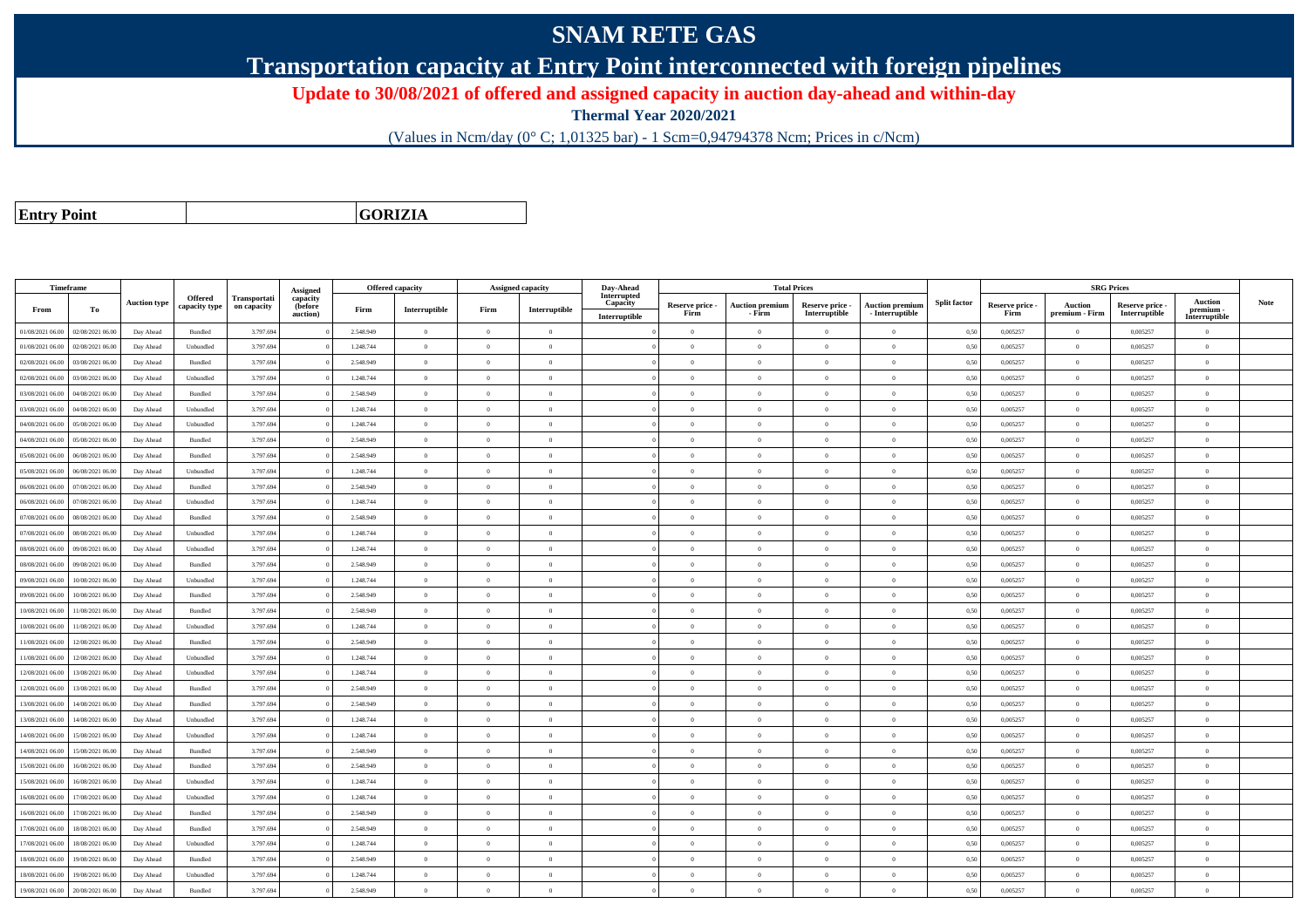## **SNAM RETE GAS**

**Transportation capacity at Entry Point interconnected with foreign pipelines**

**Update to 30/08/2021 of offered and assigned capacity in auction day-ahead and within-day**

**Thermal Year 2020/2021**

(Values in Ncm/day (0° C; 1,01325 bar) - 1 Scm=0,94794378 Ncm; Prices in c/Ncm)

**Entry Point**

**GORIZIA**

|                  | Timeframe        |                     |                |              |                      |           | <b>Offered capacity</b> |                | <b>Assigned capacity</b> | Day-Ahead               |                         |                                  | <b>Total Prices</b>              |                                           |                     |                         |                           | <b>SRG Prices</b>                |                            |      |
|------------------|------------------|---------------------|----------------|--------------|----------------------|-----------|-------------------------|----------------|--------------------------|-------------------------|-------------------------|----------------------------------|----------------------------------|-------------------------------------------|---------------------|-------------------------|---------------------------|----------------------------------|----------------------------|------|
|                  |                  | <b>Auction type</b> | Offered        | Transportati | Assigned<br>capacity |           |                         |                |                          | Interrupted<br>Capacity |                         |                                  |                                  |                                           | <b>Split factor</b> |                         |                           |                                  | <b>Auction</b>             | Note |
| From             | То               |                     | capacity type  | on capacity  | (before<br>auction)  | Firm      | Interruptible           | Firm           | Interruptible            | Interruptible           | Reserve price -<br>Firm | <b>Auction premiun</b><br>- Firm | Reserve price -<br>Interruptible | <b>Auction premium</b><br>- Interruptible |                     | Reserve price -<br>Firm | Auction<br>premium - Firm | Reserve price -<br>Interruptible | premium -<br>Interruptible |      |
| 01/08/2021 06:00 | 02/08/2021 06:00 | Day Ahead           | Bundled        | 3.797.694    |                      | 2.548.949 | $\overline{0}$          | $\overline{0}$ | $\overline{0}$           |                         | $\theta$                | $\overline{0}$                   | $\overline{0}$                   | $\bf{0}$                                  | 0,50                | 0,005257                | $\theta$                  | 0,005257                         | $\bf{0}$                   |      |
| 01/08/2021 06.00 | 02/08/2021 06:00 | Day Ahead           | Unbundled      | 3.797.694    |                      | 1.248.744 | $\overline{0}$          | $\overline{0}$ | $\Omega$                 |                         | $\Omega$                | $\theta$                         | $\overline{0}$                   | $\overline{0}$                            | 0,50                | 0,005257                | $\bf{0}$                  | 0,005257                         | $\overline{0}$             |      |
| 02/08/2021 06:00 | 03/08/2021 06:00 | Day Ahead           | Bundled        | 3.797.694    |                      | 2.548.949 | $\overline{0}$          | $\theta$       | $\Omega$                 |                         | $\theta$                |                                  | $\Omega$                         | $\Omega$                                  | 0,50                | 0,005257                | $\theta$                  | 0,005257                         | $\overline{0}$             |      |
| 02/08/2021 06:00 | 03/08/2021 06:00 | Day Ahead           | Unbundled      | 3.797.694    |                      | 1.248.744 | $\overline{0}$          | $\overline{0}$ | $\Omega$                 |                         | $\Omega$                | $\theta$                         | $\overline{0}$                   | $\theta$                                  | 0,50                | 0,005257                | $\theta$                  | 0.005257                         | $\mathbf{0}$               |      |
| 03/08/2021 06:00 | 04/08/2021 06:00 | Day Ahead           | Bundled        | 3.797.694    |                      | 2.548.949 | $\overline{0}$          | $\overline{0}$ | $\overline{0}$           |                         | $\theta$                | $\theta$                         | $\theta$                         | $\bf{0}$                                  | 0,50                | 0,005257                | $\theta$                  | 0,005257                         | $\overline{0}$             |      |
| 3/08/2021 06:00  | 04/08/2021 06:00 | Day Ahead           | Unbundled      | 3.797.694    |                      | 1.248.744 | $\overline{0}$          | $\theta$       | $\Omega$                 |                         | $\theta$                | $\theta$                         | $\theta$                         | $\theta$                                  | 0.50                | 0.005257                | $\theta$                  | 0.005257                         | $\theta$                   |      |
| 04/08/2021 06:00 | 05/08/2021 06:00 | Day Ahead           | Unbundled      | 3.797.694    |                      | 1.248.744 | $\overline{0}$          | $\Omega$       | $\Omega$                 |                         | $\theta$                | $\theta$                         | $\Omega$                         | $\theta$                                  | 0,50                | 0.005257                | $\theta$                  | 0.005257                         | $\theta$                   |      |
| 04/08/2021 06:00 | 05/08/2021 06:00 | Day Ahead           | Bundled        | 3.797.694    |                      | 2.548.949 | $\overline{0}$          | $\overline{0}$ | $\theta$                 |                         | $\theta$                | $\overline{0}$                   | $\theta$                         | $\bf{0}$                                  | 0,50                | 0,005257                | $\theta$                  | 0.005257                         | $\overline{0}$             |      |
| 05/08/2021 06:00 | 06/08/2021 06:00 | Day Ahead           | Bundled        | 3.797.694    |                      | 2.548.949 | $\overline{0}$          | $\theta$       | $\Omega$                 |                         | $\Omega$                | $\theta$                         | $\Omega$                         | $\bf{0}$                                  | 0.50                | 0.005257                | $\theta$                  | 0.005257                         | $\theta$                   |      |
| 05/08/2021 06.00 | 06/08/2021 06:00 | Day Ahead           | Unbundled      | 3.797.694    |                      | 1.248.744 | $\overline{0}$          | $\theta$       | $\theta$                 |                         | $\theta$                | $\Omega$                         | $\overline{0}$                   | $\bf{0}$                                  | 0,50                | 0,005257                | $\theta$                  | 0,005257                         | $\overline{0}$             |      |
| 06/08/2021 06:00 | 07/08/2021 06:00 | Day Ahead           | Bundled        | 3.797.694    |                      | 2.548.949 | $\overline{0}$          | $\overline{0}$ | $\overline{0}$           |                         | $\theta$                | $\theta$                         | $\overline{0}$                   | $\bf{0}$                                  | 0,50                | 0,005257                | $\theta$                  | 0,005257                         | $\overline{0}$             |      |
| 06/08/2021 06:00 | 07/08/2021 06:00 | Day Ahead           | Unbundled      | 3.797.694    |                      | 1.248.744 | $\overline{0}$          | $\overline{0}$ | $\overline{0}$           |                         | $\overline{0}$          | $\theta$                         | $\overline{0}$                   | $\,$ 0 $\,$                               | 0,50                | 0,005257                | $\,$ 0 $\,$               | 0,005257                         | $\overline{0}$             |      |
| 07/08/2021 06:00 | 08/08/2021 06:00 | Day Ahead           | Bundled        | 3.797.694    |                      | 2.548.949 | $\overline{0}$          | $\overline{0}$ | $\Omega$                 |                         | $\Omega$                | $\theta$                         | $\Omega$                         | $\bf{0}$                                  | 0,50                | 0,005257                | $\theta$                  | 0,005257                         | $\overline{0}$             |      |
| 07/08/2021 06:00 | 08/08/2021 06:00 | Day Ahead           | Unbundled      | 3.797.694    |                      | 1.248.744 | $\overline{0}$          | $\overline{0}$ | $\Omega$                 |                         | $\Omega$                | $\theta$                         | $\overline{0}$                   | $\theta$                                  | 0,50                | 0.005257                | $\theta$                  | 0.005257                         | $\theta$                   |      |
| 08/08/2021 06:00 | 09/08/2021 06:00 | Day Ahead           | Unbundled      | 3.797.694    |                      | 1.248.744 | $\overline{0}$          | $\theta$       | $\Omega$                 |                         | $\Omega$                | $\theta$                         | $\Omega$                         | $\bf{0}$                                  | 0,50                | 0,005257                | $\theta$                  | 0,005257                         | $\overline{0}$             |      |
| 08/08/2021 06:00 | 09/08/2021 06:00 | Day Ahead           | <b>Bundled</b> | 3.797.694    |                      | 2.548.949 | $\overline{0}$          | $\theta$       | $\Omega$                 |                         | $\theta$                |                                  | $\Omega$                         | $\theta$                                  | 0.50                | 0.005257                | $\theta$                  | 0.005257                         | $\theta$                   |      |
| 09/08/2021 06:00 | 10/08/2021 06:00 | Day Ahead           | Unbundled      | 3.797.694    |                      | 1.248.744 | $\overline{0}$          | $\overline{0}$ | $\overline{0}$           |                         | $\theta$                | $\theta$                         | $\overline{0}$                   | $\overline{0}$                            | 0,50                | 0,005257                | $\overline{0}$            | 0.005257                         | $\overline{0}$             |      |
| 09/08/2021 06:00 | 10/08/2021 06:00 | Day Ahead           | Bundled        | 3.797.694    |                      | 2.548.949 | $\overline{0}$          | $\overline{0}$ | $\overline{0}$           |                         | $\theta$                | $\theta$                         | $\theta$                         | $\,$ 0                                    | 0,50                | 0,005257                | $\theta$                  | 0,005257                         | $\overline{0}$             |      |
| 0/08/2021 06:00  | 11/08/2021 06:00 | Day Ahead           | <b>Bundled</b> | 3.797.694    |                      | 2.548.949 | $\overline{0}$          | $\theta$       | $\Omega$                 |                         | $\Omega$                | $\theta$                         | $\Omega$                         | $\bf{0}$                                  | 0,50                | 0,005257                | $\theta$                  | 0.005257                         | $\theta$                   |      |
| 10/08/2021 06:00 | 11/08/2021 06:00 | Day Ahead           | Unbundled      | 3.797.694    |                      | 1.248.744 | $\overline{0}$          | $\theta$       | $\Omega$                 |                         | $\Omega$                | $\mathbf{a}$                     | $\Omega$                         | $\bf{0}$                                  | 0,50                | 0,005257                | $\theta$                  | 0,005257                         | $\theta$                   |      |
| 11/08/2021 06:00 | 12/08/2021 06:00 | Day Ahead           | Bundled        | 3.797.694    |                      | 2.548.949 | $\overline{0}$          | $\theta$       | $\Omega$                 |                         | $\theta$                | $\theta$                         | $\Omega$                         | $\Omega$                                  | 0,50                | 0,005257                | $\theta$                  | 0,005257                         | $\theta$                   |      |
| 11/08/2021 06:00 | 12/08/2021 06:00 | Day Ahead           | Unbundled      | 3.797.694    |                      | 1.248.744 | $\overline{0}$          | $\Omega$       | $\Omega$                 |                         | $\Omega$                | $\mathbf{a}$                     | $\Omega$                         | $\theta$                                  | 0,50                | 0,005257                | $\theta$                  | 0,005257                         | $\sqrt{2}$                 |      |
| 12/08/2021 06.00 | 13/08/2021 06:00 | Day Ahead           | Unbundled      | 3.797.694    |                      | 1.248.744 | $\overline{0}$          | $\overline{0}$ | $\Omega$                 |                         | $\theta$                | $\theta$                         | $\Omega$                         | $\bf{0}$                                  | 0,50                | 0,005257                | $\theta$                  | 0,005257                         | $\overline{0}$             |      |
| 12/08/2021 06:00 | 13/08/2021 06:00 | Day Ahead           | <b>Bundled</b> | 3.797.694    |                      | 2.548.949 | $\overline{0}$          | $\Omega$       | $\Omega$                 |                         | $\Omega$                | $\theta$                         | $\theta$                         | $\theta$                                  | 0,50                | 0.005257                | $\Omega$                  | 0.005257                         | $\theta$                   |      |
| 13/08/2021 06:00 | 14/08/2021 06:00 | Day Ahead           | Bundled        | 3.797.694    |                      | 2.548.949 | $\overline{0}$          | $\Omega$       | $\Omega$                 |                         | $\Omega$                | $\theta$                         | $\overline{0}$                   | $\overline{0}$                            | 0,50                | 0,005257                | $\theta$                  | 0,005257                         | $\overline{0}$             |      |
| 13/08/2021 06:00 | 14/08/2021 06.00 | Day Ahead           | Unbundled      | 3.797.694    |                      | 1.248.744 | $\overline{0}$          | $\overline{0}$ | $\overline{0}$           |                         | $\theta$                | $\theta$                         | $\overline{0}$                   | $\bf{0}$                                  | 0,50                | 0,005257                | $\theta$                  | 0,005257                         | $\overline{0}$             |      |
| 14/08/2021 06.00 | 15/08/2021 06:00 | Day Ahead           | Unbundled      | 3.797.694    |                      | 1.248.744 | $\overline{0}$          | $\overline{0}$ | $\overline{0}$           |                         | $\theta$                | $\theta$                         | $\theta$                         | $\bf{0}$                                  | 0,50                | 0,005257                | $\,$ 0 $\,$               | 0,005257                         | $\overline{0}$             |      |
| 14/08/2021 06:00 | 15/08/2021 06:00 | Day Ahead           | Bundled        | 3.797.694    |                      | 2.548.949 | $\overline{0}$          | $\overline{0}$ | $\theta$                 |                         | $\theta$                | $\theta$                         | $\overline{0}$                   | $\bf{0}$                                  | 0,50                | 0,005257                | $\theta$                  | 0,005257                         | $\overline{0}$             |      |
| 15/08/2021 06:00 | 16/08/2021 06:00 | Day Ahead           | Bundled        | 3.797.694    |                      | 2.548.949 | $\theta$                | $\theta$       | $\Omega$                 |                         | $\theta$                |                                  | $\Omega$                         | $\Omega$                                  | 0,50                | 0,005257                | $\theta$                  | 0,005257                         | $\theta$                   |      |
| 15/08/2021 06:00 | 16/08/2021 06:00 | Day Ahead           | Unbundled      | 3.797.694    |                      | 1.248.744 | $\overline{0}$          | $\overline{0}$ | $\Omega$                 |                         | $\theta$                | $\theta$                         | $\Omega$                         | $\theta$                                  | 0,50                | 0,005257                | $\mathbf{0}$              | 0,005257                         | $\theta$                   |      |
| 16/08/2021 06:00 | 17/08/2021 06:00 | Day Ahead           | Unbundled      | 3.797.694    |                      | 1.248.744 | $\overline{0}$          | $\theta$       | $\Omega$                 |                         | $\theta$                | $\theta$                         | $\Omega$                         | $\bf{0}$                                  | 0,50                | 0,005257                | $\theta$                  | 0,005257                         | $\theta$                   |      |
| 16/08/2021 06:00 | 17/08/2021 06:00 | Day Ahead           | Bundled        | 3.797.694    |                      | 2.548.949 | $\overline{0}$          | $\overline{0}$ | $\Omega$                 |                         | $\theta$                | $\theta$                         | $\overline{0}$                   | $\theta$                                  | 0.50                | 0.005257                | $\Omega$                  | 0.005257                         | $\theta$                   |      |
| 17/08/2021 06:00 | 18/08/2021 06:00 | Day Ahead           | Bundled        | 3.797.694    |                      | 2.548.949 | $\overline{0}$          | $\overline{0}$ | $\Omega$                 |                         | $\theta$                | $\theta$                         | $\Omega$                         | $\bf{0}$                                  | 0,50                | 0,005257                | $\theta$                  | 0,005257                         | $\theta$                   |      |
| 17/08/2021 06:00 | 18/08/2021 06:00 | Day Ahead           | Unbundled      | 3.797.694    |                      | 1.248.744 | $\overline{0}$          | $\overline{0}$ | $\overline{0}$           |                         | $\theta$                | $\theta$                         | $\overline{0}$                   | $\bf{0}$                                  | 0.50                | 0.005257                | $\theta$                  | 0.005257                         | $\overline{0}$             |      |
| 8/08/2021 06:00  | 19/08/2021 06:00 | Day Ahead           | Bundled        | 3.797.694    |                      | 2.548.949 | $\overline{0}$          | $\Omega$       | $\Omega$                 |                         | $\Omega$                | $\theta$                         | $\Omega$                         | $\bf{0}$                                  | 0,50                | 0,005257                | $\theta$                  | 0,005257                         | $\theta$                   |      |
| 18/08/2021 06:00 | 19/08/2021 06.00 | Day Ahead           | Unbundled      | 3.797.694    |                      | 1.248.744 | $\overline{0}$          | $\theta$       | $\theta$                 |                         | $\theta$                | $\Omega$                         | $\overline{0}$                   | $\bf{0}$                                  | 0,50                | 0,005257                | $\theta$                  | 0,005257                         | $\overline{0}$             |      |
| 19/08/2021 06:00 | 20/08/2021 06:00 | Day Ahead           | Bundled        | 3.797.694    |                      | 2.548.949 | $\theta$                | $\Omega$       | $\theta$                 |                         | $\theta$                | $\theta$                         | $\Omega$                         | $\theta$                                  | 0,50                | 0,005257                | $\theta$                  | 0,005257                         | $\theta$                   |      |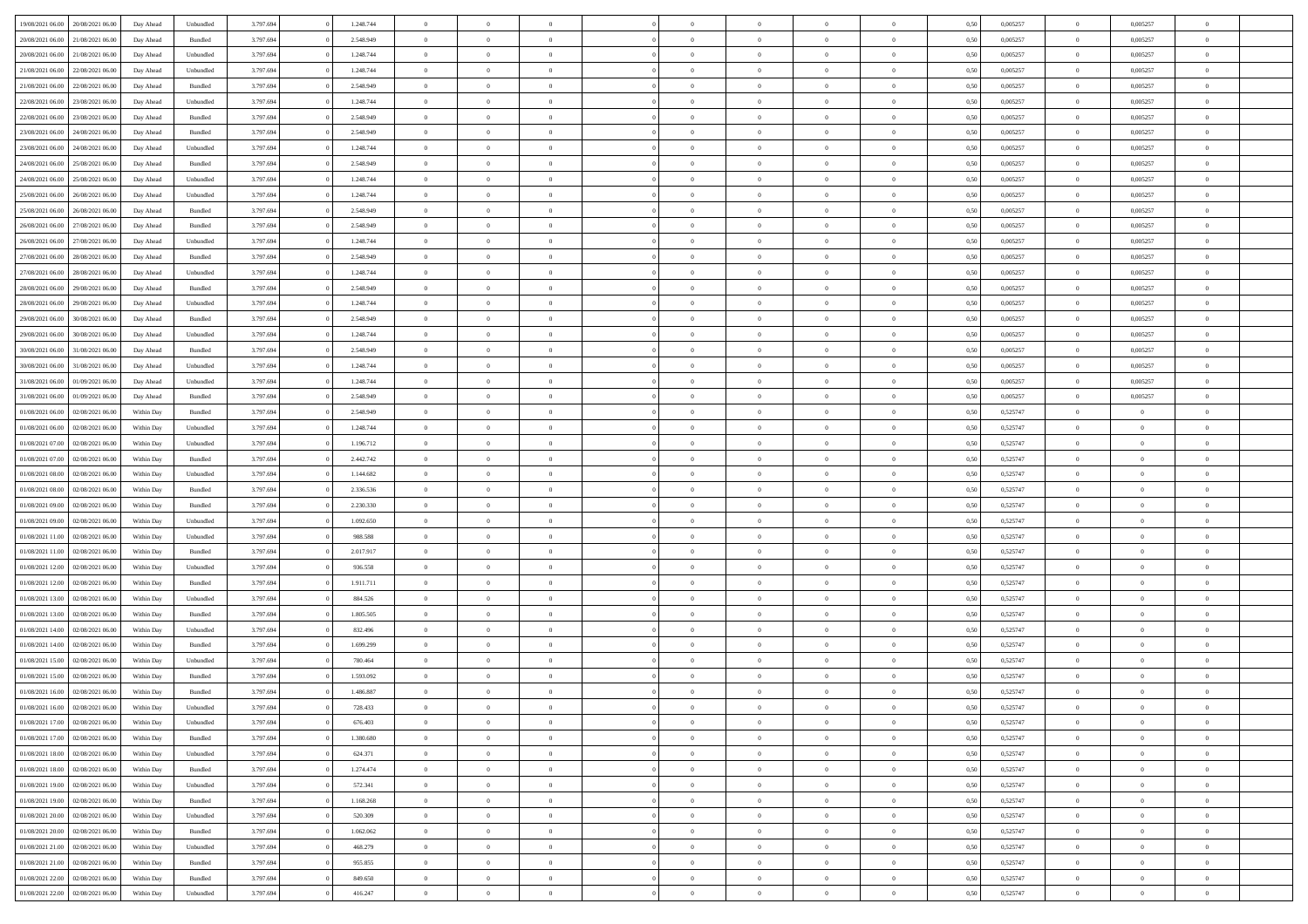| 19/08/2021 06:00                  | 20/08/2021 06:00 | Day Ahead  | Unbundled | 3.797.694 | 1.248.744 | $\overline{0}$ | $\overline{0}$ |                |                | $\theta$       | $\theta$       | $\overline{0}$ | 0,50 | 0,005257 | $\bf{0}$          | 0,005257       | $\overline{0}$ |  |
|-----------------------------------|------------------|------------|-----------|-----------|-----------|----------------|----------------|----------------|----------------|----------------|----------------|----------------|------|----------|-------------------|----------------|----------------|--|
|                                   |                  |            |           |           |           | $\overline{0}$ | $\overline{0}$ |                | $\Omega$       |                |                |                |      |          |                   |                |                |  |
| 20/08/2021 06:00                  | 21/08/2021 06.00 | Day Ahead  | Bundled   | 3.797.694 | 2.548.949 |                |                | $\overline{0}$ |                | $\bf{0}$       | $\overline{0}$ | $\bf{0}$       | 0,50 | 0,005257 | $\bf{0}$          | 0,005257       | $\overline{0}$ |  |
| 20/08/2021 06:00                  | 21/08/2021 06:00 | Day Ahead  | Unbundled | 3.797.694 | 1.248.744 | $\overline{0}$ | $\overline{0}$ | $\overline{0}$ | $\Omega$       | $\bf{0}$       | $\overline{0}$ | $\mathbf{0}$   | 0.50 | 0.005257 | $\bf{0}$          | 0.005257       | $\bf{0}$       |  |
| 21/08/2021 06:00                  | 22/08/2021 06:00 | Day Ahead  | Unbundled | 3.797.694 | 1.248.744 | $\overline{0}$ | $\overline{0}$ | $\overline{0}$ | $\overline{0}$ | $\bf{0}$       | $\overline{0}$ | $\theta$       | 0,50 | 0,005257 | $\,$ 0 $\,$       | 0,005257       | $\overline{0}$ |  |
| 21/08/2021 06:00                  | 22/08/2021 06.00 | Day Ahead  | Bundled   | 3.797.694 | 2.548.949 | $\overline{0}$ | $\overline{0}$ | $\Omega$       |                | $\bf{0}$       | $\overline{0}$ | $\bf{0}$       | 0,50 | 0,005257 | $\bf{0}$          | 0,005257       | $\overline{0}$ |  |
| 22/08/2021 06:00                  | 23/08/2021 06:00 | Day Ahead  | Unbundled | 3.797.694 | 1.248.744 | $\overline{0}$ | $\overline{0}$ | $\Omega$       | $\Omega$       | $\overline{0}$ | $\overline{0}$ | $\mathbf{0}$   | 0.50 | 0.005257 | $\bf{0}$          | 0.005257       | $\bf{0}$       |  |
| 22/08/2021 06:00                  | 23/08/2021 06:00 | Day Ahead  | Bundled   | 3.797.694 | 2.548.949 | $\overline{0}$ | $\overline{0}$ | $\overline{0}$ | $\overline{0}$ | $\bf{0}$       | $\overline{0}$ | $\bf{0}$       | 0,50 | 0,005257 | $\,$ 0 $\,$       | 0,005257       | $\overline{0}$ |  |
| 23/08/2021 06:00                  | 24/08/2021 06.0  | Day Ahead  | Bundled   | 3.797.694 | 2.548.949 | $\overline{0}$ | $\overline{0}$ | $\Omega$       |                | $\bf{0}$       | $\overline{0}$ | $\bf{0}$       | 0,50 | 0,005257 | $\bf{0}$          | 0,005257       | $\bf{0}$       |  |
| 23/08/2021 06:00                  | 24/08/2021 06:00 | Day Ahead  | Unbundled | 3.797.694 | 1.248.744 | $\overline{0}$ | $\overline{0}$ | $\overline{0}$ | $\Omega$       | $\overline{0}$ | $\overline{0}$ | $\bf{0}$       | 0.50 | 0.005257 | $\bf{0}$          | 0.005257       | $\bf{0}$       |  |
| 24/08/2021 06:00                  | 25/08/2021 06:00 | Day Ahead  | Bundled   | 3.797.694 | 2.548.949 | $\overline{0}$ | $\overline{0}$ | $\overline{0}$ | $\overline{0}$ | $\bf{0}$       | $\overline{0}$ | $\bf{0}$       | 0,50 | 0,005257 | $\,$ 0 $\,$       | 0,005257       | $\overline{0}$ |  |
|                                   |                  |            |           |           |           |                |                |                |                |                |                |                |      |          |                   |                |                |  |
| 24/08/2021 06:00                  | 25/08/2021 06.0  | Day Ahead  | Unbundled | 3.797.694 | 1.248.744 | $\overline{0}$ | $\overline{0}$ | $\overline{0}$ |                | $\bf{0}$       | $\overline{0}$ | $\bf{0}$       | 0,50 | 0,005257 | $\bf{0}$          | 0,005257       | $\,$ 0         |  |
| 25/08/2021 06:00                  | 26/08/2021 06:00 | Day Ahead  | Unbundled | 3.797.694 | 1.248.744 | $\overline{0}$ | $\overline{0}$ | $\overline{0}$ | $\overline{0}$ | $\bf{0}$       | $\overline{0}$ | $\mathbf{0}$   | 0.50 | 0.005257 | $\bf{0}$          | 0.005257       | $\bf{0}$       |  |
| 25/08/2021 06:00                  | 26/08/2021 06:00 | Day Ahead  | Bundled   | 3.797.694 | 2.548.949 | $\overline{0}$ | $\overline{0}$ | $\overline{0}$ | $\overline{0}$ | $\bf{0}$       | $\overline{0}$ | $\theta$       | 0,50 | 0,005257 | $\,$ 0 $\,$       | 0,005257       | $\overline{0}$ |  |
| 26/08/2021 06:00                  | 27/08/2021 06.00 | Day Ahead  | Bundled   | 3.797.694 | 2.548.949 | $\overline{0}$ | $\overline{0}$ | $\overline{0}$ |                | $\bf{0}$       | $\overline{0}$ | $\bf{0}$       | 0,50 | 0,005257 | $\bf{0}$          | 0,005257       | $\overline{0}$ |  |
| 26/08/2021 06:00                  | 27/08/2021 06:00 | Day Ahead  | Unbundled | 3.797.694 | 1.248.744 | $\overline{0}$ | $\overline{0}$ | $\Omega$       | $\Omega$       | $\overline{0}$ | $\overline{0}$ | $\theta$       | 0.50 | 0.005257 | $\bf{0}$          | 0.005257       | $\bf{0}$       |  |
| 27/08/2021 06:00                  | 28/08/2021 06:00 | Day Ahead  | Bundled   | 3.797.694 | 2.548.949 | $\overline{0}$ | $\overline{0}$ | $\overline{0}$ | $\overline{0}$ | $\bf{0}$       | $\overline{0}$ | $\bf{0}$       | 0,50 | 0,005257 | $\,$ 0 $\,$       | 0,005257       | $\overline{0}$ |  |
| 27/08/2021 06:00                  | 28/08/2021 06.00 | Day Ahead  | Unbundled | 3.797.694 | 1.248.744 | $\overline{0}$ | $\overline{0}$ | $\Omega$       |                | $\bf{0}$       | $\overline{0}$ | $\bf{0}$       | 0,50 | 0,005257 | $\bf{0}$          | 0,005257       | $\overline{0}$ |  |
| 28/08/2021 06:00                  | 29/08/2021 06:00 | Day Ahead  | Bundled   | 3.797.694 | 2.548.949 | $\overline{0}$ | $\overline{0}$ | $\overline{0}$ | $\overline{0}$ | $\overline{0}$ | $\overline{0}$ | $\bf{0}$       | 0.50 | 0.005257 | $\bf{0}$          | 0.005257       | $\bf{0}$       |  |
| 28/08/2021 06:00                  | 29/08/2021 06:00 | Day Ahead  | Unbundled | 3.797.694 | 1.248.744 | $\overline{0}$ | $\overline{0}$ | $\overline{0}$ | $\overline{0}$ | $\bf{0}$       | $\overline{0}$ | $\bf{0}$       | 0,50 | 0,005257 | $\,$ 0 $\,$       | 0,005257       | $\overline{0}$ |  |
| 29/08/2021 06:00                  | 30/08/2021 06.00 | Day Ahead  | Bundled   | 3.797.694 | 2.548.949 | $\overline{0}$ | $\bf{0}$       | $\overline{0}$ |                | $\bf{0}$       | $\overline{0}$ | $\bf{0}$       | 0,50 | 0,005257 | $\bf{0}$          | 0,005257       | $\overline{0}$ |  |
|                                   | 30/08/2021 06:00 |            |           |           | 1.248.744 |                | $\overline{0}$ | $\overline{0}$ |                |                |                |                | 0.50 | 0.005257 |                   | 0.005257       |                |  |
| 29/08/2021 06:00                  |                  | Day Ahead  | Unbundled | 3.797.694 |           | $\overline{0}$ |                |                | $\overline{0}$ | $\bf{0}$       | $\overline{0}$ | $\mathbf{0}$   |      |          | $\bf{0}$          |                | $\bf{0}$       |  |
| 30/08/2021 06:00                  | 31/08/2021 06:00 | Day Ahead  | Bundled   | 3.797.694 | 2.548.949 | $\overline{0}$ | $\overline{0}$ | $\overline{0}$ | $\overline{0}$ | $\bf{0}$       | $\overline{0}$ | $\theta$       | 0,50 | 0,005257 | $\,$ 0 $\,$       | 0,005257       | $\overline{0}$ |  |
| 30/08/2021 06:00                  | 31/08/2021 06.00 | Day Ahead  | Unbundled | 3.797.694 | 1.248.744 | $\overline{0}$ | $\overline{0}$ | $\Omega$       |                | $\bf{0}$       | $\overline{0}$ | $\bf{0}$       | 0,50 | 0,005257 | $\bf{0}$          | 0,005257       | $\overline{0}$ |  |
| 31/08/2021 06:00                  | 01/09/2021 06:00 | Day Ahead  | Unbundled | 3.797.694 | 1.248.744 | $\overline{0}$ | $\overline{0}$ | $\Omega$       | $\Omega$       | $\overline{0}$ | $\overline{0}$ | $\mathbf{0}$   | 0.50 | 0.005257 | $\bf{0}$          | 0.005257       | $\bf{0}$       |  |
| 31/08/2021 06:00                  | 01/09/2021 06:00 | Day Ahead  | Bundled   | 3.797.694 | 2.548.949 | $\overline{0}$ | $\overline{0}$ | $\overline{0}$ | $\overline{0}$ | $\bf{0}$       | $\overline{0}$ | $\bf{0}$       | 0,50 | 0,005257 | $\,$ 0 $\,$       | 0,005257       | $\overline{0}$ |  |
| 01/08/2021 06:00                  | 02/08/2021 06.00 | Within Day | Bundled   | 3.797.694 | 2.548.949 | $\overline{0}$ | $\overline{0}$ | $\overline{0}$ |                | $\bf{0}$       | $\overline{0}$ | $\bf{0}$       | 0,50 | 0,525747 | $\bf{0}$          | $\overline{0}$ | $\bf{0}$       |  |
| 01/08/2021 06:00                  | 02/08/2021 06:00 | Within Day | Unbundled | 3.797.694 | 1.248.744 | $\overline{0}$ | $\overline{0}$ | $\overline{0}$ | $\Omega$       | $\overline{0}$ | $\overline{0}$ | $\bf{0}$       | 0.50 | 0,525747 | $\bf{0}$          | $\overline{0}$ | $\bf{0}$       |  |
| 01/08/2021 07:00                  | 02/08/2021 06:00 | Within Day | Unbundled | 3.797.694 | 1.196.712 | $\overline{0}$ | $\overline{0}$ | $\overline{0}$ | $\overline{0}$ | $\bf{0}$       | $\overline{0}$ | $\bf{0}$       | 0,50 | 0,525747 | $\,$ 0 $\,$       | $\overline{0}$ | $\overline{0}$ |  |
| 01/08/2021 07:00                  | 02/08/2021 06.00 | Within Day | Bundled   | 3.797.694 | 2.442.742 | $\overline{0}$ | $\bf{0}$       | $\overline{0}$ | $\overline{0}$ | $\bf{0}$       | $\overline{0}$ | $\bf{0}$       | 0,50 | 0,525747 | $\bf{0}$          | $\overline{0}$ | $\bf{0}$       |  |
| 01/08/2021 08:00                  | 02/08/2021 06:00 | Within Day | Unbundled | 3.797.694 | 1.144.682 | $\overline{0}$ | $\overline{0}$ | $\overline{0}$ | $\overline{0}$ | $\bf{0}$       | $\overline{0}$ | $\mathbf{0}$   | 0.50 | 0,525747 | $\bf{0}$          | $\overline{0}$ | $\bf{0}$       |  |
| 01/08/2021 08:00                  | 02/08/2021 06:00 | Within Dav | Bundled   | 3.797.694 | 2.336.536 | $\overline{0}$ | $\overline{0}$ | $\overline{0}$ | $\Omega$       | $\overline{0}$ | $\overline{0}$ | $\bf{0}$       | 0,50 | 0,525747 | $\mathbf{0}$      | $\overline{0}$ | $\overline{0}$ |  |
|                                   |                  |            |           |           |           | $\overline{0}$ | $\overline{0}$ | $\overline{0}$ |                | $\bf{0}$       |                | $\bf{0}$       |      |          | $\bf{0}$          | $\overline{0}$ | $\bf{0}$       |  |
| 01/08/2021 09:00                  | 02/08/2021 06.00 | Within Day | Bundled   | 3.797.694 | 2.230.330 |                |                |                |                |                | $\overline{0}$ |                | 0,50 | 0,525747 |                   |                |                |  |
| 01/08/2021 09:00                  | 02/08/2021 06:00 | Within Day | Unbundled | 3.797.694 | 1.092.650 | $\overline{0}$ | $\overline{0}$ | $\Omega$       | $\Omega$       | $\overline{0}$ | $\overline{0}$ | $\theta$       | 0.50 | 0,525747 | $\bf{0}$          | $\overline{0}$ | $\bf{0}$       |  |
| 01/08/2021 11:00                  | 02/08/2021 06:00 | Within Dav | Unbundled | 3.797.694 | 988.588   | $\overline{0}$ | $\overline{0}$ | $\theta$       | $\Omega$       | $\overline{0}$ | $\overline{0}$ | $\bf{0}$       | 0,50 | 0,525747 | $\mathbf{0}$      | $\overline{0}$ | $\overline{0}$ |  |
| 01/08/2021 11:00                  | 02/08/2021 06.00 | Within Day | Bundled   | 3.797.694 | 2.017.917 | $\overline{0}$ | $\overline{0}$ | $\overline{0}$ |                | $\bf{0}$       | $\overline{0}$ | $\bf{0}$       | 0,50 | 0,525747 | $\bf{0}$          | $\overline{0}$ | $\bf{0}$       |  |
| 01/08/2021 12:00                  | 02/08/2021 06:00 | Within Day | Unbundled | 3.797.694 | 936,558   | $\overline{0}$ | $\overline{0}$ | $\overline{0}$ | $\overline{0}$ | $\overline{0}$ | $\overline{0}$ | $\bf{0}$       | 0.50 | 0,525747 | $\bf{0}$          | $\overline{0}$ | $\bf{0}$       |  |
| 01/08/2021 12:00                  | 02/08/2021 06:00 | Within Dav | Bundled   | 3.797.694 | 1.911.711 | $\overline{0}$ | $\overline{0}$ | $\overline{0}$ | $\Omega$       | $\overline{0}$ | $\overline{0}$ | $\bf{0}$       | 0,50 | 0,525747 | $\mathbf{0}$      | $\overline{0}$ | $\overline{0}$ |  |
| 01/08/2021 13:00                  | 02/08/2021 06.00 | Within Day | Unbundled | 3.797.694 | 884.526   | $\overline{0}$ | $\overline{0}$ | $\overline{0}$ | $\overline{0}$ | $\bf{0}$       | $\overline{0}$ | $\bf{0}$       | 0,50 | 0,525747 | $\bf{0}$          | $\overline{0}$ | $\bf{0}$       |  |
| 01/08/2021 13:00                  | 02/08/2021 06:00 | Within Day | Bundled   | 3.797.694 | 1.805.505 | $\overline{0}$ | $\overline{0}$ | $\overline{0}$ | $\overline{0}$ | $\bf{0}$       | $\overline{0}$ | $\mathbf{0}$   | 0.50 | 0,525747 | $\bf{0}$          | $\overline{0}$ | $\bf{0}$       |  |
| 01/08/2021 14:00                  | 02/08/2021 06:00 | Within Dav | Unbundled | 3.797.694 | 832.496   | $\overline{0}$ | $\overline{0}$ | $\theta$       | $\Omega$       | $\overline{0}$ | $\overline{0}$ | $\bf{0}$       | 0,50 | 0,525747 | $\mathbf{0}$      | $\overline{0}$ | $\overline{0}$ |  |
| 01/08/2021 14:00                  | 02/08/2021 06.00 | Within Day | Bundled   | 3.797.694 | 1.699.299 | $\overline{0}$ | $\overline{0}$ | $\overline{0}$ | $\Omega$       | $\bf{0}$       | $\overline{0}$ | $\bf{0}$       | 0,50 | 0,525747 | $\bf{0}$          | $\overline{0}$ | $\overline{0}$ |  |
| 01/08/2021 15:00                  | 02/08/2021 06:00 | Within Day | Unbundled | 3.797.694 | 780,464   | $\overline{0}$ | $\overline{0}$ | $\Omega$       | $\Omega$       | $\overline{0}$ | $\overline{0}$ | $\theta$       | 0.50 | 0,525747 | $\bf{0}$          | $\overline{0}$ | $\bf{0}$       |  |
| 01/08/2021 15:00                  | 02/08/2021 06:00 | Within Dav | Bundled   | 3.797.694 | 1.593.092 | $\overline{0}$ | $\Omega$       | $\theta$       | $\Omega$       | $\overline{0}$ | $\overline{0}$ | $\theta$       | 0.50 | 0,525747 | $\mathbf{0}$      | $\overline{0}$ | $\overline{0}$ |  |
| 01/08/2021 16:00                  | 02/08/2021 06:00 | Within Day | Bundled   | 3.797.694 | 1.486.887 | $\overline{0}$ | $\bf{0}$       | $\overline{0}$ | $\overline{0}$ | $\bf{0}$       | $\overline{0}$ | $\bf{0}$       | 0,50 | 0,525747 | $\bf{0}$          | $\overline{0}$ | $\,$ 0         |  |
|                                   | 02/08/2021 06:00 |            |           | 3.797.694 |           |                | $\Omega$       |                |                |                |                |                |      | 0,525747 | $\Omega$          |                |                |  |
| 01/08/2021 16:00                  |                  | Within Day | Unbundled |           | 728.433   | $\bf{0}$       |                |                |                |                |                |                | 0,50 |          |                   | $\Omega$       |                |  |
| 01/08/2021 17:00 02/08/2021 06:00 |                  | Within Day | Unbundled | 3.797.694 | 676.403   | $\overline{0}$ | $\overline{0}$ | $\overline{0}$ | $\Omega$       | $\overline{0}$ | $\overline{0}$ | $\overline{0}$ | 0,50 | 0,525747 | $\overline{0}$    | $\theta$       | $\bf{0}$       |  |
| 01/08/2021 17:00                  | 02/08/2021 06:00 | Within Day | Bundled   | 3.797.694 | 1.380.680 | $\overline{0}$ | $\overline{0}$ | $\overline{0}$ | $\overline{0}$ | $\overline{0}$ | $\overline{0}$ | $\bf{0}$       | 0,50 | 0,525747 | $\bf{0}$          | $\bf{0}$       | $\bf{0}$       |  |
| 01/08/2021 18:00                  | 02/08/2021 06:00 | Within Day | Unbundled | 3.797.694 | 624.371   | $\overline{0}$ | $\overline{0}$ | $\overline{0}$ | $\overline{0}$ | $\,$ 0 $\,$    | $\overline{0}$ | $\bf{0}$       | 0.50 | 0,525747 | $\hspace{0.1mm}0$ | $\overline{0}$ | $\,$ 0 $\,$    |  |
| 01/08/2021 18:00                  | 02/08/2021 06:00 | Within Day | Bundled   | 3.797.694 | 1.274.474 | $\overline{0}$ | $\overline{0}$ | $\overline{0}$ | $\overline{0}$ | $\overline{0}$ | $\overline{0}$ | $\mathbf{0}$   | 0,50 | 0,525747 | $\overline{0}$    | $\overline{0}$ | $\bf{0}$       |  |
| 01/08/2021 19:00                  | 02/08/2021 06:00 | Within Day | Unbundled | 3.797.694 | 572.341   | $\overline{0}$ | $\overline{0}$ | $\overline{0}$ | $\overline{0}$ | $\bf{0}$       | $\overline{0}$ | $\bf{0}$       | 0,50 | 0,525747 | $\,0\,$           | $\bf{0}$       | $\bf{0}$       |  |
| 01/08/2021 19:00                  | 02/08/2021 06:00 | Within Day | Bundled   | 3.797.694 | 1.168.268 | $\overline{0}$ | $\overline{0}$ | $\overline{0}$ | $\overline{0}$ | $\,$ 0 $\,$    | $\overline{0}$ | $\mathbf{0}$   | 0.50 | 0,525747 | $\,$ 0 $\,$       | $\bf{0}$       | $\bf{0}$       |  |
| 01/08/2021 20:00                  | 02/08/2021 06:00 | Within Day | Unbundled | 3.797.694 | 520.309   | $\overline{0}$ | $\overline{0}$ | $\overline{0}$ | $\overline{0}$ | $\overline{0}$ | $\overline{0}$ | $\overline{0}$ | 0,50 | 0,525747 | $\overline{0}$    | $\overline{0}$ | $\bf{0}$       |  |
| 01/08/2021 20:00                  | 02/08/2021 06:00 | Within Day | Bundled   | 3.797.694 | 1.062.062 | $\overline{0}$ | $\overline{0}$ | $\overline{0}$ | $\overline{0}$ | $\,$ 0         | $\overline{0}$ | $\bf{0}$       | 0,50 | 0,525747 | $\,$ 0 $\,$       | $\overline{0}$ | $\bf{0}$       |  |
| 01/08/2021 21:00                  | 02/08/2021 06:00 | Within Day | Unbundled | 3.797.694 | 468.279   | $\,$ 0 $\,$    | $\overline{0}$ | $\overline{0}$ | $\overline{0}$ | $\,$ 0 $\,$    | $\overline{0}$ | $\overline{0}$ | 0.50 | 0,525747 | $\mathbf{0}$      | $\,$ 0 $\,$    | $\,$ 0 $\,$    |  |
| 01/08/2021 21:00                  | 02/08/2021 06:00 | Within Day | Bundled   | 3.797.694 | 955.855   | $\overline{0}$ | $\overline{0}$ | $\overline{0}$ | $\overline{0}$ | $\overline{0}$ | $\overline{0}$ | $\overline{0}$ | 0,50 | 0,525747 | $\overline{0}$    | $\theta$       | $\bf{0}$       |  |
|                                   |                  |            |           |           |           |                |                |                |                |                |                |                |      |          |                   |                |                |  |
| 01/08/2021 22.00                  | 02/08/2021 06:00 | Within Day | Bundled   | 3.797.694 | 849.650   | $\overline{0}$ | $\bf{0}$       | $\overline{0}$ | $\overline{0}$ | $\bf{0}$       | $\overline{0}$ | $\bf{0}$       | 0,50 | 0,525747 | $\bf{0}$          | $\bf{0}$       | $\bf{0}$       |  |
| 01/08/2021 22:00 02/08/2021 06:00 |                  | Within Day | Unbundled | 3.797.694 | 416.247   | $\,$ 0 $\,$    | $\overline{0}$ | $\overline{0}$ | $\overline{0}$ | $\,$ 0 $\,$    | $\,$ 0 $\,$    | $\mathbf{0}$   | 0,50 | 0,525747 | $\,$ 0 $\,$       | $\overline{0}$ | $\,$ 0 $\,$    |  |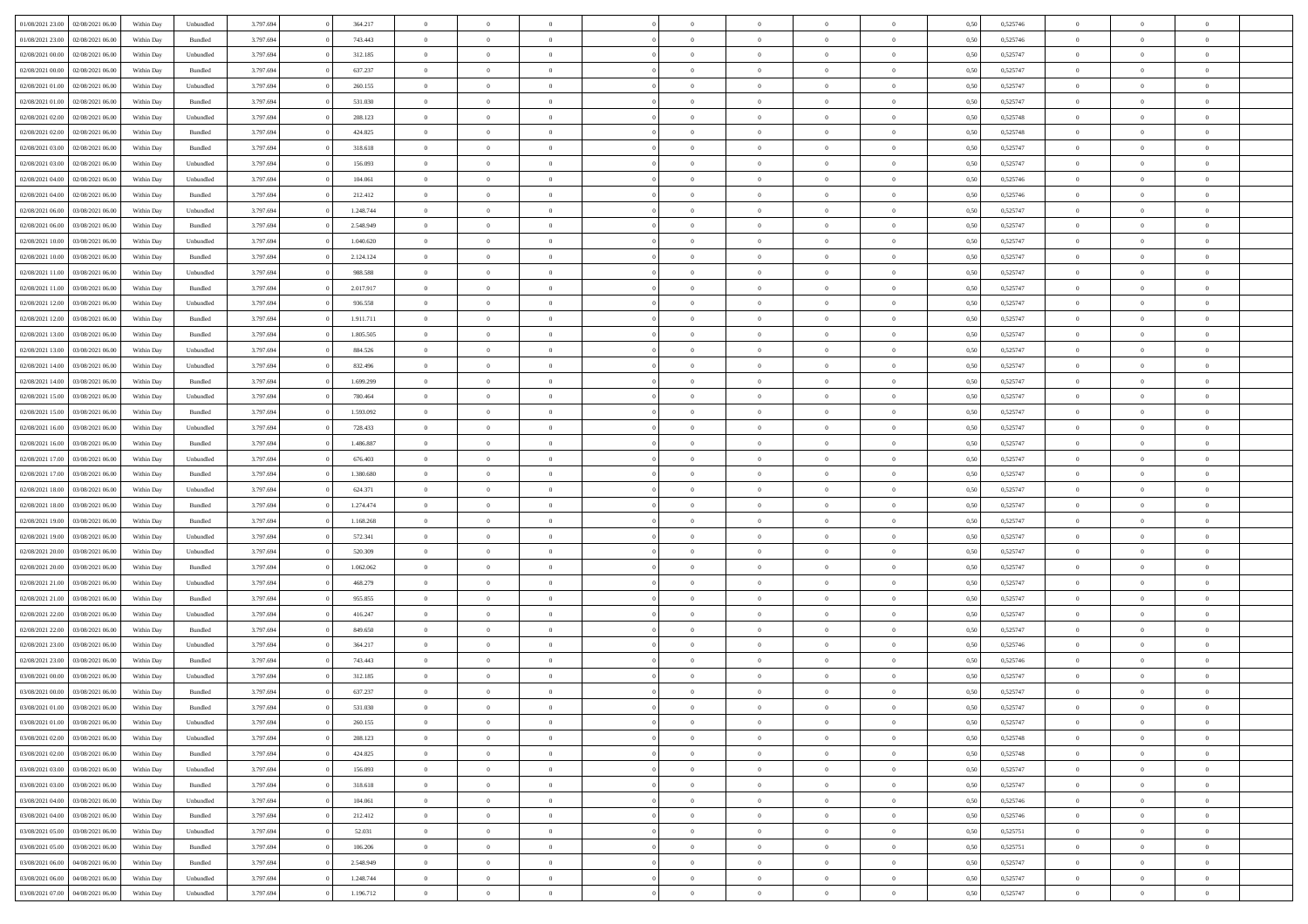|                                   |                  |            |                    |           |           | $\overline{0}$ | $\Omega$       |                |                | $\Omega$       | $\Omega$       | $\theta$       |      |          | $\theta$       |                | $\theta$       |  |
|-----------------------------------|------------------|------------|--------------------|-----------|-----------|----------------|----------------|----------------|----------------|----------------|----------------|----------------|------|----------|----------------|----------------|----------------|--|
| 01/08/2021 23:00                  | 02/08/2021 06:00 | Within Dav | Unbundled          | 3.797.694 | 364.217   |                |                |                | $\Omega$       |                |                |                | 0,50 | 0,525746 |                | $\theta$       |                |  |
| 01/08/2021 23:00                  | 02/08/2021 06:00 | Within Day | Bundled            | 3.797.694 | 743.443   | $\overline{0}$ | $\theta$       | $\overline{0}$ | $\overline{0}$ | $\bf{0}$       | $\overline{0}$ | $\bf{0}$       | 0,50 | 0,525746 | $\theta$       | $\theta$       | $\overline{0}$ |  |
| 02/08/2021 00:00                  | 02/08/2021 06:00 | Within Day | Unbundled          | 3.797.694 | 312.185   | $\overline{0}$ | $\overline{0}$ | $\overline{0}$ | $\bf{0}$       | $\bf{0}$       | $\bf{0}$       | $\bf{0}$       | 0,50 | 0,525747 | $\bf{0}$       | $\overline{0}$ | $\overline{0}$ |  |
| 02/08/2021 00:00                  | 02/08/2021 06:00 | Within Dav | Bundled            | 3.797.694 | 637.237   | $\overline{0}$ | $\overline{0}$ | $\overline{0}$ | $\overline{0}$ | $\bf{0}$       | $\overline{0}$ | $\overline{0}$ | 0.50 | 0,525747 | $\theta$       | $\theta$       | $\overline{0}$ |  |
|                                   |                  |            |                    |           |           |                |                |                |                |                |                |                |      |          |                |                |                |  |
| 02/08/2021 01:00                  | 02/08/2021 06:00 | Within Day | Unbundled          | 3.797.694 | 260.155   | $\overline{0}$ | $\theta$       | $\overline{0}$ | $\overline{0}$ | $\bf{0}$       | $\overline{0}$ | $\bf{0}$       | 0,50 | 0,525747 | $\theta$       | $\overline{0}$ | $\overline{0}$ |  |
| 02/08/2021 01:00                  | 02/08/2021 06:00 | Within Day | Bundled            | 3.797.694 | 531.030   | $\overline{0}$ | $\bf{0}$       | $\overline{0}$ | $\bf{0}$       | $\overline{0}$ | $\overline{0}$ | $\mathbf{0}$   | 0,50 | 0,525747 | $\bf{0}$       | $\overline{0}$ | $\bf{0}$       |  |
| 02/08/2021 02:00                  | 02/08/2021 06:00 | Within Dav | Unbundled          | 3.797.694 | 208.123   | $\overline{0}$ | $\overline{0}$ | $\overline{0}$ | $\overline{0}$ | $\overline{0}$ | $\overline{0}$ | $\overline{0}$ | 0.50 | 0,525748 | $\theta$       | $\overline{0}$ | $\overline{0}$ |  |
| 02/08/2021 02:00                  | 02/08/2021 06:00 | Within Day | Bundled            | 3.797.694 | 424.825   | $\overline{0}$ | $\theta$       | $\overline{0}$ | $\overline{0}$ | $\bf{0}$       | $\overline{0}$ | $\bf{0}$       | 0,50 | 0,525748 | $\theta$       | $\theta$       | $\overline{0}$ |  |
| 02/08/2021 03:00                  | 02/08/2021 06:00 | Within Day | Bundled            | 3.797.694 | 318.618   | $\overline{0}$ | $\overline{0}$ | $\overline{0}$ | $\bf{0}$       | $\bf{0}$       | $\bf{0}$       | $\bf{0}$       | 0,50 | 0,525747 | $\,0\,$        | $\overline{0}$ | $\overline{0}$ |  |
|                                   |                  |            |                    |           |           |                |                |                |                |                |                |                |      |          |                |                |                |  |
| 02/08/2021 03:00                  | 02/08/2021 06:00 | Within Dav | Unbundled          | 3.797.694 | 156.093   | $\overline{0}$ | $\overline{0}$ | $\overline{0}$ | $\overline{0}$ | $\overline{0}$ | $\overline{0}$ | $\overline{0}$ | 0.50 | 0,525747 | $\theta$       | $\overline{0}$ | $\overline{0}$ |  |
| 02/08/2021 04:00                  | 02/08/2021 06:00 | Within Day | Unbundled          | 3.797.694 | 104.061   | $\overline{0}$ | $\theta$       | $\overline{0}$ | $\overline{0}$ | $\bf{0}$       | $\overline{0}$ | $\bf{0}$       | 0,50 | 0,525746 | $\,$ 0 $\,$    | $\overline{0}$ | $\overline{0}$ |  |
| 02/08/2021 04:00                  | 02/08/2021 06:00 | Within Day | Bundled            | 3.797.694 | 212.412   | $\overline{0}$ | $\overline{0}$ | $\overline{0}$ | $\bf{0}$       | $\bf{0}$       | $\bf{0}$       | $\bf{0}$       | 0,50 | 0,525746 | $\overline{0}$ | $\overline{0}$ | $\overline{0}$ |  |
| 02/08/2021 06:00                  | 03/08/2021 06:00 | Within Day | Unbundled          | 3.797.694 | 1.248.744 | $\overline{0}$ | $\overline{0}$ | $\overline{0}$ | $\overline{0}$ | $\bf{0}$       | $\overline{0}$ | $\overline{0}$ | 0.50 | 0,525747 | $\theta$       | $\theta$       | $\overline{0}$ |  |
| 02/08/2021 06:00                  | 03/08/2021 06:00 | Within Day | Bundled            | 3.797.694 | 2.548.949 | $\overline{0}$ | $\theta$       | $\overline{0}$ | $\overline{0}$ | $\bf{0}$       | $\overline{0}$ | $\bf{0}$       | 0,50 | 0,525747 | $\theta$       | $\theta$       | $\overline{0}$ |  |
|                                   |                  |            |                    |           |           |                |                |                |                |                |                |                |      |          |                |                |                |  |
| 02/08/2021 10:00                  | 03/08/2021 06:00 | Within Day | Unbundled          | 3.797.694 | 1.040.620 | $\overline{0}$ | $\bf{0}$       | $\overline{0}$ | $\bf{0}$       | $\overline{0}$ | $\overline{0}$ | $\mathbf{0}$   | 0,50 | 0,525747 | $\overline{0}$ | $\overline{0}$ | $\bf{0}$       |  |
| 02/08/2021 10:00                  | 03/08/2021 06:00 | Within Dav | Bundled            | 3.797.694 | 2.124.124 | $\overline{0}$ | $\overline{0}$ | $\overline{0}$ | $\overline{0}$ | $\overline{0}$ | $\overline{0}$ | $\overline{0}$ | 0.50 | 0,525747 | $\theta$       | $\overline{0}$ | $\overline{0}$ |  |
| 02/08/2021 11:00                  | 03/08/2021 06:00 | Within Day | Unbundled          | 3.797.694 | 988.588   | $\overline{0}$ | $\theta$       | $\overline{0}$ | $\overline{0}$ | $\bf{0}$       | $\overline{0}$ | $\bf{0}$       | 0,50 | 0,525747 | $\theta$       | $\theta$       | $\overline{0}$ |  |
| 02/08/2021 11:00                  | 03/08/2021 06:00 | Within Day | Bundled            | 3.797.694 | 2.017.917 | $\overline{0}$ | $\overline{0}$ | $\overline{0}$ | $\bf{0}$       | $\bf{0}$       | $\bf{0}$       | $\bf{0}$       | 0,50 | 0,525747 | $\,0\,$        | $\overline{0}$ | $\overline{0}$ |  |
| 02/08/2021 12:00                  | 03/08/2021 06:00 | Within Day | Unbundled          | 3.797.694 | 936.558   | $\overline{0}$ | $\overline{0}$ | $\overline{0}$ | $\overline{0}$ | $\overline{0}$ | $\overline{0}$ | $\overline{0}$ | 0.50 | 0,525747 | $\theta$       | $\overline{0}$ | $\overline{0}$ |  |
| 02/08/2021 12:00                  | 03/08/2021 06:00 | Within Day | Bundled            | 3.797.694 | 1.911.711 | $\overline{0}$ | $\theta$       | $\overline{0}$ | $\overline{0}$ | $\bf{0}$       | $\overline{0}$ | $\bf{0}$       | 0,50 | 0,525747 | $\,$ 0 $\,$    | $\theta$       | $\overline{0}$ |  |
|                                   |                  |            |                    |           |           |                |                |                |                |                |                |                |      |          |                |                |                |  |
| 02/08/2021 13:00                  | 03/08/2021 06:00 | Within Day | Bundled            | 3.797.694 | 1.805.505 | $\overline{0}$ | $\overline{0}$ | $\overline{0}$ | $\bf{0}$       | $\bf{0}$       | $\bf{0}$       | $\bf{0}$       | 0,50 | 0,525747 | $\,0\,$        | $\overline{0}$ | $\overline{0}$ |  |
| 02/08/2021 13:00                  | 03/08/2021 06:00 | Within Day | Unbundled          | 3.797.694 | 884.526   | $\overline{0}$ | $\overline{0}$ | $\overline{0}$ | $\overline{0}$ | $\bf{0}$       | $\overline{0}$ | $\overline{0}$ | 0.50 | 0,525747 | $\theta$       | $\overline{0}$ | $\overline{0}$ |  |
| 02/08/2021 14:00                  | 03/08/2021 06:00 | Within Day | Unbundled          | 3.797.694 | 832.496   | $\overline{0}$ | $\theta$       | $\overline{0}$ | $\overline{0}$ | $\bf{0}$       | $\overline{0}$ | $\bf{0}$       | 0,50 | 0,525747 | $\,$ 0 $\,$    | $\overline{0}$ | $\overline{0}$ |  |
| 02/08/2021 14:00                  | 03/08/2021 06:00 | Within Day | Bundled            | 3.797.694 | 1.699.299 | $\overline{0}$ | $\bf{0}$       | $\overline{0}$ | $\overline{0}$ | $\overline{0}$ | $\overline{0}$ | $\mathbf{0}$   | 0,50 | 0,525747 | $\overline{0}$ | $\overline{0}$ | $\bf{0}$       |  |
| 02/08/2021 15:00                  | 03/08/2021 06:00 | Within Dav | Unbundled          | 3.797.694 | 780.464   | $\overline{0}$ | $\overline{0}$ | $\overline{0}$ | $\overline{0}$ | $\overline{0}$ | $\overline{0}$ | $\overline{0}$ | 0.50 | 0,525747 | $\theta$       | $\overline{0}$ | $\overline{0}$ |  |
| 02/08/2021 15:00                  | 03/08/2021 06:00 | Within Day | Bundled            | 3.797.694 | 1.593.092 | $\overline{0}$ | $\theta$       | $\overline{0}$ | $\overline{0}$ | $\bf{0}$       | $\overline{0}$ | $\bf{0}$       | 0,50 | 0,525747 | $\theta$       | $\theta$       | $\overline{0}$ |  |
| 02/08/2021 16:00                  | 03/08/2021 06:00 | Within Day | Unbundled          | 3.797.694 | 728.433   | $\overline{0}$ | $\overline{0}$ | $\overline{0}$ | $\overline{0}$ | $\bf{0}$       | $\overline{0}$ | $\bf{0}$       | 0,50 | 0,525747 | $\,0\,$        | $\overline{0}$ | $\overline{0}$ |  |
|                                   |                  |            |                    |           |           |                |                |                |                |                |                |                |      |          |                |                |                |  |
| 02/08/2021 16:00                  | 03/08/2021 06:00 | Within Day | Bundled            | 3.797.694 | 1.486.887 | $\overline{0}$ | $\overline{0}$ | $\overline{0}$ | $\overline{0}$ | $\overline{0}$ | $\overline{0}$ | $\overline{0}$ | 0.50 | 0,525747 | $\theta$       | $\overline{0}$ | $\overline{0}$ |  |
| 02/08/2021 17:00                  | 03/08/2021 06:00 | Within Day | Unbundled          | 3.797.694 | 676.403   | $\overline{0}$ | $\theta$       | $\overline{0}$ | $\overline{0}$ | $\bf{0}$       | $\overline{0}$ | $\bf{0}$       | 0,50 | 0,525747 | $\,$ 0 $\,$    | $\overline{0}$ | $\overline{0}$ |  |
| 02/08/2021 17:00                  | 03/08/2021 06:00 | Within Day | Bundled            | 3.797.694 | 1.380.680 | $\overline{0}$ | $\overline{0}$ | $\overline{0}$ | $\overline{0}$ | $\bf{0}$       | $\overline{0}$ | $\bf{0}$       | 0,50 | 0,525747 | $\bf{0}$       | $\overline{0}$ | $\overline{0}$ |  |
| 02/08/2021 18:00                  | 03/08/2021 06:00 | Within Day | Unbundled          | 3.797.694 | 624.371   | $\overline{0}$ | $\Omega$       | $\Omega$       | $\Omega$       | $\Omega$       | $\overline{0}$ | $\overline{0}$ | 0,50 | 0,525747 | $\,0\,$        | $\theta$       | $\theta$       |  |
| 02/08/2021 18:00                  | 03/08/2021 06:00 | Within Day | Bundled            | 3.797.694 | 1.274.474 | $\overline{0}$ | $\theta$       | $\overline{0}$ | $\overline{0}$ | $\bf{0}$       | $\overline{0}$ | $\bf{0}$       | 0,50 | 0,525747 | $\theta$       | $\theta$       | $\overline{0}$ |  |
| 02/08/2021 19:00                  | 03/08/2021 06:00 | Within Day | Bundled            | 3.797.694 | 1.168.268 | $\overline{0}$ | $\overline{0}$ | $\overline{0}$ | $\overline{0}$ | $\bf{0}$       | $\overline{0}$ | $\mathbf{0}$   | 0,50 | 0,525747 | $\overline{0}$ | $\overline{0}$ | $\bf{0}$       |  |
| 02/08/2021 19:00                  | 03/08/2021 06:00 |            | Unbundled          | 3.797.694 | 572.341   | $\overline{0}$ | $\Omega$       | $\Omega$       | $\Omega$       | $\bf{0}$       | $\overline{0}$ | $\overline{0}$ | 0.50 | 0,525747 | $\,0\,$        | $\theta$       | $\theta$       |  |
|                                   |                  | Within Day |                    |           |           |                |                |                |                |                |                |                |      |          |                |                |                |  |
| 02/08/2021 20:00                  | 03/08/2021 06:00 | Within Day | Unbundled          | 3.797.694 | 520.309   | $\overline{0}$ | $\theta$       | $\overline{0}$ | $\overline{0}$ | $\bf{0}$       | $\overline{0}$ | $\bf{0}$       | 0,50 | 0,525747 | $\,$ 0 $\,$    | $\theta$       | $\overline{0}$ |  |
| 02/08/2021 20.00                  | 03/08/2021 06:00 | Within Day | Bundled            | 3.797.694 | 1.062.062 | $\overline{0}$ | $\overline{0}$ | $\overline{0}$ | $\overline{0}$ | $\bf{0}$       | $\overline{0}$ | $\bf{0}$       | 0,50 | 0,525747 | $\,0\,$        | $\overline{0}$ | $\overline{0}$ |  |
| 02/08/2021 21:00                  | 03/08/2021 06:00 | Within Day | Unbundled          | 3.797.694 | 468,279   | $\overline{0}$ | $\Omega$       | $\Omega$       | $\Omega$       | $\theta$       | $\theta$       | $\overline{0}$ | 0.50 | 0,525747 | $\theta$       | $\theta$       | $\theta$       |  |
| 02/08/2021 21:00                  | 03/08/2021 06:00 | Within Day | Bundled            | 3.797.694 | 955.855   | $\overline{0}$ | $\theta$       | $\overline{0}$ | $\overline{0}$ | $\bf{0}$       | $\overline{0}$ | $\bf{0}$       | 0,50 | 0,525747 | $\,$ 0 $\,$    | $\overline{0}$ | $\overline{0}$ |  |
| 02/08/2021 22.00                  | 03/08/2021 06:00 | Within Day | Unbundled          | 3.797.694 | 416.247   | $\overline{0}$ | $\overline{0}$ | $\overline{0}$ | $\overline{0}$ | $\bf{0}$       | $\overline{0}$ | $\bf{0}$       | 0,50 | 0,525747 | $\overline{0}$ | $\overline{0}$ | $\overline{0}$ |  |
| 02/08/2021 22:00                  | 03/08/2021 06:00 | Within Day | Bundled            | 3.797.694 | 849,650   | $\overline{0}$ | $\Omega$       | $\overline{0}$ | $\Omega$       | $\Omega$       | $\overline{0}$ | $\overline{0}$ | 0,50 | 0,525747 | $\,0\,$        | $\theta$       | $\theta$       |  |
|                                   |                  |            |                    |           |           |                |                |                |                |                |                |                |      |          |                |                |                |  |
| 02/08/2021 23:00                  | 03/08/2021 06:00 | Within Day | Unbundled          | 3.797.694 | 364.217   | $\overline{0}$ | $\theta$       | $\overline{0}$ | $\overline{0}$ | $\bf{0}$       | $\overline{0}$ | $\bf{0}$       | 0,50 | 0,525746 | $\,$ 0 $\,$    | $\overline{0}$ | $\overline{0}$ |  |
| 02/08/2021 23.00                  | 03/08/2021 06:00 | Within Day | Bundled            | 3.797.694 | 743.443   | $\overline{0}$ | $\overline{0}$ | $\overline{0}$ | $\bf{0}$       | $\bf{0}$       | $\bf{0}$       | $\mathbf{0}$   | 0,50 | 0,525746 | $\overline{0}$ | $\overline{0}$ | $\bf{0}$       |  |
| 03/08/2021 00:00                  | 03/08/2021 06:00 | Within Day | Unbundled          | 3.797.694 | 312.185   | $\overline{0}$ | $\Omega$       | $\Omega$       | $\Omega$       | $\Omega$       | $\Omega$       | $\overline{0}$ | 0.50 | 0,525747 | $\theta$       | $\theta$       | $\theta$       |  |
| 03/08/2021 00:00                  | 03/08/2021 06:00 | Within Day | Bundled            | 3.797.694 | 637.237   | $\overline{0}$ | $\overline{0}$ | $\overline{0}$ | $\bf{0}$       | $\,$ 0         | $\bf{0}$       | $\bf{0}$       | 0,50 | 0,525747 | $\,0\,$        | $\overline{0}$ | $\overline{0}$ |  |
| 03/08/2021 01:00 03/08/2021 06:00 |                  | Within Day | $\mathbf B$ undled | 3.797.694 | 531.030   | $\bf{0}$       | $\bf{0}$       |                |                |                |                |                | 0,50 | 0,525747 | $\bf{0}$       | $\overline{0}$ |                |  |
| 03/08/2021 01:00                  | 03/08/2021 06:00 | Within Day | Unbundled          | 3.797.694 | 260.155   | $\overline{0}$ | $\overline{0}$ | $\overline{0}$ | $\Omega$       | $\overline{0}$ | $\overline{0}$ | $\overline{0}$ | 0,50 | 0,525747 | $\theta$       | $\theta$       | $\theta$       |  |
| 03/08/2021 02:00                  | 03/08/2021 06:00 | Within Day | Unbundled          | 3.797.694 | 208.123   | $\overline{0}$ | $\bf{0}$       | $\overline{0}$ | $\bf{0}$       | $\,$ 0 $\,$    | $\overline{0}$ | $\,$ 0 $\,$    | 0,50 | 0,525748 | $\,$ 0 $\,$    | $\,$ 0 $\,$    | $\,$ 0         |  |
|                                   |                  |            |                    |           |           |                |                |                |                |                |                |                |      |          |                |                |                |  |
| 03/08/2021 02:00                  | 03/08/2021 06:00 | Within Day | Bundled            | 3.797.694 | 424.825   | $\overline{0}$ | $\overline{0}$ | $\overline{0}$ | $\overline{0}$ | $\overline{0}$ | $\overline{0}$ | $\mathbf{0}$   | 0,50 | 0,525748 | $\overline{0}$ | $\bf{0}$       | $\overline{0}$ |  |
| 03/08/2021 03:00                  | 03/08/2021 06:00 | Within Day | Unbundled          | 3.797.694 | 156.093   | $\overline{0}$ | $\overline{0}$ | $\overline{0}$ | $\Omega$       | $\overline{0}$ | $\overline{0}$ | $\overline{0}$ | 0,50 | 0,525747 | $\overline{0}$ | $\theta$       | $\overline{0}$ |  |
| 03/08/2021 03:00                  | 03/08/2021 06:00 | Within Day | Bundled            | 3.797.694 | 318.618   | $\overline{0}$ | $\,$ 0         | $\overline{0}$ | $\bf{0}$       | $\,$ 0 $\,$    | $\overline{0}$ | $\mathbf{0}$   | 0,50 | 0,525747 | $\,$ 0 $\,$    | $\overline{0}$ | $\overline{0}$ |  |
| 03/08/2021 04:00                  | 03/08/2021 06:00 | Within Day | Unbundled          | 3.797.694 | 104.061   | $\overline{0}$ | $\overline{0}$ | $\overline{0}$ | $\overline{0}$ | $\overline{0}$ | $\overline{0}$ | $\mathbf{0}$   | 0,50 | 0,525746 | $\overline{0}$ | $\overline{0}$ | $\bf{0}$       |  |
| 03/08/2021 04:00                  | 03/08/2021 06:00 | Within Day | Bundled            | 3.797.694 | 212.412   | $\overline{0}$ | $\overline{0}$ | $\overline{0}$ | $\overline{0}$ | $\overline{0}$ | $\overline{0}$ | $\bf{0}$       | 0.50 | 0,525746 | $\overline{0}$ | $\theta$       | $\overline{0}$ |  |
| 03/08/2021 05:00                  | 03/08/2021 06:00 | Within Day | Unbundled          | 3.797.694 | 52.031    | $\overline{0}$ | $\,$ 0         | $\overline{0}$ | $\bf{0}$       | $\bf{0}$       | $\bf{0}$       | $\bf{0}$       | 0,50 | 0,525751 | $\,$ 0 $\,$    | $\overline{0}$ | $\overline{0}$ |  |
| 03/08/2021 05:00                  | 03/08/2021 06:00 | Within Day | Bundled            | 3.797.694 | 106.206   | $\overline{0}$ | $\bf{0}$       | $\overline{0}$ | $\overline{0}$ | $\overline{0}$ | $\overline{0}$ | $\mathbf{0}$   | 0,50 | 0,525751 | $\overline{0}$ | $\overline{0}$ | $\bf{0}$       |  |
|                                   |                  |            |                    |           |           |                |                |                |                |                |                |                |      |          |                |                |                |  |
| 03/08/2021 06:00                  | 04/08/2021 06:00 | Within Day | Bundled            | 3.797.694 | 2.548.949 | $\overline{0}$ | $\overline{0}$ | $\overline{0}$ | $\Omega$       | $\overline{0}$ | $\overline{0}$ | $\overline{0}$ | 0.50 | 0,525747 | $\overline{0}$ | $\overline{0}$ | $\overline{0}$ |  |
| 03/08/2021 06:00                  | 04/08/2021 06:00 | Within Day | Unbundled          | 3.797.694 | 1.248.744 | $\overline{0}$ | $\bf{0}$       | $\overline{0}$ | $\bf{0}$       | $\bf{0}$       | $\bf{0}$       | $\mathbf{0}$   | 0,50 | 0,525747 | $\,$ 0 $\,$    | $\,$ 0 $\,$    | $\bf{0}$       |  |
| 03/08/2021 07:00                  | 04/08/2021 06:00 | Within Day | Unbundled          | 3.797.694 | 1.196.712 | $\overline{0}$ | $\overline{0}$ | $\overline{0}$ | $\overline{0}$ | $\overline{0}$ | $\bf{0}$       | $\mathbf{0}$   | 0,50 | 0,525747 | $\overline{0}$ | $\bf{0}$       | $\bf{0}$       |  |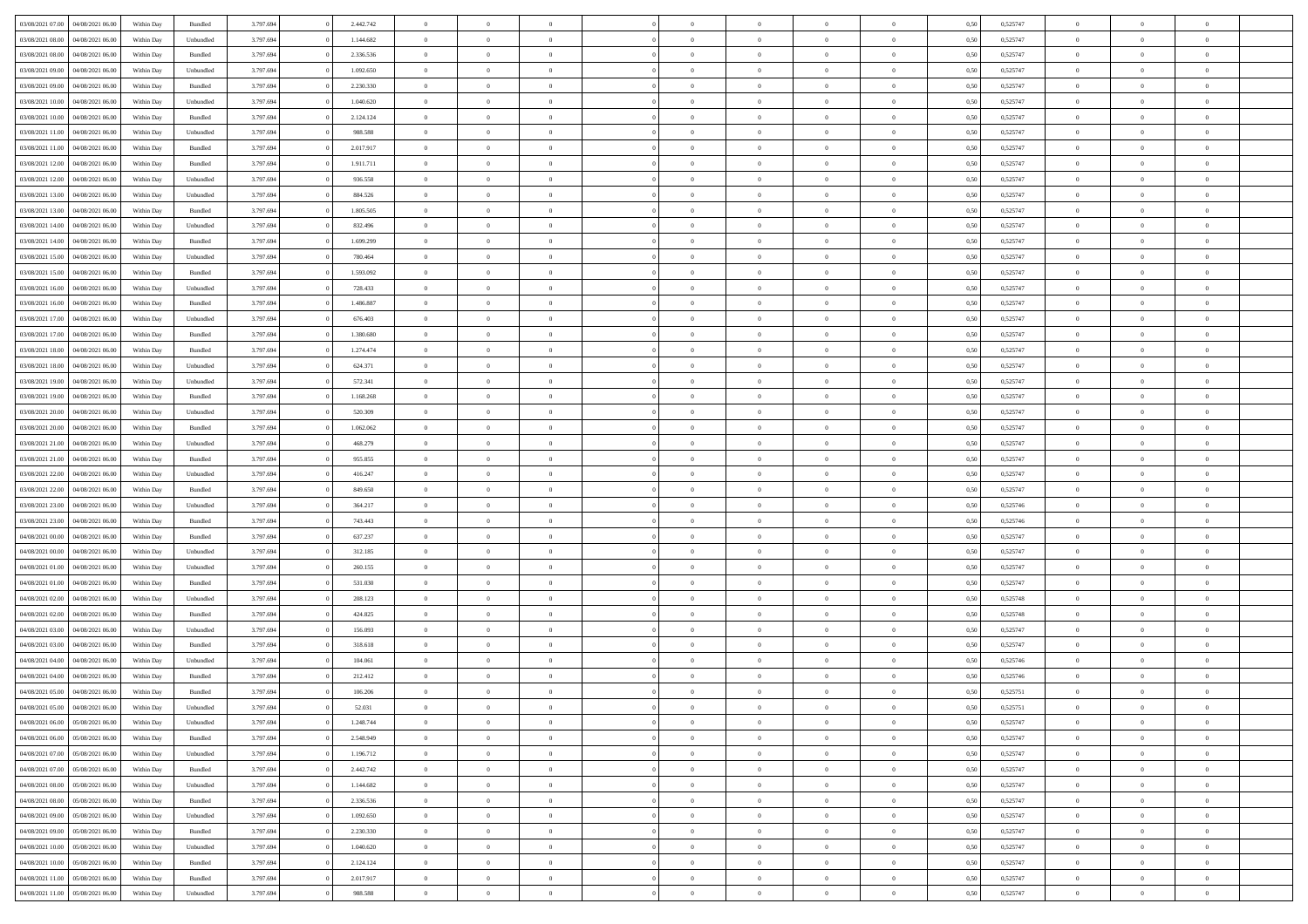| 03/08/2021 07:00                  | 04/08/2021 06:00 | Within Day | Bundled   | 3.797.694 | 2.442.742 | $\overline{0}$ | $\Omega$       |                | $\Omega$       | $\Omega$       | $\theta$       | $\theta$       | 0.50 | 0,525747 | $\theta$       | $\theta$       | $\theta$       |  |
|-----------------------------------|------------------|------------|-----------|-----------|-----------|----------------|----------------|----------------|----------------|----------------|----------------|----------------|------|----------|----------------|----------------|----------------|--|
|                                   |                  |            |           |           |           |                |                |                |                |                |                |                |      |          |                |                |                |  |
| 03/08/2021 08:00                  | 04/08/2021 06:00 | Within Day | Unbundled | 3.797.694 | 1.144.682 | $\overline{0}$ | $\theta$       | $\overline{0}$ | $\overline{0}$ | $\bf{0}$       | $\overline{0}$ | $\bf{0}$       | 0,50 | 0,525747 | $\theta$       | $\overline{0}$ | $\overline{0}$ |  |
| 03/08/2021 08:00                  | 04/08/2021 06:00 | Within Day | Bundled   | 3.797.694 | 2.336.536 | $\overline{0}$ | $\bf{0}$       | $\overline{0}$ | $\bf{0}$       | $\bf{0}$       | $\bf{0}$       | $\mathbf{0}$   | 0,50 | 0,525747 | $\bf{0}$       | $\overline{0}$ | $\overline{0}$ |  |
| 03/08/2021 09:00                  | 04/08/2021 06:00 | Within Dav | Unbundled | 3.797.694 | 1.092.650 | $\overline{0}$ | $\overline{0}$ | $\overline{0}$ | $\overline{0}$ | $\bf{0}$       | $\overline{0}$ | $\overline{0}$ | 0.50 | 0,525747 | $\theta$       | $\theta$       | $\overline{0}$ |  |
|                                   |                  |            |           |           |           |                |                |                |                |                |                |                |      |          |                |                |                |  |
| 03/08/2021 09:00                  | 04/08/2021 06:00 | Within Day | Bundled   | 3.797.694 | 2.230.330 | $\overline{0}$ | $\theta$       | $\overline{0}$ | $\overline{0}$ | $\bf{0}$       | $\overline{0}$ | $\bf{0}$       | 0,50 | 0,525747 | $\theta$       | $\overline{0}$ | $\overline{0}$ |  |
| 03/08/2021 10:00                  | 04/08/2021 06:00 | Within Day | Unbundled | 3.797.694 | 1.040.620 | $\overline{0}$ | $\overline{0}$ | $\overline{0}$ | $\overline{0}$ | $\overline{0}$ | $\overline{0}$ | $\mathbf{0}$   | 0,50 | 0,525747 | $\bf{0}$       | $\overline{0}$ | $\bf{0}$       |  |
| 03/08/2021 10:00                  | 04/08/2021 06:00 | Within Dav | Bundled   | 3.797.694 | 2.124.124 | $\overline{0}$ | $\overline{0}$ | $\overline{0}$ | $\overline{0}$ | $\overline{0}$ | $\overline{0}$ | $\overline{0}$ | 0.50 | 0,525747 | $\theta$       | $\overline{0}$ | $\overline{0}$ |  |
| 03/08/2021 11:00                  | 04/08/2021 06:00 | Within Day | Unbundled | 3.797.694 | 988.588   | $\overline{0}$ | $\theta$       | $\overline{0}$ | $\overline{0}$ | $\bf{0}$       | $\overline{0}$ | $\bf{0}$       | 0,50 | 0,525747 | $\theta$       | $\theta$       | $\overline{0}$ |  |
| 03/08/2021 11:00                  | 04/08/2021 06:00 | Within Day | Bundled   | 3.797.694 | 2.017.917 | $\overline{0}$ | $\overline{0}$ | $\overline{0}$ | $\overline{0}$ | $\bf{0}$       | $\overline{0}$ | $\bf{0}$       | 0,50 | 0,525747 | $\,0\,$        | $\overline{0}$ | $\overline{0}$ |  |
|                                   |                  |            |           |           |           |                |                |                |                |                |                |                |      |          |                |                |                |  |
| 03/08/2021 12:00                  | 04/08/2021 06:00 | Within Dav | Bundled   | 3.797.694 | 1.911.711 | $\overline{0}$ | $\overline{0}$ | $\overline{0}$ | $\overline{0}$ | $\overline{0}$ | $\overline{0}$ | $\overline{0}$ | 0.50 | 0,525747 | $\theta$       | $\overline{0}$ | $\overline{0}$ |  |
| 03/08/2021 12:00                  | 04/08/2021 06:00 | Within Day | Unbundled | 3.797.694 | 936.558   | $\overline{0}$ | $\theta$       | $\overline{0}$ | $\overline{0}$ | $\bf{0}$       | $\overline{0}$ | $\bf{0}$       | 0,50 | 0,525747 | $\,$ 0 $\,$    | $\overline{0}$ | $\overline{0}$ |  |
| 03/08/2021 13:00                  | 04/08/2021 06:00 | Within Day | Unbundled | 3.797.694 | 884.526   | $\overline{0}$ | $\bf{0}$       | $\overline{0}$ | $\overline{0}$ | $\bf{0}$       | $\overline{0}$ | $\bf{0}$       | 0,50 | 0,525747 | $\bf{0}$       | $\overline{0}$ | $\bf{0}$       |  |
| 03/08/2021 13:00                  | 04/08/2021 06:00 | Within Day | Bundled   | 3.797.694 | 1.805.505 | $\overline{0}$ | $\overline{0}$ | $\overline{0}$ | $\overline{0}$ | $\bf{0}$       | $\overline{0}$ | $\overline{0}$ | 0.50 | 0,525747 | $\theta$       | $\theta$       | $\overline{0}$ |  |
|                                   |                  |            |           |           |           | $\overline{0}$ | $\theta$       | $\overline{0}$ | $\overline{0}$ | $\bf{0}$       | $\overline{0}$ |                |      |          | $\theta$       | $\overline{0}$ | $\overline{0}$ |  |
| 03/08/2021 14:00                  | 04/08/2021 06:00 | Within Day | Unbundled | 3.797.694 | 832.496   |                |                |                |                |                |                | $\bf{0}$       | 0,50 | 0,525747 |                |                |                |  |
| 03/08/2021 14:00                  | 04/08/2021 06:00 | Within Day | Bundled   | 3.797.694 | 1.699.299 | $\overline{0}$ | $\overline{0}$ | $\overline{0}$ | $\bf{0}$       | $\overline{0}$ | $\overline{0}$ | $\mathbf{0}$   | 0,50 | 0,525747 | $\overline{0}$ | $\overline{0}$ | $\bf{0}$       |  |
| 03/08/2021 15:00                  | 04/08/2021 06:00 | Within Dav | Unbundled | 3.797.694 | 780.464   | $\overline{0}$ | $\overline{0}$ | $\overline{0}$ | $\overline{0}$ | $\overline{0}$ | $\overline{0}$ | $\overline{0}$ | 0.50 | 0,525747 | $\theta$       | $\overline{0}$ | $\overline{0}$ |  |
| 03/08/2021 15:00                  | 04/08/2021 06:00 | Within Day | Bundled   | 3.797.694 | 1.593.092 | $\overline{0}$ | $\theta$       | $\overline{0}$ | $\overline{0}$ | $\bf{0}$       | $\overline{0}$ | $\bf{0}$       | 0,50 | 0,525747 | $\theta$       | $\theta$       | $\overline{0}$ |  |
| 03/08/2021 16:00                  | 04/08/2021 06:00 | Within Day | Unbundled | 3.797.694 | 728.433   | $\overline{0}$ | $\overline{0}$ | $\overline{0}$ | $\bf{0}$       | $\bf{0}$       | $\bf{0}$       | $\bf{0}$       | 0,50 | 0,525747 | $\,0\,$        | $\overline{0}$ | $\overline{0}$ |  |
|                                   |                  |            |           |           |           |                |                |                |                |                |                |                |      |          |                |                |                |  |
| 03/08/2021 16:00                  | 04/08/2021 06:00 | Within Dav | Bundled   | 3.797.694 | 1.486.887 | $\overline{0}$ | $\overline{0}$ | $\overline{0}$ | $\overline{0}$ | $\overline{0}$ | $\overline{0}$ | $\overline{0}$ | 0.50 | 0,525747 | $\theta$       | $\overline{0}$ | $\overline{0}$ |  |
| 03/08/2021 17:00                  | 04/08/2021 06:00 | Within Day | Unbundled | 3.797.694 | 676.403   | $\overline{0}$ | $\theta$       | $\overline{0}$ | $\overline{0}$ | $\bf{0}$       | $\overline{0}$ | $\bf{0}$       | 0,50 | 0,525747 | $\,$ 0 $\,$    | $\overline{0}$ | $\overline{0}$ |  |
| 03/08/2021 17:00                  | 04/08/2021 06:00 | Within Day | Bundled   | 3.797.694 | 1.380.680 | $\overline{0}$ | $\overline{0}$ | $\overline{0}$ | $\bf{0}$       | $\bf{0}$       | $\bf{0}$       | $\bf{0}$       | 0,50 | 0,525747 | $\bf{0}$       | $\overline{0}$ | $\bf{0}$       |  |
| 03/08/2021 18:00                  | 04/08/2021 06:00 | Within Day | Bundled   | 3.797.694 | 1.274.474 | $\overline{0}$ | $\overline{0}$ | $\overline{0}$ | $\overline{0}$ | $\bf{0}$       | $\overline{0}$ | $\overline{0}$ | 0.50 | 0,525747 | $\theta$       | $\overline{0}$ | $\overline{0}$ |  |
| 03/08/2021 18:00                  | 04/08/2021 06:00 | Within Day | Unbundled | 3.797.694 | 624.371   | $\overline{0}$ | $\theta$       | $\overline{0}$ | $\overline{0}$ | $\bf{0}$       | $\overline{0}$ | $\bf{0}$       | 0,50 | 0,525747 | $\,$ 0 $\,$    | $\overline{0}$ | $\overline{0}$ |  |
|                                   |                  |            |           |           |           |                |                |                |                |                |                |                |      |          |                |                |                |  |
| 03/08/2021 19:00                  | 04/08/2021 06:00 | Within Day | Unbundled | 3.797.694 | 572.341   | $\overline{0}$ | $\overline{0}$ | $\overline{0}$ | $\bf{0}$       | $\overline{0}$ | $\overline{0}$ | $\mathbf{0}$   | 0,50 | 0,525747 | $\overline{0}$ | $\overline{0}$ | $\bf{0}$       |  |
| 03/08/2021 19:00                  | 04/08/2021 06:00 | Within Dav | Bundled   | 3.797.694 | 1.168.268 | $\overline{0}$ | $\overline{0}$ | $\overline{0}$ | $\overline{0}$ | $\overline{0}$ | $\overline{0}$ | $\overline{0}$ | 0.50 | 0,525747 | $\theta$       | $\overline{0}$ | $\overline{0}$ |  |
| 03/08/2021 20:00                  | 04/08/2021 06:00 | Within Day | Unbundled | 3.797.694 | 520.309   | $\overline{0}$ | $\theta$       | $\overline{0}$ | $\overline{0}$ | $\bf{0}$       | $\overline{0}$ | $\bf{0}$       | 0,50 | 0,525747 | $\theta$       | $\theta$       | $\overline{0}$ |  |
| 03/08/2021 20.00                  | 04/08/2021 06:00 | Within Day | Bundled   | 3.797.694 | 1.062.062 | $\overline{0}$ | $\overline{0}$ | $\overline{0}$ | $\bf{0}$       | $\bf{0}$       | $\bf{0}$       | $\bf{0}$       | 0,50 | 0,525747 | $\,0\,$        | $\overline{0}$ | $\overline{0}$ |  |
|                                   | 04/08/2021 06:00 |            | Unbundled | 3.797.694 | 468.279   | $\overline{0}$ | $\overline{0}$ | $\overline{0}$ | $\overline{0}$ | $\overline{0}$ | $\overline{0}$ | $\overline{0}$ | 0.50 | 0,525747 | $\theta$       | $\overline{0}$ | $\overline{0}$ |  |
| 03/08/2021 21:00                  |                  | Within Day |           |           |           |                |                |                |                |                |                |                |      |          |                |                |                |  |
| 03/08/2021 21:00                  | 04/08/2021 06:00 | Within Day | Bundled   | 3.797.694 | 955.855   | $\overline{0}$ | $\theta$       | $\overline{0}$ | $\overline{0}$ | $\bf{0}$       | $\overline{0}$ | $\bf{0}$       | 0,50 | 0,525747 | $\,$ 0 $\,$    | $\overline{0}$ | $\overline{0}$ |  |
| 03/08/2021 22.00                  | 04/08/2021 06:00 | Within Day | Unbundled | 3.797.694 | 416.247   | $\overline{0}$ | $\overline{0}$ | $\overline{0}$ | $\bf{0}$       | $\bf{0}$       | $\bf{0}$       | $\bf{0}$       | 0,50 | 0,525747 | $\overline{0}$ | $\overline{0}$ | $\bf{0}$       |  |
| 03/08/2021 22.00                  | 04/08/2021 06:00 | Within Day | Bundled   | 3.797.694 | 849,650   | $\overline{0}$ | $\Omega$       | $\Omega$       | $\Omega$       | $\Omega$       | $\overline{0}$ | $\overline{0}$ | 0,50 | 0,525747 | $\,0\,$        | $\theta$       | $\theta$       |  |
| 03/08/2021 23:00                  | 04/08/2021 06:00 | Within Day | Unbundled | 3.797.694 | 364.217   | $\overline{0}$ | $\theta$       | $\overline{0}$ | $\overline{0}$ | $\bf{0}$       | $\overline{0}$ | $\bf{0}$       | 0,50 | 0,525746 | $\theta$       | $\overline{0}$ | $\overline{0}$ |  |
|                                   |                  |            |           |           |           |                |                |                |                |                |                |                |      |          |                |                |                |  |
| 03/08/2021 23.00                  | 04/08/2021 06:00 | Within Day | Bundled   | 3.797.694 | 743.443   | $\overline{0}$ | $\overline{0}$ | $\overline{0}$ | $\bf{0}$       | $\bf{0}$       | $\overline{0}$ | $\mathbf{0}$   | 0,50 | 0,525746 | $\overline{0}$ | $\overline{0}$ | $\bf{0}$       |  |
| 04/08/2021 00:00                  | 04/08/2021 06:00 | Within Day | Bundled   | 3.797.694 | 637.237   | $\overline{0}$ | $\Omega$       | $\Omega$       | $\Omega$       | $\bf{0}$       | $\overline{0}$ | $\overline{0}$ | 0.50 | 0,525747 | $\,0\,$        | $\theta$       | $\theta$       |  |
| 04/08/2021 00:00                  | 04/08/2021 06:00 | Within Day | Unbundled | 3.797.694 | 312.185   | $\overline{0}$ | $\theta$       | $\overline{0}$ | $\overline{0}$ | $\bf{0}$       | $\overline{0}$ | $\bf{0}$       | 0,50 | 0,525747 | $\,$ 0 $\,$    | $\overline{0}$ | $\overline{0}$ |  |
| 04/08/2021 01:00                  | 04/08/2021 06:00 | Within Day | Unbundled | 3.797.694 | 260.155   | $\overline{0}$ | $\overline{0}$ | $\overline{0}$ | $\bf{0}$       | $\bf{0}$       | $\bf{0}$       | $\bf{0}$       | 0,50 | 0,525747 | $\bf{0}$       | $\overline{0}$ | $\bf{0}$       |  |
| 04/08/2021 01:00                  | 04/08/2021 06:00 | Within Day | Bundled   | 3.797.694 | 531.030   | $\overline{0}$ | $\Omega$       | $\Omega$       | $\Omega$       | $\theta$       | $\theta$       | $\overline{0}$ | 0.50 | 0,525747 | $\,$ 0 $\,$    | $\theta$       | $\theta$       |  |
|                                   |                  |            |           |           |           |                |                |                |                |                |                |                |      |          |                |                |                |  |
| 04/08/2021 02.00                  | 04/08/2021 06:00 | Within Day | Unbundled | 3.797.694 | 208.123   | $\overline{0}$ | $\theta$       | $\overline{0}$ | $\overline{0}$ | $\bf{0}$       | $\overline{0}$ | $\bf{0}$       | 0,50 | 0,525748 | $\,$ 0 $\,$    | $\overline{0}$ | $\overline{0}$ |  |
| 04/08/2021 02.00                  | 04/08/2021 06:00 | Within Day | Bundled   | 3.797.694 | 424.825   | $\overline{0}$ | $\bf{0}$       | $\overline{0}$ | $\bf{0}$       | $\bf{0}$       | $\bf{0}$       | $\bf{0}$       | 0,50 | 0,525748 | $\bf{0}$       | $\overline{0}$ | $\bf{0}$       |  |
| 04/08/2021 03:00                  | 04/08/2021 06:00 | Within Day | Unbundled | 3.797.694 | 156.093   | $\overline{0}$ | $\Omega$       | $\overline{0}$ | $\Omega$       | $\overline{0}$ | $\overline{0}$ | $\overline{0}$ | 0,50 | 0,525747 | $\,0\,$        | $\theta$       | $\theta$       |  |
| 04/08/2021 03:00                  | 04/08/2021 06:00 | Within Day | Bundled   | 3.797.694 | 318.618   | $\overline{0}$ | $\overline{0}$ | $\overline{0}$ | $\overline{0}$ | $\bf{0}$       | $\overline{0}$ | $\bf{0}$       | 0,50 | 0,525747 | $\,$ 0 $\,$    | $\overline{0}$ | $\overline{0}$ |  |
| 04/08/2021 04:00                  | 04/08/2021 06:00 | Within Day | Unbundled | 3.797.694 | 104.061   | $\overline{0}$ | $\overline{0}$ | $\overline{0}$ | $\bf{0}$       | $\bf{0}$       | $\bf{0}$       | $\mathbf{0}$   | 0,50 | 0,525746 | $\bf{0}$       | $\overline{0}$ | $\bf{0}$       |  |
|                                   |                  |            |           |           |           |                |                |                |                |                |                |                |      |          |                |                |                |  |
| 04/08/2021 04:00                  | 04/08/2021 06:00 | Within Day | Bundled   | 3.797.694 | 212.412   | $\overline{0}$ | $\Omega$       | $\Omega$       | $\Omega$       | $\Omega$       | $\Omega$       | $\overline{0}$ | 0.50 | 0,525746 | $\theta$       | $\theta$       | $\theta$       |  |
| 04/08/2021 05:00                  | 04/08/2021 06:00 | Within Day | Bundled   | 3.797.694 | 106.206   | $\overline{0}$ | $\overline{0}$ | $\overline{0}$ | $\bf{0}$       | $\,$ 0         | $\overline{0}$ | $\bf{0}$       | 0,50 | 0,525751 | $\,0\,$        | $\,0\,$        | $\overline{0}$ |  |
| 04/08/2021 05:00 04/08/2021 06:00 |                  | Within Day | Unbundled | 3.797.694 | 52.031    | $\bf{0}$       | $\bf{0}$       |                |                |                |                |                | 0,50 | 0,525751 | $\bf{0}$       | $\overline{0}$ |                |  |
| 04/08/2021 06:00                  | 05/08/2021 06:00 | Within Day | Unbundled | 3.797.694 | 1.248.744 | $\overline{0}$ | $\overline{0}$ | $\overline{0}$ | $\Omega$       | $\overline{0}$ | $\overline{0}$ | $\overline{0}$ | 0,50 | 0,525747 | $\theta$       | $\theta$       | $\theta$       |  |
| 04/08/2021 06:00                  | 05/08/2021 06:00 | Within Day | Bundled   | 3.797.694 | 2.548.949 | $\overline{0}$ | $\,$ 0         | $\overline{0}$ | $\overline{0}$ | $\,$ 0 $\,$    | $\overline{0}$ | $\mathbf{0}$   | 0,50 | 0,525747 | $\,$ 0 $\,$    | $\,$ 0 $\,$    | $\,$ 0         |  |
|                                   |                  |            |           |           |           |                |                |                |                |                |                |                |      |          |                |                |                |  |
| 04/08/2021 07:00                  | 05/08/2021 06:00 | Within Day | Unbundled | 3.797.694 | 1.196.712 | $\overline{0}$ | $\overline{0}$ | $\overline{0}$ | $\overline{0}$ | $\overline{0}$ | $\overline{0}$ | $\mathbf{0}$   | 0,50 | 0,525747 | $\overline{0}$ | $\bf{0}$       | $\bf{0}$       |  |
| 04/08/2021 07:00                  | 05/08/2021 06:00 | Within Day | Bundled   | 3.797.694 | 2.442.742 | $\overline{0}$ | $\overline{0}$ | $\overline{0}$ | $\Omega$       | $\overline{0}$ | $\overline{0}$ | $\overline{0}$ | 0,50 | 0,525747 | $\overline{0}$ | $\theta$       | $\overline{0}$ |  |
| 04/08/2021 08:00                  | 05/08/2021 06:00 | Within Day | Unbundled | 3.797.694 | 1.144.682 | $\overline{0}$ | $\,$ 0         | $\overline{0}$ | $\overline{0}$ | $\overline{0}$ | $\overline{0}$ | $\mathbf{0}$   | 0,50 | 0,525747 | $\,$ 0 $\,$    | $\overline{0}$ | $\overline{0}$ |  |
| 04/08/2021 08:00                  | 05/08/2021 06:00 | Within Day | Bundled   | 3.797.694 | 2.336.536 | $\overline{0}$ | $\overline{0}$ | $\overline{0}$ | $\overline{0}$ | $\overline{0}$ | $\overline{0}$ | $\mathbf{0}$   | 0,50 | 0,525747 | $\overline{0}$ | $\bf{0}$       | $\bf{0}$       |  |
|                                   | 05/08/2021 06:00 |            |           |           | 1.092.650 | $\overline{0}$ | $\overline{0}$ | $\overline{0}$ | $\Omega$       | $\overline{0}$ | $\overline{0}$ |                | 0.50 |          |                | $\theta$       | $\overline{0}$ |  |
| 04/08/2021 09:00                  |                  | Within Day | Unbundled | 3.797.694 |           |                |                |                |                |                |                | $\bf{0}$       |      | 0,525747 | $\overline{0}$ |                |                |  |
| 04/08/2021 09:00                  | 05/08/2021 06:00 | Within Day | Bundled   | 3.797.694 | 2.230.330 | $\overline{0}$ | $\,$ 0         | $\overline{0}$ | $\overline{0}$ | $\bf{0}$       | $\overline{0}$ | $\bf{0}$       | 0,50 | 0,525747 | $\,$ 0 $\,$    | $\overline{0}$ | $\overline{0}$ |  |
| 04/08/2021 10:00                  | 05/08/2021 06:00 | Within Day | Unbundled | 3.797.694 | 1.040.620 | $\overline{0}$ | $\bf{0}$       | $\overline{0}$ | $\overline{0}$ | $\overline{0}$ | $\overline{0}$ | $\mathbf{0}$   | 0,50 | 0,525747 | $\overline{0}$ | $\overline{0}$ | $\bf{0}$       |  |
| 04/08/2021 10:00                  | 05/08/2021 06:00 | Within Day | Bundled   | 3.797.694 | 2.124.124 | $\overline{0}$ | $\overline{0}$ | $\overline{0}$ | $\Omega$       | $\overline{0}$ | $\overline{0}$ | $\bf{0}$       | 0.50 | 0,525747 | $\overline{0}$ | $\theta$       | $\overline{0}$ |  |
| 04/08/2021 11:00                  | 05/08/2021 06:00 | Within Day | Bundled   | 3.797.694 | 2.017.917 | $\overline{0}$ | $\bf{0}$       | $\overline{0}$ | $\overline{0}$ | $\bf{0}$       | $\overline{0}$ | $\mathbf{0}$   | 0,50 | 0,525747 | $\,$ 0 $\,$    | $\,$ 0 $\,$    | $\bf{0}$       |  |
|                                   |                  |            |           |           |           |                |                |                |                |                |                |                |      |          |                |                |                |  |
| 04/08/2021 11:00                  | 05/08/2021 06:00 | Within Day | Unbundled | 3.797.694 | 988.588   | $\overline{0}$ | $\overline{0}$ | $\overline{0}$ | $\overline{0}$ | $\bf{0}$       | $\overline{0}$ | $\mathbf{0}$   | 0,50 | 0,525747 | $\overline{0}$ | $\bf{0}$       | $\bf{0}$       |  |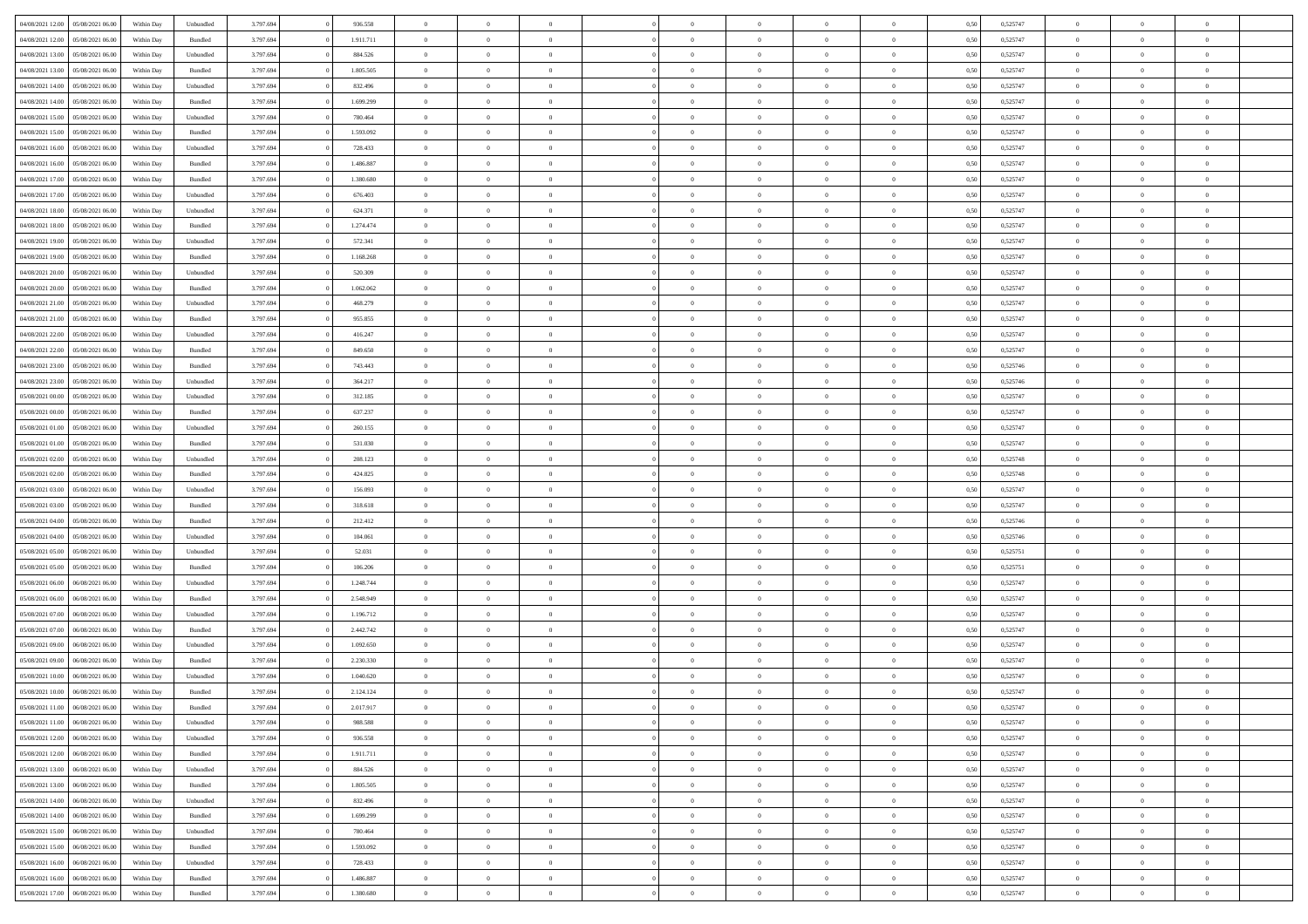|                  |                  |            |                    |           |           | $\overline{0}$ |                |                |                | $\Omega$       | $\theta$       | $\theta$       |      |          | $\theta$       | $\overline{0}$ | $\theta$       |  |
|------------------|------------------|------------|--------------------|-----------|-----------|----------------|----------------|----------------|----------------|----------------|----------------|----------------|------|----------|----------------|----------------|----------------|--|
| 04/08/2021 12:00 | 05/08/2021 06:00 | Within Day | Unbundled          | 3.797.694 | 936.558   |                | $\theta$       |                | $\Omega$       |                |                |                | 0,50 | 0,525747 |                |                |                |  |
| 04/08/2021 12:00 | 05/08/2021 06:00 | Within Day | Bundled            | 3.797.694 | 1.911.711 | $\overline{0}$ | $\theta$       | $\overline{0}$ | $\overline{0}$ | $\bf{0}$       | $\overline{0}$ | $\bf{0}$       | 0,50 | 0,525747 | $\theta$       | $\overline{0}$ | $\overline{0}$ |  |
| 04/08/2021 13:00 | 05/08/2021 06:00 | Within Day | Unbundled          | 3.797.694 | 884.526   | $\overline{0}$ | $\bf{0}$       | $\overline{0}$ | $\overline{0}$ | $\bf{0}$       | $\overline{0}$ | $\mathbf{0}$   | 0,50 | 0,525747 | $\overline{0}$ | $\overline{0}$ | $\overline{0}$ |  |
| 04/08/2021 13:00 | 05/08/2021 06:00 | Within Dav | Bundled            | 3.797.694 | 1.805.505 | $\overline{0}$ | $\overline{0}$ | $\overline{0}$ | $\overline{0}$ | $\bf{0}$       | $\overline{0}$ | $\overline{0}$ | 0.50 | 0,525747 | $\theta$       | $\theta$       | $\overline{0}$ |  |
| 04/08/2021 14:00 | 05/08/2021 06:00 | Within Day | Unbundled          | 3.797.694 | 832.496   | $\overline{0}$ | $\theta$       | $\overline{0}$ | $\overline{0}$ | $\bf{0}$       | $\overline{0}$ | $\bf{0}$       | 0,50 | 0,525747 | $\,$ 0 $\,$    | $\overline{0}$ | $\overline{0}$ |  |
|                  |                  |            |                    |           |           |                |                |                |                |                |                |                |      |          |                |                |                |  |
| 04/08/2021 14:00 | 05/08/2021 06:00 | Within Day | Bundled            | 3.797.694 | 1.699.299 | $\overline{0}$ | $\overline{0}$ | $\overline{0}$ | $\bf{0}$       | $\overline{0}$ | $\overline{0}$ | $\mathbf{0}$   | 0,50 | 0,525747 | $\overline{0}$ | $\overline{0}$ | $\bf{0}$       |  |
| 04/08/2021 15:00 | 05/08/2021 06:00 | Within Dav | Unbundled          | 3.797.694 | 780.464   | $\overline{0}$ | $\overline{0}$ | $\overline{0}$ | $\overline{0}$ | $\overline{0}$ | $\overline{0}$ | $\overline{0}$ | 0.50 | 0,525747 | $\theta$       | $\overline{0}$ | $\overline{0}$ |  |
| 04/08/2021 15:00 | 05/08/2021 06:00 | Within Day | Bundled            | 3.797.694 | 1.593.092 | $\overline{0}$ | $\theta$       | $\overline{0}$ | $\overline{0}$ | $\bf{0}$       | $\overline{0}$ | $\bf{0}$       | 0,50 | 0,525747 | $\theta$       | $\theta$       | $\overline{0}$ |  |
| 04/08/2021 16:00 | 05/08/2021 06:00 | Within Day | Unbundled          | 3.797.694 | 728.433   | $\overline{0}$ | $\overline{0}$ | $\overline{0}$ | $\bf{0}$       | $\bf{0}$       | $\bf{0}$       | $\mathbf{0}$   | 0,50 | 0,525747 | $\,0\,$        | $\overline{0}$ | $\overline{0}$ |  |
| 04/08/2021 16:00 | 05/08/2021 06:00 | Within Dav | Bundled            | 3.797.694 | 1.486.887 | $\overline{0}$ | $\overline{0}$ | $\overline{0}$ | $\overline{0}$ | $\overline{0}$ | $\overline{0}$ | $\overline{0}$ | 0.50 | 0,525747 | $\theta$       | $\overline{0}$ | $\overline{0}$ |  |
| 04/08/2021 17:00 | 05/08/2021 06:00 | Within Day | Bundled            | 3.797.694 | 1.380.680 | $\overline{0}$ | $\theta$       | $\overline{0}$ | $\overline{0}$ | $\bf{0}$       | $\overline{0}$ | $\bf{0}$       | 0,50 | 0,525747 | $\,$ 0 $\,$    | $\overline{0}$ | $\overline{0}$ |  |
| 04/08/2021 17:00 | 05/08/2021 06:00 | Within Day | Unbundled          | 3.797.694 | 676.403   | $\overline{0}$ | $\overline{0}$ | $\overline{0}$ | $\bf{0}$       | $\bf{0}$       | $\bf{0}$       | $\mathbf{0}$   | 0,50 | 0,525747 | $\overline{0}$ | $\overline{0}$ | $\bf{0}$       |  |
| 04/08/2021 18:00 | 05/08/2021 06:00 | Within Day | Unbundled          | 3.797.694 | 624.371   | $\overline{0}$ | $\overline{0}$ | $\overline{0}$ | $\overline{0}$ | $\bf{0}$       | $\overline{0}$ | $\overline{0}$ | 0.50 | 0,525747 | $\theta$       | $\theta$       | $\overline{0}$ |  |
|                  |                  |            |                    |           |           |                |                |                |                |                |                |                |      |          |                |                |                |  |
| 04/08/2021 18:00 | 05/08/2021 06:00 | Within Day | Bundled            | 3.797.694 | 1.274.474 | $\overline{0}$ | $\theta$       | $\overline{0}$ | $\overline{0}$ | $\bf{0}$       | $\overline{0}$ | $\bf{0}$       | 0,50 | 0,525747 | $\theta$       | $\overline{0}$ | $\overline{0}$ |  |
| 04/08/2021 19:00 | 05/08/2021 06:00 | Within Day | Unbundled          | 3.797.694 | 572.341   | $\overline{0}$ | $\overline{0}$ | $\overline{0}$ | $\bf{0}$       | $\overline{0}$ | $\overline{0}$ | $\mathbf{0}$   | 0,50 | 0,525747 | $\overline{0}$ | $\overline{0}$ | $\bf{0}$       |  |
| 04/08/2021 19:00 | 05/08/2021 06:00 | Within Dav | Bundled            | 3.797.694 | 1.168.268 | $\overline{0}$ | $\overline{0}$ | $\overline{0}$ | $\overline{0}$ | $\overline{0}$ | $\overline{0}$ | $\overline{0}$ | 0.50 | 0,525747 | $\theta$       | $\overline{0}$ | $\overline{0}$ |  |
| 04/08/2021 20:00 | 05/08/2021 06:00 | Within Day | Unbundled          | 3.797.694 | 520.309   | $\overline{0}$ | $\theta$       | $\overline{0}$ | $\overline{0}$ | $\bf{0}$       | $\overline{0}$ | $\bf{0}$       | 0,50 | 0,525747 | $\,$ 0 $\,$    | $\theta$       | $\overline{0}$ |  |
| 04/08/2021 20.00 | 05/08/2021 06:00 | Within Day | Bundled            | 3.797.694 | 1.062.062 | $\overline{0}$ | $\overline{0}$ | $\overline{0}$ | $\bf{0}$       | $\bf{0}$       | $\bf{0}$       | $\mathbf{0}$   | 0,50 | 0,525747 | $\,0\,$        | $\overline{0}$ | $\overline{0}$ |  |
| 04/08/2021 21:00 | 05/08/2021 06:00 | Within Day | Unbundled          | 3.797.694 | 468.279   | $\overline{0}$ | $\overline{0}$ | $\overline{0}$ | $\overline{0}$ | $\overline{0}$ | $\overline{0}$ | $\overline{0}$ | 0.50 | 0,525747 | $\theta$       | $\overline{0}$ | $\overline{0}$ |  |
| 04/08/2021 21.00 | 05/08/2021 06:00 | Within Day | Bundled            | 3.797.694 | 955.855   | $\overline{0}$ | $\theta$       | $\overline{0}$ | $\overline{0}$ | $\bf{0}$       | $\overline{0}$ | $\bf{0}$       | 0,50 | 0,525747 | $\,$ 0 $\,$    | $\overline{0}$ | $\overline{0}$ |  |
| 04/08/2021 22.00 | 05/08/2021 06:00 | Within Day | Unbundled          | 3.797.694 | 416.247   | $\overline{0}$ | $\overline{0}$ | $\overline{0}$ | $\bf{0}$       | $\bf{0}$       | $\bf{0}$       | $\mathbf{0}$   | 0,50 | 0,525747 | $\bf{0}$       | $\overline{0}$ | $\bf{0}$       |  |
|                  |                  |            |                    |           |           |                |                |                |                |                |                |                |      |          | $\theta$       |                |                |  |
| 04/08/2021 22:00 | 05/08/2021 06:00 | Within Day | Bundled            | 3.797.694 | 849,650   | $\overline{0}$ | $\overline{0}$ | $\overline{0}$ | $\overline{0}$ | $\overline{0}$ | $\overline{0}$ | $\overline{0}$ | 0.50 | 0,525747 |                | $\overline{0}$ | $\overline{0}$ |  |
| 04/08/2021 23:00 | 05/08/2021 06:00 | Within Day | Bundled            | 3.797.694 | 743.443   | $\overline{0}$ | $\theta$       | $\overline{0}$ | $\overline{0}$ | $\bf{0}$       | $\overline{0}$ | $\bf{0}$       | 0,50 | 0,525746 | $\,$ 0 $\,$    | $\overline{0}$ | $\overline{0}$ |  |
| 04/08/2021 23:00 | 05/08/2021 06:00 | Within Day | Unbundled          | 3.797.694 | 364.217   | $\overline{0}$ | $\overline{0}$ | $\overline{0}$ | $\bf{0}$       | $\overline{0}$ | $\overline{0}$ | $\mathbf{0}$   | 0,50 | 0,525746 | $\overline{0}$ | $\overline{0}$ | $\bf{0}$       |  |
| 05/08/2021 00:00 | 05/08/2021 06:00 | Within Dav | Unbundled          | 3.797.694 | 312.185   | $\overline{0}$ | $\overline{0}$ | $\overline{0}$ | $\overline{0}$ | $\overline{0}$ | $\overline{0}$ | $\overline{0}$ | 0.50 | 0,525747 | $\theta$       | $\overline{0}$ | $\overline{0}$ |  |
| 05/08/2021 00:00 | 05/08/2021 06:00 | Within Day | Bundled            | 3.797.694 | 637.237   | $\overline{0}$ | $\theta$       | $\overline{0}$ | $\overline{0}$ | $\bf{0}$       | $\overline{0}$ | $\bf{0}$       | 0,50 | 0,525747 | $\theta$       | $\theta$       | $\overline{0}$ |  |
| 05/08/2021 01:00 | 05/08/2021 06:00 | Within Day | Unbundled          | 3.797.694 | 260.155   | $\overline{0}$ | $\overline{0}$ | $\overline{0}$ | $\overline{0}$ | $\bf{0}$       | $\overline{0}$ | $\bf{0}$       | 0,50 | 0,525747 | $\,0\,$        | $\overline{0}$ | $\overline{0}$ |  |
| 05/08/2021 01:00 | 05/08/2021 06:00 | Within Day | Bundled            | 3.797.694 | 531.030   | $\overline{0}$ | $\overline{0}$ | $\overline{0}$ | $\overline{0}$ | $\overline{0}$ | $\overline{0}$ | $\overline{0}$ | 0.50 | 0,525747 | $\theta$       | $\overline{0}$ | $\overline{0}$ |  |
| 05/08/2021 02:00 | 05/08/2021 06:00 |            |                    | 3.797.694 | 208.123   | $\overline{0}$ | $\overline{0}$ | $\overline{0}$ | $\overline{0}$ | $\bf{0}$       | $\overline{0}$ |                |      | 0,525748 | $\,$ 0 $\,$    | $\overline{0}$ | $\overline{0}$ |  |
|                  |                  | Within Day | Unbundled          |           |           |                |                |                |                |                |                | $\bf{0}$       | 0,50 |          |                |                |                |  |
| 05/08/2021 02:00 | 05/08/2021 06:00 | Within Day | Bundled            | 3.797.694 | 424.825   | $\overline{0}$ | $\overline{0}$ | $\overline{0}$ | $\overline{0}$ | $\bf{0}$       | $\overline{0}$ | $\bf{0}$       | 0,50 | 0,525748 | $\overline{0}$ | $\overline{0}$ | $\bf{0}$       |  |
| 05/08/2021 03:00 | 05/08/2021 06:00 | Within Day | Unbundled          | 3.797.694 | 156.093   | $\overline{0}$ | $\Omega$       | $\overline{0}$ | $\Omega$       | $\Omega$       | $\overline{0}$ | $\overline{0}$ | 0,50 | 0,525747 | $\,0\,$        | $\theta$       | $\theta$       |  |
| 05/08/2021 03:00 | 05/08/2021 06:00 | Within Day | Bundled            | 3.797.694 | 318.618   | $\overline{0}$ | $\theta$       | $\overline{0}$ | $\overline{0}$ | $\bf{0}$       | $\overline{0}$ | $\bf{0}$       | 0,50 | 0,525747 | $\,$ 0 $\,$    | $\overline{0}$ | $\overline{0}$ |  |
| 05/08/2021 04:00 | 05/08/2021 06:00 | Within Day | Bundled            | 3.797.694 | 212.412   | $\overline{0}$ | $\overline{0}$ | $\overline{0}$ | $\overline{0}$ | $\overline{0}$ | $\overline{0}$ | $\mathbf{0}$   | 0,50 | 0,525746 | $\overline{0}$ | $\overline{0}$ | $\bf{0}$       |  |
| 05/08/2021 04:00 | 05/08/2021 06:00 | Within Day | Unbundled          | 3.797.694 | 104,061   | $\overline{0}$ | $\Omega$       | $\Omega$       | $\Omega$       | $\bf{0}$       | $\overline{0}$ | $\overline{0}$ | 0.50 | 0,525746 | $\,0\,$        | $\theta$       | $\theta$       |  |
| 05/08/2021 05:00 | 05/08/2021 06:00 | Within Day | Unbundled          | 3.797.694 | 52.031    | $\overline{0}$ | $\theta$       | $\overline{0}$ | $\overline{0}$ | $\bf{0}$       | $\overline{0}$ | $\bf{0}$       | 0,50 | 0,525751 | $\,$ 0 $\,$    | $\overline{0}$ | $\overline{0}$ |  |
| 05/08/2021 05:00 | 05/08/2021 06:00 | Within Day | Bundled            | 3.797.694 | 106.206   | $\overline{0}$ | $\overline{0}$ | $\overline{0}$ | $\overline{0}$ | $\bf{0}$       | $\overline{0}$ | $\bf{0}$       | 0,50 | 0,525751 | $\bf{0}$       | $\overline{0}$ | $\bf{0}$       |  |
| 05/08/2021 06:00 | 06/08/2021 06:00 |            | Unbundled          | 3.797.694 | 1.248.744 | $\overline{0}$ | $\Omega$       | $\overline{0}$ | $\Omega$       | $\overline{0}$ | $\overline{0}$ | $\overline{0}$ | 0.50 | 0,525747 | $\,$ 0 $\,$    | $\theta$       | $\theta$       |  |
|                  |                  | Within Day |                    |           |           |                |                |                |                |                |                |                |      |          |                |                |                |  |
| 05/08/2021 06:00 | 06/08/2021 06:00 | Within Day | Bundled            | 3.797.694 | 2.548.949 | $\overline{0}$ | $\overline{0}$ | $\overline{0}$ | $\overline{0}$ | $\,$ 0         | $\overline{0}$ | $\bf{0}$       | 0,50 | 0,525747 | $\,$ 0 $\,$    | $\overline{0}$ | $\overline{0}$ |  |
| 05/08/2021 07:00 | 06/08/2021 06:00 | Within Day | Unbundled          | 3.797.694 | 1.196.712 | $\overline{0}$ | $\bf{0}$       | $\overline{0}$ | $\overline{0}$ | $\bf{0}$       | $\overline{0}$ | $\mathbf{0}$   | 0,50 | 0,525747 | $\overline{0}$ | $\overline{0}$ | $\bf{0}$       |  |
| 05/08/2021 07:00 | 06/08/2021 06:00 | Within Day | Bundled            | 3.797.694 | 2.442.742 | $\overline{0}$ | $\Omega$       | $\overline{0}$ | $\Omega$       | $\overline{0}$ | $\overline{0}$ | $\overline{0}$ | 0,50 | 0,525747 | $\,0\,$        | $\theta$       | $\theta$       |  |
| 05/08/2021 09:00 | 06/08/2021 06:00 | Within Day | Unbundled          | 3.797.694 | 1.092.650 | $\overline{0}$ | $\overline{0}$ | $\overline{0}$ | $\overline{0}$ | $\,$ 0         | $\overline{0}$ | $\bf{0}$       | 0,50 | 0,525747 | $\,$ 0 $\,$    | $\overline{0}$ | $\overline{0}$ |  |
| 05/08/2021 09:00 | 06/08/2021 06:00 | Within Day | Bundled            | 3.797.694 | 2.230.330 | $\overline{0}$ | $\overline{0}$ | $\overline{0}$ | $\bf{0}$       | $\bf{0}$       | $\bf{0}$       | $\mathbf{0}$   | 0,50 | 0,525747 | $\overline{0}$ | $\overline{0}$ | $\bf{0}$       |  |
| 05/08/2021 10:00 | 06/08/2021 06:00 | Within Day | Unbundled          | 3.797.694 | 1.040.620 | $\overline{0}$ | $\Omega$       | $\Omega$       | $\Omega$       | $\Omega$       | $\Omega$       | $\overline{0}$ | 0.50 | 0,525747 | $\theta$       | $\theta$       | $\theta$       |  |
| 05/08/2021 10:00 | 06/08/2021 06:00 | Within Day | Bundled            | 3.797.694 | 2.124.124 | $\overline{0}$ | $\overline{0}$ | $\overline{0}$ | $\bf{0}$       | $\,$ 0         | $\bf{0}$       | $\bf{0}$       | 0,50 | 0,525747 | $\,0\,$        | $\,$ 0 $\,$    | $\overline{0}$ |  |
| 05/08/2021 11:00 | 06/08/2021 06:00 | Within Day | $\mathbf B$ undled | 3.797.694 | 2.017.917 | $\overline{0}$ | $\bf{0}$       |                |                |                |                |                | 0,50 | 0,525747 | $\bf{0}$       | $\overline{0}$ |                |  |
|                  |                  |            |                    |           |           |                |                |                | $\Omega$       |                |                |                |      |          | $\theta$       |                | $\theta$       |  |
| 05/08/2021 11:00 | 06/08/2021 06:00 | Within Day | Unbundled          | 3.797.694 | 988,588   | $\overline{0}$ | $\overline{0}$ | $\overline{0}$ |                | $\overline{0}$ | $\overline{0}$ | $\overline{0}$ | 0,50 | 0,525747 |                | $\theta$       |                |  |
| 05/08/2021 12:00 | 06/08/2021 06:00 | Within Day | Unbundled          | 3.797.694 | 936.558   | $\overline{0}$ | $\bf{0}$       | $\overline{0}$ | $\bf{0}$       | $\,$ 0 $\,$    | $\overline{0}$ | $\,$ 0 $\,$    | 0,50 | 0,525747 | $\,$ 0 $\,$    | $\,$ 0 $\,$    | $\,$ 0         |  |
| 05/08/2021 12:00 | 06/08/2021 06:00 | Within Day | Bundled            | 3.797.694 | 1.911.711 | $\overline{0}$ | $\overline{0}$ | $\overline{0}$ | $\overline{0}$ | $\overline{0}$ | $\overline{0}$ | $\mathbf{0}$   | 0,50 | 0,525747 | $\overline{0}$ | $\bf{0}$       | $\overline{0}$ |  |
| 05/08/2021 13:00 | 06/08/2021 06:00 | Within Day | Unbundled          | 3.797.694 | 884.526   | $\overline{0}$ | $\overline{0}$ | $\overline{0}$ | $\Omega$       | $\overline{0}$ | $\overline{0}$ | $\overline{0}$ | 0,50 | 0,525747 | $\overline{0}$ | $\theta$       | $\overline{0}$ |  |
| 05/08/2021 13:00 | 06/08/2021 06:00 | Within Day | Bundled            | 3.797.694 | 1.805.505 | $\overline{0}$ | $\,$ 0         | $\overline{0}$ | $\bf{0}$       | $\,$ 0 $\,$    | $\overline{0}$ | $\mathbf{0}$   | 0,50 | 0,525747 | $\,$ 0 $\,$    | $\overline{0}$ | $\overline{0}$ |  |
| 05/08/2021 14:00 | 06/08/2021 06:00 | Within Day | Unbundled          | 3.797.694 | 832.496   | $\overline{0}$ | $\overline{0}$ | $\overline{0}$ | $\overline{0}$ | $\overline{0}$ | $\overline{0}$ | $\mathbf{0}$   | 0,50 | 0,525747 | $\overline{0}$ | $\overline{0}$ | $\bf{0}$       |  |
| 05/08/2021 14:00 | 06/08/2021 06:00 | Within Day | Bundled            | 3.797.694 | 1.699.299 | $\overline{0}$ | $\overline{0}$ | $\overline{0}$ | $\overline{0}$ | $\overline{0}$ | $\overline{0}$ | $\bf{0}$       | 0.50 | 0,525747 | $\overline{0}$ | $\theta$       | $\overline{0}$ |  |
| 05/08/2021 15:00 | 06/08/2021 06:00 | Within Day | Unbundled          | 3.797.694 | 780.464   | $\overline{0}$ | $\,$ 0         | $\overline{0}$ | $\bf{0}$       | $\bf{0}$       | $\bf{0}$       | $\bf{0}$       | 0,50 | 0,525747 | $\,$ 0 $\,$    | $\overline{0}$ | $\overline{0}$ |  |
|                  |                  |            |                    |           |           |                | $\bf{0}$       |                |                |                |                |                |      |          |                | $\overline{0}$ |                |  |
| 05/08/2021 15:00 | 06/08/2021 06:00 | Within Day | Bundled            | 3.797.694 | 1.593.092 | $\overline{0}$ |                | $\overline{0}$ | $\overline{0}$ | $\overline{0}$ | $\overline{0}$ | $\mathbf{0}$   | 0,50 | 0,525747 | $\overline{0}$ |                | $\bf{0}$       |  |
| 05/08/2021 16:00 | 06/08/2021 06:00 | Within Day | Unbundled          | 3.797.694 | 728.433   | $\overline{0}$ | $\overline{0}$ | $\overline{0}$ | $\Omega$       | $\overline{0}$ | $\overline{0}$ | $\overline{0}$ | 0.50 | 0,525747 | $\overline{0}$ | $\overline{0}$ | $\overline{0}$ |  |
| 05/08/2021 16:00 | 06/08/2021 06:00 | Within Day | Bundled            | 3.797.694 | 1.486.887 | $\overline{0}$ | $\bf{0}$       | $\overline{0}$ | $\bf{0}$       | $\bf{0}$       | $\bf{0}$       | $\mathbf{0}$   | 0,50 | 0,525747 | $\,$ 0 $\,$    | $\,$ 0 $\,$    | $\bf{0}$       |  |
| 05/08/2021 17:00 | 06/08/2021 06:00 | Within Day | Bundled            | 3.797.694 | 1.380.680 | $\overline{0}$ | $\overline{0}$ | $\overline{0}$ | $\overline{0}$ | $\overline{0}$ | $\bf{0}$       | $\mathbf{0}$   | 0,50 | 0,525747 | $\overline{0}$ | $\bf{0}$       | $\overline{0}$ |  |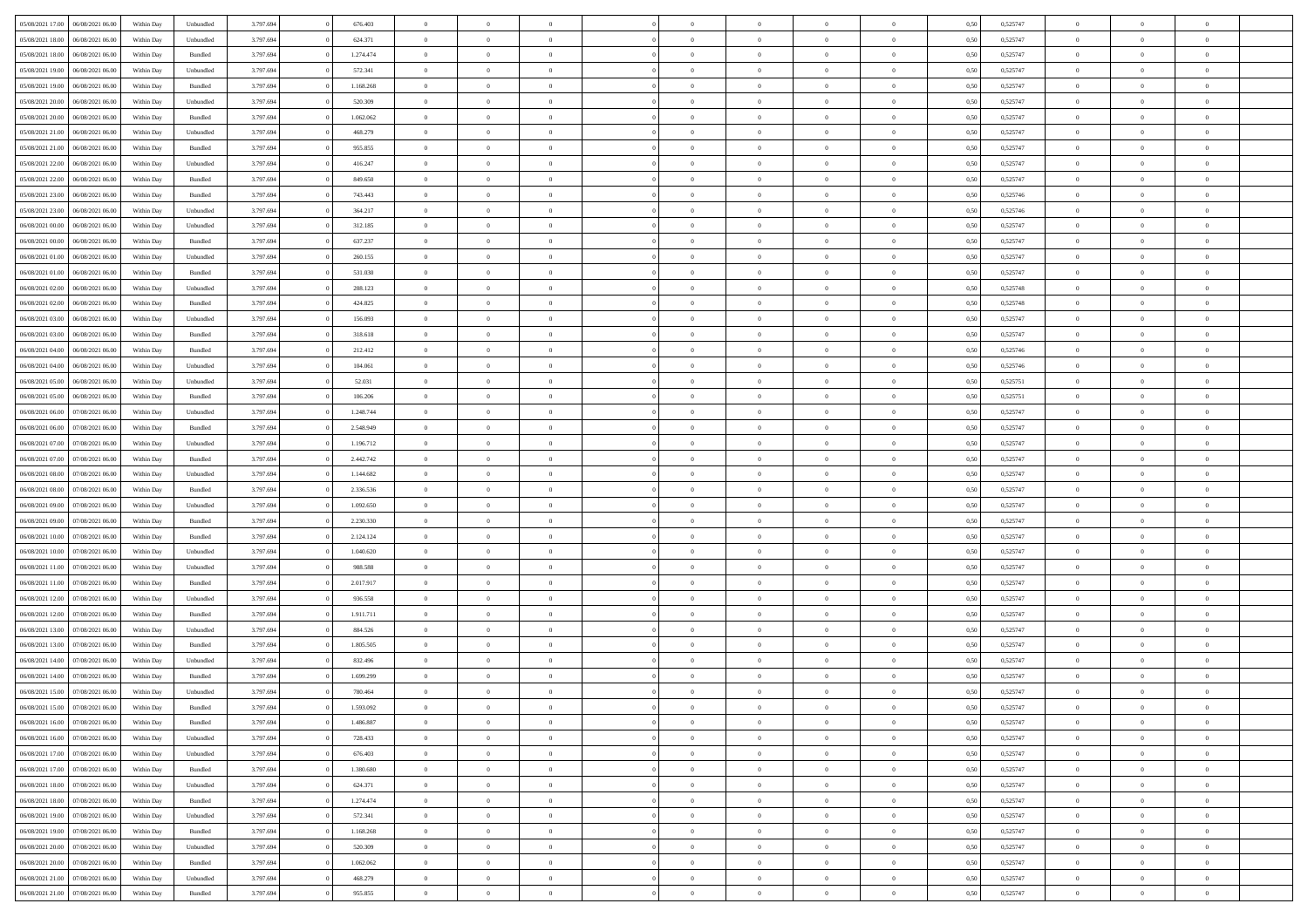| 05/08/2021 17:00                  | 06/08/2021 06:00 | Within Day | Unbundled          | 3.797.694 | 676.403   | $\overline{0}$ | $\Omega$       |                | $\Omega$       | $\Omega$       | $\Omega$       | $\theta$       | 0.50 | 0,525747 | $\theta$       | $\theta$       | $\theta$       |  |
|-----------------------------------|------------------|------------|--------------------|-----------|-----------|----------------|----------------|----------------|----------------|----------------|----------------|----------------|------|----------|----------------|----------------|----------------|--|
| 05/08/2021 18:00                  | 06/08/2021 06:00 | Within Day | Unbundled          | 3.797.694 | 624.371   | $\overline{0}$ | $\theta$       | $\overline{0}$ | $\overline{0}$ | $\bf{0}$       | $\overline{0}$ | $\bf{0}$       | 0,50 | 0,525747 | $\theta$       | $\theta$       | $\overline{0}$ |  |
| 05/08/2021 18:00                  | 06/08/2021 06:00 | Within Day | Bundled            | 3.797.694 | 1.274.474 | $\overline{0}$ | $\overline{0}$ | $\overline{0}$ | $\bf{0}$       | $\bf{0}$       | $\bf{0}$       | $\bf{0}$       | 0,50 | 0,525747 | $\overline{0}$ | $\overline{0}$ | $\overline{0}$ |  |
| 05/08/2021 19:00                  | 06/08/2021 06:00 | Within Dav | Unbundled          | 3.797.694 | 572.341   | $\overline{0}$ | $\overline{0}$ | $\overline{0}$ | $\overline{0}$ | $\bf{0}$       | $\overline{0}$ | $\overline{0}$ | 0.50 | 0,525747 | $\theta$       | $\theta$       | $\overline{0}$ |  |
| 05/08/2021 19:00                  | 06/08/2021 06:00 | Within Day | Bundled            | 3.797.694 | 1.168.268 | $\overline{0}$ | $\theta$       | $\overline{0}$ | $\overline{0}$ | $\bf{0}$       | $\overline{0}$ | $\bf{0}$       | 0,50 | 0,525747 | $\theta$       | $\overline{0}$ | $\overline{0}$ |  |
|                                   |                  |            |                    |           |           |                |                |                |                |                |                |                |      |          |                |                |                |  |
| 05/08/2021 20:00                  | 06/08/2021 06:00 | Within Day | Unbundled          | 3.797.694 | 520.309   | $\overline{0}$ | $\bf{0}$       | $\overline{0}$ | $\overline{0}$ | $\overline{0}$ | $\overline{0}$ | $\mathbf{0}$   | 0,50 | 0,525747 | $\overline{0}$ | $\overline{0}$ | $\bf{0}$       |  |
| 05/08/2021 20:00                  | 06/08/2021 06:00 | Within Dav | Bundled            | 3.797.694 | 1.062.062 | $\overline{0}$ | $\overline{0}$ | $\overline{0}$ | $\overline{0}$ | $\overline{0}$ | $\overline{0}$ | $\overline{0}$ | 0.50 | 0,525747 | $\theta$       | $\overline{0}$ | $\overline{0}$ |  |
| 05/08/2021 21:00                  | 06/08/2021 06:00 | Within Day | Unbundled          | 3.797.694 | 468.279   | $\overline{0}$ | $\theta$       | $\overline{0}$ | $\overline{0}$ | $\bf{0}$       | $\overline{0}$ | $\bf{0}$       | 0,50 | 0,525747 | $\theta$       | $\theta$       | $\overline{0}$ |  |
| 05/08/2021 21:00                  | 06/08/2021 06:00 | Within Day | Bundled            | 3.797.694 | 955.855   | $\overline{0}$ | $\overline{0}$ | $\overline{0}$ | $\overline{0}$ | $\bf{0}$       | $\overline{0}$ | $\bf{0}$       | 0,50 | 0,525747 | $\,0\,$        | $\overline{0}$ | $\overline{0}$ |  |
| 05/08/2021 22:00                  | 06/08/2021 06:00 | Within Dav | Unbundled          | 3.797.694 | 416.247   | $\overline{0}$ | $\overline{0}$ | $\overline{0}$ | $\overline{0}$ | $\overline{0}$ | $\overline{0}$ | $\overline{0}$ | 0.50 | 0,525747 | $\theta$       | $\overline{0}$ | $\overline{0}$ |  |
| 05/08/2021 22:00                  | 06/08/2021 06:00 | Within Day | Bundled            | 3.797.694 | 849.650   | $\overline{0}$ | $\theta$       | $\overline{0}$ | $\overline{0}$ | $\bf{0}$       | $\overline{0}$ | $\bf{0}$       | 0,50 | 0,525747 | $\,$ 0 $\,$    | $\overline{0}$ | $\overline{0}$ |  |
| 05/08/2021 23:00                  | 06/08/2021 06:00 | Within Day | Bundled            | 3.797.694 | 743.443   | $\overline{0}$ | $\overline{0}$ | $\overline{0}$ | $\overline{0}$ | $\bf{0}$       | $\overline{0}$ | $\bf{0}$       | 0,50 | 0,525746 | $\overline{0}$ | $\overline{0}$ | $\overline{0}$ |  |
|                                   |                  |            |                    |           |           |                |                |                |                |                |                |                |      |          |                |                |                |  |
| 05/08/2021 23:00                  | 06/08/2021 06:00 | Within Day | Unbundled          | 3.797.694 | 364.217   | $\overline{0}$ | $\overline{0}$ | $\overline{0}$ | $\overline{0}$ | $\bf{0}$       | $\overline{0}$ | $\overline{0}$ | 0.50 | 0,525746 | $\theta$       | $\theta$       | $\overline{0}$ |  |
| 06/08/2021 00:00                  | 06/08/2021 06:00 | Within Day | Unbundled          | 3.797.694 | 312.185   | $\overline{0}$ | $\theta$       | $\overline{0}$ | $\overline{0}$ | $\bf{0}$       | $\overline{0}$ | $\bf{0}$       | 0,50 | 0,525747 | $\theta$       | $\theta$       | $\overline{0}$ |  |
| 06/08/2021 00:00                  | 06/08/2021 06:00 | Within Day | Bundled            | 3.797.694 | 637.237   | $\overline{0}$ | $\bf{0}$       | $\overline{0}$ | $\overline{0}$ | $\overline{0}$ | $\overline{0}$ | $\mathbf{0}$   | 0,50 | 0,525747 | $\overline{0}$ | $\overline{0}$ | $\bf{0}$       |  |
| 06/08/2021 01:00                  | 06/08/2021 06:00 | Within Dav | Unbundled          | 3.797.694 | 260.155   | $\overline{0}$ | $\overline{0}$ | $\overline{0}$ | $\overline{0}$ | $\overline{0}$ | $\overline{0}$ | $\overline{0}$ | 0.50 | 0,525747 | $\theta$       | $\overline{0}$ | $\overline{0}$ |  |
| 06/08/2021 01:00                  | 06/08/2021 06:00 | Within Day | Bundled            | 3.797.694 | 531.030   | $\overline{0}$ | $\theta$       | $\overline{0}$ | $\overline{0}$ | $\bf{0}$       | $\overline{0}$ | $\bf{0}$       | 0,50 | 0,525747 | $\theta$       | $\theta$       | $\overline{0}$ |  |
| 06/08/2021 02:00                  | 06/08/2021 06:00 | Within Day | Unbundled          | 3.797.694 | 208.123   | $\overline{0}$ | $\overline{0}$ | $\overline{0}$ | $\overline{0}$ | $\bf{0}$       | $\overline{0}$ | $\bf{0}$       | 0,50 | 0,525748 | $\,0\,$        | $\overline{0}$ | $\overline{0}$ |  |
| 06/08/2021 02:00                  | 06/08/2021 06:00 | Within Day | Bundled            | 3.797.694 | 424.825   | $\overline{0}$ | $\overline{0}$ | $\overline{0}$ | $\overline{0}$ | $\overline{0}$ | $\overline{0}$ | $\overline{0}$ | 0.50 | 0,525748 | $\theta$       | $\overline{0}$ | $\overline{0}$ |  |
| 06/08/2021 03:00                  | 06/08/2021 06:00 | Within Day | Unbundled          | 3.797.694 | 156.093   | $\overline{0}$ | $\theta$       | $\overline{0}$ | $\overline{0}$ | $\bf{0}$       | $\overline{0}$ | $\bf{0}$       | 0,50 | 0,525747 | $\,$ 0 $\,$    | $\theta$       | $\overline{0}$ |  |
|                                   |                  |            |                    |           |           |                |                |                |                |                |                |                |      |          |                |                |                |  |
| 06/08/2021 03:00                  | 06/08/2021 06:00 | Within Day | Bundled            | 3.797.694 | 318.618   | $\overline{0}$ | $\overline{0}$ | $\overline{0}$ | $\overline{0}$ | $\bf{0}$       | $\overline{0}$ | $\bf{0}$       | 0,50 | 0,525747 | $\bf{0}$       | $\overline{0}$ | $\overline{0}$ |  |
| 06/08/2021 04:00                  | 06/08/2021 06:00 | Within Day | Bundled            | 3.797.694 | 212.412   | $\overline{0}$ | $\overline{0}$ | $\overline{0}$ | $\overline{0}$ | $\bf{0}$       | $\overline{0}$ | $\overline{0}$ | 0.50 | 0,525746 | $\theta$       | $\overline{0}$ | $\overline{0}$ |  |
| 06/08/2021 04:00                  | 06/08/2021 06:00 | Within Day | Unbundled          | 3.797.694 | 104.061   | $\overline{0}$ | $\theta$       | $\overline{0}$ | $\overline{0}$ | $\bf{0}$       | $\overline{0}$ | $\bf{0}$       | 0,50 | 0,525746 | $\,$ 0 $\,$    | $\overline{0}$ | $\overline{0}$ |  |
| 06/08/2021 05:00                  | 06/08/2021 06:00 | Within Day | Unbundled          | 3.797.694 | 52.031    | $\overline{0}$ | $\bf{0}$       | $\overline{0}$ | $\overline{0}$ | $\overline{0}$ | $\overline{0}$ | $\mathbf{0}$   | 0,50 | 0,525751 | $\overline{0}$ | $\overline{0}$ | $\bf{0}$       |  |
| 06/08/2021 05:00                  | 06/08/2021 06:00 | Within Dav | Bundled            | 3.797.694 | 106.206   | $\overline{0}$ | $\overline{0}$ | $\overline{0}$ | $\overline{0}$ | $\overline{0}$ | $\overline{0}$ | $\overline{0}$ | 0.50 | 0,525751 | $\theta$       | $\overline{0}$ | $\overline{0}$ |  |
| 06/08/2021 06:00                  | 07/08/2021 06:00 | Within Day | Unbundled          | 3.797.694 | 1.248.744 | $\overline{0}$ | $\theta$       | $\overline{0}$ | $\overline{0}$ | $\bf{0}$       | $\overline{0}$ | $\bf{0}$       | 0,50 | 0,525747 | $\theta$       | $\theta$       | $\overline{0}$ |  |
| 06/08/2021 06:00                  | 07/08/2021 06:00 | Within Day | Bundled            | 3.797.694 | 2.548.949 | $\overline{0}$ | $\overline{0}$ | $\overline{0}$ | $\bf{0}$       | $\bf{0}$       | $\bf{0}$       | $\bf{0}$       | 0,50 | 0,525747 | $\,0\,$        | $\overline{0}$ | $\overline{0}$ |  |
|                                   |                  |            |                    |           |           |                |                |                |                |                |                |                |      |          |                |                |                |  |
| 06/08/2021 07:00                  | 07/08/2021 06:00 | Within Day | Unbundled          | 3.797.694 | 1.196.712 | $\overline{0}$ | $\overline{0}$ | $\overline{0}$ | $\overline{0}$ | $\overline{0}$ | $\overline{0}$ | $\overline{0}$ | 0.50 | 0,525747 | $\theta$       | $\overline{0}$ | $\overline{0}$ |  |
| 06/08/2021 07:00                  | 07/08/2021 06:00 | Within Day | Bundled            | 3.797.694 | 2.442.742 | $\overline{0}$ | $\theta$       | $\overline{0}$ | $\overline{0}$ | $\bf{0}$       | $\overline{0}$ | $\bf{0}$       | 0,50 | 0,525747 | $\,$ 0 $\,$    | $\overline{0}$ | $\overline{0}$ |  |
| 06/08/2021 08:00                  | 07/08/2021 06:00 | Within Day | Unbundled          | 3.797.694 | 1.144.682 | $\overline{0}$ | $\overline{0}$ | $\overline{0}$ | $\bf{0}$       | $\bf{0}$       | $\bf{0}$       | $\bf{0}$       | 0,50 | 0,525747 | $\bf{0}$       | $\overline{0}$ | $\overline{0}$ |  |
| 06/08/2021 08:00                  | 07/08/2021 06:00 | Within Day | Bundled            | 3.797.694 | 2.336.536 | $\overline{0}$ | $\Omega$       | $\Omega$       | $\Omega$       | $\Omega$       | $\Omega$       | $\overline{0}$ | 0,50 | 0,525747 | $\,0\,$        | $\Omega$       | $\theta$       |  |
| 06/08/2021 09:00                  | 07/08/2021 06.00 | Within Day | Unbundled          | 3.797.694 | 1.092.650 | $\overline{0}$ | $\theta$       | $\overline{0}$ | $\overline{0}$ | $\bf{0}$       | $\overline{0}$ | $\bf{0}$       | 0,50 | 0,525747 | $\theta$       | $\theta$       | $\overline{0}$ |  |
| 06/08/2021 09:00                  | 07/08/2021 06:00 | Within Day | Bundled            | 3.797.694 | 2.230.330 | $\overline{0}$ | $\overline{0}$ | $\overline{0}$ | $\bf{0}$       | $\bf{0}$       | $\overline{0}$ | $\mathbf{0}$   | 0,50 | 0,525747 | $\overline{0}$ | $\overline{0}$ | $\bf{0}$       |  |
| 06/08/2021 10:00                  | 07/08/2021 06:00 | Within Day | Bundled            | 3.797.694 | 2.124.124 | $\overline{0}$ | $\Omega$       | $\Omega$       | $\Omega$       | $\bf{0}$       | $\overline{0}$ | $\overline{0}$ | 0.50 | 0,525747 | $\,0\,$        | $\theta$       | $\theta$       |  |
| 06/08/2021 10:00                  | 07/08/2021 06:00 | Within Day | Unbundled          | 3.797.694 | 1.040.620 | $\overline{0}$ | $\theta$       | $\overline{0}$ | $\overline{0}$ | $\bf{0}$       | $\overline{0}$ | $\bf{0}$       | 0,50 | 0,525747 | $\,$ 0 $\,$    | $\theta$       | $\overline{0}$ |  |
|                                   |                  |            |                    |           |           |                |                |                |                |                |                |                |      |          |                |                |                |  |
| 06/08/2021 11:00                  | 07/08/2021 06:00 | Within Day | Unbundled          | 3.797.694 | 988.588   | $\overline{0}$ | $\overline{0}$ | $\overline{0}$ | $\bf{0}$       | $\bf{0}$       | $\bf{0}$       | $\bf{0}$       | 0,50 | 0,525747 | $\,0\,$        | $\overline{0}$ | $\overline{0}$ |  |
| 06/08/2021 11:00                  | 07/08/2021 06:00 | Within Day | Bundled            | 3.797.694 | 2.017.917 | $\overline{0}$ | $\Omega$       | $\Omega$       | $\Omega$       | $\Omega$       | $\theta$       | $\overline{0}$ | 0.50 | 0,525747 | $\theta$       | $\theta$       | $\theta$       |  |
| 06/08/2021 12:00                  | 07/08/2021 06:00 | Within Day | Unbundled          | 3.797.694 | 936.558   | $\overline{0}$ | $\theta$       | $\overline{0}$ | $\overline{0}$ | $\bf{0}$       | $\overline{0}$ | $\bf{0}$       | 0,50 | 0,525747 | $\,$ 0 $\,$    | $\overline{0}$ | $\overline{0}$ |  |
| 06/08/2021 12:00                  | 07/08/2021 06:00 | Within Day | Bundled            | 3.797.694 | 1.911.711 | $\overline{0}$ | $\overline{0}$ | $\overline{0}$ | $\bf{0}$       | $\bf{0}$       | $\bf{0}$       | $\bf{0}$       | 0,50 | 0,525747 | $\overline{0}$ | $\overline{0}$ | $\overline{0}$ |  |
| 06/08/2021 13:00                  | 07/08/2021 06:00 | Within Day | Unbundled          | 3.797.694 | 884.526   | $\overline{0}$ | $\Omega$       | $\overline{0}$ | $\Omega$       | $\Omega$       | $\overline{0}$ | $\overline{0}$ | 0,50 | 0,525747 | $\,0\,$        | $\theta$       | $\theta$       |  |
| 06/08/2021 13:00                  | 07/08/2021 06:00 | Within Day | Bundled            | 3.797.694 | 1.805.505 | $\overline{0}$ | $\theta$       | $\overline{0}$ | $\overline{0}$ | $\bf{0}$       | $\overline{0}$ | $\bf{0}$       | 0,50 | 0,525747 | $\,$ 0 $\,$    | $\overline{0}$ | $\overline{0}$ |  |
| 06/08/2021 14:00                  | 07/08/2021 06:00 | Within Day | Unbundled          | 3.797.694 | 832.496   | $\overline{0}$ | $\overline{0}$ | $\overline{0}$ | $\bf{0}$       | $\bf{0}$       | $\bf{0}$       | $\mathbf{0}$   | 0,50 | 0,525747 | $\overline{0}$ | $\overline{0}$ | $\bf{0}$       |  |
| 06/08/2021 14:00                  | 07/08/2021 06:00 | Within Day | Bundled            | 3.797.694 | 1.699.299 | $\overline{0}$ | $\Omega$       | $\Omega$       | $\Omega$       | $\Omega$       | $\Omega$       | $\overline{0}$ | 0.50 | 0,525747 | $\theta$       | $\theta$       | $\theta$       |  |
|                                   |                  |            |                    |           |           |                |                |                |                |                |                |                |      |          |                |                |                |  |
| 06/08/2021 15:00                  | 07/08/2021 06:00 | Within Day | Unbundled          | 3.797.694 | 780.464   | $\overline{0}$ | $\,$ 0 $\,$    | $\overline{0}$ | $\bf{0}$       | $\,$ 0         | $\bf{0}$       | $\bf{0}$       | 0,50 | 0,525747 | $\,0\,$        | $\overline{0}$ | $\overline{0}$ |  |
| 06/08/2021 15:00 07/08/2021 06:00 |                  | Within Day | $\mathbf B$ undled | 3.797.694 | 1.593.092 | $\bf{0}$       | $\bf{0}$       |                |                |                |                |                | 0,50 | 0,525747 | $\bf{0}$       | $\overline{0}$ |                |  |
| 06/08/2021 16:00                  | 07/08/2021 06:00 | Within Day | Bundled            | 3.797.694 | 1.486.887 | $\overline{0}$ | $\overline{0}$ | $\overline{0}$ | $\Omega$       | $\overline{0}$ | $\overline{0}$ | $\overline{0}$ | 0,50 | 0,525747 | $\theta$       | $\theta$       | $\theta$       |  |
| 06/08/2021 16:00                  | 07/08/2021 06:00 | Within Day | Unbundled          | 3.797.694 | 728.433   | $\overline{0}$ | $\,$ 0         | $\overline{0}$ | $\bf{0}$       | $\,$ 0 $\,$    | $\overline{0}$ | $\,$ 0 $\,$    | 0,50 | 0,525747 | $\,$ 0 $\,$    | $\,$ 0 $\,$    | $\,$ 0         |  |
| 06/08/2021 17:00                  | 07/08/2021 06:00 | Within Day | Unbundled          | 3.797.694 | 676.403   | $\overline{0}$ | $\overline{0}$ | $\overline{0}$ | $\overline{0}$ | $\overline{0}$ | $\overline{0}$ | $\mathbf{0}$   | 0,50 | 0,525747 | $\overline{0}$ | $\bf{0}$       | $\bf{0}$       |  |
| 06/08/2021 17:00                  | 07/08/2021 06:00 | Within Day | $\mathbf B$ undled | 3.797.694 | 1.380.680 | $\overline{0}$ | $\overline{0}$ | $\overline{0}$ | $\Omega$       | $\overline{0}$ | $\overline{0}$ | $\overline{0}$ | 0,50 | 0,525747 | $\overline{0}$ | $\theta$       | $\overline{0}$ |  |
| 06/08/2021 18:00                  | 07/08/2021 06:00 | Within Day | Unbundled          | 3.797.694 | 624.371   | $\overline{0}$ | $\,$ 0         | $\overline{0}$ | $\overline{0}$ | $\,$ 0 $\,$    | $\overline{0}$ | $\,$ 0 $\,$    | 0,50 | 0,525747 | $\,$ 0 $\,$    | $\overline{0}$ | $\overline{0}$ |  |
|                                   |                  |            |                    |           |           |                |                |                |                |                |                |                |      |          |                |                |                |  |
| 06/08/2021 18:00                  | 07/08/2021 06:00 | Within Day | Bundled            | 3.797.694 | 1.274.474 | $\overline{0}$ | $\overline{0}$ | $\overline{0}$ | $\overline{0}$ | $\overline{0}$ | $\overline{0}$ | $\mathbf{0}$   | 0,50 | 0,525747 | $\overline{0}$ | $\overline{0}$ | $\bf{0}$       |  |
| 06/08/2021 19:00                  | 07/08/2021 06:00 | Within Day | Unbundled          | 3.797.694 | 572.341   | $\overline{0}$ | $\overline{0}$ | $\overline{0}$ | $\overline{0}$ | $\overline{0}$ | $\overline{0}$ | $\bf{0}$       | 0.50 | 0,525747 | $\overline{0}$ | $\theta$       | $\overline{0}$ |  |
| 06/08/2021 19:00                  | 07/08/2021 06:00 | Within Day | Bundled            | 3.797.694 | 1.168.268 | $\overline{0}$ | $\,$ 0         | $\overline{0}$ | $\overline{0}$ | $\bf{0}$       | $\overline{0}$ | $\bf{0}$       | 0,50 | 0,525747 | $\,$ 0 $\,$    | $\overline{0}$ | $\overline{0}$ |  |
| 06/08/2021 20:00                  | 07/08/2021 06:00 | Within Day | Unbundled          | 3.797.694 | 520.309   | $\overline{0}$ | $\bf{0}$       | $\overline{0}$ | $\overline{0}$ | $\overline{0}$ | $\overline{0}$ | $\mathbf{0}$   | 0,50 | 0,525747 | $\overline{0}$ | $\overline{0}$ | $\bf{0}$       |  |
| 06/08/2021 20:00                  | 07/08/2021 06:00 | Within Day | Bundled            | 3.797.694 | 1.062.062 | $\overline{0}$ | $\overline{0}$ | $\overline{0}$ | $\Omega$       | $\overline{0}$ | $\overline{0}$ | $\overline{0}$ | 0.50 | 0,525747 | $\overline{0}$ | $\overline{0}$ | $\overline{0}$ |  |
| 06/08/2021 21:00                  | 07/08/2021 06:00 | Within Day | Unbundled          | 3.797.694 | 468.279   | $\overline{0}$ | $\bf{0}$       | $\overline{0}$ | $\overline{0}$ | $\bf{0}$       | $\overline{0}$ | $\mathbf{0}$   | 0,50 | 0,525747 | $\,$ 0 $\,$    | $\,$ 0 $\,$    | $\bf{0}$       |  |
| 06/08/2021 21:00                  | 07/08/2021 06:00 | Within Day | Bundled            | 3.797.694 | 955.855   | $\overline{0}$ | $\bf{0}$       | $\overline{0}$ | $\overline{0}$ | $\bf{0}$       | $\overline{0}$ | $\bf{0}$       | 0,50 | 0,525747 | $\overline{0}$ | $\overline{0}$ | $\bf{0}$       |  |
|                                   |                  |            |                    |           |           |                |                |                |                |                |                |                |      |          |                |                |                |  |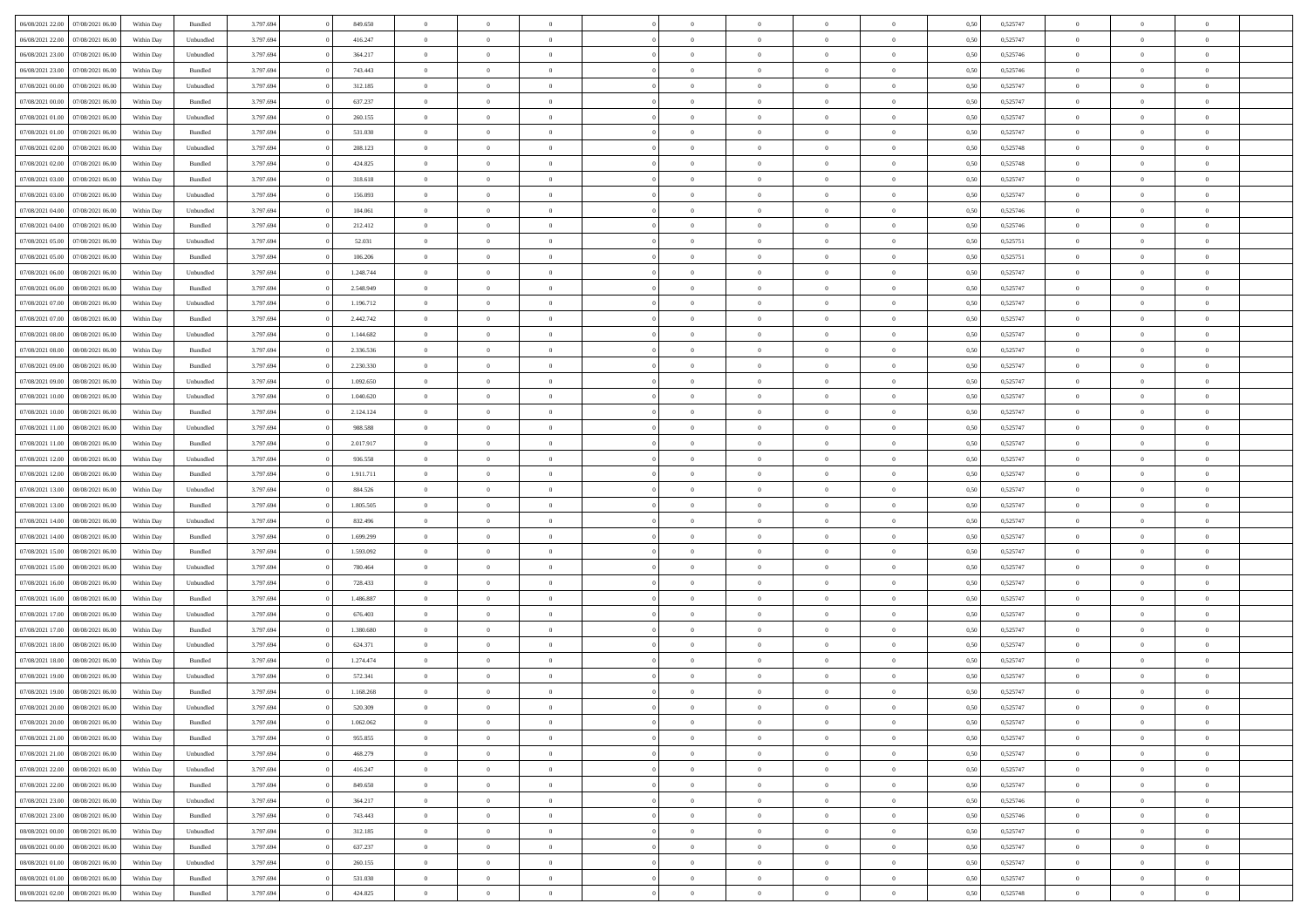| 06/08/2021 22:00 07/08/2021 06:00                        | Within Day | Bundled              | 3.797.694              | 849.650              | $\overline{0}$                   | $\overline{0}$             | $\Omega$       | $\Omega$                         | $\theta$                         | $\Omega$                         | $\theta$                   | 0,50         | 0,525747             | $\theta$                | $\theta$             | $\theta$                         |  |
|----------------------------------------------------------|------------|----------------------|------------------------|----------------------|----------------------------------|----------------------------|----------------|----------------------------------|----------------------------------|----------------------------------|----------------------------|--------------|----------------------|-------------------------|----------------------|----------------------------------|--|
| 06/08/2021 22:00<br>07/08/2021 06:00                     | Within Day | Unbundled            | 3.797.694              | 416.247              | $\overline{0}$                   | $\overline{0}$             | $\overline{0}$ | $\overline{0}$                   | $\theta$                         | $\overline{0}$                   | $\bf{0}$                   | 0,50         | 0,525747             | $\theta$                | $\theta$             | $\overline{0}$                   |  |
| 06/08/2021 23:00<br>07/08/2021 06:00                     | Within Day | Unbundled            | 3.797.694              | 364.217              | $\overline{0}$                   | $\bf{0}$                   | $\overline{0}$ | $\overline{0}$                   | $\overline{0}$                   | $\overline{0}$                   | $\bf{0}$                   | 0,50         | 0,525746             | $\bf{0}$                | $\overline{0}$       | $\overline{0}$                   |  |
| 06/08/2021 23:00<br>07/08/2021 06:00                     | Within Day | Bundled              | 3.797.694              | 743,443              | $\overline{0}$                   | $\overline{0}$             | $\overline{0}$ | $\overline{0}$                   | $\theta$                         | $\overline{0}$                   | $\overline{0}$             | 0.50         | 0,525746             | $\theta$                | $\theta$             | $\overline{0}$                   |  |
| 07/08/2021 00:00<br>07/08/2021 06:00                     | Within Day | Unbundled            | 3.797.694              | 312.185              | $\overline{0}$                   | $\overline{0}$             | $\overline{0}$ | $\overline{0}$                   | $\theta$                         | $\overline{0}$                   | $\bf{0}$                   | 0,50         | 0,525747             | $\theta$                | $\theta$             | $\overline{0}$                   |  |
| 07/08/2021 00:00<br>07/08/2021 06:00                     | Within Day | Bundled              | 3.797.694              | 637.237              | $\overline{0}$                   | $\bf{0}$                   | $\overline{0}$ | $\overline{0}$                   | $\overline{0}$                   | $\overline{0}$                   | $\bf{0}$                   | 0,50         | 0,525747             | $\bf{0}$                | $\overline{0}$       | $\bf{0}$                         |  |
| 07/08/2021 01:00<br>07/08/2021 06:00                     | Within Day | Unbundled            | 3.797.694              | 260.155              | $\overline{0}$                   | $\overline{0}$             | $\overline{0}$ | $\overline{0}$                   | $\overline{0}$                   | $\overline{0}$                   | $\overline{0}$             | 0.5(         | 0,525747             | $\theta$                | $\theta$             | $\overline{0}$                   |  |
| 07/08/2021 01:00<br>07/08/2021 06:00                     | Within Day | Bundled              | 3.797.694              | 531.030              | $\overline{0}$                   | $\theta$                   | $\overline{0}$ | $\overline{0}$                   | $\theta$                         | $\overline{0}$                   | $\bf{0}$                   | 0,50         | 0,525747             | $\theta$                | $\theta$             | $\overline{0}$                   |  |
| 07/08/2021 02:00<br>07/08/2021 06:00                     | Within Day | Unbundled            | 3.797.694              | 208.123              | $\overline{0}$                   | $\bf{0}$                   | $\overline{0}$ | $\overline{0}$                   | $\overline{0}$                   | $\overline{0}$                   | $\bf{0}$                   | 0,50         | 0,525748             | $\bf{0}$                | $\bf{0}$             | $\overline{0}$                   |  |
| 07/08/2021 02:00<br>07/08/2021 06:00                     | Within Day | Bundled              | 3.797.694              | 424.825              | $\overline{0}$                   | $\overline{0}$             | $\overline{0}$ | $\overline{0}$                   | $\overline{0}$                   | $\overline{0}$                   | $\overline{0}$             | 0.50         | 0,525748             | $\theta$                | $\theta$             | $\overline{0}$                   |  |
| 07/08/2021 03:00<br>07/08/2021 06:00                     | Within Day | Bundled              | 3.797.694              | 318.618              | $\overline{0}$                   | $\overline{0}$             | $\overline{0}$ | $\overline{0}$                   | $\theta$                         | $\overline{0}$                   | $\bf{0}$                   | 0,50         | 0,525747             | $\theta$                | $\theta$             | $\overline{0}$                   |  |
| 07/08/2021 03:00<br>07/08/2021 06:00                     | Within Day | Unbundled            | 3.797.694              | 156.093              | $\overline{0}$                   | $\bf{0}$                   | $\overline{0}$ | $\overline{0}$                   | $\bf{0}$                         | $\overline{0}$                   | $\bf{0}$                   | 0,50         | 0,525747             | $\bf{0}$                | $\overline{0}$       | $\overline{0}$                   |  |
| 07/08/2021 04:00<br>07/08/2021 06:00                     | Within Day | Unbundled            | 3.797.694              | 104.061              | $\overline{0}$                   | $\overline{0}$             | $\overline{0}$ | $\overline{0}$                   | $\overline{0}$                   | $\overline{0}$                   | $\overline{0}$             | 0.5(         | 0.525746             | $\theta$                | $\theta$             | $\overline{0}$                   |  |
| 07/08/2021 04:00<br>07/08/2021 06:00                     | Within Day | Bundled              | 3.797.694              | 212.412              | $\overline{0}$                   | $\theta$                   | $\overline{0}$ | $\overline{0}$                   | $\theta$                         | $\overline{0}$                   | $\,$ 0 $\,$                | 0,50         | 0,525746             | $\theta$                | $\theta$             | $\overline{0}$                   |  |
| 07/08/2021 05:00<br>07/08/2021 06:00                     | Within Day | Unbundled            | 3.797.694              | 52.031               | $\overline{0}$                   | $\bf{0}$                   | $\overline{0}$ | $\overline{0}$                   | $\bf{0}$                         | $\overline{0}$                   | $\bf{0}$                   | 0,50         | 0,525751             | $\bf{0}$                | $\overline{0}$       | $\bf{0}$                         |  |
| 07/08/2021 05:00<br>07/08/2021 06:00                     | Within Day | Bundled              | 3.797.694              | 106,206              | $\overline{0}$                   | $\overline{0}$             | $\overline{0}$ | $\overline{0}$                   | $\overline{0}$                   | $\overline{0}$                   | $\overline{0}$             | 0.5(         | 0,525751             | $\theta$                | $\theta$             | $\overline{0}$                   |  |
| 07/08/2021 06:00<br>08/08/2021 06:00                     | Within Day | Unbundled            | 3.797.694              | 1.248.744            | $\overline{0}$                   | $\theta$                   | $\overline{0}$ | $\overline{0}$                   | $\theta$                         | $\overline{0}$                   | $\bf{0}$                   | 0,50         | 0,525747             | $\theta$                | $\theta$             | $\overline{0}$                   |  |
| 07/08/2021 06:00<br>08/08/2021 06:00                     | Within Day | Bundled              | 3.797.694              | 2.548.949            | $\overline{0}$                   | $\bf{0}$                   | $\overline{0}$ | $\overline{0}$                   | $\overline{0}$                   | $\overline{0}$                   | $\bf{0}$                   | 0,50         | 0,525747             | $\bf{0}$                | $\overline{0}$       | $\overline{0}$                   |  |
| 07/08/2021 07:00<br>08/08/2021 06:00                     | Within Day | Unbundled            | 3.797.694              | 1.196.712            | $\overline{0}$                   | $\overline{0}$             | $\overline{0}$ | $\overline{0}$                   | $\overline{0}$                   | $\overline{0}$                   | $\overline{0}$             | 0.50         | 0,525747             | $\theta$                | $\theta$             | $\overline{0}$                   |  |
| 07/08/2021 07:00<br>08/08/2021 06:00                     | Within Day | Bundled              | 3.797.694              | 2.442.742            | $\bf{0}$                         | $\overline{0}$             | $\overline{0}$ | $\overline{0}$                   | $\theta$                         | $\overline{0}$                   | $\bf{0}$                   | 0,50         | 0,525747             | $\theta$                | $\theta$             | $\overline{0}$                   |  |
| 07/08/2021 08:00<br>08/08/2021 06:00                     | Within Day | Unbundled            | 3.797.694              | 1.144.682            | $\overline{0}$                   | $\bf{0}$                   | $\overline{0}$ | $\overline{0}$                   | $\overline{0}$                   | $\overline{0}$                   | $\bf{0}$                   | 0,50         | 0,525747             | $\bf{0}$                | $\bf{0}$             | $\overline{0}$                   |  |
| 07/08/2021 08:00<br>08/08/2021 06:00                     | Within Day | Bundled              | 3.797.694              | 2.336.536            | $\overline{0}$                   | $\overline{0}$             | $\overline{0}$ | $\overline{0}$                   | $\overline{0}$                   | $\overline{0}$                   | $\overline{0}$             | 0.5(         | 0,525747             | $\theta$                | $\theta$             | $\overline{0}$                   |  |
| 07/08/2021 09:00<br>08/08/2021 06:00                     | Within Day | Bundled              | 3.797.694              | 2.230.330            | $\overline{0}$                   | $\overline{0}$             | $\overline{0}$ | $\overline{0}$                   | $\theta$                         | $\overline{0}$                   | $\bf{0}$                   | 0,50         | 0,525747             | $\theta$                | $\theta$             | $\overline{0}$                   |  |
| 07/08/2021 09:00<br>08/08/2021 06:00                     | Within Day | Unbundled            | 3.797.694              | 1.092.650            | $\overline{0}$                   | $\bf{0}$                   | $\overline{0}$ | $\overline{0}$                   | $\overline{0}$                   | $\overline{0}$                   | $\bf{0}$                   | 0,50         | 0,525747             | $\bf{0}$                | $\overline{0}$       | $\bf{0}$                         |  |
| 07/08/2021 10:00<br>08/08/2021 06:00                     | Within Day | Unbundled            | 3.797.694              | 1.040.620            | $\overline{0}$                   | $\overline{0}$             | $\overline{0}$ | $\overline{0}$                   | $\overline{0}$                   | $\overline{0}$                   | $\overline{0}$             | 0.5(         | 0,525747             | $\theta$                | $\theta$             | $\overline{0}$                   |  |
| 07/08/2021 10:00<br>08/08/2021 06:00                     | Within Day | Bundled              | 3.797.694              | 2.124.124            | $\overline{0}$                   | $\theta$                   | $\overline{0}$ | $\overline{0}$                   | $\theta$                         | $\overline{0}$                   | $\bf{0}$                   | 0,50         | 0,525747             | $\theta$                | $\theta$             | $\overline{0}$                   |  |
|                                                          |            |                      |                        |                      |                                  |                            |                |                                  |                                  |                                  |                            |              |                      |                         |                      |                                  |  |
| 07/08/2021 11:00<br>08/08/2021 06:00<br>08/08/2021 06:00 | Within Day | Unbundled<br>Bundled | 3.797.694<br>3.797.694 | 988.588<br>2.017.917 | $\overline{0}$<br>$\overline{0}$ | $\bf{0}$<br>$\overline{0}$ | $\overline{0}$ | $\overline{0}$<br>$\overline{0}$ | $\overline{0}$<br>$\overline{0}$ | $\overline{0}$<br>$\overline{0}$ | $\bf{0}$<br>$\overline{0}$ | 0,50<br>0.5( | 0,525747<br>0,525747 | $\bf{0}$<br>$\theta$    | $\bf{0}$<br>$\theta$ | $\overline{0}$<br>$\overline{0}$ |  |
| 07/08/2021 11:00                                         | Within Day |                      |                        |                      |                                  |                            | $\overline{0}$ |                                  |                                  |                                  |                            |              |                      |                         |                      |                                  |  |
| 07/08/2021 12:00<br>08/08/2021 06:00                     | Within Day | Unbundled            | 3.797.694              | 936.558              | $\bf{0}$                         | $\overline{0}$             | $\overline{0}$ | $\overline{0}$                   | $\theta$                         | $\overline{0}$                   | $\bf{0}$                   | 0,50         | 0,525747             | $\theta$                | $\theta$             | $\overline{0}$                   |  |
| 07/08/2021 12:00<br>08/08/2021 06:00                     | Within Day | Bundled              | 3.797.694              | 1.911.711            | $\overline{0}$                   | $\bf{0}$                   | $\overline{0}$ | $\overline{0}$                   | $\overline{0}$                   | $\overline{0}$                   | $\bf{0}$                   | 0,50         | 0,525747             | $\bf{0}$                | $\overline{0}$       | $\overline{0}$                   |  |
| 07/08/2021 13:00<br>08/08/2021 06:00                     | Within Day | Unbundled            | 3.797.694              | 884.526              | $\overline{0}$                   | $\overline{0}$             | $\Omega$       | $\Omega$                         | $\Omega$                         | $\theta$                         | $\overline{0}$             | 0,50         | 0,525747             | $\,$ 0 $\,$<br>$\theta$ | $\Omega$             | $\theta$                         |  |
| 07/08/2021 13:00<br>08/08/2021 06:00                     | Within Day | Bundled              | 3.797.694              | 1.805.505            | $\overline{0}$                   | $\overline{0}$             | $\overline{0}$ | $\overline{0}$                   | $\theta$                         | $\overline{0}$                   | $\bf{0}$                   | 0,50         | 0,525747             |                         | $\theta$             | $\overline{0}$                   |  |
| 07/08/2021 14:00<br>08/08/2021 06:00                     | Within Day | Unbundled            | 3.797.694              | 832.496              | $\overline{0}$                   | $\bf{0}$                   | $\overline{0}$ | $\overline{0}$                   | $\bf{0}$                         | $\overline{0}$                   | $\bf{0}$                   | 0,50         | 0,525747             | $\bf{0}$                | $\overline{0}$       | $\bf{0}$                         |  |
| 07/08/2021 14:00<br>08/08/2021 06:00                     | Within Day | Bundled              | 3.797.694              | 1.699.299            | $\overline{0}$                   | $\overline{0}$             | $\Omega$       | $\Omega$                         | $\overline{0}$                   | $\Omega$                         | $\overline{0}$             | 0.50         | 0,525747             | $\bf{0}$                | $\Omega$             | $\theta$                         |  |
| 07/08/2021 15:00<br>08/08/2021 06:00                     | Within Day | Bundled              | 3.797.694              | 1.593.092            | $\bf{0}$                         | $\overline{0}$             | $\overline{0}$ | $\overline{0}$                   | $\theta$                         | $\overline{0}$                   | $\bf{0}$                   | 0,50         | 0,525747             | $\theta$                | $\theta$             | $\overline{0}$                   |  |
| 07/08/2021 15:00<br>08/08/2021 06:00                     | Within Day | Unbundled            | 3.797.694              | 780.464              | $\overline{0}$                   | $\bf{0}$                   | $\overline{0}$ | $\overline{0}$                   | $\overline{0}$                   | $\overline{0}$                   | $\bf{0}$                   | 0,50         | 0,525747             | $\bf{0}$                | $\bf{0}$             | $\overline{0}$                   |  |
| 07/08/2021 16:00<br>08/08/2021 06:00                     | Within Day | Unbundled            | 3.797.694              | 728.433              | $\overline{0}$                   | $\theta$                   | $\Omega$       | $\Omega$                         | $\Omega$                         | $\Omega$                         | $\overline{0}$             | 0.50         | 0,525747             | $\theta$                | $\Omega$             | $\theta$                         |  |
| 07/08/2021 16:00<br>08/08/2021 06:00                     | Within Day | Bundled              | 3.797.694              | 1.486.887            | $\bf{0}$                         | $\overline{0}$             | $\overline{0}$ | $\overline{0}$                   | $\theta$                         | $\overline{0}$                   | $\bf{0}$                   | 0,50         | 0,525747             | $\theta$                | $\theta$             | $\overline{0}$                   |  |
| 07/08/2021 17:00<br>08/08/2021 06:00                     | Within Day | Unbundled            | 3.797.694              | 676.403              | $\overline{0}$                   | $\bf{0}$                   | $\overline{0}$ | $\overline{0}$                   | $\overline{0}$                   | $\overline{0}$                   | $\bf{0}$                   | 0,50         | 0,525747             | $\bf{0}$                | $\overline{0}$       | $\overline{0}$                   |  |
| 07/08/2021 17:00<br>08/08/2021 06:00                     | Within Day | Bundled              | 3.797.694              | 1.380.680            | $\overline{0}$                   | $\overline{0}$             | $\Omega$       | $\Omega$                         | $\theta$                         | $\Omega$                         | $\overline{0}$             | 0,50         | 0,525747             | $\,$ 0 $\,$             | $\overline{0}$       | $\theta$                         |  |
| 07/08/2021 18:00<br>08/08/2021 06:00                     | Within Day | Unbundled            | 3.797.694              | 624.371              | $\bf{0}$                         | $\overline{0}$             | $\overline{0}$ | $\overline{0}$                   | $\theta$                         | $\overline{0}$                   | $\bf{0}$                   | 0,50         | 0,525747             | $\theta$                | $\theta$             | $\overline{0}$                   |  |
| 07/08/2021 18:00<br>08/08/2021 06:00                     | Within Day | Bundled              | 3.797.694              | 1.274.474            | $\overline{0}$                   | $\bf{0}$                   | $\overline{0}$ | $\overline{0}$                   | $\overline{0}$                   | $\overline{0}$                   | $\bf{0}$                   | 0,50         | 0,525747             | $\overline{0}$          | $\overline{0}$       | $\bf{0}$                         |  |
| 07/08/2021 19:00<br>08/08/2021 06:00                     | Within Day | Unbundled            | 3.797.694              | 572.341              | $\overline{0}$                   | $\Omega$                   | $\Omega$       | $\Omega$                         | $\Omega$                         | $\theta$                         | $\overline{0}$             | 0.50         | 0,525747             | $\theta$                | $\Omega$             | $\theta$                         |  |
| 07/08/2021 19:00 08/08/2021 06:00                        | Within Day | Bundled              | 3.797.694              | 1.168.268            | $\overline{0}$                   | $\bf{0}$                   | $\overline{0}$ | $\overline{0}$                   | $\bf{0}$                         | $\bf{0}$                         | $\bf{0}$                   | 0,50         | 0,525747             | $\bf{0}$                | $\bf{0}$             | $\overline{0}$                   |  |
| 07/08/2021 20:00 08/08/2021 06:00                        | Within Day | Unbundled            | 3.797.694              | 520.309              |                                  |                            |                |                                  |                                  |                                  |                            | 0,50         | 0,525747             | $\bf{0}$                | $\bf{0}$             |                                  |  |
| 07/08/2021 20:00 08/08/2021 06:00                        | Within Day | Bundled              | 3.797.694              | 1.062.062            | $\Omega$                         | $\overline{0}$             | $\Omega$       | $\theta$                         | $\overline{0}$                   | $\theta$                         | $\overline{0}$             | 0.50         | 0,525747             | $\theta$                | $\theta$             | $\theta$                         |  |
| 07/08/2021 21:00<br>08/08/2021 06:00                     | Within Day | Bundled              | 3.797.694              | 955.855              | $\overline{0}$                   | $\overline{0}$             | $\overline{0}$ | $\overline{0}$                   | $\,$ 0 $\,$                      | $\overline{0}$                   | $\,$ 0 $\,$                | 0,50         | 0,525747             | $\,$ 0 $\,$             | $\,$ 0 $\,$          | $\,$ 0                           |  |
| 07/08/2021 21:00   08/08/2021 06:00                      | Within Day | Unbundled            | 3.797.694              | 468.279              | $\overline{0}$                   | $\overline{0}$             | $\overline{0}$ | $\overline{0}$                   | $\bf{0}$                         | $\overline{0}$                   | $\bf{0}$                   | 0,50         | 0,525747             | $\overline{0}$          | $\overline{0}$       | $\overline{0}$                   |  |
| 08/08/2021 06:00<br>07/08/2021 22:00                     | Within Day | Unbundled            | 3.797.694              | 416.247              | $\overline{0}$                   | $\bf{0}$                   | $\overline{0}$ | $\overline{0}$                   | $\overline{0}$                   | $\overline{0}$                   | $\bf{0}$                   | 0,50         | 0,525747             | $\bf{0}$                | $\theta$             | $\overline{0}$                   |  |
| 07/08/2021 22:00<br>08/08/2021 06:00                     | Within Day | Bundled              | 3.797.694              | 849.650              | $\overline{0}$                   | $\overline{0}$             | $\overline{0}$ | $\overline{0}$                   | $\overline{0}$                   | $\overline{0}$                   | $\bf{0}$                   | 0,50         | 0,525747             | $\,$ 0 $\,$             | $\,$ 0 $\,$          | $\overline{0}$                   |  |
| 07/08/2021 23:00<br>08/08/2021 06:00                     | Within Day | Unbundled            | 3.797.694              | 364.217              | $\overline{0}$                   | $\overline{0}$             | $\overline{0}$ | $\overline{0}$                   | $\bf{0}$                         | $\overline{0}$                   | $\mathbf{0}$               | 0,50         | 0,525746             | $\overline{0}$          | $\overline{0}$       | $\overline{0}$                   |  |
| 07/08/2021 23:00<br>08/08/2021 06:00                     | Within Day | Bundled              | 3.797.694              | 743.443              | $\overline{0}$                   | $\bf{0}$                   | $\overline{0}$ | $\overline{0}$                   | $\overline{0}$                   | $\overline{0}$                   | $\bf{0}$                   | 0.50         | 0,525746             | $\overline{0}$          | $\theta$             | $\overline{0}$                   |  |
| 08/08/2021 00:00<br>08/08/2021 06:00                     | Within Day | Unbundled            | 3.797.694              | 312.185              | $\overline{0}$                   | $\overline{0}$             | $\overline{0}$ | $\overline{0}$                   | $\overline{0}$                   | $\overline{0}$                   | $\bf{0}$                   | 0,50         | 0,525747             | $\,$ 0 $\,$             | $\,$ 0 $\,$          | $\overline{0}$                   |  |
| 08/08/2021 00:00<br>08/08/2021 06:00                     | Within Day | Bundled              | 3.797.694              | 637.237              | $\overline{0}$                   | $\bf{0}$                   | $\overline{0}$ | $\overline{0}$                   | $\overline{0}$                   | $\overline{0}$                   | $\bf{0}$                   | 0,50         | 0,525747             | $\overline{0}$          | $\overline{0}$       | $\bf{0}$                         |  |
| 08/08/2021 01:00<br>08/08/2021 06:00                     | Within Day | Unbundled            | 3.797.694              | 260.155              | $\overline{0}$                   | $\overline{0}$             | $\overline{0}$ | $\overline{0}$                   | $\overline{0}$                   | $\overline{0}$                   | $\bf{0}$                   | 0.50         | 0,525747             | $\overline{0}$          | $\overline{0}$       | $\overline{0}$                   |  |
| 08/08/2021 01:00<br>08/08/2021 06:00                     | Within Day | Bundled              | 3.797.694              | 531.030              | $\overline{0}$                   | $\,$ 0                     | $\overline{0}$ | $\overline{0}$                   | $\overline{0}$                   | $\bf{0}$                         | $\bf{0}$                   | 0,50         | 0,525747             | $\,$ 0 $\,$             | $\,$ 0 $\,$          | $\bf{0}$                         |  |
| 08/08/2021 02:00   08/08/2021 06:00                      | Within Day | Bundled              | 3.797.694              | 424.825              | $\overline{0}$                   | $\bf{0}$                   | $\overline{0}$ | $\overline{0}$                   | $\overline{0}$                   | $\overline{0}$                   | $\bf{0}$                   | 0,50         | 0,525748             | $\overline{0}$          | $\overline{0}$       | $\bf{0}$                         |  |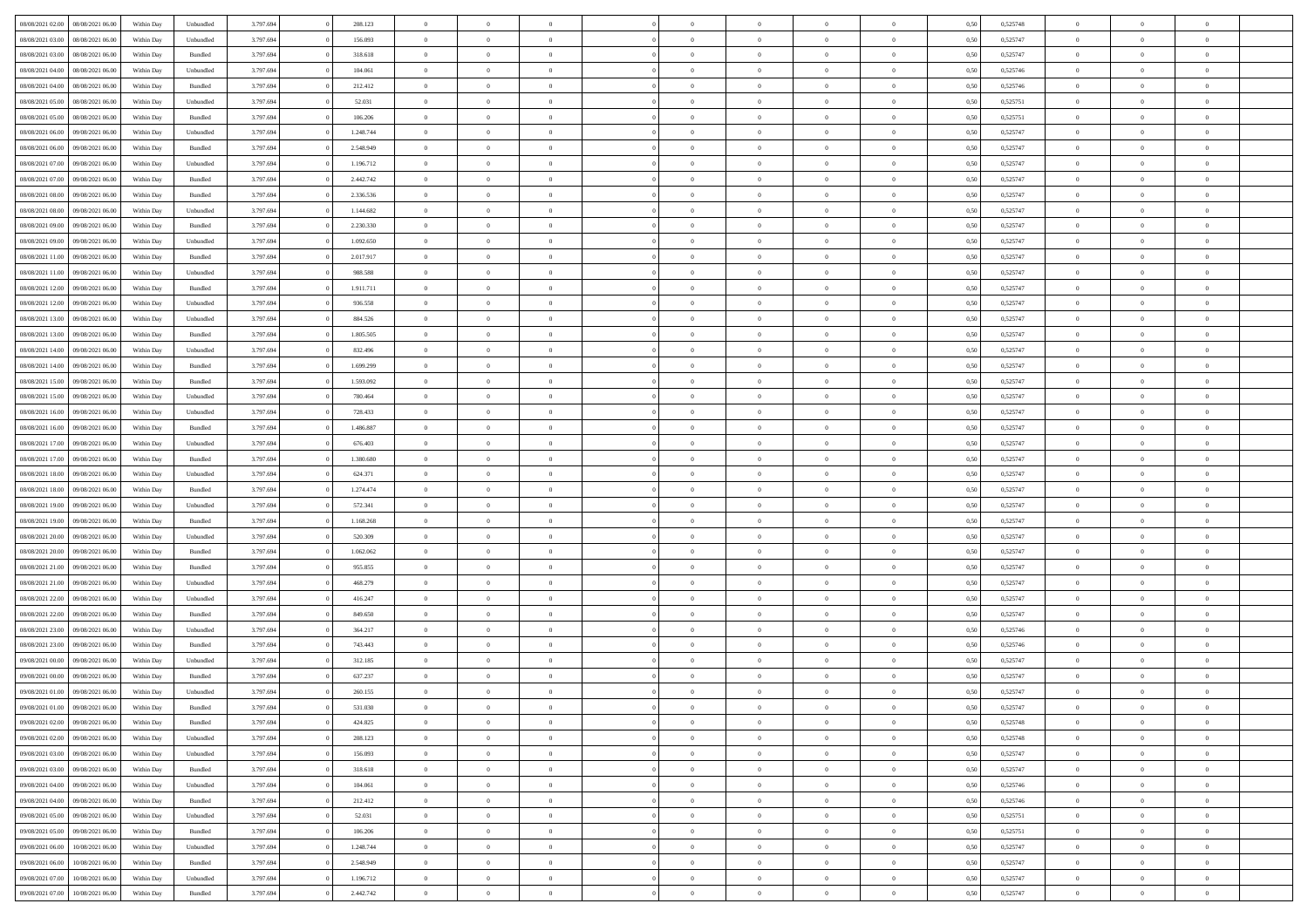| 08/08/2021 02:00                  | 08/08/2021 06:00 | Within Day | Unbundled          | 3.797.694 | 208.123   | $\overline{0}$ | $\theta$       |                | $\Omega$       | $\Omega$       | $\Omega$       | $\theta$       | 0.50 | 0,525748 | $\theta$       | $\theta$       | $\theta$       |  |
|-----------------------------------|------------------|------------|--------------------|-----------|-----------|----------------|----------------|----------------|----------------|----------------|----------------|----------------|------|----------|----------------|----------------|----------------|--|
|                                   |                  |            |                    |           |           |                |                |                |                |                |                |                |      |          |                |                |                |  |
| 08/08/2021 03:00                  | 08/08/2021 06:00 | Within Day | Unbundled          | 3.797.694 | 156.093   | $\overline{0}$ | $\theta$       | $\overline{0}$ | $\overline{0}$ | $\bf{0}$       | $\overline{0}$ | $\bf{0}$       | 0,50 | 0,525747 | $\theta$       | $\theta$       | $\overline{0}$ |  |
| 08/08/2021 03:00                  | 08/08/2021 06:00 | Within Day | Bundled            | 3.797.694 | 318.618   | $\overline{0}$ | $\overline{0}$ | $\overline{0}$ | $\bf{0}$       | $\bf{0}$       | $\bf{0}$       | $\bf{0}$       | 0,50 | 0,525747 | $\overline{0}$ | $\overline{0}$ | $\overline{0}$ |  |
| 08/08/2021 04:00                  | 08/08/2021 06:00 | Within Dav | Unbundled          | 3.797.694 | 104.061   | $\overline{0}$ | $\overline{0}$ | $\overline{0}$ | $\overline{0}$ | $\bf{0}$       | $\overline{0}$ | $\overline{0}$ | 0.50 | 0,525746 | $\theta$       | $\theta$       | $\overline{0}$ |  |
| 08/08/2021 04:00                  | 08/08/2021 06:00 | Within Day | Bundled            | 3.797.694 | 212.412   | $\overline{0}$ | $\theta$       | $\overline{0}$ | $\overline{0}$ | $\bf{0}$       | $\overline{0}$ | $\bf{0}$       | 0,50 | 0,525746 | $\theta$       | $\overline{0}$ | $\overline{0}$ |  |
| 08/08/2021 05:00                  | 08/08/2021 06:00 | Within Day | Unbundled          | 3.797.694 | 52.031    | $\overline{0}$ | $\bf{0}$       | $\overline{0}$ | $\bf{0}$       | $\overline{0}$ | $\overline{0}$ | $\mathbf{0}$   | 0,50 | 0,525751 | $\overline{0}$ | $\overline{0}$ | $\bf{0}$       |  |
|                                   |                  |            |                    |           |           |                |                |                |                | $\overline{0}$ |                |                |      |          | $\theta$       | $\overline{0}$ | $\overline{0}$ |  |
| 08/08/2021 05:00                  | 08/08/2021 06:00 | Within Dav | Bundled            | 3.797.694 | 106.206   | $\overline{0}$ | $\overline{0}$ | $\overline{0}$ | $\overline{0}$ |                | $\overline{0}$ | $\overline{0}$ | 0.50 | 0,525751 |                |                |                |  |
| 08/08/2021 06:00                  | 09/08/2021 06:00 | Within Day | Unbundled          | 3.797.694 | 1.248.744 | $\overline{0}$ | $\theta$       | $\overline{0}$ | $\overline{0}$ | $\bf{0}$       | $\overline{0}$ | $\bf{0}$       | 0,50 | 0,525747 | $\theta$       | $\theta$       | $\overline{0}$ |  |
| 08/08/2021 06:00                  | 09/08/2021 06:00 | Within Day | Bundled            | 3.797.694 | 2.548.949 | $\overline{0}$ | $\overline{0}$ | $\overline{0}$ | $\bf{0}$       | $\bf{0}$       | $\bf{0}$       | $\bf{0}$       | 0,50 | 0,525747 | $\,0\,$        | $\overline{0}$ | $\overline{0}$ |  |
| 08/08/2021 07:00                  | 09/08/2021 06:00 | Within Dav | Unbundled          | 3.797.694 | 1.196.712 | $\overline{0}$ | $\overline{0}$ | $\overline{0}$ | $\overline{0}$ | $\overline{0}$ | $\overline{0}$ | $\overline{0}$ | 0.50 | 0,525747 | $\theta$       | $\overline{0}$ | $\overline{0}$ |  |
| 08/08/2021 07:00                  | 09/08/2021 06:00 | Within Day | Bundled            | 3.797.694 | 2.442.742 | $\overline{0}$ | $\theta$       | $\overline{0}$ | $\overline{0}$ | $\bf{0}$       | $\overline{0}$ | $\bf{0}$       | 0,50 | 0,525747 | $\,$ 0 $\,$    | $\overline{0}$ | $\overline{0}$ |  |
| 08/08/2021 08:00                  | 09/08/2021 06:00 | Within Day | Bundled            | 3.797.694 | 2.336.536 | $\overline{0}$ | $\overline{0}$ | $\overline{0}$ | $\overline{0}$ | $\bf{0}$       | $\overline{0}$ | $\bf{0}$       | 0,50 | 0,525747 | $\bf{0}$       | $\overline{0}$ | $\overline{0}$ |  |
| 08/08/2021 08:00                  | 09/08/2021 06:00 | Within Dav | Unbundled          | 3.797.694 | 1.144.682 | $\overline{0}$ | $\overline{0}$ | $\overline{0}$ | $\overline{0}$ | $\bf{0}$       | $\overline{0}$ | $\overline{0}$ | 0.50 | 0,525747 | $\theta$       | $\theta$       | $\overline{0}$ |  |
| 08/08/2021 09:00                  | 09/08/2021 06:00 |            |                    | 3.797.694 | 2.230.330 | $\overline{0}$ | $\theta$       | $\overline{0}$ | $\overline{0}$ | $\bf{0}$       | $\overline{0}$ | $\overline{0}$ |      | 0,525747 | $\theta$       | $\theta$       | $\overline{0}$ |  |
|                                   |                  | Within Day | Bundled            |           |           |                |                |                |                |                |                |                | 0,50 |          |                |                |                |  |
| 08/08/2021 09:00                  | 09/08/2021 06:00 | Within Day | Unbundled          | 3.797.694 | 1.092.650 | $\overline{0}$ | $\bf{0}$       | $\overline{0}$ | $\overline{0}$ | $\overline{0}$ | $\overline{0}$ | $\mathbf{0}$   | 0,50 | 0,525747 | $\bf{0}$       | $\overline{0}$ | $\bf{0}$       |  |
| 08/08/2021 11:00                  | 09/08/2021 06:00 | Within Dav | Bundled            | 3.797.694 | 2.017.917 | $\overline{0}$ | $\overline{0}$ | $\overline{0}$ | $\overline{0}$ | $\overline{0}$ | $\overline{0}$ | $\overline{0}$ | 0.50 | 0,525747 | $\theta$       | $\overline{0}$ | $\overline{0}$ |  |
| 08/08/2021 11:00                  | 09/08/2021 06:00 | Within Day | Unbundled          | 3.797.694 | 988.588   | $\overline{0}$ | $\theta$       | $\overline{0}$ | $\overline{0}$ | $\bf{0}$       | $\overline{0}$ | $\bf{0}$       | 0,50 | 0,525747 | $\theta$       | $\theta$       | $\overline{0}$ |  |
| 08/08/2021 12:00                  | 09/08/2021 06:00 | Within Day | Bundled            | 3.797.694 | 1.911.711 | $\overline{0}$ | $\overline{0}$ | $\overline{0}$ | $\overline{0}$ | $\bf{0}$       | $\overline{0}$ | $\bf{0}$       | 0,50 | 0,525747 | $\,0\,$        | $\overline{0}$ | $\overline{0}$ |  |
| 08/08/2021 12:00                  | 09/08/2021 06:00 | Within Day | Unbundled          | 3.797.694 | 936.558   | $\overline{0}$ | $\overline{0}$ | $\overline{0}$ | $\overline{0}$ | $\overline{0}$ | $\overline{0}$ | $\overline{0}$ | 0.50 | 0,525747 | $\theta$       | $\overline{0}$ | $\overline{0}$ |  |
| 08/08/2021 13:00                  | 09/08/2021 06:00 | Within Day | Unbundled          | 3.797.694 | 884.526   | $\overline{0}$ | $\theta$       | $\overline{0}$ | $\overline{0}$ | $\bf{0}$       | $\overline{0}$ | $\bf{0}$       | 0,50 | 0,525747 | $\theta$       | $\theta$       | $\overline{0}$ |  |
| 08/08/2021 13:00                  | 09/08/2021 06:00 | Within Day | Bundled            | 3.797.694 | 1.805.505 | $\overline{0}$ | $\overline{0}$ | $\overline{0}$ | $\overline{0}$ | $\bf{0}$       | $\overline{0}$ | $\bf{0}$       | 0,50 | 0,525747 | $\,0\,$        | $\overline{0}$ | $\overline{0}$ |  |
| 08/08/2021 14:00                  | 09/08/2021 06:00 |            | Unbundled          | 3.797.694 | 832.496   | $\overline{0}$ | $\overline{0}$ | $\overline{0}$ |                | $\bf{0}$       | $\overline{0}$ |                | 0.50 | 0,525747 | $\theta$       | $\overline{0}$ | $\overline{0}$ |  |
|                                   |                  | Within Day |                    |           |           |                |                |                | $\overline{0}$ |                |                | $\overline{0}$ |      |          |                |                |                |  |
| 08/08/2021 14:00                  | 09/08/2021 06:00 | Within Day | Bundled            | 3.797.694 | 1.699.299 | $\overline{0}$ | $\theta$       | $\overline{0}$ | $\overline{0}$ | $\bf{0}$       | $\overline{0}$ | $\bf{0}$       | 0,50 | 0,525747 | $\,$ 0 $\,$    | $\overline{0}$ | $\overline{0}$ |  |
| 08/08/2021 15:00                  | 09/08/2021 06:00 | Within Day | Bundled            | 3.797.694 | 1.593.092 | $\overline{0}$ | $\bf{0}$       | $\overline{0}$ | $\overline{0}$ | $\overline{0}$ | $\overline{0}$ | $\mathbf{0}$   | 0,50 | 0,525747 | $\bf{0}$       | $\overline{0}$ | $\bf{0}$       |  |
| 08/08/2021 15:00                  | 09/08/2021 06:00 | Within Dav | Unbundled          | 3.797.694 | 780.464   | $\overline{0}$ | $\overline{0}$ | $\overline{0}$ | $\overline{0}$ | $\overline{0}$ | $\overline{0}$ | $\overline{0}$ | 0.50 | 0,525747 | $\theta$       | $\overline{0}$ | $\overline{0}$ |  |
| 08/08/2021 16:00                  | 09/08/2021 06:00 | Within Day | Unbundled          | 3.797.694 | 728.433   | $\overline{0}$ | $\theta$       | $\overline{0}$ | $\overline{0}$ | $\bf{0}$       | $\overline{0}$ | $\bf{0}$       | 0,50 | 0,525747 | $\theta$       | $\theta$       | $\overline{0}$ |  |
| 08/08/2021 16:00                  | 09/08/2021 06:00 | Within Day | Bundled            | 3.797.694 | 1.486.887 | $\overline{0}$ | $\overline{0}$ | $\overline{0}$ | $\overline{0}$ | $\bf{0}$       | $\overline{0}$ | $\bf{0}$       | 0,50 | 0,525747 | $\,0\,$        | $\overline{0}$ | $\overline{0}$ |  |
| 08/08/2021 17:00                  | 09/08/2021 06:00 | Within Day | Unbundled          | 3.797.694 | 676.403   | $\overline{0}$ | $\overline{0}$ | $\overline{0}$ | $\overline{0}$ | $\overline{0}$ | $\overline{0}$ | $\overline{0}$ | 0.50 | 0,525747 | $\theta$       | $\overline{0}$ | $\overline{0}$ |  |
| 08/08/2021 17:00                  | 09/08/2021 06:00 | Within Day | Bundled            | 3.797.694 | 1.380.680 | $\overline{0}$ | $\theta$       | $\overline{0}$ | $\overline{0}$ | $\bf{0}$       | $\overline{0}$ | $\bf{0}$       | 0,50 | 0,525747 | $\,$ 0 $\,$    | $\overline{0}$ | $\overline{0}$ |  |
|                                   |                  |            |                    |           |           |                |                |                |                |                |                |                |      |          |                |                |                |  |
| 08/08/2021 18:00                  | 09/08/2021 06:00 | Within Day | Unbundled          | 3.797.694 | 624.371   | $\overline{0}$ | $\overline{0}$ | $\overline{0}$ | $\overline{0}$ | $\bf{0}$       | $\overline{0}$ | $\bf{0}$       | 0,50 | 0,525747 | $\bf{0}$       | $\overline{0}$ | $\overline{0}$ |  |
| 08/08/2021 18:00                  | 09/08/2021 06:00 | Within Day | Bundled            | 3.797.694 | 1.274.474 | $\overline{0}$ | $\Omega$       | $\Omega$       | $\Omega$       | $\Omega$       | $\Omega$       | $\overline{0}$ | 0,50 | 0,525747 | $\,0\,$        | $\Omega$       | $\theta$       |  |
| 08/08/2021 19:00                  | 09/08/2021 06:00 | Within Day | Unbundled          | 3.797.694 | 572.341   | $\overline{0}$ | $\theta$       | $\overline{0}$ | $\overline{0}$ | $\bf{0}$       | $\overline{0}$ | $\bf{0}$       | 0,50 | 0,525747 | $\theta$       | $\theta$       | $\overline{0}$ |  |
| 08/08/2021 19:00                  | 09/08/2021 06:00 | Within Day | Bundled            | 3.797.694 | 1.168.268 | $\overline{0}$ | $\overline{0}$ | $\overline{0}$ | $\overline{0}$ | $\bf{0}$       | $\overline{0}$ | $\mathbf{0}$   | 0,50 | 0,525747 | $\bf{0}$       | $\overline{0}$ | $\bf{0}$       |  |
| 08/08/2021 20:00                  | 09/08/2021 06:00 | Within Day | Unbundled          | 3.797.694 | 520,309   | $\overline{0}$ | $\Omega$       | $\Omega$       | $\Omega$       | $\Omega$       | $\overline{0}$ | $\overline{0}$ | 0.50 | 0,525747 | $\,0\,$        | $\theta$       | $\theta$       |  |
| 08/08/2021 20:00                  | 09/08/2021 06:00 | Within Day | Bundled            | 3.797.694 | 1.062.062 | $\overline{0}$ | $\theta$       | $\overline{0}$ | $\overline{0}$ | $\bf{0}$       | $\overline{0}$ | $\bf{0}$       | 0,50 | 0,525747 | $\,$ 0 $\,$    | $\theta$       | $\overline{0}$ |  |
| 08/08/2021 21.00                  | 09/08/2021 06:00 | Within Day | Bundled            | 3.797.694 | 955.855   | $\overline{0}$ | $\overline{0}$ | $\overline{0}$ | $\bf{0}$       | $\bf{0}$       | $\bf{0}$       | $\bf{0}$       | 0,50 | 0,525747 | $\,0\,$        | $\overline{0}$ | $\overline{0}$ |  |
| 08/08/2021 21:00                  | 09/08/2021 06:00 | Within Day | Unbundled          | 3.797.694 | 468,279   | $\overline{0}$ | $\Omega$       | $\Omega$       | $\Omega$       | $\Omega$       | $\theta$       | $\overline{0}$ | 0.50 | 0,525747 | $\theta$       | $\theta$       | $\theta$       |  |
| 08/08/2021 22:00                  | 09/08/2021 06:00 |            |                    | 3.797.694 | 416.247   | $\overline{0}$ | $\theta$       | $\overline{0}$ | $\overline{0}$ | $\bf{0}$       | $\overline{0}$ |                |      | 0,525747 | $\,$ 0 $\,$    | $\overline{0}$ | $\overline{0}$ |  |
|                                   |                  | Within Day | Unbundled          |           |           |                |                |                |                |                |                | $\bf{0}$       | 0,50 |          |                |                |                |  |
| 08/08/2021 22.00                  | 09/08/2021 06:00 | Within Day | Bundled            | 3.797.694 | 849.650   | $\overline{0}$ | $\overline{0}$ | $\overline{0}$ | $\bf{0}$       | $\bf{0}$       | $\bf{0}$       | $\bf{0}$       | 0,50 | 0,525747 | $\bf{0}$       | $\overline{0}$ | $\overline{0}$ |  |
| 08/08/2021 23:00                  | 09/08/2021 06:00 | Within Day | Unbundled          | 3.797.694 | 364.217   | $\overline{0}$ | $\Omega$       | $\Omega$       | $\Omega$       | $\Omega$       | $\overline{0}$ | $\overline{0}$ | 0,50 | 0,525746 | $\,0\,$        | $\theta$       | $\theta$       |  |
| 08/08/2021 23:00                  | 09/08/2021 06:00 | Within Day | Bundled            | 3.797.694 | 743.443   | $\overline{0}$ | $\theta$       | $\overline{0}$ | $\overline{0}$ | $\bf{0}$       | $\overline{0}$ | $\bf{0}$       | 0,50 | 0,525746 | $\,$ 0 $\,$    | $\overline{0}$ | $\overline{0}$ |  |
| 09/08/2021 00:00                  | 09/08/2021 06:00 | Within Day | Unbundled          | 3.797.694 | 312.185   | $\overline{0}$ | $\overline{0}$ | $\overline{0}$ | $\bf{0}$       | $\bf{0}$       | $\bf{0}$       | $\mathbf{0}$   | 0,50 | 0,525747 | $\overline{0}$ | $\overline{0}$ | $\bf{0}$       |  |
| 09/08/2021 00:00                  | 09/08/2021 06:00 | Within Day | Bundled            | 3.797.694 | 637.237   | $\overline{0}$ | $\Omega$       | $\Omega$       | $\Omega$       | $\Omega$       | $\Omega$       | $\overline{0}$ | 0.50 | 0,525747 | $\theta$       | $\Omega$       | $\theta$       |  |
| 09/08/2021 01:00                  | 09/08/2021 06:00 | Within Day | Unbundled          | 3.797.694 | 260.155   | $\overline{0}$ | $\overline{0}$ | $\overline{0}$ | $\bf{0}$       | $\,$ 0         | $\bf{0}$       | $\bf{0}$       | 0,50 | 0,525747 | $\,0\,$        | $\overline{0}$ | $\overline{0}$ |  |
| 09/08/2021 01:00 09/08/2021 06:00 |                  | Within Day | $\mathbf B$ undled | 3.797.694 | 531.030   | $\bf{0}$       | $\bf{0}$       |                |                |                |                |                | 0,50 | 0,525747 | $\bf{0}$       | $\overline{0}$ |                |  |
| 09/08/2021 02:00                  | 09/08/2021 06:00 | Within Day | Bundled            | 3.797.694 | 424.825   | $\overline{0}$ | $\overline{0}$ | $\overline{0}$ | $\Omega$       | $\overline{0}$ | $\overline{0}$ | $\overline{0}$ | 0,50 | 0,525748 | $\theta$       | $\theta$       | $\theta$       |  |
|                                   |                  |            |                    |           |           |                |                |                |                |                |                |                |      |          |                |                |                |  |
| 09/08/2021 02:00                  | 09/08/2021 06:00 | Within Day | Unbundled          | 3.797.694 | 208.123   | $\overline{0}$ | $\,$ 0         | $\overline{0}$ | $\bf{0}$       | $\,$ 0 $\,$    | $\overline{0}$ | $\,$ 0 $\,$    | 0,50 | 0,525748 | $\,$ 0 $\,$    | $\,$ 0 $\,$    | $\,$ 0         |  |
| 09/08/2021 03:00                  | 09/08/2021 06:00 | Within Day | Unbundled          | 3.797.694 | 156.093   | $\overline{0}$ | $\overline{0}$ | $\overline{0}$ | $\overline{0}$ | $\overline{0}$ | $\overline{0}$ | $\mathbf{0}$   | 0,50 | 0,525747 | $\overline{0}$ | $\bf{0}$       | $\bf{0}$       |  |
| 09/08/2021 03:00                  | 09/08/2021 06:00 | Within Day | Bundled            | 3.797.694 | 318.618   | $\overline{0}$ | $\overline{0}$ | $\overline{0}$ | $\Omega$       | $\overline{0}$ | $\overline{0}$ | $\overline{0}$ | 0,50 | 0,525747 | $\overline{0}$ | $\theta$       | $\overline{0}$ |  |
| 09/08/2021 04:00                  | 09/08/2021 06:00 | Within Day | Unbundled          | 3.797.694 | 104.061   | $\overline{0}$ | $\,$ 0         | $\overline{0}$ | $\overline{0}$ | $\,$ 0 $\,$    | $\overline{0}$ | $\mathbf{0}$   | 0,50 | 0,525746 | $\,$ 0 $\,$    | $\overline{0}$ | $\overline{0}$ |  |
| 09/08/2021 04:00                  | 09/08/2021 06:00 | Within Day | Bundled            | 3.797.694 | 212.412   | $\overline{0}$ | $\overline{0}$ | $\overline{0}$ | $\overline{0}$ | $\overline{0}$ | $\overline{0}$ | $\mathbf{0}$   | 0,50 | 0,525746 | $\overline{0}$ | $\overline{0}$ | $\bf{0}$       |  |
| 09/08/2021 05:00                  | 09/08/2021 06:00 | Within Day | Unbundled          | 3.797.694 | 52.031    | $\overline{0}$ | $\overline{0}$ | $\overline{0}$ | $\Omega$       | $\overline{0}$ | $\overline{0}$ | $\bf{0}$       | 0.50 | 0,525751 | $\overline{0}$ | $\theta$       | $\overline{0}$ |  |
| 09/08/2021 05:00                  | 09/08/2021 06:00 | Within Day | Bundled            | 3.797.694 | 106.206   | $\overline{0}$ | $\,$ 0         | $\overline{0}$ | $\bf{0}$       | $\bf{0}$       | $\bf{0}$       | $\bf{0}$       | 0,50 | 0,525751 | $\,$ 0 $\,$    | $\overline{0}$ | $\overline{0}$ |  |
| 09/08/2021 06:00                  | 10/08/2021 06:00 | Within Day | Unbundled          | 3.797.694 | 1.248.744 | $\overline{0}$ | $\bf{0}$       | $\overline{0}$ | $\overline{0}$ | $\overline{0}$ | $\overline{0}$ | $\mathbf{0}$   | 0,50 | 0,525747 | $\overline{0}$ | $\overline{0}$ | $\bf{0}$       |  |
|                                   |                  |            |                    |           |           |                |                |                |                |                |                |                |      |          |                |                |                |  |
| 09/08/2021 06:00                  | 10/08/2021 06:00 | Within Day | Bundled            | 3.797.694 | 2.548.949 | $\overline{0}$ | $\overline{0}$ | $\overline{0}$ | $\Omega$       | $\overline{0}$ | $\overline{0}$ | $\overline{0}$ | 0.50 | 0,525747 | $\overline{0}$ | $\overline{0}$ | $\overline{0}$ |  |
| 09/08/2021 07:00                  | 10/08/2021 06:00 | Within Day | Unbundled          | 3.797.694 | 1.196.712 | $\overline{0}$ | $\bf{0}$       | $\overline{0}$ | $\bf{0}$       | $\bf{0}$       | $\bf{0}$       | $\mathbf{0}$   | 0,50 | 0,525747 | $\,$ 0 $\,$    | $\,$ 0 $\,$    | $\bf{0}$       |  |
| 09/08/2021 07:00                  | 10/08/2021 06:00 | Within Day | Bundled            | 3.797.694 | 2.442.742 | $\overline{0}$ | $\overline{0}$ | $\overline{0}$ | $\overline{0}$ | $\overline{0}$ | $\bf{0}$       | $\mathbf{0}$   | 0,50 | 0,525747 | $\overline{0}$ | $\bf{0}$       | $\bf{0}$       |  |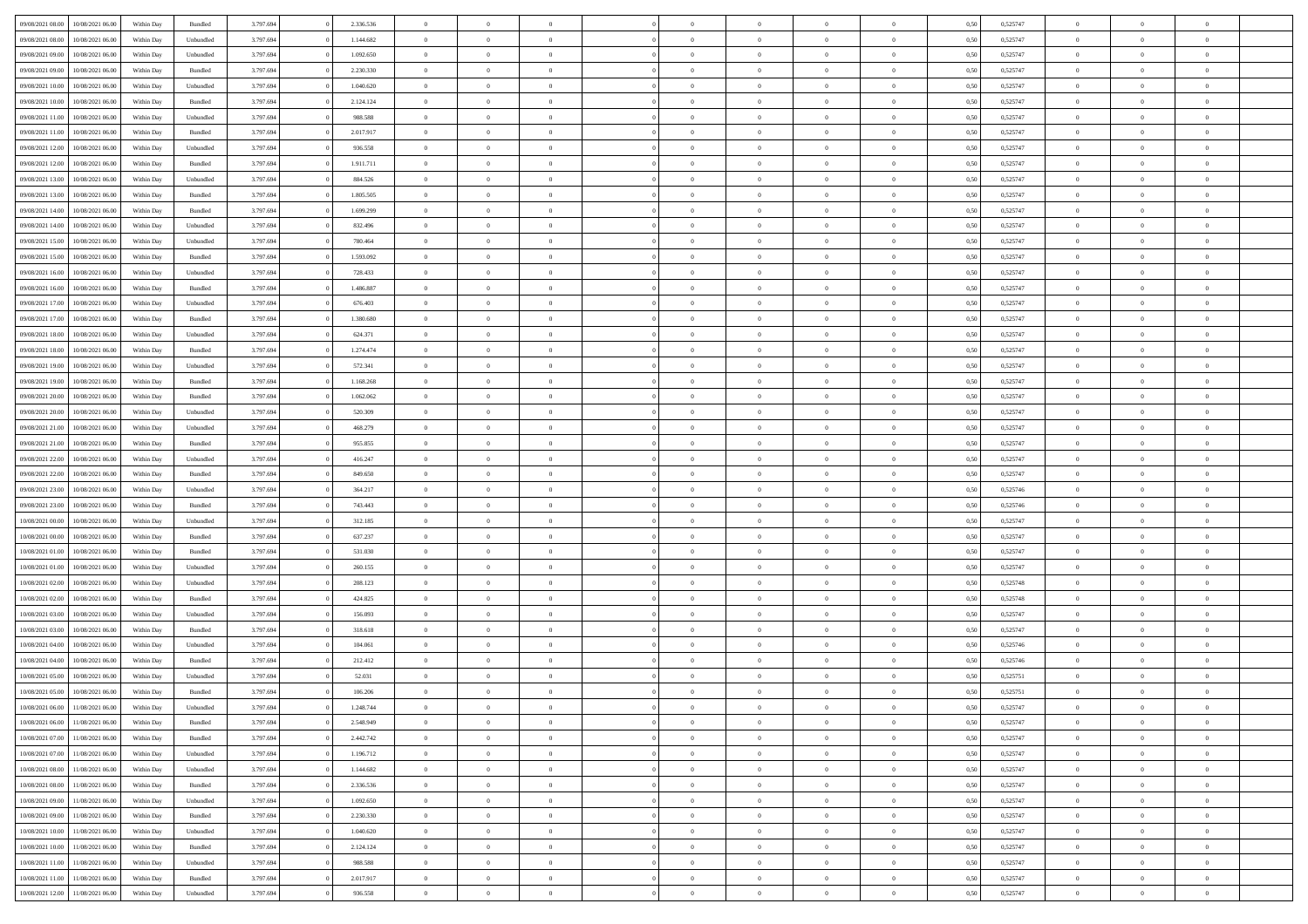| 09/08/2021 08:00 | 10/08/2021 06:00 | Within Day | Bundled   | 3.797.694 | 2.336.536 | $\overline{0}$ | $\Omega$       |                | $\Omega$       | $\Omega$       | $\theta$       | $\theta$       | 0,50 | 0,525747 | $\theta$       | $\theta$       | $\theta$       |  |
|------------------|------------------|------------|-----------|-----------|-----------|----------------|----------------|----------------|----------------|----------------|----------------|----------------|------|----------|----------------|----------------|----------------|--|
|                  |                  |            |           |           |           |                |                |                |                |                |                |                |      |          |                |                |                |  |
| 09/08/2021 08:00 | 10/08/2021 06:00 | Within Day | Unbundled | 3.797.694 | 1.144.682 | $\overline{0}$ | $\theta$       | $\overline{0}$ | $\overline{0}$ | $\bf{0}$       | $\overline{0}$ | $\bf{0}$       | 0,50 | 0,525747 | $\theta$       | $\overline{0}$ | $\overline{0}$ |  |
| 09/08/2021 09:00 | 10/08/2021 06:00 | Within Day | Unbundled | 3.797.694 | 1.092.650 | $\overline{0}$ | $\bf{0}$       | $\overline{0}$ | $\bf{0}$       | $\bf{0}$       | $\bf{0}$       | $\mathbf{0}$   | 0,50 | 0,525747 | $\overline{0}$ | $\overline{0}$ | $\overline{0}$ |  |
| 09/08/2021 09:00 | 10/08/2021 06:00 | Within Dav | Bundled   | 3.797.694 | 2.230.330 | $\overline{0}$ | $\overline{0}$ | $\overline{0}$ | $\overline{0}$ | $\bf{0}$       | $\overline{0}$ | $\overline{0}$ | 0.50 | 0,525747 | $\theta$       | $\theta$       | $\overline{0}$ |  |
| 09/08/2021 10:00 | 10/08/2021 06:00 | Within Day | Unbundled | 3.797.694 | 1.040.620 | $\overline{0}$ | $\theta$       | $\overline{0}$ | $\overline{0}$ | $\bf{0}$       | $\overline{0}$ | $\bf{0}$       | 0,50 | 0,525747 | $\theta$       | $\overline{0}$ | $\overline{0}$ |  |
| 09/08/2021 10:00 | 10/08/2021 06:00 | Within Day | Bundled   | 3.797.694 | 2.124.124 | $\overline{0}$ | $\overline{0}$ | $\overline{0}$ | $\bf{0}$       | $\overline{0}$ | $\overline{0}$ | $\mathbf{0}$   | 0,50 | 0,525747 | $\overline{0}$ | $\overline{0}$ | $\bf{0}$       |  |
| 09/08/2021 11:00 | 10/08/2021 06:00 | Within Dav | Unbundled | 3.797.694 | 988.588   | $\overline{0}$ | $\overline{0}$ | $\overline{0}$ | $\overline{0}$ | $\overline{0}$ | $\overline{0}$ | $\overline{0}$ | 0.50 | 0,525747 | $\theta$       | $\overline{0}$ | $\overline{0}$ |  |
|                  |                  |            |           |           |           |                |                |                |                |                |                |                |      |          |                |                |                |  |
| 09/08/2021 11:00 | 10/08/2021 06:00 | Within Day | Bundled   | 3.797.694 | 2.017.917 | $\overline{0}$ | $\theta$       | $\overline{0}$ | $\overline{0}$ | $\bf{0}$       | $\overline{0}$ | $\bf{0}$       | 0,50 | 0,525747 | $\theta$       | $\theta$       | $\overline{0}$ |  |
| 09/08/2021 12:00 | 10/08/2021 06:00 | Within Day | Unbundled | 3.797.694 | 936.558   | $\overline{0}$ | $\overline{0}$ | $\overline{0}$ | $\bf{0}$       | $\bf{0}$       | $\bf{0}$       | $\bf{0}$       | 0,50 | 0,525747 | $\,0\,$        | $\overline{0}$ | $\overline{0}$ |  |
| 09/08/2021 12:00 | 10/08/2021 06:00 | Within Dav | Bundled   | 3.797.694 | 1.911.711 | $\overline{0}$ | $\overline{0}$ | $\overline{0}$ | $\overline{0}$ | $\overline{0}$ | $\overline{0}$ | $\overline{0}$ | 0.50 | 0,525747 | $\theta$       | $\overline{0}$ | $\overline{0}$ |  |
| 09/08/2021 13:00 | 10/08/2021 06:00 | Within Day | Unbundled | 3.797.694 | 884.526   | $\overline{0}$ | $\theta$       | $\overline{0}$ | $\overline{0}$ | $\bf{0}$       | $\overline{0}$ | $\bf{0}$       | 0,50 | 0,525747 | $\,$ 0 $\,$    | $\overline{0}$ | $\overline{0}$ |  |
| 09/08/2021 13:00 | 10/08/2021 06:00 | Within Day | Bundled   | 3.797.694 | 1.805.505 | $\overline{0}$ | $\overline{0}$ | $\overline{0}$ | $\bf{0}$       | $\bf{0}$       | $\bf{0}$       | $\mathbf{0}$   | 0,50 | 0,525747 | $\overline{0}$ | $\overline{0}$ | $\bf{0}$       |  |
| 09/08/2021 14:00 | 10/08/2021 06:00 | Within Dav | Bundled   | 3.797.694 | 1.699.299 | $\overline{0}$ | $\overline{0}$ | $\overline{0}$ | $\overline{0}$ | $\bf{0}$       | $\overline{0}$ | $\overline{0}$ | 0.50 | 0,525747 | $\theta$       | $\theta$       | $\overline{0}$ |  |
| 09/08/2021 14:00 | 10/08/2021 06:00 | Within Day | Unbundled | 3.797.694 | 832.496   | $\overline{0}$ | $\theta$       | $\overline{0}$ | $\overline{0}$ | $\bf{0}$       | $\overline{0}$ | $\bf{0}$       | 0,50 | 0,525747 | $\theta$       | $\overline{0}$ | $\overline{0}$ |  |
|                  |                  |            |           |           |           |                |                |                |                |                |                |                |      |          |                |                |                |  |
| 09/08/2021 15:00 | 10/08/2021 06:00 | Within Day | Unbundled | 3.797.694 | 780.464   | $\overline{0}$ | $\overline{0}$ | $\overline{0}$ | $\bf{0}$       | $\overline{0}$ | $\overline{0}$ | $\mathbf{0}$   | 0,50 | 0,525747 | $\overline{0}$ | $\overline{0}$ | $\bf{0}$       |  |
| 09/08/2021 15:00 | 10/08/2021 06:00 | Within Dav | Bundled   | 3.797.694 | 1.593.092 | $\overline{0}$ | $\overline{0}$ | $\overline{0}$ | $\overline{0}$ | $\overline{0}$ | $\overline{0}$ | $\overline{0}$ | 0.50 | 0,525747 | $\theta$       | $\overline{0}$ | $\overline{0}$ |  |
| 09/08/2021 16:00 | 10/08/2021 06:00 | Within Day | Unbundled | 3.797.694 | 728.433   | $\overline{0}$ | $\theta$       | $\overline{0}$ | $\overline{0}$ | $\bf{0}$       | $\overline{0}$ | $\bf{0}$       | 0,50 | 0,525747 | $\,$ 0 $\,$    | $\theta$       | $\overline{0}$ |  |
| 09/08/2021 16:00 | 10/08/2021 06:00 | Within Day | Bundled   | 3.797.694 | 1.486.887 | $\overline{0}$ | $\overline{0}$ | $\overline{0}$ | $\bf{0}$       | $\bf{0}$       | $\bf{0}$       | $\bf{0}$       | 0,50 | 0,525747 | $\bf{0}$       | $\overline{0}$ | $\overline{0}$ |  |
| 09/08/2021 17:00 | 10/08/2021 06:00 | Within Dav | Unbundled | 3.797.694 | 676.403   | $\overline{0}$ | $\overline{0}$ | $\overline{0}$ | $\overline{0}$ | $\overline{0}$ | $\overline{0}$ | $\overline{0}$ | 0.50 | 0,525747 | $\theta$       | $\overline{0}$ | $\overline{0}$ |  |
| 09/08/2021 17:00 | 10/08/2021 06:00 | Within Day | Bundled   | 3.797.694 | 1.380.680 | $\overline{0}$ | $\theta$       | $\overline{0}$ | $\overline{0}$ | $\bf{0}$       | $\overline{0}$ | $\bf{0}$       | 0,50 | 0,525747 | $\,$ 0 $\,$    | $\overline{0}$ | $\overline{0}$ |  |
| 09/08/2021 18:00 | 10/08/2021 06:00 | Within Day | Unbundled | 3.797.694 | 624.371   | $\overline{0}$ | $\overline{0}$ | $\overline{0}$ | $\bf{0}$       | $\bf{0}$       | $\bf{0}$       | $\bf{0}$       | 0,50 | 0,525747 | $\bf{0}$       | $\overline{0}$ | $\bf{0}$       |  |
| 09/08/2021 18:00 | 10/08/2021 06:00 | Within Day | Bundled   | 3.797.694 | 1.274.474 | $\overline{0}$ | $\overline{0}$ | $\overline{0}$ | $\overline{0}$ | $\bf{0}$       | $\overline{0}$ | $\overline{0}$ | 0.50 | 0,525747 | $\theta$       | $\overline{0}$ | $\overline{0}$ |  |
|                  |                  |            |           |           |           |                |                |                |                |                |                |                |      |          |                |                |                |  |
| 09/08/2021 19:00 | 10/08/2021 06:00 | Within Day | Unbundled | 3.797.694 | 572.341   | $\overline{0}$ | $\theta$       | $\overline{0}$ | $\overline{0}$ | $\bf{0}$       | $\overline{0}$ | $\bf{0}$       | 0,50 | 0,525747 | $\,$ 0 $\,$    | $\overline{0}$ | $\overline{0}$ |  |
| 09/08/2021 19:00 | 10/08/2021 06:00 | Within Day | Bundled   | 3.797.694 | 1.168.268 | $\overline{0}$ | $\overline{0}$ | $\overline{0}$ | $\bf{0}$       | $\overline{0}$ | $\overline{0}$ | $\mathbf{0}$   | 0,50 | 0,525747 | $\overline{0}$ | $\overline{0}$ | $\bf{0}$       |  |
| 09/08/2021 20:00 | 10/08/2021 06:00 | Within Dav | Bundled   | 3.797.694 | 1.062.062 | $\overline{0}$ | $\overline{0}$ | $\overline{0}$ | $\overline{0}$ | $\overline{0}$ | $\overline{0}$ | $\overline{0}$ | 0.50 | 0,525747 | $\theta$       | $\overline{0}$ | $\overline{0}$ |  |
| 09/08/2021 20:00 | 10/08/2021 06:00 | Within Day | Unbundled | 3.797.694 | 520.309   | $\overline{0}$ | $\theta$       | $\overline{0}$ | $\overline{0}$ | $\bf{0}$       | $\overline{0}$ | $\bf{0}$       | 0,50 | 0,525747 | $\theta$       | $\theta$       | $\overline{0}$ |  |
| 09/08/2021 21.00 | 10/08/2021 06:00 | Within Day | Unbundled | 3.797.694 | 468.279   | $\overline{0}$ | $\overline{0}$ | $\overline{0}$ | $\bf{0}$       | $\bf{0}$       | $\bf{0}$       | $\bf{0}$       | 0,50 | 0,525747 | $\,0\,$        | $\overline{0}$ | $\overline{0}$ |  |
| 09/08/2021 21:00 | 10/08/2021 06:00 | Within Day | Bundled   | 3.797.694 | 955.855   | $\overline{0}$ | $\overline{0}$ | $\overline{0}$ | $\overline{0}$ | $\overline{0}$ | $\overline{0}$ | $\overline{0}$ | 0.50 | 0,525747 | $\theta$       | $\overline{0}$ | $\overline{0}$ |  |
| 09/08/2021 22.00 | 10/08/2021 06:00 | Within Day | Unbundled | 3.797.694 | 416.247   | $\overline{0}$ | $\theta$       | $\overline{0}$ | $\overline{0}$ | $\bf{0}$       | $\overline{0}$ | $\bf{0}$       | 0,50 | 0,525747 | $\,$ 0 $\,$    | $\overline{0}$ | $\overline{0}$ |  |
|                  |                  |            |           |           |           |                |                |                |                |                |                |                |      |          |                |                |                |  |
| 09/08/2021 22.00 | 10/08/2021 06:00 | Within Day | Bundled   | 3.797.694 | 849.650   | $\overline{0}$ | $\overline{0}$ | $\overline{0}$ | $\bf{0}$       | $\bf{0}$       | $\bf{0}$       | $\bf{0}$       | 0,50 | 0,525747 | $\overline{0}$ | $\overline{0}$ | $\bf{0}$       |  |
| 09/08/2021 23:00 | 10/08/2021 06:00 | Within Day | Unbundled | 3.797.694 | 364.217   | $\overline{0}$ | $\Omega$       | $\Omega$       | $\Omega$       | $\Omega$       | $\Omega$       | $\overline{0}$ | 0,50 | 0,525746 | $\,0\,$        | $\theta$       | $\theta$       |  |
| 09/08/2021 23:00 | 10/08/2021 06:00 | Within Day | Bundled   | 3.797.694 | 743.443   | $\overline{0}$ | $\theta$       | $\overline{0}$ | $\overline{0}$ | $\bf{0}$       | $\overline{0}$ | $\bf{0}$       | 0,50 | 0,525746 | $\,$ 0 $\,$    | $\overline{0}$ | $\overline{0}$ |  |
| 10/08/2021 00:00 | 10/08/2021 06:00 | Within Day | Unbundled | 3.797.694 | 312.185   | $\overline{0}$ | $\overline{0}$ | $\overline{0}$ | $\overline{0}$ | $\bf{0}$       | $\overline{0}$ | $\mathbf{0}$   | 0,50 | 0,525747 | $\overline{0}$ | $\overline{0}$ | $\bf{0}$       |  |
| 10/08/2021 00:00 | 10/08/2021 06:00 | Within Day | Bundled   | 3.797.694 | 637.237   | $\overline{0}$ | $\Omega$       | $\Omega$       | $\Omega$       | $\bf{0}$       | $\overline{0}$ | $\overline{0}$ | 0.50 | 0,525747 | $\,0\,$        | $\theta$       | $\theta$       |  |
| 10/08/2021 01:00 | 10/08/2021 06:00 | Within Day | Bundled   | 3.797.694 | 531.030   | $\overline{0}$ | $\theta$       | $\overline{0}$ | $\overline{0}$ | $\bf{0}$       | $\overline{0}$ | $\bf{0}$       | 0,50 | 0,525747 | $\,$ 0 $\,$    | $\overline{0}$ | $\overline{0}$ |  |
| 10/08/2021 01:00 | 10/08/2021 06:00 | Within Day | Unbundled | 3.797.694 | 260.155   | $\overline{0}$ | $\overline{0}$ | $\overline{0}$ | $\overline{0}$ | $\bf{0}$       | $\overline{0}$ | $\bf{0}$       | 0,50 | 0,525747 | $\bf{0}$       | $\overline{0}$ | $\bf{0}$       |  |
| 10/08/2021 02:00 | 10/08/2021 06:00 | Within Day | Unbundled | 3.797.694 | 208.123   | $\overline{0}$ | $\Omega$       | $\overline{0}$ | $\Omega$       | $\theta$       | $\overline{0}$ | $\overline{0}$ | 0.50 | 0,525748 | $\,$ 0 $\,$    | $\theta$       | $\theta$       |  |
| 10/08/2021 02:00 | 10/08/2021 06:00 |            | Bundled   | 3.797.694 | 424.825   | $\overline{0}$ | $\overline{0}$ | $\overline{0}$ | $\overline{0}$ | $\bf{0}$       | $\overline{0}$ |                |      | 0,525748 | $\,$ 0 $\,$    | $\overline{0}$ | $\overline{0}$ |  |
|                  |                  | Within Day |           |           |           |                |                |                |                |                |                | $\bf{0}$       | 0,50 |          |                |                |                |  |
| 10/08/2021 03:00 | 10/08/2021 06:00 | Within Day | Unbundled | 3.797.694 | 156.093   | $\overline{0}$ | $\overline{0}$ | $\overline{0}$ | $\overline{0}$ | $\bf{0}$       | $\overline{0}$ | $\bf{0}$       | 0,50 | 0,525747 | $\overline{0}$ | $\overline{0}$ | $\bf{0}$       |  |
| 10/08/2021 03:00 | 10/08/2021 06:00 | Within Day | Bundled   | 3.797.694 | 318.618   | $\overline{0}$ | $\Omega$       | $\overline{0}$ | $\Omega$       | $\overline{0}$ | $\overline{0}$ | $\overline{0}$ | 0,50 | 0,525747 | $\,0\,$        | $\theta$       | $\theta$       |  |
| 10/08/2021 04:00 | 10/08/2021 06:00 | Within Day | Unbundled | 3.797.694 | 104.061   | $\overline{0}$ | $\overline{0}$ | $\overline{0}$ | $\overline{0}$ | $\bf{0}$       | $\overline{0}$ | $\bf{0}$       | 0,50 | 0,525746 | $\,$ 0 $\,$    | $\overline{0}$ | $\overline{0}$ |  |
| 10/08/2021 04:00 | 10/08/2021 06:00 | Within Day | Bundled   | 3.797.694 | 212.412   | $\overline{0}$ | $\overline{0}$ | $\overline{0}$ | $\overline{0}$ | $\bf{0}$       | $\overline{0}$ | $\mathbf{0}$   | 0,50 | 0,525746 | $\overline{0}$ | $\overline{0}$ | $\bf{0}$       |  |
| 10/08/2021 05:00 | 10/08/2021 06:00 | Within Day | Unbundled | 3.797.694 | 52.031    | $\overline{0}$ | $\Omega$       | $\Omega$       | $\Omega$       | $\Omega$       | $\Omega$       | $\overline{0}$ | 0.50 | 0,525751 | $\theta$       | $\theta$       | $\theta$       |  |
| 10/08/2021 05:00 | 10/08/2021 06:00 | Within Day | Bundled   | 3.797.694 | 106.206   | $\overline{0}$ | $\overline{0}$ | $\overline{0}$ | $\bf{0}$       | $\,$ 0         | $\overline{0}$ | $\bf{0}$       | 0,50 | 0,525751 | $\,0\,$        | $\,$ 0 $\,$    | $\overline{0}$ |  |
| 10/08/2021 06:00 | 11/08/2021 06:00 | Within Day | Unbundled | 3.797.694 | 1.248.744 | $\bf{0}$       | $\bf{0}$       |                |                |                |                |                | 0,50 | 0,525747 | $\bf{0}$       | $\overline{0}$ |                |  |
| 10/08/2021 06:00 | 11/08/2021 06:00 | Within Day | Bundled   | 3.797.694 | 2.548.949 | $\overline{0}$ | $\overline{0}$ | $\overline{0}$ | $\Omega$       | $\theta$       | $\overline{0}$ | $\overline{0}$ | 0,50 | 0,525747 | $\theta$       | $\theta$       | $\theta$       |  |
|                  |                  |            |           |           |           |                |                |                |                |                |                |                |      |          |                |                |                |  |
| 10/08/2021 07:00 | 11/08/2021 06:00 | Within Day | Bundled   | 3.797.694 | 2.442.742 | $\overline{0}$ | $\,$ 0         | $\overline{0}$ | $\bf{0}$       | $\,$ 0 $\,$    | $\overline{0}$ | $\mathbf{0}$   | 0,50 | 0,525747 | $\,$ 0 $\,$    | $\,$ 0 $\,$    | $\,$ 0         |  |
| 10/08/2021 07:00 | 11/08/2021 06:00 | Within Day | Unbundled | 3.797.694 | 1.196.712 | $\overline{0}$ | $\overline{0}$ | $\overline{0}$ | $\overline{0}$ | $\overline{0}$ | $\overline{0}$ | $\mathbf{0}$   | 0,50 | 0,525747 | $\overline{0}$ | $\bf{0}$       | $\bf{0}$       |  |
| 10/08/2021 08:00 | 11/08/2021 06:00 | Within Day | Unbundled | 3.797.694 | 1.144.682 | $\overline{0}$ | $\overline{0}$ | $\overline{0}$ | $\Omega$       | $\overline{0}$ | $\overline{0}$ | $\bf{0}$       | 0,50 | 0,525747 | $\overline{0}$ | $\theta$       | $\overline{0}$ |  |
| 10/08/2021 08:00 | 11/08/2021 06:00 | Within Day | Bundled   | 3.797.694 | 2.336.536 | $\overline{0}$ | $\,$ 0         | $\overline{0}$ | $\overline{0}$ | $\overline{0}$ | $\overline{0}$ | $\bf{0}$       | 0,50 | 0,525747 | $\,$ 0 $\,$    | $\overline{0}$ | $\overline{0}$ |  |
| 10/08/2021 09:00 | 11/08/2021 06:00 | Within Day | Unbundled | 3.797.694 | 1.092.650 | $\overline{0}$ | $\overline{0}$ | $\overline{0}$ | $\overline{0}$ | $\overline{0}$ | $\overline{0}$ | $\mathbf{0}$   | 0,50 | 0,525747 | $\overline{0}$ | $\overline{0}$ | $\bf{0}$       |  |
| 10/08/2021 09:00 | 11/08/2021 06:00 | Within Day | Bundled   | 3.797.694 | 2.230.330 | $\overline{0}$ | $\overline{0}$ | $\overline{0}$ | $\Omega$       | $\overline{0}$ | $\overline{0}$ | $\bf{0}$       | 0.50 | 0,525747 | $\overline{0}$ | $\theta$       | $\overline{0}$ |  |
| 10/08/2021 10:00 | 11/08/2021 06:00 | Within Day | Unbundled | 3.797.694 | 1.040.620 | $\overline{0}$ | $\,$ 0         | $\overline{0}$ | $\bf{0}$       | $\bf{0}$       | $\bf{0}$       | $\bf{0}$       | 0,50 | 0,525747 | $\,$ 0 $\,$    | $\overline{0}$ | $\overline{0}$ |  |
|                  |                  |            |           |           |           |                | $\bf{0}$       |                |                |                |                |                |      |          |                | $\overline{0}$ | $\bf{0}$       |  |
| 10/08/2021 10:00 | 11/08/2021 06:00 | Within Day | Bundled   | 3.797.694 | 2.124.124 | $\overline{0}$ |                | $\overline{0}$ | $\overline{0}$ | $\overline{0}$ | $\overline{0}$ | $\mathbf{0}$   | 0,50 | 0,525747 | $\overline{0}$ |                |                |  |
| 10/08/2021 11:00 | 11/08/2021 06:00 | Within Day | Unbundled | 3.797.694 | 988,588   | $\overline{0}$ | $\overline{0}$ | $\overline{0}$ | $\Omega$       | $\overline{0}$ | $\overline{0}$ | $\bf{0}$       | 0.50 | 0,525747 | $\overline{0}$ | $\theta$       | $\overline{0}$ |  |
| 10/08/2021 11:00 | 11/08/2021 06:00 | Within Day | Bundled   | 3.797.694 | 2.017.917 | $\overline{0}$ | $\bf{0}$       | $\overline{0}$ | $\overline{0}$ | $\bf{0}$       | $\bf{0}$       | $\mathbf{0}$   | 0,50 | 0,525747 | $\,$ 0 $\,$    | $\,$ 0 $\,$    | $\bf{0}$       |  |
| 10/08/2021 12:00 | 11/08/2021 06:00 | Within Day | Unbundled | 3.797.694 | 936.558   | $\overline{0}$ | $\overline{0}$ | $\overline{0}$ | $\overline{0}$ | $\bf{0}$       | $\bf{0}$       | $\mathbf{0}$   | 0,50 | 0,525747 | $\overline{0}$ | $\bf{0}$       | $\bf{0}$       |  |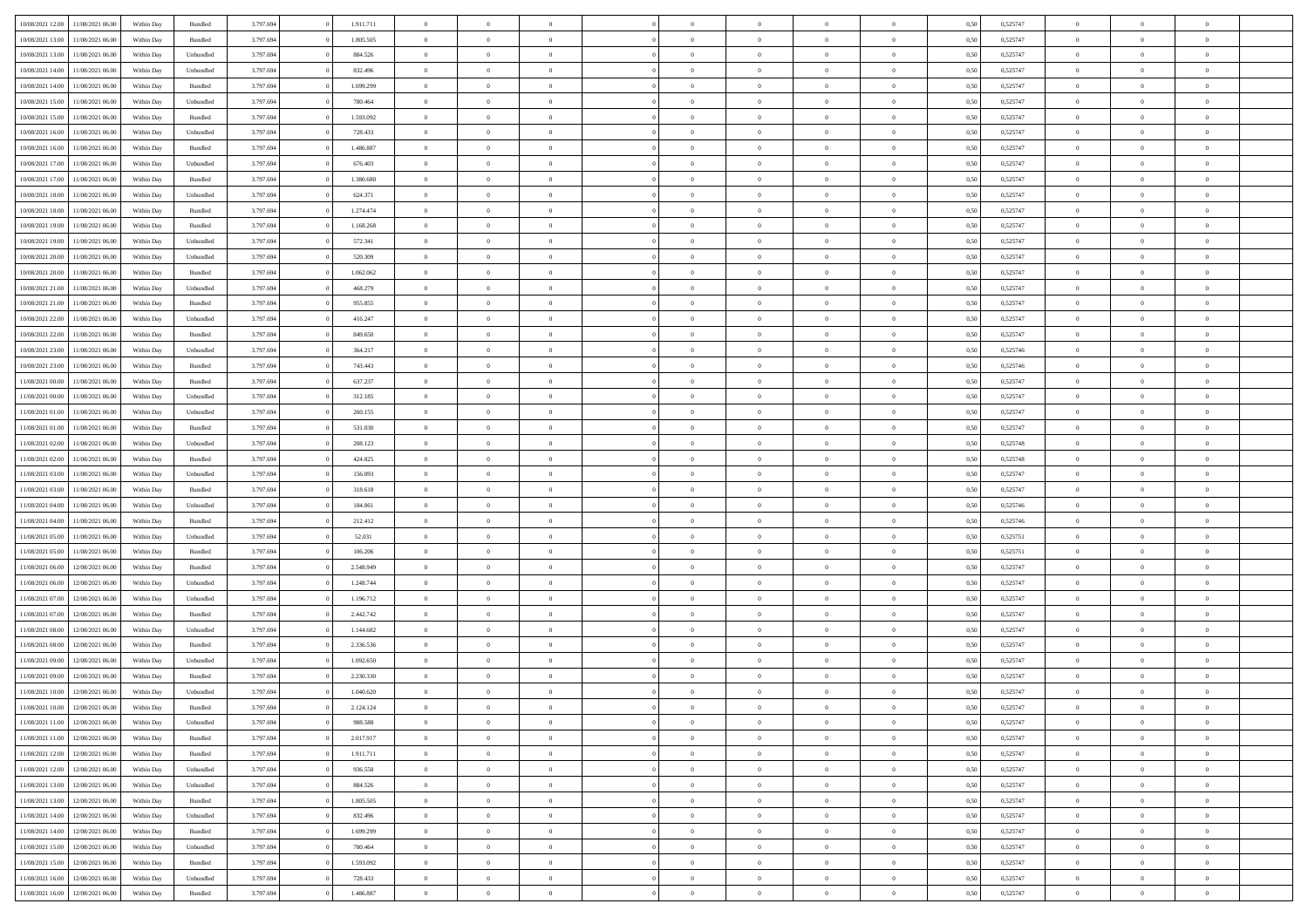| 10/08/2021 12:00                  | 11/08/2021 06:00 | Within Day | Bundled            | 3.797.694 | 1.911.711 | $\overline{0}$ | $\theta$       |                | $\Omega$       | $\Omega$       | $\theta$       | $\theta$       | 0,50 | 0,525747 | $\theta$       | $\overline{0}$ | $\theta$       |  |
|-----------------------------------|------------------|------------|--------------------|-----------|-----------|----------------|----------------|----------------|----------------|----------------|----------------|----------------|------|----------|----------------|----------------|----------------|--|
|                                   |                  |            |                    |           |           |                |                |                |                |                |                |                |      |          |                |                |                |  |
| 10/08/2021 13:00                  | 11/08/2021 06:00 | Within Day | Bundled            | 3.797.694 | 1.805.505 | $\overline{0}$ | $\theta$       | $\overline{0}$ | $\overline{0}$ | $\bf{0}$       | $\overline{0}$ | $\bf{0}$       | 0,50 | 0,525747 | $\theta$       | $\overline{0}$ | $\overline{0}$ |  |
| 10/08/2021 13:00                  | 11/08/2021 06:00 | Within Day | Unbundled          | 3.797.694 | 884.526   | $\overline{0}$ | $\bf{0}$       | $\overline{0}$ | $\bf{0}$       | $\bf{0}$       | $\bf{0}$       | $\mathbf{0}$   | 0,50 | 0,525747 | $\overline{0}$ | $\overline{0}$ | $\overline{0}$ |  |
| 10/08/2021 14:00                  | 11/08/2021 06:00 | Within Dav | Unbundled          | 3.797.694 | 832.496   | $\overline{0}$ | $\overline{0}$ | $\overline{0}$ | $\overline{0}$ | $\bf{0}$       | $\overline{0}$ | $\overline{0}$ | 0.50 | 0,525747 | $\theta$       | $\theta$       | $\overline{0}$ |  |
| 10/08/2021 14:00                  | 11/08/2021 06:00 | Within Day | Bundled            | 3.797.694 | 1.699.299 | $\overline{0}$ | $\theta$       | $\overline{0}$ | $\overline{0}$ | $\bf{0}$       | $\overline{0}$ | $\bf{0}$       | 0,50 | 0,525747 | $\theta$       | $\overline{0}$ | $\overline{0}$ |  |
| 10/08/2021 15:00                  | 11/08/2021 06:00 | Within Day | Unbundled          | 3.797.694 | 780.464   | $\overline{0}$ | $\overline{0}$ | $\overline{0}$ | $\bf{0}$       | $\overline{0}$ | $\overline{0}$ | $\mathbf{0}$   | 0,50 | 0,525747 | $\overline{0}$ | $\overline{0}$ | $\bf{0}$       |  |
|                                   |                  |            |                    |           |           |                | $\overline{0}$ |                |                | $\overline{0}$ |                |                |      |          | $\theta$       | $\overline{0}$ | $\overline{0}$ |  |
| 10/08/2021 15:00                  | 11/08/2021 06:00 | Within Dav | Bundled            | 3.797.694 | 1.593.092 | $\overline{0}$ |                | $\overline{0}$ | $\overline{0}$ |                | $\overline{0}$ | $\overline{0}$ | 0.50 | 0,525747 |                |                |                |  |
| 10/08/2021 16:00                  | 11/08/2021 06:00 | Within Day | Unbundled          | 3.797.694 | 728.433   | $\overline{0}$ | $\theta$       | $\overline{0}$ | $\overline{0}$ | $\bf{0}$       | $\overline{0}$ | $\bf{0}$       | 0,50 | 0,525747 | $\theta$       | $\theta$       | $\overline{0}$ |  |
| 10/08/2021 16:00                  | 11/08/2021 06:00 | Within Day | Bundled            | 3.797.694 | 1.486.887 | $\overline{0}$ | $\overline{0}$ | $\overline{0}$ | $\bf{0}$       | $\bf{0}$       | $\bf{0}$       | $\bf{0}$       | 0,50 | 0,525747 | $\,0\,$        | $\overline{0}$ | $\overline{0}$ |  |
| 10/08/2021 17:00                  | 11/08/2021 06:00 | Within Dav | Unbundled          | 3.797.694 | 676.403   | $\overline{0}$ | $\overline{0}$ | $\overline{0}$ | $\overline{0}$ | $\overline{0}$ | $\overline{0}$ | $\overline{0}$ | 0.50 | 0,525747 | $\theta$       | $\overline{0}$ | $\overline{0}$ |  |
| 10/08/2021 17:00                  | 11/08/2021 06:00 | Within Day | Bundled            | 3.797.694 | 1.380.680 | $\overline{0}$ | $\theta$       | $\overline{0}$ | $\overline{0}$ | $\bf{0}$       | $\overline{0}$ | $\bf{0}$       | 0,50 | 0,525747 | $\,$ 0 $\,$    | $\overline{0}$ | $\overline{0}$ |  |
| 10/08/2021 18:00                  | 11/08/2021 06:00 | Within Day | Unbundled          | 3.797.694 | 624.371   | $\overline{0}$ | $\bf{0}$       | $\overline{0}$ | $\bf{0}$       | $\bf{0}$       | $\bf{0}$       | $\mathbf{0}$   | 0,50 | 0,525747 | $\overline{0}$ | $\overline{0}$ | $\bf{0}$       |  |
| 10/08/2021 18:00                  | 11/08/2021 06:00 | Within Day | Bundled            | 3.797.694 | 1.274.474 | $\overline{0}$ | $\overline{0}$ | $\overline{0}$ | $\overline{0}$ | $\bf{0}$       | $\overline{0}$ | $\overline{0}$ | 0.50 | 0,525747 | $\theta$       | $\theta$       | $\overline{0}$ |  |
|                                   |                  |            |                    |           |           | $\overline{0}$ | $\theta$       | $\overline{0}$ | $\overline{0}$ | $\bf{0}$       | $\overline{0}$ |                |      |          | $\theta$       | $\overline{0}$ | $\overline{0}$ |  |
| 10/08/2021 19:00                  | 11/08/2021 06:00 | Within Day | Bundled            | 3.797.694 | 1.168.268 |                |                |                |                |                |                | $\bf{0}$       | 0,50 | 0,525747 |                |                |                |  |
| 10/08/2021 19:00                  | 11/08/2021 06:00 | Within Day | Unbundled          | 3.797.694 | 572.341   | $\overline{0}$ | $\overline{0}$ | $\overline{0}$ | $\overline{0}$ | $\overline{0}$ | $\overline{0}$ | $\mathbf{0}$   | 0,50 | 0,525747 | $\overline{0}$ | $\overline{0}$ | $\bf{0}$       |  |
| 10/08/2021 20:00                  | 11/08/2021 06:00 | Within Dav | Unbundled          | 3.797.694 | 520.309   | $\overline{0}$ | $\overline{0}$ | $\overline{0}$ | $\overline{0}$ | $\overline{0}$ | $\overline{0}$ | $\overline{0}$ | 0.50 | 0,525747 | $\theta$       | $\overline{0}$ | $\overline{0}$ |  |
| 10/08/2021 20:00                  | 11/08/2021 06:00 | Within Day | Bundled            | 3.797.694 | 1.062.062 | $\overline{0}$ | $\theta$       | $\overline{0}$ | $\overline{0}$ | $\bf{0}$       | $\overline{0}$ | $\bf{0}$       | 0,50 | 0,525747 | $\,$ 0 $\,$    | $\theta$       | $\overline{0}$ |  |
| 10/08/2021 21:00                  | 11/08/2021 06:00 | Within Day | Unbundled          | 3.797.694 | 468.279   | $\overline{0}$ | $\overline{0}$ | $\overline{0}$ | $\overline{0}$ | $\bf{0}$       | $\overline{0}$ | $\mathbf{0}$   | 0,50 | 0,525747 | $\bf{0}$       | $\overline{0}$ | $\overline{0}$ |  |
| 10/08/2021 21:00                  | 11/08/2021 06:00 | Within Day | Bundled            | 3.797.694 | 955.855   | $\overline{0}$ | $\overline{0}$ | $\overline{0}$ | $\overline{0}$ | $\overline{0}$ | $\overline{0}$ | $\overline{0}$ | 0.50 | 0,525747 | $\theta$       | $\overline{0}$ | $\overline{0}$ |  |
| 10/08/2021 22:00                  | 11/08/2021 06:00 | Within Day | Unbundled          | 3.797.694 | 416.247   | $\overline{0}$ | $\theta$       | $\overline{0}$ | $\overline{0}$ | $\bf{0}$       | $\overline{0}$ | $\bf{0}$       | 0,50 | 0,525747 | $\,$ 0 $\,$    | $\overline{0}$ | $\overline{0}$ |  |
|                                   |                  |            |                    |           |           |                |                |                |                |                |                |                |      |          |                |                |                |  |
| 10/08/2021 22:00                  | 11/08/2021 06:00 | Within Day | Bundled            | 3.797.694 | 849.650   | $\overline{0}$ | $\overline{0}$ | $\overline{0}$ | $\overline{0}$ | $\bf{0}$       | $\overline{0}$ | $\mathbf{0}$   | 0,50 | 0,525747 | $\bf{0}$       | $\overline{0}$ | $\bf{0}$       |  |
| 10/08/2021 23:00                  | 11/08/2021 06:00 | Within Day | Unbundled          | 3.797.694 | 364.217   | $\overline{0}$ | $\overline{0}$ | $\overline{0}$ | $\overline{0}$ | $\bf{0}$       | $\overline{0}$ | $\overline{0}$ | 0.50 | 0,525746 | $\theta$       | $\overline{0}$ | $\overline{0}$ |  |
| 10/08/2021 23:00                  | 11/08/2021 06:00 | Within Day | Bundled            | 3.797.694 | 743.443   | $\overline{0}$ | $\theta$       | $\overline{0}$ | $\overline{0}$ | $\bf{0}$       | $\overline{0}$ | $\bf{0}$       | 0,50 | 0,525746 | $\,$ 0 $\,$    | $\overline{0}$ | $\overline{0}$ |  |
| 11/08/2021 00:00                  | 11/08/2021 06:00 | Within Day | Bundled            | 3.797.694 | 637.237   | $\overline{0}$ | $\overline{0}$ | $\overline{0}$ | $\overline{0}$ | $\overline{0}$ | $\overline{0}$ | $\mathbf{0}$   | 0,50 | 0,525747 | $\overline{0}$ | $\overline{0}$ | $\bf{0}$       |  |
| 11/08/2021 00:00                  | 11/08/2021 06:00 | Within Dav | Unbundled          | 3.797.694 | 312.185   | $\overline{0}$ | $\overline{0}$ | $\overline{0}$ | $\overline{0}$ | $\overline{0}$ | $\overline{0}$ | $\overline{0}$ | 0.50 | 0,525747 | $\theta$       | $\overline{0}$ | $\overline{0}$ |  |
| 11/08/2021 01:00                  | 11/08/2021 06:00 | Within Day | Unbundled          | 3.797.694 | 260.155   | $\overline{0}$ | $\theta$       | $\overline{0}$ | $\overline{0}$ | $\bf{0}$       | $\overline{0}$ | $\bf{0}$       | 0,50 | 0,525747 | $\theta$       | $\theta$       | $\overline{0}$ |  |
| 11/08/2021 01:00                  | 11/08/2021 06:00 | Within Day | Bundled            | 3.797.694 | 531.030   | $\overline{0}$ | $\overline{0}$ | $\overline{0}$ | $\overline{0}$ | $\bf{0}$       | $\overline{0}$ | $\bf{0}$       | 0,50 | 0,525747 | $\,0\,$        | $\overline{0}$ | $\overline{0}$ |  |
| 11/08/2021 02:00                  | 11/08/2021 06:00 | Within Day | Unbundled          | 3.797.694 | 208.123   | $\overline{0}$ | $\overline{0}$ | $\overline{0}$ | $\overline{0}$ | $\overline{0}$ | $\overline{0}$ | $\overline{0}$ | 0.50 | 0,525748 | $\theta$       | $\overline{0}$ | $\overline{0}$ |  |
|                                   |                  |            |                    |           |           |                |                |                |                |                |                |                |      |          |                |                |                |  |
| 11/08/2021 02:00                  | 11/08/2021 06:00 | Within Day | Bundled            | 3.797.694 | 424.825   | $\overline{0}$ | $\theta$       | $\overline{0}$ | $\overline{0}$ | $\bf{0}$       | $\overline{0}$ | $\bf{0}$       | 0,50 | 0,525748 | $\,$ 0 $\,$    | $\overline{0}$ | $\overline{0}$ |  |
| 11/08/2021 03:00                  | 11/08/2021 06:00 | Within Day | Unbundled          | 3.797.694 | 156.093   | $\overline{0}$ | $\overline{0}$ | $\overline{0}$ | $\overline{0}$ | $\bf{0}$       | $\bf{0}$       | $\bf{0}$       | 0,50 | 0,525747 | $\overline{0}$ | $\overline{0}$ | $\bf{0}$       |  |
| 11/08/2021 03:00                  | 11/08/2021 06:00 | Within Day | Bundled            | 3.797.694 | 318.618   | $\overline{0}$ | $\Omega$       | $\overline{0}$ | $\Omega$       | $\Omega$       | $\overline{0}$ | $\overline{0}$ | 0,50 | 0,525747 | $\,0\,$        | $\theta$       | $\theta$       |  |
| 11/08/2021 04:00                  | 11/08/2021 06:00 | Within Day | Unbundled          | 3.797.694 | 104.061   | $\overline{0}$ | $\theta$       | $\overline{0}$ | $\overline{0}$ | $\bf{0}$       | $\overline{0}$ | $\bf{0}$       | 0,50 | 0,525746 | $\,$ 0 $\,$    | $\overline{0}$ | $\overline{0}$ |  |
| 11/08/2021 04:00                  | 11/08/2021 06:00 | Within Day | Bundled            | 3.797.694 | 212.412   | $\overline{0}$ | $\overline{0}$ | $\overline{0}$ | $\bf{0}$       | $\overline{0}$ | $\overline{0}$ | $\mathbf{0}$   | 0,50 | 0,525746 | $\overline{0}$ | $\overline{0}$ | $\bf{0}$       |  |
| 11/08/2021 05:00                  | 11/08/2021 06:00 | Within Day | Unbundled          | 3.797.694 | 52.031    | $\overline{0}$ | $\Omega$       | $\Omega$       | $\Omega$       | $\bf{0}$       | $\overline{0}$ | $\overline{0}$ | 0.50 | 0,525751 | $\,0\,$        | $\theta$       | $\theta$       |  |
| 11/08/2021 05:00                  | 11/08/2021 06:00 | Within Day | Bundled            | 3.797.694 | 106.206   | $\overline{0}$ | $\theta$       | $\overline{0}$ | $\overline{0}$ | $\bf{0}$       | $\overline{0}$ | $\bf{0}$       | 0,50 | 0,525751 | $\,$ 0 $\,$    | $\overline{0}$ | $\overline{0}$ |  |
|                                   |                  |            |                    |           |           |                |                |                |                |                |                |                |      |          |                |                |                |  |
| 11/08/2021 06:00                  | 12/08/2021 06:00 | Within Day | Bundled            | 3.797.694 | 2.548.949 | $\overline{0}$ | $\overline{0}$ | $\overline{0}$ | $\bf{0}$       | $\bf{0}$       | $\bf{0}$       | $\bf{0}$       | 0,50 | 0,525747 | $\bf{0}$       | $\overline{0}$ | $\bf{0}$       |  |
| 11/08/2021 06:00                  | 12/08/2021 06:00 | Within Day | Unbundled          | 3.797.694 | 1.248.744 | $\overline{0}$ | $\Omega$       | $\overline{0}$ | $\Omega$       | $\theta$       | $\overline{0}$ | $\overline{0}$ | 0.50 | 0,525747 | $\,$ 0 $\,$    | $\theta$       | $\theta$       |  |
| 11/08/2021 07:00                  | 12/08/2021 06:00 | Within Day | Unbundled          | 3.797.694 | 1.196.712 | $\overline{0}$ | $\theta$       | $\overline{0}$ | $\overline{0}$ | $\bf{0}$       | $\overline{0}$ | $\bf{0}$       | 0,50 | 0,525747 | $\,$ 0 $\,$    | $\overline{0}$ | $\overline{0}$ |  |
| 11/08/2021 07:00                  | 12/08/2021 06:00 | Within Day | Bundled            | 3.797.694 | 2.442.742 | $\overline{0}$ | $\bf{0}$       | $\overline{0}$ | $\bf{0}$       | $\bf{0}$       | $\bf{0}$       | $\mathbf{0}$   | 0,50 | 0,525747 | $\overline{0}$ | $\overline{0}$ | $\bf{0}$       |  |
| 11/08/2021 08:00                  | 12/08/2021 06:00 | Within Day | Unbundled          | 3.797.694 | 1.144.682 | $\overline{0}$ | $\Omega$       | $\overline{0}$ | $\Omega$       | $\overline{0}$ | $\overline{0}$ | $\overline{0}$ | 0,50 | 0,525747 | $\,0\,$        | $\theta$       | $\theta$       |  |
| 11/08/2021 08:00                  | 12/08/2021 06:00 | Within Day | Bundled            | 3.797.694 | 2.336.536 | $\overline{0}$ | $\overline{0}$ | $\overline{0}$ | $\overline{0}$ | $\,$ 0         | $\overline{0}$ | $\bf{0}$       | 0,50 | 0,525747 | $\,$ 0 $\,$    | $\overline{0}$ | $\overline{0}$ |  |
| 11/08/2021 09:00                  | 12/08/2021 06:00 | Within Day | Unbundled          | 3.797.694 | 1.092.650 | $\overline{0}$ | $\overline{0}$ | $\overline{0}$ | $\bf{0}$       | $\bf{0}$       | $\bf{0}$       | $\mathbf{0}$   | 0,50 | 0,525747 | $\overline{0}$ | $\overline{0}$ | $\bf{0}$       |  |
| 11/08/2021 09:00                  | 12/08/2021 06:00 |            | Bundled            | 3.797.694 | 2.230.330 | $\overline{0}$ | $\Omega$       | $\Omega$       | $\Omega$       | $\Omega$       | $\Omega$       | $\overline{0}$ | 0.50 | 0,525747 | $\theta$       | $\theta$       | $\theta$       |  |
|                                   |                  | Within Day |                    |           |           |                |                |                |                |                |                |                |      |          |                |                |                |  |
| 11/08/2021 10:00                  | 12/08/2021 06:00 | Within Day | Unbundled          | 3.797.694 | 1.040.620 | $\overline{0}$ | $\overline{0}$ | $\overline{0}$ | $\bf{0}$       | $\,$ 0         | $\bf{0}$       | $\bf{0}$       | 0,50 | 0,525747 | $\,0\,$        | $\,$ 0 $\,$    | $\overline{0}$ |  |
| 11/08/2021 10:00                  | 12/08/2021 06:00 | Within Day | $\mathbf B$ undled | 3.797.694 | 2.124.124 | $\overline{0}$ | $\bf{0}$       |                |                |                |                |                | 0,50 | 0,525747 | $\bf{0}$       | $\overline{0}$ |                |  |
| 11/08/2021 11:00                  | 12/08/2021 06:00 | Within Day | Unbundled          | 3.797.694 | 988,588   | $\overline{0}$ | $\overline{0}$ | $\overline{0}$ | $\Omega$       | $\overline{0}$ | $\overline{0}$ | $\overline{0}$ | 0,50 | 0,525747 | $\theta$       | $\theta$       | $\theta$       |  |
| 11/08/2021 11:00                  | 12/08/2021 06:00 | Within Day | Bundled            | 3.797.694 | 2.017.917 | $\overline{0}$ | $\,$ 0         | $\overline{0}$ | $\bf{0}$       | $\,$ 0 $\,$    | $\overline{0}$ | $\,$ 0 $\,$    | 0,50 | 0,525747 | $\,$ 0 $\,$    | $\,$ 0 $\,$    | $\,$ 0         |  |
| 11/08/2021 12:00                  | 12/08/2021 06:00 | Within Day | Bundled            | 3.797.694 | 1.911.711 | $\overline{0}$ | $\overline{0}$ | $\overline{0}$ | $\overline{0}$ | $\overline{0}$ | $\overline{0}$ | $\mathbf{0}$   | 0,50 | 0,525747 | $\overline{0}$ | $\bf{0}$       | $\overline{0}$ |  |
| 11/08/2021 12:00                  | 12/08/2021 06:00 | Within Day | Unbundled          | 3.797.694 | 936.558   | $\overline{0}$ | $\overline{0}$ | $\overline{0}$ | $\Omega$       | $\overline{0}$ | $\overline{0}$ | $\overline{0}$ | 0,50 | 0,525747 | $\overline{0}$ | $\theta$       | $\overline{0}$ |  |
| 11/08/2021 13:00                  | 12/08/2021 06:00 | Within Day | Unbundled          | 3.797.694 | 884.526   | $\overline{0}$ | $\,$ 0         | $\overline{0}$ | $\overline{0}$ | $\,$ 0 $\,$    | $\overline{0}$ | $\mathbf{0}$   | 0,50 | 0,525747 | $\,$ 0 $\,$    | $\overline{0}$ | $\overline{0}$ |  |
|                                   |                  |            |                    |           |           |                |                |                |                |                |                |                |      |          |                |                |                |  |
| 11/08/2021 13:00                  | 12/08/2021 06:00 | Within Day | Bundled            | 3.797.694 | 1.805.505 | $\overline{0}$ | $\overline{0}$ | $\overline{0}$ | $\overline{0}$ | $\overline{0}$ | $\overline{0}$ | $\mathbf{0}$   | 0,50 | 0,525747 | $\overline{0}$ | $\overline{0}$ | $\bf{0}$       |  |
| 11/08/2021 14:00                  | 12/08/2021 06:00 | Within Day | Unbundled          | 3.797.694 | 832.496   | $\overline{0}$ | $\overline{0}$ | $\overline{0}$ | $\Omega$       | $\overline{0}$ | $\overline{0}$ | $\bf{0}$       | 0.50 | 0,525747 | $\overline{0}$ | $\theta$       | $\overline{0}$ |  |
| 11/08/2021 14:00                  | 12/08/2021 06:00 | Within Day | Bundled            | 3.797.694 | 1.699.299 | $\overline{0}$ | $\,$ 0         | $\overline{0}$ | $\bf{0}$       | $\bf{0}$       | $\overline{0}$ | $\bf{0}$       | 0,50 | 0,525747 | $\,$ 0 $\,$    | $\overline{0}$ | $\overline{0}$ |  |
| 11/08/2021 15:00                  | 12/08/2021 06:00 | Within Day | Unbundled          | 3.797.694 | 780.464   | $\overline{0}$ | $\bf{0}$       | $\overline{0}$ | $\overline{0}$ | $\overline{0}$ | $\overline{0}$ | $\mathbf{0}$   | 0,50 | 0,525747 | $\overline{0}$ | $\overline{0}$ | $\bf{0}$       |  |
| 11/08/2021 15:00                  | 12/08/2021 06:00 | Within Day | Bundled            | 3.797.694 | 1.593.092 | $\overline{0}$ | $\overline{0}$ | $\overline{0}$ | $\Omega$       | $\overline{0}$ | $\overline{0}$ | $\overline{0}$ | 0.50 | 0,525747 | $\overline{0}$ | $\overline{0}$ | $\overline{0}$ |  |
| 11/08/2021 16:00                  | 12/08/2021 06:00 | Within Day | Unbundled          | 3.797.694 | 728.433   | $\overline{0}$ | $\bf{0}$       | $\overline{0}$ | $\bf{0}$       | $\bf{0}$       | $\overline{0}$ | $\mathbf{0}$   | 0,50 | 0,525747 | $\,$ 0 $\,$    | $\,$ 0 $\,$    | $\bf{0}$       |  |
| 11/08/2021 16:00 12/08/2021 06:00 |                  | Within Day | Bundled            | 3.797.694 | 1.486.887 | $\overline{0}$ | $\overline{0}$ | $\overline{0}$ | $\overline{0}$ | $\overline{0}$ | $\overline{0}$ | $\mathbf{0}$   | 0,50 | 0,525747 | $\overline{0}$ | $\bf{0}$       | $\overline{0}$ |  |
|                                   |                  |            |                    |           |           |                |                |                |                |                |                |                |      |          |                |                |                |  |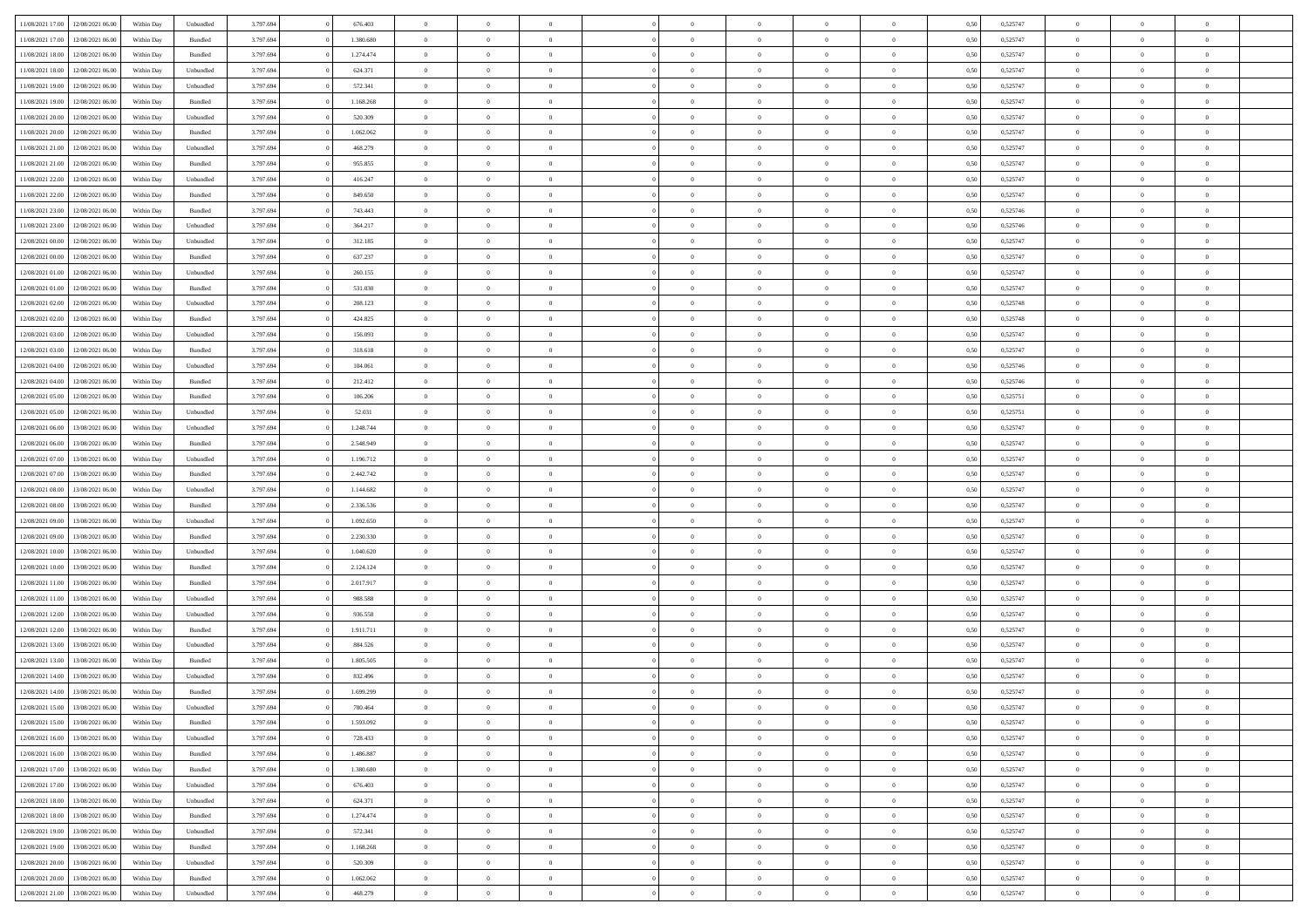| 11/08/2021 17:00                  | 12/08/2021 06:00 | Within Dav | Unbundled          | 3.797.694 | 676.403   | $\overline{0}$ | $\Omega$       |                | $\Omega$       | $\Omega$       | $\Omega$       | $\theta$       | 0.50 | 0,525747 | $\theta$       | $\theta$       | $\theta$       |  |
|-----------------------------------|------------------|------------|--------------------|-----------|-----------|----------------|----------------|----------------|----------------|----------------|----------------|----------------|------|----------|----------------|----------------|----------------|--|
|                                   |                  |            |                    |           |           |                |                |                |                |                |                |                |      |          |                |                |                |  |
| 11/08/2021 17:00                  | 12/08/2021 06:00 | Within Day | Bundled            | 3.797.694 | 1.380.680 | $\overline{0}$ | $\theta$       | $\overline{0}$ | $\overline{0}$ | $\bf{0}$       | $\overline{0}$ | $\bf{0}$       | 0,50 | 0,525747 | $\theta$       | $\overline{0}$ | $\overline{0}$ |  |
| 11/08/2021 18:00                  | 12/08/2021 06:00 | Within Day | Bundled            | 3.797.694 | 1.274.474 | $\overline{0}$ | $\overline{0}$ | $\overline{0}$ | $\overline{0}$ | $\bf{0}$       | $\overline{0}$ | $\bf{0}$       | 0,50 | 0,525747 | $\overline{0}$ | $\overline{0}$ | $\overline{0}$ |  |
| 11/08/2021 18:00                  | 12/08/2021 06:00 | Within Day | Unbundled          | 3.797.694 | 624.371   | $\overline{0}$ | $\overline{0}$ | $\overline{0}$ | $\overline{0}$ | $\bf{0}$       | $\overline{0}$ | $\overline{0}$ | 0.50 | 0,525747 | $\theta$       | $\theta$       | $\overline{0}$ |  |
|                                   |                  |            |                    |           |           | $\overline{0}$ | $\theta$       | $\overline{0}$ |                | $\bf{0}$       | $\overline{0}$ |                |      |          | $\theta$       | $\overline{0}$ | $\overline{0}$ |  |
| 11/08/2021 19:00                  | 12/08/2021 06:00 | Within Day | Unbundled          | 3.797.694 | 572.341   |                |                |                | $\overline{0}$ |                |                | $\bf{0}$       | 0,50 | 0,525747 |                |                |                |  |
| 11/08/2021 19:00                  | 12/08/2021 06:00 | Within Day | Bundled            | 3.797.694 | 1.168.268 | $\overline{0}$ | $\bf{0}$       | $\overline{0}$ | $\overline{0}$ | $\overline{0}$ | $\overline{0}$ | $\mathbf{0}$   | 0,50 | 0,525747 | $\overline{0}$ | $\overline{0}$ | $\bf{0}$       |  |
| 11/08/2021 20:00                  | 12/08/2021 06:00 | Within Dav | Unbundled          | 3.797.694 | 520.309   | $\overline{0}$ | $\overline{0}$ | $\overline{0}$ | $\overline{0}$ | $\overline{0}$ | $\overline{0}$ | $\overline{0}$ | 0.50 | 0,525747 | $\theta$       | $\overline{0}$ | $\overline{0}$ |  |
| 11/08/2021 20:00                  | 12/08/2021 06:00 | Within Day | Bundled            | 3.797.694 | 1.062.062 | $\overline{0}$ | $\theta$       | $\overline{0}$ | $\overline{0}$ | $\bf{0}$       | $\overline{0}$ | $\bf{0}$       | 0,50 | 0,525747 | $\theta$       | $\theta$       | $\overline{0}$ |  |
| 11/08/2021 21:00                  | 12/08/2021 06:00 | Within Day | Unbundled          | 3.797.694 | 468.279   | $\overline{0}$ | $\overline{0}$ | $\overline{0}$ | $\overline{0}$ | $\bf{0}$       | $\overline{0}$ | $\bf{0}$       | 0,50 | 0,525747 | $\,0\,$        | $\overline{0}$ | $\overline{0}$ |  |
| 11/08/2021 21:00                  | 12/08/2021 06:00 | Within Dav | Bundled            | 3.797.694 | 955.855   | $\overline{0}$ | $\overline{0}$ | $\overline{0}$ | $\overline{0}$ | $\overline{0}$ | $\overline{0}$ | $\overline{0}$ | 0.50 | 0,525747 | $\theta$       | $\overline{0}$ | $\overline{0}$ |  |
|                                   |                  |            |                    |           |           |                |                |                |                |                |                |                |      |          |                |                |                |  |
| 11/08/2021 22:00                  | 12/08/2021 06:00 | Within Day | Unbundled          | 3.797.694 | 416.247   | $\overline{0}$ | $\theta$       | $\overline{0}$ | $\overline{0}$ | $\bf{0}$       | $\overline{0}$ | $\bf{0}$       | 0,50 | 0,525747 | $\,$ 0 $\,$    | $\overline{0}$ | $\overline{0}$ |  |
| 11/08/2021 22:00                  | 12/08/2021 06:00 | Within Day | Bundled            | 3.797.694 | 849.650   | $\overline{0}$ | $\overline{0}$ | $\overline{0}$ | $\overline{0}$ | $\bf{0}$       | $\overline{0}$ | $\bf{0}$       | 0,50 | 0,525747 | $\overline{0}$ | $\overline{0}$ | $\overline{0}$ |  |
| 11/08/2021 23:00                  | 12/08/2021 06:00 | Within Day | Bundled            | 3.797.694 | 743,443   | $\overline{0}$ | $\overline{0}$ | $\overline{0}$ | $\overline{0}$ | $\bf{0}$       | $\overline{0}$ | $\overline{0}$ | 0.50 | 0,525746 | $\theta$       | $\theta$       | $\overline{0}$ |  |
| 11/08/2021 23:00                  | 12/08/2021 06:00 | Within Day | Unbundled          | 3.797.694 | 364.217   | $\overline{0}$ | $\theta$       | $\overline{0}$ | $\overline{0}$ | $\bf{0}$       | $\overline{0}$ | $\bf{0}$       | 0,50 | 0,525746 | $\theta$       | $\theta$       | $\overline{0}$ |  |
| 12/08/2021 00:00                  | 12/08/2021 06:00 | Within Day | Unbundled          | 3.797.694 | 312.185   | $\overline{0}$ | $\overline{0}$ | $\overline{0}$ | $\bf{0}$       | $\overline{0}$ | $\overline{0}$ | $\mathbf{0}$   | 0,50 | 0,525747 | $\overline{0}$ | $\overline{0}$ | $\bf{0}$       |  |
|                                   |                  |            |                    |           |           |                |                |                |                |                |                |                |      |          |                |                |                |  |
| 12/08/2021 00:00                  | 12/08/2021 06:00 | Within Dav | Bundled            | 3.797.694 | 637.237   | $\overline{0}$ | $\overline{0}$ | $\overline{0}$ | $\overline{0}$ | $\overline{0}$ | $\overline{0}$ | $\overline{0}$ | 0.50 | 0,525747 | $\theta$       | $\overline{0}$ | $\overline{0}$ |  |
| 12/08/2021 01:00                  | 12/08/2021 06:00 | Within Day | Unbundled          | 3.797.694 | 260.155   | $\overline{0}$ | $\theta$       | $\overline{0}$ | $\overline{0}$ | $\bf{0}$       | $\overline{0}$ | $\bf{0}$       | 0,50 | 0,525747 | $\theta$       | $\theta$       | $\overline{0}$ |  |
| 12/08/2021 01:00                  | 12/08/2021 06:00 | Within Day | Bundled            | 3.797.694 | 531.030   | $\overline{0}$ | $\overline{0}$ | $\overline{0}$ | $\bf{0}$       | $\bf{0}$       | $\bf{0}$       | $\bf{0}$       | 0,50 | 0,525747 | $\,0\,$        | $\overline{0}$ | $\overline{0}$ |  |
| 12/08/2021 02:00                  | 12/08/2021 06:00 | Within Day | Unbundled          | 3.797.694 | 208.123   | $\overline{0}$ | $\overline{0}$ | $\overline{0}$ | $\overline{0}$ | $\overline{0}$ | $\overline{0}$ | $\overline{0}$ | 0.50 | 0,525748 | $\theta$       | $\overline{0}$ | $\overline{0}$ |  |
| 12/08/2021 02:00                  | 12/08/2021 06:00 | Within Day | Bundled            | 3.797.694 | 424.825   | $\overline{0}$ | $\theta$       | $\overline{0}$ | $\overline{0}$ | $\bf{0}$       | $\overline{0}$ | $\bf{0}$       | 0,50 | 0,525748 | $\,$ 0 $\,$    | $\theta$       | $\overline{0}$ |  |
| 12/08/2021 03:00                  | 12/08/2021 06:00 | Within Day | Unbundled          | 3.797.694 | 156.093   | $\overline{0}$ | $\overline{0}$ | $\overline{0}$ | $\bf{0}$       | $\bf{0}$       | $\bf{0}$       | $\bf{0}$       | 0,50 | 0,525747 | $\,0\,$        | $\overline{0}$ | $\overline{0}$ |  |
| 12/08/2021 03:00                  | 12/08/2021 06:00 | Within Day | Bundled            | 3.797.694 | 318,618   | $\overline{0}$ | $\overline{0}$ | $\overline{0}$ | $\overline{0}$ | $\bf{0}$       | $\overline{0}$ | $\overline{0}$ | 0.50 | 0,525747 | $\theta$       | $\theta$       | $\overline{0}$ |  |
|                                   |                  |            |                    |           |           |                |                |                |                |                |                |                |      |          |                |                |                |  |
| 12/08/2021 04:00                  | 12/08/2021 06:00 | Within Day | Unbundled          | 3.797.694 | 104.061   | $\overline{0}$ | $\theta$       | $\overline{0}$ | $\overline{0}$ | $\bf{0}$       | $\overline{0}$ | $\bf{0}$       | 0,50 | 0,525746 | $\,$ 0 $\,$    | $\overline{0}$ | $\overline{0}$ |  |
| 12/08/2021 04:00                  | 12/08/2021 06:00 | Within Day | Bundled            | 3.797.694 | 212.412   | $\overline{0}$ | $\bf{0}$       | $\overline{0}$ | $\bf{0}$       | $\overline{0}$ | $\overline{0}$ | $\mathbf{0}$   | 0,50 | 0,525746 | $\overline{0}$ | $\overline{0}$ | $\bf{0}$       |  |
| 12/08/2021 05:00                  | 12/08/2021 06:00 | Within Dav | Bundled            | 3.797.694 | 106.206   | $\overline{0}$ | $\overline{0}$ | $\overline{0}$ | $\overline{0}$ | $\overline{0}$ | $\overline{0}$ | $\overline{0}$ | 0.50 | 0,525751 | $\theta$       | $\overline{0}$ | $\overline{0}$ |  |
| 12/08/2021 05:00                  | 12/08/2021 06:00 | Within Day | Unbundled          | 3.797.694 | 52.031    | $\overline{0}$ | $\theta$       | $\overline{0}$ | $\overline{0}$ | $\bf{0}$       | $\overline{0}$ | $\bf{0}$       | 0,50 | 0,525751 | $\theta$       | $\theta$       | $\overline{0}$ |  |
| 12/08/2021 06:00                  | 13/08/2021 06:00 | Within Day | Unbundled          | 3.797.694 | 1.248.744 | $\overline{0}$ | $\overline{0}$ | $\overline{0}$ | $\bf{0}$       | $\bf{0}$       | $\bf{0}$       | $\bf{0}$       | 0,50 | 0,525747 | $\,0\,$        | $\overline{0}$ | $\overline{0}$ |  |
| 12/08/2021 06:00                  | 13/08/2021 06:00 |            | Bundled            | 3.797.694 | 2.548.949 | $\overline{0}$ | $\overline{0}$ | $\overline{0}$ | $\overline{0}$ | $\overline{0}$ | $\overline{0}$ | $\overline{0}$ | 0.50 | 0,525747 | $\theta$       | $\overline{0}$ | $\overline{0}$ |  |
|                                   |                  | Within Day |                    |           |           |                |                |                |                |                |                |                |      |          |                |                |                |  |
| 12/08/2021 07:00                  | 13/08/2021 06:00 | Within Day | Unbundled          | 3.797.694 | 1.196.712 | $\overline{0}$ | $\theta$       | $\overline{0}$ | $\overline{0}$ | $\bf{0}$       | $\overline{0}$ | $\bf{0}$       | 0,50 | 0,525747 | $\,$ 0 $\,$    | $\overline{0}$ | $\overline{0}$ |  |
| 12/08/2021 07:00                  | 13/08/2021 06:00 | Within Day | Bundled            | 3.797.694 | 2.442.742 | $\overline{0}$ | $\overline{0}$ | $\overline{0}$ | $\bf{0}$       | $\bf{0}$       | $\bf{0}$       | $\bf{0}$       | 0,50 | 0,525747 | $\bf{0}$       | $\overline{0}$ | $\overline{0}$ |  |
| 12/08/2021 08:00                  | 13/08/2021 06:00 | Within Day | Unbundled          | 3.797.694 | 1.144.682 | $\overline{0}$ | $\Omega$       | $\Omega$       | $\Omega$       | $\Omega$       | $\overline{0}$ | $\overline{0}$ | 0,50 | 0,525747 | $\,0\,$        | $\theta$       | $\theta$       |  |
| 12/08/2021 08:00                  | 13/08/2021 06:00 | Within Day | Bundled            | 3.797.694 | 2.336.536 | $\overline{0}$ | $\theta$       | $\overline{0}$ | $\overline{0}$ | $\bf{0}$       | $\overline{0}$ | $\bf{0}$       | 0,50 | 0,525747 | $\theta$       | $\theta$       | $\overline{0}$ |  |
| 12/08/2021 09:00                  | 13/08/2021 06:00 | Within Day | Unbundled          | 3.797.694 | 1.092.650 | $\overline{0}$ | $\overline{0}$ | $\overline{0}$ | $\bf{0}$       | $\bf{0}$       | $\overline{0}$ | $\mathbf{0}$   | 0,50 | 0,525747 | $\overline{0}$ | $\overline{0}$ | $\bf{0}$       |  |
| 12/08/2021 09:00                  | 13/08/2021 06:00 | Within Day | Bundled            | 3.797.694 | 2.230.330 | $\overline{0}$ | $\Omega$       | $\Omega$       | $\Omega$       | $\bf{0}$       | $\overline{0}$ | $\overline{0}$ | 0.50 | 0,525747 | $\,0\,$        | $\theta$       | $\theta$       |  |
|                                   |                  |            |                    |           |           |                |                |                |                |                |                |                |      |          |                |                |                |  |
| 12/08/2021 10:00                  | 13/08/2021 06:00 | Within Day | Unbundled          | 3.797.694 | 1.040.620 | $\overline{0}$ | $\theta$       | $\overline{0}$ | $\overline{0}$ | $\bf{0}$       | $\overline{0}$ | $\bf{0}$       | 0,50 | 0,525747 | $\,$ 0 $\,$    | $\theta$       | $\overline{0}$ |  |
| 12/08/2021 10:00                  | 13/08/2021 06:00 | Within Day | Bundled            | 3.797.694 | 2.124.124 | $\overline{0}$ | $\overline{0}$ | $\overline{0}$ | $\bf{0}$       | $\bf{0}$       | $\bf{0}$       | $\bf{0}$       | 0,50 | 0,525747 | $\,0\,$        | $\overline{0}$ | $\overline{0}$ |  |
| 12/08/2021 11:00                  | 13/08/2021 06:00 | Within Day | Bundled            | 3.797.694 | 2.017.917 | $\overline{0}$ | $\Omega$       | $\Omega$       | $\Omega$       | $\theta$       | $\theta$       | $\overline{0}$ | 0.50 | 0,525747 | $\theta$       | $\theta$       | $\theta$       |  |
| 12/08/2021 11:00                  | 13/08/2021 06:00 | Within Day | Unbundled          | 3.797.694 | 988.588   | $\overline{0}$ | $\theta$       | $\overline{0}$ | $\overline{0}$ | $\bf{0}$       | $\overline{0}$ | $\bf{0}$       | 0,50 | 0,525747 | $\,$ 0 $\,$    | $\overline{0}$ | $\overline{0}$ |  |
| 12/08/2021 12:00                  | 13/08/2021 06:00 | Within Day | Unbundled          | 3.797.694 | 936.558   | $\overline{0}$ | $\overline{0}$ | $\overline{0}$ | $\overline{0}$ | $\bf{0}$       | $\overline{0}$ | $\bf{0}$       | 0,50 | 0,525747 | $\overline{0}$ | $\overline{0}$ | $\overline{0}$ |  |
| 12/08/2021 12:00                  | 13/08/2021 06:00 | Within Day | Bundled            | 3.797.694 | 1.911.711 | $\overline{0}$ | $\Omega$       | $\overline{0}$ | $\Omega$       | $\Omega$       | $\overline{0}$ | $\overline{0}$ | 0,50 | 0,525747 | $\,0\,$        | $\theta$       | $\theta$       |  |
|                                   |                  |            |                    |           |           | $\overline{0}$ | $\theta$       | $\overline{0}$ | $\overline{0}$ | $\bf{0}$       | $\overline{0}$ |                |      |          | $\,$ 0 $\,$    | $\overline{0}$ | $\overline{0}$ |  |
| 12/08/2021 13:00                  | 13/08/2021 06:00 | Within Day | Unbundled          | 3.797.694 | 884.526   |                |                |                |                |                |                | $\bf{0}$       | 0,50 | 0,525747 |                |                |                |  |
| 12/08/2021 13:00                  | 13/08/2021 06:00 | Within Day | Bundled            | 3.797.694 | 1.805.505 | $\overline{0}$ | $\overline{0}$ | $\overline{0}$ | $\overline{0}$ | $\bf{0}$       | $\overline{0}$ | $\mathbf{0}$   | 0,50 | 0,525747 | $\overline{0}$ | $\overline{0}$ | $\bf{0}$       |  |
| 12/08/2021 14:00                  | 13/08/2021 06:00 | Within Day | Unbundled          | 3.797.694 | 832.496   | $\overline{0}$ | $\Omega$       | $\Omega$       | $\Omega$       | $\Omega$       | $\Omega$       | $\overline{0}$ | 0.50 | 0,525747 | $\theta$       | $\theta$       | $\theta$       |  |
| 12/08/2021 14:00                  | 13/08/2021 06:00 | Within Day | Bundled            | 3.797.694 | 1.699.299 | $\overline{0}$ | $\overline{0}$ | $\overline{0}$ | $\bf{0}$       | $\,$ 0         | $\overline{0}$ | $\bf{0}$       | 0,50 | 0,525747 | $\,0\,$        | $\overline{0}$ | $\overline{0}$ |  |
| 12/08/2021 15:00                  | 13/08/2021 06:00 | Within Day | Unbundled          | 3.797.694 | 780.464   | $\bf{0}$       | $\bf{0}$       |                |                |                |                |                | 0,50 | 0,525747 | $\bf{0}$       | $\overline{0}$ |                |  |
| 12/08/2021 15:00                  | 13/08/2021 06:00 | Within Day | Bundled            | 3.797.694 | 1.593.092 | $\overline{0}$ | $\overline{0}$ | $\overline{0}$ | $\Omega$       | $\overline{0}$ | $\overline{0}$ | $\overline{0}$ | 0,50 | 0,525747 | $\theta$       | $\theta$       | $\theta$       |  |
| 12/08/2021 16:00                  | 13/08/2021 06:00 | Within Day | Unbundled          | 3.797.694 | 728.433   | $\overline{0}$ | $\,$ 0         | $\overline{0}$ | $\overline{0}$ | $\,$ 0 $\,$    | $\overline{0}$ | $\,$ 0 $\,$    | 0,50 | 0,525747 | $\,$ 0 $\,$    | $\,$ 0 $\,$    | $\,$ 0         |  |
|                                   |                  |            |                    |           |           |                |                |                |                |                |                |                |      |          |                |                |                |  |
| 12/08/2021 16:00                  | 13/08/2021 06:00 | Within Day | Bundled            | 3.797.694 | 1.486.887 | $\overline{0}$ | $\overline{0}$ | $\overline{0}$ | $\overline{0}$ | $\overline{0}$ | $\overline{0}$ | $\mathbf{0}$   | 0,50 | 0,525747 | $\overline{0}$ | $\bf{0}$       | $\bf{0}$       |  |
| 12/08/2021 17:00                  | 13/08/2021 06:00 | Within Day | $\mathbf B$ undled | 3.797.694 | 1.380.680 | $\overline{0}$ | $\overline{0}$ | $\overline{0}$ | $\Omega$       | $\overline{0}$ | $\overline{0}$ | $\overline{0}$ | 0,50 | 0,525747 | $\overline{0}$ | $\theta$       | $\overline{0}$ |  |
| 12/08/2021 17:00                  | 13/08/2021 06:00 | Within Day | Unbundled          | 3.797.694 | 676.403   | $\overline{0}$ | $\,$ 0         | $\overline{0}$ | $\overline{0}$ | $\,$ 0 $\,$    | $\overline{0}$ | $\mathbf{0}$   | 0,50 | 0,525747 | $\,$ 0 $\,$    | $\overline{0}$ | $\overline{0}$ |  |
| 12/08/2021 18:00                  | 13/08/2021 06:00 | Within Day | Unbundled          | 3.797.694 | 624.371   | $\overline{0}$ | $\overline{0}$ | $\overline{0}$ | $\overline{0}$ | $\overline{0}$ | $\overline{0}$ | $\mathbf{0}$   | 0,50 | 0,525747 | $\overline{0}$ | $\overline{0}$ | $\bf{0}$       |  |
| 12/08/2021 18:00                  | 13/08/2021 06:00 | Within Day | Bundled            | 3.797.694 | 1.274.474 | $\overline{0}$ | $\overline{0}$ | $\overline{0}$ | $\overline{0}$ | $\overline{0}$ | $\overline{0}$ | $\bf{0}$       | 0.50 | 0,525747 | $\overline{0}$ | $\theta$       | $\overline{0}$ |  |
| 12/08/2021 19:00                  | 13/08/2021 06:00 | Within Day | Unbundled          | 3.797.694 | 572.341   | $\overline{0}$ | $\,$ 0         | $\overline{0}$ | $\overline{0}$ | $\bf{0}$       | $\overline{0}$ | $\bf{0}$       | 0,50 | 0,525747 | $\,$ 0 $\,$    | $\overline{0}$ | $\overline{0}$ |  |
|                                   |                  |            |                    |           |           |                |                |                |                |                |                |                |      |          |                |                |                |  |
| 12/08/2021 19:00                  | 13/08/2021 06:00 | Within Day | Bundled            | 3.797.694 | 1.168.268 | $\overline{0}$ | $\bf{0}$       | $\overline{0}$ | $\overline{0}$ | $\overline{0}$ | $\overline{0}$ | $\mathbf{0}$   | 0,50 | 0,525747 | $\overline{0}$ | $\overline{0}$ | $\bf{0}$       |  |
| 12/08/2021 20:00                  | 13/08/2021 06:00 | Within Day | Unbundled          | 3.797.694 | 520.309   | $\overline{0}$ | $\overline{0}$ | $\overline{0}$ | $\Omega$       | $\overline{0}$ | $\overline{0}$ | $\overline{0}$ | 0.50 | 0,525747 | $\overline{0}$ | $\overline{0}$ | $\overline{0}$ |  |
| 12/08/2021 20:00                  | 13/08/2021 06:00 | Within Day | Bundled            | 3.797.694 | 1.062.062 | $\overline{0}$ | $\bf{0}$       | $\overline{0}$ | $\bf{0}$       | $\bf{0}$       | $\bf{0}$       | $\mathbf{0}$   | 0,50 | 0,525747 | $\,$ 0 $\,$    | $\,$ 0 $\,$    | $\bf{0}$       |  |
| 12/08/2021 21:00 13/08/2021 06:00 |                  | Within Day | Unbundled          | 3.797.694 | 468.279   | $\overline{0}$ | $\overline{0}$ | $\overline{0}$ | $\overline{0}$ | $\overline{0}$ | $\bf{0}$       | $\mathbf{0}$   | 0,50 | 0,525747 | $\overline{0}$ | $\bf{0}$       | $\bf{0}$       |  |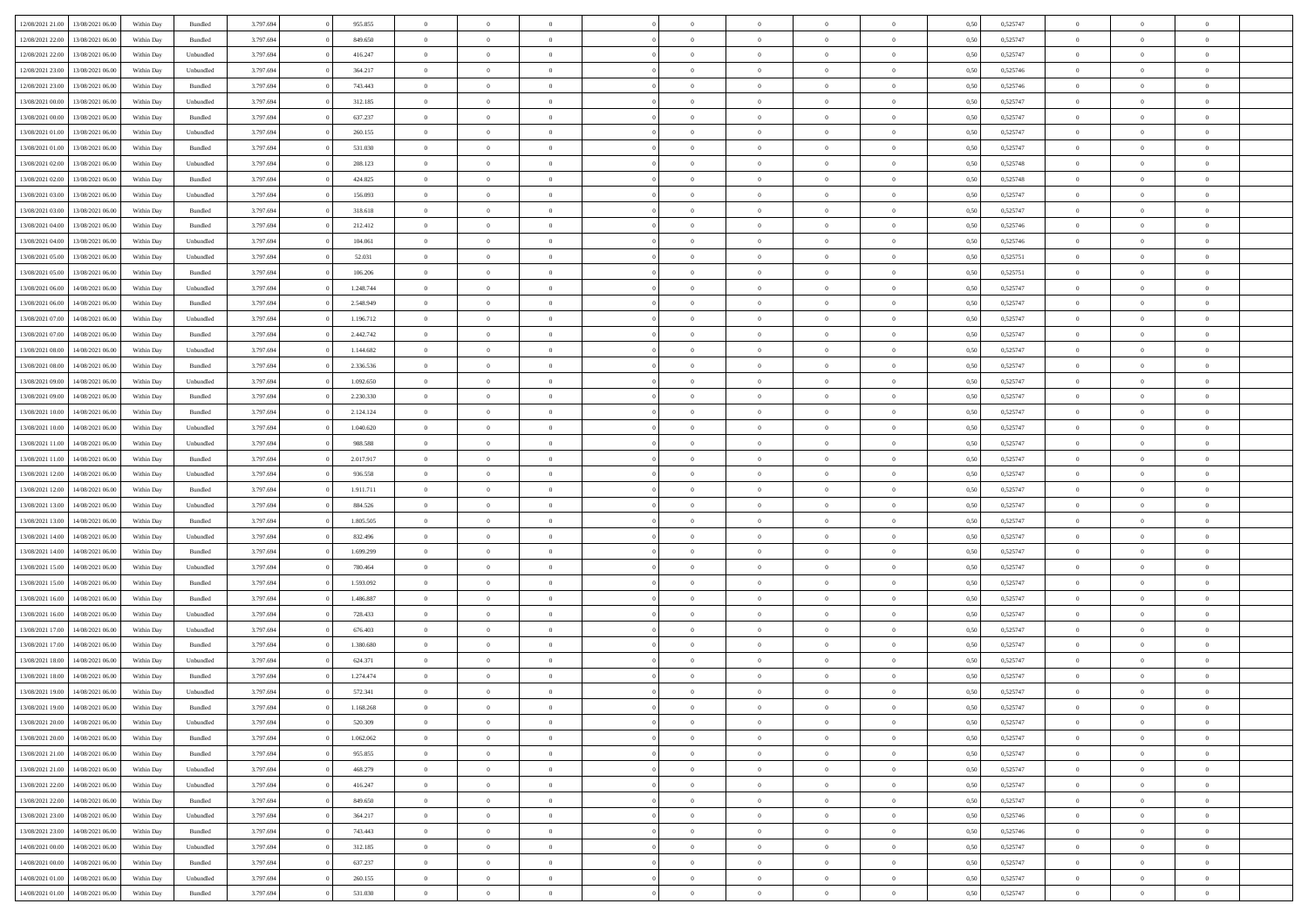| 12/08/2021 21:00 | 13/08/2021 06:00 | Within Day | Bundled            | 3.797.694 | 955.855   | $\overline{0}$ | $\theta$       |                | $\Omega$       | $\Omega$       | $\theta$       | $\theta$       | 0.50 | 0,525747 | $\theta$       | $\overline{0}$ | $\overline{0}$ |  |
|------------------|------------------|------------|--------------------|-----------|-----------|----------------|----------------|----------------|----------------|----------------|----------------|----------------|------|----------|----------------|----------------|----------------|--|
| 12/08/2021 22:00 | 13/08/2021 06:00 | Within Day | Bundled            | 3.797.694 | 849.650   | $\overline{0}$ | $\theta$       | $\overline{0}$ | $\overline{0}$ | $\bf{0}$       | $\overline{0}$ | $\bf{0}$       | 0,50 | 0,525747 | $\theta$       | $\overline{0}$ | $\overline{0}$ |  |
| 12/08/2021 22:00 | 13/08/2021 06:00 | Within Day | Unbundled          | 3.797.694 | 416.247   | $\overline{0}$ | $\bf{0}$       | $\overline{0}$ | $\bf{0}$       | $\bf{0}$       | $\bf{0}$       | $\mathbf{0}$   | 0,50 | 0,525747 | $\bf{0}$       | $\overline{0}$ | $\overline{0}$ |  |
| 12/08/2021 23:00 | 13/08/2021 06:00 | Within Day | Unbundled          | 3.797.694 | 364.217   | $\overline{0}$ | $\overline{0}$ | $\overline{0}$ | $\overline{0}$ | $\bf{0}$       | $\overline{0}$ | $\overline{0}$ | 0.50 | 0,525746 | $\theta$       | $\theta$       | $\overline{0}$ |  |
| 12/08/2021 23:00 | 13/08/2021 06:00 |            | Bundled            | 3.797.694 | 743.443   | $\overline{0}$ | $\theta$       | $\overline{0}$ | $\overline{0}$ | $\bf{0}$       | $\overline{0}$ |                |      | 0,525746 | $\theta$       | $\overline{0}$ | $\overline{0}$ |  |
|                  |                  | Within Day |                    |           |           |                |                |                |                |                |                | $\bf{0}$       | 0,50 |          |                |                |                |  |
| 13/08/2021 00:00 | 13/08/2021 06:00 | Within Day | Unbundled          | 3.797.694 | 312.185   | $\overline{0}$ | $\overline{0}$ | $\overline{0}$ | $\bf{0}$       | $\overline{0}$ | $\overline{0}$ | $\mathbf{0}$   | 0,50 | 0,525747 | $\bf{0}$       | $\overline{0}$ | $\bf{0}$       |  |
| 13/08/2021 00:00 | 13/08/2021 06:00 | Within Dav | Bundled            | 3.797.694 | 637.237   | $\overline{0}$ | $\overline{0}$ | $\overline{0}$ | $\overline{0}$ | $\overline{0}$ | $\overline{0}$ | $\overline{0}$ | 0.50 | 0,525747 | $\theta$       | $\overline{0}$ | $\overline{0}$ |  |
| 13/08/2021 01:00 | 13/08/2021 06:00 | Within Day | Unbundled          | 3.797.694 | 260.155   | $\overline{0}$ | $\theta$       | $\overline{0}$ | $\overline{0}$ | $\bf{0}$       | $\overline{0}$ | $\bf{0}$       | 0,50 | 0,525747 | $\theta$       | $\theta$       | $\overline{0}$ |  |
| 13/08/2021 01:00 | 13/08/2021 06:00 | Within Day | Bundled            | 3.797.694 | 531.030   | $\overline{0}$ | $\overline{0}$ | $\overline{0}$ | $\bf{0}$       | $\bf{0}$       | $\bf{0}$       | $\bf{0}$       | 0,50 | 0,525747 | $\,0\,$        | $\overline{0}$ | $\overline{0}$ |  |
| 13/08/2021 02:00 | 13/08/2021 06:00 | Within Dav | Unbundled          | 3.797.694 | 208.123   | $\overline{0}$ | $\overline{0}$ | $\overline{0}$ | $\overline{0}$ | $\overline{0}$ | $\overline{0}$ | $\overline{0}$ | 0.50 | 0,525748 | $\theta$       | $\overline{0}$ | $\overline{0}$ |  |
| 13/08/2021 02:00 | 13/08/2021 06:00 | Within Day | Bundled            | 3.797.694 | 424.825   | $\overline{0}$ | $\theta$       | $\overline{0}$ | $\overline{0}$ | $\bf{0}$       | $\overline{0}$ | $\bf{0}$       | 0,50 | 0,525748 | $\,$ 0 $\,$    | $\overline{0}$ | $\overline{0}$ |  |
| 13/08/2021 03:00 | 13/08/2021 06:00 | Within Day | Unbundled          | 3.797.694 | 156.093   | $\overline{0}$ | $\bf{0}$       | $\overline{0}$ | $\bf{0}$       | $\bf{0}$       | $\bf{0}$       | $\mathbf{0}$   | 0,50 | 0,525747 | $\overline{0}$ | $\overline{0}$ | $\bf{0}$       |  |
|                  |                  |            |                    |           |           |                |                |                |                |                |                |                |      |          | $\theta$       |                |                |  |
| 13/08/2021 03:00 | 13/08/2021 06:00 | Within Day | Bundled            | 3.797.694 | 318.618   | $\overline{0}$ | $\overline{0}$ | $\overline{0}$ | $\overline{0}$ | $\bf{0}$       | $\overline{0}$ | $\overline{0}$ | 0.50 | 0,525747 |                | $\theta$       | $\overline{0}$ |  |
| 13/08/2021 04:00 | 13/08/2021 06:00 | Within Day | Bundled            | 3.797.694 | 212.412   | $\overline{0}$ | $\theta$       | $\overline{0}$ | $\overline{0}$ | $\bf{0}$       | $\overline{0}$ | $\bf{0}$       | 0,50 | 0,525746 | $\theta$       | $\overline{0}$ | $\overline{0}$ |  |
| 13/08/2021 04:00 | 13/08/2021 06:00 | Within Day | Unbundled          | 3.797.694 | 104.061   | $\overline{0}$ | $\overline{0}$ | $\overline{0}$ | $\bf{0}$       | $\overline{0}$ | $\overline{0}$ | $\mathbf{0}$   | 0,50 | 0,525746 | $\overline{0}$ | $\overline{0}$ | $\bf{0}$       |  |
| 13/08/2021 05:00 | 13/08/2021 06:00 | Within Dav | Unbundled          | 3.797.694 | 52.031    | $\overline{0}$ | $\overline{0}$ | $\overline{0}$ | $\overline{0}$ | $\overline{0}$ | $\overline{0}$ | $\overline{0}$ | 0.50 | 0,525751 | $\theta$       | $\overline{0}$ | $\overline{0}$ |  |
| 13/08/2021 05:00 | 13/08/2021 06:00 | Within Day | Bundled            | 3.797.694 | 106.206   | $\overline{0}$ | $\theta$       | $\overline{0}$ | $\overline{0}$ | $\bf{0}$       | $\overline{0}$ | $\bf{0}$       | 0,50 | 0,525751 | $\theta$       | $\theta$       | $\overline{0}$ |  |
| 13/08/2021 06:00 | 14/08/2021 06:00 | Within Day | Unbundled          | 3.797.694 | 1.248.744 | $\overline{0}$ | $\overline{0}$ | $\overline{0}$ | $\bf{0}$       | $\bf{0}$       | $\bf{0}$       | $\bf{0}$       | 0,50 | 0,525747 | $\,0\,$        | $\overline{0}$ | $\overline{0}$ |  |
| 13/08/2021 06:00 | 14/08/2021 06:00 | Within Day | Bundled            | 3.797.694 | 2.548.949 | $\overline{0}$ | $\overline{0}$ | $\overline{0}$ | $\overline{0}$ | $\overline{0}$ | $\overline{0}$ | $\overline{0}$ | 0.50 | 0,525747 | $\theta$       | $\overline{0}$ | $\overline{0}$ |  |
| 13/08/2021 07:00 | 14/08/2021 06:00 | Within Day | Unbundled          | 3.797.694 | 1.196.712 | $\overline{0}$ | $\theta$       | $\overline{0}$ | $\overline{0}$ | $\bf{0}$       | $\overline{0}$ | $\bf{0}$       | 0,50 | 0,525747 | $\,$ 0 $\,$    | $\overline{0}$ | $\overline{0}$ |  |
| 13/08/2021 07:00 | 14/08/2021 06:00 | Within Day | Bundled            | 3.797.694 | 2.442.742 | $\overline{0}$ | $\overline{0}$ | $\overline{0}$ | $\overline{0}$ | $\bf{0}$       | $\overline{0}$ | $\bf{0}$       | 0,50 | 0,525747 | $\,0\,$        | $\overline{0}$ | $\bf{0}$       |  |
|                  |                  |            |                    |           |           |                |                |                |                |                |                |                |      |          |                |                |                |  |
| 13/08/2021 08:00 | 14/08/2021 06:00 | Within Day | Unbundled          | 3.797.694 | 1.144.682 | $\overline{0}$ | $\overline{0}$ | $\overline{0}$ | $\overline{0}$ | $\bf{0}$       | $\overline{0}$ | $\overline{0}$ | 0.50 | 0,525747 | $\theta$       | $\overline{0}$ | $\overline{0}$ |  |
| 13/08/2021 08:00 | 14/08/2021 06:00 | Within Day | Bundled            | 3.797.694 | 2.336.536 | $\overline{0}$ | $\theta$       | $\overline{0}$ | $\overline{0}$ | $\bf{0}$       | $\overline{0}$ | $\bf{0}$       | 0,50 | 0,525747 | $\,$ 0 $\,$    | $\overline{0}$ | $\overline{0}$ |  |
| 13/08/2021 09:00 | 14/08/2021 06:00 | Within Day | Unbundled          | 3.797.694 | 1.092.650 | $\overline{0}$ | $\overline{0}$ | $\overline{0}$ | $\overline{0}$ | $\overline{0}$ | $\overline{0}$ | $\mathbf{0}$   | 0,50 | 0,525747 | $\bf{0}$       | $\overline{0}$ | $\bf{0}$       |  |
| 13/08/2021 09:00 | 14/08/2021 06:00 | Within Dav | Bundled            | 3.797.694 | 2.230.330 | $\overline{0}$ | $\overline{0}$ | $\overline{0}$ | $\overline{0}$ | $\overline{0}$ | $\overline{0}$ | $\overline{0}$ | 0.50 | 0,525747 | $\theta$       | $\overline{0}$ | $\overline{0}$ |  |
| 13/08/2021 10:00 | 14/08/2021 06:00 | Within Day | Bundled            | 3.797.694 | 2.124.124 | $\overline{0}$ | $\theta$       | $\overline{0}$ | $\overline{0}$ | $\bf{0}$       | $\overline{0}$ | $\bf{0}$       | 0,50 | 0,525747 | $\theta$       | $\theta$       | $\overline{0}$ |  |
| 13/08/2021 10:00 | 14/08/2021 06:00 | Within Day | Unbundled          | 3.797.694 | 1.040.620 | $\overline{0}$ | $\overline{0}$ | $\overline{0}$ | $\overline{0}$ | $\bf{0}$       | $\overline{0}$ | $\bf{0}$       | 0,50 | 0,525747 | $\,0\,$        | $\overline{0}$ | $\overline{0}$ |  |
| 13/08/2021 11:00 | 14/08/2021 06:00 | Within Day | Unbundled          | 3.797.694 | 988.588   | $\overline{0}$ | $\overline{0}$ | $\overline{0}$ | $\overline{0}$ | $\overline{0}$ | $\overline{0}$ | $\overline{0}$ | 0.50 | 0,525747 | $\theta$       | $\overline{0}$ | $\overline{0}$ |  |
| 13/08/2021 11:00 | 14/08/2021 06:00 | Within Day | Bundled            | 3.797.694 | 2.017.917 | $\overline{0}$ | $\theta$       | $\overline{0}$ | $\overline{0}$ | $\bf{0}$       | $\overline{0}$ | $\bf{0}$       | 0,50 | 0,525747 | $\,$ 0 $\,$    | $\overline{0}$ | $\overline{0}$ |  |
|                  |                  |            |                    |           |           |                |                |                |                |                |                |                |      |          |                |                |                |  |
| 13/08/2021 12:00 | 14/08/2021 06:00 | Within Day | Unbundled          | 3.797.694 | 936.558   | $\overline{0}$ | $\overline{0}$ | $\overline{0}$ | $\overline{0}$ | $\bf{0}$       | $\overline{0}$ | $\bf{0}$       | 0,50 | 0,525747 | $\bf{0}$       | $\overline{0}$ | $\bf{0}$       |  |
| 13/08/2021 12:00 | 14/08/2021 06:00 | Within Day | Bundled            | 3.797.694 | 1.911.711 | $\bf{0}$       | $\Omega$       | $\Omega$       | $\Omega$       | $\Omega$       | $\overline{0}$ | $\overline{0}$ | 0,50 | 0,525747 | $\,0\,$        | $\theta$       | $\theta$       |  |
| 13/08/2021 13:00 | 14/08/2021 06:00 | Within Day | Unbundled          | 3.797.694 | 884.526   | $\overline{0}$ | $\theta$       | $\overline{0}$ | $\overline{0}$ | $\bf{0}$       | $\overline{0}$ | $\bf{0}$       | 0,50 | 0,525747 | $\,$ 0 $\,$    | $\overline{0}$ | $\overline{0}$ |  |
| 13/08/2021 13:00 | 14/08/2021 06:00 | Within Day | Bundled            | 3.797.694 | 1.805.505 | $\overline{0}$ | $\overline{0}$ | $\overline{0}$ | $\overline{0}$ | $\overline{0}$ | $\overline{0}$ | $\mathbf{0}$   | 0,50 | 0,525747 | $\bf{0}$       | $\overline{0}$ | $\bf{0}$       |  |
| 13/08/2021 14:00 | 14/08/2021 06:00 | Within Day | Unbundled          | 3.797.694 | 832.496   | $\overline{0}$ | $\Omega$       | $\Omega$       | $\Omega$       | $\bf{0}$       | $\overline{0}$ | $\overline{0}$ | 0.50 | 0,525747 | $\,0\,$        | $\theta$       | $\theta$       |  |
| 13/08/2021 14:00 | 14/08/2021 06:00 | Within Day | Bundled            | 3.797.694 | 1.699.299 | $\overline{0}$ | $\theta$       | $\overline{0}$ | $\overline{0}$ | $\bf{0}$       | $\overline{0}$ | $\bf{0}$       | 0,50 | 0,525747 | $\,$ 0 $\,$    | $\overline{0}$ | $\overline{0}$ |  |
| 13/08/2021 15:00 | 14/08/2021 06:00 | Within Day | Unbundled          | 3.797.694 | 780.464   | $\overline{0}$ | $\overline{0}$ | $\overline{0}$ | $\overline{0}$ | $\bf{0}$       | $\overline{0}$ | $\bf{0}$       | 0,50 | 0,525747 | $\bf{0}$       | $\overline{0}$ | $\bf{0}$       |  |
| 13/08/2021 15:00 | 14/08/2021 06:00 | Within Day | Bundled            | 3.797.694 | 1.593.092 | $\overline{0}$ | $\Omega$       | $\Omega$       | $\Omega$       | $\theta$       | $\overline{0}$ | $\overline{0}$ | 0.50 | 0,525747 | $\,$ 0 $\,$    | $\theta$       | $\theta$       |  |
| 13/08/2021 16:00 | 14/08/2021 06:00 | Within Day | Bundled            | 3.797.694 | 1.486.887 | $\overline{0}$ | $\theta$       | $\overline{0}$ | $\overline{0}$ | $\bf{0}$       | $\overline{0}$ | $\bf{0}$       | 0,50 | 0,525747 | $\,$ 0 $\,$    | $\overline{0}$ | $\overline{0}$ |  |
| 13/08/2021 16:00 | 14/08/2021 06:00 | Within Day | Unbundled          | 3.797.694 | 728.433   | $\overline{0}$ | $\bf{0}$       | $\overline{0}$ | $\overline{0}$ | $\bf{0}$       | $\overline{0}$ | $\bf{0}$       | 0,50 | 0,525747 | $\bf{0}$       | $\overline{0}$ | $\bf{0}$       |  |
|                  |                  |            |                    |           |           |                |                |                |                |                |                |                |      |          |                |                |                |  |
| 13/08/2021 17:00 | 14/08/2021 06:00 | Within Day | Unbundled          | 3.797.694 | 676.403   | $\overline{0}$ | $\Omega$       | $\overline{0}$ | $\Omega$       | $\overline{0}$ | $\overline{0}$ | $\overline{0}$ | 0,50 | 0,525747 | $\,0\,$        | $\theta$       | $\theta$       |  |
| 13/08/2021 17:00 | 14/08/2021 06:00 | Within Day | Bundled            | 3.797.694 | 1.380.680 | $\overline{0}$ | $\overline{0}$ | $\overline{0}$ | $\overline{0}$ | $\,$ 0         | $\overline{0}$ | $\bf{0}$       | 0,50 | 0,525747 | $\,$ 0 $\,$    | $\overline{0}$ | $\overline{0}$ |  |
| 13/08/2021 18:00 | 14/08/2021 06:00 | Within Day | Unbundled          | 3.797.694 | 624.371   | $\overline{0}$ | $\overline{0}$ | $\overline{0}$ | $\overline{0}$ | $\bf{0}$       | $\overline{0}$ | $\mathbf{0}$   | 0,50 | 0,525747 | $\overline{0}$ | $\overline{0}$ | $\bf{0}$       |  |
| 13/08/2021 18:00 | 14/08/2021 06:00 | Within Day | Bundled            | 3.797.694 | 1.274.474 | $\overline{0}$ | $\Omega$       | $\Omega$       | $\Omega$       | $\Omega$       | $\Omega$       | $\overline{0}$ | 0.50 | 0,525747 | $\theta$       | $\theta$       | $\theta$       |  |
| 13/08/2021 19:00 | 14/08/2021 06:00 | Within Day | Unbundled          | 3.797.694 | 572.341   | $\overline{0}$ | $\overline{0}$ | $\overline{0}$ | $\bf{0}$       | $\,$ 0         | $\bf{0}$       | $\bf{0}$       | 0,50 | 0,525747 | $\,0\,$        | $\,$ 0 $\,$    | $\overline{0}$ |  |
| 13/08/2021 19:00 | 14/08/2021 06:00 | Within Day | $\mathbf B$ undled | 3.797.694 | 1.168.268 | $\overline{0}$ | $\bf{0}$       |                |                |                |                |                | 0,50 | 0,525747 | $\bf{0}$       | $\overline{0}$ |                |  |
| 13/08/2021 20:00 | 14/08/2021 06:00 | Within Day | Unbundled          | 3.797.694 | 520,309   | $\overline{0}$ | $\overline{0}$ | $\overline{0}$ | $\Omega$       | $\overline{0}$ | $\overline{0}$ | $\overline{0}$ | 0,50 | 0,525747 | $\theta$       | $\theta$       | $\theta$       |  |
| 13/08/2021 20:00 | 14/08/2021 06:00 | Within Day | Bundled            | 3.797.694 | 1.062.062 | $\overline{0}$ | $\,$ 0         | $\overline{0}$ | $\bf{0}$       | $\,$ 0 $\,$    | $\overline{0}$ | $\,$ 0 $\,$    | 0,50 | 0,525747 | $\,$ 0 $\,$    | $\,$ 0 $\,$    | $\,$ 0         |  |
| 13/08/2021 21:00 | 14/08/2021 06:00 | Within Day | Bundled            | 3.797.694 | 955.855   | $\overline{0}$ | $\overline{0}$ | $\overline{0}$ | $\overline{0}$ | $\overline{0}$ | $\overline{0}$ | $\mathbf{0}$   | 0,50 | 0,525747 | $\overline{0}$ | $\bf{0}$       | $\overline{0}$ |  |
|                  |                  |            |                    |           |           |                |                |                |                |                |                |                |      |          |                |                |                |  |
| 13/08/2021 21:00 | 14/08/2021 06:00 | Within Day | Unbundled          | 3.797.694 | 468.279   | $\overline{0}$ | $\overline{0}$ | $\overline{0}$ | $\Omega$       | $\overline{0}$ | $\overline{0}$ | $\overline{0}$ | 0,50 | 0,525747 | $\overline{0}$ | $\theta$       | $\overline{0}$ |  |
| 13/08/2021 22:00 | 14/08/2021 06:00 | Within Day | Unbundled          | 3.797.694 | 416.247   | $\overline{0}$ | $\,$ 0         | $\overline{0}$ | $\overline{0}$ | $\,$ 0 $\,$    | $\overline{0}$ | $\mathbf{0}$   | 0,50 | 0,525747 | $\,$ 0 $\,$    | $\overline{0}$ | $\overline{0}$ |  |
| 13/08/2021 22:00 | 14/08/2021 06:00 | Within Day | Bundled            | 3.797.694 | 849.650   | $\overline{0}$ | $\overline{0}$ | $\overline{0}$ | $\overline{0}$ | $\overline{0}$ | $\overline{0}$ | $\mathbf{0}$   | 0,50 | 0,525747 | $\overline{0}$ | $\overline{0}$ | $\bf{0}$       |  |
| 13/08/2021 23:00 | 14/08/2021 06:00 | Within Day | Unbundled          | 3.797.694 | 364.217   | $\overline{0}$ | $\overline{0}$ | $\overline{0}$ | $\overline{0}$ | $\overline{0}$ | $\overline{0}$ | $\bf{0}$       | 0.50 | 0,525746 | $\overline{0}$ | $\theta$       | $\overline{0}$ |  |
| 13/08/2021 23:00 | 14/08/2021 06:00 | Within Day | Bundled            | 3.797.694 | 743.443   | $\overline{0}$ | $\,$ 0         | $\overline{0}$ | $\bf{0}$       | $\bf{0}$       | $\bf{0}$       | $\bf{0}$       | 0,50 | 0,525746 | $\,$ 0 $\,$    | $\overline{0}$ | $\overline{0}$ |  |
| 14/08/2021 00:00 | 14/08/2021 06:00 | Within Day | Unbundled          | 3.797.694 | 312.185   | $\overline{0}$ | $\bf{0}$       | $\overline{0}$ | $\overline{0}$ | $\overline{0}$ | $\overline{0}$ | $\mathbf{0}$   | 0,50 | 0,525747 | $\overline{0}$ | $\overline{0}$ | $\bf{0}$       |  |
| 14/08/2021 00:00 | 14/08/2021 06:00 | Within Day | Bundled            | 3.797.694 | 637.237   | $\overline{0}$ | $\overline{0}$ | $\overline{0}$ | $\Omega$       | $\overline{0}$ | $\overline{0}$ | $\overline{0}$ | 0.50 | 0,525747 | $\overline{0}$ | $\overline{0}$ | $\overline{0}$ |  |
| 14/08/2021 01:00 | 14/08/2021 06:00 | Within Day | Unbundled          | 3.797.694 | 260.155   | $\overline{0}$ | $\bf{0}$       | $\overline{0}$ | $\overline{0}$ | $\bf{0}$       | $\bf{0}$       | $\bf{0}$       | 0,50 | 0,525747 | $\,$ 0 $\,$    | $\,$ 0 $\,$    | $\bf{0}$       |  |
|                  |                  |            |                    |           |           |                |                |                |                |                |                |                |      |          |                |                |                |  |
| 14/08/2021 01:00 | 14/08/2021 06:00 | Within Day | Bundled            | 3.797.694 | 531.030   | $\overline{0}$ | $\bf{0}$       | $\overline{0}$ | $\bf{0}$       | $\bf{0}$       | $\bf{0}$       | $\bf{0}$       | 0,50 | 0,525747 | $\overline{0}$ | $\overline{0}$ | $\bf{0}$       |  |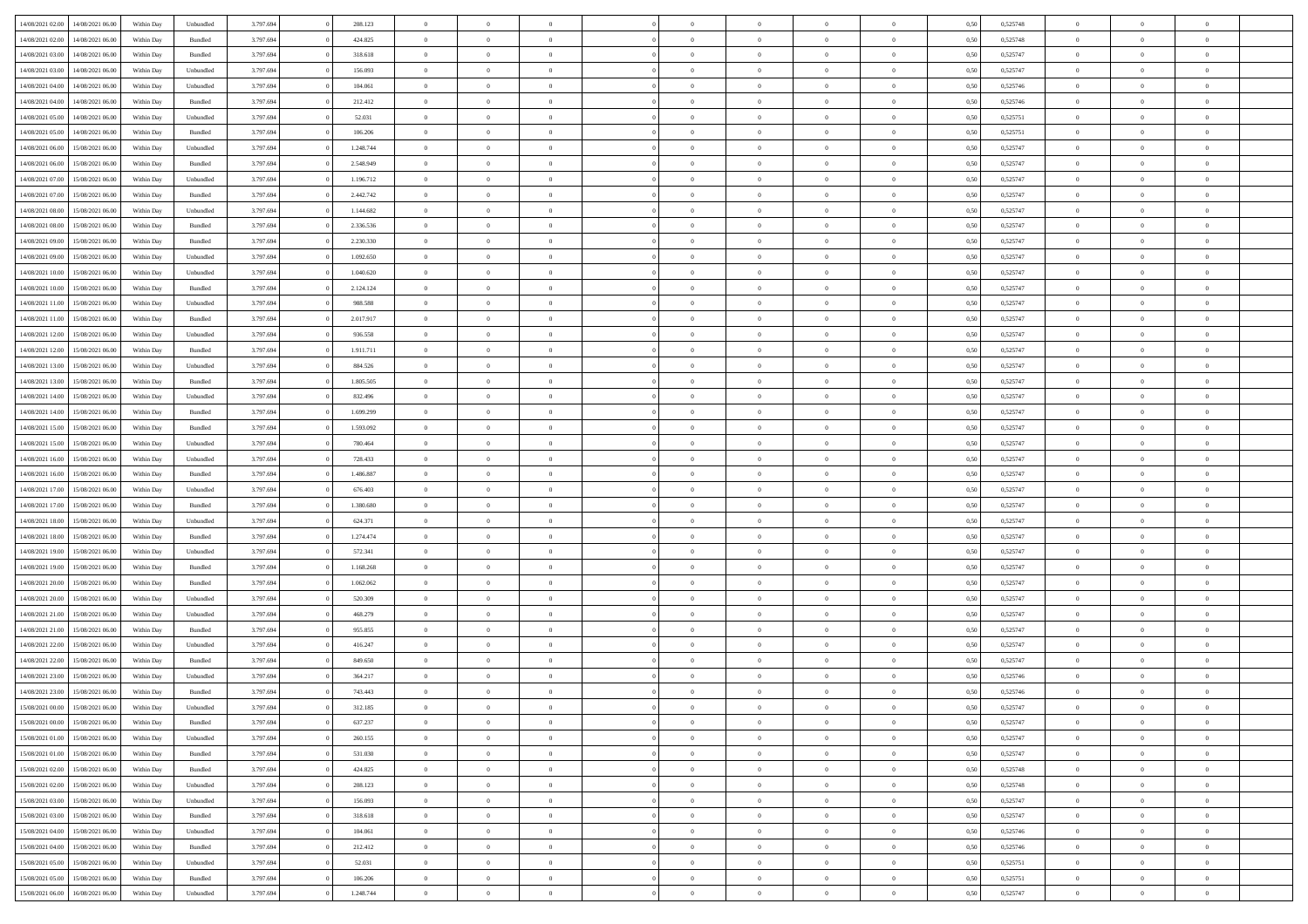| 14/08/2021 02:00 | 14/08/2021 06:00 | Within Day | Unbundled          | 3.797.694 | 208.123   | $\overline{0}$ | $\Omega$       |                | $\Omega$       | $\Omega$       | $\Omega$       | $\theta$       | 0.50 | 0,525748 | $\theta$       | $\theta$       | $\theta$       |  |
|------------------|------------------|------------|--------------------|-----------|-----------|----------------|----------------|----------------|----------------|----------------|----------------|----------------|------|----------|----------------|----------------|----------------|--|
|                  |                  |            |                    |           |           |                |                |                |                |                |                |                |      |          |                |                |                |  |
| 14/08/2021 02:00 | 14/08/2021 06:00 | Within Day | Bundled            | 3.797.694 | 424.825   | $\overline{0}$ | $\theta$       | $\overline{0}$ | $\overline{0}$ | $\bf{0}$       | $\overline{0}$ | $\bf{0}$       | 0,50 | 0,525748 | $\theta$       | $\theta$       | $\overline{0}$ |  |
| 14/08/2021 03:00 | 14/08/2021 06:00 | Within Day | Bundled            | 3.797.694 | 318.618   | $\overline{0}$ | $\overline{0}$ | $\overline{0}$ | $\bf{0}$       | $\bf{0}$       | $\bf{0}$       | $\bf{0}$       | 0,50 | 0,525747 | $\bf{0}$       | $\overline{0}$ | $\overline{0}$ |  |
| 14/08/2021 03:00 | 14/08/2021 06:00 | Within Day | Unbundled          | 3.797.694 | 156.093   | $\overline{0}$ | $\overline{0}$ | $\overline{0}$ | $\overline{0}$ | $\bf{0}$       | $\overline{0}$ | $\overline{0}$ | 0.50 | 0,525747 | $\theta$       | $\theta$       | $\overline{0}$ |  |
|                  |                  |            |                    |           |           | $\overline{0}$ | $\theta$       | $\overline{0}$ |                | $\bf{0}$       | $\overline{0}$ |                |      |          | $\theta$       | $\overline{0}$ | $\overline{0}$ |  |
| 14/08/2021 04:00 | 14/08/2021 06:00 | Within Day | Unbundled          | 3.797.694 | 104.061   |                |                |                | $\overline{0}$ |                |                | $\bf{0}$       | 0,50 | 0,525746 |                |                |                |  |
| 14/08/2021 04:00 | 14/08/2021 06:00 | Within Day | Bundled            | 3.797.694 | 212.412   | $\overline{0}$ | $\bf{0}$       | $\overline{0}$ | $\bf{0}$       | $\overline{0}$ | $\overline{0}$ | $\mathbf{0}$   | 0,50 | 0,525746 | $\bf{0}$       | $\overline{0}$ | $\bf{0}$       |  |
| 14/08/2021 05:00 | 14/08/2021 06:00 | Within Dav | Unbundled          | 3.797.694 | 52.031    | $\overline{0}$ | $\overline{0}$ | $\overline{0}$ | $\overline{0}$ | $\bf{0}$       | $\overline{0}$ | $\overline{0}$ | 0.50 | 0,525751 | $\theta$       | $\overline{0}$ | $\overline{0}$ |  |
| 14/08/2021 05:00 | 14/08/2021 06:00 | Within Day | Bundled            | 3.797.694 | 106.206   | $\overline{0}$ | $\theta$       | $\overline{0}$ | $\overline{0}$ | $\bf{0}$       | $\overline{0}$ | $\bf{0}$       | 0,50 | 0,525751 | $\theta$       | $\theta$       | $\overline{0}$ |  |
| 14/08/2021 06:00 | 15/08/2021 06:00 | Within Day | Unbundled          | 3.797.694 | 1.248.744 | $\overline{0}$ | $\overline{0}$ | $\overline{0}$ | $\bf{0}$       | $\bf{0}$       | $\bf{0}$       | $\bf{0}$       | 0,50 | 0,525747 | $\,0\,$        | $\overline{0}$ | $\overline{0}$ |  |
| 14/08/2021 06:00 | 15/08/2021 06:00 | Within Dav | Bundled            | 3.797.694 | 2.548.949 | $\overline{0}$ | $\overline{0}$ | $\overline{0}$ | $\overline{0}$ | $\overline{0}$ | $\overline{0}$ | $\overline{0}$ | 0.50 | 0,525747 | $\theta$       | $\overline{0}$ | $\overline{0}$ |  |
|                  |                  |            |                    |           |           |                |                |                |                |                |                |                |      |          |                |                |                |  |
| 14/08/2021 07:00 | 15/08/2021 06:00 | Within Day | Unbundled          | 3.797.694 | 1.196.712 | $\overline{0}$ | $\theta$       | $\overline{0}$ | $\overline{0}$ | $\bf{0}$       | $\overline{0}$ | $\bf{0}$       | 0,50 | 0,525747 | $\,$ 0 $\,$    | $\overline{0}$ | $\overline{0}$ |  |
| 14/08/2021 07:00 | 15/08/2021 06:00 | Within Day | Bundled            | 3.797.694 | 2.442.742 | $\overline{0}$ | $\overline{0}$ | $\overline{0}$ | $\bf{0}$       | $\bf{0}$       | $\bf{0}$       | $\bf{0}$       | 0,50 | 0,525747 | $\bf{0}$       | $\overline{0}$ | $\overline{0}$ |  |
| 14/08/2021 08:00 | 15/08/2021 06:00 | Within Day | Unbundled          | 3.797.694 | 1.144.682 | $\overline{0}$ | $\overline{0}$ | $\overline{0}$ | $\overline{0}$ | $\bf{0}$       | $\overline{0}$ | $\overline{0}$ | 0.50 | 0,525747 | $\theta$       | $\theta$       | $\overline{0}$ |  |
| 14/08/2021 08:00 | 15/08/2021 06:00 | Within Day | Bundled            | 3.797.694 | 2.336.536 | $\overline{0}$ | $\theta$       | $\overline{0}$ | $\overline{0}$ | $\bf{0}$       | $\overline{0}$ | $\overline{0}$ | 0,50 | 0,525747 | $\theta$       | $\theta$       | $\overline{0}$ |  |
| 14/08/2021 09:00 | 15/08/2021 06:00 | Within Day | Bundled            | 3.797.694 | 2.230.330 | $\overline{0}$ | $\bf{0}$       | $\overline{0}$ | $\bf{0}$       | $\overline{0}$ | $\overline{0}$ | $\mathbf{0}$   | 0,50 | 0,525747 | $\bf{0}$       | $\overline{0}$ | $\bf{0}$       |  |
|                  |                  |            |                    |           |           |                |                |                |                |                |                |                |      |          |                |                |                |  |
| 14/08/2021 09:00 | 15/08/2021 06:00 | Within Dav | Unbundled          | 3.797.694 | 1.092.650 | $\overline{0}$ | $\overline{0}$ | $\overline{0}$ | $\overline{0}$ | $\overline{0}$ | $\overline{0}$ | $\overline{0}$ | 0.50 | 0,525747 | $\theta$       | $\overline{0}$ | $\overline{0}$ |  |
| 14/08/2021 10:00 | 15/08/2021 06:00 | Within Day | Unbundled          | 3.797.694 | 1.040.620 | $\overline{0}$ | $\theta$       | $\overline{0}$ | $\overline{0}$ | $\bf{0}$       | $\overline{0}$ | $\bf{0}$       | 0,50 | 0,525747 | $\theta$       | $\theta$       | $\overline{0}$ |  |
| 14/08/2021 10:00 | 15/08/2021 06:00 | Within Day | Bundled            | 3.797.694 | 2.124.124 | $\overline{0}$ | $\overline{0}$ | $\overline{0}$ | $\bf{0}$       | $\bf{0}$       | $\bf{0}$       | $\bf{0}$       | 0,50 | 0,525747 | $\,0\,$        | $\overline{0}$ | $\overline{0}$ |  |
| 14/08/2021 11:00 | 15/08/2021 06:00 | Within Day | Unbundled          | 3.797.694 | 988.588   | $\overline{0}$ | $\overline{0}$ | $\overline{0}$ | $\overline{0}$ | $\overline{0}$ | $\overline{0}$ | $\overline{0}$ | 0.50 | 0,525747 | $\theta$       | $\overline{0}$ | $\overline{0}$ |  |
| 14/08/2021 11:00 | 15/08/2021 06:00 | Within Day | Bundled            | 3.797.694 | 2.017.917 | $\overline{0}$ | $\theta$       | $\overline{0}$ | $\overline{0}$ | $\bf{0}$       | $\overline{0}$ | $\bf{0}$       | 0,50 | 0,525747 | $\theta$       | $\theta$       | $\overline{0}$ |  |
| 14/08/2021 12:00 | 15/08/2021 06:00 | Within Day | Unbundled          | 3.797.694 | 936.558   | $\overline{0}$ | $\overline{0}$ | $\overline{0}$ | $\bf{0}$       | $\bf{0}$       | $\bf{0}$       | $\bf{0}$       | 0,50 | 0,525747 | $\,0\,$        | $\overline{0}$ | $\overline{0}$ |  |
| 14/08/2021 12:00 | 15/08/2021 06:00 | Within Day | Bundled            | 3.797.694 | 1.911.711 | $\overline{0}$ | $\overline{0}$ | $\overline{0}$ | $\overline{0}$ | $\bf{0}$       | $\overline{0}$ | $\overline{0}$ | 0.50 | 0,525747 | $\theta$       | $\theta$       | $\overline{0}$ |  |
|                  |                  |            |                    |           |           |                |                |                |                |                |                |                |      |          |                |                |                |  |
| 14/08/2021 13:00 | 15/08/2021 06:00 | Within Day | Unbundled          | 3.797.694 | 884.526   | $\overline{0}$ | $\theta$       | $\overline{0}$ | $\overline{0}$ | $\bf{0}$       | $\overline{0}$ | $\bf{0}$       | 0,50 | 0,525747 | $\,$ 0 $\,$    | $\overline{0}$ | $\overline{0}$ |  |
| 14/08/2021 13:00 | 15/08/2021 06:00 | Within Day | Bundled            | 3.797.694 | 1.805.505 | $\overline{0}$ | $\bf{0}$       | $\overline{0}$ | $\bf{0}$       | $\overline{0}$ | $\overline{0}$ | $\mathbf{0}$   | 0,50 | 0,525747 | $\bf{0}$       | $\overline{0}$ | $\bf{0}$       |  |
| 14/08/2021 14:00 | 15/08/2021 06:00 | Within Dav | Unbundled          | 3.797.694 | 832.496   | $\overline{0}$ | $\overline{0}$ | $\overline{0}$ | $\overline{0}$ | $\overline{0}$ | $\overline{0}$ | $\overline{0}$ | 0.50 | 0,525747 | $\theta$       | $\overline{0}$ | $\overline{0}$ |  |
| 14/08/2021 14:00 | 15/08/2021 06:00 | Within Day | Bundled            | 3.797.694 | 1.699.299 | $\overline{0}$ | $\theta$       | $\overline{0}$ | $\overline{0}$ | $\bf{0}$       | $\overline{0}$ | $\bf{0}$       | 0,50 | 0,525747 | $\theta$       | $\theta$       | $\overline{0}$ |  |
| 14/08/2021 15:00 | 15/08/2021 06:00 | Within Day | Bundled            | 3.797.694 | 1.593.092 | $\overline{0}$ | $\overline{0}$ | $\overline{0}$ | $\bf{0}$       | $\bf{0}$       | $\bf{0}$       | $\bf{0}$       | 0,50 | 0,525747 | $\,0\,$        | $\overline{0}$ | $\overline{0}$ |  |
| 14/08/2021 15:00 | 15/08/2021 06:00 | Within Day | Unbundled          | 3.797.694 | 780.464   | $\overline{0}$ | $\overline{0}$ | $\overline{0}$ | $\overline{0}$ | $\overline{0}$ | $\overline{0}$ | $\overline{0}$ | 0.50 | 0,525747 | $\theta$       | $\overline{0}$ | $\overline{0}$ |  |
|                  |                  |            |                    |           |           |                |                |                |                |                |                |                |      |          |                |                |                |  |
| 14/08/2021 16:00 | 15/08/2021 06:00 | Within Day | Unbundled          | 3.797.694 | 728.433   | $\overline{0}$ | $\theta$       | $\overline{0}$ | $\overline{0}$ | $\bf{0}$       | $\overline{0}$ | $\bf{0}$       | 0,50 | 0,525747 | $\,$ 0 $\,$    | $\overline{0}$ | $\overline{0}$ |  |
| 14/08/2021 16:00 | 15/08/2021 06:00 | Within Day | Bundled            | 3.797.694 | 1.486.887 | $\overline{0}$ | $\overline{0}$ | $\overline{0}$ | $\bf{0}$       | $\bf{0}$       | $\bf{0}$       | $\bf{0}$       | 0,50 | 0,525747 | $\bf{0}$       | $\overline{0}$ | $\overline{0}$ |  |
| 14/08/2021 17:00 | 15/08/2021 06:00 | Within Day | Unbundled          | 3.797.694 | 676.403   | $\overline{0}$ | $\Omega$       | $\Omega$       | $\Omega$       | $\Omega$       | $\Omega$       | $\overline{0}$ | 0,50 | 0,525747 | $\,0\,$        | $\theta$       | $\theta$       |  |
| 14/08/2021 17:00 | 15/08/2021 06:00 | Within Day | Bundled            | 3.797.694 | 1.380.680 | $\overline{0}$ | $\theta$       | $\overline{0}$ | $\overline{0}$ | $\bf{0}$       | $\overline{0}$ | $\bf{0}$       | 0,50 | 0,525747 | $\theta$       | $\theta$       | $\overline{0}$ |  |
| 14/08/2021 18:00 | 15/08/2021 06:00 | Within Day | Unbundled          | 3.797.694 | 624.371   | $\overline{0}$ | $\overline{0}$ | $\overline{0}$ | $\bf{0}$       | $\bf{0}$       | $\overline{0}$ | $\mathbf{0}$   | 0,50 | 0,525747 | $\overline{0}$ | $\overline{0}$ | $\bf{0}$       |  |
| 14/08/2021 18:00 | 15/08/2021 06:00 | Within Day | Bundled            | 3.797.694 | 1.274.474 | $\overline{0}$ | $\Omega$       | $\Omega$       | $\Omega$       | $\bf{0}$       | $\overline{0}$ | $\overline{0}$ | 0.50 | 0,525747 | $\,0\,$        | $\theta$       | $\theta$       |  |
|                  |                  |            |                    |           |           | $\overline{0}$ | $\theta$       | $\overline{0}$ |                | $\bf{0}$       | $\overline{0}$ |                |      |          |                | $\theta$       | $\overline{0}$ |  |
| 14/08/2021 19:00 | 15/08/2021 06:00 | Within Day | Unbundled          | 3.797.694 | 572.341   |                |                |                | $\overline{0}$ |                |                | $\bf{0}$       | 0,50 | 0,525747 | $\,$ 0 $\,$    |                |                |  |
| 14/08/2021 19:00 | 15/08/2021 06:00 | Within Day | Bundled            | 3.797.694 | 1.168.268 | $\overline{0}$ | $\overline{0}$ | $\overline{0}$ | $\bf{0}$       | $\bf{0}$       | $\bf{0}$       | $\bf{0}$       | 0,50 | 0,525747 | $\,0\,$        | $\overline{0}$ | $\overline{0}$ |  |
| 14/08/2021 20:00 | 15/08/2021 06:00 | Within Day | Bundled            | 3.797.694 | 1.062.062 | $\overline{0}$ | $\Omega$       | $\Omega$       | $\Omega$       | $\Omega$       | $\theta$       | $\overline{0}$ | 0.50 | 0,525747 | $\theta$       | $\theta$       | $\theta$       |  |
| 14/08/2021 20:00 | 15/08/2021 06:00 | Within Day | Unbundled          | 3.797.694 | 520.309   | $\overline{0}$ | $\theta$       | $\overline{0}$ | $\overline{0}$ | $\bf{0}$       | $\overline{0}$ | $\bf{0}$       | 0,50 | 0,525747 | $\,$ 0 $\,$    | $\overline{0}$ | $\overline{0}$ |  |
| 14/08/2021 21.00 | 15/08/2021 06:00 | Within Day | Unbundled          | 3.797.694 | 468.279   | $\overline{0}$ | $\overline{0}$ | $\overline{0}$ | $\bf{0}$       | $\bf{0}$       | $\bf{0}$       | $\bf{0}$       | 0,50 | 0,525747 | $\overline{0}$ | $\overline{0}$ | $\overline{0}$ |  |
| 14/08/2021 21:00 | 15/08/2021 06:00 | Within Day | Bundled            | 3.797.694 | 955.855   | $\overline{0}$ | $\Omega$       | $\Omega$       | $\Omega$       | $\Omega$       | $\overline{0}$ | $\overline{0}$ | 0,50 | 0,525747 | $\,0\,$        | $\theta$       | $\theta$       |  |
| 14/08/2021 22:00 | 15/08/2021 06:00 | Within Day | Unbundled          | 3.797.694 | 416.247   | $\overline{0}$ | $\theta$       | $\overline{0}$ | $\overline{0}$ | $\bf{0}$       | $\overline{0}$ | $\bf{0}$       | 0,50 | 0,525747 | $\,$ 0 $\,$    | $\overline{0}$ | $\overline{0}$ |  |
|                  |                  |            |                    |           |           |                |                |                |                |                |                |                |      |          |                |                |                |  |
| 14/08/2021 22.00 | 15/08/2021 06:00 | Within Day | Bundled            | 3.797.694 | 849.650   | $\overline{0}$ | $\overline{0}$ | $\overline{0}$ | $\bf{0}$       | $\bf{0}$       | $\bf{0}$       | $\mathbf{0}$   | 0,50 | 0,525747 | $\overline{0}$ | $\overline{0}$ | $\bf{0}$       |  |
| 14/08/2021 23:00 | 15/08/2021 06:00 | Within Day | Unbundled          | 3.797.694 | 364.217   | $\overline{0}$ | $\Omega$       | $\Omega$       | $\Omega$       | $\Omega$       | $\Omega$       | $\overline{0}$ | 0.50 | 0,525746 | $\theta$       | $\theta$       | $\theta$       |  |
| 14/08/2021 23:00 | 15/08/2021 06:00 | Within Day | Bundled            | 3.797.694 | 743.443   | $\overline{0}$ | $\overline{0}$ | $\overline{0}$ | $\bf{0}$       | $\,$ 0         | $\bf{0}$       | $\bf{0}$       | 0,50 | 0,525746 | $\,0\,$        | $\overline{0}$ | $\overline{0}$ |  |
| 15/08/2021 00:00 | 15/08/2021 06:00 | Within Day | Unbundled          | 3.797.694 | 312.185   | $\bf{0}$       | $\bf{0}$       |                |                |                |                |                | 0,50 | 0,525747 | $\bf{0}$       | $\overline{0}$ |                |  |
| 15/08/2021 00:00 | 15/08/2021 06:00 | Within Day | Bundled            | 3.797.694 | 637.237   | $\overline{0}$ | $\overline{0}$ | $\overline{0}$ | $\Omega$       | $\overline{0}$ | $\overline{0}$ | $\overline{0}$ | 0,50 | 0,525747 | $\theta$       | $\theta$       | $\theta$       |  |
| 15/08/2021 01:00 | 15/08/2021 06:00 | Within Day | Unbundled          | 3.797.694 | 260.155   | $\overline{0}$ | $\bf{0}$       | $\overline{0}$ | $\bf{0}$       | $\,$ 0 $\,$    | $\overline{0}$ | $\,$ 0 $\,$    | 0,50 | 0,525747 | $\,$ 0 $\,$    | $\,$ 0 $\,$    | $\,$ 0         |  |
| 15/08/2021 01:00 | 15/08/2021 06:00 | Within Day | Bundled            | 3.797.694 | 531.030   | $\overline{0}$ | $\overline{0}$ | $\overline{0}$ | $\overline{0}$ | $\overline{0}$ | $\overline{0}$ | $\mathbf{0}$   | 0,50 | 0,525747 | $\overline{0}$ | $\bf{0}$       | $\overline{0}$ |  |
|                  |                  |            |                    |           |           |                |                |                |                |                |                |                |      |          |                |                |                |  |
| 15/08/2021 02:00 | 15/08/2021 06:00 | Within Day | $\mathbf B$ undled | 3.797.694 | 424.825   | $\overline{0}$ | $\overline{0}$ | $\overline{0}$ | $\Omega$       | $\overline{0}$ | $\overline{0}$ | $\overline{0}$ | 0,50 | 0,525748 | $\overline{0}$ | $\theta$       | $\overline{0}$ |  |
| 15/08/2021 02:00 | 15/08/2021 06:00 | Within Day | Unbundled          | 3.797.694 | 208.123   | $\overline{0}$ | $\,$ 0         | $\overline{0}$ | $\bf{0}$       | $\,$ 0 $\,$    | $\overline{0}$ | $\mathbf{0}$   | 0,50 | 0,525748 | $\,$ 0 $\,$    | $\overline{0}$ | $\overline{0}$ |  |
| 15/08/2021 03:00 | 15/08/2021 06:00 | Within Day | Unbundled          | 3.797.694 | 156.093   | $\overline{0}$ | $\overline{0}$ | $\overline{0}$ | $\overline{0}$ | $\overline{0}$ | $\overline{0}$ | $\mathbf{0}$   | 0,50 | 0,525747 | $\overline{0}$ | $\overline{0}$ | $\bf{0}$       |  |
| 15/08/2021 03:00 | 15/08/2021 06:00 | Within Day | Bundled            | 3.797.694 | 318.618   | $\overline{0}$ | $\overline{0}$ | $\overline{0}$ | $\overline{0}$ | $\overline{0}$ | $\overline{0}$ | $\bf{0}$       | 0.50 | 0,525747 | $\overline{0}$ | $\theta$       | $\overline{0}$ |  |
| 15/08/2021 04:00 | 15/08/2021 06:00 | Within Day | Unbundled          | 3.797.694 | 104.061   | $\overline{0}$ | $\,$ 0         | $\overline{0}$ | $\bf{0}$       | $\bf{0}$       | $\bf{0}$       | $\bf{0}$       | 0,50 | 0,525746 | $\,$ 0 $\,$    | $\overline{0}$ | $\overline{0}$ |  |
| 15/08/2021 04:00 | 15/08/2021 06:00 | Within Day | Bundled            | 3.797.694 | 212.412   | $\overline{0}$ | $\bf{0}$       | $\overline{0}$ | $\overline{0}$ | $\overline{0}$ | $\overline{0}$ | $\mathbf{0}$   | 0,50 | 0,525746 | $\overline{0}$ | $\overline{0}$ | $\bf{0}$       |  |
|                  |                  |            |                    |           |           |                |                |                |                |                |                |                |      |          |                |                |                |  |
| 15/08/2021 05:00 | 15/08/2021 06:00 | Within Day | Unbundled          | 3.797.694 | 52.031    | $\overline{0}$ | $\overline{0}$ | $\overline{0}$ | $\Omega$       | $\overline{0}$ | $\overline{0}$ | $\overline{0}$ | 0.50 | 0,525751 | $\overline{0}$ | $\overline{0}$ | $\overline{0}$ |  |
| 15/08/2021 05:00 | 15/08/2021 06:00 | Within Day | Bundled            | 3.797.694 | 106.206   | $\overline{0}$ | $\bf{0}$       | $\overline{0}$ | $\bf{0}$       | $\bf{0}$       | $\overline{0}$ | $\mathbf{0}$   | 0,50 | 0,525751 | $\,$ 0 $\,$    | $\,$ 0 $\,$    | $\bf{0}$       |  |
| 15/08/2021 06:00 | 16/08/2021 06:00 | Within Day | Unbundled          | 3.797.694 | 1.248.744 | $\overline{0}$ | $\overline{0}$ | $\overline{0}$ | $\overline{0}$ | $\overline{0}$ | $\overline{0}$ | $\mathbf{0}$   | 0,50 | 0,525747 | $\overline{0}$ | $\bf{0}$       | $\bf{0}$       |  |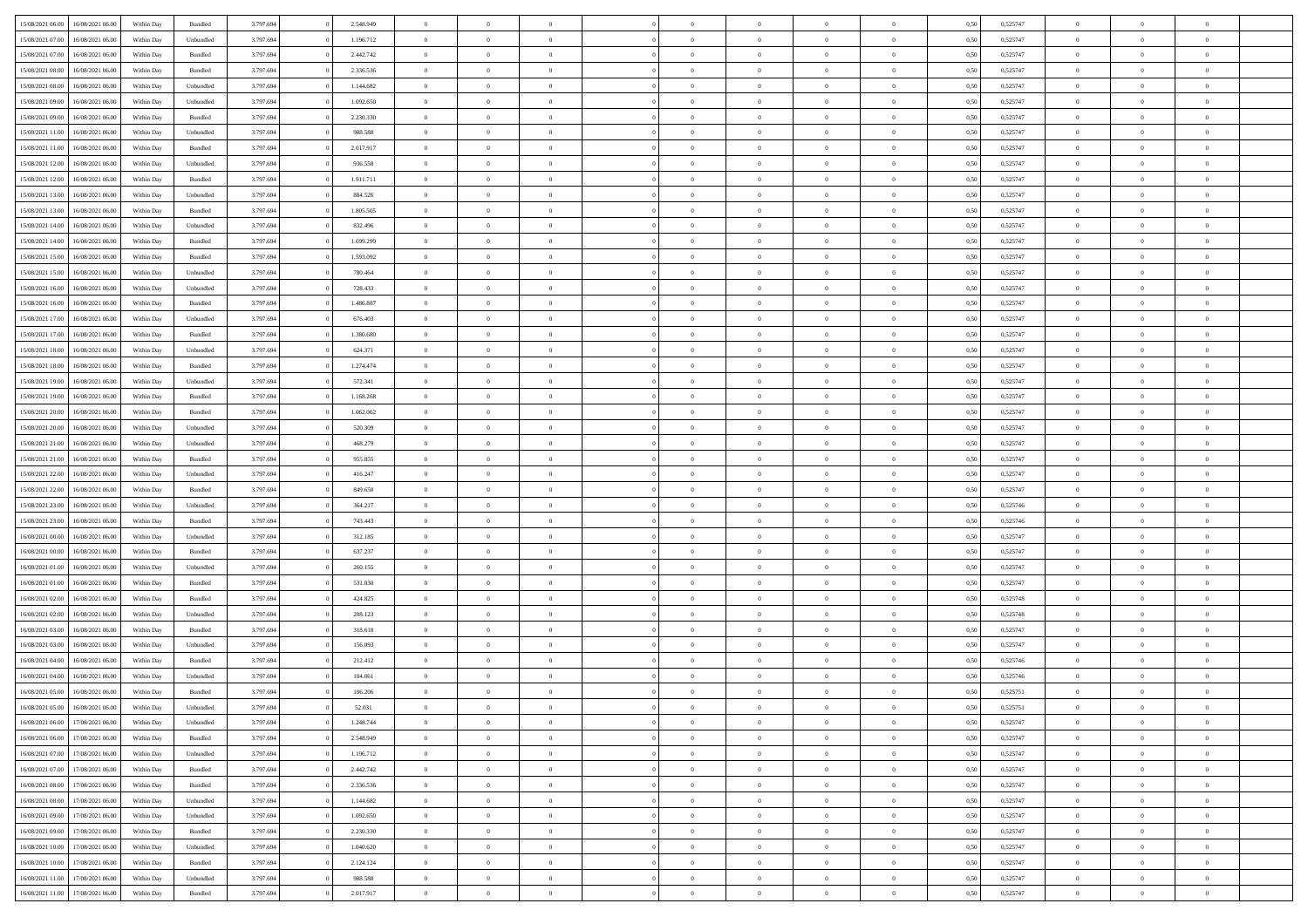| 15/08/2021 06:00 | 16/08/2021 06:00 | Within Day | Bundled            | 3.797.694 | 2.548.949 | $\overline{0}$ | $\Omega$       |                | $\Omega$       | $\Omega$       | $\theta$       | $\theta$       | 0.50 | 0,525747 | $\theta$       | $\theta$       | $\theta$       |  |
|------------------|------------------|------------|--------------------|-----------|-----------|----------------|----------------|----------------|----------------|----------------|----------------|----------------|------|----------|----------------|----------------|----------------|--|
|                  |                  |            |                    |           |           |                |                |                |                |                |                |                |      |          |                |                |                |  |
| 15/08/2021 07:00 | 16/08/2021 06:00 | Within Day | Unbundled          | 3.797.694 | 1.196.712 | $\overline{0}$ | $\theta$       | $\overline{0}$ | $\overline{0}$ | $\bf{0}$       | $\overline{0}$ | $\bf{0}$       | 0,50 | 0,525747 | $\theta$       | $\overline{0}$ | $\overline{0}$ |  |
| 15/08/2021 07:00 | 16/08/2021 06:00 | Within Day | Bundled            | 3.797.694 | 2.442.742 | $\overline{0}$ | $\bf{0}$       | $\overline{0}$ | $\overline{0}$ | $\bf{0}$       | $\overline{0}$ | $\mathbf{0}$   | 0,50 | 0,525747 | $\overline{0}$ | $\overline{0}$ | $\overline{0}$ |  |
| 15/08/2021 08:00 | 16/08/2021 06:00 | Within Dav | Bundled            | 3.797.694 | 2.336.536 | $\overline{0}$ | $\overline{0}$ | $\overline{0}$ | $\overline{0}$ | $\bf{0}$       | $\overline{0}$ | $\overline{0}$ | 0.50 | 0,525747 | $\theta$       | $\theta$       | $\overline{0}$ |  |
| 15/08/2021 08:00 | 16/08/2021 06:00 | Within Day | Unbundled          | 3.797.694 | 1.144.682 | $\overline{0}$ | $\theta$       | $\overline{0}$ | $\overline{0}$ | $\bf{0}$       | $\overline{0}$ | $\bf{0}$       | 0,50 | 0,525747 | $\theta$       | $\overline{0}$ | $\overline{0}$ |  |
| 15/08/2021 09:00 | 16/08/2021 06:00 | Within Day | Unbundled          | 3.797.694 | 1.092.650 | $\overline{0}$ | $\overline{0}$ | $\overline{0}$ | $\overline{0}$ | $\overline{0}$ | $\overline{0}$ | $\mathbf{0}$   | 0,50 | 0,525747 | $\overline{0}$ | $\overline{0}$ | $\bf{0}$       |  |
| 15/08/2021 09:00 | 16/08/2021 06:00 | Within Dav | Bundled            | 3.797.694 | 2.230.330 | $\overline{0}$ | $\overline{0}$ | $\overline{0}$ | $\overline{0}$ | $\overline{0}$ | $\overline{0}$ | $\overline{0}$ | 0.50 | 0,525747 | $\theta$       | $\overline{0}$ | $\overline{0}$ |  |
|                  |                  |            |                    |           |           |                |                |                |                |                |                |                |      |          |                |                |                |  |
| 15/08/2021 11:00 | 16/08/2021 06:00 | Within Day | Unbundled          | 3.797.694 | 988.588   | $\overline{0}$ | $\theta$       | $\overline{0}$ | $\overline{0}$ | $\bf{0}$       | $\overline{0}$ | $\bf{0}$       | 0,50 | 0,525747 | $\theta$       | $\theta$       | $\overline{0}$ |  |
| 15/08/2021 11:00 | 16/08/2021 06:00 | Within Day | Bundled            | 3.797.694 | 2.017.917 | $\overline{0}$ | $\overline{0}$ | $\overline{0}$ | $\overline{0}$ | $\bf{0}$       | $\overline{0}$ | $\bf{0}$       | 0,50 | 0,525747 | $\,0\,$        | $\overline{0}$ | $\overline{0}$ |  |
| 15/08/2021 12:00 | 16/08/2021 06:00 | Within Dav | Unbundled          | 3.797.694 | 936.558   | $\overline{0}$ | $\overline{0}$ | $\overline{0}$ | $\overline{0}$ | $\overline{0}$ | $\overline{0}$ | $\overline{0}$ | 0.50 | 0,525747 | $\theta$       | $\overline{0}$ | $\overline{0}$ |  |
| 15/08/2021 12:00 | 16/08/2021 06:00 | Within Day | Bundled            | 3.797.694 | 1.911.711 | $\overline{0}$ | $\theta$       | $\overline{0}$ | $\overline{0}$ | $\bf{0}$       | $\overline{0}$ | $\bf{0}$       | 0,50 | 0,525747 | $\,$ 0 $\,$    | $\overline{0}$ | $\overline{0}$ |  |
| 15/08/2021 13:00 | 16/08/2021 06:00 | Within Day | Unbundled          | 3.797.694 | 884.526   | $\overline{0}$ | $\overline{0}$ | $\overline{0}$ | $\overline{0}$ | $\bf{0}$       | $\overline{0}$ | $\mathbf{0}$   | 0,50 | 0,525747 | $\overline{0}$ | $\overline{0}$ | $\bf{0}$       |  |
| 15/08/2021 13:00 | 16/08/2021 06:00 | Within Day | Bundled            | 3.797.694 | 1.805.505 | $\overline{0}$ | $\overline{0}$ | $\overline{0}$ | $\overline{0}$ | $\bf{0}$       | $\overline{0}$ | $\overline{0}$ | 0.50 | 0,525747 | $\theta$       | $\theta$       | $\overline{0}$ |  |
| 15/08/2021 14:00 | 16/08/2021 06:00 | Within Day | Unbundled          | 3.797.694 | 832.496   | $\overline{0}$ | $\theta$       | $\overline{0}$ | $\overline{0}$ | $\bf{0}$       | $\overline{0}$ | $\bf{0}$       | 0,50 | 0,525747 | $\theta$       | $\overline{0}$ | $\overline{0}$ |  |
|                  |                  |            |                    |           |           |                |                |                |                |                |                |                |      |          |                |                |                |  |
| 15/08/2021 14:00 | 16/08/2021 06:00 | Within Day | Bundled            | 3.797.694 | 1.699.299 | $\overline{0}$ | $\overline{0}$ | $\overline{0}$ | $\bf{0}$       | $\overline{0}$ | $\overline{0}$ | $\mathbf{0}$   | 0,50 | 0,525747 | $\bf{0}$       | $\overline{0}$ | $\bf{0}$       |  |
| 15/08/2021 15:00 | 16/08/2021 06:00 | Within Dav | Bundled            | 3.797.694 | 1.593.092 | $\overline{0}$ | $\overline{0}$ | $\overline{0}$ | $\overline{0}$ | $\overline{0}$ | $\overline{0}$ | $\overline{0}$ | 0.50 | 0,525747 | $\theta$       | $\overline{0}$ | $\overline{0}$ |  |
| 15/08/2021 15:00 | 16/08/2021 06:00 | Within Day | Unbundled          | 3.797.694 | 780.464   | $\overline{0}$ | $\theta$       | $\overline{0}$ | $\overline{0}$ | $\bf{0}$       | $\overline{0}$ | $\bf{0}$       | 0,50 | 0,525747 | $\theta$       | $\theta$       | $\overline{0}$ |  |
| 15/08/2021 16:00 | 16/08/2021 06:00 | Within Day | Unbundled          | 3.797.694 | 728.433   | $\overline{0}$ | $\overline{0}$ | $\overline{0}$ | $\bf{0}$       | $\bf{0}$       | $\bf{0}$       | $\bf{0}$       | 0,50 | 0,525747 | $\,0\,$        | $\overline{0}$ | $\overline{0}$ |  |
| 15/08/2021 16:00 | 16/08/2021 06:00 | Within Day | Bundled            | 3.797.694 | 1.486.887 | $\overline{0}$ | $\overline{0}$ | $\overline{0}$ | $\overline{0}$ | $\overline{0}$ | $\overline{0}$ | $\overline{0}$ | 0.50 | 0,525747 | $\theta$       | $\overline{0}$ | $\overline{0}$ |  |
| 15/08/2021 17:00 | 16/08/2021 06:00 | Within Day | Unbundled          | 3.797.694 | 676.403   | $\overline{0}$ | $\theta$       | $\overline{0}$ | $\overline{0}$ | $\bf{0}$       | $\overline{0}$ | $\bf{0}$       | 0,50 | 0,525747 | $\,$ 0 $\,$    | $\overline{0}$ | $\overline{0}$ |  |
| 15/08/2021 17:00 | 16/08/2021 06:00 | Within Day | Bundled            | 3.797.694 | 1.380.680 | $\overline{0}$ | $\overline{0}$ | $\overline{0}$ | $\bf{0}$       | $\bf{0}$       | $\bf{0}$       | $\bf{0}$       | 0,50 | 0,525747 | $\bf{0}$       | $\overline{0}$ | $\bf{0}$       |  |
| 15/08/2021 18:00 | 16/08/2021 06:00 | Within Day | Unbundled          | 3.797.694 | 624.371   | $\overline{0}$ | $\overline{0}$ | $\overline{0}$ | $\overline{0}$ | $\bf{0}$       | $\overline{0}$ | $\overline{0}$ | 0.50 | 0,525747 | $\theta$       | $\overline{0}$ | $\overline{0}$ |  |
|                  |                  |            |                    |           |           |                |                |                |                |                |                |                |      |          |                |                |                |  |
| 15/08/2021 18:00 | 16/08/2021 06:00 | Within Day | Bundled            | 3.797.694 | 1.274.474 | $\overline{0}$ | $\theta$       | $\overline{0}$ | $\overline{0}$ | $\bf{0}$       | $\overline{0}$ | $\bf{0}$       | 0,50 | 0,525747 | $\,$ 0 $\,$    | $\overline{0}$ | $\overline{0}$ |  |
| 15/08/2021 19:00 | 16/08/2021 06:00 | Within Day | Unbundled          | 3.797.694 | 572.341   | $\overline{0}$ | $\overline{0}$ | $\overline{0}$ | $\bf{0}$       | $\overline{0}$ | $\overline{0}$ | $\mathbf{0}$   | 0,50 | 0,525747 | $\overline{0}$ | $\overline{0}$ | $\bf{0}$       |  |
| 15/08/2021 19:00 | 16/08/2021 06:00 | Within Dav | Bundled            | 3.797.694 | 1.168.268 | $\overline{0}$ | $\overline{0}$ | $\overline{0}$ | $\overline{0}$ | $\overline{0}$ | $\overline{0}$ | $\overline{0}$ | 0.50 | 0,525747 | $\theta$       | $\overline{0}$ | $\overline{0}$ |  |
| 15/08/2021 20:00 | 16/08/2021 06:00 | Within Day | Bundled            | 3.797.694 | 1.062.062 | $\overline{0}$ | $\theta$       | $\overline{0}$ | $\overline{0}$ | $\bf{0}$       | $\overline{0}$ | $\bf{0}$       | 0,50 | 0,525747 | $\theta$       | $\theta$       | $\overline{0}$ |  |
| 15/08/2021 20:00 | 16/08/2021 06:00 | Within Day | Unbundled          | 3.797.694 | 520.309   | $\overline{0}$ | $\overline{0}$ | $\overline{0}$ | $\bf{0}$       | $\bf{0}$       | $\bf{0}$       | $\bf{0}$       | 0,50 | 0,525747 | $\,0\,$        | $\overline{0}$ | $\overline{0}$ |  |
| 15/08/2021 21:00 | 16/08/2021 06:00 | Within Day | Unbundled          | 3.797.694 | 468.279   | $\overline{0}$ | $\overline{0}$ | $\overline{0}$ | $\overline{0}$ | $\overline{0}$ | $\overline{0}$ | $\overline{0}$ | 0.50 | 0,525747 | $\theta$       | $\overline{0}$ | $\overline{0}$ |  |
| 15/08/2021 21:00 | 16/08/2021 06:00 | Within Day | Bundled            | 3.797.694 | 955.855   | $\overline{0}$ | $\theta$       | $\overline{0}$ | $\overline{0}$ | $\bf{0}$       | $\overline{0}$ | $\bf{0}$       | 0,50 | 0,525747 | $\,$ 0 $\,$    | $\overline{0}$ | $\overline{0}$ |  |
| 15/08/2021 22.00 | 16/08/2021 06:00 | Within Day | Unbundled          | 3.797.694 | 416.247   | $\overline{0}$ | $\overline{0}$ | $\overline{0}$ | $\bf{0}$       | $\bf{0}$       | $\bf{0}$       | $\bf{0}$       | 0,50 | 0,525747 | $\overline{0}$ | $\overline{0}$ | $\bf{0}$       |  |
|                  |                  |            |                    |           |           |                |                |                |                |                |                |                |      |          |                |                |                |  |
| 15/08/2021 22:00 | 16/08/2021 06:00 | Within Day | Bundled            | 3.797.694 | 849,650   | $\overline{0}$ | $\Omega$       | $\Omega$       | $\Omega$       | $\Omega$       | $\overline{0}$ | $\overline{0}$ | 0,50 | 0,525747 | $\,0\,$        | $\theta$       | $\theta$       |  |
| 15/08/2021 23:00 | 16/08/2021 06:00 | Within Day | Unbundled          | 3.797.694 | 364.217   | $\overline{0}$ | $\theta$       | $\overline{0}$ | $\overline{0}$ | $\bf{0}$       | $\overline{0}$ | $\bf{0}$       | 0,50 | 0,525746 | $\,$ 0 $\,$    | $\overline{0}$ | $\overline{0}$ |  |
| 15/08/2021 23:00 | 16/08/2021 06:00 | Within Day | Bundled            | 3.797.694 | 743.443   | $\overline{0}$ | $\overline{0}$ | $\overline{0}$ | $\bf{0}$       | $\bf{0}$       | $\overline{0}$ | $\mathbf{0}$   | 0,50 | 0,525746 | $\overline{0}$ | $\overline{0}$ | $\bf{0}$       |  |
| 16/08/2021 00:00 | 16/08/2021 06:00 | Within Day | Unbundled          | 3.797.694 | 312.185   | $\overline{0}$ | $\Omega$       | $\Omega$       | $\Omega$       | $\bf{0}$       | $\overline{0}$ | $\overline{0}$ | 0.50 | 0,525747 | $\,0\,$        | $\theta$       | $\theta$       |  |
| 16/08/2021 00:00 | 16/08/2021 06:00 | Within Day | Bundled            | 3.797.694 | 637.237   | $\overline{0}$ | $\theta$       | $\overline{0}$ | $\overline{0}$ | $\bf{0}$       | $\overline{0}$ | $\bf{0}$       | 0,50 | 0,525747 | $\,$ 0 $\,$    | $\overline{0}$ | $\overline{0}$ |  |
| 16/08/2021 01:00 | 16/08/2021 06:00 | Within Day | Unbundled          | 3.797.694 | 260.155   | $\overline{0}$ | $\overline{0}$ | $\overline{0}$ | $\bf{0}$       | $\bf{0}$       | $\bf{0}$       | $\bf{0}$       | 0,50 | 0,525747 | $\bf{0}$       | $\overline{0}$ | $\bf{0}$       |  |
| 16/08/2021 01:00 | 16/08/2021 06:00 | Within Day | Bundled            | 3.797.694 | 531.030   | $\overline{0}$ | $\Omega$       | $\Omega$       | $\Omega$       | $\theta$       | $\overline{0}$ | $\overline{0}$ | 0.50 | 0,525747 | $\,$ 0 $\,$    | $\theta$       | $\theta$       |  |
| 16/08/2021 02:00 | 16/08/2021 06:00 | Within Day | Bundled            | 3.797.694 | 424.825   | $\overline{0}$ | $\theta$       | $\overline{0}$ | $\overline{0}$ | $\bf{0}$       | $\overline{0}$ | $\bf{0}$       | 0,50 | 0,525748 | $\,$ 0 $\,$    | $\overline{0}$ | $\overline{0}$ |  |
|                  |                  |            |                    |           |           |                | $\bf{0}$       |                |                | $\bf{0}$       |                |                |      |          |                | $\overline{0}$ | $\bf{0}$       |  |
| 16/08/2021 02:00 | 16/08/2021 06:00 | Within Day | Unbundled          | 3.797.694 | 208.123   | $\overline{0}$ |                | $\overline{0}$ | $\bf{0}$       |                | $\bf{0}$       | $\bf{0}$       | 0,50 | 0,525748 | $\overline{0}$ |                |                |  |
| 16/08/2021 03:00 | 16/08/2021 06:00 | Within Day | Bundled            | 3.797.694 | 318.618   | $\overline{0}$ | $\Omega$       | $\overline{0}$ | $\Omega$       | $\overline{0}$ | $\overline{0}$ | $\overline{0}$ | 0,50 | 0,525747 | $\,0\,$        | $\theta$       | $\theta$       |  |
| 16/08/2021 03:00 | 16/08/2021 06:00 | Within Day | Unbundled          | 3.797.694 | 156.093   | $\overline{0}$ | $\overline{0}$ | $\overline{0}$ | $\overline{0}$ | $\bf{0}$       | $\overline{0}$ | $\bf{0}$       | 0,50 | 0,525747 | $\,$ 0 $\,$    | $\overline{0}$ | $\overline{0}$ |  |
| 16/08/2021 04:00 | 16/08/2021 06:00 | Within Day | Bundled            | 3.797.694 | 212.412   | $\overline{0}$ | $\overline{0}$ | $\overline{0}$ | $\bf{0}$       | $\bf{0}$       | $\bf{0}$       | $\mathbf{0}$   | 0,50 | 0,525746 | $\overline{0}$ | $\overline{0}$ | $\bf{0}$       |  |
| 16/08/2021 04:00 | 16/08/2021 06:00 | Within Day | Unbundled          | 3.797.694 | 104,061   | $\overline{0}$ | $\Omega$       | $\Omega$       | $\Omega$       | $\Omega$       | $\Omega$       | $\overline{0}$ | 0.50 | 0,525746 | $\theta$       | $\theta$       | $\theta$       |  |
| 16/08/2021 05:00 | 16/08/2021 06:00 | Within Day | Bundled            | 3.797.694 | 106.206   | $\overline{0}$ | $\overline{0}$ | $\overline{0}$ | $\bf{0}$       | $\,$ 0         | $\bf{0}$       | $\bf{0}$       | 0,50 | 0,525751 | $\,0\,$        | $\,$ 0 $\,$    | $\overline{0}$ |  |
| 16/08/2021 05:00 | 16/08/2021 06:00 | Within Day | Unbundled          | 3.797.694 | 52.031    | $\bf{0}$       | $\bf{0}$       |                |                |                |                |                | 0,50 | 0,525751 | $\bf{0}$       | $\overline{0}$ |                |  |
| 16/08/2021 06:00 | 17/08/2021 06:00 | Within Day | Unbundled          | 3.797.694 | 1.248.744 | $\overline{0}$ | $\overline{0}$ | $\overline{0}$ | $\Omega$       | $\theta$       | $\overline{0}$ | $\overline{0}$ | 0,50 | 0,525747 | $\theta$       | $\theta$       | $\theta$       |  |
| 16/08/2021 06:00 | 17/08/2021 06:00 | Within Day | Bundled            | 3.797.694 | 2.548.949 | $\overline{0}$ | $\,$ 0         | $\overline{0}$ | $\bf{0}$       | $\,$ 0 $\,$    | $\overline{0}$ | $\mathbf{0}$   | 0,50 | 0,525747 | $\,$ 0 $\,$    | $\,$ 0 $\,$    | $\,$ 0         |  |
|                  |                  |            |                    |           |           |                |                |                |                |                |                |                |      |          |                |                |                |  |
| 16/08/2021 07:00 | 17/08/2021 06:00 | Within Day | Unbundled          | 3.797.694 | 1.196.712 | $\overline{0}$ | $\overline{0}$ | $\overline{0}$ | $\overline{0}$ | $\overline{0}$ | $\overline{0}$ | $\mathbf{0}$   | 0,50 | 0,525747 | $\overline{0}$ | $\bf{0}$       | $\bf{0}$       |  |
| 16/08/2021 07:00 | 17/08/2021 06:00 | Within Day | $\mathbf B$ undled | 3.797.694 | 2.442.742 | $\overline{0}$ | $\overline{0}$ | $\overline{0}$ | $\Omega$       | $\overline{0}$ | $\overline{0}$ | $\bf{0}$       | 0,50 | 0,525747 | $\overline{0}$ | $\theta$       | $\overline{0}$ |  |
| 16/08/2021 08:00 | 17/08/2021 06:00 | Within Day | Bundled            | 3.797.694 | 2.336.536 | $\overline{0}$ | $\,$ 0         | $\overline{0}$ | $\overline{0}$ | $\overline{0}$ | $\overline{0}$ | $\bf{0}$       | 0,50 | 0,525747 | $\,$ 0 $\,$    | $\overline{0}$ | $\overline{0}$ |  |
| 16/08/2021 08:00 | 17/08/2021 06:00 | Within Day | Unbundled          | 3.797.694 | 1.144.682 | $\overline{0}$ | $\overline{0}$ | $\overline{0}$ | $\overline{0}$ | $\overline{0}$ | $\overline{0}$ | $\mathbf{0}$   | 0,50 | 0,525747 | $\overline{0}$ | $\bf{0}$       | $\bf{0}$       |  |
| 16/08/2021 09:00 | 17/08/2021 06:00 | Within Day | Unbundled          | 3.797.694 | 1.092.650 | $\overline{0}$ | $\overline{0}$ | $\overline{0}$ | $\Omega$       | $\overline{0}$ | $\overline{0}$ | $\bf{0}$       | 0.50 | 0,525747 | $\overline{0}$ | $\theta$       | $\overline{0}$ |  |
| 16/08/2021 09:00 | 17/08/2021 06:00 | Within Day | Bundled            | 3.797.694 | 2.230.330 | $\overline{0}$ | $\,$ 0         | $\overline{0}$ | $\bf{0}$       | $\bf{0}$       | $\bf{0}$       | $\bf{0}$       | 0,50 | 0,525747 | $\,$ 0 $\,$    | $\overline{0}$ | $\overline{0}$ |  |
| 16/08/2021 10:00 | 17/08/2021 06:00 | Within Day | Unbundled          | 3.797.694 | 1.040.620 | $\overline{0}$ | $\bf{0}$       | $\overline{0}$ | $\overline{0}$ | $\overline{0}$ | $\overline{0}$ | $\mathbf{0}$   | 0,50 | 0,525747 | $\overline{0}$ | $\overline{0}$ | $\bf{0}$       |  |
| 16/08/2021 10:00 | 17/08/2021 06:00 | Within Day | Bundled            | 3.797.694 | 2.124.124 | $\overline{0}$ | $\overline{0}$ | $\overline{0}$ | $\Omega$       | $\overline{0}$ | $\overline{0}$ | $\bf{0}$       | 0.50 | 0,525747 | $\overline{0}$ | $\theta$       | $\overline{0}$ |  |
|                  |                  |            |                    |           |           |                |                |                |                |                |                |                |      |          |                |                |                |  |
| 16/08/2021 11:00 | 17/08/2021 06:00 | Within Day | Unbundled          | 3.797.694 | 988.588   | $\overline{0}$ | $\bf{0}$       | $\overline{0}$ | $\overline{0}$ | $\bf{0}$       | $\bf{0}$       | $\mathbf{0}$   | 0,50 | 0,525747 | $\,$ 0 $\,$    | $\,$ 0 $\,$    | $\bf{0}$       |  |
| 16/08/2021 11:00 | 17/08/2021 06:00 | Within Day | Bundled            | 3.797.694 | 2.017.917 | $\overline{0}$ | $\overline{0}$ | $\overline{0}$ | $\overline{0}$ | $\bf{0}$       | $\bf{0}$       | $\mathbf{0}$   | 0,50 | 0,525747 | $\overline{0}$ | $\bf{0}$       | $\bf{0}$       |  |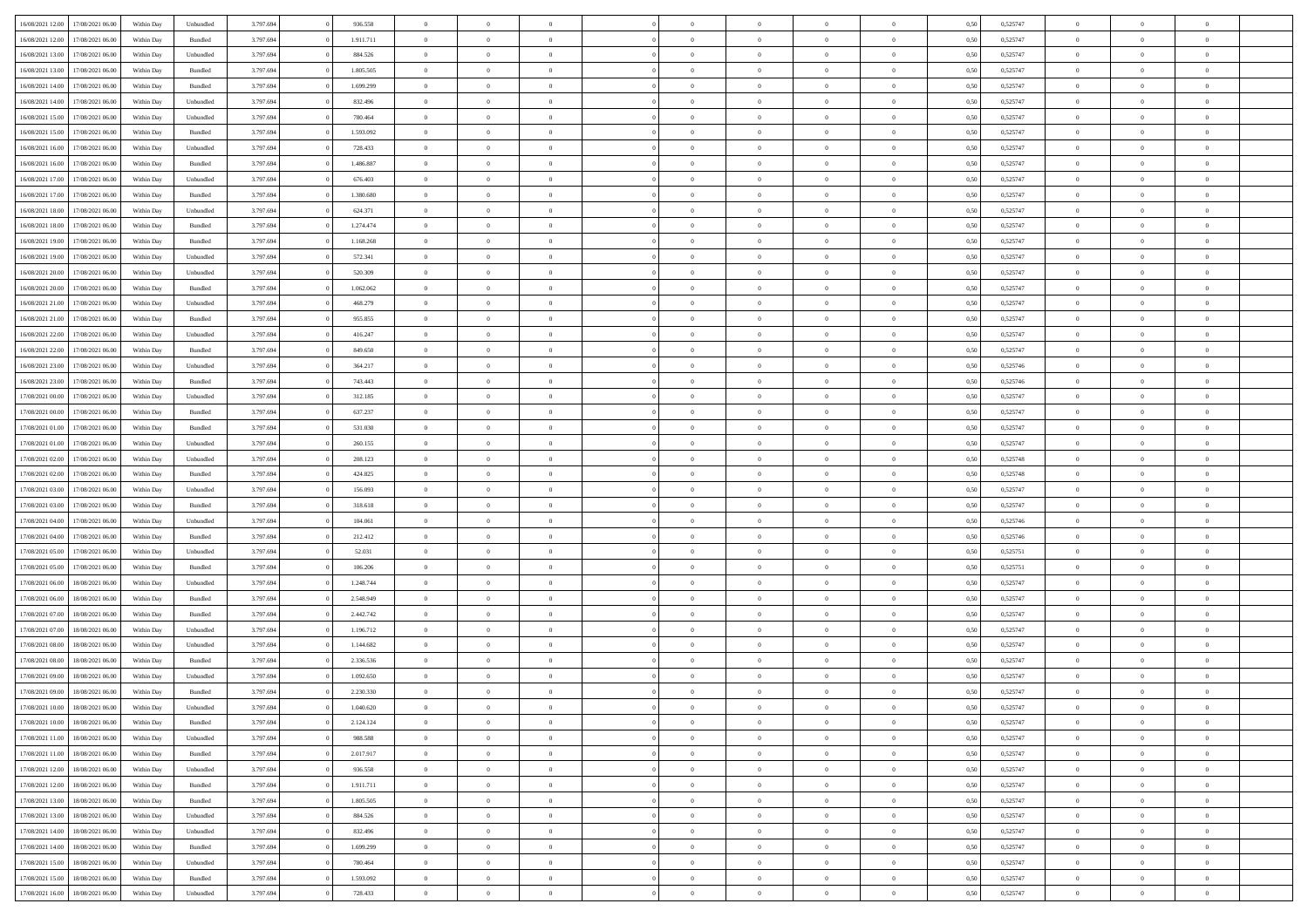| 16/08/2021 12:00 17/08/2021 06:00    | Within Day | Unbundled | 3.797.694 | 936.558   | $\overline{0}$ | $\overline{0}$ | $\Omega$       | $\Omega$       | $\theta$       | $\Omega$       | $\overline{0}$ | 0,50 | 0,525747 | $\theta$             | $\theta$       | $\overline{0}$ |  |
|--------------------------------------|------------|-----------|-----------|-----------|----------------|----------------|----------------|----------------|----------------|----------------|----------------|------|----------|----------------------|----------------|----------------|--|
| 16/08/2021 12:00<br>17/08/2021 06:00 | Within Day | Bundled   | 3.797.694 | 1.911.711 | $\overline{0}$ | $\overline{0}$ | $\overline{0}$ | $\overline{0}$ | $\theta$       | $\overline{0}$ | $\bf{0}$       | 0,50 | 0,525747 | $\theta$             | $\theta$       | $\overline{0}$ |  |
| 16/08/2021 13:00<br>17/08/2021 06:00 | Within Day | Unbundled | 3.797.694 | 884.526   | $\overline{0}$ | $\bf{0}$       | $\overline{0}$ | $\overline{0}$ | $\bf{0}$       | $\overline{0}$ | $\bf{0}$       | 0,50 | 0,525747 | $\bf{0}$             | $\overline{0}$ | $\overline{0}$ |  |
| 16/08/2021 13:00<br>17/08/2021 06:00 | Within Day | Bundled   | 3.797.694 | 1.805.505 | $\overline{0}$ | $\overline{0}$ | $\overline{0}$ | $\overline{0}$ | $\overline{0}$ | $\overline{0}$ | $\overline{0}$ | 0.50 | 0,525747 | $\theta$             | $\theta$       | $\overline{0}$ |  |
| 16/08/2021 14:00<br>17/08/2021 06:00 | Within Day | Bundled   | 3.797.694 | 1.699.299 | $\overline{0}$ | $\overline{0}$ | $\overline{0}$ | $\overline{0}$ | $\theta$       | $\overline{0}$ | $\bf{0}$       | 0,50 | 0,525747 | $\theta$             | $\theta$       | $\overline{0}$ |  |
|                                      |            |           |           |           |                | $\bf{0}$       |                |                |                |                |                |      |          |                      | $\overline{0}$ | $\bf{0}$       |  |
| 16/08/2021 14:00<br>17/08/2021 06:00 | Within Day | Unbundled | 3.797.694 | 832.496   | $\overline{0}$ |                | $\overline{0}$ | $\overline{0}$ | $\overline{0}$ | $\overline{0}$ | $\bf{0}$       | 0,50 | 0,525747 | $\bf{0}$<br>$\theta$ | $\theta$       | $\overline{0}$ |  |
| 16/08/2021 15:00<br>17/08/2021 06:00 | Within Day | Unbundled | 3.797.694 | 780.464   | $\overline{0}$ | $\overline{0}$ | $\overline{0}$ | $\overline{0}$ | $\overline{0}$ | $\overline{0}$ | $\bf{0}$       | 0.5( | 0,525747 |                      |                |                |  |
| 16/08/2021 15:00<br>17/08/2021 06:00 | Within Day | Bundled   | 3.797.694 | 1.593.092 | $\bf{0}$       | $\overline{0}$ | $\overline{0}$ | $\overline{0}$ | $\theta$       | $\overline{0}$ | $\bf{0}$       | 0,50 | 0,525747 | $\theta$             | $\theta$       | $\overline{0}$ |  |
| 16/08/2021 16:00<br>17/08/2021 06:00 | Within Day | Unbundled | 3.797.694 | 728.433   | $\overline{0}$ | $\bf{0}$       | $\overline{0}$ | $\overline{0}$ | $\overline{0}$ | $\overline{0}$ | $\bf{0}$       | 0,50 | 0,525747 | $\bf{0}$             | $\overline{0}$ | $\overline{0}$ |  |
| 16/08/2021 16:00<br>17/08/2021 06:00 | Within Day | Bundled   | 3.797.694 | 1.486.887 | $\overline{0}$ | $\overline{0}$ | $\overline{0}$ | $\overline{0}$ | $\overline{0}$ | $\overline{0}$ | $\bf{0}$       | 0.50 | 0,525747 | $\theta$             | $\theta$       | $\overline{0}$ |  |
| 16/08/2021 17:00<br>17/08/2021 06:00 | Within Day | Unbundled | 3.797.694 | 676.403   | $\bf{0}$       | $\overline{0}$ | $\overline{0}$ | $\overline{0}$ | $\theta$       | $\overline{0}$ | $\bf{0}$       | 0,50 | 0,525747 | $\theta$             | $\theta$       | $\overline{0}$ |  |
| 16/08/2021 17:00<br>17/08/2021 06:00 | Within Day | Bundled   | 3.797.694 | 1.380.680 | $\overline{0}$ | $\bf{0}$       | $\overline{0}$ | $\overline{0}$ | $\bf{0}$       | $\overline{0}$ | $\bf{0}$       | 0,50 | 0,525747 | $\bf{0}$             | $\overline{0}$ | $\overline{0}$ |  |
| 16/08/2021 18:00<br>17/08/2021 06:00 | Within Day | Unbundled | 3.797.694 | 624.371   | $\overline{0}$ | $\overline{0}$ | $\overline{0}$ | $\overline{0}$ | $\overline{0}$ | $\overline{0}$ | $\overline{0}$ | 0.50 | 0.525747 | $\theta$             | $\theta$       | $\overline{0}$ |  |
| 16/08/2021 18:00<br>17/08/2021 06:00 | Within Day | Bundled   | 3.797.694 | 1.274.474 | $\overline{0}$ | $\theta$       | $\overline{0}$ | $\overline{0}$ | $\theta$       | $\overline{0}$ | $\bf{0}$       | 0,50 | 0,525747 | $\theta$             | $\theta$       | $\overline{0}$ |  |
| 16/08/2021 19:00<br>17/08/2021 06:00 | Within Day | Bundled   | 3.797.694 | 1.168.268 | $\overline{0}$ | $\bf{0}$       | $\overline{0}$ | $\overline{0}$ | $\overline{0}$ | $\overline{0}$ | $\bf{0}$       | 0,50 | 0,525747 | $\bf{0}$             | $\overline{0}$ | $\bf{0}$       |  |
| 16/08/2021 19:00<br>17/08/2021 06:00 | Within Day | Unbundled | 3.797.694 | 572.341   | $\overline{0}$ | $\overline{0}$ | $\overline{0}$ | $\overline{0}$ | $\overline{0}$ | $\overline{0}$ | $\overline{0}$ | 0.5( | 0,525747 | $\overline{0}$       | $\overline{0}$ | $\overline{0}$ |  |
| 16/08/2021 20:00<br>17/08/2021 06:00 | Within Day | Unbundled | 3.797.694 | 520.309   | $\bf{0}$       | $\overline{0}$ | $\overline{0}$ | $\overline{0}$ | $\theta$       | $\overline{0}$ | $\bf{0}$       | 0,50 | 0,525747 | $\theta$             | $\theta$       | $\overline{0}$ |  |
| 16/08/2021 20:00<br>17/08/2021 06:00 | Within Day | Bundled   | 3.797.694 | 1.062.062 | $\overline{0}$ | $\bf{0}$       | $\overline{0}$ | $\overline{0}$ | $\bf{0}$       | $\overline{0}$ | $\bf{0}$       | 0,50 | 0,525747 | $\bf{0}$             | $\overline{0}$ | $\overline{0}$ |  |
|                                      |            |           |           |           |                | $\overline{0}$ |                |                | $\overline{0}$ |                |                |      |          | $\theta$             | $\theta$       | $\overline{0}$ |  |
| 16/08/2021 21:00<br>17/08/2021 06:00 | Within Day | Unbundled | 3.797.694 | 468.279   | $\overline{0}$ |                | $\overline{0}$ | $\overline{0}$ |                | $\overline{0}$ | $\overline{0}$ | 0.50 | 0,525747 |                      |                |                |  |
| 16/08/2021 21:00<br>17/08/2021 06:00 | Within Day | Bundled   | 3.797.694 | 955.855   | $\bf{0}$       | $\overline{0}$ | $\overline{0}$ | $\overline{0}$ | $\theta$       | $\overline{0}$ | $\bf{0}$       | 0,50 | 0,525747 | $\theta$             | $\theta$       | $\overline{0}$ |  |
| 16/08/2021 22:00<br>17/08/2021 06:00 | Within Day | Unbundled | 3.797.694 | 416.247   | $\overline{0}$ | $\bf{0}$       | $\overline{0}$ | $\overline{0}$ | $\bf{0}$       | $\overline{0}$ | $\bf{0}$       | 0,50 | 0,525747 | $\bf{0}$             | $\overline{0}$ | $\overline{0}$ |  |
| 16/08/2021 22:00<br>17/08/2021 06:00 | Within Day | Bundled   | 3.797.694 | 849,650   | $\overline{0}$ | $\overline{0}$ | $\overline{0}$ | $\overline{0}$ | $\overline{0}$ | $\overline{0}$ | $\overline{0}$ | 0.50 | 0,525747 | $\theta$             | $\theta$       | $\overline{0}$ |  |
| 16/08/2021 23:00<br>17/08/2021 06:00 | Within Day | Unbundled | 3.797.694 | 364.217   | $\bf{0}$       | $\theta$       | $\overline{0}$ | $\overline{0}$ | $\theta$       | $\overline{0}$ | $\bf{0}$       | 0,50 | 0,525746 | $\theta$             | $\theta$       | $\overline{0}$ |  |
| 16/08/2021 23:00<br>17/08/2021 06:00 | Within Day | Bundled   | 3.797.694 | 743.443   | $\overline{0}$ | $\bf{0}$       | $\overline{0}$ | $\overline{0}$ | $\overline{0}$ | $\overline{0}$ | $\bf{0}$       | 0,50 | 0,525746 | $\overline{0}$       | $\overline{0}$ | $\bf{0}$       |  |
| 17/08/2021 00:00<br>17/08/2021 06:00 | Within Day | Unbundled | 3.797.694 | 312.185   | $\overline{0}$ | $\overline{0}$ | $\overline{0}$ | $\overline{0}$ | $\overline{0}$ | $\overline{0}$ | $\overline{0}$ | 0.5( | 0,525747 | $\theta$             | $\theta$       | $\overline{0}$ |  |
| 17/08/2021 00:00<br>17/08/2021 06:00 | Within Day | Bundled   | 3.797.694 | 637.237   | $\bf{0}$       | $\overline{0}$ | $\overline{0}$ | $\overline{0}$ | $\theta$       | $\overline{0}$ | $\bf{0}$       | 0,50 | 0,525747 | $\theta$             | $\theta$       | $\overline{0}$ |  |
| 17/08/2021 01:00<br>17/08/2021 06:00 | Within Day | Bundled   | 3.797.694 | 531.030   | $\overline{0}$ | $\bf{0}$       | $\overline{0}$ | $\overline{0}$ | $\overline{0}$ | $\overline{0}$ | $\bf{0}$       | 0,50 | 0,525747 | $\bf{0}$             | $\bf{0}$       | $\overline{0}$ |  |
| 17/08/2021 01:00<br>17/08/2021 06:00 | Within Day | Unbundled | 3.797.694 | 260,155   | $\overline{0}$ | $\overline{0}$ | $\overline{0}$ | $\overline{0}$ | $\overline{0}$ | $\overline{0}$ | $\overline{0}$ | 0.5( | 0,525747 | $\theta$             | $\theta$       | $\overline{0}$ |  |
| 17/08/2021 02:00<br>17/08/2021 06:00 | Within Day | Unbundled | 3.797.694 | 208.123   | $\bf{0}$       | $\overline{0}$ | $\overline{0}$ | $\overline{0}$ | $\theta$       | $\overline{0}$ | $\bf{0}$       | 0,50 | 0,525748 | $\,$ 0 $\,$          | $\theta$       | $\overline{0}$ |  |
| 17/08/2021 02:00<br>17/08/2021 06:00 | Within Day | Bundled   | 3.797.694 | 424.825   | $\overline{0}$ | $\bf{0}$       | $\overline{0}$ | $\overline{0}$ | $\bf{0}$       | $\overline{0}$ | $\bf{0}$       | 0,50 | 0,525748 | $\bf{0}$             | $\overline{0}$ | $\overline{0}$ |  |
| 17/08/2021 03:00<br>17/08/2021 06:00 | Within Day | Unbundled | 3.797.694 | 156.093   | $\overline{0}$ | $\overline{0}$ | $\Omega$       | $\Omega$       | $\theta$       | $\Omega$       | $\bf{0}$       | 0,50 | 0,525747 | $\,$ 0 $\,$          | $\overline{0}$ | $\theta$       |  |
| 17/08/2021 03:00<br>17/08/2021 06:00 | Within Day | Bundled   | 3.797.694 | 318.618   | $\bf{0}$       | $\overline{0}$ | $\overline{0}$ | $\overline{0}$ | $\theta$       | $\overline{0}$ | $\bf{0}$       | 0,50 | 0,525747 | $\theta$             | $\theta$       | $\overline{0}$ |  |
|                                      |            |           |           |           |                |                |                |                |                |                |                |      |          |                      |                |                |  |
| 17/08/2021 04:00<br>17/08/2021 06:00 | Within Day | Unbundled | 3.797.694 | 104.061   | $\overline{0}$ | $\bf{0}$       | $\overline{0}$ | $\overline{0}$ | $\overline{0}$ | $\overline{0}$ | $\bf{0}$       | 0,50 | 0,525746 | $\overline{0}$       | $\overline{0}$ | $\bf{0}$       |  |
| 17/08/2021 04:00<br>17/08/2021 06:00 | Within Day | Bundled   | 3.797.694 | 212.412   | $\overline{0}$ | $\overline{0}$ | $\Omega$       | $\Omega$       | $\overline{0}$ | $\Omega$       | $\overline{0}$ | 0.50 | 0,525746 | $\bf{0}$             | $\theta$       | $\theta$       |  |
| 17/08/2021 05:00<br>17/08/2021 06:00 | Within Day | Unbundled | 3.797.694 | 52.031    | $\bf{0}$       | $\overline{0}$ | $\overline{0}$ | $\overline{0}$ | $\theta$       | $\overline{0}$ | $\bf{0}$       | 0,50 | 0,525751 | $\theta$             | $\theta$       | $\overline{0}$ |  |
| 17/08/2021 05:00<br>17/08/2021 06:00 | Within Day | Bundled   | 3.797.694 | 106.206   | $\overline{0}$ | $\bf{0}$       | $\overline{0}$ | $\overline{0}$ | $\overline{0}$ | $\overline{0}$ | $\bf{0}$       | 0,50 | 0,525751 | $\bf{0}$             | $\overline{0}$ | $\overline{0}$ |  |
| 17/08/2021 06:00<br>18/08/2021 06:00 | Within Day | Unbundled | 3.797.694 | 1.248.744 | $\overline{0}$ | $\overline{0}$ | $\Omega$       | $\Omega$       | $\overline{0}$ | $\theta$       | $\overline{0}$ | 0.5( | 0,525747 | $\bf{0}$             | $\theta$       | $\theta$       |  |
| 17/08/2021 06:00<br>18/08/2021 06:00 | Within Day | Bundled   | 3.797.694 | 2.548.949 | $\bf{0}$       | $\bf{0}$       | $\overline{0}$ | $\overline{0}$ | $\theta$       | $\overline{0}$ | $\bf{0}$       | 0,50 | 0,525747 | $\,$ 0 $\,$          | $\theta$       | $\overline{0}$ |  |
| 17/08/2021 07:00<br>18/08/2021 06:00 | Within Day | Bundled   | 3.797.694 | 2.442.742 | $\overline{0}$ | $\bf{0}$       | $\overline{0}$ | $\overline{0}$ | $\bf{0}$       | $\overline{0}$ | $\bf{0}$       | 0,50 | 0,525747 | $\bf{0}$             | $\overline{0}$ | $\overline{0}$ |  |
| 17/08/2021 07:00<br>18/08/2021 06:00 | Within Day | Unbundled | 3.797.694 | 1.196.712 | $\overline{0}$ | $\overline{0}$ | $\overline{0}$ | $\Omega$       | $\overline{0}$ | $\Omega$       | $\bf{0}$       | 0,50 | 0,525747 | $\bf{0}$             | $\overline{0}$ | $\theta$       |  |
| 17/08/2021 08:00<br>18/08/2021 06:00 | Within Day | Unbundled | 3.797.694 | 1.144.682 | $\bf{0}$       | $\overline{0}$ | $\overline{0}$ | $\overline{0}$ | $\overline{0}$ | $\overline{0}$ | $\bf{0}$       | 0,50 | 0,525747 | $\,$ 0 $\,$          | $\theta$       | $\overline{0}$ |  |
| 17/08/2021 08:00<br>18/08/2021 06:00 | Within Day | Bundled   | 3.797.694 | 2.336.536 | $\overline{0}$ | $\bf{0}$       | $\overline{0}$ | $\overline{0}$ | $\overline{0}$ | $\overline{0}$ | $\bf{0}$       | 0,50 | 0,525747 | $\overline{0}$       | $\overline{0}$ | $\bf{0}$       |  |
| 17/08/2021 09:00<br>18/08/2021 06:00 | Within Day | Unbundled | 3.797.694 | 1.092.650 | $\overline{0}$ | $\overline{0}$ | $\Omega$       | $\Omega$       | $\Omega$       | $\theta$       | $\overline{0}$ | 0.50 | 0,525747 | $\theta$             | $\overline{0}$ | $\theta$       |  |
| 17/08/2021 09:00<br>18/08/2021 06:00 | Within Day | Bundled   | 3.797.694 | 2.230.330 | $\bf{0}$       | $\bf{0}$       | $\overline{0}$ | $\overline{0}$ | $\bf{0}$       | $\overline{0}$ | $\bf{0}$       | 0,50 | 0,525747 | $\bf{0}$             | $\,$ 0 $\,$    | $\overline{0}$ |  |
| 17/08/2021 10:00 18/08/2021 06:00    | Within Day | Unbundled | 3.797.694 | 1.040.620 | $\bf{0}$       |                |                |                |                |                |                | 0,50 | 0,525747 | $\bf{0}$             | $\bf{0}$       |                |  |
| 17/08/2021 10:00 18/08/2021 06:00    | Within Day | Bundled   | 3.797.694 | 2.124.124 | $\Omega$       | $\overline{0}$ | $\Omega$       | $\theta$       | $\overline{0}$ | $\theta$       | $\overline{0}$ | 0.50 | 0,525747 | $\theta$             | $\theta$       | $\theta$       |  |
| 17/08/2021 11:00<br>18/08/2021 06:00 | Within Day | Unbundled | 3.797.694 | 988.588   | $\overline{0}$ | $\overline{0}$ | $\overline{0}$ | $\overline{0}$ | $\,$ 0 $\,$    | $\overline{0}$ | $\,$ 0 $\,$    | 0,50 | 0,525747 | $\,$ 0 $\,$          | $\,$ 0 $\,$    | $\,$ 0         |  |
|                                      |            |           |           |           |                |                |                |                |                |                |                |      |          |                      |                |                |  |
| 17/08/2021 11:00 18/08/2021 06:00    | Within Day | Bundled   | 3.797.694 | 2.017.917 | $\overline{0}$ | $\overline{0}$ | $\overline{0}$ | $\overline{0}$ | $\overline{0}$ | $\overline{0}$ | $\bf{0}$       | 0,50 | 0,525747 | $\overline{0}$       | $\bf{0}$       | $\overline{0}$ |  |
| 17/08/2021 12:00<br>18/08/2021 06:00 | Within Day | Unbundled | 3.797.694 | 936.558   | $\overline{0}$ | $\bf{0}$       | $\overline{0}$ | $\overline{0}$ | $\overline{0}$ | $\overline{0}$ | $\bf{0}$       | 0,50 | 0,525747 | $\bf{0}$             | $\theta$       | $\overline{0}$ |  |
| 17/08/2021 12:00<br>18/08/2021 06:00 | Within Day | Bundled   | 3.797.694 | 1.911.711 | $\overline{0}$ | $\overline{0}$ | $\overline{0}$ | $\overline{0}$ | $\overline{0}$ | $\overline{0}$ | $\bf{0}$       | 0,50 | 0,525747 | $\,$ 0 $\,$          | $\,$ 0 $\,$    | $\overline{0}$ |  |
| 17/08/2021 13:00<br>18/08/2021 06:00 | Within Day | Bundled   | 3.797.694 | 1.805.505 | $\overline{0}$ | $\overline{0}$ | $\overline{0}$ | $\overline{0}$ | $\mathbf{0}$   | $\overline{0}$ | $\bf{0}$       | 0,50 | 0,525747 | $\overline{0}$       | $\overline{0}$ | $\overline{0}$ |  |
| 17/08/2021 13:00<br>18/08/2021 06:00 | Within Day | Unbundled | 3.797.694 | 884.526   | $\overline{0}$ | $\bf{0}$       | $\overline{0}$ | $\overline{0}$ | $\overline{0}$ | $\overline{0}$ | $\bf{0}$       | 0.50 | 0,525747 | $\overline{0}$       | $\theta$       | $\overline{0}$ |  |
| 17/08/2021 14:00<br>18/08/2021 06:00 | Within Day | Unbundled | 3.797.694 | 832.496   | $\overline{0}$ | $\overline{0}$ | $\overline{0}$ | $\overline{0}$ | $\overline{0}$ | $\overline{0}$ | $\bf{0}$       | 0,50 | 0,525747 | $\,$ 0 $\,$          | $\bf{0}$       | $\overline{0}$ |  |
| 17/08/2021 14:00<br>18/08/2021 06:00 | Within Day | Bundled   | 3.797.694 | 1.699.299 | $\overline{0}$ | $\bf{0}$       | $\overline{0}$ | $\overline{0}$ | $\overline{0}$ | $\overline{0}$ | $\bf{0}$       | 0,50 | 0,525747 | $\overline{0}$       | $\overline{0}$ | $\bf{0}$       |  |
| 18/08/2021 06:00<br>17/08/2021 15:00 | Within Day | Unbundled | 3.797.694 | 780,464   | $\overline{0}$ | $\overline{0}$ | $\overline{0}$ | $\overline{0}$ | $\overline{0}$ | $\overline{0}$ | $\bf{0}$       | 0.50 | 0,525747 | $\overline{0}$       | $\theta$       | $\overline{0}$ |  |
| 17/08/2021 15:00<br>18/08/2021 06:00 | Within Day | Bundled   | 3.797.694 | 1.593.092 | $\overline{0}$ | $\,$ 0         | $\overline{0}$ | $\overline{0}$ | $\bf{0}$       | $\bf{0}$       | $\bf{0}$       | 0,50 | 0,525747 | $\,$ 0 $\,$          | $\,$ 0 $\,$    | $\bf{0}$       |  |
| 17/08/2021 16:00 18/08/2021 06:00    | Within Day | Unbundled | 3.797.694 | 728.433   | $\overline{0}$ | $\bf{0}$       | $\overline{0}$ | $\overline{0}$ | $\overline{0}$ | $\overline{0}$ | $\bf{0}$       | 0,50 | 0,525747 | $\overline{0}$       | $\bf{0}$       | $\overline{0}$ |  |
|                                      |            |           |           |           |                |                |                |                |                |                |                |      |          |                      |                |                |  |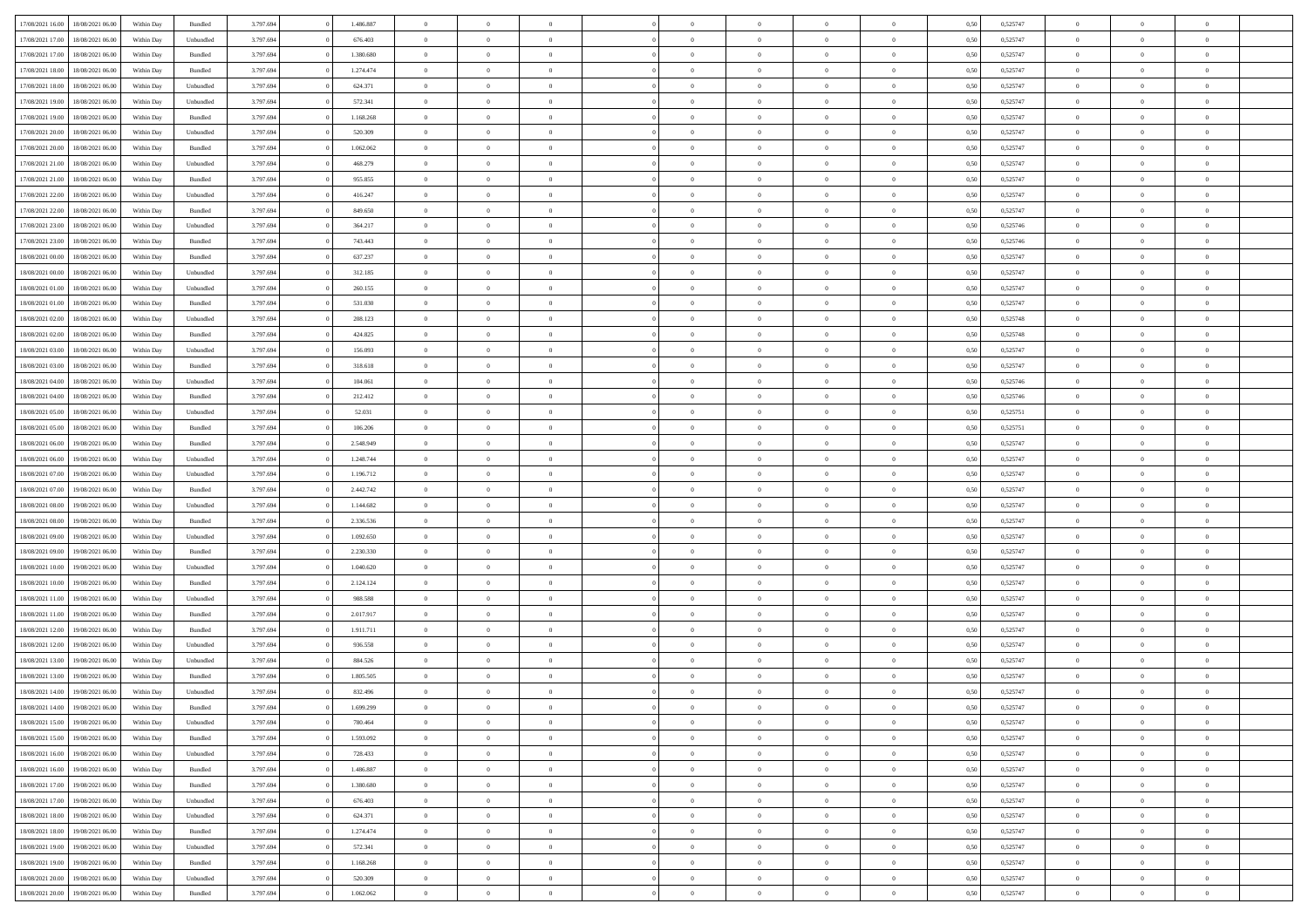| 17/08/2021 16:00 | 18/08/2021 06:00 | Within Day | Bundled            | 3.797.694 | 1.486.887 | $\overline{0}$ | $\Omega$       |                | $\Omega$       | $\Omega$       | $\theta$       | $\theta$       | 0,50 | 0,525747 | $\theta$       | $\theta$       | $\overline{0}$ |  |
|------------------|------------------|------------|--------------------|-----------|-----------|----------------|----------------|----------------|----------------|----------------|----------------|----------------|------|----------|----------------|----------------|----------------|--|
|                  |                  |            |                    |           |           |                |                |                |                |                |                |                |      |          |                |                |                |  |
| 17/08/2021 17:00 | 18/08/2021 06:00 | Within Day | Unbundled          | 3.797.694 | 676.403   | $\overline{0}$ | $\theta$       | $\overline{0}$ | $\overline{0}$ | $\bf{0}$       | $\overline{0}$ | $\,$ 0 $\,$    | 0,50 | 0,525747 | $\theta$       | $\overline{0}$ | $\overline{0}$ |  |
| 17/08/2021 17:00 | 18/08/2021 06:00 | Within Day | Bundled            | 3.797.694 | 1.380.680 | $\overline{0}$ | $\bf{0}$       | $\overline{0}$ | $\bf{0}$       | $\bf{0}$       | $\bf{0}$       | $\mathbf{0}$   | 0,50 | 0,525747 | $\bf{0}$       | $\overline{0}$ | $\overline{0}$ |  |
| 17/08/2021 18:00 | 18/08/2021 06:00 | Within Dav | Bundled            | 3.797.694 | 1.274.474 | $\overline{0}$ | $\overline{0}$ | $\overline{0}$ | $\overline{0}$ | $\bf{0}$       | $\overline{0}$ | $\overline{0}$ | 0.50 | 0,525747 | $\theta$       | $\theta$       | $\overline{0}$ |  |
| 17/08/2021 18:00 | 18/08/2021 06:00 | Within Day | Unbundled          | 3.797.694 | 624.371   | $\overline{0}$ | $\theta$       | $\overline{0}$ | $\overline{0}$ | $\bf{0}$       | $\overline{0}$ | $\bf{0}$       | 0,50 | 0,525747 | $\,$ 0 $\,$    | $\overline{0}$ | $\overline{0}$ |  |
| 17/08/2021 19:00 | 18/08/2021 06:00 | Within Day | Unbundled          | 3.797.694 | 572.341   | $\overline{0}$ | $\overline{0}$ | $\overline{0}$ | $\bf{0}$       | $\overline{0}$ | $\overline{0}$ | $\mathbf{0}$   | 0,50 | 0,525747 | $\overline{0}$ | $\overline{0}$ | $\bf{0}$       |  |
| 17/08/2021 19:00 | 18/08/2021 06:00 | Within Dav | Bundled            | 3.797.694 | 1.168.268 | $\overline{0}$ | $\overline{0}$ | $\overline{0}$ | $\overline{0}$ | $\overline{0}$ | $\overline{0}$ | $\overline{0}$ | 0.50 | 0,525747 | $\theta$       | $\overline{0}$ | $\overline{0}$ |  |
|                  |                  |            |                    |           |           |                |                |                |                |                |                |                |      |          |                |                |                |  |
| 17/08/2021 20:00 | 18/08/2021 06:00 | Within Day | Unbundled          | 3.797.694 | 520.309   | $\overline{0}$ | $\theta$       | $\overline{0}$ | $\overline{0}$ | $\bf{0}$       | $\overline{0}$ | $\bf{0}$       | 0,50 | 0,525747 | $\theta$       | $\theta$       | $\overline{0}$ |  |
| 17/08/2021 20:00 | 18/08/2021 06:00 | Within Day | Bundled            | 3.797.694 | 1.062.062 | $\overline{0}$ | $\overline{0}$ | $\overline{0}$ | $\bf{0}$       | $\bf{0}$       | $\bf{0}$       | $\bf{0}$       | 0,50 | 0,525747 | $\,0\,$        | $\overline{0}$ | $\overline{0}$ |  |
| 17/08/2021 21:00 | 18/08/2021 06:00 | Within Dav | Unbundled          | 3.797.694 | 468.279   | $\overline{0}$ | $\overline{0}$ | $\overline{0}$ | $\overline{0}$ | $\overline{0}$ | $\overline{0}$ | $\overline{0}$ | 0.50 | 0,525747 | $\theta$       | $\overline{0}$ | $\overline{0}$ |  |
| 17/08/2021 21:00 | 18/08/2021 06:00 | Within Day | Bundled            | 3.797.694 | 955.855   | $\overline{0}$ | $\theta$       | $\overline{0}$ | $\overline{0}$ | $\bf{0}$       | $\overline{0}$ | $\bf{0}$       | 0,50 | 0,525747 | $\,$ 0 $\,$    | $\overline{0}$ | $\overline{0}$ |  |
| 17/08/2021 22.00 | 18/08/2021 06:00 | Within Day | Unbundled          | 3.797.694 | 416.247   | $\overline{0}$ | $\overline{0}$ | $\overline{0}$ | $\bf{0}$       | $\bf{0}$       | $\bf{0}$       | $\mathbf{0}$   | 0,50 | 0,525747 | $\overline{0}$ | $\overline{0}$ | $\bf{0}$       |  |
| 17/08/2021 22:00 | 18/08/2021 06:00 | Within Dav | Bundled            | 3.797.694 | 849,650   | $\overline{0}$ | $\overline{0}$ | $\overline{0}$ | $\overline{0}$ | $\bf{0}$       | $\overline{0}$ | $\overline{0}$ | 0.50 | 0,525747 | $\theta$       | $\theta$       | $\overline{0}$ |  |
| 17/08/2021 23:00 | 18/08/2021 06:00 | Within Day | Unbundled          | 3.797.694 | 364.217   | $\overline{0}$ | $\theta$       | $\overline{0}$ | $\overline{0}$ | $\bf{0}$       | $\overline{0}$ | $\bf{0}$       | 0,50 | 0,525746 | $\theta$       | $\overline{0}$ | $\overline{0}$ |  |
|                  |                  |            |                    |           |           |                |                |                |                |                |                |                |      |          |                |                |                |  |
| 17/08/2021 23:00 | 18/08/2021 06:00 | Within Day | Bundled            | 3.797.694 | 743.443   | $\overline{0}$ | $\overline{0}$ | $\overline{0}$ | $\bf{0}$       | $\overline{0}$ | $\overline{0}$ | $\mathbf{0}$   | 0,50 | 0,525746 | $\overline{0}$ | $\overline{0}$ | $\bf{0}$       |  |
| 18/08/2021 00:00 | 18/08/2021 06:00 | Within Dav | Bundled            | 3.797.694 | 637.237   | $\overline{0}$ | $\overline{0}$ | $\overline{0}$ | $\overline{0}$ | $\overline{0}$ | $\overline{0}$ | $\overline{0}$ | 0.50 | 0,525747 | $\theta$       | $\overline{0}$ | $\overline{0}$ |  |
| 18/08/2021 00:00 | 18/08/2021 06:00 | Within Day | Unbundled          | 3.797.694 | 312.185   | $\overline{0}$ | $\theta$       | $\overline{0}$ | $\overline{0}$ | $\bf{0}$       | $\overline{0}$ | $\bf{0}$       | 0,50 | 0,525747 | $\,$ 0 $\,$    | $\theta$       | $\overline{0}$ |  |
| 18/08/2021 01:00 | 18/08/2021 06:00 | Within Day | Unbundled          | 3.797.694 | 260.155   | $\overline{0}$ | $\overline{0}$ | $\overline{0}$ | $\bf{0}$       | $\bf{0}$       | $\bf{0}$       | $\bf{0}$       | 0,50 | 0,525747 | $\bf{0}$       | $\overline{0}$ | $\overline{0}$ |  |
| 18/08/2021 01:00 | 18/08/2021 06:00 | Within Dav | Bundled            | 3.797.694 | 531.030   | $\overline{0}$ | $\overline{0}$ | $\overline{0}$ | $\overline{0}$ | $\overline{0}$ | $\overline{0}$ | $\overline{0}$ | 0.50 | 0,525747 | $\theta$       | $\overline{0}$ | $\overline{0}$ |  |
| 18/08/2021 02:00 | 18/08/2021 06:00 | Within Day | Unbundled          | 3.797.694 | 208.123   | $\overline{0}$ | $\theta$       | $\overline{0}$ | $\overline{0}$ | $\bf{0}$       | $\overline{0}$ | $\bf{0}$       | 0,50 | 0,525748 | $\,$ 0 $\,$    | $\overline{0}$ | $\overline{0}$ |  |
| 18/08/2021 02:00 | 18/08/2021 06:00 | Within Day | Bundled            | 3.797.694 | 424.825   | $\overline{0}$ | $\overline{0}$ | $\overline{0}$ | $\bf{0}$       | $\bf{0}$       | $\bf{0}$       | $\bf{0}$       | 0,50 | 0,525748 | $\overline{0}$ | $\overline{0}$ | $\bf{0}$       |  |
| 18/08/2021 03:00 | 18/08/2021 06:00 | Within Day | Unbundled          | 3.797.694 | 156.093   | $\overline{0}$ | $\overline{0}$ | $\overline{0}$ | $\overline{0}$ | $\bf{0}$       | $\overline{0}$ | $\overline{0}$ | 0.50 | 0,525747 | $\theta$       | $\overline{0}$ | $\overline{0}$ |  |
| 18/08/2021 03:00 | 18/08/2021 06:00 | Within Day | Bundled            | 3.797.694 | 318.618   | $\overline{0}$ | $\theta$       | $\overline{0}$ | $\overline{0}$ | $\bf{0}$       | $\overline{0}$ | $\bf{0}$       | 0,50 | 0,525747 | $\,$ 0 $\,$    | $\overline{0}$ | $\overline{0}$ |  |
|                  |                  |            |                    |           |           |                |                |                |                |                |                |                |      |          |                |                |                |  |
| 18/08/2021 04:00 | 18/08/2021 06:00 | Within Day | Unbundled          | 3.797.694 | 104.061   | $\overline{0}$ | $\overline{0}$ | $\overline{0}$ | $\bf{0}$       | $\overline{0}$ | $\overline{0}$ | $\mathbf{0}$   | 0,50 | 0,525746 | $\overline{0}$ | $\overline{0}$ | $\bf{0}$       |  |
| 18/08/2021 04:00 | 18/08/2021 06:00 | Within Dav | Bundled            | 3.797.694 | 212.412   | $\overline{0}$ | $\overline{0}$ | $\overline{0}$ | $\overline{0}$ | $\overline{0}$ | $\overline{0}$ | $\overline{0}$ | 0.50 | 0,525746 | $\overline{0}$ | $\overline{0}$ | $\overline{0}$ |  |
| 18/08/2021 05:00 | 18/08/2021 06:00 | Within Day | Unbundled          | 3.797.694 | 52.031    | $\overline{0}$ | $\theta$       | $\overline{0}$ | $\overline{0}$ | $\bf{0}$       | $\overline{0}$ | $\bf{0}$       | 0,50 | 0,525751 | $\theta$       | $\theta$       | $\overline{0}$ |  |
| 18/08/2021 05:00 | 18/08/2021 06:00 | Within Day | Bundled            | 3.797.694 | 106.206   | $\overline{0}$ | $\overline{0}$ | $\overline{0}$ | $\bf{0}$       | $\bf{0}$       | $\bf{0}$       | $\bf{0}$       | 0,50 | 0,525751 | $\,0\,$        | $\overline{0}$ | $\overline{0}$ |  |
| 18/08/2021 06:00 | 19/08/2021 06:00 | Within Day | Bundled            | 3.797.694 | 2.548.949 | $\overline{0}$ | $\overline{0}$ | $\overline{0}$ | $\overline{0}$ | $\overline{0}$ | $\overline{0}$ | $\overline{0}$ | 0.50 | 0,525747 | $\theta$       | $\overline{0}$ | $\overline{0}$ |  |
| 18/08/2021 06:00 | 19/08/2021 06:00 | Within Day | Unbundled          | 3.797.694 | 1.248.744 | $\overline{0}$ | $\theta$       | $\overline{0}$ | $\overline{0}$ | $\bf{0}$       | $\overline{0}$ | $\bf{0}$       | 0,50 | 0,525747 | $\,$ 0 $\,$    | $\overline{0}$ | $\overline{0}$ |  |
| 18/08/2021 07:00 | 19/08/2021 06:00 | Within Day | Unbundled          | 3.797.694 | 1.196.712 | $\overline{0}$ | $\overline{0}$ | $\overline{0}$ | $\bf{0}$       | $\bf{0}$       | $\bf{0}$       | $\bf{0}$       | 0,50 | 0,525747 | $\overline{0}$ | $\overline{0}$ | $\bf{0}$       |  |
| 18/08/2021 07:00 | 19/08/2021 06:00 | Within Day | Bundled            | 3.797.694 | 2.442.742 | $\overline{0}$ | $\Omega$       | $\Omega$       | $\Omega$       | $\Omega$       | $\overline{0}$ | $\overline{0}$ | 0,50 | 0,525747 | $\,0\,$        | $\theta$       | $\theta$       |  |
| 18/08/2021 08:00 | 19/08/2021 06:00 | Within Day | Unbundled          | 3.797.694 | 1.144.682 | $\overline{0}$ | $\theta$       | $\overline{0}$ | $\overline{0}$ | $\bf{0}$       | $\overline{0}$ | $\bf{0}$       | 0,50 | 0,525747 | $\,$ 0 $\,$    | $\overline{0}$ | $\overline{0}$ |  |
|                  |                  |            |                    |           |           |                |                |                |                |                |                |                |      |          |                |                |                |  |
| 18/08/2021 08:00 | 19/08/2021 06:00 | Within Day | Bundled            | 3.797.694 | 2.336.536 | $\overline{0}$ | $\overline{0}$ | $\overline{0}$ | $\bf{0}$       | $\bf{0}$       | $\overline{0}$ | $\mathbf{0}$   | 0,50 | 0,525747 | $\overline{0}$ | $\overline{0}$ | $\bf{0}$       |  |
| 18/08/2021 09:00 | 19/08/2021 06:00 | Within Day | Unbundled          | 3.797.694 | 1.092.650 | $\overline{0}$ | $\Omega$       | $\Omega$       | $\Omega$       | $\bf{0}$       | $\overline{0}$ | $\overline{0}$ | 0.50 | 0,525747 | $\,0\,$        | $\theta$       | $\theta$       |  |
| 18/08/2021 09:00 | 19/08/2021 06:00 | Within Day | Bundled            | 3.797.694 | 2.230.330 | $\overline{0}$ | $\theta$       | $\overline{0}$ | $\overline{0}$ | $\bf{0}$       | $\overline{0}$ | $\bf{0}$       | 0,50 | 0,525747 | $\,$ 0 $\,$    | $\overline{0}$ | $\overline{0}$ |  |
| 18/08/2021 10:00 | 19/08/2021 06:00 | Within Day | Unbundled          | 3.797.694 | 1.040.620 | $\overline{0}$ | $\overline{0}$ | $\overline{0}$ | $\bf{0}$       | $\bf{0}$       | $\bf{0}$       | $\bf{0}$       | 0,50 | 0,525747 | $\bf{0}$       | $\overline{0}$ | $\bf{0}$       |  |
| 18/08/2021 10:00 | 19/08/2021 06:00 | Within Day | Bundled            | 3.797.694 | 2.124.124 | $\overline{0}$ | $\Omega$       | $\overline{0}$ | $\Omega$       | $\theta$       | $\overline{0}$ | $\overline{0}$ | 0.50 | 0,525747 | $\,$ 0 $\,$    | $\theta$       | $\theta$       |  |
| 18/08/2021 11:00 | 19/08/2021 06:00 | Within Day | Unbundled          | 3.797.694 | 988.588   | $\overline{0}$ | $\overline{0}$ | $\overline{0}$ | $\overline{0}$ | $\bf{0}$       | $\overline{0}$ | $\bf{0}$       | 0,50 | 0,525747 | $\,$ 0 $\,$    | $\overline{0}$ | $\overline{0}$ |  |
| 18/08/2021 11:00 | 19/08/2021 06:00 | Within Day | Bundled            | 3.797.694 | 2.017.917 | $\overline{0}$ | $\bf{0}$       | $\overline{0}$ | $\bf{0}$       | $\bf{0}$       | $\bf{0}$       | $\bf{0}$       | 0,50 | 0,525747 | $\overline{0}$ | $\overline{0}$ | $\bf{0}$       |  |
| 18/08/2021 12:00 | 19/08/2021 06:00 | Within Day | Bundled            | 3.797.694 | 1.911.711 | $\overline{0}$ | $\Omega$       | $\overline{0}$ | $\Omega$       | $\overline{0}$ | $\overline{0}$ | $\overline{0}$ | 0,50 | 0,525747 | $\,0\,$        | $\theta$       | $\theta$       |  |
| 18/08/2021 12:00 | 19/08/2021 06:00 | Within Day | Unbundled          | 3.797.694 | 936.558   | $\overline{0}$ | $\overline{0}$ | $\overline{0}$ | $\overline{0}$ | $\,$ 0         | $\overline{0}$ | $\bf{0}$       | 0,50 | 0,525747 | $\,$ 0 $\,$    | $\overline{0}$ | $\overline{0}$ |  |
|                  |                  |            |                    |           |           |                |                |                |                | $\bf{0}$       |                |                |      |          |                | $\overline{0}$ | $\bf{0}$       |  |
| 18/08/2021 13:00 | 19/08/2021 06:00 | Within Day | Unbundled          | 3.797.694 | 884.526   | $\overline{0}$ | $\overline{0}$ | $\overline{0}$ | $\bf{0}$       |                | $\bf{0}$       | $\mathbf{0}$   | 0,50 | 0,525747 | $\overline{0}$ |                | $\theta$       |  |
| 18/08/2021 13:00 | 19/08/2021 06:00 | Within Day | Bundled            | 3.797.694 | 1.805.505 | $\overline{0}$ | $\Omega$       | $\Omega$       | $\Omega$       | $\Omega$       | $\Omega$       | $\overline{0}$ | 0.50 | 0,525747 | $\theta$       | $\theta$       |                |  |
| 18/08/2021 14:00 | 19/08/2021 06:00 | Within Day | Unbundled          | 3.797.694 | 832.496   | $\overline{0}$ | $\overline{0}$ | $\overline{0}$ | $\bf{0}$       | $\,$ 0         | $\bf{0}$       | $\bf{0}$       | 0,50 | 0,525747 | $\,0\,$        | $\,$ 0 $\,$    | $\overline{0}$ |  |
| 18/08/2021 14:00 | 19/08/2021 06:00 | Within Day | $\mathbf B$ undled | 3.797.694 | 1.699.299 | $\bf{0}$       | $\bf{0}$       |                |                |                |                |                | 0,50 | 0,525747 | $\bf{0}$       | $\overline{0}$ |                |  |
| 18/08/2021 15:00 | 19/08/2021 06:00 | Within Day | Unbundled          | 3.797.694 | 780,464   | $\overline{0}$ | $\overline{0}$ | $\overline{0}$ | $\Omega$       | $\overline{0}$ | $\overline{0}$ | $\overline{0}$ | 0,50 | 0,525747 | $\theta$       | $\theta$       | $\theta$       |  |
| 18/08/2021 15:00 | 19/08/2021 06:00 | Within Day | Bundled            | 3.797.694 | 1.593.092 | $\overline{0}$ | $\,$ 0         | $\overline{0}$ | $\bf{0}$       | $\,$ 0 $\,$    | $\overline{0}$ | $\,$ 0 $\,$    | 0,50 | 0,525747 | $\,$ 0 $\,$    | $\,$ 0 $\,$    | $\,$ 0         |  |
| 18/08/2021 16:00 | 19/08/2021 06:00 | Within Day | Unbundled          | 3.797.694 | 728.433   | $\overline{0}$ | $\overline{0}$ | $\overline{0}$ | $\overline{0}$ | $\overline{0}$ | $\overline{0}$ | $\mathbf{0}$   | 0,50 | 0,525747 | $\overline{0}$ | $\bf{0}$       | $\bf{0}$       |  |
| 18/08/2021 16:00 | 19/08/2021 06:00 | Within Day | $\mathbf B$ undled | 3.797.694 | 1.486.887 | $\overline{0}$ | $\overline{0}$ | $\overline{0}$ | $\Omega$       | $\overline{0}$ | $\overline{0}$ | $\overline{0}$ | 0,50 | 0,525747 | $\overline{0}$ | $\theta$       | $\overline{0}$ |  |
| 18/08/2021 17:00 | 19/08/2021 06:00 | Within Day | Bundled            | 3.797.694 | 1.380.680 | $\overline{0}$ | $\,$ 0         | $\overline{0}$ | $\overline{0}$ | $\,$ 0 $\,$    | $\overline{0}$ | $\mathbf{0}$   | 0,50 | 0,525747 | $\,$ 0 $\,$    | $\overline{0}$ | $\overline{0}$ |  |
| 18/08/2021 17:00 | 19/08/2021 06:00 | Within Day | Unbundled          | 3.797.694 | 676.403   | $\overline{0}$ | $\overline{0}$ | $\overline{0}$ | $\overline{0}$ | $\overline{0}$ | $\overline{0}$ | $\mathbf{0}$   | 0,50 | 0,525747 | $\overline{0}$ | $\overline{0}$ | $\bf{0}$       |  |
|                  |                  |            |                    |           |           |                |                |                |                |                |                |                |      |          |                |                |                |  |
| 18/08/2021 18:00 | 19/08/2021 06:00 | Within Day | Unbundled          | 3.797.694 | 624.371   | $\overline{0}$ | $\overline{0}$ | $\overline{0}$ | $\Omega$       | $\overline{0}$ | $\overline{0}$ | $\bf{0}$       | 0.50 | 0,525747 | $\overline{0}$ | $\theta$       | $\overline{0}$ |  |
| 18/08/2021 18:00 |                  | Within Day | Bundled            | 3.797.694 | 1.274.474 | $\overline{0}$ | $\,$ 0         | $\overline{0}$ | $\bf{0}$       | $\bf{0}$       | $\bf{0}$       | $\bf{0}$       | 0,50 | 0,525747 | $\,$ 0 $\,$    | $\overline{0}$ | $\overline{0}$ |  |
|                  | 19/08/2021 06:00 |            |                    |           |           |                |                |                |                |                |                |                |      |          |                |                |                |  |
| 18/08/2021 19:00 | 19/08/2021 06:00 | Within Day | Unbundled          | 3.797.694 | 572.341   | $\overline{0}$ | $\bf{0}$       | $\overline{0}$ | $\overline{0}$ | $\overline{0}$ | $\overline{0}$ | $\mathbf{0}$   | 0,50 | 0,525747 | $\overline{0}$ | $\overline{0}$ | $\bf{0}$       |  |
| 18/08/2021 19:00 | 19/08/2021 06:00 | Within Day | Bundled            | 3.797.694 | 1.168.268 | $\overline{0}$ | $\overline{0}$ | $\overline{0}$ | $\Omega$       | $\overline{0}$ | $\overline{0}$ | $\bf{0}$       | 0.50 | 0,525747 | $\overline{0}$ | $\overline{0}$ | $\overline{0}$ |  |
| 18/08/2021 20:00 | 19/08/2021 06:00 | Within Day | Unbundled          | 3.797.694 | 520.309   | $\overline{0}$ | $\bf{0}$       | $\overline{0}$ | $\bf{0}$       | $\bf{0}$       | $\bf{0}$       | $\mathbf{0}$   | 0,50 | 0,525747 | $\,$ 0 $\,$    | $\,$ 0 $\,$    | $\bf{0}$       |  |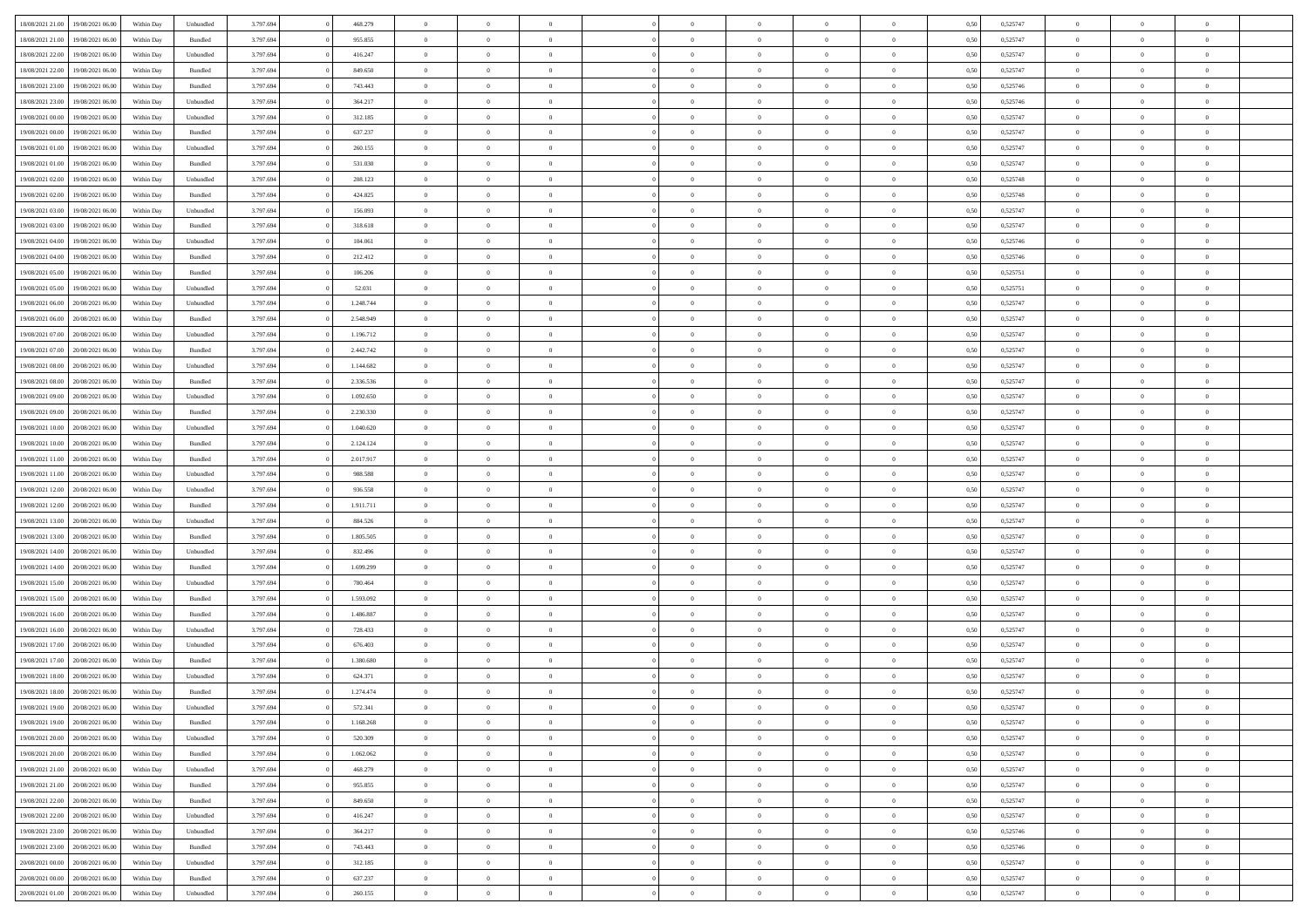| 18/08/2021 21:00<br>19/08/2021 06:00 | Within Day | Unbundled          | 3.797.694 | 468.279   | $\overline{0}$ | $\overline{0}$ | $\Omega$       | $\theta$       | $\theta$       |                | $\overline{0}$ | 0,50 | 0,525747 | $\mathbf{0}$   | $\Omega$       | $\Omega$       |  |
|--------------------------------------|------------|--------------------|-----------|-----------|----------------|----------------|----------------|----------------|----------------|----------------|----------------|------|----------|----------------|----------------|----------------|--|
| 18/08/2021 21:00<br>19/08/2021 06:00 | Within Day | $\mathbf B$ undled | 3.797.694 | 955.855   | $\bf{0}$       | $\overline{0}$ | $\overline{0}$ | $\theta$       | $\overline{0}$ | $\overline{0}$ | $\,$ 0         | 0,50 | 0,525747 | $\overline{0}$ | $\theta$       | $\bf{0}$       |  |
| 18/08/2021 22:00<br>19/08/2021 06:00 | Within Day | Unbundled          | 3.797.694 | 416.247   | $\overline{0}$ | $\overline{0}$ | $\overline{0}$ | $\bf{0}$       | $\bf{0}$       | $\overline{0}$ | $\mathbf{0}$   | 0,50 | 0,525747 | $\bf{0}$       | $\bf{0}$       | $\overline{0}$ |  |
|                                      |            |                    |           |           |                |                |                |                |                |                |                |      |          |                |                |                |  |
| 18/08/2021 22:00<br>19/08/2021 06:00 | Within Day | Bundled            | 3.797.694 | 849.650   | $\overline{0}$ | $\overline{0}$ | $\overline{0}$ | $\overline{0}$ | $\overline{0}$ | $\overline{0}$ | $\overline{0}$ | 0.50 | 0.525747 | $\mathbf{0}$   | $\overline{0}$ | $\bf{0}$       |  |
| 18/08/2021 23:00<br>19/08/2021 06:00 | Within Day | Bundled            | 3.797.694 | 743.443   | $\bf{0}$       | $\overline{0}$ | $\overline{0}$ | $\theta$       | $\overline{0}$ | $\overline{0}$ | $\,$ 0         | 0,50 | 0,525746 | $\overline{0}$ | $\theta$       | $\overline{0}$ |  |
| 18/08/2021 23:00<br>19/08/2021 06:00 | Within Day | Unbundled          | 3.797.694 | 364.217   | $\overline{0}$ | $\overline{0}$ | $\overline{0}$ | $\bf{0}$       | $\overline{0}$ | $\overline{0}$ | $\overline{0}$ | 0,50 | 0,525746 | $\overline{0}$ | $\overline{0}$ | $\overline{0}$ |  |
| 19/08/2021 00:00<br>19/08/2021 06:00 | Within Day | Unbundled          | 3.797.694 | 312.185   | $\overline{0}$ | $\overline{0}$ | $\overline{0}$ | $\overline{0}$ | $\overline{0}$ | $\overline{0}$ | $\overline{0}$ | 0.50 | 0,525747 | $\mathbf{0}$   | $\overline{0}$ | $\overline{0}$ |  |
|                                      |            |                    |           |           |                |                |                |                |                |                |                |      |          |                |                |                |  |
| 19/08/2021 00:00<br>19/08/2021 06:00 | Within Day | Bundled            | 3.797.694 | 637.237   | $\bf{0}$       | $\overline{0}$ | $\overline{0}$ | $\overline{0}$ | $\overline{0}$ | $\overline{0}$ | $\bf{0}$       | 0,50 | 0,525747 | $\theta$       | $\theta$       | $\bf{0}$       |  |
| 19/08/2021 01:00<br>19/08/2021 06:00 | Within Day | Unbundled          | 3.797.694 | 260.155   | $\overline{0}$ | $\overline{0}$ | $\overline{0}$ | $\bf{0}$       | $\bf{0}$       | $\overline{0}$ | $\mathbf{0}$   | 0,50 | 0,525747 | $\bf{0}$       | $\bf{0}$       | $\bf{0}$       |  |
| 19/08/2021 01:00<br>19/08/2021 06:00 | Within Day | Bundled            | 3.797.694 | 531.030   | $\overline{0}$ | $\overline{0}$ | $\overline{0}$ | $\overline{0}$ | $\overline{0}$ | $\overline{0}$ | $\overline{0}$ | 0.50 | 0,525747 | $\overline{0}$ | $\overline{0}$ | $\overline{0}$ |  |
| 19/08/2021 02:00<br>19/08/2021 06:00 | Within Day | Unbundled          | 3.797.694 | 208.123   | $\bf{0}$       | $\overline{0}$ | $\overline{0}$ | $\overline{0}$ | $\overline{0}$ | $\overline{0}$ | $\,$ 0         | 0,50 | 0,525748 | $\theta$       | $\theta$       | $\bf{0}$       |  |
| 19/08/2021 02:00<br>19/08/2021 06:00 | Within Day | Bundled            | 3.797.694 | 424.825   | $\overline{0}$ | $\overline{0}$ | $\overline{0}$ | $\bf{0}$       | $\overline{0}$ | $\overline{0}$ | $\mathbf{0}$   | 0,50 | 0,525748 | $\overline{0}$ | $\bf{0}$       | $\bf{0}$       |  |
|                                      |            |                    |           |           |                |                |                |                |                |                |                |      |          |                |                |                |  |
| 19/08/2021 03:00<br>19/08/2021 06:00 | Within Day | Unbundled          | 3.797.694 | 156.093   | $\overline{0}$ | $\overline{0}$ | $\overline{0}$ | $\overline{0}$ | $\overline{0}$ | $\overline{0}$ | $\overline{0}$ | 0.50 | 0.525747 | $\mathbf{0}$   | $\overline{0}$ | $\bf{0}$       |  |
| 19/08/2021 03:00<br>19/08/2021 06:00 | Within Day | Bundled            | 3.797.694 | 318.618   | $\bf{0}$       | $\overline{0}$ | $\overline{0}$ | $\theta$       | $\overline{0}$ | $\overline{0}$ | $\,$ 0         | 0,50 | 0,525747 | $\theta$       | $\theta$       | $\bf{0}$       |  |
| 19/08/2021 04:00<br>19/08/2021 06:00 | Within Day | Unbundled          | 3.797.694 | 104.061   | $\overline{0}$ | $\overline{0}$ | $\overline{0}$ | $\bf{0}$       | $\overline{0}$ | $\overline{0}$ | $\overline{0}$ | 0,50 | 0,525746 | $\overline{0}$ | $\overline{0}$ | $\overline{0}$ |  |
| 19/08/2021 04:00<br>19/08/2021 06:00 | Within Day | Bundled            | 3.797.694 | 212.412   | $\overline{0}$ | $\overline{0}$ | $\overline{0}$ | $\overline{0}$ | $\overline{0}$ | $\overline{0}$ | $\overline{0}$ | 0.50 | 0,525746 | $\overline{0}$ | $\overline{0}$ | $\overline{0}$ |  |
| 19/08/2021 05:00<br>19/08/2021 06:00 | Within Day | Bundled            | 3.797.694 | 106.206   | $\bf{0}$       | $\overline{0}$ | $\overline{0}$ | $\overline{0}$ | $\overline{0}$ | $\overline{0}$ | $\bf{0}$       | 0,50 | 0,525751 | $\theta$       | $\theta$       | $\bf{0}$       |  |
|                                      |            |                    |           |           |                |                |                |                |                |                |                |      |          |                |                |                |  |
| 19/08/2021 05:00<br>19/08/2021 06:00 | Within Day | Unbundled          | 3.797.694 | 52.031    | $\overline{0}$ | $\overline{0}$ | $\overline{0}$ | $\bf{0}$       | $\bf{0}$       | $\overline{0}$ | $\mathbf{0}$   | 0,50 | 0,525751 | $\bf{0}$       | $\bf{0}$       | $\bf{0}$       |  |
| 19/08/2021 06:00<br>20/08/2021 06:00 | Within Day | Unbundled          | 3.797.694 | 1.248.744 | $\overline{0}$ | $\overline{0}$ | $\overline{0}$ | $\overline{0}$ | $\overline{0}$ | $\overline{0}$ | $\overline{0}$ | 0.50 | 0,525747 | $\overline{0}$ | $\overline{0}$ | $\overline{0}$ |  |
| 19/08/2021 06:00<br>20/08/2021 06:00 | Within Day | Bundled            | 3.797.694 | 2.548.949 | $\bf{0}$       | $\overline{0}$ | $\overline{0}$ | $\overline{0}$ | $\overline{0}$ | $\overline{0}$ | $\,$ 0         | 0,50 | 0,525747 | $\theta$       | $\theta$       | $\bf{0}$       |  |
| 19/08/2021 07:00<br>20/08/2021 06:00 | Within Day | Unbundled          | 3.797.694 | 1.196.712 | $\overline{0}$ | $\overline{0}$ | $\overline{0}$ | $\bf{0}$       | $\bf{0}$       | $\overline{0}$ | $\mathbf{0}$   | 0,50 | 0,525747 | $\bf{0}$       | $\bf{0}$       | $\bf{0}$       |  |
| 19/08/2021 07:00<br>20/08/2021 06:00 | Within Day | Bundled            | 3.797.694 | 2.442.742 | $\overline{0}$ | $\overline{0}$ | $\overline{0}$ | $\overline{0}$ | $\overline{0}$ | $\overline{0}$ | $\overline{0}$ | 0.50 | 0.525747 | $\overline{0}$ | $\overline{0}$ | $\bf{0}$       |  |
|                                      |            |                    |           |           |                |                |                |                |                |                |                |      |          |                |                |                |  |
| 19/08/2021 08:00<br>20/08/2021 06:00 | Within Day | Unbundled          | 3.797.694 | 1.144.682 | $\bf{0}$       | $\overline{0}$ | $\overline{0}$ | $\overline{0}$ | $\overline{0}$ | $\overline{0}$ | $\,$ 0         | 0,50 | 0,525747 | $\mathbf{0}$   | $\theta$       | $\bf{0}$       |  |
| 19/08/2021 08:00<br>20/08/2021 06:00 | Within Day | Bundled            | 3.797.694 | 2.336.536 | $\overline{0}$ | $\overline{0}$ | $\overline{0}$ | $\bf{0}$       | $\overline{0}$ | $\overline{0}$ | $\overline{0}$ | 0,50 | 0,525747 | $\overline{0}$ | $\overline{0}$ | $\overline{0}$ |  |
| 19/08/2021 09:00<br>20/08/2021 06:00 | Within Day | Unbundled          | 3.797.694 | 1.092.650 | $\overline{0}$ | $\overline{0}$ | $\overline{0}$ | $\overline{0}$ | $\overline{0}$ | $\overline{0}$ | $\overline{0}$ | 0.50 | 0,525747 | $\overline{0}$ | $\overline{0}$ | $\overline{0}$ |  |
| 19/08/2021 09:00<br>20/08/2021 06:00 | Within Day | Bundled            | 3.797.694 | 2.230.330 | $\bf{0}$       | $\overline{0}$ | $\bf{0}$       | $\overline{0}$ | $\overline{0}$ | $\overline{0}$ | $\bf{0}$       | 0,50 | 0,525747 | $\theta$       | $\theta$       | $\bf{0}$       |  |
| 19/08/2021 10:00<br>20/08/2021 06:00 | Within Day | Unbundled          | 3.797.694 | 1.040.620 | $\overline{0}$ | $\overline{0}$ | $\overline{0}$ | $\bf{0}$       | $\bf{0}$       | $\overline{0}$ | $\mathbf{0}$   | 0,50 | 0,525747 | $\bf{0}$       | $\bf{0}$       | $\bf{0}$       |  |
|                                      |            |                    |           |           |                |                |                |                |                |                |                |      |          |                |                |                |  |
| 19/08/2021 10:00<br>20/08/2021 06:00 | Within Day | Bundled            | 3.797.694 | 2.124.124 | $\overline{0}$ | $\overline{0}$ | $\overline{0}$ | $\overline{0}$ | $\overline{0}$ | $\overline{0}$ | $\overline{0}$ | 0.50 | 0,525747 | $\overline{0}$ | $\overline{0}$ | $\overline{0}$ |  |
| 19/08/2021 11:00<br>20/08/2021 06:00 | Within Day | Bundled            | 3.797.694 | 2.017.917 | $\bf{0}$       | $\overline{0}$ | $\overline{0}$ | $\overline{0}$ | $\overline{0}$ | $\overline{0}$ | $\,$ 0         | 0,50 | 0,525747 | $\bf{0}$       | $\theta$       | $\bf{0}$       |  |
| 19/08/2021 11:00<br>20/08/2021 06:00 | Within Day | Unbundled          | 3.797.694 | 988.588   | $\overline{0}$ | $\overline{0}$ | $\overline{0}$ | $\bf{0}$       | $\bf{0}$       | $\overline{0}$ | $\mathbf{0}$   | 0,50 | 0,525747 | $\overline{0}$ | $\bf{0}$       | $\bf{0}$       |  |
| 19/08/2021 12:00<br>20/08/2021 06:00 | Within Day | Unbundled          | 3.797.694 | 936.558   | $\overline{0}$ | $\overline{0}$ | $\overline{0}$ | $\overline{0}$ | $\overline{0}$ | $\Omega$       | $\overline{0}$ | 0,50 | 0,525747 | $\bf{0}$       | $\Omega$       | $\Omega$       |  |
| 19/08/2021 12:00<br>20/08/2021 06:00 | Within Day | Bundled            | 3.797.694 | 1.911.711 | $\bf{0}$       | $\overline{0}$ | $\overline{0}$ | $\theta$       | $\overline{0}$ | $\overline{0}$ | $\,$ 0         | 0,50 | 0,525747 | $\theta$       | $\theta$       | $\bf{0}$       |  |
|                                      |            |                    |           |           |                |                |                |                |                |                |                |      |          |                |                |                |  |
| 19/08/2021 13:00<br>20/08/2021 06:00 | Within Day | Unbundled          | 3.797.694 | 884.526   | $\overline{0}$ | $\overline{0}$ | $\overline{0}$ | $\bf{0}$       | $\overline{0}$ | $\overline{0}$ | $\overline{0}$ | 0,50 | 0,525747 | $\overline{0}$ | $\overline{0}$ | $\overline{0}$ |  |
| 19/08/2021 13:00<br>20/08/2021 06:00 | Within Day | Bundled            | 3.797.694 | 1.805.505 | $\overline{0}$ | $\overline{0}$ | $\overline{0}$ | $\overline{0}$ | $\overline{0}$ | $\Omega$       | $\overline{0}$ | 0.50 | 0,525747 | $\overline{0}$ | $\Omega$       | $\Omega$       |  |
| 19/08/2021 14:00<br>20/08/2021 06:00 | Within Day | Unbundled          | 3.797.694 | 832.496   | $\bf{0}$       | $\overline{0}$ | $\bf{0}$       | $\overline{0}$ | $\overline{0}$ | $\overline{0}$ | $\bf{0}$       | 0,50 | 0,525747 | $\overline{0}$ | $\theta$       | $\bf{0}$       |  |
| 19/08/2021 14:00<br>20/08/2021 06:00 | Within Day | Bundled            | 3.797.694 | 1.699.299 | $\overline{0}$ | $\overline{0}$ | $\bf{0}$       | $\bf{0}$       | $\bf{0}$       | $\overline{0}$ | $\mathbf{0}$   | 0,50 | 0,525747 | $\bf{0}$       | $\bf{0}$       | $\bf{0}$       |  |
| 19/08/2021 15:00<br>20/08/2021 06:00 | Within Day | Unbundled          | 3.797.694 | 780,464   | $\overline{0}$ | $\overline{0}$ | $\overline{0}$ | $\overline{0}$ | $\overline{0}$ | $\Omega$       | $\theta$       | 0.50 | 0,525747 | $\overline{0}$ | $\Omega$       | $\theta$       |  |
|                                      |            |                    |           |           |                |                |                |                |                |                |                |      |          |                |                |                |  |
| 19/08/2021 15:00<br>20/08/2021 06:00 | Within Day | Bundled            | 3.797.694 | 1.593.092 | $\bf{0}$       | $\overline{0}$ | $\bf{0}$       | $\overline{0}$ | $\overline{0}$ | $\overline{0}$ | $\,$ 0         | 0,50 | 0,525747 | $\,$ 0 $\,$    | $\theta$       | $\bf{0}$       |  |
| 19/08/2021 16:00<br>20/08/2021 06:00 | Within Day | Bundled            | 3.797.694 | 1.486.887 | $\overline{0}$ | $\overline{0}$ | $\overline{0}$ | $\bf{0}$       | $\bf{0}$       | $\overline{0}$ | $\mathbf{0}$   | 0,50 | 0,525747 | $\overline{0}$ | $\bf{0}$       | $\bf{0}$       |  |
| 19/08/2021 16:00<br>20/08/2021 06:00 | Within Day | Unbundled          | 3.797.694 | 728.433   | $\overline{0}$ | $\overline{0}$ | $\overline{0}$ | $\overline{0}$ | $\bf{0}$       | $\Omega$       | $\overline{0}$ | 0,50 | 0,525747 | $\overline{0}$ | $\overline{0}$ | $\Omega$       |  |
| 19/08/2021 17:00<br>20/08/2021 06:00 | Within Day | Unbundled          | 3.797.694 | 676.403   | $\bf{0}$       | $\overline{0}$ | $\bf{0}$       | $\overline{0}$ | $\overline{0}$ | $\overline{0}$ | $\,$ 0         | 0,50 | 0,525747 | $\bf{0}$       | $\theta$       | $\bf{0}$       |  |
| 19/08/2021 17:00<br>20/08/2021 06:00 | Within Day | Bundled            | 3.797.694 | 1.380.680 | $\overline{0}$ | $\overline{0}$ | $\overline{0}$ | $\bf{0}$       | $\overline{0}$ | $\overline{0}$ | $\overline{0}$ | 0,50 | 0,525747 | $\bf{0}$       | $\overline{0}$ | $\overline{0}$ |  |
|                                      |            |                    |           |           | $\overline{0}$ | $\overline{0}$ | $\Omega$       | $\overline{0}$ | $\bf{0}$       | $\Omega$       | $\overline{0}$ | 0.50 |          | $\overline{0}$ | $\Omega$       | $\Omega$       |  |
| 19/08/2021 18:00<br>20/08/2021 06:00 | Within Day | Unbundled          | 3.797.694 | 624.371   |                |                |                |                |                |                |                |      | 0,525747 |                |                |                |  |
| 19/08/2021 18:00<br>20/08/2021 06:00 | Within Day | Bundled            | 3.797.694 | 1.274.474 | $\bf{0}$       | $\overline{0}$ | $\bf{0}$       | $\bf{0}$       | $\bf{0}$       | $\overline{0}$ | $\,$ 0 $\,$    | 0,50 | 0,525747 | $\bf{0}$       | $\,$ 0         | $\bf{0}$       |  |
| 19/08/2021 19:00 20/08/2021 06:00    | Within Day | Unbundled          | 3.797.694 | 572.341   | $\bf{0}$       | $\bf{0}$       |                |                |                |                | $\bf{0}$       | 0,50 | 0,525747 | $\bf{0}$       | $\bf{0}$       |                |  |
| 19/08/2021 19:00 20/08/2021 06:00    | Within Day | Bundled            | 3.797.694 | 1.168.268 | $\overline{0}$ | $\overline{0}$ | $\overline{0}$ | $\overline{0}$ | $\overline{0}$ | $\overline{0}$ | $\mathbf{0}$   | 0,50 | 0,525747 | $\overline{0}$ | $\overline{0}$ | $\theta$       |  |
| 19/08/2021 20:00<br>20/08/2021 06:00 | Within Day | Unbundled          | 3.797.694 | 520.309   | $\overline{0}$ | $\overline{0}$ | $\overline{0}$ | $\bf{0}$       | $\overline{0}$ | $\overline{0}$ | $\mathbf{0}$   | 0,50 | 0,525747 | $\,$ 0 $\,$    | $\overline{0}$ | $\,$ 0 $\,$    |  |
| 19/08/2021 20:00 20/08/2021 06:00    | Within Day | Bundled            | 3.797.694 | 1.062.062 | $\overline{0}$ | $\overline{0}$ | $\overline{0}$ | $\bf{0}$       | $\overline{0}$ | $\overline{0}$ | $\mathbf{0}$   | 0,50 | 0,525747 | $\overline{0}$ | $\overline{0}$ | $\overline{0}$ |  |
|                                      |            |                    |           |           |                |                |                |                |                |                |                |      |          |                |                |                |  |
| 19/08/2021 21:00 20/08/2021 06:00    | Within Day | Unbundled          | 3.797.694 | 468.279   | $\overline{0}$ | $\overline{0}$ | $\overline{0}$ | $\overline{0}$ | $\bf{0}$       | $\overline{0}$ | $\overline{0}$ | 0,50 | 0,525747 | $\overline{0}$ | $\overline{0}$ | $\overline{0}$ |  |
| 19/08/2021 21:00<br>20/08/2021 06:00 | Within Day | Bundled            | 3.797.694 | 955.855   | $\overline{0}$ | $\overline{0}$ | $\overline{0}$ | $\overline{0}$ | $\overline{0}$ | $\overline{0}$ | $\mathbf{0}$   | 0,50 | 0,525747 | $\,$ 0 $\,$    | $\theta$       | $\overline{0}$ |  |
| 19/08/2021 22:00<br>20/08/2021 06:00 | Within Day | Bundled            | 3.797.694 | 849.650   | $\overline{0}$ | $\overline{0}$ | $\overline{0}$ | $\overline{0}$ | $\overline{0}$ | $\overline{0}$ | $\overline{0}$ | 0,50 | 0,525747 | $\overline{0}$ | $\overline{0}$ | $\overline{0}$ |  |
| 19/08/2021 22:00<br>20/08/2021 06:00 | Within Day | Unbundled          | 3.797.694 | 416.247   | $\overline{0}$ | $\overline{0}$ | $\overline{0}$ | $\overline{0}$ | $\overline{0}$ | $\overline{0}$ | $\mathbf{0}$   | 0,50 | 0,525747 | $\overline{0}$ | $\overline{0}$ | $\overline{0}$ |  |
|                                      |            |                    |           |           |                | $\overline{0}$ |                |                |                | $\overline{0}$ | $\,$ 0 $\,$    |      |          | $\,$ 0 $\,$    | $\theta$       |                |  |
| 19/08/2021 23:00<br>20/08/2021 06:00 | Within Day | Unbundled          | 3.797.694 | 364.217   | $\overline{0}$ |                | $\overline{0}$ | $\bf{0}$       | $\bf{0}$       |                |                | 0,50 | 0,525746 |                |                | $\,$ 0         |  |
| 19/08/2021 23:00<br>20/08/2021 06:00 | Within Day | Bundled            | 3.797.694 | 743.443   | $\overline{0}$ | $\overline{0}$ | $\overline{0}$ | $\bf{0}$       | $\overline{0}$ | $\overline{0}$ | $\overline{0}$ | 0,50 | 0,525746 | $\bf{0}$       | $\bf{0}$       | $\overline{0}$ |  |
| 20/08/2021 00:00<br>20/08/2021 06:00 | Within Day | Unbundled          | 3.797.694 | 312.185   | $\overline{0}$ | $\overline{0}$ | $\overline{0}$ | $\overline{0}$ | $\overline{0}$ | $\overline{0}$ | $\overline{0}$ | 0,50 | 0,525747 | $\overline{0}$ | $\overline{0}$ | $\overline{0}$ |  |
| 20/08/2021 00:00<br>20/08/2021 06:00 | Within Day | Bundled            | 3.797.694 | 637.237   | $\overline{0}$ | $\overline{0}$ | $\overline{0}$ | $\bf{0}$       | $\bf{0}$       | $\overline{0}$ | $\,$ 0 $\,$    | 0,50 | 0,525747 | $\,0\,$        | $\,0\,$        | $\,$ 0         |  |
| 20/08/2021 01:00 20/08/2021 06:00    | Within Day | Unbundled          | 3.797.694 | 260.155   | $\overline{0}$ | $\overline{0}$ | $\overline{0}$ | $\bf{0}$       | $\overline{0}$ | $\overline{0}$ | $\overline{0}$ | 0,50 | 0,525747 | $\overline{0}$ | $\bf{0}$       | $\overline{0}$ |  |
|                                      |            |                    |           |           |                |                |                |                |                |                |                |      |          |                |                |                |  |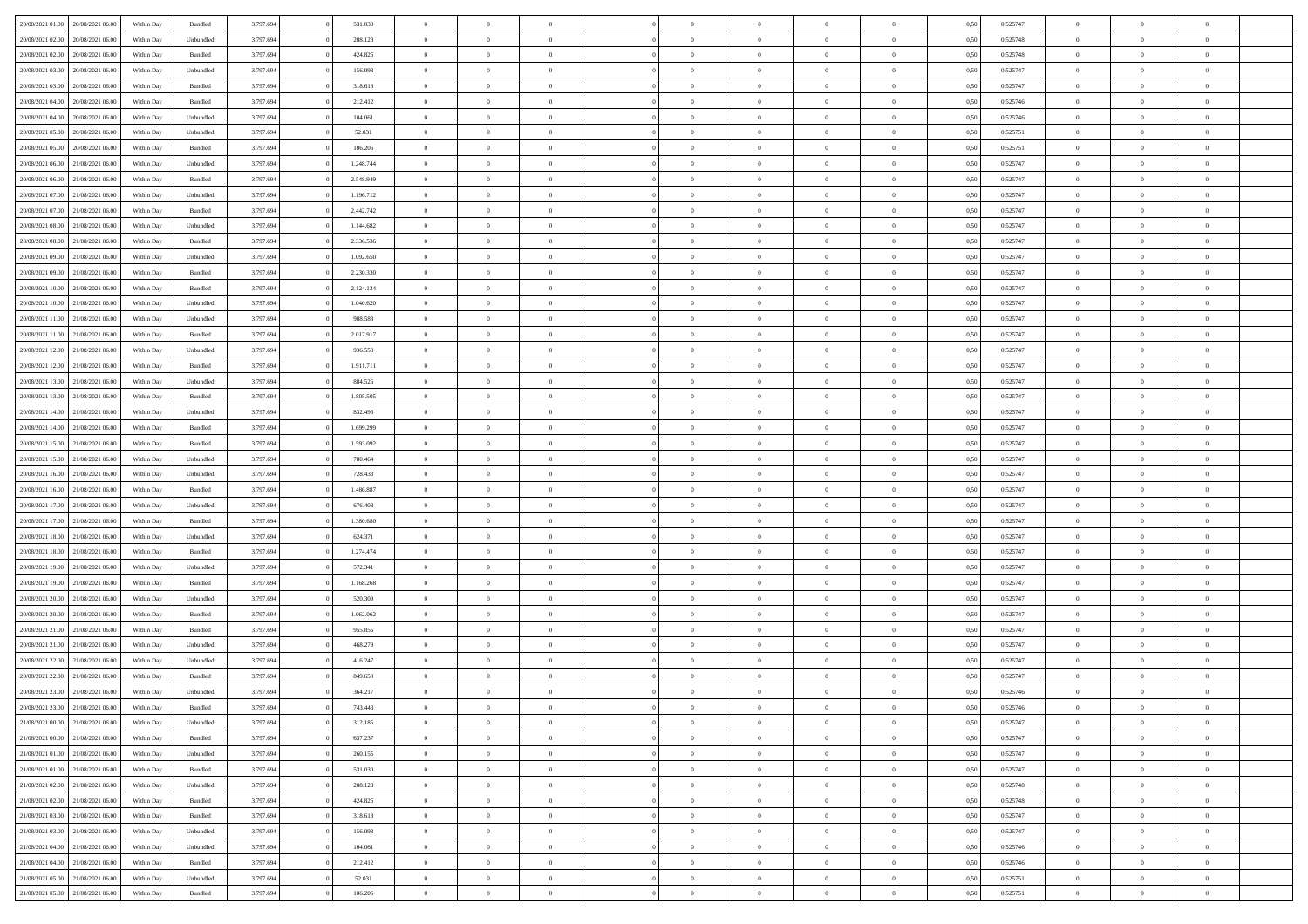| 20/08/2021 01:00                  | 20/08/2021 06:00 | Within Day | Bundled            | 3.797.694 | 531.030   | $\overline{0}$ | $\Omega$       |                | $\Omega$       | $\Omega$       | $\Omega$       | $\Omega$       | 0.50 | 0,525747 | $\theta$       | $\theta$       | $\theta$       |  |
|-----------------------------------|------------------|------------|--------------------|-----------|-----------|----------------|----------------|----------------|----------------|----------------|----------------|----------------|------|----------|----------------|----------------|----------------|--|
|                                   |                  |            |                    |           |           |                |                |                |                |                |                |                |      |          |                |                |                |  |
| 20/08/2021 02:00                  | 20/08/2021 06:00 | Within Day | Unbundled          | 3.797.694 | 208.123   | $\overline{0}$ | $\theta$       | $\overline{0}$ | $\overline{0}$ | $\bf{0}$       | $\overline{0}$ | $\bf{0}$       | 0,50 | 0,525748 | $\theta$       | $\theta$       | $\overline{0}$ |  |
| 20/08/2021 02:00                  | 20/08/2021 06:00 | Within Day | Bundled            | 3.797.694 | 424.825   | $\overline{0}$ | $\overline{0}$ | $\overline{0}$ | $\overline{0}$ | $\bf{0}$       | $\overline{0}$ | $\bf{0}$       | 0,50 | 0,525748 | $\overline{0}$ | $\overline{0}$ | $\overline{0}$ |  |
| 20/08/2021 03:00                  | 20/08/2021 06:00 | Within Day | Unbundled          | 3.797.694 | 156.093   | $\overline{0}$ | $\theta$       | $\overline{0}$ | $\overline{0}$ | $\bf{0}$       | $\overline{0}$ | $\overline{0}$ | 0.50 | 0,525747 | $\theta$       | $\theta$       | $\overline{0}$ |  |
| 20/08/2021 03:00                  | 20/08/2021 06:00 | Within Day | Bundled            | 3.797.694 | 318.618   | $\overline{0}$ | $\theta$       | $\overline{0}$ | $\overline{0}$ | $\bf{0}$       | $\overline{0}$ | $\bf{0}$       | 0,50 | 0,525747 | $\theta$       | $\theta$       | $\overline{0}$ |  |
| 20/08/2021 04:00                  | 20/08/2021 06:00 | Within Day | Bundled            | 3.797.694 | 212.412   | $\overline{0}$ | $\bf{0}$       | $\overline{0}$ | $\bf{0}$       | $\overline{0}$ | $\overline{0}$ | $\mathbf{0}$   | 0,50 | 0,525746 | $\overline{0}$ | $\overline{0}$ | $\bf{0}$       |  |
|                                   |                  |            |                    |           |           |                |                |                |                | $\bf{0}$       |                |                |      |          | $\theta$       |                | $\overline{0}$ |  |
| 20/08/2021 04:00                  | 20/08/2021 06:00 | Within Dav | Unbundled          | 3.797.694 | 104.061   | $\overline{0}$ | $\overline{0}$ | $\overline{0}$ | $\overline{0}$ |                | $\overline{0}$ | $\overline{0}$ | 0.50 | 0,525746 |                | $\theta$       |                |  |
| 20/08/2021 05:00                  | 20/08/2021 06:00 | Within Day | Unbundled          | 3.797.694 | 52.031    | $\overline{0}$ | $\theta$       | $\overline{0}$ | $\overline{0}$ | $\bf{0}$       | $\overline{0}$ | $\bf{0}$       | 0,50 | 0,525751 | $\theta$       | $\theta$       | $\overline{0}$ |  |
| 20/08/2021 05:00                  | 20/08/2021 06:00 | Within Day | Bundled            | 3.797.694 | 106.206   | $\overline{0}$ | $\overline{0}$ | $\overline{0}$ | $\bf{0}$       | $\bf{0}$       | $\bf{0}$       | $\bf{0}$       | 0,50 | 0,525751 | $\,0\,$        | $\overline{0}$ | $\overline{0}$ |  |
| 20/08/2021 06:00                  | 21/08/2021 06:00 | Within Dav | Unbundled          | 3.797.694 | 1.248.744 | $\overline{0}$ | $\overline{0}$ | $\overline{0}$ | $\overline{0}$ | $\overline{0}$ | $\overline{0}$ | $\overline{0}$ | 0.50 | 0,525747 | $\theta$       | $\overline{0}$ | $\overline{0}$ |  |
| 20/08/2021 06:00                  | 21/08/2021 06:00 | Within Day | Bundled            | 3.797.694 | 2.548.949 | $\overline{0}$ | $\theta$       | $\overline{0}$ | $\overline{0}$ | $\bf{0}$       | $\overline{0}$ | $\bf{0}$       | 0,50 | 0,525747 | $\,$ 0 $\,$    | $\theta$       | $\overline{0}$ |  |
| 20/08/2021 07:00                  | 21/08/2021 06:00 | Within Day | Unbundled          | 3.797.694 | 1.196.712 | $\overline{0}$ | $\overline{0}$ | $\overline{0}$ | $\bf{0}$       | $\bf{0}$       | $\bf{0}$       | $\bf{0}$       | 0,50 | 0,525747 | $\bf{0}$       | $\overline{0}$ | $\overline{0}$ |  |
| 20/08/2021 07:00                  | 21/08/2021 06:00 | Within Day | Bundled            | 3.797.694 | 2.442.742 | $\overline{0}$ | $\theta$       | $\overline{0}$ | $\overline{0}$ | $\bf{0}$       | $\overline{0}$ | $\overline{0}$ | 0.50 | 0,525747 | $\theta$       | $\theta$       | $\overline{0}$ |  |
| 20/08/2021 08:00                  | 21/08/2021 06:00 |            |                    | 3.797.694 | 1.144.682 | $\overline{0}$ | $\theta$       | $\overline{0}$ | $\overline{0}$ | $\bf{0}$       | $\overline{0}$ | $\overline{0}$ |      | 0,525747 | $\theta$       | $\theta$       | $\overline{0}$ |  |
|                                   |                  | Within Day | Unbundled          |           |           |                |                |                |                |                |                |                | 0,50 |          |                |                |                |  |
| 20/08/2021 08:00                  | 21/08/2021 06:00 | Within Day | Bundled            | 3.797.694 | 2.336.536 | $\overline{0}$ | $\overline{0}$ | $\overline{0}$ | $\bf{0}$       | $\overline{0}$ | $\overline{0}$ | $\mathbf{0}$   | 0,50 | 0,525747 | $\overline{0}$ | $\overline{0}$ | $\bf{0}$       |  |
| 20/08/2021 09:00                  | 21/08/2021 06:00 | Within Dav | Unbundled          | 3.797.694 | 1.092.650 | $\overline{0}$ | $\overline{0}$ | $\overline{0}$ | $\overline{0}$ | $\bf{0}$       | $\overline{0}$ | $\overline{0}$ | 0.50 | 0,525747 | $\theta$       | $\overline{0}$ | $\overline{0}$ |  |
| 20/08/2021 09:00                  | 21/08/2021 06:00 | Within Day | Bundled            | 3.797.694 | 2.230.330 | $\overline{0}$ | $\theta$       | $\overline{0}$ | $\overline{0}$ | $\bf{0}$       | $\overline{0}$ | $\bf{0}$       | 0,50 | 0,525747 | $\theta$       | $\theta$       | $\overline{0}$ |  |
| 20/08/2021 10:00                  | 21/08/2021 06:00 | Within Day | Bundled            | 3.797.694 | 2.124.124 | $\overline{0}$ | $\overline{0}$ | $\overline{0}$ | $\bf{0}$       | $\bf{0}$       | $\bf{0}$       | $\bf{0}$       | 0,50 | 0,525747 | $\,0\,$        | $\overline{0}$ | $\overline{0}$ |  |
| 20/08/2021 10:00                  | 21/08/2021 06:00 | Within Dav | Unbundled          | 3.797.694 | 1.040.620 | $\overline{0}$ | $\overline{0}$ | $\overline{0}$ | $\overline{0}$ | $\overline{0}$ | $\overline{0}$ | $\overline{0}$ | 0.50 | 0,525747 | $\theta$       | $\overline{0}$ | $\overline{0}$ |  |
| 20/08/2021 11:00                  | 21/08/2021 06:00 | Within Day | Unbundled          | 3.797.694 | 988.588   | $\overline{0}$ | $\theta$       | $\overline{0}$ | $\overline{0}$ | $\bf{0}$       | $\overline{0}$ | $\bf{0}$       | 0,50 | 0,525747 | $\theta$       | $\theta$       | $\overline{0}$ |  |
| 20/08/2021 11:00                  | 21/08/2021 06:00 | Within Day | Bundled            | 3.797.694 | 2.017.917 | $\overline{0}$ | $\overline{0}$ | $\overline{0}$ | $\bf{0}$       | $\bf{0}$       | $\bf{0}$       | $\bf{0}$       | 0,50 | 0,525747 | $\,0\,$        | $\overline{0}$ | $\overline{0}$ |  |
|                                   | 21/08/2021 06:00 |            | Unbundled          | 3.797.694 | 936,558   | $\overline{0}$ | $\overline{0}$ | $\overline{0}$ |                | $\bf{0}$       | $\overline{0}$ |                | 0.50 | 0,525747 | $\theta$       | $\theta$       | $\overline{0}$ |  |
| 20/08/2021 12:00                  |                  | Within Day |                    |           |           |                |                |                | $\overline{0}$ |                |                | $\overline{0}$ |      |          |                |                |                |  |
| 20/08/2021 12:00                  | 21/08/2021 06:00 | Within Day | Bundled            | 3.797.694 | 1.911.711 | $\overline{0}$ | $\theta$       | $\overline{0}$ | $\overline{0}$ | $\bf{0}$       | $\overline{0}$ | $\bf{0}$       | 0,50 | 0,525747 | $\theta$       | $\overline{0}$ | $\overline{0}$ |  |
| 20/08/2021 13:00                  | 21/08/2021 06:00 | Within Day | Unbundled          | 3.797.694 | 884.526   | $\overline{0}$ | $\bf{0}$       | $\overline{0}$ | $\bf{0}$       | $\overline{0}$ | $\overline{0}$ | $\mathbf{0}$   | 0,50 | 0,525747 | $\overline{0}$ | $\overline{0}$ | $\bf{0}$       |  |
| 20/08/2021 13:00                  | 21/08/2021 06:00 | Within Dav | Bundled            | 3.797.694 | 1.805.505 | $\overline{0}$ | $\overline{0}$ | $\overline{0}$ | $\overline{0}$ | $\overline{0}$ | $\overline{0}$ | $\overline{0}$ | 0.50 | 0,525747 | $\theta$       | $\theta$       | $\overline{0}$ |  |
| 20/08/2021 14:00                  | 21/08/2021 06:00 | Within Day | Unbundled          | 3.797.694 | 832.496   | $\overline{0}$ | $\theta$       | $\overline{0}$ | $\overline{0}$ | $\bf{0}$       | $\overline{0}$ | $\bf{0}$       | 0,50 | 0,525747 | $\theta$       | $\theta$       | $\overline{0}$ |  |
| 20/08/2021 14:00                  | 21/08/2021 06:00 | Within Day | Bundled            | 3.797.694 | 1.699.299 | $\overline{0}$ | $\overline{0}$ | $\overline{0}$ | $\bf{0}$       | $\bf{0}$       | $\bf{0}$       | $\bf{0}$       | 0,50 | 0,525747 | $\,0\,$        | $\overline{0}$ | $\overline{0}$ |  |
| 20/08/2021 15:00                  | 21/08/2021 06:00 | Within Day | Bundled            | 3.797.694 | 1.593.092 | $\overline{0}$ | $\overline{0}$ | $\overline{0}$ | $\overline{0}$ | $\bf{0}$       | $\overline{0}$ | $\overline{0}$ | 0.50 | 0,525747 | $\theta$       | $\overline{0}$ | $\overline{0}$ |  |
| 20/08/2021 15:00                  | 21/08/2021 06:00 | Within Day | Unbundled          | 3.797.694 | 780.464   | $\overline{0}$ | $\theta$       | $\overline{0}$ | $\overline{0}$ | $\bf{0}$       | $\overline{0}$ | $\bf{0}$       | 0,50 | 0,525747 | $\,$ 0 $\,$    | $\theta$       | $\overline{0}$ |  |
|                                   |                  |            |                    |           |           |                |                |                |                |                |                |                |      |          |                |                |                |  |
| 20/08/2021 16:00                  | 21/08/2021 06:00 | Within Day | Unbundled          | 3.797.694 | 728.433   | $\overline{0}$ | $\overline{0}$ | $\overline{0}$ | $\bf{0}$       | $\bf{0}$       | $\bf{0}$       | $\bf{0}$       | 0,50 | 0,525747 | $\bf{0}$       | $\overline{0}$ | $\overline{0}$ |  |
| 20/08/2021 16:00                  | 21/08/2021 06:00 | Within Day | Bundled            | 3.797.694 | 1.486.887 | $\overline{0}$ | $\Omega$       | $\Omega$       | $\Omega$       | $\Omega$       | $\Omega$       | $\overline{0}$ | 0,50 | 0,525747 | $\,0\,$        | $\Omega$       | $\theta$       |  |
| 20/08/2021 17:00                  | 21/08/2021 06:00 | Within Day | Unbundled          | 3.797.694 | 676.403   | $\overline{0}$ | $\theta$       | $\overline{0}$ | $\overline{0}$ | $\bf{0}$       | $\overline{0}$ | $\bf{0}$       | 0,50 | 0,525747 | $\theta$       | $\theta$       | $\overline{0}$ |  |
| 20/08/2021 17:00                  | 21/08/2021 06:00 | Within Day | Bundled            | 3.797.694 | 1.380.680 | $\overline{0}$ | $\bf{0}$       | $\overline{0}$ | $\bf{0}$       | $\bf{0}$       | $\overline{0}$ | $\mathbf{0}$   | 0,50 | 0,525747 | $\overline{0}$ | $\overline{0}$ | $\bf{0}$       |  |
| 20/08/2021 18:00                  | 21/08/2021 06:00 | Within Day | Unbundled          | 3.797.694 | 624.371   | $\overline{0}$ | $\Omega$       | $\Omega$       | $\Omega$       | $\Omega$       | $\Omega$       | $\overline{0}$ | 0.50 | 0,525747 | $\theta$       | $\theta$       | $\theta$       |  |
| 20/08/2021 18:00                  | 21/08/2021 06:00 | Within Day | Bundled            | 3.797.694 | 1.274.474 | $\overline{0}$ | $\theta$       | $\overline{0}$ | $\overline{0}$ | $\bf{0}$       | $\overline{0}$ | $\bf{0}$       | 0,50 | 0,525747 | $\theta$       | $\theta$       | $\overline{0}$ |  |
| 20/08/2021 19:00                  | 21/08/2021 06:00 | Within Day | Unbundled          | 3.797.694 | 572.341   | $\overline{0}$ | $\overline{0}$ | $\overline{0}$ | $\bf{0}$       | $\bf{0}$       | $\bf{0}$       | $\bf{0}$       | 0,50 | 0,525747 | $\,0\,$        | $\overline{0}$ | $\overline{0}$ |  |
| 20/08/2021 19:00                  | 21/08/2021 06:00 | Within Day | Bundled            | 3.797.694 | 1.168.268 | $\overline{0}$ | $\Omega$       | $\Omega$       | $\Omega$       | $\Omega$       | $\theta$       | $\overline{0}$ | 0.50 | 0,525747 | $\theta$       | $\theta$       | $\theta$       |  |
|                                   |                  |            |                    |           |           | $\overline{0}$ |                |                |                |                |                |                |      |          |                |                |                |  |
| 20/08/2021 20:00                  | 21/08/2021 06:00 | Within Day | Unbundled          | 3.797.694 | 520.309   |                | $\theta$       | $\overline{0}$ | $\overline{0}$ | $\bf{0}$       | $\overline{0}$ | $\bf{0}$       | 0,50 | 0,525747 | $\,$ 0 $\,$    | $\overline{0}$ | $\overline{0}$ |  |
| 20/08/2021 20:00                  | 21/08/2021 06:00 | Within Day | Bundled            | 3.797.694 | 1.062.062 | $\overline{0}$ | $\overline{0}$ | $\overline{0}$ | $\bf{0}$       | $\bf{0}$       | $\bf{0}$       | $\bf{0}$       | 0,50 | 0,525747 | $\overline{0}$ | $\overline{0}$ | $\overline{0}$ |  |
| 20/08/2021 21:00                  | 21/08/2021 06:00 | Within Day | Bundled            | 3.797.694 | 955.855   | $\overline{0}$ | $\Omega$       | $\Omega$       | $\Omega$       | $\Omega$       | $\overline{0}$ | $\overline{0}$ | 0.50 | 0,525747 | $\,0\,$        | $\theta$       | $\theta$       |  |
| 20/08/2021 21:00                  | 21/08/2021 06:00 | Within Day | Unbundled          | 3.797.694 | 468.279   | $\overline{0}$ | $\theta$       | $\overline{0}$ | $\overline{0}$ | $\bf{0}$       | $\overline{0}$ | $\bf{0}$       | 0,50 | 0,525747 | $\,$ 0 $\,$    | $\overline{0}$ | $\overline{0}$ |  |
| 20/08/2021 22:00                  | 21/08/2021 06:00 | Within Day | Unbundled          | 3.797.694 | 416.247   | $\overline{0}$ | $\overline{0}$ | $\overline{0}$ | $\bf{0}$       | $\bf{0}$       | $\bf{0}$       | $\mathbf{0}$   | 0,50 | 0,525747 | $\overline{0}$ | $\overline{0}$ | $\bf{0}$       |  |
| 20/08/2021 22:00                  | 21/08/2021 06:00 | Within Day | Bundled            | 3.797.694 | 849,650   | $\overline{0}$ | $\Omega$       | $\Omega$       | $\Omega$       | $\Omega$       | $\Omega$       | $\overline{0}$ | 0.50 | 0,525747 | $\theta$       | $\Omega$       | $\theta$       |  |
| 20/08/2021 23:00                  | 21/08/2021 06:00 | Within Day | Unbundled          | 3.797.694 | 364.217   | $\overline{0}$ | $\,$ 0 $\,$    | $\overline{0}$ | $\bf{0}$       | $\,$ 0         | $\bf{0}$       | $\bf{0}$       | 0,50 | 0,525746 | $\,0\,$        | $\overline{0}$ | $\overline{0}$ |  |
| 20/08/2021 23:00                  | 21/08/2021 06:00 | Within Day | $\mathbf B$ undled | 3.797.694 | 743.443   | $\bf{0}$       | $\bf{0}$       |                |                |                |                |                | 0,50 | 0,525746 | $\bf{0}$       | $\overline{0}$ |                |  |
| 21/08/2021 00:00                  | 21/08/2021 06:00 | Within Day | Unbundled          | 3.797.694 | 312.185   | $\overline{0}$ | $\overline{0}$ | $\overline{0}$ | $\Omega$       | $\overline{0}$ | $\overline{0}$ | $\overline{0}$ | 0,50 | 0,525747 | $\theta$       | $\theta$       | $\Omega$       |  |
|                                   |                  |            |                    |           |           |                |                |                |                |                |                |                |      |          |                |                |                |  |
| 21/08/2021 00:00                  | 21/08/2021 06:00 | Within Day | Bundled            | 3.797.694 | 637.237   | $\overline{0}$ | $\bf{0}$       | $\overline{0}$ | $\bf{0}$       | $\,$ 0 $\,$    | $\overline{0}$ | $\,$ 0 $\,$    | 0,50 | 0,525747 | $\,$ 0 $\,$    | $\,$ 0 $\,$    | $\,$ 0         |  |
| 21/08/2021 01:00                  | 21/08/2021 06:00 | Within Day | Unbundled          | 3.797.694 | 260.155   | $\overline{0}$ | $\overline{0}$ | $\overline{0}$ | $\overline{0}$ | $\overline{0}$ | $\overline{0}$ | $\mathbf{0}$   | 0,50 | 0,525747 | $\overline{0}$ | $\bf{0}$       | $\overline{0}$ |  |
| 21/08/2021 01:00                  | 21/08/2021 06:00 | Within Day | $\mathbf B$ undled | 3.797.694 | 531.030   | $\overline{0}$ | $\overline{0}$ | $\overline{0}$ | $\Omega$       | $\overline{0}$ | $\overline{0}$ | $\overline{0}$ | 0,50 | 0,525747 | $\overline{0}$ | $\overline{0}$ | $\overline{0}$ |  |
| 21/08/2021 02:00                  | 21/08/2021 06:00 | Within Day | Unbundled          | 3.797.694 | 208.123   | $\overline{0}$ | $\,$ 0         | $\overline{0}$ | $\overline{0}$ | $\,$ 0 $\,$    | $\overline{0}$ | $\,$ 0 $\,$    | 0,50 | 0,525748 | $\,$ 0 $\,$    | $\overline{0}$ | $\overline{0}$ |  |
| 21/08/2021 02:00                  | 21/08/2021 06:00 | Within Day | Bundled            | 3.797.694 | 424.825   | $\overline{0}$ | $\overline{0}$ | $\overline{0}$ | $\overline{0}$ | $\overline{0}$ | $\overline{0}$ | $\mathbf{0}$   | 0,50 | 0,525748 | $\overline{0}$ | $\overline{0}$ | $\bf{0}$       |  |
| 21/08/2021 03:00                  | 21/08/2021 06:00 | Within Day | Bundled            | 3.797.694 | 318.618   | $\overline{0}$ | $\overline{0}$ | $\overline{0}$ | $\overline{0}$ | $\overline{0}$ | $\overline{0}$ | $\bf{0}$       | 0.50 | 0,525747 | $\overline{0}$ | $\theta$       | $\overline{0}$ |  |
| 21/08/2021 03:00                  | 21/08/2021 06:00 | Within Day | Unbundled          | 3.797.694 | 156.093   | $\overline{0}$ | $\,$ 0         | $\overline{0}$ | $\overline{0}$ | $\bf{0}$       | $\overline{0}$ | $\bf{0}$       | 0,50 | 0,525747 | $\,$ 0 $\,$    | $\overline{0}$ | $\overline{0}$ |  |
| 21/08/2021 04:00                  | 21/08/2021 06:00 | Within Day | Unbundled          | 3.797.694 | 104.061   | $\overline{0}$ | $\overline{0}$ | $\overline{0}$ | $\overline{0}$ | $\overline{0}$ | $\overline{0}$ | $\mathbf{0}$   | 0,50 | 0,525746 | $\overline{0}$ | $\overline{0}$ | $\bf{0}$       |  |
|                                   |                  |            |                    |           |           |                |                |                |                |                |                |                |      |          |                |                |                |  |
| 21/08/2021 04:00                  | 21/08/2021 06:00 | Within Day | Bundled            | 3.797.694 | 212.412   | $\overline{0}$ | $\overline{0}$ | $\overline{0}$ | $\Omega$       | $\overline{0}$ | $\overline{0}$ | $\overline{0}$ | 0.50 | 0,525746 | $\overline{0}$ | $\overline{0}$ | $\overline{0}$ |  |
| 21/08/2021 05:00                  | 21/08/2021 06:00 | Within Day | Unbundled          | 3.797.694 | 52.031    | $\overline{0}$ | $\bf{0}$       | $\overline{0}$ | $\bf{0}$       | $\bf{0}$       | $\overline{0}$ | $\mathbf{0}$   | 0,50 | 0,525751 | $\,$ 0 $\,$    | $\,$ 0 $\,$    | $\bf{0}$       |  |
| 21/08/2021 05:00 21/08/2021 06:00 |                  | Within Day | Bundled            | 3.797.694 | 106.206   | $\overline{0}$ | $\overline{0}$ | $\overline{0}$ | $\overline{0}$ | $\overline{0}$ | $\bf{0}$       | $\mathbf{0}$   | 0,50 | 0,525751 | $\overline{0}$ | $\bf{0}$       | $\overline{0}$ |  |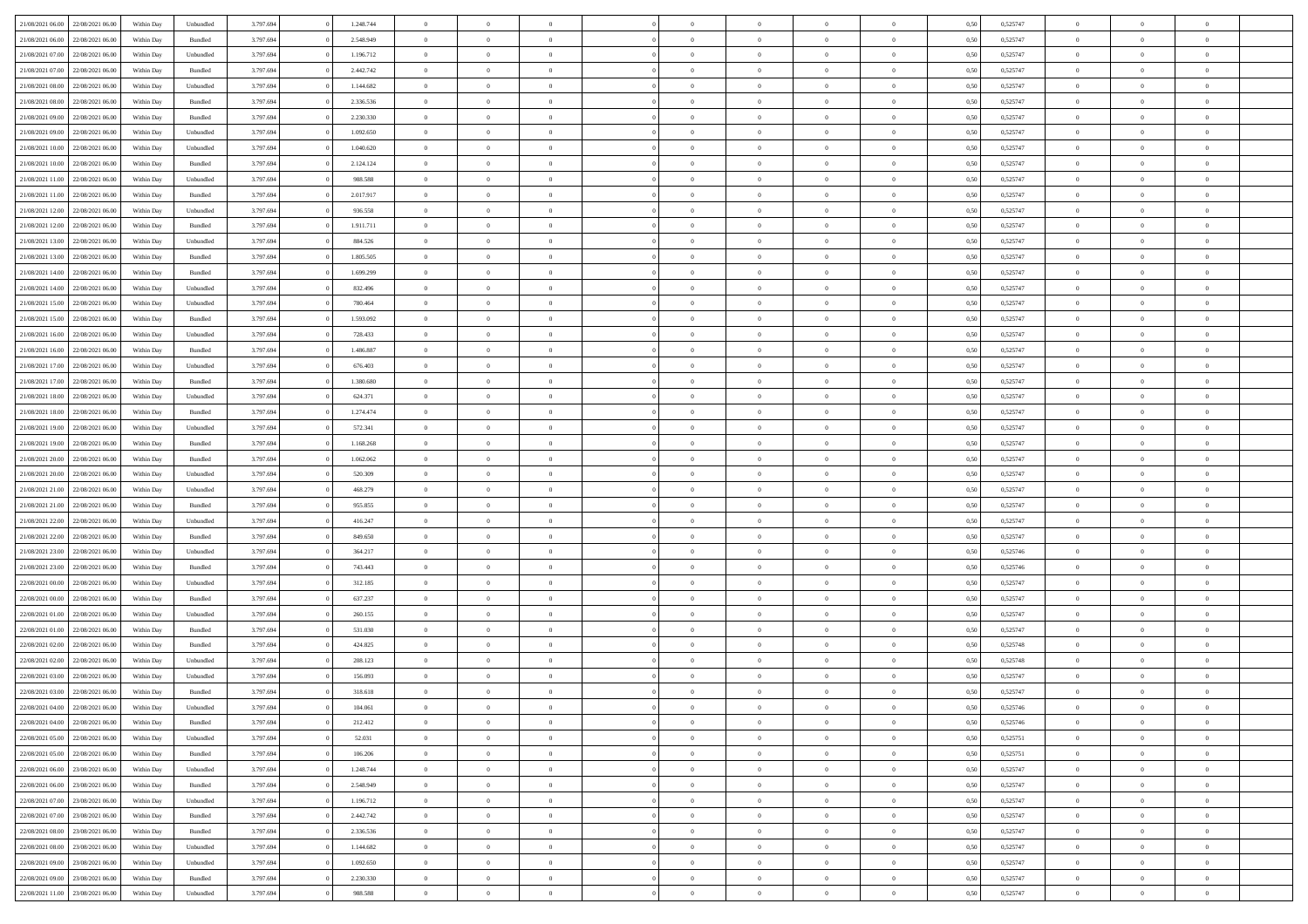| 21/08/2021 06:00                  | 22/08/2021 06:00 | Within Dav | Unbundled | 3.797.694 | 1.248.744 | $\overline{0}$ | $\theta$       |                | $\Omega$       | $\Omega$       | $\theta$       | $\theta$       | 0,50 | 0,525747 | $\theta$       | $\overline{0}$ | $\theta$       |  |
|-----------------------------------|------------------|------------|-----------|-----------|-----------|----------------|----------------|----------------|----------------|----------------|----------------|----------------|------|----------|----------------|----------------|----------------|--|
|                                   |                  |            |           |           |           |                |                |                |                |                |                |                |      |          |                |                |                |  |
| 21/08/2021 06:00                  | 22/08/2021 06:00 | Within Day | Bundled   | 3.797.694 | 2.548.949 | $\overline{0}$ | $\theta$       | $\overline{0}$ | $\overline{0}$ | $\bf{0}$       | $\overline{0}$ | $\bf{0}$       | 0,50 | 0,525747 | $\theta$       | $\overline{0}$ | $\overline{0}$ |  |
| 21/08/2021 07:00                  | 22/08/2021 06:00 | Within Day | Unbundled | 3.797.694 | 1.196.712 | $\overline{0}$ | $\bf{0}$       | $\overline{0}$ | $\bf{0}$       | $\bf{0}$       | $\bf{0}$       | $\mathbf{0}$   | 0,50 | 0,525747 | $\overline{0}$ | $\overline{0}$ | $\overline{0}$ |  |
| 21/08/2021 07:00                  | 22/08/2021 06:00 | Within Dav | Bundled   | 3.797.694 | 2.442.742 | $\overline{0}$ | $\overline{0}$ | $\overline{0}$ | $\overline{0}$ | $\bf{0}$       | $\overline{0}$ | $\overline{0}$ | 0.50 | 0,525747 | $\theta$       | $\theta$       | $\overline{0}$ |  |
| 21/08/2021 08:00                  | 22/08/2021 06:00 | Within Day | Unbundled | 3.797.694 | 1.144.682 | $\overline{0}$ | $\theta$       | $\overline{0}$ | $\overline{0}$ | $\bf{0}$       | $\overline{0}$ | $\bf{0}$       | 0,50 | 0,525747 | $\theta$       | $\overline{0}$ | $\overline{0}$ |  |
| 21/08/2021 08:00                  | 22/08/2021 06:00 | Within Day | Bundled   | 3.797.694 | 2.336.536 | $\overline{0}$ | $\overline{0}$ | $\overline{0}$ | $\bf{0}$       | $\overline{0}$ | $\overline{0}$ | $\mathbf{0}$   | 0,50 | 0,525747 | $\overline{0}$ | $\overline{0}$ | $\bf{0}$       |  |
| 21/08/2021 09:00                  | 22/08/2021 06:00 | Within Dav | Bundled   | 3.797.694 | 2.230.330 | $\overline{0}$ | $\overline{0}$ | $\overline{0}$ | $\overline{0}$ | $\overline{0}$ | $\overline{0}$ | $\overline{0}$ | 0.50 | 0,525747 | $\theta$       | $\overline{0}$ | $\overline{0}$ |  |
|                                   |                  |            |           |           |           |                |                |                |                |                |                |                |      |          |                |                |                |  |
| 21/08/2021 09:00                  | 22/08/2021 06:00 | Within Day | Unbundled | 3.797.694 | 1.092.650 | $\overline{0}$ | $\theta$       | $\overline{0}$ | $\overline{0}$ | $\bf{0}$       | $\overline{0}$ | $\bf{0}$       | 0,50 | 0,525747 | $\theta$       | $\theta$       | $\overline{0}$ |  |
| 21/08/2021 10:00                  | 22/08/2021 06:00 | Within Day | Unbundled | 3.797.694 | 1.040.620 | $\overline{0}$ | $\overline{0}$ | $\overline{0}$ | $\bf{0}$       | $\bf{0}$       | $\bf{0}$       | $\bf{0}$       | 0,50 | 0,525747 | $\,0\,$        | $\overline{0}$ | $\overline{0}$ |  |
| 21/08/2021 10:00                  | 22/08/2021 06:00 | Within Dav | Bundled   | 3.797.694 | 2.124.124 | $\overline{0}$ | $\overline{0}$ | $\overline{0}$ | $\overline{0}$ | $\overline{0}$ | $\overline{0}$ | $\overline{0}$ | 0.50 | 0,525747 | $\theta$       | $\overline{0}$ | $\overline{0}$ |  |
| 21/08/2021 11:00                  | 22/08/2021 06:00 | Within Day | Unbundled | 3.797.694 | 988.588   | $\overline{0}$ | $\theta$       | $\overline{0}$ | $\overline{0}$ | $\bf{0}$       | $\overline{0}$ | $\bf{0}$       | 0,50 | 0,525747 | $\,$ 0 $\,$    | $\overline{0}$ | $\overline{0}$ |  |
| 21/08/2021 11:00                  | 22/08/2021 06:00 | Within Day | Bundled   | 3.797.694 | 2.017.917 | $\overline{0}$ | $\bf{0}$       | $\overline{0}$ | $\bf{0}$       | $\bf{0}$       | $\bf{0}$       | $\mathbf{0}$   | 0,50 | 0,525747 | $\bf{0}$       | $\overline{0}$ | $\bf{0}$       |  |
| 21/08/2021 12:00                  | 22/08/2021 06:00 | Within Day | Unbundled | 3.797.694 | 936.558   | $\overline{0}$ | $\overline{0}$ | $\overline{0}$ | $\overline{0}$ | $\bf{0}$       | $\overline{0}$ | $\overline{0}$ | 0.50 | 0,525747 | $\theta$       | $\theta$       | $\overline{0}$ |  |
| 21/08/2021 12:00                  | 22/08/2021 06:00 | Within Day | Bundled   | 3.797.694 | 1.911.711 | $\overline{0}$ | $\theta$       | $\overline{0}$ | $\overline{0}$ | $\bf{0}$       | $\overline{0}$ | $\bf{0}$       | 0,50 | 0,525747 | $\theta$       | $\overline{0}$ | $\overline{0}$ |  |
|                                   |                  |            |           |           |           |                |                |                |                |                |                |                |      |          |                |                |                |  |
| 21/08/2021 13:00                  | 22/08/2021 06:00 | Within Day | Unbundled | 3.797.694 | 884.526   | $\overline{0}$ | $\overline{0}$ | $\overline{0}$ | $\bf{0}$       | $\overline{0}$ | $\overline{0}$ | $\mathbf{0}$   | 0,50 | 0,525747 | $\bf{0}$       | $\overline{0}$ | $\bf{0}$       |  |
| 21/08/2021 13:00                  | 22/08/2021 06:00 | Within Dav | Bundled   | 3.797.694 | 1.805.505 | $\overline{0}$ | $\overline{0}$ | $\overline{0}$ | $\overline{0}$ | $\overline{0}$ | $\overline{0}$ | $\overline{0}$ | 0.50 | 0,525747 | $\theta$       | $\overline{0}$ | $\overline{0}$ |  |
| 21/08/2021 14:00                  | 22/08/2021 06:00 | Within Day | Bundled   | 3.797.694 | 1.699.299 | $\overline{0}$ | $\theta$       | $\overline{0}$ | $\overline{0}$ | $\bf{0}$       | $\overline{0}$ | $\bf{0}$       | 0,50 | 0,525747 | $\theta$       | $\theta$       | $\overline{0}$ |  |
| 21/08/2021 14:00                  | 22/08/2021 06:00 | Within Day | Unbundled | 3.797.694 | 832.496   | $\overline{0}$ | $\overline{0}$ | $\overline{0}$ | $\bf{0}$       | $\bf{0}$       | $\bf{0}$       | $\bf{0}$       | 0,50 | 0,525747 | $\bf{0}$       | $\overline{0}$ | $\overline{0}$ |  |
| 21/08/2021 15:00                  | 22/08/2021 06:00 | Within Day | Unbundled | 3.797.694 | 780.464   | $\overline{0}$ | $\overline{0}$ | $\overline{0}$ | $\overline{0}$ | $\overline{0}$ | $\overline{0}$ | $\overline{0}$ | 0.50 | 0,525747 | $\theta$       | $\overline{0}$ | $\overline{0}$ |  |
| 21/08/2021 15:00                  | 22/08/2021 06:00 | Within Day | Bundled   | 3.797.694 | 1.593.092 | $\overline{0}$ | $\theta$       | $\overline{0}$ | $\overline{0}$ | $\bf{0}$       | $\overline{0}$ | $\bf{0}$       | 0,50 | 0,525747 | $\,$ 0 $\,$    | $\overline{0}$ | $\overline{0}$ |  |
| 21/08/2021 16:00                  | 22/08/2021 06:00 | Within Day | Unbundled | 3.797.694 | 728.433   | $\overline{0}$ | $\overline{0}$ | $\overline{0}$ | $\bf{0}$       | $\bf{0}$       | $\bf{0}$       | $\bf{0}$       | 0,50 | 0,525747 | $\,0\,$        | $\overline{0}$ | $\bf{0}$       |  |
| 21/08/2021 16:00                  | 22/08/2021 06:00 | Within Day | Bundled   | 3.797.694 | 1.486.887 | $\overline{0}$ | $\overline{0}$ | $\overline{0}$ | $\overline{0}$ | $\bf{0}$       | $\overline{0}$ | $\overline{0}$ | 0.50 | 0,525747 | $\theta$       | $\overline{0}$ | $\overline{0}$ |  |
|                                   |                  |            |           |           |           |                |                |                |                |                |                |                |      |          |                |                |                |  |
| 21/08/2021 17:00                  | 22/08/2021 06:00 | Within Day | Unbundled | 3.797.694 | 676.403   | $\overline{0}$ | $\theta$       | $\overline{0}$ | $\overline{0}$ | $\bf{0}$       | $\overline{0}$ | $\bf{0}$       | 0,50 | 0,525747 | $\,$ 0 $\,$    | $\overline{0}$ | $\overline{0}$ |  |
| 21/08/2021 17:00                  | 22/08/2021 06:00 | Within Day | Bundled   | 3.797.694 | 1.380.680 | $\overline{0}$ | $\overline{0}$ | $\overline{0}$ | $\bf{0}$       | $\overline{0}$ | $\overline{0}$ | $\mathbf{0}$   | 0,50 | 0,525747 | $\bf{0}$       | $\overline{0}$ | $\bf{0}$       |  |
| 21/08/2021 18:00                  | 22/08/2021 06:00 | Within Dav | Unbundled | 3.797.694 | 624.371   | $\overline{0}$ | $\overline{0}$ | $\overline{0}$ | $\overline{0}$ | $\overline{0}$ | $\overline{0}$ | $\overline{0}$ | 0.50 | 0,525747 | $\theta$       | $\overline{0}$ | $\overline{0}$ |  |
| 21/08/2021 18:00                  | 22/08/2021 06:00 | Within Day | Bundled   | 3.797.694 | 1.274.474 | $\overline{0}$ | $\theta$       | $\overline{0}$ | $\overline{0}$ | $\bf{0}$       | $\overline{0}$ | $\bf{0}$       | 0,50 | 0,525747 | $\theta$       | $\theta$       | $\overline{0}$ |  |
| 21/08/2021 19:00                  | 22/08/2021 06:00 | Within Day | Unbundled | 3.797.694 | 572.341   | $\overline{0}$ | $\overline{0}$ | $\overline{0}$ | $\bf{0}$       | $\bf{0}$       | $\bf{0}$       | $\bf{0}$       | 0,50 | 0,525747 | $\,0\,$        | $\overline{0}$ | $\overline{0}$ |  |
| 21/08/2021 19:00                  | 22/08/2021 06:00 | Within Day | Bundled   | 3.797.694 | 1.168.268 | $\overline{0}$ | $\overline{0}$ | $\overline{0}$ | $\overline{0}$ | $\overline{0}$ | $\overline{0}$ | $\overline{0}$ | 0.50 | 0,525747 | $\theta$       | $\overline{0}$ | $\overline{0}$ |  |
| 21/08/2021 20:00                  | 22/08/2021 06:00 | Within Day | Bundled   | 3.797.694 | 1.062.062 | $\overline{0}$ | $\theta$       | $\overline{0}$ | $\overline{0}$ | $\bf{0}$       | $\overline{0}$ | $\bf{0}$       | 0,50 | 0,525747 | $\,$ 0 $\,$    | $\overline{0}$ | $\overline{0}$ |  |
| 21/08/2021 20:00                  | 22/08/2021 06:00 | Within Day | Unbundled | 3.797.694 | 520.309   | $\overline{0}$ | $\overline{0}$ | $\overline{0}$ | $\bf{0}$       | $\bf{0}$       | $\bf{0}$       | $\bf{0}$       | 0,50 | 0,525747 | $\overline{0}$ | $\overline{0}$ | $\bf{0}$       |  |
|                                   |                  |            |           |           |           |                |                |                |                |                |                |                |      |          |                |                |                |  |
| 21/08/2021 21:00                  | 22/08/2021 06:00 | Within Day | Unbundled | 3.797.694 | 468.279   | $\overline{0}$ | $\Omega$       | $\Omega$       | $\Omega$       | $\Omega$       | $\overline{0}$ | $\overline{0}$ | 0,50 | 0,525747 | $\,0\,$        | $\theta$       | $\theta$       |  |
| 21/08/2021 21:00                  | 22/08/2021 06:00 | Within Day | Bundled   | 3.797.694 | 955.855   | $\overline{0}$ | $\theta$       | $\overline{0}$ | $\overline{0}$ | $\bf{0}$       | $\overline{0}$ | $\bf{0}$       | 0,50 | 0,525747 | $\theta$       | $\overline{0}$ | $\overline{0}$ |  |
| 21/08/2021 22:00                  | 22/08/2021 06:00 | Within Day | Unbundled | 3.797.694 | 416.247   | $\overline{0}$ | $\overline{0}$ | $\overline{0}$ | $\bf{0}$       | $\bf{0}$       | $\overline{0}$ | $\mathbf{0}$   | 0,50 | 0,525747 | $\overline{0}$ | $\overline{0}$ | $\bf{0}$       |  |
| 21/08/2021 22:00                  | 22/08/2021 06:00 | Within Day | Bundled   | 3.797.694 | 849,650   | $\overline{0}$ | $\Omega$       | $\Omega$       | $\Omega$       | $\bf{0}$       | $\overline{0}$ | $\overline{0}$ | 0.50 | 0,525747 | $\,0\,$        | $\theta$       | $\theta$       |  |
| 21/08/2021 23:00                  | 22/08/2021 06:00 | Within Day | Unbundled | 3.797.694 | 364.217   | $\overline{0}$ | $\theta$       | $\overline{0}$ | $\overline{0}$ | $\bf{0}$       | $\overline{0}$ | $\bf{0}$       | 0,50 | 0,525746 | $\,$ 0 $\,$    | $\overline{0}$ | $\overline{0}$ |  |
| 21/08/2021 23:00                  | 22/08/2021 06:00 | Within Day | Bundled   | 3.797.694 | 743.443   | $\overline{0}$ | $\overline{0}$ | $\overline{0}$ | $\bf{0}$       | $\bf{0}$       | $\bf{0}$       | $\bf{0}$       | 0,50 | 0,525746 | $\bf{0}$       | $\overline{0}$ | $\bf{0}$       |  |
| 22/08/2021 00:00                  | 22/08/2021 06:00 | Within Day | Unbundled | 3.797.694 | 312.185   | $\overline{0}$ | $\Omega$       | $\Omega$       | $\Omega$       | $\theta$       | $\theta$       | $\overline{0}$ | 0.50 | 0,525747 | $\,$ 0 $\,$    | $\theta$       | $\theta$       |  |
| 22/08/2021 00:00                  | 22/08/2021 06:00 | Within Day | Bundled   | 3.797.694 | 637.237   | $\overline{0}$ | $\theta$       | $\overline{0}$ | $\overline{0}$ | $\bf{0}$       | $\overline{0}$ | $\bf{0}$       | 0,50 | 0,525747 | $\,$ 0 $\,$    | $\overline{0}$ | $\overline{0}$ |  |
|                                   |                  |            |           |           |           |                |                |                |                |                |                |                |      |          |                |                |                |  |
| 22/08/2021 01:00                  | 22/08/2021 06:00 | Within Day | Unbundled | 3.797.694 | 260.155   | $\overline{0}$ | $\bf{0}$       | $\overline{0}$ | $\bf{0}$       | $\bf{0}$       | $\bf{0}$       | $\bf{0}$       | 0,50 | 0,525747 | $\overline{0}$ | $\overline{0}$ | $\bf{0}$       |  |
| 22/08/2021 01:00                  | 22/08/2021 06:00 | Within Day | Bundled   | 3.797.694 | 531.030   | $\overline{0}$ | $\Omega$       | $\overline{0}$ | $\Omega$       | $\overline{0}$ | $\overline{0}$ | $\overline{0}$ | 0,50 | 0,525747 | $\,0\,$        | $\theta$       | $\theta$       |  |
| 22/08/2021 02:00                  | 22/08/2021 06:00 | Within Day | Bundled   | 3.797.694 | 424.825   | $\overline{0}$ | $\overline{0}$ | $\overline{0}$ | $\overline{0}$ | $\bf{0}$       | $\overline{0}$ | $\bf{0}$       | 0,50 | 0,525748 | $\,$ 0 $\,$    | $\overline{0}$ | $\overline{0}$ |  |
| 22/08/2021 02:00                  | 22/08/2021 06:00 | Within Day | Unbundled | 3.797.694 | 208.123   | $\overline{0}$ | $\overline{0}$ | $\overline{0}$ | $\bf{0}$       | $\bf{0}$       | $\bf{0}$       | $\mathbf{0}$   | 0,50 | 0,525748 | $\overline{0}$ | $\overline{0}$ | $\bf{0}$       |  |
| 22/08/2021 03:00                  | 22/08/2021 06:00 | Within Day | Unbundled | 3.797.694 | 156,093   | $\overline{0}$ | $\Omega$       | $\Omega$       | $\Omega$       | $\Omega$       | $\Omega$       | $\overline{0}$ | 0.50 | 0,525747 | $\theta$       | $\theta$       | $\theta$       |  |
| 22/08/2021 03:00                  | 22/08/2021 06:00 | Within Day | Bundled   | 3.797.694 | 318.618   | $\overline{0}$ | $\overline{0}$ | $\overline{0}$ | $\bf{0}$       | $\,$ 0         | $\bf{0}$       | $\bf{0}$       | 0,50 | 0,525747 | $\,0\,$        | $\,$ 0 $\,$    | $\overline{0}$ |  |
| 22/08/2021 04:00 22/08/2021 06:00 |                  | Within Day | Unbundled | 3.797.694 | 104.061   | $\bf{0}$       | $\bf{0}$       |                |                |                |                |                | 0,50 | 0,525746 | $\bf{0}$       | $\overline{0}$ |                |  |
| 22/08/2021 04:00                  | 22/08/2021 06:00 | Within Day | Bundled   | 3.797.694 | 212.412   | $\overline{0}$ | $\overline{0}$ | $\overline{0}$ | $\Omega$       | $\overline{0}$ | $\overline{0}$ | $\overline{0}$ | 0,50 | 0,525746 | $\theta$       | $\theta$       | $\theta$       |  |
| 22/08/2021 05:00                  | 22/08/2021 06:00 | Within Day | Unbundled | 3.797.694 | 52.031    | $\overline{0}$ | $\,$ 0         | $\overline{0}$ | $\bf{0}$       | $\,$ 0 $\,$    | $\overline{0}$ | $\mathbf{0}$   | 0,50 | 0,525751 | $\,$ 0 $\,$    | $\,$ 0 $\,$    | $\,$ 0         |  |
|                                   |                  |            |           |           |           |                |                |                |                |                |                |                |      |          |                |                |                |  |
| 22/08/2021 05:00                  | 22/08/2021 06:00 | Within Day | Bundled   | 3.797.694 | 106.206   | $\overline{0}$ | $\overline{0}$ | $\overline{0}$ | $\overline{0}$ | $\overline{0}$ | $\overline{0}$ | $\mathbf{0}$   | 0,50 | 0,525751 | $\overline{0}$ | $\bf{0}$       | $\bf{0}$       |  |
| 22/08/2021 06:00                  | 23/08/2021 06:00 | Within Day | Unbundled | 3.797.694 | 1.248.744 | $\overline{0}$ | $\overline{0}$ | $\overline{0}$ | $\Omega$       | $\overline{0}$ | $\overline{0}$ | $\overline{0}$ | 0,50 | 0,525747 | $\overline{0}$ | $\theta$       | $\overline{0}$ |  |
| 22/08/2021 06:00                  | 23/08/2021 06:00 | Within Day | Bundled   | 3.797.694 | 2.548.949 | $\overline{0}$ | $\,$ 0         | $\overline{0}$ | $\overline{0}$ | $\,$ 0 $\,$    | $\overline{0}$ | $\mathbf{0}$   | 0,50 | 0,525747 | $\,$ 0 $\,$    | $\overline{0}$ | $\overline{0}$ |  |
| 22/08/2021 07:00                  | 23/08/2021 06:00 | Within Day | Unbundled | 3.797.694 | 1.196.712 | $\overline{0}$ | $\overline{0}$ | $\overline{0}$ | $\overline{0}$ | $\overline{0}$ | $\overline{0}$ | $\mathbf{0}$   | 0,50 | 0,525747 | $\overline{0}$ | $\overline{0}$ | $\bf{0}$       |  |
| 22/08/2021 07:00                  | 23/08/2021 06:00 | Within Day | Bundled   | 3.797.694 | 2.442.742 | $\overline{0}$ | $\overline{0}$ | $\overline{0}$ | $\Omega$       | $\overline{0}$ | $\overline{0}$ | $\bf{0}$       | 0.50 | 0,525747 | $\overline{0}$ | $\theta$       | $\overline{0}$ |  |
| 22/08/2021 08:00                  | 23/08/2021 06:00 | Within Day | Bundled   | 3.797.694 | 2.336.536 | $\overline{0}$ | $\,$ 0         | $\overline{0}$ | $\bf{0}$       | $\bf{0}$       | $\bf{0}$       | $\bf{0}$       | 0,50 | 0,525747 | $\,$ 0 $\,$    | $\overline{0}$ | $\overline{0}$ |  |
| 22/08/2021 08:00                  | 23/08/2021 06:00 | Within Day | Unbundled | 3.797.694 | 1.144.682 | $\overline{0}$ | $\bf{0}$       | $\overline{0}$ | $\overline{0}$ | $\overline{0}$ | $\overline{0}$ | $\mathbf{0}$   | 0,50 | 0,525747 | $\overline{0}$ | $\overline{0}$ | $\bf{0}$       |  |
|                                   |                  |            |           |           |           |                |                |                |                |                |                |                |      |          |                |                |                |  |
| 22/08/2021 09:00                  | 23/08/2021 06:00 | Within Day | Unbundled | 3.797.694 | 1.092.650 | $\overline{0}$ | $\overline{0}$ | $\overline{0}$ | $\Omega$       | $\overline{0}$ | $\overline{0}$ | $\bf{0}$       | 0.50 | 0,525747 | $\overline{0}$ | $\theta$       | $\overline{0}$ |  |
| 22/08/2021 09:00                  | 23/08/2021 06:00 | Within Day | Bundled   | 3.797.694 | 2.230.330 | $\overline{0}$ | $\bf{0}$       | $\overline{0}$ | $\overline{0}$ | $\bf{0}$       | $\bf{0}$       | $\mathbf{0}$   | 0,50 | 0,525747 | $\,$ 0 $\,$    | $\,$ 0 $\,$    | $\bf{0}$       |  |
| 22/08/2021 11:00 23/08/2021 06:00 |                  | Within Day | Unbundled | 3.797.694 | 988.588   | $\overline{0}$ | $\overline{0}$ | $\overline{0}$ | $\overline{0}$ | $\bf{0}$       | $\bf{0}$       | $\mathbf{0}$   | 0,50 | 0,525747 | $\overline{0}$ | $\bf{0}$       | $\bf{0}$       |  |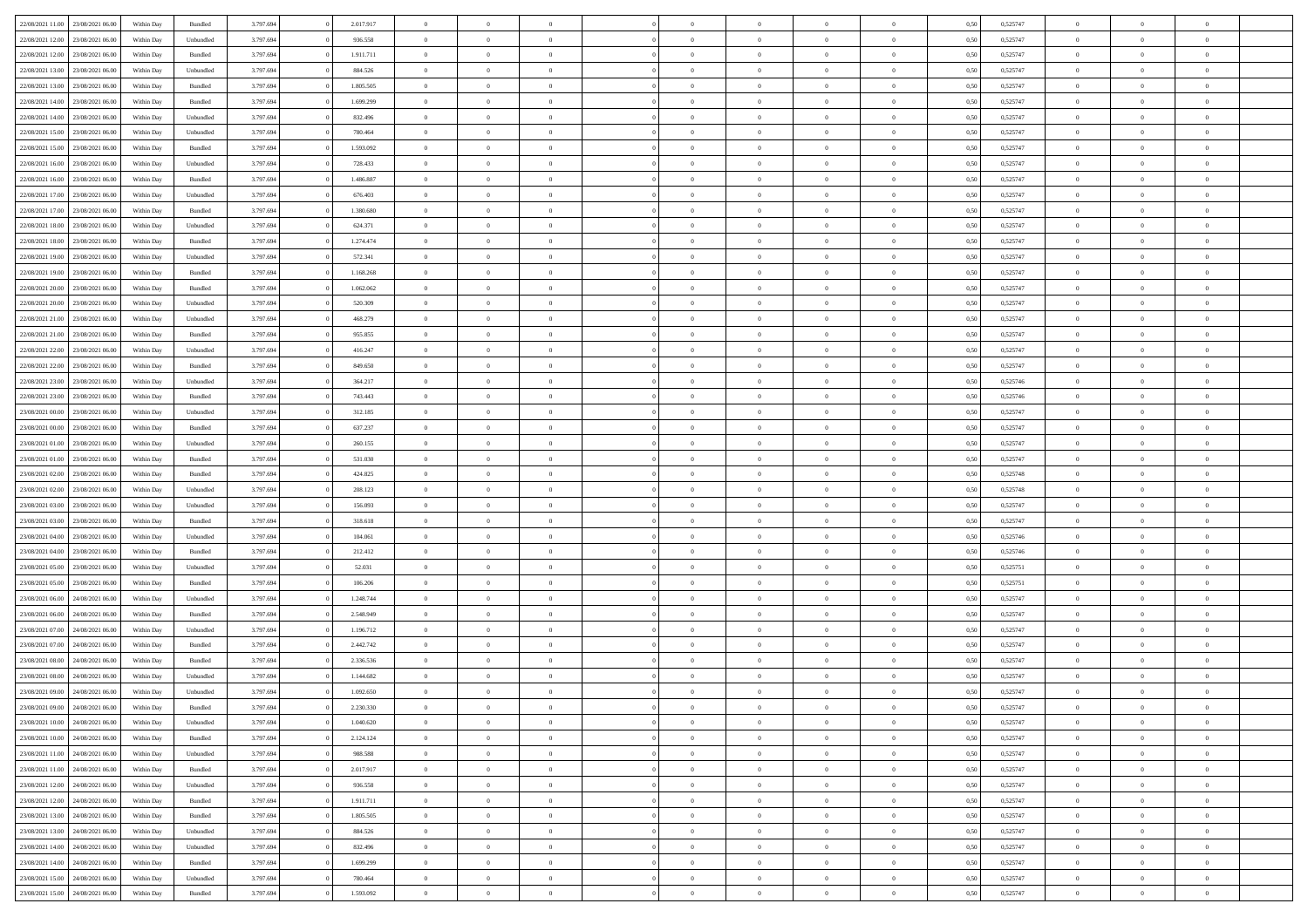| 22/08/2021 11:00 23/08/2021 06:00                                      | Within Day | Bundled   | 3.797.694 | 2.017.917 | $\overline{0}$ | $\overline{0}$                   | $\Omega$                         | $\Omega$                   | $\theta$             | $\Omega$                   | $\overline{0}$ | 0,50 | 0,525747 | $\theta$                | $\theta$                   | $\theta$                   |  |
|------------------------------------------------------------------------|------------|-----------|-----------|-----------|----------------|----------------------------------|----------------------------------|----------------------------|----------------------|----------------------------|----------------|------|----------|-------------------------|----------------------------|----------------------------|--|
| 22/08/2021 12:00<br>23/08/2021 06:00                                   | Within Day | Unbundled | 3.797.694 | 936.558   | $\overline{0}$ | $\overline{0}$                   | $\overline{0}$                   | $\overline{0}$             | $\theta$             | $\overline{0}$             | $\bf{0}$       | 0,50 | 0,525747 | $\theta$                | $\theta$                   | $\overline{0}$             |  |
| 22/08/2021 12:00<br>23/08/2021 06:00                                   | Within Day | Bundled   | 3.797.694 | 1.911.711 | $\overline{0}$ | $\bf{0}$                         | $\overline{0}$                   | $\overline{0}$             | $\overline{0}$       | $\overline{0}$             | $\bf{0}$       | 0,50 | 0,525747 | $\bf{0}$                | $\overline{0}$             | $\overline{0}$             |  |
| 22/08/2021 13:00<br>23/08/2021 06:00                                   | Within Day | Unbundled | 3.797.694 | 884.526   | $\overline{0}$ | $\overline{0}$                   | $\overline{0}$                   | $\overline{0}$             | $\theta$             | $\overline{0}$             | $\overline{0}$ | 0.50 | 0,525747 | $\theta$                | $\theta$                   | $\overline{0}$             |  |
| 22/08/2021 13:00<br>23/08/2021 06:00                                   | Within Day | Bundled   | 3.797.694 | 1.805.505 | $\overline{0}$ | $\overline{0}$                   | $\overline{0}$                   | $\overline{0}$             | $\theta$             | $\overline{0}$             | $\bf{0}$       | 0,50 | 0,525747 | $\theta$                | $\theta$                   | $\overline{0}$             |  |
| 22/08/2021 14:00<br>23/08/2021 06:00                                   | Within Day | Bundled   | 3.797.694 | 1.699.299 | $\overline{0}$ | $\bf{0}$                         | $\overline{0}$                   | $\overline{0}$             | $\overline{0}$       | $\overline{0}$             | $\bf{0}$       | 0,50 | 0,525747 | $\bf{0}$                | $\overline{0}$             | $\bf{0}$                   |  |
| 22/08/2021 14:00<br>23/08/2021 06:00                                   | Within Day | Unbundled | 3.797.694 | 832.496   | $\overline{0}$ | $\overline{0}$                   | $\overline{0}$                   | $\overline{0}$             | $\overline{0}$       | $\overline{0}$             | $\overline{0}$ | 0.5( | 0,525747 | $\theta$                | $\theta$                   | $\overline{0}$             |  |
| 22/08/2021 15:00<br>23/08/2021 06:00                                   | Within Day | Unbundled | 3.797.694 | 780.464   | $\bf{0}$       | $\theta$                         | $\overline{0}$                   | $\overline{0}$             | $\theta$             | $\overline{0}$             | $\bf{0}$       | 0,50 | 0,525747 | $\theta$                | $\theta$                   | $\overline{0}$             |  |
|                                                                        |            |           |           |           |                |                                  |                                  |                            |                      |                            |                |      |          |                         |                            |                            |  |
| 22/08/2021 15:00<br>23/08/2021 06:00                                   | Within Day | Bundled   | 3.797.694 | 1.593.092 | $\overline{0}$ | $\bf{0}$                         | $\overline{0}$                   | $\overline{0}$             | $\overline{0}$       | $\overline{0}$             | $\bf{0}$       | 0,50 | 0,525747 | $\bf{0}$                | $\bf{0}$                   | $\overline{0}$             |  |
| 22/08/2021 16:00<br>23/08/2021 06:00                                   | Within Day | Unbundled | 3.797.694 | 728.433   | $\overline{0}$ | $\overline{0}$                   | $\overline{0}$                   | $\overline{0}$             | $\overline{0}$       | $\overline{0}$             | $\bf{0}$       | 0.50 | 0,525747 | $\theta$                | $\theta$                   | $\overline{0}$             |  |
| 22/08/2021 16:00<br>23/08/2021 06:00                                   | Within Day | Bundled   | 3.797.694 | 1.486.887 | $\bf{0}$       | $\overline{0}$                   | $\overline{0}$                   | $\overline{0}$             | $\theta$             | $\overline{0}$             | $\bf{0}$       | 0,50 | 0,525747 | $\theta$                | $\theta$                   | $\overline{0}$             |  |
| 22/08/2021 17:00<br>23/08/2021 06:00                                   | Within Day | Unbundled | 3.797.694 | 676.403   | $\overline{0}$ | $\bf{0}$                         | $\overline{0}$                   | $\overline{0}$             | $\bf{0}$             | $\overline{0}$             | $\bf{0}$       | 0,50 | 0,525747 | $\bf{0}$                | $\overline{0}$             | $\overline{0}$             |  |
| 22/08/2021 17:00<br>23/08/2021 06:00                                   | Within Day | Bundled   | 3.797.694 | 1.380.680 | $\overline{0}$ | $\overline{0}$                   | $\overline{0}$                   | $\overline{0}$             | $\overline{0}$       | $\overline{0}$             | $\overline{0}$ | 0.5( | 0,525747 | $\theta$                | $\theta$                   | $\overline{0}$             |  |
| 22/08/2021 18:00<br>23/08/2021 06:00                                   | Within Day | Unbundled | 3.797.694 | 624.371   | $\overline{0}$ | $\overline{0}$                   | $\overline{0}$                   | $\overline{0}$             | $\theta$             | $\overline{0}$             | $\,$ 0 $\,$    | 0,50 | 0,525747 | $\theta$                | $\theta$                   | $\overline{0}$             |  |
| 22/08/2021 18:00<br>23/08/2021 06:00                                   | Within Day | Bundled   | 3.797.694 | 1.274.474 | $\overline{0}$ | $\bf{0}$                         | $\overline{0}$                   | $\overline{0}$             | $\overline{0}$       | $\overline{0}$             | $\bf{0}$       | 0,50 | 0,525747 | $\bf{0}$                | $\overline{0}$             | $\bf{0}$                   |  |
| 22/08/2021 19:00<br>23/08/2021 06:00                                   | Within Day | Unbundled | 3.797.694 | 572.341   | $\overline{0}$ | $\overline{0}$                   | $\overline{0}$                   | $\overline{0}$             | $\overline{0}$       | $\overline{0}$             | $\overline{0}$ | 0.5( | 0,525747 | $\overline{0}$          | $\theta$                   | $\overline{0}$             |  |
| 22/08/2021 19:00<br>23/08/2021 06:00                                   | Within Day | Bundled   | 3.797.694 | 1.168.268 | $\bf{0}$       | $\overline{0}$                   | $\overline{0}$                   | $\overline{0}$             | $\theta$             | $\overline{0}$             | $\bf{0}$       | 0,50 | 0,525747 | $\theta$                | $\theta$                   | $\overline{0}$             |  |
| 22/08/2021 20:00<br>23/08/2021 06:00                                   | Within Day | Bundled   | 3.797.694 | 1.062.062 | $\overline{0}$ | $\bf{0}$                         | $\overline{0}$                   | $\overline{0}$             | $\overline{0}$       | $\overline{0}$             | $\bf{0}$       | 0,50 | 0,525747 | $\bf{0}$                | $\overline{0}$             | $\overline{0}$             |  |
| 22/08/2021 20:00<br>23/08/2021 06:00                                   | Within Day | Unbundled | 3.797.694 | 520.309   | $\overline{0}$ | $\overline{0}$                   | $\overline{0}$                   | $\overline{0}$             | $\overline{0}$       | $\overline{0}$             | $\overline{0}$ | 0.50 | 0,525747 | $\theta$                | $\theta$                   | $\overline{0}$             |  |
| 22/08/2021 21:00<br>23/08/2021 06:00                                   | Within Day | Unbundled | 3.797.694 | 468.279   | $\bf{0}$       | $\overline{0}$                   | $\overline{0}$                   | $\overline{0}$             | $\theta$             | $\overline{0}$             | $\bf{0}$       | 0,50 | 0,525747 | $\theta$                | $\theta$                   | $\overline{0}$             |  |
| 22/08/2021 21:00<br>23/08/2021 06:00                                   | Within Day | Bundled   | 3.797.694 | 955.855   | $\overline{0}$ | $\bf{0}$                         | $\overline{0}$                   | $\overline{0}$             | $\overline{0}$       | $\overline{0}$             | $\bf{0}$       | 0,50 | 0,525747 | $\bf{0}$                | $\overline{0}$             | $\overline{0}$             |  |
| 22/08/2021 22:00<br>23/08/2021 06:00                                   | Within Day | Unbundled | 3.797.694 | 416.247   | $\overline{0}$ | $\overline{0}$                   | $\overline{0}$                   | $\overline{0}$             | $\overline{0}$       | $\overline{0}$             | $\overline{0}$ | 0.5( | 0,525747 | $\theta$                | $\theta$                   | $\overline{0}$             |  |
| 22/08/2021 22:00<br>23/08/2021 06:00                                   | Within Day | Bundled   | 3.797.694 | 849.650   | $\overline{0}$ | $\overline{0}$                   | $\overline{0}$                   | $\overline{0}$             | $\theta$             | $\overline{0}$             | $\bf{0}$       | 0,50 | 0,525747 | $\theta$                | $\theta$                   | $\overline{0}$             |  |
| 22/08/2021 23:00<br>23/08/2021 06:00                                   | Within Day | Unbundled | 3.797.694 | 364.217   | $\overline{0}$ | $\bf{0}$                         | $\overline{0}$                   | $\overline{0}$             | $\overline{0}$       | $\overline{0}$             | $\bf{0}$       | 0,50 | 0,525746 | $\bf{0}$                | $\overline{0}$             | $\bf{0}$                   |  |
| 22/08/2021 23:00<br>23/08/2021 06:00                                   | Within Day | Bundled   | 3.797.694 | 743.443   | $\overline{0}$ | $\overline{0}$                   | $\overline{0}$                   | $\overline{0}$             | $\overline{0}$       | $\overline{0}$             | $\overline{0}$ | 0.5( | 0,525746 | $\overline{0}$          | $\theta$                   | $\overline{0}$             |  |
| 23/08/2021 00:00<br>23/08/2021 06:00                                   | Within Day | Unbundled | 3.797.694 | 312.185   | $\overline{0}$ | $\overline{0}$                   | $\overline{0}$                   | $\overline{0}$             | $\theta$             | $\overline{0}$             | $\bf{0}$       | 0,50 | 0,525747 | $\theta$                | $\theta$                   | $\overline{0}$             |  |
| 23/08/2021 00:00<br>23/08/2021 06:00                                   | Within Day | Bundled   | 3.797.694 | 637.237   | $\overline{0}$ | $\bf{0}$                         | $\overline{0}$                   | $\overline{0}$             | $\overline{0}$       | $\overline{0}$             | $\bf{0}$       | 0,50 | 0,525747 | $\bf{0}$                | $\bf{0}$                   | $\overline{0}$             |  |
| 23/08/2021 01:00<br>23/08/2021 06:00                                   | Within Day | Unbundled | 3.797.694 | 260,155   | $\overline{0}$ | $\overline{0}$                   | $\overline{0}$                   | $\overline{0}$             | $\overline{0}$       | $\overline{0}$             | $\overline{0}$ | 0.5( | 0,525747 | $\theta$                | $\theta$                   | $\overline{0}$             |  |
| 23/08/2021 01:00<br>23/08/2021 06:00                                   | Within Day | Bundled   | 3.797.694 | 531.030   | $\bf{0}$       | $\overline{0}$                   | $\overline{0}$                   | $\overline{0}$             | $\theta$             | $\overline{0}$             | $\bf{0}$       | 0,50 | 0,525747 | $\,$ 0 $\,$             | $\theta$                   | $\overline{0}$             |  |
| 23/08/2021 02:00<br>23/08/2021 06:00                                   | Within Day | Bundled   | 3.797.694 | 424.825   | $\overline{0}$ | $\bf{0}$                         | $\overline{0}$                   | $\overline{0}$             | $\bf{0}$             | $\overline{0}$             | $\bf{0}$       | 0,50 | 0,525748 | $\bf{0}$                | $\overline{0}$             | $\overline{0}$             |  |
| 23/08/2021 02:00<br>23/08/2021 06:00                                   | Within Day | Unbundled | 3.797.694 | 208.123   | $\overline{0}$ | $\overline{0}$                   | $\Omega$                         | $\Omega$                   | $\Omega$             | $\Omega$                   | $\overline{0}$ | 0,50 | 0,525748 | $\,$ 0 $\,$             | $\Omega$                   | $\theta$                   |  |
| 23/08/2021 03:00<br>23/08/2021 06:00                                   | Within Day | Unbundled | 3.797.694 | 156.093   | $\overline{0}$ | $\overline{0}$                   | $\overline{0}$                   | $\overline{0}$             | $\theta$             | $\overline{0}$             | $\bf{0}$       | 0,50 | 0,525747 | $\theta$                | $\theta$                   | $\overline{0}$             |  |
| 23/08/2021 03:00<br>23/08/2021 06:00                                   | Within Day | Bundled   | 3.797.694 | 318.618   | $\overline{0}$ | $\bf{0}$                         | $\overline{0}$                   | $\overline{0}$             | $\overline{0}$       | $\overline{0}$             | $\bf{0}$       | 0,50 | 0,525747 | $\bf{0}$                | $\overline{0}$             | $\bf{0}$                   |  |
| 23/08/2021 04:00<br>23/08/2021 06:00                                   | Within Day | Unbundled | 3.797.694 | 104.061   | $\overline{0}$ | $\overline{0}$                   | $\Omega$                         | $\Omega$                   | $\overline{0}$       | $\Omega$                   | $\overline{0}$ | 0.50 | 0,525746 | $\bf{0}$                | $\overline{0}$             | $\theta$                   |  |
| 23/08/2021 04:00<br>23/08/2021 06:00                                   | Within Day | Bundled   | 3.797.694 | 212.412   | $\bf{0}$       | $\overline{0}$                   | $\overline{0}$                   | $\overline{0}$             | $\theta$             | $\overline{0}$             | $\bf{0}$       | 0,50 | 0,525746 | $\theta$                | $\theta$                   | $\overline{0}$             |  |
| 23/08/2021 05:00<br>23/08/2021 06:00                                   | Within Day | Unbundled | 3.797.694 | 52.031    | $\overline{0}$ | $\bf{0}$                         | $\overline{0}$                   | $\overline{0}$             | $\overline{0}$       | $\bf{0}$                   | $\bf{0}$       | 0,50 | 0,525751 | $\bf{0}$                | $\overline{0}$             | $\overline{0}$             |  |
| 23/08/2021 05:00<br>23/08/2021 06:00                                   | Within Day | Bundled   | 3.797.694 | 106,206   | $\overline{0}$ | $\overline{0}$                   | $\Omega$                         | $\Omega$                   | $\Omega$             | $\Omega$                   | $\overline{0}$ | 0.50 | 0,525751 | $\theta$                | $\Omega$                   | $\theta$                   |  |
| 23/08/2021 06:00<br>24/08/2021 06:00                                   | Within Day | Unbundled | 3.797.694 | 1.248.744 | $\bf{0}$       | $\overline{0}$                   | $\overline{0}$                   | $\overline{0}$             | $\theta$             | $\overline{0}$             | $\bf{0}$       | 0,50 | 0,525747 | $\theta$                | $\theta$                   | $\overline{0}$             |  |
|                                                                        |            |           |           |           |                |                                  |                                  |                            |                      |                            |                |      |          |                         |                            |                            |  |
| 23/08/2021 06:00<br>24/08/2021 06:00                                   | Within Day | Bundled   | 3.797.694 | 2.548.949 | $\overline{0}$ | $\bf{0}$                         | $\overline{0}$                   | $\overline{0}$             | $\overline{0}$       | $\overline{0}$             | $\bf{0}$       | 0,50 | 0,525747 | $\bf{0}$                | $\overline{0}$             | $\overline{0}$             |  |
| 23/08/2021 07:00<br>24/08/2021 06.00                                   | Within Day | Unbundled | 3.797.694 | 1.196.712 | $\overline{0}$ | $\overline{0}$<br>$\overline{0}$ | $\overline{0}$<br>$\overline{0}$ | $\Omega$<br>$\overline{0}$ | $\theta$<br>$\theta$ | $\Omega$<br>$\overline{0}$ | $\overline{0}$ | 0,50 | 0,525747 | $\bf{0}$<br>$\,$ 0 $\,$ | $\overline{0}$<br>$\theta$ | $\theta$<br>$\overline{0}$ |  |
| 23/08/2021 07:00<br>24/08/2021 06:00                                   | Within Day | Bundled   | 3.797.694 | 2.442.742 | $\bf{0}$       |                                  |                                  |                            |                      |                            | $\bf{0}$       | 0,50 | 0,525747 |                         |                            |                            |  |
| 23/08/2021 08:00<br>24/08/2021 06.00                                   | Within Day | Bundled   | 3.797.694 | 2.336.536 | $\overline{0}$ | $\bf{0}$                         | $\overline{0}$                   | $\overline{0}$             | $\bf{0}$             | $\overline{0}$             | $\bf{0}$       | 0,50 | 0,525747 | $\bf{0}$                | $\overline{0}$             | $\bf{0}$                   |  |
| 23/08/2021 08:00<br>24/08/2021 06.00                                   | Within Day | Unbundled | 3.797.694 | 1.144.682 | $\overline{0}$ | $\Omega$                         | $\Omega$                         | $\Omega$                   | $\Omega$             | $\theta$                   | $\overline{0}$ | 0.50 | 0,525747 | $\theta$                | $\Omega$                   | $\theta$                   |  |
| 23/08/2021 09:00 24/08/2021 06:00<br>23/08/2021 09:00 24/08/2021 06:00 | Within Day | Unbundled | 3.797.694 | 1.092.650 | $\bf{0}$       | $\bf{0}$                         | $\overline{0}$                   | $\overline{0}$             | $\bf{0}$             | $\bf{0}$                   | $\bf{0}$       | 0,50 | 0,525747 | $\bf{0}$                | $\bf{0}$                   | $\overline{0}$             |  |
|                                                                        | Within Day | Bundled   | 3.797.694 | 2.230.330 | $\bf{0}$       |                                  |                                  |                            |                      |                            |                | 0,50 | 0,525747 | $\bf{0}$                | $\bf{0}$                   |                            |  |
| 23/08/2021 10:00 24/08/2021 06:00                                      | Within Day | Unbundled | 3.797.694 | 1.040.620 | $\Omega$       | $\overline{0}$                   | $\Omega$                         | $\theta$                   | $\overline{0}$       | $\theta$                   | $\overline{0}$ | 0.50 | 0,525747 | $\theta$                | $\theta$                   | $\theta$                   |  |
| 23/08/2021 10:00 24/08/2021 06:00                                      | Within Day | Bundled   | 3.797.694 | 2.124.124 | $\overline{0}$ | $\overline{0}$                   | $\overline{0}$                   | $\overline{0}$             | $\,$ 0 $\,$          | $\overline{0}$             | $\,$ 0 $\,$    | 0,50 | 0,525747 | $\,$ 0 $\,$             | $\,$ 0 $\,$                | $\,$ 0                     |  |
| 23/08/2021 11:00 24/08/2021 06:00                                      | Within Day | Unbundled | 3.797.694 | 988.588   | $\overline{0}$ | $\overline{0}$                   | $\overline{0}$                   | $\overline{0}$             | $\overline{0}$       | $\overline{0}$             | $\bf{0}$       | 0,50 | 0,525747 | $\overline{0}$          | $\bf{0}$                   | $\overline{0}$             |  |
| 24/08/2021 06:00<br>23/08/2021 11:00                                   | Within Day | Bundled   | 3.797.694 | 2.017.917 | $\overline{0}$ | $\bf{0}$                         | $\overline{0}$                   | $\overline{0}$             | $\overline{0}$       | $\overline{0}$             | $\bf{0}$       | 0,50 | 0,525747 | $\bf{0}$                | $\theta$                   | $\overline{0}$             |  |
| 23/08/2021 12:00<br>24/08/2021 06:00                                   | Within Day | Unbundled | 3.797.694 | 936.558   | $\overline{0}$ | $\overline{0}$                   | $\overline{0}$                   | $\overline{0}$             | $\overline{0}$       | $\overline{0}$             | $\bf{0}$       | 0,50 | 0,525747 | $\,$ 0 $\,$             | $\,$ 0 $\,$                | $\overline{0}$             |  |
| 23/08/2021 12:00 24/08/2021 06:00                                      | Within Day | Bundled   | 3.797.694 | 1.911.711 | $\overline{0}$ | $\overline{0}$                   | $\overline{0}$                   | $\overline{0}$             | $\mathbf{0}$         | $\overline{0}$             | $\bf{0}$       | 0,50 | 0,525747 | $\overline{0}$          | $\overline{0}$             | $\overline{0}$             |  |
| 23/08/2021 13:00<br>24/08/2021 06:00                                   | Within Day | Bundled   | 3.797.694 | 1.805.505 | $\overline{0}$ | $\bf{0}$                         | $\overline{0}$                   | $\overline{0}$             | $\overline{0}$       | $\overline{0}$             | $\bf{0}$       | 0.50 | 0,525747 | $\overline{0}$          | $\theta$                   | $\overline{0}$             |  |
| 23/08/2021 13:00<br>24/08/2021 06:00                                   | Within Day | Unbundled | 3.797.694 | 884.526   | $\overline{0}$ | $\overline{0}$                   | $\overline{0}$                   | $\overline{0}$             | $\overline{0}$       | $\overline{0}$             | $\bf{0}$       | 0,50 | 0,525747 | $\,$ 0 $\,$             | $\bf{0}$                   | $\overline{0}$             |  |
| 24/08/2021 06:00<br>23/08/2021 14:00                                   | Within Day | Unbundled | 3.797.694 | 832.496   | $\overline{0}$ | $\bf{0}$                         | $\overline{0}$                   | $\overline{0}$             | $\overline{0}$       | $\overline{0}$             | $\bf{0}$       | 0,50 | 0,525747 | $\overline{0}$          | $\overline{0}$             | $\bf{0}$                   |  |
| 24/08/2021 06:00<br>23/08/2021 14:00                                   | Within Day | Bundled   | 3.797.694 | 1.699.299 | $\overline{0}$ | $\overline{0}$                   | $\overline{0}$                   | $\overline{0}$             | $\overline{0}$       | $\overline{0}$             | $\bf{0}$       | 0.50 | 0,525747 | $\overline{0}$          | $\theta$                   | $\overline{0}$             |  |
| 23/08/2021 15:00<br>24/08/2021 06:00                                   | Within Day | Unbundled | 3.797.694 | 780.464   | $\overline{0}$ | $\,$ 0                           | $\overline{0}$                   | $\overline{0}$             | $\bf{0}$             | $\bf{0}$                   | $\bf{0}$       | 0,50 | 0,525747 | $\,$ 0 $\,$             | $\,$ 0 $\,$                | $\overline{0}$             |  |
| 23/08/2021 15:00 24/08/2021 06:00                                      | Within Day | Bundled   | 3.797.694 | 1.593.092 | $\overline{0}$ | $\bf{0}$                         | $\overline{0}$                   | $\overline{0}$             | $\overline{0}$       | $\overline{0}$             | $\bf{0}$       | 0,50 | 0,525747 | $\overline{0}$          | $\overline{0}$             | $\bf{0}$                   |  |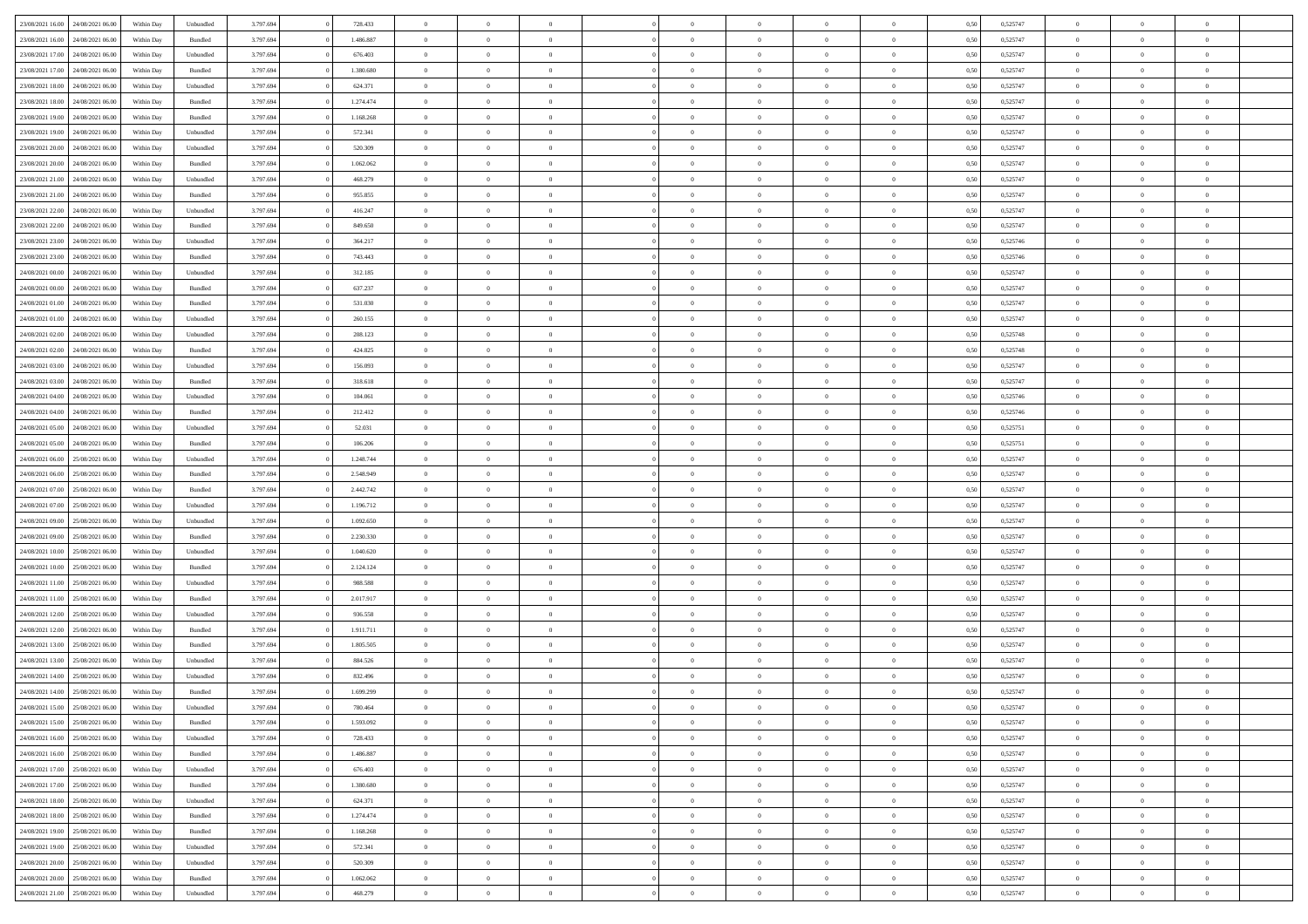|                  |                                   |            |           |           |           | $\overline{0}$ |                |                |                | $\Omega$       | $\theta$       | $\theta$       |      |          | $\theta$       | $\overline{0}$ | $\theta$       |  |
|------------------|-----------------------------------|------------|-----------|-----------|-----------|----------------|----------------|----------------|----------------|----------------|----------------|----------------|------|----------|----------------|----------------|----------------|--|
| 23/08/2021 16:00 | 24/08/2021 06:00                  | Within Dav | Unbundled | 3.797.694 | 728.433   |                | $\theta$       |                | $\Omega$       |                |                |                | 0,50 | 0,525747 |                |                |                |  |
| 23/08/2021 16:00 | 24/08/2021 06:00                  | Within Day | Bundled   | 3.797.694 | 1.486.887 | $\overline{0}$ | $\theta$       | $\overline{0}$ | $\overline{0}$ | $\bf{0}$       | $\overline{0}$ | $\bf{0}$       | 0,50 | 0,525747 | $\theta$       | $\overline{0}$ | $\overline{0}$ |  |
| 23/08/2021 17:00 | 24/08/2021 06:00                  | Within Day | Unbundled | 3.797.694 | 676.403   | $\overline{0}$ | $\bf{0}$       | $\overline{0}$ | $\bf{0}$       | $\bf{0}$       | $\bf{0}$       | $\mathbf{0}$   | 0,50 | 0,525747 | $\overline{0}$ | $\overline{0}$ | $\overline{0}$ |  |
| 23/08/2021 17:00 | 24/08/2021 06:00                  | Within Dav | Bundled   | 3.797.694 | 1.380.680 | $\overline{0}$ | $\overline{0}$ | $\overline{0}$ | $\overline{0}$ | $\bf{0}$       | $\overline{0}$ | $\overline{0}$ | 0.50 | 0,525747 | $\theta$       | $\theta$       | $\overline{0}$ |  |
| 23/08/2021 18:00 | 24/08/2021 06:00                  | Within Day | Unbundled | 3.797.694 | 624.371   | $\overline{0}$ | $\theta$       | $\overline{0}$ | $\overline{0}$ | $\bf{0}$       | $\overline{0}$ | $\bf{0}$       | 0,50 | 0,525747 | $\,$ 0 $\,$    | $\overline{0}$ | $\overline{0}$ |  |
|                  |                                   |            |           |           |           |                |                |                |                |                |                |                |      |          |                |                |                |  |
| 23/08/2021 18:00 | 24/08/2021 06:00                  | Within Day | Bundled   | 3.797.694 | 1.274.474 | $\overline{0}$ | $\overline{0}$ | $\overline{0}$ | $\overline{0}$ | $\overline{0}$ | $\overline{0}$ | $\mathbf{0}$   | 0,50 | 0,525747 | $\bf{0}$       | $\overline{0}$ | $\bf{0}$       |  |
| 23/08/2021 19:00 | 24/08/2021 06:00                  | Within Dav | Bundled   | 3.797.694 | 1.168.268 | $\overline{0}$ | $\overline{0}$ | $\overline{0}$ | $\overline{0}$ | $\overline{0}$ | $\overline{0}$ | $\overline{0}$ | 0.50 | 0,525747 | $\theta$       | $\overline{0}$ | $\overline{0}$ |  |
| 23/08/2021 19:00 | 24/08/2021 06:00                  | Within Day | Unbundled | 3.797.694 | 572.341   | $\overline{0}$ | $\theta$       | $\overline{0}$ | $\overline{0}$ | $\bf{0}$       | $\overline{0}$ | $\bf{0}$       | 0,50 | 0,525747 | $\theta$       | $\theta$       | $\overline{0}$ |  |
| 23/08/2021 20:00 | 24/08/2021 06:00                  | Within Day | Unbundled | 3.797.694 | 520.309   | $\overline{0}$ | $\overline{0}$ | $\overline{0}$ | $\overline{0}$ | $\bf{0}$       | $\overline{0}$ | $\bf{0}$       | 0,50 | 0,525747 | $\,0\,$        | $\overline{0}$ | $\overline{0}$ |  |
| 23/08/2021 20:00 | 24/08/2021 06:00                  | Within Dav | Bundled   | 3.797.694 | 1.062.062 | $\overline{0}$ | $\overline{0}$ | $\overline{0}$ | $\overline{0}$ | $\overline{0}$ | $\overline{0}$ | $\overline{0}$ | 0.50 | 0,525747 | $\theta$       | $\overline{0}$ | $\overline{0}$ |  |
| 23/08/2021 21:00 | 24/08/2021 06:00                  | Within Day | Unbundled | 3.797.694 | 468.279   | $\overline{0}$ | $\theta$       | $\overline{0}$ | $\overline{0}$ | $\bf{0}$       | $\overline{0}$ | $\bf{0}$       | 0,50 | 0,525747 | $\,$ 0 $\,$    | $\overline{0}$ | $\overline{0}$ |  |
| 23/08/2021 21:00 | 24/08/2021 06:00                  | Within Day | Bundled   | 3.797.694 | 955.855   | $\overline{0}$ | $\bf{0}$       | $\overline{0}$ | $\overline{0}$ | $\bf{0}$       | $\overline{0}$ | $\mathbf{0}$   | 0,50 | 0,525747 | $\bf{0}$       | $\overline{0}$ | $\bf{0}$       |  |
|                  |                                   |            |           |           |           |                |                |                |                |                |                |                |      |          | $\theta$       |                |                |  |
| 23/08/2021 22:00 | 24/08/2021 06:00                  | Within Day | Unbundled | 3.797.694 | 416.247   | $\overline{0}$ | $\overline{0}$ | $\overline{0}$ | $\overline{0}$ | $\bf{0}$       | $\overline{0}$ | $\overline{0}$ | 0.50 | 0,525747 |                | $\theta$       | $\overline{0}$ |  |
| 23/08/2021 22:00 | 24/08/2021 06:00                  | Within Day | Bundled   | 3.797.694 | 849.650   | $\overline{0}$ | $\theta$       | $\overline{0}$ | $\overline{0}$ | $\bf{0}$       | $\overline{0}$ | $\bf{0}$       | 0,50 | 0,525747 | $\theta$       | $\overline{0}$ | $\overline{0}$ |  |
| 23/08/2021 23:00 | 24/08/2021 06:00                  | Within Day | Unbundled | 3.797.694 | 364.217   | $\overline{0}$ | $\overline{0}$ | $\overline{0}$ | $\overline{0}$ | $\overline{0}$ | $\overline{0}$ | $\mathbf{0}$   | 0,50 | 0,525746 | $\bf{0}$       | $\overline{0}$ | $\bf{0}$       |  |
| 23/08/2021 23:00 | 24/08/2021 06:00                  | Within Dav | Bundled   | 3.797.694 | 743.443   | $\overline{0}$ | $\overline{0}$ | $\overline{0}$ | $\overline{0}$ | $\overline{0}$ | $\overline{0}$ | $\overline{0}$ | 0.50 | 0,525746 | $\theta$       | $\overline{0}$ | $\overline{0}$ |  |
| 24/08/2021 00:00 | 24/08/2021 06:00                  | Within Day | Unbundled | 3.797.694 | 312.185   | $\overline{0}$ | $\theta$       | $\overline{0}$ | $\overline{0}$ | $\bf{0}$       | $\overline{0}$ | $\bf{0}$       | 0,50 | 0,525747 | $\theta$       | $\theta$       | $\overline{0}$ |  |
| 24/08/2021 00:00 | 24/08/2021 06:00                  | Within Day | Bundled   | 3.797.694 | 637.237   | $\overline{0}$ | $\overline{0}$ | $\overline{0}$ | $\overline{0}$ | $\bf{0}$       | $\overline{0}$ | $\mathbf{0}$   | 0,50 | 0,525747 | $\bf{0}$       | $\overline{0}$ | $\overline{0}$ |  |
| 24/08/2021 01:00 | 24/08/2021 06:00                  | Within Day | Bundled   | 3.797.694 | 531.030   | $\overline{0}$ | $\overline{0}$ | $\overline{0}$ | $\overline{0}$ | $\overline{0}$ | $\overline{0}$ | $\overline{0}$ | 0.50 | 0,525747 | $\theta$       | $\overline{0}$ | $\overline{0}$ |  |
|                  |                                   |            |           |           |           | $\overline{0}$ | $\theta$       | $\overline{0}$ |                | $\bf{0}$       | $\overline{0}$ |                |      |          |                |                | $\overline{0}$ |  |
| 24/08/2021 01:00 | 24/08/2021 06:00                  | Within Day | Unbundled | 3.797.694 | 260.155   |                |                |                | $\overline{0}$ |                |                | $\bf{0}$       | 0,50 | 0,525747 | $\,$ 0 $\,$    | $\overline{0}$ |                |  |
| 24/08/2021 02:00 | 24/08/2021 06:00                  | Within Day | Unbundled | 3.797.694 | 208.123   | $\overline{0}$ | $\overline{0}$ | $\overline{0}$ | $\overline{0}$ | $\bf{0}$       | $\bf{0}$       | $\mathbf{0}$   | 0,50 | 0,525748 | $\bf{0}$       | $\overline{0}$ | $\bf{0}$       |  |
| 24/08/2021 02:00 | 24/08/2021 06:00                  | Within Day | Bundled   | 3.797.694 | 424.825   | $\overline{0}$ | $\overline{0}$ | $\overline{0}$ | $\overline{0}$ | $\bf{0}$       | $\overline{0}$ | $\overline{0}$ | 0.50 | 0,525748 | $\theta$       | $\overline{0}$ | $\overline{0}$ |  |
| 24/08/2021 03:00 | 24/08/2021 06:00                  | Within Day | Unbundled | 3.797.694 | 156.093   | $\overline{0}$ | $\theta$       | $\overline{0}$ | $\overline{0}$ | $\bf{0}$       | $\overline{0}$ | $\bf{0}$       | 0,50 | 0,525747 | $\,$ 0 $\,$    | $\overline{0}$ | $\overline{0}$ |  |
| 24/08/2021 03:00 | 24/08/2021 06:00                  | Within Day | Bundled   | 3.797.694 | 318.618   | $\overline{0}$ | $\overline{0}$ | $\overline{0}$ | $\bf{0}$       | $\overline{0}$ | $\overline{0}$ | $\mathbf{0}$   | 0,50 | 0,525747 | $\overline{0}$ | $\overline{0}$ | $\bf{0}$       |  |
| 24/08/2021 04:00 | 24/08/2021 06:00                  | Within Dav | Unbundled | 3.797.694 | 104.061   | $\overline{0}$ | $\overline{0}$ | $\overline{0}$ | $\overline{0}$ | $\overline{0}$ | $\overline{0}$ | $\overline{0}$ | 0.50 | 0,525746 | $\theta$       | $\overline{0}$ | $\overline{0}$ |  |
| 24/08/2021 04:00 | 24/08/2021 06:00                  | Within Day | Bundled   | 3.797.694 | 212.412   | $\overline{0}$ | $\theta$       | $\overline{0}$ | $\overline{0}$ | $\bf{0}$       | $\overline{0}$ | $\bf{0}$       | 0,50 | 0,525746 | $\theta$       | $\theta$       | $\overline{0}$ |  |
| 24/08/2021 05:00 | 24/08/2021 06:00                  | Within Day | Unbundled | 3.797.694 | 52.031    | $\overline{0}$ | $\overline{0}$ | $\overline{0}$ | $\bf{0}$       | $\bf{0}$       | $\bf{0}$       | $\bf{0}$       | 0,50 | 0,525751 | $\,0\,$        | $\overline{0}$ | $\overline{0}$ |  |
| 24/08/2021 05:00 | 24/08/2021 06:00                  |            | Bundled   | 3.797.694 | 106.206   | $\overline{0}$ | $\overline{0}$ | $\overline{0}$ | $\overline{0}$ | $\overline{0}$ | $\overline{0}$ | $\overline{0}$ | 0.50 | 0,525751 | $\theta$       | $\overline{0}$ | $\overline{0}$ |  |
|                  |                                   | Within Day |           |           |           |                |                |                |                |                |                |                |      |          |                |                |                |  |
| 24/08/2021 06:00 | 25/08/2021 06:00                  | Within Day | Unbundled | 3.797.694 | 1.248.744 | $\overline{0}$ | $\theta$       | $\overline{0}$ | $\overline{0}$ | $\bf{0}$       | $\overline{0}$ | $\bf{0}$       | 0,50 | 0,525747 | $\,$ 0 $\,$    | $\overline{0}$ | $\overline{0}$ |  |
| 24/08/2021 06:00 | 25/08/2021 06:00                  | Within Day | Bundled   | 3.797.694 | 2.548.949 | $\overline{0}$ | $\overline{0}$ | $\overline{0}$ | $\bf{0}$       | $\bf{0}$       | $\bf{0}$       | $\bf{0}$       | 0,50 | 0,525747 | $\bf{0}$       | $\overline{0}$ | $\bf{0}$       |  |
| 24/08/2021 07:00 | 25/08/2021 06:00                  | Within Day | Bundled   | 3.797.694 | 2.442.742 | $\bf{0}$       | $\Omega$       | $\overline{0}$ | $\Omega$       | $\Omega$       | $\overline{0}$ | $\overline{0}$ | 0,50 | 0,525747 | $\,0\,$        | $\theta$       | $\theta$       |  |
| 24/08/2021 07:00 | 25/08/2021 06:00                  | Within Day | Unbundled | 3.797.694 | 1.196.712 | $\overline{0}$ | $\theta$       | $\overline{0}$ | $\overline{0}$ | $\bf{0}$       | $\overline{0}$ | $\bf{0}$       | 0,50 | 0,525747 | $\,$ 0 $\,$    | $\overline{0}$ | $\overline{0}$ |  |
| 24/08/2021 09:00 | 25/08/2021 06:00                  | Within Day | Unbundled | 3.797.694 | 1.092.650 | $\overline{0}$ | $\overline{0}$ | $\overline{0}$ | $\bf{0}$       | $\bf{0}$       | $\overline{0}$ | $\mathbf{0}$   | 0,50 | 0,525747 | $\bf{0}$       | $\overline{0}$ | $\bf{0}$       |  |
| 24/08/2021 09:00 | 25/08/2021 06:00                  | Within Day | Bundled   | 3.797.694 | 2.230.330 | $\overline{0}$ | $\Omega$       | $\Omega$       | $\Omega$       | $\bf{0}$       | $\overline{0}$ | $\overline{0}$ | 0.50 | 0,525747 | $\,0\,$        | $\theta$       | $\theta$       |  |
| 24/08/2021 10:00 | 25/08/2021 06:00                  | Within Day | Unbundled | 3.797.694 | 1.040.620 | $\overline{0}$ | $\theta$       | $\overline{0}$ | $\overline{0}$ | $\bf{0}$       | $\overline{0}$ | $\bf{0}$       | 0,50 | 0,525747 | $\,$ 0 $\,$    | $\overline{0}$ | $\overline{0}$ |  |
|                  |                                   |            |           |           |           |                | $\overline{0}$ |                |                | $\bf{0}$       |                |                |      |          | $\bf{0}$       | $\overline{0}$ | $\bf{0}$       |  |
| 24/08/2021 10:00 | 25/08/2021 06:00                  | Within Day | Bundled   | 3.797.694 | 2.124.124 | $\overline{0}$ |                | $\overline{0}$ | $\bf{0}$       |                | $\bf{0}$       | $\bf{0}$       | 0,50 | 0,525747 |                |                |                |  |
| 24/08/2021 11:00 | 25/08/2021 06:00                  | Within Day | Unbundled | 3.797.694 | 988,588   | $\overline{0}$ | $\Omega$       | $\overline{0}$ | $\Omega$       | $\overline{0}$ | $\overline{0}$ | $\overline{0}$ | 0.50 | 0,525747 | $\,$ 0 $\,$    | $\theta$       | $\theta$       |  |
| 24/08/2021 11:00 | 25/08/2021 06:00                  | Within Day | Bundled   | 3.797.694 | 2.017.917 | $\overline{0}$ | $\theta$       | $\overline{0}$ | $\overline{0}$ | $\bf{0}$       | $\overline{0}$ | $\bf{0}$       | 0,50 | 0,525747 | $\,$ 0 $\,$    | $\overline{0}$ | $\overline{0}$ |  |
| 24/08/2021 12:00 | 25/08/2021 06:00                  | Within Day | Unbundled | 3.797.694 | 936.558   | $\overline{0}$ | $\bf{0}$       | $\overline{0}$ | $\bf{0}$       | $\bf{0}$       | $\bf{0}$       | $\mathbf{0}$   | 0,50 | 0,525747 | $\bf{0}$       | $\overline{0}$ | $\bf{0}$       |  |
| 24/08/2021 12:00 | 25/08/2021 06:00                  | Within Day | Bundled   | 3.797.694 | 1.911.711 | $\overline{0}$ | $\Omega$       | $\overline{0}$ | $\Omega$       | $\overline{0}$ | $\overline{0}$ | $\overline{0}$ | 0,50 | 0,525747 | $\,0\,$        | $\theta$       | $\theta$       |  |
| 24/08/2021 13:00 | 25/08/2021 06:00                  | Within Day | Bundled   | 3.797.694 | 1.805.505 | $\overline{0}$ | $\overline{0}$ | $\overline{0}$ | $\overline{0}$ | $\,$ 0         | $\overline{0}$ | $\bf{0}$       | 0,50 | 0,525747 | $\,$ 0 $\,$    | $\overline{0}$ | $\overline{0}$ |  |
| 24/08/2021 13:00 | 25/08/2021 06:00                  | Within Day | Unbundled | 3.797.694 | 884.526   | $\overline{0}$ | $\overline{0}$ | $\overline{0}$ | $\bf{0}$       | $\bf{0}$       | $\bf{0}$       | $\mathbf{0}$   | 0,50 | 0,525747 | $\bf{0}$       | $\overline{0}$ | $\bf{0}$       |  |
| 24/08/2021 14:00 | 25/08/2021 06:00                  | Within Day | Unbundled | 3.797.694 | 832.496   | $\overline{0}$ | $\Omega$       | $\Omega$       | $\Omega$       | $\Omega$       | $\Omega$       | $\overline{0}$ | 0.50 | 0,525747 | $\theta$       | $\theta$       | $\theta$       |  |
| 24/08/2021 14:00 | 25/08/2021 06:00                  | Within Day | Bundled   | 3.797.694 | 1.699.299 | $\overline{0}$ | $\overline{0}$ | $\overline{0}$ | $\bf{0}$       | $\,$ 0         | $\overline{0}$ | $\bf{0}$       | 0,50 | 0,525747 | $\,0\,$        | $\,$ 0 $\,$    | $\overline{0}$ |  |
|                  |                                   |            |           |           |           |                |                |                |                |                |                |                |      |          |                |                |                |  |
| 24/08/2021 15:00 | 25/08/2021 06:00                  | Within Day | Unbundled | 3.797.694 | 780.464   | $\bf{0}$       | $\bf{0}$       |                |                | $\bf{0}$       |                |                | 0,50 | 0,525747 | $\bf{0}$       | $\overline{0}$ |                |  |
| 24/08/2021 15:00 | 25/08/2021 06:00                  | Within Day | Bundled   | 3.797.694 | 1.593.092 | $\overline{0}$ | $\overline{0}$ | $\overline{0}$ | $\Omega$       | $\overline{0}$ | $\overline{0}$ | $\overline{0}$ | 0,50 | 0,525747 | $\theta$       | $\theta$       | $\theta$       |  |
| 24/08/2021 16:00 | 25/08/2021 06:00                  | Within Day | Unbundled | 3.797.694 | 728.433   | $\overline{0}$ | $\,$ 0         | $\overline{0}$ | $\overline{0}$ | $\,$ 0 $\,$    | $\overline{0}$ | $\mathbf{0}$   | 0,50 | 0,525747 | $\,$ 0 $\,$    | $\,$ 0 $\,$    | $\,$ 0         |  |
| 24/08/2021 16:00 | 25/08/2021 06:00                  | Within Day | Bundled   | 3.797.694 | 1.486.887 | $\overline{0}$ | $\overline{0}$ | $\overline{0}$ | $\overline{0}$ | $\overline{0}$ | $\overline{0}$ | $\mathbf{0}$   | 0,50 | 0,525747 | $\overline{0}$ | $\bf{0}$       | $\bf{0}$       |  |
| 24/08/2021 17:00 | 25/08/2021 06:00                  | Within Day | Unbundled | 3.797.694 | 676.403   | $\overline{0}$ | $\overline{0}$ | $\overline{0}$ | $\Omega$       | $\overline{0}$ | $\overline{0}$ | $\overline{0}$ | 0,50 | 0,525747 | $\overline{0}$ | $\theta$       | $\overline{0}$ |  |
| 24/08/2021 17:00 | 25/08/2021 06:00                  | Within Day | Bundled   | 3.797.694 | 1.380.680 | $\overline{0}$ | $\,$ 0         | $\overline{0}$ | $\overline{0}$ | $\,$ 0 $\,$    | $\overline{0}$ | $\mathbf{0}$   | 0,50 | 0,525747 | $\,$ 0 $\,$    | $\overline{0}$ | $\overline{0}$ |  |
| 24/08/2021 18:00 | 25/08/2021 06:00                  | Within Day | Unbundled | 3.797.694 | 624.371   | $\overline{0}$ | $\overline{0}$ | $\overline{0}$ | $\overline{0}$ | $\overline{0}$ | $\overline{0}$ | $\mathbf{0}$   | 0,50 | 0,525747 | $\overline{0}$ | $\overline{0}$ | $\bf{0}$       |  |
|                  | 25/08/2021 06:00                  |            | Bundled   | 3.797.694 | 1.274.474 | $\overline{0}$ | $\overline{0}$ | $\overline{0}$ | $\Omega$       | $\overline{0}$ | $\overline{0}$ |                | 0.50 |          | $\overline{0}$ | $\theta$       | $\overline{0}$ |  |
| 24/08/2021 18:00 |                                   | Within Day |           |           |           |                |                |                |                |                |                | $\bf{0}$       |      | 0,525747 |                |                |                |  |
| 24/08/2021 19:00 | 25/08/2021 06:00                  | Within Day | Bundled   | 3.797.694 | 1.168.268 | $\overline{0}$ | $\,$ 0         | $\overline{0}$ | $\overline{0}$ | $\bf{0}$       | $\bf{0}$       | $\bf{0}$       | 0,50 | 0,525747 | $\,$ 0 $\,$    | $\overline{0}$ | $\overline{0}$ |  |
| 24/08/2021 19:00 | 25/08/2021 06:00                  | Within Day | Unbundled | 3.797.694 | 572.341   | $\overline{0}$ | $\bf{0}$       | $\overline{0}$ | $\overline{0}$ | $\overline{0}$ | $\overline{0}$ | $\mathbf{0}$   | 0,50 | 0,525747 | $\overline{0}$ | $\overline{0}$ | $\bf{0}$       |  |
| 24/08/2021 20:00 | 25/08/2021 06:00                  | Within Day | Unbundled | 3.797.694 | 520.309   | $\overline{0}$ | $\overline{0}$ | $\overline{0}$ | $\Omega$       | $\overline{0}$ | $\overline{0}$ | $\overline{0}$ | 0.50 | 0,525747 | $\overline{0}$ | $\overline{0}$ | $\overline{0}$ |  |
| 24/08/2021 20:00 | 25/08/2021 06:00                  | Within Day | Bundled   | 3.797.694 | 1.062.062 | $\overline{0}$ | $\bf{0}$       | $\overline{0}$ | $\overline{0}$ | $\bf{0}$       | $\bf{0}$       | $\mathbf{0}$   | 0,50 | 0,525747 | $\,$ 0 $\,$    | $\,$ 0 $\,$    | $\bf{0}$       |  |
|                  | 24/08/2021 21:00 25/08/2021 06:00 | Within Day | Unbundled | 3.797.694 | 468.279   | $\overline{0}$ | $\overline{0}$ | $\overline{0}$ | $\overline{0}$ | $\overline{0}$ | $\bf{0}$       | $\mathbf{0}$   | 0,50 | 0,525747 | $\overline{0}$ | $\bf{0}$       | $\bf{0}$       |  |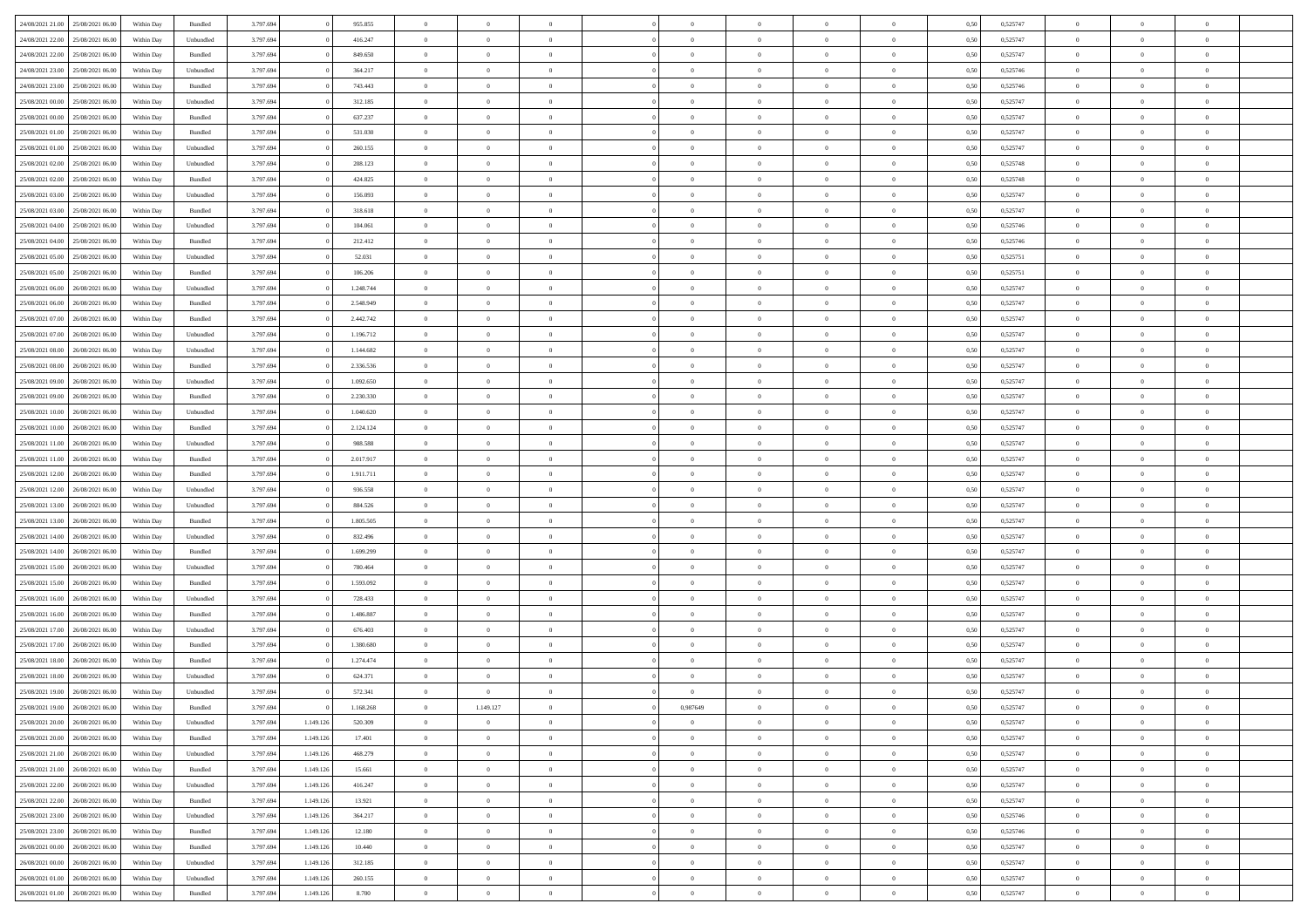| 24/08/2021 21:00 25/08/2021 06:00    | Within Day | Bundled            | 3.797.694 |           | 955.855   | $\overline{0}$ | $\overline{0}$ | $\Omega$       | $\Omega$       | $\Omega$       |                | $\overline{0}$ | 0,50 | 0,525747 | $\mathbf{0}$   | $\Omega$       | $\Omega$       |  |
|--------------------------------------|------------|--------------------|-----------|-----------|-----------|----------------|----------------|----------------|----------------|----------------|----------------|----------------|------|----------|----------------|----------------|----------------|--|
| 24/08/2021 22:00<br>25/08/2021 06:00 | Within Day | Unbundled          | 3.797.694 |           | 416.247   | $\bf{0}$       | $\overline{0}$ | $\theta$       | $\theta$       | $\overline{0}$ | $\overline{0}$ | $\,$ 0         | 0,50 | 0,525747 | $\mathbf{0}$   | $\theta$       | $\bf{0}$       |  |
| 24/08/2021 22:00<br>25/08/2021 06:00 | Within Day | Bundled            | 3.797.694 |           | 849.650   | $\overline{0}$ | $\overline{0}$ | $\overline{0}$ | $\bf{0}$       | $\bf{0}$       | $\overline{0}$ | $\mathbf{0}$   | 0,50 | 0,525747 | $\bf{0}$       | $\bf{0}$       | $\bf{0}$       |  |
| 24/08/2021 23:00<br>25/08/2021 06:00 | Within Day | Unbundled          | 3.797.694 |           | 364.217   | $\overline{0}$ | $\overline{0}$ | $\overline{0}$ | $\overline{0}$ | $\overline{0}$ | $\Omega$       | $\overline{0}$ | 0.50 | 0,525746 | $\mathbf{0}$   | $\overline{0}$ | $\bf{0}$       |  |
|                                      |            |                    |           |           |           |                |                |                |                |                |                |                |      |          |                |                |                |  |
| 24/08/2021 23:00<br>25/08/2021 06:00 | Within Day | $\mathbf B$ undled | 3.797.694 |           | 743.443   | $\bf{0}$       | $\overline{0}$ | $\theta$       | $\theta$       | $\overline{0}$ | $\overline{0}$ | $\bf{0}$       | 0,50 | 0,525746 | $\mathbf{0}$   | $\theta$       | $\overline{0}$ |  |
| 25/08/2021 00:00<br>25/08/2021 06:00 | Within Day | Unbundled          | 3.797.694 |           | 312.185   | $\overline{0}$ | $\overline{0}$ | $\overline{0}$ | $\bf{0}$       | $\overline{0}$ | $\overline{0}$ | $\overline{0}$ | 0,50 | 0,525747 | $\overline{0}$ | $\bf{0}$       | $\overline{0}$ |  |
| 25/08/2021 00:00<br>25/08/2021 06:00 | Within Day | Bundled            | 3.797.694 |           | 637.237   | $\overline{0}$ | $\overline{0}$ | $\overline{0}$ | $\overline{0}$ | $\overline{0}$ | $\overline{0}$ | $\mathbf{0}$   | 0.50 | 0,525747 | $\mathbf{0}$   | $\overline{0}$ | $\bf{0}$       |  |
| 25/08/2021 01:00<br>25/08/2021 06:00 | Within Day | Bundled            | 3.797.694 |           | 531.030   | $\bf{0}$       | $\overline{0}$ | $\overline{0}$ | $\theta$       | $\overline{0}$ | $\overline{0}$ | $\bf{0}$       | 0,50 | 0,525747 | $\theta$       | $\theta$       | $\bf{0}$       |  |
| 25/08/2021 01:00<br>25/08/2021 06:00 | Within Day | Unbundled          | 3.797.694 |           | 260.155   | $\overline{0}$ | $\overline{0}$ | $\bf{0}$       | $\bf{0}$       | $\bf{0}$       | $\overline{0}$ | $\mathbf{0}$   | 0,50 | 0,525747 | $\bf{0}$       | $\bf{0}$       | $\bf{0}$       |  |
| 25/08/2021 06:00                     |            | Unbundled          | 3.797.694 |           | 208.123   | $\overline{0}$ | $\overline{0}$ | $\overline{0}$ | $\overline{0}$ | $\overline{0}$ | $\overline{0}$ | $\overline{0}$ | 0.50 | 0,525748 | $\overline{0}$ | $\overline{0}$ | $\overline{0}$ |  |
| 25/08/2021 02:00                     | Within Day |                    |           |           |           |                |                |                |                |                |                |                |      |          |                |                |                |  |
| 25/08/2021 02:00<br>25/08/2021 06:00 | Within Day | $\mathbf B$ undled | 3.797.694 |           | 424.825   | $\bf{0}$       | $\overline{0}$ | $\overline{0}$ | $\overline{0}$ | $\overline{0}$ | $\overline{0}$ | $\,$ 0         | 0,50 | 0,525748 | $\mathbf{0}$   | $\theta$       | $\bf{0}$       |  |
| 25/08/2021 03:00<br>25/08/2021 06:00 | Within Day | Unbundled          | 3.797.694 |           | 156.093   | $\overline{0}$ | $\overline{0}$ | $\overline{0}$ | $\bf{0}$       | $\bf{0}$       | $\overline{0}$ | $\mathbf{0}$   | 0,50 | 0,525747 | $\bf{0}$       | $\bf{0}$       | $\bf{0}$       |  |
| 25/08/2021 03:00<br>25/08/2021 06:00 | Within Day | Bundled            | 3.797.694 |           | 318.618   | $\overline{0}$ | $\overline{0}$ | $\overline{0}$ | $\overline{0}$ | $\overline{0}$ | $\overline{0}$ | $\overline{0}$ | 0.50 | 0,525747 | $\mathbf{0}$   | $\overline{0}$ | $\bf{0}$       |  |
| 25/08/2021 04:00<br>25/08/2021 06:00 | Within Day | Unbundled          | 3.797.694 |           | 104.061   | $\bf{0}$       | $\overline{0}$ | $\theta$       | $\theta$       | $\overline{0}$ | $\overline{0}$ | $\,$ 0         | 0,50 | 0,525746 | $\theta$       | $\theta$       | $\overline{0}$ |  |
| 25/08/2021 04:00<br>25/08/2021 06:00 | Within Day | Bundled            | 3.797.694 |           | 212.412   | $\overline{0}$ | $\overline{0}$ | $\overline{0}$ | $\bf{0}$       | $\overline{0}$ | $\overline{0}$ | $\overline{0}$ | 0,50 | 0,525746 | $\overline{0}$ | $\bf{0}$       | $\overline{0}$ |  |
|                                      |            |                    |           |           |           |                |                |                |                |                |                |                |      |          |                |                |                |  |
| 25/08/2021 05:00<br>25/08/2021 06:00 | Within Day | Unbundled          | 3.797.694 |           | 52.031    | $\overline{0}$ | $\overline{0}$ | $\overline{0}$ | $\overline{0}$ | $\overline{0}$ | $\overline{0}$ | $\mathbf{0}$   | 0.50 | 0,525751 | $\overline{0}$ | $\overline{0}$ | $\bf{0}$       |  |
| 25/08/2021 05:00<br>25/08/2021 06:00 | Within Day | Bundled            | 3.797.694 |           | 106.206   | $\bf{0}$       | $\overline{0}$ | $\overline{0}$ | $\overline{0}$ | $\overline{0}$ | $\overline{0}$ | $\bf{0}$       | 0,50 | 0,525751 | $\theta$       | $\theta$       | $\bf{0}$       |  |
| 25/08/2021 06:00<br>26/08/2021 06:00 | Within Day | Unbundled          | 3.797.694 |           | 1.248.744 | $\overline{0}$ | $\overline{0}$ | $\bf{0}$       | $\bf{0}$       | $\bf{0}$       | $\overline{0}$ | $\mathbf{0}$   | 0,50 | 0,525747 | $\bf{0}$       | $\bf{0}$       | $\bf{0}$       |  |
| 25/08/2021 06:00<br>26/08/2021 06:00 | Within Day | Bundled            | 3.797.694 |           | 2.548.949 | $\overline{0}$ | $\overline{0}$ | $\overline{0}$ | $\overline{0}$ | $\overline{0}$ | $\overline{0}$ | $\overline{0}$ | 0.50 | 0,525747 | $\overline{0}$ | $\overline{0}$ | $\overline{0}$ |  |
| 25/08/2021 07:00<br>26/08/2021 06:00 | Within Day | $\mathbf B$ undled | 3.797.694 |           | 2.442.742 | $\bf{0}$       | $\overline{0}$ | $\overline{0}$ | $\theta$       | $\overline{0}$ | $\overline{0}$ | $\,$ 0         | 0,50 | 0,525747 | $\theta$       | $\theta$       | $\bf{0}$       |  |
| 25/08/2021 07:00<br>26/08/2021 06:00 | Within Day | Unbundled          | 3.797.694 |           | 1.196.712 | $\overline{0}$ | $\overline{0}$ | $\overline{0}$ | $\bf{0}$       | $\bf{0}$       | $\overline{0}$ | $\mathbf{0}$   | 0,50 | 0,525747 | $\bf{0}$       | $\bf{0}$       | $\bf{0}$       |  |
| 26/08/2021 06:00                     |            | Unbundled          | 3.797.694 |           | 1.144.682 | $\overline{0}$ | $\overline{0}$ | $\overline{0}$ | $\overline{0}$ | $\overline{0}$ |                | $\overline{0}$ | 0.50 | 0,525747 | $\overline{0}$ | $\overline{0}$ | $\bf{0}$       |  |
| 25/08/2021 08:00                     | Within Day |                    |           |           |           |                |                |                |                |                | $\overline{0}$ |                |      |          |                |                |                |  |
| 25/08/2021 08:00<br>26/08/2021 06:00 | Within Day | $\mathbf B$ undled | 3.797.694 |           | 2.336.536 | $\bf{0}$       | $\overline{0}$ | $\theta$       | $\theta$       | $\overline{0}$ | $\overline{0}$ | $\,$ 0         | 0,50 | 0,525747 | $\mathbf{0}$   | $\theta$       | $\bf{0}$       |  |
| 25/08/2021 09:00<br>26/08/2021 06:00 | Within Day | Unbundled          | 3.797.694 |           | 1.092.650 | $\overline{0}$ | $\overline{0}$ | $\overline{0}$ | $\bf{0}$       | $\overline{0}$ | $\overline{0}$ | $\overline{0}$ | 0,50 | 0,525747 | $\overline{0}$ | $\bf{0}$       | $\overline{0}$ |  |
| 25/08/2021 09:00<br>26/08/2021 06:00 | Within Day | Bundled            | 3.797.694 |           | 2.230.330 | $\overline{0}$ | $\overline{0}$ | $\overline{0}$ | $\overline{0}$ | $\overline{0}$ | $\overline{0}$ | $\overline{0}$ | 0.50 | 0,525747 | $\overline{0}$ | $\overline{0}$ | $\overline{0}$ |  |
| 25/08/2021 10:00<br>26/08/2021 06:00 | Within Day | Unbundled          | 3.797.694 |           | 1.040.620 | $\bf{0}$       | $\overline{0}$ | $\overline{0}$ | $\overline{0}$ | $\overline{0}$ | $\overline{0}$ | $\bf{0}$       | 0,50 | 0,525747 | $\theta$       | $\theta$       | $\bf{0}$       |  |
| 25/08/2021 10:00<br>26/08/2021 06:00 | Within Day | Bundled            | 3.797.694 |           | 2.124.124 | $\overline{0}$ | $\overline{0}$ | $\bf{0}$       | $\bf{0}$       | $\bf{0}$       | $\overline{0}$ | $\bf{0}$       | 0,50 | 0,525747 | $\bf{0}$       | $\bf{0}$       | $\bf{0}$       |  |
| 25/08/2021 11:00<br>26/08/2021 06:00 | Within Day | Unbundled          | 3.797.694 |           | 988.588   | $\overline{0}$ | $\overline{0}$ | $\overline{0}$ | $\overline{0}$ | $\overline{0}$ | $\overline{0}$ | $\overline{0}$ | 0.50 | 0,525747 | $\overline{0}$ | $\overline{0}$ | $\bf{0}$       |  |
|                                      |            |                    |           |           |           |                |                |                |                |                |                |                |      |          |                |                |                |  |
| 25/08/2021 11:00<br>26/08/2021 06:00 | Within Day | Bundled            | 3.797.694 |           | 2.017.917 | $\bf{0}$       | $\overline{0}$ | $\overline{0}$ | $\overline{0}$ | $\overline{0}$ | $\overline{0}$ | $\,$ 0         | 0,50 | 0,525747 | $\theta$       | $\theta$       | $\bf{0}$       |  |
| 25/08/2021 12:00<br>26/08/2021 06:00 | Within Day | Bundled            | 3.797.694 |           | 1.911.711 | $\overline{0}$ | $\overline{0}$ | $\overline{0}$ | $\bf{0}$       | $\bf{0}$       | $\overline{0}$ | $\mathbf{0}$   | 0,50 | 0,525747 | $\bf{0}$       | $\bf{0}$       | $\bf{0}$       |  |
| 25/08/2021 12:00<br>26/08/2021 06:00 | Within Day | Unbundled          | 3.797.694 |           | 936.558   | $\overline{0}$ | $\overline{0}$ | $\overline{0}$ | $\overline{0}$ | $\overline{0}$ | $\Omega$       | $\overline{0}$ | 0,50 | 0,525747 | $\bf{0}$       | $\Omega$       | $\Omega$       |  |
| 25/08/2021 13:00<br>26/08/2021 06:00 | Within Day | Unbundled          | 3.797.694 |           | 884.526   | $\bf{0}$       | $\overline{0}$ | $\overline{0}$ | $\theta$       | $\overline{0}$ | $\overline{0}$ | $\,$ 0         | 0,50 | 0,525747 | $\theta$       | $\theta$       | $\bf{0}$       |  |
| 25/08/2021 13:00<br>26/08/2021 06:00 | Within Day | Bundled            | 3.797.694 |           | 1.805.505 | $\overline{0}$ | $\overline{0}$ | $\overline{0}$ | $\bf{0}$       | $\overline{0}$ | $\overline{0}$ | $\overline{0}$ | 0,50 | 0,525747 | $\overline{0}$ | $\bf{0}$       | $\overline{0}$ |  |
| 25/08/2021 14:00<br>26/08/2021 06:00 | Within Day | Unbundled          | 3.797.694 |           | 832.496   | $\overline{0}$ | $\overline{0}$ | $\overline{0}$ | $\overline{0}$ | $\overline{0}$ | $\Omega$       | $\overline{0}$ | 0.50 | 0,525747 | $\overline{0}$ | $\Omega$       | $\Omega$       |  |
| 25/08/2021 14:00<br>26/08/2021 06:00 | Within Day | Bundled            | 3.797.694 |           | 1.699.299 | $\bf{0}$       | $\overline{0}$ | $\bf{0}$       | $\overline{0}$ | $\overline{0}$ | $\overline{0}$ | $\bf{0}$       | 0,50 | 0,525747 | $\theta$       | $\theta$       | $\bf{0}$       |  |
|                                      |            |                    |           |           |           |                |                |                |                |                |                |                |      |          |                |                |                |  |
| 25/08/2021 15:00<br>26/08/2021 06:00 | Within Day | Unbundled          | 3.797.694 |           | 780.464   | $\overline{0}$ | $\overline{0}$ | $\bf{0}$       | $\bf{0}$       | $\bf{0}$       | $\overline{0}$ | $\bf{0}$       | 0,50 | 0,525747 | $\bf{0}$       | $\bf{0}$       | $\bf{0}$       |  |
| 25/08/2021 15:00<br>26/08/2021 06:00 | Within Day | Bundled            | 3.797.694 |           | 1.593.092 | $\overline{0}$ | $\overline{0}$ | $\Omega$       | $\overline{0}$ | $\overline{0}$ | $\Omega$       | $\theta$       | 0.50 | 0,525747 | $\overline{0}$ | $\Omega$       | $\Omega$       |  |
| 25/08/2021 16:00<br>26/08/2021 06:00 | Within Day | Unbundled          | 3.797.694 |           | 728.433   | $\bf{0}$       | $\overline{0}$ | $\bf{0}$       | $\overline{0}$ | $\overline{0}$ | $\overline{0}$ | $\,$ 0         | 0,50 | 0,525747 | $\theta$       | $\theta$       | $\bf{0}$       |  |
| 25/08/2021 16:00<br>26/08/2021 06:00 | Within Day | Bundled            | 3.797.694 |           | 1.486.887 | $\overline{0}$ | $\overline{0}$ | $\overline{0}$ | $\bf{0}$       | $\bf{0}$       | $\overline{0}$ | $\mathbf{0}$   | 0,50 | 0,525747 | $\overline{0}$ | $\bf{0}$       | $\bf{0}$       |  |
| 25/08/2021 17:00<br>26/08/2021 06:00 | Within Day | Unbundled          | 3.797.694 |           | 676.403   | $\overline{0}$ | $\overline{0}$ | $\overline{0}$ | $\overline{0}$ | $\overline{0}$ | $\Omega$       | $\overline{0}$ | 0,50 | 0,525747 | $\overline{0}$ | $\Omega$       | $\Omega$       |  |
| 25/08/2021 17:00<br>26/08/2021 06:00 | Within Day | Bundled            | 3.797.694 |           | 1.380.680 | $\bf{0}$       | $\overline{0}$ | $\overline{0}$ | $\overline{0}$ | $\overline{0}$ | $\overline{0}$ | $\,$ 0         | 0,50 | 0,525747 | $\,0\,$        | $\theta$       | $\bf{0}$       |  |
|                                      |            |                    |           |           |           |                |                |                |                |                |                |                |      |          |                |                |                |  |
| 25/08/2021 18:00<br>26/08/2021 06:00 | Within Day | Bundled            | 3.797.694 |           | 1.274.474 | $\overline{0}$ | $\overline{0}$ | $\bf{0}$       | $\bf{0}$       | $\overline{0}$ | $\overline{0}$ | $\overline{0}$ | 0,50 | 0,525747 | $\overline{0}$ | $\bf{0}$       | $\bf{0}$       |  |
| 25/08/2021 18:00<br>26/08/2021 06:00 | Within Day | Unbundled          | 3.797.694 |           | 624.371   | $\overline{0}$ | $\theta$       | $\Omega$       | $\overline{0}$ | $\overline{0}$ | $\Omega$       | $\overline{0}$ | 0.50 | 0,525747 | $\overline{0}$ | $\Omega$       | $\Omega$       |  |
| 25/08/2021 19:00<br>26/08/2021 06:00 | Within Day | Unbundled          | 3.797.694 |           | 572.341   | $\bf{0}$       | $\bf{0}$       | $\bf{0}$       | $\overline{0}$ | $\bf{0}$       | $\overline{0}$ | $\,$ 0         | 0,50 | 0,525747 | $\bf{0}$       | $\,$ 0         | $\bf{0}$       |  |
| 25/08/2021 19:00 26/08/2021 06:00    | Within Day | Bundled            | 3.797.694 |           | 1.168.268 | $\bf{0}$       | 1.149.127      |                | 0,987649       |                |                |                | 0,50 | 0,525747 | $\bf{0}$       | $\bf{0}$       |                |  |
| 25/08/2021 20:00 26/08/2021 06:00    | Within Day | Unbundled          | 3.797.694 | 1.149.126 | 520.309   | $\theta$       | $\overline{0}$ | $\overline{0}$ | $\overline{0}$ | $\overline{0}$ | $\overline{0}$ | $\mathbf{0}$   | 0,50 | 0,525747 | $\overline{0}$ | $\theta$       | $\theta$       |  |
| 25/08/2021 20:00<br>26/08/2021 06:00 | Within Day | Bundled            | 3.797.694 | 1.149.126 | 17.401    | $\overline{0}$ | $\overline{0}$ | $\overline{0}$ | $\bf{0}$       | $\overline{0}$ | $\overline{0}$ | $\mathbf{0}$   | 0,50 | 0,525747 | $\bf{0}$       | $\overline{0}$ | $\,$ 0 $\,$    |  |
| 25/08/2021 21:00 26/08/2021 06:00    | Within Day | Unbundled          | 3.797.694 | 1.149.126 | 468.279   | $\overline{0}$ | $\overline{0}$ | $\overline{0}$ | $\bf{0}$       | $\overline{0}$ | $\overline{0}$ | $\mathbf{0}$   | 0,50 | 0,525747 | $\overline{0}$ | $\overline{0}$ | $\overline{0}$ |  |
| 26/08/2021 06:00                     | Within Day | $\mathbf B$ undled | 3.797.694 |           | 15.661    | $\overline{0}$ | $\overline{0}$ | $\overline{0}$ | $\bf{0}$       | $\bf{0}$       | $\overline{0}$ | $\overline{0}$ | 0,50 | 0,525747 | $\overline{0}$ | $\overline{0}$ | $\overline{0}$ |  |
| 25/08/2021 21:00                     |            |                    |           | 1.149.126 |           |                |                |                |                |                |                |                |      |          |                | $\theta$       |                |  |
| 25/08/2021 22:00<br>26/08/2021 06:00 | Within Day | Unbundled          | 3.797.694 | 1.149.126 | 416.247   | $\overline{0}$ | $\overline{0}$ | $\overline{0}$ | $\bf{0}$       | $\overline{0}$ | $\overline{0}$ | $\mathbf{0}$   | 0,50 | 0,525747 | $\,0\,$        |                | $\,$ 0 $\,$    |  |
| 25/08/2021 22:00<br>26/08/2021 06:00 | Within Day | Bundled            | 3.797.694 | 1.149.126 | 13.921    | $\overline{0}$ | $\overline{0}$ | $\overline{0}$ | $\overline{0}$ | $\overline{0}$ | $\overline{0}$ | $\overline{0}$ | 0,50 | 0,525747 | $\overline{0}$ | $\overline{0}$ | $\overline{0}$ |  |
| 25/08/2021 23:00<br>26/08/2021 06:00 | Within Day | Unbundled          | 3.797.694 | 1.149.126 | 364.217   | $\overline{0}$ | $\overline{0}$ | $\overline{0}$ | $\overline{0}$ | $\overline{0}$ | $\overline{0}$ | $\mathbf{0}$   | 0,50 | 0,525746 | $\overline{0}$ | $\overline{0}$ | $\overline{0}$ |  |
| 25/08/2021 23:00<br>26/08/2021 06:00 | Within Day | Bundled            | 3.797.694 | 1.149.126 | 12.180    | $\overline{0}$ | $\overline{0}$ | $\overline{0}$ | $\bf{0}$       | $\overline{0}$ | $\overline{0}$ | $\,$ 0 $\,$    | 0,50 | 0,525746 | $\,0\,$        | $\overline{0}$ | $\bf{0}$       |  |
| 26/08/2021 00:00<br>26/08/2021 06:00 | Within Day | Bundled            | 3.797.694 | 1.149.126 | 10.440    | $\overline{0}$ | $\overline{0}$ | $\overline{0}$ | $\bf{0}$       | $\overline{0}$ | $\overline{0}$ | $\overline{0}$ | 0,50 | 0,525747 | $\bf{0}$       | $\bf{0}$       | $\overline{0}$ |  |
| 26/08/2021 00:00<br>26/08/2021 06:00 | Within Day | Unbundled          | 3.797.694 | 1.149.126 | 312.185   | $\overline{0}$ | $\overline{0}$ | $\overline{0}$ | $\overline{0}$ | $\overline{0}$ | $\overline{0}$ | $\mathbf{0}$   | 0,50 | 0,525747 | $\overline{0}$ | $\overline{0}$ | $\overline{0}$ |  |
|                                      |            |                    |           |           |           |                | $\overline{0}$ |                |                |                |                |                |      |          | $\,0\,$        | $\,0\,$        |                |  |
| 26/08/2021 01:00<br>26/08/2021 06:00 | Within Day | Unbundled          | 3.797.694 | 1.149.126 | 260.155   | $\overline{0}$ |                | $\overline{0}$ | $\bf{0}$       | $\bf{0}$       | $\overline{0}$ | $\,$ 0 $\,$    | 0,50 | 0,525747 |                |                | $\bf{0}$       |  |
| 26/08/2021 01:00 26/08/2021 06:00    | Within Day | Bundled            | 3.797.694 | 1.149.126 | 8.700     | $\overline{0}$ | $\overline{0}$ | $\overline{0}$ | $\bf{0}$       | $\overline{0}$ | $\overline{0}$ | $\overline{0}$ | 0,50 | 0,525747 | $\overline{0}$ | $\bf{0}$       | $\overline{0}$ |  |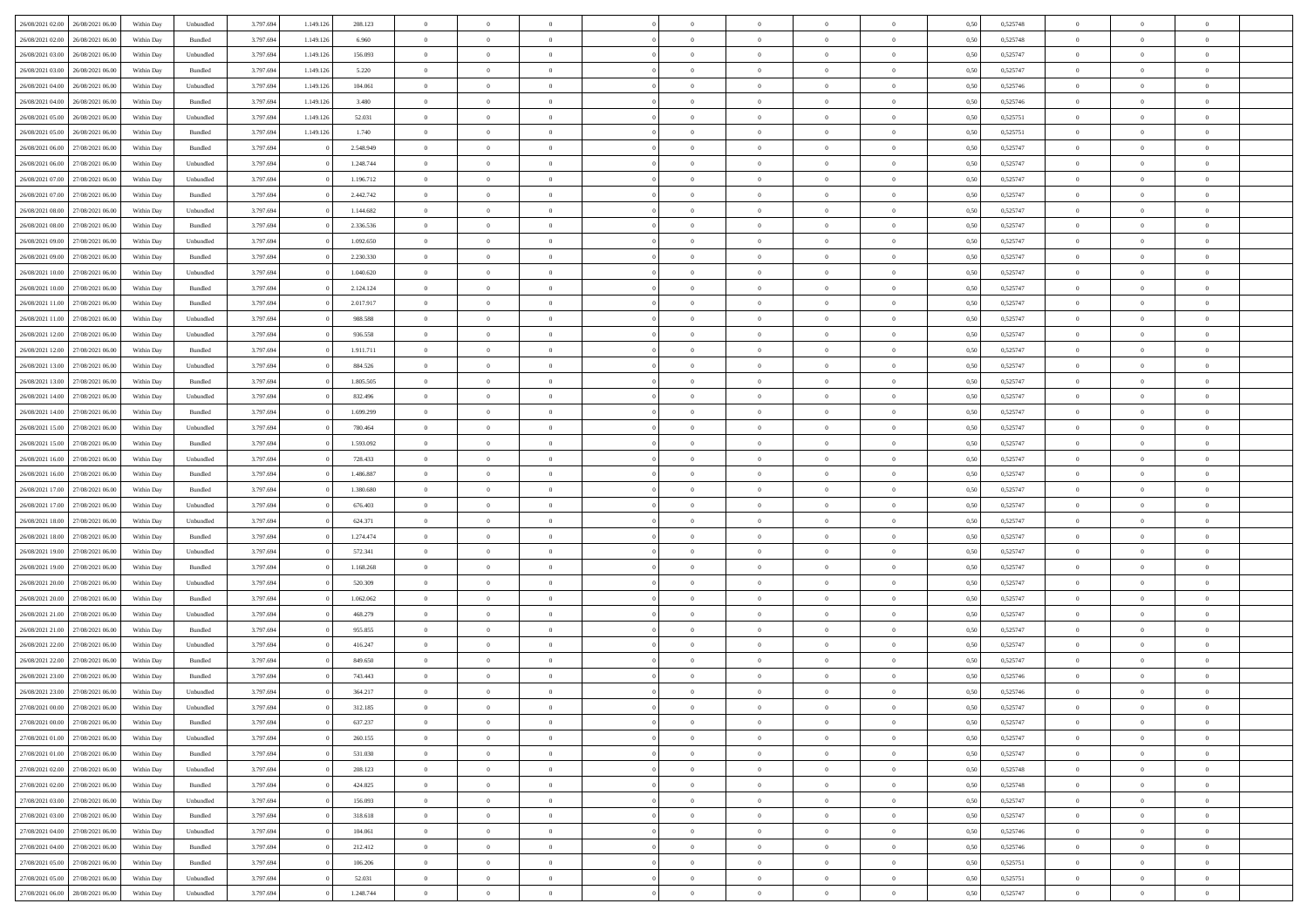| 26/08/2021 02:00 26/08/2021 06:00    | Within Day | Unbundled                         | 3.797.694 | 1.149.126 | 208.123   | $\overline{0}$ | $\overline{0}$ |                | $\overline{0}$ | $\theta$       |                | $\theta$       | 0,50 | 0,525748 | $\theta$       | $\theta$       | $\overline{0}$ |  |
|--------------------------------------|------------|-----------------------------------|-----------|-----------|-----------|----------------|----------------|----------------|----------------|----------------|----------------|----------------|------|----------|----------------|----------------|----------------|--|
|                                      |            |                                   |           |           |           |                |                |                |                |                |                |                |      |          |                |                |                |  |
| 26/08/2021 02:00<br>26/08/2021 06:00 | Within Day | Bundled                           | 3.797.69  | 1.149.12  | 6.960     | $\bf{0}$       | $\bf{0}$       | $\bf{0}$       | $\overline{0}$ | $\overline{0}$ | $\overline{0}$ | $\bf{0}$       | 0,50 | 0,525748 | $\,$ 0 $\,$    | $\bf{0}$       | $\overline{0}$ |  |
| 26/08/2021 03:00<br>26/08/2021 06:00 | Within Day | Unbundled                         | 3.797.694 | 1.149.126 | 156,093   | $\overline{0}$ | $\bf{0}$       | $\overline{0}$ | $\bf{0}$       | $\bf{0}$       | $\overline{0}$ | $\bf{0}$       | 0.50 | 0,525747 | $\bf{0}$       | $\overline{0}$ | $\overline{0}$ |  |
| 26/08/2021 03:00<br>26/08/2021 06:00 | Within Day | Bundled                           | 3.797.694 | 1.149.126 | 5.220     | $\overline{0}$ | $\overline{0}$ | $\overline{0}$ | $\overline{0}$ | $\theta$       | $\overline{0}$ | $\bf{0}$       | 0,50 | 0,525747 | $\theta$       | $\theta$       | $\overline{0}$ |  |
| 26/08/2021 04:00<br>26/08/2021 06:00 | Within Day | Unbundled                         | 3.797.69  | 1.149.12  | 104.061   | $\overline{0}$ | $\overline{0}$ | $\bf{0}$       | $\overline{0}$ | $\theta$       | $\overline{0}$ | $\bf{0}$       | 0,50 | 0,525746 | $\,$ 0 $\,$    | $\theta$       | $\overline{0}$ |  |
| 26/08/2021 04:00<br>26/08/2021 06:00 | Within Day | Bundled                           | 3.797.694 | 1.149.126 | 3.480     | $\overline{0}$ | $\overline{0}$ | $\overline{0}$ | $\overline{0}$ | $\overline{0}$ | $\theta$       | $\bf{0}$       | 0.50 | 0.525746 | $\bf{0}$       | $\theta$       | $\overline{0}$ |  |
|                                      |            |                                   |           |           |           |                | $\overline{0}$ | $\overline{0}$ | $\overline{0}$ | $\overline{0}$ | $\overline{0}$ |                |      |          |                | $\theta$       | $\overline{0}$ |  |
| 26/08/2021 05:00<br>26/08/2021 06:00 | Within Day | Unbundled                         | 3.797.694 | 1.149.126 | 52.031    | $\bf{0}$       |                |                |                |                |                | $\bf{0}$       | 0,50 | 0,525751 | $\,$ 0 $\,$    |                |                |  |
| 26/08/2021 05:00<br>26/08/2021 06:00 | Within Day | Bundled                           | 3.797.69  | 1.149.12  | 1.740     | $\bf{0}$       | $\overline{0}$ | $\bf{0}$       | $\overline{0}$ | $\overline{0}$ | $\overline{0}$ | $\bf{0}$       | 0,50 | 0,525751 | $\,$ 0 $\,$    | $\bf{0}$       | $\overline{0}$ |  |
| 26/08/2021 06:00<br>27/08/2021 06:00 | Within Day | Bundled                           | 3.797.694 |           | 2.548.949 | $\overline{0}$ | $\bf{0}$       | $\overline{0}$ | $\bf{0}$       | $\overline{0}$ | $\overline{0}$ | $\bf{0}$       | 0.50 | 0.525747 | $\bf{0}$       | $\overline{0}$ | $\overline{0}$ |  |
| 26/08/2021 06:00<br>27/08/2021 06:00 | Within Day | Unbundled                         | 3.797.694 |           | 1.248.744 | $\overline{0}$ | $\bf{0}$       | $\overline{0}$ | $\overline{0}$ | $\overline{0}$ | $\overline{0}$ | $\bf{0}$       | 0,50 | 0,525747 | $\,$ 0 $\,$    | $\bf{0}$       | $\overline{0}$ |  |
| 26/08/2021 07:00<br>27/08/2021 06.00 | Within Day | Unbundled                         | 3.797.694 |           | 1.196.712 | $\bf{0}$       | $\overline{0}$ | $\bf{0}$       | $\bf{0}$       | $\bf{0}$       | $\overline{0}$ | $\bf{0}$       | 0,50 | 0,525747 | $\,$ 0 $\,$    | $\bf{0}$       | $\overline{0}$ |  |
| 26/08/2021 07:00<br>27/08/2021 06:00 | Within Day | Bundled                           | 3.797.694 |           | 2.442.742 | $\overline{0}$ | $\bf{0}$       | $\overline{0}$ | $\bf{0}$       | $\bf{0}$       | $\overline{0}$ | $\bf{0}$       | 0.50 | 0,525747 | $\bf{0}$       | $\overline{0}$ | $\overline{0}$ |  |
| 26/08/2021 08:00<br>27/08/2021 06:00 | Within Day | Unbundled                         | 3.797.694 |           | 1.144.682 | $\overline{0}$ | $\overline{0}$ | $\overline{0}$ | $\overline{0}$ | $\theta$       | $\overline{0}$ | $\bf{0}$       | 0,50 | 0,525747 | $\,$ 0 $\,$    | $\theta$       | $\overline{0}$ |  |
| 27/08/2021 06.00                     | Within Day | Bundled                           | 3.797.69  |           | 2.336.536 | $\bf{0}$       | $\overline{0}$ | $\bf{0}$       | $\overline{0}$ | $\theta$       | $\overline{0}$ | $\bf{0}$       | 0,50 | 0,525747 | $\,$ 0 $\,$    | $\bf{0}$       | $\overline{0}$ |  |
| 26/08/2021 08:00                     |            |                                   |           |           |           |                |                |                |                |                |                |                |      |          |                |                |                |  |
| 26/08/2021 09:00<br>27/08/2021 06:00 | Within Day | Unbundled                         | 3.797.694 |           | 1.092.650 | $\overline{0}$ | $\overline{0}$ | $\overline{0}$ | $\bf{0}$       | $\theta$       | $\Omega$       | $\bf{0}$       | 0.50 | 0.525747 | $\theta$       | $\theta$       | $\overline{0}$ |  |
| 26/08/2021 09:00<br>27/08/2021 06:00 | Within Day | Bundled                           | 3.797.694 |           | 2.230.330 | $\bf{0}$       | $\overline{0}$ | $\overline{0}$ | $\overline{0}$ | $\overline{0}$ | $\overline{0}$ | $\bf{0}$       | 0,50 | 0,525747 | $\theta$       | $\theta$       | $\overline{0}$ |  |
| 26/08/2021 10:00<br>27/08/2021 06:00 | Within Day | Unbundled                         | 3.797.694 |           | 1.040.620 | $\bf{0}$       | $\overline{0}$ | $\bf{0}$       | $\overline{0}$ | $\bf{0}$       | $\overline{0}$ | $\bf{0}$       | 0,50 | 0,525747 | $\,$ 0 $\,$    | $\bf{0}$       | $\overline{0}$ |  |
| 26/08/2021 10:00<br>27/08/2021 06:00 | Within Day | Bundled                           | 3.797.694 |           | 2.124.124 | $\overline{0}$ | $\bf{0}$       | $\overline{0}$ | $\bf{0}$       | $\overline{0}$ | $\overline{0}$ | $\bf{0}$       | 0.50 | 0.525747 | $\bf{0}$       | $\overline{0}$ | $\overline{0}$ |  |
| 26/08/2021 11:00<br>27/08/2021 06:00 | Within Day | Bundled                           | 3.797.694 |           | 2.017.917 | $\bf{0}$       | $\bf{0}$       | $\overline{0}$ | $\overline{0}$ | $\overline{0}$ | $\overline{0}$ | $\bf{0}$       | 0,50 | 0,525747 | $\,$ 0 $\,$    | $\bf{0}$       | $\overline{0}$ |  |
| 26/08/2021 11:00<br>27/08/2021 06.00 | Within Day | Unbundled                         | 3.797.69  |           | 988.588   | $\bf{0}$       | $\bf{0}$       | $\bf{0}$       | $\bf{0}$       | $\overline{0}$ | $\overline{0}$ | $\bf{0}$       | 0,50 | 0,525747 | $\,$ 0 $\,$    | $\bf{0}$       | $\overline{0}$ |  |
| 26/08/2021 12:00<br>27/08/2021 06:00 | Within Day | Unbundled                         | 3.797.694 |           | 936.558   | $\overline{0}$ | $\bf{0}$       | $\overline{0}$ | $\overline{0}$ | $\bf{0}$       | $\overline{0}$ | $\bf{0}$       | 0.50 | 0,525747 | $\bf{0}$       | $\overline{0}$ | $\overline{0}$ |  |
| 26/08/2021 12:00<br>27/08/2021 06:00 | Within Day | Bundled                           | 3.797.694 |           | 1.911.711 | $\overline{0}$ | $\overline{0}$ | $\overline{0}$ | $\overline{0}$ | $\theta$       | $\overline{0}$ | $\bf{0}$       | 0,50 | 0,525747 | $\theta$       | $\theta$       | $\overline{0}$ |  |
|                                      |            |                                   |           |           |           |                |                |                |                |                |                |                |      |          |                |                |                |  |
| 26/08/2021 13:00<br>27/08/2021 06.00 | Within Day | Unbundled                         | 3.797.69  |           | 884.526   | $\bf{0}$       | $\overline{0}$ | $\bf{0}$       | $\bf{0}$       | $\,$ 0 $\,$    | $\overline{0}$ | $\bf{0}$       | 0,50 | 0,525747 | $\,$ 0 $\,$    | $\bf{0}$       | $\overline{0}$ |  |
| 26/08/2021 13:00<br>27/08/2021 06:00 | Within Day | Bundled                           | 3.797.694 |           | 1.805.505 | $\overline{0}$ | $\overline{0}$ | $\overline{0}$ | $\overline{0}$ | $\overline{0}$ | $\Omega$       | $\bf{0}$       | 0.50 | 0.525747 | $\bf{0}$       | $\theta$       | $\overline{0}$ |  |
| 26/08/2021 14:00<br>27/08/2021 06:00 | Within Day | Unbundled                         | 3.797.694 |           | 832.496   | $\bf{0}$       | $\overline{0}$ | $\overline{0}$ | $\overline{0}$ | $\overline{0}$ | $\overline{0}$ | $\bf{0}$       | 0,50 | 0,525747 | $\,$ 0 $\,$    | $\theta$       | $\overline{0}$ |  |
| 26/08/2021 14:00<br>27/08/2021 06:00 | Within Day | Bundled                           | 3.797.694 |           | 1.699.299 | $\bf{0}$       | $\overline{0}$ | $\bf{0}$       | $\overline{0}$ | $\bf{0}$       | $\overline{0}$ | $\bf{0}$       | 0,50 | 0,525747 | $\,$ 0 $\,$    | $\bf{0}$       | $\overline{0}$ |  |
| 26/08/2021 15:00<br>27/08/2021 06:00 | Within Day | Unbundled                         | 3.797.694 |           | 780,464   | $\overline{0}$ | $\bf{0}$       | $\overline{0}$ | $\bf{0}$       | $\overline{0}$ | $\overline{0}$ | $\bf{0}$       | 0.50 | 0.525747 | $\bf{0}$       | $\overline{0}$ | $\overline{0}$ |  |
| 26/08/2021 15:00<br>27/08/2021 06:00 | Within Day | Bundled                           | 3.797.694 |           | 1.593.092 | $\overline{0}$ | $\bf{0}$       | $\overline{0}$ | $\overline{0}$ | $\overline{0}$ | $\overline{0}$ | $\bf{0}$       | 0,50 | 0,525747 | $\,$ 0 $\,$    | $\theta$       | $\overline{0}$ |  |
| 26/08/2021 16:00<br>27/08/2021 06:00 | Within Day | Unbundled                         | 3.797.69  |           | 728.433   | $\bf{0}$       | $\bf{0}$       | $\bf{0}$       | $\bf{0}$       | $\overline{0}$ | $\overline{0}$ | $\bf{0}$       | 0,50 | 0,525747 | $\,$ 0 $\,$    | $\bf{0}$       | $\overline{0}$ |  |
| 26/08/2021 16:00<br>27/08/2021 06:00 | Within Day | Bundled                           | 3.797.694 |           | 1.486.887 | $\overline{0}$ | $\bf{0}$       | $\overline{0}$ | $\bf{0}$       | $\bf{0}$       | $\overline{0}$ | $\bf{0}$       | 0.50 | 0,525747 | $\bf{0}$       | $\overline{0}$ | $\overline{0}$ |  |
|                                      |            |                                   |           |           |           |                |                |                |                |                |                |                |      |          |                |                |                |  |
| 26/08/2021 17:00<br>27/08/2021 06:00 | Within Day | Bundled                           | 3.797.694 |           | 1.380.680 | $\overline{0}$ | $\overline{0}$ | $\overline{0}$ | $\overline{0}$ | $\overline{0}$ | $\overline{0}$ | $\bf{0}$       | 0.50 | 0,525747 | $\theta$       | $\theta$       | $\overline{0}$ |  |
| 26/08/2021 17:00<br>27/08/2021 06:00 | Within Day | Unbundled                         | 3.797.694 |           | 676.403   | $\bf{0}$       | $\overline{0}$ | $\bf{0}$       | $\bf{0}$       | $\,$ 0 $\,$    | $\overline{0}$ | $\bf{0}$       | 0,50 | 0,525747 | $\,$ 0 $\,$    | $\bf{0}$       | $\overline{0}$ |  |
| 26/08/2021 18:00<br>27/08/2021 06:00 | Within Day | Unbundled                         | 3.797.694 |           | 624.371   | $\overline{0}$ | $\overline{0}$ | $\overline{0}$ | $\bf{0}$       | $\theta$       | $\Omega$       | $\bf{0}$       | 0.50 | 0.525747 | $\,$ 0 $\,$    | $\theta$       | $\overline{0}$ |  |
| 26/08/2021 18:00<br>27/08/2021 06:00 | Within Day | Bundled                           | 3.797.694 |           | 1.274.474 | $\overline{0}$ | $\overline{0}$ | $\overline{0}$ | $\overline{0}$ | $\overline{0}$ | $\overline{0}$ | $\overline{0}$ | 0.50 | 0,525747 | $\theta$       | $\theta$       | $\overline{0}$ |  |
| 26/08/2021 19:00<br>27/08/2021 06:00 | Within Day | Unbundled                         | 3.797.694 |           | 572.341   | $\bf{0}$       | $\overline{0}$ | $\bf{0}$       | $\bf{0}$       | $\bf{0}$       | $\overline{0}$ | $\bf{0}$       | 0,50 | 0,525747 | $\,$ 0 $\,$    | $\bf{0}$       | $\overline{0}$ |  |
| 26/08/2021 19:00<br>27/08/2021 06:00 | Within Day | Bundled                           | 3.797.694 |           | 1.168.268 | $\overline{0}$ | $\bf{0}$       | $\overline{0}$ | $\bf{0}$       | $\overline{0}$ | $\overline{0}$ | $\bf{0}$       | 0.50 | 0.525747 | $\bf{0}$       | $\overline{0}$ | $\overline{0}$ |  |
| 26/08/2021 20:00<br>27/08/2021 06:00 | Within Day | Unbundled                         | 3.797.694 |           | 520.309   | $\overline{0}$ | $\overline{0}$ | $\overline{0}$ | $\overline{0}$ | $\overline{0}$ | $\overline{0}$ | $\overline{0}$ | 0.50 | 0,525747 | $\theta$       | $\theta$       | $\overline{0}$ |  |
| 26/08/2021 20:00<br>27/08/2021 06:00 | Within Day | Bundled                           | 3.797.694 |           | 1.062.062 | $\bf{0}$       | $\bf{0}$       | $\bf{0}$       | $\bf{0}$       | $\overline{0}$ | $\overline{0}$ | $\bf{0}$       | 0,50 | 0,525747 | $\,$ 0 $\,$    | $\bf{0}$       | $\overline{0}$ |  |
|                                      |            | Unbundled                         | 3.797.694 |           |           |                | $\bf{0}$       | $\overline{0}$ |                | $\bf{0}$       | $\overline{0}$ |                | 0.50 |          | $\bf{0}$       | $\overline{0}$ | $\overline{0}$ |  |
| 26/08/2021 21:00<br>27/08/2021 06:00 | Within Day |                                   |           |           | 468.279   | $\overline{0}$ |                |                | $\overline{0}$ |                |                | $\bf{0}$       |      | 0,525747 |                |                |                |  |
| 26/08/2021 21:00<br>27/08/2021 06:00 | Within Day | Bundled                           | 3.797.694 |           | 955.855   | $\overline{0}$ | $\overline{0}$ | $\overline{0}$ | $\overline{0}$ | $\overline{0}$ | $\overline{0}$ | $\bf{0}$       | 0.50 | 0,525747 | $\theta$       | $\theta$       | $\overline{0}$ |  |
| 26/08/2021 22:00<br>27/08/2021 06:00 | Within Day | Unbundled                         | 3.797.694 |           | 416.247   | $\bf{0}$       | $\overline{0}$ | $\bf{0}$       | $\overline{0}$ | $\overline{0}$ | $\overline{0}$ | $\bf{0}$       | 0,50 | 0,525747 | $\,$ 0 $\,$    | $\bf{0}$       | $\overline{0}$ |  |
| 26/08/2021 22.00<br>27/08/2021 06:00 | Within Day | Bundled                           | 3.797.694 |           | 849,650   | $\overline{0}$ | $\overline{0}$ | $\Omega$       | $\overline{0}$ | $\overline{0}$ | $\Omega$       | $\bf{0}$       | 0.50 | 0,525747 | $\bf{0}$       | $\theta$       | $\overline{0}$ |  |
| 26/08/2021 23:00<br>27/08/2021 06:00 | Within Dav | Bundled                           | 3.797.694 |           | 743.443   | $\overline{0}$ | $\overline{0}$ | $\Omega$       | $\overline{0}$ | $\theta$       | $\Omega$       | $\overline{0}$ | 0.50 | 0,525746 | $\theta$       | $\theta$       | $\overline{0}$ |  |
| 26/08/2021 23:00<br>27/08/2021 06:00 | Within Day | Unbundled                         | 3.797.694 |           | 364.217   | $\bf{0}$       | $\bf{0}$       | $\overline{0}$ | $\bf{0}$       | $\bf{0}$       | $\overline{0}$ | $\bf{0}$       | 0,50 | 0,525746 | $\,$ 0 $\,$    | $\bf{0}$       | $\overline{0}$ |  |
| 27/08/2021 00:00 27/08/2021 06:00    | Within Day | $\ensuremath{\mathsf{Unbundred}}$ | 3.797.694 |           | 312.185   | $\overline{0}$ | $\Omega$       |                | $\overline{0}$ | $\Omega$       |                |                | 0,50 | 0,525747 | $\theta$       | $\bf{0}$       |                |  |
| 27/08/2021 00:00 27/08/2021 06:00    | Within Day | Bundled                           | 3.797.694 |           | 637.237   | $\overline{0}$ | $\overline{0}$ | $\overline{0}$ | $\overline{0}$ | $\overline{0}$ | $\overline{0}$ | $\bf{0}$       | 0,50 | 0,525747 | $\theta$       | $\overline{0}$ | $\overline{0}$ |  |
| 27/08/2021 01:00<br>27/08/2021 06:00 | Within Day | Unbundled                         | 3.797.694 |           | 260.155   | $\overline{0}$ | $\bf{0}$       | $\overline{0}$ | $\overline{0}$ | $\bf{0}$       | $\overline{0}$ | $\bf{0}$       | 0,50 | 0,525747 | $\bf{0}$       | $\overline{0}$ | $\bf{0}$       |  |
|                                      |            |                                   |           |           |           |                |                |                |                |                |                |                |      |          |                |                |                |  |
| 27/08/2021 01:00 27/08/2021 06:00    | Within Day | Bundled                           | 3.797.694 |           | 531.030   | $\overline{0}$ | $\overline{0}$ | $\overline{0}$ | $\overline{0}$ | $\mathbf{0}$   | $\overline{0}$ | $\,$ 0 $\,$    | 0.50 | 0,525747 | $\overline{0}$ | $\bf{0}$       | $\overline{0}$ |  |
| 27/08/2021 02:00 27/08/2021 06:00    | Within Day | Unbundled                         | 3.797.694 |           | 208.123   | $\overline{0}$ | $\overline{0}$ | $\overline{0}$ | $\overline{0}$ | $\overline{0}$ | $\overline{0}$ | $\bf{0}$       | 0,50 | 0,525748 | $\overline{0}$ | $\theta$       | $\overline{0}$ |  |
| 27/08/2021 02:00<br>27/08/2021 06:00 | Within Day | Bundled                           | 3.797.694 |           | 424.825   | $\overline{0}$ | $\bf{0}$       | $\overline{0}$ | $\overline{0}$ | $\bf{0}$       | $\overline{0}$ | $\bf{0}$       | 0,50 | 0,525748 | $\bf{0}$       | $\overline{0}$ | $\overline{0}$ |  |
| 27/08/2021 03:00<br>27/08/2021 06:00 | Within Day | Unbundled                         | 3.797.694 |           | 156.093   | $\overline{0}$ | $\bf{0}$       | $\overline{0}$ | $\overline{0}$ | $\bf{0}$       | $\overline{0}$ | $\bf{0}$       | 0.50 | 0.525747 | $\,$ 0 $\,$    | $\overline{0}$ | $\,$ 0         |  |
| 27/08/2021 03:00<br>27/08/2021 06:00 | Within Day | Bundled                           | 3.797.694 |           | 318.618   | $\overline{0}$ | $\overline{0}$ | $\overline{0}$ | $\overline{0}$ | $\overline{0}$ | $\overline{0}$ | $\bf{0}$       | 0,50 | 0,525747 | $\overline{0}$ | $\theta$       | $\overline{0}$ |  |
| 27/08/2021 04:00<br>27/08/2021 06:00 | Within Day | Unbundled                         | 3.797.694 |           | 104.061   | $\overline{0}$ | $\overline{0}$ | $\overline{0}$ | $\overline{0}$ | $\overline{0}$ | $\overline{0}$ | $\bf{0}$       | 0,50 | 0,525746 | $\bf{0}$       | $\overline{0}$ | $\,$ 0         |  |
| 27/08/2021 04:00 27/08/2021 06:00    | Within Day | Bundled                           | 3.797.694 |           | 212.412   | $\overline{0}$ | $\overline{0}$ | $\overline{0}$ | $\overline{0}$ | $\overline{0}$ | $\overline{0}$ | $\bf{0}$       | 0.50 | 0.525746 | $\mathbf{0}$   | $\bf{0}$       | $\,$ 0         |  |
| 27/08/2021 05:00 27/08/2021 06:00    | Within Day | Bundled                           | 3.797.694 |           | 106.206   | $\overline{0}$ | $\overline{0}$ | $\overline{0}$ | $\overline{0}$ | $\overline{0}$ | $\overline{0}$ | $\bf{0}$       | 0,50 | 0,525751 | $\overline{0}$ | $\overline{0}$ | $\overline{0}$ |  |
|                                      |            |                                   |           |           |           |                |                |                |                |                |                |                |      |          |                |                |                |  |
| 27/08/2021 05:00<br>27/08/2021 06:00 | Within Day | Unbundled                         | 3.797.694 |           | 52.031    | $\overline{0}$ | $\bf{0}$       | $\overline{0}$ | $\overline{0}$ | $\overline{0}$ | $\overline{0}$ | $\bf{0}$       | 0,50 | 0,525751 | $\bf{0}$       | $\overline{0}$ | $\bf{0}$       |  |
| 27/08/2021 06:00 28/08/2021 06:00    | Within Day | ${\sf Unbundred}$                 | 3.797.694 |           | 1.248.744 | $\,$ 0 $\,$    | $\bf{0}$       | $\overline{0}$ | $\overline{0}$ | $\,$ 0 $\,$    | $\,$ 0 $\,$    | $\,$ 0 $\,$    | 0,50 | 0,525747 | $\,$ 0 $\,$    | $\,$ 0 $\,$    | $\,$ 0 $\,$    |  |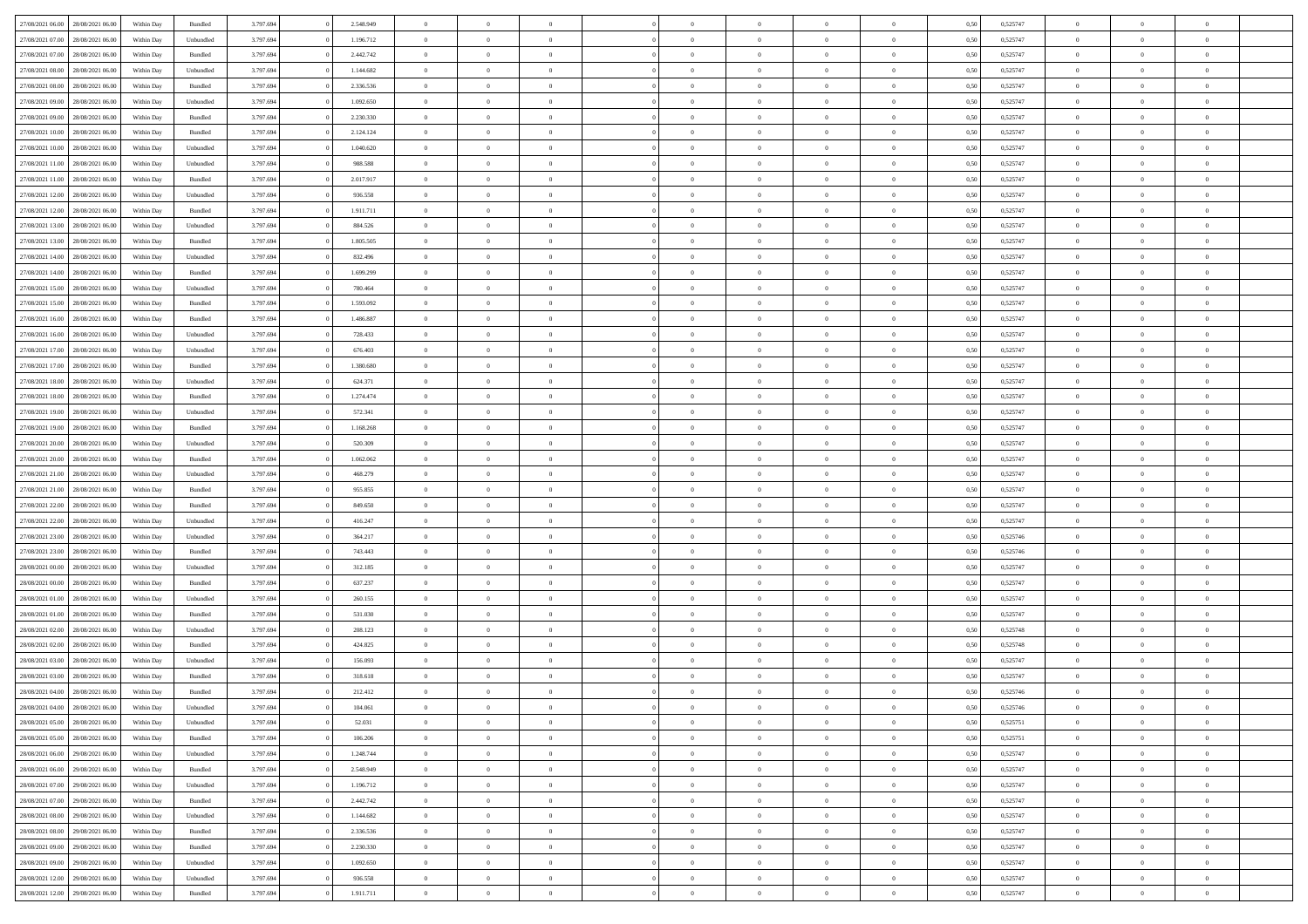| 27/08/2021 06:00 28/08/2021 06:00                                            | Within Day               | Bundled              | 3.797.694              | 2.548.949              | $\overline{0}$                   | $\overline{0}$             | $\Omega$       | $\Omega$       | $\theta$                         | $\Omega$                         | $\overline{0}$       | 0,50 | 0,525747             | $\theta$                | $\theta$                | $\theta$                         |  |
|------------------------------------------------------------------------------|--------------------------|----------------------|------------------------|------------------------|----------------------------------|----------------------------|----------------|----------------|----------------------------------|----------------------------------|----------------------|------|----------------------|-------------------------|-------------------------|----------------------------------|--|
| 27/08/2021 07:00<br>28/08/2021 06:00                                         | Within Day               | Unbundled            | 3.797.694              | 1.196.712              | $\overline{0}$                   | $\overline{0}$             | $\overline{0}$ | $\overline{0}$ | $\theta$                         | $\overline{0}$                   | $\bf{0}$             | 0,50 | 0,525747             | $\theta$                | $\theta$                | $\overline{0}$                   |  |
| 27/08/2021 07:00<br>28/08/2021 06:00                                         | Within Day               | Bundled              | 3.797.694              | 2.442.742              | $\overline{0}$                   | $\bf{0}$                   | $\overline{0}$ | $\overline{0}$ | $\overline{0}$                   | $\overline{0}$                   | $\bf{0}$             | 0,50 | 0,525747             | $\bf{0}$                | $\overline{0}$          | $\overline{0}$                   |  |
| 27/08/2021 08:00<br>28/08/2021 06:00                                         | Within Day               | Unbundled            | 3.797.694              | 1.144.682              | $\overline{0}$                   | $\overline{0}$             | $\overline{0}$ | $\overline{0}$ | $\theta$                         | $\overline{0}$                   | $\overline{0}$       | 0.50 | 0,525747             | $\theta$                | $\theta$                | $\overline{0}$                   |  |
| 27/08/2021 08:00<br>28/08/2021 06:00                                         | Within Day               | Bundled              | 3.797.694              | 2.336.536              | $\overline{0}$                   | $\overline{0}$             | $\overline{0}$ | $\overline{0}$ | $\theta$                         | $\overline{0}$                   | $\bf{0}$             | 0,50 | 0,525747             | $\theta$                | $\theta$                | $\overline{0}$                   |  |
| 27/08/2021 09:00<br>28/08/2021 06:00                                         | Within Day               | Unbundled            | 3.797.694              | 1.092.650              | $\overline{0}$                   | $\bf{0}$                   | $\overline{0}$ | $\overline{0}$ | $\overline{0}$                   | $\overline{0}$                   | $\bf{0}$             | 0,50 | 0,525747             | $\overline{0}$          | $\overline{0}$          | $\bf{0}$                         |  |
| 27/08/2021 09:00<br>28/08/2021 06:00                                         | Within Day               | Bundled              | 3.797.694              | 2.230.330              | $\overline{0}$                   | $\overline{0}$             | $\overline{0}$ | $\overline{0}$ | $\overline{0}$                   | $\overline{0}$                   | $\overline{0}$       | 0.5( | 0,525747             | $\theta$                | $\theta$                | $\overline{0}$                   |  |
|                                                                              |                          |                      |                        |                        |                                  |                            |                |                |                                  |                                  |                      |      |                      |                         |                         |                                  |  |
| 27/08/2021 10:00<br>28/08/2021 06:00                                         | Within Day               | Bundled              | 3.797.694              | 2.124.124              | $\bf{0}$                         | $\overline{0}$             | $\overline{0}$ | $\overline{0}$ | $\theta$                         | $\overline{0}$                   | $\bf{0}$             | 0,50 | 0,525747             | $\theta$                | $\theta$                | $\overline{0}$                   |  |
| 27/08/2021 10:00<br>28/08/2021 06:00                                         | Within Day               | Unbundled            | 3.797.694              | 1.040.620              | $\overline{0}$                   | $\bf{0}$                   | $\overline{0}$ | $\overline{0}$ | $\overline{0}$                   | $\bf{0}$                         | $\bf{0}$             | 0,50 | 0,525747             | $\bf{0}$                | $\bf{0}$                | $\overline{0}$                   |  |
| 27/08/2021 11:00<br>28/08/2021 06:00                                         | Within Day               | Unbundled            | 3.797.694              | 988.588                | $\overline{0}$                   | $\overline{0}$             | $\overline{0}$ | $\overline{0}$ | $\overline{0}$                   | $\overline{0}$                   | $\bf{0}$             | 0.50 | 0,525747             | $\theta$                | $\theta$                | $\overline{0}$                   |  |
| 27/08/2021 11:00<br>28/08/2021 06:00                                         | Within Day               | Bundled              | 3.797.694              | 2.017.917              | $\overline{0}$                   | $\overline{0}$             | $\overline{0}$ | $\overline{0}$ | $\theta$                         | $\overline{0}$                   | $\bf{0}$             | 0,50 | 0,525747             | $\theta$                | $\theta$                | $\overline{0}$                   |  |
| 27/08/2021 12:00<br>28/08/2021 06:00                                         | Within Day               | Unbundled            | 3.797.694              | 936.558                | $\overline{0}$                   | $\bf{0}$                   | $\overline{0}$ | $\overline{0}$ | $\overline{0}$                   | $\overline{0}$                   | $\bf{0}$             | 0,50 | 0,525747             | $\bf{0}$                | $\overline{0}$          | $\overline{0}$                   |  |
| 27/08/2021 12:00<br>28/08/2021 06:00                                         | Within Day               | Bundled              | 3.797.694              | 1.911.711              | $\overline{0}$                   | $\overline{0}$             | $\overline{0}$ | $\overline{0}$ | $\overline{0}$                   | $\overline{0}$                   | $\overline{0}$       | 0.5( | 0,525747             | $\theta$                | $\theta$                | $\overline{0}$                   |  |
| 27/08/2021 13:00<br>28/08/2021 06:00                                         | Within Day               | Unbundled            | 3.797.694              | 884.526                | $\overline{0}$                   | $\theta$                   | $\overline{0}$ | $\overline{0}$ | $\theta$                         | $\overline{0}$                   | $\bf{0}$             | 0,50 | 0,525747             | $\theta$                | $\theta$                | $\overline{0}$                   |  |
| 27/08/2021 13:00<br>28/08/2021 06:00                                         | Within Day               | Bundled              | 3.797.694              | 1.805.505              | $\overline{0}$                   | $\bf{0}$                   | $\overline{0}$ | $\overline{0}$ | $\bf{0}$                         | $\overline{0}$                   | $\bf{0}$             | 0,50 | 0,525747             | $\bf{0}$                | $\overline{0}$          | $\bf{0}$                         |  |
| 27/08/2021 14:00<br>28/08/2021 06:00                                         | Within Day               | Unbundled            | 3.797.694              | 832.496                | $\overline{0}$                   | $\overline{0}$             | $\overline{0}$ | $\overline{0}$ | $\overline{0}$                   | $\overline{0}$                   | $\overline{0}$       | 0.5( | 0,525747             | $\theta$                | $\theta$                | $\overline{0}$                   |  |
| 27/08/2021 14:00<br>28/08/2021 06:00                                         | Within Day               | Bundled              | 3.797.694              | 1.699.299              | $\overline{0}$                   | $\theta$                   | $\overline{0}$ | $\overline{0}$ | $\theta$                         | $\overline{0}$                   | $\bf{0}$             | 0,50 | 0,525747             | $\theta$                | $\theta$                | $\overline{0}$                   |  |
| 27/08/2021 15:00<br>28/08/2021 06:00                                         | Within Day               | Unbundled            | 3.797.694              | 780.464                | $\overline{0}$                   | $\bf{0}$                   | $\overline{0}$ | $\overline{0}$ | $\overline{0}$                   | $\overline{0}$                   | $\bf{0}$             | 0,50 | 0,525747             | $\bf{0}$                | $\overline{0}$          | $\overline{0}$                   |  |
| 27/08/2021 15:00<br>28/08/2021 06:00                                         | Within Day               | Bundled              | 3.797.694              | 1.593.092              | $\overline{0}$                   | $\overline{0}$             | $\overline{0}$ | $\overline{0}$ | $\overline{0}$                   | $\overline{0}$                   | $\overline{0}$       | 0.50 | 0,525747             | $\theta$                | $\theta$                | $\overline{0}$                   |  |
| 27/08/2021 16:00<br>28/08/2021 06:00                                         | Within Day               | Bundled              | 3.797.694              | 1.486.887              | $\bf{0}$                         | $\overline{0}$             | $\overline{0}$ | $\overline{0}$ | $\theta$                         | $\overline{0}$                   | $\bf{0}$             | 0,50 | 0,525747             | $\theta$                | $\theta$                | $\overline{0}$                   |  |
| 27/08/2021 16:00<br>28/08/2021 06:00                                         | Within Day               | Unbundled            | 3.797.694              | 728.433                | $\overline{0}$                   | $\bf{0}$                   | $\overline{0}$ | $\overline{0}$ | $\overline{0}$                   | $\overline{0}$                   | $\bf{0}$             | 0,50 | 0,525747             | $\bf{0}$                | $\bf{0}$                | $\overline{0}$                   |  |
| 27/08/2021 17:00<br>28/08/2021 06:00                                         | Within Day               | Unbundled            | 3.797.694              | 676.403                | $\overline{0}$                   | $\overline{0}$             | $\overline{0}$ | $\overline{0}$ | $\overline{0}$                   | $\overline{0}$                   | $\overline{0}$       | 0.5( | 0,525747             | $\theta$                | $\theta$                | $\overline{0}$                   |  |
| 27/08/2021 17:00<br>28/08/2021 06:00                                         | Within Day               | Bundled              | 3.797.694              | 1.380.680              | $\overline{0}$                   | $\overline{0}$             | $\overline{0}$ | $\overline{0}$ | $\theta$                         | $\overline{0}$                   | $\bf{0}$             | 0,50 | 0,525747             | $\theta$                | $\theta$                | $\overline{0}$                   |  |
| 27/08/2021 18:00<br>28/08/2021 06:00                                         | Within Day               | Unbundled            | 3.797.694              | 624.371                | $\overline{0}$                   | $\bf{0}$                   | $\overline{0}$ | $\overline{0}$ | $\overline{0}$                   | $\overline{0}$                   | $\bf{0}$             | 0,50 | 0,525747             | $\overline{0}$          | $\overline{0}$          | $\bf{0}$                         |  |
| 27/08/2021 18:00<br>28/08/2021 06:00                                         | Within Day               | Bundled              | 3.797.694              | 1.274.474              | $\overline{0}$                   | $\overline{0}$             | $\overline{0}$ | $\overline{0}$ | $\overline{0}$                   | $\overline{0}$                   | $\overline{0}$       | 0.5( | 0,525747             | $\theta$                | $\theta$                | $\overline{0}$                   |  |
| 27/08/2021 19:00<br>28/08/2021 06:00                                         | Within Day               | Unbundled            | 3.797.694              | 572.341                | $\overline{0}$                   | $\overline{0}$             | $\overline{0}$ | $\overline{0}$ | $\theta$                         | $\overline{0}$                   | $\bf{0}$             | 0,50 | 0,525747             | $\theta$                | $\theta$                | $\overline{0}$                   |  |
| 27/08/2021 19:00<br>28/08/2021 06:00                                         | Within Day               | Bundled              | 3.797.694              | 1.168.268              | $\overline{0}$                   | $\bf{0}$                   | $\overline{0}$ | $\overline{0}$ | $\overline{0}$                   | $\overline{0}$                   | $\bf{0}$             | 0,50 | 0,525747             | $\bf{0}$                | $\bf{0}$                | $\overline{0}$                   |  |
| 27/08/2021 20:00<br>28/08/2021 06:00                                         | Within Day               | Unbundled            | 3.797.694              | 520.309                | $\overline{0}$                   | $\overline{0}$             | $\overline{0}$ | $\overline{0}$ | $\overline{0}$                   | $\overline{0}$                   | $\overline{0}$       | 0.5( | 0,525747             | $\theta$                | $\theta$                | $\overline{0}$                   |  |
| 27/08/2021 20:00<br>28/08/2021 06:00                                         | Within Day               | Bundled              | 3.797.694              | 1.062.062              | $\bf{0}$                         | $\overline{0}$             | $\overline{0}$ | $\overline{0}$ | $\theta$                         | $\overline{0}$                   | $\bf{0}$             | 0,50 | 0,525747             | $\theta$                | $\theta$                | $\overline{0}$                   |  |
| 27/08/2021 21:00<br>28/08/2021 06:00                                         | Within Day               | Unbundled            | 3.797.694              | 468.279                | $\overline{0}$                   | $\bf{0}$                   | $\overline{0}$ | $\overline{0}$ | $\overline{0}$                   | $\overline{0}$                   | $\bf{0}$             | 0,50 | 0,525747             | $\bf{0}$                | $\overline{0}$          | $\overline{0}$                   |  |
| 27/08/2021 21:00<br>28/08/2021 06:00                                         | Within Day               | Bundled              | 3.797.694              | 955.855                | $\overline{0}$                   | $\overline{0}$             | $\Omega$       | $\Omega$       | $\Omega$                         | $\theta$                         | $\overline{0}$       | 0,50 | 0,525747             | $\,$ 0 $\,$             | $\Omega$                | $\theta$                         |  |
| 27/08/2021 22:00<br>28/08/2021 06:00                                         | Within Day               | Bundled              | 3.797.694              | 849.650                | $\overline{0}$                   | $\overline{0}$             | $\overline{0}$ | $\overline{0}$ | $\theta$                         | $\overline{0}$                   | $\bf{0}$             | 0,50 | 0,525747             | $\theta$                | $\theta$                | $\overline{0}$                   |  |
| 27/08/2021 22:00<br>28/08/2021 06:00                                         | Within Day               | Unbundled            | 3.797.694              | 416.247                | $\overline{0}$                   | $\bf{0}$                   | $\overline{0}$ | $\overline{0}$ | $\bf{0}$                         | $\overline{0}$                   | $\bf{0}$             | 0,50 | 0,525747             | $\bf{0}$                | $\overline{0}$          | $\bf{0}$                         |  |
| 27/08/2021 23:00<br>28/08/2021 06:00                                         | Within Day               | Unbundled            | 3.797.694              | 364.217                | $\overline{0}$                   | $\overline{0}$             | $\Omega$       | $\Omega$       | $\overline{0}$                   | $\Omega$                         | $\overline{0}$       | 0.50 | 0,525746             | $\bf{0}$                | $\Omega$                | $\theta$                         |  |
| 27/08/2021 23:00<br>28/08/2021 06:00                                         | Within Day               | Bundled              | 3.797.694              | 743.443                | $\bf{0}$                         | $\overline{0}$             | $\overline{0}$ | $\overline{0}$ | $\theta$                         | $\overline{0}$                   | $\bf{0}$             | 0,50 | 0,525746             | $\theta$                | $\theta$                | $\overline{0}$                   |  |
| 28/08/2021 00:00<br>28/08/2021 06:00                                         | Within Day               | Unbundled            | 3.797.694              | 312.185                | $\overline{0}$                   | $\bf{0}$                   | $\overline{0}$ | $\overline{0}$ | $\overline{0}$                   | $\overline{0}$                   | $\bf{0}$             | 0,50 | 0,525747             | $\bf{0}$                | $\bf{0}$                | $\overline{0}$                   |  |
| 28/08/2021 00:00<br>28/08/2021 06:00                                         | Within Day               | Bundled              | 3.797.694              | 637.237                | $\overline{0}$                   | $\theta$                   | $\Omega$       | $\Omega$       | $\Omega$                         | $\Omega$                         | $\overline{0}$       | 0.50 | 0,525747             | $\theta$                | $\Omega$                | $\theta$                         |  |
| 28/08/2021 01:00<br>28/08/2021 06:00                                         | Within Day               | Unbundled            | 3.797.694              | 260.155                | $\bf{0}$                         | $\overline{0}$             | $\overline{0}$ | $\overline{0}$ | $\theta$                         | $\overline{0}$                   | $\bf{0}$             | 0,50 | 0,525747             | $\theta$                | $\theta$                | $\overline{0}$                   |  |
| 28/08/2021 01:00<br>28/08/2021 06:00                                         | Within Day               | Bundled              | 3.797.694              | 531.030                | $\overline{0}$                   | $\bf{0}$                   | $\overline{0}$ | $\overline{0}$ | $\overline{0}$                   | $\overline{0}$                   | $\bf{0}$             | 0,50 | 0,525747             | $\bf{0}$                | $\overline{0}$          | $\overline{0}$                   |  |
| 28/08/2021 02:00<br>28/08/2021 06:00                                         |                          | Unbundled            | 3.797.694              | 208.123                | $\overline{0}$                   | $\overline{0}$             | $\Omega$       | $\Omega$       | $\theta$                         | $\theta$                         | $\overline{0}$       | 0.50 | 0,525748             | $\bf{0}$                | $\overline{0}$          | $\theta$                         |  |
| 28/08/2021 02:00<br>28/08/2021 06:00                                         | Within Day<br>Within Day | Bundled              | 3.797.694              | 424.825                | $\bf{0}$                         | $\overline{0}$             | $\overline{0}$ | $\overline{0}$ | $\theta$                         | $\overline{0}$                   | $\bf{0}$             | 0,50 | 0,525748             | $\,$ 0 $\,$             | $\theta$                | $\overline{0}$                   |  |
| 28/08/2021 03:00<br>28/08/2021 06:00                                         | Within Day               | Unbundled            | 3.797.694              | 156.093                | $\overline{0}$                   | $\bf{0}$                   | $\overline{0}$ | $\overline{0}$ | $\overline{0}$                   | $\overline{0}$                   | $\bf{0}$             | 0,50 | 0,525747             | $\overline{0}$          | $\overline{0}$          | $\bf{0}$                         |  |
| 28/08/2021 03:00<br>28/08/2021 06:00                                         | Within Day               | Bundled              | 3.797.694              | 318.618                | $\overline{0}$                   | $\Omega$                   | $\Omega$       | $\Omega$       | $\Omega$                         | $\theta$                         | $\overline{0}$       | 0.50 | 0,525747             | $\theta$                | $\Omega$                | $\theta$                         |  |
| 28/08/2021 04:00<br>28/08/2021 06:00                                         | Within Day               | Bundled              | 3.797.694              | 212.412                | $\bf{0}$                         | $\bf{0}$                   | $\overline{0}$ | $\overline{0}$ | $\bf{0}$                         | $\overline{0}$                   | $\bf{0}$             | 0,50 | 0,525746             | $\bf{0}$                | $\bf{0}$                | $\overline{0}$                   |  |
| 28/08/2021 04:00 28/08/2021 06:00                                            | Within Day               | Unbundled            | 3.797.694              | 104.061                |                                  |                            |                |                |                                  |                                  |                      | 0,50 | 0,525746             | $\bf{0}$                | $\bf{0}$                |                                  |  |
| 28/08/2021 05:00 28/08/2021 06:00                                            | Within Day               | Unbundled            | 3.797.694              | 52.031                 | $\Omega$                         | $\overline{0}$             | $\Omega$       | $\theta$       | $\overline{0}$                   | $\theta$                         | $\overline{0}$       | 0.50 | 0,525751             | $\theta$                | $\theta$                | $\theta$                         |  |
| 28/08/2021 05:00<br>28/08/2021 06:00                                         | Within Day               | Bundled              | 3.797.694              | 106.206                | $\overline{0}$                   | $\overline{0}$             | $\overline{0}$ | $\overline{0}$ | $\overline{0}$                   | $\overline{0}$                   | $\,$ 0 $\,$          | 0,50 | 0,525751             | $\,$ 0 $\,$             | $\,$ 0 $\,$             | $\,$ 0                           |  |
| 28/08/2021 06:00<br>29/08/2021 06:00                                         | Within Day               | Unbundled            | 3.797.694              | 1.248.744              | $\overline{0}$                   | $\overline{0}$             | $\overline{0}$ | $\overline{0}$ | $\overline{0}$                   | $\overline{0}$                   | $\bf{0}$             | 0,50 | 0,525747             | $\overline{0}$          | $\bf{0}$                | $\overline{0}$                   |  |
|                                                                              |                          |                      |                        |                        |                                  |                            |                |                |                                  |                                  |                      |      |                      |                         |                         |                                  |  |
| 28/08/2021 06:00<br>29/08/2021 06:00<br>28/08/2021 07:00<br>29/08/2021 06:00 | Within Day<br>Within Day | Bundled<br>Unbundled | 3.797.694<br>3.797.694 | 2.548.949<br>1.196.712 | $\overline{0}$<br>$\overline{0}$ | $\bf{0}$<br>$\overline{0}$ | $\overline{0}$ | $\overline{0}$ | $\overline{0}$<br>$\overline{0}$ | $\overline{0}$<br>$\overline{0}$ | $\bf{0}$<br>$\bf{0}$ | 0,50 | 0,525747<br>0,525747 | $\bf{0}$<br>$\,$ 0 $\,$ | $\theta$<br>$\,$ 0 $\,$ | $\overline{0}$<br>$\overline{0}$ |  |
|                                                                              |                          |                      |                        |                        |                                  |                            | $\overline{0}$ | $\overline{0}$ |                                  |                                  |                      | 0,50 |                      |                         |                         |                                  |  |
| 28/08/2021 07:00<br>29/08/2021 06:00                                         | Within Day               | Bundled              | 3.797.694              | 2.442.742              | $\overline{0}$                   | $\overline{0}$             | $\overline{0}$ | $\overline{0}$ | $\mathbf{0}$                     | $\overline{0}$                   | $\bf{0}$             | 0,50 | 0,525747             | $\overline{0}$          | $\overline{0}$          | $\overline{0}$                   |  |
| 28/08/2021 08:00<br>29/08/2021 06:00                                         | Within Day               | Unbundled            | 3.797.694              | 1.144.682              | $\overline{0}$                   | $\bf{0}$                   | $\overline{0}$ | $\overline{0}$ | $\overline{0}$                   | $\overline{0}$                   | $\bf{0}$             | 0.50 | 0,525747             | $\overline{0}$          | $\theta$                | $\overline{0}$                   |  |
| 28/08/2021 08:00<br>29/08/2021 06:00                                         | Within Day               | Bundled              | 3.797.694              | 2.336.536              | $\overline{0}$                   | $\,$ 0                     | $\overline{0}$ | $\overline{0}$ | $\overline{0}$                   | $\overline{0}$                   | $\bf{0}$             | 0,50 | 0,525747             | $\,$ 0 $\,$             | $\bf{0}$                | $\overline{0}$                   |  |
| 28/08/2021 09:00<br>29/08/2021 06:00                                         | Within Day               | Bundled              | 3.797.694              | 2.230.330              | $\overline{0}$                   | $\bf{0}$                   | $\overline{0}$ | $\overline{0}$ | $\overline{0}$                   | $\overline{0}$                   | $\bf{0}$             | 0,50 | 0,525747             | $\bf{0}$                | $\overline{0}$          | $\bf{0}$                         |  |
| 28/08/2021 09:00<br>29/08/2021 06:00                                         | Within Day               | Unbundled            | 3.797.694              | 1.092.650              | $\overline{0}$                   | $\overline{0}$             | $\overline{0}$ | $\overline{0}$ | $\overline{0}$                   | $\overline{0}$                   | $\bf{0}$             | 0.50 | 0,525747             | $\overline{0}$          | $\theta$                | $\overline{0}$                   |  |
| 28/08/2021 12:00<br>29/08/2021 06:00                                         | Within Day               | Unbundled            | 3.797.694              | 936.558                | $\overline{0}$                   | $\,$ 0                     | $\overline{0}$ | $\overline{0}$ | $\overline{0}$                   | $\bf{0}$                         | $\bf{0}$             | 0,50 | 0,525747             | $\,$ 0 $\,$             | $\,$ 0 $\,$             | $\overline{0}$                   |  |
| 28/08/2021 12:00 29/08/2021 06:00                                            | Within Day               | Bundled              | 3.797.694              | 1.911.711              | $\overline{0}$                   | $\bf{0}$                   | $\overline{0}$ | $\overline{0}$ | $\overline{0}$                   | $\overline{0}$                   | $\bf{0}$             | 0,50 | 0,525747             | $\overline{0}$          | $\bf{0}$                | $\overline{0}$                   |  |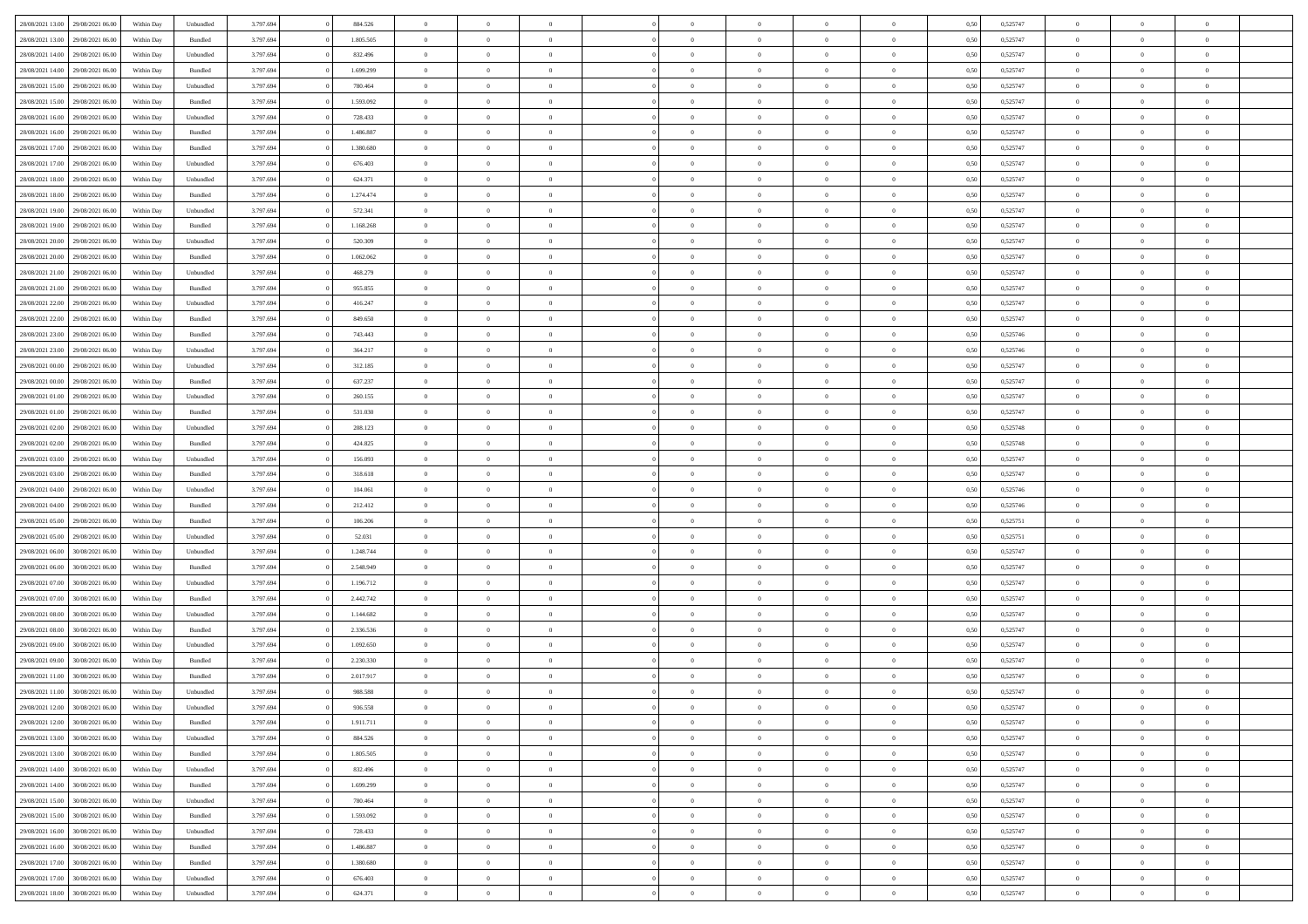| 28/08/2021 13:00 | 29/08/2021 06:00 | Within Day | Unbundled | 3.797.694 | 884.526   | $\overline{0}$ | $\theta$       |                | $\Omega$       | $\Omega$       | $\theta$       | $\theta$       | 0,50 | 0,525747 | $\theta$       | $\overline{0}$ | $\theta$       |  |
|------------------|------------------|------------|-----------|-----------|-----------|----------------|----------------|----------------|----------------|----------------|----------------|----------------|------|----------|----------------|----------------|----------------|--|
|                  |                  |            |           |           |           |                |                |                |                |                |                |                |      |          |                |                |                |  |
| 28/08/2021 13:00 | 29/08/2021 06:00 | Within Day | Bundled   | 3.797.694 | 1.805.505 | $\overline{0}$ | $\theta$       | $\overline{0}$ | $\overline{0}$ | $\bf{0}$       | $\overline{0}$ | $\bf{0}$       | 0,50 | 0,525747 | $\theta$       | $\overline{0}$ | $\overline{0}$ |  |
| 28/08/2021 14:00 | 29/08/2021 06:00 | Within Day | Unbundled | 3.797.694 | 832.496   | $\overline{0}$ | $\bf{0}$       | $\overline{0}$ | $\bf{0}$       | $\bf{0}$       | $\bf{0}$       | $\mathbf{0}$   | 0,50 | 0,525747 | $\bf{0}$       | $\overline{0}$ | $\overline{0}$ |  |
| 28/08/2021 14:00 | 29/08/2021 06:00 | Within Dav | Bundled   | 3.797.694 | 1.699.299 | $\overline{0}$ | $\overline{0}$ | $\overline{0}$ | $\overline{0}$ | $\bf{0}$       | $\overline{0}$ | $\overline{0}$ | 0.50 | 0,525747 | $\theta$       | $\theta$       | $\overline{0}$ |  |
|                  |                  |            |           |           |           |                |                |                |                |                |                |                |      |          |                |                |                |  |
| 28/08/2021 15:00 | 29/08/2021 06:00 | Within Day | Unbundled | 3.797.694 | 780.464   | $\overline{0}$ | $\theta$       | $\overline{0}$ | $\overline{0}$ | $\bf{0}$       | $\overline{0}$ | $\bf{0}$       | 0,50 | 0,525747 | $\theta$       | $\overline{0}$ | $\overline{0}$ |  |
| 28/08/2021 15:00 | 29/08/2021 06:00 | Within Day | Bundled   | 3.797.694 | 1.593.092 | $\overline{0}$ | $\overline{0}$ | $\overline{0}$ | $\bf{0}$       | $\overline{0}$ | $\overline{0}$ | $\mathbf{0}$   | 0,50 | 0,525747 | $\bf{0}$       | $\overline{0}$ | $\bf{0}$       |  |
| 28/08/2021 16:00 | 29/08/2021 06:00 | Within Dav | Unbundled | 3.797.694 | 728.433   | $\overline{0}$ | $\overline{0}$ | $\overline{0}$ | $\overline{0}$ | $\overline{0}$ | $\overline{0}$ | $\overline{0}$ | 0.50 | 0,525747 | $\theta$       | $\overline{0}$ | $\overline{0}$ |  |
| 28/08/2021 16:00 | 29/08/2021 06:00 | Within Day | Bundled   | 3.797.694 | 1.486.887 | $\overline{0}$ | $\theta$       | $\overline{0}$ | $\overline{0}$ | $\bf{0}$       | $\overline{0}$ | $\bf{0}$       | 0,50 | 0,525747 | $\theta$       | $\theta$       | $\overline{0}$ |  |
|                  |                  |            |           |           |           |                | $\overline{0}$ |                |                | $\bf{0}$       |                |                |      |          | $\,0\,$        | $\overline{0}$ | $\overline{0}$ |  |
| 28/08/2021 17:00 | 29/08/2021 06:00 | Within Day | Bundled   | 3.797.694 | 1.380.680 | $\overline{0}$ |                | $\overline{0}$ | $\bf{0}$       |                | $\bf{0}$       | $\bf{0}$       | 0,50 | 0,525747 |                |                |                |  |
| 28/08/2021 17:00 | 29/08/2021 06:00 | Within Dav | Unbundled | 3.797.694 | 676.403   | $\overline{0}$ | $\overline{0}$ | $\overline{0}$ | $\overline{0}$ | $\overline{0}$ | $\overline{0}$ | $\overline{0}$ | 0.50 | 0,525747 | $\theta$       | $\overline{0}$ | $\overline{0}$ |  |
| 28/08/2021 18:00 | 29/08/2021 06:00 | Within Day | Unbundled | 3.797.694 | 624.371   | $\overline{0}$ | $\theta$       | $\overline{0}$ | $\overline{0}$ | $\bf{0}$       | $\overline{0}$ | $\bf{0}$       | 0,50 | 0,525747 | $\,$ 0 $\,$    | $\overline{0}$ | $\overline{0}$ |  |
| 28/08/2021 18:00 | 29/08/2021 06:00 | Within Day | Bundled   | 3.797.694 | 1.274.474 | $\overline{0}$ | $\overline{0}$ | $\overline{0}$ | $\bf{0}$       | $\bf{0}$       | $\bf{0}$       | $\mathbf{0}$   | 0,50 | 0,525747 | $\bf{0}$       | $\overline{0}$ | $\bf{0}$       |  |
| 28/08/2021 19:00 | 29/08/2021 06:00 | Within Day | Unbundled | 3.797.694 | 572.341   | $\overline{0}$ | $\overline{0}$ | $\overline{0}$ | $\overline{0}$ | $\bf{0}$       | $\overline{0}$ | $\overline{0}$ | 0.50 | 0,525747 | $\theta$       | $\theta$       | $\overline{0}$ |  |
|                  |                  |            |           |           |           | $\overline{0}$ | $\theta$       |                |                | $\bf{0}$       |                |                |      |          | $\theta$       | $\overline{0}$ |                |  |
| 28/08/2021 19:00 | 29/08/2021 06:00 | Within Day | Bundled   | 3.797.694 | 1.168.268 |                |                | $\overline{0}$ | $\overline{0}$ |                | $\overline{0}$ | $\bf{0}$       | 0,50 | 0,525747 |                |                | $\overline{0}$ |  |
| 28/08/2021 20:00 | 29/08/2021 06:00 | Within Day | Unbundled | 3.797.694 | 520.309   | $\overline{0}$ | $\overline{0}$ | $\overline{0}$ | $\bf{0}$       | $\overline{0}$ | $\overline{0}$ | $\mathbf{0}$   | 0,50 | 0,525747 | $\bf{0}$       | $\overline{0}$ | $\bf{0}$       |  |
| 28/08/2021 20:00 | 29/08/2021 06:00 | Within Dav | Bundled   | 3.797.694 | 1.062.062 | $\overline{0}$ | $\overline{0}$ | $\overline{0}$ | $\overline{0}$ | $\overline{0}$ | $\overline{0}$ | $\overline{0}$ | 0.50 | 0,525747 | $\theta$       | $\overline{0}$ | $\overline{0}$ |  |
| 28/08/2021 21:00 | 29/08/2021 06:00 | Within Day | Unbundled | 3.797.694 | 468.279   | $\overline{0}$ | $\theta$       | $\overline{0}$ | $\overline{0}$ | $\bf{0}$       | $\overline{0}$ | $\bf{0}$       | 0,50 | 0,525747 | $\,$ 0 $\,$    | $\theta$       | $\overline{0}$ |  |
| 28/08/2021 21.00 | 29/08/2021 06:00 | Within Day | Bundled   | 3.797.694 | 955.855   | $\overline{0}$ | $\overline{0}$ | $\overline{0}$ | $\overline{0}$ | $\bf{0}$       | $\overline{0}$ | $\mathbf{0}$   | 0,50 | 0,525747 | $\bf{0}$       | $\overline{0}$ | $\overline{0}$ |  |
|                  |                  |            |           |           |           |                |                |                |                |                |                |                |      |          |                |                |                |  |
| 28/08/2021 22:00 | 29/08/2021 06:00 | Within Dav | Unbundled | 3.797.694 | 416.247   | $\overline{0}$ | $\overline{0}$ | $\overline{0}$ | $\overline{0}$ | $\overline{0}$ | $\overline{0}$ | $\overline{0}$ | 0.50 | 0,525747 | $\theta$       | $\overline{0}$ | $\overline{0}$ |  |
| 28/08/2021 22:00 | 29/08/2021 06:00 | Within Day | Bundled   | 3.797.694 | 849.650   | $\overline{0}$ | $\theta$       | $\overline{0}$ | $\overline{0}$ | $\bf{0}$       | $\overline{0}$ | $\bf{0}$       | 0,50 | 0,525747 | $\,$ 0 $\,$    | $\overline{0}$ | $\overline{0}$ |  |
| 28/08/2021 23:00 | 29/08/2021 06:00 | Within Day | Bundled   | 3.797.694 | 743.443   | $\overline{0}$ | $\overline{0}$ | $\overline{0}$ | $\overline{0}$ | $\bf{0}$       | $\overline{0}$ | $\bf{0}$       | 0,50 | 0,525746 | $\bf{0}$       | $\overline{0}$ | $\bf{0}$       |  |
| 28/08/2021 23:00 | 29/08/2021 06:00 | Within Day | Unbundled | 3.797.694 | 364.217   | $\overline{0}$ | $\overline{0}$ | $\overline{0}$ | $\overline{0}$ | $\bf{0}$       | $\overline{0}$ | $\overline{0}$ | 0.50 | 0,525746 | $\theta$       | $\overline{0}$ | $\overline{0}$ |  |
| 29/08/2021 00:00 | 29/08/2021 06:00 |            |           | 3.797.694 | 312.185   | $\overline{0}$ | $\theta$       | $\overline{0}$ | $\overline{0}$ | $\bf{0}$       | $\overline{0}$ |                |      | 0,525747 | $\,$ 0 $\,$    | $\overline{0}$ | $\overline{0}$ |  |
|                  |                  | Within Day | Unbundled |           |           |                |                |                |                |                |                | $\bf{0}$       | 0,50 |          |                |                |                |  |
| 29/08/2021 00:00 | 29/08/2021 06:00 | Within Day | Bundled   | 3.797.694 | 637.237   | $\overline{0}$ | $\overline{0}$ | $\overline{0}$ | $\overline{0}$ | $\overline{0}$ | $\overline{0}$ | $\mathbf{0}$   | 0,50 | 0,525747 | $\overline{0}$ | $\overline{0}$ | $\bf{0}$       |  |
| 29/08/2021 01:00 | 29/08/2021 06:00 | Within Dav | Unbundled | 3.797.694 | 260.155   | $\overline{0}$ | $\overline{0}$ | $\overline{0}$ | $\overline{0}$ | $\overline{0}$ | $\overline{0}$ | $\overline{0}$ | 0.50 | 0,525747 | $\theta$       | $\overline{0}$ | $\overline{0}$ |  |
| 29/08/2021 01:00 | 29/08/2021 06:00 | Within Day | Bundled   | 3.797.694 | 531.030   | $\overline{0}$ | $\theta$       | $\overline{0}$ | $\overline{0}$ | $\bf{0}$       | $\overline{0}$ | $\bf{0}$       | 0,50 | 0,525747 | $\theta$       | $\theta$       | $\overline{0}$ |  |
| 29/08/2021 02:00 | 29/08/2021 06:00 | Within Day | Unbundled | 3.797.694 | 208.123   | $\overline{0}$ | $\overline{0}$ | $\overline{0}$ | $\overline{0}$ | $\bf{0}$       | $\overline{0}$ | $\bf{0}$       | 0,50 | 0,525748 | $\,0\,$        | $\overline{0}$ | $\overline{0}$ |  |
|                  | 29/08/2021 06:00 |            | Bundled   | 3.797.694 | 424.825   | $\overline{0}$ | $\overline{0}$ | $\overline{0}$ | $\overline{0}$ | $\overline{0}$ | $\overline{0}$ | $\overline{0}$ | 0.50 | 0,525748 | $\theta$       | $\overline{0}$ | $\overline{0}$ |  |
| 29/08/2021 02:00 |                  | Within Day |           |           |           |                |                |                |                |                |                |                |      |          |                |                |                |  |
| 29/08/2021 03:00 | 29/08/2021 06:00 | Within Day | Unbundled | 3.797.694 | 156.093   | $\overline{0}$ | $\theta$       | $\overline{0}$ | $\overline{0}$ | $\bf{0}$       | $\overline{0}$ | $\bf{0}$       | 0,50 | 0,525747 | $\,$ 0 $\,$    | $\overline{0}$ | $\overline{0}$ |  |
| 29/08/2021 03:00 | 29/08/2021 06:00 | Within Day | Bundled   | 3.797.694 | 318.618   | $\overline{0}$ | $\bf{0}$       | $\overline{0}$ | $\overline{0}$ | $\bf{0}$       | $\overline{0}$ | $\bf{0}$       | 0,50 | 0,525747 | $\overline{0}$ | $\overline{0}$ | $\bf{0}$       |  |
| 29/08/2021 04:00 | 29/08/2021 06:00 | Within Day | Unbundled | 3.797.694 | 104,061   | $\overline{0}$ | $\Omega$       | $\Omega$       | $\Omega$       | $\Omega$       | $\overline{0}$ | $\overline{0}$ | 0,50 | 0,525746 | $\,0\,$        | $\theta$       | $\theta$       |  |
| 29/08/2021 04:00 | 29/08/2021 06:00 | Within Day | Bundled   | 3.797.694 | 212.412   | $\overline{0}$ | $\theta$       | $\overline{0}$ | $\overline{0}$ | $\bf{0}$       | $\overline{0}$ | $\bf{0}$       | 0,50 | 0,525746 | $\,$ 0 $\,$    | $\overline{0}$ | $\overline{0}$ |  |
|                  |                  |            |           |           |           |                |                |                |                |                |                |                |      |          |                |                |                |  |
| 29/08/2021 05:00 | 29/08/2021 06:00 | Within Day | Bundled   | 3.797.694 | 106.206   | $\overline{0}$ | $\overline{0}$ | $\overline{0}$ | $\overline{0}$ | $\bf{0}$       | $\overline{0}$ | $\mathbf{0}$   | 0,50 | 0,525751 | $\overline{0}$ | $\overline{0}$ | $\bf{0}$       |  |
| 29/08/2021 05:00 | 29/08/2021 06:00 | Within Day | Unbundled | 3.797.694 | 52.031    | $\overline{0}$ | $\Omega$       | $\Omega$       | $\Omega$       | $\bf{0}$       | $\overline{0}$ | $\overline{0}$ | 0.50 | 0,525751 | $\,0\,$        | $\theta$       | $\theta$       |  |
| 29/08/2021 06:00 | 30/08/2021 06:00 | Within Day | Unbundled | 3.797.694 | 1.248.744 | $\overline{0}$ | $\theta$       | $\overline{0}$ | $\overline{0}$ | $\bf{0}$       | $\overline{0}$ | $\bf{0}$       | 0,50 | 0,525747 | $\,$ 0 $\,$    | $\overline{0}$ | $\overline{0}$ |  |
| 29/08/2021 06:00 | 30/08/2021 06:00 | Within Day | Bundled   | 3.797.694 | 2.548.949 | $\overline{0}$ | $\overline{0}$ | $\overline{0}$ | $\overline{0}$ | $\bf{0}$       | $\overline{0}$ | $\bf{0}$       | 0,50 | 0,525747 | $\bf{0}$       | $\overline{0}$ | $\bf{0}$       |  |
| 29/08/2021 07:00 | 30/08/2021 06:00 |            |           |           |           | $\overline{0}$ | $\Omega$       | $\Omega$       | $\Omega$       | $\theta$       | $\overline{0}$ | $\overline{0}$ | 0.50 |          | $\,$ 0 $\,$    | $\theta$       | $\theta$       |  |
|                  |                  | Within Day | Unbundled | 3.797.694 | 1.196.712 |                |                |                |                |                |                |                |      | 0,525747 |                |                |                |  |
| 29/08/2021 07:00 | 30/08/2021 06:00 | Within Day | Bundled   | 3.797.694 | 2.442.742 | $\overline{0}$ | $\theta$       | $\overline{0}$ | $\overline{0}$ | $\bf{0}$       | $\overline{0}$ | $\bf{0}$       | 0,50 | 0,525747 | $\,$ 0 $\,$    | $\overline{0}$ | $\overline{0}$ |  |
| 29/08/2021 08:00 | 30/08/2021 06:00 | Within Day | Unbundled | 3.797.694 | 1.144.682 | $\overline{0}$ | $\bf{0}$       | $\overline{0}$ | $\overline{0}$ | $\bf{0}$       | $\overline{0}$ | $\mathbf{0}$   | 0,50 | 0,525747 | $\bf{0}$       | $\overline{0}$ | $\bf{0}$       |  |
| 29/08/2021 08:00 | 30/08/2021 06:00 | Within Day | Bundled   | 3.797.694 | 2.336.536 | $\overline{0}$ | $\Omega$       | $\overline{0}$ | $\Omega$       | $\overline{0}$ | $\overline{0}$ | $\overline{0}$ | 0,50 | 0,525747 | $\,0\,$        | $\theta$       | $\theta$       |  |
| 29/08/2021 09:00 | 30/08/2021 06:00 | Within Day | Unbundled | 3.797.694 | 1.092.650 | $\overline{0}$ | $\overline{0}$ | $\overline{0}$ | $\overline{0}$ | $\bf{0}$       | $\overline{0}$ | $\bf{0}$       | 0,50 | 0,525747 | $\,$ 0 $\,$    | $\overline{0}$ | $\overline{0}$ |  |
|                  |                  |            |           |           |           |                |                |                |                |                |                |                |      |          |                |                |                |  |
| 29/08/2021 09:00 | 30/08/2021 06:00 | Within Day | Bundled   | 3.797.694 | 2.230.330 | $\overline{0}$ | $\overline{0}$ | $\overline{0}$ | $\overline{0}$ | $\bf{0}$       | $\bf{0}$       | $\mathbf{0}$   | 0,50 | 0,525747 | $\overline{0}$ | $\overline{0}$ | $\bf{0}$       |  |
| 29/08/2021 11:00 | 30/08/2021 06:00 | Within Day | Bundled   | 3.797.694 | 2.017.917 | $\overline{0}$ | $\Omega$       | $\Omega$       | $\Omega$       | $\Omega$       | $\Omega$       | $\overline{0}$ | 0.50 | 0,525747 | $\theta$       | $\theta$       | $\theta$       |  |
| 29/08/2021 11:00 | 30/08/2021 06:00 | Within Day | Unbundled | 3.797.694 | 988.588   | $\overline{0}$ | $\overline{0}$ | $\overline{0}$ | $\bf{0}$       | $\,$ 0         | $\bf{0}$       | $\bf{0}$       | 0,50 | 0,525747 | $\,0\,$        | $\,$ 0 $\,$    | $\overline{0}$ |  |
| 29/08/2021 12:00 | 30/08/2021 06:00 | Within Day | Unbundled | 3.797.694 | 936.558   | $\bf{0}$       | $\bf{0}$       |                |                |                |                |                | 0,50 | 0,525747 | $\bf{0}$       | $\overline{0}$ |                |  |
| 29/08/2021 12:00 | 30/08/2021 06:00 | Within Day | Bundled   | 3.797.694 | 1.911.711 | $\overline{0}$ | $\overline{0}$ | $\overline{0}$ | $\Omega$       | $\overline{0}$ | $\overline{0}$ | $\overline{0}$ | 0,50 | 0,525747 | $\theta$       | $\theta$       | $\theta$       |  |
|                  |                  |            |           |           |           |                |                |                |                |                |                |                |      |          |                |                |                |  |
| 29/08/2021 13:00 | 30/08/2021 06:00 | Within Day | Unbundled | 3.797.694 | 884.526   | $\overline{0}$ | $\,$ 0         | $\overline{0}$ | $\bf{0}$       | $\,$ 0 $\,$    | $\overline{0}$ | $\,$ 0 $\,$    | 0,50 | 0,525747 | $\,$ 0 $\,$    | $\,$ 0 $\,$    | $\,$ 0         |  |
| 29/08/2021 13:00 | 30/08/2021 06:00 | Within Day | Bundled   | 3.797.694 | 1.805.505 | $\overline{0}$ | $\overline{0}$ | $\overline{0}$ | $\overline{0}$ | $\overline{0}$ | $\overline{0}$ | $\mathbf{0}$   | 0,50 | 0,525747 | $\overline{0}$ | $\bf{0}$       | $\bf{0}$       |  |
| 29/08/2021 14:00 | 30/08/2021 06:00 | Within Day | Unbundled | 3.797.694 | 832.496   | $\overline{0}$ | $\overline{0}$ | $\overline{0}$ | $\Omega$       | $\overline{0}$ | $\overline{0}$ | $\overline{0}$ | 0,50 | 0,525747 | $\overline{0}$ | $\theta$       | $\overline{0}$ |  |
| 29/08/2021 14:00 | 30/08/2021 06:00 | Within Day | Bundled   | 3.797.694 | 1.699.299 | $\overline{0}$ | $\,$ 0         | $\overline{0}$ | $\overline{0}$ | $\,$ 0 $\,$    | $\overline{0}$ | $\mathbf{0}$   | 0,50 | 0,525747 | $\,$ 0 $\,$    | $\overline{0}$ | $\overline{0}$ |  |
| 29/08/2021 15:00 | 30/08/2021 06:00 | Within Day | Unbundled | 3.797.694 | 780.464   | $\overline{0}$ | $\overline{0}$ | $\overline{0}$ | $\overline{0}$ | $\overline{0}$ | $\overline{0}$ | $\mathbf{0}$   | 0,50 | 0,525747 | $\overline{0}$ | $\overline{0}$ | $\bf{0}$       |  |
|                  |                  |            |           |           |           |                |                |                |                |                |                |                |      |          |                |                |                |  |
| 29/08/2021 15:00 | 30/08/2021 06:00 | Within Day | Bundled   | 3.797.694 | 1.593.092 | $\overline{0}$ | $\overline{0}$ | $\overline{0}$ | $\Omega$       | $\overline{0}$ | $\overline{0}$ | $\bf{0}$       | 0.50 | 0,525747 | $\overline{0}$ | $\theta$       | $\overline{0}$ |  |
| 29/08/2021 16:00 | 30/08/2021 06:00 | Within Day | Unbundled | 3.797.694 | 728.433   | $\overline{0}$ | $\,$ 0         | $\overline{0}$ | $\bf{0}$       | $\bf{0}$       | $\bf{0}$       | $\bf{0}$       | 0,50 | 0,525747 | $\,$ 0 $\,$    | $\overline{0}$ | $\overline{0}$ |  |
| 29/08/2021 16:00 | 30/08/2021 06:00 | Within Day | Bundled   | 3.797.694 | 1.486.887 | $\overline{0}$ | $\bf{0}$       | $\overline{0}$ | $\overline{0}$ | $\overline{0}$ | $\overline{0}$ | $\mathbf{0}$   | 0,50 | 0,525747 | $\overline{0}$ | $\overline{0}$ | $\bf{0}$       |  |
| 29/08/2021 17:00 | 30/08/2021 06:00 | Within Day | Bundled   | 3.797.694 | 1.380.680 | $\overline{0}$ | $\overline{0}$ | $\overline{0}$ | $\Omega$       | $\overline{0}$ | $\overline{0}$ | $\overline{0}$ | 0.50 | 0,525747 | $\overline{0}$ | $\overline{0}$ | $\overline{0}$ |  |
| 29/08/2021 17:00 | 30/08/2021 06:00 | Within Day | Unbundled | 3.797.694 | 676.403   | $\overline{0}$ | $\bf{0}$       | $\overline{0}$ | $\overline{0}$ | $\bf{0}$       | $\bf{0}$       | $\mathbf{0}$   | 0,50 | 0,525747 | $\,$ 0 $\,$    | $\,$ 0 $\,$    | $\bf{0}$       |  |
|                  |                  |            |           |           |           |                |                |                |                |                |                |                |      |          |                |                |                |  |
| 29/08/2021 18:00 | 30/08/2021 06:00 | Within Day | Unbundled | 3.797.694 | 624.371   | $\overline{0}$ | $\overline{0}$ | $\overline{0}$ | $\overline{0}$ | $\overline{0}$ | $\bf{0}$       | $\mathbf{0}$   | 0,50 | 0,525747 | $\overline{0}$ | $\bf{0}$       | $\bf{0}$       |  |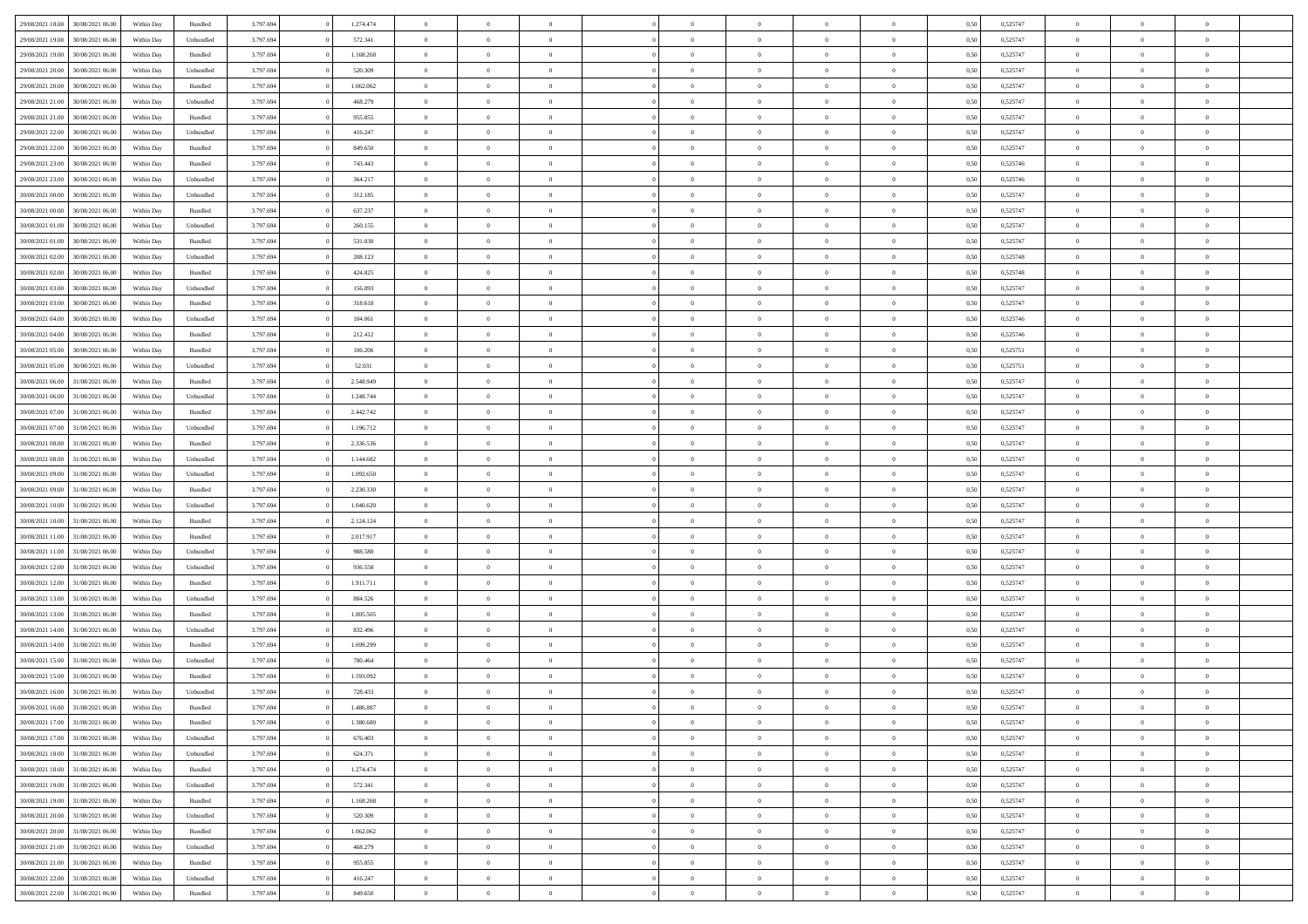| 29/08/2021 18:00 | 30/08/2021 06:00 | Within Day | Bundled            | 3.797.694 | 1.274.474 | $\overline{0}$ | $\Omega$       |                | $\Omega$       | $\Omega$       | $\theta$       | $\theta$       | 0.50 | 0,525747 | $\theta$       | $\theta$       | $\theta$       |  |
|------------------|------------------|------------|--------------------|-----------|-----------|----------------|----------------|----------------|----------------|----------------|----------------|----------------|------|----------|----------------|----------------|----------------|--|
| 29/08/2021 19:00 | 30/08/2021 06:00 | Within Day | Unbundled          | 3.797.694 | 572.341   | $\overline{0}$ | $\theta$       | $\overline{0}$ | $\overline{0}$ | $\bf{0}$       | $\overline{0}$ | $\bf{0}$       | 0,50 | 0,525747 | $\theta$       | $\overline{0}$ | $\overline{0}$ |  |
| 29/08/2021 19:00 | 30/08/2021 06:00 | Within Day | Bundled            | 3.797.694 | 1.168.268 | $\overline{0}$ | $\bf{0}$       | $\overline{0}$ | $\bf{0}$       | $\bf{0}$       | $\bf{0}$       | $\mathbf{0}$   | 0,50 | 0,525747 | $\bf{0}$       | $\overline{0}$ | $\overline{0}$ |  |
| 29/08/2021 20:00 | 30/08/2021 06:00 | Within Day | Unbundled          | 3.797.694 | 520.309   | $\overline{0}$ | $\overline{0}$ | $\overline{0}$ | $\overline{0}$ | $\bf{0}$       | $\overline{0}$ | $\overline{0}$ | 0.50 | 0,525747 | $\theta$       | $\theta$       | $\overline{0}$ |  |
| 29/08/2021 20:00 | 30/08/2021 06:00 | Within Day | Bundled            | 3.797.694 | 1.062.062 | $\overline{0}$ | $\theta$       | $\overline{0}$ | $\overline{0}$ | $\bf{0}$       | $\overline{0}$ | $\bf{0}$       | 0,50 | 0,525747 | $\theta$       | $\overline{0}$ | $\overline{0}$ |  |
|                  |                  |            |                    |           |           |                |                |                |                |                |                |                |      |          |                |                |                |  |
| 29/08/2021 21:00 | 30/08/2021 06:00 | Within Day | Unbundled          | 3.797.694 | 468.279   | $\overline{0}$ | $\overline{0}$ | $\overline{0}$ | $\bf{0}$       | $\overline{0}$ | $\overline{0}$ | $\mathbf{0}$   | 0,50 | 0,525747 | $\bf{0}$       | $\overline{0}$ | $\bf{0}$       |  |
| 29/08/2021 21:00 | 30/08/2021 06:00 | Within Dav | Bundled            | 3.797.694 | 955.855   | $\overline{0}$ | $\overline{0}$ | $\overline{0}$ | $\overline{0}$ | $\overline{0}$ | $\overline{0}$ | $\overline{0}$ | 0.50 | 0,525747 | $\theta$       | $\overline{0}$ | $\overline{0}$ |  |
| 29/08/2021 22.00 | 30/08/2021 06:00 | Within Day | Unbundled          | 3.797.694 | 416.247   | $\overline{0}$ | $\theta$       | $\overline{0}$ | $\overline{0}$ | $\bf{0}$       | $\overline{0}$ | $\bf{0}$       | 0,50 | 0,525747 | $\theta$       | $\theta$       | $\overline{0}$ |  |
| 29/08/2021 22:00 | 30/08/2021 06:00 | Within Day | Bundled            | 3.797.694 | 849.650   | $\overline{0}$ | $\overline{0}$ | $\overline{0}$ | $\bf{0}$       | $\bf{0}$       | $\bf{0}$       | $\bf{0}$       | 0,50 | 0,525747 | $\,0\,$        | $\overline{0}$ | $\overline{0}$ |  |
| 29/08/2021 23:00 | 30/08/2021 06:00 | Within Dav | Bundled            | 3.797.694 | 743.443   | $\overline{0}$ | $\overline{0}$ | $\overline{0}$ | $\overline{0}$ | $\overline{0}$ | $\overline{0}$ | $\overline{0}$ | 0.50 | 0,525746 | $\theta$       | $\overline{0}$ | $\overline{0}$ |  |
| 29/08/2021 23:00 | 30/08/2021 06:00 | Within Day | Unbundled          | 3.797.694 | 364.217   | $\overline{0}$ | $\theta$       | $\overline{0}$ | $\overline{0}$ | $\bf{0}$       | $\overline{0}$ | $\bf{0}$       | 0,50 | 0,525746 | $\,$ 0 $\,$    | $\overline{0}$ | $\overline{0}$ |  |
| 30/08/2021 00:00 | 30/08/2021 06:00 | Within Day | Unbundled          | 3.797.694 | 312.185   | $\overline{0}$ | $\bf{0}$       | $\overline{0}$ | $\bf{0}$       | $\bf{0}$       | $\bf{0}$       | $\mathbf{0}$   | 0,50 | 0,525747 | $\overline{0}$ | $\overline{0}$ | $\bf{0}$       |  |
|                  |                  |            |                    |           |           |                |                |                |                |                |                |                |      |          | $\theta$       |                |                |  |
| 30/08/2021 00:00 | 30/08/2021 06:00 | Within Day | Bundled            | 3.797.694 | 637.237   | $\overline{0}$ | $\overline{0}$ | $\overline{0}$ | $\overline{0}$ | $\bf{0}$       | $\overline{0}$ | $\overline{0}$ | 0.50 | 0,525747 |                | $\theta$       | $\overline{0}$ |  |
| 30/08/2021 01:00 | 30/08/2021 06:00 | Within Day | Unbundled          | 3.797.694 | 260.155   | $\overline{0}$ | $\theta$       | $\overline{0}$ | $\overline{0}$ | $\bf{0}$       | $\overline{0}$ | $\bf{0}$       | 0,50 | 0,525747 | $\theta$       | $\overline{0}$ | $\overline{0}$ |  |
| 30/08/2021 01:00 | 30/08/2021 06:00 | Within Day | Bundled            | 3.797.694 | 531.030   | $\overline{0}$ | $\overline{0}$ | $\overline{0}$ | $\bf{0}$       | $\overline{0}$ | $\overline{0}$ | $\mathbf{0}$   | 0,50 | 0,525747 | $\overline{0}$ | $\overline{0}$ | $\bf{0}$       |  |
| 30/08/2021 02:00 | 30/08/2021 06:00 | Within Dav | Unbundled          | 3.797.694 | 208.123   | $\overline{0}$ | $\overline{0}$ | $\overline{0}$ | $\overline{0}$ | $\overline{0}$ | $\overline{0}$ | $\overline{0}$ | 0.50 | 0,525748 | $\theta$       | $\overline{0}$ | $\overline{0}$ |  |
| 30/08/2021 02:00 | 30/08/2021 06:00 | Within Day | Bundled            | 3.797.694 | 424.825   | $\overline{0}$ | $\theta$       | $\overline{0}$ | $\overline{0}$ | $\bf{0}$       | $\overline{0}$ | $\bf{0}$       | 0,50 | 0,525748 | $\,$ 0 $\,$    | $\theta$       | $\overline{0}$ |  |
| 30/08/2021 03:00 | 30/08/2021 06:00 | Within Day | Unbundled          | 3.797.694 | 156.093   | $\overline{0}$ | $\overline{0}$ | $\overline{0}$ | $\bf{0}$       | $\bf{0}$       | $\bf{0}$       | $\bf{0}$       | 0,50 | 0,525747 | $\,0\,$        | $\overline{0}$ | $\overline{0}$ |  |
| 30/08/2021 03:00 | 30/08/2021 06:00 | Within Day | Bundled            | 3.797.694 | 318.618   | $\overline{0}$ | $\overline{0}$ | $\overline{0}$ | $\overline{0}$ | $\overline{0}$ | $\overline{0}$ | $\overline{0}$ | 0.50 | 0,525747 | $\theta$       | $\overline{0}$ | $\overline{0}$ |  |
| 30/08/2021 04:00 | 30/08/2021 06:00 | Within Day | Unbundled          | 3.797.694 | 104.061   | $\overline{0}$ | $\theta$       | $\overline{0}$ | $\overline{0}$ | $\bf{0}$       | $\overline{0}$ | $\bf{0}$       | 0,50 | 0,525746 | $\,$ 0 $\,$    | $\overline{0}$ | $\overline{0}$ |  |
|                  |                  |            |                    |           |           |                |                |                |                |                |                |                |      |          |                |                |                |  |
| 30/08/2021 04:00 | 30/08/2021 06:00 | Within Day | Bundled            | 3.797.694 | 212.412   | $\overline{0}$ | $\overline{0}$ | $\overline{0}$ | $\overline{0}$ | $\bf{0}$       | $\overline{0}$ | $\bf{0}$       | 0,50 | 0,525746 | $\bf{0}$       | $\overline{0}$ | $\bf{0}$       |  |
| 30/08/2021 05:00 | 30/08/2021 06:00 | Within Day | Bundled            | 3.797.694 | 106,206   | $\overline{0}$ | $\overline{0}$ | $\overline{0}$ | $\overline{0}$ | $\bf{0}$       | $\overline{0}$ | $\overline{0}$ | 0.50 | 0,525751 | $\theta$       | $\overline{0}$ | $\overline{0}$ |  |
| 30/08/2021 05:00 | 30/08/2021 06:00 | Within Day | Unbundled          | 3.797.694 | 52.031    | $\overline{0}$ | $\theta$       | $\overline{0}$ | $\overline{0}$ | $\bf{0}$       | $\overline{0}$ | $\bf{0}$       | 0,50 | 0,525751 | $\,$ 0 $\,$    | $\overline{0}$ | $\overline{0}$ |  |
| 30/08/2021 06:00 | 31/08/2021 06:00 | Within Day | Bundled            | 3.797.694 | 2.548.949 | $\overline{0}$ | $\overline{0}$ | $\overline{0}$ | $\overline{0}$ | $\overline{0}$ | $\overline{0}$ | $\mathbf{0}$   | 0,50 | 0,525747 | $\bf{0}$       | $\overline{0}$ | $\bf{0}$       |  |
| 30/08/2021 06:00 | 31/08/2021 06:00 | Within Dav | Unbundled          | 3.797.694 | 1.248.744 | $\overline{0}$ | $\overline{0}$ | $\overline{0}$ | $\overline{0}$ | $\overline{0}$ | $\overline{0}$ | $\overline{0}$ | 0.50 | 0,525747 | $\theta$       | $\overline{0}$ | $\overline{0}$ |  |
| 30/08/2021 07:00 | 31/08/2021 06:00 | Within Day | Bundled            | 3.797.694 | 2.442.742 | $\overline{0}$ | $\theta$       | $\overline{0}$ | $\overline{0}$ | $\bf{0}$       | $\overline{0}$ | $\bf{0}$       | 0,50 | 0,525747 | $\theta$       | $\theta$       | $\overline{0}$ |  |
| 30/08/2021 07:00 | 31/08/2021 06:00 | Within Day | Unbundled          | 3.797.694 | 1.196.712 | $\overline{0}$ | $\overline{0}$ | $\overline{0}$ | $\overline{0}$ | $\bf{0}$       | $\overline{0}$ | $\bf{0}$       | 0,50 | 0,525747 | $\,0\,$        | $\overline{0}$ | $\overline{0}$ |  |
| 30/08/2021 08:00 | 31/08/2021 06:00 | Within Day | Bundled            | 3.797.694 | 2.336.536 | $\overline{0}$ | $\overline{0}$ | $\overline{0}$ | $\overline{0}$ | $\overline{0}$ | $\overline{0}$ | $\overline{0}$ | 0.50 | 0,525747 | $\theta$       | $\overline{0}$ | $\overline{0}$ |  |
|                  |                  |            |                    |           |           |                |                |                |                |                |                |                |      |          |                |                |                |  |
| 30/08/2021 08:00 | 31/08/2021 06:00 | Within Day | Unbundled          | 3.797.694 | 1.144.682 | $\overline{0}$ | $\theta$       | $\overline{0}$ | $\overline{0}$ | $\bf{0}$       | $\overline{0}$ | $\bf{0}$       | 0,50 | 0,525747 | $\,$ 0 $\,$    | $\overline{0}$ | $\overline{0}$ |  |
| 30/08/2021 09:00 | 31/08/2021 06:00 | Within Day | Unbundled          | 3.797.694 | 1.092.650 | $\overline{0}$ | $\overline{0}$ | $\overline{0}$ | $\bf{0}$       | $\bf{0}$       | $\bf{0}$       | $\bf{0}$       | 0,50 | 0,525747 | $\overline{0}$ | $\overline{0}$ | $\bf{0}$       |  |
| 30/08/2021 09:00 | 31/08/2021 06.00 | Within Day | Bundled            | 3.797.694 | 2.230.330 | $\overline{0}$ | $\Omega$       | $\Omega$       | $\Omega$       | $\Omega$       | $\overline{0}$ | $\overline{0}$ | 0,50 | 0,525747 | $\,0\,$        | $\theta$       | $\theta$       |  |
| 30/08/2021 10:00 | 31/08/2021 06:00 | Within Day | Unbundled          | 3.797.694 | 1.040.620 | $\overline{0}$ | $\theta$       | $\overline{0}$ | $\overline{0}$ | $\bf{0}$       | $\overline{0}$ | $\bf{0}$       | 0,50 | 0,525747 | $\,$ 0 $\,$    | $\overline{0}$ | $\overline{0}$ |  |
| 30/08/2021 10:00 | 31/08/2021 06:00 | Within Day | Bundled            | 3.797.694 | 2.124.124 | $\overline{0}$ | $\overline{0}$ | $\overline{0}$ | $\bf{0}$       | $\bf{0}$       | $\overline{0}$ | $\mathbf{0}$   | 0,50 | 0,525747 | $\overline{0}$ | $\overline{0}$ | $\bf{0}$       |  |
| 30/08/2021 11:00 | 31/08/2021 06:00 | Within Day | Bundled            | 3.797.694 | 2.017.917 | $\overline{0}$ | $\Omega$       | $\Omega$       | $\Omega$       | $\bf{0}$       | $\overline{0}$ | $\overline{0}$ | 0.50 | 0,525747 | $\,0\,$        | $\theta$       | $\theta$       |  |
| 30/08/2021 11:00 | 31/08/2021 06:00 | Within Day | Unbundled          | 3.797.694 | 988.588   | $\overline{0}$ | $\theta$       | $\overline{0}$ | $\overline{0}$ | $\bf{0}$       | $\overline{0}$ | $\bf{0}$       | 0,50 | 0,525747 | $\,$ 0 $\,$    | $\overline{0}$ | $\overline{0}$ |  |
| 30/08/2021 12:00 | 31/08/2021 06:00 | Within Day | Unbundled          | 3.797.694 | 936.558   | $\overline{0}$ | $\overline{0}$ | $\overline{0}$ | $\bf{0}$       | $\bf{0}$       | $\bf{0}$       | $\bf{0}$       | 0,50 | 0,525747 | $\bf{0}$       | $\overline{0}$ | $\bf{0}$       |  |
|                  |                  |            |                    |           |           |                | $\Omega$       |                |                | $\theta$       |                |                |      |          |                |                | $\theta$       |  |
| 30/08/2021 12:00 | 31/08/2021 06:00 | Within Day | Bundled            | 3.797.694 | 1.911.711 | $\overline{0}$ |                | $\Omega$       | $\Omega$       |                | $\overline{0}$ | $\overline{0}$ | 0.50 | 0,525747 | $\,$ 0 $\,$    | $\theta$       |                |  |
| 30/08/2021 13:00 | 31/08/2021 06:00 | Within Day | Unbundled          | 3.797.694 | 884.526   | $\overline{0}$ | $\theta$       | $\overline{0}$ | $\overline{0}$ | $\bf{0}$       | $\overline{0}$ | $\bf{0}$       | 0,50 | 0,525747 | $\,$ 0 $\,$    | $\overline{0}$ | $\overline{0}$ |  |
| 30/08/2021 13:00 | 31/08/2021 06:00 | Within Day | Bundled            | 3.797.694 | 1.805.505 | $\overline{0}$ | $\bf{0}$       | $\overline{0}$ | $\overline{0}$ | $\bf{0}$       | $\overline{0}$ | $\bf{0}$       | 0,50 | 0,525747 | $\overline{0}$ | $\overline{0}$ | $\bf{0}$       |  |
| 30/08/2021 14:00 | 31/08/2021 06.00 | Within Day | Unbundled          | 3.797.694 | 832.496   | $\overline{0}$ | $\Omega$       | $\overline{0}$ | $\Omega$       | $\overline{0}$ | $\overline{0}$ | $\overline{0}$ | 0,50 | 0,525747 | $\,0\,$        | $\theta$       | $\theta$       |  |
| 30/08/2021 14:00 | 31/08/2021 06:00 | Within Day | Bundled            | 3.797.694 | 1.699.299 | $\overline{0}$ | $\overline{0}$ | $\overline{0}$ | $\overline{0}$ | $\,$ 0         | $\overline{0}$ | $\bf{0}$       | 0,50 | 0,525747 | $\,$ 0 $\,$    | $\overline{0}$ | $\overline{0}$ |  |
| 30/08/2021 15:00 | 31/08/2021 06:00 | Within Day | Unbundled          | 3.797.694 | 780.464   | $\overline{0}$ | $\overline{0}$ | $\overline{0}$ | $\overline{0}$ | $\bf{0}$       | $\overline{0}$ | $\mathbf{0}$   | 0,50 | 0,525747 | $\overline{0}$ | $\overline{0}$ | $\bf{0}$       |  |
| 30/08/2021 15:00 | 31/08/2021 06.00 | Within Day | Bundled            | 3.797.694 | 1.593.092 | $\overline{0}$ | $\Omega$       | $\Omega$       | $\Omega$       | $\Omega$       | $\Omega$       | $\overline{0}$ | 0.50 | 0,525747 | $\theta$       | $\theta$       | $\theta$       |  |
| 30/08/2021 16:00 | 31/08/2021 06:00 | Within Day | Unbundled          | 3.797.694 | 728.433   | $\overline{0}$ | $\overline{0}$ | $\overline{0}$ | $\bf{0}$       | $\,$ 0         | $\overline{0}$ | $\bf{0}$       | 0,50 | 0,525747 | $\,0\,$        | $\,0\,$        | $\overline{0}$ |  |
| 30/08/2021 16:00 | 31/08/2021 06:00 | Within Day | $\mathbf B$ undled | 3.797.694 | 1.486.887 | $\bf{0}$       | $\bf{0}$       |                |                |                |                |                | 0,50 | 0,525747 | $\bf{0}$       | $\overline{0}$ |                |  |
|                  |                  |            |                    |           |           |                |                |                |                |                |                |                |      |          |                |                |                |  |
| 30/08/2021 17:00 | 31/08/2021 06:00 | Within Day | Bundled            | 3.797.694 | 1.380.680 | $\overline{0}$ | $\overline{0}$ | $\overline{0}$ | $\Omega$       | $\overline{0}$ | $\overline{0}$ | $\overline{0}$ | 0,50 | 0,525747 | $\theta$       | $\theta$       | $\theta$       |  |
| 30/08/2021 17:00 | 31/08/2021 06:00 | Within Day | Unbundled          | 3.797.694 | 676.403   | $\overline{0}$ | $\,$ 0         | $\overline{0}$ | $\overline{0}$ | $\,$ 0 $\,$    | $\overline{0}$ | $\,$ 0 $\,$    | 0,50 | 0,525747 | $\,$ 0 $\,$    | $\,$ 0 $\,$    | $\,$ 0         |  |
| 30/08/2021 18:00 | 31/08/2021 06:00 | Within Day | Unbundled          | 3.797.694 | 624.371   | $\overline{0}$ | $\overline{0}$ | $\overline{0}$ | $\overline{0}$ | $\overline{0}$ | $\overline{0}$ | $\mathbf{0}$   | 0,50 | 0,525747 | $\overline{0}$ | $\bf{0}$       | $\bf{0}$       |  |
| 30/08/2021 18:00 | 31/08/2021 06:00 | Within Day | $\mathbf B$ undled | 3.797.694 | 1.274.474 | $\overline{0}$ | $\overline{0}$ | $\overline{0}$ | $\Omega$       | $\overline{0}$ | $\overline{0}$ | $\overline{0}$ | 0,50 | 0,525747 | $\overline{0}$ | $\theta$       | $\overline{0}$ |  |
| 30/08/2021 19:00 | 31/08/2021 06:00 | Within Day | Unbundled          | 3.797.694 | 572.341   | $\overline{0}$ | $\,$ 0         | $\overline{0}$ | $\overline{0}$ | $\,$ 0 $\,$    | $\overline{0}$ | $\mathbf{0}$   | 0,50 | 0,525747 | $\,$ 0 $\,$    | $\overline{0}$ | $\overline{0}$ |  |
| 30/08/2021 19:00 | 31/08/2021 06:00 | Within Day | Bundled            | 3.797.694 | 1.168.268 | $\overline{0}$ | $\overline{0}$ | $\overline{0}$ | $\overline{0}$ | $\overline{0}$ | $\overline{0}$ | $\mathbf{0}$   | 0,50 | 0,525747 | $\overline{0}$ | $\overline{0}$ | $\bf{0}$       |  |
| 30/08/2021 20:00 | 31/08/2021 06:00 | Within Day | Unbundled          | 3.797.694 | 520.309   | $\overline{0}$ | $\overline{0}$ | $\overline{0}$ | $\overline{0}$ | $\overline{0}$ | $\overline{0}$ | $\bf{0}$       | 0.50 | 0,525747 | $\overline{0}$ | $\theta$       | $\overline{0}$ |  |
| 30/08/2021 20:00 | 31/08/2021 06:00 |            | Bundled            | 3.797.694 | 1.062.062 | $\overline{0}$ | $\,$ 0         |                |                | $\bf{0}$       |                |                |      | 0,525747 | $\,$ 0 $\,$    | $\overline{0}$ | $\overline{0}$ |  |
|                  |                  | Within Day |                    |           |           |                |                | $\overline{0}$ | $\overline{0}$ |                | $\overline{0}$ | $\bf{0}$       | 0,50 |          |                |                |                |  |
| 30/08/2021 21:00 | 31/08/2021 06:00 | Within Day | Unbundled          | 3.797.694 | 468.279   | $\overline{0}$ | $\bf{0}$       | $\overline{0}$ | $\overline{0}$ | $\overline{0}$ | $\overline{0}$ | $\mathbf{0}$   | 0,50 | 0,525747 | $\overline{0}$ | $\overline{0}$ | $\bf{0}$       |  |
| 30/08/2021 21:00 | 31/08/2021 06:00 | Within Day | Bundled            | 3.797.694 | 955.855   | $\overline{0}$ | $\overline{0}$ | $\overline{0}$ | $\Omega$       | $\overline{0}$ | $\overline{0}$ | $\overline{0}$ | 0.50 | 0,525747 | $\overline{0}$ | $\overline{0}$ | $\overline{0}$ |  |
| 30/08/2021 22.00 | 31/08/2021 06:00 | Within Day | Unbundled          | 3.797.694 | 416.247   | $\overline{0}$ | $\bf{0}$       | $\overline{0}$ | $\overline{0}$ | $\bf{0}$       | $\bf{0}$       | $\bf{0}$       | 0,50 | 0,525747 | $\,$ 0 $\,$    | $\,$ 0 $\,$    | $\bf{0}$       |  |
| 30/08/2021 22.00 | 31/08/2021 06:00 | Within Day | Bundled            | 3.797.694 | 849.650   | $\overline{0}$ | $\bf{0}$       | $\overline{0}$ | $\bf{0}$       | $\bf{0}$       | $\bf{0}$       | $\bf{0}$       | 0,50 | 0,525747 | $\overline{0}$ | $\overline{0}$ | $\bf{0}$       |  |